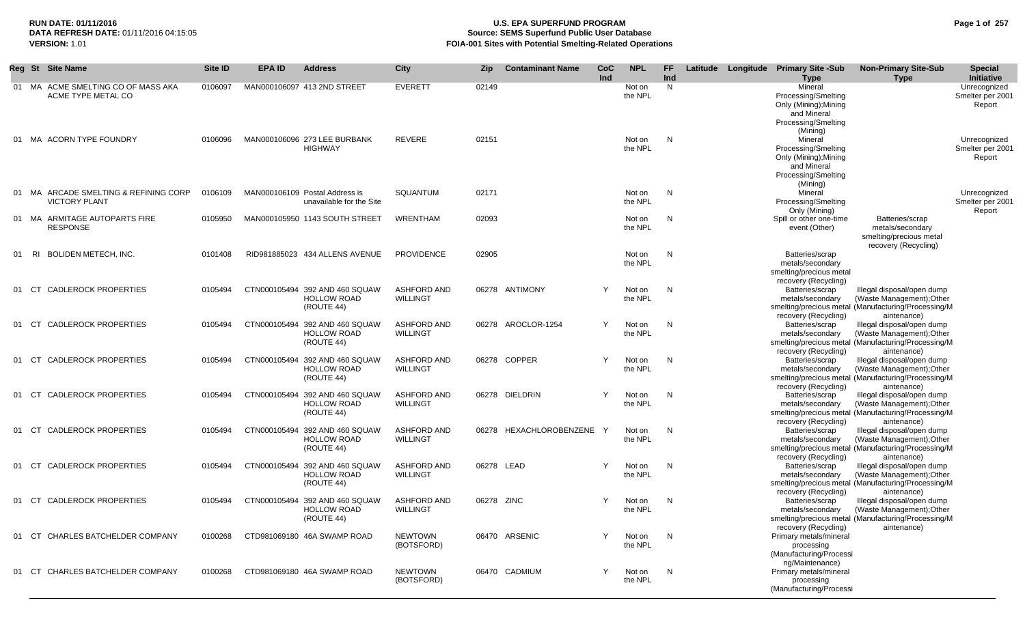# **RUN DATE: 01/11/2016 U.S. EPA SUPERFUND PROGRAM Page 1 of 257 Source: SEMS Superfund Public User Database VERSION:** 1.01 **FOIA-001 Sites with Potential Smelting-Related Operations**

|     | Reg St Site Name                                              | <b>Site ID</b> | <b>EPA ID</b> | <b>Address</b>                                                     | <b>City</b>                           | Zip        | <b>Contaminant Name</b> | CoC<br>Ind   | <b>NPL</b>        | <b>FF</b><br>Ind |  | Latitude Longitude Primary Site -Sub                                                    | <b>Non-Primary Site-Sub</b>                                                                                                   | <b>Special</b><br>Initiative               |
|-----|---------------------------------------------------------------|----------------|---------------|--------------------------------------------------------------------|---------------------------------------|------------|-------------------------|--------------|-------------------|------------------|--|-----------------------------------------------------------------------------------------|-------------------------------------------------------------------------------------------------------------------------------|--------------------------------------------|
|     | 01 MA ACME SMELTING CO OF MASS AKA<br>ACME TYPE METAL CO      | 0106097        |               | MAN000106097 413 2ND STREET                                        | <b>EVERETT</b>                        | 02149      |                         |              | Not on<br>the NPL | N                |  | <b>Type</b><br>Mineral<br>Processing/Smelting<br>Only (Mining); Mining                  | Type                                                                                                                          | Unrecognized<br>Smelter per 2001<br>Report |
|     |                                                               |                |               |                                                                    |                                       |            |                         |              |                   |                  |  | and Mineral<br>Processing/Smelting<br>(Mining)                                          |                                                                                                                               |                                            |
|     | 01 MA ACORN TYPE FOUNDRY                                      | 0106096        |               | MAN000106096 273 LEE BURBANK<br><b>HIGHWAY</b>                     | <b>REVERE</b>                         | 02151      |                         |              | Not on<br>the NPL | N                |  | Mineral<br>Processing/Smelting<br>Only (Mining); Mining                                 |                                                                                                                               | Unrecognized<br>Smelter per 2001<br>Report |
|     |                                                               |                |               |                                                                    |                                       |            |                         |              |                   |                  |  | and Mineral<br>Processing/Smelting<br>(Mining)                                          |                                                                                                                               |                                            |
|     | 01 MA ARCADE SMELTING & REFINING CORP<br><b>VICTORY PLANT</b> | 0106109        |               | MAN000106109 Postal Address is<br>unavailable for the Site         | <b>SQUANTUM</b>                       | 02171      |                         |              | Not on<br>the NPL | N                |  | Mineral<br>Processing/Smelting<br>Only (Mining)                                         |                                                                                                                               | Unrecognized<br>Smelter per 2001<br>Report |
|     | 01 MA ARMITAGE AUTOPARTS FIRE<br><b>RESPONSE</b>              | 0105950        |               | MAN000105950 1143 SOUTH STREET                                     | WRENTHAM                              | 02093      |                         |              | Not on<br>the NPL | N                |  | Spill or other one-time<br>event (Other)                                                | Batteries/scrap<br>metals/secondary<br>smelting/precious metal<br>recovery (Recycling)                                        |                                            |
| 01  | <b>BOLIDEN METECH, INC.</b><br>RI                             | 0101408        |               | RID981885023 434 ALLENS AVENUE                                     | <b>PROVIDENCE</b>                     | 02905      |                         |              | Not on<br>the NPL | N                |  | Batteries/scrap<br>metals/secondary<br>smelting/precious metal<br>recovery (Recycling)  |                                                                                                                               |                                            |
|     | <b>CADLEROCK PROPERTIES</b><br>CT.                            | 0105494        |               | CTN000105494 392 AND 460 SQUAW<br><b>HOLLOW ROAD</b><br>(ROUTE 44) | <b>ASHFORD AND</b><br><b>WILLINGT</b> |            | 06278 ANTIMONY          | Y            | Not on<br>the NPL | N                |  | Batteries/scrap<br>metals/secondary                                                     | Illegal disposal/open dump<br>(Waste Management); Other<br>smelting/precious metal (Manufacturing/Processing/M                |                                            |
| 01  | <b>CADLEROCK PROPERTIES</b><br>CT                             | 0105494        |               | CTN000105494 392 AND 460 SQUAW<br><b>HOLLOW ROAD</b><br>(ROUTE 44) | <b>ASHFORD AND</b><br><b>WILLINGT</b> |            | 06278 AROCLOR-1254      | Y            | Not on<br>the NPL | N                |  | recovery (Recycling)<br>Batteries/scrap<br>metals/secondary                             | aintenance)<br>Illegal disposal/open dump<br>(Waste Management); Other<br>smelting/precious metal (Manufacturing/Processing/M |                                            |
| 01  | <b>CADLEROCK PROPERTIES</b><br>CT                             | 0105494        |               | CTN000105494 392 AND 460 SQUAW<br><b>HOLLOW ROAD</b><br>(ROUTE 44) | <b>ASHFORD AND</b><br><b>WILLINGT</b> |            | 06278 COPPER            | Y            | Not on<br>the NPL | N                |  | recovery (Recycling)<br>Batteries/scrap<br>metals/secondary                             | aintenance)<br>Illegal disposal/open dump<br>(Waste Management); Other<br>smelting/precious metal (Manufacturing/Processing/M |                                            |
| 01  | <b>CADLEROCK PROPERTIES</b><br>CT.                            | 0105494        |               | CTN000105494 392 AND 460 SQUAW<br><b>HOLLOW ROAD</b><br>(ROUTE 44) | <b>ASHFORD AND</b><br><b>WILLINGT</b> |            | 06278 DIELDRIN          | Y            | Not on<br>the NPL | N                |  | recovery (Recycling)<br>Batteries/scrap<br>metals/secondary                             | aintenance)<br>Illegal disposal/open dump<br>(Waste Management); Other<br>smelting/precious metal (Manufacturing/Processing/M |                                            |
| 01  | <b>CADLEROCK PROPERTIES</b><br>CT.                            | 0105494        |               | CTN000105494 392 AND 460 SQUAW<br><b>HOLLOW ROAD</b><br>(ROUTE 44) | <b>ASHFORD AND</b><br><b>WILLINGT</b> |            | 06278 HEXACHLOROBENZENE | $\mathsf{Y}$ | Not on<br>the NPL | N                |  | recovery (Recycling)<br>Batteries/scrap<br>metals/secondary                             | aintenance)<br>Illegal disposal/open dump<br>(Waste Management); Other<br>smelting/precious metal (Manufacturing/Processing/M |                                            |
| 01  | <b>CADLEROCK PROPERTIES</b><br>CT                             | 0105494        |               | CTN000105494 392 AND 460 SQUAW<br><b>HOLLOW ROAD</b><br>(ROUTE 44) | <b>ASHFORD AND</b><br><b>WILLINGT</b> | 06278 LEAD |                         | Y            | Not on<br>the NPL | N                |  | recovery (Recycling)<br>Batteries/scrap<br>metals/secondary                             | aintenance)<br>Illegal disposal/open dump<br>(Waste Management); Other<br>smelting/precious metal (Manufacturing/Processing/M |                                            |
| 01  | <b>CADLEROCK PROPERTIES</b><br>CT                             | 0105494        |               | CTN000105494 392 AND 460 SQUAW<br><b>HOLLOW ROAD</b><br>(ROUTE 44) | <b>ASHFORD AND</b><br><b>WILLINGT</b> | 06278 ZINC |                         | Y            | Not on<br>the NPL | N                |  | recovery (Recycling)<br>Batteries/scrap<br>metals/secondary                             | aintenance)<br>Illegal disposal/open dump<br>(Waste Management); Other<br>smelting/precious metal (Manufacturing/Processing/M |                                            |
| -01 | CHARLES BATCHELDER COMPANY<br>CT                              | 0100268        |               | CTD981069180 46A SWAMP ROAD                                        | <b>NEWTOWN</b><br>(BOTSFORD)          |            | 06470 ARSENIC           | Y            | Not on<br>the NPL | N                |  | recovery (Recycling)<br>Primary metals/mineral<br>processing<br>(Manufacturing/Processi | aintenance)                                                                                                                   |                                            |
| -01 | <b>CHARLES BATCHELDER COMPANY</b><br>CT.                      | 0100268        |               | CTD981069180 46A SWAMP ROAD                                        | <b>NEWTOWN</b><br>(BOTSFORD)          |            | 06470 CADMIUM           | Y            | Not on<br>the NPL | N                |  | ng/Maintenance)<br>Primary metals/mineral<br>processing<br>(Manufacturing/Processi      |                                                                                                                               |                                            |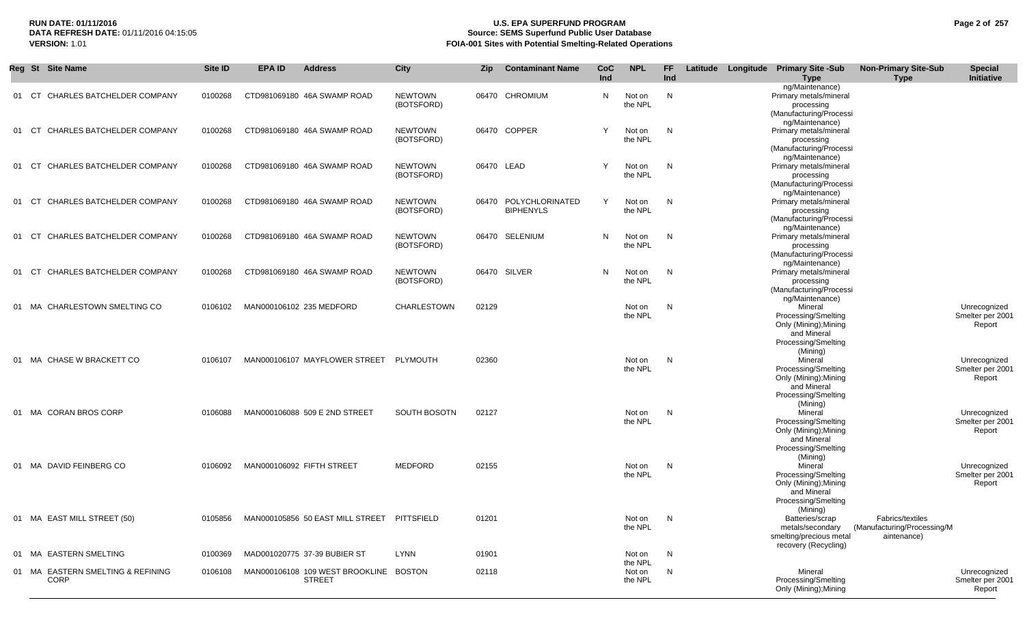# **RUN DATE: 01/11/2016 U.S. EPA SUPERFUND PROGRAM Page 2 of 257 Source: SEMS Superfund Public User Database VERSION:** 1.01 **FOIA-001 Sites with Potential Smelting-Related Operations**

|     | Reg St Site Name                                 | Site ID | <b>EPA ID</b><br><b>Address</b>                         | <b>City</b>                  | Zip   | <b>Contaminant Name</b>                   | CoC<br>Ind | <b>NPL</b>        | FF.<br>Ind |  | Latitude Longitude Primary Site -Sub<br><b>Type</b>                                                                       | <b>Non-Primary Site-Sub</b><br><b>Type</b>                     | <b>Special</b><br>Initiative               |
|-----|--------------------------------------------------|---------|---------------------------------------------------------|------------------------------|-------|-------------------------------------------|------------|-------------------|------------|--|---------------------------------------------------------------------------------------------------------------------------|----------------------------------------------------------------|--------------------------------------------|
| 01  | CT CHARLES BATCHELDER COMPANY                    | 0100268 | CTD981069180 46A SWAMP ROAD                             | <b>NEWTOWN</b><br>(BOTSFORD) |       | 06470 CHROMIUM                            | N          | Not on<br>the NPL | N          |  | ng/Maintenance)<br>Primary metals/mineral<br>processing<br>(Manufacturing/Processi                                        |                                                                |                                            |
| -01 | CT CHARLES BATCHELDER COMPANY                    | 0100268 | CTD981069180 46A SWAMP ROAD                             | <b>NEWTOWN</b><br>(BOTSFORD) |       | 06470 COPPER                              | Υ          | Not on<br>the NPL | N          |  | ng/Maintenance)<br>Primary metals/mineral<br>processing<br>(Manufacturing/Processi                                        |                                                                |                                            |
| 01  | CT CHARLES BATCHELDER COMPANY                    | 0100268 | CTD981069180 46A SWAMP ROAD                             | <b>NEWTOWN</b><br>(BOTSFORD) |       | 06470 LEAD                                | Y          | Not on<br>the NPL | N          |  | ng/Maintenance)<br>Primary metals/mineral<br>processing<br>(Manufacturing/Processi                                        |                                                                |                                            |
|     | 01 CT CHARLES BATCHELDER COMPANY                 | 0100268 | CTD981069180 46A SWAMP ROAD                             | <b>NEWTOWN</b><br>(BOTSFORD) |       | 06470 POLYCHLORINATED<br><b>BIPHENYLS</b> | Y          | Not on<br>the NPL | N          |  | ng/Maintenance)<br>Primary metals/mineral<br>processing<br>(Manufacturing/Processi                                        |                                                                |                                            |
| -01 | CHARLES BATCHELDER COMPANY<br>CT                 | 0100268 | CTD981069180 46A SWAMP ROAD                             | <b>NEWTOWN</b><br>(BOTSFORD) |       | 06470 SELENIUM                            | N          | Not on<br>the NPL | N          |  | ng/Maintenance)<br>Primary metals/mineral<br>processing<br>(Manufacturing/Processi                                        |                                                                |                                            |
| -01 | CHARLES BATCHELDER COMPANY<br>CT                 | 0100268 | CTD981069180 46A SWAMP ROAD                             | <b>NEWTOWN</b><br>(BOTSFORD) |       | 06470 SILVER                              | N          | Not on<br>the NPL | N          |  | ng/Maintenance)<br>Primary metals/mineral<br>processing<br>(Manufacturing/Processi                                        |                                                                |                                            |
|     | 01 MA CHARLESTOWN SMELTING CO                    | 0106102 | MAN000106102 235 MEDFORD                                | <b>CHARLESTOWN</b>           | 02129 |                                           |            | Not on<br>the NPL | N          |  | ng/Maintenance)<br>Mineral<br>Processing/Smelting<br>Only (Mining); Mining<br>and Mineral                                 |                                                                | Unrecognized<br>Smelter per 2001<br>Report |
|     | 01 MA CHASE W BRACKETT CO                        | 0106107 | MAN000106107 MAYFLOWER STREET                           | PLYMOUTH                     | 02360 |                                           |            | Not on<br>the NPL | N          |  | Processing/Smelting<br>(Mining)<br>Mineral<br>Processing/Smelting<br>Only (Mining); Mining<br>and Mineral                 |                                                                | Unrecognized<br>Smelter per 2001<br>Report |
|     | 01 MA CORAN BROS CORP                            | 0106088 | MAN000106088 509 E 2ND STREET                           | SOUTH BOSOTN                 | 02127 |                                           |            | Not on<br>the NPL | N          |  | Processing/Smelting<br>(Mining)<br>Mineral<br>Processing/Smelting<br>Only (Mining); Mining<br>and Mineral                 |                                                                | Unrecognized<br>Smelter per 2001<br>Report |
|     | 01 MA DAVID FEINBERG CO                          | 0106092 | MAN000106092 FIFTH STREET                               | <b>MEDFORD</b>               | 02155 |                                           |            | Not on<br>the NPL | N          |  | Processing/Smelting<br>(Mining)<br>Mineral<br>Processing/Smelting<br>Only (Mining); Mining<br>and Mineral                 |                                                                | Unrecognized<br>Smelter per 2001<br>Report |
|     | 01 MA EAST MILL STREET (50)                      | 0105856 | MAN000105856 50 EAST MILL STREET PITTSFIELD             |                              | 01201 |                                           |            | Not on<br>the NPL | N          |  | Processing/Smelting<br>(Mining)<br>Batteries/scrap<br>metals/secondary<br>smelting/precious metal<br>recovery (Recycling) | Fabrics/textiles<br>(Manufacturing/Processing/M<br>aintenance) |                                            |
|     | 01 MA EASTERN SMELTING                           | 0100369 | MAD001020775 37-39 BUBIER ST                            | <b>LYNN</b>                  | 01901 |                                           |            | Not on<br>the NPL | N,         |  |                                                                                                                           |                                                                |                                            |
|     | 01 MA EASTERN SMELTING & REFINING<br><b>CORP</b> | 0106108 | MAN000106108 109 WEST BROOKLINE BOSTON<br><b>STREET</b> |                              | 02118 |                                           |            | Not on<br>the NPL | N          |  | Mineral<br>Processing/Smelting<br>Only (Mining); Mining                                                                   |                                                                | Unrecognized<br>Smelter per 2001<br>Report |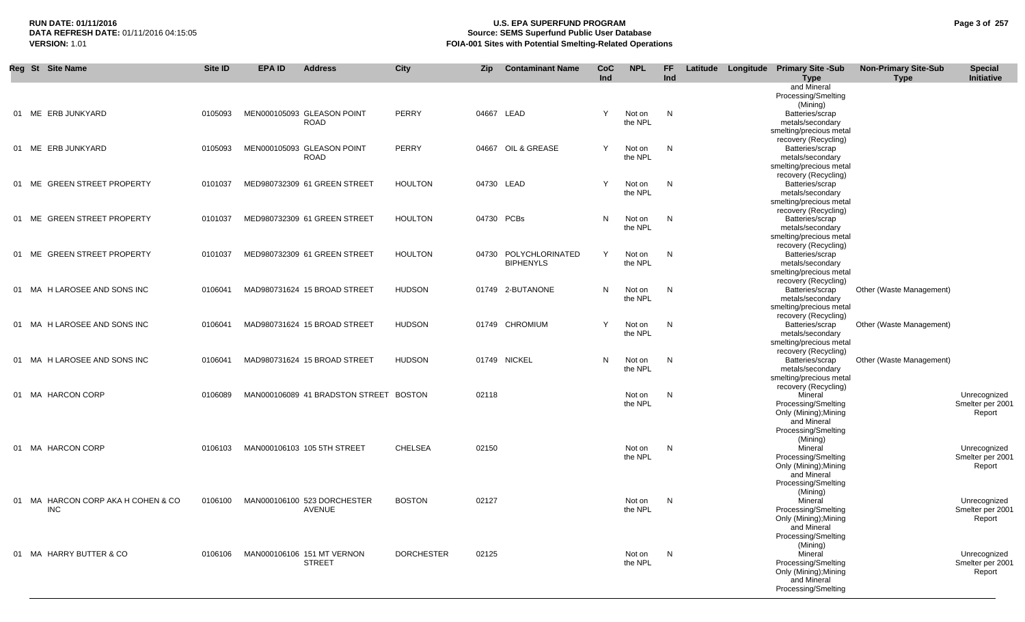# **RUN DATE: 01/11/2016 U.S. EPA SUPERFUND PROGRAM Page 3 of 257 Source: SEMS Superfund Public User Database VERSION:** 1.01 **FOIA-001 Sites with Potential Smelting-Related Operations**

|     | Reg St Site Name                                 | Site ID | <b>EPA ID</b> | <b>Address</b>                               | <b>City</b>       | <b>Zip</b> | <b>Contaminant Name</b> | CoC | <b>NPL</b>        | <b>FF</b> |  | Latitude Longitude Primary Site -Sub            | <b>Non-Primary Site-Sub</b> | <b>Special</b>                   |
|-----|--------------------------------------------------|---------|---------------|----------------------------------------------|-------------------|------------|-------------------------|-----|-------------------|-----------|--|-------------------------------------------------|-----------------------------|----------------------------------|
|     |                                                  |         |               |                                              |                   |            |                         | Ind |                   | Ind       |  | Type<br>and Mineral                             | <b>Type</b>                 | Initiative                       |
|     |                                                  |         |               |                                              |                   |            |                         |     |                   |           |  | Processing/Smelting                             |                             |                                  |
|     |                                                  |         |               |                                              |                   |            |                         |     |                   |           |  | (Mining)                                        |                             |                                  |
|     | 01 ME ERB JUNKYARD                               | 0105093 |               | MEN000105093 GLEASON POINT                   | <b>PERRY</b>      | 04667 LEAD |                         | Y   | Not on            | N,        |  | Batteries/scrap                                 |                             |                                  |
|     |                                                  |         |               | <b>ROAD</b>                                  |                   |            |                         |     | the NPL           |           |  | metals/secondary                                |                             |                                  |
|     |                                                  |         |               |                                              |                   |            |                         |     |                   |           |  | smelting/precious metal<br>recovery (Recycling) |                             |                                  |
|     | 01 ME ERB JUNKYARD                               | 0105093 |               | MEN000105093 GLEASON POINT                   | <b>PERRY</b>      |            | 04667 OIL & GREASE      | Y   | Not on            | N         |  | Batteries/scrap                                 |                             |                                  |
|     |                                                  |         |               | <b>ROAD</b>                                  |                   |            |                         |     | the NPL           |           |  | metals/secondary                                |                             |                                  |
|     |                                                  |         |               |                                              |                   |            |                         |     |                   |           |  | smelting/precious metal                         |                             |                                  |
|     |                                                  |         |               |                                              |                   |            |                         |     |                   |           |  | recovery (Recycling)                            |                             |                                  |
| 01  | ME GREEN STREET PROPERTY                         | 0101037 |               | MED980732309 61 GREEN STREET                 | <b>HOULTON</b>    |            | 04730 LEAD              | Y   | Not on<br>the NPL | N         |  | Batteries/scrap<br>metals/secondary             |                             |                                  |
|     |                                                  |         |               |                                              |                   |            |                         |     |                   |           |  | smelting/precious metal                         |                             |                                  |
|     |                                                  |         |               |                                              |                   |            |                         |     |                   |           |  | recovery (Recycling)                            |                             |                                  |
|     | 01 ME GREEN STREET PROPERTY                      | 0101037 |               | MED980732309 61 GREEN STREET                 | <b>HOULTON</b>    | 04730 PCBs |                         | N   | Not on            | N         |  | Batteries/scrap                                 |                             |                                  |
|     |                                                  |         |               |                                              |                   |            |                         |     | the NPL           |           |  | metals/secondary                                |                             |                                  |
|     |                                                  |         |               |                                              |                   |            |                         |     |                   |           |  | smelting/precious metal                         |                             |                                  |
| -01 | ME GREEN STREET PROPERTY                         | 0101037 |               | MED980732309 61 GREEN STREET                 | <b>HOULTON</b>    | 04730      | POLYCHLORINATED         | Y   |                   | N         |  | recovery (Recycling)<br>Batteries/scrap         |                             |                                  |
|     |                                                  |         |               |                                              |                   |            | <b>BIPHENYLS</b>        |     | Not on<br>the NPL |           |  | metals/secondary                                |                             |                                  |
|     |                                                  |         |               |                                              |                   |            |                         |     |                   |           |  | smelting/precious metal                         |                             |                                  |
|     |                                                  |         |               |                                              |                   |            |                         |     |                   |           |  | recovery (Recycling)                            |                             |                                  |
|     | 01 MA H LAROSEE AND SONS INC                     | 0106041 |               | MAD980731624 15 BROAD STREET                 | <b>HUDSON</b>     |            | 01749 2-BUTANONE        | N   | Not on            | N         |  | Batteries/scrap                                 | Other (Waste Management)    |                                  |
|     |                                                  |         |               |                                              |                   |            |                         |     | the NPL           |           |  | metals/secondary                                |                             |                                  |
|     |                                                  |         |               |                                              |                   |            |                         |     |                   |           |  | smelting/precious metal                         |                             |                                  |
| -01 | MA H LAROSEE AND SONS INC                        | 0106041 |               | MAD980731624 15 BROAD STREET                 | <b>HUDSON</b>     |            | 01749 CHROMIUM          | Y   | Not on            | N         |  | recovery (Recycling)<br>Batteries/scrap         | Other (Waste Management)    |                                  |
|     |                                                  |         |               |                                              |                   |            |                         |     | the NPL           |           |  | metals/secondary                                |                             |                                  |
|     |                                                  |         |               |                                              |                   |            |                         |     |                   |           |  | smelting/precious metal                         |                             |                                  |
|     |                                                  |         |               |                                              |                   |            |                         |     |                   |           |  | recovery (Recycling)                            |                             |                                  |
| 01  | MA H LAROSEE AND SONS INC                        | 0106041 |               | MAD980731624 15 BROAD STREET                 | <b>HUDSON</b>     |            | 01749 NICKEL            | N   | Not on            | N         |  | Batteries/scrap                                 | Other (Waste Management)    |                                  |
|     |                                                  |         |               |                                              |                   |            |                         |     | the NPL           |           |  | metals/secondary                                |                             |                                  |
|     |                                                  |         |               |                                              |                   |            |                         |     |                   |           |  | smelting/precious metal<br>recovery (Recycling) |                             |                                  |
|     | 01 MA HARCON CORP                                | 0106089 |               | MAN000106089 41 BRADSTON STREET BOSTON       |                   | 02118      |                         |     | Not on            | N         |  | Mineral                                         |                             | Unrecognized                     |
|     |                                                  |         |               |                                              |                   |            |                         |     | the NPL           |           |  | Processing/Smelting                             |                             | Smelter per 2001                 |
|     |                                                  |         |               |                                              |                   |            |                         |     |                   |           |  | Only (Mining); Mining                           |                             | Report                           |
|     |                                                  |         |               |                                              |                   |            |                         |     |                   |           |  | and Mineral                                     |                             |                                  |
|     |                                                  |         |               |                                              |                   |            |                         |     |                   |           |  | Processing/Smelting                             |                             |                                  |
|     | 01 MA HARCON CORP                                | 0106103 |               | MAN000106103 105 5TH STREET                  | <b>CHELSEA</b>    | 02150      |                         |     | Not on            | N         |  | (Mining)<br>Mineral                             |                             | Unrecognized                     |
|     |                                                  |         |               |                                              |                   |            |                         |     | the NPL           |           |  | Processing/Smelting                             |                             | Smelter per 2001                 |
|     |                                                  |         |               |                                              |                   |            |                         |     |                   |           |  | Only (Mining); Mining                           |                             | Report                           |
|     |                                                  |         |               |                                              |                   |            |                         |     |                   |           |  | and Mineral                                     |                             |                                  |
|     |                                                  |         |               |                                              |                   |            |                         |     |                   |           |  | Processing/Smelting                             |                             |                                  |
|     |                                                  |         |               |                                              |                   |            |                         |     |                   |           |  | (Mining)                                        |                             |                                  |
|     | 01 MA HARCON CORP AKA H COHEN & CO<br><b>INC</b> | 0106100 |               | MAN000106100 523 DORCHESTER<br><b>AVENUE</b> | <b>BOSTON</b>     | 02127      |                         |     | Not on<br>the NPL | N         |  | Mineral                                         |                             | Unrecognized<br>Smelter per 2001 |
|     |                                                  |         |               |                                              |                   |            |                         |     |                   |           |  | Processing/Smelting<br>Only (Mining); Mining    |                             | Report                           |
|     |                                                  |         |               |                                              |                   |            |                         |     |                   |           |  | and Mineral                                     |                             |                                  |
|     |                                                  |         |               |                                              |                   |            |                         |     |                   |           |  | Processing/Smelting                             |                             |                                  |
|     |                                                  |         |               |                                              |                   |            |                         |     |                   |           |  | (Mining)                                        |                             |                                  |
|     | 01 MA HARRY BUTTER & CO                          | 0106106 |               | MAN000106106 151 MT VERNON                   | <b>DORCHESTER</b> | 02125      |                         |     | Not on            | N         |  | Mineral                                         |                             | Unrecognized                     |
|     |                                                  |         |               | <b>STREET</b>                                |                   |            |                         |     | the NPL           |           |  | Processing/Smelting                             |                             | Smelter per 2001                 |
|     |                                                  |         |               |                                              |                   |            |                         |     |                   |           |  | Only (Mining); Mining<br>and Mineral            |                             | Report                           |
|     |                                                  |         |               |                                              |                   |            |                         |     |                   |           |  | Processing/Smelting                             |                             |                                  |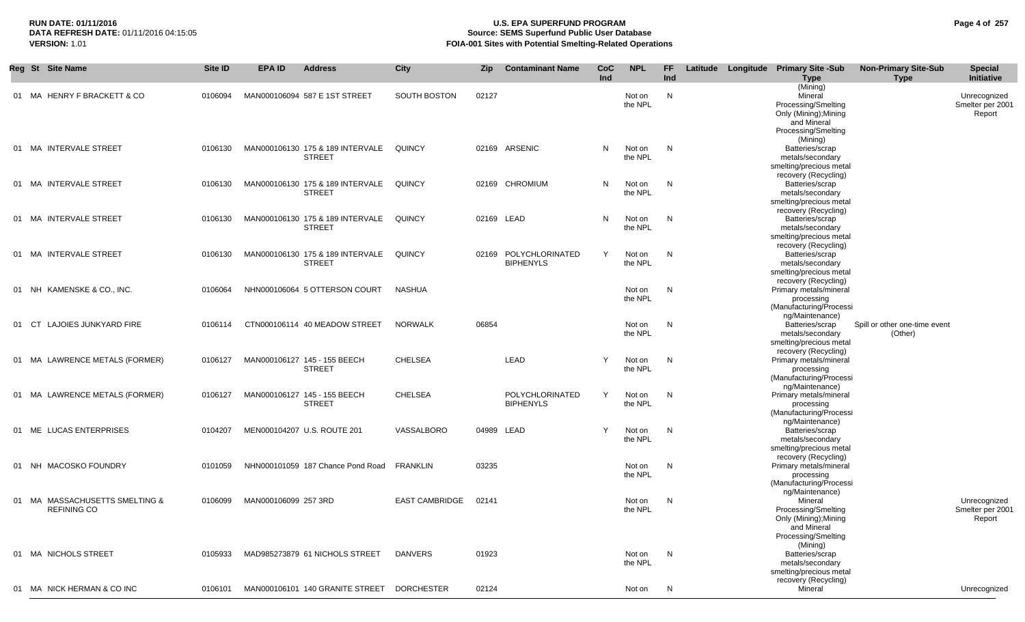# **RUN DATE: 01/11/2016 U.S. EPA SUPERFUND PROGRAM Page 4 of 257 Source: SEMS Superfund Public User Database VERSION:** 1.01 **FOIA-001 Sites with Potential Smelting-Related Operations**

| Reg St Site Name                                     | Site ID | <b>EPA ID</b>        | <b>Address</b>                                    | <b>City</b>           | Zip   | <b>Contaminant Name</b>                   | CoC<br>Ind | <b>NPL</b>        | FF.<br>Ind |  | Latitude Longitude Primary Site -Sub<br><b>Type</b>                                                              | <b>Non-Primary Site-Sub</b><br><b>Type</b> | <b>Special</b><br>Initiative               |
|------------------------------------------------------|---------|----------------------|---------------------------------------------------|-----------------------|-------|-------------------------------------------|------------|-------------------|------------|--|------------------------------------------------------------------------------------------------------------------|--------------------------------------------|--------------------------------------------|
| 01 MA HENRY F BRACKETT & CO                          | 0106094 |                      | MAN000106094 587 E 1ST STREET                     | SOUTH BOSTON          | 02127 |                                           |            | Not on<br>the NPL | N          |  | (Mining)<br>Mineral<br>Processing/Smelting<br>Only (Mining); Mining<br>and Mineral<br>Processing/Smelting        |                                            | Unrecognized<br>Smelter per 2001<br>Report |
| 01 MA INTERVALE STREET                               | 0106130 |                      | MAN000106130 175 & 189 INTERVALE<br><b>STREET</b> | QUINCY                |       | 02169 ARSENIC                             | N          | Not on<br>the NPL | N          |  | (Mining)<br>Batteries/scrap<br>metals/secondary<br>smelting/precious metal                                       |                                            |                                            |
| 01 MA INTERVALE STREET                               | 0106130 |                      | MAN000106130 175 & 189 INTERVALE<br><b>STREET</b> | QUINCY                |       | 02169 CHROMIUM                            | N          | Not on<br>the NPL | N          |  | recovery (Recycling)<br>Batteries/scrap<br>metals/secondary<br>smelting/precious metal                           |                                            |                                            |
| 01 MA INTERVALE STREET                               | 0106130 |                      | MAN000106130 175 & 189 INTERVALE<br><b>STREET</b> | QUINCY                |       | 02169 LEAD                                | N          | Not on<br>the NPL | N          |  | recovery (Recycling)<br>Batteries/scrap<br>metals/secondary<br>smelting/precious metal                           |                                            |                                            |
| 01 MA INTERVALE STREET                               | 0106130 |                      | MAN000106130 175 & 189 INTERVALE<br><b>STREET</b> | <b>QUINCY</b>         |       | 02169 POLYCHLORINATED<br><b>BIPHENYLS</b> | Y          | Not on<br>the NPL | N          |  | recovery (Recycling)<br>Batteries/scrap<br>metals/secondary<br>smelting/precious metal                           |                                            |                                            |
| 01 NH KAMENSKE & CO., INC.                           | 0106064 |                      | NHN000106064 5 OTTERSON COURT                     | NASHUA                |       |                                           |            | Not on<br>the NPL | N          |  | recovery (Recycling)<br>Primary metals/mineral<br>processing<br>(Manufacturing/Processi                          |                                            |                                            |
| LAJOIES JUNKYARD FIRE<br>01 CT                       | 0106114 |                      | CTN000106114 40 MEADOW STREET                     | <b>NORWALK</b>        | 06854 |                                           |            | Not on<br>the NPL | N          |  | ng/Maintenance)<br>Batteries/scrap<br>metals/secondary<br>smelting/precious metal                                | Spill or other one-time event<br>(Other)   |                                            |
| 01 MA LAWRENCE METALS (FORMER)                       | 0106127 |                      | MAN000106127 145 - 155 BEECH<br><b>STREET</b>     | <b>CHELSEA</b>        |       | LEAD                                      | Y          | Not on<br>the NPL | N          |  | recovery (Recycling)<br>Primary metals/mineral<br>processing<br>(Manufacturing/Processi                          |                                            |                                            |
| 01 MA LAWRENCE METALS (FORMER)                       | 0106127 |                      | MAN000106127 145 - 155 BEECH<br><b>STREET</b>     | <b>CHELSEA</b>        |       | POLYCHLORINATED<br><b>BIPHENYLS</b>       | Y          | Not on<br>the NPL | N          |  | ng/Maintenance)<br>Primary metals/mineral<br>processing<br>(Manufacturing/Processi                               |                                            |                                            |
| 01 ME LUCAS ENTERPRISES                              | 0104207 |                      | MEN000104207 U.S. ROUTE 201                       | VASSALBORO            |       | 04989 LEAD                                | Y          | Not on<br>the NPL | N          |  | ng/Maintenance)<br>Batteries/scrap<br>metals/secondary<br>smelting/precious metal                                |                                            |                                            |
| 01 NH MACOSKO FOUNDRY                                | 0101059 |                      | NHN000101059 187 Chance Pond Road                 | FRANKLIN              | 03235 |                                           |            | Not on<br>the NPL | N          |  | recovery (Recycling)<br>Primary metals/mineral<br>processing<br>(Manufacturing/Processi                          |                                            |                                            |
| 01 MA MASSACHUSETTS SMELTING &<br><b>REFINING CO</b> | 0106099 | MAN000106099 257 3RD |                                                   | <b>EAST CAMBRIDGE</b> | 02141 |                                           |            | Not on<br>the NPL | N          |  | ng/Maintenance)<br>Mineral<br>Processing/Smelting<br>Only (Mining); Mining<br>and Mineral<br>Processing/Smelting |                                            | Unrecognized<br>Smelter per 2001<br>Report |
| 01 MA NICHOLS STREET                                 | 0105933 |                      | MAD985273879 61 NICHOLS STREET                    | DANVERS               | 01923 |                                           |            | Not on<br>the NPL | N          |  | (Mining)<br>Batteries/scrap<br>metals/secondary<br>smelting/precious metal                                       |                                            |                                            |
| 01 MA NICK HERMAN & CO INC                           | 0106101 |                      | MAN000106101 140 GRANITE STREET                   | DORCHESTER            | 02124 |                                           |            | Not on            | N          |  | recovery (Recycling)<br>Mineral                                                                                  |                                            | Unrecognized                               |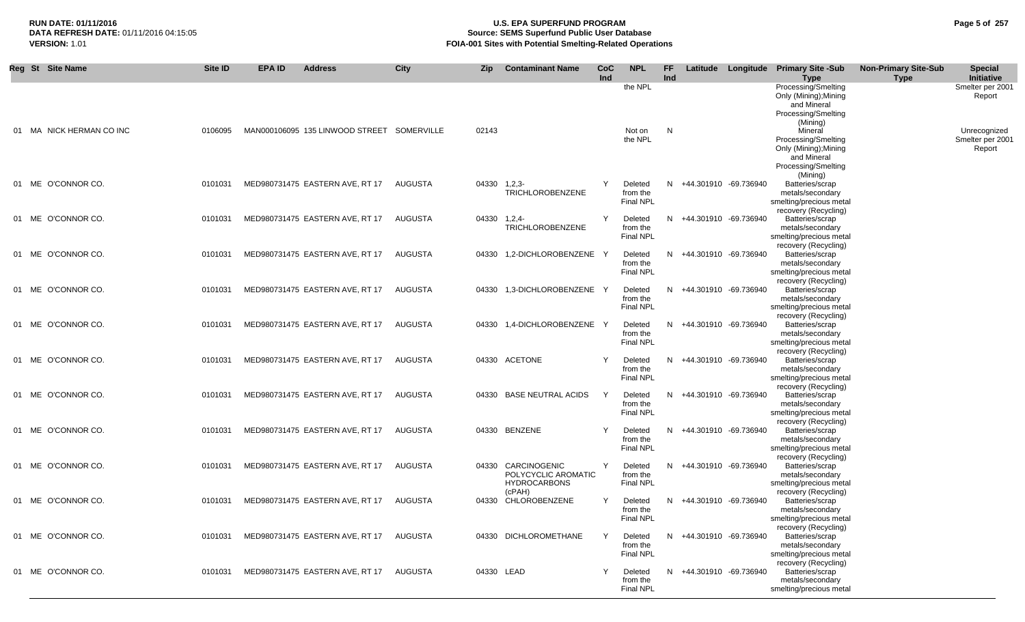# **RUN DATE: 01/11/2016 U.S. EPA SUPERFUND PROGRAM Page 5 of 257** DATA REFRESH DATE: 01/11/2016 04:15:05<br>**VERSION: 1.01** Source: SEMS Superfund Public User Database<br>FOIA-001 Sites with Potential Smelting-Related Operat **VERSION:** 1.01 **FOIA-001 Sites with Potential Smelting-Related Operations**

| Reg St Site Name         | Site ID | EPA ID                          | <b>Address</b>                             | <b>City</b> | Zip          | <b>Contaminant Name</b>                                                    | CoC<br>Ind | <b>NPL</b>                              | FF<br>Ind |                         | Latitude Longitude Primary Site -Sub<br><b>Type</b>                                                       | <b>Non-Primary Site-Sub</b><br><b>Type</b> | <b>Special</b><br>Initiative               |
|--------------------------|---------|---------------------------------|--------------------------------------------|-------------|--------------|----------------------------------------------------------------------------|------------|-----------------------------------------|-----------|-------------------------|-----------------------------------------------------------------------------------------------------------|--------------------------------------------|--------------------------------------------|
|                          |         |                                 |                                            |             |              |                                                                            |            | the NPL                                 |           |                         | Processing/Smelting<br>Only (Mining); Mining<br>and Mineral<br>Processing/Smelting<br>(Mining)            |                                            | Smelter per 2001<br>Report                 |
| 01 MA NICK HERMAN CO INC | 0106095 |                                 | MAN000106095 135 LINWOOD STREET SOMERVILLE |             | 02143        |                                                                            |            | Not on<br>the NPL                       | N         |                         | Mineral<br>Processing/Smelting<br>Only (Mining); Mining<br>and Mineral<br>Processing/Smelting<br>(Mining) |                                            | Unrecognized<br>Smelter per 2001<br>Report |
| 01 ME O'CONNOR CO.       | 0101031 | MED980731475 EASTERN AVE, RT 17 |                                            | AUGUSTA     | 04330 1,2,3- | <b>TRICHLOROBENZENE</b>                                                    | Y          | Deleted<br>from the<br>Final NPL        |           | N +44.301910 -69.736940 | Batteries/scrap<br>metals/secondary<br>smelting/precious metal<br>recovery (Recycling)                    |                                            |                                            |
| 01 ME O'CONNOR CO.       | 0101031 | MED980731475 EASTERN AVE, RT 17 |                                            | AUGUSTA     | 04330 1,2,4- | TRICHLOROBENZENE                                                           | Y          | Deleted<br>from the<br><b>Final NPL</b> |           | N +44.301910 -69.736940 | Batteries/scrap<br>metals/secondary<br>smelting/precious metal<br>recovery (Recycling)                    |                                            |                                            |
| 01 ME O'CONNOR CO.       | 0101031 | MED980731475 EASTERN AVE, RT 17 |                                            | AUGUSTA     |              | 04330 1.2-DICHLOROBENZENE                                                  |            | Deleted<br>from the<br><b>Final NPL</b> | N.        | +44.301910 -69.736940   | Batteries/scrap<br>metals/secondary<br>smelting/precious metal<br>recovery (Recycling)                    |                                            |                                            |
| 01 ME O'CONNOR CO.       | 0101031 |                                 | MED980731475 EASTERN AVE, RT 17            | AUGUSTA     |              | 04330 1,3-DICHLOROBENZENE Y                                                |            | Deleted<br>from the<br><b>Final NPL</b> |           | N +44.301910 -69.736940 | Batteries/scrap<br>metals/secondary<br>smelting/precious metal<br>recovery (Recycling)                    |                                            |                                            |
| 01 ME O'CONNOR CO.       | 0101031 | MED980731475 EASTERN AVE, RT 17 |                                            | AUGUSTA     |              | 04330 1,4-DICHLOROBENZENE Y                                                |            | Deleted<br>from the<br><b>Final NPL</b> |           | N +44.301910 -69.736940 | Batteries/scrap<br>metals/secondary<br>smelting/precious metal<br>recovery (Recycling)                    |                                            |                                            |
| 01 ME O'CONNOR CO.       | 0101031 | MED980731475 EASTERN AVE, RT 17 |                                            | AUGUSTA     |              | 04330 ACETONE                                                              |            | Deleted<br>from the<br><b>Final NPL</b> |           | N +44.301910 -69.736940 | Batteries/scrap<br>metals/secondary<br>smelting/precious metal<br>recovery (Recycling)                    |                                            |                                            |
| 01 ME O'CONNOR CO.       | 0101031 | MED980731475 EASTERN AVE, RT 17 |                                            | AUGUSTA     | 04330        | <b>BASE NEUTRAL ACIDS</b>                                                  | Y          | Deleted<br>from the<br><b>Final NPL</b> |           | N +44.301910 -69.736940 | Batteries/scrap<br>metals/secondary<br>smelting/precious metal<br>recovery (Recycling)                    |                                            |                                            |
| 01 ME O'CONNOR CO.       | 0101031 |                                 | MED980731475 EASTERN AVE, RT 17            | AUGUSTA     |              | 04330 BENZENE                                                              |            | Deleted<br>from the<br><b>Final NPL</b> |           | N +44.301910 -69.736940 | Batteries/scrap<br>metals/secondary<br>smelting/precious metal<br>recovery (Recycling)                    |                                            |                                            |
| 01 ME O'CONNOR CO.       | 0101031 |                                 | MED980731475 EASTERN AVE, RT 17            | AUGUSTA     |              | 04330 CARCINOGENIC<br>POLYCYCLIC AROMATIC<br><b>HYDROCARBONS</b><br>(cPAH) | Y          | Deleted<br>from the<br><b>Final NPL</b> |           | N +44.301910 -69.736940 | Batteries/scrap<br>metals/secondary<br>smelting/precious metal<br>recovery (Recycling)                    |                                            |                                            |
| 01 ME O'CONNOR CO.       | 0101031 | MED980731475 EASTERN AVE, RT 17 |                                            | AUGUSTA     | 04330        | CHLOROBENZENE                                                              | Y          | Deleted<br>from the<br><b>Final NPL</b> | N.        | +44.301910 -69.736940   | Batteries/scrap<br>metals/secondary<br>smelting/precious metal<br>recovery (Recycling)                    |                                            |                                            |
| 01 ME O'CONNOR CO.       | 0101031 | MED980731475 EASTERN AVE, RT 17 |                                            | AUGUSTA     |              | 04330 DICHLOROMETHANE                                                      | Y          | Deleted<br>from the<br>Final NPL        |           | N +44.301910 -69.736940 | Batteries/scrap<br>metals/secondary<br>smelting/precious metal<br>recovery (Recycling)                    |                                            |                                            |
| 01 ME O'CONNOR CO.       | 0101031 | MED980731475 EASTERN AVE, RT 17 |                                            | AUGUSTA     | 04330 LEAD   |                                                                            | Y          | Deleted<br>from the<br><b>Final NPL</b> |           | N +44.301910 -69.736940 | Batteries/scrap<br>metals/secondary<br>smelting/precious metal                                            |                                            |                                            |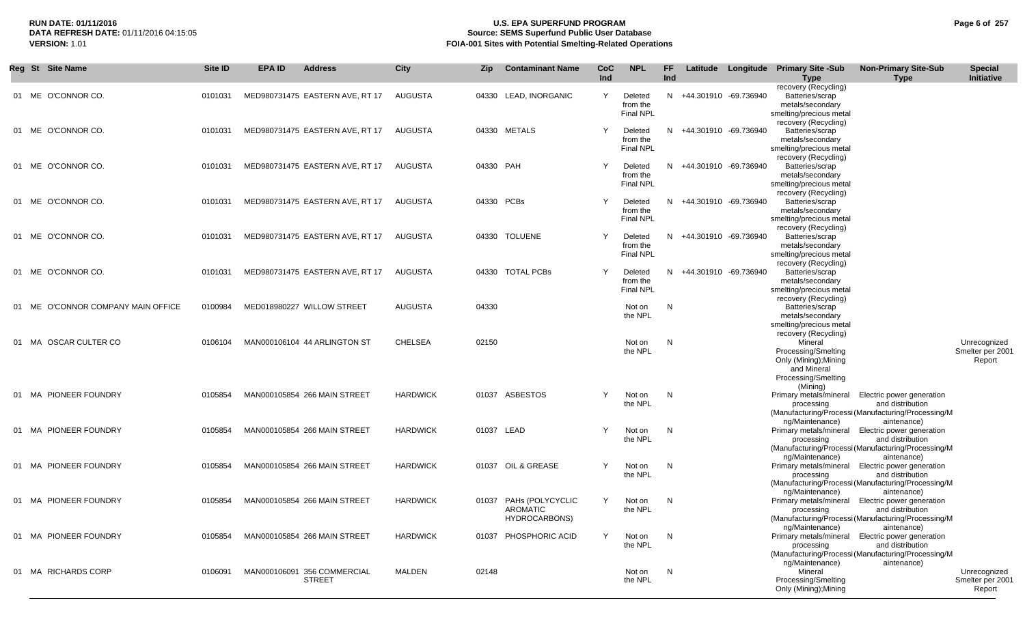## **RUN DATE: 01/11/2016 U.S. EPA SUPERFUND PROGRAM Page 6 of 257 Source: SEMS Superfund Public User Database VERSION:** 1.01 **FOIA-001 Sites with Potential Smelting-Related Operations**

| <b>Reg St Site Name</b>               | Site ID | <b>EPA ID</b> | <b>Address</b>                               | City            | Zip        | <b>Contaminant Name</b>                              | <b>CoC</b><br>Ind | <b>NPL</b>                              | <b>FF</b><br>Ind |                         | Latitude Longitude Primary Site -Sub<br><b>Type</b>                                                            | <b>Non-Primary Site-Sub</b><br><b>Type</b>                                                                           | <b>Special</b><br>Initiative               |
|---------------------------------------|---------|---------------|----------------------------------------------|-----------------|------------|------------------------------------------------------|-------------------|-----------------------------------------|------------------|-------------------------|----------------------------------------------------------------------------------------------------------------|----------------------------------------------------------------------------------------------------------------------|--------------------------------------------|
| 01 ME O'CONNOR CO.                    | 0101031 |               | MED980731475 EASTERN AVE, RT 17              | <b>AUGUSTA</b>  |            | 04330 LEAD, INORGANIC                                | Y                 | Deleted<br>from the<br><b>Final NPL</b> |                  | N +44.301910 -69.736940 | recovery (Recycling)<br>Batteries/scrap<br>metals/secondary<br>smelting/precious metal                         |                                                                                                                      |                                            |
| 01 ME O'CONNOR CO.                    | 0101031 |               | MED980731475 EASTERN AVE, RT 17              | AUGUSTA         |            | 04330 METALS                                         |                   | Deleted<br>from the<br><b>Final NPL</b> |                  | N +44.301910 -69.736940 | recovery (Recycling)<br>Batteries/scrap<br>metals/secondary<br>smelting/precious metal<br>recovery (Recycling) |                                                                                                                      |                                            |
| 01 ME O'CONNOR CO.                    | 0101031 |               | MED980731475 EASTERN AVE, RT 17              | AUGUSTA         | 04330 PAH  |                                                      | Y                 | Deleted<br>from the<br><b>Final NPL</b> |                  | N +44.301910 -69.736940 | Batteries/scrap<br>metals/secondary<br>smelting/precious metal<br>recovery (Recycling)                         |                                                                                                                      |                                            |
| 01 ME O'CONNOR CO.                    | 0101031 |               | MED980731475 EASTERN AVE, RT 17              | AUGUSTA         | 04330 PCBs |                                                      |                   | Deleted<br>from the<br><b>Final NPL</b> | N.               | +44.301910 -69.736940   | Batteries/scrap<br>metals/secondary<br>smelting/precious metal<br>recovery (Recycling)                         |                                                                                                                      |                                            |
| 01 ME O'CONNOR CO.                    | 0101031 |               | MED980731475 EASTERN AVE, RT 17              | AUGUSTA         |            | 04330 TOLUENE                                        | Y                 | Deleted<br>from the<br><b>Final NPL</b> |                  | N +44.301910 -69.736940 | Batteries/scrap<br>metals/secondary<br>smelting/precious metal<br>recovery (Recycling)                         |                                                                                                                      |                                            |
| 01 ME O'CONNOR CO.                    | 0101031 |               | MED980731475 EASTERN AVE, RT 17              | AUGUSTA         |            | 04330 TOTAL PCBs                                     | Y                 | Deleted<br>from the<br><b>Final NPL</b> | N.               | +44.301910 -69.736940   | Batteries/scrap<br>metals/secondary<br>smelting/precious metal<br>recovery (Recycling)                         |                                                                                                                      |                                            |
| O'CONNOR COMPANY MAIN OFFICE<br>01 ME | 0100984 |               | MED018980227 WILLOW STREET                   | AUGUSTA         | 04330      |                                                      |                   | Not on<br>the NPL                       | N                |                         | Batteries/scrap<br>metals/secondary<br>smelting/precious metal<br>recovery (Recycling)                         |                                                                                                                      |                                            |
| 01 MA OSCAR CULTER CO                 | 0106104 |               | MAN000106104 44 ARLINGTON ST                 | <b>CHELSEA</b>  | 02150      |                                                      |                   | Not on<br>the NPL                       | N                |                         | Mineral<br>Processing/Smelting<br>Only (Mining); Mining<br>and Mineral<br>Processing/Smelting<br>(Mining)      |                                                                                                                      | Unrecognized<br>Smelter per 2001<br>Report |
| 01 MA PIONEER FOUNDRY                 | 0105854 |               | MAN000105854 266 MAIN STREET                 | <b>HARDWICK</b> |            | 01037 ASBESTOS                                       |                   | Not on<br>the NPL                       | N                |                         | Primary metals/mineral<br>processing<br>ng/Maintenance)                                                        | Electric power generation<br>and distribution<br>(Manufacturing/Processi (Manufacturing/Processing/M)<br>aintenance) |                                            |
| 01 MA PIONEER FOUNDRY                 | 0105854 |               | MAN000105854 266 MAIN STREET                 | <b>HARDWICK</b> | 01037 LEAD |                                                      | Y                 | Not on<br>the NPL                       | N                |                         | Primary metals/mineral<br>processing<br>ng/Maintenance)                                                        | Electric power generation<br>and distribution<br>(Manufacturing/Processi (Manufacturing/Processing/M<br>aintenance)  |                                            |
| 01 MA PIONEER FOUNDRY                 | 0105854 |               | MAN000105854 266 MAIN STREET                 | <b>HARDWICK</b> |            | 01037 OIL & GREASE                                   | Y                 | Not on<br>the NPL                       | N                |                         | Primary metals/mineral<br>processing<br>ng/Maintenance)                                                        | Electric power generation<br>and distribution<br>(Manufacturing/Processi (Manufacturing/Processing/M<br>aintenance)  |                                            |
| 01 MA PIONEER FOUNDRY                 | 0105854 |               | MAN000105854 266 MAIN STREET                 | <b>HARDWICK</b> | 01037      | PAHs (POLYCYCLIC<br><b>AROMATIC</b><br>HYDROCARBONS) | Y                 | Not on<br>the NPL                       | N                |                         | Primary metals/mineral<br>processing<br>ng/Maintenance)                                                        | Electric power generation<br>and distribution<br>(Manufacturing/Processi (Manufacturing/Processing/M<br>aintenance)  |                                            |
| 01 MA PIONEER FOUNDRY                 | 0105854 |               | MAN000105854 266 MAIN STREET                 | <b>HARDWICK</b> |            | 01037 PHOSPHORIC ACID                                | Y                 | Not on<br>the NPL                       | N                |                         | Primary metals/mineral<br>processing<br>ng/Maintenance)                                                        | Electric power generation<br>and distribution<br>(Manufacturing/Processi (Manufacturing/Processing/M<br>aintenance)  |                                            |
| 01 MA RICHARDS CORP                   | 0106091 |               | MAN000106091 356 COMMERCIAL<br><b>STREET</b> | <b>MALDEN</b>   | 02148      |                                                      |                   | Not on<br>the NPL                       | N                |                         | Mineral<br>Processing/Smelting<br>Only (Mining); Mining                                                        |                                                                                                                      | Unrecognized<br>Smelter per 2001<br>Report |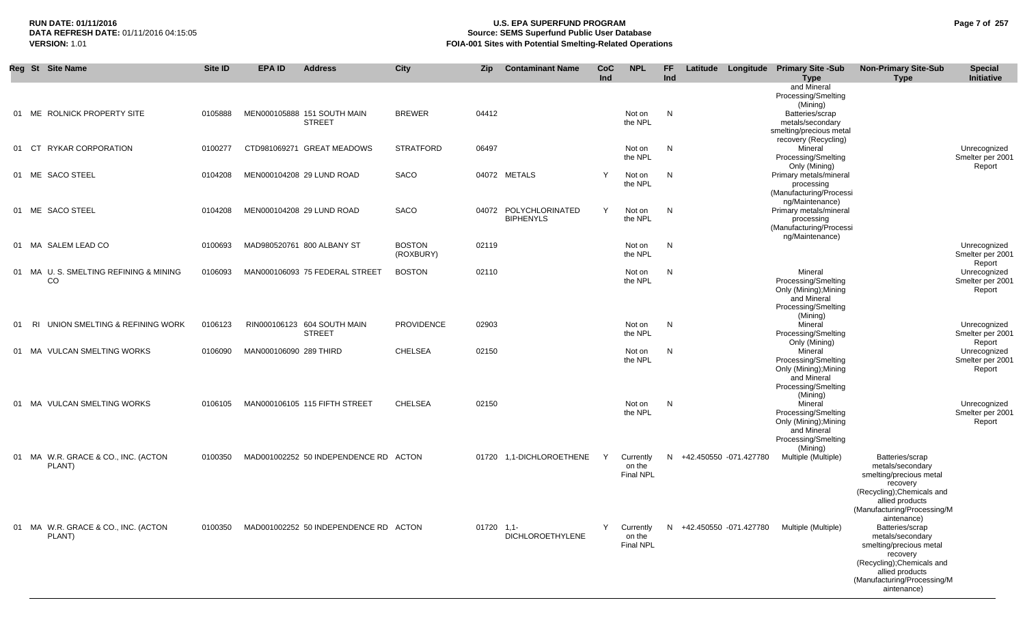# **RUN DATE: 01/11/2016 U.S. EPA SUPERFUND PROGRAM Page 7 of 257 Source: SEMS Superfund Public User Database VERSION:** 1.01 **FOIA-001 Sites with Potential Smelting-Related Operations**

|    | Reg St Site Name                                        | Site ID | <b>EPA ID</b>          | <b>Address</b>                               | <b>City</b>                | <b>Zip</b> | <b>Contaminant Name</b>                   | <b>CoC</b><br>Ind | <b>NPL</b>                              | FF.<br>Ind |                          | Latitude Longitude Primary Site -Sub<br><b>Type</b><br>and Mineral<br>Processing/Smelting                 | <b>Non-Primary Site-Sub</b><br><b>Type</b>                                                                                                                                | <b>Special</b><br>Initiative               |
|----|---------------------------------------------------------|---------|------------------------|----------------------------------------------|----------------------------|------------|-------------------------------------------|-------------------|-----------------------------------------|------------|--------------------------|-----------------------------------------------------------------------------------------------------------|---------------------------------------------------------------------------------------------------------------------------------------------------------------------------|--------------------------------------------|
|    | 01 ME ROLNICK PROPERTY SITE                             | 0105888 |                        | MEN000105888 151 SOUTH MAIN<br><b>STREET</b> | <b>BREWER</b>              | 04412      |                                           |                   | Not on<br>the NPL                       | N          |                          | (Mining)<br>Batteries/scrap<br>metals/secondary<br>smelting/precious metal<br>recovery (Recycling)        |                                                                                                                                                                           |                                            |
|    | 01 CT RYKAR CORPORATION                                 | 0100277 |                        | CTD981069271 GREAT MEADOWS                   | <b>STRATFORD</b>           | 06497      |                                           |                   | Not on<br>the NPL                       | N          |                          | Mineral<br>Processing/Smelting                                                                            |                                                                                                                                                                           | Unrecognized<br>Smelter per 2001           |
|    | 01 ME SACO STEEL                                        | 0104208 |                        | MEN000104208 29 LUND ROAD                    | SACO                       |            | 04072 METALS                              | Y                 | Not on<br>the NPL                       | N          |                          | Only (Mining)<br>Primary metals/mineral<br>processing<br>(Manufacturing/Processi<br>ng/Maintenance)       |                                                                                                                                                                           | Report                                     |
|    | 01 ME SACO STEEL                                        | 0104208 |                        | MEN000104208 29 LUND ROAD                    | SACO                       |            | 04072 POLYCHLORINATED<br><b>BIPHENYLS</b> | Y                 | Not on<br>the NPL                       | N          |                          | Primary metals/mineral<br>processing<br>(Manufacturing/Processi<br>ng/Maintenance)                        |                                                                                                                                                                           |                                            |
|    | 01 MA SALEM LEAD CO                                     | 0100693 |                        | MAD980520761 800 ALBANY ST                   | <b>BOSTON</b><br>(ROXBURY) | 02119      |                                           |                   | Not on<br>the NPL                       | N          |                          |                                                                                                           |                                                                                                                                                                           | Unrecognized<br>Smelter per 2001<br>Report |
|    | 01 MA U. S. SMELTING REFINING & MINING<br><sub>CO</sub> | 0106093 |                        | MAN000106093 75 FEDERAL STREET               | <b>BOSTON</b>              | 02110      |                                           |                   | Not on<br>the NPL                       | N          |                          | Mineral<br>Processing/Smelting<br>Only (Mining); Mining<br>and Mineral<br>Processing/Smelting<br>(Mining) |                                                                                                                                                                           | Unrecognized<br>Smelter per 2001<br>Report |
| 01 | RI UNION SMELTING & REFINING WORK                       | 0106123 |                        | RIN000106123 604 SOUTH MAIN<br><b>STREET</b> | <b>PROVIDENCE</b>          | 02903      |                                           |                   | Not on<br>the NPL                       | N          |                          | Mineral<br>Processing/Smelting<br>Only (Mining)                                                           |                                                                                                                                                                           | Unrecognized<br>Smelter per 2001<br>Report |
|    | 01 MA VULCAN SMELTING WORKS                             | 0106090 | MAN000106090 289 THIRD |                                              | <b>CHELSEA</b>             | 02150      |                                           |                   | Not on<br>the NPL                       | N          |                          | Mineral<br>Processing/Smelting<br>Only (Mining); Mining<br>and Mineral<br>Processing/Smelting<br>(Mining) |                                                                                                                                                                           | Unrecognized<br>Smelter per 2001<br>Report |
|    | 01 MA VULCAN SMELTING WORKS                             | 0106105 |                        | MAN000106105 115 FIFTH STREET                | <b>CHELSEA</b>             | 02150      |                                           |                   | Not on<br>the NPL                       | N          |                          | Mineral<br>Processing/Smelting<br>Only (Mining); Mining<br>and Mineral<br>Processing/Smelting<br>(Mining) |                                                                                                                                                                           | Unrecognized<br>Smelter per 2001<br>Report |
|    | 01 MA W.R. GRACE & CO., INC. (ACTON<br>PLANT)           | 0100350 |                        | MAD001002252 50 INDEPENDENCE RD ACTON        |                            | 01720      | 1,1-DICHLOROETHENE                        | Y                 | Currently<br>on the<br><b>Final NPL</b> | N          | +42.450550 -071.427780   | Multiple (Multiple)                                                                                       | Batteries/scrap<br>metals/secondary<br>smelting/precious metal<br>recovery<br>(Recycling); Chemicals and<br>allied products<br>(Manufacturing/Processing/M                |                                            |
|    | 01 MA W.R. GRACE & CO., INC. (ACTON<br>PLANT)           | 0100350 |                        | MAD001002252 50 INDEPENDENCE RD ACTON        |                            | 01720      | $1.1 -$<br><b>DICHLOROETHYLENE</b>        | Y                 | Currently<br>on the<br>Final NPL        |            | N +42.450550 -071.427780 | Multiple (Multiple)                                                                                       | aintenance)<br>Batteries/scrap<br>metals/secondary<br>smelting/precious metal<br>recovery<br>(Recycling); Chemicals and<br>allied products<br>(Manufacturing/Processing/M |                                            |

aintenance)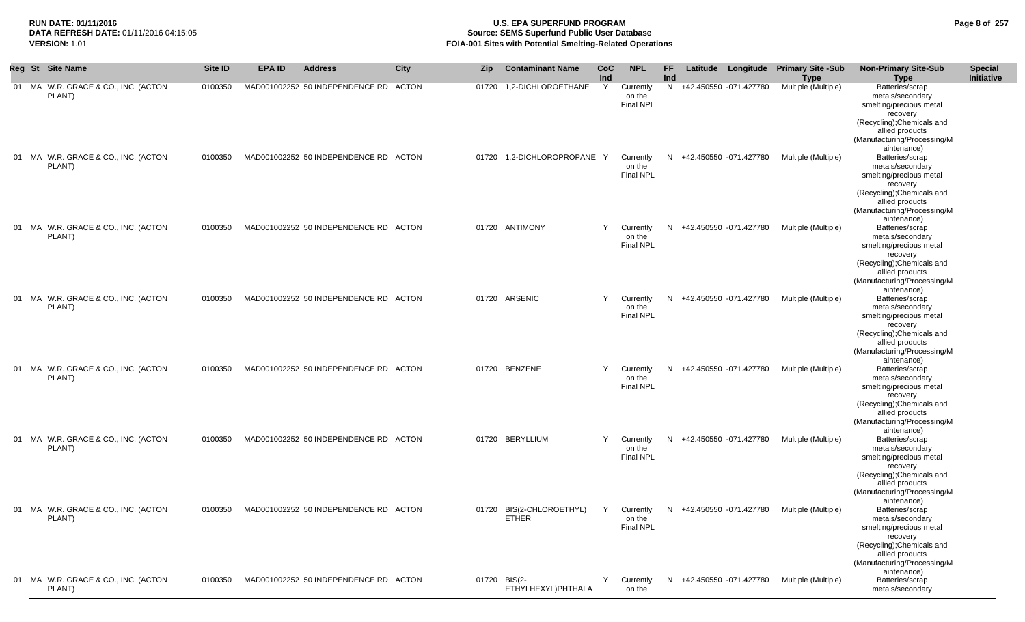## **RUN DATE: 01/11/2016 U.S. EPA SUPERFUND PROGRAM Page 8 of 257** DATA REFRESH DATE: 01/11/2016 04:15:05<br>**VERSION: 1.01** Source: SEMS Superfund Public User Database<br>FOIA-001 Sites with Potential Smelting-Related Operat **FOIA-001 Sites with Potential Smelting-Related Operations**

|     | Reg St Site Name                                           | Site ID | EPA ID | <b>Address</b>                        | <b>City</b> | <b>Zip</b> | <b>Contaminant Name</b>                  | <b>CoC</b> | <b>NPL</b>                              | FF. |                          | Latitude Longitude Primary Site -Sub | <b>Non-Primary Site-Sub</b>                                                                                                                                                              | <b>Special</b> |
|-----|------------------------------------------------------------|---------|--------|---------------------------------------|-------------|------------|------------------------------------------|------------|-----------------------------------------|-----|--------------------------|--------------------------------------|------------------------------------------------------------------------------------------------------------------------------------------------------------------------------------------|----------------|
|     | 01 MA W.R. GRACE & CO., INC. (ACTON<br>PLANT)              | 0100350 |        | MAD001002252 50 INDEPENDENCE RD ACTON |             | 01720      | 1,2-DICHLOROETHANE                       | Ind<br>Y   | Currently<br>on the<br><b>Final NPL</b> | Ind | N +42.450550 -071.427780 | <b>Type</b><br>Multiple (Multiple)   | <b>Type</b><br>Batteries/scrap<br>metals/secondary<br>smelting/precious metal<br>recovery<br>(Recycling); Chemicals and<br>allied products<br>(Manufacturing/Processing/M<br>aintenance) | Initiative     |
|     | 01 MA W.R. GRACE & CO., INC. (ACTON<br>PLANT)              | 0100350 |        | MAD001002252 50 INDEPENDENCE RD ACTON |             | 01720      | 1,2-DICHLOROPROPANE Y                    |            | Currently<br>on the<br><b>Final NPL</b> |     | N +42.450550 -071.427780 | Multiple (Multiple)                  | Batteries/scrap<br>metals/secondary<br>smelting/precious metal<br>recovery<br>(Recycling); Chemicals and<br>allied products<br>(Manufacturing/Processing/M<br>aintenance)                |                |
|     | 01 MA W.R. GRACE & CO., INC. (ACTON<br>PLANT)              | 0100350 |        | MAD001002252 50 INDEPENDENCE RD ACTON |             |            | 01720 ANTIMONY                           | Y          | Currently<br>on the<br><b>Final NPL</b> |     | N +42.450550 -071.427780 | Multiple (Multiple)                  | Batteries/scrap<br>metals/secondary<br>smelting/precious metal<br>recovery<br>(Recycling); Chemicals and<br>allied products<br>(Manufacturing/Processing/M<br>aintenance)                |                |
| -01 | MA W.R. GRACE & CO., INC. (ACTON<br>PLANT)                 | 0100350 |        | MAD001002252 50 INDEPENDENCE RD ACTON |             |            | 01720 ARSENIC                            | Y          | Currently<br>on the<br><b>Final NPL</b> | N.  | +42.450550 -071.427780   | Multiple (Multiple)                  | Batteries/scrap<br>metals/secondary<br>smelting/precious metal<br>recovery<br>(Recycling): Chemicals and<br>allied products<br>(Manufacturing/Processing/M                               |                |
|     | 01 MA W.R. GRACE & CO., INC. (ACTON<br>PLANT)              | 0100350 |        | MAD001002252 50 INDEPENDENCE RD ACTON |             | 01720      | <b>BENZENE</b>                           | Y          | Currently<br>on the<br>Final NPL        | N.  | +42.450550 -071.427780   | Multiple (Multiple)                  | aintenance)<br>Batteries/scrap<br>metals/secondary<br>smelting/precious metal<br>recovery<br>(Recycling); Chemicals and<br>allied products<br>(Manufacturing/Processing/M                |                |
| 01  | MA W.R. GRACE & CO., INC. (ACTON<br>PLANT)                 | 0100350 |        | MAD001002252 50 INDEPENDENCE RD ACTON |             |            | 01720 BERYLLIUM                          | Y          | Currently<br>on the<br><b>Final NPL</b> | N.  | +42.450550 -071.427780   | Multiple (Multiple)                  | aintenance)<br>Batteries/scrap<br>metals/secondary<br>smelting/precious metal<br>recovery<br>(Recycling); Chemicals and<br>allied products<br>(Manufacturing/Processing/M<br>aintenance) |                |
|     | 01 MA W.R. GRACE & CO., INC. (ACTON<br>PLAN <sub>I</sub> ) | 0100350 |        | MAD001002252 50 INDEPENDENCE RD ACTON |             |            | 01720 BIS(2-CHLOROETHYL)<br><b>EIHER</b> | Y          | Currently<br>on the<br><b>Final NPL</b> |     | N +42.450550 -071.427780 | Multiple (Multiple)                  | Batteries/scrap<br>metals/secondary<br>smelting/precious metal<br>recovery<br>(Recycling); Chemicals and<br>allied products<br>(Manufacturing/Processing/M<br>aintenance)                |                |
|     | 01 MA W.R. GRACE & CO., INC. (ACTON<br>PLANT)              | 0100350 |        | MAD001002252 50 INDEPENDENCE RD ACTON |             |            | 01720 BIS(2-<br>ETHYLHEXYL)PHTHALA       | Y          | Currently<br>on the                     |     | N +42.450550 -071.427780 | Multiple (Multiple)                  | Batteries/scrap<br>metals/secondary                                                                                                                                                      |                |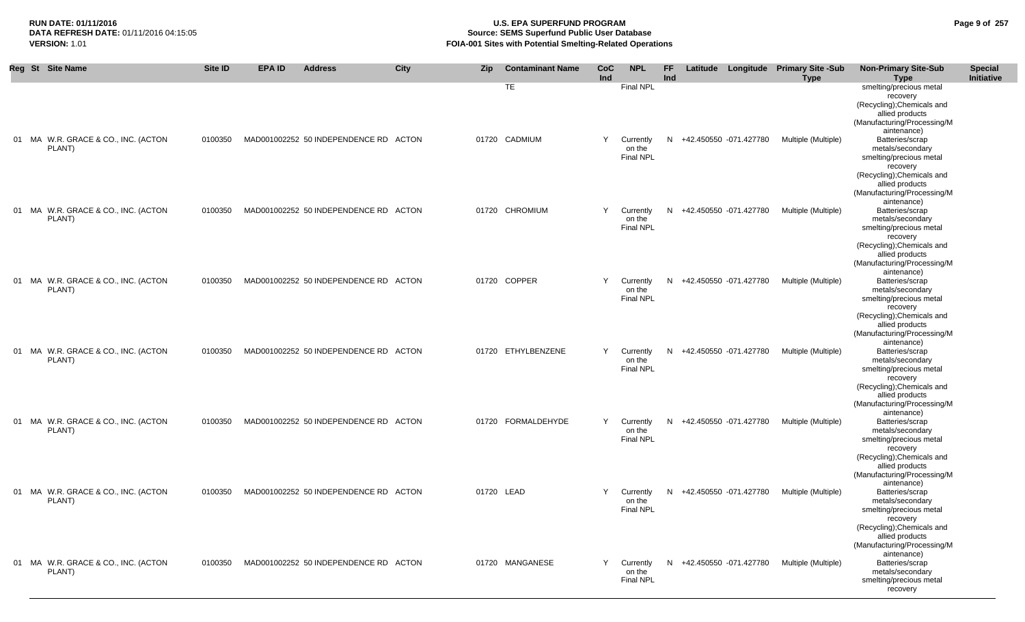# **RUN DATE: 01/11/2016 U.S. EPA SUPERFUND PROGRAM Page 9 of 257 Source: SEMS Superfund Public User Database VERSION:** 1.01 **FOIA-001 Sites with Potential Smelting-Related Operations**

|  | Reg St Site Name                              | <b>Site ID</b> | <b>EPA ID</b> | <b>Address</b>                        | <b>City</b> | Zip   | <b>Contaminant Name</b>    | <b>CoC</b><br>Ind | <b>NPL</b>                                           | <b>FF</b><br>Ind |                          | Latitude Longitude Primary Site -Sub<br><b>Type</b> | <b>Non-Primary Site-Sub</b><br><b>Type</b>                                                                                                                                                                                                                        | <b>Special</b><br><b>Initiative</b> |
|--|-----------------------------------------------|----------------|---------------|---------------------------------------|-------------|-------|----------------------------|-------------------|------------------------------------------------------|------------------|--------------------------|-----------------------------------------------------|-------------------------------------------------------------------------------------------------------------------------------------------------------------------------------------------------------------------------------------------------------------------|-------------------------------------|
|  | 01 MA W.R. GRACE & CO., INC. (ACTON<br>PLANT) | 0100350        |               | MAD001002252 50 INDEPENDENCE RD ACTON |             |       | <b>TE</b><br>01720 CADMIUM | Y                 | <b>Final NPL</b><br>Currently<br>on the<br>Final NPL |                  | N +42.450550 -071.427780 | Multiple (Multiple)                                 | smelting/precious metal<br>recovery<br>(Recycling); Chemicals and<br>allied products<br>(Manufacturing/Processing/M<br>aintenance)<br>Batteries/scrap<br>metals/secondary<br>smelting/precious metal<br>recovery<br>(Recycling); Chemicals and<br>allied products |                                     |
|  | 01 MA W.R. GRACE & CO., INC. (ACTON<br>PLANT) | 0100350        |               | MAD001002252 50 INDEPENDENCE RD ACTON |             | 01720 | <b>CHROMIUM</b>            | Y                 | Currently<br>on the<br>Final NPL                     |                  | N +42.450550 -071.427780 | Multiple (Multiple)                                 | (Manufacturing/Processing/M<br>aintenance)<br>Batteries/scrap<br>metals/secondary<br>smelting/precious metal<br>recovery                                                                                                                                          |                                     |
|  | 01 MA W.R. GRACE & CO., INC. (ACTON<br>PLANT) | 0100350        |               | MAD001002252 50 INDEPENDENCE RD ACTON |             |       | 01720 COPPER               | Y                 | Currently<br>on the<br>Final NPL                     |                  | N +42.450550 -071.427780 | Multiple (Multiple)                                 | (Recycling); Chemicals and<br>allied products<br>(Manufacturing/Processing/M<br>aintenance)<br>Batteries/scrap<br>metals/secondary<br>smelting/precious metal<br>recovery                                                                                         |                                     |
|  | 01 MA W.R. GRACE & CO., INC. (ACTON<br>PLANT) | 0100350        |               | MAD001002252 50 INDEPENDENCE RD ACTON |             | 01720 | ETHYLBENZENE               | Υ                 | Currently<br>on the<br>Final NPL                     |                  | N +42.450550 -071.427780 | Multiple (Multiple)                                 | (Recycling); Chemicals and<br>allied products<br>(Manufacturing/Processing/M<br>aintenance)<br>Batteries/scrap<br>metals/secondary<br>smelting/precious metal<br>recovery                                                                                         |                                     |
|  | 01 MA W.R. GRACE & CO., INC. (ACTON<br>PLANT) | 0100350        |               | MAD001002252 50 INDEPENDENCE RD ACTON |             |       | 01720 FORMALDEHYDE         | Y                 | Currently<br>on the<br><b>Final NPL</b>              |                  | N +42.450550 -071.427780 | Multiple (Multiple)                                 | (Recycling); Chemicals and<br>allied products<br>(Manufacturing/Processing/M<br>aintenance)<br>Batteries/scrap<br>metals/secondary<br>smelting/precious metal<br>recovery                                                                                         |                                     |
|  | 01 MA W.R. GRACE & CO., INC. (ACTON<br>PLANT) | 0100350        |               | MAD001002252 50 INDEPENDENCE RD ACTON |             |       | 01720 LEAD                 | Y                 | Currently<br>on the<br><b>Final NPL</b>              |                  | N +42.450550 -071.427780 | Multiple (Multiple)                                 | (Recycling); Chemicals and<br>allied products<br>(Manufacturing/Processing/M<br>aintenance)<br>Batteries/scrap<br>metals/secondary<br>smelting/precious metal<br>recovery<br>(Recycling); Chemicals and                                                           |                                     |
|  | 01 MA W.R. GRACE & CO., INC. (ACTON<br>PLANT) | 0100350        |               | MAD001002252 50 INDEPENDENCE RD ACTON |             |       | 01720 MANGANESE            | Y                 | Currently<br>on the<br>Final NPL                     |                  | N +42.450550 -071.427780 | Multiple (Multiple)                                 | allied products<br>(Manufacturing/Processing/M<br>aintenance)<br>Batteries/scrap<br>metals/secondary<br>smelting/precious metal<br>recovery                                                                                                                       |                                     |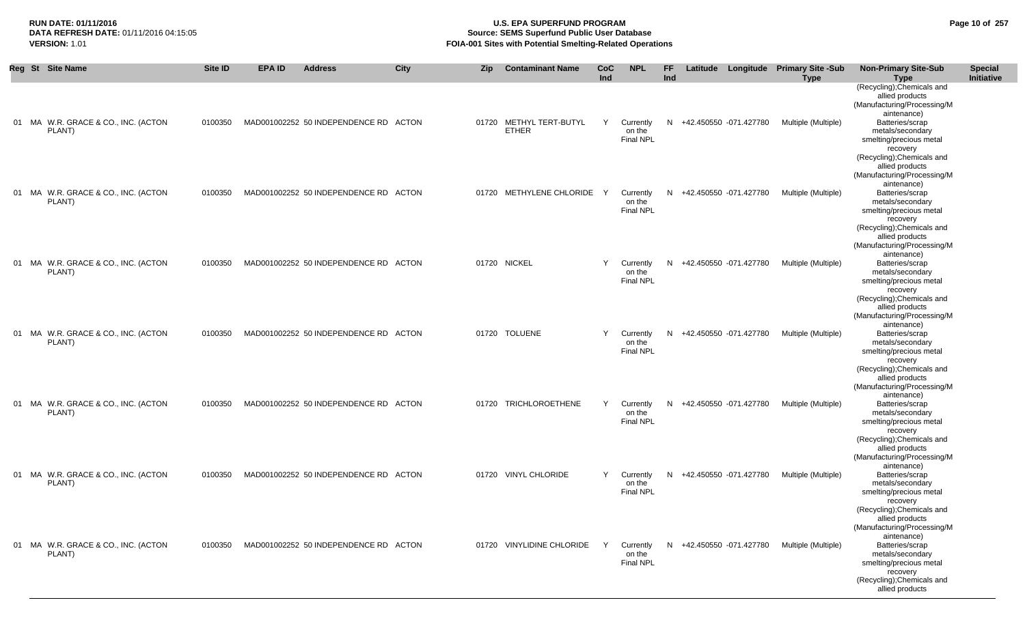# **RUN DATE: 01/11/2016 U.S. EPA SUPERFUND PROGRAM Page 10 of 257 Source: SEMS Superfund Public User Database VERSION:** 1.01 **FOIA-001 Sites with Potential Smelting-Related Operations**

| Reg St Site Name                              | Site ID | <b>EPA ID</b> | <b>Address</b>                        | City | <b>Zip</b> | <b>Contaminant Name</b>           | <b>CoC</b><br>Ind | <b>NPL</b>                              | FF.<br>Ind |                          | Latitude Longitude Primary Site -Sub<br><b>Type</b> | <b>Non-Primary Site-Sub</b><br><b>Type</b><br>(Recycling); Chemicals and<br>allied products<br>(Manufacturing/Processing/M                                                                              | <b>Special</b><br><b>Initiative</b> |
|-----------------------------------------------|---------|---------------|---------------------------------------|------|------------|-----------------------------------|-------------------|-----------------------------------------|------------|--------------------------|-----------------------------------------------------|---------------------------------------------------------------------------------------------------------------------------------------------------------------------------------------------------------|-------------------------------------|
| 01 MA W.R. GRACE & CO., INC. (ACTON<br>PLANT) | 0100350 |               | MAD001002252 50 INDEPENDENCE RD ACTON |      | 01720      | METHYL TERT-BUTYL<br><b>ETHER</b> | Y                 | Currently<br>on the<br>Final NPL        |            | N +42.450550 -071.427780 | Multiple (Multiple)                                 | aintenance)<br>Batteries/scrap<br>metals/secondary<br>smelting/precious metal<br>recovery                                                                                                               |                                     |
| 01 MA W.R. GRACE & CO., INC. (ACTON<br>PLANT) | 0100350 |               | MAD001002252 50 INDEPENDENCE RD ACTON |      |            | 01720 METHYLENE CHLORIDE          | $\mathsf{Y}$      | Currently<br>on the<br><b>Final NPL</b> |            | N +42.450550 -071.427780 | Multiple (Multiple)                                 | (Recycling); Chemicals and<br>allied products<br>(Manufacturing/Processing/M<br>aintenance)<br>Batteries/scrap<br>metals/secondary<br>smelting/precious metal<br>recovery<br>(Recycling); Chemicals and |                                     |
| 01 MA W.R. GRACE & CO., INC. (ACTON<br>PLANT) | 0100350 |               | MAD001002252 50 INDEPENDENCE RD ACTON |      |            | 01720 NICKEL                      | Y                 | Currently<br>on the<br><b>Final NPL</b> |            | N +42.450550 -071.427780 | Multiple (Multiple)                                 | allied products<br>(Manufacturing/Processing/M<br>aintenance)<br>Batteries/scrap<br>metals/secondary<br>smelting/precious metal<br>recovery<br>(Recycling); Chemicals and                               |                                     |
| 01 MA W.R. GRACE & CO., INC. (ACTON<br>PLANT) | 0100350 |               | MAD001002252 50 INDEPENDENCE RD ACTON |      |            | 01720 TOLUENE                     | Y                 | Currently<br>on the<br><b>Final NPL</b> |            | N +42.450550 -071.427780 | Multiple (Multiple)                                 | allied products<br>(Manufacturing/Processing/M<br>aintenance)<br>Batteries/scrap<br>metals/secondary<br>smelting/precious metal<br>recovery                                                             |                                     |
| 01 MA W.R. GRACE & CO., INC. (ACTON<br>PLANT) | 0100350 |               | MAD001002252 50 INDEPENDENCE RD ACTON |      |            | 01720 TRICHLOROETHENE             | Y                 | Currently<br>on the<br><b>Final NPL</b> |            | N +42.450550 -071.427780 | Multiple (Multiple)                                 | (Recycling); Chemicals and<br>allied products<br>(Manufacturing/Processing/M<br>aintenance)<br>Batteries/scrap<br>metals/secondary<br>smelting/precious metal<br>recovery<br>(Recycling); Chemicals and |                                     |
| 01 MA W.R. GRACE & CO., INC. (ACTON<br>PLANT) | 0100350 |               | MAD001002252 50 INDEPENDENCE RD ACTON |      |            | 01720 VINYL CHLORIDE              | Y                 | Currently<br>on the<br><b>Final NPL</b> |            | N +42.450550 -071.427780 | Multiple (Multiple)                                 | allied products<br>(Manufacturing/Processing/M<br>aintenance)<br>Batteries/scrap<br>metals/secondary<br>smelting/precious metal<br>recovery<br>(Recycling); Chemicals and                               |                                     |
| 01 MA W.R. GRACE & CO., INC. (ACTON<br>PLANT) | 0100350 |               | MAD001002252 50 INDEPENDENCE RD ACTON |      | 01720      | <b>VINYLIDINE CHLORIDE</b>        | $\mathsf{Y}$      | Currently<br>on the<br><b>Final NPL</b> |            | N +42.450550 -071.427780 | Multiple (Multiple)                                 | allied products<br>(Manufacturing/Processing/M<br>aintenance)<br>Batteries/scrap<br>metals/secondary<br>smelting/precious metal<br>recovery<br>(Recycling); Chemicals and<br>allied products            |                                     |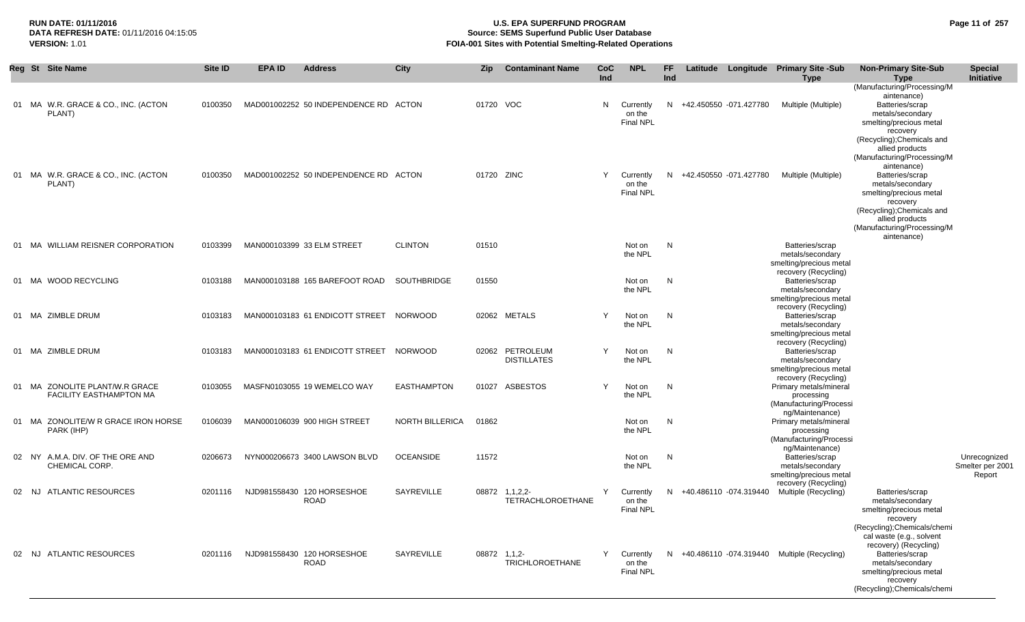# **RUN DATE: 01/11/2016 U.S. EPA SUPERFUND PROGRAM Page 11 of 257 Source: SEMS Superfund Public User Database VERSION:** 1.01 **FOIA-001 Sites with Potential Smelting-Related Operations**

| Reg St Site Name                                                 | Site ID | <b>EPA ID</b> | <b>Address</b>                            | <b>City</b>            | Zip          | <b>Contaminant Name</b>               | CoC<br>Ind | <b>NPL</b>                              | FF.<br>Ind |                          | Latitude Longitude Primary Site -Sub<br><b>Type</b>                                     | <b>Non-Primary Site-Sub</b><br>Type                                                                                                                                                                                         | <b>Special</b><br>Initiative               |
|------------------------------------------------------------------|---------|---------------|-------------------------------------------|------------------------|--------------|---------------------------------------|------------|-----------------------------------------|------------|--------------------------|-----------------------------------------------------------------------------------------|-----------------------------------------------------------------------------------------------------------------------------------------------------------------------------------------------------------------------------|--------------------------------------------|
| 01 MA W.R. GRACE & CO., INC. (ACTON<br>PLANT)                    | 0100350 |               | MAD001002252 50 INDEPENDENCE RD ACTON     |                        | 01720 VOC    |                                       | N          | Currently<br>on the<br><b>Final NPL</b> |            | N +42.450550 -071.427780 | Multiple (Multiple)                                                                     | (Manufacturing/Processing/M<br>aintenance)<br>Batteries/scrap<br>metals/secondary<br>smelting/precious metal<br>recovery<br>(Recycling); Chemicals and                                                                      |                                            |
| 01 MA W.R. GRACE & CO., INC. (ACTON<br>PLANT)                    | 0100350 |               | MAD001002252 50 INDEPENDENCE RD ACTON     |                        | 01720 ZINC   |                                       | Y          | Currently<br>on the<br><b>Final NPL</b> |            | N +42.450550 -071.427780 | Multiple (Multiple)                                                                     | allied products<br>(Manufacturing/Processing/M<br>aintenance)<br>Batteries/scrap<br>metals/secondary<br>smelting/precious metal<br>recovery<br>(Recycling); Chemicals and<br>allied products<br>(Manufacturing/Processing/M |                                            |
| 01 MA WILLIAM REISNER CORPORATION                                | 0103399 |               | MAN000103399 33 ELM STREET                | <b>CLINTON</b>         | 01510        |                                       |            | Not on<br>the NPL                       | N          |                          | Batteries/scrap<br>metals/secondary<br>smelting/precious metal                          | aintenance)                                                                                                                                                                                                                 |                                            |
| 01 MA WOOD RECYCLING                                             | 0103188 |               | MAN000103188 165 BAREFOOT ROAD            | SOUTHBRIDGE            | 01550        |                                       |            | Not on<br>the NPL                       | N          |                          | recovery (Recycling)<br>Batteries/scrap<br>metals/secondary<br>smelting/precious metal  |                                                                                                                                                                                                                             |                                            |
| 01 MA ZIMBLE DRUM                                                | 0103183 |               | MAN000103183 61 ENDICOTT STREET NORWOOD   |                        |              | 02062 METALS                          | Y          | Not on<br>the NPL                       | N          |                          | recovery (Recycling)<br>Batteries/scrap<br>metals/secondary<br>smelting/precious metal  |                                                                                                                                                                                                                             |                                            |
| 01 MA ZIMBLE DRUM                                                | 0103183 |               | MAN000103183 61 ENDICOTT STREET           | NORWOOD                |              | 02062 PETROLEUM<br><b>DISTILLATES</b> | Y          | Not on<br>the NPL                       | N          |                          | recovery (Recycling)<br>Batteries/scrap<br>metals/secondary<br>smelting/precious metal  |                                                                                                                                                                                                                             |                                            |
| 01 MA ZONOLITE PLANT/W.R GRACE<br><b>FACILITY EASTHAMPTON MA</b> | 0103055 |               | MASFN0103055 19 WEMELCO WAY               | <b>EASTHAMPTON</b>     |              | 01027 ASBESTOS                        | Y          | Not on<br>the NPL                       | N          |                          | recovery (Recycling)<br>Primary metals/mineral<br>processing<br>(Manufacturing/Processi |                                                                                                                                                                                                                             |                                            |
| 01 MA ZONOLITE/W R GRACE IRON HORSE<br>PARK (IHP)                | 0106039 |               | MAN000106039 900 HIGH STREET              | <b>NORTH BILLERICA</b> | 01862        |                                       |            | Not on<br>the NPL                       | N          |                          | ng/Maintenance)<br>Primary metals/mineral<br>processing<br>(Manufacturing/Processi      |                                                                                                                                                                                                                             |                                            |
| 02 NY A.M.A. DIV. OF THE ORE AND<br>CHEMICAL CORP.               | 0206673 |               | NYN000206673 3400 LAWSON BLVD             | <b>OCEANSIDE</b>       | 11572        |                                       |            | Not on<br>the NPL                       | N          |                          | ng/Maintenance)<br>Batteries/scrap<br>metals/secondary<br>smelting/precious metal       |                                                                                                                                                                                                                             | Unrecognized<br>Smelter per 2001<br>Report |
| <b>ATLANTIC RESOURCES</b><br>02 NJ                               | 0201116 |               | NJD981558430 120 HORSESHOE<br><b>ROAD</b> | SAYREVILLE             |              | 08872 1,1,2,2-<br>TETRACHLOROETHANE   | Y          | Currently<br>on the<br><b>Final NPL</b> | N.         | +40.486110 -074.319440   | recovery (Recycling)<br>Multiple (Recycling)                                            | Batteries/scrap<br>metals/secondary<br>smelting/precious metal<br>recovery<br>(Recycling); Chemicals/chemi                                                                                                                  |                                            |
| 02 NJ ATLANTIC RESOURCES                                         | 0201116 |               | NJD981558430 120 HORSESHOE<br><b>ROAD</b> | SAYREVILLE             | 08872 1,1,2- | <b>TRICHLOROETHANE</b>                | Y          | Currently<br>on the<br><b>Final NPL</b> |            |                          | N +40.486110 -074.319440 Multiple (Recycling)                                           | cal waste (e.g., solvent<br>recovery) (Recycling)<br>Batteries/scrap<br>metals/secondary<br>smelting/precious metal<br>recovery<br>(Recycling); Chemicals/chemi                                                             |                                            |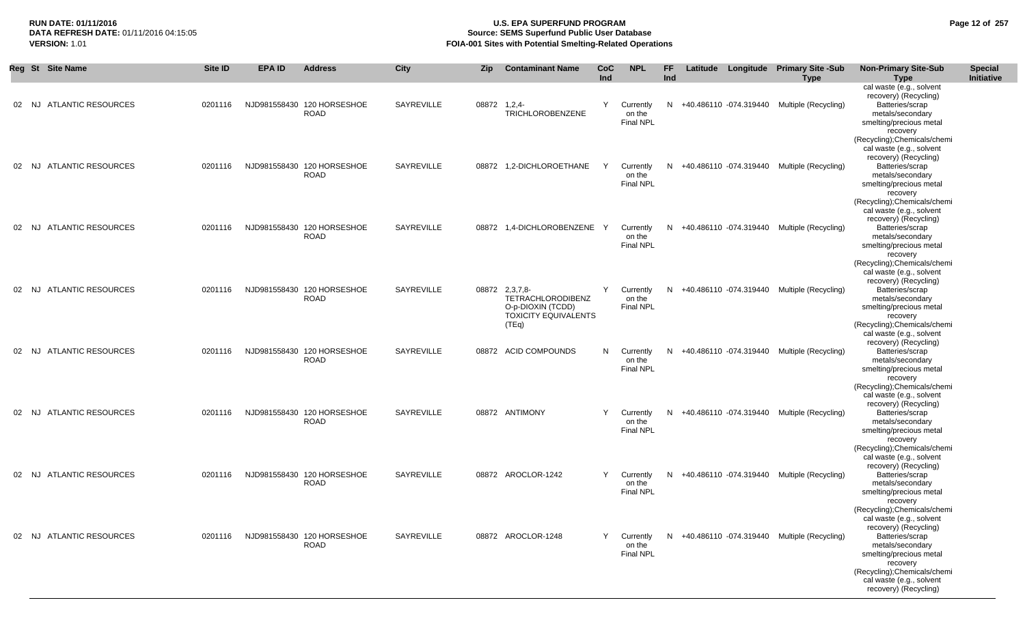# **RUN DATE: 01/11/2016 U.S. EPA SUPERFUND PROGRAM Page 12 of 257** DATA REFRESH DATE: 01/11/2016 04:15:05<br>**VERSION: 1.01** Source: SEMS Superfund Public User Database<br>FOIA-001 Sites with Potential Smelting-Related Operat **VERSION:** 1.01 **FOIA-001 Sites with Potential Smelting-Related Operations**

|    | Reg St Site Name         | Site ID | <b>EPA ID</b> | <b>Address</b>                            | City       | <b>Zip</b>   | <b>Contaminant Name</b>                                                                          | <b>CoC</b><br>Ind | <b>NPL</b>                              | FF.<br>Ind |  | Latitude Longitude Primary Site -Sub<br><b>Type</b> | <b>Non-Primary Site-Sub</b><br><b>Type</b>                                                                                                                                                                                                           | <b>Special</b><br>Initiative |
|----|--------------------------|---------|---------------|-------------------------------------------|------------|--------------|--------------------------------------------------------------------------------------------------|-------------------|-----------------------------------------|------------|--|-----------------------------------------------------|------------------------------------------------------------------------------------------------------------------------------------------------------------------------------------------------------------------------------------------------------|------------------------------|
|    | 02 NJ ATLANTIC RESOURCES | 0201116 |               | NJD981558430 120 HORSESHOE<br><b>ROAD</b> | SAYREVILLE | 08872 1,2,4- | TRICHLOROBENZENE                                                                                 | Y                 | Currently<br>on the<br><b>Final NPL</b> | N          |  | +40.486110 -074.319440 Multiple (Recycling)         | cal waste (e.g., solvent<br>recovery) (Recycling)<br>Batteries/scrap<br>metals/secondary<br>smelting/precious metal<br>recovery                                                                                                                      |                              |
|    | 02 NJ ATLANTIC RESOURCES | 0201116 |               | NJD981558430 120 HORSESHOE<br><b>ROAD</b> | SAYREVILLE |              | 08872 1,2-DICHLOROETHANE                                                                         | Y                 | Currently<br>on the<br><b>Final NPL</b> |            |  | N +40.486110 -074.319440 Multiple (Recycling)       | (Recycling); Chemicals/chemi<br>cal waste (e.g., solvent<br>recovery) (Recycling)<br>Batteries/scrap<br>metals/secondary<br>smelting/precious metal<br>recovery                                                                                      |                              |
| 02 | NJ ATLANTIC RESOURCES    | 0201116 |               | NJD981558430 120 HORSESHOE<br><b>ROAD</b> | SAYREVILLE |              | 08872 1,4-DICHLOROBENZENE Y                                                                      |                   | Currently<br>on the<br><b>Final NPL</b> | N          |  | +40.486110 -074.319440 Multiple (Recycling)         | (Recycling); Chemicals/chemi<br>cal waste (e.g., solvent<br>recovery) (Recycling)<br>Batteries/scrap<br>metals/secondary<br>smelting/precious metal<br>recovery                                                                                      |                              |
|    | 02 NJ ATLANTIC RESOURCES | 0201116 |               | NJD981558430 120 HORSESHOE<br><b>ROAD</b> | SAYREVILLE |              | 08872 2,3,7,8-<br>TETRACHLORODIBENZ<br>O-p-DIOXIN (TCDD)<br><b>TOXICITY EQUIVALENTS</b><br>(TEq) | Y                 | Currently<br>on the<br><b>Final NPL</b> | N          |  | +40.486110 -074.319440 Multiple (Recycling)         | (Recycling); Chemicals/chemi<br>cal waste (e.g., solvent<br>recovery) (Recycling)<br>Batteries/scrap<br>metals/secondary<br>smelting/precious metal<br>recovery<br>(Recycling);Chemicals/chemi                                                       |                              |
|    | 02 NJ ATLANTIC RESOURCES | 0201116 |               | NJD981558430 120 HORSESHOE<br><b>ROAD</b> | SAYREVILLE |              | 08872 ACID COMPOUNDS                                                                             | N                 | Currently<br>on the<br><b>Final NPL</b> | N.         |  | +40.486110 -074.319440 Multiple (Recycling)         | cal waste (e.g., solvent<br>recovery) (Recycling)<br>Batteries/scrap<br>metals/secondary<br>smelting/precious metal<br>recovery                                                                                                                      |                              |
| 02 | NJ ATLANTIC RESOURCES    | 0201116 |               | NJD981558430 120 HORSESHOE<br><b>ROAD</b> | SAYREVILLE |              | 08872 ANTIMONY                                                                                   | Y                 | Currently<br>on the<br><b>Final NPL</b> | N          |  | +40.486110 -074.319440 Multiple (Recycling)         | (Recycling); Chemicals/chemi<br>cal waste (e.g., solvent<br>recovery) (Recycling)<br>Batteries/scrap<br>metals/secondary<br>smelting/precious metal<br>recovery                                                                                      |                              |
|    | 02 NJ ATLANTIC RESOURCES | 0201116 |               | NJD981558430 120 HORSESHOE<br><b>ROAD</b> | SAYREVILLE |              | 08872 AROCLOR-1242                                                                               | Y                 | Currently<br>on the<br><b>Final NPL</b> | N          |  | +40.486110 -074.319440 Multiple (Recycling)         | (Recycling); Chemicals/chemi<br>cal waste (e.g., solvent<br>recovery) (Recycling)<br>Batteries/scrap<br>metals/secondary<br>smelting/precious metal<br>recovery                                                                                      |                              |
|    | 02 NJ ATLANTIC RESOURCES | 0201116 |               | NJD981558430 120 HORSESHOE<br><b>ROAD</b> | SAYREVILLE |              | 08872 AROCLOR-1248                                                                               | Y.                | Currently<br>on the<br><b>Final NPL</b> |            |  | N +40.486110 -074.319440 Multiple (Recycling)       | (Recycling); Chemicals/chemi<br>cal waste (e.g., solvent<br>recovery) (Recycling)<br>Batteries/scrap<br>metals/secondary<br>smelting/precious metal<br>recovery<br>(Recycling); Chemicals/chemi<br>cal waste (e.g., solvent<br>recovery) (Recycling) |                              |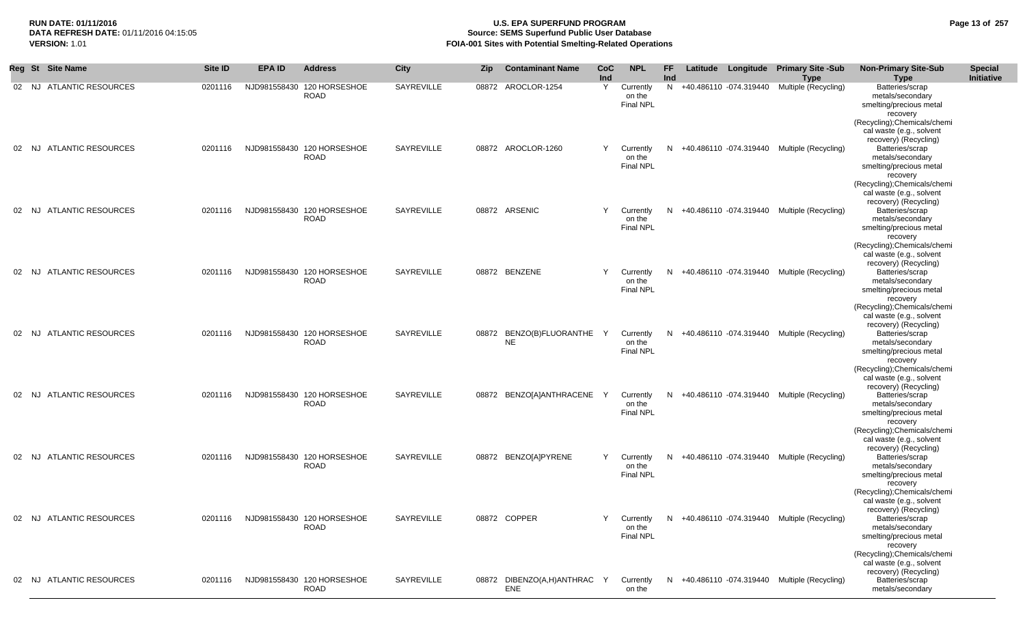# **RUN DATE: 01/11/2016 U.S. EPA SUPERFUND PROGRAM Page 13 of 257 Source: SEMS Superfund Public User Database VERSION:** 1.01 **FOIA-001 Sites with Potential Smelting-Related Operations**

| Reg St Site Name                   | Site ID | <b>EPA ID</b> | <b>Address</b>                            | City       | Zip | <b>Contaminant Name</b>            | CoC<br>Ind | <b>NPL</b>                              | FF<br>Ind |  | Latitude Longitude Primary Site -Sub<br>Type              | <b>Non-Primary Site-Sub</b><br><b>Type</b>                                                                                                                                                                  | <b>Special</b><br>Initiative |
|------------------------------------|---------|---------------|-------------------------------------------|------------|-----|------------------------------------|------------|-----------------------------------------|-----------|--|-----------------------------------------------------------|-------------------------------------------------------------------------------------------------------------------------------------------------------------------------------------------------------------|------------------------------|
| 02 NJ ATLANTIC RESOURCES           | 0201116 |               | NJD981558430 120 HORSESHOE<br><b>ROAD</b> | SAYREVILLE |     | 08872 AROCLOR-1254                 | Y          | Currently<br>on the<br><b>Final NPL</b> |           |  | N +40.486110 -074.319440 Multiple (Recycling)             | Batteries/scrap<br>metals/secondary<br>smelting/precious metal<br>recovery<br>(Recycling); Chemicals/chemi<br>cal waste (e.g., solvent                                                                      |                              |
| ATLANTIC RESOURCES<br>02 NJ        | 0201116 |               | NJD981558430 120 HORSESHOE<br>ROAD        | SAYREVILLE |     | 08872 AROCLOR-1260                 | Y          | Currently<br>on the<br><b>Final NPL</b> |           |  | N +40.486110 -074.319440 Multiple (Recycling)             | recovery) (Recycling)<br>Batteries/scrap<br>metals/secondary<br>smelting/precious metal<br>recovery                                                                                                         |                              |
| <b>ATLANTIC RESOURCES</b><br>02 NJ | 0201116 |               | NJD981558430 120 HORSESHOE<br><b>ROAD</b> | SAYREVILLE |     | 08872 ARSENIC                      | Y          | Currently<br>on the<br><b>Final NPL</b> |           |  | N +40.486110 -074.319440 Multiple (Recycling)             | (Recycling); Chemicals/chemi<br>cal waste (e.g., solvent<br>recovery) (Recycling)<br>Batteries/scrap<br>metals/secondary<br>smelting/precious metal                                                         |                              |
| 02 NJ ATLANTIC RESOURCES           | 0201116 |               | NJD981558430 120 HORSESHOE<br><b>ROAD</b> | SAYREVILLE |     | 08872 BENZENE                      | Y          | Currently<br>on the<br><b>Final NPL</b> |           |  | N +40.486110 -074.319440 Multiple (Recycling)             | recovery<br>(Recycling); Chemicals/chemi<br>cal waste (e.g., solvent<br>recovery) (Recycling)<br>Batteries/scrap<br>metals/secondary<br>smelting/precious metal<br>recovery<br>(Recycling); Chemicals/chemi |                              |
| <b>ATLANTIC RESOURCES</b><br>02 NJ | 0201116 |               | NJD981558430 120 HORSESHOE<br><b>ROAD</b> | SAYREVILLE |     | 08872 BENZO(B)FLUORANTHE<br>NE     | Y          | Currently<br>on the<br>Final NPL        |           |  | N +40.486110 -074.319440 Multiple (Recycling)             | cal waste (e.g., solvent<br>recovery) (Recycling)<br>Batteries/scrap<br>metals/secondary<br>smelting/precious metal<br>recovery                                                                             |                              |
| <b>ATLANTIC RESOURCES</b><br>02 NJ | 0201116 |               | NJD981558430 120 HORSESHOE<br>ROAD        | SAYREVILLE |     | 08872 BENZO[A]ANTHRACENE           | Y          | Currently<br>on the<br><b>Final NPL</b> |           |  | N +40.486110 -074.319440 Multiple (Recycling)             | (Recycling); Chemicals/chemi<br>cal waste (e.g., solvent<br>recovery) (Recycling)<br>Batteries/scrap<br>metals/secondary<br>smelting/precious metal<br>recovery                                             |                              |
| <b>ATLANTIC RESOURCES</b><br>02 NJ | 0201116 |               | NJD981558430 120 HORSESHOE<br>ROAD        | SAYREVILLE |     | 08872 BENZO[A]PYRENE               | Y          | Currently<br>on the<br><b>Final NPL</b> |           |  | N +40.486110 -074.319440 Multiple (Recycling)             | (Recycling); Chemicals/chemi<br>cal waste (e.g., solvent<br>recovery) (Recycling)<br>Batteries/scrap<br>metals/secondary<br>smelting/precious metal                                                         |                              |
| 02 NJ ATLANTIC RESOURCES           | 0201116 |               | NJD981558430 120 HORSESHOE<br><b>ROAD</b> | SAYREVILLE |     | 08872 COPPER                       |            | on the<br><b>Final NPL</b>              |           |  | Y Currently N +40.486110 -074.319440 Multiple (Recycling) | recovery<br>(Recycling); Chemicals/chemi<br>cal waste (e.g., solvent<br>recovery) (Recycling)<br>Batteries/scrap<br>metals/secondary<br>smelting/precious metal<br>recovery<br>(Recycling); Chemicals/chemi |                              |
| 02 NJ ATLANTIC RESOURCES           | 0201116 |               | NJD981558430 120 HORSESHOE<br>ROAD        | SAYREVILLE |     | 08872 DIBENZO(A,H)ANTHRAC Y<br>ENE |            | Currently<br>on the                     |           |  | N +40.486110 -074.319440 Multiple (Recycling)             | cal waste (e.g., solvent<br>recovery) (Recycling)<br>Batteries/scrap<br>metals/secondary                                                                                                                    |                              |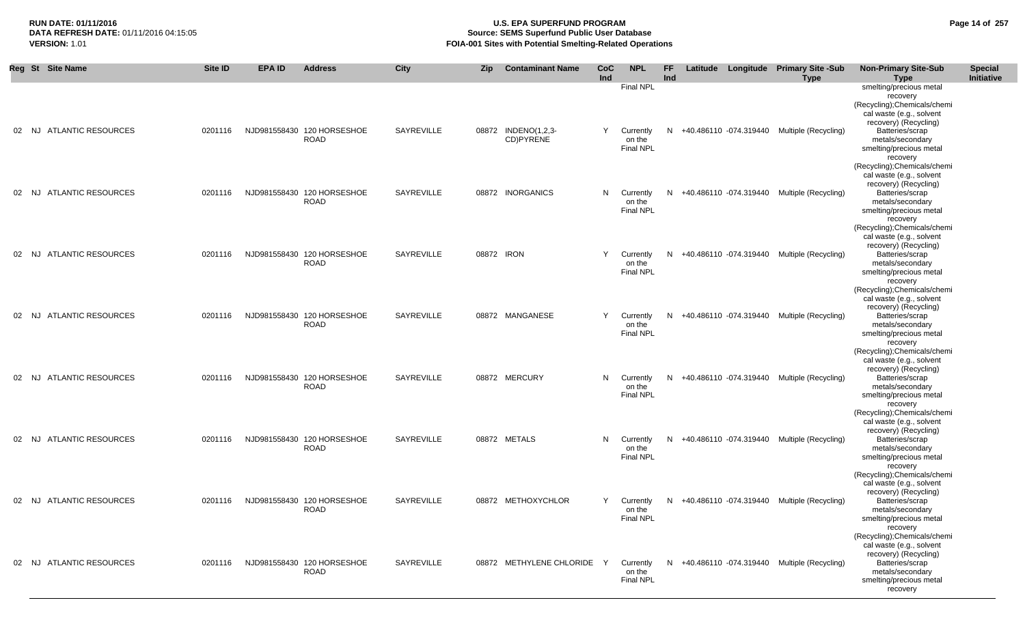# **RUN DATE: 01/11/2016 U.S. EPA SUPERFUND PROGRAM Page 14 of 257 Source: SEMS Superfund Public User Database VERSION:** 1.01 **FOIA-001 Sites with Potential Smelting-Related Operations**

|           | Reg St Site Name                 | <b>Site ID</b> | <b>EPA ID</b> | <b>Address</b>                            | <b>City</b>       | <b>Zip</b> | <b>Contaminant Name</b>          | <b>CoC</b><br>Ind | <b>NPL</b>                                                  | <b>FF</b><br>Ind |  | Latitude Longitude Primary Site -Sub<br><b>Type</b> | <b>Non-Primary Site-Sub</b><br><b>Type</b>                                                                                                                                                      | <b>Special</b><br>Initiative |
|-----------|----------------------------------|----------------|---------------|-------------------------------------------|-------------------|------------|----------------------------------|-------------------|-------------------------------------------------------------|------------------|--|-----------------------------------------------------|-------------------------------------------------------------------------------------------------------------------------------------------------------------------------------------------------|------------------------------|
|           | 02 NJ ATLANTIC RESOURCES         | 0201116        |               | NJD981558430 120 HORSESHOE<br><b>ROAD</b> | <b>SAYREVILLE</b> |            | 08872 INDENO(1,2,3-<br>CD)PYRENE | Y                 | <b>Final NPL</b><br>Currently<br>on the<br><b>Final NPL</b> |                  |  | N +40.486110 -074.319440 Multiple (Recycling)       | smelting/precious metal<br>recovery<br>(Recycling); Chemicals/chemi<br>cal waste (e.g., solvent<br>recovery) (Recycling)<br>Batteries/scrap<br>metals/secondary<br>smelting/precious metal      |                              |
| 02 NJ     | <b>ATLANTIC RESOURCES</b>        | 0201116        |               | NJD981558430 120 HORSESHOE<br><b>ROAD</b> | <b>SAYREVILLE</b> |            | 08872 INORGANICS                 |                   | N Currently<br>on the<br>Final NPL                          | N.               |  | +40.486110 -074.319440 Multiple (Recycling)         | recovery<br>(Recycling); Chemicals/chemi<br>cal waste (e.g., solvent<br>recovery) (Recycling)<br>Batteries/scrap<br>metals/secondary<br>smelting/precious metal<br>recovery                     |                              |
| 02        | <b>ATLANTIC RESOURCES</b><br>NJ. | 0201116        |               | NJD981558430 120 HORSESHOE<br><b>ROAD</b> | <b>SAYREVILLE</b> | 08872 IRON |                                  | Y                 | Currently<br>on the<br><b>Final NPL</b>                     | N.               |  | +40.486110 -074.319440 Multiple (Recycling)         | (Recycling); Chemicals/chemi<br>cal waste (e.g., solvent<br>recovery) (Recycling)<br>Batteries/scrap<br>metals/secondary<br>smelting/precious metal<br>recovery<br>(Recycling); Chemicals/chemi |                              |
| 02 NJ     | <b>ATLANTIC RESOURCES</b>        | 0201116        |               | NJD981558430 120 HORSESHOE<br><b>ROAD</b> | SAYREVILLE        |            | 08872 MANGANESE                  | Y                 | Currently<br>on the<br><b>Final NPL</b>                     | N                |  | +40.486110 -074.319440 Multiple (Recycling)         | cal waste (e.g., solvent<br>recovery) (Recycling)<br>Batteries/scrap<br>metals/secondary<br>smelting/precious metal<br>recovery<br>(Recycling); Chemicals/chemi                                 |                              |
| 02 NJ     | <b>ATLANTIC RESOURCES</b>        | 0201116        |               | NJD981558430 120 HORSESHOE<br><b>ROAD</b> | SAYREVILLE        |            | 08872 MERCURY                    |                   | N Currently<br>on the<br><b>Final NPL</b>                   | N.               |  | +40.486110 -074.319440 Multiple (Recycling)         | cal waste (e.g., solvent<br>recovery) (Recycling)<br>Batteries/scrap<br>metals/secondary<br>smelting/precious metal<br>recovery<br>(Recycling); Chemicals/chemi                                 |                              |
| NJ<br>02  | <b>ATLANTIC RESOURCES</b>        | 0201116        |               | NJD981558430 120 HORSESHOE<br><b>ROAD</b> | SAYREVILLE        |            | 08872 METALS                     | N                 | Currently<br>on the<br><b>Final NPL</b>                     | N                |  | +40.486110 -074.319440 Multiple (Recycling)         | cal waste (e.g., solvent<br>recovery) (Recycling)<br>Batteries/scrap<br>metals/secondary<br>smelting/precious metal<br>recovery<br>(Recycling); Chemicals/chemi                                 |                              |
| NJ.<br>02 | <b>ATLANTIC RESOURCES</b>        | 0201116        |               | NJD981558430 120 HORSESHOE<br><b>ROAD</b> | SAYREVILLE        |            | 08872 METHOXYCHLOR               | Y                 | Currently<br>on the<br><b>Final NPL</b>                     | N                |  | +40.486110 -074.319440 Multiple (Recycling)         | cal waste (e.g., solvent<br>recovery) (Recycling)<br>Batteries/scrap<br>metals/secondary<br>smelting/precious metal<br>recovery<br>(Recycling); Chemicals/chemi                                 |                              |
| 02 NJ     | <b>ATLANTIC RESOURCES</b>        | 0201116        |               | NJD981558430 120 HORSESHOE<br><b>ROAD</b> | SAYREVILLE        |            | 08872 METHYLENE CHLORIDE         | Y                 | Currently<br>on the<br><b>Final NPL</b>                     | N                |  | +40.486110 -074.319440 Multiple (Recycling)         | cal waste (e.g., solvent<br>recovery) (Recycling)<br>Batteries/scrap<br>metals/secondary<br>smelting/precious metal<br>recovery                                                                 |                              |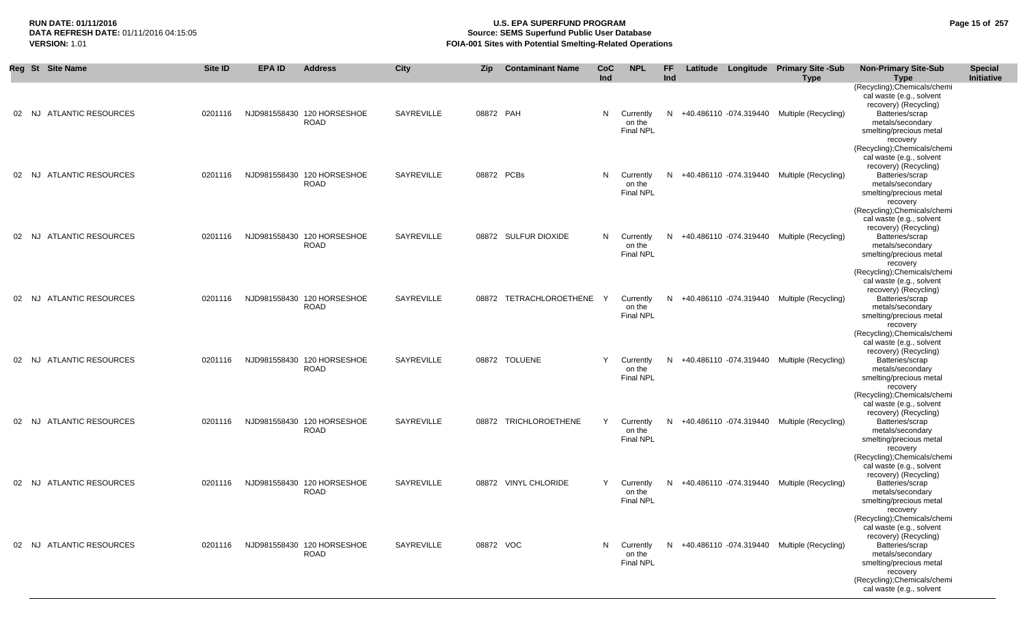# **RUN DATE: 01/11/2016 U.S. EPA SUPERFUND PROGRAM Page 15 of 257 Source: SEMS Superfund Public User Database VERSION:** 1.01 **FOIA-001 Sites with Potential Smelting-Related Operations**

|       | Reg St Site Name                 | <b>Site ID</b> | <b>EPA ID</b> | <b>Address</b>                            | <b>City</b>       | <b>Zip</b> | <b>Contaminant Name</b> | CoC<br>Ind | <b>NPL</b>                                | FF.<br>Ind |                        | Latitude Longitude Primary Site -Sub<br><b>Type</b> | <b>Non-Primary Site-Sub</b><br><b>Type</b>                                                                                                                                                                                 | <b>Special</b><br>Initiative |
|-------|----------------------------------|----------------|---------------|-------------------------------------------|-------------------|------------|-------------------------|------------|-------------------------------------------|------------|------------------------|-----------------------------------------------------|----------------------------------------------------------------------------------------------------------------------------------------------------------------------------------------------------------------------------|------------------------------|
| 02 NJ | <b>ATLANTIC RESOURCES</b>        | 0201116        |               | NJD981558430 120 HORSESHOE<br><b>ROAD</b> | SAYREVILLE        | 08872 PAH  |                         | N          | Currently<br>on the<br><b>Final NPL</b>   | N          |                        | +40.486110 -074.319440 Multiple (Recycling)         | (Recycling);Chemicals/chemi<br>cal waste (e.g., solvent<br>recovery) (Recycling)<br>Batteries/scrap<br>metals/secondary<br>smelting/precious metal                                                                         |                              |
| 02    | <b>ATLANTIC RESOURCES</b><br>NJ. | 0201116        |               | NJD981558430 120 HORSESHOE<br><b>ROAD</b> | SAYREVILLE        | 08872 PCBs |                         | N          | Currently<br>on the<br><b>Final NPL</b>   | N.         |                        | +40.486110 -074.319440 Multiple (Recycling)         | recovery<br>(Recycling);Chemicals/chemi<br>cal waste (e.g., solvent<br>recovery) (Recycling)<br>Batteries/scrap<br>metals/secondary<br>smelting/precious metal<br>recovery                                                 |                              |
| 02    | <b>ATLANTIC RESOURCES</b><br>NJ. | 0201116        |               | NJD981558430 120 HORSESHOE<br><b>ROAD</b> | SAYREVILLE        |            | 08872 SULFUR DIOXIDE    |            | N Currently<br>on the<br><b>Final NPL</b> | N.         |                        | +40.486110 -074.319440 Multiple (Recycling)         | (Recycling); Chemicals/chemi<br>cal waste (e.g., solvent<br>recovery) (Recycling)<br>Batteries/scrap<br>metals/secondary<br>smelting/precious metal<br>recovery                                                            |                              |
| 02 NJ | <b>ATLANTIC RESOURCES</b>        | 0201116        |               | NJD981558430 120 HORSESHOE<br><b>ROAD</b> | SAYREVILLE        |            | 08872 TETRACHLOROETHENE | Y          | Currently<br>on the<br><b>Final NPL</b>   | N          | +40.486110 -074.319440 | Multiple (Recycling)                                | (Recycling); Chemicals/chemi<br>cal waste (e.g., solvent<br>recovery) (Recycling)<br>Batteries/scrap<br>metals/secondary<br>smelting/precious metal<br>recovery                                                            |                              |
| 02    | <b>ATLANTIC RESOURCES</b><br>NJ. | 0201116        |               | NJD981558430 120 HORSESHOE<br><b>ROAD</b> | SAYREVILLE        |            | 08872 TOLUENE           | Y          | Currently<br>on the<br><b>Final NPL</b>   | N.         |                        | +40.486110 -074.319440 Multiple (Recycling)         | (Recycling); Chemicals/chemi<br>cal waste (e.g., solvent<br>recovery) (Recycling)<br>Batteries/scrap<br>metals/secondary<br>smelting/precious metal<br>recovery                                                            |                              |
| 02 NJ | <b>ATLANTIC RESOURCES</b>        | 0201116        |               | NJD981558430 120 HORSESHOE<br><b>ROAD</b> | SAYREVILLE        |            | 08872 TRICHLOROETHENE   | Y          | Currently<br>on the<br><b>Final NPL</b>   | N.         |                        | +40.486110 -074.319440 Multiple (Recycling)         | (Recycling);Chemicals/chemi<br>cal waste (e.g., solvent<br>recovery) (Recycling)<br>Batteries/scrap<br>metals/secondary<br>smelting/precious metal<br>recovery                                                             |                              |
|       | 02 NJ ATLANTIC RESOURCES         | 0201116        |               | NJD981558430 120 HORSESHOE<br><b>ROAD</b> | <b>SAYREVILLE</b> |            | 08872 VINYL CHLORIDE    | Y          | Currently<br>on the<br><b>Final NPL</b>   | N.         |                        | +40.486110 -074.319440 Multiple (Recycling)         | (Recycling);Chemicals/chemi<br>cal waste (e.g., solvent<br>recovery) (Recycling)<br>Batteries/scrap<br>metals/secondary<br>smelting/precious metal<br>recovery                                                             |                              |
|       | 02 NJ ATLANTIC RESOURCES         | 0201116        |               | NJD981558430 120 HORSESHOE<br><b>ROAD</b> | SAYREVILLE        | 08872 VOC  |                         |            | N Currently<br>on the<br><b>Final NPL</b> |            |                        | N +40.486110 -074.319440 Multiple (Recycling)       | (Recycling);Chemicals/chemi<br>cal waste (e.g., solvent<br>recovery) (Recycling)<br>Batteries/scrap<br>metals/secondary<br>smelting/precious metal<br>recovery<br>(Recycling); Chemicals/chemi<br>cal waste (e.g., solvent |                              |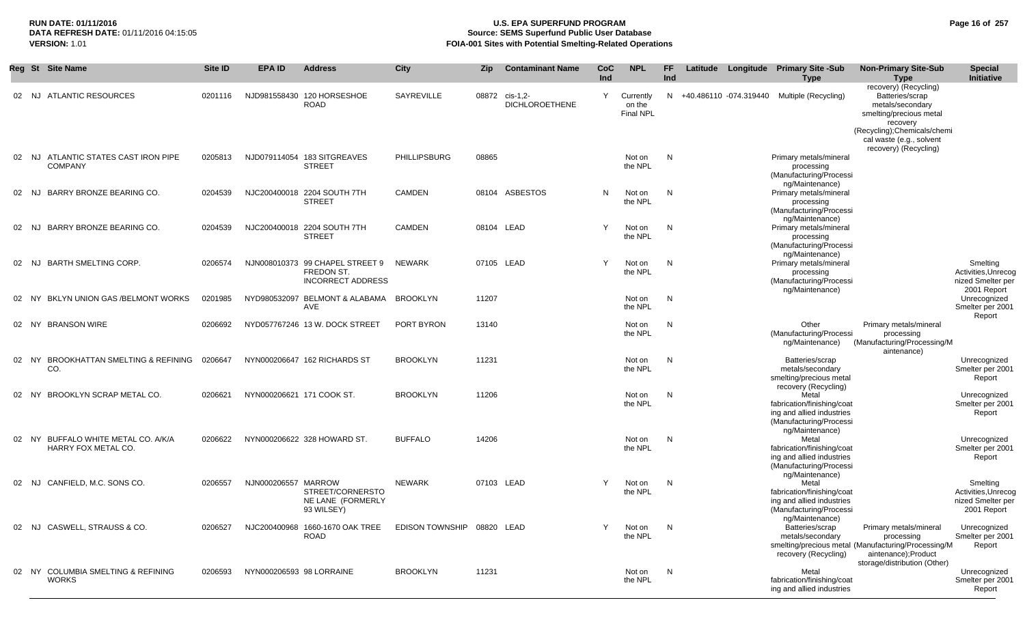# **RUN DATE: 01/11/2016 U.S. EPA SUPERFUND PROGRAM Page 16 of 257 Source: SEMS Superfund Public User Database VERSION:** 1.01 **FOIA-001 Sites with Potential Smelting-Related Operations**

|    | Reg St Site Name                                           | <b>Site ID</b> | <b>EPA ID</b>             | <b>Address</b>                                                                   | City                       | <b>Zip</b> | <b>Contaminant Name</b>           | CoC          | <b>NPL</b>                              | FF. | Latitude | Longitude Primary Site -Sub                                                                                         | <b>Non-Primary Site-Sub</b>                                                                                                         | <b>Special</b>                                                      |
|----|------------------------------------------------------------|----------------|---------------------------|----------------------------------------------------------------------------------|----------------------------|------------|-----------------------------------|--------------|-----------------------------------------|-----|----------|---------------------------------------------------------------------------------------------------------------------|-------------------------------------------------------------------------------------------------------------------------------------|---------------------------------------------------------------------|
|    |                                                            |                |                           |                                                                                  |                            |            |                                   | Ind          |                                         | Ind |          | <b>Type</b>                                                                                                         | <b>Type</b>                                                                                                                         | Initiative                                                          |
|    | 02 NJ ATLANTIC RESOURCES                                   | 0201116        |                           | NJD981558430 120 HORSESHOE<br><b>ROAD</b>                                        | SAYREVILLE                 | 08872      | cis-1.2-<br><b>DICHLOROETHENE</b> | Y            | Currently<br>on the<br><b>Final NPL</b> |     |          | N +40.486110 -074.319440 Multiple (Recycling)                                                                       | recovery) (Recycling)<br>Batteries/scrap<br>metals/secondary<br>smelting/precious metal<br>recovery<br>(Recycling); Chemicals/chemi |                                                                     |
|    |                                                            |                |                           |                                                                                  |                            |            |                                   |              |                                         |     |          |                                                                                                                     | cal waste (e.g., solvent<br>recovery) (Recycling)                                                                                   |                                                                     |
|    | 02 NJ ATLANTIC STATES CAST IRON PIPE<br><b>COMPANY</b>     | 0205813        |                           | NJD079114054 183 SITGREAVES<br><b>STREET</b>                                     | <b>PHILLIPSBURG</b>        | 08865      |                                   |              | Not on<br>the NPL                       | N   |          | Primary metals/mineral<br>processing<br>(Manufacturing/Processi                                                     |                                                                                                                                     |                                                                     |
|    | BARRY BRONZE BEARING CO.<br>02 NJ                          | 0204539        |                           | NJC200400018 2204 SOUTH 7TH<br><b>STREET</b>                                     | <b>CAMDEN</b>              |            | 08104 ASBESTOS                    | N            | Not on<br>the NPL                       | N   |          | ng/Maintenance)<br>Primary metals/mineral<br>processing<br>(Manufacturing/Processi                                  |                                                                                                                                     |                                                                     |
| 02 | BARRY BRONZE BEARING CO.<br>NJ                             | 0204539        |                           | NJC200400018 2204 SOUTH 7TH<br><b>STREET</b>                                     | <b>CAMDEN</b>              |            | 08104 LEAD                        | Y            | Not on<br>the NPL                       | N   |          | ng/Maintenance)<br>Primary metals/mineral<br>processing<br>(Manufacturing/Processi                                  |                                                                                                                                     |                                                                     |
| 02 | <b>BARTH SMELTING CORP.</b><br>NJ.                         | 0206574        |                           | NJN008010373 99 CHAPEL STREET 9<br><b>FREDON ST.</b><br><b>INCORRECT ADDRESS</b> | <b>NEWARK</b>              |            | 07105 LEAD                        | Y            | Not on<br>the NPL                       | N   |          | ng/Maintenance)<br>Primary metals/mineral<br>processing<br>(Manufacturing/Processi                                  |                                                                                                                                     | Smelting<br>Activities, Unrecog<br>nized Smelter per                |
| 02 | BKLYN UNION GAS / BELMONT WORKS<br>NY.                     | 0201985        |                           | NYD980532097 BELMONT & ALABAMA<br>AVE                                            | <b>BROOKLYN</b>            | 11207      |                                   |              | Not on<br>the NPL                       | N   |          | ng/Maintenance)                                                                                                     |                                                                                                                                     | 2001 Report<br>Unrecognized<br>Smelter per 2001<br>Report           |
| 02 | <b>BRANSON WIRE</b><br>NY.                                 | 0206692        |                           | NYD057767246 13 W. DOCK STREET                                                   | PORT BYRON                 | 13140      |                                   |              | Not on<br>the NPL                       | N   |          | Other<br>(Manufacturing/Processi<br>ng/Maintenance)                                                                 | Primary metals/mineral<br>processing<br>(Manufacturing/Processing/M<br>aintenance)                                                  |                                                                     |
| 02 | <b>BROOKHATTAN SMELTING &amp; REFINING</b><br>- NY<br>CO.  | 0206647        |                           | NYN000206647 162 RICHARDS ST                                                     | <b>BROOKLYN</b>            | 11231      |                                   |              | Not on<br>the NPL                       | N   |          | Batteries/scrap<br>metals/secondary<br>smelting/precious metal                                                      |                                                                                                                                     | Unrecognized<br>Smelter per 2001<br>Report                          |
| 02 | BROOKLYN SCRAP METAL CO.<br>NY.                            | 0206621        | NYN000206621 171 COOK ST. |                                                                                  | <b>BROOKLYN</b>            | 11206      |                                   |              | Not on<br>the NPL                       | N   |          | recovery (Recycling)<br>Metal<br>fabrication/finishing/coat<br>ing and allied industries<br>(Manufacturing/Processi |                                                                                                                                     | Unrecognized<br>Smelter per 2001<br>Report                          |
|    | 02 NY BUFFALO WHITE METAL CO. A/K/A<br>HARRY FOX METAL CO. | 0206622        |                           | NYN000206622 328 HOWARD ST.                                                      | <b>BUFFALO</b>             | 14206      |                                   |              | Not on<br>the NPL                       | N   |          | ng/Maintenance)<br>Metal<br>fabrication/finishing/coat<br>ing and allied industries<br>(Manufacturing/Processi      |                                                                                                                                     | Unrecognized<br>Smelter per 2001<br>Report                          |
| 02 | CANFIELD, M.C. SONS CO.<br>NJ.                             | 0206557        | NJN000206557 MARROW       | STREET/CORNERSTO<br>NE LANE (FORMERLY<br>93 WILSEY)                              | <b>NEWARK</b>              |            | 07103 LEAD                        | $\mathsf{Y}$ | Not on<br>the NPL                       | N   |          | ng/Maintenance)<br>Metal<br>fabrication/finishing/coat<br>ing and allied industries<br>(Manufacturing/Processi      |                                                                                                                                     | Smelting<br>Activities, Unrecog<br>nized Smelter per<br>2001 Report |
|    | 02 NJ CASWELL, STRAUSS & CO.                               | 0206527        |                           | NJC200400968 1660-1670 OAK TREE<br><b>ROAD</b>                                   | EDISON TOWNSHIP 08820 LEAD |            |                                   |              | Not on<br>the NPL                       | N   |          | ng/Maintenance)<br>Batteries/scrap<br>metals/secondary<br>recovery (Recycling)                                      | Primary metals/mineral<br>processing<br>smelting/precious metal (Manufacturing/Processing/M<br>aintenance);Product                  | Unrecognized<br>Smelter per 2001<br>Report                          |
|    | 02 NY COLUMBIA SMELTING & REFINING<br><b>WORKS</b>         | 0206593        | NYN000206593 98 LORRAINE  |                                                                                  | <b>BROOKLYN</b>            | 11231      |                                   |              | Not on<br>the NPL                       | N   |          | Metal<br>fabrication/finishing/coat<br>ing and allied industries                                                    | storage/distribution (Other)                                                                                                        | Unrecognized<br>Smelter per 2001<br>Report                          |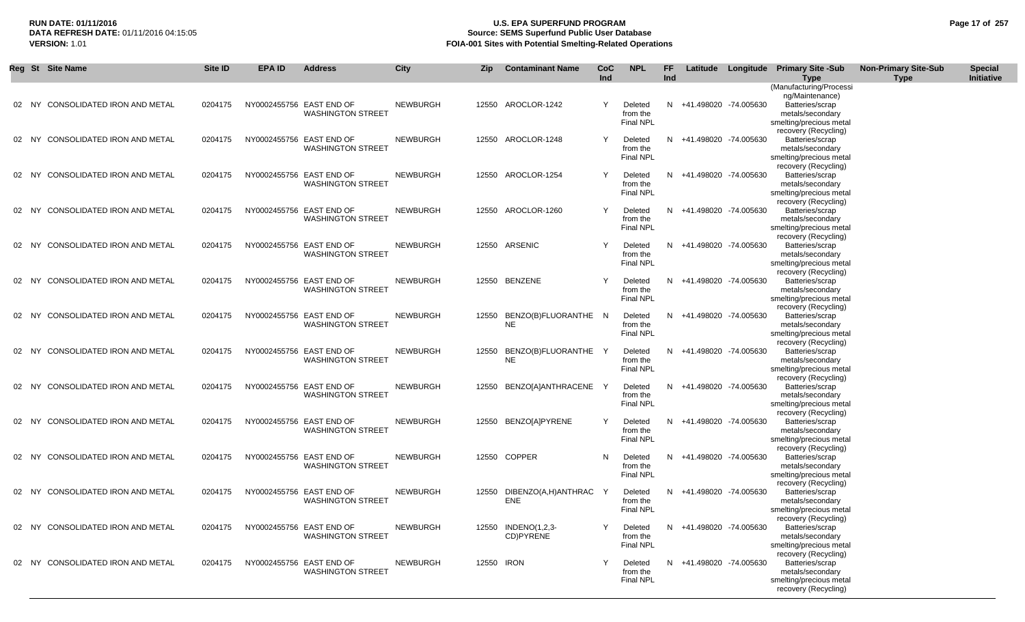# **RUN DATE: 01/11/2016 U.S. EPA SUPERFUND PROGRAM Page 17 of 257 Source: SEMS Superfund Public User Database VERSION:** 1.01 **FOIA-001 Sites with Potential Smelting-Related Operations**

|  | Reg St Site Name                  | <b>Site ID</b> | <b>EPA ID</b> | <b>Address</b>                                       | <b>City</b>     | Zip        | <b>Contaminant Name</b>                   | <b>CoC</b><br><b>Ind</b> | <b>NPL</b>                              | FF<br><b>Ind</b> |                         | Latitude Longitude Primary Site -Sub<br>Type                                                                   | <b>Non-Primary Site-Sub</b><br><b>Type</b> | <b>Special</b><br>Initiative |
|--|-----------------------------------|----------------|---------------|------------------------------------------------------|-----------------|------------|-------------------------------------------|--------------------------|-----------------------------------------|------------------|-------------------------|----------------------------------------------------------------------------------------------------------------|--------------------------------------------|------------------------------|
|  | 02 NY CONSOLIDATED IRON AND METAL | 0204175        |               | NY0002455756 EAST END OF                             | <b>NEWBURGH</b> |            | 12550 AROCLOR-1242                        | Y                        | Deleted                                 |                  | N +41.498020 -74.005630 | (Manufacturing/Processi<br>ng/Maintenance)<br>Batteries/scrap                                                  |                                            |                              |
|  |                                   |                |               | <b>WASHINGTON STREET</b>                             |                 |            |                                           |                          | from the<br>Final NPL                   |                  |                         | metals/secondary<br>smelting/precious metal<br>recovery (Recycling)                                            |                                            |                              |
|  | 02 NY CONSOLIDATED IRON AND METAL | 0204175        |               | NY0002455756 EAST END OF<br><b>WASHINGTON STREET</b> | <b>NEWBURGH</b> |            | 12550 AROCLOR-1248                        | Y                        | Deleted<br>from the<br>Final NPL        | N                | +41.498020 -74.005630   | Batteries/scrap<br>metals/secondary<br>smelting/precious metal<br>recovery (Recycling)                         |                                            |                              |
|  | 02 NY CONSOLIDATED IRON AND METAL | 0204175        |               | NY0002455756 EAST END OF<br><b>WASHINGTON STREET</b> | <b>NEWBURGH</b> |            | 12550 AROCLOR-1254                        | Y                        | Deleted<br>from the<br><b>Final NPL</b> | N.               | +41.498020 -74.005630   | Batteries/scrap<br>metals/secondary<br>smelting/precious metal                                                 |                                            |                              |
|  | 02 NY CONSOLIDATED IRON AND METAL | 0204175        |               | NY0002455756 EAST END OF<br><b>WASHINGTON STREET</b> | <b>NEWBURGH</b> |            | 12550 AROCLOR-1260                        | Y                        | Deleted<br>from the<br>Final NPL        |                  | N +41.498020 -74.005630 | recovery (Recycling)<br>Batteries/scrap<br>metals/secondary<br>smelting/precious metal                         |                                            |                              |
|  | 02 NY CONSOLIDATED IRON AND METAL | 0204175        |               | NY0002455756 EAST END OF<br><b>WASHINGTON STREET</b> | <b>NEWBURGH</b> |            | 12550 ARSENIC                             | Y                        | Deleted<br>from the<br><b>Final NPL</b> |                  | N +41.498020 -74.005630 | recovery (Recycling)<br>Batteries/scrap<br>metals/secondary<br>smelting/precious metal                         |                                            |                              |
|  | 02 NY CONSOLIDATED IRON AND METAL | 0204175        |               | NY0002455756 EAST END OF<br><b>WASHINGTON STREET</b> | <b>NEWBURGH</b> |            | 12550 BENZENE                             | Y                        | Deleted<br>from the<br><b>Final NPL</b> |                  | N +41.498020 -74.005630 | recovery (Recycling)<br>Batteries/scrap<br>metals/secondary<br>smelting/precious metal                         |                                            |                              |
|  | 02 NY CONSOLIDATED IRON AND METAL | 0204175        |               | NY0002455756 EAST END OF<br><b>WASHINGTON STREET</b> | <b>NEWBURGH</b> |            | 12550 BENZO(B)FLUORANTHE N<br><b>NE</b>   |                          | Deleted<br>from the<br>Final NPL        |                  | N +41.498020 -74.005630 | recovery (Recycling)<br>Batteries/scrap<br>metals/secondary<br>smelting/precious metal                         |                                            |                              |
|  | 02 NY CONSOLIDATED IRON AND METAL | 0204175        |               | NY0002455756 EAST END OF<br><b>WASHINGTON STREET</b> | <b>NEWBURGH</b> |            | 12550 BENZO(B)FLUORANTHE Y<br><b>NE</b>   |                          | Deleted<br>from the<br><b>Final NPL</b> |                  | N +41.498020 -74.005630 | recovery (Recycling)<br>Batteries/scrap<br>metals/secondary<br>smelting/precious metal                         |                                            |                              |
|  | 02 NY CONSOLIDATED IRON AND METAL | 0204175        |               | NY0002455756 EAST END OF<br><b>WASHINGTON STREET</b> | <b>NEWBURGH</b> |            | 12550 BENZO[A]ANTHRACENE Y                |                          | Deleted<br>from the<br><b>Final NPL</b> |                  | N +41.498020 -74.005630 | recovery (Recycling)<br>Batteries/scrap<br>metals/secondary<br>smelting/precious metal                         |                                            |                              |
|  | 02 NY CONSOLIDATED IRON AND METAL | 0204175        |               | NY0002455756 EAST END OF<br><b>WASHINGTON STREET</b> | <b>NEWBURGH</b> |            | 12550 BENZO[A]PYRENE                      | Y                        | Deleted<br>from the<br><b>Final NPL</b> |                  | N +41.498020 -74.005630 | recovery (Recycling)<br>Batteries/scrap<br>metals/secondary<br>smelting/precious metal                         |                                            |                              |
|  | 02 NY CONSOLIDATED IRON AND METAL | 0204175        |               | NY0002455756 EAST END OF<br><b>WASHINGTON STREET</b> | <b>NEWBURGH</b> |            | 12550 COPPER                              | N                        | Deleted<br>from the<br>Final NPL        |                  | N +41.498020 -74.005630 | recovery (Recycling)<br>Batteries/scrap<br>metals/secondary<br>smelting/precious metal                         |                                            |                              |
|  | 02 NY CONSOLIDATED IRON AND METAL | 0204175        |               | NY0002455756 EAST END OF<br><b>WASHINGTON STREET</b> | <b>NEWBURGH</b> |            | 12550 DIBENZO(A,H)ANTHRAC Y<br><b>ENE</b> |                          | Deleted<br>from the<br>Final NPL        |                  | N +41.498020 -74.005630 | recovery (Recycling)<br>Batteries/scrap<br>metals/secondary<br>smelting/precious metal                         |                                            |                              |
|  | 02 NY CONSOLIDATED IRON AND METAL | 0204175        |               | NY0002455756 EAST END OF<br><b>WASHINGTON STREET</b> | <b>NEWBURGH</b> |            | 12550 INDENO(1,2,3-<br>CD)PYRENE          | Y                        | Deleted<br>from the<br>Final NPL        |                  | N +41.498020 -74.005630 | recovery (Recycling)<br>Batteries/scrap<br>metals/secondary<br>smelting/precious metal                         |                                            |                              |
|  | 02 NY CONSOLIDATED IRON AND METAL | 0204175        |               | NY0002455756 EAST END OF<br><b>WASHINGTON STREET</b> | NEWBURGH        | 12550 IRON |                                           | Y                        | Deleted<br>from the<br><b>Final NPL</b> |                  | N +41.498020 -74.005630 | recovery (Recycling)<br>Batteries/scrap<br>metals/secondary<br>smelting/precious metal<br>recovery (Recycling) |                                            |                              |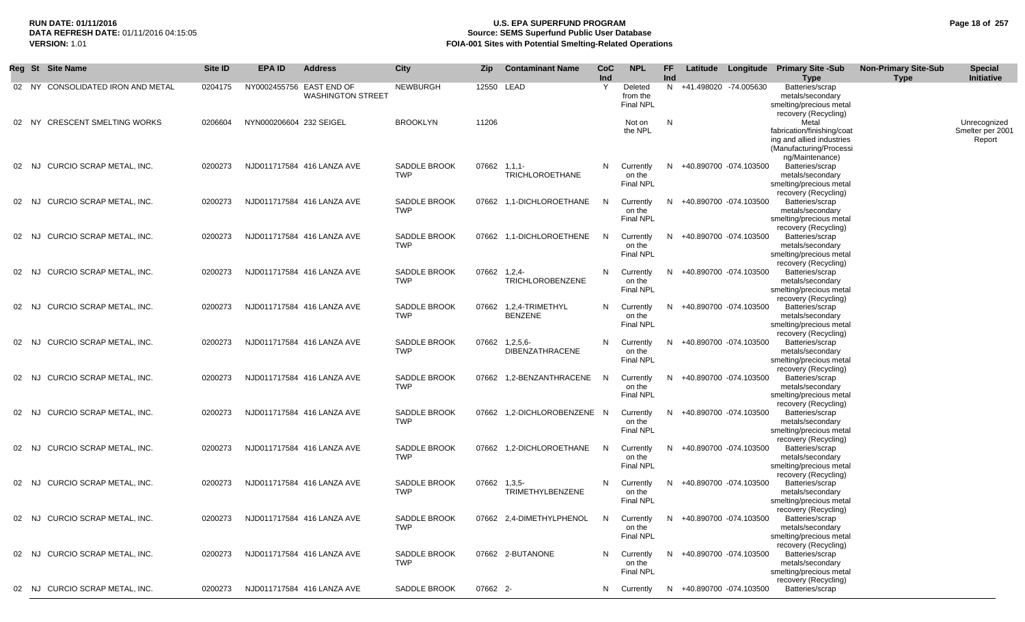# **RUN DATE: 01/11/2016 U.S. EPA SUPERFUND PROGRAM Page 18 of 257 Source: SEMS Superfund Public User Database VERSION:** 1.01 **FOIA-001 Sites with Potential Smelting-Related Operations**

|       | Reg St Site Name                  | Site ID | <b>EPA ID</b>           | <b>Address</b>                                       | <b>City</b>                       | Zip          | <b>Contaminant Name</b>                  | <b>CoC</b><br>Ind | <b>NPL</b>                              | FF.<br>Ind |                          | Latitude Longitude Primary Site -Sub<br><b>Type</b>                                                            | <b>Non-Primary Site-Sub</b><br><b>Type</b> | <b>Special</b><br>Initiative               |
|-------|-----------------------------------|---------|-------------------------|------------------------------------------------------|-----------------------------------|--------------|------------------------------------------|-------------------|-----------------------------------------|------------|--------------------------|----------------------------------------------------------------------------------------------------------------|--------------------------------------------|--------------------------------------------|
|       | 02 NY CONSOLIDATED IRON AND METAL | 0204175 |                         | NY0002455756 EAST END OF<br><b>WASHINGTON STREET</b> | <b>NEWBURGH</b>                   | 12550 LEAD   |                                          | Y                 | Deleted<br>from the<br><b>Final NPL</b> |            | N +41.498020 -74.005630  | Batteries/scrap<br>metals/secondary<br>smelting/precious metal<br>recovery (Recycling)                         |                                            |                                            |
|       | 02 NY CRESCENT SMELTING WORKS     | 0206604 | NYN000206604 232 SEIGEL |                                                      | <b>BROOKLYN</b>                   | 11206        |                                          |                   | Not on<br>the NPL                       | N          |                          | Metal<br>fabrication/finishing/coat<br>ing and allied industries<br>(Manufacturing/Processi<br>ng/Maintenance) |                                            | Unrecognized<br>Smelter per 2001<br>Report |
| 02 NJ | CURCIO SCRAP METAL, INC.          | 0200273 |                         | NJD011717584 416 LANZA AVE                           | SADDLE BROOK<br><b>TWP</b>        | 07662 1.1.1- | <b>TRICHLOROETHANE</b>                   | N.                | Currently<br>on the<br><b>Final NPL</b> | N          | +40.890700 -074.103500   | Batteries/scrap<br>metals/secondary<br>smelting/precious metal<br>recovery (Recycling)                         |                                            |                                            |
|       | 02 NJ CURCIO SCRAP METAL, INC.    | 0200273 |                         | NJD011717584 416 LANZA AVE                           | <b>SADDLE BROOK</b><br><b>TWP</b> |              | 07662 1,1-DICHLOROETHANE                 | N                 | Currently<br>on the<br><b>Final NPL</b> | N          | +40.890700 -074.103500   | Batteries/scrap<br>metals/secondary<br>smelting/precious metal<br>recovery (Recycling)                         |                                            |                                            |
| 02 NJ | CURCIO SCRAP METAL, INC.          | 0200273 |                         | NJD011717584 416 LANZA AVE                           | <b>SADDLE BROOK</b><br><b>TWP</b> |              | 07662 1,1-DICHLOROETHENE                 | N                 | Currently<br>on the<br>Final NPL        | N          | +40.890700 -074.103500   | Batteries/scrap<br>metals/secondary<br>smelting/precious metal<br>recovery (Recycling)                         |                                            |                                            |
| 02 NJ | CURCIO SCRAP METAL, INC.          | 0200273 |                         | NJD011717584 416 LANZA AVE                           | SADDLE BROOK<br><b>TWP</b>        | 07662 1.2.4- | <b>TRICHLOROBENZENE</b>                  | N                 | Currently<br>on the<br><b>Final NPL</b> |            | N +40.890700 -074.103500 | Batteries/scrap<br>metals/secondary<br>smelting/precious metal<br>recovery (Recycling)                         |                                            |                                            |
| 02 NJ | CURCIO SCRAP METAL, INC.          | 0200273 |                         | NJD011717584 416 LANZA AVE                           | SADDLE BROOK<br><b>TWP</b>        |              | 07662 1,2,4-TRIMETHYL<br><b>BENZENE</b>  | N                 | Currently<br>on the<br><b>Final NPL</b> |            | N +40.890700 -074.103500 | Batteries/scrap<br>metals/secondary<br>smelting/precious metal<br>recovery (Recycling)                         |                                            |                                            |
| 02 NJ | CURCIO SCRAP METAL, INC.          | 0200273 |                         | NJD011717584 416 LANZA AVE                           | SADDLE BROOK<br><b>TWP</b>        |              | 07662 1,2,5,6-<br><b>DIBENZATHRACENE</b> | N                 | Currently<br>on the<br>Final NPL        |            | N +40.890700 -074.103500 | Batteries/scrap<br>metals/secondary<br>smelting/precious metal<br>recovery (Recycling)                         |                                            |                                            |
| 02 NJ | CURCIO SCRAP METAL, INC.          | 0200273 |                         | NJD011717584 416 LANZA AVE                           | SADDLE BROOK<br><b>TWP</b>        |              | 07662 1,2-BENZANTHRACENE                 | - N               | Currently<br>on the<br>Final NPL        |            | N +40.890700 -074.103500 | Batteries/scrap<br>metals/secondary<br>smelting/precious metal                                                 |                                            |                                            |
| 02 NJ | CURCIO SCRAP METAL, INC.          | 0200273 |                         | NJD011717584 416 LANZA AVE                           | SADDLE BROOK<br><b>TWP</b>        |              | 07662 1,2-DICHLOROBENZENE N              |                   | Currently<br>on the<br><b>Final NPL</b> |            | N +40.890700 -074.103500 | recovery (Recycling)<br>Batteries/scrap<br>metals/secondary<br>smelting/precious metal<br>recovery (Recycling) |                                            |                                            |
| 02 NJ | CURCIO SCRAP METAL, INC.          | 0200273 |                         | NJD011717584 416 LANZA AVE                           | SADDLE BROOK<br><b>TWP</b>        |              | 07662 1,2-DICHLOROETHANE                 | N                 | Currently<br>on the<br><b>Final NPL</b> | N          | +40.890700 -074.103500   | Batteries/scrap<br>metals/secondary<br>smelting/precious metal                                                 |                                            |                                            |
| 02 NJ | CURCIO SCRAP METAL, INC.          | 0200273 |                         | NJD011717584 416 LANZA AVE                           | SADDLE BROOK<br><b>TWP</b>        | 07662 1,3,5- | TRIMETHYLBENZENE                         | N                 | Currently<br>on the<br>Final NPL        |            | N +40.890700 -074.103500 | recovery (Recycling)<br>Batteries/scrap<br>metals/secondary<br>smelting/precious metal<br>recovery (Recycling) |                                            |                                            |
| 02 NJ | CURCIO SCRAP METAL, INC.          | 0200273 |                         | NJD011717584 416 LANZA AVE                           | SADDLE BROOK<br><b>TWP</b>        |              | 07662 2,4-DIMETHYLPHENOL                 | N                 | Currently<br>on the<br><b>Final NPL</b> | N          | +40.890700 -074.103500   | Batteries/scrap<br>metals/secondary<br>smelting/precious metal                                                 |                                            |                                            |
|       | 02 NJ CURCIO SCRAP METAL, INC.    | 0200273 |                         | NJD011717584 416 LANZA AVE                           | SADDLE BROOK<br><b>TWP</b>        |              | 07662 2-BUTANONE                         | N                 | Currently<br>on the<br><b>Final NPL</b> |            | N +40.890700 -074.103500 | recovery (Recycling)<br>Batteries/scrap<br>metals/secondary<br>smelting/precious metal                         |                                            |                                            |
|       | 02 NJ CURCIO SCRAP METAL, INC.    | 0200273 |                         | NJD011717584 416 LANZA AVE                           | SADDLE BROOK                      | 07662 2-     |                                          | N.                | Currently                               |            | N +40.890700 -074.103500 | recovery (Recycling)<br>Batteries/scrap                                                                        |                                            |                                            |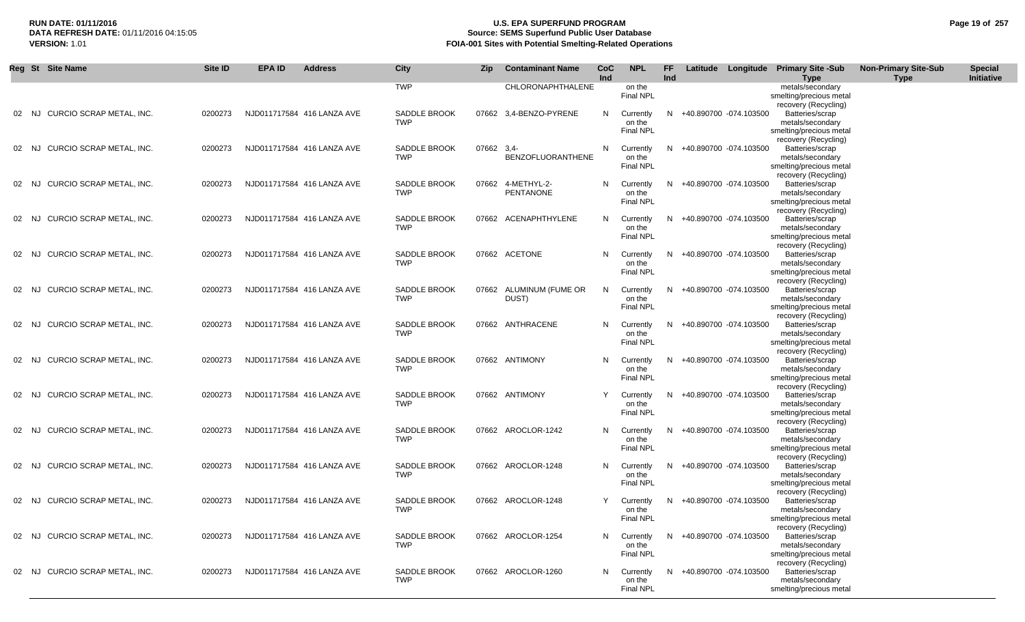# **RUN DATE: 01/11/2016 U.S. EPA SUPERFUND PROGRAM Page 19 of 257 Source: SEMS Superfund Public User Database VERSION:** 1.01 **FOIA-001 Sites with Potential Smelting-Related Operations**

|       | Reg St Site Name         | Site ID | <b>EPA ID</b> | <b>Address</b>             | <b>City</b>                       | <b>Zip</b> | <b>Contaminant Name</b>          | <b>CoC</b><br>Ind | <b>NPL</b>                              | <b>FF</b><br>Ind |                          | Latitude Longitude Primary Site -Sub<br>Type                                                                   | <b>Non-Primary Site-Sub</b><br><b>Type</b> | <b>Special</b><br>Initiative |
|-------|--------------------------|---------|---------------|----------------------------|-----------------------------------|------------|----------------------------------|-------------------|-----------------------------------------|------------------|--------------------------|----------------------------------------------------------------------------------------------------------------|--------------------------------------------|------------------------------|
|       |                          |         |               |                            | <b>TWP</b>                        |            | CHLORONAPHTHALENE                |                   | on the<br>Final NPL                     |                  |                          | metals/secondary<br>smelting/precious metal<br>recovery (Recycling)                                            |                                            |                              |
| 02 NJ | CURCIO SCRAP METAL, INC. | 0200273 |               | NJD011717584 416 LANZA AVE | <b>SADDLE BROOK</b><br><b>TWP</b> |            | 07662 3,4-BENZO-PYRENE           | N                 | Currently<br>on the<br><b>Final NPL</b> |                  | N +40.890700 -074.103500 | Batteries/scrap<br>metals/secondary<br>smelting/precious metal                                                 |                                            |                              |
| 02 NJ | CURCIO SCRAP METAL, INC. | 0200273 |               | NJD011717584 416 LANZA AVE | <b>SADDLE BROOK</b><br><b>TWP</b> | 07662 3,4- | <b>BENZOFLUORANTHENE</b>         | N                 | Currently<br>on the<br><b>Final NPL</b> | N.               | +40.890700 -074.103500   | recovery (Recycling)<br>Batteries/scrap<br>metals/secondary<br>smelting/precious metal                         |                                            |                              |
| 02 NJ | CURCIO SCRAP METAL, INC. | 0200273 |               | NJD011717584 416 LANZA AVE | SADDLE BROOK<br><b>TWP</b>        |            | 07662 4-METHYL-2-<br>PENTANONE   | N                 | Currently<br>on the<br>Final NPL        | N.               | +40.890700 -074.103500   | recovery (Recycling)<br>Batteries/scrap<br>metals/secondary<br>smelting/precious metal                         |                                            |                              |
| 02 NJ | CURCIO SCRAP METAL. INC. | 0200273 |               | NJD011717584 416 LANZA AVE | <b>SADDLE BROOK</b><br><b>TWP</b> |            | 07662 ACENAPHTHYLENE             | N                 | Currently<br>on the<br><b>Final NPL</b> | N                | +40.890700 -074.103500   | recovery (Recycling)<br>Batteries/scrap<br>metals/secondary<br>smelting/precious metal                         |                                            |                              |
| 02 NJ | CURCIO SCRAP METAL. INC. | 0200273 |               | NJD011717584 416 LANZA AVE | <b>SADDLE BROOK</b><br><b>TWP</b> |            | 07662 ACETONE                    | N                 | Currently<br>on the<br><b>Final NPL</b> | N.               | +40.890700 -074.103500   | recovery (Recycling)<br>Batteries/scrap<br>metals/secondary<br>smelting/precious metal                         |                                            |                              |
| 02 NJ | CURCIO SCRAP METAL. INC. | 0200273 |               | NJD011717584 416 LANZA AVE | SADDLE BROOK<br><b>TWP</b>        |            | 07662 ALUMINUM (FUME OR<br>DUST) | N                 | Currently<br>on the<br><b>Final NPL</b> | N                | +40.890700 -074.103500   | recovery (Recycling)<br>Batteries/scrap<br>metals/secondary<br>smelting/precious metal                         |                                            |                              |
| 02 NJ | CURCIO SCRAP METAL, INC. | 0200273 |               | NJD011717584 416 LANZA AVE | SADDLE BROOK<br><b>TWP</b>        |            | 07662 ANTHRACENE                 | N                 | Currently<br>on the<br><b>Final NPL</b> | N                | +40.890700 -074.103500   | recovery (Recycling)<br>Batteries/scrap<br>metals/secondary<br>smelting/precious metal<br>recovery (Recycling) |                                            |                              |
| 02 NJ | CURCIO SCRAP METAL, INC. | 0200273 |               | NJD011717584 416 LANZA AVE | <b>SADDLE BROOK</b><br><b>TWP</b> |            | 07662 ANTIMONY                   | N                 | Currently<br>on the<br>Final NPL        | N                | +40.890700 -074.103500   | Batteries/scrap<br>metals/secondary<br>smelting/precious metal                                                 |                                            |                              |
| 02 NJ | CURCIO SCRAP METAL, INC. | 0200273 |               | NJD011717584 416 LANZA AVE | SADDLE BROOK<br><b>TWP</b>        |            | 07662 ANTIMONY                   | Y                 | Currently<br>on the<br>Final NPL        | N                | +40.890700 -074.103500   | recovery (Recycling)<br>Batteries/scrap<br>metals/secondary<br>smelting/precious metal<br>recovery (Recycling) |                                            |                              |
| 02 NJ | CURCIO SCRAP METAL, INC. | 0200273 |               | NJD011717584 416 LANZA AVE | SADDLE BROOK<br><b>TWP</b>        |            | 07662 AROCLOR-1242               | N                 | Currently<br>on the<br>Final NPL        | N                | +40.890700 -074.103500   | Batteries/scrap<br>metals/secondary<br>smelting/precious metal                                                 |                                            |                              |
| 02 NJ | CURCIO SCRAP METAL, INC. | 0200273 |               | NJD011717584 416 LANZA AVE | <b>SADDLE BROOK</b><br><b>TWP</b> |            | 07662 AROCLOR-1248               | N                 | Currently<br>on the<br>Final NPL        | N                | +40.890700 -074.103500   | recovery (Recycling)<br>Batteries/scrap<br>metals/secondary<br>smelting/precious metal<br>recovery (Recycling) |                                            |                              |
| 02 NJ | CURCIO SCRAP METAL, INC. | 0200273 |               | NJD011717584 416 LANZA AVE | <b>SADDLE BROOK</b><br><b>TWP</b> |            | 07662 AROCLOR-1248               | Y                 | Currently<br>on the<br><b>Final NPL</b> | N                | +40.890700 -074.103500   | Batteries/scrap<br>metals/secondary<br>smelting/precious metal                                                 |                                            |                              |
| 02 NJ | CURCIO SCRAP METAL, INC. | 0200273 |               | NJD011717584 416 LANZA AVE | <b>SADDLE BROOK</b><br><b>TWP</b> |            | 07662 AROCLOR-1254               | N                 | Currently<br>on the<br><b>Final NPL</b> | N                | +40.890700 -074.103500   | recovery (Recycling)<br>Batteries/scrap<br>metals/secondary<br>smelting/precious metal                         |                                            |                              |
| 02 NJ | CURCIO SCRAP METAL. INC. | 0200273 |               | NJD011717584 416 LANZA AVE | <b>SADDLE BROOK</b><br><b>TWP</b> |            | 07662 AROCLOR-1260               | N                 | Currently<br>on the<br><b>Final NPL</b> | N.               | +40.890700 -074.103500   | recovery (Recycling)<br>Batteries/scrap<br>metals/secondary<br>smelting/precious metal                         |                                            |                              |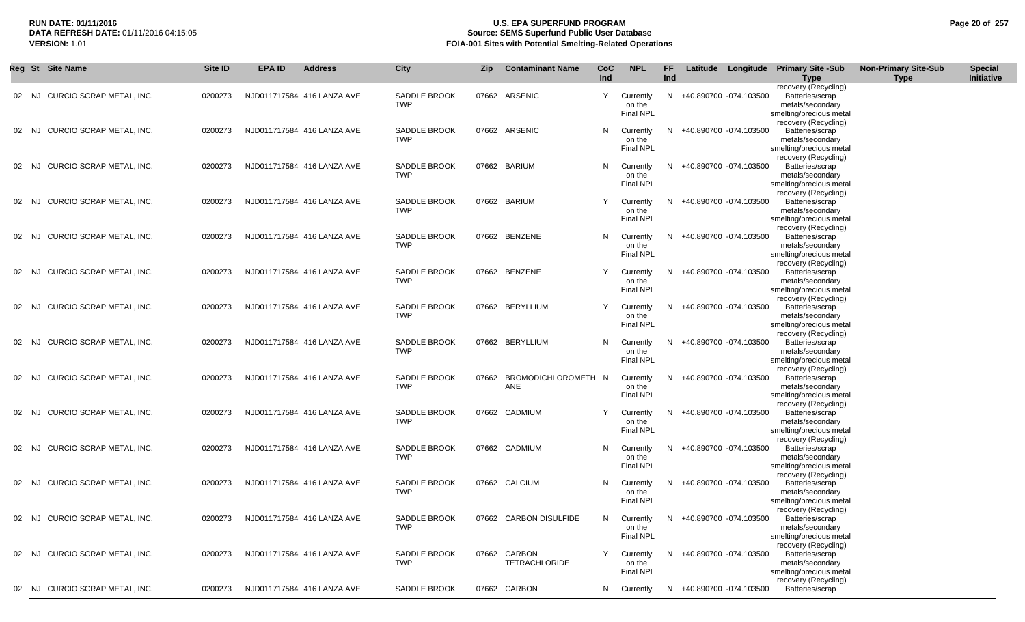# **RUN DATE: 01/11/2016 U.S. EPA SUPERFUND PROGRAM Page 20 of 257 Source: SEMS Superfund Public User Database VERSION:** 1.01 **FOIA-001 Sites with Potential Smelting-Related Operations**

|       | Reg St Site Name                 | Site ID | <b>EPA ID</b> | <b>Address</b>             | City                              | Zip | <b>Contaminant Name</b>              | CoC<br>Ind | <b>NPL</b>                              | FF<br>Ind |                          | Latitude Longitude Primary Site -Sub<br><b>Type</b>                                    | <b>Non-Primary Site-Sub</b><br><b>Type</b> | <b>Special</b><br>Initiative |
|-------|----------------------------------|---------|---------------|----------------------------|-----------------------------------|-----|--------------------------------------|------------|-----------------------------------------|-----------|--------------------------|----------------------------------------------------------------------------------------|--------------------------------------------|------------------------------|
| 02 NJ | CURCIO SCRAP METAL, INC.         | 0200273 |               | NJD011717584 416 LANZA AVE | <b>SADDLE BROOK</b><br><b>TWP</b> |     | 07662 ARSENIC                        | Y          | Currently<br>on the<br><b>Final NPL</b> | N         | +40.890700 -074.103500   | recovery (Recycling)<br>Batteries/scrap<br>metals/secondary<br>smelting/precious metal |                                            |                              |
| 02 NJ | CURCIO SCRAP METAL, INC.         | 0200273 |               | NJD011717584 416 LANZA AVE | <b>SADDLE BROOK</b><br><b>TWP</b> |     | 07662 ARSENIC                        | N          | Currently<br>on the<br>Final NPL        | N.        | +40.890700 -074.103500   | recovery (Recycling)<br>Batteries/scrap<br>metals/secondary<br>smelting/precious metal |                                            |                              |
| 02    | CURCIO SCRAP METAL, INC.<br>- NJ | 0200273 |               | NJD011717584 416 LANZA AVE | SADDLE BROOK<br><b>TWP</b>        |     | 07662 BARIUM                         | N          | Currently<br>on the<br><b>Final NPL</b> | N         | +40.890700 -074.103500   | recovery (Recycling)<br>Batteries/scrap<br>metals/secondary<br>smelting/precious metal |                                            |                              |
| 02    | CURCIO SCRAP METAL, INC.<br>NJ.  | 0200273 |               | NJD011717584 416 LANZA AVE | <b>SADDLE BROOK</b><br><b>TWP</b> |     | 07662 BARIUM                         |            | Currently<br>on the<br><b>Final NPL</b> | N         | +40.890700 -074.103500   | recovery (Recycling)<br>Batteries/scrap<br>metals/secondary<br>smelting/precious metal |                                            |                              |
| 02    | CURCIO SCRAP METAL, INC.<br>NJ   | 0200273 |               | NJD011717584 416 LANZA AVE | SADDLE BROOK<br><b>TWP</b>        |     | 07662 BENZENE                        | N          | Currently<br>on the<br><b>Final NPL</b> | N         | +40.890700 -074.103500   | recovery (Recycling)<br>Batteries/scrap<br>metals/secondary<br>smelting/precious metal |                                            |                              |
| 02 NJ | CURCIO SCRAP METAL, INC.         | 0200273 |               | NJD011717584 416 LANZA AVE | <b>SADDLE BROOK</b><br><b>TWP</b> |     | 07662 BENZENE                        |            | Currently<br>on the<br><b>Final NPL</b> | N         | +40.890700 -074.103500   | recovery (Recycling)<br>Batteries/scrap<br>metals/secondary<br>smelting/precious metal |                                            |                              |
| 02    | CURCIO SCRAP METAL, INC.<br>NJ.  | 0200273 |               | NJD011717584 416 LANZA AVE | SADDLE BROOK<br><b>TWP</b>        |     | 07662 BERYLLIUM                      |            | Currently<br>on the<br><b>Final NPL</b> | N.        | +40.890700 -074.103500   | recovery (Recycling)<br>Batteries/scrap<br>metals/secondary<br>smelting/precious metal |                                            |                              |
| 02    | CURCIO SCRAP METAL, INC.<br>NJ.  | 0200273 |               | NJD011717584 416 LANZA AVE | <b>SADDLE BROOK</b><br><b>TWP</b> |     | 07662 BERYLLIUM                      | N          | Currently<br>on the<br>Final NPL        | -N        | +40.890700 -074.103500   | recovery (Recycling)<br>Batteries/scrap<br>metals/secondary<br>smelting/precious metal |                                            |                              |
| 02 NJ | CURCIO SCRAP METAL, INC.         | 0200273 |               | NJD011717584 416 LANZA AVE | SADDLE BROOK<br><b>TWP</b>        |     | 07662 BROMODICHLOROMETH N<br>ANE     |            | Currently<br>on the<br>Final NPL        | N         | +40.890700 -074.103500   | recovery (Recycling)<br>Batteries/scrap<br>metals/secondary<br>smelting/precious metal |                                            |                              |
| 02 NJ | CURCIO SCRAP METAL, INC.         | 0200273 |               | NJD011717584 416 LANZA AVE | SADDLE BROOK<br><b>TWP</b>        |     | 07662 CADMIUM                        |            | Currently<br>on the<br>Final NPL        | N.        | +40.890700 -074.103500   | recovery (Recycling)<br>Batteries/scrap<br>metals/secondary<br>smelting/precious metal |                                            |                              |
| 02 NJ | CURCIO SCRAP METAL, INC.         | 0200273 |               | NJD011717584 416 LANZA AVE | <b>SADDLE BROOK</b><br><b>TWP</b> |     | 07662 CADMIUM                        | N          | Currently<br>on the<br><b>Final NPL</b> | N.        | +40.890700 -074.103500   | recovery (Recycling)<br>Batteries/scrap<br>metals/secondary<br>smelting/precious metal |                                            |                              |
| 02 NJ | CURCIO SCRAP METAL, INC.         | 0200273 |               | NJD011717584 416 LANZA AVE | SADDLE BROOK<br><b>TWP</b>        |     | 07662 CALCIUM                        | N          | Currently<br>on the<br><b>Final NPL</b> | N.        | +40.890700 -074.103500   | recovery (Recycling)<br>Batteries/scrap<br>metals/secondary<br>smelting/precious metal |                                            |                              |
|       | 02 NJ CURCIO SCRAP METAL, INC.   | 0200273 |               | NJD011717584 416 LANZA AVE | SADDLE BROOK<br><b>TWP</b>        |     | 07662 CARBON DISULFIDE               |            | Currently<br>on the<br><b>Final NPL</b> |           | N +40.890700 -074.103500 | recovery (Recycling)<br>Batteries/scrap<br>metals/secondary<br>smelting/precious metal |                                            |                              |
|       | 02 NJ CURCIO SCRAP METAL, INC.   | 0200273 |               | NJD011717584 416 LANZA AVE | SADDLE BROOK<br><b>TWP</b>        |     | 07662 CARBON<br><b>TETRACHLORIDE</b> | Y          | Currently<br>on the<br><b>Final NPL</b> | N.        | +40.890700 -074.103500   | recovery (Recycling)<br>Batteries/scrap<br>metals/secondary<br>smelting/precious metal |                                            |                              |
|       | 02 NJ CURCIO SCRAP METAL, INC.   | 0200273 |               | NJD011717584 416 LANZA AVE | SADDLE BROOK                      |     | 07662 CARBON                         |            | N Currently                             |           | N +40.890700 -074.103500 | recovery (Recycling)<br>Batteries/scrap                                                |                                            |                              |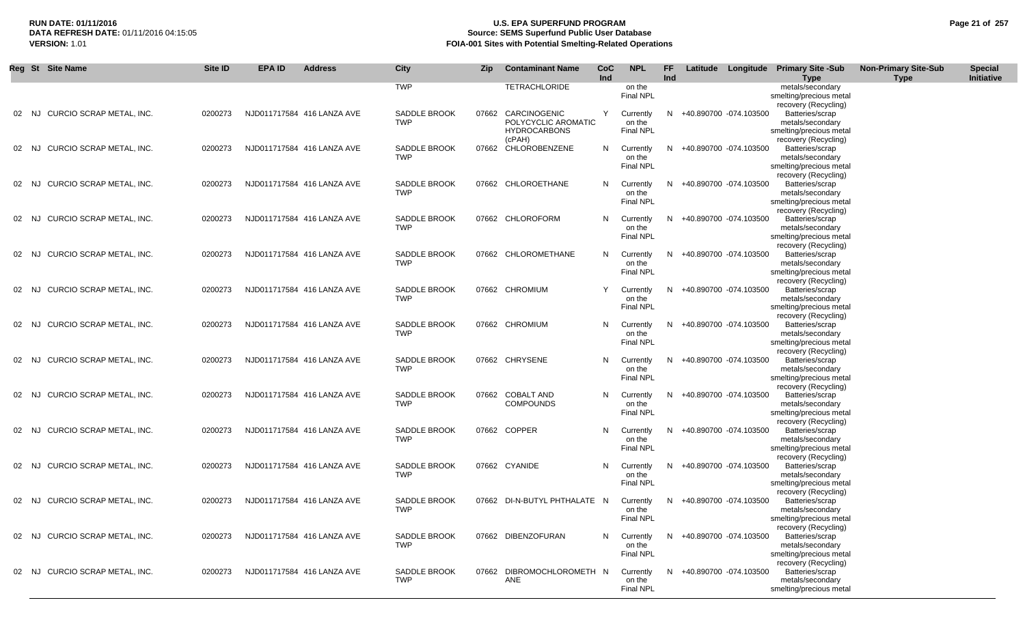# **RUN DATE: 01/11/2016 U.S. EPA SUPERFUND PROGRAM Page 21 of 257 Source: SEMS Superfund Public User Database VERSION:** 1.01 **FOIA-001 Sites with Potential Smelting-Related Operations**

|       | Reg St Site Name                | Site ID | <b>EPA ID</b> | <b>Address</b>             | City                              | <b>Zip</b> | <b>Contaminant Name</b>                                    | <b>CoC</b><br>Ind | <b>NPL</b>                              | FF.<br>Ind |                          | Latitude Longitude Primary Site -Sub<br><b>Type</b>                                    | <b>Non-Primary Site-Sub</b><br><b>Type</b> | <b>Special</b><br>Initiative |
|-------|---------------------------------|---------|---------------|----------------------------|-----------------------------------|------------|------------------------------------------------------------|-------------------|-----------------------------------------|------------|--------------------------|----------------------------------------------------------------------------------------|--------------------------------------------|------------------------------|
|       |                                 |         |               |                            | TWP                               |            | <b>TETRACHLORIDE</b>                                       |                   | on the<br>Final NPL                     |            |                          | metals/secondary<br>smelting/precious metal                                            |                                            |                              |
| 02 NJ | CURCIO SCRAP METAL, INC.        | 0200273 |               | NJD011717584 416 LANZA AVE | <b>SADDLE BROOK</b><br>TWP        | 07662      | CARCINOGENIC<br>POLYCYCLIC AROMATIC<br><b>HYDROCARBONS</b> | Y                 | Currently<br>on the<br><b>Final NPL</b> | N.         | +40.890700 -074.103500   | recovery (Recycling)<br>Batteries/scrap<br>metals/secondary<br>smelting/precious metal |                                            |                              |
| 02 NJ | CURCIO SCRAP METAL, INC.        | 0200273 |               | NJD011717584 416 LANZA AVE | <b>SADDLE BROOK</b><br>TWP        |            | (cPAH)<br>07662 CHLOROBENZENE                              | N                 | Currently<br>on the<br>Final NPL        | N.         | +40.890700 -074.103500   | recovery (Recycling)<br>Batteries/scrap<br>metals/secondary<br>smelting/precious metal |                                            |                              |
| 02 NJ | <b>CURCIO SCRAP METAL. INC.</b> | 0200273 |               | NJD011717584 416 LANZA AVE | <b>SADDLE BROOK</b><br><b>TWP</b> |            | 07662 CHLOROETHANE                                         | N                 | Currently<br>on the<br>Final NPL        | N.         | +40.890700 -074.103500   | recovery (Recycling)<br>Batteries/scrap<br>metals/secondary<br>smelting/precious metal |                                            |                              |
| 02 NJ | CURCIO SCRAP METAL, INC.        | 0200273 |               | NJD011717584 416 LANZA AVE | <b>SADDLE BROOK</b><br>TWP        |            | 07662 CHLOROFORM                                           | N                 | Currently<br>on the<br><b>Final NPL</b> | N.         | +40.890700 -074.103500   | recovery (Recycling)<br>Batteries/scrap<br>metals/secondary<br>smelting/precious metal |                                            |                              |
| 02 NJ | CURCIO SCRAP METAL, INC.        | 0200273 |               | NJD011717584 416 LANZA AVE | <b>SADDLE BROOK</b><br><b>TWP</b> |            | 07662 CHLOROMETHANE                                        | N                 | Currently<br>on the<br><b>Final NPL</b> | N.         | +40.890700 -074.103500   | recovery (Recycling)<br>Batteries/scrap<br>metals/secondary<br>smelting/precious metal |                                            |                              |
| 02 NJ | CURCIO SCRAP METAL, INC.        | 0200273 |               | NJD011717584 416 LANZA AVE | SADDLE BROOK<br><b>TWP</b>        |            | 07662 CHROMIUM                                             | Υ                 | Currently<br>on the<br><b>Final NPL</b> |            | +40.890700 -074.103500   | recovery (Recycling)<br>Batteries/scrap<br>metals/secondary<br>smelting/precious metal |                                            |                              |
| 02 NJ | <b>CURCIO SCRAP METAL. INC.</b> | 0200273 |               | NJD011717584 416 LANZA AVE | SADDLE BROOK<br><b>TWP</b>        |            | 07662 CHROMIUM                                             | N                 | Currently<br>on the<br><b>Final NPL</b> |            | +40.890700 -074.103500   | recovery (Recycling)<br>Batteries/scrap<br>metals/secondary<br>smelting/precious metal |                                            |                              |
| 02 NJ | CURCIO SCRAP METAL, INC.        | 0200273 |               | NJD011717584 416 LANZA AVE | SADDLE BROOK<br><b>TWP</b>        |            | 07662 CHRYSENE                                             | N                 | Currently<br>on the<br><b>Final NPL</b> | N.         | +40.890700 -074.103500   | recovery (Recycling)<br>Batteries/scrap<br>metals/secondary<br>smelting/precious metal |                                            |                              |
| 02 NJ | CURCIO SCRAP METAL, INC.        | 0200273 |               | NJD011717584 416 LANZA AVE | SADDLE BROOK<br><b>TWP</b>        |            | 07662 COBALT AND<br><b>COMPOUNDS</b>                       | N.                | Currently<br>on the<br><b>Final NPL</b> | N.         | +40.890700 -074.103500   | recovery (Recycling)<br>Batteries/scrap<br>metals/secondary<br>smelting/precious metal |                                            |                              |
| 02 NJ | CURCIO SCRAP METAL, INC.        | 0200273 |               | NJD011717584 416 LANZA AVE | <b>SADDLE BROOK</b><br><b>TWP</b> |            | 07662 COPPER                                               | N                 | Currently<br>on the<br><b>Final NPL</b> | N.         | +40.890700 -074.103500   | recovery (Recycling)<br>Batteries/scrap<br>metals/secondary<br>smelting/precious metal |                                            |                              |
| 02 NJ | CURCIO SCRAP METAL, INC.        | 0200273 |               | NJD011717584 416 LANZA AVE | SADDLE BROOK<br><b>TWP</b>        |            | 07662 CYANIDE                                              | N                 | Currently<br>on the<br>Final NPL        | N          | +40.890700 -074.103500   | recovery (Recycling)<br>Batteries/scrap<br>metals/secondary<br>smelting/precious metal |                                            |                              |
| 02 NJ | CURCIO SCRAP METAL. INC.        | 0200273 |               | NJD011717584 416 LANZA AVE | <b>SADDLE BROOK</b><br>TWP        |            | 07662 DI-N-BUTYL PHTHALATE N                               |                   | Currently<br>on the<br>Final NPL        | N.         | +40.890700 -074.103500   | recovery (Recycling)<br>Batteries/scrap<br>metals/secondary<br>smelting/precious metal |                                            |                              |
|       | 02 NJ CURCIO SCRAP METAL, INC.  | 0200273 |               | NJD011717584 416 LANZA AVE | <b>SADDLE BROOK</b><br>TWP        |            | 07662 DIBENZOFURAN                                         | N                 | Currently<br>on the<br><b>Final NPL</b> |            | N +40.890700 -074.103500 | recovery (Recycling)<br>Batteries/scrap<br>metals/secondary<br>smelting/precious metal |                                            |                              |
| 02 NJ | CURCIO SCRAP METAL, INC.        | 0200273 |               | NJD011717584 416 LANZA AVE | SADDLE BROOK<br>TWP               | 07662      | DIBROMOCHLOROMETH N<br>ANE                                 |                   | Currently<br>on the<br><b>Final NPL</b> |            | N +40.890700 -074.103500 | recovery (Recycling)<br>Batteries/scrap<br>metals/secondary<br>smelting/precious metal |                                            |                              |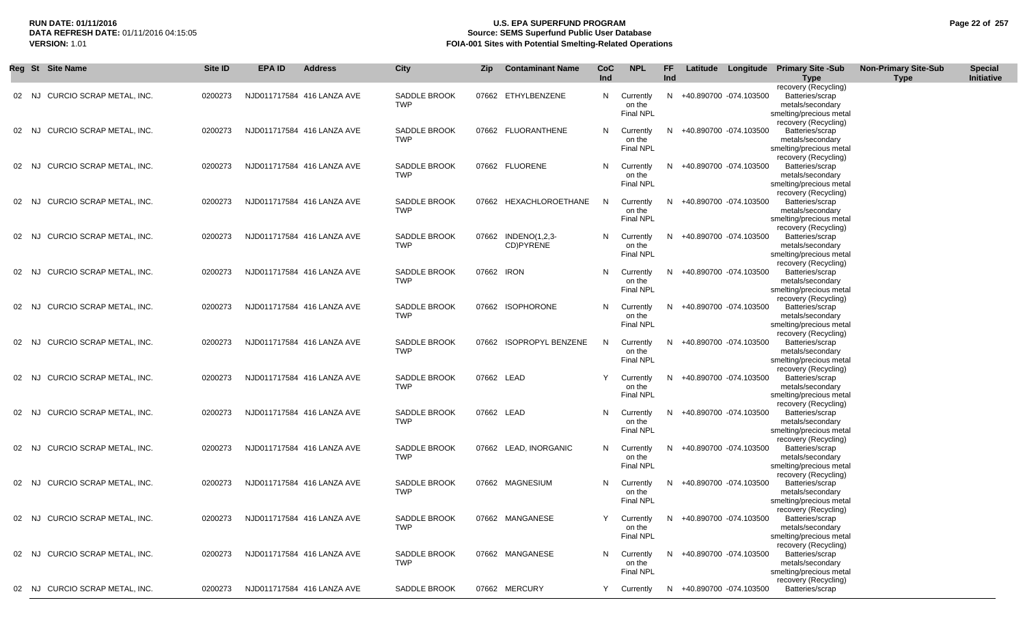# **RUN DATE: 01/11/2016 U.S. EPA SUPERFUND PROGRAM Page 22 of 257 Source: SEMS Superfund Public User Database VERSION:** 1.01 **FOIA-001 Sites with Potential Smelting-Related Operations**

|       | Reg St Site Name                  | Site ID | <b>EPA ID</b> | <b>Address</b>             | City                              | <b>Zip</b> | <b>Contaminant Name</b>          | <b>CoC</b><br>Ind | <b>NPL</b>                              | FF<br>Ind |                          | Latitude Longitude Primary Site -Sub<br><b>Type</b>                                    | <b>Non-Primary Site-Sub</b><br><b>Type</b> | <b>Special</b><br>Initiative |
|-------|-----------------------------------|---------|---------------|----------------------------|-----------------------------------|------------|----------------------------------|-------------------|-----------------------------------------|-----------|--------------------------|----------------------------------------------------------------------------------------|--------------------------------------------|------------------------------|
| 02 NJ | CURCIO SCRAP METAL, INC.          | 0200273 |               | NJD011717584 416 LANZA AVE | <b>SADDLE BROOK</b><br><b>TWP</b> |            | 07662 ETHYLBENZENE               | N.                | Currently<br>on the<br><b>Final NPL</b> | N.        | +40.890700 -074.103500   | recovery (Recycling)<br>Batteries/scrap<br>metals/secondary<br>smelting/precious metal |                                            |                              |
|       | CURCIO SCRAP METAL, INC.<br>02 NJ | 0200273 |               | NJD011717584 416 LANZA AVE | <b>SADDLE BROOK</b><br><b>TWP</b> |            | 07662 FLUORANTHENE               | N                 | Currently<br>on the<br><b>Final NPL</b> |           | N +40.890700 -074.103500 | recovery (Recycling)<br>Batteries/scrap<br>metals/secondary<br>smelting/precious metal |                                            |                              |
| 02    | CURCIO SCRAP METAL, INC.<br>NJ.   | 0200273 |               | NJD011717584 416 LANZA AVE | SADDLE BROOK<br><b>TWP</b>        |            | 07662 FLUORENE                   | N                 | Currently<br>on the<br><b>Final NPL</b> | N.        | +40.890700 -074.103500   | recovery (Recycling)<br>Batteries/scrap<br>metals/secondary<br>smelting/precious metal |                                            |                              |
| 02    | CURCIO SCRAP METAL, INC.<br>NJ.   | 0200273 |               | NJD011717584 416 LANZA AVE | SADDLE BROOK<br><b>TWP</b>        |            | 07662 HEXACHLOROETHANE           | -N                | Currently<br>on the<br><b>Final NPL</b> | N.        | +40.890700 -074.103500   | recovery (Recycling)<br>Batteries/scrap<br>metals/secondary<br>smelting/precious metal |                                            |                              |
| 02    | CURCIO SCRAP METAL, INC.<br>NJ    | 0200273 |               | NJD011717584 416 LANZA AVE | SADDLE BROOK<br><b>TWP</b>        |            | 07662 INDENO(1,2,3-<br>CD)PYRENE | N                 | Currently<br>on the<br><b>Final NPL</b> | N.        | +40.890700 -074.103500   | recovery (Recycling)<br>Batteries/scrap<br>metals/secondary<br>smelting/precious metal |                                            |                              |
| 02 NJ | CURCIO SCRAP METAL, INC.          | 0200273 |               | NJD011717584 416 LANZA AVE | SADDLE BROOK<br><b>TWP</b>        | 07662 IRON |                                  | <b>N</b>          | Currently<br>on the<br><b>Final NPL</b> | N.        | +40.890700 -074.103500   | recovery (Recycling)<br>Batteries/scrap<br>metals/secondary<br>smelting/precious metal |                                            |                              |
| 02    | CURCIO SCRAP METAL, INC.<br>NJ.   | 0200273 |               | NJD011717584 416 LANZA AVE | SADDLE BROOK<br><b>TWP</b>        |            | 07662 ISOPHORONE                 | N                 | Currently<br>on the<br>Final NPL        | N.        | +40.890700 -074.103500   | recovery (Recycling)<br>Batteries/scrap<br>metals/secondary<br>smelting/precious metal |                                            |                              |
| 02    | CURCIO SCRAP METAL, INC.<br>NJ.   | 0200273 |               | NJD011717584 416 LANZA AVE | <b>SADDLE BROOK</b><br><b>TWP</b> |            | 07662 ISOPROPYL BENZENE          | -N                | Currently<br>on the<br>Final NPL        | N         | +40.890700 -074.103500   | recovery (Recycling)<br>Batteries/scrap<br>metals/secondary<br>smelting/precious metal |                                            |                              |
| 02    | CURCIO SCRAP METAL, INC.<br>NJ.   | 0200273 |               | NJD011717584 416 LANZA AVE | <b>SADDLE BROOK</b><br><b>TWP</b> | 07662 LEAD |                                  |                   | Currently<br>on the<br>Final NPL        | N.        | +40.890700 -074.103500   | recovery (Recycling)<br>Batteries/scrap<br>metals/secondary<br>smelting/precious metal |                                            |                              |
|       | CURCIO SCRAP METAL, INC.<br>02 NJ | 0200273 |               | NJD011717584 416 LANZA AVE | <b>SADDLE BROOK</b><br><b>TWP</b> | 07662 LEAD |                                  | N                 | Currently<br>on the<br>Final NPL        | N.        | +40.890700 -074.103500   | recovery (Recycling)<br>Batteries/scrap<br>metals/secondary<br>smelting/precious metal |                                            |                              |
|       | CURCIO SCRAP METAL, INC.<br>02 NJ | 0200273 |               | NJD011717584 416 LANZA AVE | <b>SADDLE BROOK</b><br><b>TWP</b> |            | 07662 LEAD, INORGANIC            | N                 | Currently<br>on the<br><b>Final NPL</b> | N.        | +40.890700 -074.103500   | recovery (Recycling)<br>Batteries/scrap<br>metals/secondary<br>smelting/precious metal |                                            |                              |
| 02 NJ | CURCIO SCRAP METAL, INC.          | 0200273 |               | NJD011717584 416 LANZA AVE | SADDLE BROOK<br><b>TWP</b>        |            | 07662 MAGNESIUM                  | N                 | Currently<br>on the<br><b>Final NPL</b> | N.        | +40.890700 -074.103500   | recovery (Recycling)<br>Batteries/scrap<br>metals/secondary<br>smelting/precious metal |                                            |                              |
|       | 02 NJ CURCIO SCRAP METAL, INC.    | 0200273 |               | NJD011717584 416 LANZA AVE | SADDLE BROOK<br><b>TWP</b>        |            | 07662 MANGANESE                  |                   | Y Currently<br>on the<br>Final NPL      |           | N +40.890700 -074.103500 | recovery (Recycling)<br>Batteries/scrap<br>metals/secondary<br>smelting/precious metal |                                            |                              |
|       | 02 NJ CURCIO SCRAP METAL, INC.    | 0200273 |               | NJD011717584 416 LANZA AVE | SADDLE BROOK<br><b>TWP</b>        |            | 07662 MANGANESE                  | N                 | Currently<br>on the<br><b>Final NPL</b> |           | N +40.890700 -074.103500 | recovery (Recycling)<br>Batteries/scrap<br>metals/secondary<br>smelting/precious metal |                                            |                              |
|       | 02 NJ CURCIO SCRAP METAL, INC.    | 0200273 |               | NJD011717584 416 LANZA AVE | SADDLE BROOK                      |            | 07662 MERCURY                    |                   | Currently                               |           | N +40.890700 -074.103500 | recovery (Recycling)<br>Batteries/scrap                                                |                                            |                              |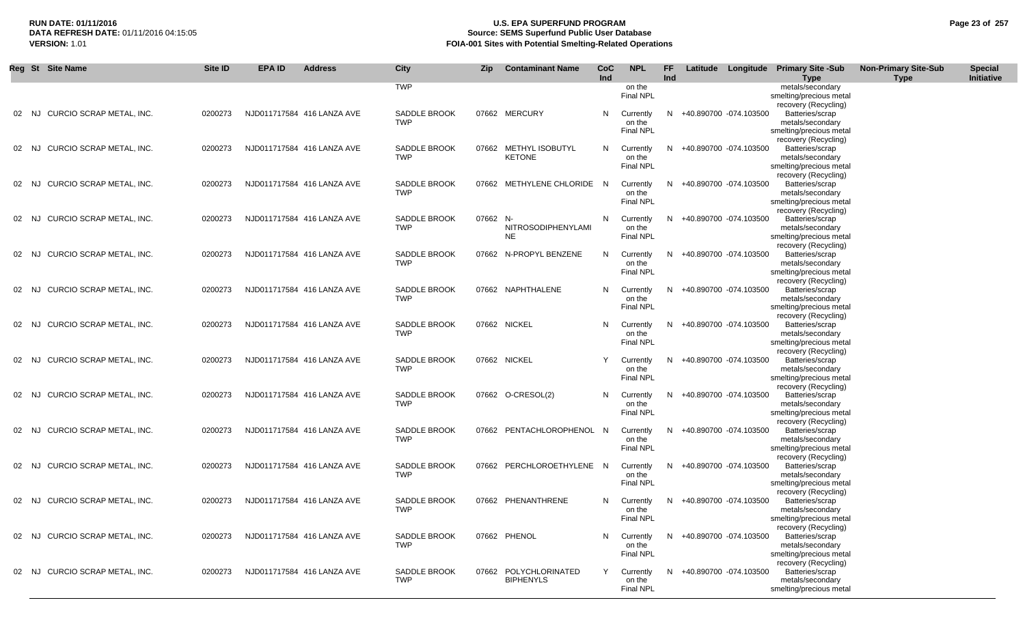# **RUN DATE: 01/11/2016 U.S. EPA SUPERFUND PROGRAM Page 23 of 257 Source: SEMS Superfund Public User Database VERSION:** 1.01 **FOIA-001 Sites with Potential Smelting-Related Operations**

|       | Reg St Site Name         | Site ID | <b>EPA ID</b> | <b>Address</b>             | <b>City</b>                       | <b>Zip</b> | <b>Contaminant Name</b>                | CoC<br><b>Ind</b> | <b>NPL</b>                              | FF<br>Ind | Latitude |                          | Longitude Primary Site -Sub<br><b>Type</b>                                             | <b>Non-Primary Site-Sub</b><br><b>Type</b> | <b>Special</b><br>Initiative |
|-------|--------------------------|---------|---------------|----------------------------|-----------------------------------|------------|----------------------------------------|-------------------|-----------------------------------------|-----------|----------|--------------------------|----------------------------------------------------------------------------------------|--------------------------------------------|------------------------------|
|       |                          |         |               |                            | <b>TWP</b>                        |            |                                        |                   | on the<br>Final NPL                     |           |          |                          | metals/secondary<br>smelting/precious metal<br>recovery (Recycling)                    |                                            |                              |
| 02 NJ | CURCIO SCRAP METAL, INC. | 0200273 |               | NJD011717584 416 LANZA AVE | <b>SADDLE BROOK</b><br><b>TWP</b> |            | 07662 MERCURY                          | N                 | Currently<br>on the<br>Final NPL        | N         |          | +40.890700 -074.103500   | Batteries/scrap<br>metals/secondary<br>smelting/precious metal                         |                                            |                              |
| 02 NJ | CURCIO SCRAP METAL, INC. | 0200273 |               | NJD011717584 416 LANZA AVE | <b>SADDLE BROOK</b><br><b>TWP</b> |            | 07662 METHYL ISOBUTYL<br><b>KETONE</b> | N                 | Currently<br>on the<br><b>Final NPL</b> | N.        |          | +40.890700 -074.103500   | recovery (Recycling)<br>Batteries/scrap<br>metals/secondary<br>smelting/precious metal |                                            |                              |
| 02 NJ | CURCIO SCRAP METAL. INC. | 0200273 |               | NJD011717584 416 LANZA AVE | <b>SADDLE BROOK</b><br><b>TWP</b> |            | 07662 METHYLENE CHLORIDE               | - N               | Currently<br>on the<br><b>Final NPL</b> | N         |          | +40.890700 -074.103500   | recovery (Recycling)<br>Batteries/scrap<br>metals/secondary<br>smelting/precious metal |                                            |                              |
| 02 NJ | CURCIO SCRAP METAL, INC. | 0200273 |               | NJD011717584 416 LANZA AVE | <b>SADDLE BROOK</b><br><b>TWP</b> | 07662 N-   | NITROSODIPHENYLAMI<br><b>NE</b>        | N                 | Currently<br>on the<br><b>Final NPL</b> | N.        |          | +40.890700 -074.103500   | recovery (Recycling)<br>Batteries/scrap<br>metals/secondary<br>smelting/precious metal |                                            |                              |
| 02 NJ | CURCIO SCRAP METAL, INC. | 0200273 |               | NJD011717584 416 LANZA AVE | <b>SADDLE BROOK</b><br><b>TWP</b> |            | 07662 N-PROPYL BENZENE                 | N                 | Currently<br>on the<br><b>Final NPL</b> | N.        |          | +40.890700 -074.103500   | recovery (Recycling)<br>Batteries/scrap<br>metals/secondary<br>smelting/precious metal |                                            |                              |
| 02 NJ | CURCIO SCRAP METAL, INC. | 0200273 |               | NJD011717584 416 LANZA AVE | <b>SADDLE BROOK</b><br><b>TWP</b> |            | 07662 NAPHTHALENE                      | N                 | Currently<br>on the<br><b>Final NPL</b> |           |          | +40.890700 -074.103500   | recovery (Recycling)<br>Batteries/scrap<br>metals/secondary<br>smelting/precious metal |                                            |                              |
| 02 NJ | CURCIO SCRAP METAL, INC. | 0200273 |               | NJD011717584 416 LANZA AVE | <b>SADDLE BROOK</b><br><b>TWP</b> |            | 07662 NICKEL                           | N                 | Currently<br>on the<br><b>Final NPL</b> | N.        |          | +40.890700 -074.103500   | recovery (Recycling)<br>Batteries/scrap<br>metals/secondary<br>smelting/precious metal |                                            |                              |
| 02 NJ | CURCIO SCRAP METAL, INC. | 0200273 |               | NJD011717584 416 LANZA AVE | <b>SADDLE BROOK</b><br><b>TWP</b> |            | 07662 NICKEL                           | Y                 | Currently<br>on the<br>Final NPL        | N.        |          | +40.890700 -074.103500   | recovery (Recycling)<br>Batteries/scrap<br>metals/secondary<br>smelting/precious metal |                                            |                              |
| 02 NJ | CURCIO SCRAP METAL, INC. | 0200273 |               | NJD011717584 416 LANZA AVE | <b>SADDLE BROOK</b><br>TWP        |            | 07662 O-CRESOL(2)                      | N                 | Currently<br>on the<br>Final NPL        | N.        |          | +40.890700 -074.103500   | recovery (Recycling)<br>Batteries/scrap<br>metals/secondary<br>smelting/precious metal |                                            |                              |
| 02 NJ | CURCIO SCRAP METAL, INC. | 0200273 |               | NJD011717584 416 LANZA AVE | <b>SADDLE BROOK</b><br><b>TWP</b> |            | 07662 PENTACHLOROPHENOL N              |                   | Currently<br>on the<br><b>Final NPL</b> | N         |          | +40.890700 -074.103500   | recovery (Recycling)<br>Batteries/scrap<br>metals/secondary<br>smelting/precious metal |                                            |                              |
| 02 NJ | CURCIO SCRAP METAL, INC. | 0200273 |               | NJD011717584 416 LANZA AVE | <b>SADDLE BROOK</b><br><b>TWP</b> |            | 07662 PERCHLOROETHYLENE N              |                   | Currently<br>on the<br><b>Final NPL</b> | N.        |          | +40.890700 -074.103500   | recovery (Recycling)<br>Batteries/scrap<br>metals/secondary<br>smelting/precious metal |                                            |                              |
| 02 NJ | CURCIO SCRAP METAL, INC. | 0200273 |               | NJD011717584 416 LANZA AVE | <b>SADDLE BROOK</b><br><b>TWP</b> |            | 07662 PHENANTHRENE                     | N                 | Currently<br>on the<br>Final NPL        |           |          | +40.890700 -074.103500   | recovery (Recycling)<br>Batteries/scrap<br>metals/secondary<br>smelting/precious metal |                                            |                              |
| 02 NJ | CURCIO SCRAP METAL, INC. | 0200273 |               | NJD011717584 416 LANZA AVE | SADDLE BROOK<br><b>TWP</b>        |            | 07662 PHENOL                           | N                 | Currently<br>on the<br>Final NPL        | N.        |          | +40.890700 -074.103500   | recovery (Recycling)<br>Batteries/scrap<br>metals/secondary<br>smelting/precious metal |                                            |                              |
| 02 NJ | CURCIO SCRAP METAL, INC. | 0200273 |               | NJD011717584 416 LANZA AVE | SADDLE BROOK<br><b>TWP</b>        | 07662      | POLYCHLORINATED<br><b>BIPHENYLS</b>    | Y                 | Currently<br>on the<br>Final NPL        |           |          | N +40.890700 -074.103500 | recovery (Recycling)<br>Batteries/scrap<br>metals/secondary<br>smelting/precious metal |                                            |                              |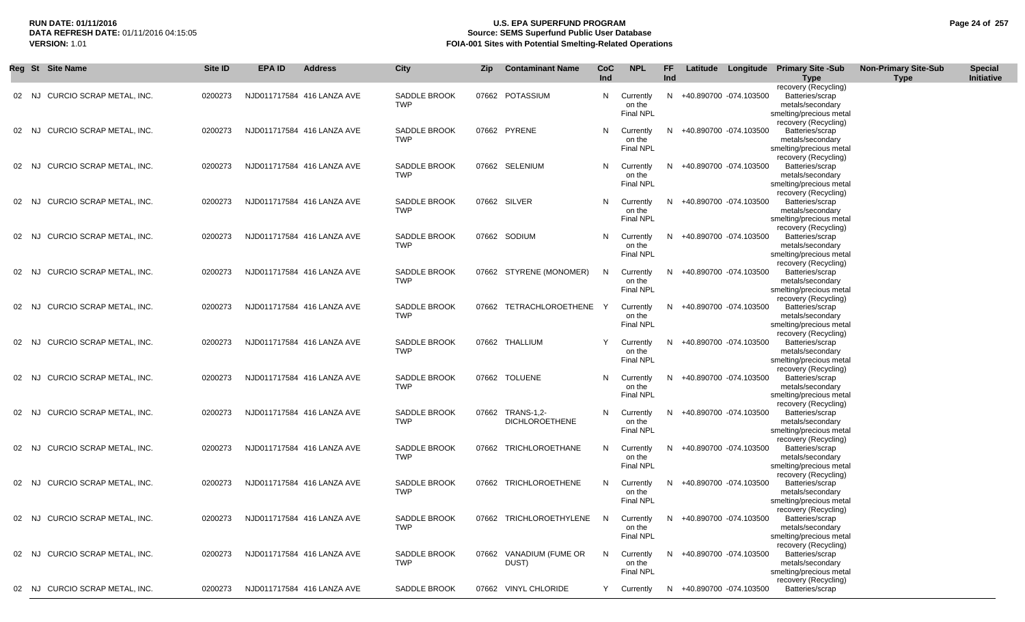# **RUN DATE: 01/11/2016 U.S. EPA SUPERFUND PROGRAM Page 24 of 257 Source: SEMS Superfund Public User Database VERSION:** 1.01 **FOIA-001 Sites with Potential Smelting-Related Operations**

|       | Reg St Site Name                | Site ID | <b>EPA ID</b> | <b>Address</b>             | <b>City</b>                       | <b>Zip</b> | <b>Contaminant Name</b>                   | CoC<br>Ind | <b>NPL</b>                              | FF.<br>Ind |                          | Latitude Longitude Primary Site -Sub<br><b>Type</b>                                    | <b>Non-Primary Site-Sub</b><br><b>Type</b> | <b>Special</b><br>Initiative |
|-------|---------------------------------|---------|---------------|----------------------------|-----------------------------------|------------|-------------------------------------------|------------|-----------------------------------------|------------|--------------------------|----------------------------------------------------------------------------------------|--------------------------------------------|------------------------------|
| 02 NJ | CURCIO SCRAP METAL, INC.        | 0200273 |               | NJD011717584 416 LANZA AVE | <b>SADDLE BROOK</b><br><b>TWP</b> |            | 07662 POTASSIUM                           | N.         | Currently<br>on the<br>Final NPL        |            | N +40.890700 -074.103500 | recovery (Recycling)<br>Batteries/scrap<br>metals/secondary<br>smelting/precious metal |                                            |                              |
| 02 NJ | CURCIO SCRAP METAL, INC.        | 0200273 |               | NJD011717584 416 LANZA AVE | <b>SADDLE BROOK</b><br><b>TWP</b> |            | 07662 PYRENE                              | N          | Currently<br>on the<br><b>Final NPL</b> |            | N +40.890700 -074.103500 | recovery (Recycling)<br>Batteries/scrap<br>metals/secondary<br>smelting/precious metal |                                            |                              |
| 02    | CURCIO SCRAP METAL, INC.<br>NJ. | 0200273 |               | NJD011717584 416 LANZA AVE | SADDLE BROOK<br><b>TWP</b>        |            | 07662 SELENIUM                            | N          | Currently<br>on the<br>Final NPL        | N.         | +40.890700 -074.103500   | recovery (Recycling)<br>Batteries/scrap<br>metals/secondary<br>smelting/precious metal |                                            |                              |
| 02    | CURCIO SCRAP METAL, INC.<br>NJ  | 0200273 |               | NJD011717584 416 LANZA AVE | <b>SADDLE BROOK</b><br><b>TWP</b> |            | 07662 SILVER                              | N          | Currently<br>on the<br><b>Final NPL</b> | N.         | +40.890700 -074.103500   | recovery (Recycling)<br>Batteries/scrap<br>metals/secondary<br>smelting/precious metal |                                            |                              |
| 02    | CURCIO SCRAP METAL, INC.<br>NJ  | 0200273 |               | NJD011717584 416 LANZA AVE | <b>SADDLE BROOK</b><br><b>TWP</b> |            | 07662 SODIUM                              | N.         | Currently<br>on the<br>Final NPL        | N.         | +40.890700 -074.103500   | recovery (Recycling)<br>Batteries/scrap<br>metals/secondary<br>smelting/precious metal |                                            |                              |
| 02 NJ | <b>CURCIO SCRAP METAL. INC.</b> | 0200273 |               | NJD011717584 416 LANZA AVE | <b>SADDLE BROOK</b><br><b>TWP</b> |            | 07662 STYRENE (MONOMER)                   | N          | Currently<br>on the<br>Final NPL        | N.         | +40.890700 -074.103500   | recovery (Recycling)<br>Batteries/scrap<br>metals/secondary<br>smelting/precious metal |                                            |                              |
| 02    | CURCIO SCRAP METAL, INC.<br>NJ. | 0200273 |               | NJD011717584 416 LANZA AVE | SADDLE BROOK<br><b>TWP</b>        |            | 07662 TETRACHLOROETHENE                   |            | Currently<br>on the<br><b>Final NPL</b> | N.         | +40.890700 -074.103500   | recovery (Recycling)<br>Batteries/scrap<br>metals/secondary<br>smelting/precious metal |                                            |                              |
| 02    | CURCIO SCRAP METAL, INC.<br>NJ. | 0200273 |               | NJD011717584 416 LANZA AVE | <b>SADDLE BROOK</b><br><b>TWP</b> |            | 07662 THALLIUM                            |            | Currently<br>on the<br><b>Final NPL</b> | N.         | +40.890700 -074.103500   | recovery (Recycling)<br>Batteries/scrap<br>metals/secondary<br>smelting/precious metal |                                            |                              |
| 02    | CURCIO SCRAP METAL, INC.<br>NJ. | 0200273 |               | NJD011717584 416 LANZA AVE | <b>SADDLE BROOK</b><br><b>TWP</b> |            | 07662 TOLUENE                             | N          | Currently<br>on the<br>Final NPL        | N.         | +40.890700 -074.103500   | recovery (Recycling)<br>Batteries/scrap<br>metals/secondary<br>smelting/precious metal |                                            |                              |
| 02 NJ | CURCIO SCRAP METAL, INC.        | 0200273 |               | NJD011717584 416 LANZA AVE | <b>SADDLE BROOK</b><br><b>TWP</b> |            | 07662 TRANS-1,2-<br><b>DICHLOROETHENE</b> | N.         | Currently<br>on the<br><b>Final NPL</b> | N.         | +40.890700 -074.103500   | recovery (Recycling)<br>Batteries/scrap<br>metals/secondary<br>smelting/precious metal |                                            |                              |
| 02 NJ | CURCIO SCRAP METAL, INC.        | 0200273 |               | NJD011717584 416 LANZA AVE | <b>SADDLE BROOK</b><br><b>TWP</b> |            | 07662 TRICHLOROETHANE                     | N          | Currently<br>on the<br><b>Final NPL</b> | N.         | +40.890700 -074.103500   | recovery (Recycling)<br>Batteries/scrap<br>metals/secondary<br>smelting/precious metal |                                            |                              |
| 02 NJ | CURCIO SCRAP METAL, INC.        | 0200273 |               | NJD011717584 416 LANZA AVE | <b>SADDLE BROOK</b><br><b>TWP</b> |            | 07662 TRICHLOROETHENE                     | N          | Currently<br>on the<br><b>Final NPL</b> | N.         | +40.890700 -074.103500   | recovery (Recycling)<br>Batteries/scrap<br>metals/secondary<br>smelting/precious metal |                                            |                              |
|       | 02 NJ CURCIO SCRAP METAL, INC.  | 0200273 |               | NJD011717584 416 LANZA AVE | SADDLE BROOK<br><b>TWP</b>        |            | 07662 TRICHLOROETHYLENE N                 |            | Currently<br>on the<br><b>Final NPL</b> |            | N +40.890700 -074.103500 | recovery (Recycling)<br>Batteries/scrap<br>metals/secondary<br>smelting/precious metal |                                            |                              |
|       | 02 NJ CURCIO SCRAP METAL, INC.  | 0200273 |               | NJD011717584 416 LANZA AVE | SADDLE BROOK<br><b>TWP</b>        |            | 07662 VANADIUM (FUME OR<br>DUST)          | N          | Currently<br>on the<br><b>Final NPL</b> |            | N +40.890700 -074.103500 | recovery (Recycling)<br>Batteries/scrap<br>metals/secondary<br>smelting/precious metal |                                            |                              |
|       | 02 NJ CURCIO SCRAP METAL, INC.  | 0200273 |               | NJD011717584 416 LANZA AVE | SADDLE BROOK                      |            | 07662 VINYL CHLORIDE                      |            | Y Currently                             |            | N +40.890700 -074.103500 | recovery (Recycling)<br>Batteries/scrap                                                |                                            |                              |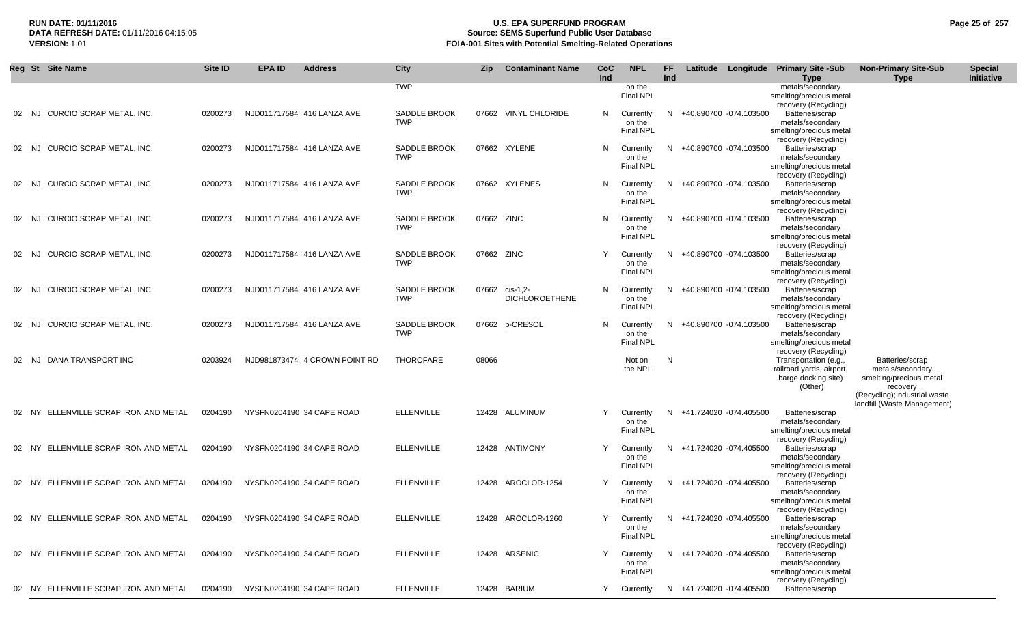# **RUN DATE: 01/11/2016 U.S. EPA SUPERFUND PROGRAM Page 25 of 257 Source: SEMS Superfund Public User Database VERSION:** 1.01 **FOIA-001 Sites with Potential Smelting-Related Operations**

|       | Reg St Site Name                      | Site ID | <b>EPA ID</b>                     | <b>Address</b>                | City                              | Zip        | <b>Contaminant Name</b>           | CoC | <b>NPL</b>                              | FF  |                          | Latitude Longitude | <b>Primary Site -Sub</b>                                                                                    | <b>Non-Primary Site-Sub</b>                                                                                 | <b>Special</b> |
|-------|---------------------------------------|---------|-----------------------------------|-------------------------------|-----------------------------------|------------|-----------------------------------|-----|-----------------------------------------|-----|--------------------------|--------------------|-------------------------------------------------------------------------------------------------------------|-------------------------------------------------------------------------------------------------------------|----------------|
|       |                                       |         |                                   |                               | <b>TWP</b>                        |            |                                   | Ind | on the<br><b>Final NPL</b>              | Ind |                          |                    | <b>Type</b><br>metals/secondary<br>smelting/precious metal<br>recovery (Recycling)                          | <b>Type</b>                                                                                                 | Initiative     |
| 02 NJ | CURCIO SCRAP METAL, INC.              | 0200273 |                                   | NJD011717584 416 LANZA AVE    | SADDLE BROOK<br><b>TWP</b>        |            | 07662 VINYL CHLORIDE              | N   | Currently<br>on the<br><b>Final NPL</b> | N.  | +40.890700 -074.103500   |                    | Batteries/scrap<br>metals/secondary<br>smelting/precious metal                                              |                                                                                                             |                |
| 02 NJ | CURCIO SCRAP METAL, INC.              | 0200273 |                                   | NJD011717584 416 LANZA AVE    | SADDLE BROOK<br><b>TWP</b>        |            | 07662 XYLENE                      | N   | Currently<br>on the<br><b>Final NPL</b> | N.  | +40.890700 -074.103500   |                    | recovery (Recycling)<br>Batteries/scrap<br>metals/secondary<br>smelting/precious metal                      |                                                                                                             |                |
| 02 NJ | CURCIO SCRAP METAL, INC.              | 0200273 |                                   | NJD011717584 416 LANZA AVE    | SADDLE BROOK<br><b>TWP</b>        |            | 07662 XYLENES                     | N   | Currently<br>on the<br><b>Final NPL</b> |     | N +40.890700 -074.103500 |                    | recovery (Recycling)<br>Batteries/scrap<br>metals/secondary<br>smelting/precious metal                      |                                                                                                             |                |
| 02 NJ | CURCIO SCRAP METAL, INC.              | 0200273 |                                   | NJD011717584 416 LANZA AVE    | SADDLE BROOK<br><b>TWP</b>        | 07662 ZINC |                                   | N   | Currently<br>on the<br><b>Final NPL</b> | N.  | +40.890700 -074.103500   |                    | recovery (Recycling)<br>Batteries/scrap<br>metals/secondary<br>smelting/precious metal                      |                                                                                                             |                |
| 02 NJ | CURCIO SCRAP METAL, INC.              | 0200273 |                                   | NJD011717584 416 LANZA AVE    | <b>SADDLE BROOK</b><br><b>TWP</b> | 07662 ZINC |                                   | Y   | Currently<br>on the<br>Final NPL        |     | N +40.890700 -074.103500 |                    | recovery (Recycling)<br>Batteries/scrap<br>metals/secondary<br>smelting/precious metal                      |                                                                                                             |                |
|       | 02 NJ CURCIO SCRAP METAL. INC.        | 0200273 |                                   | NJD011717584 416 LANZA AVE    | <b>SADDLE BROOK</b><br><b>TWP</b> | 07662      | cis-1,2-<br><b>DICHLOROETHENE</b> | N   | Currently<br>on the<br>Final NPL        | N.  | +40.890700 -074.103500   |                    | recovery (Recycling)<br>Batteries/scrap<br>metals/secondary<br>smelting/precious metal                      |                                                                                                             |                |
|       | 02 NJ CURCIO SCRAP METAL, INC.        | 0200273 |                                   | NJD011717584 416 LANZA AVE    | SADDLE BROOK<br><b>TWP</b>        |            | 07662 p-CRESOL                    | N   | Currently<br>on the<br><b>Final NPL</b> |     | N +40.890700 -074.103500 |                    | recovery (Recycling)<br>Batteries/scrap<br>metals/secondary<br>smelting/precious metal                      |                                                                                                             |                |
| 02 NJ | DANA TRANSPORT INC                    | 0203924 |                                   | NJD981873474 4 CROWN POINT RD | THOROFARE                         | 08066      |                                   |     | Not on<br>the NPL                       | N   |                          |                    | recovery (Recycling)<br>Transportation (e.g.,<br>railroad yards, airport,<br>barge docking site)<br>(Other) | Batteries/scrap<br>metals/secondary<br>smelting/precious metal<br>recovery<br>(Recycling); Industrial waste |                |
|       | 02 NY ELLENVILLE SCRAP IRON AND METAL | 0204190 | NYSFN0204190 34 CAPE ROAD         |                               | <b>ELLENVILLE</b>                 |            | 12428 ALUMINUM                    | Y   | Currently<br>on the<br>Final NPL        |     | N +41.724020 -074.405500 |                    | Batteries/scrap<br>metals/secondary<br>smelting/precious metal                                              | landfill (Waste Management)                                                                                 |                |
|       | 02 NY ELLENVILLE SCRAP IRON AND METAL | 0204190 | NYSFN0204190 34 CAPE ROAD         |                               | <b>ELLENVILLE</b>                 |            | 12428 ANTIMONY                    | Y   | Currently<br>on the<br><b>Final NPL</b> |     | N +41.724020 -074.405500 |                    | recovery (Recycling)<br>Batteries/scrap<br>metals/secondary<br>smelting/precious metal                      |                                                                                                             |                |
|       | 02 NY ELLENVILLE SCRAP IRON AND METAL | 0204190 | NYSFN0204190 34 CAPE ROAD         |                               | <b>ELLENVILLE</b>                 |            | 12428 AROCLOR-1254                | Y   | Currently<br>on the<br><b>Final NPL</b> |     | N +41.724020 -074.405500 |                    | recovery (Recycling)<br>Batteries/scrap<br>metals/secondary<br>smelting/precious metal                      |                                                                                                             |                |
|       | 02 NY ELLENVILLE SCRAP IRON AND METAL |         | 0204190 NYSFN0204190 34 CAPE ROAD |                               | <b>ELLENVILLE</b>                 |            | 12428 AROCLOR-1260                |     | Currently<br>on the<br><b>Final NPL</b> |     | N +41.724020 -074.405500 |                    | recovery (Recycling)<br>Batteries/scrap<br>metals/secondary<br>smelting/precious metal                      |                                                                                                             |                |
|       | 02 NY ELLENVILLE SCRAP IRON AND METAL | 0204190 | NYSFN0204190 34 CAPE ROAD         |                               | <b>ELLENVILLE</b>                 |            | 12428 ARSENIC                     | Y   | Currently<br>on the<br>Final NPL        |     | N +41.724020 -074.405500 |                    | recovery (Recycling)<br>Batteries/scrap<br>metals/secondary<br>smelting/precious metal                      |                                                                                                             |                |
|       | 02 NY ELLENVILLE SCRAP IRON AND METAL | 0204190 | NYSFN0204190 34 CAPE ROAD         |                               | <b>ELLENVILLE</b>                 |            | 12428 BARIUM                      | Y   | Currently                               |     | N +41.724020 -074.405500 |                    | recovery (Recycling)<br>Batteries/scrap                                                                     |                                                                                                             |                |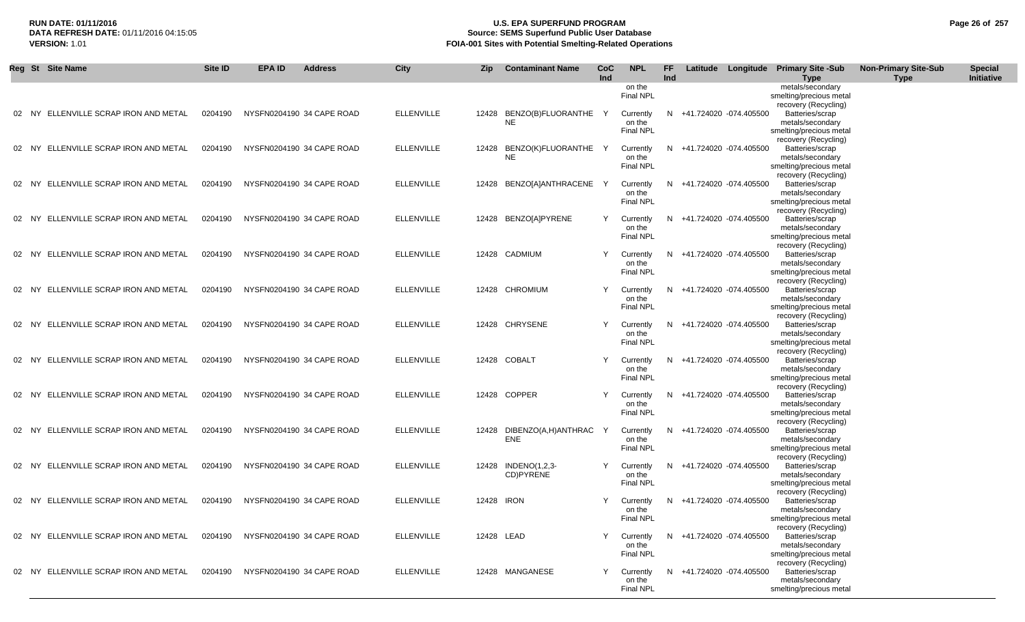# **RUN DATE: 01/11/2016 U.S. EPA SUPERFUND PROGRAM Page 26 of 257** DATA REFRESH DATE: 01/11/2016 04:15:05<br>**VERSION: 1.01** Source: SEMS Superfund Public User Database<br>FOIA-001 Sites with Potential Smelting-Related Operat **FOIA-001 Sites with Potential Smelting-Related Operations**

|           | Reg St Site Name                      | Site ID | <b>EPA ID</b> | <b>Address</b>            | City              | Zip        | <b>Contaminant Name</b>           | CoC<br>Ind | <b>NPL</b>                 | FF<br>Ind |                          | Latitude Longitude Primary Site -Sub            | <b>Non-Primary Site-Sub</b><br><b>Type</b> | <b>Special</b><br>Initiative |
|-----------|---------------------------------------|---------|---------------|---------------------------|-------------------|------------|-----------------------------------|------------|----------------------------|-----------|--------------------------|-------------------------------------------------|--------------------------------------------|------------------------------|
|           |                                       |         |               |                           |                   |            |                                   |            | on the                     |           |                          | Type<br>metals/secondary                        |                                            |                              |
|           |                                       |         |               |                           |                   |            |                                   |            | Final NPL                  |           |                          | smelting/precious metal                         |                                            |                              |
| 02        | NY ELLENVILLE SCRAP IRON AND METAL    | 0204190 |               | NYSFN0204190 34 CAPE ROAD | <b>ELLENVILLE</b> | 12428      | BENZO(B)FLUORANTHE                |            | Currently                  | N.        | +41.724020 -074.405500   | recovery (Recycling)<br>Batteries/scrap         |                                            |                              |
|           |                                       |         |               |                           |                   |            | <b>NE</b>                         |            | on the                     |           |                          | metals/secondary                                |                                            |                              |
|           |                                       |         |               |                           |                   |            |                                   |            | Final NPL                  |           |                          | smelting/precious metal                         |                                            |                              |
|           |                                       |         |               |                           |                   |            |                                   |            |                            |           |                          | recovery (Recycling)                            |                                            |                              |
|           | 02 NY ELLENVILLE SCRAP IRON AND METAL | 0204190 |               | NYSFN0204190 34 CAPE ROAD | <b>ELLENVILLE</b> | 12428      | BENZO(K)FLUORANTHE Y<br><b>NE</b> |            | Currently<br>on the        | N.        | +41.724020 -074.405500   | Batteries/scrap<br>metals/secondary             |                                            |                              |
|           |                                       |         |               |                           |                   |            |                                   |            | Final NPL                  |           |                          | smelting/precious metal                         |                                            |                              |
|           |                                       |         |               |                           |                   |            |                                   |            |                            |           |                          | recovery (Recycling)                            |                                            |                              |
|           | 02 NY ELLENVILLE SCRAP IRON AND METAL | 0204190 |               | NYSFN0204190 34 CAPE ROAD | <b>ELLENVILLE</b> |            | 12428 BENZO[A]ANTHRACENE          |            | Currently                  | N.        | +41.724020 -074.405500   | Batteries/scrap                                 |                                            |                              |
|           |                                       |         |               |                           |                   |            |                                   |            | on the<br><b>Final NPL</b> |           |                          | metals/secondary<br>smelting/precious metal     |                                            |                              |
|           |                                       |         |               |                           |                   |            |                                   |            |                            |           |                          | recovery (Recycling)                            |                                            |                              |
|           | 02 NY ELLENVILLE SCRAP IRON AND METAL | 0204190 |               | NYSFN0204190 34 CAPE ROAD | <b>ELLENVILLE</b> |            | 12428 BENZO[A]PYRENE              |            | Currently                  |           | N +41.724020 -074.405500 | Batteries/scrap                                 |                                            |                              |
|           |                                       |         |               |                           |                   |            |                                   |            | on the<br><b>Final NPL</b> |           |                          | metals/secondary<br>smelting/precious metal     |                                            |                              |
|           |                                       |         |               |                           |                   |            |                                   |            |                            |           |                          | recovery (Recycling)                            |                                            |                              |
| 02        | NY ELLENVILLE SCRAP IRON AND METAL    | 0204190 |               | NYSFN0204190 34 CAPE ROAD | <b>ELLENVILLE</b> |            | 12428 CADMIUM                     |            | Currently                  |           | N +41.724020 -074.405500 | Batteries/scrap                                 |                                            |                              |
|           |                                       |         |               |                           |                   |            |                                   |            | on the                     |           |                          | metals/secondary                                |                                            |                              |
|           |                                       |         |               |                           |                   |            |                                   |            | <b>Final NPL</b>           |           |                          | smelting/precious metal<br>recovery (Recycling) |                                            |                              |
| 02<br>NY. | ELLENVILLE SCRAP IRON AND METAL       | 0204190 |               | NYSFN0204190 34 CAPE ROAD | <b>ELLENVILLE</b> |            | 12428 CHROMIUM                    |            | Currently                  | N.        | +41.724020 -074.405500   | Batteries/scrap                                 |                                            |                              |
|           |                                       |         |               |                           |                   |            |                                   |            | on the                     |           |                          | metals/secondary                                |                                            |                              |
|           |                                       |         |               |                           |                   |            |                                   |            | Final NPL                  |           |                          | smelting/precious metal                         |                                            |                              |
|           | 02 NY ELLENVILLE SCRAP IRON AND METAL | 0204190 |               | NYSFN0204190 34 CAPE ROAD | <b>ELLENVILLE</b> |            | 12428 CHRYSENE                    |            | Currently                  | N.        | +41.724020 -074.405500   | recovery (Recycling)<br>Batteries/scrap         |                                            |                              |
|           |                                       |         |               |                           |                   |            |                                   |            | on the                     |           |                          | metals/secondary                                |                                            |                              |
|           |                                       |         |               |                           |                   |            |                                   |            | <b>Final NPL</b>           |           |                          | smelting/precious metal                         |                                            |                              |
|           | 02 NY ELLENVILLE SCRAP IRON AND METAL | 0204190 |               | NYSFN0204190 34 CAPE ROAD | <b>ELLENVILLE</b> |            | 12428 COBALT                      |            | Currently                  |           | N +41.724020 -074.405500 | recovery (Recycling)<br>Batteries/scrap         |                                            |                              |
|           |                                       |         |               |                           |                   |            |                                   |            | on the                     |           |                          | metals/secondary                                |                                            |                              |
|           |                                       |         |               |                           |                   |            |                                   |            | <b>Final NPL</b>           |           |                          | smelting/precious metal                         |                                            |                              |
|           |                                       |         |               |                           |                   |            |                                   |            |                            |           |                          | recovery (Recycling)                            |                                            |                              |
|           | 02 NY ELLENVILLE SCRAP IRON AND METAL | 0204190 |               | NYSFN0204190 34 CAPE ROAD | <b>ELLENVILLE</b> |            | 12428 COPPER                      |            | Currently<br>on the        |           | N +41.724020 -074.405500 | Batteries/scrap<br>metals/secondary             |                                            |                              |
|           |                                       |         |               |                           |                   |            |                                   |            | <b>Final NPL</b>           |           |                          | smelting/precious metal                         |                                            |                              |
|           |                                       |         |               |                           |                   |            |                                   |            |                            |           |                          | recovery (Recycling)                            |                                            |                              |
| 02 NY     | ELLENVILLE SCRAP IRON AND METAL       | 0204190 |               | NYSFN0204190 34 CAPE ROAD | <b>ELLENVILLE</b> | 12428      | DIBENZO(A,H)ANTHRAC<br><b>ENE</b> |            | Currently<br>on the        | N         | +41.724020 -074.405500   | Batteries/scrap<br>metals/secondary             |                                            |                              |
|           |                                       |         |               |                           |                   |            |                                   |            | <b>Final NPL</b>           |           |                          | smelting/precious metal                         |                                            |                              |
|           |                                       |         |               |                           |                   |            |                                   |            |                            |           |                          | recovery (Recycling)                            |                                            |                              |
|           | 02 NY ELLENVILLE SCRAP IRON AND METAL | 0204190 |               | NYSFN0204190 34 CAPE ROAD | <b>ELLENVILLE</b> |            | 12428 INDENO(1,2,3-               |            | Currently                  | N.        | +41.724020 -074.405500   | Batteries/scrap                                 |                                            |                              |
|           |                                       |         |               |                           |                   |            | CD)PYRENE                         |            | on the<br>Final NPL        |           |                          | metals/secondary<br>smelting/precious metal     |                                            |                              |
|           |                                       |         |               |                           |                   |            |                                   |            |                            |           |                          | recovery (Recycling)                            |                                            |                              |
|           | 02 NY ELLENVILLE SCRAP IRON AND METAL | 0204190 |               | NYSFN0204190 34 CAPE ROAD | <b>ELLENVILLE</b> | 12428 IRON |                                   |            | Currently                  | N.        | +41.724020 -074.405500   | Batteries/scrap                                 |                                            |                              |
|           |                                       |         |               |                           |                   |            |                                   |            | on the<br>Final NPL        |           |                          | metals/secondary                                |                                            |                              |
|           |                                       |         |               |                           |                   |            |                                   |            |                            |           |                          | smelting/precious metal<br>recovery (Recycling) |                                            |                              |
|           | 02 NY ELLENVILLE SCRAP IRON AND METAL | 0204190 |               | NYSFN0204190 34 CAPE ROAD | <b>ELLENVILLE</b> | 12428 LEAD |                                   |            | Currently                  |           | N +41.724020 -074.405500 | Batteries/scrap                                 |                                            |                              |
|           |                                       |         |               |                           |                   |            |                                   |            | on the                     |           |                          | metals/secondary                                |                                            |                              |
|           |                                       |         |               |                           |                   |            |                                   |            | Final NPL                  |           |                          | smelting/precious metal<br>recovery (Recycling) |                                            |                              |
| 02        | NY ELLENVILLE SCRAP IRON AND METAL    | 0204190 |               | NYSFN0204190 34 CAPE ROAD | <b>ELLENVILLE</b> |            | 12428 MANGANESE                   |            | Currently                  |           | N +41.724020 -074.405500 | Batteries/scrap                                 |                                            |                              |
|           |                                       |         |               |                           |                   |            |                                   |            | on the                     |           |                          | metals/secondary                                |                                            |                              |
|           |                                       |         |               |                           |                   |            |                                   |            | Final NPL                  |           |                          | smelting/precious metal                         |                                            |                              |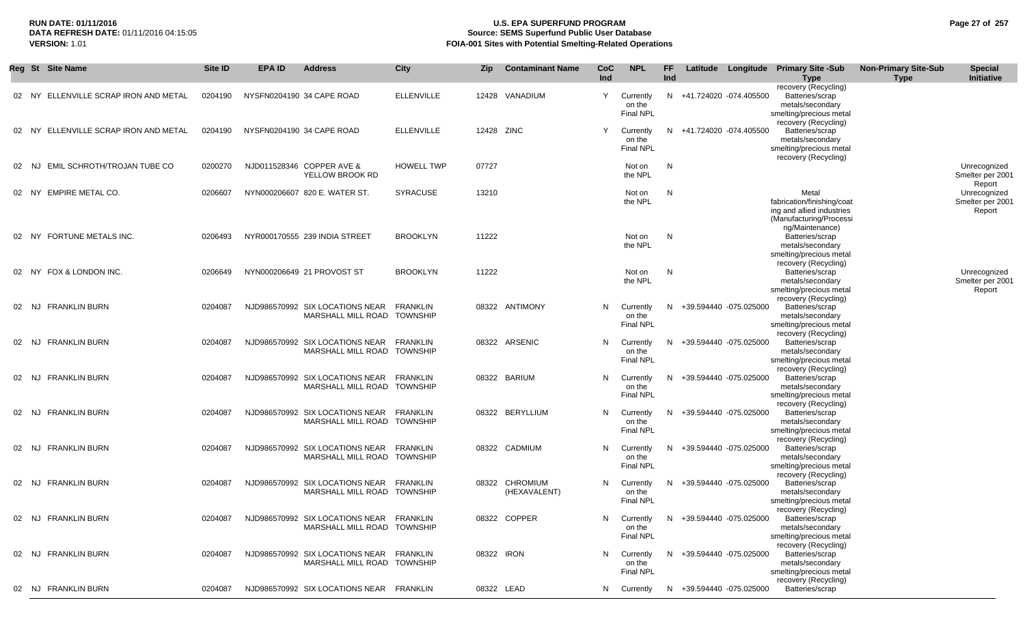# **RUN DATE: 01/11/2016 U.S. EPA SUPERFUND PROGRAM Page 27 of 257 Source: SEMS Superfund Public User Database VERSION:** 1.01 **FOIA-001 Sites with Potential Smelting-Related Operations**

|           | Reg St Site Name                      | Site ID | <b>EPA ID</b>             | <b>Address</b>                                                          | City              | Zip        | <b>Contaminant Name</b>        | CoC        | <b>NPL</b>                              | FF.        |                          | Latitude Longitude Primary Site -Sub                                                                           | <b>Non-Primary Site-Sub</b> | <b>Special</b>                             |
|-----------|---------------------------------------|---------|---------------------------|-------------------------------------------------------------------------|-------------------|------------|--------------------------------|------------|-----------------------------------------|------------|--------------------------|----------------------------------------------------------------------------------------------------------------|-----------------------------|--------------------------------------------|
|           |                                       |         |                           |                                                                         |                   |            |                                | <b>Ind</b> |                                         | <b>Ind</b> |                          | Type<br>recovery (Recycling)                                                                                   | <b>Type</b>                 | Initiative                                 |
|           | 02 NY ELLENVILLE SCRAP IRON AND METAL | 0204190 | NYSFN0204190 34 CAPE ROAD |                                                                         | <b>ELLENVILLE</b> |            | 12428 VANADIUM                 | Y          | Currently<br>on the<br><b>Final NPL</b> |            | N +41.724020 -074.405500 | Batteries/scrap<br>metals/secondary<br>smelting/precious metal<br>recovery (Recycling)                         |                             |                                            |
|           | 02 NY ELLENVILLE SCRAP IRON AND METAL | 0204190 | NYSFN0204190 34 CAPE ROAD |                                                                         | <b>ELLENVILLE</b> | 12428 ZINC |                                | Y          | Currently<br>on the<br><b>Final NPL</b> |            | N +41.724020 -074.405500 | Batteries/scrap<br>metals/secondary<br>smelting/precious metal<br>recovery (Recycling)                         |                             |                                            |
| 02<br>NJ. | EMIL SCHROTH/TROJAN TUBE CO           | 0200270 |                           | NJD011528346 COPPER AVE &<br>YELLOW BROOK RD                            | <b>HOWELL TWP</b> | 07727      |                                |            | Not on<br>the NPL                       | N          |                          |                                                                                                                |                             | Unrecognized<br>Smelter per 2001<br>Report |
|           | 02 NY EMPIRE METAL CO.                | 0206607 |                           | NYN000206607 820 E. WATER ST.                                           | <b>SYRACUSE</b>   | 13210      |                                |            | Not on<br>the NPL                       | N          |                          | Metal<br>fabrication/finishing/coat<br>ing and allied industries<br>(Manufacturing/Processi<br>ng/Maintenance) |                             | Unrecognized<br>Smelter per 2001<br>Report |
|           | 02 NY FORTUNE METALS INC.             | 0206493 |                           | NYR000170555 239 INDIA STREET                                           | <b>BROOKLYN</b>   | 11222      |                                |            | Not on<br>the NPL                       | N          |                          | Batteries/scrap<br>metals/secondary<br>smelting/precious metal<br>recovery (Recycling)                         |                             |                                            |
|           | 02 NY FOX & LONDON INC.               | 0206649 |                           | NYN000206649 21 PROVOST ST                                              | <b>BROOKLYN</b>   | 11222      |                                |            | Not on<br>the NPL                       | N          |                          | Batteries/scrap<br>metals/secondary<br>smelting/precious metal<br>recovery (Recycling)                         |                             | Unrecognized<br>Smelter per 2001<br>Report |
|           | 02 NJ FRANKLIN BURN                   | 0204087 |                           | NJD986570992 SIX LOCATIONS NEAR<br>MARSHALL MILL ROAD TOWNSHIP          | FRANKLIN          |            | 08322 ANTIMONY                 | N          | Currently<br>on the<br><b>Final NPL</b> | N.         | +39.594440 -075.025000   | Batteries/scrap<br>metals/secondary<br>smelting/precious metal<br>recovery (Recycling)                         |                             |                                            |
|           | 02 NJ FRANKLIN BURN                   | 0204087 |                           | NJD986570992 SIX LOCATIONS NEAR<br>MARSHALL MILL ROAD TOWNSHIP          | <b>FRANKLIN</b>   |            | 08322 ARSENIC                  | N          | Currently<br>on the<br><b>Final NPL</b> |            | N +39.594440 -075.025000 | Batteries/scrap<br>metals/secondary<br>smelting/precious metal<br>recovery (Recycling)                         |                             |                                            |
|           | 02 NJ FRANKLIN BURN                   | 0204087 |                           | NJD986570992 SIX LOCATIONS NEAR<br>MARSHALL MILL ROAD TOWNSHIP          | FRANKLIN          |            | 08322 BARIUM                   | N          | Currently<br>on the<br><b>Final NPL</b> |            | N +39.594440 -075.025000 | Batteries/scrap<br>metals/secondary<br>smelting/precious metal<br>recovery (Recycling)                         |                             |                                            |
|           | 02 NJ FRANKLIN BURN                   | 0204087 |                           | NJD986570992 SIX LOCATIONS NEAR FRANKLIN<br>MARSHALL MILL ROAD TOWNSHIP |                   |            | 08322 BERYLLIUM                | N          | Currently<br>on the<br><b>Final NPL</b> |            | N +39.594440 -075.025000 | Batteries/scrap<br>metals/secondary<br>smelting/precious metal<br>recovery (Recycling)                         |                             |                                            |
|           | 02 NJ FRANKLIN BURN                   | 0204087 |                           | NJD986570992 SIX LOCATIONS NEAR FRANKLIN<br>MARSHALL MILL ROAD TOWNSHIP |                   |            | 08322 CADMIUM                  | N          | Currently<br>on the<br><b>Final NPL</b> |            | N +39.594440 -075.025000 | Batteries/scrap<br>metals/secondary<br>smelting/precious metal<br>recovery (Recycling)                         |                             |                                            |
| 02 NJ     | <b>FRANKLIN BURN</b>                  | 0204087 |                           | NJD986570992 SIX LOCATIONS NEAR<br>MARSHALL MILL ROAD TOWNSHIP          | FRANKLIN          |            | 08322 CHROMIUM<br>(HEXAVALENT) | N          | Currently<br>on the<br>Final NPL        |            | N +39.594440 -075.025000 | Batteries/scrap<br>metals/secondary<br>smelting/precious metal<br>recovery (Recycling)                         |                             |                                            |
|           | 02 NJ FRANKLIN BURN                   | 0204087 |                           | NJD986570992 SIX LOCATIONS NEAR FRANKLIN<br>MARSHALL MILL ROAD TOWNSHIP |                   |            | 08322 COPPER                   | N          | Currently<br>on the<br><b>Final NPL</b> |            | N +39.594440 -075.025000 | Batteries/scrap<br>metals/secondary<br>smelting/precious metal<br>recovery (Recycling)                         |                             |                                            |
|           | 02 NJ FRANKLIN BURN                   | 0204087 |                           | NJD986570992 SIX LOCATIONS NEAR FRANKLIN<br>MARSHALL MILL ROAD TOWNSHIP |                   | 08322 IRON |                                | N          | Currently<br>on the<br>Final NPL        |            | N +39.594440 -075.025000 | Batteries/scrap<br>metals/secondary<br>smelting/precious metal<br>recovery (Recycling)                         |                             |                                            |
|           | 02 NJ FRANKLIN BURN                   | 0204087 |                           | NJD986570992 SIX LOCATIONS NEAR FRANKLIN                                |                   |            | 08322 LEAD                     | N.         | Currently                               |            | N +39.594440 -075.025000 | Batteries/scrap                                                                                                |                             |                                            |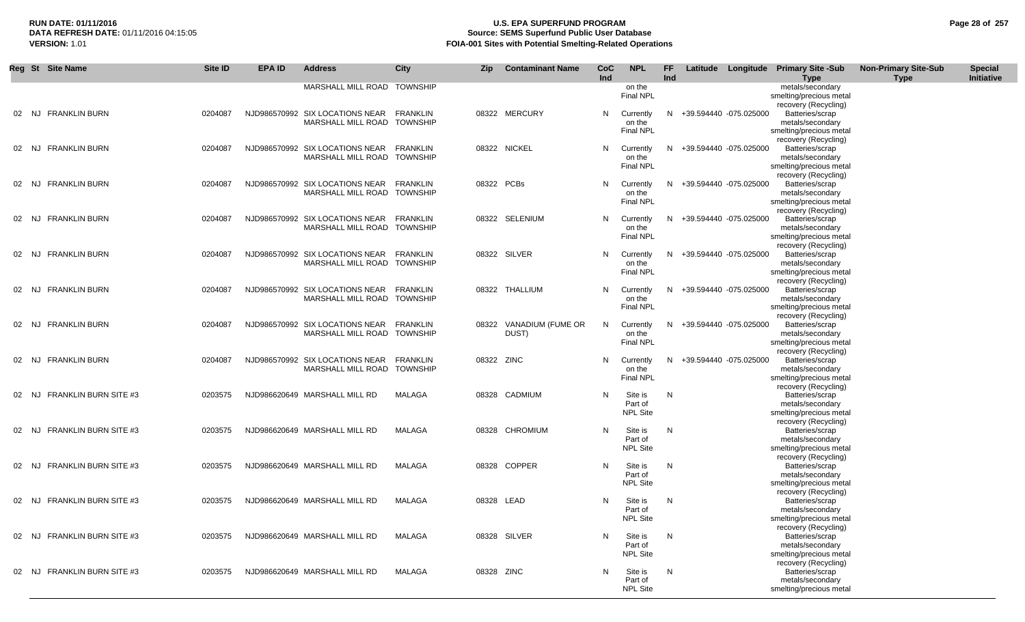## **RUN DATE: 01/11/2016 U.S. EPA SUPERFUND PROGRAM Page 28 of 257** DATA REFRESH DATE: 01/11/2016 04:15:05<br>**VERSION: 1.01** Source: SEMS Superfund Public User Database<br>FOIA-001 Sites with Potential Smelting-Related Operat **FOIA-001 Sites with Potential Smelting-Related Operations**

| Ind<br>Initiative<br>Ind<br><b>Type</b><br><b>Type</b><br>MARSHALL MILL ROAD TOWNSHIP<br>on the<br>metals/secondary<br><b>Final NPL</b><br>smelting/precious metal<br>recovery (Recycling)<br>02 NJ FRANKLIN BURN<br>NJD986570992 SIX LOCATIONS NEAR<br>08322 MERCURY<br>+39.594440 -075.025000<br>Batteries/scrap<br>0204087<br>FRANKLIN<br>N<br>Currently<br>N.<br>MARSHALL MILL ROAD TOWNSHIP<br>metals/secondary<br>on the<br><b>Final NPL</b><br>smelting/precious metal<br>recovery (Recycling)<br>08322 NICKEL<br>02 NJ FRANKLIN BURN<br>0204087<br>NJD986570992 SIX LOCATIONS NEAR<br>FRANKLIN<br>+39.594440 -075.025000<br>Batteries/scrap<br>N<br>Currently<br>N.<br>MARSHALL MILL ROAD TOWNSHIP<br>metals/secondary<br>on the<br><b>Final NPL</b><br>smelting/precious metal<br>recovery (Recycling)<br>08322 PCBs<br><b>FRANKLIN BURN</b><br>NJD986570992 SIX LOCATIONS NEAR<br>+39.594440 -075.025000<br>Batteries/scrap<br>0204087<br>FRANKLIN<br>N<br>02 NJ<br>Currently<br>N.<br>MARSHALL MILL ROAD TOWNSHIP<br>metals/secondary<br>on the<br><b>Final NPL</b><br>smelting/precious metal<br>recovery (Recycling)<br>02 NJ FRANKLIN BURN<br>NJD986570992 SIX LOCATIONS NEAR FRANKLIN<br>08322 SELENIUM<br>+39.594440 -075.025000<br>Batteries/scrap<br>0204087<br>N.<br>Currently<br>N.<br>MARSHALL MILL ROAD TOWNSHIP<br>on the<br>metals/secondary<br><b>Final NPL</b><br>smelting/precious metal<br>recovery (Recycling)<br>02 NJ FRANKLIN BURN<br>NJD986570992 SIX LOCATIONS NEAR FRANKLIN<br>08322 SILVER<br>+39.594440 -075.025000<br>Batteries/scrap<br>0204087<br>N.<br>Currently<br>N.<br>metals/secondary<br>MARSHALL MILL ROAD TOWNSHIP<br>on the<br><b>Final NPL</b><br>smelting/precious metal<br>recovery (Recycling)<br><b>FRANKLIN BURN</b><br>NJD986570992 SIX LOCATIONS NEAR<br>FRANKLIN<br>08322 THALLIUM<br>+39.594440 -075.025000<br>Batteries/scrap<br>02 NJ<br>0204087<br>N.<br>Currently<br>N.<br>metals/secondary<br>MARSHALL MILL ROAD TOWNSHIP<br>on the<br>Final NPL<br>smelting/precious metal<br>recovery (Recycling)<br><b>FRANKLIN BURN</b><br>NJD986570992 SIX LOCATIONS NEAR<br><b>FRANKLIN</b><br>VANADIUM (FUME OR<br>+39.594440 -075.025000<br>Batteries/scrap<br>02 NJ<br>0204087<br>N.<br>08322<br>Currently<br>N.<br>MARSHALL MILL ROAD TOWNSHIP<br>DUST)<br>metals/secondary<br>on the<br><b>Final NPL</b><br>smelting/precious metal<br>recovery (Recycling)<br>08322 ZINC<br><b>FRANKLIN BURN</b><br>0204087<br>NJD986570992 SIX LOCATIONS NEAR<br><b>FRANKLIN</b><br>+39.594440 -075.025000<br>Batteries/scrap<br>02 NJ<br>N<br>Currently<br>N<br>metals/secondary<br>MARSHALL MILL ROAD TOWNSHIP<br>on the<br>Final NPL<br>smelting/precious metal<br>recovery (Recycling)<br><b>FRANKLIN BURN SITE #3</b><br>0203575<br>NJD986620649 MARSHALL MILL RD<br>MALAGA<br>08328 CADMIUM<br>N<br>Site is<br>Batteries/scrap<br>N<br>02 NJ<br>Part of<br>metals/secondary<br><b>NPL Site</b><br>smelting/precious metal<br>recovery (Recycling)<br>Site is<br><b>FRANKLIN BURN SITE #3</b><br>MALAGA<br>08328 CHROMIUM<br>N<br>N<br>Batteries/scrap<br>0203575<br>NJD986620649 MARSHALL MILL RD<br>02 NJ<br>Part of<br>metals/secondary<br><b>NPL Site</b><br>smelting/precious metal<br>recovery (Recycling)<br><b>FRANKLIN BURN SITE #3</b><br>08328 COPPER<br>Site is<br>Batteries/scrap<br>0203575<br>NJD986620649 MARSHALL MILL RD<br>MALAGA<br>N<br>N<br>02 NJ<br>Part of<br>metals/secondary<br><b>NPL Site</b><br>smelting/precious metal<br>recovery (Recycling)<br><b>FRANKLIN BURN SITE #3</b><br>NJD986620649 MARSHALL MILL RD<br>MALAGA<br>08328 LEAD<br>Site is<br>0203575<br>N<br>N<br>Batteries/scrap<br>02 NJ<br>Part of<br>metals/secondary<br><b>NPL Site</b><br>smelting/precious metal<br>recovery (Recycling)<br>02 NJ FRANKLIN BURN SITE #3<br>NJD986620649 MARSHALL MILL RD<br>MALAGA<br>08328 SILVER<br>Site is<br>Batteries/scrap<br>0203575<br>N<br>N<br>metals/secondary<br>Part of<br><b>NPL Site</b><br>smelting/precious metal<br>recovery (Recycling)<br>02 NJ FRANKLIN BURN SITE #3<br>NJD986620649 MARSHALL MILL RD<br>MALAGA<br>08328 ZINC<br>Site is<br>Batteries/scrap<br>0203575<br>N<br>N<br>metals/secondary<br>Part of<br><b>NPL Site</b><br>smelting/precious metal | Reg St Site Name | Site ID | <b>EPA ID</b> | <b>Address</b> | <b>City</b> | Zip | <b>Contaminant Name</b> | CoC | <b>NPL</b> | FF |  | Latitude Longitude Primary Site -Sub | <b>Non-Primary Site-Sub</b> | <b>Special</b> |
|--------------------------------------------------------------------------------------------------------------------------------------------------------------------------------------------------------------------------------------------------------------------------------------------------------------------------------------------------------------------------------------------------------------------------------------------------------------------------------------------------------------------------------------------------------------------------------------------------------------------------------------------------------------------------------------------------------------------------------------------------------------------------------------------------------------------------------------------------------------------------------------------------------------------------------------------------------------------------------------------------------------------------------------------------------------------------------------------------------------------------------------------------------------------------------------------------------------------------------------------------------------------------------------------------------------------------------------------------------------------------------------------------------------------------------------------------------------------------------------------------------------------------------------------------------------------------------------------------------------------------------------------------------------------------------------------------------------------------------------------------------------------------------------------------------------------------------------------------------------------------------------------------------------------------------------------------------------------------------------------------------------------------------------------------------------------------------------------------------------------------------------------------------------------------------------------------------------------------------------------------------------------------------------------------------------------------------------------------------------------------------------------------------------------------------------------------------------------------------------------------------------------------------------------------------------------------------------------------------------------------------------------------------------------------------------------------------------------------------------------------------------------------------------------------------------------------------------------------------------------------------------------------------------------------------------------------------------------------------------------------------------------------------------------------------------------------------------------------------------------------------------------------------------------------------------------------------------------------------------------------------------------------------------------------------------------------------------------------------------------------------------------------------------------------------------------------------------------------------------------------------------------------------------------------------------------------------------------------------------------------------------------------------------------------------------------------------------------------------------------------------------------------------------------------------------------------------------------------------------------------------------------------------------------------------------------------------------------------------------------------------------------------------------------------------------------------------------------------------------------------------------------------------------------------------------------------------------------------------------------------------------------|------------------|---------|---------------|----------------|-------------|-----|-------------------------|-----|------------|----|--|--------------------------------------|-----------------------------|----------------|
|                                                                                                                                                                                                                                                                                                                                                                                                                                                                                                                                                                                                                                                                                                                                                                                                                                                                                                                                                                                                                                                                                                                                                                                                                                                                                                                                                                                                                                                                                                                                                                                                                                                                                                                                                                                                                                                                                                                                                                                                                                                                                                                                                                                                                                                                                                                                                                                                                                                                                                                                                                                                                                                                                                                                                                                                                                                                                                                                                                                                                                                                                                                                                                                                                                                                                                                                                                                                                                                                                                                                                                                                                                                                                                                                                                                                                                                                                                                                                                                                                                                                                                                                                                                                                                                                    |                  |         |               |                |             |     |                         |     |            |    |  |                                      |                             |                |
|                                                                                                                                                                                                                                                                                                                                                                                                                                                                                                                                                                                                                                                                                                                                                                                                                                                                                                                                                                                                                                                                                                                                                                                                                                                                                                                                                                                                                                                                                                                                                                                                                                                                                                                                                                                                                                                                                                                                                                                                                                                                                                                                                                                                                                                                                                                                                                                                                                                                                                                                                                                                                                                                                                                                                                                                                                                                                                                                                                                                                                                                                                                                                                                                                                                                                                                                                                                                                                                                                                                                                                                                                                                                                                                                                                                                                                                                                                                                                                                                                                                                                                                                                                                                                                                                    |                  |         |               |                |             |     |                         |     |            |    |  |                                      |                             |                |
|                                                                                                                                                                                                                                                                                                                                                                                                                                                                                                                                                                                                                                                                                                                                                                                                                                                                                                                                                                                                                                                                                                                                                                                                                                                                                                                                                                                                                                                                                                                                                                                                                                                                                                                                                                                                                                                                                                                                                                                                                                                                                                                                                                                                                                                                                                                                                                                                                                                                                                                                                                                                                                                                                                                                                                                                                                                                                                                                                                                                                                                                                                                                                                                                                                                                                                                                                                                                                                                                                                                                                                                                                                                                                                                                                                                                                                                                                                                                                                                                                                                                                                                                                                                                                                                                    |                  |         |               |                |             |     |                         |     |            |    |  |                                      |                             |                |
|                                                                                                                                                                                                                                                                                                                                                                                                                                                                                                                                                                                                                                                                                                                                                                                                                                                                                                                                                                                                                                                                                                                                                                                                                                                                                                                                                                                                                                                                                                                                                                                                                                                                                                                                                                                                                                                                                                                                                                                                                                                                                                                                                                                                                                                                                                                                                                                                                                                                                                                                                                                                                                                                                                                                                                                                                                                                                                                                                                                                                                                                                                                                                                                                                                                                                                                                                                                                                                                                                                                                                                                                                                                                                                                                                                                                                                                                                                                                                                                                                                                                                                                                                                                                                                                                    |                  |         |               |                |             |     |                         |     |            |    |  |                                      |                             |                |
|                                                                                                                                                                                                                                                                                                                                                                                                                                                                                                                                                                                                                                                                                                                                                                                                                                                                                                                                                                                                                                                                                                                                                                                                                                                                                                                                                                                                                                                                                                                                                                                                                                                                                                                                                                                                                                                                                                                                                                                                                                                                                                                                                                                                                                                                                                                                                                                                                                                                                                                                                                                                                                                                                                                                                                                                                                                                                                                                                                                                                                                                                                                                                                                                                                                                                                                                                                                                                                                                                                                                                                                                                                                                                                                                                                                                                                                                                                                                                                                                                                                                                                                                                                                                                                                                    |                  |         |               |                |             |     |                         |     |            |    |  |                                      |                             |                |
|                                                                                                                                                                                                                                                                                                                                                                                                                                                                                                                                                                                                                                                                                                                                                                                                                                                                                                                                                                                                                                                                                                                                                                                                                                                                                                                                                                                                                                                                                                                                                                                                                                                                                                                                                                                                                                                                                                                                                                                                                                                                                                                                                                                                                                                                                                                                                                                                                                                                                                                                                                                                                                                                                                                                                                                                                                                                                                                                                                                                                                                                                                                                                                                                                                                                                                                                                                                                                                                                                                                                                                                                                                                                                                                                                                                                                                                                                                                                                                                                                                                                                                                                                                                                                                                                    |                  |         |               |                |             |     |                         |     |            |    |  |                                      |                             |                |
|                                                                                                                                                                                                                                                                                                                                                                                                                                                                                                                                                                                                                                                                                                                                                                                                                                                                                                                                                                                                                                                                                                                                                                                                                                                                                                                                                                                                                                                                                                                                                                                                                                                                                                                                                                                                                                                                                                                                                                                                                                                                                                                                                                                                                                                                                                                                                                                                                                                                                                                                                                                                                                                                                                                                                                                                                                                                                                                                                                                                                                                                                                                                                                                                                                                                                                                                                                                                                                                                                                                                                                                                                                                                                                                                                                                                                                                                                                                                                                                                                                                                                                                                                                                                                                                                    |                  |         |               |                |             |     |                         |     |            |    |  |                                      |                             |                |
|                                                                                                                                                                                                                                                                                                                                                                                                                                                                                                                                                                                                                                                                                                                                                                                                                                                                                                                                                                                                                                                                                                                                                                                                                                                                                                                                                                                                                                                                                                                                                                                                                                                                                                                                                                                                                                                                                                                                                                                                                                                                                                                                                                                                                                                                                                                                                                                                                                                                                                                                                                                                                                                                                                                                                                                                                                                                                                                                                                                                                                                                                                                                                                                                                                                                                                                                                                                                                                                                                                                                                                                                                                                                                                                                                                                                                                                                                                                                                                                                                                                                                                                                                                                                                                                                    |                  |         |               |                |             |     |                         |     |            |    |  |                                      |                             |                |
|                                                                                                                                                                                                                                                                                                                                                                                                                                                                                                                                                                                                                                                                                                                                                                                                                                                                                                                                                                                                                                                                                                                                                                                                                                                                                                                                                                                                                                                                                                                                                                                                                                                                                                                                                                                                                                                                                                                                                                                                                                                                                                                                                                                                                                                                                                                                                                                                                                                                                                                                                                                                                                                                                                                                                                                                                                                                                                                                                                                                                                                                                                                                                                                                                                                                                                                                                                                                                                                                                                                                                                                                                                                                                                                                                                                                                                                                                                                                                                                                                                                                                                                                                                                                                                                                    |                  |         |               |                |             |     |                         |     |            |    |  |                                      |                             |                |
|                                                                                                                                                                                                                                                                                                                                                                                                                                                                                                                                                                                                                                                                                                                                                                                                                                                                                                                                                                                                                                                                                                                                                                                                                                                                                                                                                                                                                                                                                                                                                                                                                                                                                                                                                                                                                                                                                                                                                                                                                                                                                                                                                                                                                                                                                                                                                                                                                                                                                                                                                                                                                                                                                                                                                                                                                                                                                                                                                                                                                                                                                                                                                                                                                                                                                                                                                                                                                                                                                                                                                                                                                                                                                                                                                                                                                                                                                                                                                                                                                                                                                                                                                                                                                                                                    |                  |         |               |                |             |     |                         |     |            |    |  |                                      |                             |                |
|                                                                                                                                                                                                                                                                                                                                                                                                                                                                                                                                                                                                                                                                                                                                                                                                                                                                                                                                                                                                                                                                                                                                                                                                                                                                                                                                                                                                                                                                                                                                                                                                                                                                                                                                                                                                                                                                                                                                                                                                                                                                                                                                                                                                                                                                                                                                                                                                                                                                                                                                                                                                                                                                                                                                                                                                                                                                                                                                                                                                                                                                                                                                                                                                                                                                                                                                                                                                                                                                                                                                                                                                                                                                                                                                                                                                                                                                                                                                                                                                                                                                                                                                                                                                                                                                    |                  |         |               |                |             |     |                         |     |            |    |  |                                      |                             |                |
|                                                                                                                                                                                                                                                                                                                                                                                                                                                                                                                                                                                                                                                                                                                                                                                                                                                                                                                                                                                                                                                                                                                                                                                                                                                                                                                                                                                                                                                                                                                                                                                                                                                                                                                                                                                                                                                                                                                                                                                                                                                                                                                                                                                                                                                                                                                                                                                                                                                                                                                                                                                                                                                                                                                                                                                                                                                                                                                                                                                                                                                                                                                                                                                                                                                                                                                                                                                                                                                                                                                                                                                                                                                                                                                                                                                                                                                                                                                                                                                                                                                                                                                                                                                                                                                                    |                  |         |               |                |             |     |                         |     |            |    |  |                                      |                             |                |
|                                                                                                                                                                                                                                                                                                                                                                                                                                                                                                                                                                                                                                                                                                                                                                                                                                                                                                                                                                                                                                                                                                                                                                                                                                                                                                                                                                                                                                                                                                                                                                                                                                                                                                                                                                                                                                                                                                                                                                                                                                                                                                                                                                                                                                                                                                                                                                                                                                                                                                                                                                                                                                                                                                                                                                                                                                                                                                                                                                                                                                                                                                                                                                                                                                                                                                                                                                                                                                                                                                                                                                                                                                                                                                                                                                                                                                                                                                                                                                                                                                                                                                                                                                                                                                                                    |                  |         |               |                |             |     |                         |     |            |    |  |                                      |                             |                |
|                                                                                                                                                                                                                                                                                                                                                                                                                                                                                                                                                                                                                                                                                                                                                                                                                                                                                                                                                                                                                                                                                                                                                                                                                                                                                                                                                                                                                                                                                                                                                                                                                                                                                                                                                                                                                                                                                                                                                                                                                                                                                                                                                                                                                                                                                                                                                                                                                                                                                                                                                                                                                                                                                                                                                                                                                                                                                                                                                                                                                                                                                                                                                                                                                                                                                                                                                                                                                                                                                                                                                                                                                                                                                                                                                                                                                                                                                                                                                                                                                                                                                                                                                                                                                                                                    |                  |         |               |                |             |     |                         |     |            |    |  |                                      |                             |                |
|                                                                                                                                                                                                                                                                                                                                                                                                                                                                                                                                                                                                                                                                                                                                                                                                                                                                                                                                                                                                                                                                                                                                                                                                                                                                                                                                                                                                                                                                                                                                                                                                                                                                                                                                                                                                                                                                                                                                                                                                                                                                                                                                                                                                                                                                                                                                                                                                                                                                                                                                                                                                                                                                                                                                                                                                                                                                                                                                                                                                                                                                                                                                                                                                                                                                                                                                                                                                                                                                                                                                                                                                                                                                                                                                                                                                                                                                                                                                                                                                                                                                                                                                                                                                                                                                    |                  |         |               |                |             |     |                         |     |            |    |  |                                      |                             |                |
|                                                                                                                                                                                                                                                                                                                                                                                                                                                                                                                                                                                                                                                                                                                                                                                                                                                                                                                                                                                                                                                                                                                                                                                                                                                                                                                                                                                                                                                                                                                                                                                                                                                                                                                                                                                                                                                                                                                                                                                                                                                                                                                                                                                                                                                                                                                                                                                                                                                                                                                                                                                                                                                                                                                                                                                                                                                                                                                                                                                                                                                                                                                                                                                                                                                                                                                                                                                                                                                                                                                                                                                                                                                                                                                                                                                                                                                                                                                                                                                                                                                                                                                                                                                                                                                                    |                  |         |               |                |             |     |                         |     |            |    |  |                                      |                             |                |
|                                                                                                                                                                                                                                                                                                                                                                                                                                                                                                                                                                                                                                                                                                                                                                                                                                                                                                                                                                                                                                                                                                                                                                                                                                                                                                                                                                                                                                                                                                                                                                                                                                                                                                                                                                                                                                                                                                                                                                                                                                                                                                                                                                                                                                                                                                                                                                                                                                                                                                                                                                                                                                                                                                                                                                                                                                                                                                                                                                                                                                                                                                                                                                                                                                                                                                                                                                                                                                                                                                                                                                                                                                                                                                                                                                                                                                                                                                                                                                                                                                                                                                                                                                                                                                                                    |                  |         |               |                |             |     |                         |     |            |    |  |                                      |                             |                |
|                                                                                                                                                                                                                                                                                                                                                                                                                                                                                                                                                                                                                                                                                                                                                                                                                                                                                                                                                                                                                                                                                                                                                                                                                                                                                                                                                                                                                                                                                                                                                                                                                                                                                                                                                                                                                                                                                                                                                                                                                                                                                                                                                                                                                                                                                                                                                                                                                                                                                                                                                                                                                                                                                                                                                                                                                                                                                                                                                                                                                                                                                                                                                                                                                                                                                                                                                                                                                                                                                                                                                                                                                                                                                                                                                                                                                                                                                                                                                                                                                                                                                                                                                                                                                                                                    |                  |         |               |                |             |     |                         |     |            |    |  |                                      |                             |                |
|                                                                                                                                                                                                                                                                                                                                                                                                                                                                                                                                                                                                                                                                                                                                                                                                                                                                                                                                                                                                                                                                                                                                                                                                                                                                                                                                                                                                                                                                                                                                                                                                                                                                                                                                                                                                                                                                                                                                                                                                                                                                                                                                                                                                                                                                                                                                                                                                                                                                                                                                                                                                                                                                                                                                                                                                                                                                                                                                                                                                                                                                                                                                                                                                                                                                                                                                                                                                                                                                                                                                                                                                                                                                                                                                                                                                                                                                                                                                                                                                                                                                                                                                                                                                                                                                    |                  |         |               |                |             |     |                         |     |            |    |  |                                      |                             |                |
|                                                                                                                                                                                                                                                                                                                                                                                                                                                                                                                                                                                                                                                                                                                                                                                                                                                                                                                                                                                                                                                                                                                                                                                                                                                                                                                                                                                                                                                                                                                                                                                                                                                                                                                                                                                                                                                                                                                                                                                                                                                                                                                                                                                                                                                                                                                                                                                                                                                                                                                                                                                                                                                                                                                                                                                                                                                                                                                                                                                                                                                                                                                                                                                                                                                                                                                                                                                                                                                                                                                                                                                                                                                                                                                                                                                                                                                                                                                                                                                                                                                                                                                                                                                                                                                                    |                  |         |               |                |             |     |                         |     |            |    |  |                                      |                             |                |
|                                                                                                                                                                                                                                                                                                                                                                                                                                                                                                                                                                                                                                                                                                                                                                                                                                                                                                                                                                                                                                                                                                                                                                                                                                                                                                                                                                                                                                                                                                                                                                                                                                                                                                                                                                                                                                                                                                                                                                                                                                                                                                                                                                                                                                                                                                                                                                                                                                                                                                                                                                                                                                                                                                                                                                                                                                                                                                                                                                                                                                                                                                                                                                                                                                                                                                                                                                                                                                                                                                                                                                                                                                                                                                                                                                                                                                                                                                                                                                                                                                                                                                                                                                                                                                                                    |                  |         |               |                |             |     |                         |     |            |    |  |                                      |                             |                |
|                                                                                                                                                                                                                                                                                                                                                                                                                                                                                                                                                                                                                                                                                                                                                                                                                                                                                                                                                                                                                                                                                                                                                                                                                                                                                                                                                                                                                                                                                                                                                                                                                                                                                                                                                                                                                                                                                                                                                                                                                                                                                                                                                                                                                                                                                                                                                                                                                                                                                                                                                                                                                                                                                                                                                                                                                                                                                                                                                                                                                                                                                                                                                                                                                                                                                                                                                                                                                                                                                                                                                                                                                                                                                                                                                                                                                                                                                                                                                                                                                                                                                                                                                                                                                                                                    |                  |         |               |                |             |     |                         |     |            |    |  |                                      |                             |                |
|                                                                                                                                                                                                                                                                                                                                                                                                                                                                                                                                                                                                                                                                                                                                                                                                                                                                                                                                                                                                                                                                                                                                                                                                                                                                                                                                                                                                                                                                                                                                                                                                                                                                                                                                                                                                                                                                                                                                                                                                                                                                                                                                                                                                                                                                                                                                                                                                                                                                                                                                                                                                                                                                                                                                                                                                                                                                                                                                                                                                                                                                                                                                                                                                                                                                                                                                                                                                                                                                                                                                                                                                                                                                                                                                                                                                                                                                                                                                                                                                                                                                                                                                                                                                                                                                    |                  |         |               |                |             |     |                         |     |            |    |  |                                      |                             |                |
|                                                                                                                                                                                                                                                                                                                                                                                                                                                                                                                                                                                                                                                                                                                                                                                                                                                                                                                                                                                                                                                                                                                                                                                                                                                                                                                                                                                                                                                                                                                                                                                                                                                                                                                                                                                                                                                                                                                                                                                                                                                                                                                                                                                                                                                                                                                                                                                                                                                                                                                                                                                                                                                                                                                                                                                                                                                                                                                                                                                                                                                                                                                                                                                                                                                                                                                                                                                                                                                                                                                                                                                                                                                                                                                                                                                                                                                                                                                                                                                                                                                                                                                                                                                                                                                                    |                  |         |               |                |             |     |                         |     |            |    |  |                                      |                             |                |
|                                                                                                                                                                                                                                                                                                                                                                                                                                                                                                                                                                                                                                                                                                                                                                                                                                                                                                                                                                                                                                                                                                                                                                                                                                                                                                                                                                                                                                                                                                                                                                                                                                                                                                                                                                                                                                                                                                                                                                                                                                                                                                                                                                                                                                                                                                                                                                                                                                                                                                                                                                                                                                                                                                                                                                                                                                                                                                                                                                                                                                                                                                                                                                                                                                                                                                                                                                                                                                                                                                                                                                                                                                                                                                                                                                                                                                                                                                                                                                                                                                                                                                                                                                                                                                                                    |                  |         |               |                |             |     |                         |     |            |    |  |                                      |                             |                |
|                                                                                                                                                                                                                                                                                                                                                                                                                                                                                                                                                                                                                                                                                                                                                                                                                                                                                                                                                                                                                                                                                                                                                                                                                                                                                                                                                                                                                                                                                                                                                                                                                                                                                                                                                                                                                                                                                                                                                                                                                                                                                                                                                                                                                                                                                                                                                                                                                                                                                                                                                                                                                                                                                                                                                                                                                                                                                                                                                                                                                                                                                                                                                                                                                                                                                                                                                                                                                                                                                                                                                                                                                                                                                                                                                                                                                                                                                                                                                                                                                                                                                                                                                                                                                                                                    |                  |         |               |                |             |     |                         |     |            |    |  |                                      |                             |                |
|                                                                                                                                                                                                                                                                                                                                                                                                                                                                                                                                                                                                                                                                                                                                                                                                                                                                                                                                                                                                                                                                                                                                                                                                                                                                                                                                                                                                                                                                                                                                                                                                                                                                                                                                                                                                                                                                                                                                                                                                                                                                                                                                                                                                                                                                                                                                                                                                                                                                                                                                                                                                                                                                                                                                                                                                                                                                                                                                                                                                                                                                                                                                                                                                                                                                                                                                                                                                                                                                                                                                                                                                                                                                                                                                                                                                                                                                                                                                                                                                                                                                                                                                                                                                                                                                    |                  |         |               |                |             |     |                         |     |            |    |  |                                      |                             |                |
|                                                                                                                                                                                                                                                                                                                                                                                                                                                                                                                                                                                                                                                                                                                                                                                                                                                                                                                                                                                                                                                                                                                                                                                                                                                                                                                                                                                                                                                                                                                                                                                                                                                                                                                                                                                                                                                                                                                                                                                                                                                                                                                                                                                                                                                                                                                                                                                                                                                                                                                                                                                                                                                                                                                                                                                                                                                                                                                                                                                                                                                                                                                                                                                                                                                                                                                                                                                                                                                                                                                                                                                                                                                                                                                                                                                                                                                                                                                                                                                                                                                                                                                                                                                                                                                                    |                  |         |               |                |             |     |                         |     |            |    |  |                                      |                             |                |
|                                                                                                                                                                                                                                                                                                                                                                                                                                                                                                                                                                                                                                                                                                                                                                                                                                                                                                                                                                                                                                                                                                                                                                                                                                                                                                                                                                                                                                                                                                                                                                                                                                                                                                                                                                                                                                                                                                                                                                                                                                                                                                                                                                                                                                                                                                                                                                                                                                                                                                                                                                                                                                                                                                                                                                                                                                                                                                                                                                                                                                                                                                                                                                                                                                                                                                                                                                                                                                                                                                                                                                                                                                                                                                                                                                                                                                                                                                                                                                                                                                                                                                                                                                                                                                                                    |                  |         |               |                |             |     |                         |     |            |    |  |                                      |                             |                |
|                                                                                                                                                                                                                                                                                                                                                                                                                                                                                                                                                                                                                                                                                                                                                                                                                                                                                                                                                                                                                                                                                                                                                                                                                                                                                                                                                                                                                                                                                                                                                                                                                                                                                                                                                                                                                                                                                                                                                                                                                                                                                                                                                                                                                                                                                                                                                                                                                                                                                                                                                                                                                                                                                                                                                                                                                                                                                                                                                                                                                                                                                                                                                                                                                                                                                                                                                                                                                                                                                                                                                                                                                                                                                                                                                                                                                                                                                                                                                                                                                                                                                                                                                                                                                                                                    |                  |         |               |                |             |     |                         |     |            |    |  |                                      |                             |                |
|                                                                                                                                                                                                                                                                                                                                                                                                                                                                                                                                                                                                                                                                                                                                                                                                                                                                                                                                                                                                                                                                                                                                                                                                                                                                                                                                                                                                                                                                                                                                                                                                                                                                                                                                                                                                                                                                                                                                                                                                                                                                                                                                                                                                                                                                                                                                                                                                                                                                                                                                                                                                                                                                                                                                                                                                                                                                                                                                                                                                                                                                                                                                                                                                                                                                                                                                                                                                                                                                                                                                                                                                                                                                                                                                                                                                                                                                                                                                                                                                                                                                                                                                                                                                                                                                    |                  |         |               |                |             |     |                         |     |            |    |  |                                      |                             |                |
|                                                                                                                                                                                                                                                                                                                                                                                                                                                                                                                                                                                                                                                                                                                                                                                                                                                                                                                                                                                                                                                                                                                                                                                                                                                                                                                                                                                                                                                                                                                                                                                                                                                                                                                                                                                                                                                                                                                                                                                                                                                                                                                                                                                                                                                                                                                                                                                                                                                                                                                                                                                                                                                                                                                                                                                                                                                                                                                                                                                                                                                                                                                                                                                                                                                                                                                                                                                                                                                                                                                                                                                                                                                                                                                                                                                                                                                                                                                                                                                                                                                                                                                                                                                                                                                                    |                  |         |               |                |             |     |                         |     |            |    |  |                                      |                             |                |
|                                                                                                                                                                                                                                                                                                                                                                                                                                                                                                                                                                                                                                                                                                                                                                                                                                                                                                                                                                                                                                                                                                                                                                                                                                                                                                                                                                                                                                                                                                                                                                                                                                                                                                                                                                                                                                                                                                                                                                                                                                                                                                                                                                                                                                                                                                                                                                                                                                                                                                                                                                                                                                                                                                                                                                                                                                                                                                                                                                                                                                                                                                                                                                                                                                                                                                                                                                                                                                                                                                                                                                                                                                                                                                                                                                                                                                                                                                                                                                                                                                                                                                                                                                                                                                                                    |                  |         |               |                |             |     |                         |     |            |    |  |                                      |                             |                |
|                                                                                                                                                                                                                                                                                                                                                                                                                                                                                                                                                                                                                                                                                                                                                                                                                                                                                                                                                                                                                                                                                                                                                                                                                                                                                                                                                                                                                                                                                                                                                                                                                                                                                                                                                                                                                                                                                                                                                                                                                                                                                                                                                                                                                                                                                                                                                                                                                                                                                                                                                                                                                                                                                                                                                                                                                                                                                                                                                                                                                                                                                                                                                                                                                                                                                                                                                                                                                                                                                                                                                                                                                                                                                                                                                                                                                                                                                                                                                                                                                                                                                                                                                                                                                                                                    |                  |         |               |                |             |     |                         |     |            |    |  |                                      |                             |                |
|                                                                                                                                                                                                                                                                                                                                                                                                                                                                                                                                                                                                                                                                                                                                                                                                                                                                                                                                                                                                                                                                                                                                                                                                                                                                                                                                                                                                                                                                                                                                                                                                                                                                                                                                                                                                                                                                                                                                                                                                                                                                                                                                                                                                                                                                                                                                                                                                                                                                                                                                                                                                                                                                                                                                                                                                                                                                                                                                                                                                                                                                                                                                                                                                                                                                                                                                                                                                                                                                                                                                                                                                                                                                                                                                                                                                                                                                                                                                                                                                                                                                                                                                                                                                                                                                    |                  |         |               |                |             |     |                         |     |            |    |  |                                      |                             |                |
|                                                                                                                                                                                                                                                                                                                                                                                                                                                                                                                                                                                                                                                                                                                                                                                                                                                                                                                                                                                                                                                                                                                                                                                                                                                                                                                                                                                                                                                                                                                                                                                                                                                                                                                                                                                                                                                                                                                                                                                                                                                                                                                                                                                                                                                                                                                                                                                                                                                                                                                                                                                                                                                                                                                                                                                                                                                                                                                                                                                                                                                                                                                                                                                                                                                                                                                                                                                                                                                                                                                                                                                                                                                                                                                                                                                                                                                                                                                                                                                                                                                                                                                                                                                                                                                                    |                  |         |               |                |             |     |                         |     |            |    |  |                                      |                             |                |
|                                                                                                                                                                                                                                                                                                                                                                                                                                                                                                                                                                                                                                                                                                                                                                                                                                                                                                                                                                                                                                                                                                                                                                                                                                                                                                                                                                                                                                                                                                                                                                                                                                                                                                                                                                                                                                                                                                                                                                                                                                                                                                                                                                                                                                                                                                                                                                                                                                                                                                                                                                                                                                                                                                                                                                                                                                                                                                                                                                                                                                                                                                                                                                                                                                                                                                                                                                                                                                                                                                                                                                                                                                                                                                                                                                                                                                                                                                                                                                                                                                                                                                                                                                                                                                                                    |                  |         |               |                |             |     |                         |     |            |    |  |                                      |                             |                |
|                                                                                                                                                                                                                                                                                                                                                                                                                                                                                                                                                                                                                                                                                                                                                                                                                                                                                                                                                                                                                                                                                                                                                                                                                                                                                                                                                                                                                                                                                                                                                                                                                                                                                                                                                                                                                                                                                                                                                                                                                                                                                                                                                                                                                                                                                                                                                                                                                                                                                                                                                                                                                                                                                                                                                                                                                                                                                                                                                                                                                                                                                                                                                                                                                                                                                                                                                                                                                                                                                                                                                                                                                                                                                                                                                                                                                                                                                                                                                                                                                                                                                                                                                                                                                                                                    |                  |         |               |                |             |     |                         |     |            |    |  |                                      |                             |                |
|                                                                                                                                                                                                                                                                                                                                                                                                                                                                                                                                                                                                                                                                                                                                                                                                                                                                                                                                                                                                                                                                                                                                                                                                                                                                                                                                                                                                                                                                                                                                                                                                                                                                                                                                                                                                                                                                                                                                                                                                                                                                                                                                                                                                                                                                                                                                                                                                                                                                                                                                                                                                                                                                                                                                                                                                                                                                                                                                                                                                                                                                                                                                                                                                                                                                                                                                                                                                                                                                                                                                                                                                                                                                                                                                                                                                                                                                                                                                                                                                                                                                                                                                                                                                                                                                    |                  |         |               |                |             |     |                         |     |            |    |  |                                      |                             |                |
|                                                                                                                                                                                                                                                                                                                                                                                                                                                                                                                                                                                                                                                                                                                                                                                                                                                                                                                                                                                                                                                                                                                                                                                                                                                                                                                                                                                                                                                                                                                                                                                                                                                                                                                                                                                                                                                                                                                                                                                                                                                                                                                                                                                                                                                                                                                                                                                                                                                                                                                                                                                                                                                                                                                                                                                                                                                                                                                                                                                                                                                                                                                                                                                                                                                                                                                                                                                                                                                                                                                                                                                                                                                                                                                                                                                                                                                                                                                                                                                                                                                                                                                                                                                                                                                                    |                  |         |               |                |             |     |                         |     |            |    |  |                                      |                             |                |
|                                                                                                                                                                                                                                                                                                                                                                                                                                                                                                                                                                                                                                                                                                                                                                                                                                                                                                                                                                                                                                                                                                                                                                                                                                                                                                                                                                                                                                                                                                                                                                                                                                                                                                                                                                                                                                                                                                                                                                                                                                                                                                                                                                                                                                                                                                                                                                                                                                                                                                                                                                                                                                                                                                                                                                                                                                                                                                                                                                                                                                                                                                                                                                                                                                                                                                                                                                                                                                                                                                                                                                                                                                                                                                                                                                                                                                                                                                                                                                                                                                                                                                                                                                                                                                                                    |                  |         |               |                |             |     |                         |     |            |    |  |                                      |                             |                |
|                                                                                                                                                                                                                                                                                                                                                                                                                                                                                                                                                                                                                                                                                                                                                                                                                                                                                                                                                                                                                                                                                                                                                                                                                                                                                                                                                                                                                                                                                                                                                                                                                                                                                                                                                                                                                                                                                                                                                                                                                                                                                                                                                                                                                                                                                                                                                                                                                                                                                                                                                                                                                                                                                                                                                                                                                                                                                                                                                                                                                                                                                                                                                                                                                                                                                                                                                                                                                                                                                                                                                                                                                                                                                                                                                                                                                                                                                                                                                                                                                                                                                                                                                                                                                                                                    |                  |         |               |                |             |     |                         |     |            |    |  |                                      |                             |                |
|                                                                                                                                                                                                                                                                                                                                                                                                                                                                                                                                                                                                                                                                                                                                                                                                                                                                                                                                                                                                                                                                                                                                                                                                                                                                                                                                                                                                                                                                                                                                                                                                                                                                                                                                                                                                                                                                                                                                                                                                                                                                                                                                                                                                                                                                                                                                                                                                                                                                                                                                                                                                                                                                                                                                                                                                                                                                                                                                                                                                                                                                                                                                                                                                                                                                                                                                                                                                                                                                                                                                                                                                                                                                                                                                                                                                                                                                                                                                                                                                                                                                                                                                                                                                                                                                    |                  |         |               |                |             |     |                         |     |            |    |  |                                      |                             |                |
|                                                                                                                                                                                                                                                                                                                                                                                                                                                                                                                                                                                                                                                                                                                                                                                                                                                                                                                                                                                                                                                                                                                                                                                                                                                                                                                                                                                                                                                                                                                                                                                                                                                                                                                                                                                                                                                                                                                                                                                                                                                                                                                                                                                                                                                                                                                                                                                                                                                                                                                                                                                                                                                                                                                                                                                                                                                                                                                                                                                                                                                                                                                                                                                                                                                                                                                                                                                                                                                                                                                                                                                                                                                                                                                                                                                                                                                                                                                                                                                                                                                                                                                                                                                                                                                                    |                  |         |               |                |             |     |                         |     |            |    |  |                                      |                             |                |
|                                                                                                                                                                                                                                                                                                                                                                                                                                                                                                                                                                                                                                                                                                                                                                                                                                                                                                                                                                                                                                                                                                                                                                                                                                                                                                                                                                                                                                                                                                                                                                                                                                                                                                                                                                                                                                                                                                                                                                                                                                                                                                                                                                                                                                                                                                                                                                                                                                                                                                                                                                                                                                                                                                                                                                                                                                                                                                                                                                                                                                                                                                                                                                                                                                                                                                                                                                                                                                                                                                                                                                                                                                                                                                                                                                                                                                                                                                                                                                                                                                                                                                                                                                                                                                                                    |                  |         |               |                |             |     |                         |     |            |    |  |                                      |                             |                |
|                                                                                                                                                                                                                                                                                                                                                                                                                                                                                                                                                                                                                                                                                                                                                                                                                                                                                                                                                                                                                                                                                                                                                                                                                                                                                                                                                                                                                                                                                                                                                                                                                                                                                                                                                                                                                                                                                                                                                                                                                                                                                                                                                                                                                                                                                                                                                                                                                                                                                                                                                                                                                                                                                                                                                                                                                                                                                                                                                                                                                                                                                                                                                                                                                                                                                                                                                                                                                                                                                                                                                                                                                                                                                                                                                                                                                                                                                                                                                                                                                                                                                                                                                                                                                                                                    |                  |         |               |                |             |     |                         |     |            |    |  |                                      |                             |                |
|                                                                                                                                                                                                                                                                                                                                                                                                                                                                                                                                                                                                                                                                                                                                                                                                                                                                                                                                                                                                                                                                                                                                                                                                                                                                                                                                                                                                                                                                                                                                                                                                                                                                                                                                                                                                                                                                                                                                                                                                                                                                                                                                                                                                                                                                                                                                                                                                                                                                                                                                                                                                                                                                                                                                                                                                                                                                                                                                                                                                                                                                                                                                                                                                                                                                                                                                                                                                                                                                                                                                                                                                                                                                                                                                                                                                                                                                                                                                                                                                                                                                                                                                                                                                                                                                    |                  |         |               |                |             |     |                         |     |            |    |  |                                      |                             |                |
|                                                                                                                                                                                                                                                                                                                                                                                                                                                                                                                                                                                                                                                                                                                                                                                                                                                                                                                                                                                                                                                                                                                                                                                                                                                                                                                                                                                                                                                                                                                                                                                                                                                                                                                                                                                                                                                                                                                                                                                                                                                                                                                                                                                                                                                                                                                                                                                                                                                                                                                                                                                                                                                                                                                                                                                                                                                                                                                                                                                                                                                                                                                                                                                                                                                                                                                                                                                                                                                                                                                                                                                                                                                                                                                                                                                                                                                                                                                                                                                                                                                                                                                                                                                                                                                                    |                  |         |               |                |             |     |                         |     |            |    |  |                                      |                             |                |
|                                                                                                                                                                                                                                                                                                                                                                                                                                                                                                                                                                                                                                                                                                                                                                                                                                                                                                                                                                                                                                                                                                                                                                                                                                                                                                                                                                                                                                                                                                                                                                                                                                                                                                                                                                                                                                                                                                                                                                                                                                                                                                                                                                                                                                                                                                                                                                                                                                                                                                                                                                                                                                                                                                                                                                                                                                                                                                                                                                                                                                                                                                                                                                                                                                                                                                                                                                                                                                                                                                                                                                                                                                                                                                                                                                                                                                                                                                                                                                                                                                                                                                                                                                                                                                                                    |                  |         |               |                |             |     |                         |     |            |    |  |                                      |                             |                |
|                                                                                                                                                                                                                                                                                                                                                                                                                                                                                                                                                                                                                                                                                                                                                                                                                                                                                                                                                                                                                                                                                                                                                                                                                                                                                                                                                                                                                                                                                                                                                                                                                                                                                                                                                                                                                                                                                                                                                                                                                                                                                                                                                                                                                                                                                                                                                                                                                                                                                                                                                                                                                                                                                                                                                                                                                                                                                                                                                                                                                                                                                                                                                                                                                                                                                                                                                                                                                                                                                                                                                                                                                                                                                                                                                                                                                                                                                                                                                                                                                                                                                                                                                                                                                                                                    |                  |         |               |                |             |     |                         |     |            |    |  |                                      |                             |                |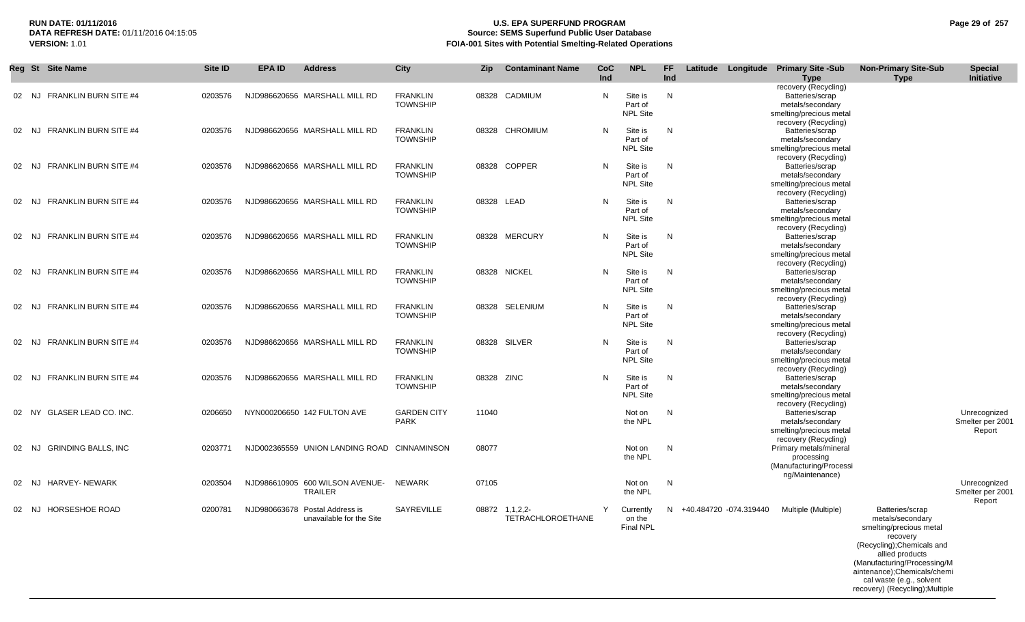# **RUN DATE: 01/11/2016 U.S. EPA SUPERFUND PROGRAM Page 29 of 257 DATA REFRESH DATE:** 01/11/2016 04:15:05 **Source: SEMS Superfund Public User Database**<br>**FOIA-001 Sites with Potential Smelting-Related Operat VERSION:** 1.01 **FOIA-001 Sites with Potential Smelting-Related Operations**

|       |       | Reg St Site Name             | Site ID | <b>EPA ID</b> | <b>Address</b>                                             | <b>City</b>                        | Zip        | <b>Contaminant Name</b>             | <b>CoC</b><br>Ind | <b>NPL</b>                              | FF.<br>Ind | Latitude Longitude Primary Site -Sub | <b>Type</b>                                                                                                    | <b>Non-Primary Site-Sub</b><br><b>Type</b>                                                                                                                                 | <b>Special</b><br>Initiative               |
|-------|-------|------------------------------|---------|---------------|------------------------------------------------------------|------------------------------------|------------|-------------------------------------|-------------------|-----------------------------------------|------------|--------------------------------------|----------------------------------------------------------------------------------------------------------------|----------------------------------------------------------------------------------------------------------------------------------------------------------------------------|--------------------------------------------|
| 02 NJ |       | FRANKLIN BURN SITE #4        | 0203576 |               | NJD986620656 MARSHALL MILL RD                              | <b>FRANKLIN</b><br><b>TOWNSHIP</b> | 08328      | CADMIUM                             | N                 | Site is<br>Part of<br><b>NPL Site</b>   | N          |                                      | recovery (Recycling)<br>Batteries/scrap<br>metals/secondary<br>smelting/precious metal                         |                                                                                                                                                                            |                                            |
| 02 NJ |       | <b>FRANKLIN BURN SITE #4</b> | 0203576 |               | NJD986620656 MARSHALL MILL RD                              | <b>FRANKLIN</b><br><b>TOWNSHIP</b> |            | 08328 CHROMIUM                      | N                 | Site is<br>Part of<br><b>NPL Site</b>   | N          |                                      | recovery (Recycling)<br>Batteries/scrap<br>metals/secondary<br>smelting/precious metal<br>recovery (Recycling) |                                                                                                                                                                            |                                            |
|       |       | 02 NJ FRANKLIN BURN SITE #4  | 0203576 |               | NJD986620656 MARSHALL MILL RD                              | <b>FRANKLIN</b><br><b>TOWNSHIP</b> |            | 08328 COPPER                        | N                 | Site is<br>Part of<br><b>NPL Site</b>   | N          |                                      | Batteries/scrap<br>metals/secondary<br>smelting/precious metal<br>recovery (Recycling)                         |                                                                                                                                                                            |                                            |
| 02 NJ |       | <b>FRANKLIN BURN SITE #4</b> | 0203576 |               | NJD986620656 MARSHALL MILL RD                              | <b>FRANKLIN</b><br><b>TOWNSHIP</b> |            | 08328 LEAD                          | N                 | Site is<br>Part of<br><b>NPL Site</b>   | N          |                                      | Batteries/scrap<br>metals/secondary<br>smelting/precious metal<br>recovery (Recycling)                         |                                                                                                                                                                            |                                            |
| 02    | NJ.   | <b>FRANKLIN BURN SITE #4</b> | 0203576 |               | NJD986620656 MARSHALL MILL RD                              | <b>FRANKLIN</b><br><b>TOWNSHIP</b> |            | 08328 MERCURY                       | N                 | Site is<br>Part of<br><b>NPL Site</b>   | N          |                                      | Batteries/scrap<br>metals/secondary<br>smelting/precious metal<br>recovery (Recycling)                         |                                                                                                                                                                            |                                            |
| 02 NJ |       | <b>FRANKLIN BURN SITE #4</b> | 0203576 |               | NJD986620656 MARSHALL MILL RD                              | <b>FRANKLIN</b><br><b>TOWNSHIP</b> |            | 08328 NICKEL                        | N                 | Site is<br>Part of<br><b>NPL Site</b>   | N          |                                      | Batteries/scrap<br>metals/secondary<br>smelting/precious metal<br>recovery (Recycling)                         |                                                                                                                                                                            |                                            |
| 02 NJ |       | <b>FRANKLIN BURN SITE #4</b> | 0203576 |               | NJD986620656 MARSHALL MILL RD                              | <b>FRANKLIN</b><br><b>TOWNSHIP</b> |            | 08328 SELENIUM                      | N                 | Site is<br>Part of<br><b>NPL Site</b>   | N          |                                      | Batteries/scrap<br>metals/secondary<br>smelting/precious metal<br>recovery (Recycling)                         |                                                                                                                                                                            |                                            |
| 02 NJ |       | <b>FRANKLIN BURN SITE #4</b> | 0203576 |               | NJD986620656 MARSHALL MILL RD                              | <b>FRANKLIN</b><br><b>TOWNSHIP</b> |            | 08328 SILVER                        | N                 | Site is<br>Part of<br><b>NPL Site</b>   | N          |                                      | Batteries/scrap<br>metals/secondary<br>smelting/precious metal<br>recovery (Recycling)                         |                                                                                                                                                                            |                                            |
| 02    | NJ.   | <b>FRANKLIN BURN SITE #4</b> | 0203576 |               | NJD986620656 MARSHALL MILL RD                              | <b>FRANKLIN</b><br><b>TOWNSHIP</b> | 08328 ZINC |                                     | N                 | Site is<br>Part of<br><b>NPL Site</b>   | N          |                                      | Batteries/scrap<br>metals/secondary<br>smelting/precious metal<br>recovery (Recycling)                         |                                                                                                                                                                            |                                            |
|       | 02 NY | <b>GLASER LEAD CO. INC.</b>  | 0206650 |               | NYN000206650 142 FULTON AVE                                | <b>GARDEN CITY</b><br><b>PARK</b>  | 11040      |                                     |                   | Not on<br>the NPL                       | N          |                                      | Batteries/scrap<br>metals/secondary<br>smelting/precious metal<br>recovery (Recycling)                         |                                                                                                                                                                            | Unrecognized<br>Smelter per 2001<br>Report |
| 02 NJ |       | <b>GRINDING BALLS, INC</b>   | 0203771 |               | NJD002365559 UNION LANDING ROAD                            | CINNAMINSON                        | 08077      |                                     |                   | Not on<br>the NPL                       | N          |                                      | Primary metals/mineral<br>processing<br>(Manufacturing/Processi<br>ng/Maintenance)                             |                                                                                                                                                                            |                                            |
|       | 02 NJ | HARVEY- NEWARK               | 0203504 |               | NJD986610905 600 WILSON AVENUE-<br><b>TRAILER</b>          | NEWARK                             | 07105      |                                     |                   | Not on<br>the NPL                       | N          |                                      |                                                                                                                |                                                                                                                                                                            | Unrecognized<br>Smelter per 2001<br>Report |
|       | 02 NJ | <b>HORSESHOE ROAD</b>        | 0200781 |               | NJD980663678 Postal Address is<br>unavailable for the Site | SAYREVILLE                         |            | 08872 1,1,2,2-<br>TETRACHLOROETHANE | Y                 | Currently<br>on the<br><b>Final NPL</b> | N          | +40.484720 -074.319440               | Multiple (Multiple)                                                                                            | Batteries/scrap<br>metals/secondary<br>smelting/precious metal<br>recovery                                                                                                 |                                            |
|       |       |                              |         |               |                                                            |                                    |            |                                     |                   |                                         |            |                                      |                                                                                                                | (Recycling); Chemicals and<br>allied products<br>(Manufacturing/Processing/M<br>aintenance);Chemicals/chemi<br>cal waste (e.g., solvent<br>recovery) (Recycling); Multiple |                                            |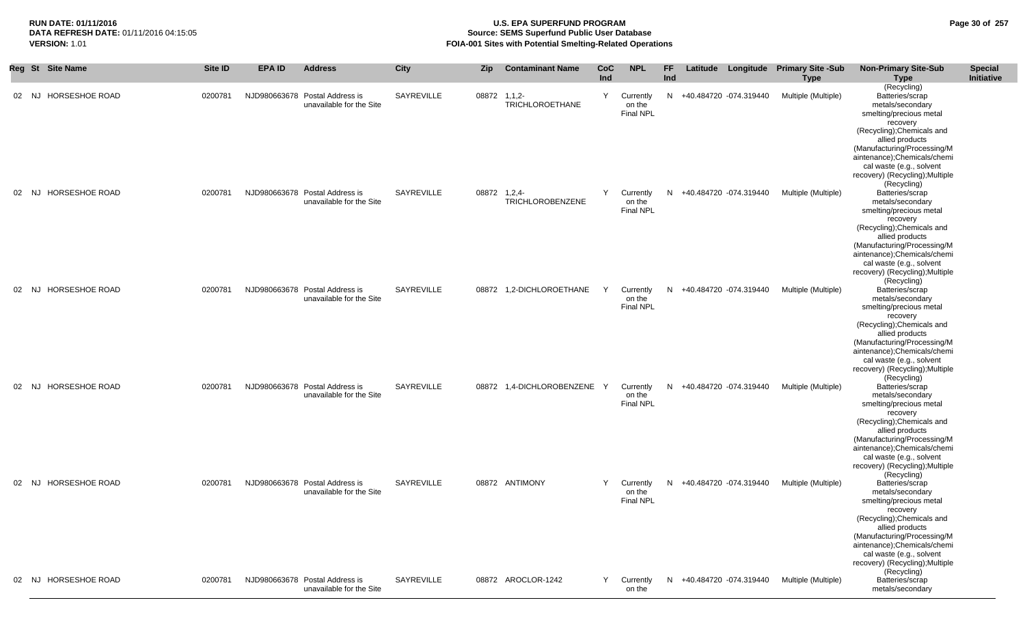# **RUN DATE: 01/11/2016 U.S. EPA SUPERFUND PROGRAM Page 30 of 257 Source: SEMS Superfund Public User Database VERSION:** 1.01 **FOIA-001 Sites with Potential Smelting-Related Operations**

|       | Reg St Site Name      | Site ID | <b>EPA ID</b> | <b>Address</b>                                             | City       | <b>Zip</b> | <b>Contaminant Name</b>                 | CoC<br>Ind | <b>NPL</b>                              | <b>FF</b><br>Ind | Latitude                 | Longitude Primary Site -Sub<br><b>Type</b> | <b>Non-Primary Site-Sub</b><br><b>Type</b>                                                                                                                                                                                                                                             | <b>Special</b><br>Initiative |
|-------|-----------------------|---------|---------------|------------------------------------------------------------|------------|------------|-----------------------------------------|------------|-----------------------------------------|------------------|--------------------------|--------------------------------------------|----------------------------------------------------------------------------------------------------------------------------------------------------------------------------------------------------------------------------------------------------------------------------------------|------------------------------|
| 02 NJ | HORSESHOE ROAD        | 0200781 |               | NJD980663678 Postal Address is<br>unavailable for the Site | SAYREVILLE | 08872      | $1, 1, 2-$<br><b>TRICHLOROETHANE</b>    | Y          | Currently<br>on the<br><b>Final NPL</b> | N.               | +40.484720 -074.319440   | Multiple (Multiple)                        | (Recycling)<br>Batteries/scrap<br>metals/secondary<br>smelting/precious metal<br>recovery<br>(Recycling); Chemicals and<br>allied products<br>(Manufacturing/Processing/M<br>aintenance);Chemicals/chemi<br>cal waste (e.g., solvent<br>recovery) (Recycling); Multiple<br>(Recycling) |                              |
| 02 NJ | <b>HORSESHOE ROAD</b> | 0200781 |               | NJD980663678 Postal Address is<br>unavailable for the Site | SAYREVILLE |            | 08872 1.2.4-<br><b>TRICHLOROBENZENE</b> | Y          | Currently<br>on the<br>Final NPL        | N.               | +40.484720 -074.319440   | Multiple (Multiple)                        | Batteries/scrap<br>metals/secondary<br>smelting/precious metal<br>recovery<br>(Recycling); Chemicals and<br>allied products<br>(Manufacturing/Processing/M<br>aintenance);Chemicals/chemi<br>cal waste (e.g., solvent<br>recovery) (Recycling); Multiple<br>(Recycling)                |                              |
| 02 NJ | HORSESHOE ROAD        | 0200781 |               | NJD980663678 Postal Address is<br>unavailable for the Site | SAYREVILLE |            | 08872 1,2-DICHLOROETHANE                | Y          | Currently<br>on the<br><b>Final NPL</b> | N.               | +40.484720 -074.319440   | Multiple (Multiple)                        | Batteries/scrap<br>metals/secondary<br>smelting/precious metal<br>recovery<br>(Recycling); Chemicals and<br>allied products<br>(Manufacturing/Processing/M<br>aintenance);Chemicals/chemi<br>cal waste (e.g., solvent<br>recovery) (Recycling); Multiple<br>(Recycling)                |                              |
| 02 NJ | <b>HORSESHOE ROAD</b> | 0200781 |               | NJD980663678 Postal Address is<br>unavailable for the Site | SAYREVILLE | 08872      | 1,4-DICHLOROBENZENE Y                   |            | Currently<br>on the<br>Final NPL        |                  | N +40.484720 -074.319440 | Multiple (Multiple)                        | Batteries/scrap<br>metals/secondary<br>smelting/precious metal<br>recovery<br>(Recycling); Chemicals and<br>allied products<br>(Manufacturing/Processing/M<br>aintenance);Chemicals/chemi<br>cal waste (e.g., solvent<br>recovery) (Recycling); Multiple<br>(Recycling)                |                              |
| 02 NJ | HORSESHOE ROAD        | 0200781 |               | NJD980663678 Postal Address is<br>unavailable for the Site | SAYREVILLE |            | 08872 ANTIMONY                          | Y          | Currently<br>on the<br><b>Final NPL</b> |                  | N +40.484720 -074.319440 | Multiple (Multiple)                        | Batteries/scrap<br>metals/secondary<br>smelting/precious metal<br>recovery<br>(Recycling); Chemicals and<br>allied products<br>(Manufacturing/Processing/M<br>aintenance);Chemicals/chemi<br>cal waste (e.g., solvent<br>recovery) (Recycling); Multiple<br>(Recycling)                |                              |
|       | 02 NJ HORSESHOE ROAD  | 0200781 |               | NJD980663678 Postal Address is<br>unavailable for the Site | SAYREVILLE |            | 08872 AROCLOR-1242                      | Y          | Currently<br>on the                     |                  | N +40.484720 -074.319440 | Multiple (Multiple)                        | Batteries/scrap<br>metals/secondary                                                                                                                                                                                                                                                    |                              |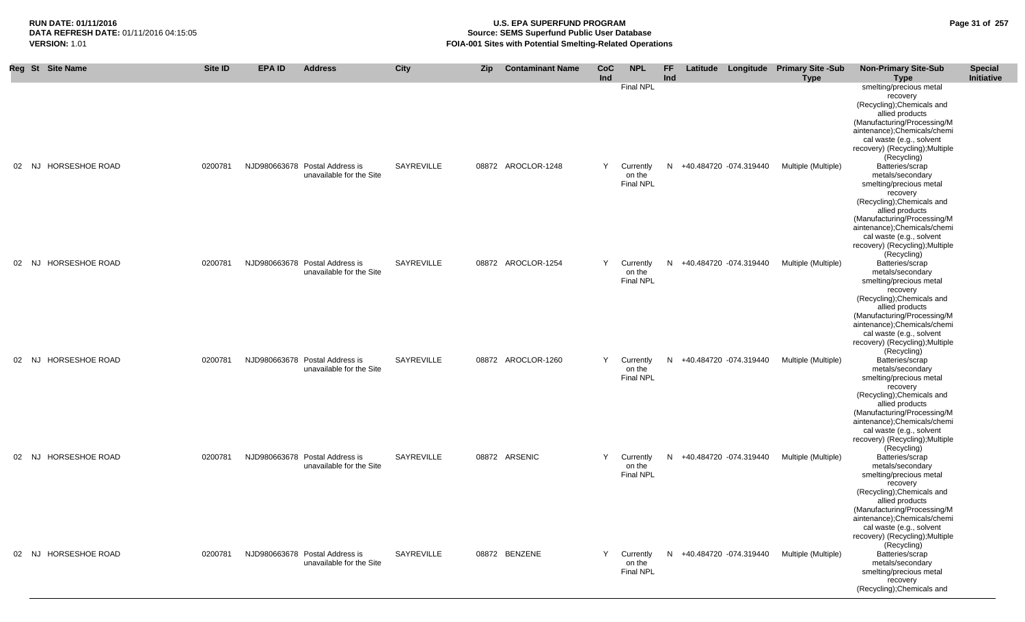# **RUN DATE: 01/11/2016 U.S. EPA SUPERFUND PROGRAM Page 31 of 257 Source: SEMS Superfund Public User Database VERSION:** 1.01 **FOIA-001 Sites with Potential Smelting-Related Operations**

|    | Reg St Site Name     | <b>Site ID</b> | <b>EPA ID</b> | <b>Address</b>                                             | City              | Zip | <b>Contaminant Name</b> | <b>CoC</b><br>Ind | <b>NPL</b>                              | FF<br>Ind |                        | Latitude Longitude Primary Site -Sub<br><b>Type</b> | <b>Non-Primary Site-Sub</b><br><b>Type</b>                                                                                                                                                                                                                              | <b>Special</b><br>Initiative |
|----|----------------------|----------------|---------------|------------------------------------------------------------|-------------------|-----|-------------------------|-------------------|-----------------------------------------|-----------|------------------------|-----------------------------------------------------|-------------------------------------------------------------------------------------------------------------------------------------------------------------------------------------------------------------------------------------------------------------------------|------------------------------|
|    |                      |                |               |                                                            |                   |     |                         |                   | <b>Final NPL</b>                        |           |                        |                                                     | smelting/precious metal<br>recovery<br>(Recycling); Chemicals and<br>allied products<br>(Manufacturing/Processing/M<br>aintenance);Chemicals/chemi<br>cal waste (e.g., solvent<br>recovery) (Recycling); Multiple<br>(Recycling)                                        |                              |
|    | 02 NJ HORSESHOE ROAD | 0200781        |               | NJD980663678 Postal Address is<br>unavailable for the Site | SAYREVILLE        |     | 08872 AROCLOR-1248      | Y                 | Currently<br>on the<br><b>Final NPL</b> | N         | +40.484720 -074.319440 | Multiple (Multiple)                                 | Batteries/scrap<br>metals/secondary<br>smelting/precious metal<br>recovery<br>(Recycling); Chemicals and<br>allied products<br>(Manufacturing/Processing/M<br>aintenance);Chemicals/chemi<br>cal waste (e.g., solvent                                                   |                              |
| 02 | NJ HORSESHOE ROAD    | 0200781        |               | NJD980663678 Postal Address is<br>unavailable for the Site | SAYREVILLE        |     | 08872 AROCLOR-1254      | Y                 | Currently<br>on the<br>Final NPL        | N.        | +40.484720 -074.319440 | Multiple (Multiple)                                 | recovery) (Recycling); Multiple<br>(Recycling)<br>Batteries/scrap<br>metals/secondary<br>smelting/precious metal<br>recovery<br>(Recycling); Chemicals and<br>allied products<br>(Manufacturing/Processing/M<br>aintenance);Chemicals/chemi                             |                              |
|    | 02 NJ HORSESHOE ROAD | 0200781        |               | NJD980663678 Postal Address is<br>unavailable for the Site | <b>SAYREVILLE</b> |     | 08872 AROCLOR-1260      | Y                 | Currently<br>on the<br>Final NPL        | N         | +40.484720 -074.319440 | Multiple (Multiple)                                 | cal waste (e.g., solvent<br>recovery) (Recycling); Multiple<br>(Recycling)<br>Batteries/scrap<br>metals/secondary<br>smelting/precious metal<br>recovery<br>(Recycling); Chemicals and<br>allied products<br>(Manufacturing/Processing/M<br>aintenance);Chemicals/chemi |                              |
|    | 02 NJ HORSESHOE ROAD | 0200781        |               | NJD980663678 Postal Address is<br>unavailable for the Site | SAYREVILLE        |     | 08872 ARSENIC           | Y                 | Currently<br>on the<br><b>Final NPL</b> | N         | +40.484720 -074.319440 | Multiple (Multiple)                                 | cal waste (e.g., solvent<br>recovery) (Recycling); Multiple<br>(Recycling)<br>Batteries/scrap<br>metals/secondary<br>smelting/precious metal<br>recovery<br>(Recycling); Chemicals and<br>allied products<br>(Manufacturing/Processing/M                                |                              |
| 02 | NJ HORSESHOE ROAD    | 0200781        |               | NJD980663678 Postal Address is<br>unavailable for the Site | SAYREVILLE        |     | 08872 BENZENE           | Y                 | Currently<br>on the<br><b>Final NPL</b> | N         | +40.484720 -074.319440 | Multiple (Multiple)                                 | aintenance);Chemicals/chemi<br>cal waste (e.g., solvent<br>recovery) (Recycling); Multiple<br>(Recycling)<br>Batteries/scrap<br>metals/secondary<br>smelting/precious metal<br>recovery<br>(Recycling); Chemicals and                                                   |                              |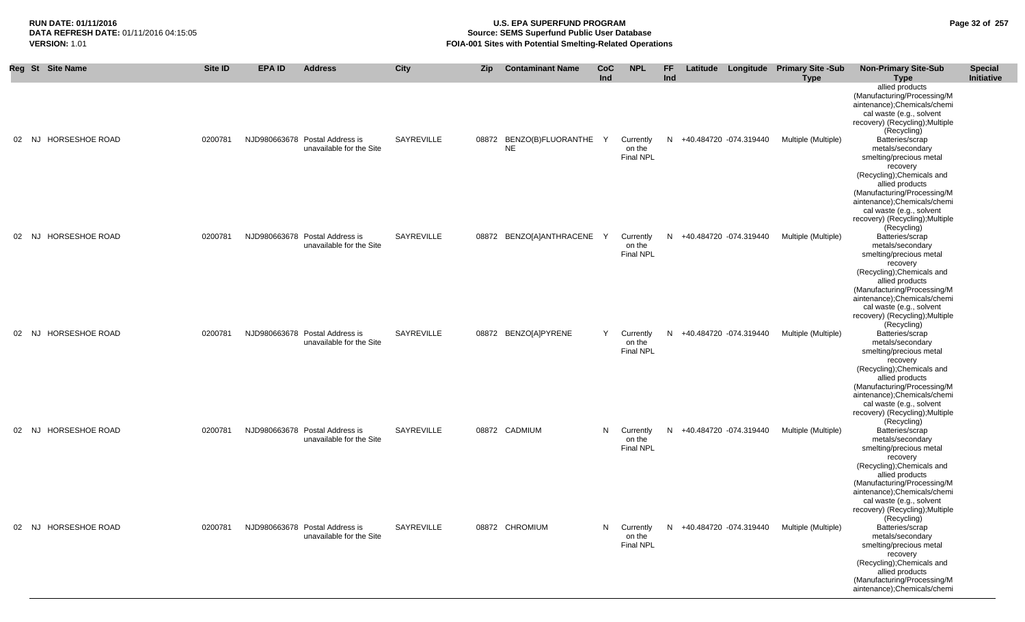aintenance);Chemicals/chemi

# **RUN DATE: 01/11/2016 U.S. EPA SUPERFUND PROGRAM Page 32 of 257 Source: SEMS Superfund Public User Database VERSION: 1.01 ICRSION: 1.01 FOIA-001 Sites with Potential Smelting-Related Operations**

|          | Reg St Site Name      | Site ID | <b>EPA ID</b> | <b>Address</b>                                             | <b>City</b> | <b>Zip</b> | <b>Contaminant Name</b>                 | <b>CoC</b><br>Ind | <b>NPL</b>                              | FF.<br>Ind | Latitude |                        | Longitude Primary Site -Sub<br><b>Type</b> | <b>Non-Primary Site-Sub</b><br>Type                                                                                                                                                                                                                                                                    | <b>Special</b><br>Initiative |
|----------|-----------------------|---------|---------------|------------------------------------------------------------|-------------|------------|-----------------------------------------|-------------------|-----------------------------------------|------------|----------|------------------------|--------------------------------------------|--------------------------------------------------------------------------------------------------------------------------------------------------------------------------------------------------------------------------------------------------------------------------------------------------------|------------------------------|
| 02<br>NJ | <b>HORSESHOE ROAD</b> | 0200781 |               | NJD980663678 Postal Address is<br>unavailable for the Site | SAYREVILLE  |            | 08872 BENZO(B)FLUORANTHE Y<br><b>NE</b> |                   | Currently<br>on the<br><b>Final NPL</b> | N          |          | +40.484720 -074.319440 | Multiple (Multiple)                        | allied products<br>(Manufacturing/Processing/M<br>aintenance);Chemicals/chemi<br>cal waste (e.g., solvent<br>recovery) (Recycling); Multiple<br>(Recycling)<br>Batteries/scrap<br>metals/secondary<br>smelting/precious metal<br>recovery<br>(Recycling); Chemicals and<br>allied products             |                              |
| 02<br>NJ | <b>HORSESHOE ROAD</b> | 0200781 |               | NJD980663678 Postal Address is<br>unavailable for the Site | SAYREVILLE  |            | 08872 BENZO[A]ANTHRACENE Y              |                   | Currently<br>on the<br><b>Final NPL</b> | N          |          | +40.484720 -074.319440 | Multiple (Multiple)                        | (Manufacturing/Processing/M<br>aintenance);Chemicals/chemi<br>cal waste (e.g., solvent<br>recovery) (Recycling); Multiple<br>(Recycling)<br>Batteries/scrap<br>metals/secondary<br>smelting/precious metal<br>recovery<br>(Recycling); Chemicals and<br>allied products                                |                              |
| NJ<br>02 | <b>HORSESHOE ROAD</b> | 0200781 |               | NJD980663678 Postal Address is<br>unavailable for the Site | SAYREVILLE  |            | 08872 BENZO[A]PYRENE                    | Y                 | Currently<br>on the<br><b>Final NPL</b> | N          |          | +40.484720 -074.319440 | Multiple (Multiple)                        | (Manufacturing/Processing/M<br>aintenance);Chemicals/chemi<br>cal waste (e.g., solvent<br>recovery) (Recycling); Multiple<br>(Recycling)<br>Batteries/scrap<br>metals/secondary<br>smelting/precious metal<br>recovery<br>(Recycling); Chemicals and<br>allied products                                |                              |
| 02       | NJ HORSESHOE ROAD     | 0200781 |               | NJD980663678 Postal Address is<br>unavailable for the Site | SAYREVILLE  |            | 08872 CADMIUM                           | N                 | Currently<br>on the<br>Final NPL        | N          |          | +40.484720 -074.319440 | Multiple (Multiple)                        | (Manufacturing/Processing/M<br>aintenance);Chemicals/chemi<br>cal waste (e.g., solvent<br>recovery) (Recycling); Multiple<br>(Recycling)<br>Batteries/scrap<br>metals/secondary<br>smelting/precious metal<br>recovery<br>(Recycling); Chemicals and<br>allied products                                |                              |
| 02       | NJ HORSESHOE ROAD     | 0200781 |               | NJD980663678 Postal Address is<br>unavailable for the Site | SAYREVILLE  |            | 08872 CHROMIUM                          | N                 | Currently<br>on the<br><b>Final NPL</b> | N          |          | +40.484720 -074.319440 | Multiple (Multiple)                        | (Manufacturing/Processing/M<br>aintenance);Chemicals/chemi<br>cal waste (e.g., solvent<br>recovery) (Recycling); Multiple<br>(Recycling)<br>Batteries/scrap<br>metals/secondary<br>smelting/precious metal<br>recovery<br>(Recycling); Chemicals and<br>allied products<br>(Manufacturing/Processing/M |                              |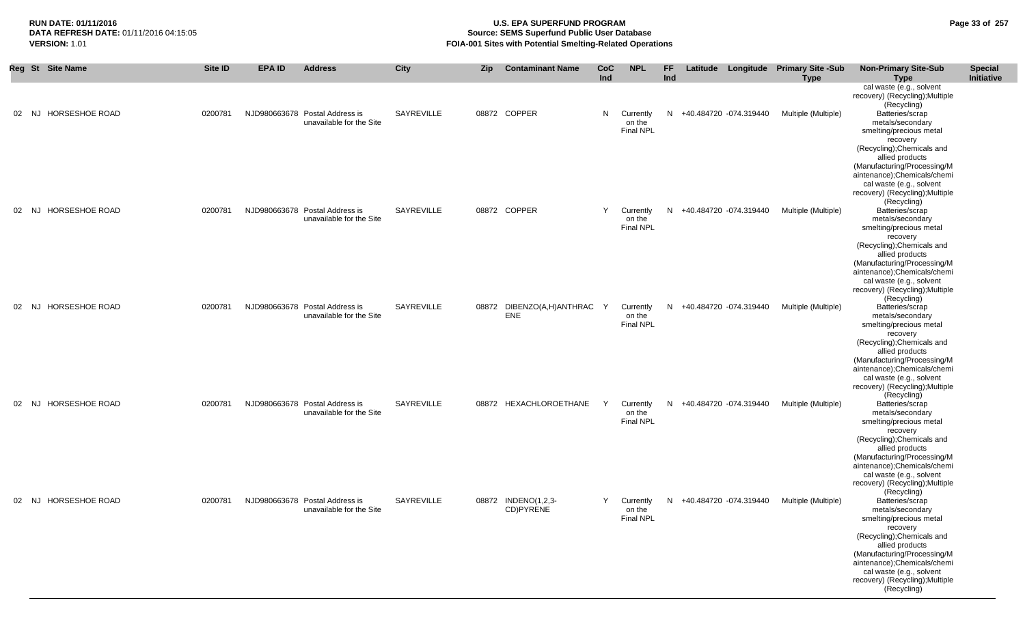# **RUN DATE: 01/11/2016 U.S. EPA SUPERFUND PROGRAM Page 33 of 257 DATA REFRESH DATE:** 01/11/2016 04:15:05 **Source: SEMS Superfund Public User Database**<br>**FOIA-001 Sites with Potential Smelting-Related Operat VERSION:** 1.01 **FOIA-001 Sites with Potential Smelting-Related Operations**

|    | Reg St Site Name            | Site ID | <b>EPA ID</b> | <b>Address</b>                                             | City       | Zip   | <b>Contaminant Name</b>           | CoC<br>Ind | <b>NPL</b>                              | <b>FF</b><br>Ind |                        | Latitude Longitude Primary Site -Sub<br><b>Type</b> | <b>Non-Primary Site-Sub</b><br><b>Type</b>                                                                                              | <b>Special</b><br><b>Initiative</b> |
|----|-----------------------------|---------|---------------|------------------------------------------------------------|------------|-------|-----------------------------------|------------|-----------------------------------------|------------------|------------------------|-----------------------------------------------------|-----------------------------------------------------------------------------------------------------------------------------------------|-------------------------------------|
|    |                             |         |               |                                                            |            |       |                                   |            |                                         |                  |                        |                                                     | cal waste (e.g., solvent<br>recovery) (Recycling); Multiple<br>(Recycling)                                                              |                                     |
| 02 | <b>HORSESHOE ROAD</b><br>NJ | 0200781 |               | NJD980663678 Postal Address is<br>unavailable for the Site | SAYREVILLE |       | 08872 COPPER                      | N          | Currently<br>on the<br>Final NPL        | N                | +40.484720 -074.319440 | Multiple (Multiple)                                 | Batteries/scrap<br>metals/secondary<br>smelting/precious metal<br>recovery                                                              |                                     |
|    |                             |         |               |                                                            |            |       |                                   |            |                                         |                  |                        |                                                     | (Recycling); Chemicals and<br>allied products<br>(Manufacturing/Processing/M<br>aintenance);Chemicals/chemi<br>cal waste (e.g., solvent |                                     |
| 02 | HORSESHOE ROAD<br>NJ        | 0200781 |               | NJD980663678 Postal Address is<br>unavailable for the Site | SAYREVILLE |       | 08872 COPPER                      | Y          | Currently<br>on the                     | N                | +40.484720 -074.319440 | Multiple (Multiple)                                 | recovery) (Recycling); Multiple<br>(Recycling)<br>Batteries/scrap<br>metals/secondary                                                   |                                     |
|    |                             |         |               |                                                            |            |       |                                   |            | Final NPL                               |                  |                        |                                                     | smelting/precious metal<br>recovery<br>(Recycling); Chemicals and<br>allied products                                                    |                                     |
|    |                             |         |               |                                                            |            |       |                                   |            |                                         |                  |                        |                                                     | (Manufacturing/Processing/M<br>aintenance);Chemicals/chemi<br>cal waste (e.g., solvent                                                  |                                     |
|    | 02 NJ HORSESHOE ROAD        | 0200781 |               | NJD980663678 Postal Address is<br>unavailable for the Site | SAYREVILLE | 08872 | DIBENZO(A,H)ANTHRAC<br><b>ENE</b> | Y          | Currently<br>on the<br><b>Final NPL</b> | N                | +40.484720 -074.319440 | Multiple (Multiple)                                 | recovery) (Recycling); Multiple<br>(Recycling)<br>Batteries/scrap<br>metals/secondary                                                   |                                     |
|    |                             |         |               |                                                            |            |       |                                   |            |                                         |                  |                        |                                                     | smelting/precious metal<br>recovery<br>(Recycling); Chemicals and<br>allied products                                                    |                                     |
|    |                             |         |               |                                                            |            |       |                                   |            |                                         |                  |                        |                                                     | (Manufacturing/Processing/M<br>aintenance);Chemicals/chemi<br>cal waste (e.g., solvent<br>recovery) (Recycling); Multiple               |                                     |
| 02 | HORSESHOE ROAD<br>NJ.       | 0200781 |               | NJD980663678 Postal Address is<br>unavailable for the Site | SAYREVILLE |       | 08872 HEXACHLOROETHANE            | Y          | Currently<br>on the                     | N                | +40.484720 -074.319440 | Multiple (Multiple)                                 | (Recycling)<br>Batteries/scrap<br>metals/secondary                                                                                      |                                     |
|    |                             |         |               |                                                            |            |       |                                   |            | <b>Final NPL</b>                        |                  |                        |                                                     | smelting/precious metal<br>recovery<br>(Recycling); Chemicals and<br>allied products                                                    |                                     |
|    |                             |         |               |                                                            |            |       |                                   |            |                                         |                  |                        |                                                     | (Manufacturing/Processing/M<br>aintenance);Chemicals/chemi<br>cal waste (e.g., solvent<br>recovery) (Recycling); Multiple               |                                     |
|    | HORSESHOE ROAD<br>02 NJ     | 0200781 |               | NJD980663678 Postal Address is<br>unavailable for the Site | SAYREVILLE |       | 08872 INDENO(1,2,3-<br>CD)PYRENE  | Y          | Currently<br>on the<br><b>Final NPL</b> | N                | +40.484720 -074.319440 | Multiple (Multiple)                                 | (Recycling)<br>Batteries/scrap<br>metals/secondary<br>smelting/precious metal                                                           |                                     |
|    |                             |         |               |                                                            |            |       |                                   |            |                                         |                  |                        |                                                     | recovery<br>(Recycling); Chemicals and<br>allied products                                                                               |                                     |
|    |                             |         |               |                                                            |            |       |                                   |            |                                         |                  |                        |                                                     | (Manufacturing/Processing/M<br>aintenance);Chemicals/chemi<br>cal waste (e.g., solvent                                                  |                                     |
|    |                             |         |               |                                                            |            |       |                                   |            |                                         |                  |                        |                                                     | recovery) (Recycling); Multiple<br>(Recycling)                                                                                          |                                     |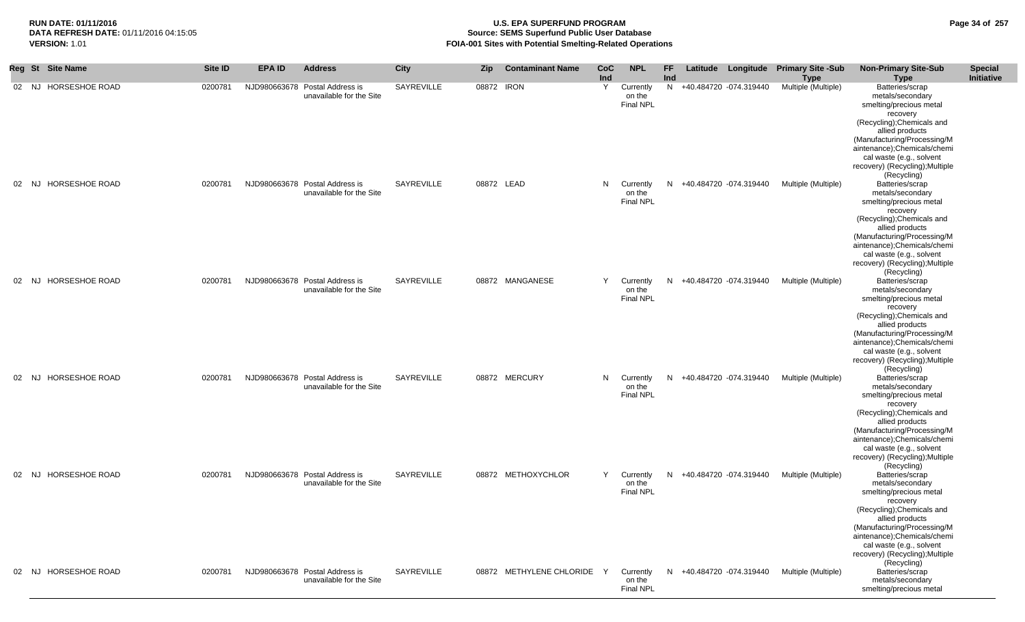## **RUN DATE: 01/11/2016 U.S. EPA SUPERFUND PROGRAM Page 34 of 257** DATA REFRESH DATE: 01/11/2016 04:15:05<br>**VERSION: 1.01** Source: SEMS Superfund Public User Database<br>FOIA-001 Sites with Potential Smelting-Related Operat **FOIA-001 Sites with Potential Smelting-Related Operations**

| <b>Reg St</b> | <b>Site Name</b>      | Site ID | <b>EPA ID</b> | <b>Address</b>                                             | City       | <b>Zip</b> | <b>Contaminant Name</b>    | <b>CoC</b><br>Ind | <b>NPL</b>                                | FF<br>Ind |                          | Latitude Longitude Primary Site -Sub<br><b>Type</b> | <b>Non-Primary Site-Sub</b><br><b>Type</b>                                                                                                                                                                                                                                             | <b>Special</b><br>Initiative |
|---------------|-----------------------|---------|---------------|------------------------------------------------------------|------------|------------|----------------------------|-------------------|-------------------------------------------|-----------|--------------------------|-----------------------------------------------------|----------------------------------------------------------------------------------------------------------------------------------------------------------------------------------------------------------------------------------------------------------------------------------------|------------------------------|
| 02 NJ         | <b>HORSESHOE ROAD</b> | 0200781 |               | NJD980663678 Postal Address is<br>unavailable for the Site | SAYREVILLE | 08872 IRON |                            | Y                 | Currently<br>on the<br>Final NPL          |           | N +40.484720 -074.319440 | Multiple (Multiple)                                 | Batteries/scrap<br>metals/secondary<br>smelting/precious metal<br>recovery<br>(Recycling); Chemicals and<br>allied products<br>(Manufacturing/Processing/M<br>aintenance);Chemicals/chemi<br>cal waste (e.g., solvent<br>recovery) (Recycling); Multiple                               |                              |
| 02 NJ         | <b>HORSESHOE ROAD</b> | 0200781 |               | NJD980663678 Postal Address is<br>unavailable for the Site | SAYREVILLE | 08872 LEAD |                            | N.                | Currently<br>on the<br><b>Final NPL</b>   |           | N +40.484720 -074.319440 | Multiple (Multiple)                                 | (Recycling)<br>Batteries/scrap<br>metals/secondary<br>smelting/precious metal<br>recovery<br>(Recycling); Chemicals and<br>allied products<br>(Manufacturing/Processing/M<br>aintenance);Chemicals/chemi<br>cal waste (e.g., solvent<br>recovery) (Recycling); Multiple<br>(Recycling) |                              |
| 02 NJ         | <b>HORSESHOE ROAD</b> | 0200781 |               | NJD980663678 Postal Address is<br>unavailable for the Site | SAYREVILLE |            | 08872 MANGANESE            | Y                 | Currently<br>on the<br><b>Final NPL</b>   |           | N +40.484720 -074.319440 | Multiple (Multiple)                                 | Batteries/scrap<br>metals/secondary<br>smelting/precious metal<br>recovery<br>(Recycling); Chemicals and<br>allied products<br>(Manufacturing/Processing/M<br>aintenance);Chemicals/chemi<br>cal waste (e.g., solvent<br>recovery) (Recycling); Multiple<br>(Recycling)                |                              |
| 02 NJ         | <b>HORSESHOE ROAD</b> | 0200781 |               | NJD980663678 Postal Address is<br>unavailable for the Site | SAYREVILLE |            | 08872 MERCURY              |                   | N Currently<br>on the<br><b>Final NPL</b> | N.        | +40.484720 -074.319440   | Multiple (Multiple)                                 | Batteries/scrap<br>metals/secondary<br>smelting/precious metal<br>recovery<br>(Recycling); Chemicals and<br>allied products<br>(Manufacturing/Processing/M<br>aintenance);Chemicals/chemi<br>cal waste (e.g., solvent<br>recovery) (Recycling); Multiple<br>(Recycling)                |                              |
|               | 02 NJ HORSESHOE ROAD  | 0200781 |               | NJD980663678 Postal Address is<br>unavailable for the Site | SAYREVILLE |            | 08872 METHOXYCHLOR         | Y                 | Currently<br>on the<br>Final NPL          | N.        | +40.484720 -074.319440   | Multiple (Multiple)                                 | Batteries/scrap<br>metals/secondary<br>smelting/precious metal<br>recovery<br>(Recycling); Chemicals and<br>allied products<br>(Manufacturing/Processing/M<br>aintenance);Chemicals/chemi<br>cal waste (e.g., solvent<br>recovery) (Recycling); Multiple<br>(Recycling)                |                              |
|               | 02 NJ HORSESHOE ROAD  | 0200781 |               | NJD980663678 Postal Address is<br>unavailable for the Site | SAYREVILLE |            | 08872 METHYLENE CHLORIDE Y |                   | Currently<br>on the<br>Final NPL          |           | N +40.484720 -074.319440 | Multiple (Multiple)                                 | Batteries/scrap<br>metals/secondary<br>smelting/precious metal                                                                                                                                                                                                                         |                              |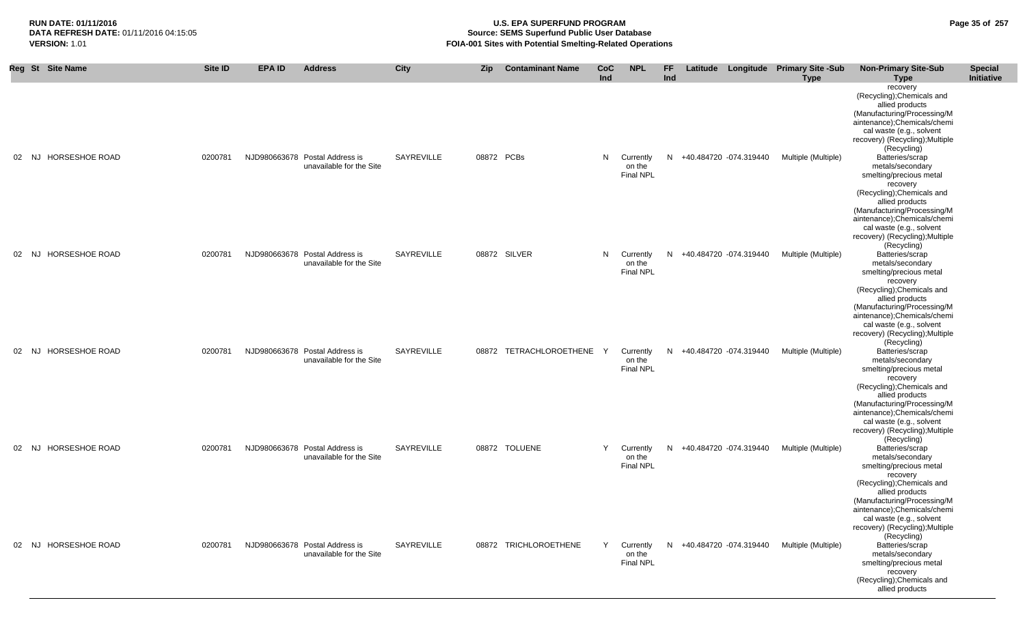**Special** 

**Non-Primary Site-Sub** 

**RUN DATE: 01/11/2016 U.S. EPA SUPERFUND PROGRAM Page 35 of 257 Source: SEMS Superfund Public User Database VERSION:** 1.01 **FOIA-001 Sites with Potential Smelting-Related Operations**

**NPL FF** 

**Latitude Longitude Primary Site -Sub** 

**Reg St Site Name Site ID EPA ID Address City Zip Contaminant Name CoC**

|                 |                      |         |                                |                          |                   |              |                         | Ind |                                         | Ind |                          | <b>Type</b>         | <b>Type</b>                                                                                                                                                                                                                                                             | Initiative |
|-----------------|----------------------|---------|--------------------------------|--------------------------|-------------------|--------------|-------------------------|-----|-----------------------------------------|-----|--------------------------|---------------------|-------------------------------------------------------------------------------------------------------------------------------------------------------------------------------------------------------------------------------------------------------------------------|------------|
| 02 <sub>2</sub> | NJ HORSESHOE ROAD    | 0200781 | NJD980663678 Postal Address is | unavailable for the Site | <b>SAYREVILLE</b> | 08872 PCBs   |                         | N   | Currently<br>on the                     |     | N +40.484720 -074.319440 | Multiple (Multiple) | recovery<br>(Recycling); Chemicals and<br>allied products<br>(Manufacturing/Processing/M<br>aintenance);Chemicals/chemi<br>cal waste (e.g., solvent<br>recovery) (Recycling); Multiple<br>(Recycling)<br>Batteries/scrap<br>metals/secondary                            |            |
|                 |                      |         |                                |                          |                   |              |                         |     | <b>Final NPL</b>                        |     |                          |                     | smelting/precious metal<br>recovery<br>(Recycling); Chemicals and<br>allied products<br>(Manufacturing/Processing/M<br>aintenance);Chemicals/chemi<br>cal waste (e.g., solvent<br>recovery) (Recycling); Multiple<br>(Recycling)                                        |            |
| 02              | NJ HORSESHOE ROAD    | 0200781 | NJD980663678 Postal Address is | unavailable for the Site | SAYREVILLE        | 08872 SILVER |                         | N   | Currently<br>on the<br><b>Final NPL</b> | N.  | +40.484720 -074.319440   | Multiple (Multiple) | Batteries/scrap<br>metals/secondary<br>smelting/precious metal<br>recovery<br>(Recycling); Chemicals and<br>allied products<br>(Manufacturing/Processing/M<br>aintenance);Chemicals/chemi<br>cal waste (e.g., solvent<br>recovery) (Recycling); Multiple                |            |
| 02 <sub>2</sub> | NJ HORSESHOE ROAD    | 0200781 | NJD980663678 Postal Address is | unavailable for the Site | <b>SAYREVILLE</b> |              | 08872 TETRACHLOROETHENE | Y   | Currently<br>on the<br><b>Final NPL</b> | N.  | +40.484720 -074.319440   | Multiple (Multiple) | (Recycling)<br>Batteries/scrap<br>metals/secondary<br>smelting/precious metal<br>recovery<br>(Recycling); Chemicals and<br>allied products<br>(Manufacturing/Processing/M<br>aintenance);Chemicals/chemi<br>cal waste (e.g., solvent<br>recovery) (Recycling); Multiple |            |
|                 | 02 NJ HORSESHOE ROAD | 0200781 | NJD980663678 Postal Address is | unavailable for the Site | SAYREVILLE        |              | 08872 TOLUENE           | Y   | Currently<br>on the<br><b>Final NPL</b> |     | N +40.484720 -074.319440 | Multiple (Multiple) | (Recycling)<br>Batteries/scrap<br>metals/secondary<br>smelting/precious metal<br>recovery<br>(Recycling); Chemicals and<br>allied products<br>(Manufacturing/Processing/M<br>aintenance);Chemicals/chemi<br>cal waste (e.g., solvent<br>recovery) (Recycling); Multiple |            |
|                 | 02 NJ HORSESHOE ROAD | 0200781 | NJD980663678 Postal Address is | unavailable for the Site | <b>SAYREVILLE</b> |              | 08872 TRICHLOROETHENE   | Y   | Currently<br>on the<br><b>Final NPL</b> |     | N +40.484720 -074.319440 | Multiple (Multiple) | (Recycling)<br>Batteries/scrap<br>metals/secondary<br>smelting/precious metal<br>recovery<br>(Recycling); Chemicals and<br>allied products                                                                                                                              |            |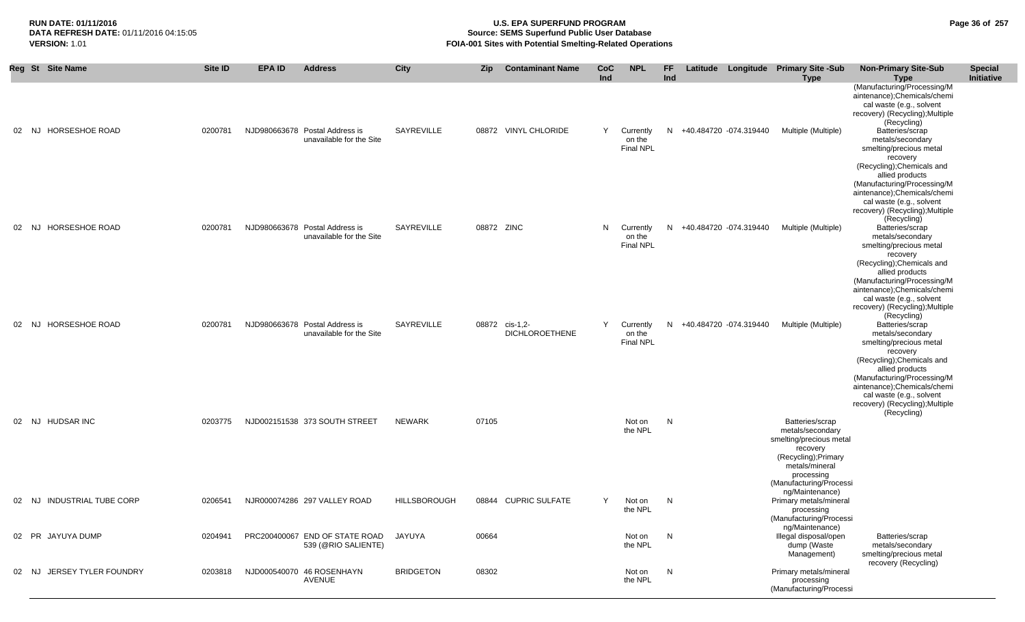# **RUN DATE: 01/11/2016 U.S. EPA SUPERFUND PROGRAM Page 36 of 257 Source: SEMS Superfund Public User Database VERSION:** 1.01 **FOIA-001 Sites with Potential Smelting-Related Operations**

|       | Reg St Site Name           | Site ID | <b>EPA ID</b> | <b>Address</b>                                             | City                | <b>Zip</b> | <b>Contaminant Name</b>                 | CoC<br>Ind | <b>NPL</b>                              | FF<br>Ind |                          | Latitude Longitude Primary Site -Sub<br><b>Type</b>                                                                         | <b>Non-Primary Site-Sub</b><br><b>Type</b>                                                                                                                                                                                                                              | <b>Special</b><br>Initiative |
|-------|----------------------------|---------|---------------|------------------------------------------------------------|---------------------|------------|-----------------------------------------|------------|-----------------------------------------|-----------|--------------------------|-----------------------------------------------------------------------------------------------------------------------------|-------------------------------------------------------------------------------------------------------------------------------------------------------------------------------------------------------------------------------------------------------------------------|------------------------------|
| 02 NJ | HORSESHOE ROAD             | 0200781 |               | NJD980663678 Postal Address is<br>unavailable for the Site | SAYREVILLE          |            | 08872 VINYL CHLORIDE                    | Y          | Currently<br>on the<br><b>Final NPL</b> |           | N +40.484720 -074.319440 | Multiple (Multiple)                                                                                                         | (Manufacturing/Processing/M<br>aintenance);Chemicals/chemi<br>cal waste (e.g., solvent<br>recovery) (Recycling); Multiple<br>(Recycling)<br>Batteries/scrap<br>metals/secondary<br>smelting/precious metal<br>recovery<br>(Recycling); Chemicals and<br>allied products |                              |
| 02 NJ | HORSESHOE ROAD             | 0200781 |               | NJD980663678 Postal Address is<br>unavailable for the Site | SAYREVILLE          | 08872 ZINC |                                         | N.         | Currently<br>on the<br>Final NPL        | N         | +40.484720 -074.319440   | Multiple (Multiple)                                                                                                         | (Manufacturing/Processing/M<br>aintenance);Chemicals/chemi<br>cal waste (e.g., solvent<br>recovery) (Recycling); Multiple<br>(Recycling)<br>Batteries/scrap<br>metals/secondary<br>smelting/precious metal<br>recovery<br>(Recycling); Chemicals and<br>allied products |                              |
| 02 NJ | HORSESHOE ROAD             | 0200781 |               | NJD980663678 Postal Address is<br>unavailable for the Site | SAYREVILLE          |            | 08872 cis-1,2-<br><b>DICHLOROETHENE</b> | Y          | Currently<br>on the<br><b>Final NPL</b> |           | N +40.484720 -074.319440 | Multiple (Multiple)                                                                                                         | (Manufacturing/Processing/M<br>aintenance);Chemicals/chemi<br>cal waste (e.g., solvent<br>recovery) (Recycling); Multiple<br>(Recycling)<br>Batteries/scrap<br>metals/secondary<br>smelting/precious metal<br>recovery<br>(Recycling); Chemicals and<br>allied products |                              |
|       | 02 NJ HUDSAR INC           | 0203775 |               | NJD002151538 373 SOUTH STREET                              | NEWARK              | 07105      |                                         |            | Not on<br>the NPL                       | N         |                          | Batteries/scrap<br>metals/secondary<br>smelting/precious metal<br>recovery<br>(Recycling); Primary<br>metals/mineral        | (Manufacturing/Processing/M<br>aintenance);Chemicals/chemi<br>cal waste (e.g., solvent<br>recovery) (Recycling); Multiple<br>(Recycling)                                                                                                                                |                              |
|       | 02 NJ INDUSTRIAL TUBE CORP | 0206541 |               | NJR000074286 297 VALLEY ROAD                               | <b>HILLSBOROUGH</b> |            | 08844 CUPRIC SULFATE                    |            | Not on<br>the NPL                       | N         |                          | processing<br>(Manufacturing/Processi<br>ng/Maintenance)<br>Primary metals/mineral<br>processing<br>(Manufacturing/Processi |                                                                                                                                                                                                                                                                         |                              |
|       | 02 PR JAYUYA DUMP          | 0204941 |               | PRC200400067 END OF STATE ROAD<br>539 (@RIO SALIENTE)      | JAYUYA              | 00664      |                                         |            | Not on<br>the NPL                       | N         |                          | ng/Maintenance)<br>Illegal disposal/open<br>dump (Waste<br>Management)                                                      | Batteries/scrap<br>metals/secondary<br>smelting/precious metal                                                                                                                                                                                                          |                              |
| 02    | JERSEY TYLER FOUNDRY<br>NJ | 0203818 |               | NJD000540070 46 ROSENHAYN<br>AVENUE                        | <b>BRIDGETON</b>    | 08302      |                                         |            | Not on<br>the NPL                       | N.        |                          | Primary metals/mineral<br>processing<br>(Manufacturing/Processi                                                             | recovery (Recycling)                                                                                                                                                                                                                                                    |                              |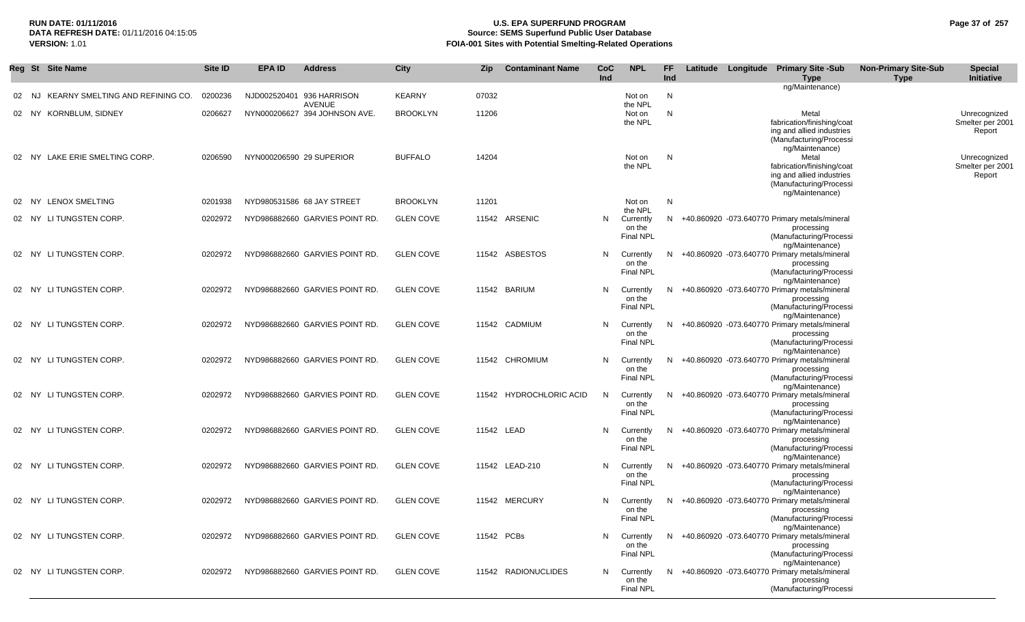## **RUN DATE: 01/11/2016 U.S. EPA SUPERFUND PROGRAM Page 37 of 257 Source: SEMS Superfund Public User Database VERSION:** 1.01 **FOIA-001 Sites with Potential Smelting-Related Operations**

|       | Reg St Site Name                 | Site ID | <b>EPA ID</b> | <b>Address</b>                                 | <b>City</b>      | Zip   | <b>Contaminant Name</b> | <b>CoC</b><br>Ind | <b>NPL</b>                              | FF<br>Ind |  | Latitude Longitude Primary Site -Sub<br><b>Type</b>                                                                            | <b>Non-Primary Site-Sub</b><br><b>Type</b> | <b>Special</b><br>Initiative               |
|-------|----------------------------------|---------|---------------|------------------------------------------------|------------------|-------|-------------------------|-------------------|-----------------------------------------|-----------|--|--------------------------------------------------------------------------------------------------------------------------------|--------------------------------------------|--------------------------------------------|
| 02 NJ | KEARNY SMELTING AND REFINING CO. | 0200236 |               | NJD002520401 936 HARRISON                      | <b>KEARNY</b>    | 07032 |                         |                   | Not on                                  | N         |  | ng/Maintenance)                                                                                                                |                                            |                                            |
|       | 02 NY KORNBLUM, SIDNEY           | 0206627 |               | <b>AVENUE</b><br>NYN000206627 394 JOHNSON AVE. | <b>BROOKLYN</b>  | 11206 |                         |                   | the NPL<br>Not on                       | N         |  | Metal                                                                                                                          |                                            | Unrecognized                               |
|       |                                  |         |               |                                                |                  |       |                         |                   | the NPL                                 |           |  | fabrication/finishing/coat<br>ing and allied industries<br>(Manufacturing/Processi<br>ng/Maintenance)                          |                                            | Smelter per 2001<br>Report                 |
|       | 02 NY LAKE ERIE SMELTING CORP.   | 0206590 |               | NYN000206590 29 SUPERIOR                       | <b>BUFFALO</b>   | 14204 |                         |                   | Not on<br>the NPL                       | N         |  | Metal<br>fabrication/finishing/coat<br>ing and allied industries<br>(Manufacturing/Processi<br>ng/Maintenance)                 |                                            | Unrecognized<br>Smelter per 2001<br>Report |
| 02 NY | <b>LENOX SMELTING</b>            | 0201938 |               | NYD980531586 68 JAY STREET                     | <b>BROOKLYN</b>  | 11201 |                         |                   | Not on<br>the NPL                       | N         |  |                                                                                                                                |                                            |                                            |
|       | 02 NY LITUNGSTEN CORP.           | 0202972 |               | NYD986882660 GARVIES POINT RD.                 | <b>GLEN COVE</b> |       | 11542 ARSENIC           | N                 | Currently<br>on the<br>Final NPL        |           |  | N +40.860920 -073.640770 Primary metals/mineral<br>processing<br>(Manufacturing/Processi                                       |                                            |                                            |
|       | 02 NY LITUNGSTEN CORP.           | 0202972 |               | NYD986882660 GARVIES POINT RD.                 | <b>GLEN COVE</b> |       | 11542 ASBESTOS          | N                 | Currently<br>on the<br><b>Final NPL</b> |           |  | ng/Maintenance)<br>N +40.860920 -073.640770 Primary metals/mineral<br>processing<br>(Manufacturing/Processi                    |                                            |                                            |
|       | 02 NY LITUNGSTEN CORP.           | 0202972 |               | NYD986882660 GARVIES POINT RD.                 | <b>GLEN COVE</b> |       | 11542 BARIUM            | N                 | Currently<br>on the<br><b>Final NPL</b> |           |  | ng/Maintenance)<br>N +40.860920 -073.640770 Primary metals/mineral<br>processing<br>(Manufacturing/Processi                    |                                            |                                            |
|       | 02 NY LITUNGSTEN CORP.           | 0202972 |               | NYD986882660 GARVIES POINT RD.                 | <b>GLEN COVE</b> |       | 11542 CADMIUM           | N                 | Currently<br>on the<br><b>Final NPL</b> |           |  | ng/Maintenance)<br>N +40.860920 -073.640770 Primary metals/mineral<br>processing<br>(Manufacturing/Processi                    |                                            |                                            |
|       | 02 NY LITUNGSTEN CORP.           | 0202972 |               | NYD986882660 GARVIES POINT RD.                 | <b>GLEN COVE</b> |       | 11542 CHROMIUM          | N                 | Currently<br>on the<br><b>Final NPL</b> | N.        |  | ng/Maintenance)<br>+40.860920 -073.640770 Primary metals/mineral<br>processing<br>(Manufacturing/Processi                      |                                            |                                            |
|       | 02 NY LITUNGSTEN CORP.           | 0202972 |               | NYD986882660 GARVIES POINT RD.                 | <b>GLEN COVE</b> |       | 11542 HYDROCHLORIC ACID | N                 | Currently<br>on the<br><b>Final NPL</b> |           |  | ng/Maintenance)<br>N +40.860920 -073.640770 Primary metals/mineral<br>processing<br>(Manufacturing/Processi<br>ng/Maintenance) |                                            |                                            |
|       | 02 NY LITUNGSTEN CORP.           | 0202972 |               | NYD986882660 GARVIES POINT RD.                 | <b>GLEN COVE</b> |       | 11542 LEAD              | N                 | Currently<br>on the<br><b>Final NPL</b> |           |  | N +40.860920 -073.640770 Primary metals/mineral<br>processing<br>(Manufacturing/Processi<br>ng/Maintenance)                    |                                            |                                            |
|       | 02 NY LITUNGSTEN CORP.           | 0202972 |               | NYD986882660 GARVIES POINT RD.                 | <b>GLEN COVE</b> |       | 11542 LEAD-210          | N                 | Currently<br>on the<br><b>Final NPL</b> |           |  | N +40.860920 -073.640770 Primary metals/mineral<br>processing<br>(Manufacturing/Processi<br>ng/Maintenance)                    |                                            |                                            |
|       | 02 NY LITUNGSTEN CORP.           | 0202972 |               | NYD986882660 GARVIES POINT RD.                 | <b>GLEN COVE</b> |       | 11542 MERCURY           | N                 | Currently<br>on the<br><b>Final NPL</b> |           |  | N +40.860920 -073.640770 Primary metals/mineral<br>processing<br>(Manufacturing/Processi<br>ng/Maintenance)                    |                                            |                                            |
|       | 02 NY LITUNGSTEN CORP.           | 0202972 |               | NYD986882660 GARVIES POINT RD.                 | <b>GLEN COVE</b> |       | 11542 PCBs              | N                 | Currently<br>on the<br>Final NPL        |           |  | N +40.860920 -073.640770 Primary metals/mineral<br>processing<br>(Manufacturing/Processi<br>ng/Maintenance)                    |                                            |                                            |
|       | 02 NY LITUNGSTEN CORP.           | 0202972 |               | NYD986882660 GARVIES POINT RD.                 | <b>GLEN COVE</b> |       | 11542 RADIONUCLIDES     | N                 | Currently<br>on the<br><b>Final NPL</b> |           |  | N +40.860920 -073.640770 Primary metals/mineral<br>processing<br>(Manufacturing/Processi                                       |                                            |                                            |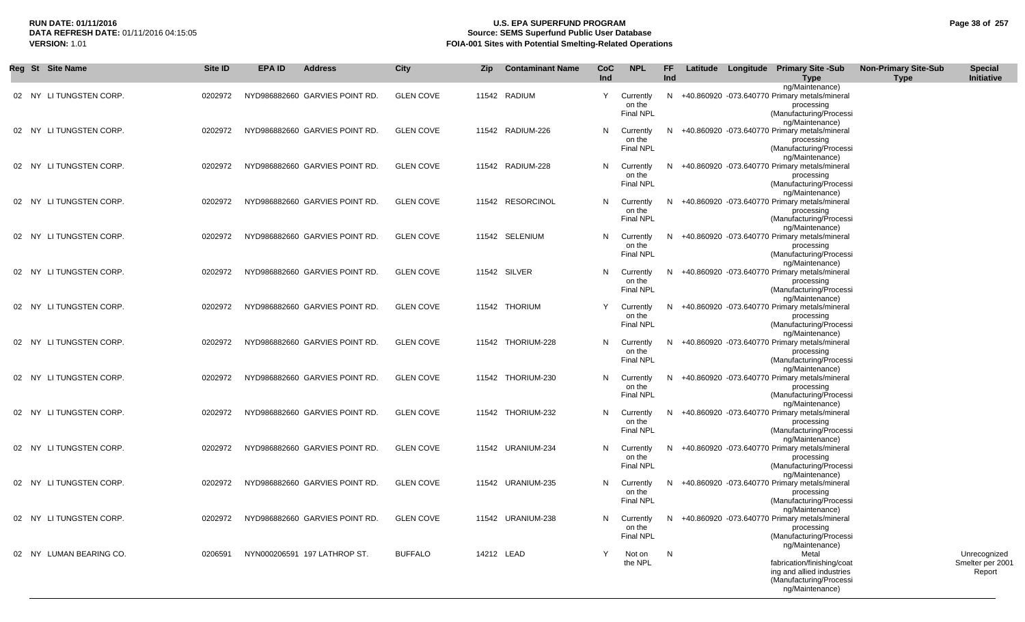## **RUN DATE: 01/11/2016 U.S. EPA SUPERFUND PROGRAM Page 38 of 257 Source: SEMS Superfund Public User Database VERSION:** 1.01 **FOIA-001 Sites with Potential Smelting-Related Operations**

| Reg St Site Name        | Site ID | <b>EPA ID</b> | <b>Address</b>                 | City             | Zip        | <b>Contaminant Name</b> | CoC<br><b>Ind</b> | <b>NPL</b>                              | FF.<br><b>Ind</b> |  | Latitude Longitude Primary Site -Sub<br><b>Type</b>                                                                                      | <b>Non-Primary Site-Sub</b><br><b>Type</b> | <b>Special</b><br>Initiative               |
|-------------------------|---------|---------------|--------------------------------|------------------|------------|-------------------------|-------------------|-----------------------------------------|-------------------|--|------------------------------------------------------------------------------------------------------------------------------------------|--------------------------------------------|--------------------------------------------|
| 02 NY LITUNGSTEN CORP.  | 0202972 |               | NYD986882660 GARVIES POINT RD. | <b>GLEN COVE</b> |            | 11542 RADIUM            | Y                 | Currently<br>on the<br><b>Final NPL</b> |                   |  | ng/Maintenance)<br>N +40.860920 -073.640770 Primary metals/mineral<br>processing<br>(Manufacturing/Processi                              |                                            |                                            |
| 02 NY LITUNGSTEN CORP.  | 0202972 |               | NYD986882660 GARVIES POINT RD. | <b>GLEN COVE</b> |            | 11542 RADIUM-226        | N                 | Currently<br>on the<br><b>Final NPL</b> |                   |  | ng/Maintenance)<br>N +40.860920 -073.640770 Primary metals/mineral<br>processing<br>(Manufacturing/Processi<br>ng/Maintenance)           |                                            |                                            |
| 02 NY LITUNGSTEN CORP.  | 0202972 |               | NYD986882660 GARVIES POINT RD. | <b>GLEN COVE</b> |            | 11542 RADIUM-228        | N                 | Currently<br>on the<br><b>Final NPL</b> |                   |  | N +40.860920 -073.640770 Primary metals/mineral<br>processing<br>(Manufacturing/Processi<br>ng/Maintenance)                              |                                            |                                            |
| 02 NY LITUNGSTEN CORP.  | 0202972 |               | NYD986882660 GARVIES POINT RD. | <b>GLEN COVE</b> |            | 11542 RESORCINOL        | N                 | Currently<br>on the<br>Final NPL        |                   |  | N +40.860920 -073.640770 Primary metals/mineral<br>processing<br>(Manufacturing/Processi<br>ng/Maintenance)                              |                                            |                                            |
| 02 NY LITUNGSTEN CORP.  | 0202972 |               | NYD986882660 GARVIES POINT RD. | <b>GLEN COVE</b> |            | 11542 SELENIUM          | N                 | Currently<br>on the<br><b>Final NPL</b> |                   |  | N +40.860920 -073.640770 Primary metals/mineral<br>processing<br>(Manufacturing/Processi<br>ng/Maintenance)                              |                                            |                                            |
| 02 NY LITUNGSTEN CORP.  | 0202972 |               | NYD986882660 GARVIES POINT RD. | <b>GLEN COVE</b> |            | 11542 SILVER            | N                 | Currently<br>on the<br><b>Final NPL</b> |                   |  | N +40.860920 -073.640770 Primary metals/mineral<br>processing<br>(Manufacturing/Processi<br>ng/Maintenance)                              |                                            |                                            |
| 02 NY LITUNGSTEN CORP.  | 0202972 |               | NYD986882660 GARVIES POINT RD. | <b>GLEN COVE</b> |            | 11542 THORIUM           | Y                 | Currently<br>on the<br><b>Final NPL</b> |                   |  | N +40.860920 -073.640770 Primary metals/mineral<br>processing<br>(Manufacturing/Processi<br>ng/Maintenance)                              |                                            |                                            |
| 02 NY LITUNGSTEN CORP.  | 0202972 |               | NYD986882660 GARVIES POINT RD. | <b>GLEN COVE</b> |            | 11542 THORIUM-228       | N                 | Currently<br>on the<br><b>Final NPL</b> |                   |  | N +40.860920 -073.640770 Primary metals/mineral<br>processing<br>(Manufacturing/Processi<br>ng/Maintenance)                              |                                            |                                            |
| 02 NY LITUNGSTEN CORP.  | 0202972 |               | NYD986882660 GARVIES POINT RD. | <b>GLEN COVE</b> |            | 11542 THORIUM-230       | N                 | Currently<br>on the<br><b>Final NPL</b> |                   |  | N +40.860920 -073.640770 Primary metals/mineral<br>processing<br>(Manufacturing/Processi<br>ng/Maintenance)                              |                                            |                                            |
| 02 NY LITUNGSTEN CORP.  | 0202972 |               | NYD986882660 GARVIES POINT RD. | <b>GLEN COVE</b> |            | 11542 THORIUM-232       | N                 | Currently<br>on the<br><b>Final NPL</b> |                   |  | N +40.860920 -073.640770 Primary metals/mineral<br>processing<br>(Manufacturing/Processi<br>ng/Maintenance)                              |                                            |                                            |
| 02 NY LITUNGSTEN CORP.  | 0202972 |               | NYD986882660 GARVIES POINT RD. | <b>GLEN COVE</b> |            | 11542 URANIUM-234       | N                 | Currently<br>on the<br><b>Final NPL</b> |                   |  | N +40.860920 -073.640770 Primary metals/mineral<br>processing<br>(Manufacturing/Processi                                                 |                                            |                                            |
| 02 NY LITUNGSTEN CORP.  | 0202972 |               | NYD986882660 GARVIES POINT RD. | <b>GLEN COVE</b> |            | 11542 URANIUM-235       | N                 | Currently<br>on the<br><b>Final NPL</b> |                   |  | ng/Maintenance)<br>N +40.860920 -073.640770 Primary metals/mineral<br>processing<br>(Manufacturing/Processi                              |                                            |                                            |
| 02 NY LITUNGSTEN CORP.  | 0202972 |               | NYD986882660 GARVIES POINT RD. | <b>GLEN COVE</b> |            | 11542 URANIUM-238       | N                 | on the<br><b>Final NPL</b>              |                   |  | ng/Maintenance)<br>Currently N +40.860920 -073.640770 Primary metals/mineral<br>processing<br>(Manufacturing/Processi<br>ng/Maintenance) |                                            |                                            |
| 02 NY LUMAN BEARING CO. | 0206591 |               | NYN000206591 197 LATHROP ST.   | <b>BUFFALO</b>   | 14212 LEAD |                         | Υ                 | Not on<br>the NPL                       | N                 |  | Metal<br>fabrication/finishing/coat<br>ing and allied industries<br>(Manufacturing/Processi<br>ng/Maintenance)                           |                                            | Unrecognized<br>Smelter per 2001<br>Report |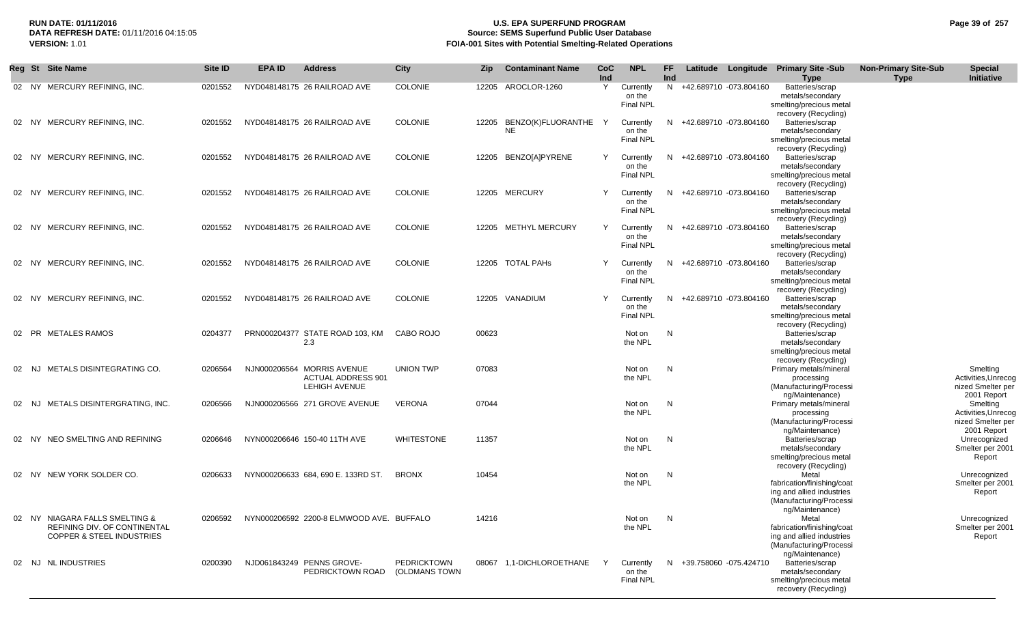## **RUN DATE: 01/11/2016 U.S. EPA SUPERFUND PROGRAM Page 39 of 257 Source: SEMS Superfund Public User Database VERSION:** 1.01 **FOIA-001 Sites with Potential Smelting-Related Operations**

|       | Reg St Site Name                                                                                              | Site ID | <b>EPA ID</b> | <b>Address</b>                                                                  | <b>City</b>                         | Zip   | <b>Contaminant Name</b>         | CoC<br>Ind | <b>NPL</b>                              | FF<br>Ind |                          | Latitude Longitude Primary Site -Sub<br><b>Type</b>                                                            | <b>Non-Primary Site-Sub</b><br><b>Type</b> | <b>Special</b><br>Initiative                                        |
|-------|---------------------------------------------------------------------------------------------------------------|---------|---------------|---------------------------------------------------------------------------------|-------------------------------------|-------|---------------------------------|------------|-----------------------------------------|-----------|--------------------------|----------------------------------------------------------------------------------------------------------------|--------------------------------------------|---------------------------------------------------------------------|
|       | 02 NY MERCURY REFINING, INC.                                                                                  | 0201552 |               | NYD048148175 26 RAILROAD AVE                                                    | <b>COLONIE</b>                      |       | 12205 AROCLOR-1260              | Y          | Currently<br>on the<br>Final NPL        |           | N +42.689710 -073.804160 | Batteries/scrap<br>metals/secondary<br>smelting/precious metal<br>recovery (Recycling)                         |                                            |                                                                     |
|       | 02 NY MERCURY REFINING, INC.                                                                                  | 0201552 |               | NYD048148175 26 RAILROAD AVE                                                    | <b>COLONIE</b>                      | 12205 | BENZO(K)FLUORANTHE<br><b>NE</b> | Y          | Currently<br>on the<br><b>Final NPL</b> |           | N +42.689710 -073.804160 | Batteries/scrap<br>metals/secondary<br>smelting/precious metal<br>recovery (Recycling)                         |                                            |                                                                     |
|       | 02 NY MERCURY REFINING, INC.                                                                                  | 0201552 |               | NYD048148175 26 RAILROAD AVE                                                    | <b>COLONIE</b>                      |       | 12205 BENZO[A]PYRENE            | Y          | Currently<br>on the<br><b>Final NPL</b> |           | N +42.689710 -073.804160 | Batteries/scrap<br>metals/secondary<br>smelting/precious metal<br>recovery (Recycling)                         |                                            |                                                                     |
|       | 02 NY MERCURY REFINING, INC.                                                                                  | 0201552 |               | NYD048148175 26 RAILROAD AVE                                                    | <b>COLONIE</b>                      |       | 12205 MERCURY                   | Y          | Currently<br>on the<br><b>Final NPL</b> |           | N +42.689710 -073.804160 | Batteries/scrap<br>metals/secondary<br>smelting/precious metal<br>recovery (Recycling)                         |                                            |                                                                     |
|       | 02 NY MERCURY REFINING, INC.                                                                                  | 0201552 |               | NYD048148175 26 RAILROAD AVE                                                    | <b>COLONIE</b>                      |       | 12205 METHYL MERCURY            | Y          | Currently<br>on the<br><b>Final NPL</b> |           | N +42.689710 -073.804160 | Batteries/scrap<br>metals/secondary<br>smelting/precious metal<br>recovery (Recycling)                         |                                            |                                                                     |
| 02    | NY MERCURY REFINING, INC.                                                                                     | 0201552 |               | NYD048148175 26 RAILROAD AVE                                                    | <b>COLONIE</b>                      |       | 12205 TOTAL PAHS                | Y          | Currently<br>on the<br>Final NPL        | N.        | +42.689710 -073.804160   | Batteries/scrap<br>metals/secondary<br>smelting/precious metal<br>recovery (Recycling)                         |                                            |                                                                     |
| 02    | NY MERCURY REFINING, INC.                                                                                     | 0201552 |               | NYD048148175 26 RAILROAD AVE                                                    | <b>COLONIE</b>                      |       | 12205 VANADIUM                  | Y          | Currently<br>on the<br><b>Final NPL</b> |           | N +42.689710 -073.804160 | Batteries/scrap<br>metals/secondary<br>smelting/precious metal<br>recovery (Recycling)                         |                                            |                                                                     |
|       | 02 PR METALES RAMOS                                                                                           | 0204377 |               | PRN000204377 STATE ROAD 103. KM<br>2.3                                          | CABO ROJO                           | 00623 |                                 |            | Not on<br>the NPL                       | N         |                          | Batteries/scrap<br>metals/secondary<br>smelting/precious metal<br>recovery (Recycling)                         |                                            |                                                                     |
| 02    | NJ METALS DISINTEGRATING CO.                                                                                  | 0206564 |               | NJN000206564 MORRIS AVENUE<br><b>ACTUAL ADDRESS 901</b><br><b>LEHIGH AVENUE</b> | UNION TWP                           | 07083 |                                 |            | Not on<br>the NPL                       | N         |                          | Primary metals/mineral<br>processing<br>(Manufacturing/Processi<br>ng/Maintenance)                             |                                            | Smelting<br>Activities, Unrecog<br>nized Smelter per<br>2001 Report |
|       | 02 NJ METALS DISINTERGRATING, INC.                                                                            | 0206566 |               | NJN000206566 271 GROVE AVENUE                                                   | <b>VERONA</b>                       | 07044 |                                 |            | Not on<br>the NPL                       | N,        |                          | Primary metals/mineral<br>processing<br>(Manufacturing/Processi<br>ng/Maintenance)                             |                                            | Smelting<br>Activities, Unrecog<br>nized Smelter per<br>2001 Report |
| 02 NY | NEO SMELTING AND REFINING                                                                                     | 0206646 |               | NYN000206646 150-40 11TH AVE                                                    | <b>WHITESTONE</b>                   | 11357 |                                 |            | Not on<br>the NPL                       | N,        |                          | Batteries/scrap<br>metals/secondary<br>smelting/precious metal<br>recovery (Recycling)                         |                                            | Unrecognized<br>Smelter per 2001<br>Report                          |
|       | 02 NY NEW YORK SOLDER CO.                                                                                     | 0206633 |               | NYN000206633 684, 690 E. 133RD ST.                                              | <b>BRONX</b>                        | 10454 |                                 |            | Not on<br>the NPL                       | N         |                          | Metal<br>fabrication/finishing/coat<br>ing and allied industries<br>(Manufacturing/Processi                    |                                            | Unrecognized<br>Smelter per 2001<br>Report                          |
|       | 02 NY NIAGARA FALLS SMELTING &<br><b>REFINING DIV. OF CONTINENTAL</b><br><b>COPPER &amp; STEEL INDUSTRIES</b> | 0206592 |               | NYN000206592 2200-8 ELMWOOD AVE. BUFFALO                                        |                                     | 14216 |                                 |            | Not on N<br>the NPL                     |           |                          | ng/Maintenance)<br>Metal<br>fabrication/finishing/coat<br>ing and allied industries<br>(Manufacturing/Processi |                                            | Unrecognized<br>Smelter per 2001<br>Report                          |
|       | 02 NJ NL INDUSTRIES                                                                                           | 0200390 |               | NJD061843249 PENNS GROVE-<br>PEDRICKTOWN ROAD                                   | <b>PEDRICKTOWN</b><br>(OLDMANS TOWN |       | 08067 1,1-DICHLOROETHANE        | Y          | Currently<br>on the<br>Final NPL        |           | N +39.758060 -075.424710 | ng/Maintenance)<br>Batteries/scrap<br>metals/secondary<br>smelting/precious metal<br>recovery (Recycling)      |                                            |                                                                     |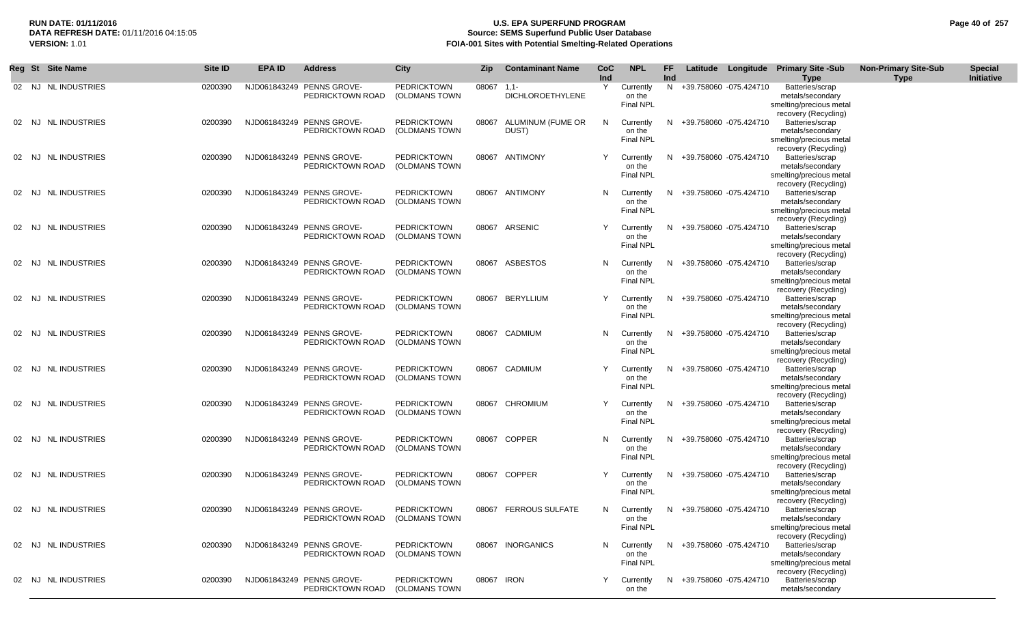## **RUN DATE: 01/11/2016 U.S. EPA SUPERFUND PROGRAM Page 40 of 257 Source: SEMS Superfund Public User Database VERSION:** 1.01 **FOIA-001 Sites with Potential Smelting-Related Operations**

|       | Reg St Site Name     | Site ID | <b>EPA ID</b> | <b>Address</b>                                              | <b>City</b>                         | <b>Zip</b> | <b>Contaminant Name</b>           | CoC<br>Ind | <b>NPL</b>                              | FF.<br><b>Ind</b> |                          | Latitude Longitude Primary Site -Sub<br><b>Type</b>                                    | <b>Non-Primary Site-Sub</b><br><b>Type</b> | <b>Special</b><br>Initiative |
|-------|----------------------|---------|---------------|-------------------------------------------------------------|-------------------------------------|------------|-----------------------------------|------------|-----------------------------------------|-------------------|--------------------------|----------------------------------------------------------------------------------------|--------------------------------------------|------------------------------|
|       | 02 NJ NL INDUSTRIES  | 0200390 |               | NJD061843249 PENNS GROVE-<br>PEDRICKTOWN ROAD               | <b>PEDRICKTOWN</b><br>(OLDMANS TOWN | 08067      | $1,1-$<br><b>DICHLOROETHYLENE</b> | Y          | Currently<br>on the<br>Final NPL        | N.                | +39.758060 -075.424710   | Batteries/scrap<br>metals/secondary<br>smelting/precious metal<br>recovery (Recycling) |                                            |                              |
|       | 02 NJ NL INDUSTRIES  | 0200390 |               | NJD061843249 PENNS GROVE-<br>PEDRICKTOWN ROAD               | <b>PEDRICKTOWN</b><br>(OLDMANS TOWN | 08067      | ALUMINUM (FUME OR<br>DUST)        | N          | Currently<br>on the<br><b>Final NPL</b> | N                 | +39.758060 -075.424710   | Batteries/scrap<br>metals/secondary<br>smelting/precious metal<br>recovery (Recycling) |                                            |                              |
| 02 NJ | NL INDUSTRIES        | 0200390 |               | NJD061843249 PENNS GROVE-<br>PEDRICKTOWN ROAD               | <b>PEDRICKTOWN</b><br>(OLDMANS TOWN | 08067      | ANTIMONY                          | Y          | Currently<br>on the<br><b>Final NPL</b> | N                 | +39.758060 -075.424710   | Batteries/scrap<br>metals/secondary<br>smelting/precious metal<br>recovery (Recycling) |                                            |                              |
| 02 NJ | NL INDUSTRIES        | 0200390 |               | NJD061843249 PENNS GROVE-<br>PEDRICKTOWN ROAD               | <b>PEDRICKTOWN</b><br>(OLDMANS TOWN |            | 08067 ANTIMONY                    | N          | Currently<br>on the<br><b>Final NPL</b> |                   | +39.758060 -075.424710   | Batteries/scrap<br>metals/secondary<br>smelting/precious metal                         |                                            |                              |
| 02 NJ | <b>NL INDUSTRIES</b> | 0200390 |               | NJD061843249 PENNS GROVE-<br>PEDRICKTOWN ROAD               | <b>PEDRICKTOWN</b><br>(OLDMANS TOWN |            | 08067 ARSENIC                     | Y          | Currently<br>on the<br><b>Final NPL</b> | N.                | +39.758060 -075.424710   | recovery (Recycling)<br>Batteries/scrap<br>metals/secondary<br>smelting/precious metal |                                            |                              |
| 02 NJ | <b>NL INDUSTRIES</b> | 0200390 |               | NJD061843249 PENNS GROVE-<br>PEDRICKTOWN ROAD               | <b>PEDRICKTOWN</b><br>(OLDMANS TOWN | 08067      | ASBESTOS                          | N          | Currently<br>on the<br><b>Final NPL</b> | N                 | +39.758060 -075.424710   | recovery (Recycling)<br>Batteries/scrap<br>metals/secondary<br>smelting/precious metal |                                            |                              |
| 02 NJ | <b>NL INDUSTRIES</b> | 0200390 |               | NJD061843249 PENNS GROVE-<br>PEDRICKTOWN ROAD               | <b>PEDRICKTOWN</b><br>(OLDMANS TOWN | 08067      | BERYLLIUM                         | Y          | Currently<br>on the<br><b>Final NPL</b> | N.                | +39.758060 -075.424710   | recovery (Recycling)<br>Batteries/scrap<br>metals/secondary<br>smelting/precious metal |                                            |                              |
| 02 NJ | <b>NL INDUSTRIES</b> | 0200390 |               | NJD061843249 PENNS GROVE-<br>PEDRICKTOWN ROAD               | <b>PEDRICKTOWN</b><br>(OLDMANS TOWN | 08067      | CADMIUM                           | N          | Currently<br>on the<br><b>Final NPL</b> | N                 | +39.758060 -075.424710   | recovery (Recycling)<br>Batteries/scrap<br>metals/secondary<br>smelting/precious metal |                                            |                              |
| 02 NJ | <b>NL INDUSTRIES</b> | 0200390 |               | NJD061843249 PENNS GROVE-<br>PEDRICKTOWN ROAD               | <b>PEDRICKTOWN</b><br>(OLDMANS TOWN |            | 08067 CADMIUM                     | Y          | Currently<br>on the<br><b>Final NPL</b> | N.                | +39.758060 -075.424710   | recovery (Recycling)<br>Batteries/scrap<br>metals/secondary<br>smelting/precious metal |                                            |                              |
| 02 NJ | <b>NL INDUSTRIES</b> | 0200390 |               | NJD061843249 PENNS GROVE-<br>PEDRICKTOWN ROAD               | <b>PEDRICKTOWN</b><br>(OLDMANS TOWN | 08067      | CHROMIUM                          | Y          | Currently<br>on the<br><b>Final NPL</b> | N                 | +39.758060 -075.424710   | recovery (Recycling)<br>Batteries/scrap<br>metals/secondary<br>smelting/precious metal |                                            |                              |
| 02 NJ | <b>NL INDUSTRIES</b> | 0200390 |               | NJD061843249 PENNS GROVE-<br>PEDRICKTOWN ROAD               | <b>PEDRICKTOWN</b><br>(OLDMANS TOWN | 08067      | <b>COPPER</b>                     | N          | Currently<br>on the<br><b>Final NPL</b> |                   | +39.758060 -075.424710   | recovery (Recycling)<br>Batteries/scrap<br>metals/secondary<br>smelting/precious metal |                                            |                              |
| 02 NJ | <b>NL INDUSTRIES</b> | 0200390 |               | NJD061843249 PENNS GROVE-<br>PEDRICKTOWN ROAD               | <b>PEDRICKTOWN</b><br>(OLDMANS TOWN | 08067      | <b>COPPER</b>                     | Y          | Currently<br>on the<br><b>Final NPL</b> | N.                | +39.758060 -075.424710   | recovery (Recycling)<br>Batteries/scrap<br>metals/secondary<br>smelting/precious metal |                                            |                              |
|       | 02 NJ NL INDUSTRIES  | 0200390 |               | NJD061843249 PENNS GROVE-<br>PEDRICKTOWN ROAD (OLDMANS TOWN | <b>PEDRICKTOWN</b>                  |            | 08067 FERROUS SULFATE             | N          | Currently<br>on the<br>Final NPL        | N                 | +39.758060 -075.424710   | recovery (Recycling)<br>Batteries/scrap<br>metals/secondary<br>smelting/precious metal |                                            |                              |
|       | 02 NJ NL INDUSTRIES  | 0200390 |               | NJD061843249 PENNS GROVE-<br>PEDRICKTOWN ROAD               | <b>PEDRICKTOWN</b><br>(OLDMANS TOWN |            | 08067 INORGANICS                  | N          | Currently<br>on the<br>Final NPL        |                   | N +39.758060 -075.424710 | recovery (Recycling)<br>Batteries/scrap<br>metals/secondary<br>smelting/precious metal |                                            |                              |
|       | 02 NJ NL INDUSTRIES  | 0200390 |               | NJD061843249 PENNS GROVE-<br>PEDRICKTOWN ROAD               | <b>PEDRICKTOWN</b><br>(OLDMANS TOWN |            | 08067 IRON                        | Y          | Currently<br>on the                     | N.                | +39.758060 -075.424710   | recovery (Recycling)<br>Batteries/scrap<br>metals/secondary                            |                                            |                              |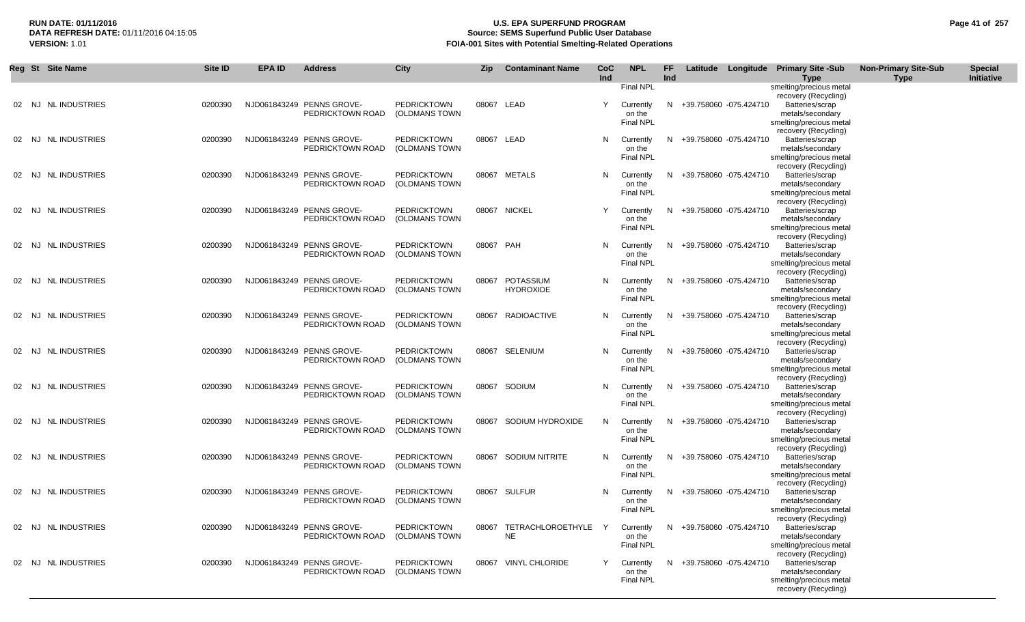## **RUN DATE: 01/11/2016 U.S. EPA SUPERFUND PROGRAM Page 41 of 257 Source: SEMS Superfund Public User Database VERSION:** 1.01 **FOIA-001 Sites with Potential Smelting-Related Operations**

|  | Reg St Site Name    | Site ID | <b>EPA ID</b> | <b>Address</b>                                | City                                | <b>Zip</b> | <b>Contaminant Name</b>              | CoC<br>Ind | <b>NPL</b>                 | FF<br>Ind |                          | Latitude Longitude Primary Site -Sub<br><b>Type</b> | <b>Non-Primary Site-Sub</b><br><b>Type</b> | <b>Special</b><br>Initiative |
|--|---------------------|---------|---------------|-----------------------------------------------|-------------------------------------|------------|--------------------------------------|------------|----------------------------|-----------|--------------------------|-----------------------------------------------------|--------------------------------------------|------------------------------|
|  |                     |         |               |                                               |                                     |            |                                      |            | Final NPL                  |           |                          | smelting/precious metal<br>recovery (Recycling)     |                                            |                              |
|  | 02 NJ NL INDUSTRIES | 0200390 |               | NJD061843249 PENNS GROVE-                     | <b>PEDRICKTOWN</b>                  | 08067 LEAD |                                      | Y          | Currently                  | N.        | +39.758060 -075.424710   | Batteries/scrap                                     |                                            |                              |
|  |                     |         |               | PEDRICKTOWN ROAD                              | (OLDMANS TOWN                       |            |                                      |            | on the<br>Final NPL        |           |                          | metals/secondary<br>smelting/precious metal         |                                            |                              |
|  |                     |         |               |                                               |                                     |            |                                      |            |                            |           |                          | recovery (Recycling)                                |                                            |                              |
|  | 02 NJ NL INDUSTRIES | 0200390 |               | NJD061843249 PENNS GROVE-<br>PEDRICKTOWN ROAD | <b>PEDRICKTOWN</b><br>(OLDMANS TOWN | 08067 LEAD |                                      | N          | Currently<br>on the        |           | N +39.758060 -075.424710 | Batteries/scrap<br>metals/secondary                 |                                            |                              |
|  |                     |         |               |                                               |                                     |            |                                      |            | <b>Final NPL</b>           |           |                          | smelting/precious metal                             |                                            |                              |
|  | 02 NJ NL INDUSTRIES |         |               | NJD061843249 PENNS GROVE-                     | <b>PEDRICKTOWN</b>                  |            | 08067 METALS                         |            |                            |           |                          | recovery (Recycling)<br>Batteries/scrap             |                                            |                              |
|  |                     | 0200390 |               | PEDRICKTOWN ROAD                              | (OLDMANS TOWN                       |            |                                      | N          | Currently<br>on the        |           | N +39.758060 -075.424710 | metals/secondary                                    |                                            |                              |
|  |                     |         |               |                                               |                                     |            |                                      |            | Final NPL                  |           |                          | smelting/precious metal                             |                                            |                              |
|  | 02 NJ NL INDUSTRIES | 0200390 |               | NJD061843249 PENNS GROVE-                     | <b>PEDRICKTOWN</b>                  |            | 08067 NICKEL                         | Y          | Currently                  |           | N +39.758060 -075.424710 | recovery (Recycling)<br>Batteries/scrap             |                                            |                              |
|  |                     |         |               | PEDRICKTOWN ROAD                              | (OLDMANS TOWN                       |            |                                      |            | on the                     |           |                          | metals/secondary                                    |                                            |                              |
|  |                     |         |               |                                               |                                     |            |                                      |            | <b>Final NPL</b>           |           |                          | smelting/precious metal<br>recovery (Recycling)     |                                            |                              |
|  | 02 NJ NL INDUSTRIES | 0200390 |               | NJD061843249 PENNS GROVE-                     | <b>PEDRICKTOWN</b>                  | 08067 PAH  |                                      | N          | Currently                  |           | N +39.758060 -075.424710 | Batteries/scrap                                     |                                            |                              |
|  |                     |         |               | PEDRICKTOWN ROAD                              | (OLDMANS TOWN                       |            |                                      |            | on the<br><b>Final NPL</b> |           |                          | metals/secondary<br>smelting/precious metal         |                                            |                              |
|  |                     |         |               |                                               |                                     |            |                                      |            |                            |           |                          | recovery (Recycling)                                |                                            |                              |
|  | 02 NJ NLINDUSTRIES  | 0200390 |               | NJD061843249 PENNS GROVE-<br>PEDRICKTOWN ROAD | <b>PEDRICKTOWN</b><br>(OLDMANS TOWN |            | 08067 POTASSIUM<br><b>HYDROXIDE</b>  | N.         | Currently<br>on the        |           | N +39.758060 -075.424710 | Batteries/scrap<br>metals/secondary                 |                                            |                              |
|  |                     |         |               |                                               |                                     |            |                                      |            | <b>Final NPL</b>           |           |                          | smelting/precious metal                             |                                            |                              |
|  | 02 NJ NL INDUSTRIES | 0200390 |               | NJD061843249 PENNS GROVE-                     | <b>PEDRICKTOWN</b>                  |            | 08067 RADIOACTIVE                    | N.         | Currently                  |           | N +39.758060 -075.424710 | recovery (Recycling)<br>Batteries/scrap             |                                            |                              |
|  |                     |         |               | PEDRICKTOWN ROAD                              | (OLDMANS TOWN                       |            |                                      |            | on the                     |           |                          | metals/secondary                                    |                                            |                              |
|  |                     |         |               |                                               |                                     |            |                                      |            | <b>Final NPL</b>           |           |                          | smelting/precious metal<br>recovery (Recycling)     |                                            |                              |
|  | 02 NJ NL INDUSTRIES | 0200390 |               | NJD061843249 PENNS GROVE-                     | <b>PEDRICKTOWN</b>                  |            | 08067 SELENIUM                       | N          | Currently                  |           | N +39.758060 -075.424710 | Batteries/scrap                                     |                                            |                              |
|  |                     |         |               | PEDRICKTOWN ROAD                              | (OLDMANS TOWN                       |            |                                      |            | on the<br><b>Final NPL</b> |           |                          | metals/secondary                                    |                                            |                              |
|  |                     |         |               |                                               |                                     |            |                                      |            |                            |           |                          | smelting/precious metal<br>recovery (Recycling)     |                                            |                              |
|  | 02 NJ NLINDUSTRIES  | 0200390 |               | NJD061843249 PENNS GROVE-                     | <b>PEDRICKTOWN</b>                  |            | 08067 SODIUM                         | N.         | Currently                  |           | N +39.758060 -075.424710 | Batteries/scrap                                     |                                            |                              |
|  |                     |         |               | PEDRICKTOWN ROAD                              | (OLDMANS TOWN                       |            |                                      |            | on the<br><b>Final NPL</b> |           |                          | metals/secondary<br>smelting/precious metal         |                                            |                              |
|  | 02 NJ NLINDUSTRIES  |         |               |                                               |                                     |            |                                      |            |                            |           |                          | recovery (Recycling)                                |                                            |                              |
|  |                     | 0200390 |               | NJD061843249 PENNS GROVE-<br>PEDRICKTOWN ROAD | <b>PEDRICKTOWN</b><br>(OLDMANS TOWN |            | 08067 SODIUM HYDROXIDE               | N          | Currently<br>on the        |           | N +39.758060 -075.424710 | Batteries/scrap<br>metals/secondary                 |                                            |                              |
|  |                     |         |               |                                               |                                     |            |                                      |            | <b>Final NPL</b>           |           |                          | smelting/precious metal                             |                                            |                              |
|  | 02 NJ NL INDUSTRIES | 0200390 |               | NJD061843249 PENNS GROVE-                     | <b>PEDRICKTOWN</b>                  |            | 08067 SODIUM NITRITE                 |            | N Currently                |           | N +39.758060 -075.424710 | recovery (Recycling)<br>Batteries/scrap             |                                            |                              |
|  |                     |         |               | PEDRICKTOWN ROAD                              | (OLDMANS TOWN                       |            |                                      |            | on the                     |           |                          | metals/secondary                                    |                                            |                              |
|  |                     |         |               |                                               |                                     |            |                                      |            | <b>Final NPL</b>           |           |                          | smelting/precious metal<br>recovery (Recycling)     |                                            |                              |
|  | 02 NJ NL INDUSTRIES | 0200390 |               | NJD061843249 PENNS GROVE-                     | <b>PEDRICKTOWN</b>                  |            | 08067 SULFUR                         | N.         | Currently                  |           | N +39.758060 -075.424710 | Batteries/scrap                                     |                                            |                              |
|  |                     |         |               | PEDRICKTOWN ROAD                              | (OLDMANS TOWN                       |            |                                      |            | on the<br><b>Final NPL</b> |           |                          | metals/secondary<br>smelting/precious metal         |                                            |                              |
|  |                     |         |               |                                               |                                     |            |                                      |            |                            |           |                          | recovery (Recycling)                                |                                            |                              |
|  | 02 NJ NL INDUSTRIES | 0200390 |               | NJD061843249 PENNS GROVE-<br>PEDRICKTOWN ROAD | <b>PEDRICKTOWN</b><br>(OLDMANS TOWN |            | 08067 TETRACHLOROETHYLE<br><b>NE</b> | Y          | Currently<br>on the        |           | N +39.758060 -075.424710 | Batteries/scrap<br>metals/secondary                 |                                            |                              |
|  |                     |         |               |                                               |                                     |            |                                      |            | <b>Final NPL</b>           |           |                          | smelting/precious metal                             |                                            |                              |
|  | 02 NJ NL INDUSTRIES | 0200390 |               | NJD061843249 PENNS GROVE-                     | <b>PEDRICKTOWN</b>                  |            | 08067 VINYL CHLORIDE                 | Y          | Currently                  |           | N +39.758060 -075.424710 | recovery (Recycling)<br>Batteries/scrap             |                                            |                              |
|  |                     |         |               | PEDRICKTOWN ROAD                              | (OLDMANS TOWN                       |            |                                      |            | on the                     |           |                          | metals/secondary                                    |                                            |                              |
|  |                     |         |               |                                               |                                     |            |                                      |            | <b>Final NPL</b>           |           |                          | smelting/precious metal<br>recovery (Recycling)     |                                            |                              |
|  |                     |         |               |                                               |                                     |            |                                      |            |                            |           |                          |                                                     |                                            |                              |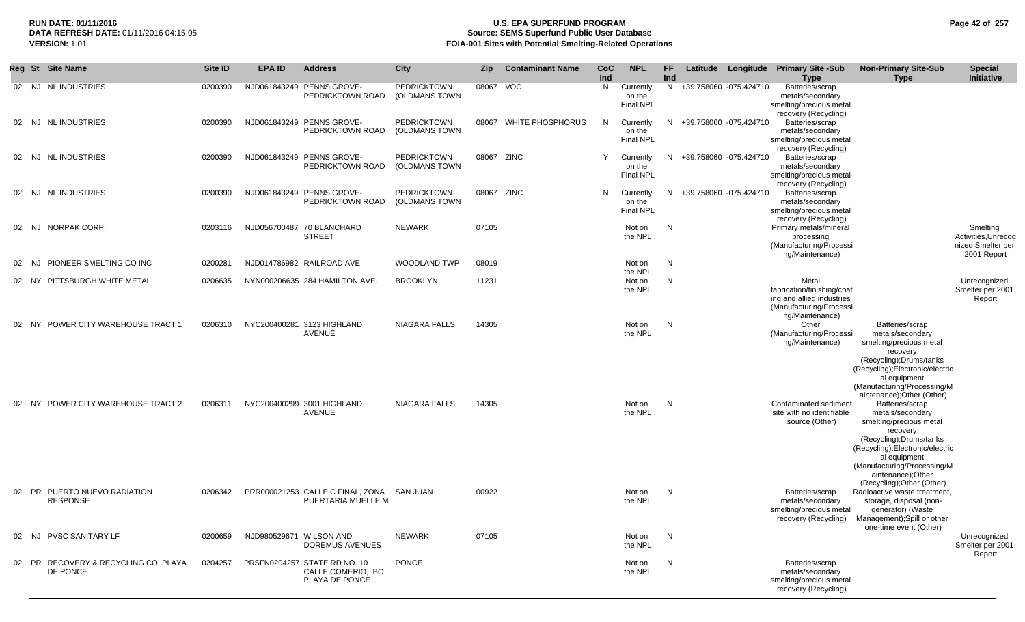## **RUN DATE: 01/11/2016 U.S. EPA SUPERFUND PROGRAM Page 42 of 257 Source: SEMS Superfund Public User Database VERSION:** 1.01 **FOIA-001 Sites with Potential Smelting-Related Operations**

|    |       | Reg St Site Name                                 | Site ID | <b>EPA ID</b>           | <b>Address</b>                                                      | <b>City</b>                         | <b>Zip</b> | <b>Contaminant Name</b> | <b>CoC</b><br>Ind | <b>NPL</b>                              | FF.<br>Ind |                          | Latitude Longitude Primary Site -Sub<br><b>Type</b>                                                            | <b>Non-Primary Site-Sub</b><br><b>Type</b>                                                                                                                                                                                                   | <b>Special</b><br>Initiative                                        |
|----|-------|--------------------------------------------------|---------|-------------------------|---------------------------------------------------------------------|-------------------------------------|------------|-------------------------|-------------------|-----------------------------------------|------------|--------------------------|----------------------------------------------------------------------------------------------------------------|----------------------------------------------------------------------------------------------------------------------------------------------------------------------------------------------------------------------------------------------|---------------------------------------------------------------------|
|    |       | 02 NJ NL INDUSTRIES                              | 0200390 |                         | NJD061843249 PENNS GROVE-<br>PEDRICKTOWN ROAD                       | <b>PEDRICKTOWN</b><br>(OLDMANS TOWN | 08067 VOC  |                         | N                 | Currently<br>on the<br><b>Final NPL</b> |            | N +39.758060 -075.424710 | Batteries/scrap<br>metals/secondary<br>smelting/precious metal<br>recovery (Recycling)                         |                                                                                                                                                                                                                                              |                                                                     |
|    |       | 02 NJ NL INDUSTRIES                              | 0200390 |                         | NJD061843249 PENNS GROVE-<br>PEDRICKTOWN ROAD                       | <b>PEDRICKTOWN</b><br>(OLDMANS TOWN |            | 08067 WHITE PHOSPHORUS  | N                 | Currently<br>on the<br><b>Final NPL</b> |            | N +39.758060 -075.424710 | Batteries/scrap<br>metals/secondary<br>smelting/precious metal<br>recovery (Recycling)                         |                                                                                                                                                                                                                                              |                                                                     |
|    |       | 02 NJ NL INDUSTRIES                              | 0200390 |                         | NJD061843249 PENNS GROVE-<br>PEDRICKTOWN ROAD                       | <b>PEDRICKTOWN</b><br>(OLDMANS TOWN | 08067 ZINC |                         | Y                 | Currently<br>on the<br><b>Final NPL</b> |            | N +39.758060 -075.424710 | Batteries/scrap<br>metals/secondary<br>smelting/precious metal<br>recovery (Recycling)                         |                                                                                                                                                                                                                                              |                                                                     |
|    |       | 02 NJ NL INDUSTRIES                              | 0200390 |                         | NJD061843249 PENNS GROVE-<br>PEDRICKTOWN ROAD                       | <b>PEDRICKTOWN</b><br>(OLDMANS TOWN | 08067 ZINC |                         | N                 | Currently<br>on the<br><b>Final NPL</b> |            | N +39.758060 -075.424710 | Batteries/scrap<br>metals/secondary<br>smelting/precious metal<br>recovery (Recycling)                         |                                                                                                                                                                                                                                              |                                                                     |
|    | 02 NJ | NORPAK CORP.                                     | 0203116 |                         | NJD056700487 70 BLANCHARD<br><b>STREET</b>                          | <b>NEWARK</b>                       | 07105      |                         |                   | Not on<br>the NPL                       | N          |                          | Primary metals/mineral<br>processing<br>(Manufacturing/Processi<br>ng/Maintenance)                             |                                                                                                                                                                                                                                              | Smelting<br>Activities, Unrecog<br>nized Smelter per<br>2001 Report |
| 02 | NJ.   | PIONEER SMELTING CO INC                          | 0200281 |                         | NJD014786982 RAILROAD AVE                                           | <b>WOODLAND TWP</b>                 | 08019      |                         |                   | Not on<br>the NPL                       | N          |                          |                                                                                                                |                                                                                                                                                                                                                                              |                                                                     |
|    |       | 02 NY PITTSBURGH WHITE METAL                     | 0206635 |                         | NYN000206635 284 HAMILTON AVE.                                      | <b>BROOKLYN</b>                     | 11231      |                         |                   | Not on<br>the NPL                       | N          |                          | Metal<br>fabrication/finishing/coat<br>ing and allied industries<br>(Manufacturing/Processi<br>ng/Maintenance) |                                                                                                                                                                                                                                              | Unrecognized<br>Smelter per 2001<br>Report                          |
|    | 02 NY | POWER CITY WAREHOUSE TRACT 1                     | 0206310 |                         | NYC200400281 3123 HIGHLAND<br>AVENUE                                | <b>NIAGARA FALLS</b>                | 14305      |                         |                   | Not on<br>the NPL                       | N          |                          | Other<br>(Manufacturing/Processi<br>ng/Maintenance)                                                            | Batteries/scrap<br>metals/secondary<br>smelting/precious metal<br>recovery<br>(Recycling); Drums/tanks<br>(Recycling); Electronic/electric<br>al equipment<br>(Manufacturing/Processing/M<br>aintenance); Other (Other)                      |                                                                     |
|    |       | 02 NY POWER CITY WAREHOUSE TRACT 2               | 0206311 |                         | NYC200400299 3001 HIGHLAND<br><b>AVENUE</b>                         | <b>NIAGARA FALLS</b>                | 14305      |                         |                   | Not on<br>the NPL                       | N          |                          | Contaminated sediment<br>site with no identifiable<br>source (Other)                                           | Batteries/scrap<br>metals/secondary<br>smelting/precious metal<br>recovery<br>(Recycling); Drums/tanks<br>(Recycling); Electronic/electric<br>al equipment<br>(Manufacturing/Processing/M<br>aintenance);Other<br>(Recycling); Other (Other) |                                                                     |
|    |       | 02 PR PUERTO NUEVO RADIATION<br><b>RESPONSE</b>  | 0206342 |                         | PRR000021253 CALLE C FINAL, ZONA<br>PUERTARIA MUELLE M              | SAN JUAN                            | 00922      |                         |                   | Not on<br>the NPL                       | N          |                          | Batteries/scrap<br>metals/secondary<br>smelting/precious metal<br>recovery (Recycling)                         | Radioactive waste treatment,<br>storage, disposal (non-<br>generator) (Waste<br>Management); Spill or other<br>one-time event (Other)                                                                                                        |                                                                     |
|    | 02 NJ | <b>PVSC SANITARY LF</b>                          | 0200659 | NJD980529671 WILSON AND | <b>DOREMUS AVENUES</b>                                              | <b>NEWARK</b>                       | 07105      |                         |                   | Not on<br>the NPL                       | N          |                          |                                                                                                                |                                                                                                                                                                                                                                              | Unrecognized<br>Smelter per 2001<br>Report                          |
|    |       | 02 PR RECOVERY & RECYCLING CO. PLAYA<br>DE PONCE | 0204257 |                         | PRSFN0204257 STATE RD NO. 10<br>CALLE COMERIO, BO<br>PLAYA DE PONCE | <b>PONCE</b>                        |            |                         |                   | Not on<br>the NPL                       | N          |                          | Batteries/scrap<br>metals/secondary<br>smelting/precious metal<br>recovery (Recycling)                         |                                                                                                                                                                                                                                              |                                                                     |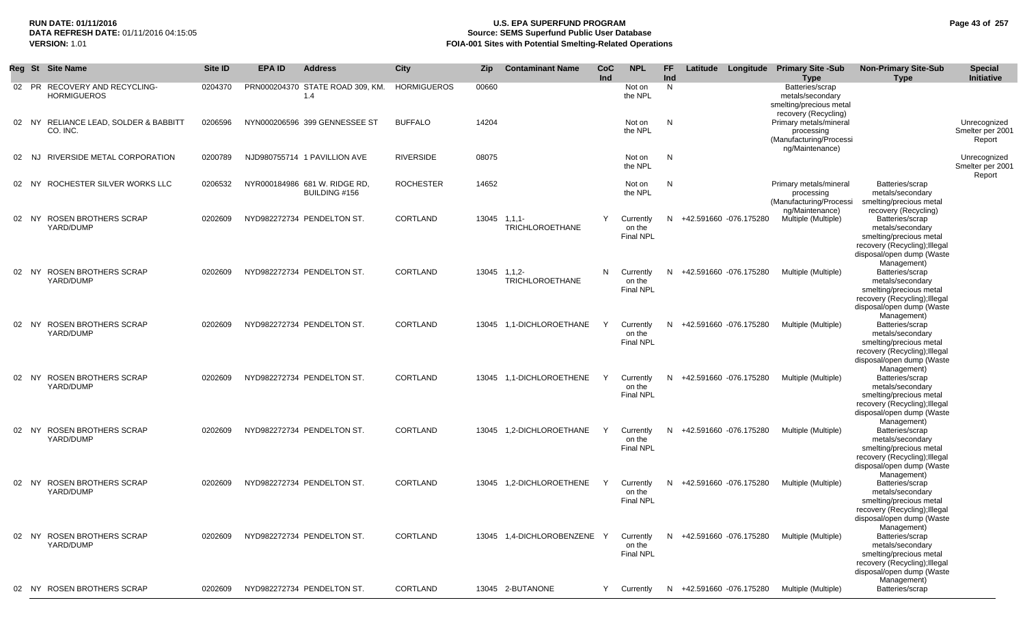# **RUN DATE: 01/11/2016 U.S. EPA SUPERFUND PROGRAM Page 43 of 257 Source: SEMS Superfund Public User Database VERSION:** 1.01 **FOIA-001 Sites with Potential Smelting-Related Operations**

|    |       | Reg St Site Name                                    | <b>Site ID</b> | <b>EPA ID</b> | <b>Address</b>                                 | <b>City</b>        | Zip.  | <b>Contaminant Name</b>                     | CoC<br>Ind | <b>NPL</b>                              | <b>FF</b><br>Ind |                          | Latitude Longitude Primary Site -Sub<br><b>Type</b>                                    | <b>Non-Primary Site-Sub</b><br><b>Type</b>                                                                                                                 | <b>Special</b><br>Initiative               |
|----|-------|-----------------------------------------------------|----------------|---------------|------------------------------------------------|--------------------|-------|---------------------------------------------|------------|-----------------------------------------|------------------|--------------------------|----------------------------------------------------------------------------------------|------------------------------------------------------------------------------------------------------------------------------------------------------------|--------------------------------------------|
|    |       | 02 PR RECOVERY AND RECYCLING-<br><b>HORMIGUEROS</b> | 0204370        |               | PRN000204370 STATE ROAD 309, KM.<br>1.4        | <b>HORMIGUEROS</b> | 00660 |                                             |            | Not on<br>the NPL                       | N                |                          | Batteries/scrap<br>metals/secondary<br>smelting/precious metal<br>recovery (Recycling) |                                                                                                                                                            |                                            |
|    |       | 02 NY RELIANCE LEAD, SOLDER & BABBITT<br>CO. INC.   | 0206596        |               | NYN000206596 399 GENNESSEE ST                  | <b>BUFFALO</b>     | 14204 |                                             |            | Not on<br>the NPL                       | N                |                          | Primary metals/mineral<br>processing<br>(Manufacturing/Processi<br>ng/Maintenance)     |                                                                                                                                                            | Unrecognized<br>Smelter per 2001<br>Report |
| 02 | NJ.   | RIVERSIDE METAL CORPORATION                         | 0200789        |               | NJD980755714 1 PAVILLION AVE                   | <b>RIVERSIDE</b>   | 08075 |                                             |            | Not on<br>the NPL                       | N                |                          |                                                                                        |                                                                                                                                                            | Unrecognized<br>Smelter per 2001<br>Report |
|    |       | 02 NY ROCHESTER SILVER WORKS LLC                    | 0206532        |               | NYR000184986 681 W. RIDGE RD,<br>BUILDING #156 | <b>ROCHESTER</b>   | 14652 |                                             |            | Not on<br>the NPL                       | N                |                          | Primary metals/mineral<br>processing<br>(Manufacturing/Processi                        | Batteries/scrap<br>metals/secondary<br>smelting/precious metal                                                                                             |                                            |
|    | 02 NY | <b>ROSEN BROTHERS SCRAP</b><br>YARD/DUMP            | 0202609        |               | NYD982272734 PENDELTON ST.                     | CORTLAND           |       | $13045$ $1,1,1$ -<br><b>TRICHLOROETHANE</b> | Y          | Currently<br>on the<br><b>Final NPL</b> | N.               | +42.591660 -076.175280   | ng/Maintenance)<br>Multiple (Multiple)                                                 | recovery (Recycling)<br>Batteries/scrap<br>metals/secondary<br>smelting/precious metal<br>recovery (Recycling); Illegal<br>disposal/open dump (Waste       |                                            |
|    | 02 NY | <b>ROSEN BROTHERS SCRAP</b><br>YARD/DUMP            | 0202609        |               | NYD982272734 PENDELTON ST.                     | CORTLAND           |       | 13045 1.1.2-<br><b>TRICHLOROETHANE</b>      | N          | Currently<br>on the<br><b>Final NPL</b> | N                | +42.591660 -076.175280   | Multiple (Multiple)                                                                    | Management)<br>Batteries/scrap<br>metals/secondary<br>smelting/precious metal<br>recovery (Recycling); Illegal<br>disposal/open dump (Waste                |                                            |
|    | 02 NY | ROSEN BROTHERS SCRAP<br>YARD/DUMP                   | 0202609        |               | NYD982272734 PENDELTON ST.                     | CORTLAND           |       | 13045 1.1-DICHLOROETHANE                    | Y          | Currently<br>on the<br><b>Final NPL</b> |                  | N +42.591660 -076.175280 | Multiple (Multiple)                                                                    | Management)<br>Batteries/scrap<br>metals/secondary<br>smelting/precious metal<br>recovery (Recycling); Illegal<br>disposal/open dump (Waste<br>Management) |                                            |
|    |       | 02 NY ROSEN BROTHERS SCRAP<br>YARD/DUMP             | 0202609        |               | NYD982272734 PENDELTON ST.                     | CORTLAND           | 13045 | 1,1-DICHLOROETHENE                          | Y          | Currently<br>on the<br><b>Final NPL</b> | N                | +42.591660 -076.175280   | Multiple (Multiple)                                                                    | Batteries/scrap<br>metals/secondary<br>smelting/precious metal<br>recovery (Recycling); Illegal<br>disposal/open dump (Waste<br>Management)                |                                            |
|    |       | 02 NY ROSEN BROTHERS SCRAP<br>YARD/DUMP             | 0202609        |               | NYD982272734 PENDELTON ST.                     | CORTLAND           | 13045 | 1,2-DICHLOROETHANE                          | Y          | Currently<br>on the<br><b>Final NPL</b> | N                | +42.591660 -076.175280   | Multiple (Multiple)                                                                    | Batteries/scrap<br>metals/secondary<br>smelting/precious metal<br>recovery (Recycling); Illegal<br>disposal/open dump (Waste<br>Management)                |                                            |
|    |       | 02 NY ROSEN BROTHERS SCRAP<br>YARD/DUMP             | 0202609        |               | NYD982272734 PENDELTON ST.                     | CORTLAND           |       | 13045 1.2-DICHLOROETHENE                    | Y          | Currently<br>on the<br><b>Final NPL</b> |                  | N +42.591660 -076.175280 | Multiple (Multiple)                                                                    | Batteries/scrap<br>metals/secondary<br>smelting/precious metal<br>recovery (Recycling); Illegal<br>disposal/open dump (Waste<br>Management)                |                                            |
| 02 |       | NY ROSEN BROTHERS SCRAP<br>YARD/DUMP                | 0202609        |               | NYD982272734 PENDELTON ST.                     | CORTLAND           |       | 13045 1,4-DICHLOROBENZENE                   | Y          | Currently<br>on the<br><b>Final NPL</b> |                  | N +42.591660 -076.175280 | Multiple (Multiple)                                                                    | Batteries/scrap<br>metals/secondary<br>smelting/precious metal<br>recovery (Recycling); Illegal<br>disposal/open dump (Waste                               |                                            |
|    |       | 02 NY ROSEN BROTHERS SCRAP                          | 0202609        |               | NYD982272734 PENDELTON ST.                     | CORTLAND           |       | 13045 2-BUTANONE                            | Y          | Currently                               |                  | N +42.591660 -076.175280 | Multiple (Multiple)                                                                    | Management)<br>Batteries/scrap                                                                                                                             |                                            |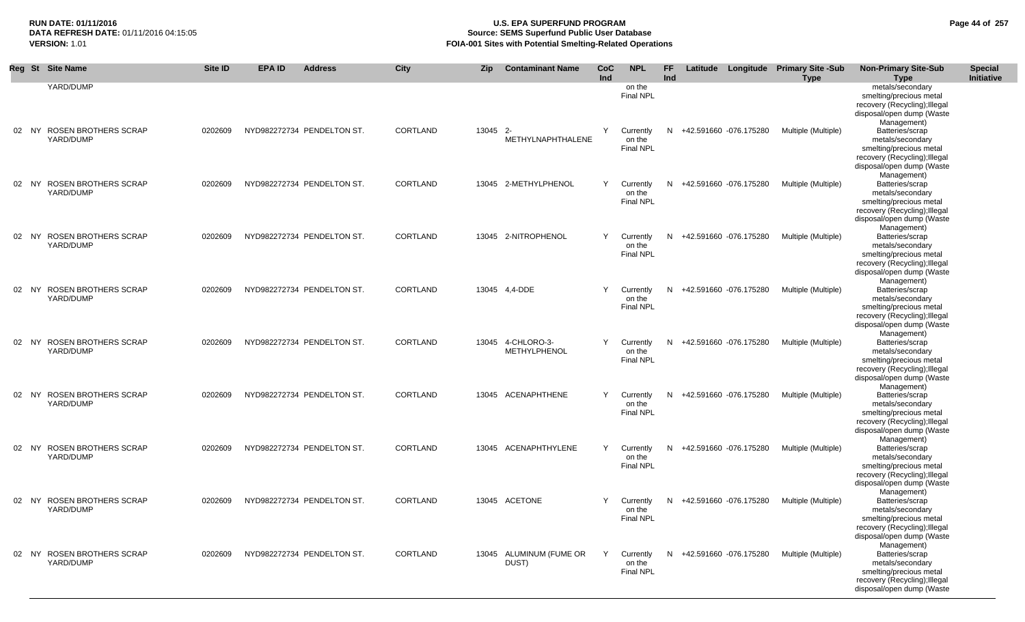## **RUN DATE: 01/11/2016 U.S. EPA SUPERFUND PROGRAM Page 44 of 257 Source: SEMS Superfund Public User Database VERSION:** 1.01 **FOIA-001 Sites with Potential Smelting-Related Operations**

| Reg St Site Name                        | Site ID | <b>EPA ID</b> | <b>Address</b>             | City            | <b>Zip</b> | <b>Contaminant Name</b>                   | CoC<br>Ind | <b>NPL</b>                              | FF.<br>Ind |                          | Latitude Longitude Primary Site -Sub<br><b>Type</b> | <b>Non-Primary Site-Sub</b><br><b>Type</b>                                                                                                                 | <b>Special</b><br>Initiative |
|-----------------------------------------|---------|---------------|----------------------------|-----------------|------------|-------------------------------------------|------------|-----------------------------------------|------------|--------------------------|-----------------------------------------------------|------------------------------------------------------------------------------------------------------------------------------------------------------------|------------------------------|
| YARD/DUMP                               |         |               |                            |                 |            |                                           |            | on the<br><b>Final NPL</b>              |            |                          |                                                     | metals/secondary<br>smelting/precious metal<br>recovery (Recycling); Illegal<br>disposal/open dump (Waste<br>Management)                                   |                              |
| 02 NY ROSEN BROTHERS SCRAP<br>YARD/DUMP | 0202609 |               | NYD982272734 PENDELTON ST. | CORTLAND        | 13045 2-   | METHYLNAPHTHALENE                         | Y          | Currently<br>on the<br><b>Final NPL</b> |            | N +42.591660 -076.175280 | Multiple (Multiple)                                 | Batteries/scrap<br>metals/secondary<br>smelting/precious metal<br>recovery (Recycling); Illegal<br>disposal/open dump (Waste<br>Management)                |                              |
| 02 NY ROSEN BROTHERS SCRAP<br>YARD/DUMP | 0202609 |               | NYD982272734 PENDELTON ST. | CORTLAND        |            | 13045 2-METHYLPHENOL                      | Y          | Currently<br>on the<br>Final NPL        | N          | +42.591660 -076.175280   | Multiple (Multiple)                                 | Batteries/scrap<br>metals/secondary<br>smelting/precious metal<br>recovery (Recycling); Illegal<br>disposal/open dump (Waste<br>Management)                |                              |
| 02 NY ROSEN BROTHERS SCRAP<br>YARD/DUMP | 0202609 |               | NYD982272734 PENDELTON ST. | CORTLAND        |            | 13045 2-NITROPHENOL                       | Y          | Currently<br>on the<br>Final NPL        | N          | +42.591660 -076.175280   | Multiple (Multiple)                                 | Batteries/scrap<br>metals/secondary<br>smelting/precious metal<br>recovery (Recycling); Illegal<br>disposal/open dump (Waste<br>Management)                |                              |
| 02 NY ROSEN BROTHERS SCRAP<br>YARD/DUMP | 0202609 |               | NYD982272734 PENDELTON ST. | CORTLAND        |            | 13045  4.4-DDE                            | Y          | Currently<br>on the<br>Final NPL        | N          | +42.591660 -076.175280   | Multiple (Multiple)                                 | Batteries/scrap<br>metals/secondary<br>smelting/precious metal<br>recovery (Recycling); Illegal<br>disposal/open dump (Waste<br>Management)                |                              |
| 02 NY ROSEN BROTHERS SCRAP<br>YARD/DUMP | 0202609 |               | NYD982272734 PENDELTON ST. | <b>CORTLAND</b> |            | 13045  4-CHLORO-3-<br><b>METHYLPHENOL</b> | Y          | Currently<br>on the<br><b>Final NPL</b> |            | N +42.591660 -076.175280 | Multiple (Multiple)                                 | Batteries/scrap<br>metals/secondary<br>smelting/precious metal<br>recovery (Recycling); Illegal<br>disposal/open dump (Waste<br>Management)                |                              |
| 02 NY ROSEN BROTHERS SCRAP<br>YARD/DUMP | 0202609 |               | NYD982272734 PENDELTON ST. | CORTLAND        |            | 13045 ACENAPHTHENE                        | Y          | Currently<br>on the<br>Final NPL        | N          | +42.591660 -076.175280   | Multiple (Multiple)                                 | Batteries/scrap<br>metals/secondary<br>smelting/precious metal<br>recovery (Recycling); Illegal<br>disposal/open dump (Waste                               |                              |
| 02 NY ROSEN BROTHERS SCRAP<br>YARD/DUMP | 0202609 |               | NYD982272734 PENDELTON ST. | CORTLAND        |            | 13045 ACENAPHTHYLENE                      | Y          | Currently<br>on the<br><b>Final NPL</b> |            | N +42.591660 -076.175280 | Multiple (Multiple)                                 | Management)<br>Batteries/scrap<br>metals/secondary<br>smelting/precious metal<br>recovery (Recycling); Illegal<br>disposal/open dump (Waste<br>Management) |                              |
| 02 NY ROSEN BROTHERS SCRAP<br>YARD/DUMP | 0202609 |               | NYD982272734 PENDELTON ST. | CORTLAND        |            | 13045 ACETONE                             | Y          | Currently<br>on the<br><b>Final NPL</b> | N.         | +42.591660 -076.175280   | Multiple (Multiple)                                 | Batteries/scrap<br>metals/secondary<br>smelting/precious metal<br>recovery (Recycling); Illegal<br>disposal/open dump (Waste<br>Management)                |                              |
| 02 NY ROSEN BROTHERS SCRAP<br>YARD/DUMP | 0202609 |               | NYD982272734 PENDELTON ST. | CORTLAND        |            | 13045 ALUMINUM (FUME OR<br>DUST)          | Y          | Currently<br>on the<br><b>Final NPL</b> |            | N +42.591660 -076.175280 | Multiple (Multiple)                                 | Batteries/scrap<br>metals/secondary<br>smelting/precious metal<br>recovery (Recycling); Illegal<br>disposal/open dump (Waste                               |                              |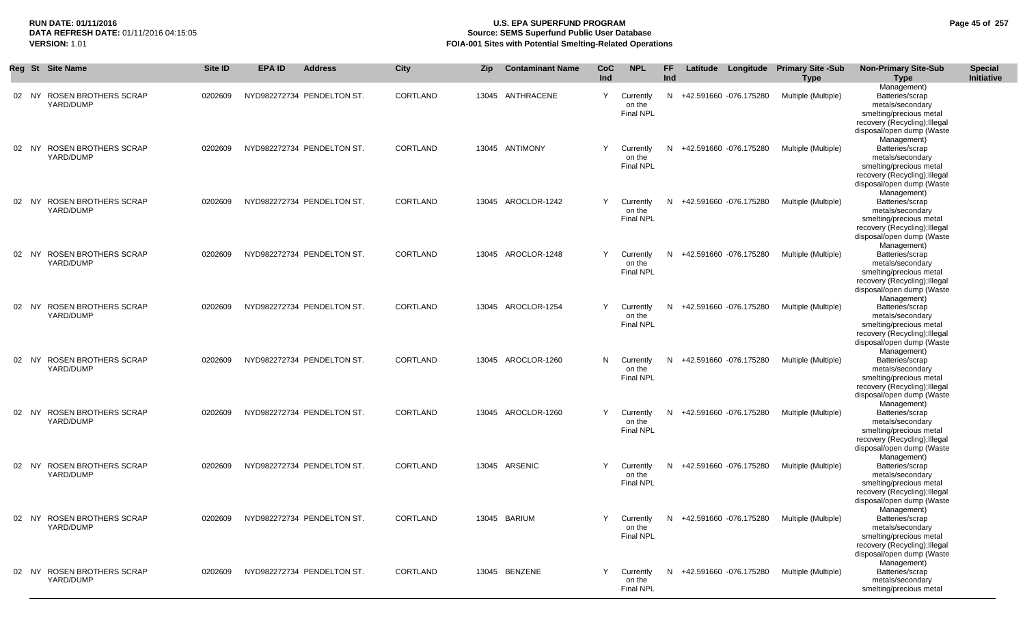## **RUN DATE: 01/11/2016 U.S. EPA SUPERFUND PROGRAM Page 45 of 257 Source: SEMS Superfund Public User Database VERSION:** 1.01 **FOIA-001 Sites with Potential Smelting-Related Operations**

|       | Reg St Site Name                         | <b>Site ID</b> | <b>EPA ID</b> | <b>Address</b>             | <b>City</b> | <b>Zip</b> | <b>Contaminant Name</b> | CoC<br><b>Ind</b> | <b>NPL</b>                              | FF.<br><b>Ind</b> |                          | Latitude Longitude Primary Site -Sub<br><b>Type</b>    | <b>Non-Primary Site-Sub</b><br>Type                                                                                                                        | <b>Special</b><br>Initiative |
|-------|------------------------------------------|----------------|---------------|----------------------------|-------------|------------|-------------------------|-------------------|-----------------------------------------|-------------------|--------------------------|--------------------------------------------------------|------------------------------------------------------------------------------------------------------------------------------------------------------------|------------------------------|
| 02 NY | <b>ROSEN BROTHERS SCRAP</b><br>YARD/DUMP | 0202609        |               | NYD982272734 PENDELTON ST. | CORTLAND    |            | 13045 ANTHRACENE        | Y                 | Currently<br>on the<br><b>Final NPL</b> |                   | N +42.591660 -076.175280 | Multiple (Multiple)                                    | Management)<br>Batteries/scrap<br>metals/secondary<br>smelting/precious metal<br>recovery (Recycling); Illegal<br>disposal/open dump (Waste                |                              |
|       | 02 NY ROSEN BROTHERS SCRAP<br>YARD/DUMP  | 0202609        |               | NYD982272734 PENDELTON ST. | CORTLAND    |            | 13045 ANTIMONY          | Y                 | Currently<br>on the<br><b>Final NPL</b> |                   | N +42.591660 -076.175280 | Multiple (Multiple)                                    | Management)<br>Batteries/scrap<br>metals/secondary<br>smelting/precious metal<br>recovery (Recycling); Illegal<br>disposal/open dump (Waste                |                              |
| 02 NY | <b>ROSEN BROTHERS SCRAP</b><br>YARD/DUMP | 0202609        |               | NYD982272734 PENDELTON ST. | CORTLAND    |            | 13045 AROCLOR-1242      | Y                 | Currently<br>on the<br><b>Final NPL</b> | N.                | +42.591660 -076.175280   | Multiple (Multiple)                                    | Management)<br>Batteries/scrap<br>metals/secondary<br>smelting/precious metal<br>recovery (Recycling); Illegal<br>disposal/open dump (Waste<br>Management) |                              |
| 02 NY | <b>ROSEN BROTHERS SCRAP</b><br>YARD/DUMP | 0202609        |               | NYD982272734 PENDELTON ST. | CORTLAND    |            | 13045 AROCLOR-1248      | Y                 | Currently<br>on the<br><b>Final NPL</b> |                   | N +42.591660 -076.175280 | Multiple (Multiple)                                    | Batteries/scrap<br>metals/secondary<br>smelting/precious metal<br>recovery (Recycling); Illegal<br>disposal/open dump (Waste<br>Management)                |                              |
| 02 NY | ROSEN BROTHERS SCRAP<br>YARD/DUMP        | 0202609        |               | NYD982272734 PENDELTON ST. | CORTLAND    |            | 13045 AROCLOR-1254      | Y                 | Currently<br>on the<br><b>Final NPL</b> |                   | N +42.591660 -076.175280 | Multiple (Multiple)                                    | Batteries/scrap<br>metals/secondary<br>smelting/precious metal<br>recovery (Recycling); Illegal<br>disposal/open dump (Waste<br>Management)                |                              |
| 02 NY | ROSEN BROTHERS SCRAP<br>YARD/DUMP        | 0202609        |               | NYD982272734 PENDELTON ST. | CORTLAND    |            | 13045 AROCLOR-1260      | N                 | Currently<br>on the<br><b>Final NPL</b> | N.                | +42.591660 -076.175280   | Multiple (Multiple)                                    | Batteries/scrap<br>metals/secondary<br>smelting/precious metal<br>recovery (Recycling); Illegal<br>disposal/open dump (Waste<br>Management)                |                              |
|       | 02 NY ROSEN BROTHERS SCRAP<br>YARD/DUMP  | 0202609        |               | NYD982272734 PENDELTON ST. | CORTLAND    |            | 13045 AROCLOR-1260      | Y                 | Currently<br>on the<br><b>Final NPL</b> |                   | N +42.591660 -076.175280 | Multiple (Multiple)                                    | Batteries/scrap<br>metals/secondary<br>smelting/precious metal<br>recovery (Recycling); Illegal<br>disposal/open dump (Waste<br>Management)                |                              |
|       | 02 NY ROSEN BROTHERS SCRAP<br>YARD/DUMP  | 0202609        |               | NYD982272734 PENDELTON ST. | CORTLAND    |            | 13045 ARSENIC           | Y                 | Currently<br>on the<br><b>Final NPL</b> |                   | N +42.591660 -076.175280 | Multiple (Multiple)                                    | Batteries/scrap<br>metals/secondary<br>smelting/precious metal<br>recovery (Recycling); Illegal<br>disposal/open dump (Waste<br>Management)                |                              |
|       | 02 NY ROSEN BROTHERS SCRAP<br>YARD/DUMP  | 0202609        |               | NYD982272734 PENDELTON ST. | CORTLAND    |            | 13045 BARIUM            | Y                 | on the<br><b>Final NPL</b>              |                   |                          | Currently N +42.591660 -076.175280 Multiple (Multiple) | Batteries/scrap<br>metals/secondary<br>smelting/precious metal<br>recovery (Recycling); Illegal<br>disposal/open dump (Waste<br>Management)                |                              |
|       | 02 NY ROSEN BROTHERS SCRAP<br>YARD/DUMP  | 0202609        |               | NYD982272734 PENDELTON ST. | CORTLAND    |            | 13045 BENZENE           | Y                 | Currently<br>on the<br><b>Final NPL</b> |                   | N +42.591660 -076.175280 | Multiple (Multiple)                                    | Batteries/scrap<br>metals/secondary<br>smelting/precious metal                                                                                             |                              |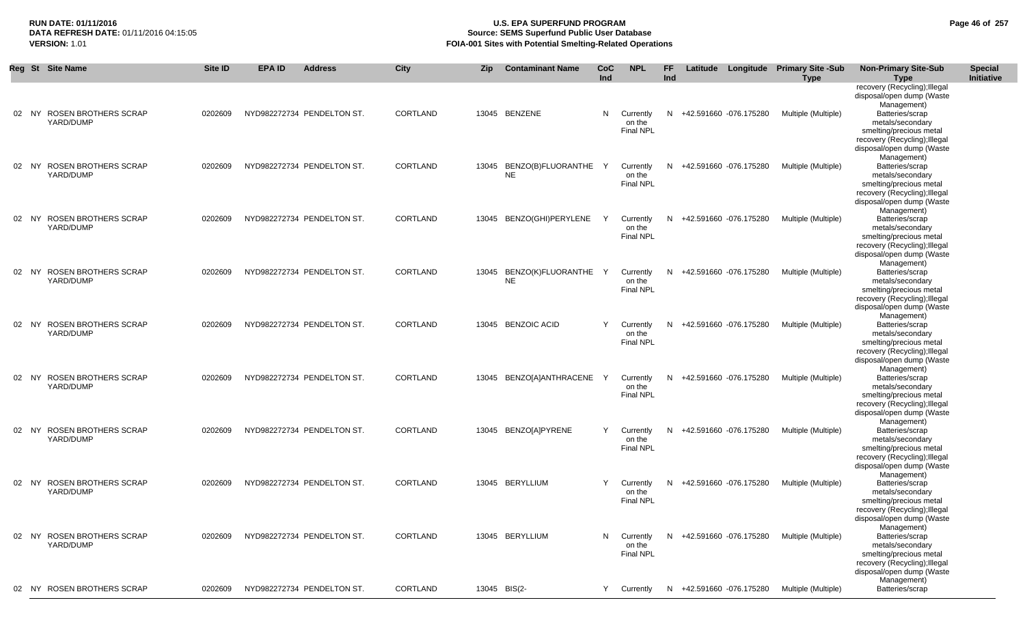## **RUN DATE: 01/11/2016 U.S. EPA SUPERFUND PROGRAM Page 46 of 257 Source: SEMS Superfund Public User Database VERSION:** 1.01 **FOIA-001 Sites with Potential Smelting-Related Operations**

|    | Reg St Site Name                                  | Site ID | <b>EPA ID</b> | <b>Address</b>             | City            | <b>Zip</b> | <b>Contaminant Name</b>               | CoC<br><b>Ind</b> | <b>NPL</b>                              | <b>FF</b><br>Ind |                          | Latitude Longitude Primary Site -Sub<br><b>Type</b> | <b>Non-Primary Site-Sub</b><br><b>Type</b>                                                                                                                 | <b>Special</b><br><b>Initiative</b> |
|----|---------------------------------------------------|---------|---------------|----------------------------|-----------------|------------|---------------------------------------|-------------------|-----------------------------------------|------------------|--------------------------|-----------------------------------------------------|------------------------------------------------------------------------------------------------------------------------------------------------------------|-------------------------------------|
|    |                                                   |         |               |                            |                 |            |                                       |                   |                                         |                  |                          |                                                     | recovery (Recycling); Illegal<br>disposal/open dump (Waste<br>Management)                                                                                  |                                     |
|    | 02 NY ROSEN BROTHERS SCRAP<br>YARD/DUMP           | 0202609 |               | NYD982272734 PENDELTON ST. | CORTLAND        |            | 13045 BENZENE                         | N                 | Currently<br>on the<br><b>Final NPL</b> |                  | N +42.591660 -076.175280 | Multiple (Multiple)                                 | Batteries/scrap<br>metals/secondary<br>smelting/precious metal<br>recovery (Recycling); Illegal<br>disposal/open dump (Waste                               |                                     |
| 02 | <b>ROSEN BROTHERS SCRAP</b><br>NY.<br>YARD/DUMP   | 0202609 |               | NYD982272734 PENDELTON ST. | CORTLAND        | 13045      | BENZO(B)FLUORANTHE Y<br><b>NE</b>     |                   | Currently<br>on the<br>Final NPL        |                  | N +42.591660 -076.175280 | Multiple (Multiple)                                 | Management)<br>Batteries/scrap<br>metals/secondary<br>smelting/precious metal<br>recovery (Recycling); Illegal<br>disposal/open dump (Waste                |                                     |
|    | 02 NY ROSEN BROTHERS SCRAP<br>YARD/DUMP           | 0202609 |               | NYD982272734 PENDELTON ST. | CORTLAND        |            | 13045 BENZO(GHI)PERYLENE              | Y                 | Currently<br>on the<br><b>Final NPL</b> |                  | N +42.591660 -076.175280 | Multiple (Multiple)                                 | Management)<br>Batteries/scrap<br>metals/secondary<br>smelting/precious metal<br>recovery (Recycling); Illegal<br>disposal/open dump (Waste                |                                     |
|    | 02 NY ROSEN BROTHERS SCRAP<br>YARD/DUMP           | 0202609 |               | NYD982272734 PENDELTON ST. | CORTLAND        |            | 13045 BENZO(K)FLUORANTHE<br><b>NE</b> | Y                 | Currently<br>on the<br><b>Final NPL</b> |                  | N +42.591660 -076.175280 | Multiple (Multiple)                                 | Management)<br>Batteries/scrap<br>metals/secondary<br>smelting/precious metal<br>recovery (Recycling); Illegal<br>disposal/open dump (Waste                |                                     |
| 02 | NY ROSEN BROTHERS SCRAP<br>YARD/DUMP              | 0202609 |               | NYD982272734 PENDELTON ST. | <b>CORTLAND</b> |            | 13045 BENZOIC ACID                    | Y                 | Currently<br>on the<br><b>Final NPL</b> |                  | N +42.591660 -076.175280 | Multiple (Multiple)                                 | Management)<br>Batteries/scrap<br>metals/secondary<br>smelting/precious metal<br>recovery (Recycling); Illegal<br>disposal/open dump (Waste<br>Management) |                                     |
|    | 02 NY ROSEN BROTHERS SCRAP<br>YARD/DUMP           | 0202609 |               | NYD982272734 PENDELTON ST. | CORTLAND        | 13045      | BENZO[A]ANTHRACENE                    | Y                 | Currently<br>on the<br>Final NPL        |                  | N +42.591660 -076.175280 | Multiple (Multiple)                                 | Batteries/scrap<br>metals/secondary<br>smelting/precious metal<br>recovery (Recycling); Illegal<br>disposal/open dump (Waste<br>Management)                |                                     |
|    | 02 NY ROSEN BROTHERS SCRAP<br>YARD/DUMP           | 0202609 |               | NYD982272734 PENDELTON ST. | CORTLAND        |            | 13045 BENZO[A]PYRENE                  | Y                 | Currently<br>on the<br><b>Final NPL</b> |                  | N +42.591660 -076.175280 | Multiple (Multiple)                                 | Batteries/scrap<br>metals/secondary<br>smelting/precious metal<br>recovery (Recycling); Illegal<br>disposal/open dump (Waste<br>Management)                |                                     |
|    | 02 NY ROSEN BROTHERS SCRAP<br>YARD/DUMP           | 0202609 |               | NYD982272734 PENDELTON ST. | CORTLAND        |            | 13045 BERYLLIUM                       | Y                 | Currently<br>on the<br><b>Final NPL</b> |                  | N +42.591660 -076.175280 | Multiple (Multiple)                                 | Batteries/scrap<br>metals/secondary<br>smelting/precious metal<br>recovery (Recycling); Illegal<br>disposal/open dump (Waste<br>Management)                |                                     |
|    | <b>ROSEN BROTHERS SCRAP</b><br>02 NY<br>YARD/DUMP | 0202609 |               | NYD982272734 PENDELTON ST. | CORTLAND        |            | 13045 BERYLLIUM                       | N                 | Currently<br>on the<br><b>Final NPL</b> |                  | N +42.591660 -076.175280 | Multiple (Multiple)                                 | Batteries/scrap<br>metals/secondary<br>smelting/precious metal<br>recovery (Recycling); Illegal<br>disposal/open dump (Waste<br>Management)                |                                     |
|    | 02 NY ROSEN BROTHERS SCRAP                        | 0202609 |               | NYD982272734 PENDELTON ST. | CORTLAND        |            | 13045 BIS(2-                          | Y                 | Currently                               |                  | N +42.591660 -076.175280 | Multiple (Multiple)                                 | Batteries/scrap                                                                                                                                            |                                     |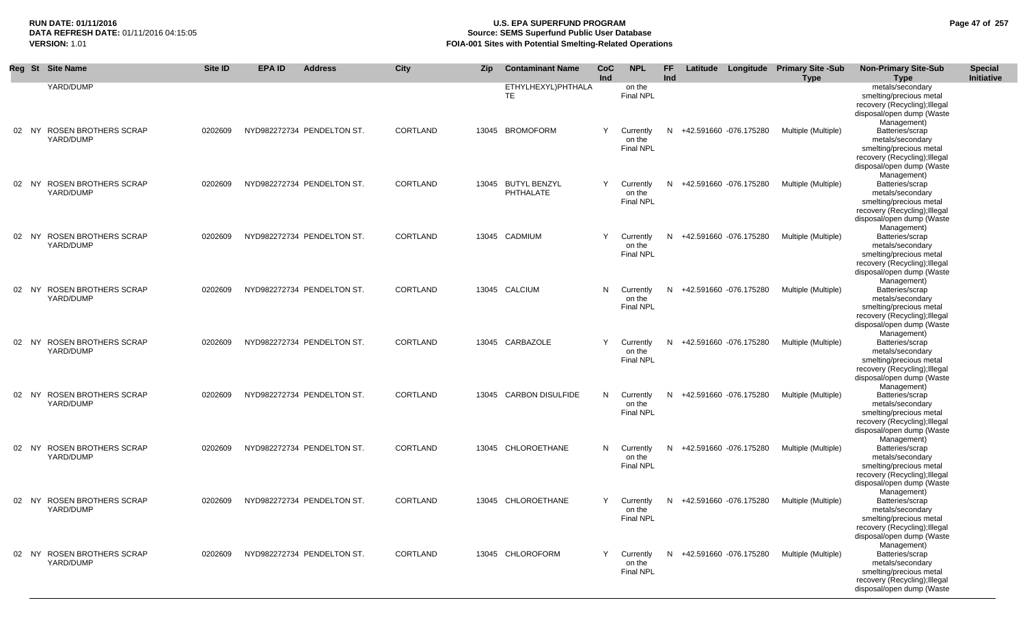## **RUN DATE: 01/11/2016 U.S. EPA SUPERFUND PROGRAM Page 47 of 257 Source: SEMS Superfund Public User Database VERSION:** 1.01 **FOIA-001 Sites with Potential Smelting-Related Operations**

|       | Reg St Site Name                         | Site ID | <b>EPA ID</b> | <b>Address</b>             | City            | <b>Zip</b> | <b>Contaminant Name</b>         | <b>CoC</b><br>Ind | <b>NPL</b>                              | <b>FF</b><br>Ind |                          | Latitude Longitude Primary Site -Sub<br><b>Type</b> | <b>Non-Primary Site-Sub</b><br><b>Type</b>                                                                                                                 | <b>Special</b><br><b>Initiative</b> |
|-------|------------------------------------------|---------|---------------|----------------------------|-----------------|------------|---------------------------------|-------------------|-----------------------------------------|------------------|--------------------------|-----------------------------------------------------|------------------------------------------------------------------------------------------------------------------------------------------------------------|-------------------------------------|
|       | YARD/DUMP                                |         |               |                            |                 |            | ETHYLHEXYL)PHTHALA<br><b>TE</b> |                   | on the<br><b>Final NPL</b>              |                  |                          |                                                     | metals/secondary<br>smelting/precious metal<br>recovery (Recycling); Illegal<br>disposal/open dump (Waste<br>Management)                                   |                                     |
|       | 02 NY ROSEN BROTHERS SCRAP<br>YARD/DUMP  | 0202609 |               | NYD982272734 PENDELTON ST. | CORTLAND        |            | 13045 BROMOFORM                 | Y                 | Currently<br>on the<br><b>Final NPL</b> |                  | N +42.591660 -076.175280 | Multiple (Multiple)                                 | Batteries/scrap<br>metals/secondary<br>smelting/precious metal<br>recovery (Recycling); Illegal<br>disposal/open dump (Waste                               |                                     |
|       | 02 NY ROSEN BROTHERS SCRAP<br>YARD/DUMP  | 0202609 |               | NYD982272734 PENDELTON ST. | CORTLAND        |            | 13045 BUTYL BENZYL<br>PHTHALATE | Y                 | Currently<br>on the<br>Final NPL        |                  | N +42.591660 -076.175280 | Multiple (Multiple)                                 | Management)<br>Batteries/scrap<br>metals/secondary<br>smelting/precious metal<br>recovery (Recycling); Illegal<br>disposal/open dump (Waste<br>Management) |                                     |
| 02 NY | <b>ROSEN BROTHERS SCRAP</b><br>YARD/DUMP | 0202609 |               | NYD982272734 PENDELTON ST. | CORTLAND        |            | 13045 CADMIUM                   | Y                 | Currently<br>on the<br><b>Final NPL</b> |                  | N +42.591660 -076.175280 | Multiple (Multiple)                                 | Batteries/scrap<br>metals/secondary<br>smelting/precious metal<br>recovery (Recycling); Illegal<br>disposal/open dump (Waste<br>Management)                |                                     |
|       | 02 NY ROSEN BROTHERS SCRAP<br>YARD/DUMP  | 0202609 |               | NYD982272734 PENDELTON ST. | CORTLAND        |            | 13045 CALCIUM                   | N                 | Currently<br>on the<br><b>Final NPL</b> |                  | N +42.591660 -076.175280 | Multiple (Multiple)                                 | Batteries/scrap<br>metals/secondary<br>smelting/precious metal<br>recovery (Recycling); Illegal<br>disposal/open dump (Waste<br>Management)                |                                     |
|       | 02 NY ROSEN BROTHERS SCRAP<br>YARD/DUMP  | 0202609 |               | NYD982272734 PENDELTON ST. | CORTLAND        |            | 13045 CARBAZOLE                 | Y                 | Currently<br>on the<br><b>Final NPL</b> |                  | N +42.591660 -076.175280 | Multiple (Multiple)                                 | Batteries/scrap<br>metals/secondary<br>smelting/precious metal<br>recovery (Recycling); Illegal<br>disposal/open dump (Waste<br>Management)                |                                     |
|       | 02 NY ROSEN BROTHERS SCRAP<br>YARD/DUMP  | 0202609 |               | NYD982272734 PENDELTON ST. | CORTLAND        |            | 13045 CARBON DISULFIDE          | N                 | Currently<br>on the<br><b>Final NPL</b> |                  | N +42.591660 -076.175280 | Multiple (Multiple)                                 | Batteries/scrap<br>metals/secondary<br>smelting/precious metal<br>recovery (Recycling); Illegal<br>disposal/open dump (Waste<br>Management)                |                                     |
|       | 02 NY ROSEN BROTHERS SCRAP<br>YARD/DUMP  | 0202609 |               | NYD982272734 PENDELTON ST. | <b>CORTLAND</b> |            | 13045 CHLOROETHANE              | N                 | Currently<br>on the<br>Final NPL        |                  | N +42.591660 -076.175280 | Multiple (Multiple)                                 | Batteries/scrap<br>metals/secondary<br>smelting/precious metal<br>recovery (Recycling); Illegal<br>disposal/open dump (Waste<br>Management)                |                                     |
| 02 NY | <b>ROSEN BROTHERS SCRAP</b><br>YARD/DUMP | 0202609 |               | NYD982272734 PENDELTON ST. | CORTLAND        |            | 13045 CHLOROETHANE              | Y                 | Currently<br>on the<br><b>Final NPL</b> |                  | N +42.591660 -076.175280 | Multiple (Multiple)                                 | Batteries/scrap<br>metals/secondary<br>smelting/precious metal<br>recovery (Recycling); Illegal<br>disposal/open dump (Waste<br>Management)                |                                     |
|       | 02 NY ROSEN BROTHERS SCRAP<br>YARD/DUMP  | 0202609 |               | NYD982272734 PENDELTON ST. | CORTLAND        |            | 13045 CHLOROFORM                | Y                 | Currently<br>on the<br>Final NPL        |                  | N +42.591660 -076.175280 | Multiple (Multiple)                                 | Batteries/scrap<br>metals/secondary<br>smelting/precious metal<br>recovery (Recycling); Illegal<br>disposal/open dump (Waste                               |                                     |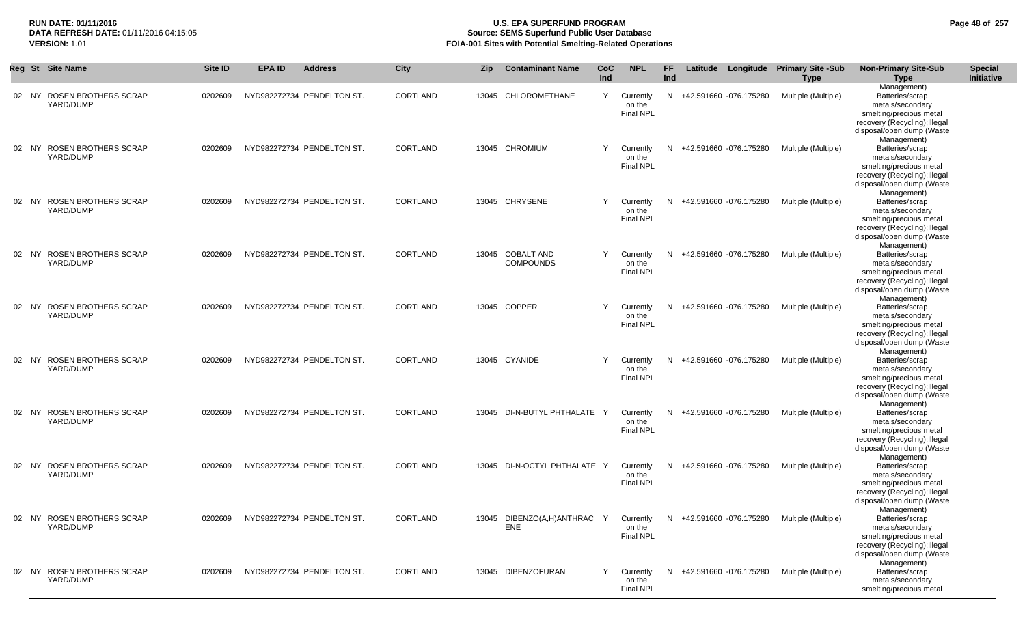## **RUN DATE: 01/11/2016 U.S. EPA SUPERFUND PROGRAM Page 48 of 257 Source: SEMS Superfund Public User Database VERSION:** 1.01 **FOIA-001 Sites with Potential Smelting-Related Operations**

|       | Reg St Site Name                         | <b>Site ID</b> | <b>EPA ID</b> | <b>Address</b>             | <b>City</b> | <b>Zip</b> | <b>Contaminant Name</b>                                                                          | <b>CoC</b><br><b>Ind</b> | <b>NPL</b>                              | FF.<br><b>Ind</b> |                          | Latitude Longitude Primary Site -Sub<br><b>Type</b> | <b>Non-Primary Site-Sub</b><br>Type                                                                                                         | <b>Special</b><br>Initiative |
|-------|------------------------------------------|----------------|---------------|----------------------------|-------------|------------|--------------------------------------------------------------------------------------------------|--------------------------|-----------------------------------------|-------------------|--------------------------|-----------------------------------------------------|---------------------------------------------------------------------------------------------------------------------------------------------|------------------------------|
| 02 NY | <b>ROSEN BROTHERS SCRAP</b><br>YARD/DUMP | 0202609        |               | NYD982272734 PENDELTON ST. | CORTLAND    | 13045      | CHLOROMETHANE                                                                                    | Y                        | Currently<br>on the<br><b>Final NPL</b> |                   | N +42.591660 -076.175280 | Multiple (Multiple)                                 | Management)<br>Batteries/scrap<br>metals/secondary<br>smelting/precious metal<br>recovery (Recycling); Illegal<br>disposal/open dump (Waste |                              |
|       | 02 NY ROSEN BROTHERS SCRAP<br>YARD/DUMP  | 0202609        |               | NYD982272734 PENDELTON ST. | CORTLAND    |            | 13045 CHROMIUM                                                                                   | Y                        | Currently<br>on the<br><b>Final NPL</b> |                   | N +42.591660 -076.175280 | Multiple (Multiple)                                 | Management)<br>Batteries/scrap<br>metals/secondary<br>smelting/precious metal<br>recovery (Recycling); Illegal<br>disposal/open dump (Waste |                              |
| 02 NY | <b>ROSEN BROTHERS SCRAP</b><br>YARD/DUMP | 0202609        |               | NYD982272734 PENDELTON ST. | CORTLAND    |            | 13045 CHRYSENE                                                                                   | Y                        | Currently<br>on the<br><b>Final NPL</b> | N.                | +42.591660 -076.175280   | Multiple (Multiple)                                 | Management)<br>Batteries/scrap<br>metals/secondary<br>smelting/precious metal<br>recovery (Recycling); Illegal<br>disposal/open dump (Waste |                              |
| 02 NY | <b>ROSEN BROTHERS SCRAP</b><br>YARD/DUMP | 0202609        |               | NYD982272734 PENDELTON ST. | CORTLAND    |            | 13045 COBALT AND<br><b>COMPOUNDS</b>                                                             | Y                        | Currently<br>on the<br><b>Final NPL</b> |                   | N +42.591660 -076.175280 | Multiple (Multiple)                                 | Management)<br>Batteries/scrap<br>metals/secondary<br>smelting/precious metal<br>recovery (Recycling); Illegal<br>disposal/open dump (Waste |                              |
| 02 NY | ROSEN BROTHERS SCRAP<br>YARD/DUMP        | 0202609        |               | NYD982272734 PENDELTON ST. | CORTLAND    |            | 13045 COPPER                                                                                     | Y                        | Currently<br>on the<br><b>Final NPL</b> |                   | N +42.591660 -076.175280 | Multiple (Multiple)                                 | Management)<br>Batteries/scrap<br>metals/secondary<br>smelting/precious metal<br>recovery (Recycling); Illegal<br>disposal/open dump (Waste |                              |
| 02 NY | ROSEN BROTHERS SCRAP<br>YARD/DUMP        | 0202609        |               | NYD982272734 PENDELTON ST. | CORTLAND    |            | 13045 CYANIDE                                                                                    | Y                        | Currently<br>on the<br><b>Final NPL</b> | N.                | +42.591660 -076.175280   | Multiple (Multiple)                                 | Management)<br>Batteries/scrap<br>metals/secondary<br>smelting/precious metal<br>recovery (Recycling); Illegal<br>disposal/open dump (Waste |                              |
|       | 02 NY ROSEN BROTHERS SCRAP<br>YARD/DUMP  | 0202609        |               | NYD982272734 PENDELTON ST. | CORTLAND    |            | 13045 DI-N-BUTYL PHTHALATE                                                                       | - Y                      | Currently<br>on the<br><b>Final NPL</b> |                   | N +42.591660 -076.175280 | Multiple (Multiple)                                 | Management)<br>Batteries/scrap<br>metals/secondary<br>smelting/precious metal<br>recovery (Recycling); Illegal<br>disposal/open dump (Waste |                              |
|       | 02 NY ROSEN BROTHERS SCRAP<br>YARD/DUMP  | 0202609        |               | NYD982272734 PENDELTON ST. | CORTLAND    |            | 13045 DI-N-OCTYL PHTHALATE Y                                                                     |                          | Currently<br>on the<br><b>Final NPL</b> |                   | N +42.591660 -076.175280 | Multiple (Multiple)                                 | Management)<br>Batteries/scrap<br>metals/secondary<br>smelting/precious metal<br>recovery (Recycling); Illegal<br>disposal/open dump (Waste |                              |
|       | 02 NY ROSEN BROTHERS SCRAP<br>YARD/DUMP  | 0202609        |               | NYD982272734 PENDELTON ST. | CORTLAND    |            | 13045 DIBENZO(A,H)ANTHRAC Y Currently N +42.591660 -076.175280 Multiple (Multiple)<br><b>ENE</b> |                          | on the<br><b>Final NPL</b>              |                   |                          |                                                     | Management)<br>Batteries/scrap<br>metals/secondary<br>smelting/precious metal<br>recovery (Recycling); Illegal<br>disposal/open dump (Waste |                              |
|       | 02 NY ROSEN BROTHERS SCRAP<br>YARD/DUMP  | 0202609        |               | NYD982272734 PENDELTON ST. | CORTLAND    |            | 13045 DIBENZOFURAN                                                                               | Y                        | Currently<br>on the<br><b>Final NPL</b> |                   | N +42.591660 -076.175280 | Multiple (Multiple)                                 | Management)<br>Batteries/scrap<br>metals/secondary<br>smelting/precious metal                                                               |                              |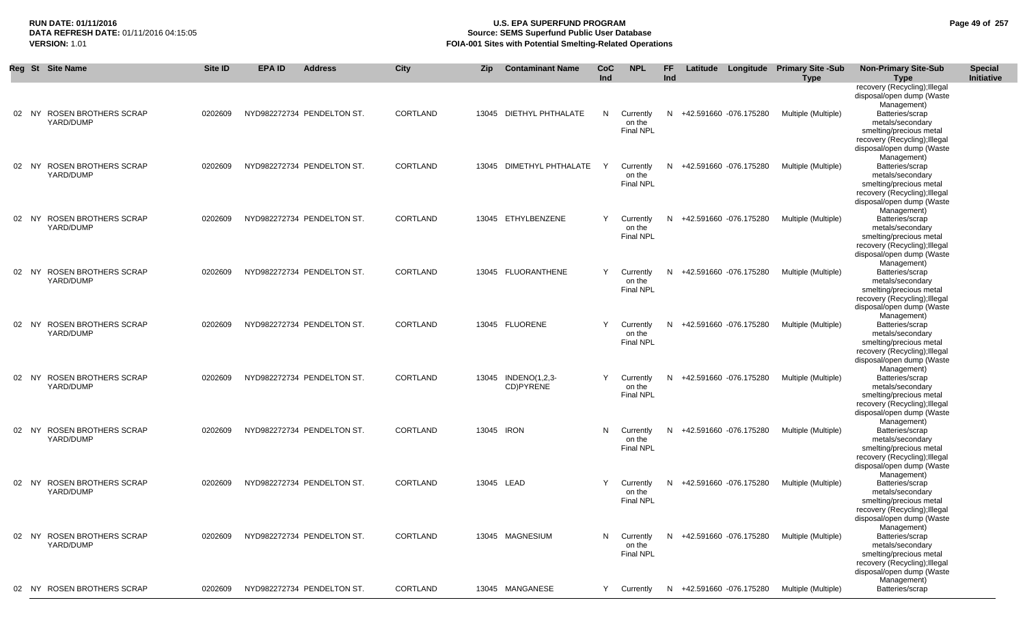## **RUN DATE: 01/11/2016 U.S. EPA SUPERFUND PROGRAM Page 49 of 257 Source: SEMS Superfund Public User Database VERSION:** 1.01 **FOIA-001 Sites with Potential Smelting-Related Operations**

|       | Reg St Site Name                         | Site ID | <b>EPA ID</b> | <b>Address</b>             | City            | <b>Zip</b> | <b>Contaminant Name</b>          | <b>CoC</b><br>Ind | <b>NPL</b>                                | FF.<br>Ind |                          | Latitude Longitude Primary Site -Sub<br><b>Type</b> | <b>Non-Primary Site-Sub</b><br><b>Type</b>                                                                                                                                   | <b>Special</b><br>Initiative |
|-------|------------------------------------------|---------|---------------|----------------------------|-----------------|------------|----------------------------------|-------------------|-------------------------------------------|------------|--------------------------|-----------------------------------------------------|------------------------------------------------------------------------------------------------------------------------------------------------------------------------------|------------------------------|
|       | 02 NY ROSEN BROTHERS SCRAP<br>YARD/DUMP  | 0202609 |               | NYD982272734 PENDELTON ST. | CORTLAND        |            | 13045 DIETHYL PHTHALATE          | N.                | Currently<br>on the<br><b>Final NPL</b>   |            | N +42.591660 -076.175280 | Multiple (Multiple)                                 | recovery (Recycling); Illegal<br>disposal/open dump (Waste<br>Management)<br>Batteries/scrap<br>metals/secondary<br>smelting/precious metal<br>recovery (Recycling); Illegal |                              |
| 02 NY | <b>ROSEN BROTHERS SCRAP</b><br>YARD/DUMP | 0202609 |               | NYD982272734 PENDELTON ST. | CORTLAND        |            | 13045 DIMETHYL PHTHALATE         | Y                 | Currently<br>on the<br><b>Final NPL</b>   | N          | +42.591660 -076.175280   | Multiple (Multiple)                                 | disposal/open dump (Waste<br>Management)<br>Batteries/scrap<br>metals/secondary<br>smelting/precious metal<br>recovery (Recycling); Illegal                                  |                              |
|       | 02 NY ROSEN BROTHERS SCRAP<br>YARD/DUMP  | 0202609 |               | NYD982272734 PENDELTON ST. | CORTLAND        |            | 13045 ETHYLBENZENE               | Y.                | Currently<br>on the<br><b>Final NPL</b>   |            | N +42.591660 -076.175280 | Multiple (Multiple)                                 | disposal/open dump (Waste<br>Management)<br>Batteries/scrap<br>metals/secondary<br>smelting/precious metal<br>recovery (Recycling); Illegal                                  |                              |
| 02 NY | ROSEN BROTHERS SCRAP<br>YARD/DUMP        | 0202609 |               | NYD982272734 PENDELTON ST. | CORTLAND        |            | 13045 FLUORANTHENE               | Y                 | Currently<br>on the<br><b>Final NPL</b>   | N          | +42.591660 -076.175280   | Multiple (Multiple)                                 | disposal/open dump (Waste<br>Management)<br>Batteries/scrap<br>metals/secondary<br>smelting/precious metal<br>recovery (Recycling); Illegal                                  |                              |
|       | 02 NY ROSEN BROTHERS SCRAP<br>YARD/DUMP  | 0202609 |               | NYD982272734 PENDELTON ST. | <b>CORTLAND</b> |            | 13045 FLUORENE                   | Y                 | Currently<br>on the<br><b>Final NPL</b>   | N.         | +42.591660 -076.175280   | Multiple (Multiple)                                 | disposal/open dump (Waste<br>Management)<br>Batteries/scrap<br>metals/secondary<br>smelting/precious metal<br>recovery (Recycling); Illegal                                  |                              |
|       | 02 NY ROSEN BROTHERS SCRAP<br>YARD/DUMP  | 0202609 |               | NYD982272734 PENDELTON ST. | CORTLAND        |            | 13045 INDENO(1,2,3-<br>CD)PYRENE | Y                 | Currently<br>on the<br><b>Final NPL</b>   | N          | +42.591660 -076.175280   | Multiple (Multiple)                                 | disposal/open dump (Waste<br>Management)<br>Batteries/scrap<br>metals/secondary<br>smelting/precious metal<br>recovery (Recycling); Illegal                                  |                              |
|       | 02 NY ROSEN BROTHERS SCRAP<br>YARD/DUMP  | 0202609 |               | NYD982272734 PENDELTON ST. | CORTLAND        | 13045 IRON |                                  | N.                | Currently<br>on the<br><b>Final NPL</b>   | N          | +42.591660 -076.175280   | Multiple (Multiple)                                 | disposal/open dump (Waste<br>Management)<br>Batteries/scrap<br>metals/secondary<br>smelting/precious metal<br>recovery (Recycling); Illegal                                  |                              |
|       | 02 NY ROSEN BROTHERS SCRAP<br>YARD/DUMP  | 0202609 |               | NYD982272734 PENDELTON ST. | CORTLAND        | 13045 LEAD |                                  | Y                 | Currently<br>on the<br><b>Final NPL</b>   | N.         | +42.591660 -076.175280   | Multiple (Multiple)                                 | disposal/open dump (Waste<br>Management)<br>Batteries/scrap<br>metals/secondary<br>smelting/precious metal<br>recovery (Recycling); Illegal                                  |                              |
|       | 02 NY ROSEN BROTHERS SCRAP<br>YARD/DUMP  | 0202609 |               | NYD982272734 PENDELTON ST. | CORTLAND        |            | 13045 MAGNESIUM                  |                   | N Currently<br>on the<br><b>Final NPL</b> | N          | +42.591660 -076.175280   | Multiple (Multiple)                                 | disposal/open dump (Waste<br>Management)<br>Batteries/scrap<br>metals/secondary<br>smelting/precious metal<br>recovery (Recycling); Illegal                                  |                              |
|       | 02 NY ROSEN BROTHERS SCRAP               | 0202609 |               | NYD982272734 PENDELTON ST. | <b>CORTLAND</b> |            | 13045 MANGANESE                  | Y                 | Currently                                 | N          | +42.591660 -076.175280   | Multiple (Multiple)                                 | disposal/open dump (Waste<br>Management)<br>Batteries/scrap                                                                                                                  |                              |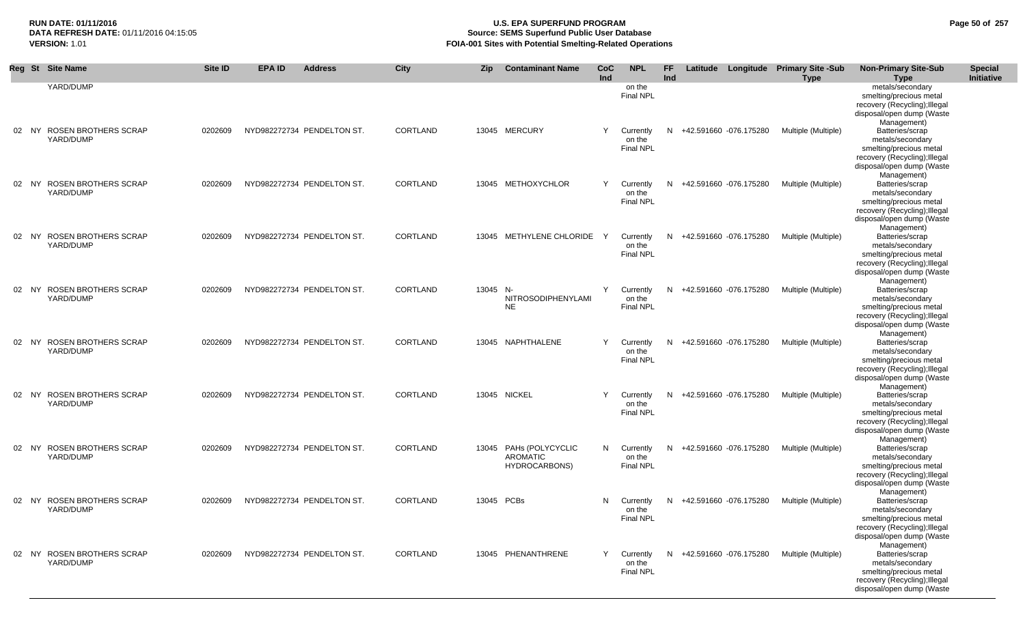## **RUN DATE: 01/11/2016 U.S. EPA SUPERFUND PROGRAM Page 50 of 257 Source: SEMS Superfund Public User Database VERSION:** 1.01 **FOIA-001 Sites with Potential Smelting-Related Operations**

|       | Reg St Site Name                         | <b>Site ID</b> | <b>EPA ID</b> | <b>Address</b>             | City            | <b>Zip</b> | <b>Contaminant Name</b>                                    | <b>CoC</b><br>Ind | <b>NPL</b>                              | <b>FF</b><br>Ind |                          | Latitude Longitude Primary Site -Sub<br><b>Type</b> | <b>Non-Primary Site-Sub</b><br><b>Type</b>                                                                                                                 | <b>Special</b><br>Initiative |
|-------|------------------------------------------|----------------|---------------|----------------------------|-----------------|------------|------------------------------------------------------------|-------------------|-----------------------------------------|------------------|--------------------------|-----------------------------------------------------|------------------------------------------------------------------------------------------------------------------------------------------------------------|------------------------------|
|       | YARD/DUMP                                |                |               |                            |                 |            |                                                            |                   | on the<br><b>Final NPL</b>              |                  |                          |                                                     | metals/secondary<br>smelting/precious metal<br>recovery (Recycling); Illegal<br>disposal/open dump (Waste<br>Management)                                   |                              |
| 02 NY | <b>ROSEN BROTHERS SCRAP</b><br>YARD/DUMP | 0202609        |               | NYD982272734 PENDELTON ST. | CORTLAND        |            | 13045 MERCURY                                              | Y                 | Currently<br>on the<br><b>Final NPL</b> | N                | +42.591660 -076.175280   | Multiple (Multiple)                                 | Batteries/scrap<br>metals/secondary<br>smelting/precious metal<br>recovery (Recycling); Illegal<br>disposal/open dump (Waste                               |                              |
| 02 NY | <b>ROSEN BROTHERS SCRAP</b><br>YARD/DUMP | 0202609        |               | NYD982272734 PENDELTON ST. | CORTLAND        |            | 13045 METHOXYCHLOR                                         | Y                 | Currently<br>on the<br><b>Final NPL</b> | N                | +42.591660 -076.175280   | Multiple (Multiple)                                 | Management)<br>Batteries/scrap<br>metals/secondary<br>smelting/precious metal<br>recovery (Recycling); Illegal<br>disposal/open dump (Waste<br>Management) |                              |
| 02 NY | <b>ROSEN BROTHERS SCRAP</b><br>YARD/DUMP | 0202609        |               | NYD982272734 PENDELTON ST. | CORTLAND        |            | 13045 METHYLENE CHLORIDE                                   | Y                 | Currently<br>on the<br><b>Final NPL</b> | N                | +42.591660 -076.175280   | Multiple (Multiple)                                 | Batteries/scrap<br>metals/secondary<br>smelting/precious metal<br>recovery (Recycling); Illegal<br>disposal/open dump (Waste<br>Management)                |                              |
|       | 02 NY ROSEN BROTHERS SCRAP<br>YARD/DUMP  | 0202609        |               | NYD982272734 PENDELTON ST. | CORTLAND        | 13045 N-   | NITROSODIPHENYLAMI<br><b>NE</b>                            | Y                 | Currently<br>on the<br><b>Final NPL</b> | N                | +42.591660 -076.175280   | Multiple (Multiple)                                 | Batteries/scrap<br>metals/secondary<br>smelting/precious metal<br>recovery (Recycling); Illegal<br>disposal/open dump (Waste<br>Management)                |                              |
|       | 02 NY ROSEN BROTHERS SCRAP<br>YARD/DUMP  | 0202609        |               | NYD982272734 PENDELTON ST. | CORTLAND        |            | 13045 NAPHTHALENE                                          | Y                 | Currently<br>on the<br><b>Final NPL</b> | N                | +42.591660 -076.175280   | Multiple (Multiple)                                 | Batteries/scrap<br>metals/secondary<br>smelting/precious metal<br>recovery (Recycling); Illegal<br>disposal/open dump (Waste<br>Management)                |                              |
| 02 NY | ROSEN BROTHERS SCRAP<br>YARD/DUMP        | 0202609        |               | NYD982272734 PENDELTON ST. | CORTLAND        |            | 13045 NICKEL                                               | Y                 | Currently<br>on the<br><b>Final NPL</b> | N                | +42.591660 -076.175280   | Multiple (Multiple)                                 | Batteries/scrap<br>metals/secondary<br>smelting/precious metal<br>recovery (Recycling); Illegal<br>disposal/open dump (Waste<br>Management)                |                              |
|       | 02 NY ROSEN BROTHERS SCRAP<br>YARD/DUMP  | 0202609        |               | NYD982272734 PENDELTON ST. | <b>CORTLAND</b> |            | 13045 PAHs (POLYCYCLIC<br><b>AROMATIC</b><br>HYDROCARBONS) | N.                | Currently<br>on the<br><b>Final NPL</b> | N.               | +42.591660 -076.175280   | Multiple (Multiple)                                 | Batteries/scrap<br>metals/secondary<br>smelting/precious metal<br>recovery (Recycling); Illegal<br>disposal/open dump (Waste                               |                              |
| 02 NY | <b>ROSEN BROTHERS SCRAP</b><br>YARD/DUMP | 0202609        |               | NYD982272734 PENDELTON ST. | CORTLAND        | 13045 PCBs |                                                            | N                 | Currently<br>on the<br><b>Final NPL</b> | N                | +42.591660 -076.175280   | Multiple (Multiple)                                 | Management)<br>Batteries/scrap<br>metals/secondary<br>smelting/precious metal<br>recovery (Recycling); Illegal<br>disposal/open dump (Waste                |                              |
|       | 02 NY ROSEN BROTHERS SCRAP<br>YARD/DUMP  | 0202609        |               | NYD982272734 PENDELTON ST. | CORTLAND        |            | 13045 PHENANTHRENE                                         | Y                 | Currently<br>on the<br><b>Final NPL</b> |                  | N +42.591660 -076.175280 | Multiple (Multiple)                                 | Management)<br>Batteries/scrap<br>metals/secondary<br>smelting/precious metal<br>recovery (Recycling); Illegal<br>disposal/open dump (Waste                |                              |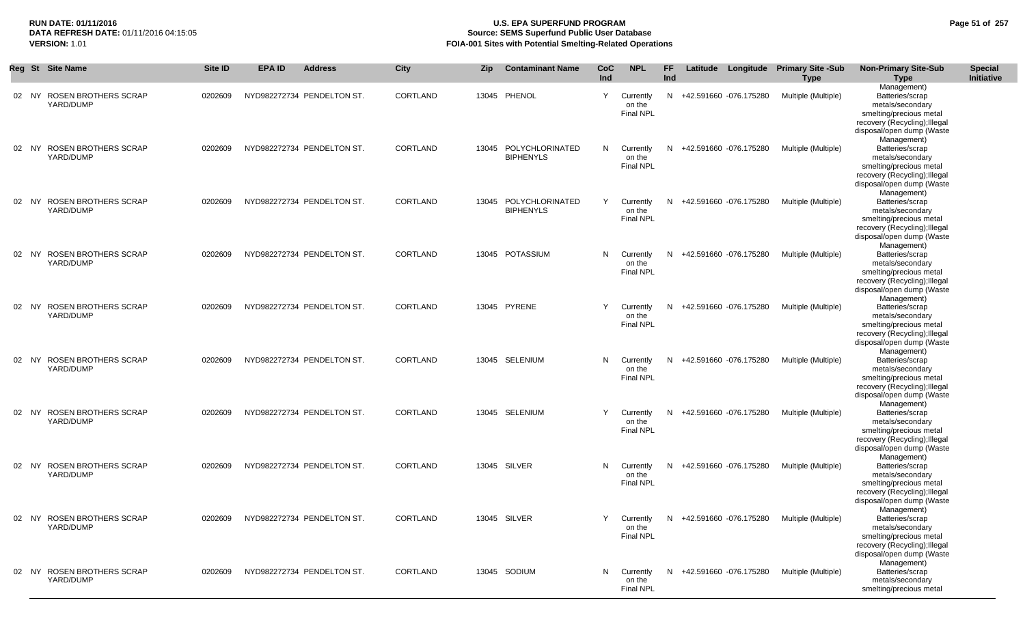## **RUN DATE: 01/11/2016 U.S. EPA SUPERFUND PROGRAM Page 51 of 257 Source: SEMS Superfund Public User Database VERSION:** 1.01 **FOIA-001 Sites with Potential Smelting-Related Operations**

|    |       | Reg St Site Name                         | Site ID | <b>EPA ID</b> | <b>Address</b>             | <b>City</b> | Zip | <b>Contaminant Name</b>                   | CoC<br><b>Ind</b> | <b>NPL</b>                              | FF.<br><b>Ind</b> |                          | Latitude Longitude Primary Site -Sub<br><b>Type</b>    | <b>Non-Primary Site-Sub</b><br><b>Type</b>                                                                                                                 | <b>Special</b><br>Initiative |
|----|-------|------------------------------------------|---------|---------------|----------------------------|-------------|-----|-------------------------------------------|-------------------|-----------------------------------------|-------------------|--------------------------|--------------------------------------------------------|------------------------------------------------------------------------------------------------------------------------------------------------------------|------------------------------|
|    | 02 NY | <b>ROSEN BROTHERS SCRAP</b><br>YARD/DUMP | 0202609 |               | NYD982272734 PENDELTON ST. | CORTLAND    |     | 13045 PHENOL                              | Y                 | Currently<br>on the<br><b>Final NPL</b> |                   | N +42.591660 -076.175280 | Multiple (Multiple)                                    | Management)<br>Batteries/scrap<br>metals/secondary<br>smelting/precious metal<br>recovery (Recycling); Illegal<br>disposal/open dump (Waste                |                              |
|    | 02 NY | <b>ROSEN BROTHERS SCRAP</b><br>YARD/DUMP | 0202609 |               | NYD982272734 PENDELTON ST. | CORTLAND    |     | 13045 POLYCHLORINATED<br><b>BIPHENYLS</b> | N                 | Currently<br>on the<br><b>Final NPL</b> |                   | N +42.591660 -076.175280 | Multiple (Multiple)                                    | Management)<br>Batteries/scrap<br>metals/secondary<br>smelting/precious metal<br>recovery (Recycling); Illegal<br>disposal/open dump (Waste                |                              |
| 02 | NY.   | <b>ROSEN BROTHERS SCRAP</b><br>YARD/DUMP | 0202609 |               | NYD982272734 PENDELTON ST. | CORTLAND    |     | 13045 POLYCHLORINATED<br><b>BIPHENYLS</b> | Y                 | Currently<br>on the<br>Final NPL        | N.                | +42.591660 -076.175280   | Multiple (Multiple)                                    | Management)<br>Batteries/scrap<br>metals/secondary<br>smelting/precious metal<br>recovery (Recycling); Illegal<br>disposal/open dump (Waste<br>Management) |                              |
|    | 02 NY | <b>ROSEN BROTHERS SCRAP</b><br>YARD/DUMP | 0202609 |               | NYD982272734 PENDELTON ST. | CORTLAND    |     | 13045 POTASSIUM                           | N                 | Currently<br>on the<br><b>Final NPL</b> |                   | N +42.591660 -076.175280 | Multiple (Multiple)                                    | Batteries/scrap<br>metals/secondary<br>smelting/precious metal<br>recovery (Recycling); Illegal<br>disposal/open dump (Waste<br>Management)                |                              |
|    | 02 NY | <b>ROSEN BROTHERS SCRAP</b><br>YARD/DUMP | 0202609 |               | NYD982272734 PENDELTON ST. | CORTLAND    |     | 13045 PYRENE                              | Y                 | Currently<br>on the<br>Final NPL        |                   | N +42.591660 -076.175280 | Multiple (Multiple)                                    | Batteries/scrap<br>metals/secondary<br>smelting/precious metal<br>recovery (Recycling); Illegal<br>disposal/open dump (Waste<br>Management)                |                              |
|    | 02 NY | <b>ROSEN BROTHERS SCRAP</b><br>YARD/DUMP | 0202609 |               | NYD982272734 PENDELTON ST. | CORTLAND    |     | 13045 SELENIUM                            | N                 | Currently<br>on the<br><b>Final NPL</b> | N                 | +42.591660 -076.175280   | Multiple (Multiple)                                    | Batteries/scrap<br>metals/secondary<br>smelting/precious metal<br>recovery (Recycling); Illegal<br>disposal/open dump (Waste<br>Management)                |                              |
|    | 02 NY | <b>ROSEN BROTHERS SCRAP</b><br>YARD/DUMP | 0202609 |               | NYD982272734 PENDELTON ST. | CORTLAND    |     | 13045 SELENIUM                            | Y                 | Currently<br>on the<br><b>Final NPL</b> |                   | N +42.591660 -076.175280 | Multiple (Multiple)                                    | Batteries/scrap<br>metals/secondary<br>smelting/precious metal<br>recovery (Recycling); Illegal<br>disposal/open dump (Waste<br>Management)                |                              |
|    | 02 NY | <b>ROSEN BROTHERS SCRAP</b><br>YARD/DUMP | 0202609 |               | NYD982272734 PENDELTON ST. | CORTLAND    |     | 13045 SILVER                              | N                 | Currently<br>on the<br><b>Final NPL</b> |                   | N +42.591660 -076.175280 | Multiple (Multiple)                                    | Batteries/scrap<br>metals/secondary<br>smelting/precious metal<br>recovery (Recycling); Illegal<br>disposal/open dump (Waste<br>Management)                |                              |
|    |       | 02 NY ROSEN BROTHERS SCRAP<br>YARD/DUMP  | 0202609 |               | NYD982272734 PENDELTON ST. | CORTLAND    |     | 13045 SILVER                              | Y                 | on the<br>Final NPL                     |                   |                          | Currently N +42.591660 -076.175280 Multiple (Multiple) | Batteries/scrap<br>metals/secondary<br>smelting/precious metal<br>recovery (Recycling); Illegal<br>disposal/open dump (Waste                               |                              |
|    | 02 NY | ROSEN BROTHERS SCRAP<br>YARD/DUMP        | 0202609 |               | NYD982272734 PENDELTON ST. | CORTLAND    |     | 13045 SODIUM                              | N                 | Currently<br>on the<br><b>Final NPL</b> |                   | N +42.591660 -076.175280 | Multiple (Multiple)                                    | Management)<br>Batteries/scrap<br>metals/secondary<br>smelting/precious metal                                                                              |                              |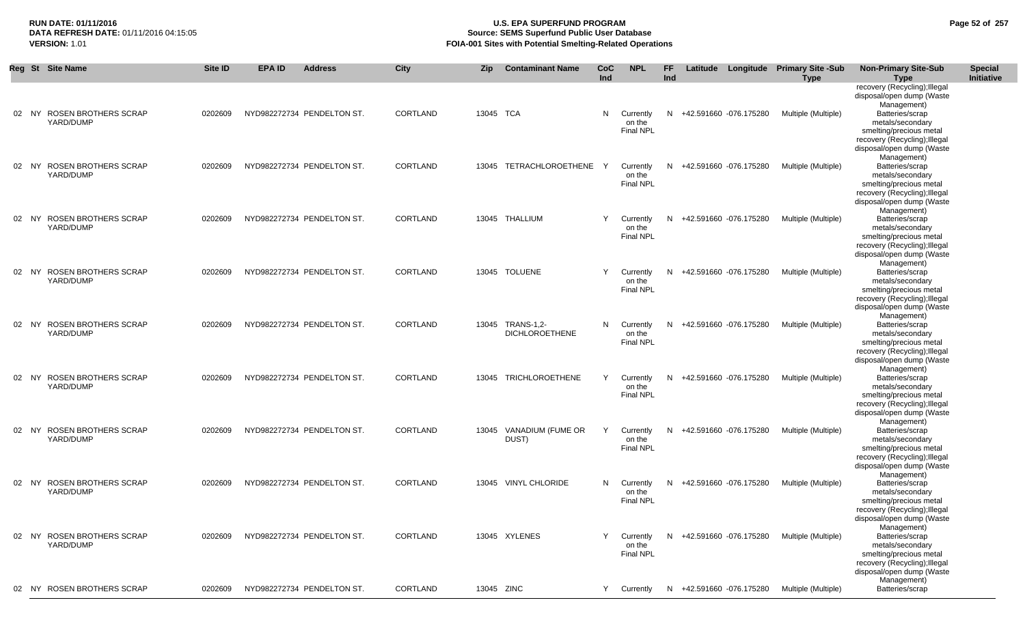## **RUN DATE: 01/11/2016 U.S. EPA SUPERFUND PROGRAM Page 52 of 257 Source: SEMS Superfund Public User Database VERSION:** 1.01 **FOIA-001 Sites with Potential Smelting-Related Operations**

|    | Reg St Site Name                                  | <b>Site ID</b> | <b>EPA ID</b> | <b>Address</b>             | <b>City</b>     | Zip        | <b>Contaminant Name</b>                   | CoC<br>Ind | <b>NPL</b>                              | FF.<br>Ind |                          | Latitude Longitude Primary Site -Sub<br><b>Type</b> | <b>Non-Primary Site-Sub</b><br><b>Type</b>                                                                                                                               | <b>Special</b><br>Initiative |
|----|---------------------------------------------------|----------------|---------------|----------------------------|-----------------|------------|-------------------------------------------|------------|-----------------------------------------|------------|--------------------------|-----------------------------------------------------|--------------------------------------------------------------------------------------------------------------------------------------------------------------------------|------------------------------|
|    | 02 NY ROSEN BROTHERS SCRAP                        | 0202609        |               | NYD982272734 PENDELTON ST. | CORTLAND        | 13045 TCA  |                                           | N          | Currently                               |            | N +42.591660 -076.175280 | Multiple (Multiple)                                 | recovery (Recycling); Illegal<br>disposal/open dump (Waste<br>Management)<br>Batteries/scrap                                                                             |                              |
|    | YARD/DUMP                                         |                |               |                            |                 |            |                                           |            | on the<br><b>Final NPL</b>              |            |                          |                                                     | metals/secondary<br>smelting/precious metal<br>recovery (Recycling); Illegal<br>disposal/open dump (Waste<br>Management)                                                 |                              |
| 02 | ROSEN BROTHERS SCRAP<br>NY.<br>YARD/DUMP          | 0202609        |               | NYD982272734 PENDELTON ST. | CORTLAND        |            | 13045 TETRACHLOROETHENE                   | Y          | Currently<br>on the<br><b>Final NPL</b> | N          | +42.591660 -076.175280   | Multiple (Multiple)                                 | Batteries/scrap<br>metals/secondary<br>smelting/precious metal<br>recovery (Recycling); Illegal<br>disposal/open dump (Waste                                             |                              |
|    | 02 NY ROSEN BROTHERS SCRAP<br>YARD/DUMP           | 0202609        |               | NYD982272734 PENDELTON ST. | <b>CORTLAND</b> |            | 13045 THALLIUM                            | Y          | Currently<br>on the<br><b>Final NPL</b> |            | N +42.591660 -076.175280 | Multiple (Multiple)                                 | Management)<br>Batteries/scrap<br>metals/secondary<br>smelting/precious metal<br>recovery (Recycling); Illegal                                                           |                              |
|    | 02 NY ROSEN BROTHERS SCRAP<br>YARD/DUMP           | 0202609        |               | NYD982272734 PENDELTON ST. | CORTLAND        |            | 13045 TOLUENE                             | Y          | Currently<br>on the<br><b>Final NPL</b> | N.         | +42.591660 -076.175280   | Multiple (Multiple)                                 | disposal/open dump (Waste<br>Management)<br>Batteries/scrap<br>metals/secondary<br>smelting/precious metal<br>recovery (Recycling); Illegal                              |                              |
|    | 02 NY ROSEN BROTHERS SCRAP<br>YARD/DUMP           | 0202609        |               | NYD982272734 PENDELTON ST. | CORTLAND        |            | 13045 TRANS-1,2-<br><b>DICHLOROETHENE</b> | N.         | Currently<br>on the<br><b>Final NPL</b> | N          | +42.591660 -076.175280   | Multiple (Multiple)                                 | disposal/open dump (Waste<br>Management)<br>Batteries/scrap<br>metals/secondary<br>smelting/precious metal<br>recovery (Recycling); Illegal<br>disposal/open dump (Waste |                              |
|    | 02 NY ROSEN BROTHERS SCRAP<br>YARD/DUMP           | 0202609        |               | NYD982272734 PENDELTON ST. | CORTLAND        |            | 13045 TRICHLOROETHENE                     | Y          | Currently<br>on the<br><b>Final NPL</b> | N.         | +42.591660 -076.175280   | Multiple (Multiple)                                 | Management)<br>Batteries/scrap<br>metals/secondary<br>smelting/precious metal<br>recovery (Recycling); Illegal                                                           |                              |
|    | <b>ROSEN BROTHERS SCRAP</b><br>02 NY<br>YARD/DUMP | 0202609        |               | NYD982272734 PENDELTON ST. | CORTLAND        |            | 13045 VANADIUM (FUME OR<br>DUST)          | Y          | Currently<br>on the<br><b>Final NPL</b> | N          | +42.591660 -076.175280   | Multiple (Multiple)                                 | disposal/open dump (Waste<br>Management)<br>Batteries/scrap<br>metals/secondary<br>smelting/precious metal<br>recovery (Recycling); Illegal                              |                              |
|    | 02 NY ROSEN BROTHERS SCRAP<br>YARD/DUMP           | 0202609        |               | NYD982272734 PENDELTON ST. | CORTLAND        |            | 13045 VINYL CHLORIDE                      | N.         | Currently<br>on the<br>Final NPL        | N.         | +42.591660 -076.175280   | Multiple (Multiple)                                 | disposal/open dump (Waste<br>Management)<br>Batteries/scrap<br>metals/secondary<br>smelting/precious metal<br>recovery (Recycling); Illegal                              |                              |
| 02 | <b>ROSEN BROTHERS SCRAP</b><br>NY.<br>YARD/DUMP   | 0202609        |               | NYD982272734 PENDELTON ST. | <b>CORTLAND</b> |            | 13045 XYLENES                             | Y          | Currently<br>on the<br><b>Final NPL</b> | N.         | +42.591660 -076.175280   | Multiple (Multiple)                                 | disposal/open dump (Waste<br>Management)<br>Batteries/scrap<br>metals/secondary<br>smelting/precious metal<br>recovery (Recycling); Illegal                              |                              |
| 02 | NY ROSEN BROTHERS SCRAP                           | 0202609        |               | NYD982272734 PENDELTON ST. | CORTLAND        | 13045 ZINC |                                           | Y          | Currently                               | N          | +42.591660 -076.175280   | Multiple (Multiple)                                 | disposal/open dump (Waste<br>Management)<br>Batteries/scrap                                                                                                              |                              |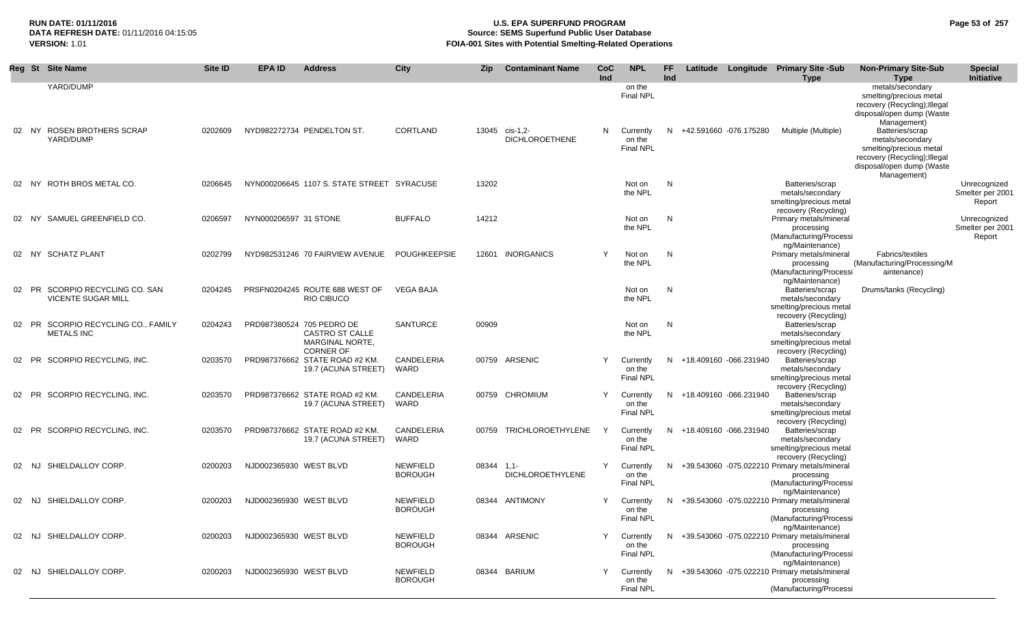## **RUN DATE: 01/11/2016 U.S. EPA SUPERFUND PROGRAM Page 53 of 257 Source: SEMS Superfund Public User Database VERSION:** 1.01 **FOIA-001 Sites with Potential Smelting-Related Operations**

|       | Reg St Site Name                                         | Site ID | <b>EPA ID</b>          | <b>Address</b>                                                                      | City                              | <b>Zip</b> | <b>Contaminant Name</b>                 | CoC<br>Ind | <b>NPL</b>                                        | FF.<br>Ind |                          | Latitude Longitude Primary Site -Sub<br><b>Type</b>                                                         | <b>Non-Primary Site-Sub</b><br><b>Type</b>                                                                                                                      | <b>Special</b><br>Initiative               |
|-------|----------------------------------------------------------|---------|------------------------|-------------------------------------------------------------------------------------|-----------------------------------|------------|-----------------------------------------|------------|---------------------------------------------------|------------|--------------------------|-------------------------------------------------------------------------------------------------------------|-----------------------------------------------------------------------------------------------------------------------------------------------------------------|--------------------------------------------|
|       | YARD/DUMP<br>02 NY ROSEN BROTHERS SCRAP<br>YARD/DUMP     | 0202609 |                        | NYD982272734 PENDELTON ST.                                                          | <b>CORTLAND</b>                   |            | 13045 cis-1,2-<br><b>DICHLOROETHENE</b> | N          | on the<br><b>Final NPL</b><br>Currently<br>on the |            | N +42.591660 -076.175280 | Multiple (Multiple)                                                                                         | metals/secondary<br>smelting/precious metal<br>recovery (Recycling); Illegal<br>disposal/open dump (Waste<br>Management)<br>Batteries/scrap<br>metals/secondary |                                            |
|       |                                                          |         |                        |                                                                                     |                                   |            |                                         |            | <b>Final NPL</b>                                  |            |                          |                                                                                                             | smelting/precious metal<br>recovery (Recycling); Illegal<br>disposal/open dump (Waste<br>Management)                                                            |                                            |
|       | 02 NY ROTH BROS METAL CO.                                | 0206645 |                        | NYN000206645 1107 S. STATE STREET SYRACUSE                                          |                                   | 13202      |                                         |            | Not on<br>the NPL                                 | N          |                          | Batteries/scrap<br>metals/secondary<br>smelting/precious metal<br>recovery (Recycling)                      |                                                                                                                                                                 | Unrecognized<br>Smelter per 2001<br>Report |
|       | 02 NY SAMUEL GREENFIELD CO.                              | 0206597 | NYN000206597 31 STONE  |                                                                                     | <b>BUFFALO</b>                    | 14212      |                                         |            | Not on<br>the NPL                                 | N          |                          | Primary metals/mineral<br>processing<br>(Manufacturing/Processi<br>ng/Maintenance)                          |                                                                                                                                                                 | Unrecognized<br>Smelter per 2001<br>Report |
| 02 NY | <b>SCHATZ PLANT</b>                                      | 0202799 |                        | NYD982531246 70 FAIRVIEW AVENUE                                                     | POUGHKEEPSIE                      |            | 12601 INORGANICS                        | Y          | Not on<br>the NPL                                 | N          |                          | Primary metals/mineral<br>processing<br>(Manufacturing/Processi<br>ng/Maintenance)                          | Fabrics/textiles<br>(Manufacturing/Processing/M<br>aintenance)                                                                                                  |                                            |
| 02 PR | SCORPIO RECYCLING CO. SAN<br><b>VICENTE SUGAR MILL</b>   | 0204245 |                        | PRSFN0204245 ROUTE 688 WEST OF<br><b>RIO CIBUCO</b>                                 | <b>VEGA BAJA</b>                  |            |                                         |            | Not on<br>the NPL                                 | N          |                          | Batteries/scrap<br>metals/secondary<br>smelting/precious metal<br>recovery (Recycling)                      | Drums/tanks (Recycling)                                                                                                                                         |                                            |
|       | 02 PR SCORPIO RECYCLING CO., FAMILY<br><b>METALS INC</b> | 0204243 |                        | PRD987380524 705 PEDRO DE<br>CASTRO ST CALLE<br>MARGINAL NORTE,<br><b>CORNER OF</b> | <b>SANTURCE</b>                   | 00909      |                                         |            | Not on<br>the NPL                                 | N          |                          | Batteries/scrap<br>metals/secondary<br>smelting/precious metal<br>recovery (Recycling)                      |                                                                                                                                                                 |                                            |
| 02 PR | SCORPIO RECYCLING, INC.                                  | 0203570 |                        | PRD987376662 STATE ROAD #2 KM.<br>19.7 (ACUNA STREET)                               | CANDELERIA<br>WARD                |            | 00759 ARSENIC                           | Υ          | Currently<br>on the<br><b>Final NPL</b>           |            | N +18.409160 -066.231940 | Batteries/scrap<br>metals/secondary<br>smelting/precious metal<br>recovery (Recycling)                      |                                                                                                                                                                 |                                            |
| 02 PR | SCORPIO RECYCLING. INC.                                  | 0203570 |                        | PRD987376662 STATE ROAD #2 KM.<br>19.7 (ACUNA STREET)                               | CANDELERIA<br>WARD                |            | 00759 CHROMIUM                          | Y          | Currently<br>on the<br><b>Final NPL</b>           |            | N +18.409160 -066.231940 | Batteries/scrap<br>metals/secondary<br>smelting/precious metal<br>recovery (Recycling)                      |                                                                                                                                                                 |                                            |
| 02 PR | SCORPIO RECYCLING, INC.                                  | 0203570 |                        | PRD987376662 STATE ROAD #2 KM.<br>19.7 (ACUNA STREET)                               | CANDELERIA<br>WARD                | 00759      | TRICHLOROETHYLENE                       | Y          | Currently<br>on the<br><b>Final NPL</b>           |            | N +18.409160 -066.231940 | Batteries/scrap<br>metals/secondary<br>smelting/precious metal<br>recovery (Recycling)                      |                                                                                                                                                                 |                                            |
| 02 NJ | SHIELDALLOY CORP.                                        | 0200203 | NJD002365930 WEST BLVD |                                                                                     | <b>NEWFIELD</b><br><b>BOROUGH</b> | 08344 1.1- | <b>DICHLOROETHYLENE</b>                 | Y          | Currently<br>on the<br><b>Final NPL</b>           |            |                          | N +39.543060 -075.022210 Primary metals/mineral<br>processing<br>(Manufacturing/Processi<br>ng/Maintenance) |                                                                                                                                                                 |                                            |
| 02 NJ | SHIELDALLOY CORP.                                        | 0200203 | NJD002365930 WEST BLVD |                                                                                     | <b>NEWFIELD</b><br><b>BOROUGH</b> |            | 08344 ANTIMONY                          | Y          | Currently<br>on the<br><b>Final NPL</b>           |            |                          | N +39.543060 -075.022210 Primary metals/mineral<br>processing<br>(Manufacturing/Processi<br>ng/Maintenance) |                                                                                                                                                                 |                                            |
| 02 NJ | SHIELDALLOY CORP.                                        | 0200203 | NJD002365930 WEST BLVD |                                                                                     | <b>NEWFIELD</b><br><b>BOROUGH</b> |            | 08344 ARSENIC                           | Y          | Currently<br>on the<br><b>Final NPL</b>           |            |                          | N +39.543060 -075.022210 Primary metals/mineral<br>processing<br>(Manufacturing/Processi<br>ng/Maintenance) |                                                                                                                                                                 |                                            |
| 02 NJ | SHIELDALLOY CORP.                                        | 0200203 | NJD002365930 WEST BLVD |                                                                                     | <b>NEWFIELD</b><br><b>BOROUGH</b> |            | 08344 BARIUM                            | Υ          | Currently<br>on the<br><b>Final NPL</b>           |            |                          | N +39.543060 -075.022210 Primary metals/mineral<br>processing<br>(Manufacturing/Processi                    |                                                                                                                                                                 |                                            |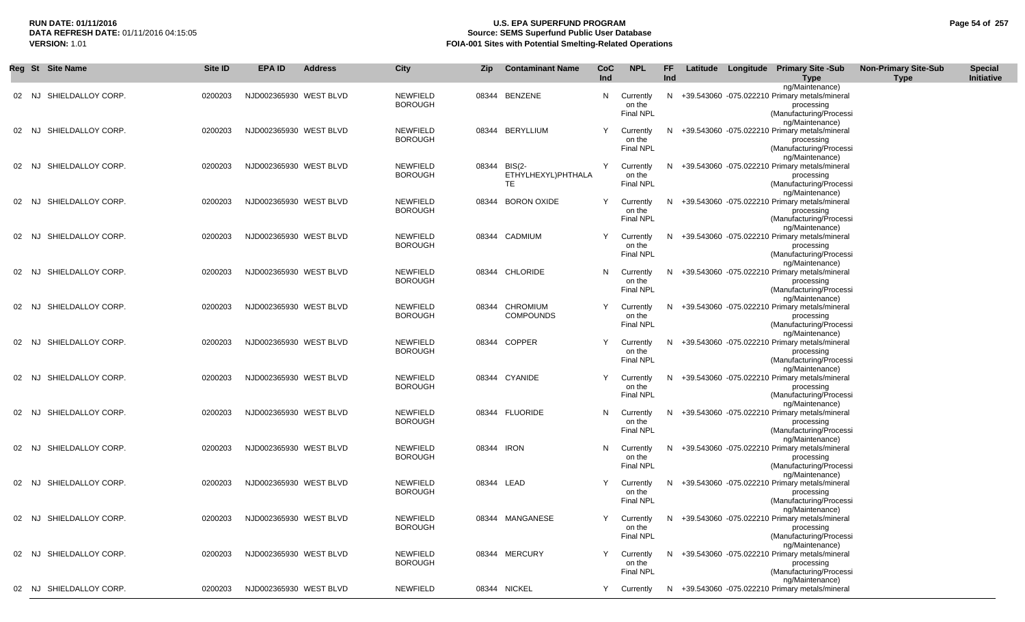## **RUN DATE: 01/11/2016 U.S. EPA SUPERFUND PROGRAM Page 54 of 257 Source: SEMS Superfund Public User Database VERSION:** 1.01 **FOIA-001 Sites with Potential Smelting-Related Operations**

|    |       | Reg St Site Name        | <b>Site ID</b> | <b>EPA ID</b>          | <b>Address</b> | <b>City</b>                       | Zip        | <b>Contaminant Name</b>                  | CoC<br>Ind | <b>NPL</b>                              | FF.<br>Ind |  | Latitude Longitude Primary Site -Sub<br><b>Type</b>                                                                            | <b>Non-Primary Site-Sub</b><br><b>Type</b> | <b>Special</b><br>Initiative |
|----|-------|-------------------------|----------------|------------------------|----------------|-----------------------------------|------------|------------------------------------------|------------|-----------------------------------------|------------|--|--------------------------------------------------------------------------------------------------------------------------------|--------------------------------------------|------------------------------|
|    | 02 NJ | SHIELDALLOY CORP.       | 0200203        | NJD002365930 WEST BLVD |                | <b>NEWFIELD</b><br><b>BOROUGH</b> |            | 08344 BENZENE                            | N,         | Currently<br>on the<br><b>Final NPL</b> |            |  | ng/Maintenance)<br>N +39.543060 -075.022210 Primary metals/mineral<br>processing<br>(Manufacturing/Processi<br>ng/Maintenance) |                                            |                              |
|    | 02 NJ | SHIELDALLOY CORP.       | 0200203        | NJD002365930 WEST BLVD |                | <b>NEWFIELD</b><br><b>BOROUGH</b> |            | 08344 BERYLLIUM                          | Y          | Currently<br>on the<br>Final NPL        |            |  | N +39.543060 -075.022210 Primary metals/mineral<br>processing<br>(Manufacturing/Processi<br>ng/Maintenance)                    |                                            |                              |
| 02 | NJ.   | SHIELDALLOY CORP.       | 0200203        | NJD002365930 WEST BLVD |                | <b>NEWFIELD</b><br><b>BOROUGH</b> |            | 08344 BIS(2-<br>ETHYLHEXYL)PHTHALA<br>TE | Y          | Currently<br>on the<br><b>Final NPL</b> |            |  | N +39.543060 -075.022210 Primary metals/mineral<br>processing<br>(Manufacturing/Processi<br>ng/Maintenance)                    |                                            |                              |
|    | NJ    | SHIELDALLOY CORP.       | 0200203        | NJD002365930 WEST BLVD |                | <b>NEWFIELD</b><br><b>BOROUGH</b> |            | 08344 BORON OXIDE                        | Y          | Currently<br>on the<br><b>Final NPL</b> | N.         |  | +39.543060 -075.022210 Primary metals/mineral<br>processing<br>(Manufacturing/Processi<br>ng/Maintenance)                      |                                            |                              |
| 02 | NJ    | SHIELDALLOY CORP.       | 0200203        | NJD002365930 WEST BLVD |                | <b>NEWFIELD</b><br><b>BOROUGH</b> |            | 08344 CADMIUM                            | Y          | Currently<br>on the<br><b>Final NPL</b> | N.         |  | +39.543060 -075.022210 Primary metals/mineral<br>processing<br>(Manufacturing/Processi<br>ng/Maintenance)                      |                                            |                              |
| 02 | NJ    | SHIELDALLOY CORP.       | 0200203        | NJD002365930 WEST BLVD |                | <b>NEWFIELD</b><br><b>BOROUGH</b> |            | 08344 CHLORIDE                           | N.         | Currently<br>on the<br><b>Final NPL</b> |            |  | N +39.543060 -075.022210 Primary metals/mineral<br>processing<br>(Manufacturing/Processi<br>ng/Maintenance)                    |                                            |                              |
| 02 | NJ.   | SHIELDALLOY CORP.       | 0200203        | NJD002365930 WEST BLVD |                | <b>NEWFIELD</b><br><b>BOROUGH</b> |            | 08344 CHROMIUM<br><b>COMPOUNDS</b>       | Y          | Currently<br>on the<br>Final NPL        |            |  | N +39.543060 -075.022210 Primary metals/mineral<br>processing<br>(Manufacturing/Processi<br>ng/Maintenance)                    |                                            |                              |
| 02 | NJ.   | SHIELDALLOY CORP.       | 0200203        | NJD002365930 WEST BLVD |                | <b>NEWFIELD</b><br><b>BOROUGH</b> |            | 08344 COPPER                             | Y          | Currently<br>on the<br>Final NPL        | N.         |  | +39.543060 -075.022210 Primary metals/mineral<br>processing<br>(Manufacturing/Processi<br>ng/Maintenance)                      |                                            |                              |
| 02 | NJ.   | SHIELDALLOY CORP.       | 0200203        | NJD002365930 WEST BLVD |                | <b>NEWFIELD</b><br><b>BOROUGH</b> |            | 08344 CYANIDE                            | Y          | Currently<br>on the<br>Final NPL        | N.         |  | +39.543060 -075.022210 Primary metals/mineral<br>processing<br>(Manufacturing/Processi<br>ng/Maintenance)                      |                                            |                              |
|    | 02 NJ | SHIELDALLOY CORP.       | 0200203        | NJD002365930 WEST BLVD |                | <b>NEWFIELD</b><br><b>BOROUGH</b> |            | 08344 FLUORIDE                           | N.         | Currently<br>on the<br>Final NPL        |            |  | N +39.543060 -075.022210 Primary metals/mineral<br>processing<br>(Manufacturing/Processi<br>ng/Maintenance)                    |                                            |                              |
|    | 02 NJ | SHIELDALLOY CORP.       | 0200203        | NJD002365930 WEST BLVD |                | <b>NEWFIELD</b><br><b>BOROUGH</b> | 08344 IRON |                                          | N.         | Currently<br>on the<br><b>Final NPL</b> |            |  | N +39.543060 -075.022210 Primary metals/mineral<br>processing<br>(Manufacturing/Processi<br>ng/Maintenance)                    |                                            |                              |
| 02 | NJ.   | SHIELDALLOY CORP.       | 0200203        | NJD002365930 WEST BLVD |                | <b>NEWFIELD</b><br><b>BOROUGH</b> | 08344 LEAD |                                          | Y          | Currently<br>on the<br><b>Final NPL</b> |            |  | N +39.543060 -075.022210 Primary metals/mineral<br>processing<br>(Manufacturing/Processi<br>ng/Maintenance)                    |                                            |                              |
|    |       | 02 NJ SHIELDALLOY CORP. | 0200203        | NJD002365930 WEST BLVD |                | NEWFIELD<br><b>BOROUGH</b>        |            | 08344 MANGANESE                          |            | on the<br>Final NPL                     |            |  | Y Currently N +39.543060 -075.022210 Primary metals/mineral<br>processing<br>(Manufacturing/Processi<br>ng/Maintenance)        |                                            |                              |
|    |       | 02 NJ SHIELDALLOY CORP. | 0200203        | NJD002365930 WEST BLVD |                | <b>NEWFIELD</b><br><b>BOROUGH</b> |            | 08344 MERCURY                            | Y          | Currently<br>on the<br>Final NPL        |            |  | N +39.543060 -075.022210 Primary metals/mineral<br>processing<br>(Manufacturing/Processi<br>ng/Maintenance)                    |                                            |                              |
|    |       | 02 NJ SHIELDALLOY CORP. | 0200203        | NJD002365930 WEST BLVD |                | <b>NEWFIELD</b>                   |            | 08344 NICKEL                             | Y          | Currently                               |            |  | N +39.543060 -075.022210 Primary metals/mineral                                                                                |                                            |                              |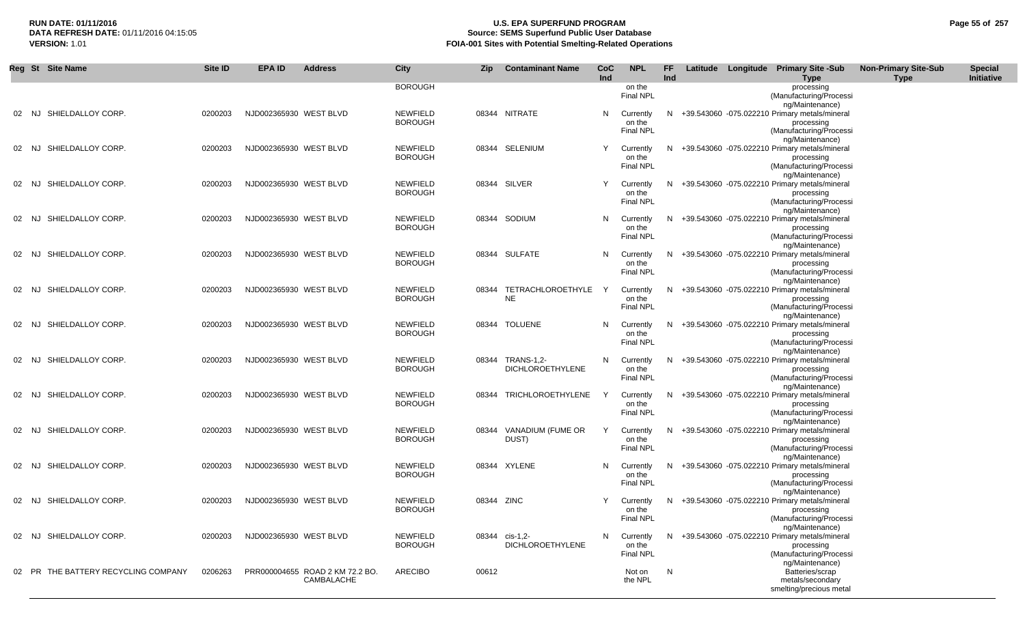## **RUN DATE: 01/11/2016 U.S. EPA SUPERFUND PROGRAM Page 55 of 257 Source: SEMS Superfund Public User Database VERSION:** 1.01 **FOIA-001 Sites with Potential Smelting-Related Operations**

| Reg St Site Name                    | Site ID | <b>EPAID</b>           | <b>Address</b>                  | <b>City</b>     | Zip        | <b>Contaminant Name</b> | CoC        | <b>NPL</b>       | FF  |  | Latitude Longitude Primary Site -Sub                               | <b>Non-Primary Site-Sub</b> | <b>Special</b> |
|-------------------------------------|---------|------------------------|---------------------------------|-----------------|------------|-------------------------|------------|------------------|-----|--|--------------------------------------------------------------------|-----------------------------|----------------|
|                                     |         |                        |                                 | <b>BOROUGH</b>  |            |                         | <b>Ind</b> | on the           | Ind |  | <b>Type</b><br>processing                                          | <b>Type</b>                 | Initiative     |
|                                     |         |                        |                                 |                 |            |                         |            | Final NPL        |     |  | (Manufacturing/Processi                                            |                             |                |
| 02 NJ SHIELDALLOY CORP.             | 0200203 | NJD002365930 WEST BLVD |                                 | <b>NEWFIELD</b> |            | 08344 NITRATE           | N.         | Currently        |     |  | ng/Maintenance)<br>N +39.543060 -075.022210 Primary metals/mineral |                             |                |
|                                     |         |                        |                                 | <b>BOROUGH</b>  |            |                         |            | on the           |     |  | processing                                                         |                             |                |
|                                     |         |                        |                                 |                 |            |                         |            | Final NPL        |     |  | (Manufacturing/Processi                                            |                             |                |
| SHIELDALLOY CORP.<br>02 NJ          | 0200203 | NJD002365930 WEST BLVD |                                 | <b>NEWFIELD</b> |            | 08344 SELENIUM          | Y          | Currently        | N.  |  | ng/Maintenance)<br>+39.543060 -075.022210 Primary metals/mineral   |                             |                |
|                                     |         |                        |                                 | <b>BOROUGH</b>  |            |                         |            | on the           |     |  | processing                                                         |                             |                |
|                                     |         |                        |                                 |                 |            |                         |            | <b>Final NPL</b> |     |  | (Manufacturing/Processi                                            |                             |                |
| 02 NJ SHIELDALLOY CORP.             | 0200203 | NJD002365930 WEST BLVD |                                 | <b>NEWFIELD</b> |            | 08344 SILVER            | Y          | Currently        |     |  | ng/Maintenance)<br>N +39.543060 -075.022210 Primary metals/mineral |                             |                |
|                                     |         |                        |                                 | <b>BOROUGH</b>  |            |                         |            | on the           |     |  | processing                                                         |                             |                |
|                                     |         |                        |                                 |                 |            |                         |            | <b>Final NPL</b> |     |  | (Manufacturing/Processi                                            |                             |                |
| SHIELDALLOY CORP.<br>02 NJ          | 0200203 | NJD002365930 WEST BLVD |                                 | <b>NEWFIELD</b> |            | 08344 SODIUM            | N,         | Currently        |     |  | ng/Maintenance)<br>N +39.543060 -075.022210 Primary metals/mineral |                             |                |
|                                     |         |                        |                                 | <b>BOROUGH</b>  |            |                         |            | on the           |     |  | processing                                                         |                             |                |
|                                     |         |                        |                                 |                 |            |                         |            | <b>Final NPL</b> |     |  | (Manufacturing/Processi                                            |                             |                |
| SHIELDALLOY CORP.<br>02 NJ          | 0200203 | NJD002365930 WEST BLVD |                                 | <b>NEWFIELD</b> |            | 08344 SULFATE           |            | N Currently      |     |  | ng/Maintenance)<br>N +39.543060 -075.022210 Primary metals/mineral |                             |                |
|                                     |         |                        |                                 | <b>BOROUGH</b>  |            |                         |            | on the           |     |  | processing                                                         |                             |                |
|                                     |         |                        |                                 |                 |            |                         |            | <b>Final NPL</b> |     |  | (Manufacturing/Processi                                            |                             |                |
| SHIELDALLOY CORP.<br>02 NJ          | 0200203 | NJD002365930 WEST BLVD |                                 | <b>NEWFIELD</b> |            | 08344 TETRACHLOROETHYLE | Y          | Currently        |     |  | ng/Maintenance)<br>N +39.543060 -075.022210 Primary metals/mineral |                             |                |
|                                     |         |                        |                                 | <b>BOROUGH</b>  |            | <b>NE</b>               |            | on the           |     |  | processing                                                         |                             |                |
|                                     |         |                        |                                 |                 |            |                         |            | <b>Final NPL</b> |     |  | (Manufacturing/Processi                                            |                             |                |
| SHIELDALLOY CORP.<br>NJ.            | 0200203 | NJD002365930 WEST BLVD |                                 | <b>NEWFIELD</b> |            | 08344 TOLUENE           | N.         | Currently        | N.  |  | ng/Maintenance)<br>+39.543060 -075.022210 Primary metals/mineral   |                             |                |
|                                     |         |                        |                                 | <b>BOROUGH</b>  |            |                         |            | on the           |     |  | processing                                                         |                             |                |
|                                     |         |                        |                                 |                 |            |                         |            | <b>Final NPL</b> |     |  | (Manufacturing/Processi                                            |                             |                |
| SHIELDALLOY CORP.<br>02 NJ          | 0200203 | NJD002365930 WEST BLVD |                                 | <b>NEWFIELD</b> |            | 08344 TRANS-1,2-        |            | N Currently      |     |  | ng/Maintenance)<br>N +39.543060 -075.022210 Primary metals/mineral |                             |                |
|                                     |         |                        |                                 | <b>BOROUGH</b>  |            | <b>DICHLOROETHYLENE</b> |            | on the           |     |  | processing                                                         |                             |                |
|                                     |         |                        |                                 |                 |            |                         |            | <b>Final NPL</b> |     |  | (Manufacturing/Processi                                            |                             |                |
| SHIELDALLOY CORP.<br>02 NJ          | 0200203 | NJD002365930 WEST BLVD |                                 | <b>NEWFIELD</b> |            | 08344 TRICHLOROETHYLENE | Y          | Currently        | N.  |  | ng/Maintenance)<br>+39.543060 -075.022210 Primary metals/mineral   |                             |                |
|                                     |         |                        |                                 | <b>BOROUGH</b>  |            |                         |            | on the           |     |  | processing                                                         |                             |                |
|                                     |         |                        |                                 |                 |            |                         |            | <b>Final NPL</b> |     |  | (Manufacturing/Processi                                            |                             |                |
| SHIELDALLOY CORP.<br>02 NJ          | 0200203 | NJD002365930 WEST BLVD |                                 | <b>NEWFIELD</b> |            | 08344 VANADIUM (FUME OR | Y          | Currently        |     |  | ng/Maintenance)<br>N +39.543060 -075.022210 Primary metals/mineral |                             |                |
|                                     |         |                        |                                 | <b>BOROUGH</b>  |            | DUST)                   |            | on the           |     |  | processing                                                         |                             |                |
|                                     |         |                        |                                 |                 |            |                         |            | <b>Final NPL</b> |     |  | (Manufacturing/Processi                                            |                             |                |
| SHIELDALLOY CORP.<br>02 NJ          | 0200203 | NJD002365930 WEST BLVD |                                 | <b>NEWFIELD</b> |            | 08344 XYLENE            | N.         | Currently        |     |  | ng/Maintenance)<br>N +39.543060 -075.022210 Primary metals/mineral |                             |                |
|                                     |         |                        |                                 | <b>BOROUGH</b>  |            |                         |            | on the           |     |  | processing                                                         |                             |                |
|                                     |         |                        |                                 |                 |            |                         |            | <b>Final NPL</b> |     |  | (Manufacturing/Processi<br>ng/Maintenance)                         |                             |                |
| SHIELDALLOY CORP.<br>02 NJ          | 0200203 | NJD002365930 WEST BLVD |                                 | <b>NEWFIELD</b> | 08344 ZINC |                         |            | Currently        |     |  | N +39.543060 -075.022210 Primary metals/mineral                    |                             |                |
|                                     |         |                        |                                 | <b>BOROUGH</b>  |            |                         |            | on the           |     |  | processing                                                         |                             |                |
|                                     |         |                        |                                 |                 |            |                         |            | Final NPL        |     |  | (Manufacturing/Processi<br>ng/Maintenance)                         |                             |                |
| 02 NJ SHIELDALLOY CORP.             | 0200203 | NJD002365930 WEST BLVD |                                 | <b>NEWFIELD</b> | 08344      | cis-1,2-                | N.         | Currently        |     |  | N +39.543060 -075.022210 Primary metals/mineral                    |                             |                |
|                                     |         |                        |                                 | <b>BOROUGH</b>  |            | <b>DICHLOROETHYLENE</b> |            | on the           |     |  | processing                                                         |                             |                |
|                                     |         |                        |                                 |                 |            |                         |            | Final NPL        |     |  | (Manufacturing/Processi<br>ng/Maintenance)                         |                             |                |
| 02 PR THE BATTERY RECYCLING COMPANY | 0206263 |                        | PRR000004655 ROAD 2 KM 72.2 BO. | <b>ARECIBO</b>  | 00612      |                         |            | Not on           | N   |  | Batteries/scrap                                                    |                             |                |
|                                     |         |                        | CAMBALACHE                      |                 |            |                         |            | the NPL          |     |  | metals/secondary                                                   |                             |                |
|                                     |         |                        |                                 |                 |            |                         |            |                  |     |  | smelting/precious metal                                            |                             |                |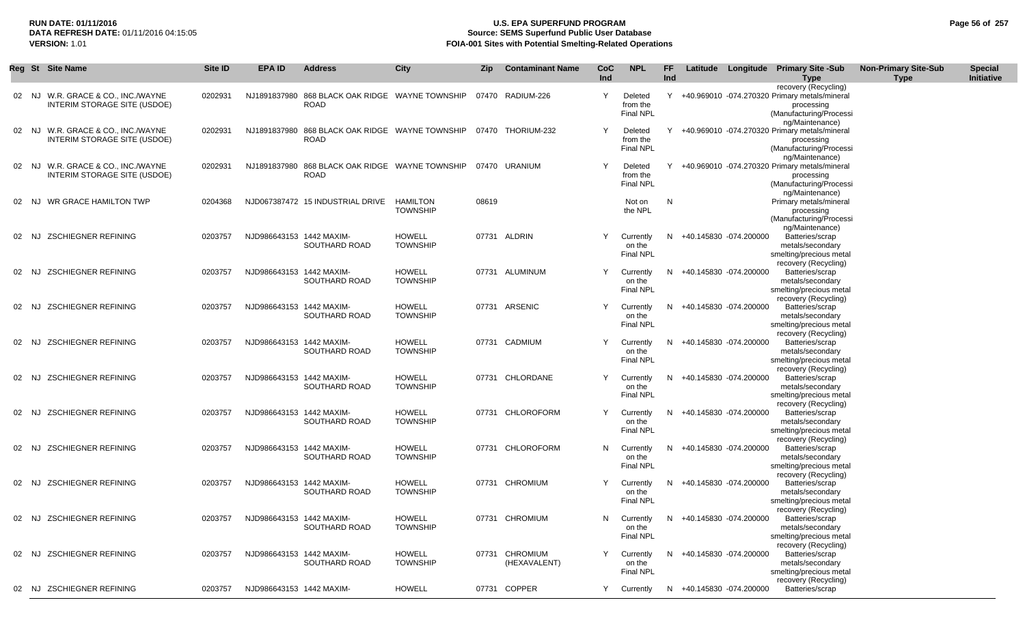## **RUN DATE: 01/11/2016 U.S. EPA SUPERFUND PROGRAM Page 56 of 257 Source: SEMS Superfund Public User Database VERSION:** 1.01 **FOIA-001 Sites with Potential Smelting-Related Operations**

|       | Reg St Site Name                                             | Site ID | EPA ID                   | <b>Address</b>                                                 | City                             | Zip   | <b>Contaminant Name</b>        | <b>CoC</b><br>Ind | <b>NPL</b>                              | FF.<br>Ind |                          | Latitude Longitude Primary Site -Sub<br><b>Type</b>                                                                          | <b>Non-Primary Site-Sub</b><br>Type | <b>Special</b><br>Initiative |
|-------|--------------------------------------------------------------|---------|--------------------------|----------------------------------------------------------------|----------------------------------|-------|--------------------------------|-------------------|-----------------------------------------|------------|--------------------------|------------------------------------------------------------------------------------------------------------------------------|-------------------------------------|------------------------------|
| 02 NJ | W.R. GRACE & CO., INC./WAYNE<br>INTERIM STORAGE SITE (USDOE) | 0202931 |                          | NJ1891837980 868 BLACK OAK RIDGE WAYNE TOWNSHIP<br><b>ROAD</b> |                                  |       | 07470 RADIUM-226               | Y                 | Deleted<br>from the<br>Final NPL        |            |                          | recovery (Recycling)<br>Y +40.969010 -074.270320 Primary metals/mineral<br>processing<br>(Manufacturing/Processi             |                                     |                              |
| 02 NJ | W.R. GRACE & CO., INC./WAYNE<br>INTERIM STORAGE SITE (USDOE) | 0202931 |                          | NJ1891837980 868 BLACK OAK RIDGE WAYNE TOWNSHIP<br><b>ROAD</b> |                                  |       | 07470 THORIUM-232              | Y                 | Deleted<br>from the<br><b>Final NPL</b> | Y          |                          | ng/Maintenance)<br>+40.969010 -074.270320 Primary metals/mineral<br>processing<br>(Manufacturing/Processi<br>ng/Maintenance) |                                     |                              |
| 02 NJ | W.R. GRACE & CO., INC./WAYNE<br>INTERIM STORAGE SITE (USDOE) | 0202931 |                          | NJ1891837980 868 BLACK OAK RIDGE WAYNE TOWNSHIP<br><b>ROAD</b> |                                  |       | 07470 URANIUM                  |                   | Deleted<br>from the<br><b>Final NPL</b> | Y          |                          | +40.969010 -074.270320 Primary metals/mineral<br>processing<br>(Manufacturing/Processi<br>ng/Maintenance)                    |                                     |                              |
| 02 NJ | WR GRACE HAMILTON TWP                                        | 0204368 |                          | NJD067387472 15 INDUSTRIAL DRIVE                               | HAMILTON<br><b>TOWNSHIP</b>      | 08619 |                                |                   | Not on<br>the NPL                       | N          |                          | Primary metals/mineral<br>processing<br>(Manufacturing/Processi<br>ng/Maintenance)                                           |                                     |                              |
| 02 NJ | <b>ZSCHIEGNER REFINING</b>                                   | 0203757 | NJD986643153 1442 MAXIM- | SOUTHARD ROAD                                                  | <b>HOWELL</b><br><b>TOWNSHIP</b> |       | 07731 ALDRIN                   | Y                 | Currently<br>on the<br><b>Final NPL</b> |            | N +40.145830 -074.200000 | Batteries/scrap<br>metals/secondary<br>smelting/precious metal<br>recovery (Recycling)                                       |                                     |                              |
| 02 NJ | <b>ZSCHIEGNER REFINING</b>                                   | 0203757 | NJD986643153 1442 MAXIM- | SOUTHARD ROAD                                                  | <b>HOWELL</b><br><b>TOWNSHIP</b> |       | 07731 ALUMINUM                 | Y                 | Currently<br>on the<br><b>Final NPL</b> |            | N +40.145830 -074.200000 | Batteries/scrap<br>metals/secondary<br>smelting/precious metal<br>recovery (Recycling)                                       |                                     |                              |
| 02 NJ | <b>ZSCHIEGNER REFINING</b>                                   | 0203757 | NJD986643153 1442 MAXIM- | SOUTHARD ROAD                                                  | <b>HOWELL</b><br><b>TOWNSHIP</b> |       | 07731 ARSENIC                  | Y                 | Currently<br>on the<br><b>Final NPL</b> | N.         | +40.145830 -074.200000   | Batteries/scrap<br>metals/secondary<br>smelting/precious metal<br>recovery (Recycling)                                       |                                     |                              |
| 02 NJ | <b>ZSCHIEGNER REFINING</b>                                   | 0203757 | NJD986643153 1442 MAXIM- | SOUTHARD ROAD                                                  | <b>HOWELL</b><br><b>TOWNSHIP</b> |       | 07731 CADMIUM                  | Y                 | Currently<br>on the<br><b>Final NPL</b> |            | N +40.145830 -074.200000 | Batteries/scrap<br>metals/secondary<br>smelting/precious metal<br>recovery (Recycling)                                       |                                     |                              |
| 02 NJ | <b>ZSCHIEGNER REFINING</b>                                   | 0203757 | NJD986643153 1442 MAXIM- | SOUTHARD ROAD                                                  | <b>HOWELL</b><br><b>TOWNSHIP</b> |       | 07731 CHLORDANE                | Y                 | Currently<br>on the<br><b>Final NPL</b> | N          | +40.145830 -074.200000   | Batteries/scrap<br>metals/secondary<br>smelting/precious metal<br>recovery (Recycling)                                       |                                     |                              |
| 02 NJ | <b>ZSCHIEGNER REFINING</b>                                   | 0203757 | NJD986643153 1442 MAXIM- | SOUTHARD ROAD                                                  | <b>HOWELL</b><br><b>TOWNSHIP</b> |       | 07731 CHLOROFORM               | Y                 | Currently<br>on the<br><b>Final NPL</b> | N          | +40.145830 -074.200000   | Batteries/scrap<br>metals/secondary<br>smelting/precious metal<br>recovery (Recycling)                                       |                                     |                              |
| 02 NJ | <b>ZSCHIEGNER REFINING</b>                                   | 0203757 | NJD986643153 1442 MAXIM- | SOUTHARD ROAD                                                  | <b>HOWELL</b><br><b>TOWNSHIP</b> |       | 07731 CHLOROFORM               | N                 | Currently<br>on the<br><b>Final NPL</b> | N          | +40.145830 -074.200000   | Batteries/scrap<br>metals/secondary<br>smelting/precious metal<br>recovery (Recycling)                                       |                                     |                              |
| 02 NJ | <b>ZSCHIEGNER REFINING</b>                                   | 0203757 | NJD986643153 1442 MAXIM- | SOUTHARD ROAD                                                  | <b>HOWELL</b><br><b>TOWNSHIP</b> |       | 07731 CHROMIUM                 | Y                 | Currently<br>on the<br><b>Final NPL</b> | N          | +40.145830 -074.200000   | Batteries/scrap<br>metals/secondary<br>smelting/precious metal<br>recovery (Recycling)                                       |                                     |                              |
| 02 NJ | <b>ZSCHIEGNER REFINING</b>                                   | 0203757 | NJD986643153 1442 MAXIM- | SOUTHARD ROAD                                                  | <b>HOWELL</b><br><b>TOWNSHIP</b> |       | 07731 CHROMIUM                 | N                 | Currently<br>on the<br><b>Final NPL</b> | N          | +40.145830 -074.200000   | Batteries/scrap<br>metals/secondary<br>smelting/precious metal<br>recovery (Recycling)                                       |                                     |                              |
| 02 NJ | <b>ZSCHIEGNER REFINING</b>                                   | 0203757 | NJD986643153 1442 MAXIM- | SOUTHARD ROAD                                                  | <b>HOWELL</b><br><b>TOWNSHIP</b> |       | 07731 CHROMIUM<br>(HEXAVALENT) | Y                 | Currently<br>on the<br><b>Final NPL</b> | N.         | +40.145830 -074.200000   | Batteries/scrap<br>metals/secondary<br>smelting/precious metal<br>recovery (Recycling)                                       |                                     |                              |
| 02 NJ | <b>ZSCHIEGNER REFINING</b>                                   | 0203757 | NJD986643153 1442 MAXIM- |                                                                | <b>HOWELL</b>                    |       | 07731 COPPER                   | Y                 | Currently                               | N.         | +40.145830 -074.200000   | Batteries/scrap                                                                                                              |                                     |                              |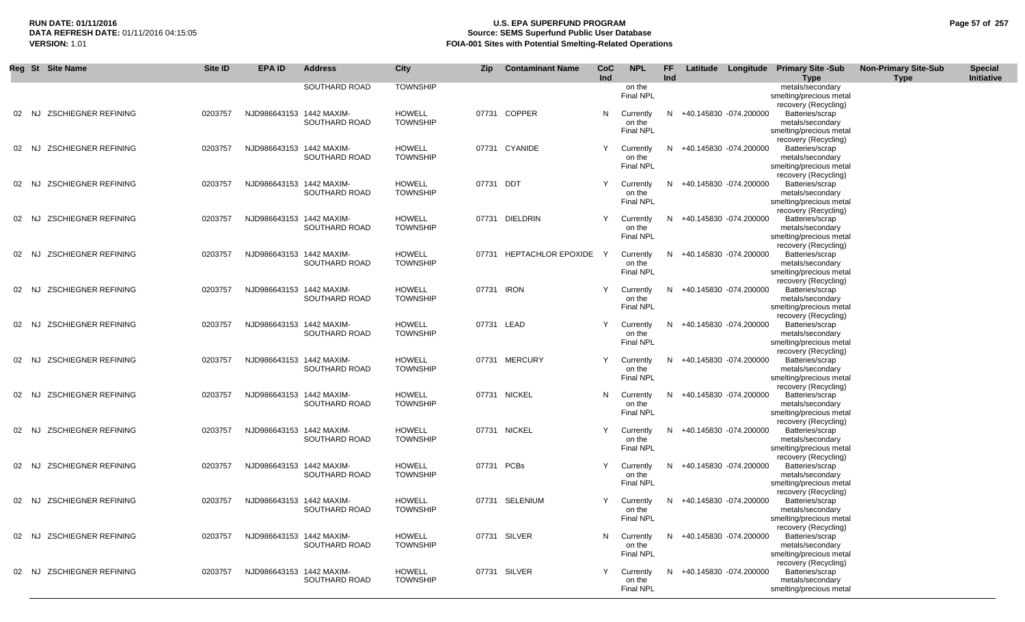## **RUN DATE: 01/11/2016 U.S. EPA SUPERFUND PROGRAM Page 57 of 257 Source: SEMS Superfund Public User Database VERSION:** 1.01 **FOIA-001 Sites with Potential Smelting-Related Operations**

|    | Reg St Site Name                    | <b>Site ID</b> | <b>EPA ID</b>            | <b>Address</b> | City                             | Zip        | <b>Contaminant Name</b>  | CoC<br>Ind | <b>NPL</b>                              | FF<br>Ind |                          | Latitude Longitude Primary Site -Sub<br><b>Type</b>                                                            | <b>Non-Primary Site-Sub</b><br><b>Type</b> | <b>Special</b><br>Initiative |
|----|-------------------------------------|----------------|--------------------------|----------------|----------------------------------|------------|--------------------------|------------|-----------------------------------------|-----------|--------------------------|----------------------------------------------------------------------------------------------------------------|--------------------------------------------|------------------------------|
|    |                                     |                |                          | SOUTHARD ROAD  | <b>TOWNSHIP</b>                  |            |                          |            | on the<br>Final NPL                     |           |                          | metals/secondary<br>smelting/precious metal<br>recovery (Recycling)                                            |                                            |                              |
|    | 02 NJ ZSCHIEGNER REFINING           | 0203757        | NJD986643153 1442 MAXIM- | SOUTHARD ROAD  | <b>HOWELL</b><br><b>TOWNSHIP</b> |            | 07731 COPPER             | N          | Currently<br>on the<br><b>Final NPL</b> | N.        | +40.145830 -074.200000   | Batteries/scrap<br>metals/secondary<br>smelting/precious metal                                                 |                                            |                              |
|    | 02 NJ ZSCHIEGNER REFINING           | 0203757        | NJD986643153 1442 MAXIM- | SOUTHARD ROAD  | <b>HOWELL</b><br><b>TOWNSHIP</b> |            | 07731 CYANIDE            | Y          | Currently<br>on the<br><b>Final NPL</b> | N.        | +40.145830 -074.200000   | recovery (Recycling)<br>Batteries/scrap<br>metals/secondary<br>smelting/precious metal                         |                                            |                              |
|    | 02 NJ ZSCHIEGNER REFINING           | 0203757        | NJD986643153 1442 MAXIM- | SOUTHARD ROAD  | HOWELL<br><b>TOWNSHIP</b>        | 07731 DDT  |                          | Y          | Currently<br>on the<br>Final NPL        | N.        | +40.145830 -074.200000   | recovery (Recycling)<br>Batteries/scrap<br>metals/secondary<br>smelting/precious metal                         |                                            |                              |
|    | 02 NJ ZSCHIEGNER REFINING           | 0203757        | NJD986643153 1442 MAXIM- | SOUTHARD ROAD  | <b>HOWELL</b><br><b>TOWNSHIP</b> |            | 07731 DIELDRIN           | Y          | Currently<br>on the<br>Final NPL        | N.        | +40.145830 -074.200000   | recovery (Recycling)<br>Batteries/scrap<br>metals/secondary<br>smelting/precious metal                         |                                            |                              |
|    | 02 NJ ZSCHIEGNER REFINING           | 0203757        | NJD986643153 1442 MAXIM- | SOUTHARD ROAD  | <b>HOWELL</b><br><b>TOWNSHIP</b> |            | 07731 HEPTACHLOR EPOXIDE | Y          | Currently<br>on the<br><b>Final NPL</b> | N         | +40.145830 -074.200000   | recovery (Recycling)<br>Batteries/scrap<br>metals/secondary<br>smelting/precious metal                         |                                            |                              |
|    | 02 NJ ZSCHIEGNER REFINING           | 0203757        | NJD986643153 1442 MAXIM- | SOUTHARD ROAD  | <b>HOWELL</b><br><b>TOWNSHIP</b> | 07731 IRON |                          |            | Currently<br>on the<br><b>Final NPL</b> | N.        | +40.145830 -074.200000   | recovery (Recycling)<br>Batteries/scrap<br>metals/secondary<br>smelting/precious metal                         |                                            |                              |
| 02 | <b>ZSCHIEGNER REFINING</b><br>NJ    | 0203757        | NJD986643153 1442 MAXIM- | SOUTHARD ROAD  | <b>HOWELL</b><br><b>TOWNSHIP</b> | 07731 LEAD |                          | Y          | Currently<br>on the<br>Final NPL        | N         | +40.145830 -074.200000   | recovery (Recycling)<br>Batteries/scrap<br>metals/secondary<br>smelting/precious metal                         |                                            |                              |
| 02 | <b>ZSCHIEGNER REFINING</b><br>NJ.   | 0203757        | NJD986643153 1442 MAXIM- | SOUTHARD ROAD  | <b>HOWELL</b><br><b>TOWNSHIP</b> |            | 07731 MERCURY            | Y          | Currently<br>on the<br>Final NPL        | N         | +40.145830 -074.200000   | recovery (Recycling)<br>Batteries/scrap<br>metals/secondary<br>smelting/precious metal                         |                                            |                              |
|    | <b>ZSCHIEGNER REFINING</b><br>02 NJ | 0203757        | NJD986643153 1442 MAXIM- | SOUTHARD ROAD  | <b>HOWELL</b><br><b>TOWNSHIP</b> |            | 07731 NICKEL             | N          | Currently<br>on the<br><b>Final NPL</b> | N.        | +40.145830 -074.200000   | recovery (Recycling)<br>Batteries/scrap<br>metals/secondary<br>smelting/precious metal                         |                                            |                              |
|    | 02 NJ ZSCHIEGNER REFINING           | 0203757        | NJD986643153 1442 MAXIM- | SOUTHARD ROAD  | <b>HOWELL</b><br><b>TOWNSHIP</b> |            | 07731 NICKEL             |            | Currently<br>on the<br><b>Final NPL</b> | N.        | +40.145830 -074.200000   | recovery (Recycling)<br>Batteries/scrap<br>metals/secondary<br>smelting/precious metal                         |                                            |                              |
|    | 02 NJ ZSCHIEGNER REFINING           | 0203757        | NJD986643153 1442 MAXIM- | SOUTHARD ROAD  | <b>HOWELL</b><br><b>TOWNSHIP</b> | 07731 PCBs |                          | Y          | Currently<br>on the<br><b>Final NPL</b> | N.        | +40.145830 -074.200000   | recovery (Recycling)<br>Batteries/scrap<br>metals/secondary<br>smelting/precious metal<br>recovery (Recycling) |                                            |                              |
|    | <b>ZSCHIEGNER REFINING</b><br>02 NJ | 0203757        | NJD986643153 1442 MAXIM- | SOUTHARD ROAD  | <b>HOWELL</b><br><b>TOWNSHIP</b> |            | 07731 SELENIUM           |            | Currently<br>on the<br>Final NPL        | N.        | +40.145830 -074.200000   | Batteries/scrap<br>metals/secondary<br>smelting/precious metal<br>recovery (Recycling)                         |                                            |                              |
|    | 02 NJ ZSCHIEGNER REFINING           | 0203757        | NJD986643153 1442 MAXIM- | SOUTHARD ROAD  | <b>HOWELL</b><br><b>TOWNSHIP</b> |            | 07731 SILVER             | N.         | Currently<br>on the<br><b>Final NPL</b> |           | N +40.145830 -074.200000 | Batteries/scrap<br>metals/secondary<br>smelting/precious metal                                                 |                                            |                              |
|    | 02 NJ ZSCHIEGNER REFINING           | 0203757        | NJD986643153 1442 MAXIM- | SOUTHARD ROAD  | <b>HOWELL</b><br><b>TOWNSHIP</b> |            | 07731 SILVER             | Y          | Currently<br>on the<br><b>Final NPL</b> | N.        | +40.145830 -074.200000   | recovery (Recycling)<br>Batteries/scrap<br>metals/secondary<br>smelting/precious metal                         |                                            |                              |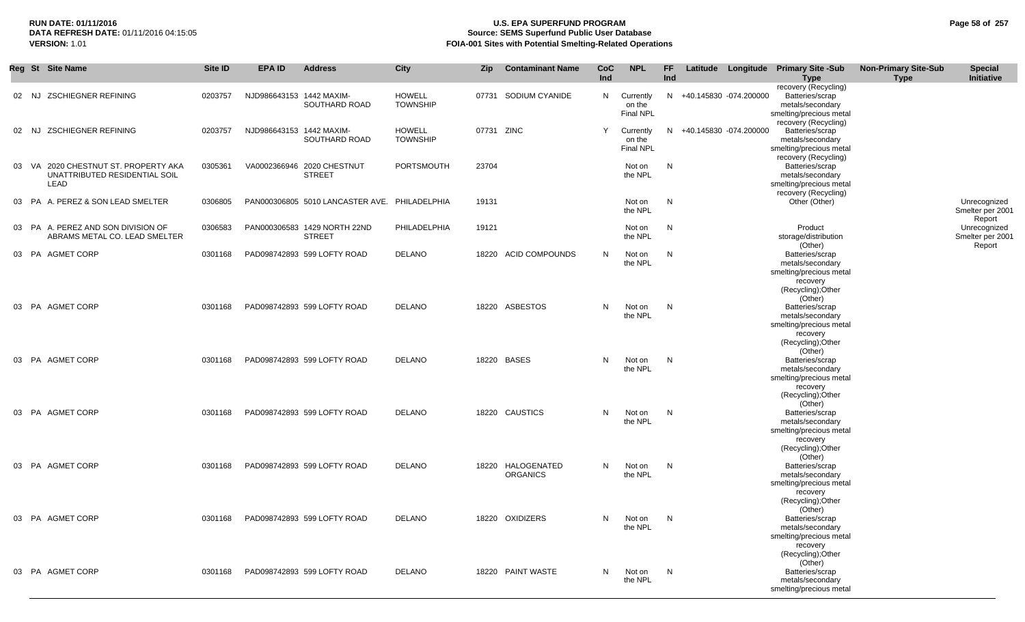## **RUN DATE: 01/11/2016 U.S. EPA SUPERFUND PROGRAM Page 58 of 257 Source: SEMS Superfund Public User Database VERSION:** 1.01 **FOIA-001 Sites with Potential Smelting-Related Operations**

|       | Reg St Site Name                                                        | Site ID | <b>EPA ID</b>            | <b>Address</b>                                | City                             | <b>Zip</b> | <b>Contaminant Name</b>              | CoC<br><b>Ind</b> | <b>NPL</b>                              | FF.<br>Ind |                          | Latitude Longitude Primary Site -Sub<br><b>Type</b>                                                                     | <b>Non-Primary Site-Sub</b><br><b>Type</b> | <b>Special</b><br>Initiative               |
|-------|-------------------------------------------------------------------------|---------|--------------------------|-----------------------------------------------|----------------------------------|------------|--------------------------------------|-------------------|-----------------------------------------|------------|--------------------------|-------------------------------------------------------------------------------------------------------------------------|--------------------------------------------|--------------------------------------------|
| 02 NJ | <b>ZSCHIEGNER REFINING</b>                                              | 0203757 | NJD986643153 1442 MAXIM- | SOUTHARD ROAD                                 | <b>HOWELL</b><br><b>TOWNSHIP</b> | 07731      | SODIUM CYANIDE                       | N                 | Currently<br>on the<br><b>Final NPL</b> |            | N +40.145830 -074.200000 | recovery (Recycling)<br>Batteries/scrap<br>metals/secondary<br>smelting/precious metal                                  |                                            |                                            |
| 02 NJ | <b>ZSCHIEGNER REFINING</b>                                              | 0203757 | NJD986643153 1442 MAXIM- | SOUTHARD ROAD                                 | <b>HOWELL</b><br><b>TOWNSHIP</b> | 07731 ZINC |                                      | Y                 | Currently<br>on the<br><b>Final NPL</b> |            | N +40.145830 -074.200000 | recovery (Recycling)<br>Batteries/scrap<br>metals/secondary<br>smelting/precious metal<br>recovery (Recycling)          |                                            |                                            |
| 03 VA | 2020 CHESTNUT ST. PROPERTY AKA<br>UNATTRIBUTED RESIDENTIAL SOIL<br>LEAD | 0305361 |                          | VA0002366946 2020 CHESTNUT<br><b>STREET</b>   | PORTSMOUTH                       | 23704      |                                      |                   | Not on<br>the NPL                       | N          |                          | Batteries/scrap<br>metals/secondary<br>smelting/precious metal<br>recovery (Recycling)                                  |                                            |                                            |
|       | 03 PA A. PEREZ & SON LEAD SMELTER                                       | 0306805 |                          | PAN000306805 5010 LANCASTER AVE. PHILADELPHIA |                                  | 19131      |                                      |                   | Not on<br>the NPL                       | N          |                          | Other (Other)                                                                                                           |                                            | Unrecognized<br>Smelter per 2001           |
|       | 03 PA A. PEREZ AND SON DIVISION OF<br>ABRAMS METAL CO. LEAD SMELTER     | 0306583 |                          | PAN000306583 1429 NORTH 22ND<br><b>STREET</b> | PHILADELPHIA                     | 19121      |                                      |                   | Not on<br>the NPL                       | N          |                          | Product<br>storage/distribution                                                                                         |                                            | Report<br>Unrecognized<br>Smelter per 2001 |
|       | 03 PA AGMET CORP                                                        | 0301168 |                          | PAD098742893 599 LOFTY ROAD                   | <b>DELANO</b>                    |            | 18220 ACID COMPOUNDS                 | N                 | Not on<br>the NPL                       | N          |                          | (Other)<br>Batteries/scrap<br>metals/secondary<br>smelting/precious metal<br>recovery                                   |                                            | Report                                     |
|       | 03 PA AGMET CORP                                                        | 0301168 |                          | PAD098742893 599 LOFTY ROAD                   | <b>DELANO</b>                    |            | 18220 ASBESTOS                       | N                 | Not on<br>the NPL                       | N          |                          | (Recycling); Other<br>(Other)<br>Batteries/scrap<br>metals/secondary<br>smelting/precious metal                         |                                            |                                            |
|       | 03 PA AGMET CORP                                                        | 0301168 |                          | PAD098742893 599 LOFTY ROAD                   | DELANO                           |            | 18220 BASES                          | N                 | Not on<br>the NPL                       | N.         |                          | recovery<br>(Recycling); Other<br>(Other)<br>Batteries/scrap<br>metals/secondary<br>smelting/precious metal             |                                            |                                            |
|       | 03 PA AGMET CORP                                                        | 0301168 |                          | PAD098742893 599 LOFTY ROAD                   | <b>DELANO</b>                    |            | 18220 CAUSTICS                       | N                 | Not on<br>the NPL                       | N          |                          | recovery<br>(Recycling); Other<br>(Other)<br>Batteries/scrap<br>metals/secondary<br>smelting/precious metal<br>recovery |                                            |                                            |
|       | 03 PA AGMET CORP                                                        | 0301168 |                          | PAD098742893 599 LOFTY ROAD                   | <b>DELANO</b>                    |            | 18220 HALOGENATED<br><b>ORGANICS</b> | N                 | Not on<br>the NPL                       | N          |                          | (Recycling); Other<br>(Other)<br>Batteries/scrap<br>metals/secondary<br>smelting/precious metal<br>recovery             |                                            |                                            |
|       | 03 PA AGMET CORP                                                        | 0301168 |                          | PAD098742893 599 LOFTY ROAD                   | <b>DELANO</b>                    |            | 18220 OXIDIZERS                      | N                 | Not on<br>the NPL                       | N          |                          | (Recycling); Other<br>(Other)<br>Batteries/scrap<br>metals/secondary<br>smelting/precious metal<br>recovery             |                                            |                                            |
|       | 03 PA AGMET CORP                                                        | 0301168 |                          | PAD098742893 599 LOFTY ROAD                   | DELANO                           |            | 18220 PAINT WASTE                    | N                 | Not on<br>the NPL                       | N.         |                          | (Recycling); Other<br>(Other)<br>Batteries/scrap<br>metals/secondary<br>smelting/precious metal                         |                                            |                                            |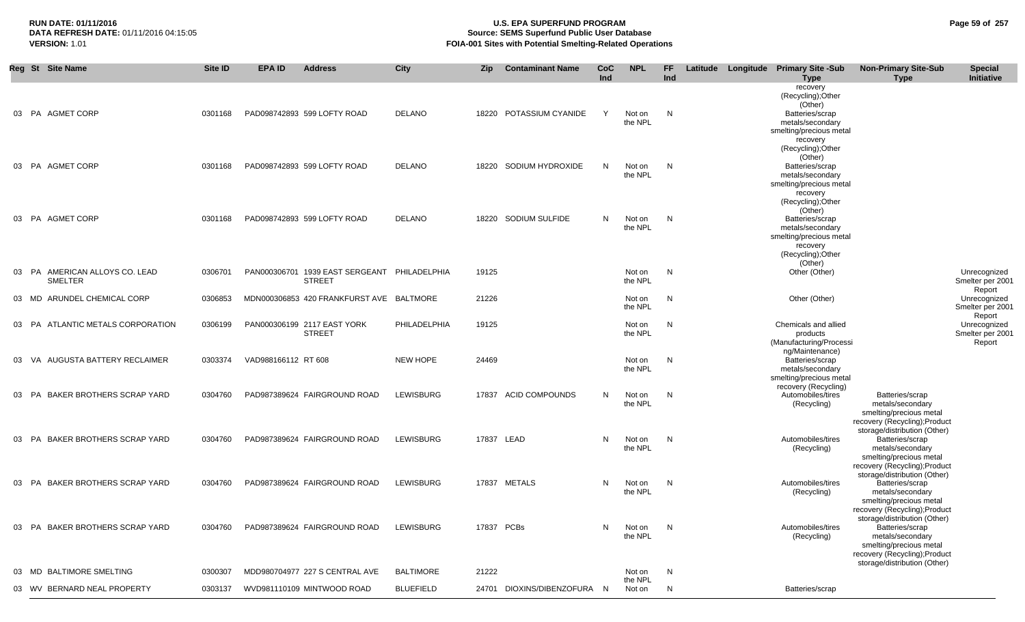# **RUN DATE: 01/11/2016 U.S. EPA SUPERFUND PROGRAM Page 59 of 257 Source: SEMS Superfund Public User Database VERSION:** 1.01 **FOIA-001 Sites with Potential Smelting-Related Operations**

|    | Reg St Site Name                          | Site ID | <b>EPA ID</b>       | <b>Address</b>                               | City             | Zip        | <b>Contaminant Name</b>     | CoC<br>Ind | <b>NPL</b>        | FF.<br>Ind |  | Latitude Longitude Primary Site -Sub      | <b>Non-Primary Site-Sub</b>                 | <b>Special</b>             |
|----|-------------------------------------------|---------|---------------------|----------------------------------------------|------------------|------------|-----------------------------|------------|-------------------|------------|--|-------------------------------------------|---------------------------------------------|----------------------------|
|    |                                           |         |                     |                                              |                  |            |                             |            |                   |            |  | <b>Type</b>                               | <b>Type</b>                                 | <b>Initiative</b>          |
|    |                                           |         |                     |                                              |                  |            |                             |            |                   |            |  | recovery<br>(Recycling); Other<br>(Other) |                                             |                            |
|    | 03 PA AGMET CORP                          | 0301168 |                     | PAD098742893 599 LOFTY ROAD                  | <b>DELANO</b>    |            | 18220 POTASSIUM CYANIDE     | Y          | Not on            | N          |  | Batteries/scrap                           |                                             |                            |
|    |                                           |         |                     |                                              |                  |            |                             |            | the NPL           |            |  | metals/secondary                          |                                             |                            |
|    |                                           |         |                     |                                              |                  |            |                             |            |                   |            |  | smelting/precious metal                   |                                             |                            |
|    |                                           |         |                     |                                              |                  |            |                             |            |                   |            |  | recovery                                  |                                             |                            |
|    |                                           |         |                     |                                              |                  |            |                             |            |                   |            |  | (Recycling);Other<br>(Other)              |                                             |                            |
|    | 03 PA AGMET CORP                          | 0301168 |                     | PAD098742893 599 LOFTY ROAD                  | <b>DELANO</b>    | 18220      | SODIUM HYDROXIDE            | N          | Not on            | N          |  | Batteries/scrap                           |                                             |                            |
|    |                                           |         |                     |                                              |                  |            |                             |            | the NPL           |            |  | metals/secondary                          |                                             |                            |
|    |                                           |         |                     |                                              |                  |            |                             |            |                   |            |  | smelting/precious metal                   |                                             |                            |
|    |                                           |         |                     |                                              |                  |            |                             |            |                   |            |  | recovery<br>(Recycling); Other            |                                             |                            |
|    |                                           |         |                     |                                              |                  |            |                             |            |                   |            |  | (Other)                                   |                                             |                            |
|    | 03 PA AGMET CORP                          | 0301168 |                     | PAD098742893 599 LOFTY ROAD                  | <b>DELANO</b>    |            | 18220 SODIUM SULFIDE        | N          | Not on            | N          |  | Batteries/scrap                           |                                             |                            |
|    |                                           |         |                     |                                              |                  |            |                             |            | the NPL           |            |  | metals/secondary                          |                                             |                            |
|    |                                           |         |                     |                                              |                  |            |                             |            |                   |            |  | smelting/precious metal                   |                                             |                            |
|    |                                           |         |                     |                                              |                  |            |                             |            |                   |            |  | recovery<br>(Recycling); Other            |                                             |                            |
|    |                                           |         |                     |                                              |                  |            |                             |            |                   |            |  | (Other)                                   |                                             |                            |
|    | 03 PA AMERICAN ALLOYS CO. LEAD            | 0306701 |                     | PAN000306701 1939 EAST SERGEANT PHILADELPHIA |                  | 19125      |                             |            | Not on            | N          |  | Other (Other)                             |                                             | Unrecognized               |
|    | <b>SMELTER</b>                            |         |                     | <b>STREET</b>                                |                  |            |                             |            | the NPL           |            |  |                                           |                                             | Smelter per 2001<br>Report |
|    | 03 MD ARUNDEL CHEMICAL CORP               | 0306853 |                     | MDN000306853 420 FRANKFURST AVE BALTMORE     |                  | 21226      |                             |            | Not on            | N          |  | Other (Other)                             |                                             | Unrecognized               |
|    |                                           |         |                     |                                              |                  |            |                             |            | the NPL           |            |  |                                           |                                             | Smelter per 2001           |
| 03 | ATLANTIC METALS CORPORATION<br>PA         | 0306199 |                     | PAN000306199 2117 EAST YORK                  | PHILADELPHIA     | 19125      |                             |            | Not on            | N          |  | Chemicals and allied                      |                                             | Report<br>Unrecognized     |
|    |                                           |         |                     | <b>STREET</b>                                |                  |            |                             |            | the NPL           |            |  | products                                  |                                             | Smelter per 2001           |
|    |                                           |         |                     |                                              |                  |            |                             |            |                   |            |  | (Manufacturing/Processi                   |                                             | Report                     |
| 03 | AUGUSTA BATTERY RECLAIMER<br>VA           | 0303374 | VAD988166112 RT 608 |                                              | <b>NEW HOPE</b>  | 24469      |                             |            | Not on            | N          |  | ng/Maintenance)<br>Batteries/scrap        |                                             |                            |
|    |                                           |         |                     |                                              |                  |            |                             |            | the NPL           |            |  | metals/secondary                          |                                             |                            |
|    |                                           |         |                     |                                              |                  |            |                             |            |                   |            |  | smelting/precious metal                   |                                             |                            |
|    |                                           |         |                     |                                              |                  |            |                             |            |                   |            |  | recovery (Recycling)                      |                                             |                            |
|    | <b>BAKER BROTHERS SCRAP YARD</b><br>03 PA | 0304760 |                     | PAD987389624 FAIRGROUND ROAD                 | <b>LEWISBURG</b> |            | 17837 ACID COMPOUNDS        | N          | Not on<br>the NPL | N          |  | Automobiles/tires<br>(Recycling)          | Batteries/scrap<br>metals/secondary         |                            |
|    |                                           |         |                     |                                              |                  |            |                             |            |                   |            |  |                                           | smelting/precious metal                     |                            |
|    |                                           |         |                     |                                              |                  |            |                             |            |                   |            |  |                                           | recovery (Recycling); Product               |                            |
|    |                                           |         |                     |                                              |                  |            |                             |            |                   |            |  |                                           | storage/distribution (Other)                |                            |
| 03 | <b>BAKER BROTHERS SCRAP YARD</b><br>PA    | 0304760 |                     | PAD987389624 FAIRGROUND ROAD                 | <b>LEWISBURG</b> | 17837 LEAD |                             | N          | Not on<br>the NPL | N          |  | Automobiles/tires<br>(Recycling)          | Batteries/scrap<br>metals/secondary         |                            |
|    |                                           |         |                     |                                              |                  |            |                             |            |                   |            |  |                                           | smelting/precious metal                     |                            |
|    |                                           |         |                     |                                              |                  |            |                             |            |                   |            |  |                                           | recovery (Recycling); Product               |                            |
|    |                                           |         |                     |                                              |                  |            |                             |            |                   |            |  |                                           | storage/distribution (Other)                |                            |
|    | 03 PA BAKER BROTHERS SCRAP YARD           | 0304760 |                     | PAD987389624 FAIRGROUND ROAD                 | <b>LEWISBURG</b> |            | 17837 METALS                | N          | Not on<br>the NPL | N          |  | Automobiles/tires                         | Batteries/scrap<br>metals/secondary         |                            |
|    |                                           |         |                     |                                              |                  |            |                             |            |                   |            |  | (Recycling)                               | smelting/precious metal                     |                            |
|    |                                           |         |                     |                                              |                  |            |                             |            |                   |            |  |                                           | recovery (Recycling); Product               |                            |
|    |                                           |         |                     |                                              |                  |            |                             |            |                   |            |  |                                           | storage/distribution (Other)                |                            |
|    | 03 PA BAKER BROTHERS SCRAP YARD           | 0304760 |                     | PAD987389624 FAIRGROUND ROAD                 | <b>LEWISBURG</b> | 17837 PCBs |                             | N          | Not on            | N          |  | Automobiles/tires                         | Batteries/scrap                             |                            |
|    |                                           |         |                     |                                              |                  |            |                             |            | the NPL           |            |  | (Recycling)                               | metals/secondary<br>smelting/precious metal |                            |
|    |                                           |         |                     |                                              |                  |            |                             |            |                   |            |  |                                           | recovery (Recycling); Product               |                            |
|    |                                           |         |                     |                                              |                  |            |                             |            |                   |            |  |                                           | storage/distribution (Other)                |                            |
|    | <b>BALTIMORE SMELTING</b><br>03 MD        | 0300307 |                     | MDD980704977 227 S CENTRAL AVE               | <b>BALTIMORE</b> | 21222      |                             |            | Not on            | N          |  |                                           |                                             |                            |
|    | 03 WV BERNARD NEAL PROPERTY               | 0303137 |                     | WVD981110109 MINTWOOD ROAD                   | <b>BLUEFIELD</b> |            | 24701 DIOXINS/DIBENZOFURA N |            | the NPL<br>Not on | N          |  | Batteries/scrap                           |                                             |                            |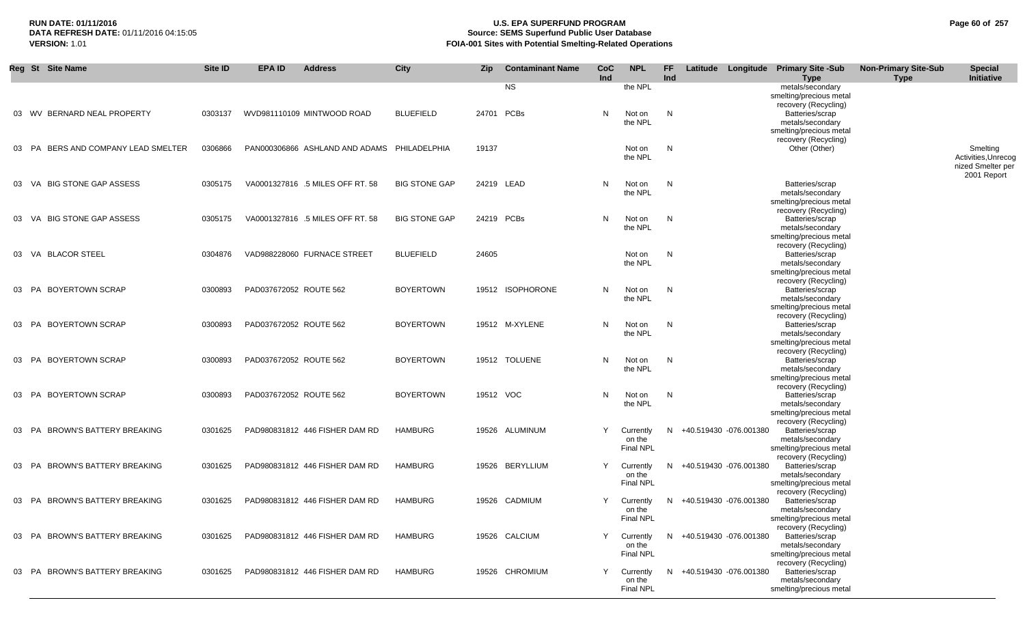## **RUN DATE: 01/11/2016 U.S. EPA SUPERFUND PROGRAM Page 60 of 257 Source: SEMS Superfund Public User Database VERSION:** 1.01 **FOIA-001 Sites with Potential Smelting-Related Operations**

|          | Reg St Site Name                 | Site ID | EPA ID                 | <b>Address</b>                              | City                 | <b>Zip</b> | <b>Contaminant Name</b> | <b>CoC</b> | <b>NPL</b>       | FF. |                          | Latitude Longitude Primary Site -Sub        | <b>Non-Primary Site-Sub</b> | <b>Special</b>      |
|----------|----------------------------------|---------|------------------------|---------------------------------------------|----------------------|------------|-------------------------|------------|------------------|-----|--------------------------|---------------------------------------------|-----------------------------|---------------------|
|          |                                  |         |                        |                                             |                      |            | <b>NS</b>               | Ind        | the NPL          | Ind |                          | <b>Type</b><br>metals/secondary             | <b>Type</b>                 | Initiative          |
|          |                                  |         |                        |                                             |                      |            |                         |            |                  |     |                          | smelting/precious metal                     |                             |                     |
|          |                                  |         |                        |                                             |                      |            |                         |            |                  |     |                          | recovery (Recycling)                        |                             |                     |
|          | 03 WV BERNARD NEAL PROPERTY      | 0303137 |                        | WVD981110109 MINTWOOD ROAD                  | <b>BLUEFIELD</b>     |            | 24701 PCBs              | N          | Not on           | N   |                          | Batteries/scrap                             |                             |                     |
|          |                                  |         |                        |                                             |                      |            |                         |            | the NPL          |     |                          | metals/secondary                            |                             |                     |
|          |                                  |         |                        |                                             |                      |            |                         |            |                  |     |                          | smelting/precious metal                     |                             |                     |
|          |                                  |         |                        |                                             |                      |            |                         |            |                  |     |                          | recovery (Recycling)                        |                             |                     |
| 03       | PA BERS AND COMPANY LEAD SMELTER | 0306866 |                        | PAN000306866 ASHLAND AND ADAMS PHILADELPHIA |                      | 19137      |                         |            | Not on           | N   |                          | Other (Other)                               |                             | Smelting            |
|          |                                  |         |                        |                                             |                      |            |                         |            | the NPL          |     |                          |                                             |                             | Activities, Unrecog |
|          |                                  |         |                        |                                             |                      |            |                         |            |                  |     |                          |                                             |                             | nized Smelter per   |
|          |                                  |         |                        |                                             |                      |            |                         |            |                  |     |                          |                                             |                             | 2001 Report         |
|          | 03 VA BIG STONE GAP ASSESS       | 0305175 |                        | VA0001327816 .5 MILES OFF RT. 58            | <b>BIG STONE GAP</b> |            | 24219 LEAD              | N          | Not on           | N   |                          | Batteries/scrap                             |                             |                     |
|          |                                  |         |                        |                                             |                      |            |                         |            | the NPL          |     |                          | metals/secondary                            |                             |                     |
|          |                                  |         |                        |                                             |                      |            |                         |            |                  |     |                          | smelting/precious metal                     |                             |                     |
|          |                                  |         |                        |                                             |                      |            |                         |            |                  |     |                          | recovery (Recycling)                        |                             |                     |
|          | 03 VA BIG STONE GAP ASSESS       | 0305175 |                        | VA0001327816 .5 MILES OFF RT. 58            | <b>BIG STONE GAP</b> |            | 24219 PCBs              | N          | Not on           | N   |                          | Batteries/scrap                             |                             |                     |
|          |                                  |         |                        |                                             |                      |            |                         |            | the NPL          |     |                          | metals/secondary                            |                             |                     |
|          |                                  |         |                        |                                             |                      |            |                         |            |                  |     |                          | smelting/precious metal                     |                             |                     |
|          |                                  |         |                        |                                             |                      |            |                         |            |                  |     |                          | recovery (Recycling)                        |                             |                     |
| 03       | VA BLACOR STEEL                  | 0304876 |                        | VAD988228060 FURNACE STREET                 | <b>BLUEFIELD</b>     | 24605      |                         |            | Not on           | N   |                          | Batteries/scrap                             |                             |                     |
|          |                                  |         |                        |                                             |                      |            |                         |            | the NPL          |     |                          | metals/secondary                            |                             |                     |
|          |                                  |         |                        |                                             |                      |            |                         |            |                  |     |                          | smelting/precious metal                     |                             |                     |
|          |                                  |         |                        |                                             |                      |            |                         |            |                  |     |                          | recovery (Recycling)                        |                             |                     |
| 03       | PA BOYERTOWN SCRAP               | 0300893 | PAD037672052 ROUTE 562 |                                             | <b>BOYERTOWN</b>     |            | 19512 ISOPHORONE        | N          | Not on           | N   |                          | Batteries/scrap                             |                             |                     |
|          |                                  |         |                        |                                             |                      |            |                         |            | the NPL          |     |                          | metals/secondary                            |                             |                     |
|          |                                  |         |                        |                                             |                      |            |                         |            |                  |     |                          | smelting/precious metal                     |                             |                     |
|          |                                  |         |                        |                                             |                      |            |                         |            |                  |     |                          | recovery (Recycling)                        |                             |                     |
| 03       | PA BOYERTOWN SCRAP               | 0300893 | PAD037672052 ROUTE 562 |                                             | <b>BOYERTOWN</b>     |            | 19512 M-XYLENE          | N          | Not on           | N   |                          | Batteries/scrap                             |                             |                     |
|          |                                  |         |                        |                                             |                      |            |                         |            | the NPL          |     |                          | metals/secondary                            |                             |                     |
|          |                                  |         |                        |                                             |                      |            |                         |            |                  |     |                          | smelting/precious metal                     |                             |                     |
|          | 03 PA BOYERTOWN SCRAP            |         |                        |                                             |                      |            |                         |            |                  |     |                          | recovery (Recycling)                        |                             |                     |
|          |                                  | 0300893 | PAD037672052 ROUTE 562 |                                             | <b>BOYERTOWN</b>     |            | 19512 TOLUENE           | N          | Not on           | N   |                          | Batteries/scrap                             |                             |                     |
|          |                                  |         |                        |                                             |                      |            |                         |            | the NPL          |     |                          | metals/secondary<br>smelting/precious metal |                             |                     |
|          |                                  |         |                        |                                             |                      |            |                         |            |                  |     |                          |                                             |                             |                     |
|          | 03 PA BOYERTOWN SCRAP            | 0300893 | PAD037672052 ROUTE 562 |                                             | <b>BOYERTOWN</b>     | 19512 VOC  |                         | N          | Not on           | N   |                          | recovery (Recycling)<br>Batteries/scrap     |                             |                     |
|          |                                  |         |                        |                                             |                      |            |                         |            | the NPL          |     |                          | metals/secondary                            |                             |                     |
|          |                                  |         |                        |                                             |                      |            |                         |            |                  |     |                          | smelting/precious metal                     |                             |                     |
|          |                                  |         |                        |                                             |                      |            |                         |            |                  |     |                          | recovery (Recycling)                        |                             |                     |
| 03<br>PA | BROWN'S BATTERY BREAKING         | 0301625 |                        | PAD980831812 446 FISHER DAM RD              | <b>HAMBURG</b>       |            | 19526 ALUMINUM          |            | Currently        | N.  | +40.519430 -076.001380   | Batteries/scrap                             |                             |                     |
|          |                                  |         |                        |                                             |                      |            |                         |            | on the           |     |                          | metals/secondary                            |                             |                     |
|          |                                  |         |                        |                                             |                      |            |                         |            | <b>Final NPL</b> |     |                          | smelting/precious metal                     |                             |                     |
|          |                                  |         |                        |                                             |                      |            |                         |            |                  |     |                          | recovery (Recycling)                        |                             |                     |
| 03       | PA BROWN'S BATTERY BREAKING      | 0301625 |                        | PAD980831812 446 FISHER DAM RD              | <b>HAMBURG</b>       |            | 19526 BERYLLIUM         |            | Currently        | N.  | +40.519430 -076.001380   | Batteries/scrap                             |                             |                     |
|          |                                  |         |                        |                                             |                      |            |                         |            | on the           |     |                          | metals/secondary                            |                             |                     |
|          |                                  |         |                        |                                             |                      |            |                         |            | <b>Final NPL</b> |     |                          | smelting/precious metal                     |                             |                     |
|          |                                  |         |                        |                                             |                      |            |                         |            |                  |     |                          | recovery (Recycling)                        |                             |                     |
|          | 03 PA BROWN'S BATTERY BREAKING   | 0301625 |                        | PAD980831812 446 FISHER DAM RD              | <b>HAMBURG</b>       |            | 19526 CADMIUM           |            | Currently        | N   | +40.519430 -076.001380   | Batteries/scrap                             |                             |                     |
|          |                                  |         |                        |                                             |                      |            |                         |            | on the           |     |                          | metals/secondary                            |                             |                     |
|          |                                  |         |                        |                                             |                      |            |                         |            | <b>Final NPL</b> |     |                          | smelting/precious metal                     |                             |                     |
|          |                                  |         |                        |                                             |                      |            |                         |            |                  |     |                          | recovery (Recycling)                        |                             |                     |
|          | 03 PA BROWN'S BATTERY BREAKING   | 0301625 |                        | PAD980831812 446 FISHER DAM RD              | <b>HAMBURG</b>       |            | 19526 CALCIUM           |            | Currently        |     | N +40.519430 -076.001380 | Batteries/scrap                             |                             |                     |
|          |                                  |         |                        |                                             |                      |            |                         |            | on the           |     |                          | metals/secondary                            |                             |                     |
|          |                                  |         |                        |                                             |                      |            |                         |            | <b>Final NPL</b> |     |                          | smelting/precious metal                     |                             |                     |
|          |                                  |         |                        |                                             |                      |            |                         |            |                  |     |                          | recovery (Recycling)                        |                             |                     |
|          | 03 PA BROWN'S BATTERY BREAKING   | 0301625 |                        | PAD980831812 446 FISHER DAM RD              | <b>HAMBURG</b>       |            | 19526 CHROMIUM          |            | Currently        |     | N +40.519430 -076.001380 | Batteries/scrap                             |                             |                     |
|          |                                  |         |                        |                                             |                      |            |                         |            | on the           |     |                          | metals/secondary                            |                             |                     |
|          |                                  |         |                        |                                             |                      |            |                         |            | <b>Final NPL</b> |     |                          | smelting/precious metal                     |                             |                     |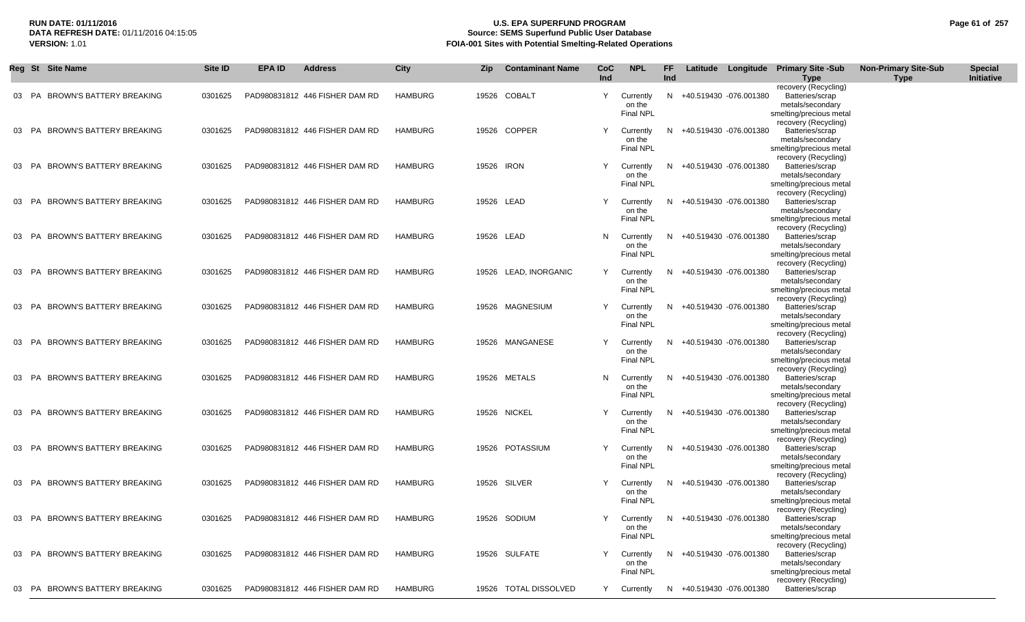### **RUN DATE: 01/11/2016 U.S. EPA SUPERFUND PROGRAM Page 61 of 257** DATA REFRESH DATE: 01/11/2016 04:15:05<br>**VERSION: 1.01** Source: SEMS Superfund Public User Database<br>FOIA-001 Sites with Potential Smelting-Related Operat **FOIA-001 Sites with Potential Smelting-Related Operations**

|          |          | Reg St Site Name                                            | Site ID            | EPA ID | <b>Address</b>                                                   | City                      | <b>Zip</b> | <b>Contaminant Name</b>         | CoC<br>Ind | <b>NPL</b>                                    | FF.<br>Ind |                                                  | Latitude Longitude Primary Site -Sub<br>Type                                                                   | <b>Non-Primary Site-Sub</b><br><b>Type</b> | <b>Special</b><br>Initiative |
|----------|----------|-------------------------------------------------------------|--------------------|--------|------------------------------------------------------------------|---------------------------|------------|---------------------------------|------------|-----------------------------------------------|------------|--------------------------------------------------|----------------------------------------------------------------------------------------------------------------|--------------------------------------------|------------------------------|
| 03       | PA       | BROWN'S BATTERY BREAKING                                    | 0301625            |        | PAD980831812 446 FISHER DAM RD                                   | <b>HAMBURG</b>            |            | 19526 COBALT                    | Y          | Currently<br>on the<br><b>Final NPL</b>       | N          | +40.519430 -076.001380                           | recovery (Recycling)<br>Batteries/scrap<br>metals/secondary<br>smelting/precious metal<br>recovery (Recycling) |                                            |                              |
|          |          | 03 PA BROWN'S BATTERY BREAKING                              | 0301625            |        | PAD980831812 446 FISHER DAM RD                                   | <b>HAMBURG</b>            |            | 19526 COPPER                    | Y          | Currently<br>on the<br><b>Final NPL</b>       | N.         | +40.519430 -076.001380                           | Batteries/scrap<br>metals/secondary<br>smelting/precious metal<br>recovery (Recycling)                         |                                            |                              |
| 03       | PA       | BROWN'S BATTERY BREAKING                                    | 0301625            |        | PAD980831812 446 FISHER DAM RD                                   | <b>HAMBURG</b>            | 19526 IRON |                                 | Y          | Currently<br>on the<br><b>Final NPL</b>       | N          | +40.519430 -076.001380                           | Batteries/scrap<br>metals/secondary<br>smelting/precious metal<br>recovery (Recycling)                         |                                            |                              |
| 03       | PA       | <b>BROWN'S BATTERY BREAKING</b>                             | 0301625            |        | PAD980831812 446 FISHER DAM RD                                   | <b>HAMBURG</b>            |            | 19526 LEAD                      | Υ          | Currently<br>on the<br><b>Final NPL</b>       | N          | +40.519430 -076.001380                           | Batteries/scrap<br>metals/secondary<br>smelting/precious metal<br>recovery (Recycling)                         |                                            |                              |
| 03       | PA       | BROWN'S BATTERY BREAKING                                    | 0301625            |        | PAD980831812 446 FISHER DAM RD                                   | <b>HAMBURG</b>            |            | 19526 LEAD                      | N          | Currently<br>on the<br><b>Final NPL</b>       | N          | +40.519430 -076.001380                           | Batteries/scrap<br>metals/secondary<br>smelting/precious metal<br>recovery (Recycling)                         |                                            |                              |
| 03 PA    |          | <b>BROWN'S BATTERY BREAKING</b>                             | 0301625            |        | PAD980831812 446 FISHER DAM RD                                   | <b>HAMBURG</b>            | 19526      | LEAD, INORGANIC                 | Υ          | Currently<br>on the<br>Final NPL              | N          | +40.519430 -076.001380                           | Batteries/scrap<br>metals/secondary<br>smelting/precious metal<br>recovery (Recycling)                         |                                            |                              |
| 03       | PA       | BROWN'S BATTERY BREAKING                                    | 0301625            |        | PAD980831812 446 FISHER DAM RD<br>PAD980831812 446 FISHER DAM RD | <b>HAMBURG</b>            |            | 19526 MAGNESIUM                 | Υ<br>Y     | Currently<br>on the<br>Final NPL              | N.         | +40.519430 -076.001380<br>+40.519430 -076.001380 | Batteries/scrap<br>metals/secondary<br>smelting/precious metal<br>recovery (Recycling)                         |                                            |                              |
| 03<br>03 | PA<br>PA | <b>BROWN'S BATTERY BREAKING</b><br>BROWN'S BATTERY BREAKING | 0301625<br>0301625 |        | PAD980831812 446 FISHER DAM RD                                   | HAMBURG<br><b>HAMBURG</b> |            | 19526 MANGANESE<br>19526 METALS | N          | Currently<br>on the<br>Final NPL<br>Currently | N<br>N     | +40.519430 -076.001380                           | Batteries/scrap<br>metals/secondary<br>smelting/precious metal<br>recovery (Recycling)<br>Batteries/scrap      |                                            |                              |
| 03       | PA       | BROWN'S BATTERY BREAKING                                    | 0301625            |        | PAD980831812 446 FISHER DAM RD                                   | <b>HAMBURG</b>            |            | 19526 NICKEL                    | Υ          | on the<br><b>Final NPL</b><br>Currently       | N          | +40.519430 -076.001380                           | metals/secondary<br>smelting/precious metal<br>recovery (Recycling)<br>Batteries/scrap                         |                                            |                              |
| 03 PA    |          | BROWN'S BATTERY BREAKING                                    | 0301625            |        | PAD980831812 446 FISHER DAM RD                                   | <b>HAMBURG</b>            |            | 19526 POTASSIUM                 |            | on the<br><b>Final NPL</b><br>Currently       | N.         | +40.519430 -076.001380                           | metals/secondary<br>smelting/precious metal<br>recovery (Recycling)<br>Batteries/scrap                         |                                            |                              |
| 03 PA    |          | BROWN'S BATTERY BREAKING                                    | 0301625            |        | PAD980831812 446 FISHER DAM RD                                   | <b>HAMBURG</b>            |            | 19526 SILVER                    | Y          | on the<br><b>Final NPL</b><br>Currently       | N          | +40.519430 -076.001380                           | metals/secondary<br>smelting/precious metal<br>recovery (Recycling)<br>Batteries/scrap                         |                                            |                              |
|          |          | 03 PA BROWN'S BATTERY BREAKING                              | 0301625            |        | PAD980831812 446 FISHER DAM RD                                   | <b>HAMBURG</b>            |            | 19526 SODIUM                    | Y          | on the<br><b>Final NPL</b>                    |            | Currently N +40.519430 -076.001380               | metals/secondary<br>smelting/precious metal<br>recovery (Recycling)<br>Batteries/scrap                         |                                            |                              |
|          |          | 03 PA BROWN'S BATTERY BREAKING                              | 0301625            |        | PAD980831812 446 FISHER DAM RD                                   | HAMBURG                   |            | 19526 SULFATE                   | Y          | on the<br>Final NPL<br>Currently              | N          | +40.519430 -076.001380                           | metals/secondary<br>smelting/precious metal<br>recovery (Recycling)<br>Batteries/scrap                         |                                            |                              |
|          |          | 03 PA BROWN'S BATTERY BREAKING                              | 0301625            |        | PAD980831812 446 FISHER DAM RD                                   | <b>HAMBURG</b>            |            | 19526 TOTAL DISSOLVED           | Y          | on the<br><b>Final NPL</b><br>Currently       |            | N +40.519430 -076.001380                         | metals/secondary<br>smelting/precious metal<br>recovery (Recycling)<br>Batteries/scrap                         |                                            |                              |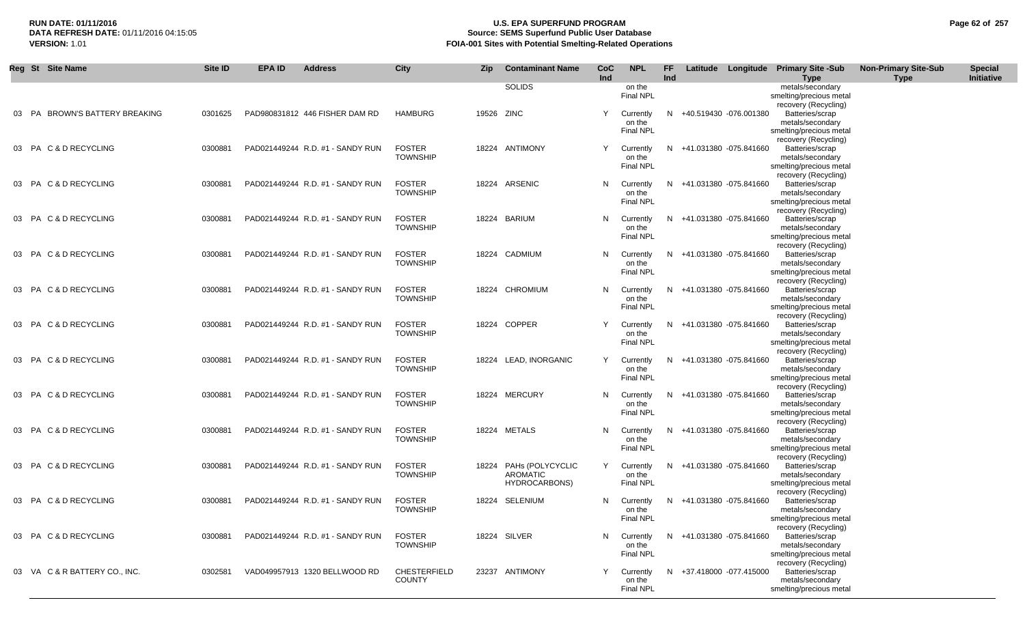# **RUN DATE: 01/11/2016 U.S. EPA SUPERFUND PROGRAM Page 62 of 257 Source: SEMS Superfund Public User Database VERSION:** 1.01 **FOIA-001 Sites with Potential Smelting-Related Operations**

| Reg St Site Name               | Site ID | <b>EPA ID</b> | <b>Address</b>                   | City                                 | <b>Zip</b> | <b>Contaminant Name</b>                                    | CoC<br>Ind | <b>NPL</b>                              | FF.<br>Ind |                          | Latitude Longitude Primary Site-Sub<br><b>Type</b>                                                             | <b>Non-Primary Site-Sub</b><br><b>Type</b> | <b>Special</b><br>Initiative |
|--------------------------------|---------|---------------|----------------------------------|--------------------------------------|------------|------------------------------------------------------------|------------|-----------------------------------------|------------|--------------------------|----------------------------------------------------------------------------------------------------------------|--------------------------------------------|------------------------------|
|                                |         |               |                                  |                                      |            | <b>SOLIDS</b>                                              |            | on the<br><b>Final NPL</b>              |            |                          | metals/secondary<br>smelting/precious metal<br>recovery (Recycling)                                            |                                            |                              |
| 03 PA BROWN'S BATTERY BREAKING | 0301625 |               | PAD980831812 446 FISHER DAM RD   | HAMBURG                              | 19526 ZINC |                                                            | Y          | Currently<br>on the<br><b>Final NPL</b> |            | N +40.519430 -076.001380 | Batteries/scrap<br>metals/secondary<br>smelting/precious metal                                                 |                                            |                              |
| 03 PA C & D RECYCLING          | 0300881 |               | PAD021449244 R.D. #1 - SANDY RUN | <b>FOSTER</b><br><b>TOWNSHIP</b>     |            | 18224 ANTIMONY                                             | Y          | Currently<br>on the<br><b>Final NPL</b> |            | N +41.031380 -075.841660 | recovery (Recycling)<br>Batteries/scrap<br>metals/secondary<br>smelting/precious metal                         |                                            |                              |
| 03 PA C & D RECYCLING          | 0300881 |               | PAD021449244 R.D. #1 - SANDY RUN | <b>FOSTER</b><br><b>TOWNSHIP</b>     |            | 18224 ARSENIC                                              | N.         | Currently<br>on the<br><b>Final NPL</b> |            | N +41.031380 -075.841660 | recovery (Recycling)<br>Batteries/scrap<br>metals/secondary<br>smelting/precious metal                         |                                            |                              |
| 03 PA C & D RECYCLING          | 0300881 |               | PAD021449244 R.D. #1 - SANDY RUN | <b>FOSTER</b><br><b>TOWNSHIP</b>     |            | 18224 BARIUM                                               | N.         | Currently<br>on the<br>Final NPL        |            | N +41.031380 -075.841660 | recovery (Recycling)<br>Batteries/scrap<br>metals/secondary<br>smelting/precious metal                         |                                            |                              |
| 03 PA C & D RECYCLING          | 0300881 |               | PAD021449244 R.D. #1 - SANDY RUN | <b>FOSTER</b><br><b>TOWNSHIP</b>     |            | 18224 CADMIUM                                              | N          | Currently<br>on the<br><b>Final NPL</b> |            | N +41.031380 -075.841660 | recovery (Recycling)<br>Batteries/scrap<br>metals/secondary<br>smelting/precious metal                         |                                            |                              |
| 03 PA C & D RECYCLING          | 0300881 |               | PAD021449244 R.D. #1 - SANDY RUN | <b>FOSTER</b><br><b>TOWNSHIP</b>     |            | 18224 CHROMIUM                                             | N          | Currently<br>on the<br>Final NPL        |            | N +41.031380 -075.841660 | recovery (Recycling)<br>Batteries/scrap<br>metals/secondary<br>smelting/precious metal                         |                                            |                              |
| 03 PA C & D RECYCLING          | 0300881 |               | PAD021449244 R.D. #1 - SANDY RUN | <b>FOSTER</b><br><b>TOWNSHIP</b>     |            | 18224 COPPER                                               | Y          | Currently<br>on the<br><b>Final NPL</b> |            | N +41.031380 -075.841660 | recovery (Recycling)<br>Batteries/scrap<br>metals/secondary<br>smelting/precious metal<br>recovery (Recycling) |                                            |                              |
| 03 PA C & D RECYCLING          | 0300881 |               | PAD021449244 R.D. #1 - SANDY RUN | <b>FOSTER</b><br><b>TOWNSHIP</b>     |            | 18224 LEAD, INORGANIC                                      | Y          | Currently<br>on the<br><b>Final NPL</b> |            | N +41.031380 -075.841660 | Batteries/scrap<br>metals/secondary<br>smelting/precious metal<br>recovery (Recycling)                         |                                            |                              |
| 03 PA C & D RECYCLING          | 0300881 |               | PAD021449244 R.D. #1 - SANDY RUN | <b>FOSTER</b><br><b>TOWNSHIP</b>     |            | 18224 MERCURY                                              | N          | Currently<br>on the<br><b>Final NPL</b> |            | N +41.031380 -075.841660 | Batteries/scrap<br>metals/secondary<br>smelting/precious metal<br>recovery (Recycling)                         |                                            |                              |
| 03 PA C & D RECYCLING          | 0300881 |               | PAD021449244 R.D. #1 - SANDY RUN | <b>FOSTER</b><br><b>TOWNSHIP</b>     |            | 18224 METALS                                               | N          | Currently<br>on the<br><b>Final NPL</b> |            | N +41.031380 -075.841660 | Batteries/scrap<br>metals/secondary<br>smelting/precious metal<br>recovery (Recycling)                         |                                            |                              |
| 03 PA C & D RECYCLING          | 0300881 |               | PAD021449244 R.D. #1 - SANDY RUN | <b>FOSTER</b><br><b>TOWNSHIP</b>     |            | 18224 PAHs (POLYCYCLIC<br>AROMATIC<br><b>HYDROCARBONS)</b> | Y          | Currently<br>on the<br>Final NPL        |            | N +41.031380 -075.841660 | Batteries/scrap<br>metals/secondary<br>smelting/precious metal<br>recovery (Recycling)                         |                                            |                              |
| 03 PA C & D RECYCLING          | 0300881 |               | PAD021449244 R.D. #1 - SANDY RUN | <b>FOSTER</b><br><b>TOWNSHIP</b>     |            | 18224 SELENIUM                                             | N          | Currently<br>on the<br>Final NPL        |            | N +41.031380 -075.841660 | Batteries/scrap<br>metals/secondary<br>smelting/precious metal<br>recovery (Recycling)                         |                                            |                              |
| 03 PA C & D RECYCLING          | 0300881 |               | PAD021449244 R.D. #1 - SANDY RUN | <b>FOSTER</b><br><b>TOWNSHIP</b>     |            | 18224 SILVER                                               | N.         | Currently<br>on the<br><b>Final NPL</b> |            | N +41.031380 -075.841660 | Batteries/scrap<br>metals/secondary<br>smelting/precious metal<br>recovery (Recycling)                         |                                            |                              |
| 03 VA C & R BATTERY CO., INC.  | 0302581 |               | VAD049957913 1320 BELLWOOD RD    | <b>CHESTERFIELD</b><br><b>COUNTY</b> |            | 23237 ANTIMONY                                             | Υ          | Currently<br>on the<br><b>Final NPL</b> |            | N +37.418000 -077.415000 | Batteries/scrap<br>metals/secondary<br>smelting/precious metal                                                 |                                            |                              |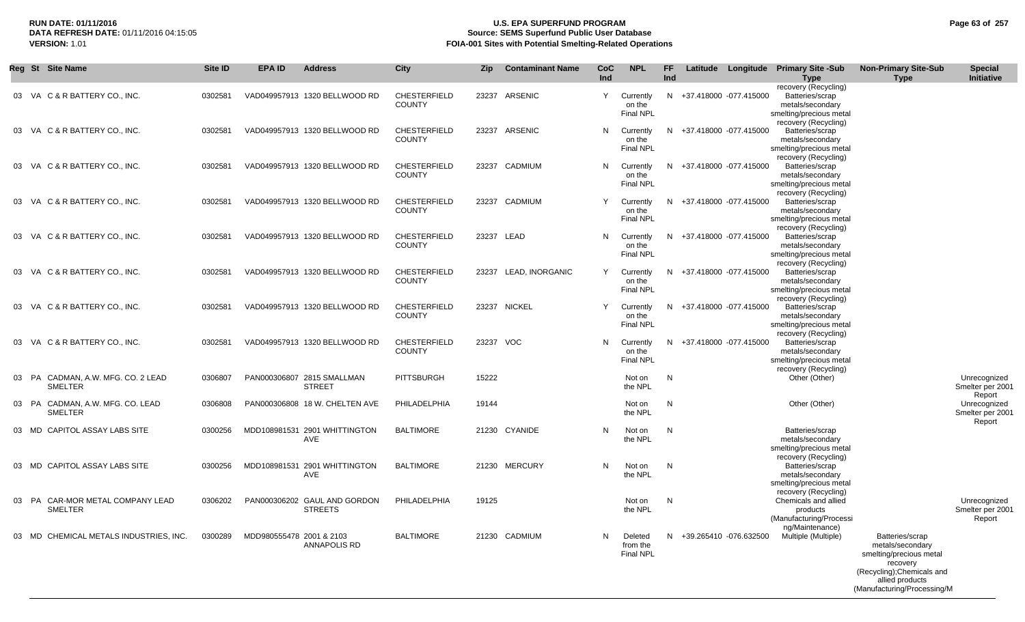## **RUN DATE: 01/11/2016 U.S. EPA SUPERFUND PROGRAM Page 63 of 257 Source: SEMS Superfund Public User Database VERSION:** 1.01 **FOIA-001 Sites with Potential Smelting-Related Operations**

| Reg St Site Name                       | Site ID | <b>EPA ID</b>            | <b>Address</b>                 | <b>City</b>         | <b>Zip</b> | <b>Contaminant Name</b> | <b>CoC</b><br>Ind | <b>NPL</b>                 | FF.<br>Ind |                          | Latitude Longitude Primary Site -Sub            | <b>Non-Primary Site-Sub</b>         | <b>Special</b><br>Initiative     |
|----------------------------------------|---------|--------------------------|--------------------------------|---------------------|------------|-------------------------|-------------------|----------------------------|------------|--------------------------|-------------------------------------------------|-------------------------------------|----------------------------------|
|                                        |         |                          |                                |                     |            |                         |                   |                            |            |                          | <b>Type</b><br>recovery (Recycling)             | <b>Type</b>                         |                                  |
| 03 VA C & R BATTERY CO., INC.          | 0302581 |                          | VAD049957913 1320 BELLWOOD RD  | CHESTERFIELD        | 23237      | ARSENIC                 | Y                 | Currently                  |            | N +37.418000 -077.415000 | Batteries/scrap                                 |                                     |                                  |
|                                        |         |                          |                                | <b>COUNTY</b>       |            |                         |                   | on the<br>Final NPL        |            |                          | metals/secondary                                |                                     |                                  |
|                                        |         |                          |                                |                     |            |                         |                   |                            |            |                          | smelting/precious metal<br>recovery (Recycling) |                                     |                                  |
| 03 VA C & R BATTERY CO., INC.          | 0302581 |                          | VAD049957913 1320 BELLWOOD RD  | <b>CHESTERFIELD</b> |            | 23237 ARSENIC           | N                 | Currently                  |            | N +37.418000 -077.415000 | Batteries/scrap                                 |                                     |                                  |
|                                        |         |                          |                                | <b>COUNTY</b>       |            |                         |                   | on the<br><b>Final NPL</b> |            |                          | metals/secondary                                |                                     |                                  |
|                                        |         |                          |                                |                     |            |                         |                   |                            |            |                          | smelting/precious metal<br>recovery (Recycling) |                                     |                                  |
| 03 VA C & R BATTERY CO., INC.          | 0302581 |                          | VAD049957913 1320 BELLWOOD RD  | <b>CHESTERFIELD</b> |            | 23237 CADMIUM           | N                 | Currently                  |            | N +37.418000 -077.415000 | Batteries/scrap                                 |                                     |                                  |
|                                        |         |                          |                                | <b>COUNTY</b>       |            |                         |                   | on the<br>Final NPL        |            |                          | metals/secondary<br>smelting/precious metal     |                                     |                                  |
|                                        |         |                          |                                |                     |            |                         |                   |                            |            |                          | recovery (Recycling)                            |                                     |                                  |
| 03 VA C & R BATTERY CO., INC.          | 0302581 |                          | VAD049957913 1320 BELLWOOD RD  | <b>CHESTERFIELD</b> |            | 23237 CADMIUM           | Y                 | Currently                  |            | N +37.418000 -077.415000 | Batteries/scrap                                 |                                     |                                  |
|                                        |         |                          |                                | <b>COUNTY</b>       |            |                         |                   | on the<br><b>Final NPL</b> |            |                          | metals/secondary<br>smelting/precious metal     |                                     |                                  |
|                                        |         |                          |                                |                     |            |                         |                   |                            |            |                          | recovery (Recycling)                            |                                     |                                  |
| 03 VA C & R BATTERY CO., INC.          | 0302581 |                          | VAD049957913 1320 BELLWOOD RD  | CHESTERFIELD        |            | 23237 LEAD              | N                 | Currently                  |            | N +37.418000 -077.415000 | Batteries/scrap                                 |                                     |                                  |
|                                        |         |                          |                                | <b>COUNTY</b>       |            |                         |                   | on the<br><b>Final NPL</b> |            |                          | metals/secondary<br>smelting/precious metal     |                                     |                                  |
|                                        |         |                          |                                |                     |            |                         |                   |                            |            |                          | recovery (Recycling)                            |                                     |                                  |
| 03 VA C & R BATTERY CO., INC.          | 0302581 |                          | VAD049957913 1320 BELLWOOD RD  | <b>CHESTERFIELD</b> |            | 23237 LEAD, INORGANIC   | Y                 | Currently                  |            | N +37.418000 -077.415000 | Batteries/scrap                                 |                                     |                                  |
|                                        |         |                          |                                | <b>COUNTY</b>       |            |                         |                   | on the<br>Final NPL        |            |                          | metals/secondary<br>smelting/precious metal     |                                     |                                  |
|                                        |         |                          |                                |                     |            |                         |                   |                            |            |                          | recovery (Recycling)                            |                                     |                                  |
| 03 VA C & R BATTERY CO., INC.          | 0302581 |                          | VAD049957913 1320 BELLWOOD RD  | <b>CHESTERFIELD</b> |            | 23237 NICKEL            | Y                 | Currently                  |            | N +37.418000 -077.415000 | Batteries/scrap                                 |                                     |                                  |
|                                        |         |                          |                                | <b>COUNTY</b>       |            |                         |                   | on the<br>Final NPL        |            |                          | metals/secondary<br>smelting/precious metal     |                                     |                                  |
|                                        |         |                          |                                |                     |            |                         |                   |                            |            |                          | recovery (Recycling)                            |                                     |                                  |
| 03 VA C & R BATTERY CO., INC.          | 0302581 |                          | VAD049957913 1320 BELLWOOD RD  | <b>CHESTERFIELD</b> | 23237 VOC  |                         | N                 | Currently                  |            | N +37.418000 -077.415000 | Batteries/scrap                                 |                                     |                                  |
|                                        |         |                          |                                | <b>COUNTY</b>       |            |                         |                   | on the<br><b>Final NPL</b> |            |                          | metals/secondary<br>smelting/precious metal     |                                     |                                  |
|                                        |         |                          |                                |                     |            |                         |                   |                            |            |                          | recovery (Recycling)                            |                                     |                                  |
| 03 PA CADMAN, A.W. MFG. CO. 2 LEAD     | 0306807 |                          | PAN000306807 2815 SMALLMAN     | <b>PITTSBURGH</b>   | 15222      |                         |                   | Not on                     | N          |                          | Other (Other)                                   |                                     | Unrecognized<br>Smelter per 2001 |
| SMELTER                                |         |                          | <b>STREET</b>                  |                     |            |                         |                   | the NPL                    |            |                          |                                                 |                                     | Report                           |
| 03 PA CADMAN, A.W. MFG. CO. LEAD       | 0306808 |                          | PAN000306808 18 W. CHELTEN AVE | PHILADELPHIA        | 19144      |                         |                   | Not on                     | N          |                          | Other (Other)                                   |                                     | Unrecognized                     |
| <b>SMELTER</b>                         |         |                          |                                |                     |            |                         |                   | the NPL                    |            |                          |                                                 |                                     | Smelter per 2001<br>Report       |
| 03 MD CAPITOL ASSAY LABS SITE          | 0300256 |                          | MDD108981531 2901 WHITTINGTON  | <b>BALTIMORE</b>    |            | 21230 CYANIDE           | N                 | Not on                     | N          |                          | Batteries/scrap                                 |                                     |                                  |
|                                        |         |                          | AVE                            |                     |            |                         |                   | the NPL                    |            |                          | metals/secondary                                |                                     |                                  |
|                                        |         |                          |                                |                     |            |                         |                   |                            |            |                          | smelting/precious metal<br>recovery (Recycling) |                                     |                                  |
| 03 MD CAPITOL ASSAY LABS SITE          | 0300256 |                          | MDD108981531 2901 WHITTINGTON  | <b>BALTIMORE</b>    |            | 21230 MERCURY           | N                 | Not on                     | N          |                          | Batteries/scrap                                 |                                     |                                  |
|                                        |         |                          | AVE                            |                     |            |                         |                   | the NPL                    |            |                          | metals/secondary                                |                                     |                                  |
|                                        |         |                          |                                |                     |            |                         |                   |                            |            |                          | smelting/precious metal<br>recovery (Recycling) |                                     |                                  |
| 03 PA CAR-MOR METAL COMPANY LEAD       | 0306202 |                          | PAN000306202 GAUL AND GORDON   | PHILADELPHIA        | 19125      |                         |                   | Not on                     | N          |                          | Chemicals and allied                            |                                     | Unrecognized                     |
| <b>SMELTER</b>                         |         |                          | <b>STREETS</b>                 |                     |            |                         |                   | the NPL                    |            |                          | products                                        |                                     | Smelter per 2001                 |
|                                        |         |                          |                                |                     |            |                         |                   |                            |            |                          | (Manufacturing/Processi<br>ng/Maintenance)      |                                     | Report                           |
| 03 MD CHEMICAL METALS INDUSTRIES, INC. | 0300289 | MDD980555478 2001 & 2103 |                                | <b>BALTIMORE</b>    |            | 21230 CADMIUM           | N                 | Deleted                    |            | N +39.265410 -076.632500 | Multiple (Multiple)                             | Batteries/scrap                     |                                  |
|                                        |         |                          | ANNAPOLIS RD                   |                     |            |                         |                   | from the                   |            |                          |                                                 | metals/secondary                    |                                  |
|                                        |         |                          |                                |                     |            |                         |                   | <b>Final NPL</b>           |            |                          |                                                 | smelting/precious metal<br>recovery |                                  |
|                                        |         |                          |                                |                     |            |                         |                   |                            |            |                          |                                                 | (Recycling); Chemicals and          |                                  |
|                                        |         |                          |                                |                     |            |                         |                   |                            |            |                          |                                                 | allied products                     |                                  |
|                                        |         |                          |                                |                     |            |                         |                   |                            |            |                          |                                                 | (Manufacturing/Processing/M         |                                  |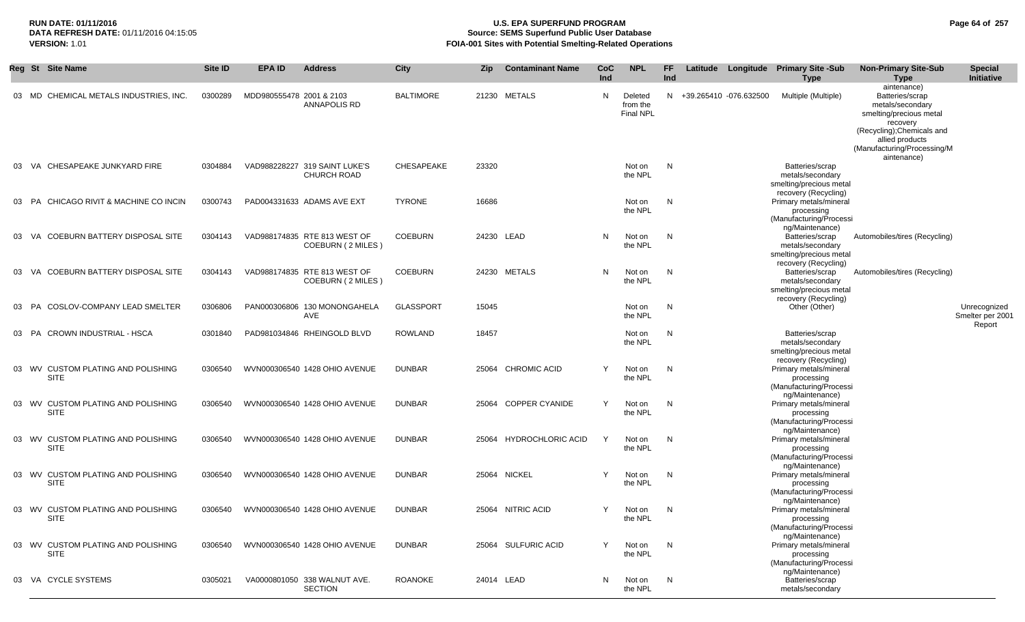## **RUN DATE: 01/11/2016 U.S. EPA SUPERFUND PROGRAM Page 64 of 257 Source: SEMS Superfund Public User Database VERSION:** 1.01 **FOIA-001 Sites with Potential Smelting-Related Operations**

|       | Reg St Site Name                                  | Site ID | <b>EPA ID</b>            | <b>Address</b>                                      | <b>City</b>      | Zip   | <b>Contaminant Name</b>  | CoC<br>Ind | <b>NPL</b>                              | FF<br><b>Ind</b> |                          | Latitude Longitude Primary Site -Sub<br><b>Type</b>                                     | <b>Non-Primary Site-Sub</b><br><b>Type</b>                                                                                                                                | <b>Special</b><br>Initiative     |
|-------|---------------------------------------------------|---------|--------------------------|-----------------------------------------------------|------------------|-------|--------------------------|------------|-----------------------------------------|------------------|--------------------------|-----------------------------------------------------------------------------------------|---------------------------------------------------------------------------------------------------------------------------------------------------------------------------|----------------------------------|
|       | 03 MD CHEMICAL METALS INDUSTRIES, INC.            | 0300289 | MDD980555478 2001 & 2103 | <b>ANNAPOLIS RD</b>                                 | <b>BALTIMORE</b> | 21230 | <b>METALS</b>            | N          | Deleted<br>from the<br><b>Final NPL</b> |                  | N +39.265410 -076.632500 | Multiple (Multiple)                                                                     | aintenance)<br>Batteries/scrap<br>metals/secondary<br>smelting/precious metal<br>recovery<br>(Recycling); Chemicals and<br>allied products<br>(Manufacturing/Processing/M |                                  |
|       | 03 VA CHESAPEAKE JUNKYARD FIRE                    | 0304884 |                          | VAD988228227 319 SAINT LUKE'S<br><b>CHURCH ROAD</b> | CHESAPEAKE       | 23320 |                          |            | Not on<br>the NPL                       | N                |                          | Batteries/scrap<br>metals/secondary<br>smelting/precious metal                          | aintenance)                                                                                                                                                               |                                  |
| 03 PA | CHICAGO RIVIT & MACHINE CO INCIN                  | 0300743 |                          | PAD004331633 ADAMS AVE EXT                          | <b>TYRONE</b>    | 16686 |                          |            | Not on<br>the NPL                       | N                |                          | recovery (Recycling)<br>Primary metals/mineral<br>processing<br>(Manufacturing/Processi |                                                                                                                                                                           |                                  |
| 03 VA | COEBURN BATTERY DISPOSAL SITE                     | 0304143 |                          | VAD988174835 RTE 813 WEST OF<br>COEBURN (2 MILES)   | <b>COEBURN</b>   |       | 24230 LEAD               | N          | Not on<br>the NPL                       | N                |                          | ng/Maintenance)<br>Batteries/scrap<br>metals/secondary<br>smelting/precious metal       | Automobiles/tires (Recycling)                                                                                                                                             |                                  |
| 03 VA | COEBURN BATTERY DISPOSAL SITE                     | 0304143 |                          | VAD988174835 RTE 813 WEST OF<br>COEBURN (2 MILES)   | <b>COEBURN</b>   |       | 24230 METALS             | N          | Not on<br>the NPL                       | N                |                          | recovery (Recycling)<br>Batteries/scrap<br>metals/secondary<br>smelting/precious metal  | Automobiles/tires (Recycling)                                                                                                                                             |                                  |
| 03 PA | COSLOV-COMPANY LEAD SMELTER                       | 0306806 |                          | PAN000306806 130 MONONGAHELA<br>AVE                 | <b>GLASSPORT</b> | 15045 |                          |            | Not on<br>the NPL                       | N                |                          | recovery (Recycling)<br>Other (Other)                                                   |                                                                                                                                                                           | Unrecognized<br>Smelter per 2001 |
| 03 PA | <b>CROWN INDUSTRIAL - HSCA</b>                    | 0301840 |                          | PAD981034846 RHEINGOLD BLVD                         | <b>ROWLAND</b>   | 18457 |                          |            | Not on<br>the NPL                       | N                |                          | Batteries/scrap<br>metals/secondary<br>smelting/precious metal<br>recovery (Recycling)  |                                                                                                                                                                           | Report                           |
|       | 03 WV CUSTOM PLATING AND POLISHING<br><b>SITE</b> | 0306540 |                          | WVN000306540 1428 OHIO AVENUE                       | <b>DUNBAR</b>    |       | 25064 CHROMIC ACID       | Y          | Not on<br>the NPL                       | N                |                          | Primary metals/mineral<br>processing<br>(Manufacturing/Processi                         |                                                                                                                                                                           |                                  |
|       | 03 WV CUSTOM PLATING AND POLISHING<br><b>SITE</b> | 0306540 |                          | WVN000306540 1428 OHIO AVENUE                       | <b>DUNBAR</b>    | 25064 | <b>COPPER CYANIDE</b>    | Y          | Not on<br>the NPL                       | N                |                          | ng/Maintenance)<br>Primary metals/mineral<br>processing<br>(Manufacturing/Processi      |                                                                                                                                                                           |                                  |
|       | 03 WV CUSTOM PLATING AND POLISHING<br><b>SITE</b> | 0306540 |                          | WVN000306540 1428 OHIO AVENUE                       | <b>DUNBAR</b>    | 25064 | <b>HYDROCHLORIC ACID</b> | Y          | Not on<br>the NPL                       | N                |                          | ng/Maintenance)<br>Primary metals/mineral<br>processing<br>(Manufacturing/Processi      |                                                                                                                                                                           |                                  |
|       | 03 WV CUSTOM PLATING AND POLISHING<br><b>SITE</b> | 0306540 |                          | WVN000306540 1428 OHIO AVENUE                       | <b>DUNBAR</b>    |       | 25064 NICKEL             | Y          | Not on<br>the NPL                       | N                |                          | ng/Maintenance)<br>Primary metals/mineral<br>processing<br>(Manufacturing/Processi      |                                                                                                                                                                           |                                  |
|       | 03 WV CUSTOM PLATING AND POLISHING<br>SITE        | 0306540 |                          | WVN000306540 1428 OHIO AVENUE                       | <b>DUNBAR</b>    |       | 25064 NITRIC ACID        | Y          | Not on<br>the NPL                       | N                |                          | ng/Maintenance)<br>Primary metals/mineral<br>processing<br>(Manufacturing/Processi      |                                                                                                                                                                           |                                  |
|       | 03 WV CUSTOM PLATING AND POLISHING<br><b>SITE</b> |         |                          | 0306540 WVN000306540 1428 OHIO AVENUE               | <b>DUNBAR</b>    |       | 25064 SULFURIC ACID      | Y          | Not on<br>the NPL                       | N                |                          | ng/Maintenance)<br>Primary metals/mineral<br>processing<br>(Manufacturing/Processi      |                                                                                                                                                                           |                                  |
|       | 03 VA CYCLE SYSTEMS                               | 0305021 |                          | VA0000801050 338 WALNUT AVE.<br><b>SECTION</b>      | <b>ROANOKE</b>   |       | 24014 LEAD               | N          | Not on<br>the NPL                       | N                |                          | ng/Maintenance)<br>Batteries/scrap<br>metals/secondary                                  |                                                                                                                                                                           |                                  |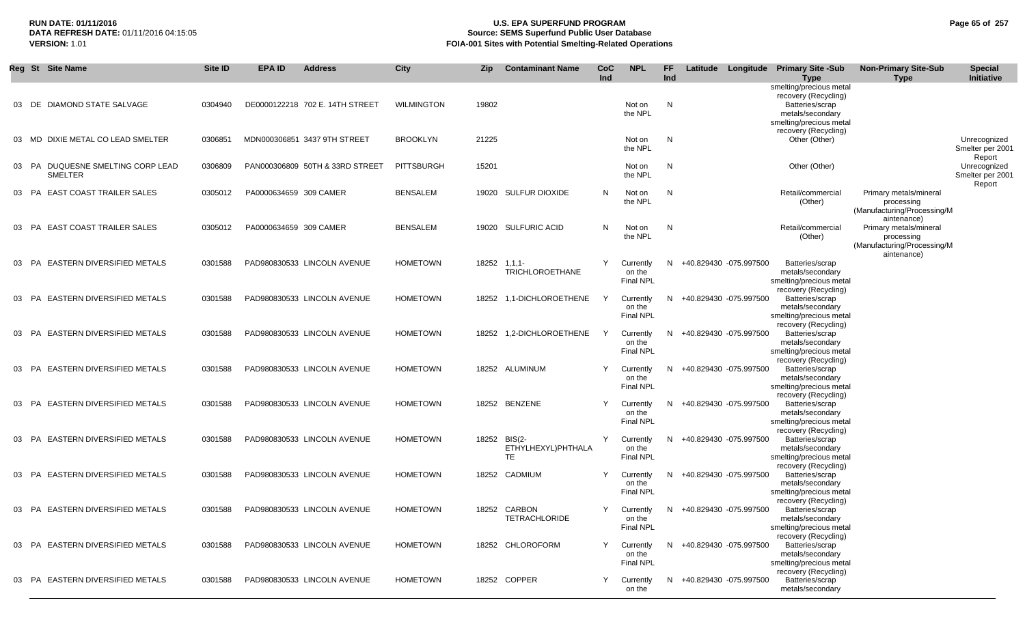## **RUN DATE: 01/11/2016 U.S. EPA SUPERFUND PROGRAM Page 65 of 257 Source: SEMS Superfund Public User Database VERSION:** 1.01 **FOIA-001 Sites with Potential Smelting-Related Operations**

|    |     | Reg St Site Name                                    | <b>Site ID</b> | <b>EPA ID</b>          | <b>Address</b>                  | <b>City</b>       | Zip   | <b>Contaminant Name</b>                         | CoC<br>Ind | <b>NPL</b>                              | FF.<br>Ind | Latitude                 | Longitude Primary Site -Sub<br><b>Type</b>                                                                        | <b>Non-Primary Site-Sub</b><br><b>Type</b>                                         | <b>Special</b><br>Initiative               |
|----|-----|-----------------------------------------------------|----------------|------------------------|---------------------------------|-------------------|-------|-------------------------------------------------|------------|-----------------------------------------|------------|--------------------------|-------------------------------------------------------------------------------------------------------------------|------------------------------------------------------------------------------------|--------------------------------------------|
| 03 |     | DE DIAMOND STATE SALVAGE                            | 0304940        |                        | DE0000122218 702 E. 14TH STREET | <b>WILMINGTON</b> | 19802 |                                                 |            | Not on<br>the NPL                       | N          |                          | smelting/precious metal<br>recovery (Recycling)<br>Batteries/scrap<br>metals/secondary<br>smelting/precious metal |                                                                                    |                                            |
| 03 |     | MD DIXIE METAL CO LEAD SMELTER                      | 0306851        |                        | MDN000306851 3437 9TH STREET    | <b>BROOKLYN</b>   | 21225 |                                                 |            | Not on<br>the NPL                       | N          |                          | recovery (Recycling)<br>Other (Other)                                                                             |                                                                                    | Unrecognized<br>Smelter per 2001<br>Report |
|    |     | 03 PA DUQUESNE SMELTING CORP LEAD<br><b>SMELTER</b> | 0306809        |                        | PAN000306809 50TH & 33RD STREET | PITTSBURGH        | 15201 |                                                 |            | Not on<br>the NPL                       | N          |                          | Other (Other)                                                                                                     |                                                                                    | Unrecognized<br>Smelter per 2001<br>Report |
|    |     | 03 PA EAST COAST TRAILER SALES                      | 0305012        | PA0000634659 309 CAMER |                                 | <b>BENSALEM</b>   |       | 19020 SULFUR DIOXIDE                            | N          | Not on<br>the NPL                       | N          |                          | Retail/commercial<br>(Other)                                                                                      | Primary metals/mineral<br>processing<br>(Manufacturing/Processing/M<br>aintenance) |                                            |
|    |     | 03 PA EAST COAST TRAILER SALES                      | 0305012        | PA0000634659 309 CAMER |                                 | <b>BENSALEM</b>   |       | 19020 SULFURIC ACID                             | N          | Not on<br>the NPL                       | N          |                          | Retail/commercial<br>(Other)                                                                                      | Primary metals/mineral<br>processing<br>(Manufacturing/Processing/M<br>aintenance) |                                            |
|    |     | 03 PA EASTERN DIVERSIFIED METALS                    | 0301588        |                        | PAD980830533 LINCOLN AVENUE     | <b>HOMETOWN</b>   |       | 18252 1.1.1-<br><b>TRICHLOROETHANE</b>          | Y          | Currently<br>on the<br><b>Final NPL</b> | N          | +40.829430 -075.997500   | Batteries/scrap<br>metals/secondary<br>smelting/precious metal<br>recovery (Recycling)                            |                                                                                    |                                            |
| 03 | PA  | EASTERN DIVERSIFIED METALS                          | 0301588        |                        | PAD980830533 LINCOLN AVENUE     | <b>HOMETOWN</b>   |       | 18252 1.1-DICHLOROETHENE                        |            | Currently<br>on the<br><b>Final NPL</b> | N          | +40.829430 -075.997500   | Batteries/scrap<br>metals/secondary<br>smelting/precious metal<br>recovery (Recycling)                            |                                                                                    |                                            |
| 03 |     | PA EASTERN DIVERSIFIED METALS                       | 0301588        |                        | PAD980830533 LINCOLN AVENUE     | <b>HOMETOWN</b>   | 18252 | 1,2-DICHLOROETHENE                              | Y          | Currently<br>on the<br><b>Final NPL</b> | N          | +40.829430 -075.997500   | Batteries/scrap<br>metals/secondary<br>smelting/precious metal<br>recovery (Recycling)                            |                                                                                    |                                            |
| 03 |     | PA EASTERN DIVERSIFIED METALS                       | 0301588        |                        | PAD980830533 LINCOLN AVENUE     | <b>HOMETOWN</b>   |       | 18252 ALUMINUM                                  | Y          | Currently<br>on the<br><b>Final NPL</b> | N          | +40.829430 -075.997500   | Batteries/scrap<br>metals/secondary<br>smelting/precious metal<br>recovery (Recycling)                            |                                                                                    |                                            |
|    |     | 03 PA EASTERN DIVERSIFIED METALS                    | 0301588        |                        | PAD980830533 LINCOLN AVENUE     | <b>HOMETOWN</b>   |       | 18252 BENZENE                                   | Y          | Currently<br>on the<br><b>Final NPL</b> | N          | +40.829430 -075.997500   | Batteries/scrap<br>metals/secondary<br>smelting/precious metal<br>recovery (Recycling)                            |                                                                                    |                                            |
| 03 | PA  | <b>EASTERN DIVERSIFIED METALS</b>                   | 0301588        |                        | PAD980830533 LINCOLN AVENUE     | <b>HOMETOWN</b>   |       | 18252 BIS(2-<br>ETHYLHEXYL)PHTHALA<br><b>TE</b> | Y          | Currently<br>on the<br><b>Final NPL</b> | N          | +40.829430 -075.997500   | Batteries/scrap<br>metals/secondary<br>smelting/precious metal<br>recovery (Recycling)                            |                                                                                    |                                            |
| 03 | PA. | EASTERN DIVERSIFIED METALS                          | 0301588        |                        | PAD980830533 LINCOLN AVENUE     | <b>HOMETOWN</b>   | 18252 | CADMIUM                                         | Y          | Currently<br>on the<br><b>Final NPL</b> | N          | +40.829430 -075.997500   | Batteries/scrap<br>metals/secondary<br>smelting/precious metal                                                    |                                                                                    |                                            |
|    |     | 03 PA EASTERN DIVERSIFIED METALS                    | 0301588        |                        | PAD980830533 LINCOLN AVENUE     | <b>HOMETOWN</b>   |       | 18252 CARBON<br><b>TETRACHLORIDE</b>            | Y          | Currently<br>on the<br>Final NPL        | N          | +40.829430 -075.997500   | recovery (Recycling)<br>Batteries/scrap<br>metals/secondary<br>smelting/precious metal<br>recovery (Recycling)    |                                                                                    |                                            |
|    |     | 03 PA EASTERN DIVERSIFIED METALS                    | 0301588        |                        | PAD980830533 LINCOLN AVENUE     | <b>HOMETOWN</b>   |       | 18252 CHLOROFORM                                | Y          | Currently<br>on the<br>Final NPL        |            | N +40.829430 -075.997500 | Batteries/scrap<br>metals/secondary<br>smelting/precious metal<br>recovery (Recycling)                            |                                                                                    |                                            |
|    |     | 03 PA EASTERN DIVERSIFIED METALS                    | 0301588        |                        | PAD980830533 LINCOLN AVENUE     | <b>HOMETOWN</b>   |       | 18252 COPPER                                    | Y          | Currently<br>on the                     |            | N +40.829430 -075.997500 | Batteries/scrap<br>metals/secondary                                                                               |                                                                                    |                                            |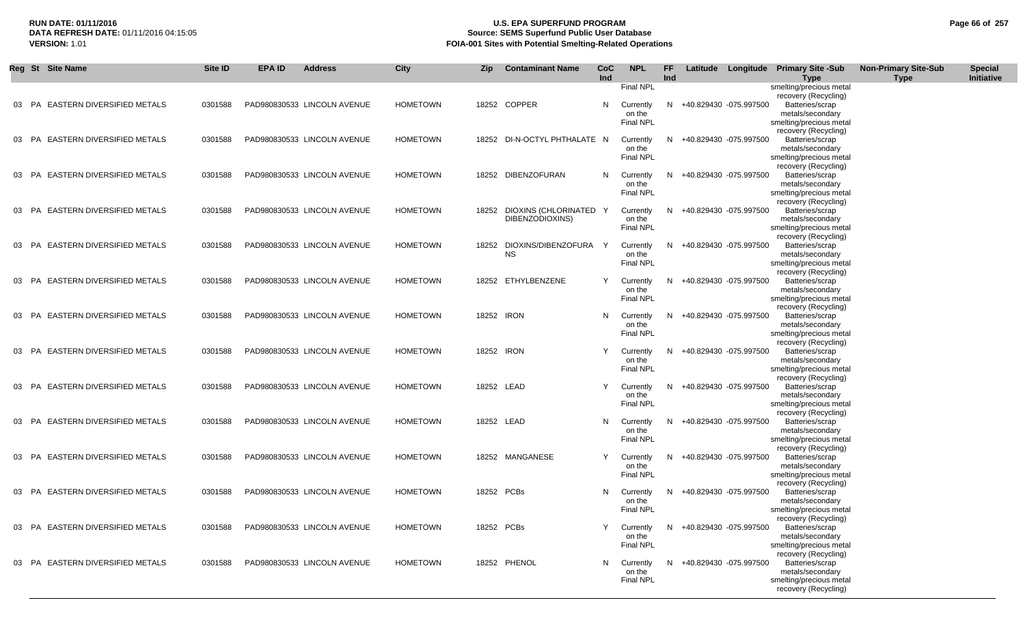## **RUN DATE: 01/11/2016 U.S. EPA SUPERFUND PROGRAM Page 66 of 257 Source: SEMS Superfund Public User Database VERSION:** 1.01 **FOIA-001 Sites with Potential Smelting-Related Operations**

|       |           | Reg St Site Name                  | Site ID | <b>EPA ID</b> | <b>Address</b>              | City            | <b>Zip</b> | <b>Contaminant Name</b> | CoC<br><b>Ind</b> | <b>NPL</b>                 | FF<br>Ind |                          | Latitude Longitude Primary Site -Sub            | <b>Non-Primary Site-Sub</b> | <b>Special</b><br>Initiative |
|-------|-----------|-----------------------------------|---------|---------------|-----------------------------|-----------------|------------|-------------------------|-------------------|----------------------------|-----------|--------------------------|-------------------------------------------------|-----------------------------|------------------------------|
|       |           |                                   |         |               |                             |                 |            |                         |                   | <b>Final NPL</b>           |           |                          | <b>Type</b><br>smelting/precious metal          | <b>Type</b>                 |                              |
|       |           |                                   |         |               |                             |                 |            |                         |                   |                            |           |                          | recovery (Recycling)                            |                             |                              |
| 03    | PA.       | <b>EASTERN DIVERSIFIED METALS</b> | 0301588 |               | PAD980830533 LINCOLN AVENUE | <b>HOMETOWN</b> |            | 18252 COPPER            | N                 | Currently                  |           | N +40.829430 -075.997500 | Batteries/scrap                                 |                             |                              |
|       |           |                                   |         |               |                             |                 |            |                         |                   | on the                     |           |                          | metals/secondary                                |                             |                              |
|       |           |                                   |         |               |                             |                 |            |                         |                   | <b>Final NPL</b>           |           |                          | smelting/precious metal<br>recovery (Recycling) |                             |                              |
| 03    | PA.       | <b>EASTERN DIVERSIFIED METALS</b> | 0301588 |               | PAD980830533 LINCOLN AVENUE | <b>HOMETOWN</b> | 18252      | DI-N-OCTYL PHTHALATE N  |                   | Currently                  | N.        | +40.829430 -075.997500   | Batteries/scrap                                 |                             |                              |
|       |           |                                   |         |               |                             |                 |            |                         |                   | on the                     |           |                          | metals/secondary                                |                             |                              |
|       |           |                                   |         |               |                             |                 |            |                         |                   | Final NPL                  |           |                          | smelting/precious metal                         |                             |                              |
|       |           |                                   |         |               |                             |                 |            |                         |                   |                            |           |                          | recovery (Recycling)                            |                             |                              |
| 03    | <b>PA</b> | <b>EASTERN DIVERSIFIED METALS</b> | 0301588 |               | PAD980830533 LINCOLN AVENUE | <b>HOMETOWN</b> | 18252      | DIBENZOFURAN            | N.                | Currently<br>on the        | N         | +40.829430 -075.997500   | Batteries/scrap<br>metals/secondary             |                             |                              |
|       |           |                                   |         |               |                             |                 |            |                         |                   | <b>Final NPL</b>           |           |                          | smelting/precious metal                         |                             |                              |
|       |           |                                   |         |               |                             |                 |            |                         |                   |                            |           |                          | recovery (Recycling)                            |                             |                              |
| 03 PA |           | <b>EASTERN DIVERSIFIED METALS</b> | 0301588 |               | PAD980830533 LINCOLN AVENUE | <b>HOMETOWN</b> | 18252      | DIOXINS (CHLORINATED Y  |                   | Currently                  | N         | +40.829430 -075.997500   | Batteries/scrap                                 |                             |                              |
|       |           |                                   |         |               |                             |                 |            | DIBENZODIOXINS)         |                   | on the<br><b>Final NPL</b> |           |                          | metals/secondary                                |                             |                              |
|       |           |                                   |         |               |                             |                 |            |                         |                   |                            |           |                          | smelting/precious metal<br>recovery (Recycling) |                             |                              |
|       | PA        | <b>EASTERN DIVERSIFIED METALS</b> | 0301588 |               | PAD980830533 LINCOLN AVENUE | <b>HOMETOWN</b> | 18252      | DIOXINS/DIBENZOFURA     | ⊇.                | Currently                  | N.        | +40.829430 -075.997500   | Batteries/scrap                                 |                             |                              |
|       |           |                                   |         |               |                             |                 |            | <b>NS</b>               |                   | on the                     |           |                          | metals/secondary                                |                             |                              |
|       |           |                                   |         |               |                             |                 |            |                         |                   | <b>Final NPL</b>           |           |                          | smelting/precious metal                         |                             |                              |
|       |           |                                   |         |               |                             |                 |            |                         |                   |                            |           |                          | recovery (Recycling)                            |                             |                              |
|       | <b>PA</b> | <b>EASTERN DIVERSIFIED METALS</b> | 0301588 |               | PAD980830533 LINCOLN AVENUE | <b>HOMETOWN</b> | 18252      | ETHYLBENZENE            | Y                 | Currently<br>on the        | N.        | +40.829430 -075.997500   | Batteries/scrap<br>metals/secondary             |                             |                              |
|       |           |                                   |         |               |                             |                 |            |                         |                   | <b>Final NPL</b>           |           |                          | smelting/precious metal                         |                             |                              |
|       |           |                                   |         |               |                             |                 |            |                         |                   |                            |           |                          | recovery (Recycling)                            |                             |                              |
| 03    | <b>PA</b> | <b>EASTERN DIVERSIFIED METALS</b> | 0301588 |               | PAD980830533 LINCOLN AVENUE | <b>HOMETOWN</b> | 18252 IRON |                         | N.                | Currently                  | N.        | +40.829430 -075.997500   | Batteries/scrap                                 |                             |                              |
|       |           |                                   |         |               |                             |                 |            |                         |                   | on the                     |           |                          | metals/secondary                                |                             |                              |
|       |           |                                   |         |               |                             |                 |            |                         |                   | <b>Final NPL</b>           |           |                          | smelting/precious metal<br>recovery (Recycling) |                             |                              |
|       | 03 PA     | <b>EASTERN DIVERSIFIED METALS</b> | 0301588 |               | PAD980830533 LINCOLN AVENUE | <b>HOMETOWN</b> | 18252 IRON |                         | Υ                 | Currently                  |           | N +40.829430 -075.997500 | Batteries/scrap                                 |                             |                              |
|       |           |                                   |         |               |                             |                 |            |                         |                   | on the                     |           |                          | metals/secondary                                |                             |                              |
|       |           |                                   |         |               |                             |                 |            |                         |                   | <b>Final NPL</b>           |           |                          | smelting/precious metal                         |                             |                              |
|       |           |                                   |         |               |                             |                 |            |                         |                   |                            |           |                          | recovery (Recycling)                            |                             |                              |
|       | 03 PA     | <b>EASTERN DIVERSIFIED METALS</b> | 0301588 |               | PAD980830533 LINCOLN AVENUE | <b>HOMETOWN</b> | 18252 LEAD |                         | Y                 | Currently<br>on the        |           | N +40.829430 -075.997500 | Batteries/scrap<br>metals/secondary             |                             |                              |
|       |           |                                   |         |               |                             |                 |            |                         |                   | <b>Final NPL</b>           |           |                          | smelting/precious metal                         |                             |                              |
|       |           |                                   |         |               |                             |                 |            |                         |                   |                            |           |                          | recovery (Recycling)                            |                             |                              |
| 03    | <b>PA</b> | <b>EASTERN DIVERSIFIED METALS</b> | 0301588 |               | PAD980830533 LINCOLN AVENUE | <b>HOMETOWN</b> | 18252 LEAD |                         | N                 | Currently                  | N.        | +40.829430 -075.997500   | Batteries/scrap                                 |                             |                              |
|       |           |                                   |         |               |                             |                 |            |                         |                   | on the                     |           |                          | metals/secondary                                |                             |                              |
|       |           |                                   |         |               |                             |                 |            |                         |                   | Final NPL                  |           |                          | smelting/precious metal<br>recovery (Recycling) |                             |                              |
| 03    | <b>PA</b> | <b>EASTERN DIVERSIFIED METALS</b> | 0301588 |               | PAD980830533 LINCOLN AVENUE | <b>HOMETOWN</b> |            | 18252 MANGANESE         | Y                 | Currently                  | N         | +40.829430 -075.997500   | Batteries/scrap                                 |                             |                              |
|       |           |                                   |         |               |                             |                 |            |                         |                   | on the                     |           |                          | metals/secondary                                |                             |                              |
|       |           |                                   |         |               |                             |                 |            |                         |                   | Final NPL                  |           |                          | smelting/precious metal                         |                             |                              |
|       |           |                                   |         |               |                             |                 |            |                         |                   |                            |           |                          | recovery (Recycling)                            |                             |                              |
|       | 03 PA     | <b>EASTERN DIVERSIFIED METALS</b> | 0301588 |               | PAD980830533 LINCOLN AVENUE | <b>HOMETOWN</b> | 18252 PCBs |                         | N.                | Currently<br>on the        | N         | +40.829430 -075.997500   | Batteries/scrap<br>metals/secondary             |                             |                              |
|       |           |                                   |         |               |                             |                 |            |                         |                   | Final NPL                  |           |                          | smelting/precious metal                         |                             |                              |
|       |           |                                   |         |               |                             |                 |            |                         |                   |                            |           |                          | recovery (Recycling)                            |                             |                              |
|       |           | 03 PA EASTERN DIVERSIFIED METALS  | 0301588 |               | PAD980830533 LINCOLN AVENUE | <b>HOMETOWN</b> | 18252 PCBs |                         |                   | Currently                  |           | N +40.829430 -075.997500 | Batteries/scrap                                 |                             |                              |
|       |           |                                   |         |               |                             |                 |            |                         |                   | on the                     |           |                          | metals/secondary                                |                             |                              |
|       |           |                                   |         |               |                             |                 |            |                         |                   | <b>Final NPL</b>           |           |                          | smelting/precious metal<br>recovery (Recycling) |                             |                              |
|       |           | 03 PA EASTERN DIVERSIFIED METALS  | 0301588 |               | PAD980830533 LINCOLN AVENUE | <b>HOMETOWN</b> |            | 18252 PHENOL            | N,                | Currently                  |           | N +40.829430 -075.997500 | Batteries/scrap                                 |                             |                              |
|       |           |                                   |         |               |                             |                 |            |                         |                   | on the                     |           |                          | metals/secondary                                |                             |                              |
|       |           |                                   |         |               |                             |                 |            |                         |                   | <b>Final NPL</b>           |           |                          | smelting/precious metal                         |                             |                              |
|       |           |                                   |         |               |                             |                 |            |                         |                   |                            |           |                          | recovery (Recycling)                            |                             |                              |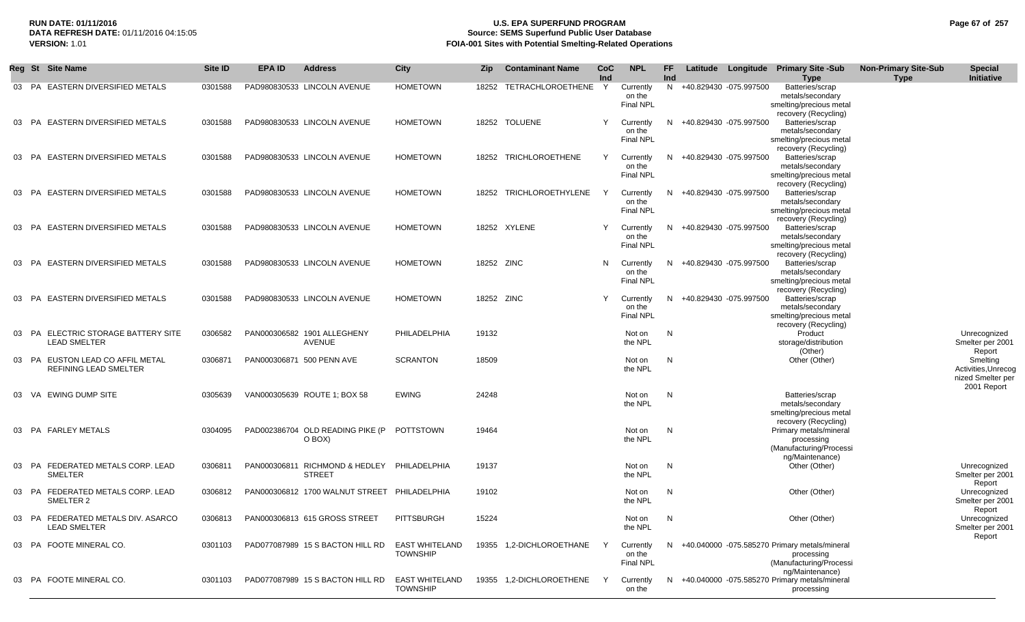## **RUN DATE: 01/11/2016 U.S. EPA SUPERFUND PROGRAM Page 67 of 257 Source: SEMS Superfund Public User Database VERSION:** 1.01 **FOIA-001 Sites with Potential Smelting-Related Operations**

|          | Reg St Site Name                                           | Site ID | <b>EPA ID</b> | <b>Address</b>                                       | City                                     | Zip   | <b>Contaminant Name</b>  | CoC<br>Ind | <b>NPL</b>                              | FF.<br>Ind |                          | Latitude Longitude Primary Site -Sub<br>Type                                                                | <b>Non-Primary Site-Sub</b><br><b>Type</b> | <b>Special</b><br>Initiative                                                  |
|----------|------------------------------------------------------------|---------|---------------|------------------------------------------------------|------------------------------------------|-------|--------------------------|------------|-----------------------------------------|------------|--------------------------|-------------------------------------------------------------------------------------------------------------|--------------------------------------------|-------------------------------------------------------------------------------|
| 03 PA    | <b>EASTERN DIVERSIFIED METALS</b>                          | 0301588 |               | PAD980830533 LINCOLN AVENUE                          | <b>HOMETOWN</b>                          | 18252 | TETRACHLOROETHENE        | Y          | Currently<br>on the<br>Final NPL        |            | N +40.829430 -075.997500 | Batteries/scrap<br>metals/secondary<br>smelting/precious metal<br>recovery (Recycling)                      |                                            |                                                                               |
| 03       | PA EASTERN DIVERSIFIED METALS                              | 0301588 |               | PAD980830533 LINCOLN AVENUE                          | <b>HOMETOWN</b>                          |       | 18252 TOLUENE            | Y          | Currently<br>on the<br>Final NPL        |            | N +40.829430 -075.997500 | Batteries/scrap<br>metals/secondary<br>smelting/precious metal                                              |                                            |                                                                               |
| 03       | PA EASTERN DIVERSIFIED METALS                              | 0301588 |               | PAD980830533 LINCOLN AVENUE                          | <b>HOMETOWN</b>                          |       | 18252 TRICHLOROETHENE    | Y          | Currently<br>on the<br><b>Final NPL</b> |            | N +40.829430 -075.997500 | recovery (Recycling)<br>Batteries/scrap<br>metals/secondary<br>smelting/precious metal                      |                                            |                                                                               |
|          | 03 PA EASTERN DIVERSIFIED METALS                           | 0301588 |               | PAD980830533 LINCOLN AVENUE                          | <b>HOMETOWN</b>                          |       | 18252 TRICHLOROETHYLENE  |            | Currently<br>on the<br><b>Final NPL</b> |            | N +40.829430 -075.997500 | recovery (Recycling)<br>Batteries/scrap<br>metals/secondary<br>smelting/precious metal                      |                                            |                                                                               |
| 03<br>PA | <b>EASTERN DIVERSIFIED METALS</b>                          | 0301588 |               | PAD980830533 LINCOLN AVENUE                          | <b>HOMETOWN</b>                          |       | 18252 XYLENE             | Y          | Currently<br>on the<br><b>Final NPL</b> |            | N +40.829430 -075.997500 | recovery (Recycling)<br>Batteries/scrap<br>metals/secondary<br>smelting/precious metal                      |                                            |                                                                               |
| 03<br>PA | <b>EASTERN DIVERSIFIED METALS</b>                          | 0301588 |               | PAD980830533 LINCOLN AVENUE                          | <b>HOMETOWN</b>                          |       | 18252 ZINC               | N          | Currently<br>on the<br><b>Final NPL</b> |            | N +40.829430 -075.997500 | recovery (Recycling)<br>Batteries/scrap<br>metals/secondary<br>smelting/precious metal                      |                                            |                                                                               |
| 03 PA    | <b>EASTERN DIVERSIFIED METALS</b>                          | 0301588 |               | PAD980830533 LINCOLN AVENUE                          | <b>HOMETOWN</b>                          |       | 18252 ZINC               | Y          | Currently<br>on the<br><b>Final NPL</b> |            | N +40.829430 -075.997500 | recovery (Recycling)<br>Batteries/scrap<br>metals/secondary<br>smelting/precious metal                      |                                            |                                                                               |
| 03 PA    | ELECTRIC STORAGE BATTERY SITE<br><b>LEAD SMELTER</b>       | 0306582 |               | PAN000306582 1901 ALLEGHENY<br>AVENUE                | PHILADELPHIA                             | 19132 |                          |            | Not on<br>the NPL                       | N          |                          | recovery (Recycling)<br>Product<br>storage/distribution                                                     |                                            | Unrecognized<br>Smelter per 2001                                              |
| 03 PA    | EUSTON LEAD CO AFFIL METAL<br><b>REFINING LEAD SMELTER</b> | 0306871 |               | PAN000306871 500 PENN AVE                            | <b>SCRANTON</b>                          | 18509 |                          |            | Not on<br>the NPL                       | N          |                          | (Other)<br>Other (Other)                                                                                    |                                            | Report<br>Smelting<br>Activities, Unrecog<br>nized Smelter per<br>2001 Report |
| 03       | VA EWING DUMP SITE                                         | 0305639 |               | VAN000305639 ROUTE 1: BOX 58                         | <b>EWING</b>                             | 24248 |                          |            | Not on<br>the NPL                       | N          |                          | Batteries/scrap<br>metals/secondary<br>smelting/precious metal                                              |                                            |                                                                               |
|          | 03 PA FARLEY METALS                                        | 0304095 |               | PAD002386704 OLD READING PIKE (P POTTSTOWN<br>O BOX) |                                          | 19464 |                          |            | Not on<br>the NPL                       | N          |                          | recovery (Recycling)<br>Primary metals/mineral<br>processing<br>(Manufacturing/Processi                     |                                            |                                                                               |
|          | 03 PA FEDERATED METALS CORP. LEAD<br><b>SMELTER</b>        | 0306811 |               | PAN000306811 RICHMOND & HEDLEY<br><b>STREET</b>      | PHILADELPHIA                             | 19137 |                          |            | Not on<br>the NPL                       | N          |                          | ng/Maintenance)<br>Other (Other)                                                                            |                                            | Unrecognized<br>Smelter per 2001<br>Report                                    |
|          | 03 PA FEDERATED METALS CORP. LEAD<br>SMELTER 2             | 0306812 |               | PAN000306812 1700 WALNUT STREET PHILADELPHIA         |                                          | 19102 |                          |            | Not on<br>the NPL                       | N          |                          | Other (Other)                                                                                               |                                            | Unrecognized<br>Smelter per 2001<br>Report                                    |
|          | 03 PA FEDERATED METALS DIV. ASARCO<br><b>LEAD SMELTER</b>  | 0306813 |               | PAN000306813 615 GROSS STREET                        | PITTSBURGH                               | 15224 |                          |            | Not on<br>the NPL                       | N          |                          | Other (Other)                                                                                               |                                            | Unrecognized<br>Smelter per 2001<br>Report                                    |
|          | 03 PA FOOTE MINERAL CO.                                    | 0301103 |               | PAD077087989 15 S BACTON HILL RD                     | <b>EAST WHITELAND</b><br><b>TOWNSHIP</b> |       | 19355 1.2-DICHLOROETHANE | Y          | Currently<br>on the<br><b>Final NPL</b> |            |                          | N +40.040000 -075.585270 Primary metals/mineral<br>processing<br>(Manufacturing/Processi<br>ng/Maintenance) |                                            |                                                                               |
|          | 03 PA FOOTE MINERAL CO.                                    | 0301103 |               | PAD077087989 15 S BACTON HILL RD                     | <b>EAST WHITELAND</b><br><b>TOWNSHIP</b> |       | 19355 1.2-DICHLOROETHENE |            | Currently<br>on the                     |            |                          | N +40.040000 -075.585270 Primary metals/mineral<br>processing                                               |                                            |                                                                               |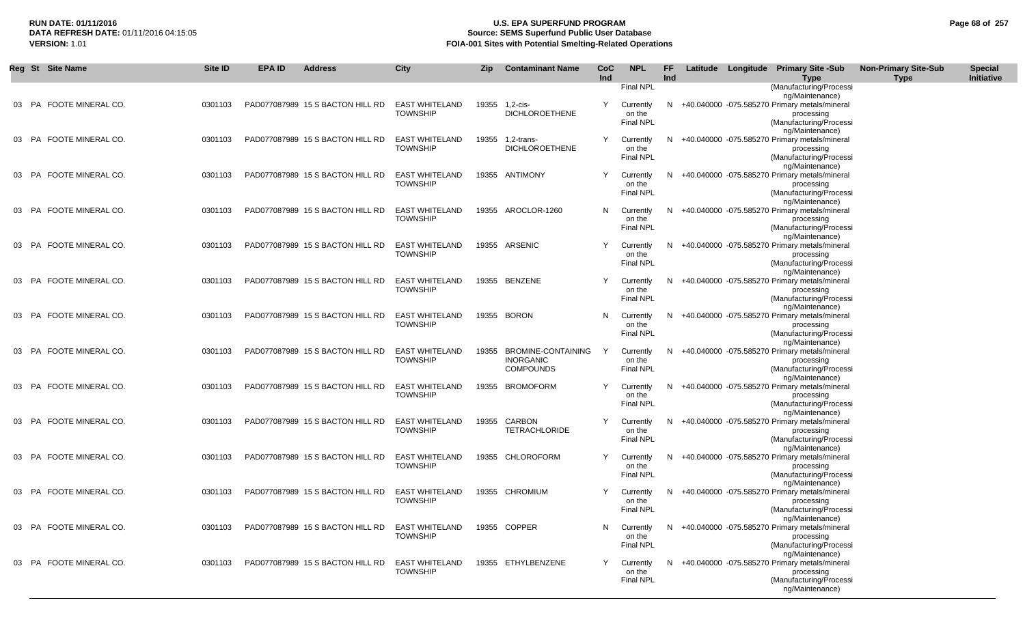## **RUN DATE: 01/11/2016 U.S. EPA SUPERFUND PROGRAM Page 68 of 257 Source: SEMS Superfund Public User Database VERSION:** 1.01 **FOIA-001 Sites with Potential Smelting-Related Operations**

|       | Reg St Site Name        | Site ID | <b>EPA ID</b> | <b>Address</b>                   | <b>City</b>                              | <b>Zip</b> | <b>Contaminant Name</b>                                    | CoC<br>Ind | <b>NPL</b>                              | <b>FF</b><br>Ind |  | Latitude Longitude Primary Site -Sub<br>Type                                                                                 | <b>Non-Primary Site-Sub</b><br><b>Type</b> | <b>Special</b><br>Initiative |
|-------|-------------------------|---------|---------------|----------------------------------|------------------------------------------|------------|------------------------------------------------------------|------------|-----------------------------------------|------------------|--|------------------------------------------------------------------------------------------------------------------------------|--------------------------------------------|------------------------------|
|       |                         |         |               |                                  |                                          |            |                                                            |            | <b>Final NPL</b>                        |                  |  | (Manufacturing/Processi                                                                                                      |                                            |                              |
|       | 03 PA FOOTE MINERAL CO. | 0301103 |               | PAD077087989 15 S BACTON HILL RD | <b>EAST WHITELAND</b><br><b>TOWNSHIP</b> | 19355      | 1,2-cis-<br><b>DICHLOROETHENE</b>                          | Y          | Currently<br>on the<br>Final NPL        | N                |  | ng/Maintenance)<br>+40.040000 -075.585270 Primary metals/mineral<br>processing<br>(Manufacturing/Processi                    |                                            |                              |
| 03 PA | FOOTE MINERAL CO.       | 0301103 |               | PAD077087989 15 S BACTON HILL RD | <b>EAST WHITELAND</b><br><b>TOWNSHIP</b> | 19355      | 1,2-trans-<br><b>DICHLOROETHENE</b>                        | Y          | Currently<br>on the<br>Final NPL        | N.               |  | ng/Maintenance)<br>+40.040000 -075.585270 Primary metals/mineral<br>processing<br>(Manufacturing/Processi<br>ng/Maintenance) |                                            |                              |
|       | 03 PA FOOTE MINERAL CO. | 0301103 |               | PAD077087989 15 S BACTON HILL RD | <b>EAST WHITELAND</b><br><b>TOWNSHIP</b> |            | 19355 ANTIMONY                                             | Y          | Currently<br>on the<br><b>Final NPL</b> | N.               |  | +40.040000 -075.585270 Primary metals/mineral<br>processing<br>(Manufacturing/Processi<br>ng/Maintenance)                    |                                            |                              |
| 03 PA | FOOTE MINERAL CO.       | 0301103 |               | PAD077087989 15 S BACTON HILL RD | <b>EAST WHITELAND</b><br><b>TOWNSHIP</b> |            | 19355 AROCLOR-1260                                         | N.         | Currently<br>on the<br><b>Final NPL</b> | N.               |  | +40.040000 -075.585270 Primary metals/mineral<br>processing<br>(Manufacturing/Processi<br>ng/Maintenance)                    |                                            |                              |
| 03 PA | FOOTE MINERAL CO.       | 0301103 |               | PAD077087989 15 S BACTON HILL RD | <b>EAST WHITELAND</b><br><b>TOWNSHIP</b> |            | 19355 ARSENIC                                              | Y          | Currently<br>on the<br><b>Final NPL</b> | N.               |  | +40.040000 -075.585270 Primary metals/mineral<br>processing<br>(Manufacturing/Processi<br>ng/Maintenance)                    |                                            |                              |
| 03 PA | FOOTE MINERAL CO.       | 0301103 |               | PAD077087989 15 S BACTON HILL RD | <b>EAST WHITELAND</b><br><b>TOWNSHIP</b> |            | 19355 BENZENE                                              | Y          | Currently<br>on the<br><b>Final NPL</b> | N.               |  | +40.040000 -075.585270 Primary metals/mineral<br>processing<br>(Manufacturing/Processi<br>ng/Maintenance)                    |                                            |                              |
| 03 PA | FOOTE MINERAL CO.       | 0301103 |               | PAD077087989 15 S BACTON HILL RD | <b>EAST WHITELAND</b><br><b>TOWNSHIP</b> |            | 19355 BORON                                                | N.         | Currently<br>on the<br><b>Final NPL</b> | N.               |  | +40.040000 -075.585270 Primary metals/mineral<br>processing<br>(Manufacturing/Processi<br>ng/Maintenance)                    |                                            |                              |
| 03 PA | FOOTE MINERAL CO.       | 0301103 |               | PAD077087989 15 S BACTON HILL RD | <b>EAST WHITELAND</b><br><b>TOWNSHIP</b> | 19355      | BROMINE-CONTAINING<br><b>INORGANIC</b><br><b>COMPOUNDS</b> | Y          | Currently<br>on the<br><b>Final NPL</b> | N                |  | +40.040000 -075.585270 Primary metals/mineral<br>processing<br>(Manufacturing/Processi<br>ng/Maintenance)                    |                                            |                              |
|       | 03 PA FOOTE MINERAL CO. | 0301103 |               | PAD077087989 15 S BACTON HILL RD | <b>EAST WHITELAND</b><br><b>TOWNSHIP</b> |            | 19355 BROMOFORM                                            | Y          | Currently<br>on the<br><b>Final NPL</b> | N.               |  | +40.040000 -075.585270 Primary metals/mineral<br>processing<br>(Manufacturing/Processi<br>ng/Maintenance)                    |                                            |                              |
|       | 03 PA FOOTE MINERAL CO. | 0301103 |               | PAD077087989 15 S BACTON HILL RD | <b>EAST WHITELAND</b><br><b>TOWNSHIP</b> | 19355      | <b>CARBON</b><br><b>TETRACHLORIDE</b>                      | Y          | Currently<br>on the<br><b>Final NPL</b> | N                |  | +40.040000 -075.585270 Primary metals/mineral<br>processing<br>(Manufacturing/Processi<br>ng/Maintenance)                    |                                            |                              |
|       | 03 PA FOOTE MINERAL CO. | 0301103 |               | PAD077087989 15 S BACTON HILL RD | <b>EAST WHITELAND</b><br><b>TOWNSHIP</b> |            | 19355 CHLOROFORM                                           | Y          | Currently<br>on the<br><b>Final NPL</b> | N                |  | +40.040000 -075.585270 Primary metals/mineral<br>processing<br>(Manufacturing/Processi<br>ng/Maintenance)                    |                                            |                              |
|       | 03 PA FOOTE MINERAL CO. | 0301103 |               | PAD077087989 15 S BACTON HILL RD | <b>EAST WHITELAND</b><br><b>TOWNSHIP</b> |            | 19355 CHROMIUM                                             | Y          | Currently<br>on the<br><b>Final NPL</b> | N.               |  | +40.040000 -075.585270 Primary metals/mineral<br>processing<br>(Manufacturing/Processi<br>ng/Maintenance)                    |                                            |                              |
|       | 03 PA FOOTE MINERAL CO. | 0301103 |               | PAD077087989 15 S BACTON HILL RD | <b>EAST WHITELAND</b><br><b>TOWNSHIP</b> |            | 19355 COPPER                                               | N.         | Currently<br>on the<br><b>Final NPL</b> |                  |  | N +40.040000 -075.585270 Primary metals/mineral<br>processing<br>(Manufacturing/Processi<br>ng/Maintenance)                  |                                            |                              |
|       | 03 PA FOOTE MINERAL CO. | 0301103 |               | PAD077087989 15 S BACTON HILL RD | <b>EAST WHITELAND</b><br><b>TOWNSHIP</b> |            | 19355 ETHYLBENZENE                                         | Y          | Currently<br>on the<br><b>Final NPL</b> | N.               |  | +40.040000 -075.585270 Primary metals/mineral<br>processing<br>(Manufacturing/Processi<br>ng/Maintenance)                    |                                            |                              |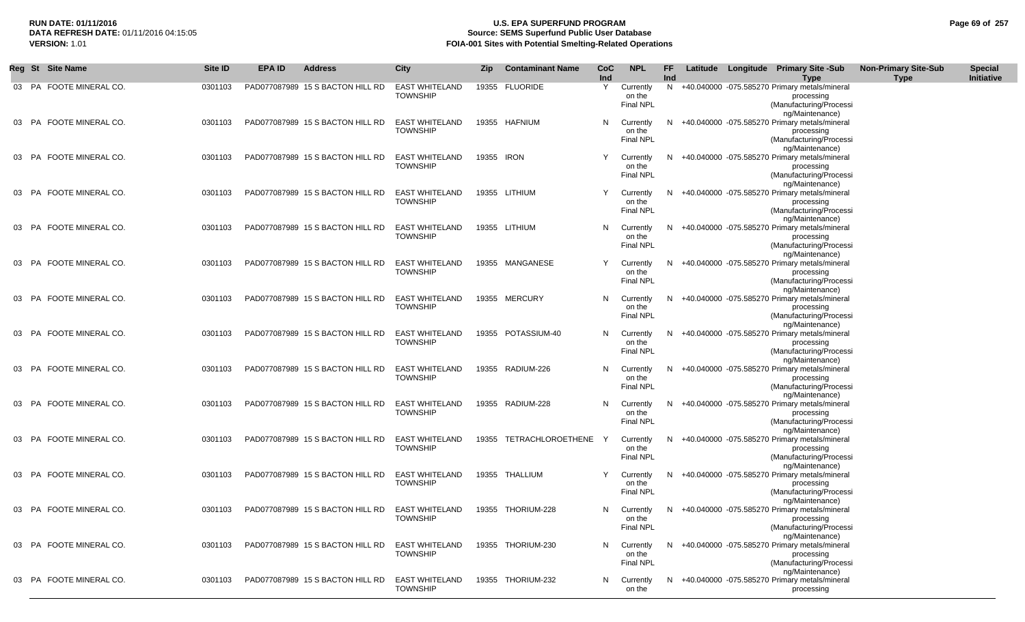## **RUN DATE: 01/11/2016 U.S. EPA SUPERFUND PROGRAM Page 69 of 257 Source: SEMS Superfund Public User Database VERSION:** 1.01 **FOIA-001 Sites with Potential Smelting-Related Operations**

|    | Reg St | <b>Site Name</b>        | Site ID | <b>EPA ID</b> | <b>Address</b>                   | <b>City</b>                              | Zip        | <b>Contaminant Name</b> | CoC<br>Ind | <b>NPL</b>                              | FF<br>Ind |  | Latitude Longitude Primary Site -Sub<br><b>Type</b>                                                         | <b>Non-Primary Site-Sub</b><br><b>Type</b> | <b>Special</b><br>Initiative |
|----|--------|-------------------------|---------|---------------|----------------------------------|------------------------------------------|------------|-------------------------|------------|-----------------------------------------|-----------|--|-------------------------------------------------------------------------------------------------------------|--------------------------------------------|------------------------------|
|    |        | 03 PA FOOTE MINERAL CO. | 0301103 |               | PAD077087989 15 S BACTON HILL RD | <b>EAST WHITELAND</b><br><b>TOWNSHIP</b> |            | 19355 FLUORIDE          | Y          | Currently<br>on the<br><b>Final NPL</b> |           |  | N +40.040000 -075.585270 Primary metals/mineral<br>processing<br>(Manufacturing/Processi<br>ng/Maintenance) |                                            |                              |
|    |        | 03 PA FOOTE MINERAL CO. | 0301103 |               | PAD077087989 15 S BACTON HILL RD | <b>EAST WHITELAND</b><br><b>TOWNSHIP</b> |            | 19355 HAFNIUM           | N          | Currently<br>on the<br>Final NPL        |           |  | N +40.040000 -075.585270 Primary metals/mineral<br>processing<br>(Manufacturing/Processi<br>ng/Maintenance) |                                            |                              |
|    |        | 03 PA FOOTE MINERAL CO. | 0301103 |               | PAD077087989 15 S BACTON HILL RD | <b>EAST WHITELAND</b><br><b>TOWNSHIP</b> | 19355 IRON |                         | Y          | Currently<br>on the<br><b>Final NPL</b> |           |  | N +40.040000 -075.585270 Primary metals/mineral<br>processing<br>(Manufacturing/Processi<br>ng/Maintenance) |                                            |                              |
|    |        | 03 PA FOOTE MINERAL CO. | 0301103 |               | PAD077087989 15 S BACTON HILL RD | <b>EAST WHITELAND</b><br><b>TOWNSHIP</b> |            | 19355 LITHIUM           | Y          | Currently<br>on the<br><b>Final NPL</b> | N         |  | +40.040000 -075.585270 Primary metals/mineral<br>processing<br>(Manufacturing/Processi<br>ng/Maintenance)   |                                            |                              |
|    | 03 PA  | FOOTE MINERAL CO.       | 0301103 |               | PAD077087989 15 S BACTON HILL RD | <b>EAST WHITELAND</b><br><b>TOWNSHIP</b> |            | 19355 LITHIUM           | N          | Currently<br>on the<br><b>Final NPL</b> | N         |  | +40.040000 -075.585270 Primary metals/mineral<br>processing<br>(Manufacturing/Processi<br>ng/Maintenance)   |                                            |                              |
|    |        | 03 PA FOOTE MINERAL CO. | 0301103 |               | PAD077087989 15 S BACTON HILL RD | <b>EAST WHITELAND</b><br><b>TOWNSHIP</b> |            | 19355 MANGANESE         | Y          | Currently<br>on the<br><b>Final NPL</b> | N         |  | +40.040000 -075.585270 Primary metals/mineral<br>processing<br>(Manufacturing/Processi<br>ng/Maintenance)   |                                            |                              |
| 03 | PA     | FOOTE MINERAL CO.       | 0301103 |               | PAD077087989 15 S BACTON HILL RD | <b>EAST WHITELAND</b><br><b>TOWNSHIP</b> |            | 19355 MERCURY           | N          | Currently<br>on the<br>Final NPL        | N         |  | +40.040000 -075.585270 Primary metals/mineral<br>processing<br>(Manufacturing/Processi                      |                                            |                              |
|    | 03 PA  | FOOTE MINERAL CO.       | 0301103 |               | PAD077087989 15 S BACTON HILL RD | <b>EAST WHITELAND</b><br><b>TOWNSHIP</b> |            | 19355 POTASSIUM-40      | N          | Currently<br>on the<br><b>Final NPL</b> | N         |  | ng/Maintenance)<br>+40.040000 -075.585270 Primary metals/mineral<br>processing<br>(Manufacturing/Processi   |                                            |                              |
|    | 03 PA  | FOOTE MINERAL CO.       | 0301103 |               | PAD077087989 15 S BACTON HILL RD | <b>EAST WHITELAND</b><br><b>TOWNSHIP</b> |            | 19355 RADIUM-226        | N.         | Currently<br>on the<br><b>Final NPL</b> | N         |  | ng/Maintenance)<br>+40.040000 -075.585270 Primary metals/mineral<br>processing<br>(Manufacturing/Processi   |                                            |                              |
|    | 03 PA  | FOOTE MINERAL CO.       | 0301103 |               | PAD077087989 15 S BACTON HILL RD | <b>EAST WHITELAND</b><br><b>TOWNSHIP</b> |            | 19355 RADIUM-228        | N          | Currently<br>on the<br><b>Final NPL</b> | N         |  | ng/Maintenance)<br>+40.040000 -075.585270 Primary metals/mineral<br>processing<br>(Manufacturing/Processi   |                                            |                              |
|    | 03 PA  | FOOTE MINERAL CO.       | 0301103 |               | PAD077087989 15 S BACTON HILL RD | <b>EAST WHITELAND</b><br><b>TOWNSHIP</b> |            | 19355 TETRACHLOROETHENE | Y          | Currently<br>on the<br><b>Final NPL</b> | N         |  | ng/Maintenance)<br>+40.040000 -075.585270 Primary metals/mineral<br>processing<br>(Manufacturing/Processi   |                                            |                              |
|    | 03 PA  | FOOTE MINERAL CO.       | 0301103 |               | PAD077087989 15 S BACTON HILL RD | <b>EAST WHITELAND</b><br><b>TOWNSHIP</b> |            | 19355 THALLIUM          | Y          | Currently<br>on the<br><b>Final NPL</b> | N.        |  | ng/Maintenance)<br>+40.040000 -075.585270 Primary metals/mineral<br>processing<br>(Manufacturing/Processi   |                                            |                              |
|    | 03 PA  | FOOTE MINERAL CO.       | 0301103 |               | PAD077087989 15 S BACTON HILL RD | <b>EAST WHITELAND</b><br><b>TOWNSHIP</b> |            | 19355 THORIUM-228       | N.         | Currently<br>on the<br><b>Final NPL</b> | N.        |  | ng/Maintenance)<br>+40.040000 -075.585270 Primary metals/mineral<br>processing<br>(Manufacturing/Processi   |                                            |                              |
|    | 03 PA  | FOOTE MINERAL CO.       | 0301103 |               | PAD077087989 15 S BACTON HILL RD | <b>EAST WHITELAND</b><br><b>TOWNSHIP</b> |            | 19355 THORIUM-230       | N          | Currently<br>on the<br><b>Final NPL</b> | N.        |  | ng/Maintenance)<br>+40.040000 -075.585270 Primary metals/mineral<br>processing<br>(Manufacturing/Processi   |                                            |                              |
|    |        | 03 PA FOOTE MINERAL CO. | 0301103 |               | PAD077087989 15 S BACTON HILL RD | <b>EAST WHITELAND</b><br><b>TOWNSHIP</b> |            | 19355 THORIUM-232       | N.         | Currently<br>on the                     |           |  | ng/Maintenance)<br>N +40.040000 -075.585270 Primary metals/mineral<br>processing                            |                                            |                              |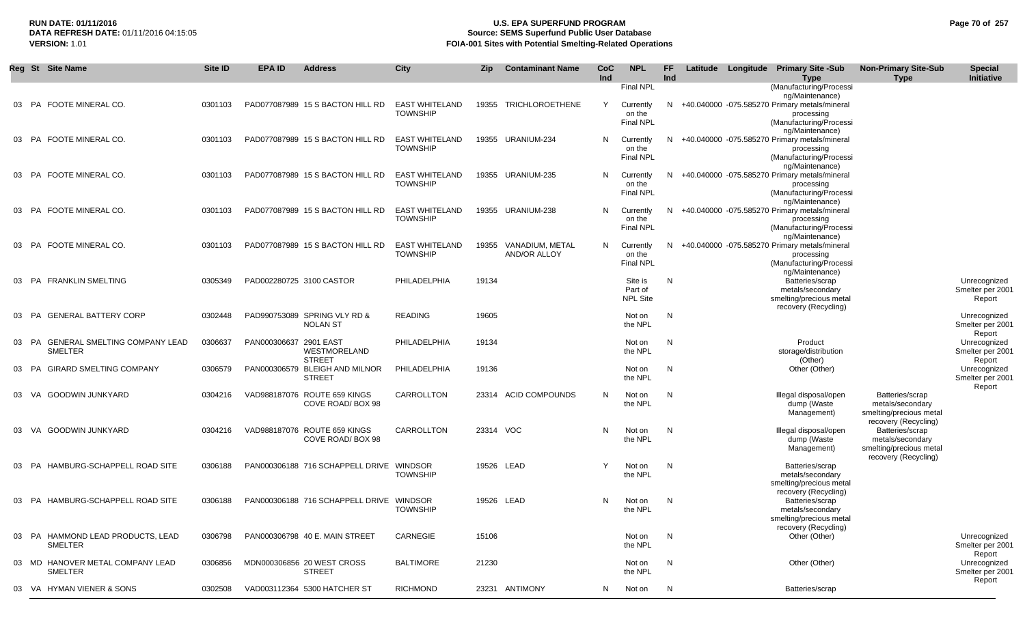### **RUN DATE: 01/11/2016 U.S. EPA SUPERFUND PROGRAM Page 70 of 257** DATA REFRESH DATE: 01/11/2016 04:15:05<br>**VERSION: 1.01** Source: SEMS Superfund Public User Database<br>FOIA-001 Sites with Potential Smelting-Related Operat **FOIA-001 Sites with Potential Smelting-Related Operations**

|    | Reg St Site Name                                         | Site ID | <b>EPA ID</b>            | <b>Address</b>                                   | <b>City</b>                              | <b>Zip</b> | <b>Contaminant Name</b>                      | CoC<br>Ind | <b>NPL</b>                              | FF.<br>Ind |  | Latitude Longitude Primary Site -Sub<br><b>Type</b>                                                       | <b>Non-Primary Site-Sub</b><br><b>Type</b>                                             | <b>Special</b><br>Initiative               |
|----|----------------------------------------------------------|---------|--------------------------|--------------------------------------------------|------------------------------------------|------------|----------------------------------------------|------------|-----------------------------------------|------------|--|-----------------------------------------------------------------------------------------------------------|----------------------------------------------------------------------------------------|--------------------------------------------|
|    |                                                          |         |                          |                                                  |                                          |            |                                              |            | <b>Final NPL</b>                        |            |  | (Manufacturing/Processi<br>ng/Maintenance)                                                                |                                                                                        |                                            |
| 03 | PA FOOTE MINERAL CO.                                     | 0301103 |                          | PAD077087989 15 S BACTON HILL RD                 | <b>EAST WHITELAND</b><br><b>TOWNSHIP</b> |            | 19355 TRICHLOROETHENE                        | Y          | Currently<br>on the<br><b>Final NPL</b> | N.         |  | +40.040000 -075.585270 Primary metals/mineral<br>processing<br>(Manufacturing/Processi<br>ng/Maintenance) |                                                                                        |                                            |
| 03 | PA FOOTE MINERAL CO.                                     | 0301103 |                          | PAD077087989 15 S BACTON HILL RD                 | <b>EAST WHITELAND</b><br><b>TOWNSHIP</b> |            | 19355 URANIUM-234                            | N          | Currently<br>on the<br>Final NPL        |            |  | N +40.040000 -075.585270 Primary metals/mineral<br>processing<br>(Manufacturing/Processi                  |                                                                                        |                                            |
|    | 03 PA FOOTE MINERAL CO.                                  | 0301103 |                          | PAD077087989 15 S BACTON HILL RD                 | <b>EAST WHITELAND</b><br><b>TOWNSHIP</b> |            | 19355 URANIUM-235                            | N          | Currently<br>on the<br><b>Final NPL</b> | N.         |  | ng/Maintenance)<br>+40.040000 -075.585270 Primary metals/mineral<br>processing<br>(Manufacturing/Processi |                                                                                        |                                            |
|    | 03 PA FOOTE MINERAL CO.                                  | 0301103 |                          | PAD077087989 15 S BACTON HILL RD                 | <b>EAST WHITELAND</b><br><b>TOWNSHIP</b> |            | 19355 URANIUM-238                            | N          | Currently<br>on the<br>Final NPL        | N.         |  | ng/Maintenance)<br>+40.040000 -075.585270 Primary metals/mineral<br>processing<br>(Manufacturing/Processi |                                                                                        |                                            |
|    | 03 PA FOOTE MINERAL CO.                                  | 0301103 |                          | PAD077087989 15 S BACTON HILL RD                 | <b>EAST WHITELAND</b><br><b>TOWNSHIP</b> |            | 19355 VANADIUM, METAL<br><b>AND/OR ALLOY</b> | N          | Currently<br>on the<br><b>Final NPL</b> | N.         |  | ng/Maintenance)<br>+40.040000 -075.585270 Primary metals/mineral<br>processing<br>(Manufacturing/Processi |                                                                                        |                                            |
|    | <b>PA FRANKLIN SMELTING</b>                              | 0305349 | PAD002280725 3100 CASTOR |                                                  | PHILADELPHIA                             | 19134      |                                              |            | Site is<br>Part of<br><b>NPL Site</b>   | N          |  | ng/Maintenance)<br>Batteries/scrap<br>metals/secondary<br>smelting/precious metal<br>recovery (Recycling) |                                                                                        | Unrecognized<br>Smelter per 2001<br>Report |
| 03 | PA GENERAL BATTERY CORP                                  | 0302448 |                          | PAD990753089 SPRING VLY RD &<br><b>NOLAN ST</b>  | <b>READING</b>                           | 19605      |                                              |            | Not on<br>the NPL                       | N          |  |                                                                                                           |                                                                                        | Unrecognized<br>Smelter per 2001<br>Report |
|    | <b>GENERAL SMELTING COMPANY LEAD</b><br>03 PA<br>SMELTER | 0306637 | PAN000306637 2901 EAST   | WESTMORELAND<br><b>STREET</b>                    | PHILADELPHIA                             | 19134      |                                              |            | Not on<br>the NPL                       | N          |  | Product<br>storage/distribution<br>(Other)                                                                |                                                                                        | Unrecognized<br>Smelter per 2001<br>Report |
|    | 03 PA GIRARD SMELTING COMPANY                            | 0306579 |                          | PAN000306579 BLEIGH AND MILNOR<br><b>STREET</b>  | PHILADELPHIA                             | 19136      |                                              |            | Not on<br>the NPL                       | N          |  | Other (Other)                                                                                             |                                                                                        | Unrecognized<br>Smelter per 2001<br>Report |
| 03 | VA GOODWIN JUNKYARD                                      | 0304216 |                          | VAD988187076 ROUTE 659 KINGS<br>COVE ROAD/BOX 98 | CARROLLTON                               |            | 23314 ACID COMPOUNDS                         | N          | Not on<br>the NPL                       | N          |  | Illegal disposal/open<br>dump (Waste<br>Management)                                                       | Batteries/scrap<br>metals/secondary<br>smelting/precious metal<br>recovery (Recycling) |                                            |
|    | 03 VA GOODWIN JUNKYARD                                   | 0304216 |                          | VAD988187076 ROUTE 659 KINGS<br>COVE ROAD/BOX 98 | CARROLLTON                               |            | 23314 VOC                                    | N          | Not on<br>the NPL                       | N          |  | Illegal disposal/open<br>dump (Waste<br>Management)                                                       | Batteries/scrap<br>metals/secondary<br>smelting/precious metal                         |                                            |
|    | 03 PA HAMBURG-SCHAPPELL ROAD SITE                        | 0306188 |                          | PAN000306188 716 SCHAPPELL DRIVE WINDSOR         | <b>TOWNSHIP</b>                          |            | 19526 LEAD                                   | Y          | Not on<br>the NPL                       | N          |  | Batteries/scrap<br>metals/secondary<br>smelting/precious metal                                            | recovery (Recycling)                                                                   |                                            |
|    | 03 PA HAMBURG-SCHAPPELL ROAD SITE                        | 0306188 |                          | PAN000306188 716 SCHAPPELL DRIVE WINDSOR         | <b>TOWNSHIP</b>                          |            | 19526 LEAD                                   | N.         | Not on<br>the NPL                       | N          |  | recovery (Recycling)<br>Batteries/scrap<br>metals/secondary<br>smelting/precious metal                    |                                                                                        |                                            |
| 03 | PA HAMMOND LEAD PRODUCTS, LEAD<br>SMELTER                | 0306798 |                          | PAN000306798 40 E. MAIN STREET                   | CARNEGIE                                 | 15106      |                                              |            | Not on<br>the NPL                       | N          |  | recovery (Recycling)<br>Other (Other)                                                                     |                                                                                        | Unrecognized<br>Smelter per 2001<br>Report |
|    | 03 MD HANOVER METAL COMPANY LEAD<br><b>SMELTER</b>       | 0306856 |                          | MDN000306856 20 WEST CROSS<br><b>STREET</b>      | <b>BALTIMORE</b>                         | 21230      |                                              |            | Not on<br>the NPL                       | N          |  | Other (Other)                                                                                             |                                                                                        | Unrecognized<br>Smelter per 2001<br>Report |
|    | 03 VA HYMAN VIENER & SONS                                | 0302508 |                          | VAD003112364 5300 HATCHER ST                     | <b>RICHMOND</b>                          |            | 23231 ANTIMONY                               | N          | Not on                                  | N          |  | Batteries/scrap                                                                                           |                                                                                        |                                            |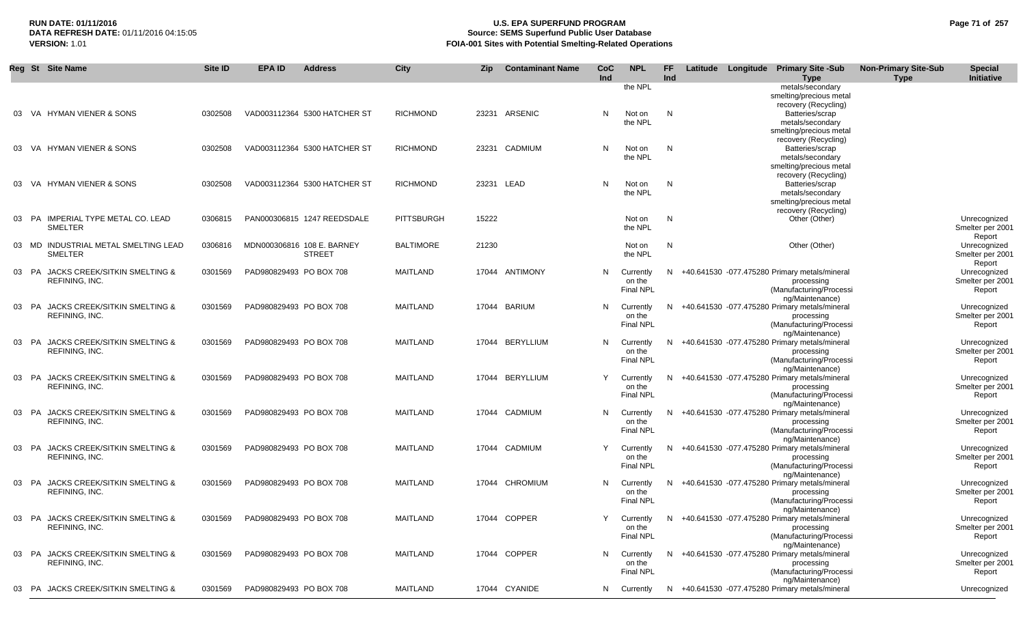## **RUN DATE: 01/11/2016 U.S. EPA SUPERFUND PROGRAM Page 71 of 257 Source: SEMS Superfund Public User Database VERSION:** 1.01 **FOIA-001 Sites with Potential Smelting-Related Operations**

|       | Reg St Site Name                     | Site ID | <b>EPA ID</b>           | <b>Address</b>               | City              | Zip   | <b>Contaminant Name</b> | <b>CoC</b> | <b>NPL</b>                 | FF. |  | Latitude Longitude Primary Site -Sub                               | <b>Non-Primary Site-Sub</b> | <b>Special</b>                   |
|-------|--------------------------------------|---------|-------------------------|------------------------------|-------------------|-------|-------------------------|------------|----------------------------|-----|--|--------------------------------------------------------------------|-----------------------------|----------------------------------|
|       |                                      |         |                         |                              |                   |       |                         | Ind        |                            | Ind |  | <b>Type</b>                                                        | <b>Type</b>                 | Initiative                       |
|       |                                      |         |                         |                              |                   |       |                         |            | the NPL                    |     |  | metals/secondary<br>smelting/precious metal                        |                             |                                  |
|       |                                      |         |                         |                              |                   |       |                         |            |                            |     |  | recovery (Recycling)                                               |                             |                                  |
|       | 03 VA HYMAN VIENER & SONS            | 0302508 |                         | VAD003112364 5300 HATCHER ST | <b>RICHMOND</b>   |       | 23231 ARSENIC           | N          | Not on                     | N   |  | Batteries/scrap                                                    |                             |                                  |
|       |                                      |         |                         |                              |                   |       |                         |            | the NPL                    |     |  | metals/secondary                                                   |                             |                                  |
|       |                                      |         |                         |                              |                   |       |                         |            |                            |     |  | smelting/precious metal                                            |                             |                                  |
| 03    | VA HYMAN VIENER & SONS               | 0302508 |                         | VAD003112364 5300 HATCHER ST | <b>RICHMOND</b>   |       | 23231 CADMIUM           | N          | Not on                     | N   |  | recovery (Recycling)<br>Batteries/scrap                            |                             |                                  |
|       |                                      |         |                         |                              |                   |       |                         |            | the NPL                    |     |  | metals/secondary                                                   |                             |                                  |
|       |                                      |         |                         |                              |                   |       |                         |            |                            |     |  | smelting/precious metal                                            |                             |                                  |
|       |                                      |         |                         |                              |                   |       |                         |            |                            |     |  | recovery (Recycling)                                               |                             |                                  |
| 03    | VA HYMAN VIENER & SONS               | 0302508 |                         | VAD003112364 5300 HATCHER ST | <b>RICHMOND</b>   |       | 23231 LEAD              | N          | Not on                     | N   |  | Batteries/scrap                                                    |                             |                                  |
|       |                                      |         |                         |                              |                   |       |                         |            | the NPL                    |     |  | metals/secondary                                                   |                             |                                  |
|       |                                      |         |                         |                              |                   |       |                         |            |                            |     |  | smelting/precious metal<br>recovery (Recycling)                    |                             |                                  |
|       | 03 PA IMPERIAL TYPE METAL CO. LEAD   | 0306815 |                         | PAN000306815 1247 REEDSDALE  | <b>PITTSBURGH</b> | 15222 |                         |            | Not on                     | N   |  | Other (Other)                                                      |                             | Unrecognized                     |
|       | <b>SMELTER</b>                       |         |                         |                              |                   |       |                         |            | the NPL                    |     |  |                                                                    |                             | Smelter per 2001                 |
|       |                                      |         |                         |                              |                   |       |                         |            |                            |     |  |                                                                    |                             | Report                           |
|       | 03 MD INDUSTRIAL METAL SMELTING LEAD | 0306816 |                         | MDN000306816 108 E. BARNEY   | <b>BALTIMORE</b>  | 21230 |                         |            | Not on                     | N   |  | Other (Other)                                                      |                             | Unrecognized                     |
|       | <b>SMELTER</b>                       |         |                         | <b>STREET</b>                |                   |       |                         |            | the NPL                    |     |  |                                                                    |                             | Smelter per 2001                 |
|       | 03 PA JACKS CREEK/SITKIN SMELTING &  | 0301569 | PAD980829493 PO BOX 708 |                              | MAITLAND          |       | 17044 ANTIMONY          | N          | Currently                  |     |  | N +40.641530 -077.475280 Primary metals/mineral                    |                             | Report<br>Unrecognized           |
|       | REFINING, INC.                       |         |                         |                              |                   |       |                         |            | on the                     |     |  | processing                                                         |                             | Smelter per 2001                 |
|       |                                      |         |                         |                              |                   |       |                         |            | <b>Final NPL</b>           |     |  | (Manufacturing/Processi                                            |                             | Report                           |
|       |                                      |         |                         |                              |                   |       |                         |            |                            |     |  | ng/Maintenance)                                                    |                             |                                  |
|       | 03 PA JACKS CREEK/SITKIN SMELTING &  | 0301569 | PAD980829493 PO BOX 708 |                              | <b>MAITLAND</b>   |       | 17044 BARIUM            | N          | Currently                  |     |  | N +40.641530 -077.475280 Primary metals/mineral                    |                             | Unrecognized                     |
|       | REFINING, INC.                       |         |                         |                              |                   |       |                         |            | on the<br><b>Final NPL</b> |     |  | processing<br>(Manufacturing/Processi                              |                             | Smelter per 2001<br>Report       |
|       |                                      |         |                         |                              |                   |       |                         |            |                            |     |  | ng/Maintenance)                                                    |                             |                                  |
|       | 03 PA JACKS CREEK/SITKIN SMELTING &  | 0301569 | PAD980829493 PO BOX 708 |                              | MAITLAND          |       | 17044 BERYLLIUM         | N          | Currently                  |     |  | N +40.641530 -077.475280 Primary metals/mineral                    |                             | Unrecognized                     |
|       | REFINING, INC.                       |         |                         |                              |                   |       |                         |            | on the                     |     |  | processing                                                         |                             | Smelter per 2001                 |
|       |                                      |         |                         |                              |                   |       |                         |            | Final NPL                  |     |  | (Manufacturing/Processi                                            |                             | Report                           |
|       | 03 PA JACKS CREEK/SITKIN SMELTING &  | 0301569 | PAD980829493 PO BOX 708 |                              | <b>MAITLAND</b>   |       | 17044 BERYLLIUM         | Y          | Currently                  |     |  | ng/Maintenance)<br>N +40.641530 -077.475280 Primary metals/mineral |                             | Unrecognized                     |
|       | REFINING, INC.                       |         |                         |                              |                   |       |                         |            | on the                     |     |  | processing                                                         |                             | Smelter per 2001                 |
|       |                                      |         |                         |                              |                   |       |                         |            | <b>Final NPL</b>           |     |  | (Manufacturing/Processi                                            |                             | Report                           |
|       |                                      |         |                         |                              |                   |       |                         |            |                            |     |  | ng/Maintenance)                                                    |                             |                                  |
|       | 03 PA JACKS CREEK/SITKIN SMELTING &  | 0301569 | PAD980829493 PO BOX 708 |                              | MAITLAND          |       | 17044 CADMIUM           | N          | Currently                  |     |  | N +40.641530 -077.475280 Primary metals/mineral                    |                             | Unrecognized                     |
|       | REFINING, INC.                       |         |                         |                              |                   |       |                         |            | on the<br>Final NPL        |     |  | processing                                                         |                             | Smelter per 2001                 |
|       |                                      |         |                         |                              |                   |       |                         |            |                            |     |  | (Manufacturing/Processi<br>ng/Maintenance)                         |                             | Report                           |
|       | 03 PA JACKS CREEK/SITKIN SMELTING &  | 0301569 | PAD980829493 PO BOX 708 |                              | <b>MAITLAND</b>   |       | 17044 CADMIUM           | Y          | Currently                  |     |  | N +40.641530 -077.475280 Primary metals/mineral                    |                             | Unrecognized                     |
|       | REFINING, INC.                       |         |                         |                              |                   |       |                         |            | on the                     |     |  | processing                                                         |                             | Smelter per 2001                 |
|       |                                      |         |                         |                              |                   |       |                         |            | <b>Final NPL</b>           |     |  | (Manufacturing/Processi                                            |                             | Report                           |
|       | JACKS CREEK/SITKIN SMELTING &        |         |                         |                              |                   |       |                         |            |                            |     |  | ng/Maintenance)                                                    |                             |                                  |
| 03 PA | REFINING, INC.                       | 0301569 | PAD980829493 PO BOX 708 |                              | <b>MAITLAND</b>   |       | 17044 CHROMIUM          | N          | Currently<br>on the        |     |  | N +40.641530 -077.475280 Primary metals/mineral<br>processing      |                             | Unrecognized<br>Smelter per 2001 |
|       |                                      |         |                         |                              |                   |       |                         |            | <b>Final NPL</b>           |     |  | (Manufacturing/Processi                                            |                             | Report                           |
|       |                                      |         |                         |                              |                   |       |                         |            |                            |     |  | ng/Maintenance)                                                    |                             |                                  |
|       | 03 PA JACKS CREEK/SITKIN SMELTING &  | 0301569 | PAD980829493 PO BOX 708 |                              | <b>MAITLAND</b>   |       | 17044 COPPER            | Y          | Currently                  |     |  | N +40.641530 -077.475280 Primary metals/mineral                    |                             | Unrecognized                     |
|       | REFINING, INC.                       |         |                         |                              |                   |       |                         |            | on the                     |     |  | processing                                                         |                             | Smelter per 2001                 |
|       |                                      |         |                         |                              |                   |       |                         |            | <b>Final NPL</b>           |     |  | (Manufacturing/Processi<br>ng/Maintenance)                         |                             | Report                           |
|       | 03 PA JACKS CREEK/SITKIN SMELTING &  | 0301569 | PAD980829493 PO BOX 708 |                              | <b>MAITLAND</b>   |       | 17044 COPPER            | N          | Currently                  |     |  | N +40.641530 -077.475280 Primary metals/mineral                    |                             | Unrecognized                     |
|       | REFINING, INC.                       |         |                         |                              |                   |       |                         |            | on the                     |     |  | processing                                                         |                             | Smelter per 2001                 |
|       |                                      |         |                         |                              |                   |       |                         |            | <b>Final NPL</b>           |     |  | (Manufacturing/Processi                                            |                             | Report                           |
|       |                                      |         |                         |                              |                   |       |                         |            |                            |     |  | ng/Maintenance)                                                    |                             |                                  |
|       | 03 PA JACKS CREEK/SITKIN SMELTING &  | 0301569 | PAD980829493 PO BOX 708 |                              | <b>MAITLAND</b>   |       | 17044 CYANIDE           |            | N Currently                |     |  | N +40.641530 -077.475280 Primary metals/mineral                    |                             | Unrecognized                     |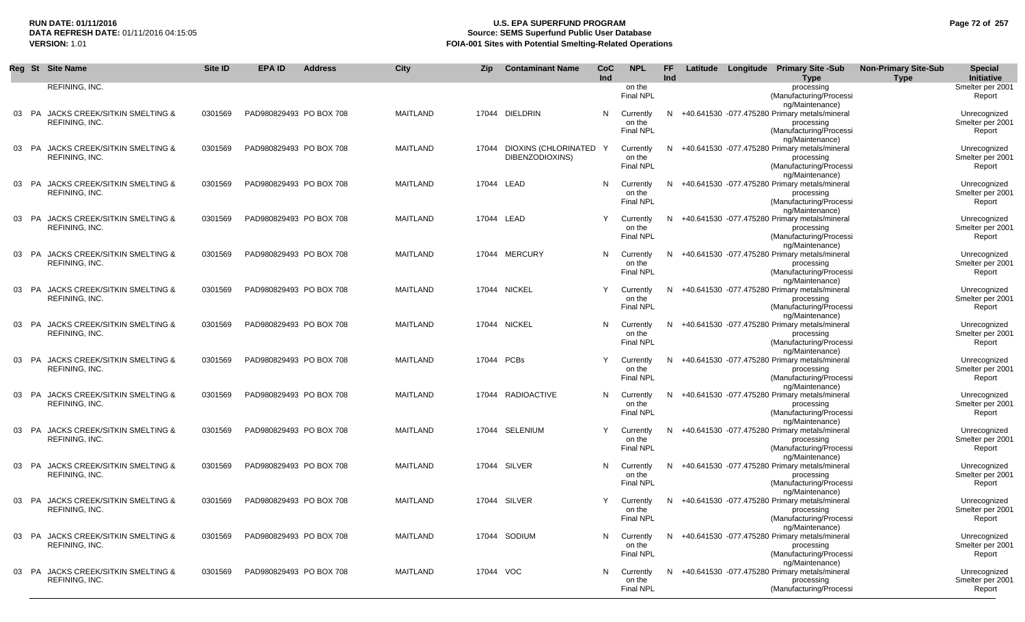## **RUN DATE: 01/11/2016 U.S. EPA SUPERFUND PROGRAM Page 72 of 257 Source: SEMS Superfund Public User Database VERSION:** 1.01 **FOIA-001 Sites with Potential Smelting-Related Operations**

|       |    | Reg St Site Name                                                  | Site ID | <b>EPA ID</b>           | <b>Address</b> | <b>City</b>     | Zip       | <b>Contaminant Name</b>                   | CoC<br>Ind | <b>NPL</b>                              | <b>FF</b><br>Ind |  | Latitude Longitude Primary Site -Sub<br><b>Type</b>                                                                            | <b>Non-Primary Site-Sub</b><br><b>Type</b> | <b>Special</b><br>Initiative               |
|-------|----|-------------------------------------------------------------------|---------|-------------------------|----------------|-----------------|-----------|-------------------------------------------|------------|-----------------------------------------|------------------|--|--------------------------------------------------------------------------------------------------------------------------------|--------------------------------------------|--------------------------------------------|
|       |    | REFINING, INC.                                                    |         |                         |                |                 |           |                                           |            | on the<br><b>Final NPL</b>              |                  |  | processing<br>(Manufacturing/Processi<br>ng/Maintenance)                                                                       |                                            | Smelter per 2001<br>Report                 |
|       |    | 03 PA JACKS CREEK/SITKIN SMELTING &<br>REFINING, INC.             | 0301569 | PAD980829493 PO BOX 708 |                | <b>MAITLAND</b> |           | 17044 DIELDRIN                            | N          | Currently<br>on the<br>Final NPL        |                  |  | N +40.641530 -077.475280 Primary metals/mineral<br>processing<br>(Manufacturing/Processi<br>ng/Maintenance)                    |                                            | Unrecognized<br>Smelter per 2001<br>Report |
|       |    | 03 PA JACKS CREEK/SITKIN SMELTING &<br>REFINING, INC.             | 0301569 | PAD980829493 PO BOX 708 |                | <b>MAITLAND</b> | 17044     | DIOXINS (CHLORINATED Y<br>DIBENZODIOXINS) |            | Currently<br>on the<br><b>Final NPL</b> |                  |  | N +40.641530 -077.475280 Primary metals/mineral<br>processing<br>(Manufacturing/Processi                                       |                                            | Unrecognized<br>Smelter per 2001<br>Report |
| 03    | PA | JACKS CREEK/SITKIN SMELTING &<br>REFINING, INC.                   | 0301569 | PAD980829493 PO BOX 708 |                | <b>MAITLAND</b> |           | 17044 LEAD                                | N          | Currently<br>on the<br><b>Final NPL</b> |                  |  | ng/Maintenance)<br>N +40.641530 -077.475280 Primary metals/mineral<br>processing<br>(Manufacturing/Processi                    |                                            | Unrecognized<br>Smelter per 2001<br>Report |
|       |    | 03 PA JACKS CREEK/SITKIN SMELTING &<br><b>REFINING, INC.</b>      | 0301569 | PAD980829493 PO BOX 708 |                | MAITLAND        |           | 17044 LEAD                                | Y          | Currently<br>on the<br><b>Final NPL</b> |                  |  | ng/Maintenance)<br>N +40.641530 -077.475280 Primary metals/mineral<br>processing<br>(Manufacturing/Processi                    |                                            | Unrecognized<br>Smelter per 2001<br>Report |
| 03    | PA | JACKS CREEK/SITKIN SMELTING &<br>REFINING, INC.                   | 0301569 | PAD980829493 PO BOX 708 |                | MAITLAND        |           | 17044 MERCURY                             | N.         | Currently<br>on the<br><b>Final NPL</b> |                  |  | ng/Maintenance)<br>N +40.641530 -077.475280 Primary metals/mineral<br>processing<br>(Manufacturing/Processi                    |                                            | Unrecognized<br>Smelter per 2001<br>Report |
| 03 PA |    | JACKS CREEK/SITKIN SMELTING &<br>REFINING, INC.                   | 0301569 | PAD980829493 PO BOX 708 |                | <b>MAITLAND</b> |           | 17044 NICKEL                              | Y          | Currently<br>on the<br><b>Final NPL</b> |                  |  | ng/Maintenance)<br>N +40.641530 -077.475280 Primary metals/mineral<br>processing<br>(Manufacturing/Processi                    |                                            | Unrecognized<br>Smelter per 2001<br>Report |
| 03    | PA | JACKS CREEK/SITKIN SMELTING &<br>REFINING, INC.                   | 0301569 | PAD980829493 PO BOX 708 |                | <b>MAITLAND</b> |           | 17044 NICKEL                              | N          | Currently<br>on the<br><b>Final NPL</b> |                  |  | ng/Maintenance)<br>N +40.641530 -077.475280 Primary metals/mineral<br>processing<br>(Manufacturing/Processi                    |                                            | Unrecognized<br>Smelter per 2001<br>Report |
|       |    | 03 PA JACKS CREEK/SITKIN SMELTING &<br><b>REFINING, INC.</b>      | 0301569 | PAD980829493 PO BOX 708 |                | <b>MAITLAND</b> |           | 17044 PCBs                                | Y          | Currently<br>on the<br><b>Final NPL</b> |                  |  | ng/Maintenance)<br>N +40.641530 -077.475280 Primary metals/mineral<br>processing<br>(Manufacturing/Processi                    |                                            | Unrecognized<br>Smelter per 2001<br>Report |
| 03    | PA | JACKS CREEK/SITKIN SMELTING &<br>REFINING, INC.                   | 0301569 | PAD980829493 PO BOX 708 |                | MAITLAND        |           | 17044 RADIOACTIVE                         | N.         | Currently<br>on the<br>Final NPL        |                  |  | ng/Maintenance)<br>N +40.641530 -077.475280 Primary metals/mineral<br>processing<br>(Manufacturing/Processi<br>ng/Maintenance) |                                            | Unrecognized<br>Smelter per 2001<br>Report |
|       |    | 03 PA JACKS CREEK/SITKIN SMELTING &<br>REFINING, INC.             | 0301569 | PAD980829493 PO BOX 708 |                | <b>MAITLAND</b> | 17044     | SELENIUM                                  | Y          | Currently<br>on the<br><b>Final NPL</b> |                  |  | N +40.641530 -077.475280 Primary metals/mineral<br>processing<br>(Manufacturing/Processi                                       |                                            | Unrecognized<br>Smelter per 2001<br>Report |
| 03    | PA | JACKS CREEK/SITKIN SMELTING &<br>REFINING, INC.                   | 0301569 | PAD980829493 PO BOX 708 |                | <b>MAITLAND</b> |           | 17044 SILVER                              | N          | Currently<br>on the<br><b>Final NPL</b> |                  |  | ng/Maintenance)<br>N +40.641530 -077.475280 Primary metals/mineral<br>processing<br>(Manufacturing/Processi<br>ng/Maintenance) |                                            | Unrecognized<br>Smelter per 2001<br>Report |
| 03 PA |    | <b>JACKS CREEK/SITKIN SMELTING &amp;</b><br><b>REFINING, INC.</b> | 0301569 | PAD980829493 PO BOX 708 |                | <b>MAITLAND</b> |           | 17044 SILVER                              | Y          | Currently<br>on the<br><b>Final NPL</b> |                  |  | N +40.641530 -077.475280 Primary metals/mineral<br>processing<br>(Manufacturing/Processi<br>ng/Maintenance)                    |                                            | Unrecognized<br>Smelter per 2001<br>Report |
| 03    |    | PA JACKS CREEK/SITKIN SMELTING &<br><b>REFINING, INC.</b>         | 0301569 | PAD980829493 PO BOX 708 |                | <b>MAITLAND</b> |           | 17044 SODIUM                              | N.         | Currently<br>on the<br>Final NPL        |                  |  | N +40.641530 -077.475280 Primary metals/mineral<br>processing<br>(Manufacturing/Processi<br>ng/Maintenance)                    |                                            | Unrecognized<br>Smelter per 2001<br>Report |
|       |    | 03 PA JACKS CREEK/SITKIN SMELTING &<br>REFINING, INC.             | 0301569 | PAD980829493 PO BOX 708 |                | MAITLAND        | 17044 VOC |                                           | N          | Currently<br>on the<br><b>Final NPL</b> |                  |  | N +40.641530 -077.475280 Primary metals/mineral<br>processing<br>(Manufacturing/Processi                                       |                                            | Unrecognized<br>Smelter per 2001<br>Report |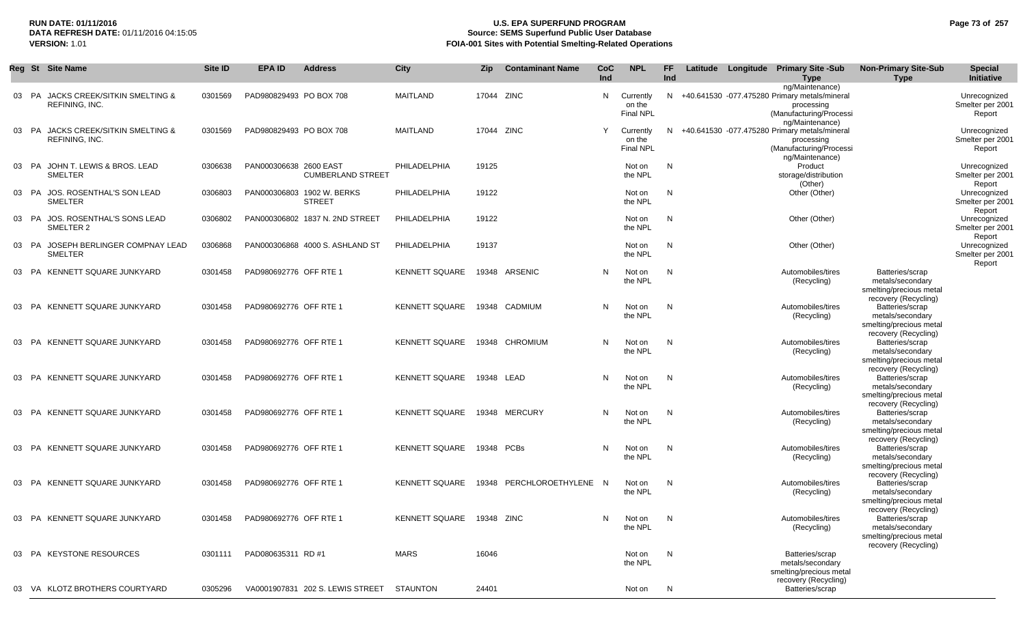### **RUN DATE: 01/11/2016 U.S. EPA SUPERFUND PROGRAM Page 73 of 257** DATA REFRESH DATE: 01/11/2016 04:15:05<br>**VERSION: 1.01** Source: SEMS Superfund Public User Database<br>FOIA-001 Sites with Potential Smelting-Related Operat **FOIA-001 Sites with Potential Smelting-Related Operations**

|    |           | Reg St Site Name                                       | Site ID | <b>EPA ID</b>           | <b>Address</b>                              | <b>City</b>           | Zip        | <b>Contaminant Name</b>   | CoC<br>Ind | <b>NPL</b>                              | FF<br>Ind |  | Latitude Longitude Primary Site -Sub<br><b>Type</b>                                                                          | <b>Non-Primary Site-Sub</b><br><b>Type</b>                                             | <b>Special</b><br>Initiative               |
|----|-----------|--------------------------------------------------------|---------|-------------------------|---------------------------------------------|-----------------------|------------|---------------------------|------------|-----------------------------------------|-----------|--|------------------------------------------------------------------------------------------------------------------------------|----------------------------------------------------------------------------------------|--------------------------------------------|
|    |           | 03 PA JACKS CREEK/SITKIN SMELTING &<br>REFINING, INC.  | 0301569 | PAD980829493 PO BOX 708 |                                             | MAITLAND              | 17044 ZINC |                           | N          | Currently<br>on the<br><b>Final NPL</b> |           |  | ng/Maintenance)<br>N +40.641530 -077.475280 Primary metals/mineral<br>processing<br>(Manufacturing/Processi                  |                                                                                        | Unrecognized<br>Smelter per 2001<br>Report |
| 03 | - PA      | JACKS CREEK/SITKIN SMELTING &<br><b>REFINING, INC.</b> | 0301569 | PAD980829493 PO BOX 708 |                                             | MAITLAND              | 17044 ZINC |                           | Y          | Currently<br>on the<br><b>Final NPL</b> | N.        |  | ng/Maintenance)<br>+40.641530 -077.475280 Primary metals/mineral<br>processing<br>(Manufacturing/Processi<br>ng/Maintenance) |                                                                                        | Unrecognized<br>Smelter per 2001<br>Report |
| 03 | <b>PA</b> | JOHN T. LEWIS & BROS. LEAD<br>SMELTER                  | 0306638 | PAN000306638 2600 EAST  | <b>CUMBERLAND STREET</b>                    | PHILADELPHIA          | 19125      |                           |            | Not on<br>the NPL                       | N         |  | Product<br>storage/distribution<br>(Other)                                                                                   |                                                                                        | Unrecognized<br>Smelter per 2001<br>Report |
|    |           | 03 PA JOS. ROSENTHAL'S SON LEAD<br><b>SMELTER</b>      | 0306803 |                         | PAN000306803 1902 W. BERKS<br><b>STREET</b> | PHILADELPHIA          | 19122      |                           |            | Not on<br>the NPL                       | N         |  | Other (Other)                                                                                                                |                                                                                        | Unrecognized<br>Smelter per 2001<br>Report |
|    |           | 03 PA JOS. ROSENTHAL'S SONS LEAD<br>SMELTER 2          | 0306802 |                         | PAN000306802 1837 N. 2ND STREET             | PHILADELPHIA          | 19122      |                           |            | Not on<br>the NPL                       | N         |  | Other (Other)                                                                                                                |                                                                                        | Unrecognized<br>Smelter per 2001<br>Report |
|    |           | 03 PA JOSEPH BERLINGER COMPNAY LEAD<br><b>SMELTER</b>  | 0306868 |                         | PAN000306868 4000 S. ASHLAND ST             | PHILADELPHIA          | 19137      |                           |            | Not on<br>the NPL                       | N         |  | Other (Other)                                                                                                                |                                                                                        | Unrecognized<br>Smelter per 2001<br>Report |
| 03 |           | PA KENNETT SQUARE JUNKYARD                             | 0301458 | PAD980692776 OFF RTE 1  |                                             | <b>KENNETT SQUARE</b> |            | 19348 ARSENIC             | N          | Not on<br>the NPL                       | N         |  | Automobiles/tires<br>(Recycling)                                                                                             | Batteries/scrap<br>metals/secondary<br>smelting/precious metal<br>recovery (Recycling) |                                            |
|    |           | 03 PA KENNETT SQUARE JUNKYARD                          | 0301458 | PAD980692776 OFF RTE 1  |                                             | <b>KENNETT SQUARE</b> |            | 19348 CADMIUM             | N          | Not on<br>the NPL                       | N         |  | Automobiles/tires<br>(Recycling)                                                                                             | Batteries/scrap<br>metals/secondary<br>smelting/precious metal<br>recovery (Recycling) |                                            |
|    |           | 03 PA KENNETT SQUARE JUNKYARD                          | 0301458 | PAD980692776 OFF RTE 1  |                                             | <b>KENNETT SQUARE</b> |            | 19348 CHROMIUM            | N          | Not on<br>the NPL                       | N         |  | Automobiles/tires<br>(Recycling)                                                                                             | Batteries/scrap<br>metals/secondary<br>smelting/precious metal<br>recovery (Recycling) |                                            |
|    |           | 03 PA KENNETT SQUARE JUNKYARD                          | 0301458 | PAD980692776 OFF RTE 1  |                                             | <b>KENNETT SQUARE</b> | 19348 LEAD |                           | N          | Not on<br>the NPL                       | N         |  | Automobiles/tires<br>(Recycling)                                                                                             | Batteries/scrap<br>metals/secondary<br>smelting/precious metal<br>recovery (Recycling) |                                            |
|    |           | 03 PA KENNETT SQUARE JUNKYARD                          | 0301458 | PAD980692776 OFF RTE 1  |                                             | <b>KENNETT SQUARE</b> |            | 19348 MERCURY             | N          | Not on<br>the NPL                       | N         |  | Automobiles/tires<br>(Recycling)                                                                                             | Batteries/scrap<br>metals/secondary<br>smelting/precious metal<br>recovery (Recycling) |                                            |
|    |           | 03 PA KENNETT SQUARE JUNKYARD                          | 0301458 | PAD980692776 OFF RTE 1  |                                             | <b>KENNETT SQUARE</b> |            | 19348 PCBs                | N          | Not on<br>the NPL                       | N         |  | Automobiles/tires<br>(Recycling)                                                                                             | Batteries/scrap<br>metals/secondary<br>smelting/precious metal<br>recovery (Recycling) |                                            |
|    |           | 03 PA KENNETT SQUARE JUNKYARD                          | 0301458 | PAD980692776 OFF RTE 1  |                                             | <b>KENNETT SQUARE</b> |            | 19348 PERCHLOROETHYLENE N |            | Not on<br>the NPL                       | N         |  | Automobiles/tires<br>(Recycling)                                                                                             | Batteries/scrap<br>metals/secondary<br>smelting/precious metal<br>recovery (Recycling) |                                            |
| 03 |           | PA KENNETT SQUARE JUNKYARD                             | 0301458 | PAD980692776 OFF RTE 1  |                                             | <b>KENNETT SQUARE</b> | 19348 ZINC |                           | N          | Not on<br>the NPL                       | N         |  | Automobiles/tires<br>(Recycling)                                                                                             | Batteries/scrap<br>metals/secondary<br>smelting/precious metal<br>recovery (Recycling) |                                            |
|    |           | 03 PA KEYSTONE RESOURCES                               | 0301111 | PAD080635311 RD #1      |                                             | <b>MARS</b>           | 16046      |                           |            | Not on<br>the NPL                       | N,        |  | Batteries/scrap<br>metals/secondary<br>smelting/precious metal<br>recovery (Recycling)                                       |                                                                                        |                                            |
|    |           | 03 VA KLOTZ BROTHERS COURTYARD                         | 0305296 |                         | VA0001907831 202 S. LEWIS STREET            | <b>STAUNTON</b>       | 24401      |                           |            | Not on                                  | N         |  | Batteries/scrap                                                                                                              |                                                                                        |                                            |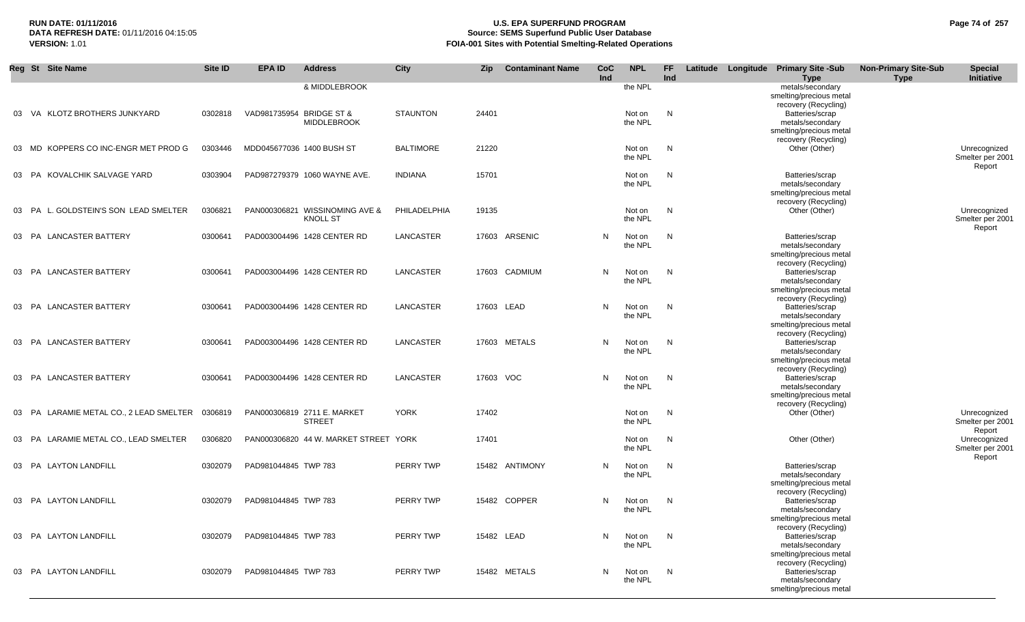# **RUN DATE: 01/11/2016 U.S. EPA SUPERFUND PROGRAM Page 74 of 257 Source: SEMS Superfund Public User Database VERSION:** 1.01 **FOIA-001 Sites with Potential Smelting-Related Operations**

|       | Reg St Site Name                        | Site ID | <b>EPA ID</b>             | <b>Address</b>                                    | City             | <b>Zip</b> | <b>Contaminant Name</b> | CoC<br>Ind | <b>NPL</b>        | FF.<br>Ind |  | Latitude Longitude Primary Site -Sub<br><b>Type</b>                                    | <b>Non-Primary Site-Sub</b><br><b>Type</b> | <b>Special</b><br>Initiative               |
|-------|-----------------------------------------|---------|---------------------------|---------------------------------------------------|------------------|------------|-------------------------|------------|-------------------|------------|--|----------------------------------------------------------------------------------------|--------------------------------------------|--------------------------------------------|
|       |                                         |         |                           | & MIDDLEBROOK                                     |                  |            |                         |            | the NPL           |            |  | metals/secondary<br>smelting/precious metal                                            |                                            |                                            |
|       | 03 VA KLOTZ BROTHERS JUNKYARD           | 0302818 | VAD981735954 BRIDGE ST &  | <b>MIDDLEBROOK</b>                                | <b>STAUNTON</b>  | 24401      |                         |            | Not on<br>the NPL | N          |  | recovery (Recycling)<br>Batteries/scrap<br>metals/secondary<br>smelting/precious metal |                                            |                                            |
|       | 03 MD KOPPERS CO INC-ENGR MET PROD G    | 0303446 | MDD045677036 1400 BUSH ST |                                                   | <b>BALTIMORE</b> | 21220      |                         |            | Not on<br>the NPL | N          |  | recovery (Recycling)<br>Other (Other)                                                  |                                            | Unrecognized<br>Smelter per 2001<br>Report |
|       | 03 PA KOVALCHIK SALVAGE YARD            | 0303904 |                           | PAD987279379 1060 WAYNE AVE.                      | <b>INDIANA</b>   | 15701      |                         |            | Not on<br>the NPL | N          |  | Batteries/scrap<br>metals/secondary<br>smelting/precious metal<br>recovery (Recycling) |                                            |                                            |
|       | 03 PA L. GOLDSTEIN'S SON LEAD SMELTER   | 0306821 |                           | PAN000306821 WISSINOMING AVE &<br><b>KNOLL ST</b> | PHILADELPHIA     | 19135      |                         |            | Not on<br>the NPL | N          |  | Other (Other)                                                                          |                                            | Unrecognized<br>Smelter per 2001<br>Report |
| 03    | PA LANCASTER BATTERY                    | 0300641 |                           | PAD003004496 1428 CENTER RD                       | LANCASTER        |            | 17603 ARSENIC           | N          | Not on<br>the NPL | N          |  | Batteries/scrap<br>metals/secondary<br>smelting/precious metal                         |                                            |                                            |
|       | 03 PA LANCASTER BATTERY                 | 0300641 |                           | PAD003004496 1428 CENTER RD                       | LANCASTER        |            | 17603 CADMIUM           | N          | Not on<br>the NPL | N          |  | recovery (Recycling)<br>Batteries/scrap<br>metals/secondary<br>smelting/precious metal |                                            |                                            |
|       | 03 PA LANCASTER BATTERY                 | 0300641 |                           | PAD003004496 1428 CENTER RD                       | LANCASTER        |            | 17603 LEAD              | N          | Not on<br>the NPL | N          |  | recovery (Recycling)<br>Batteries/scrap<br>metals/secondary<br>smelting/precious metal |                                            |                                            |
|       | 03 PA LANCASTER BATTERY                 | 0300641 |                           | PAD003004496 1428 CENTER RD                       | LANCASTER        |            | 17603 METALS            | N          | Not on<br>the NPL | N          |  | recovery (Recycling)<br>Batteries/scrap<br>metals/secondary<br>smelting/precious metal |                                            |                                            |
|       | 03 PA LANCASTER BATTERY                 | 0300641 |                           | PAD003004496 1428 CENTER RD                       | LANCASTER        | 17603 VOC  |                         | N          | Not on<br>the NPL | N,         |  | recovery (Recycling)<br>Batteries/scrap<br>metals/secondary<br>smelting/precious metal |                                            |                                            |
|       | 03 PA LARAMIE METAL CO., 2 LEAD SMELTER | 0306819 |                           | PAN000306819 2711 E. MARKET<br><b>STREET</b>      | <b>YORK</b>      | 17402      |                         |            | Not on<br>the NPL | N          |  | recovery (Recycling)<br>Other (Other)                                                  |                                            | Unrecognized<br>Smelter per 2001<br>Report |
| 03 PA | LARAMIE METAL CO., LEAD SMELTER         | 0306820 |                           | PAN000306820 44 W. MARKET STREET YORK             |                  | 17401      |                         |            | Not on<br>the NPL | N          |  | Other (Other)                                                                          |                                            | Unrecognized<br>Smelter per 2001<br>Report |
|       | 03 PA LAYTON LANDFILL                   | 0302079 | PAD981044845 TWP 783      |                                                   | PERRY TWP        |            | 15482 ANTIMONY          | N          | Not on<br>the NPL | N          |  | Batteries/scrap<br>metals/secondary<br>smelting/precious metal                         |                                            |                                            |
|       | 03 PA LAYTON LANDFILL                   | 0302079 | PAD981044845 TWP 783      |                                                   | PERRY TWP        |            | 15482 COPPER            | N          | Not on<br>the NPL | N,         |  | recovery (Recycling)<br>Batteries/scrap<br>metals/secondary<br>smelting/precious metal |                                            |                                            |
|       | 03 PA LAYTON LANDFILL                   | 0302079 | PAD981044845 TWP 783      |                                                   | PERRY TWP        |            | 15482 LEAD              | N          | Not on<br>the NPL | N,         |  | recovery (Recycling)<br>Batteries/scrap<br>metals/secondary<br>smelting/precious metal |                                            |                                            |
|       | 03 PA LAYTON LANDFILL                   | 0302079 | PAD981044845 TWP 783      |                                                   | PERRY TWP        |            | 15482 METALS            | N          | Not on<br>the NPL | N          |  | recovery (Recycling)<br>Batteries/scrap<br>metals/secondary<br>smelting/precious metal |                                            |                                            |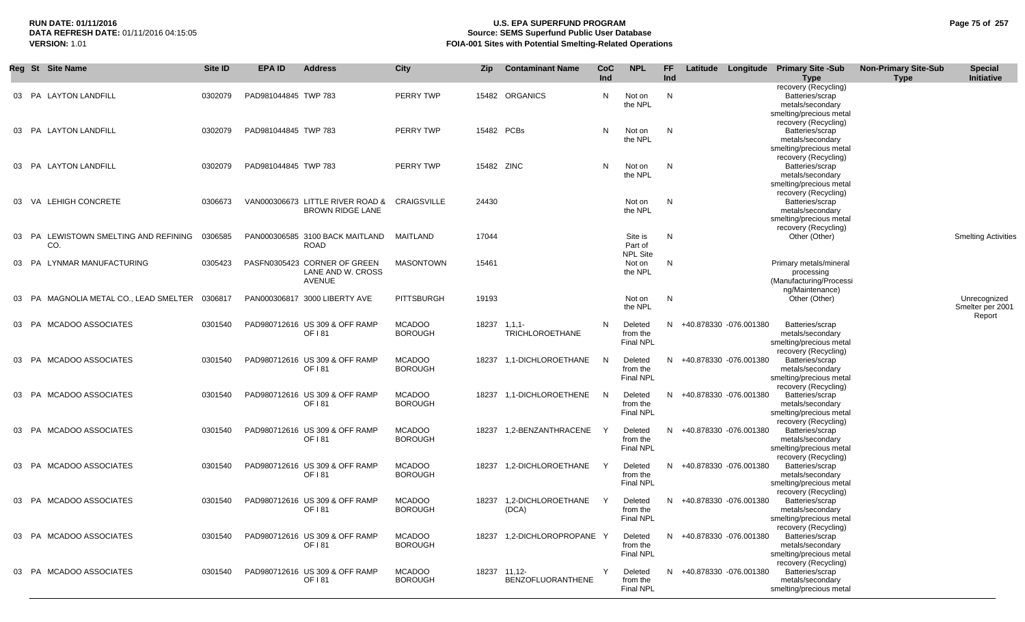## **RUN DATE: 01/11/2016 U.S. EPA SUPERFUND PROGRAM Page 75 of 257** DATA REFRESH DATE: 01/11/2016 04:15:05<br>**VERSION: 1.01** Source: SEMS Superfund Public User Database<br>FOIA-001 Sites with Potential Smelting-Related Operat **VERSION:** 1.01 **FOIA-001 Sites with Potential Smelting-Related Operations**

|    |     | Reg St Site Name                          | Site ID | <b>EPA ID</b>        | <b>Address</b>                                              | <b>City</b>                     | <b>Zip</b> | <b>Contaminant Name</b>                  | CoC<br>Ind | <b>NPL</b>                              | FF.<br>Ind | Latitude                 | Longitude | <b>Primary Site -Sub</b><br><b>Type</b>                                                                        | <b>Non-Primary Site-Sub</b><br><b>Type</b> | <b>Special</b><br>Initiative     |
|----|-----|-------------------------------------------|---------|----------------------|-------------------------------------------------------------|---------------------------------|------------|------------------------------------------|------------|-----------------------------------------|------------|--------------------------|-----------|----------------------------------------------------------------------------------------------------------------|--------------------------------------------|----------------------------------|
|    |     | 03 PA LAYTON LANDFILL                     | 0302079 | PAD981044845 TWP 783 |                                                             | PERRY TWP                       |            | 15482 ORGANICS                           | N          | Not on<br>the NPL                       | N          |                          |           | recovery (Recycling)<br>Batteries/scrap<br>metals/secondary<br>smelting/precious metal                         |                                            |                                  |
|    |     | 03 PA LAYTON LANDFILL                     | 0302079 | PAD981044845 TWP 783 |                                                             | PERRY TWP                       |            | 15482 PCBs                               | N          | Not on<br>the NPL                       | N          |                          |           | recovery (Recycling)<br>Batteries/scrap<br>metals/secondary<br>smelting/precious metal<br>recovery (Recycling) |                                            |                                  |
|    |     | 03 PA LAYTON LANDFILL                     | 0302079 | PAD981044845 TWP 783 |                                                             | PERRY TWP                       | 15482 ZINC |                                          | N          | Not on<br>the NPL                       | N          |                          |           | Batteries/scrap<br>metals/secondary<br>smelting/precious metal<br>recovery (Recycling)                         |                                            |                                  |
| 03 |     | VA LEHIGH CONCRETE                        | 0306673 |                      | VAN000306673 LITTLE RIVER ROAD &<br><b>BROWN RIDGE LANE</b> | <b>CRAIGSVILLE</b>              | 24430      |                                          |            | Not on<br>the NPL                       | N          |                          |           | Batteries/scrap<br>metals/secondary<br>smelting/precious metal<br>recovery (Recycling)                         |                                            |                                  |
| 03 |     | PA LEWISTOWN SMELTING AND REFINING<br>CO. | 0306585 |                      | PAN000306585 3100 BACK MAITLAND<br><b>ROAD</b>              | MAITLAND                        | 17044      |                                          |            | Site is<br>Part of<br><b>NPL Site</b>   | N          |                          |           | Other (Other)                                                                                                  |                                            | <b>Smelting Activities</b>       |
| 03 |     | PA LYNMAR MANUFACTURING                   | 0305423 |                      | PASFN0305423 CORNER OF GREEN<br>LANE AND W. CROSS<br>AVENUE | <b>MASONTOWN</b>                | 15461      |                                          |            | Not on<br>the NPL                       | N          |                          |           | Primary metals/mineral<br>processing<br>(Manufacturing/Processi<br>ng/Maintenance)                             |                                            |                                  |
| 03 | PA. | MAGNOLIA METAL CO., LEAD SMELTER          | 0306817 |                      | PAN000306817 3000 LIBERTY AVE                               | <b>PITTSBURGH</b>               | 19193      |                                          |            | Not on<br>the NPL                       | N          |                          |           | Other (Other)                                                                                                  |                                            | Unrecognized<br>Smelter per 2001 |
|    |     | 03 PA MCADOO ASSOCIATES                   | 0301540 |                      | PAD980712616 US 309 & OFF RAMP<br>OF 181                    | <b>MCADOO</b><br><b>BOROUGH</b> |            | 18237 1,1,1-<br><b>TRICHLOROETHANE</b>   | N          | Deleted<br>from the<br><b>Final NPL</b> |            | N +40.878330 -076.001380 |           | Batteries/scrap<br>metals/secondary<br>smelting/precious metal<br>recovery (Recycling)                         |                                            | Report                           |
| 03 |     | PA MCADOO ASSOCIATES                      | 0301540 |                      | PAD980712616 US 309 & OFF RAMP<br>OF 181                    | <b>MCADOO</b><br><b>BOROUGH</b> |            | 18237 1,1-DICHLOROETHANE                 | - N        | Deleted<br>from the<br><b>Final NPL</b> | N.         | +40.878330 -076.001380   |           | Batteries/scrap<br>metals/secondary<br>smelting/precious metal<br>recovery (Recycling)                         |                                            |                                  |
|    |     | 03 PA MCADOO ASSOCIATES                   | 0301540 |                      | PAD980712616 US 309 & OFF RAMP<br>OF 181                    | <b>MCADOO</b><br><b>BOROUGH</b> | 18237      | 1,1-DICHLOROETHENE                       | - N        | Deleted<br>from the<br><b>Final NPL</b> |            | N +40.878330 -076.001380 |           | Batteries/scrap<br>metals/secondary<br>smelting/precious metal<br>recovery (Recycling)                         |                                            |                                  |
|    |     | 03 PA MCADOO ASSOCIATES                   | 0301540 |                      | PAD980712616 US 309 & OFF RAMP<br>OF 181                    | <b>MCADOO</b><br><b>BOROUGH</b> | 18237      | 1,2-BENZANTHRACENE                       |            | Deleted<br>from the<br><b>Final NPL</b> | N.         | +40.878330 -076.001380   |           | Batteries/scrap<br>metals/secondary<br>smelting/precious metal<br>recovery (Recycling)                         |                                            |                                  |
|    |     | 03 PA MCADOO ASSOCIATES                   | 0301540 |                      | PAD980712616 US 309 & OFF RAMP<br>OF 181                    | <b>MCADOO</b><br><b>BOROUGH</b> |            | 18237 1,2-DICHLOROETHANE                 |            | Deleted<br>from the<br>Final NPL        |            | N +40.878330 -076.001380 |           | Batteries/scrap<br>metals/secondary<br>smelting/precious metal<br>recovery (Recycling)                         |                                            |                                  |
|    |     | 03 PA MCADOO ASSOCIATES                   | 0301540 |                      | PAD980712616 US 309 & OFF RAMP<br>OF 181                    | <b>MCADOO</b><br><b>BOROUGH</b> | 18237      | 1.2-DICHLOROETHANE<br>(DCA)              |            | Deleted<br>from the<br><b>Final NPL</b> | N.         | +40.878330 -076.001380   |           | Batteries/scrap<br>metals/secondary<br>smelting/precious metal<br>recovery (Recycling)                         |                                            |                                  |
| 03 |     | PA MCADOO ASSOCIATES                      | 0301540 |                      | PAD980712616 US 309 & OFF RAMP<br>OF 181                    | <b>MCADOO</b><br><b>BOROUGH</b> |            | 18237 1,2-DICHLOROPROPANE Y              |            | Deleted<br>from the<br><b>Final NPL</b> |            | N +40.878330 -076.001380 |           | Batteries/scrap<br>metals/secondary<br>smelting/precious metal<br>recovery (Recycling)                         |                                            |                                  |
|    |     | 03 PA MCADOO ASSOCIATES                   | 0301540 |                      | PAD980712616 US 309 & OFF RAMP<br>OF 181                    | <b>MCADOO</b><br><b>BOROUGH</b> |            | 18237 11,12-<br><b>BENZOFLUORANTHENE</b> | Y          | Deleted<br>from the<br><b>Final NPL</b> |            | N +40.878330 -076.001380 |           | Batteries/scrap<br>metals/secondary<br>smelting/precious metal                                                 |                                            |                                  |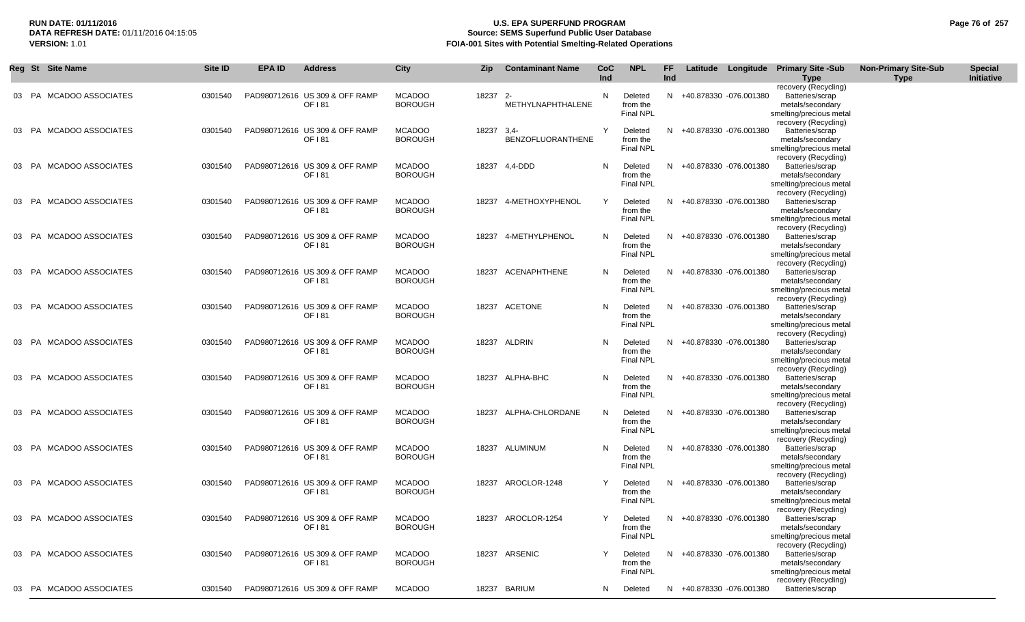## **RUN DATE: 01/11/2016 U.S. EPA SUPERFUND PROGRAM Page 76 of 257 Source: SEMS Superfund Public User Database VERSION:** 1.01 **FOIA-001 Sites with Potential Smelting-Related Operations**

|  | Reg St Site Name        | Site ID | <b>EPA ID</b> | <b>Address</b>                           | City                            | Zip      | <b>Contaminant Name</b>      | CoC<br>Ind | <b>NPL</b>                              | FF<br>Ind |                          | Latitude Longitude Primary Site -Sub                                                   | <b>Non-Primary Site-Sub</b> | <b>Special</b><br>Initiative |
|--|-------------------------|---------|---------------|------------------------------------------|---------------------------------|----------|------------------------------|------------|-----------------------------------------|-----------|--------------------------|----------------------------------------------------------------------------------------|-----------------------------|------------------------------|
|  |                         |         |               |                                          |                                 |          |                              |            |                                         |           |                          | <b>Type</b><br>recovery (Recycling)                                                    | <b>Type</b>                 |                              |
|  | 03 PA MCADOO ASSOCIATES | 0301540 |               | PAD980712616 US 309 & OFF RAMP<br>OF 181 | <b>MCADOO</b><br><b>BOROUGH</b> | 18237 2- | METHYLNAPHTHALENE            | N          | Deleted<br>from the<br><b>Final NPL</b> |           | N +40.878330 -076.001380 | Batteries/scrap<br>metals/secondary<br>smelting/precious metal                         |                             |                              |
|  | 03 PA MCADOO ASSOCIATES | 0301540 |               | PAD980712616 US 309 & OFF RAMP<br>OF 181 | <b>MCADOO</b><br><b>BOROUGH</b> | 18237    | $3.4 -$<br>BENZOFLUORANTHENE | Y          | Deleted<br>from the<br><b>Final NPL</b> |           | N +40.878330 -076.001380 | recovery (Recycling)<br>Batteries/scrap<br>metals/secondary<br>smelting/precious metal |                             |                              |
|  | 03 PA MCADOO ASSOCIATES | 0301540 |               | PAD980712616 US 309 & OFF RAMP<br>OF 181 | <b>MCADOO</b><br><b>BOROUGH</b> |          | 18237 4,4-DDD                | N          | Deleted<br>from the<br><b>Final NPL</b> |           | N +40.878330 -076.001380 | recovery (Recycling)<br>Batteries/scrap<br>metals/secondary<br>smelting/precious metal |                             |                              |
|  | 03 PA MCADOO ASSOCIATES | 0301540 |               | PAD980712616 US 309 & OFF RAMP<br>OF 181 | <b>MCADOO</b><br><b>BOROUGH</b> |          | 18237 4-METHOXYPHENOL        | Y          | Deleted<br>from the<br><b>Final NPL</b> |           | N +40.878330 -076.001380 | recovery (Recycling)<br>Batteries/scrap<br>metals/secondary<br>smelting/precious metal |                             |                              |
|  | 03 PA MCADOO ASSOCIATES | 0301540 |               | PAD980712616 US 309 & OFF RAMP<br>OF 181 | <b>MCADOO</b><br><b>BOROUGH</b> |          | 18237 4-METHYLPHENOL         | N          | Deleted<br>from the<br><b>Final NPL</b> |           | N +40.878330 -076.001380 | recovery (Recycling)<br>Batteries/scrap<br>metals/secondary<br>smelting/precious metal |                             |                              |
|  | 03 PA MCADOO ASSOCIATES | 0301540 |               | PAD980712616 US 309 & OFF RAMP<br>OF 181 | <b>MCADOO</b><br><b>BOROUGH</b> |          | 18237 ACENAPHTHENE           | N          | Deleted<br>from the<br>Final NPL        |           | N +40.878330 -076.001380 | recovery (Recycling)<br>Batteries/scrap<br>metals/secondary<br>smelting/precious metal |                             |                              |
|  | 03 PA MCADOO ASSOCIATES | 0301540 |               | PAD980712616 US 309 & OFF RAMP<br>OF 181 | <b>MCADOO</b><br><b>BOROUGH</b> |          | 18237 ACETONE                | N          | Deleted<br>from the<br><b>Final NPL</b> |           | N +40.878330 -076.001380 | recovery (Recycling)<br>Batteries/scrap<br>metals/secondary<br>smelting/precious metal |                             |                              |
|  | 03 PA MCADOO ASSOCIATES | 0301540 |               | PAD980712616 US 309 & OFF RAMP<br>OF 181 | <b>MCADOO</b><br><b>BOROUGH</b> |          | 18237 ALDRIN                 | N          | Deleted<br>from the<br><b>Final NPL</b> |           | N +40.878330 -076.001380 | recovery (Recycling)<br>Batteries/scrap<br>metals/secondary<br>smelting/precious metal |                             |                              |
|  | 03 PA MCADOO ASSOCIATES | 0301540 |               | PAD980712616 US 309 & OFF RAMP<br>OF 181 | <b>MCADOO</b><br><b>BOROUGH</b> |          | 18237 ALPHA-BHC              | N          | Deleted<br>from the<br><b>Final NPL</b> |           | N +40.878330 -076.001380 | recovery (Recycling)<br>Batteries/scrap<br>metals/secondary<br>smelting/precious metal |                             |                              |
|  | 03 PA MCADOO ASSOCIATES | 0301540 |               | PAD980712616 US 309 & OFF RAMP<br>OF 181 | <b>MCADOO</b><br><b>BOROUGH</b> |          | 18237 ALPHA-CHLORDANE        | N          | Deleted<br>from the<br><b>Final NPL</b> |           | N +40.878330 -076.001380 | recovery (Recycling)<br>Batteries/scrap<br>metals/secondary<br>smelting/precious metal |                             |                              |
|  | 03 PA MCADOO ASSOCIATES | 0301540 |               | PAD980712616 US 309 & OFF RAMP<br>OF 181 | <b>MCADOO</b><br><b>BOROUGH</b> |          | 18237 ALUMINUM               | N          | Deleted<br>from the<br><b>Final NPL</b> |           | N +40.878330 -076.001380 | recovery (Recycling)<br>Batteries/scrap<br>metals/secondary<br>smelting/precious metal |                             |                              |
|  | 03 PA MCADOO ASSOCIATES | 0301540 |               | PAD980712616 US 309 & OFF RAMP<br>OF 181 | <b>MCADOO</b><br><b>BOROUGH</b> |          | 18237 AROCLOR-1248           | Y          | Deleted<br>from the<br><b>Final NPL</b> |           | N +40.878330 -076.001380 | recovery (Recycling)<br>Batteries/scrap<br>metals/secondary<br>smelting/precious metal |                             |                              |
|  | 03 PA MCADOO ASSOCIATES | 0301540 |               | PAD980712616 US 309 & OFF RAMP<br>OF 181 | <b>MCADOO</b><br><b>BOROUGH</b> |          | 18237 AROCLOR-1254           | Y          | Deleted<br>from the<br><b>Final NPL</b> | N.        | +40.878330 -076.001380   | recovery (Recycling)<br>Batteries/scrap<br>metals/secondary<br>smelting/precious metal |                             |                              |
|  | 03 PA MCADOO ASSOCIATES | 0301540 |               | PAD980712616 US 309 & OFF RAMP<br>OF 181 | <b>MCADOO</b><br><b>BOROUGH</b> |          | 18237 ARSENIC                | Y          | Deleted<br>from the<br><b>Final NPL</b> |           | N +40.878330 -076.001380 | recovery (Recycling)<br>Batteries/scrap<br>metals/secondary<br>smelting/precious metal |                             |                              |
|  | 03 PA MCADOO ASSOCIATES | 0301540 |               | PAD980712616 US 309 & OFF RAMP           | <b>MCADOO</b>                   |          | 18237 BARIUM                 | N          | Deleted                                 |           | N +40.878330 -076.001380 | recovery (Recycling)<br>Batteries/scrap                                                |                             |                              |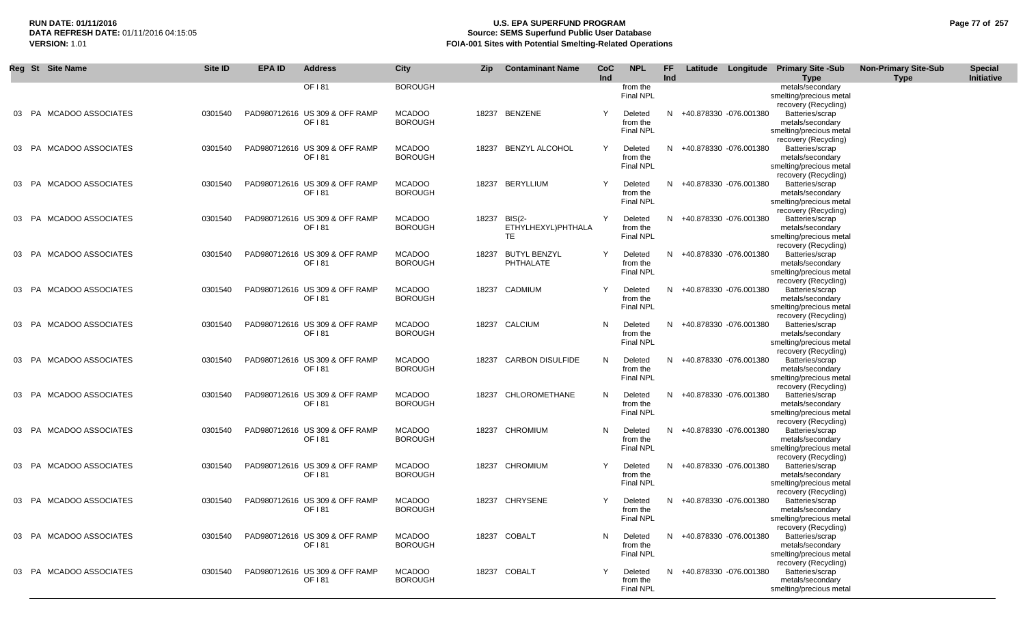## **RUN DATE: 01/11/2016 U.S. EPA SUPERFUND PROGRAM Page 77 of 257 Source: SEMS Superfund Public User Database VERSION:** 1.01 **FOIA-001 Sites with Potential Smelting-Related Operations**

|           | Reg St Site Name         | Site ID | <b>EPA ID</b> | <b>Address</b>                           | City                            | <b>Zip</b> | <b>Contaminant Name</b>                   | <b>CoC</b><br>Ind | <b>NPL</b>                              | <b>FF</b><br>Ind |                          | Latitude Longitude Primary Site -Sub<br>Type                                           | <b>Non-Primary Site-Sub</b><br><b>Type</b> | <b>Special</b><br>Initiative |
|-----------|--------------------------|---------|---------------|------------------------------------------|---------------------------------|------------|-------------------------------------------|-------------------|-----------------------------------------|------------------|--------------------------|----------------------------------------------------------------------------------------|--------------------------------------------|------------------------------|
|           |                          |         |               | OF 181                                   | <b>BOROUGH</b>                  |            |                                           |                   | from the<br>Final NPL                   |                  |                          | metals/secondary<br>smelting/precious metal<br>recovery (Recycling)                    |                                            |                              |
|           | 03 PA MCADOO ASSOCIATES  | 0301540 |               | PAD980712616 US 309 & OFF RAMP<br>OF 181 | <b>MCADOO</b><br><b>BOROUGH</b> |            | 18237 BENZENE                             | Y                 | Deleted<br>from the<br><b>Final NPL</b> |                  | N +40.878330 -076.001380 | Batteries/scrap<br>metals/secondary<br>smelting/precious metal                         |                                            |                              |
|           | 03 PA MCADOO ASSOCIATES  | 0301540 |               | PAD980712616 US 309 & OFF RAMP<br>OF 181 | <b>MCADOO</b><br><b>BOROUGH</b> |            | 18237 BENZYL ALCOHOL                      | Y                 | Deleted<br>from the<br><b>Final NPL</b> |                  | N +40.878330 -076.001380 | recovery (Recycling)<br>Batteries/scrap<br>metals/secondary<br>smelting/precious metal |                                            |                              |
| 03 PA     | MCADOO ASSOCIATES        | 0301540 |               | PAD980712616 US 309 & OFF RAMP<br>OF 181 | <b>MCADOO</b><br><b>BOROUGH</b> |            | 18237 BERYLLIUM                           | Y                 | Deleted<br>from the<br><b>Final NPL</b> |                  | N +40.878330 -076.001380 | recovery (Recycling)<br>Batteries/scrap<br>metals/secondary<br>smelting/precious metal |                                            |                              |
| 03 PA     | MCADOO ASSOCIATES        | 0301540 |               | PAD980712616 US 309 & OFF RAMP<br>OF 181 | <b>MCADOO</b><br><b>BOROUGH</b> | 18237      | BIS(2-<br>ETHYLHEXYL)PHTHALA<br><b>TE</b> | Y                 | Deleted<br>from the<br>Final NPL        |                  | N +40.878330 -076.001380 | recovery (Recycling)<br>Batteries/scrap<br>metals/secondary<br>smelting/precious metal |                                            |                              |
| <b>PA</b> | MCADOO ASSOCIATES        | 0301540 |               | PAD980712616 US 309 & OFF RAMP<br>OF 181 | <b>MCADOO</b><br><b>BOROUGH</b> | 18237      | <b>BUTYL BENZYL</b><br>PHTHALATE          | Y                 | Deleted<br>from the<br><b>Final NPL</b> |                  | N +40.878330 -076.001380 | recovery (Recycling)<br>Batteries/scrap<br>metals/secondary<br>smelting/precious metal |                                            |                              |
| 03 PA     | MCADOO ASSOCIATES        | 0301540 |               | PAD980712616 US 309 & OFF RAMP<br>OF 181 | <b>MCADOO</b><br><b>BOROUGH</b> |            | 18237 CADMIUM                             | Y                 | Deleted<br>from the<br><b>Final NPL</b> | N.               | +40.878330 -076.001380   | recovery (Recycling)<br>Batteries/scrap<br>metals/secondary<br>smelting/precious metal |                                            |                              |
| 03 PA     | MCADOO ASSOCIATES        | 0301540 |               | PAD980712616 US 309 & OFF RAMP<br>OF 181 | <b>MCADOO</b><br><b>BOROUGH</b> |            | 18237 CALCIUM                             | N                 | Deleted<br>from the<br><b>Final NPL</b> |                  | N +40.878330 -076.001380 | recovery (Recycling)<br>Batteries/scrap<br>metals/secondary<br>smelting/precious metal |                                            |                              |
| 03 PA     | <b>MCADOO ASSOCIATES</b> | 0301540 |               | PAD980712616 US 309 & OFF RAMP<br>OF 181 | <b>MCADOO</b><br><b>BOROUGH</b> | 18237      | <b>CARBON DISULFIDE</b>                   | N                 | Deleted<br>from the<br><b>Final NPL</b> | N                | +40.878330 -076.001380   | recovery (Recycling)<br>Batteries/scrap<br>metals/secondary<br>smelting/precious metal |                                            |                              |
| 03 PA     | <b>MCADOO ASSOCIATES</b> | 0301540 |               | PAD980712616 US 309 & OFF RAMP<br>OF 181 | <b>MCADOO</b><br><b>BOROUGH</b> |            | 18237 CHLOROMETHANE                       | N                 | Deleted<br>from the<br><b>Final NPL</b> |                  | N +40.878330 -076.001380 | recovery (Recycling)<br>Batteries/scrap<br>metals/secondary<br>smelting/precious metal |                                            |                              |
| 03 PA     | <b>MCADOO ASSOCIATES</b> | 0301540 |               | PAD980712616 US 309 & OFF RAMP<br>OF 181 | <b>MCADOO</b><br><b>BOROUGH</b> |            | 18237 CHROMIUM                            | N                 | Deleted<br>from the<br><b>Final NPL</b> | N                | +40.878330 -076.001380   | recovery (Recycling)<br>Batteries/scrap<br>metals/secondary<br>smelting/precious metal |                                            |                              |
| 03 PA     | <b>MCADOO ASSOCIATES</b> | 0301540 |               | PAD980712616 US 309 & OFF RAMP<br>OF 181 | <b>MCADOO</b><br><b>BOROUGH</b> |            | 18237 CHROMIUM                            | Y                 | Deleted<br>from the<br><b>Final NPL</b> |                  | N +40.878330 -076.001380 | recovery (Recycling)<br>Batteries/scrap<br>metals/secondary<br>smelting/precious metal |                                            |                              |
| 03 PA     | <b>MCADOO ASSOCIATES</b> | 0301540 |               | PAD980712616 US 309 & OFF RAMP<br>OF 181 | <b>MCADOO</b><br><b>BOROUGH</b> |            | 18237 CHRYSENE                            | Y                 | Deleted<br>from the<br><b>Final NPL</b> |                  | N +40.878330 -076.001380 | recovery (Recycling)<br>Batteries/scrap<br>metals/secondary<br>smelting/precious metal |                                            |                              |
| 03 PA     | MCADOO ASSOCIATES        | 0301540 |               | PAD980712616 US 309 & OFF RAMP<br>OF 181 | <b>MCADOO</b><br><b>BOROUGH</b> |            | 18237 COBALT                              | N                 | Deleted<br>from the<br><b>Final NPL</b> |                  | N +40.878330 -076.001380 | recovery (Recycling)<br>Batteries/scrap<br>metals/secondary<br>smelting/precious metal |                                            |                              |
|           | 03 PA MCADOO ASSOCIATES  | 0301540 |               | PAD980712616 US 309 & OFF RAMP<br>OF 181 | <b>MCADOO</b><br><b>BOROUGH</b> |            | 18237 COBALT                              | Y                 | Deleted<br>from the<br><b>Final NPL</b> |                  | N +40.878330 -076.001380 | recovery (Recycling)<br>Batteries/scrap<br>metals/secondary<br>smelting/precious metal |                                            |                              |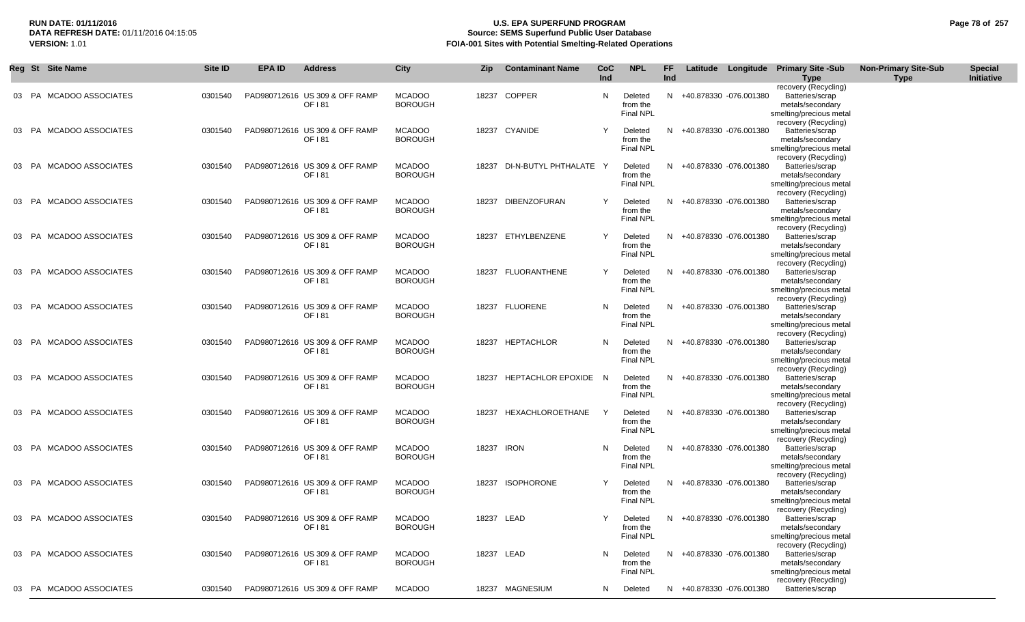## **RUN DATE: 01/11/2016 U.S. EPA SUPERFUND PROGRAM Page 78 of 257 Source: SEMS Superfund Public User Database VERSION:** 1.01 **FOIA-001 Sites with Potential Smelting-Related Operations**

| Reg St Site Name           | Site ID | <b>EPA ID</b> | <b>Address</b>                           | City                            | Zip        | <b>Contaminant Name</b>      | CoC<br>Ind | <b>NPL</b>                              | FF<br>Ind |                          | Latitude Longitude Primary Site -Sub                                                   | <b>Non-Primary Site-Sub</b> | <b>Special</b><br>Initiative |
|----------------------------|---------|---------------|------------------------------------------|---------------------------------|------------|------------------------------|------------|-----------------------------------------|-----------|--------------------------|----------------------------------------------------------------------------------------|-----------------------------|------------------------------|
|                            |         |               |                                          |                                 |            |                              |            |                                         |           |                          | <b>Type</b><br>recovery (Recycling)                                                    | <b>Type</b>                 |                              |
| 03 PA MCADOO ASSOCIATES    | 0301540 |               | PAD980712616 US 309 & OFF RAMP<br>OF 181 | <b>MCADOO</b><br><b>BOROUGH</b> |            | 18237 COPPER                 | N          | Deleted<br>from the<br>Final NPL        |           | N +40.878330 -076.001380 | Batteries/scrap<br>metals/secondary<br>smelting/precious metal                         |                             |                              |
| 03 PA MCADOO ASSOCIATES    | 0301540 |               | PAD980712616 US 309 & OFF RAMP<br>OF 181 | <b>MCADOO</b><br><b>BOROUGH</b> |            | 18237 CYANIDE                | Y          | Deleted<br>from the<br><b>Final NPL</b> |           | N +40.878330 -076.001380 | recovery (Recycling)<br>Batteries/scrap<br>metals/secondary<br>smelting/precious metal |                             |                              |
| 03 PA MCADOO ASSOCIATES    | 0301540 |               | PAD980712616 US 309 & OFF RAMP<br>OF 181 | <b>MCADOO</b><br><b>BOROUGH</b> |            | 18237 DI-N-BUTYL PHTHALATE Y |            | Deleted<br>from the<br>Final NPL        |           | N +40.878330 -076.001380 | recovery (Recycling)<br>Batteries/scrap<br>metals/secondary<br>smelting/precious metal |                             |                              |
| 03 PA MCADOO ASSOCIATES    | 0301540 |               | PAD980712616 US 309 & OFF RAMP<br>OF 181 | <b>MCADOO</b><br><b>BOROUGH</b> |            | 18237 DIBENZOFURAN           | Y          | Deleted<br>from the<br>Final NPL        |           | N +40.878330 -076.001380 | recovery (Recycling)<br>Batteries/scrap<br>metals/secondary<br>smelting/precious metal |                             |                              |
| 03 PA MCADOO ASSOCIATES    | 0301540 |               | PAD980712616 US 309 & OFF RAMP<br>OF 181 | <b>MCADOO</b><br><b>BOROUGH</b> |            | 18237 ETHYLBENZENE           | Y          | Deleted<br>from the<br>Final NPL        |           | N +40.878330 -076.001380 | recovery (Recycling)<br>Batteries/scrap<br>metals/secondary<br>smelting/precious metal |                             |                              |
| 03 PA MCADOO ASSOCIATES    | 0301540 |               | PAD980712616 US 309 & OFF RAMP<br>OF 181 | <b>MCADOO</b><br><b>BOROUGH</b> |            | 18237 FLUORANTHENE           | Y          | Deleted<br>from the<br>Final NPL        |           | N +40.878330 -076.001380 | recovery (Recycling)<br>Batteries/scrap<br>metals/secondary<br>smelting/precious metal |                             |                              |
| 03 PA MCADOO ASSOCIATES    | 0301540 |               | PAD980712616 US 309 & OFF RAMP<br>OF 181 | <b>MCADOO</b><br><b>BOROUGH</b> |            | 18237 FLUORENE               | N          | Deleted<br>from the<br>Final NPL        |           | N +40.878330 -076.001380 | recovery (Recycling)<br>Batteries/scrap<br>metals/secondary<br>smelting/precious metal |                             |                              |
| 03 PA MCADOO ASSOCIATES    | 0301540 |               | PAD980712616 US 309 & OFF RAMP<br>OF 181 | <b>MCADOO</b><br><b>BOROUGH</b> |            | 18237 HEPTACHLOR             | N          | Deleted<br>from the<br>Final NPL        |           | N +40.878330 -076.001380 | recovery (Recycling)<br>Batteries/scrap<br>metals/secondary<br>smelting/precious metal |                             |                              |
| 03 PA MCADOO ASSOCIATES    | 0301540 |               | PAD980712616 US 309 & OFF RAMP<br>OF 181 | <b>MCADOO</b><br><b>BOROUGH</b> |            | 18237 HEPTACHLOR EPOXIDE N   |            | Deleted<br>from the<br>Final NPL        |           | N +40.878330 -076.001380 | recovery (Recycling)<br>Batteries/scrap<br>metals/secondary<br>smelting/precious metal |                             |                              |
| 03 PA MCADOO ASSOCIATES    | 0301540 |               | PAD980712616 US 309 & OFF RAMP<br>OF 181 | <b>MCADOO</b><br><b>BOROUGH</b> |            | 18237 HEXACHLOROETHANE       | Y          | Deleted<br>from the<br><b>Final NPL</b> |           | N +40.878330 -076.001380 | recovery (Recycling)<br>Batteries/scrap<br>metals/secondary<br>smelting/precious metal |                             |                              |
| 03 PA MCADOO ASSOCIATES    | 0301540 |               | PAD980712616 US 309 & OFF RAMP<br>OF 181 | <b>MCADOO</b><br><b>BOROUGH</b> | 18237 IRON |                              | N          | Deleted<br>from the<br><b>Final NPL</b> | N.        | +40.878330 -076.001380   | recovery (Recycling)<br>Batteries/scrap<br>metals/secondary<br>smelting/precious metal |                             |                              |
| 03 PA MCADOO ASSOCIATES    | 0301540 |               | PAD980712616 US 309 & OFF RAMP<br>OF 181 | <b>MCADOO</b><br><b>BOROUGH</b> |            | 18237 ISOPHORONE             | Y          | Deleted<br>from the<br><b>Final NPL</b> |           | N +40.878330 -076.001380 | recovery (Recycling)<br>Batteries/scrap<br>metals/secondary<br>smelting/precious metal |                             |                              |
| MCADOO ASSOCIATES<br>03 PA | 0301540 |               | PAD980712616 US 309 & OFF RAMP<br>OF 181 | <b>MCADOO</b><br><b>BOROUGH</b> | 18237 LEAD |                              | Y          | Deleted<br>from the<br>Final NPL        | N         | +40.878330 -076.001380   | recovery (Recycling)<br>Batteries/scrap<br>metals/secondary<br>smelting/precious metal |                             |                              |
| 03 PA MCADOO ASSOCIATES    | 0301540 |               | PAD980712616 US 309 & OFF RAMP<br>OF 181 | <b>MCADOO</b><br><b>BOROUGH</b> | 18237 LEAD |                              | N          | Deleted<br>from the<br>Final NPL        | N         | +40.878330 -076.001380   | recovery (Recycling)<br>Batteries/scrap<br>metals/secondary<br>smelting/precious metal |                             |                              |
| 03 PA MCADOO ASSOCIATES    | 0301540 |               | PAD980712616 US 309 & OFF RAMP           | <b>MCADOO</b>                   |            | 18237 MAGNESIUM              | N          | Deleted                                 |           | N +40.878330 -076.001380 | recovery (Recycling)<br>Batteries/scrap                                                |                             |                              |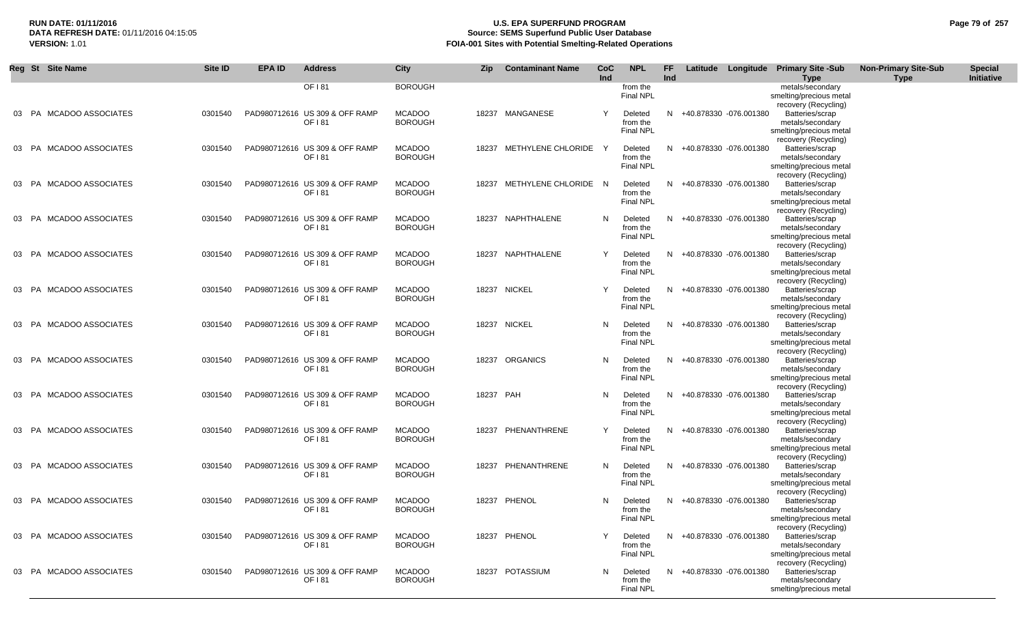## **RUN DATE: 01/11/2016 U.S. EPA SUPERFUND PROGRAM Page 79 of 257 Source: SEMS Superfund Public User Database VERSION:** 1.01 **FOIA-001 Sites with Potential Smelting-Related Operations**

|       | Reg St Site Name         | Site ID | <b>EPA ID</b> | <b>Address</b>                           | City                            | <b>Zip</b> | <b>Contaminant Name</b>    | CoC<br>Ind | <b>NPL</b>                              | FF<br>Ind |                          | Latitude Longitude Primary Site -Sub<br>Type                                           | <b>Non-Primary Site-Sub</b><br><b>Type</b> | <b>Special</b><br>Initiative |
|-------|--------------------------|---------|---------------|------------------------------------------|---------------------------------|------------|----------------------------|------------|-----------------------------------------|-----------|--------------------------|----------------------------------------------------------------------------------------|--------------------------------------------|------------------------------|
|       |                          |         |               | OF 181                                   | <b>BOROUGH</b>                  |            |                            |            | from the<br>Final NPL                   |           |                          | metals/secondary<br>smelting/precious metal<br>recovery (Recycling)                    |                                            |                              |
|       | 03 PA MCADOO ASSOCIATES  | 0301540 |               | PAD980712616 US 309 & OFF RAMP<br>OF 181 | <b>MCADOO</b><br><b>BOROUGH</b> |            | 18237 MANGANESE            | Y          | Deleted<br>from the<br><b>Final NPL</b> |           | N +40.878330 -076.001380 | Batteries/scrap<br>metals/secondary<br>smelting/precious metal                         |                                            |                              |
| 03 PA | MCADOO ASSOCIATES        | 0301540 |               | PAD980712616 US 309 & OFF RAMP<br>OF 181 | <b>MCADOO</b><br><b>BOROUGH</b> |            | 18237 METHYLENE CHLORIDE   | Y          | Deleted<br>from the<br><b>Final NPL</b> |           | N +40.878330 -076.001380 | recovery (Recycling)<br>Batteries/scrap<br>metals/secondary<br>smelting/precious metal |                                            |                              |
| 03 PA | MCADOO ASSOCIATES        | 0301540 |               | PAD980712616 US 309 & OFF RAMP<br>OF 181 | <b>MCADOO</b><br><b>BOROUGH</b> |            | 18237 METHYLENE CHLORIDE N |            | Deleted<br>from the<br><b>Final NPL</b> |           | N +40.878330 -076.001380 | recovery (Recycling)<br>Batteries/scrap<br>metals/secondary<br>smelting/precious metal |                                            |                              |
| 03 PA | MCADOO ASSOCIATES        | 0301540 |               | PAD980712616 US 309 & OFF RAMP<br>OF 181 | <b>MCADOO</b><br><b>BOROUGH</b> |            | 18237 NAPHTHALENE          | N          | Deleted<br>from the<br><b>Final NPL</b> |           | N +40.878330 -076.001380 | recovery (Recycling)<br>Batteries/scrap<br>metals/secondary<br>smelting/precious metal |                                            |                              |
| 03 PA | <b>MCADOO ASSOCIATES</b> | 0301540 |               | PAD980712616 US 309 & OFF RAMP<br>OF 181 | <b>MCADOO</b><br><b>BOROUGH</b> |            | 18237 NAPHTHALENE          | Y          | Deleted<br>from the<br><b>Final NPL</b> |           | N +40.878330 -076.001380 | recovery (Recycling)<br>Batteries/scrap<br>metals/secondary<br>smelting/precious metal |                                            |                              |
| 03 PA | MCADOO ASSOCIATES        | 0301540 |               | PAD980712616 US 309 & OFF RAMP<br>OF 181 | <b>MCADOO</b><br><b>BOROUGH</b> |            | 18237 NICKEL               | Υ          | Deleted<br>from the<br><b>Final NPL</b> |           | N +40.878330 -076.001380 | recovery (Recycling)<br>Batteries/scrap<br>metals/secondary<br>smelting/precious metal |                                            |                              |
| 03 PA | <b>MCADOO ASSOCIATES</b> | 0301540 |               | PAD980712616 US 309 & OFF RAMP<br>OF 181 | <b>MCADOO</b><br><b>BOROUGH</b> |            | 18237 NICKEL               | N          | Deleted<br>from the<br>Final NPL        |           | N +40.878330 -076.001380 | recovery (Recycling)<br>Batteries/scrap<br>metals/secondary<br>smelting/precious metal |                                            |                              |
| 03 PA | <b>MCADOO ASSOCIATES</b> | 0301540 |               | PAD980712616 US 309 & OFF RAMP<br>OF 181 | <b>MCADOO</b><br><b>BOROUGH</b> |            | 18237 ORGANICS             | N          | Deleted<br>from the<br><b>Final NPL</b> | N         | +40.878330 -076.001380   | recovery (Recycling)<br>Batteries/scrap<br>metals/secondary<br>smelting/precious metal |                                            |                              |
| 03 PA | MCADOO ASSOCIATES        | 0301540 |               | PAD980712616 US 309 & OFF RAMP<br>OF 181 | <b>MCADOO</b><br><b>BOROUGH</b> | 18237 PAH  |                            | N          | Deleted<br>from the<br><b>Final NPL</b> |           | N +40.878330 -076.001380 | recovery (Recycling)<br>Batteries/scrap<br>metals/secondary<br>smelting/precious metal |                                            |                              |
| 03 PA | MCADOO ASSOCIATES        | 0301540 |               | PAD980712616 US 309 & OFF RAMP<br>OF 181 | <b>MCADOO</b><br><b>BOROUGH</b> |            | 18237 PHENANTHRENE         | Y          | Deleted<br>from the<br><b>Final NPL</b> |           | N +40.878330 -076.001380 | recovery (Recycling)<br>Batteries/scrap<br>metals/secondary<br>smelting/precious metal |                                            |                              |
| 03 PA | MCADOO ASSOCIATES        | 0301540 |               | PAD980712616 US 309 & OFF RAMP<br>OF 181 | <b>MCADOO</b><br><b>BOROUGH</b> |            | 18237 PHENANTHRENE         | N          | Deleted<br>from the<br>Final NPL        |           | N +40.878330 -076.001380 | recovery (Recycling)<br>Batteries/scrap<br>metals/secondary<br>smelting/precious metal |                                            |                              |
| 03 PA | MCADOO ASSOCIATES        | 0301540 |               | PAD980712616 US 309 & OFF RAMP<br>OF 181 | <b>MCADOO</b><br><b>BOROUGH</b> |            | 18237 PHENOL               | N.         | Deleted<br>from the<br>Final NPL        |           | N +40.878330 -076.001380 | recovery (Recycling)<br>Batteries/scrap<br>metals/secondary<br>smelting/precious metal |                                            |                              |
| 03 PA | MCADOO ASSOCIATES        | 0301540 |               | PAD980712616 US 309 & OFF RAMP<br>OF 181 | <b>MCADOO</b><br><b>BOROUGH</b> |            | 18237 PHENOL               | Y          | Deleted<br>from the<br>Final NPL        |           | N +40.878330 -076.001380 | recovery (Recycling)<br>Batteries/scrap<br>metals/secondary<br>smelting/precious metal |                                            |                              |
|       | 03 PA MCADOO ASSOCIATES  | 0301540 |               | PAD980712616 US 309 & OFF RAMP<br>OF 181 | <b>MCADOO</b><br><b>BOROUGH</b> |            | 18237 POTASSIUM            | N.         | Deleted<br>from the<br><b>Final NPL</b> |           | N +40.878330 -076.001380 | recovery (Recycling)<br>Batteries/scrap<br>metals/secondary<br>smelting/precious metal |                                            |                              |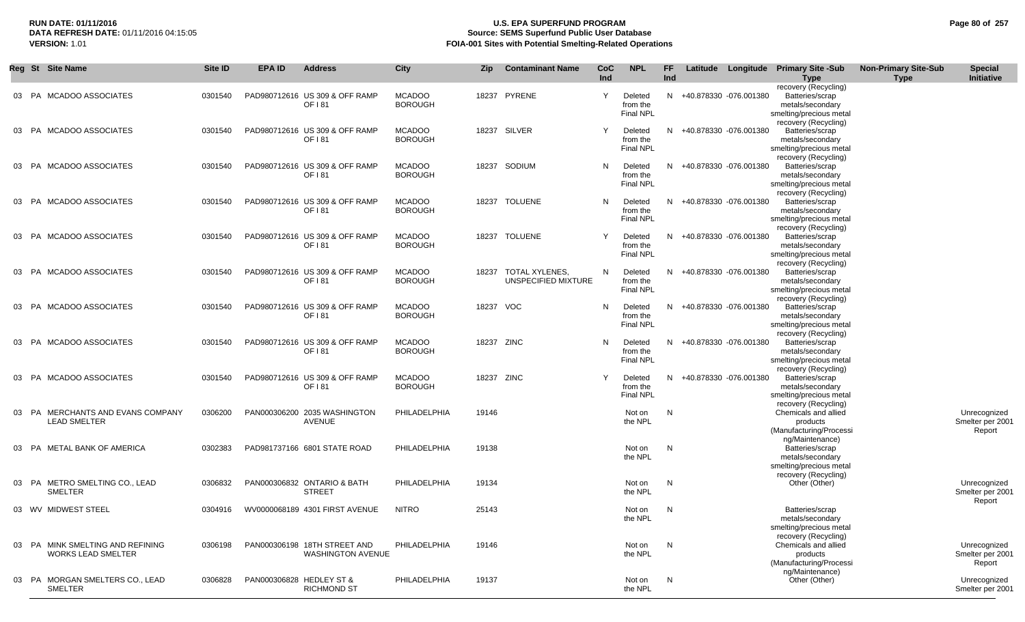## **RUN DATE: 01/11/2016 U.S. EPA SUPERFUND PROGRAM Page 80 of 257 Source: SEMS Superfund Public User Database VERSION:** 1.01 **FOIA-001 Sites with Potential Smelting-Related Operations**

|    | Reg St Site Name                                              | Site ID | <b>EPA ID</b> | <b>Address</b>                                           | City                            | Zip       | <b>Contaminant Name</b>               | CoC<br>Ind | <b>NPL</b>                              | FF.<br>Ind | Latitude |                          | Longitude Primary Site -Sub<br><b>Type</b>                                                                     | <b>Non-Primary Site-Sub</b><br><b>Type</b> | <b>Special</b><br>Initiative               |
|----|---------------------------------------------------------------|---------|---------------|----------------------------------------------------------|---------------------------------|-----------|---------------------------------------|------------|-----------------------------------------|------------|----------|--------------------------|----------------------------------------------------------------------------------------------------------------|--------------------------------------------|--------------------------------------------|
|    | 03 PA MCADOO ASSOCIATES                                       | 0301540 |               | PAD980712616 US 309 & OFF RAMP<br>OF 181                 | <b>MCADOO</b><br><b>BOROUGH</b> |           | 18237 PYRENE                          | Y          | Deleted<br>from the<br><b>Final NPL</b> |            |          | N +40.878330 -076.001380 | recovery (Recycling)<br>Batteries/scrap<br>metals/secondary<br>smelting/precious metal<br>recovery (Recycling) |                                            |                                            |
|    | 03 PA MCADOO ASSOCIATES                                       | 0301540 |               | PAD980712616 US 309 & OFF RAMP<br>OF 181                 | <b>MCADOO</b><br><b>BOROUGH</b> |           | 18237 SILVER                          | Y          | Deleted<br>from the<br><b>Final NPL</b> |            |          | N +40.878330 -076.001380 | Batteries/scrap<br>metals/secondary<br>smelting/precious metal                                                 |                                            |                                            |
|    | 03 PA MCADOO ASSOCIATES                                       | 0301540 |               | PAD980712616 US 309 & OFF RAMP<br>OF 181                 | <b>MCADOO</b><br><b>BOROUGH</b> |           | 18237 SODIUM                          | N          | Deleted<br>from the<br><b>Final NPL</b> |            |          | N +40.878330 -076.001380 | recovery (Recycling)<br>Batteries/scrap<br>metals/secondary<br>smelting/precious metal                         |                                            |                                            |
| 03 | <b>MCADOO ASSOCIATES</b><br>PA                                | 0301540 |               | PAD980712616 US 309 & OFF RAMP<br>OF 181                 | <b>MCADOO</b><br><b>BOROUGH</b> |           | 18237 TOLUENE                         | N          | Deleted<br>from the<br><b>Final NPL</b> |            |          | N +40.878330 -076.001380 | recovery (Recycling)<br>Batteries/scrap<br>metals/secondary<br>smelting/precious metal                         |                                            |                                            |
| 03 | PA MCADOO ASSOCIATES                                          | 0301540 |               | PAD980712616 US 309 & OFF RAMP<br>OF 181                 | <b>MCADOO</b><br><b>BOROUGH</b> |           | 18237 TOLUENE                         | Y          | Deleted<br>from the<br><b>Final NPL</b> |            |          | N +40.878330 -076.001380 | recovery (Recycling)<br>Batteries/scrap<br>metals/secondary<br>smelting/precious metal<br>recovery (Recycling) |                                            |                                            |
|    | 03 PA MCADOO ASSOCIATES                                       | 0301540 |               | PAD980712616 US 309 & OFF RAMP<br>OF 181                 | <b>MCADOO</b><br><b>BOROUGH</b> | 18237     | TOTAL XYLENES.<br>UNSPECIFIED MIXTURE | N          | Deleted<br>from the<br>Final NPL        |            |          | N +40.878330 -076.001380 | Batteries/scrap<br>metals/secondary<br>smelting/precious metal<br>recovery (Recycling)                         |                                            |                                            |
|    | 03 PA MCADOO ASSOCIATES                                       | 0301540 |               | PAD980712616 US 309 & OFF RAMP<br>OF 181                 | <b>MCADOO</b><br><b>BOROUGH</b> | 18237 VOC |                                       | N          | Deleted<br>from the<br><b>Final NPL</b> |            |          | N +40.878330 -076.001380 | Batteries/scrap<br>metals/secondary<br>smelting/precious metal<br>recovery (Recycling)                         |                                            |                                            |
| 03 | PA MCADOO ASSOCIATES                                          | 0301540 |               | PAD980712616 US 309 & OFF RAMP<br>OF 181                 | <b>MCADOO</b><br><b>BOROUGH</b> |           | 18237 ZINC                            | N          | Deleted<br>from the<br>Final NPL        | N.         |          | +40.878330 -076.001380   | Batteries/scrap<br>metals/secondary<br>smelting/precious metal<br>recovery (Recycling)                         |                                            |                                            |
| 03 | PA MCADOO ASSOCIATES                                          | 0301540 |               | PAD980712616 US 309 & OFF RAMP<br>OF 181                 | <b>MCADOO</b><br><b>BOROUGH</b> |           | 18237 ZINC                            | Y          | Deleted<br>from the<br><b>Final NPL</b> |            |          | N +40.878330 -076.001380 | Batteries/scrap<br>metals/secondary<br>smelting/precious metal                                                 |                                            |                                            |
|    | 03 PA MERCHANTS AND EVANS COMPANY<br><b>LEAD SMELTER</b>      | 0306200 |               | PAN000306200 2035 WASHINGTON<br><b>AVENUE</b>            | PHILADELPHIA                    | 19146     |                                       |            | Not on<br>the NPL                       | N          |          |                          | recovery (Recycling)<br>Chemicals and allied<br>products<br>(Manufacturing/Processi<br>ng/Maintenance)         |                                            | Unrecognized<br>Smelter per 2001<br>Report |
|    | 03 PA METAL BANK OF AMERICA                                   | 0302383 |               | PAD981737166 6801 STATE ROAD                             | PHILADELPHIA                    | 19138     |                                       |            | Not on<br>the NPL                       | <b>N</b>   |          |                          | Batteries/scrap<br>metals/secondary<br>smelting/precious metal                                                 |                                            |                                            |
|    | 03 PA METRO SMELTING CO., LEAD<br>SMELTER                     | 0306832 |               | PAN000306832 ONTARIO & BATH<br><b>STREET</b>             | PHILADELPHIA                    | 19134     |                                       |            | Not on<br>the NPL                       | N          |          |                          | recovery (Recycling)<br>Other (Other)                                                                          |                                            | Unrecognized<br>Smelter per 2001<br>Report |
|    | 03 WV MIDWEST STEEL                                           | 0304916 |               | WV0000068189 4301 FIRST AVENUE                           | <b>NITRO</b>                    | 25143     |                                       |            | Not on<br>the NPL                       | N          |          |                          | Batteries/scrap<br>metals/secondary<br>smelting/precious metal<br>recovery (Recycling)                         |                                            |                                            |
|    | 03 PA MINK SMELTING AND REFINING<br><b>WORKS LEAD SMELTER</b> | 0306198 |               | PAN000306198 18TH STREET AND<br><b>WASHINGTON AVENUE</b> | PHILADELPHIA                    | 19146     |                                       |            | Not on<br>the NPL                       | N          |          |                          | Chemicals and allied<br>products<br>(Manufacturing/Processi<br>ng/Maintenance)                                 |                                            | Unrecognized<br>Smelter per 2001<br>Report |
|    | 03 PA MORGAN SMELTERS CO., LEAD<br><b>SMELTER</b>             | 0306828 |               | PAN000306828 HEDLEY ST &<br><b>RICHMOND ST</b>           | PHILADELPHIA                    | 19137     |                                       |            | Not on<br>the NPL                       | N          |          |                          | Other (Other)                                                                                                  |                                            | Unrecognized<br>Smelter per 2001           |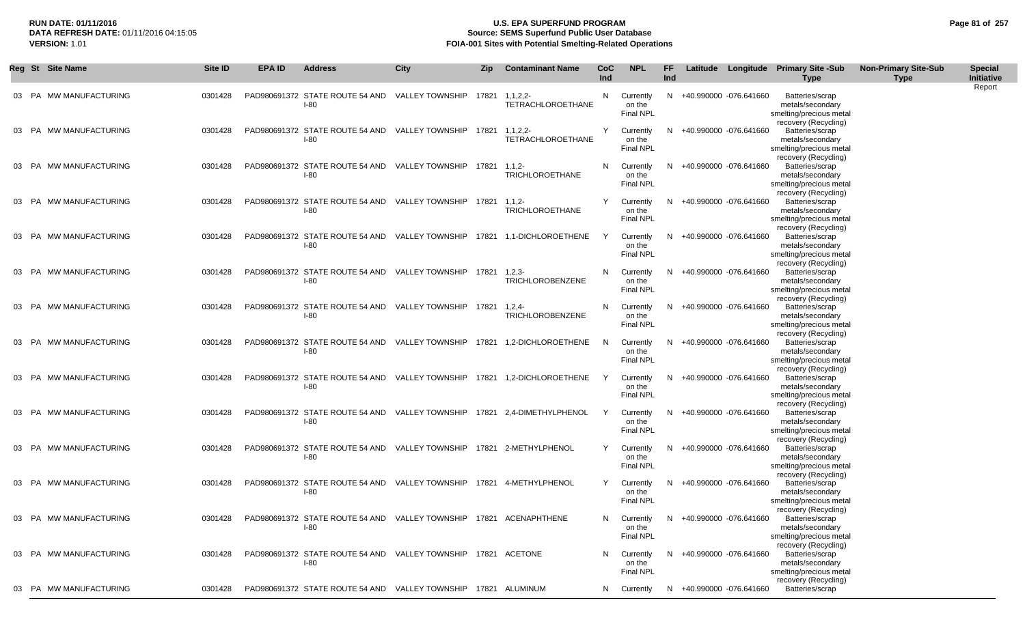## **RUN DATE: 01/11/2016 U.S. EPA SUPERFUND PROGRAM Page 81 of 257 Source: SEMS Superfund Public User Database VERSION:** 1.01 **FOIA-001 Sites with Potential Smelting-Related Operations**

|     |       | Reg St Site Name       | Site ID | EPA ID | <b>Address</b>                                                                     | <b>City</b>            | Zip          | <b>Contaminant Name</b>                                                  | CoC<br>Ind | <b>NPL</b>                              | FF.<br>Ind |                        | Latitude Longitude Primary Site -Sub<br><b>Type</b>                                    | <b>Non-Primary Site-Sub</b><br><b>Type</b> | <b>Special</b><br>Initiative<br>Report |
|-----|-------|------------------------|---------|--------|------------------------------------------------------------------------------------|------------------------|--------------|--------------------------------------------------------------------------|------------|-----------------------------------------|------------|------------------------|----------------------------------------------------------------------------------------|--------------------------------------------|----------------------------------------|
|     |       | 03 PA MW MANUFACTURING | 0301428 |        | PAD980691372 STATE ROUTE 54 AND<br>$I-80$                                          | <b>VALLEY TOWNSHIP</b> |              | 17821 1.1.2.2-<br><b>TETRACHLOROETHANE</b>                               | N          | Currently<br>on the<br><b>Final NPL</b> | N.         | +40.990000 -076.641660 | Batteries/scrap<br>metals/secondary<br>smelting/precious metal<br>recovery (Recycling) |                                            |                                        |
|     |       | 03 PA MW MANUFACTURING | 0301428 |        | PAD980691372 STATE ROUTE 54 AND VALLEY TOWNSHIP<br>$I-80$                          |                        |              | 17821 1.1.2.2-<br><b>TETRACHLOROETHANE</b>                               | Y          | Currently<br>on the<br><b>Final NPL</b> | N.         | +40.990000 -076.641660 | Batteries/scrap<br>metals/secondary<br>smelting/precious metal<br>recovery (Recycling) |                                            |                                        |
|     |       | 03 PA MW MANUFACTURING | 0301428 |        | PAD980691372 STATE ROUTE 54 AND VALLEY TOWNSHIP<br>$I-80$                          |                        | 17821        | $1, 1, 2-$<br>TRICHLOROETHANE                                            | N          | Currently<br>on the<br>Final NPL        | N          | +40.990000 -076.641660 | Batteries/scrap<br>metals/secondary<br>smelting/precious metal<br>recovery (Recycling) |                                            |                                        |
|     |       | 03 PA MW MANUFACTURING | 0301428 |        | PAD980691372 STATE ROUTE 54 AND VALLEY TOWNSHIP<br>$I-80$                          |                        | 17821 1,1,2- | <b>TRICHLOROETHANE</b>                                                   | Y          | Currently<br>on the<br><b>Final NPL</b> | N.         | +40.990000 -076.641660 | Batteries/scrap<br>metals/secondary<br>smelting/precious metal<br>recovery (Recycling) |                                            |                                        |
|     |       | 03 PA MW MANUFACTURING | 0301428 |        | PAD980691372 STATE ROUTE 54 AND VALLEY TOWNSHIP<br>$I-80$                          |                        |              | 17821 1,1-DICHLOROETHENE                                                 | Y          | Currently<br>on the<br><b>Final NPL</b> | N          | +40.990000 -076.641660 | Batteries/scrap<br>metals/secondary<br>smelting/precious metal<br>recovery (Recycling) |                                            |                                        |
|     |       | 03 PA MW MANUFACTURING | 0301428 |        | PAD980691372 STATE ROUTE 54 AND VALLEY TOWNSHIP 17821<br>$I-80$                    |                        |              | $1,2,3-$<br>TRICHLOROBENZENE                                             | N          | Currently<br>on the<br><b>Final NPL</b> | N.         | +40.990000 -076.641660 | Batteries/scrap<br>metals/secondary<br>smelting/precious metal<br>recovery (Recycling) |                                            |                                        |
|     |       | 03 PA MW MANUFACTURING | 0301428 |        | PAD980691372 STATE ROUTE 54 AND VALLEY TOWNSHIP 17821<br>$I-80$                    |                        |              | 1,2,4<br>TRICHLOROBENZENE                                                | N          | Currently<br>on the<br><b>Final NPL</b> | N.         | +40.990000 -076.641660 | Batteries/scrap<br>metals/secondary<br>smelting/precious metal<br>recovery (Recycling) |                                            |                                        |
| 03. |       | PA MW MANUFACTURING    | 0301428 |        | $I-80$                                                                             |                        |              | PAD980691372 STATE ROUTE 54 AND VALLEY TOWNSHIP 17821 1,2-DICHLOROETHENE | N          | Currently<br>on the<br><b>Final NPL</b> | N.         | +40.990000 -076.641660 | Batteries/scrap<br>metals/secondary<br>smelting/precious metal<br>recovery (Recycling) |                                            |                                        |
|     |       | 03 PA MW MANUFACTURING | 0301428 |        | $I-80$                                                                             |                        |              | PAD980691372 STATE ROUTE 54 AND VALLEY TOWNSHIP 17821 1,2-DICHLOROETHENE | Y          | Currently<br>on the<br><b>Final NPL</b> | N          | +40.990000 -076.641660 | Batteries/scrap<br>metals/secondary<br>smelting/precious metal<br>recovery (Recycling) |                                            |                                        |
|     |       | 03 PA MW MANUFACTURING | 0301428 |        | PAD980691372 STATE ROUTE 54 AND VALLEY TOWNSHIP 17821 2,4-DIMETHYLPHENOL<br>$I-80$ |                        |              |                                                                          | Y          | Currently<br>on the<br><b>Final NPL</b> | N.         | +40.990000 -076.641660 | Batteries/scrap<br>metals/secondary<br>smelting/precious metal<br>recovery (Recycling) |                                            |                                        |
|     |       | 03 PA MW MANUFACTURING | 0301428 |        | PAD980691372 STATE ROUTE 54 AND VALLEY TOWNSHIP<br>$I-80$                          |                        |              | 17821 2-METHYLPHENOL                                                     | Y          | Currently<br>on the<br><b>Final NPL</b> | N.         | +40.990000 -076.641660 | Batteries/scrap<br>metals/secondary<br>smelting/precious metal<br>recovery (Recycling) |                                            |                                        |
|     |       | 03 PA MW MANUFACTURING | 0301428 |        | PAD980691372 STATE ROUTE 54 AND VALLEY TOWNSHIP<br>$I-80$                          |                        |              | 17821 4-METHYLPHENOL                                                     | Y          | Currently<br>on the<br><b>Final NPL</b> | N.         | +40.990000 -076.641660 | Batteries/scrap<br>metals/secondary<br>smelting/precious metal<br>recovery (Recycling) |                                            |                                        |
|     | 03 PA | MW MANUFACTURING       | 0301428 |        | PAD980691372 STATE ROUTE 54 AND<br>$I-80$                                          | VALLEY TOWNSHIP        |              | 17821 ACENAPHTHENE                                                       | N          | Currently<br>on the<br><b>Final NPL</b> | N          | +40.990000 -076.641660 | Batteries/scrap<br>metals/secondary<br>smelting/precious metal<br>recovery (Recycling) |                                            |                                        |
|     | 03 PA | MW MANUFACTURING       | 0301428 |        | PAD980691372 STATE ROUTE 54 AND VALLEY TOWNSHIP<br>$I-80$                          |                        |              | 17821 ACETONE                                                            | N          | Currently<br>on the<br><b>Final NPL</b> | N.         | +40.990000 -076.641660 | Batteries/scrap<br>metals/secondary<br>smelting/precious metal<br>recovery (Recycling) |                                            |                                        |
|     |       | 03 PA MW MANUFACTURING | 0301428 |        | PAD980691372 STATE ROUTE 54 AND                                                    | <b>VALLEY TOWNSHIP</b> |              | 17821 ALUMINUM                                                           | N          | Currently                               | N          | +40.990000 -076.641660 | Batteries/scrap                                                                        |                                            |                                        |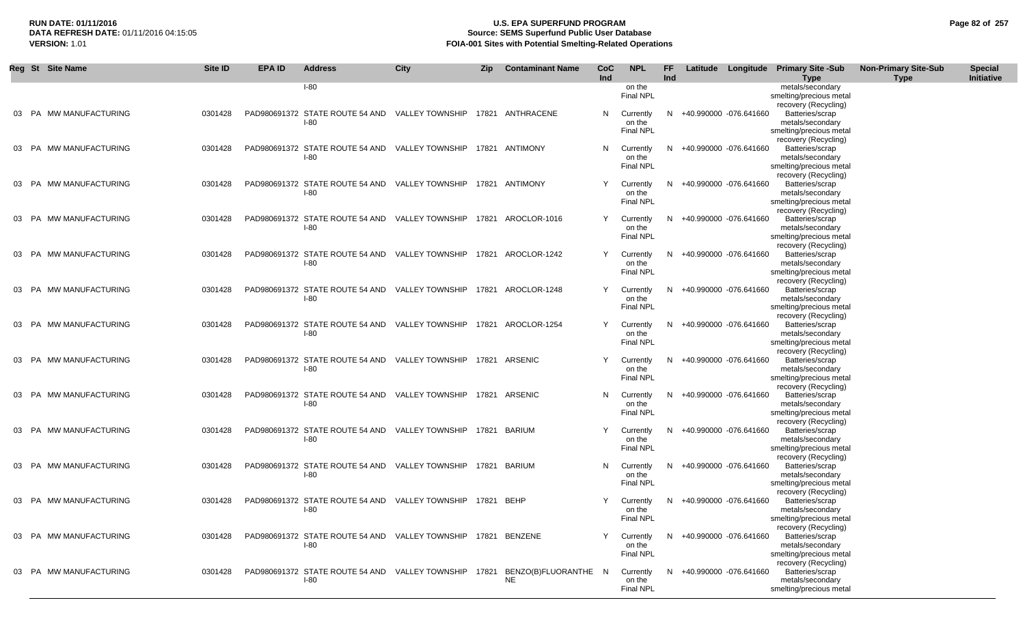# **RUN DATE: 01/11/2016 U.S. EPA SUPERFUND PROGRAM Page 82 of 257 Source: SEMS Superfund Public User Database VERSION:** 1.01 **FOIA-001 Sites with Potential Smelting-Related Operations**

|       | Reg St Site Name       | Site ID | <b>EPA ID</b> | <b>Address</b>                                                               | <b>City</b> | <b>Zip</b> | <b>Contaminant Name</b>           | CoC<br>Ind | <b>NPL</b>                                | FF<br>Ind |                          | Latitude Longitude Primary Site -Sub<br><b>Type</b>                                                            | <b>Non-Primary Site-Sub</b><br><b>Type</b> | <b>Special</b><br><b>Initiative</b> |
|-------|------------------------|---------|---------------|------------------------------------------------------------------------------|-------------|------------|-----------------------------------|------------|-------------------------------------------|-----------|--------------------------|----------------------------------------------------------------------------------------------------------------|--------------------------------------------|-------------------------------------|
|       |                        |         |               | $I-80$                                                                       |             |            |                                   |            | on the<br>Final NPL                       |           |                          | metals/secondary<br>smelting/precious metal                                                                    |                                            |                                     |
|       | 03 PA MW MANUFACTURING | 0301428 |               | PAD980691372 STATE ROUTE 54 AND VALLEY TOWNSHIP 17821 ANTHRACENE<br>$I-80$   |             |            |                                   |            | N Currently<br>on the<br><b>Final NPL</b> |           | N +40.990000 -076.641660 | recovery (Recycling)<br>Batteries/scrap<br>metals/secondary<br>smelting/precious metal                         |                                            |                                     |
|       | 03 PA MW MANUFACTURING | 0301428 |               | PAD980691372 STATE ROUTE 54 AND VALLEY TOWNSHIP 17821 ANTIMONY<br>$I-80$     |             |            |                                   | N.         | Currently<br>on the<br><b>Final NPL</b>   | N         | +40.990000 -076.641660   | recovery (Recycling)<br>Batteries/scrap<br>metals/secondary<br>smelting/precious metal<br>recovery (Recycling) |                                            |                                     |
|       | 03 PA MW MANUFACTURING | 0301428 |               | PAD980691372 STATE ROUTE 54 AND VALLEY TOWNSHIP 17821 ANTIMONY<br>$I-80$     |             |            |                                   | Y          | Currently<br>on the<br><b>Final NPL</b>   |           | N +40.990000 -076.641660 | Batteries/scrap<br>metals/secondary<br>smelting/precious metal<br>recovery (Recycling)                         |                                            |                                     |
|       | 03 PA MW MANUFACTURING | 0301428 |               | PAD980691372 STATE ROUTE 54 AND VALLEY TOWNSHIP 17821 AROCLOR-1016<br>$I-80$ |             |            |                                   | Y          | Currently<br>on the<br>Final NPL          | N         | +40.990000 -076.641660   | Batteries/scrap<br>metals/secondary<br>smelting/precious metal<br>recovery (Recycling)                         |                                            |                                     |
|       | 03 PA MW MANUFACTURING | 0301428 |               | PAD980691372 STATE ROUTE 54 AND VALLEY TOWNSHIP 17821 AROCLOR-1242<br>$I-80$ |             |            |                                   | Y          | Currently<br>on the<br><b>Final NPL</b>   | N         | +40.990000 -076.641660   | Batteries/scrap<br>metals/secondary<br>smelting/precious metal<br>recovery (Recycling)                         |                                            |                                     |
|       | 03 PA MW MANUFACTURING | 0301428 |               | PAD980691372 STATE ROUTE 54 AND VALLEY TOWNSHIP<br>$I-80$                    |             |            | 17821 AROCLOR-1248                | Y          | Currently<br>on the<br><b>Final NPL</b>   | N         | +40.990000 -076.641660   | Batteries/scrap<br>metals/secondary<br>smelting/precious metal<br>recovery (Recycling)                         |                                            |                                     |
|       | 03 PA MW MANUFACTURING | 0301428 |               | PAD980691372 STATE ROUTE 54 AND VALLEY TOWNSHIP<br>$I-80$                    |             |            | 17821 AROCLOR-1254                | Y          | Currently<br>on the<br><b>Final NPL</b>   | N         | +40.990000 -076.641660   | Batteries/scrap<br>metals/secondary<br>smelting/precious metal<br>recovery (Recycling)                         |                                            |                                     |
|       | 03 PA MW MANUFACTURING | 0301428 |               | PAD980691372 STATE ROUTE 54 AND VALLEY TOWNSHIP<br>$I-80$                    |             |            | 17821 ARSENIC                     |            | Currently<br>on the<br><b>Final NPL</b>   | N         | +40.990000 -076.641660   | Batteries/scrap<br>metals/secondary<br>smelting/precious metal<br>recovery (Recycling)                         |                                            |                                     |
|       | 03 PA MW MANUFACTURING | 0301428 |               | PAD980691372 STATE ROUTE 54 AND VALLEY TOWNSHIP<br>$I-80$                    |             |            | 17821 ARSENIC                     | N.         | Currently<br>on the<br><b>Final NPL</b>   | N         | +40.990000 -076.641660   | Batteries/scrap<br>metals/secondary<br>smelting/precious metal<br>recovery (Recycling)                         |                                            |                                     |
|       | 03 PA MW MANUFACTURING | 0301428 |               | PAD980691372 STATE ROUTE 54 AND VALLEY TOWNSHIP<br>$I-80$                    |             |            | 17821 BARIUM                      |            | Currently<br>on the<br><b>Final NPL</b>   | N         | +40.990000 -076.641660   | Batteries/scrap<br>metals/secondary<br>smelting/precious metal<br>recovery (Recycling)                         |                                            |                                     |
|       | 03 PA MW MANUFACTURING | 0301428 |               | PAD980691372 STATE ROUTE 54 AND VALLEY TOWNSHIP<br>$I-80$                    |             |            | 17821 BARIUM                      | N.         | Currently<br>on the<br><b>Final NPL</b>   | N.        | +40.990000 -076.641660   | Batteries/scrap<br>metals/secondary<br>smelting/precious metal<br>recovery (Recycling)                         |                                            |                                     |
| 03 PA | MW MANUFACTURING       | 0301428 |               | PAD980691372 STATE ROUTE 54 AND VALLEY TOWNSHIP<br>$I-80$                    |             | 17821      | <b>BEHP</b>                       | Y          | Currently<br>on the<br><b>Final NPL</b>   | N         | +40.990000 -076.641660   | Batteries/scrap<br>metals/secondary<br>smelting/precious metal<br>recovery (Recycling)                         |                                            |                                     |
| 03 PA | MW MANUFACTURING       | 0301428 |               | PAD980691372 STATE ROUTE 54 AND VALLEY TOWNSHIP<br>$I-80$                    |             |            | 17821 BENZENE                     |            | Currently<br>on the<br><b>Final NPL</b>   | N.        | +40.990000 -076.641660   | Batteries/scrap<br>metals/secondary<br>smelting/precious metal<br>recovery (Recycling)                         |                                            |                                     |
|       | 03 PA MW MANUFACTURING | 0301428 |               | PAD980691372 STATE ROUTE 54 AND VALLEY TOWNSHIP<br>$I-80$                    |             | 17821      | BENZO(B)FLUORANTHE N<br><b>NE</b> |            | Currently<br>on the<br><b>Final NPL</b>   | N         | +40.990000 -076.641660   | Batteries/scrap<br>metals/secondary<br>smelting/precious metal                                                 |                                            |                                     |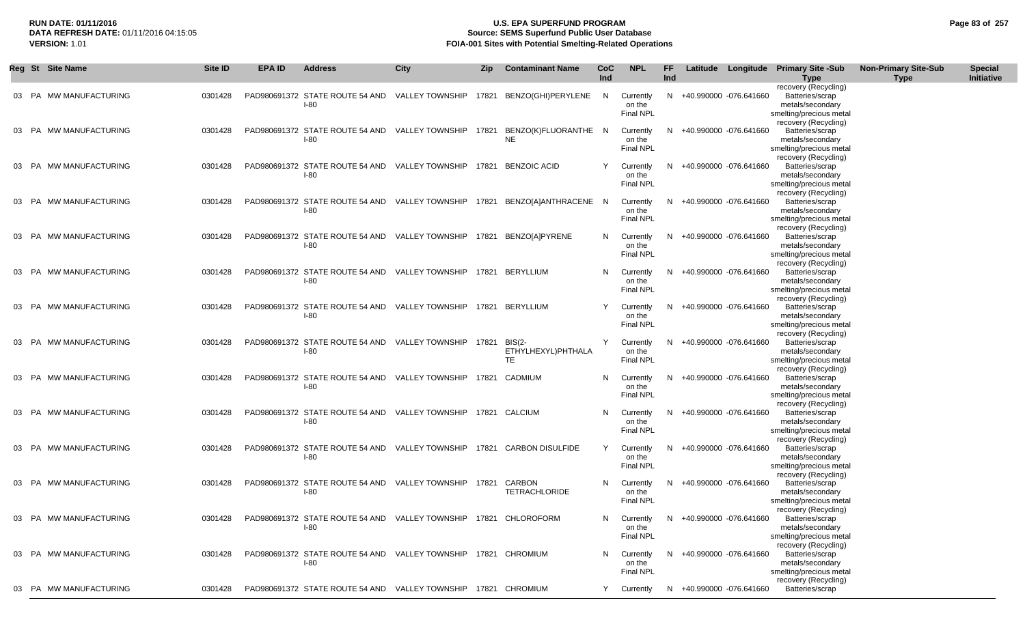## **RUN DATE: 01/11/2016 U.S. EPA SUPERFUND PROGRAM Page 83 of 257 Source: SEMS Superfund Public User Database VERSION:** 1.01 **FOIA-001 Sites with Potential Smelting-Related Operations**

|       | Reg St Site Name       | Site ID | <b>EPA ID</b> | <b>Address</b>                                                            | <b>City</b>           | Zip   | <b>Contaminant Name</b>                    | <b>CoC</b><br>Ind | <b>NPL</b>                              | FF<br>Ind |                          | Latitude Longitude Primary Site -Sub<br><b>Type</b>                                                            | <b>Non-Primary Site-Sub</b><br><b>Type</b> | <b>Special</b><br>Initiative |
|-------|------------------------|---------|---------------|---------------------------------------------------------------------------|-----------------------|-------|--------------------------------------------|-------------------|-----------------------------------------|-----------|--------------------------|----------------------------------------------------------------------------------------------------------------|--------------------------------------------|------------------------------|
|       | 03 PA MW MANUFACTURING | 0301428 |               | PAD980691372 STATE ROUTE 54 AND VALLEY TOWNSHIP<br>$I-80$                 |                       |       | 17821 BENZO(GHI)PERYLENE                   | N.                | Currently<br>on the<br>Final NPL        |           | N +40.990000 -076.641660 | recovery (Recycling)<br>Batteries/scrap<br>metals/secondary<br>smelting/precious metal                         |                                            |                              |
|       | 03 PA MW MANUFACTURING | 0301428 |               | PAD980691372 STATE ROUTE 54 AND<br>$I-80$                                 | VALLEY TOWNSHIP       | 17821 | BENZO(K)FLUORANTHE N<br><b>NE</b>          |                   | Currently<br>on the<br>Final NPL        | N         | +40.990000 -076.641660   | recovery (Recycling)<br>Batteries/scrap<br>metals/secondary<br>smelting/precious metal<br>recovery (Recycling) |                                            |                              |
| 03 PA | MW MANUFACTURING       | 0301428 |               | PAD980691372 STATE ROUTE 54 AND<br>$I-80$                                 | VALLEY TOWNSHIP       |       | 17821 BENZOIC ACID                         | Y                 | Currently<br>on the<br><b>Final NPL</b> |           | +40.990000 -076.641660   | Batteries/scrap<br>metals/secondary<br>smelting/precious metal<br>recovery (Recycling)                         |                                            |                              |
| 03 PA | MW MANUFACTURING       | 0301428 |               | PAD980691372 STATE ROUTE 54 AND<br>$I-80$                                 |                       |       | VALLEY TOWNSHIP 17821 BENZO[A]ANTHRACENE N |                   | Currently<br>on the<br><b>Final NPL</b> |           | +40.990000 -076.641660   | Batteries/scrap<br>metals/secondary<br>smelting/precious metal<br>recovery (Recycling)                         |                                            |                              |
|       | 03 PA MW MANUFACTURING | 0301428 |               | PAD980691372 STATE ROUTE 54 AND VALLEY TOWNSHIP<br>$I-80$                 |                       |       | 17821 BENZO[A]PYRENE                       | N                 | Currently<br>on the<br>Final NPL        |           | +40.990000 -076.641660   | Batteries/scrap<br>metals/secondary<br>smelting/precious metal                                                 |                                            |                              |
|       | 03 PA MW MANUFACTURING | 0301428 |               | PAD980691372 STATE ROUTE 54 AND VALLEY TOWNSHIP 17821 BERYLLIUM<br>$I-80$ |                       |       |                                            | N.                | Currently<br>on the<br><b>Final NPL</b> |           | +40.990000 -076.641660   | recovery (Recycling)<br>Batteries/scrap<br>metals/secondary<br>smelting/precious metal<br>recovery (Recycling) |                                            |                              |
|       | 03 PA MW MANUFACTURING | 0301428 |               | PAD980691372 STATE ROUTE 54 AND VALLEY TOWNSHIP<br>$I-80$                 |                       |       | 17821 BERYLLIUM                            |                   | Currently<br>on the<br>Final NPL        |           | +40.990000 -076.641660   | Batteries/scrap<br>metals/secondary<br>smelting/precious metal                                                 |                                            |                              |
|       | 03 PA MW MANUFACTURING | 0301428 |               | PAD980691372 STATE ROUTE 54 AND<br>$I-80$                                 | VALLEY TOWNSHIP 17821 |       | <b>BIS(2-</b><br>ETHYLHEXYL)PHTHALA<br>TE. | Y                 | Currently<br>on the<br><b>Final NPL</b> | N.        | +40.990000 -076.641660   | recovery (Recycling)<br>Batteries/scrap<br>metals/secondary<br>smelting/precious metal<br>recovery (Recycling) |                                            |                              |
|       | 03 PA MW MANUFACTURING | 0301428 |               | PAD980691372 STATE ROUTE 54 AND VALLEY TOWNSHIP<br>$I-80$                 |                       |       | 17821 CADMIUM                              | N                 | Currently<br>on the<br><b>Final NPL</b> |           | +40.990000 -076.641660   | Batteries/scrap<br>metals/secondary<br>smelting/precious metal                                                 |                                            |                              |
|       | 03 PA MW MANUFACTURING | 0301428 |               | PAD980691372 STATE ROUTE 54 AND VALLEY TOWNSHIP<br>$I-80$                 |                       |       | 17821 CALCIUM                              | N                 | Currently<br>on the<br><b>Final NPL</b> |           | +40.990000 -076.641660   | recovery (Recycling)<br>Batteries/scrap<br>metals/secondary<br>smelting/precious metal                         |                                            |                              |
|       | 03 PA MW MANUFACTURING | 0301428 |               | PAD980691372 STATE ROUTE 54 AND<br>$I-80$                                 | VALLEY TOWNSHIP       | 17821 | <b>CARBON DISULFIDE</b>                    | Y                 | Currently<br>on the<br><b>Final NPL</b> | N         | +40.990000 -076.641660   | recovery (Recycling)<br>Batteries/scrap<br>metals/secondary<br>smelting/precious metal                         |                                            |                              |
|       | 03 PA MW MANUFACTURING | 0301428 |               | PAD980691372 STATE ROUTE 54 AND VALLEY TOWNSHIP<br>$I-80$                 |                       | 17821 | CARBON<br><b>TETRACHLORIDE</b>             | N                 | Currently<br>on the<br>Final NPL        | N.        | +40.990000 -076.641660   | recovery (Recycling)<br>Batteries/scrap<br>metals/secondary<br>smelting/precious metal                         |                                            |                              |
|       | 03 PA MW MANUFACTURING | 0301428 |               | PAD980691372 STATE ROUTE 54 AND VALLEY TOWNSHIP<br>$I-80$                 |                       | 17821 | CHLOROFORM                                 | N                 | Currently<br>on the<br>Final NPL        | N         | +40.990000 -076.641660   | recovery (Recycling)<br>Batteries/scrap<br>metals/secondary<br>smelting/precious metal                         |                                            |                              |
|       | 03 PA MW MANUFACTURING | 0301428 |               | PAD980691372 STATE ROUTE 54 AND VALLEY TOWNSHIP 17821 CHROMIUM<br>$I-80$  |                       |       |                                            | N.                | Currently<br>on the<br>Final NPL        |           | +40.990000 -076.641660   | recovery (Recycling)<br>Batteries/scrap<br>metals/secondary<br>smelting/precious metal                         |                                            |                              |
|       | 03 PA MW MANUFACTURING | 0301428 |               | PAD980691372 STATE ROUTE 54 AND VALLEY TOWNSHIP 17821 CHROMIUM            |                       |       |                                            | Y                 | Currently                               |           | N +40.990000 -076.641660 | recovery (Recycling)<br>Batteries/scrap                                                                        |                                            |                              |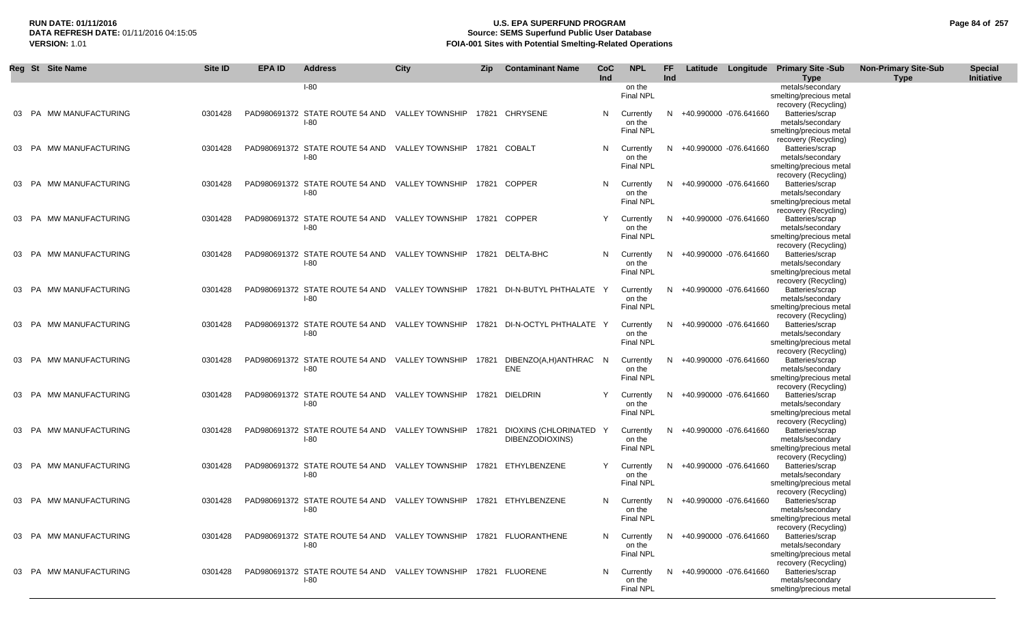|       | Reg St Site Name              | Site ID | <b>EPA ID</b> | <b>Address</b>                                                                | City            | <b>Zip</b> | <b>Contaminant Name</b>                   | <b>CoC</b><br>Ind | <b>NPL</b>                              | <b>FF</b><br>Ind |                          | Latitude Longitude Primary Site -Sub<br><b>Type</b>                                    | <b>Non-Primary Site-Sub</b><br><b>Type</b> | <b>Special</b><br>Initiative |
|-------|-------------------------------|---------|---------------|-------------------------------------------------------------------------------|-----------------|------------|-------------------------------------------|-------------------|-----------------------------------------|------------------|--------------------------|----------------------------------------------------------------------------------------|--------------------------------------------|------------------------------|
|       |                               |         |               | <b>I-80</b>                                                                   |                 |            |                                           |                   | on the<br><b>Final NPL</b>              |                  |                          | metals/secondary<br>smelting/precious metal                                            |                                            |                              |
|       | 03 PA MW MANUFACTURING        | 0301428 |               | PAD980691372 STATE ROUTE 54 AND VALLEY TOWNSHIP 17821 CHRYSENE<br>$I-80$      |                 |            |                                           | N                 | Currently<br>on the<br><b>Final NPL</b> |                  | N +40.990000 -076.641660 | recovery (Recycling)<br>Batteries/scrap<br>metals/secondary<br>smelting/precious metal |                                            |                              |
|       | 03 PA MW MANUFACTURING        | 0301428 |               | PAD980691372 STATE ROUTE 54 AND VALLEY TOWNSHIP<br>$I-80$                     |                 | 17821      | COBALT                                    | N.                | Currently<br>on the<br><b>Final NPL</b> | N.               | +40.990000 -076.641660   | recovery (Recycling)<br>Batteries/scrap<br>metals/secondary<br>smelting/precious metal |                                            |                              |
|       | MW MANUFACTURING<br>PA        | 0301428 |               | PAD980691372 STATE ROUTE 54 AND VALLEY TOWNSHIP<br>$I-80$                     |                 |            | 17821 COPPER                              | N.                | Currently<br>on the<br><b>Final NPL</b> | N.               | +40.990000 -076.641660   | recovery (Recycling)<br>Batteries/scrap<br>metals/secondary<br>smelting/precious metal |                                            |                              |
| 03 PA | MW MANUFACTURING              | 0301428 |               | PAD980691372 STATE ROUTE 54 AND VALLEY TOWNSHIP<br><b>I-80</b>                |                 |            | 17821 COPPER                              |                   | Currently<br>on the<br><b>Final NPL</b> | N                | +40.990000 -076.641660   | recovery (Recycling)<br>Batteries/scrap<br>metals/secondary<br>smelting/precious metal |                                            |                              |
|       | MW MANUFACTURING<br><b>PA</b> | 0301428 |               | PAD980691372 STATE ROUTE 54 AND VALLEY TOWNSHIP<br><b>I-80</b>                |                 |            | 17821 DELTA-BHC                           | N                 | Currently<br>on the<br><b>Final NPL</b> | N.               | +40.990000 -076.641660   | recovery (Recycling)<br>Batteries/scrap<br>metals/secondary<br>smelting/precious metal |                                            |                              |
| 03 PA | MW MANUFACTURING              | 0301428 |               | PAD980691372 STATE ROUTE 54 AND VALLEY TOWNSHIP<br><b>I-80</b>                |                 |            | 17821 DI-N-BUTYL PHTHALATE Y              |                   | Currently<br>on the<br><b>Final NPL</b> | N.               | +40.990000 -076.641660   | recovery (Recycling)<br>Batteries/scrap<br>metals/secondary<br>smelting/precious metal |                                            |                              |
|       | MW MANUFACTURING<br>PA        | 0301428 |               | PAD980691372 STATE ROUTE 54 AND VALLEY TOWNSHIP<br><b>I-80</b>                |                 |            | 17821 DI-N-OCTYL PHTHALATE Y              |                   | Currently<br>on the<br>Final NPL        | N.               | +40.990000 -076.641660   | recovery (Recycling)<br>Batteries/scrap<br>metals/secondary<br>smelting/precious metal |                                            |                              |
| 03 PA | MW MANUFACTURING              | 0301428 |               | PAD980691372 STATE ROUTE 54 AND<br>$I-80$                                     | VALLEY TOWNSHIP | 17821      | DIBENZO(A,H)ANTHRAC<br><b>ENE</b>         | - N               | Currently<br>on the<br>Final NPL        | N                | +40.990000 -076.641660   | recovery (Recycling)<br>Batteries/scrap<br>metals/secondary<br>smelting/precious metal |                                            |                              |
|       | MW MANUFACTURING<br><b>PA</b> | 0301428 |               | PAD980691372 STATE ROUTE 54 AND VALLEY TOWNSHIP<br><b>I-80</b>                |                 |            | 17821 DIELDRIN                            |                   | Currently<br>on the<br><b>Final NPL</b> | N.               | +40.990000 -076.641660   | recovery (Recycling)<br>Batteries/scrap<br>metals/secondary<br>smelting/precious metal |                                            |                              |
| 03 PA | MW MANUFACTURING              | 0301428 |               | PAD980691372 STATE ROUTE 54 AND VALLEY TOWNSHIP<br>$I-80$                     |                 | 17821      | DIOXINS (CHLORINATED Y<br>DIBENZODIOXINS) |                   | Currently<br>on the<br><b>Final NPL</b> | N                | +40.990000 -076.641660   | recovery (Recycling)<br>Batteries/scrap<br>metals/secondary<br>smelting/precious metal |                                            |                              |
| 03 PA | MW MANUFACTURING              | 0301428 |               | PAD980691372 STATE ROUTE 54 AND VALLEY TOWNSHIP<br>$I-80$                     |                 |            | 17821 ETHYLBENZENE                        |                   | Currently<br>on the<br><b>Final NPL</b> | N.               | +40.990000 -076.641660   | recovery (Recycling)<br>Batteries/scrap<br>metals/secondary<br>smelting/precious metal |                                            |                              |
| 03 PA | MW MANUFACTURING              | 0301428 |               | PAD980691372 STATE ROUTE 54 AND VALLEY TOWNSHIP<br>$I-80$                     |                 |            | 17821 ETHYLBENZENE                        | N.                | Currently<br>on the<br>Final NPL        | N.               | +40.990000 -076.641660   | recovery (Recycling)<br>Batteries/scrap<br>metals/secondary<br>smelting/precious metal |                                            |                              |
|       | 03 PA MW MANUFACTURING        | 0301428 |               | PAD980691372 STATE ROUTE 54 AND VALLEY TOWNSHIP 17821 FLUORANTHENE<br>$I-80$  |                 |            |                                           | N                 | Currently<br>on the<br><b>Final NPL</b> | N.               | +40.990000 -076.641660   | recovery (Recycling)<br>Batteries/scrap<br>metals/secondary<br>smelting/precious metal |                                            |                              |
|       | 03 PA MW MANUFACTURING        | 0301428 |               | PAD980691372 STATE ROUTE 54 AND VALLEY TOWNSHIP 17821 FLUORENE<br><b>I-80</b> |                 |            |                                           |                   | Currently<br>on the<br><b>Final NPL</b> | N.               | +40.990000 -076.641660   | recovery (Recycling)<br>Batteries/scrap<br>metals/secondary<br>smelting/precious metal |                                            |                              |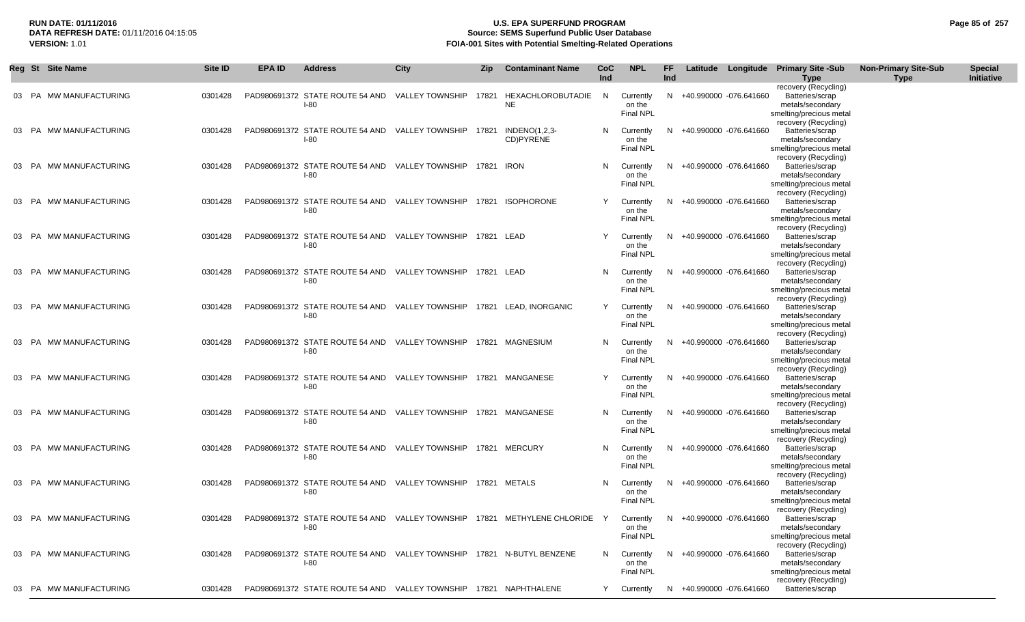## **RUN DATE: 01/11/2016 U.S. EPA SUPERFUND PROGRAM Page 85 of 257 Source: SEMS Superfund Public User Database VERSION:** 1.01 **FOIA-001 Sites with Potential Smelting-Related Operations**

|       | Reg St Site Name       | Site ID | <b>EPA ID</b> | <b>Address</b>                                                                  | <b>City</b>     | Zip        | <b>Contaminant Name</b>                                                    | <b>CoC</b><br>Ind | <b>NPL</b>                              | FF<br>Ind |                          | Latitude Longitude Primary Site -Sub<br><b>Type</b>                                                            | <b>Non-Primary Site-Sub</b><br><b>Type</b> | <b>Special</b><br>Initiative |
|-------|------------------------|---------|---------------|---------------------------------------------------------------------------------|-----------------|------------|----------------------------------------------------------------------------|-------------------|-----------------------------------------|-----------|--------------------------|----------------------------------------------------------------------------------------------------------------|--------------------------------------------|------------------------------|
|       | 03 PA MW MANUFACTURING | 0301428 |               | PAD980691372 STATE ROUTE 54 AND<br>$I-80$                                       | VALLEY TOWNSHIP | 17821      | HEXACHLOROBUTADIE<br><b>NE</b>                                             | N.                | Currently<br>on the<br>Final NPL        |           | N +40.990000 -076.641660 | recovery (Recycling)<br>Batteries/scrap<br>metals/secondary<br>smelting/precious metal                         |                                            |                              |
|       | 03 PA MW MANUFACTURING | 0301428 |               | PAD980691372 STATE ROUTE 54 AND VALLEY TOWNSHIP<br>$I-80$                       |                 | 17821      | $INDENO(1,2,3-$<br>CD)PYRENE                                               |                   | N Currently<br>on the<br>Final NPL      | N.        | +40.990000 -076.641660   | recovery (Recycling)<br>Batteries/scrap<br>metals/secondary<br>smelting/precious metal<br>recovery (Recycling) |                                            |                              |
|       | 03 PA MW MANUFACTURING | 0301428 |               | PAD980691372 STATE ROUTE 54 AND VALLEY TOWNSHIP<br>$I-80$                       |                 | 17821 IRON |                                                                            | N.                | Currently<br>on the<br>Final NPL        | N.        | +40.990000 -076.641660   | Batteries/scrap<br>metals/secondary<br>smelting/precious metal<br>recovery (Recycling)                         |                                            |                              |
| 03 PA | MW MANUFACTURING       | 0301428 |               | PAD980691372 STATE ROUTE 54 AND VALLEY TOWNSHIP<br>$I-80$                       |                 |            | 17821 ISOPHORONE                                                           |                   | Currently<br>on the<br>Final NPL        | N.        | +40.990000 -076.641660   | Batteries/scrap<br>metals/secondary<br>smelting/precious metal<br>recovery (Recycling)                         |                                            |                              |
|       | 03 PA MW MANUFACTURING | 0301428 |               | PAD980691372 STATE ROUTE 54 AND VALLEY TOWNSHIP 17821 LEAD<br>$I-80$            |                 |            |                                                                            |                   | Currently<br>on the<br>Final NPL        | N.        | +40.990000 -076.641660   | Batteries/scrap<br>metals/secondary<br>smelting/precious metal<br>recovery (Recycling)                         |                                            |                              |
|       | 03 PA MW MANUFACTURING | 0301428 |               | PAD980691372 STATE ROUTE 54 AND<br>$I-80$                                       | VALLEY TOWNSHIP | 17821 LEAD |                                                                            | N.                | Currently<br>on the<br>Final NPL        | N.        | +40.990000 -076.641660   | Batteries/scrap<br>metals/secondary<br>smelting/precious metal<br>recovery (Recycling)                         |                                            |                              |
|       | 03 PA MW MANUFACTURING | 0301428 |               | PAD980691372 STATE ROUTE 54 AND VALLEY TOWNSHIP<br>$I-80$                       |                 |            | 17821 LEAD. INORGANIC                                                      |                   | Currently<br>on the<br>Final NPL        | N         | +40.990000 -076.641660   | Batteries/scrap<br>metals/secondary<br>smelting/precious metal<br>recovery (Recycling)                         |                                            |                              |
|       | 03 PA MW MANUFACTURING | 0301428 |               | PAD980691372 STATE ROUTE 54 AND VALLEY TOWNSHIP<br>$I-80$                       |                 |            | 17821 MAGNESIUM                                                            | N.                | Currently<br>on the<br>Final NPL        | N.        | +40.990000 -076.641660   | Batteries/scrap<br>metals/secondary<br>smelting/precious metal<br>recovery (Recycling)                         |                                            |                              |
|       | 03 PA MW MANUFACTURING | 0301428 |               | PAD980691372 STATE ROUTE 54 AND VALLEY TOWNSHIP 17821 MANGANESE<br>$I-80$       |                 |            |                                                                            |                   | Currently<br>on the<br>Final NPL        | N         | +40.990000 -076.641660   | Batteries/scrap<br>metals/secondary<br>smelting/precious metal<br>recovery (Recycling)                         |                                            |                              |
|       | 03 PA MW MANUFACTURING | 0301428 |               | PAD980691372 STATE ROUTE 54 AND VALLEY TOWNSHIP<br>$I-80$                       |                 |            | 17821 MANGANESE                                                            | N.                | Currently<br>on the<br><b>Final NPL</b> | N.        | +40.990000 -076.641660   | Batteries/scrap<br>metals/secondary<br>smelting/precious metal<br>recovery (Recycling)                         |                                            |                              |
|       | 03 PA MW MANUFACTURING | 0301428 |               | PAD980691372 STATE ROUTE 54 AND VALLEY TOWNSHIP 17821 MERCURY<br>$I-80$         |                 |            |                                                                            |                   | N Currently<br>on the<br>Final NPL      | N.        | +40.990000 -076.641660   | Batteries/scrap<br>metals/secondary<br>smelting/precious metal<br>recovery (Recycling)                         |                                            |                              |
|       | 03 PA MW MANUFACTURING | 0301428 |               | PAD980691372 STATE ROUTE 54 AND VALLEY TOWNSHIP 17821 METALS<br>$I-80$          |                 |            |                                                                            | N.                | Currently<br>on the<br><b>Final NPL</b> |           | N +40.990000 -076.641660 | Batteries/scrap<br>metals/secondary<br>smelting/precious metal<br>recovery (Recycling)                         |                                            |                              |
|       | 03 PA MW MANUFACTURING | 0301428 |               | $I-80$                                                                          |                 |            | PAD980691372 STATE ROUTE 54 AND VALLEY TOWNSHIP 17821 METHYLENE CHLORIDE Y |                   | Currently<br>on the<br>Final NPL        |           | N +40.990000 -076.641660 | Batteries/scrap<br>metals/secondary<br>smelting/precious metal<br>recovery (Recycling)                         |                                            |                              |
|       | 03 PA MW MANUFACTURING | 0301428 |               | PAD980691372 STATE ROUTE 54 AND VALLEY TOWNSHIP 17821 N-BUTYL BENZENE<br>$I-80$ |                 |            |                                                                            | N.                | Currently<br>on the<br>Final NPL        | N.        | +40.990000 -076.641660   | Batteries/scrap<br>metals/secondary<br>smelting/precious metal<br>recovery (Recycling)                         |                                            |                              |
|       | 03 PA MW MANUFACTURING | 0301428 |               | PAD980691372 STATE ROUTE 54 AND VALLEY TOWNSHIP 17821 NAPHTHALENE               |                 |            |                                                                            | Y                 | Currently                               |           | N +40.990000 -076.641660 | Batteries/scrap                                                                                                |                                            |                              |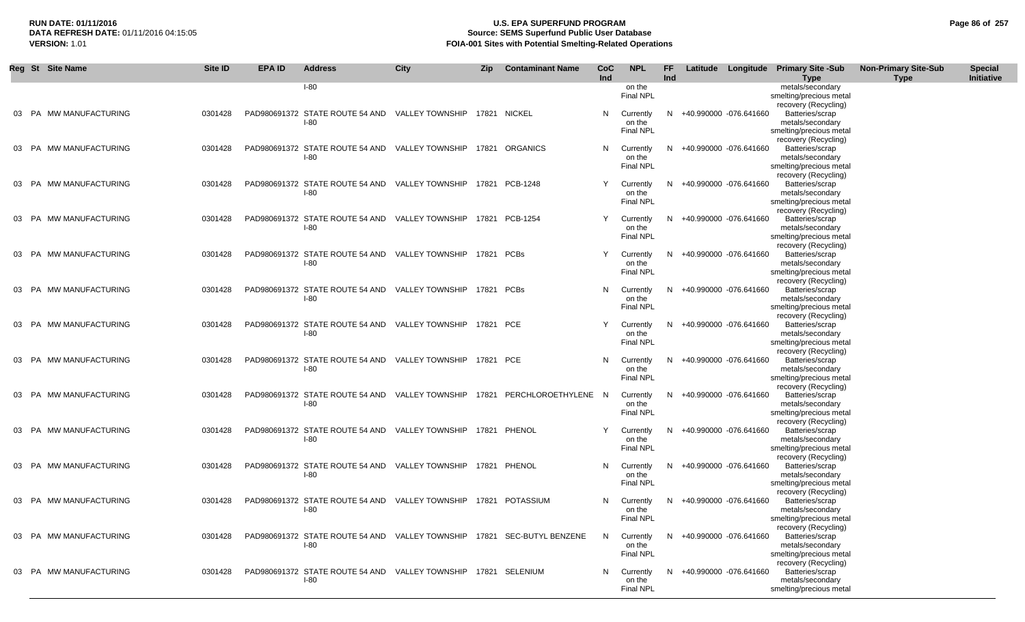## **RUN DATE: 01/11/2016 U.S. EPA SUPERFUND PROGRAM Page 86 of 257 Source: SEMS Superfund Public User Database VERSION:** 1.01 **FOIA-001 Sites with Potential Smelting-Related Operations**

|       | Reg St Site Name       | Site ID | <b>EPA ID</b> | <b>Address</b>                                                           | <b>City</b>     | <b>Zip</b> | <b>Contaminant Name</b>   | <b>CoC</b> | <b>NPL</b>                 | <b>FF</b> |                          | Latitude Longitude Primary Site -Sub            | <b>Non-Primary Site-Sub</b> | <b>Special</b> |
|-------|------------------------|---------|---------------|--------------------------------------------------------------------------|-----------------|------------|---------------------------|------------|----------------------------|-----------|--------------------------|-------------------------------------------------|-----------------------------|----------------|
|       |                        |         |               | $I-80$                                                                   |                 |            |                           | Ind        | on the                     | Ind       |                          | <b>Type</b><br>metals/secondary                 | <b>Type</b>                 | Initiative     |
|       |                        |         |               |                                                                          |                 |            |                           |            | <b>Final NPL</b>           |           |                          | smelting/precious metal                         |                             |                |
|       |                        |         |               |                                                                          |                 |            |                           |            |                            |           |                          | recovery (Recycling)                            |                             |                |
|       | 03 PA MW MANUFACTURING | 0301428 |               | PAD980691372 STATE ROUTE 54 AND VALLEY TOWNSHIP 17821 NICKEL             |                 |            |                           | N          | Currently                  |           | N +40.990000 -076.641660 | Batteries/scrap                                 |                             |                |
|       |                        |         |               | $I-80$                                                                   |                 |            |                           |            | on the                     |           |                          | metals/secondary                                |                             |                |
|       |                        |         |               |                                                                          |                 |            |                           |            | <b>Final NPL</b>           |           |                          | smelting/precious metal<br>recovery (Recycling) |                             |                |
|       | 03 PA MW MANUFACTURING | 0301428 |               | PAD980691372 STATE ROUTE 54 AND VALLEY TOWNSHIP                          |                 |            | 17821 ORGANICS            | N          | Currently                  | N         | +40.990000 -076.641660   | Batteries/scrap                                 |                             |                |
|       |                        |         |               | $I-80$                                                                   |                 |            |                           |            | on the                     |           |                          | metals/secondary                                |                             |                |
|       |                        |         |               |                                                                          |                 |            |                           |            | <b>Final NPL</b>           |           |                          | smelting/precious metal                         |                             |                |
|       |                        |         |               |                                                                          |                 |            |                           |            |                            |           |                          | recovery (Recycling)                            |                             |                |
|       | 03 PA MW MANUFACTURING | 0301428 |               | PAD980691372 STATE ROUTE 54 AND VALLEY TOWNSHIP<br>$I-80$                |                 |            | 17821 PCB-1248            | Y          | Currently<br>on the        | N.        | +40.990000 -076.641660   | Batteries/scrap<br>metals/secondary             |                             |                |
|       |                        |         |               |                                                                          |                 |            |                           |            | <b>Final NPL</b>           |           |                          | smelting/precious metal                         |                             |                |
|       |                        |         |               |                                                                          |                 |            |                           |            |                            |           |                          | recovery (Recycling)                            |                             |                |
|       | 03 PA MW MANUFACTURING | 0301428 |               | PAD980691372 STATE ROUTE 54 AND VALLEY TOWNSHIP                          |                 |            | 17821 PCB-1254            | Y          | Currently                  | N         | +40.990000 -076.641660   | Batteries/scrap                                 |                             |                |
|       |                        |         |               | $I-80$                                                                   |                 |            |                           |            | on the                     |           |                          | metals/secondary                                |                             |                |
|       |                        |         |               |                                                                          |                 |            |                           |            | <b>Final NPL</b>           |           |                          | smelting/precious metal                         |                             |                |
| 03 PA | MW MANUFACTURING       | 0301428 |               | PAD980691372 STATE ROUTE 54 AND                                          | VALLEY TOWNSHIP | 17821 PCBs |                           | Y          | Currently                  | N.        | +40.990000 -076.641660   | recovery (Recycling)<br>Batteries/scrap         |                             |                |
|       |                        |         |               | $I-80$                                                                   |                 |            |                           |            | on the                     |           |                          | metals/secondary                                |                             |                |
|       |                        |         |               |                                                                          |                 |            |                           |            | Final NPL                  |           |                          | smelting/precious metal                         |                             |                |
|       |                        |         |               |                                                                          |                 |            |                           |            |                            |           |                          | recovery (Recycling)                            |                             |                |
| 03 PA | MW MANUFACTURING       | 0301428 |               | PAD980691372 STATE ROUTE 54 AND                                          | VALLEY TOWNSHIP | 17821 PCBs |                           | N          | Currently                  | N         | +40.990000 -076.641660   | Batteries/scrap                                 |                             |                |
|       |                        |         |               | $I-80$                                                                   |                 |            |                           |            | on the<br><b>Final NPL</b> |           |                          | metals/secondary<br>smelting/precious metal     |                             |                |
|       |                        |         |               |                                                                          |                 |            |                           |            |                            |           |                          | recovery (Recycling)                            |                             |                |
| 03 PA | MW MANUFACTURING       | 0301428 |               | PAD980691372 STATE ROUTE 54 AND                                          | VALLEY TOWNSHIP | 17821 PCE  |                           | Y          | Currently                  | N         | +40.990000 -076.641660   | Batteries/scrap                                 |                             |                |
|       |                        |         |               | $I-80$                                                                   |                 |            |                           |            | on the                     |           |                          | metals/secondary                                |                             |                |
|       |                        |         |               |                                                                          |                 |            |                           |            | <b>Final NPL</b>           |           |                          | smelting/precious metal                         |                             |                |
| 03 PA | MW MANUFACTURING       | 0301428 |               | PAD980691372 STATE ROUTE 54 AND                                          | VALLEY TOWNSHIP | 17821 PCE  |                           | N          | Currently                  | N         | +40.990000 -076.641660   | recovery (Recycling)<br>Batteries/scrap         |                             |                |
|       |                        |         |               | $I-80$                                                                   |                 |            |                           |            | on the                     |           |                          | metals/secondary                                |                             |                |
|       |                        |         |               |                                                                          |                 |            |                           |            | <b>Final NPL</b>           |           |                          | smelting/precious metal                         |                             |                |
|       |                        |         |               |                                                                          |                 |            |                           |            |                            |           |                          | recovery (Recycling)                            |                             |                |
|       | 03 PA MW MANUFACTURING | 0301428 |               | PAD980691372 STATE ROUTE 54 AND VALLEY TOWNSHIP                          |                 |            | 17821 PERCHLOROETHYLENE N |            | Currently                  | N         | +40.990000 -076.641660   | Batteries/scrap                                 |                             |                |
|       |                        |         |               | $I-80$                                                                   |                 |            |                           |            | on the<br>Final NPL        |           |                          | metals/secondary                                |                             |                |
|       |                        |         |               |                                                                          |                 |            |                           |            |                            |           |                          | smelting/precious metal<br>recovery (Recycling) |                             |                |
| 03 PA | MW MANUFACTURING       | 0301428 |               | PAD980691372 STATE ROUTE 54 AND VALLEY TOWNSHIP                          |                 |            | 17821 PHENOL              | Y          | Currently                  | N         | +40.990000 -076.641660   | Batteries/scrap                                 |                             |                |
|       |                        |         |               | $I-80$                                                                   |                 |            |                           |            | on the                     |           |                          | metals/secondary                                |                             |                |
|       |                        |         |               |                                                                          |                 |            |                           |            | <b>Final NPL</b>           |           |                          | smelting/precious metal                         |                             |                |
|       |                        | 0301428 |               |                                                                          |                 |            | 17821 PHENOL              |            |                            | N         |                          | recovery (Recycling)<br>Batteries/scrap         |                             |                |
| 03 PA | MW MANUFACTURING       |         |               | PAD980691372 STATE ROUTE 54 AND VALLEY TOWNSHIP<br>$I-80$                |                 |            |                           | N          | Currently<br>on the        |           | +40.990000 -076.641660   | metals/secondary                                |                             |                |
|       |                        |         |               |                                                                          |                 |            |                           |            | <b>Final NPL</b>           |           |                          | smelting/precious metal                         |                             |                |
|       |                        |         |               |                                                                          |                 |            |                           |            |                            |           |                          | recovery (Recycling)                            |                             |                |
| 03 PA | MW MANUFACTURING       | 0301428 |               | PAD980691372 STATE ROUTE 54 AND VALLEY TOWNSHIP                          |                 |            | 17821 POTASSIUM           | N          | Currently                  | N         | +40.990000 -076.641660   | Batteries/scrap                                 |                             |                |
|       |                        |         |               | $I-80$                                                                   |                 |            |                           |            | on the                     |           |                          | metals/secondary                                |                             |                |
|       |                        |         |               |                                                                          |                 |            |                           |            | <b>Final NPL</b>           |           |                          | smelting/precious metal<br>recovery (Recycling) |                             |                |
| 03 PA | MW MANUFACTURING       | 0301428 |               | PAD980691372 STATE ROUTE 54 AND VALLEY TOWNSHIP 17821 SEC-BUTYL BENZENE  |                 |            |                           | N          | Currently                  | N         | +40.990000 -076.641660   | Batteries/scrap                                 |                             |                |
|       |                        |         |               | $I-80$                                                                   |                 |            |                           |            | on the                     |           |                          | metals/secondary                                |                             |                |
|       |                        |         |               |                                                                          |                 |            |                           |            | <b>Final NPL</b>           |           |                          | smelting/precious metal                         |                             |                |
|       |                        |         |               |                                                                          |                 |            |                           |            |                            |           |                          | recovery (Recycling)                            |                             |                |
|       | 03 PA MW MANUFACTURING | 0301428 |               | PAD980691372 STATE ROUTE 54 AND VALLEY TOWNSHIP 17821 SELENIUM<br>$I-80$ |                 |            |                           | N          | Currently<br>on the        | N.        | +40.990000 -076.641660   | Batteries/scrap<br>metals/secondary             |                             |                |
|       |                        |         |               |                                                                          |                 |            |                           |            | <b>Final NPL</b>           |           |                          | smelting/precious metal                         |                             |                |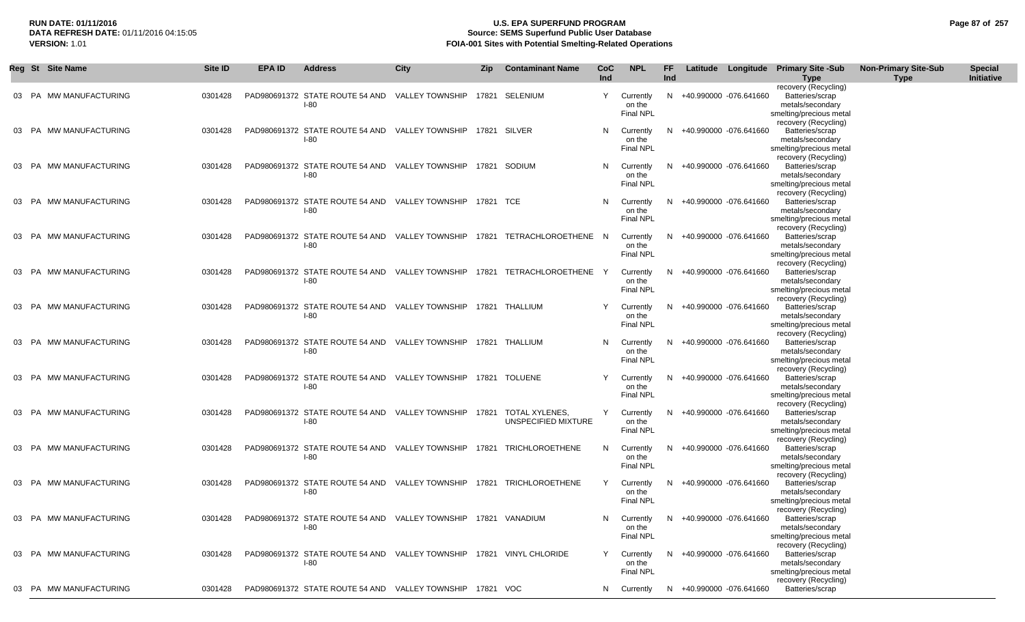|       | Reg St Site Name       | Site ID | EPA ID | <b>Address</b>                                                                  | City                         | Zip | <b>Contaminant Name</b>                                                   | CoC.<br>Ind | <b>NPL</b>                              | FF<br><b>Ind</b> |                          | Latitude Longitude Primary Site -Sub<br><b>Type</b>                                                            | <b>Non-Primary Site-Sub</b><br><b>Type</b> | <b>Special</b><br>Initiative |
|-------|------------------------|---------|--------|---------------------------------------------------------------------------------|------------------------------|-----|---------------------------------------------------------------------------|-------------|-----------------------------------------|------------------|--------------------------|----------------------------------------------------------------------------------------------------------------|--------------------------------------------|------------------------------|
|       | 03 PA MW MANUFACTURING | 0301428 |        | PAD980691372 STATE ROUTE 54 AND<br>$I-80$                                       | VALLEY TOWNSHIP              |     | 17821 SELENIUM                                                            | Y           | Currently<br>on the<br><b>Final NPL</b> |                  | N +40.990000 -076.641660 | recovery (Recycling)<br>Batteries/scrap<br>metals/secondary<br>smelting/precious metal<br>recovery (Recycling) |                                            |                              |
| 03 PA | MW MANUFACTURING       | 0301428 |        | PAD980691372 STATE ROUTE 54 AND<br>$I-80$                                       | VALLEY TOWNSHIP 17821 SILVER |     |                                                                           | N           | Currently<br>on the<br><b>Final NPL</b> |                  | +40.990000 -076.641660   | Batteries/scrap<br>metals/secondary<br>smelting/precious metal<br>recovery (Recycling)                         |                                            |                              |
|       | 03 PA MW MANUFACTURING | 0301428 |        | PAD980691372 STATE ROUTE 54 AND<br>I-80                                         | VALLEY TOWNSHIP              |     | 17821 SODIUM                                                              | N           | Currently<br>on the<br><b>Final NPL</b> |                  | +40.990000 -076.641660   | Batteries/scrap<br>metals/secondary<br>smelting/precious metal<br>recovery (Recycling)                         |                                            |                              |
|       | 03 PA MW MANUFACTURING | 0301428 |        | PAD980691372 STATE ROUTE 54 AND VALLEY TOWNSHIP 17821 TCE<br>$I-80$             |                              |     |                                                                           | N           | Currently<br>on the<br>Final NPL        |                  | +40.990000 -076.641660   | Batteries/scrap<br>metals/secondary<br>smelting/precious metal<br>recovery (Recycling)                         |                                            |                              |
|       | 03 PA MW MANUFACTURING | 0301428 |        | $I-80$                                                                          |                              |     | PAD980691372 STATE ROUTE 54 AND VALLEY TOWNSHIP 17821 TETRACHLOROETHENE N |             | Currently<br>on the<br><b>Final NPL</b> | N.               | +40.990000 -076.641660   | Batteries/scrap<br>metals/secondary<br>smelting/precious metal<br>recovery (Recycling)                         |                                            |                              |
|       | 03 PA MW MANUFACTURING | 0301428 |        | PAD980691372 STATE ROUTE 54 AND<br>$I-80$                                       | VALLEY TOWNSHIP              |     | 17821 TETRACHLOROETHENE                                                   |             | Currently<br>on the<br><b>Final NPL</b> | N.               | +40.990000 -076.641660   | Batteries/scrap<br>metals/secondary<br>smelting/precious metal<br>recovery (Recycling)                         |                                            |                              |
|       | 03 PA MW MANUFACTURING | 0301428 |        | PAD980691372 STATE ROUTE 54 AND VALLEY TOWNSHIP 17821 THALLIUM<br>$I-80$        |                              |     |                                                                           | Y           | Currently<br>on the<br><b>Final NPL</b> | N.               | +40.990000 -076.641660   | Batteries/scrap<br>metals/secondary<br>smelting/precious metal<br>recovery (Recycling)                         |                                            |                              |
|       | 03 PA MW MANUFACTURING | 0301428 |        | PAD980691372 STATE ROUTE 54 AND VALLEY TOWNSHIP 17821 THALLIUM<br>I-80          |                              |     |                                                                           | N           | Currently<br>on the<br>Final NPL        |                  | +40.990000 -076.641660   | Batteries/scrap<br>metals/secondary<br>smelting/precious metal<br>recovery (Recycling)                         |                                            |                              |
|       | 03 PA MW MANUFACTURING | 0301428 |        | PAD980691372 STATE ROUTE 54 AND VALLEY TOWNSHIP 17821 TOLUENE<br>$I-80$         |                              |     |                                                                           | Y           | Currently<br>on the<br><b>Final NPL</b> |                  | +40.990000 -076.641660   | Batteries/scrap<br>metals/secondary<br>smelting/precious metal<br>recovery (Recycling)                         |                                            |                              |
|       | 03 PA MW MANUFACTURING | 0301428 |        | PAD980691372 STATE ROUTE 54 AND<br>$I-80$                                       | VALLEY TOWNSHIP 17821        |     | TOTAL XYLENES,<br>UNSPECIFIED MIXTURE                                     | Y           | Currently<br>on the<br><b>Final NPL</b> | N.               | +40.990000 -076.641660   | Batteries/scrap<br>metals/secondary<br>smelting/precious metal<br>recovery (Recycling)                         |                                            |                              |
|       | 03 PA MW MANUFACTURING | 0301428 |        | PAD980691372 STATE ROUTE 54 AND VALLEY TOWNSHIP 17821 TRICHLOROETHENE<br>$I-80$ |                              |     |                                                                           | N           | Currently<br>on the<br>Final NPL        |                  | +40.990000 -076.641660   | Batteries/scrap<br>metals/secondary<br>smelting/precious metal<br>recovery (Recycling)                         |                                            |                              |
|       | 03 PA MW MANUFACTURING | 0301428 |        | PAD980691372 STATE ROUTE 54 AND<br>$I-80$                                       |                              |     | VALLEY TOWNSHIP 17821 TRICHLOROETHENE                                     | Y           | Currently<br>on the<br><b>Final NPL</b> | N.               | +40.990000 -076.641660   | Batteries/scrap<br>metals/secondary<br>smelting/precious metal<br>recovery (Recycling)                         |                                            |                              |
|       | 03 PA MW MANUFACTURING | 0301428 |        | PAD980691372 STATE ROUTE 54 AND VALLEY TOWNSHIP 17821 VANADIUM<br>$I-80$        |                              |     |                                                                           | N           | Currently<br>on the<br><b>Final NPL</b> | N.               | +40.990000 -076.641660   | Batteries/scrap<br>metals/secondary<br>smelting/precious metal<br>recovery (Recycling)                         |                                            |                              |
|       | 03 PA MW MANUFACTURING | 0301428 |        | PAD980691372 STATE ROUTE 54 AND VALLEY TOWNSHIP 17821 VINYL CHLORIDE<br>$I-80$  |                              |     |                                                                           | Y           | Currently<br>on the<br><b>Final NPL</b> |                  | N +40.990000 -076.641660 | Batteries/scrap<br>metals/secondary<br>smelting/precious metal<br>recovery (Recycling)                         |                                            |                              |
|       | 03 PA MW MANUFACTURING | 0301428 |        | PAD980691372 STATE ROUTE 54 AND VALLEY TOWNSHIP 17821 VOC                       |                              |     |                                                                           | N           | Currently                               |                  | N +40.990000 -076.641660 | Batteries/scrap                                                                                                |                                            |                              |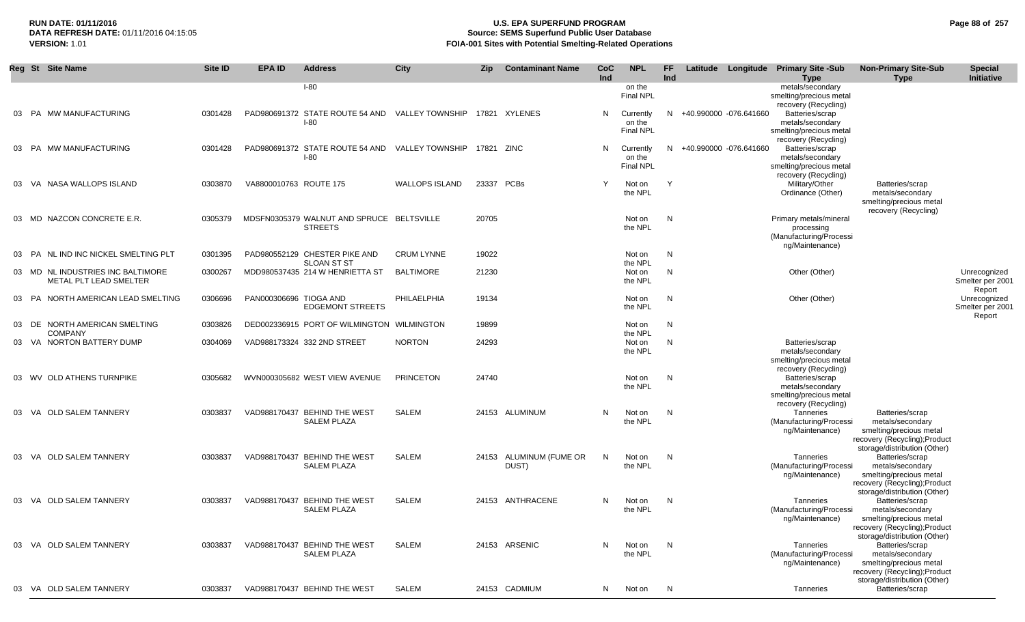# **RUN DATE: 01/11/2016 U.S. EPA SUPERFUND PROGRAM Page 88 of 257 Source: SEMS Superfund Public User Database VERSION:** 1.01 **FOIA-001 Sites with Potential Smelting-Related Operations**

|    | Reg St Site Name                                            | Site ID | <b>EPA ID</b>          | <b>Address</b>                                                          | <b>City</b>           | <b>Zip</b> | <b>Contaminant Name</b>    | <b>CoC</b><br>Ind | <b>NPL</b>                              | FF.<br>Ind |                          | Latitude Longitude Primary Site -Sub<br><b>Type</b>                                    | <b>Non-Primary Site-Sub</b><br><b>Type</b>                                                                                                                      | <b>Special</b><br>Initiative               |
|----|-------------------------------------------------------------|---------|------------------------|-------------------------------------------------------------------------|-----------------------|------------|----------------------------|-------------------|-----------------------------------------|------------|--------------------------|----------------------------------------------------------------------------------------|-----------------------------------------------------------------------------------------------------------------------------------------------------------------|--------------------------------------------|
|    |                                                             |         |                        | $I-80$                                                                  |                       |            |                            |                   | on the<br><b>Final NPL</b>              |            |                          | metals/secondary<br>smelting/precious metal                                            |                                                                                                                                                                 |                                            |
|    | 03 PA MW MANUFACTURING                                      | 0301428 |                        | PAD980691372 STATE ROUTE 54 AND VALLEY TOWNSHIP 17821 XYLENES<br>$I-80$ |                       |            |                            | N                 | Currently<br>on the<br><b>Final NPL</b> |            | N +40.990000 -076.641660 | recovery (Recycling)<br>Batteries/scrap<br>metals/secondary<br>smelting/precious metal |                                                                                                                                                                 |                                            |
|    | 03 PA MW MANUFACTURING                                      | 0301428 |                        | PAD980691372 STATE ROUTE 54 AND VALLEY TOWNSHIP<br>$I-80$               |                       | 17821 ZINC |                            | N                 | Currently<br>on the<br>Final NPL        | N          | +40.990000 -076.641660   | recovery (Recycling)<br>Batteries/scrap<br>metals/secondary<br>smelting/precious metal |                                                                                                                                                                 |                                            |
| 03 | VA NASA WALLOPS ISLAND                                      | 0303870 | VA8800010763 ROUTE 175 |                                                                         | <b>WALLOPS ISLAND</b> |            | 23337 PCBs                 | $\mathsf{v}$      | Not on<br>the NPL                       | Y          |                          | recovery (Recycling)<br>Military/Other<br>Ordinance (Other)                            | Batteries/scrap<br>metals/secondary<br>smelting/precious metal<br>recovery (Recycling)                                                                          |                                            |
|    | 03 MD NAZCON CONCRETE E.R.                                  | 0305379 |                        | MDSFN0305379 WALNUT AND SPRUCE BELTSVILLE<br><b>STREETS</b>             |                       | 20705      |                            |                   | Not on<br>the NPL                       | N          |                          | Primary metals/mineral<br>processing<br>(Manufacturing/Processi<br>ng/Maintenance)     |                                                                                                                                                                 |                                            |
| 03 | NL IND INC NICKEL SMELTING PLT<br><b>PA</b>                 | 0301395 |                        | PAD980552129 CHESTER PIKE AND                                           | <b>CRUM LYNNE</b>     | 19022      |                            |                   | Not on                                  | N          |                          |                                                                                        |                                                                                                                                                                 |                                            |
|    | 03 MD NL INDUSTRIES INC BALTIMORE<br>METAL PLT LEAD SMELTER | 0300267 |                        | SLOAN ST ST<br>MDD980537435 214 W HENRIETTA ST                          | <b>BALTIMORE</b>      | 21230      |                            |                   | the NPL<br>Not on<br>the NPL            | N          |                          | Other (Other)                                                                          |                                                                                                                                                                 | Unrecognized<br>Smelter per 2001<br>Report |
|    | 03 PA NORTH AMERICAN LEAD SMELTING                          | 0306696 | PAN000306696 TIOGA AND | <b>EDGEMONT STREETS</b>                                                 | PHILAELPHIA           | 19134      |                            |                   | Not on<br>the NPL                       | N          |                          | Other (Other)                                                                          |                                                                                                                                                                 | Unrecognized<br>Smelter per 2001<br>Report |
| 03 | DE NORTH AMERICAN SMELTING<br><b>COMPANY</b>                | 0303826 |                        | DED002336915 PORT OF WILMINGTON WILMINGTON                              |                       | 19899      |                            |                   | Not on<br>the NPL                       | N          |                          |                                                                                        |                                                                                                                                                                 |                                            |
|    | 03 VA NORTON BATTERY DUMP                                   | 0304069 |                        | VAD988173324 332 2ND STREET                                             | <b>NORTON</b>         | 24293      |                            |                   | Not on<br>the NPL                       | N          |                          | Batteries/scrap<br>metals/secondary<br>smelting/precious metal                         |                                                                                                                                                                 |                                            |
|    | 03 WV OLD ATHENS TURNPIKE                                   | 0305682 |                        | WVN000305682 WEST VIEW AVENUE                                           | <b>PRINCETON</b>      | 24740      |                            |                   | Not on<br>the NPL                       | N          |                          | recovery (Recycling)<br>Batteries/scrap<br>metals/secondary<br>smelting/precious metal |                                                                                                                                                                 |                                            |
|    | 03 VA OLD SALEM TANNERY                                     | 0303837 |                        | VAD988170437 BEHIND THE WEST<br><b>SALEM PLAZA</b>                      | SALEM                 |            | 24153 ALUMINUM             | N                 | Not on<br>the NPL                       | N          |                          | recovery (Recycling)<br>Tanneries<br>(Manufacturing/Processi<br>ng/Maintenance)        | Batteries/scrap<br>metals/secondary<br>smelting/precious metal<br>recovery (Recycling); Product<br>storage/distribution (Other)                                 |                                            |
|    | 03 VA OLD SALEM TANNERY                                     | 0303837 |                        | VAD988170437 BEHIND THE WEST<br><b>SALEM PLAZA</b>                      | SALEM                 | 24153      | ALUMINUM (FUME OR<br>DUST) | N.                | Not on<br>the NPL                       | N          |                          | Tanneries<br>(Manufacturing/Processi<br>ng/Maintenance)                                | Batteries/scrap<br>metals/secondary<br>smelting/precious metal<br>recovery (Recycling); Product                                                                 |                                            |
| 03 | VA OLD SALEM TANNERY                                        | 0303837 |                        | VAD988170437 BEHIND THE WEST<br><b>SALEM PLAZA</b>                      | SALEM                 |            | 24153 ANTHRACENE           | N                 | Not on<br>the NPL                       | N          |                          | Tanneries<br>(Manufacturing/Processi<br>ng/Maintenance)                                | storage/distribution (Other)<br>Batteries/scrap<br>metals/secondary<br>smelting/precious metal<br>recovery (Recycling); Product                                 |                                            |
| 03 | OLD SALEM TANNERY<br>VA                                     | 0303837 |                        | VAD988170437 BEHIND THE WEST<br><b>SALEM PLAZA</b>                      | <b>SALEM</b>          |            | 24153 ARSENIC              | N                 | Not on<br>the NPL                       | N          |                          | Tanneries<br>(Manufacturing/Processi<br>ng/Maintenance)                                | storage/distribution (Other)<br>Batteries/scrap<br>metals/secondary<br>smelting/precious metal<br>recovery (Recycling); Product<br>storage/distribution (Other) |                                            |
| 03 | VA OLD SALEM TANNERY                                        | 0303837 |                        | VAD988170437 BEHIND THE WEST                                            | <b>SALEM</b>          |            | 24153 CADMIUM              | N                 | Not on                                  | N          |                          | Tanneries                                                                              | Batteries/scrap                                                                                                                                                 |                                            |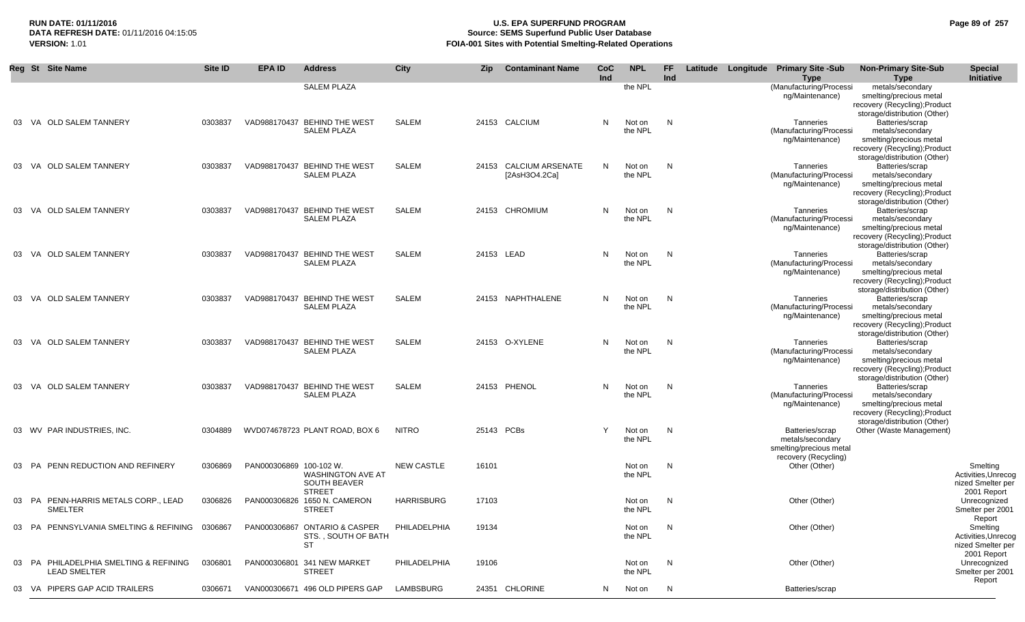### **RUN DATE: 01/11/2016 U.S. EPA SUPERFUND PROGRAM Page 89 of 257 Source: SEMS Superfund Public User Database VERSION:** 1.01 **FOIA-001 Sites with Potential Smelting-Related Operations**

|    | Reg St Site Name                                              | Site ID | <b>EPA ID</b>           | <b>Address</b>                                                    | City              | Zip        | <b>Contaminant Name</b>                 | CoC<br>Ind | <b>NPL</b>        | <b>FF</b><br>Ind | Latitude Longitude | <b>Primary Site -Sub</b><br><b>Type</b>                                                | <b>Non-Primary Site-Sub</b><br><b>Type</b>                                                                                      | <b>Special</b><br>Initiative                                        |
|----|---------------------------------------------------------------|---------|-------------------------|-------------------------------------------------------------------|-------------------|------------|-----------------------------------------|------------|-------------------|------------------|--------------------|----------------------------------------------------------------------------------------|---------------------------------------------------------------------------------------------------------------------------------|---------------------------------------------------------------------|
|    |                                                               |         |                         | <b>SALEM PLAZA</b>                                                |                   |            |                                         |            | the NPL           |                  |                    | (Manufacturing/Processi<br>ng/Maintenance)                                             | metals/secondary<br>smelting/precious metal<br>recovery (Recycling); Product<br>storage/distribution (Other)                    |                                                                     |
|    | 03 VA OLD SALEM TANNERY                                       | 0303837 |                         | VAD988170437 BEHIND THE WEST<br><b>SALEM PLAZA</b>                | SALEM             |            | 24153 CALCIUM                           | N          | Not on<br>the NPL | N,               |                    | Tanneries<br>(Manufacturing/Processi<br>ng/Maintenance)                                | Batteries/scrap<br>metals/secondary<br>smelting/precious metal<br>recovery (Recycling); Product<br>storage/distribution (Other) |                                                                     |
|    | 03 VA OLD SALEM TANNERY                                       | 0303837 |                         | VAD988170437 BEHIND THE WEST<br><b>SALEM PLAZA</b>                | SALEM             |            | 24153 CALCIUM ARSENATE<br>[2AsH3O4.2Ca] | N          | Not on<br>the NPL | N,               |                    | Tanneries<br>(Manufacturing/Processi<br>ng/Maintenance)                                | Batteries/scrap<br>metals/secondary<br>smelting/precious metal<br>recovery (Recycling); Product<br>storage/distribution (Other) |                                                                     |
| 03 | VA OLD SALEM TANNERY                                          | 0303837 |                         | VAD988170437 BEHIND THE WEST<br><b>SALEM PLAZA</b>                | SALEM             |            | 24153 CHROMIUM                          | N          | Not on<br>the NPL | N                |                    | Tanneries<br>(Manufacturing/Processi<br>ng/Maintenance)                                | Batteries/scrap<br>metals/secondary<br>smelting/precious metal<br>recovery (Recycling); Product<br>storage/distribution (Other) |                                                                     |
|    | 03 VA OLD SALEM TANNERY                                       | 0303837 |                         | VAD988170437 BEHIND THE WEST<br><b>SALEM PLAZA</b>                | SALEM             | 24153 LEAD |                                         | N          | Not on<br>the NPL | N                |                    | Tanneries<br>(Manufacturing/Processi<br>ng/Maintenance)                                | Batteries/scrap<br>metals/secondary<br>smelting/precious metal<br>recovery (Recycling); Product<br>storage/distribution (Other) |                                                                     |
| 03 | VA OLD SALEM TANNERY                                          | 0303837 |                         | VAD988170437 BEHIND THE WEST<br><b>SALEM PLAZA</b>                | SALEM             |            | 24153 NAPHTHALENE                       | N          | Not on<br>the NPL | N                |                    | Tanneries<br>(Manufacturing/Processi<br>ng/Maintenance)                                | Batteries/scrap<br>metals/secondary<br>smelting/precious metal<br>recovery (Recycling); Product<br>storage/distribution (Other) |                                                                     |
| 03 | VA OLD SALEM TANNERY                                          | 0303837 |                         | VAD988170437 BEHIND THE WEST<br><b>SALEM PLAZA</b>                | SALEM             |            | 24153 O-XYLENE                          | N          | Not on<br>the NPL | N                |                    | Tanneries<br>(Manufacturing/Processi<br>ng/Maintenance)                                | Batteries/scrap<br>metals/secondary<br>smelting/precious metal<br>recovery (Recycling); Product<br>storage/distribution (Other) |                                                                     |
|    | 03 VA OLD SALEM TANNERY                                       | 0303837 |                         | VAD988170437 BEHIND THE WEST<br><b>SALEM PLAZA</b>                | SALEM             |            | 24153 PHENOL                            | N          | Not on<br>the NPL | N,               |                    | Tanneries<br>(Manufacturing/Processi<br>ng/Maintenance)                                | Batteries/scrap<br>metals/secondary<br>smelting/precious metal<br>recovery (Recycling); Product<br>storage/distribution (Other) |                                                                     |
|    | 03 WV PAR INDUSTRIES, INC.                                    | 0304889 |                         | WVD074678723 PLANT ROAD, BOX 6                                    | <b>NITRO</b>      | 25143 PCBs |                                         | Y          | Not on<br>the NPL | N                |                    | Batteries/scrap<br>metals/secondary<br>smelting/precious metal<br>recovery (Recycling) | Other (Waste Management)                                                                                                        |                                                                     |
|    | 03 PA PENN REDUCTION AND REFINERY                             | 0306869 | PAN000306869 100-102 W. | <b>WASHINGTON AVE AT</b><br><b>SOUTH BEAVER</b><br><b>STREET</b>  | <b>NEW CASTLE</b> | 16101      |                                         |            | Not on<br>the NPL | N                |                    | Other (Other)                                                                          |                                                                                                                                 | Smelting<br>Activities, Unrecog<br>nized Smelter per<br>2001 Report |
|    | 03 PA PENN-HARRIS METALS CORP., LEAD<br><b>SMELTER</b>        | 0306826 |                         | PAN000306826 1650 N. CAMERON<br><b>STREET</b>                     | <b>HARRISBURG</b> | 17103      |                                         |            | Not on<br>the NPL | N                |                    | Other (Other)                                                                          |                                                                                                                                 | Unrecognized<br>Smelter per 2001<br>Report                          |
|    | 03 PA PENNSYLVANIA SMELTING & REFINING 0306867                |         |                         | PAN000306867 ONTARIO & CASPER<br>STS., SOUTH OF BATH<br><b>ST</b> | PHILADELPHIA      | 19134      |                                         |            | Not on<br>the NPL | N                |                    | Other (Other)                                                                          |                                                                                                                                 | Smelting<br>Activities, Unrecog<br>nized Smelter per<br>2001 Report |
|    | 03 PA PHILADELPHIA SMELTING & REFINING<br><b>LEAD SMELTER</b> | 0306801 |                         | PAN000306801 341 NEW MARKET<br><b>STREET</b>                      | PHILADELPHIA      | 19106      |                                         |            | Not on<br>the NPL | N                |                    | Other (Other)                                                                          |                                                                                                                                 | Unrecognized<br>Smelter per 2001<br>Report                          |
|    | 03 VA PIPERS GAP ACID TRAILERS                                | 0306671 |                         | VAN000306671 496 OLD PIPERS GAP                                   | LAMBSBURG         |            | 24351 CHLORINE                          | N.         | Not on            | N                |                    | Batteries/scrap                                                                        |                                                                                                                                 |                                                                     |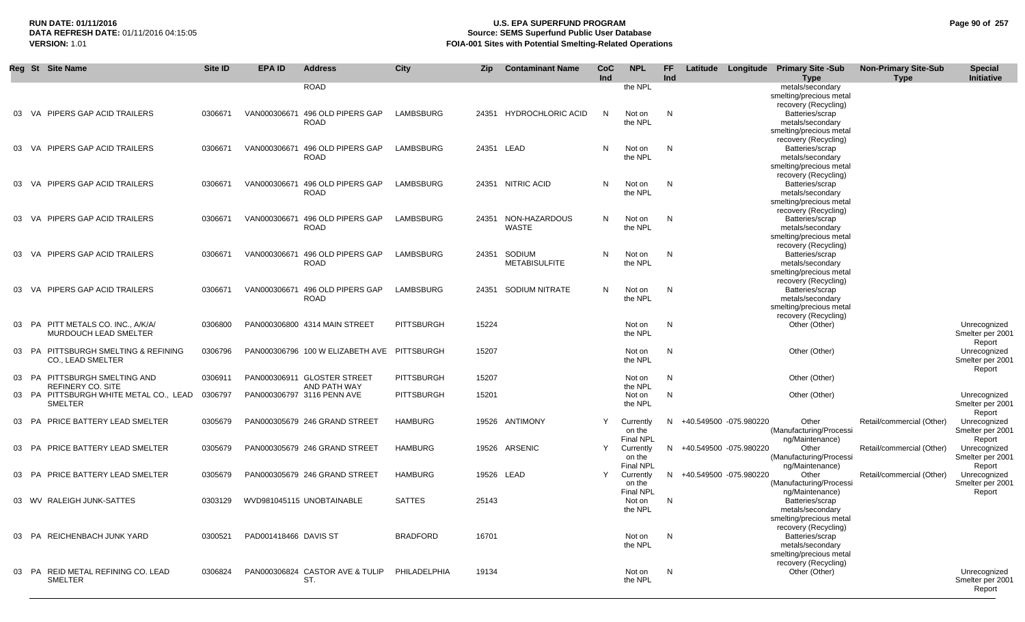## **RUN DATE: 01/11/2016 U.S. EPA SUPERFUND PROGRAM Page 90 of 257 DATA REFRESH DATE:** 01/11/2016 04:15:05 **Source: SEMS Superfund Public User Database**<br>**FOIA-001 Sites with Potential Smelting-Related Operat VERSION:** 1.01 **FOIA-001 Sites with Potential Smelting-Related Operations**

|       | Reg St Site Name                                         | Site ID | <b>EPA ID</b>         | <b>Address</b>                   | <b>City</b>       | <b>Zip</b> | <b>Contaminant Name</b> | <b>CoC</b><br>Ind | <b>NPL</b>        | FF.<br>Ind   |                          | Latitude Longitude Primary Site -Sub<br><b>Type</b> | <b>Non-Primary Site-Sub</b><br><b>Type</b> | <b>Special</b><br><b>Initiative</b> |
|-------|----------------------------------------------------------|---------|-----------------------|----------------------------------|-------------------|------------|-------------------------|-------------------|-------------------|--------------|--------------------------|-----------------------------------------------------|--------------------------------------------|-------------------------------------|
|       |                                                          |         |                       | <b>ROAD</b>                      |                   |            |                         |                   | the NPL           |              |                          | metals/secondary                                    |                                            |                                     |
|       |                                                          |         |                       |                                  |                   |            |                         |                   |                   |              |                          | smelting/precious metal                             |                                            |                                     |
|       |                                                          |         |                       |                                  |                   |            |                         |                   |                   |              |                          | recovery (Recycling)                                |                                            |                                     |
| 03    | VA PIPERS GAP ACID TRAILERS                              | 0306671 |                       | VAN000306671 496 OLD PIPERS GAP  | LAMBSBURG         |            | 24351 HYDROCHLORIC ACID | $\mathsf{N}$      | Not on            | N            |                          | Batteries/scrap                                     |                                            |                                     |
|       |                                                          |         |                       | <b>ROAD</b>                      |                   |            |                         |                   | the NPL           |              |                          | metals/secondary                                    |                                            |                                     |
|       |                                                          |         |                       |                                  |                   |            |                         |                   |                   |              |                          | smelting/precious metal                             |                                            |                                     |
|       |                                                          |         |                       |                                  |                   |            |                         |                   |                   |              |                          | recovery (Recycling)                                |                                            |                                     |
| 03    | VA PIPERS GAP ACID TRAILERS                              | 0306671 |                       | VAN000306671 496 OLD PIPERS GAP  | LAMBSBURG         |            | 24351 LEAD              | N                 | Not on            | N            |                          | Batteries/scrap                                     |                                            |                                     |
|       |                                                          |         |                       | <b>ROAD</b>                      |                   |            |                         |                   | the NPL           |              |                          | metals/secondary                                    |                                            |                                     |
|       |                                                          |         |                       |                                  |                   |            |                         |                   |                   |              |                          | smelting/precious metal<br>recovery (Recycling)     |                                            |                                     |
| 03    | VA PIPERS GAP ACID TRAILERS                              | 0306671 |                       | VAN000306671 496 OLD PIPERS GAP  | LAMBSBURG         |            | 24351 NITRIC ACID       | N                 | Not on            | N            |                          | Batteries/scrap                                     |                                            |                                     |
|       |                                                          |         |                       | <b>ROAD</b>                      |                   |            |                         |                   | the NPL           |              |                          | metals/secondary                                    |                                            |                                     |
|       |                                                          |         |                       |                                  |                   |            |                         |                   |                   |              |                          | smelting/precious metal                             |                                            |                                     |
|       |                                                          |         |                       |                                  |                   |            |                         |                   |                   |              |                          | recovery (Recycling)                                |                                            |                                     |
| 03    | VA PIPERS GAP ACID TRAILERS                              | 0306671 |                       | VAN000306671 496 OLD PIPERS GAP  | LAMBSBURG         | 24351      | NON-HAZARDOUS           | N                 | Not on            | N            |                          | Batteries/scrap                                     |                                            |                                     |
|       |                                                          |         |                       | <b>ROAD</b>                      |                   |            | <b>WASTE</b>            |                   | the NPL           |              |                          | metals/secondary                                    |                                            |                                     |
|       |                                                          |         |                       |                                  |                   |            |                         |                   |                   |              |                          | smelting/precious metal                             |                                            |                                     |
|       |                                                          |         |                       |                                  |                   |            |                         |                   |                   |              |                          | recovery (Recycling)                                |                                            |                                     |
| 03    | VA PIPERS GAP ACID TRAILERS                              | 0306671 |                       | VAN000306671 496 OLD PIPERS GAP  | LAMBSBURG         | 24351      | SODIUM                  | N                 | Not on            | N            |                          | Batteries/scrap                                     |                                            |                                     |
|       |                                                          |         |                       | <b>ROAD</b>                      |                   |            | <b>METABISULFITE</b>    |                   | the NPL           |              |                          | metals/secondary                                    |                                            |                                     |
|       |                                                          |         |                       |                                  |                   |            |                         |                   |                   |              |                          | smelting/precious metal                             |                                            |                                     |
| 03    | VA PIPERS GAP ACID TRAILERS                              | 0306671 | VAN000306671          | 496 OLD PIPERS GAP               | LAMBSBURG         | 24351      | SODIUM NITRATE          | N                 | Not on            | N            |                          | recovery (Recycling)<br>Batteries/scrap             |                                            |                                     |
|       |                                                          |         |                       | <b>ROAD</b>                      |                   |            |                         |                   | the NPL           |              |                          | metals/secondary                                    |                                            |                                     |
|       |                                                          |         |                       |                                  |                   |            |                         |                   |                   |              |                          | smelting/precious metal                             |                                            |                                     |
|       |                                                          |         |                       |                                  |                   |            |                         |                   |                   |              |                          | recovery (Recycling)                                |                                            |                                     |
| 03    | PA PITT METALS CO. INC., A/K/A/                          | 0306800 |                       | PAN000306800 4314 MAIN STREET    | <b>PITTSBURGH</b> | 15224      |                         |                   | Not on            | N            |                          | Other (Other)                                       |                                            | Unrecognized                        |
|       | <b>MURDOUCH LEAD SMELTER</b>                             |         |                       |                                  |                   |            |                         |                   | the NPL           |              |                          |                                                     |                                            | Smelter per 2001                    |
|       |                                                          |         |                       |                                  |                   |            |                         |                   |                   |              |                          |                                                     |                                            | Report                              |
|       | 03 PA PITTSBURGH SMELTING & REFINING                     | 0306796 |                       | PAN000306796 100 W ELIZABETH AVE | PITTSBURGH        | 15207      |                         |                   | Not on            | $\mathsf{N}$ |                          | Other (Other)                                       |                                            | Unrecognized                        |
|       | <b>CO., LEAD SMELTER</b>                                 |         |                       |                                  |                   |            |                         |                   | the NPL           |              |                          |                                                     |                                            | Smelter per 2001                    |
|       |                                                          |         |                       |                                  |                   |            |                         |                   |                   |              |                          |                                                     |                                            | Report                              |
|       | 03 PA PITTSBURGH SMELTING AND                            | 0306911 |                       | PAN000306911 GLOSTER STREET      | <b>PITTSBURGH</b> | 15207      |                         |                   | Not on            | N            |                          | Other (Other)                                       |                                            |                                     |
|       | <b>REFINERY CO. SITE</b>                                 |         |                       | AND PATH WAY                     |                   |            |                         |                   | the NPL           |              |                          |                                                     |                                            |                                     |
|       | 03 PA PITTSBURGH WHITE METAL CO., LEAD<br><b>SMELTER</b> | 0306797 |                       | PAN000306797 3116 PENN AVE       | <b>PITTSBURGH</b> | 15201      |                         |                   | Not on<br>the NPL | N            |                          | Other (Other)                                       |                                            | Unrecognized<br>Smelter per 2001    |
|       |                                                          |         |                       |                                  |                   |            |                         |                   |                   |              |                          |                                                     |                                            | Report                              |
|       | 03 PA PRICE BATTERY LEAD SMELTER                         | 0305679 |                       | PAN000305679 246 GRAND STREET    | <b>HAMBURG</b>    |            | 19526 ANTIMONY          | Y                 | Currently         |              | N +40.549500 -075.980220 | Other                                               | Retail/commercial (Other)                  | Unrecognized                        |
|       |                                                          |         |                       |                                  |                   |            |                         |                   | on the            |              |                          | (Manufacturing/Processi                             |                                            | Smelter per 2001                    |
|       |                                                          |         |                       |                                  |                   |            |                         |                   | <b>Final NPL</b>  |              |                          | ng/Maintenance)                                     |                                            | Report                              |
|       | 03 PA PRICE BATTERY LEAD SMELTER                         | 0305679 |                       | PAN000305679 246 GRAND STREET    | <b>HAMBURG</b>    |            | 19526 ARSENIC           | Y                 | Currently         |              | N +40.549500 -075.980220 | Other                                               | Retail/commercial (Other)                  | Unrecognized                        |
|       |                                                          |         |                       |                                  |                   |            |                         |                   | on the            |              |                          | (Manufacturing/Processi                             |                                            | Smelter per 2001                    |
|       |                                                          |         |                       |                                  |                   |            |                         |                   | <b>Final NPL</b>  |              |                          | ng/Maintenance)                                     |                                            | Report                              |
|       | 03 PA PRICE BATTERY LEAD SMELTER                         | 0305679 |                       | PAN000305679 246 GRAND STREET    | <b>HAMBURG</b>    |            | 19526 LEAD              | Y                 | Currently         | N.           | +40.549500 -075.980220   | Other                                               | Retail/commercial (Other)                  | Unrecognized                        |
|       |                                                          |         |                       |                                  |                   |            |                         |                   | on the            |              |                          | (Manufacturing/Processi                             |                                            | Smelter per 2001                    |
|       |                                                          |         |                       |                                  |                   |            |                         |                   | <b>Final NPL</b>  |              |                          | ng/Maintenance)                                     |                                            | Report                              |
|       | 03 WV RALEIGH JUNK-SATTES                                | 0303129 |                       | WVD981045115 UNOBTAINABLE        | <b>SATTES</b>     | 25143      |                         |                   | Not on            | N            |                          | Batteries/scrap                                     |                                            |                                     |
|       |                                                          |         |                       |                                  |                   |            |                         |                   | the NPL           |              |                          | metals/secondary<br>smelting/precious metal         |                                            |                                     |
|       |                                                          |         |                       |                                  |                   |            |                         |                   |                   |              |                          | recovery (Recycling)                                |                                            |                                     |
| 03    | PA REICHENBACH JUNK YARD                                 | 0300521 | PAD001418466 DAVIS ST |                                  | <b>BRADFORD</b>   | 16701      |                         |                   | Not on            | N            |                          | Batteries/scrap                                     |                                            |                                     |
|       |                                                          |         |                       |                                  |                   |            |                         |                   | the NPL           |              |                          | metals/secondary                                    |                                            |                                     |
|       |                                                          |         |                       |                                  |                   |            |                         |                   |                   |              |                          | smelting/precious metal                             |                                            |                                     |
|       |                                                          |         |                       |                                  |                   |            |                         |                   |                   |              |                          | recovery (Recycling)                                |                                            |                                     |
| 03 PA | REID METAL REFINING CO. LEAD                             | 0306824 |                       | PAN000306824 CASTOR AVE & TULIP  | PHILADELPHIA      | 19134      |                         |                   | Not on            | N            |                          | Other (Other)                                       |                                            | Unrecognized                        |
|       | <b>SMELTER</b>                                           |         |                       | ST.                              |                   |            |                         |                   | the NPL           |              |                          |                                                     |                                            | Smelter per 2001                    |
|       |                                                          |         |                       |                                  |                   |            |                         |                   |                   |              |                          |                                                     |                                            | Report                              |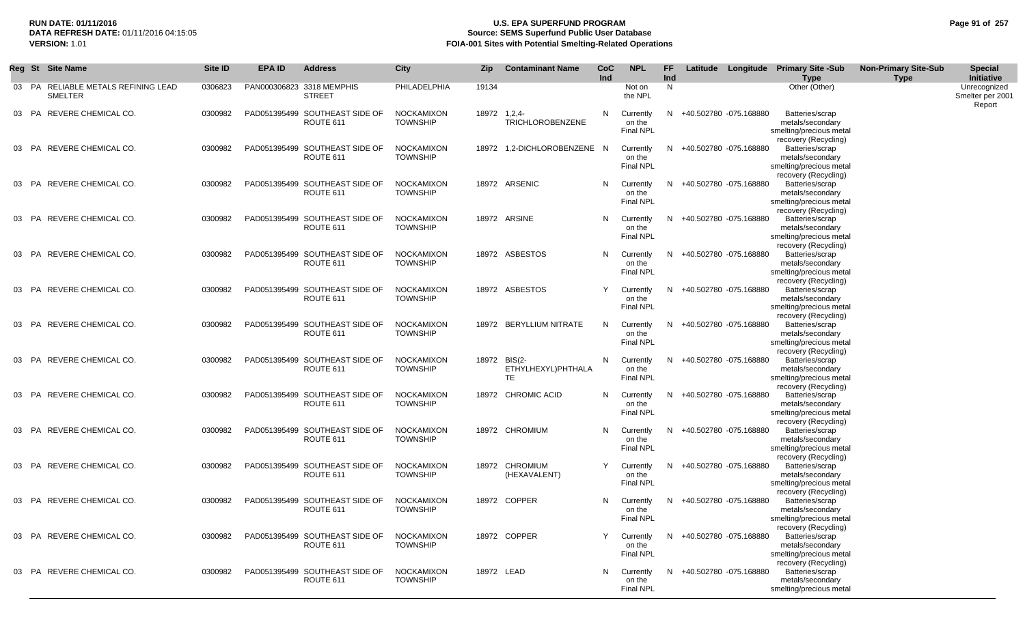## **RUN DATE: 01/11/2016 U.S. EPA SUPERFUND PROGRAM Page 91 of 257 Source: SEMS Superfund Public User Database VERSION:** 1.01 **FOIA-001 Sites with Potential Smelting-Related Operations**

|    |           | Reg St Site Name                                      | Site ID | <b>EPA ID</b> | <b>Address</b>                              | City                                 | <b>Zip</b> | <b>Contaminant Name</b>                  | CoC<br>Ind | <b>NPL</b>                              | FF.<br><b>Ind</b> |                          | Latitude Longitude Primary Site -Sub<br><b>Type</b>                                    | <b>Non-Primary Site-Sub</b><br><b>Type</b> | <b>Special</b><br>Initiative               |
|----|-----------|-------------------------------------------------------|---------|---------------|---------------------------------------------|--------------------------------------|------------|------------------------------------------|------------|-----------------------------------------|-------------------|--------------------------|----------------------------------------------------------------------------------------|--------------------------------------------|--------------------------------------------|
|    |           | 03 PA RELIABLE METALS REFINING LEAD<br><b>SMELTER</b> | 0306823 |               | PAN000306823 3318 MEMPHIS<br><b>STREET</b>  | PHILADELPHIA                         | 19134      |                                          |            | Not on<br>the NPL                       | N                 |                          | Other (Other)                                                                          |                                            | Unrecognized<br>Smelter per 2001<br>Report |
|    |           | 03 PA REVERE CHEMICAL CO.                             | 0300982 |               | PAD051395499 SOUTHEAST SIDE OF<br>ROUTE 611 | <b>NOCKAMIXON</b><br><b>TOWNSHIP</b> | 18972      | $1,2,4-$<br><b>TRICHLOROBENZENE</b>      | N          | Currently<br>on the<br><b>Final NPL</b> |                   | N +40.502780 -075.168880 | Batteries/scrap<br>metals/secondary<br>smelting/precious metal<br>recovery (Recycling) |                                            |                                            |
|    |           | 03 PA REVERE CHEMICAL CO.                             | 0300982 |               | PAD051395499 SOUTHEAST SIDE OF<br>ROUTE 611 | <b>NOCKAMIXON</b><br><b>TOWNSHIP</b> |            | 18972 1,2-DICHLOROBENZENE N              |            | Currently<br>on the<br><b>Final NPL</b> |                   | N +40.502780 -075.168880 | Batteries/scrap<br>metals/secondary<br>smelting/precious metal<br>recovery (Recycling) |                                            |                                            |
|    |           | 03 PA REVERE CHEMICAL CO.                             | 0300982 |               | PAD051395499 SOUTHEAST SIDE OF<br>ROUTE 611 | <b>NOCKAMIXON</b><br><b>TOWNSHIP</b> |            | 18972 ARSENIC                            | N          | Currently<br>on the<br>Final NPL        |                   | N +40.502780 -075.168880 | Batteries/scrap<br>metals/secondary<br>smelting/precious metal<br>recovery (Recycling) |                                            |                                            |
| 03 | PA        | REVERE CHEMICAL CO.                                   | 0300982 |               | PAD051395499 SOUTHEAST SIDE OF<br>ROUTE 611 | <b>NOCKAMIXON</b><br><b>TOWNSHIP</b> |            | 18972 ARSINE                             | N          | Currently<br>on the<br><b>Final NPL</b> |                   | N +40.502780 -075.168880 | Batteries/scrap<br>metals/secondary<br>smelting/precious metal<br>recovery (Recycling) |                                            |                                            |
|    |           | 03 PA REVERE CHEMICAL CO.                             | 0300982 |               | PAD051395499 SOUTHEAST SIDE OF<br>ROUTE 611 | <b>NOCKAMIXON</b><br><b>TOWNSHIP</b> |            | 18972 ASBESTOS                           | N          | Currently<br>on the<br><b>Final NPL</b> |                   | N +40.502780 -075.168880 | Batteries/scrap<br>metals/secondary<br>smelting/precious metal<br>recovery (Recycling) |                                            |                                            |
|    |           | 03 PA REVERE CHEMICAL CO.                             | 0300982 |               | PAD051395499 SOUTHEAST SIDE OF<br>ROUTE 611 | <b>NOCKAMIXON</b><br><b>TOWNSHIP</b> |            | 18972 ASBESTOS                           | Y          | Currently<br>on the<br><b>Final NPL</b> |                   | N +40.502780 -075.168880 | Batteries/scrap<br>metals/secondary<br>smelting/precious metal<br>recovery (Recycling) |                                            |                                            |
|    |           | 03 PA REVERE CHEMICAL CO.                             | 0300982 |               | PAD051395499 SOUTHEAST SIDE OF<br>ROUTE 611 | <b>NOCKAMIXON</b><br><b>TOWNSHIP</b> |            | 18972 BERYLLIUM NITRATE                  | N          | Currently<br>on the<br><b>Final NPL</b> |                   | N +40.502780 -075.168880 | Batteries/scrap<br>metals/secondary<br>smelting/precious metal<br>recovery (Recycling) |                                            |                                            |
| 03 |           | PA REVERE CHEMICAL CO.                                | 0300982 |               | PAD051395499 SOUTHEAST SIDE OF<br>ROUTE 611 | <b>NOCKAMIXON</b><br><b>TOWNSHIP</b> |            | 18972 BIS(2-<br>ETHYLHEXYL)PHTHALA<br>TE | N          | Currently<br>on the<br>Final NPL        |                   | N +40.502780 -075.168880 | Batteries/scrap<br>metals/secondary<br>smelting/precious metal<br>recovery (Recycling) |                                            |                                            |
| 03 | <b>PA</b> | REVERE CHEMICAL CO.                                   | 0300982 |               | PAD051395499 SOUTHEAST SIDE OF<br>ROUTE 611 | <b>NOCKAMIXON</b><br><b>TOWNSHIP</b> |            | 18972 CHROMIC ACID                       | N          | Currently<br>on the<br><b>Final NPL</b> |                   | N +40.502780 -075.168880 | Batteries/scrap<br>metals/secondary<br>smelting/precious metal<br>recovery (Recycling) |                                            |                                            |
|    |           | 03 PA REVERE CHEMICAL CO.                             | 0300982 |               | PAD051395499 SOUTHEAST SIDE OF<br>ROUTE 611 | NOCKAMIXON<br><b>TOWNSHIP</b>        |            | 18972 CHROMIUM                           | N          | Currently<br>on the<br><b>Final NPL</b> |                   | N +40.502780 -075.168880 | Batteries/scrap<br>metals/secondary<br>smelting/precious metal<br>recovery (Recycling) |                                            |                                            |
|    |           | 03 PA REVERE CHEMICAL CO.                             | 0300982 |               | PAD051395499 SOUTHEAST SIDE OF<br>ROUTE 611 | <b>NOCKAMIXON</b><br><b>TOWNSHIP</b> |            | 18972 CHROMIUM<br>(HEXAVALENT)           | Y          | Currently<br>on the<br><b>Final NPL</b> |                   | N +40.502780 -075.168880 | Batteries/scrap<br>metals/secondary<br>smelting/precious metal<br>recovery (Recycling) |                                            |                                            |
|    |           | 03 PA REVERE CHEMICAL CO.                             | 0300982 |               | PAD051395499 SOUTHEAST SIDE OF<br>ROUTE 611 | <b>NOCKAMIXON</b><br><b>TOWNSHIP</b> |            | 18972 COPPER                             | N          | Currently<br>on the<br><b>Final NPL</b> |                   | N +40.502780 -075.168880 | Batteries/scrap<br>metals/secondary<br>smelting/precious metal<br>recovery (Recycling) |                                            |                                            |
| 03 |           | PA REVERE CHEMICAL CO.                                | 0300982 |               | PAD051395499 SOUTHEAST SIDE OF<br>ROUTE 611 | <b>NOCKAMIXON</b><br><b>TOWNSHIP</b> |            | 18972 COPPER                             | Y          | Currently<br>on the<br>Final NPL        |                   | N +40.502780 -075.168880 | Batteries/scrap<br>metals/secondary<br>smelting/precious metal<br>recovery (Recycling) |                                            |                                            |
| 03 | PA        | REVERE CHEMICAL CO.                                   | 0300982 |               | PAD051395499 SOUTHEAST SIDE OF<br>ROUTE 611 | <b>NOCKAMIXON</b><br><b>TOWNSHIP</b> |            | 18972 LEAD                               | N          | Currently<br>on the<br>Final NPL        |                   | N +40.502780 -075.168880 | Batteries/scrap<br>metals/secondary<br>smelting/precious metal                         |                                            |                                            |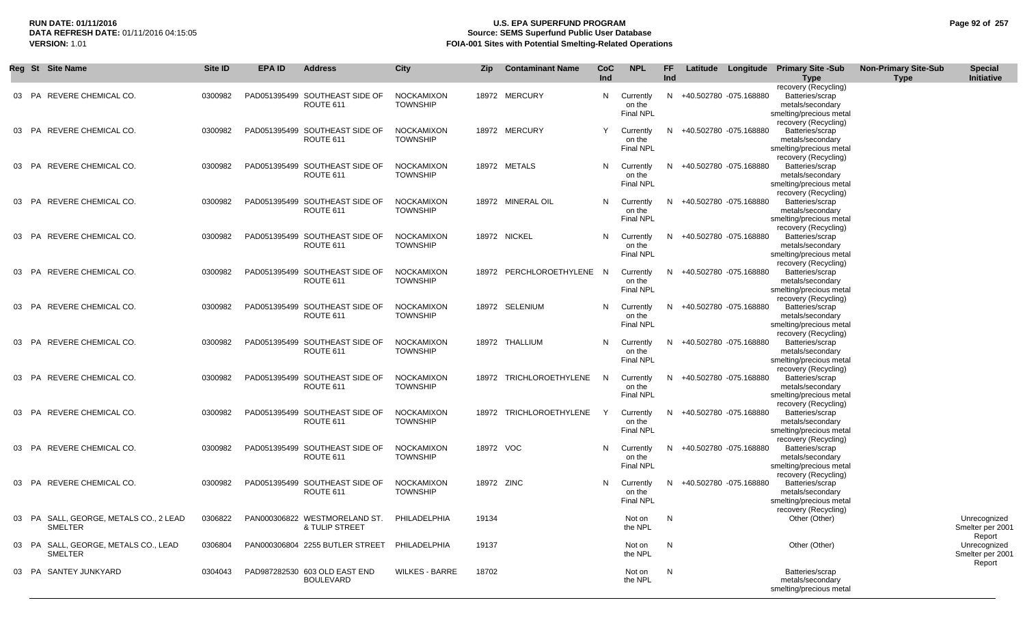## **RUN DATE: 01/11/2016 U.S. EPA SUPERFUND PROGRAM Page 92 of 257 Source: SEMS Superfund Public User Database VERSION:** 1.01 **FOIA-001 Sites with Potential Smelting-Related Operations**

|       | Reg St Site Name                                       | Site ID | EPA ID | <b>Address</b>                                    | <b>City</b>                          | <b>Zip</b> | <b>Contaminant Name</b>   | CoC<br>Ind   | <b>NPL</b>                              | FF.<br>Ind |                          | Latitude Longitude Primary Site -Sub<br><b>Type</b>                                                            | <b>Non-Primary Site-Sub</b><br>Type | <b>Special</b><br>Initiative               |
|-------|--------------------------------------------------------|---------|--------|---------------------------------------------------|--------------------------------------|------------|---------------------------|--------------|-----------------------------------------|------------|--------------------------|----------------------------------------------------------------------------------------------------------------|-------------------------------------|--------------------------------------------|
|       | 03 PA REVERE CHEMICAL CO.                              | 0300982 |        | PAD051395499 SOUTHEAST SIDE OF<br>ROUTE 611       | <b>NOCKAMIXON</b><br><b>TOWNSHIP</b> |            | 18972 MERCURY             | N            | Currently<br>on the<br><b>Final NPL</b> |            | N +40.502780 -075.168880 | recovery (Recycling)<br>Batteries/scrap<br>metals/secondary<br>smelting/precious metal                         |                                     |                                            |
|       | 03 PA REVERE CHEMICAL CO.                              | 0300982 |        | PAD051395499 SOUTHEAST SIDE OF<br>ROUTE 611       | <b>NOCKAMIXON</b><br><b>TOWNSHIP</b> |            | 18972 MERCURY             | Y            | Currently<br>on the<br><b>Final NPL</b> |            | N +40.502780 -075.168880 | recovery (Recycling)<br>Batteries/scrap<br>metals/secondary<br>smelting/precious metal<br>recovery (Recycling) |                                     |                                            |
|       | 03 PA REVERE CHEMICAL CO.                              | 0300982 |        | PAD051395499 SOUTHEAST SIDE OF<br>ROUTE 611       | <b>NOCKAMIXON</b><br><b>TOWNSHIP</b> |            | 18972 METALS              | N.           | Currently<br>on the<br><b>Final NPL</b> |            | N +40.502780 -075.168880 | Batteries/scrap<br>metals/secondary<br>smelting/precious metal<br>recovery (Recycling)                         |                                     |                                            |
|       | 03 PA REVERE CHEMICAL CO.                              | 0300982 |        | PAD051395499 SOUTHEAST SIDE OF<br>ROUTE 611       | <b>NOCKAMIXON</b><br><b>TOWNSHIP</b> |            | 18972 MINERAL OIL         | N            | Currently<br>on the<br><b>Final NPL</b> |            | N +40.502780 -075.168880 | Batteries/scrap<br>metals/secondary<br>smelting/precious metal<br>recovery (Recycling)                         |                                     |                                            |
|       | 03 PA REVERE CHEMICAL CO.                              | 0300982 |        | PAD051395499 SOUTHEAST SIDE OF<br>ROUTE 611       | <b>NOCKAMIXON</b><br><b>TOWNSHIP</b> |            | 18972 NICKEL              | N            | Currently<br>on the<br><b>Final NPL</b> |            | N +40.502780 -075.168880 | Batteries/scrap<br>metals/secondary<br>smelting/precious metal<br>recovery (Recycling)                         |                                     |                                            |
|       | 03 PA REVERE CHEMICAL CO.                              | 0300982 |        | PAD051395499 SOUTHEAST SIDE OF<br>ROUTE 611       | <b>NOCKAMIXON</b><br><b>TOWNSHIP</b> |            | 18972 PERCHLOROETHYLENE N |              | Currently<br>on the<br><b>Final NPL</b> |            | N +40.502780 -075.168880 | Batteries/scrap<br>metals/secondary<br>smelting/precious metal<br>recovery (Recycling)                         |                                     |                                            |
|       | 03 PA REVERE CHEMICAL CO.                              | 0300982 |        | PAD051395499 SOUTHEAST SIDE OF<br>ROUTE 611       | <b>NOCKAMIXON</b><br><b>TOWNSHIP</b> |            | 18972 SELENIUM            | N.           | Currently<br>on the<br><b>Final NPL</b> | N          | +40.502780 -075.168880   | Batteries/scrap<br>metals/secondary<br>smelting/precious metal<br>recovery (Recycling)                         |                                     |                                            |
|       | 03 PA REVERE CHEMICAL CO.                              | 0300982 |        | PAD051395499 SOUTHEAST SIDE OF<br>ROUTE 611       | <b>NOCKAMIXON</b><br><b>TOWNSHIP</b> |            | 18972 THALLIUM            | N.           | Currently<br>on the<br><b>Final NPL</b> |            | N +40.502780 -075.168880 | Batteries/scrap<br>metals/secondary<br>smelting/precious metal<br>recovery (Recycling)                         |                                     |                                            |
|       | 03 PA REVERE CHEMICAL CO.                              | 0300982 |        | PAD051395499 SOUTHEAST SIDE OF<br>ROUTE 611       | NOCKAMIXON<br><b>TOWNSHIP</b>        |            | 18972 TRICHLOROETHYLENE   | N            | Currently<br>on the<br><b>Final NPL</b> | N          | +40.502780 -075.168880   | Batteries/scrap<br>metals/secondary<br>smelting/precious metal<br>recovery (Recycling)                         |                                     |                                            |
|       | 03 PA REVERE CHEMICAL CO.                              | 0300982 |        | PAD051395499 SOUTHEAST SIDE OF<br>ROUTE 611       | <b>NOCKAMIXON</b><br><b>TOWNSHIP</b> |            | 18972 TRICHLOROETHYLENE   | $\mathsf{Y}$ | Currently<br>on the<br><b>Final NPL</b> | N          | +40.502780 -075.168880   | Batteries/scrap<br>metals/secondary<br>smelting/precious metal<br>recovery (Recycling)                         |                                     |                                            |
| 03 PA | REVERE CHEMICAL CO.                                    | 0300982 |        | PAD051395499 SOUTHEAST SIDE OF<br>ROUTE 611       | <b>NOCKAMIXON</b><br><b>TOWNSHIP</b> | 18972 VOC  |                           | N            | Currently<br>on the<br><b>Final NPL</b> | N          | +40.502780 -075.168880   | Batteries/scrap<br>metals/secondary<br>smelting/precious metal<br>recovery (Recycling)                         |                                     |                                            |
| 03 PA | REVERE CHEMICAL CO.                                    | 0300982 |        | PAD051395499 SOUTHEAST SIDE OF<br>ROUTE 611       | <b>NOCKAMIXON</b><br><b>TOWNSHIP</b> | 18972 ZINC |                           | N            | Currently<br>on the<br><b>Final NPL</b> | N          | +40.502780 -075.168880   | Batteries/scrap<br>metals/secondary<br>smelting/precious metal<br>recovery (Recycling)                         |                                     |                                            |
| 03 PA | SALL, GEORGE, METALS CO., 2 LEAD<br><b>SMELTER</b>     | 0306822 |        | PAN000306822 WESTMORELAND ST.<br>& TULIP STREET   | PHILADELPHIA                         | 19134      |                           |              | Not on<br>the NPL                       | N          |                          | Other (Other)                                                                                                  |                                     | Unrecognized<br>Smelter per 2001<br>Report |
|       | 03 PA SALL, GEORGE, METALS CO., LEAD<br><b>SMELTER</b> | 0306804 |        | PAN000306804 2255 BUTLER STREET                   | PHILADELPHIA                         | 19137      |                           |              | Not on<br>the NPL                       | N          |                          | Other (Other)                                                                                                  |                                     | Unrecognized<br>Smelter per 2001<br>Report |
|       | 03 PA SANTEY JUNKYARD                                  | 0304043 |        | PAD987282530 603 OLD EAST END<br><b>BOULEVARD</b> | <b>WILKES - BARRE</b>                | 18702      |                           |              | Not on<br>the NPL                       | N          |                          | Batteries/scrap<br>metals/secondary<br>smelting/precious metal                                                 |                                     |                                            |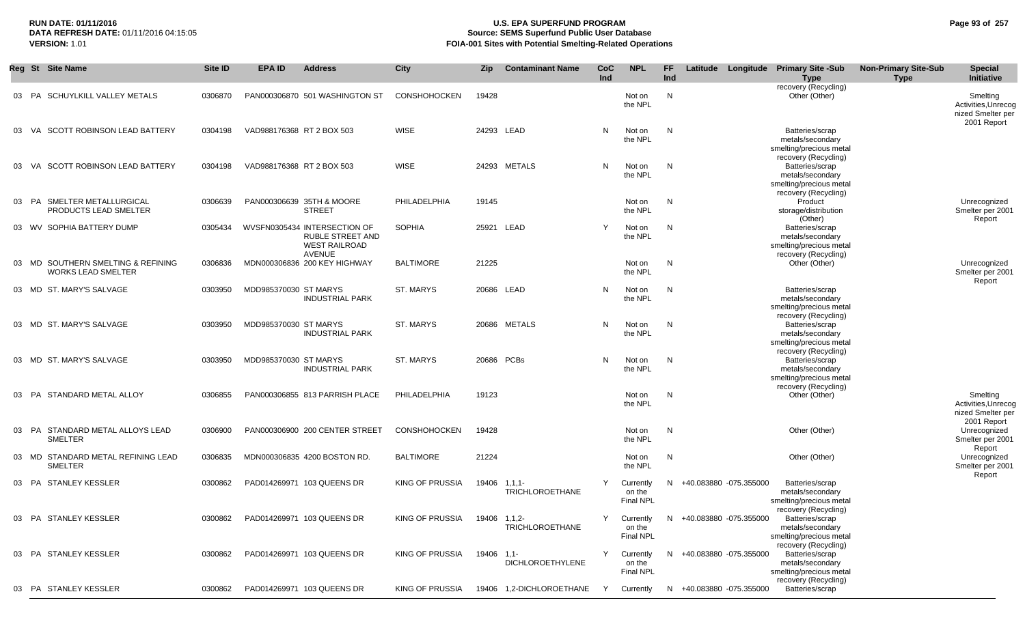### **RUN DATE: 01/11/2016 U.S. EPA SUPERFUND PROGRAM Page 93 of 257 Source: SEMS Superfund Public User Database VERSION:** 1.01 **FOIA-001 Sites with Potential Smelting-Related Operations**

|    | Reg St Site Name                                                | Site ID | <b>EPA ID</b>             | <b>Address</b>                                                                            | <b>City</b>            | Zip   | <b>Contaminant Name</b>                | CoC<br>Ind | <b>NPL</b>                              | <b>FF</b><br>Ind |                          | Latitude Longitude Primary Site -Sub<br><b>Type</b>                                    | <b>Non-Primary Site-Sub</b><br><b>Type</b> | <b>Special</b><br>Initiative                                        |
|----|-----------------------------------------------------------------|---------|---------------------------|-------------------------------------------------------------------------------------------|------------------------|-------|----------------------------------------|------------|-----------------------------------------|------------------|--------------------------|----------------------------------------------------------------------------------------|--------------------------------------------|---------------------------------------------------------------------|
|    | <b>SCHUYLKILL VALLEY METALS</b><br>PA                           | 0306870 |                           | PAN000306870 501 WASHINGTON ST                                                            | <b>CONSHOHOCKEN</b>    | 19428 |                                        |            | Not on<br>the NPL                       | $\mathsf{N}$     |                          | recovery (Recycling)<br>Other (Other)                                                  |                                            | Smelting<br>Activities, Unrecog<br>nized Smelter per<br>2001 Report |
| 03 | VA SCOTT ROBINSON LEAD BATTERY                                  | 0304198 | VAD988176368 RT 2 BOX 503 |                                                                                           | <b>WISE</b>            |       | 24293 LEAD                             | N          | Not on<br>the NPL                       | N                |                          | Batteries/scrap<br>metals/secondary<br>smelting/precious metal<br>recovery (Recycling) |                                            |                                                                     |
| 03 | <b>SCOTT ROBINSON LEAD BATTERY</b><br>VA                        | 0304198 | VAD988176368 RT 2 BOX 503 |                                                                                           | <b>WISE</b>            |       | 24293 METALS                           | N          | Not on<br>the NPL                       | N                |                          | Batteries/scrap<br>metals/secondary<br>smelting/precious metal<br>recovery (Recycling) |                                            |                                                                     |
| 03 | PA SMELTER METALLURGICAL<br>PRODUCTS LEAD SMELTER               | 0306639 |                           | PAN000306639 35TH & MOORE<br><b>STREET</b>                                                | PHILADELPHIA           | 19145 |                                        |            | Not on<br>the NPL                       | N                |                          | Product<br>storage/distribution<br>(Other)                                             |                                            | Unrecognized<br>Smelter per 2001<br>Report                          |
|    | 03 WV SOPHIA BATTERY DUMP                                       | 0305434 |                           | WVSFN0305434 INTERSECTION OF<br>RUBLE STREET AND<br><b>WEST RAILROAD</b><br><b>AVENUE</b> | <b>SOPHIA</b>          |       | 25921 LEAD                             | Y          | Not on<br>the NPL                       | N                |                          | Batteries/scrap<br>metals/secondary<br>smelting/precious metal<br>recovery (Recycling) |                                            |                                                                     |
|    | 03 MD SOUTHERN SMELTING & REFINING<br><b>WORKS LEAD SMELTER</b> | 0306836 |                           | MDN000306836 200 KEY HIGHWAY                                                              | <b>BALTIMORE</b>       | 21225 |                                        |            | Not on<br>the NPL                       | N                |                          | Other (Other)                                                                          |                                            | Unrecognized<br>Smelter per 2001<br>Report                          |
|    | 03 MD ST. MARY'S SALVAGE                                        | 0303950 | MDD985370030 ST MARYS     | <b>INDUSTRIAL PARK</b>                                                                    | ST. MARYS              |       | 20686 LEAD                             | N          | Not on<br>the NPL                       | N                |                          | Batteries/scrap<br>metals/secondary<br>smelting/precious metal<br>recovery (Recycling) |                                            |                                                                     |
|    | 03 MD ST. MARY'S SALVAGE                                        | 0303950 | MDD985370030 ST MARYS     | <b>INDUSTRIAL PARK</b>                                                                    | ST. MARYS              |       | 20686 METALS                           | N          | Not on<br>the NPL                       | N                |                          | Batteries/scrap<br>metals/secondary<br>smelting/precious metal<br>recovery (Recycling) |                                            |                                                                     |
|    | 03 MD ST. MARY'S SALVAGE                                        | 0303950 | MDD985370030 ST MARYS     | <b>INDUSTRIAL PARK</b>                                                                    | ST. MARYS              |       | 20686 PCBs                             | N          | Not on<br>the NPL                       | N                |                          | Batteries/scrap<br>metals/secondary<br>smelting/precious metal<br>recovery (Recycling) |                                            |                                                                     |
| 03 | STANDARD METAL ALLOY<br>PA                                      | 0306855 |                           | PAN000306855 813 PARRISH PLACE                                                            | PHILADELPHIA           | 19123 |                                        |            | Not on<br>the NPL                       | N                |                          | Other (Other)                                                                          |                                            | Smelting<br>Activities, Unrecog<br>nized Smelter per<br>2001 Report |
| 03 | STANDARD METAL ALLOYS LEAD<br>PA<br><b>SMELTER</b>              | 0306900 |                           | PAN000306900 200 CENTER STREET                                                            | <b>CONSHOHOCKEN</b>    | 19428 |                                        |            | Not on<br>the NPL                       | N                |                          | Other (Other)                                                                          |                                            | Unrecognized<br>Smelter per 2001<br>Report                          |
|    | 03 MD STANDARD METAL REFINING LEAD<br><b>SMELTER</b>            | 0306835 |                           | MDN000306835 4200 BOSTON RD.                                                              | <b>BALTIMORE</b>       | 21224 |                                        |            | Not on<br>the NPL                       | N                |                          | Other (Other)                                                                          |                                            | Unrecognized<br>Smelter per 2001                                    |
|    | 03 PA STANLEY KESSLER                                           | 0300862 |                           | PAD014269971 103 QUEENS DR                                                                | KING OF PRUSSIA        |       | 19406 1,1,1-<br><b>TRICHLOROETHANE</b> | Y          | Currently<br>on the<br><b>Final NPL</b> |                  | N +40.083880 -075.355000 | Batteries/scrap<br>metals/secondary<br>smelting/precious metal<br>recovery (Recycling) |                                            | Report                                                              |
|    | 03 PA STANLEY KESSLER                                           | 0300862 |                           | PAD014269971 103 QUEENS DR                                                                | KING OF PRUSSIA        |       | 19406 1,1,2-<br><b>TRICHLOROETHANE</b> | Y          | Currently<br>on the<br>Final NPL        |                  | N +40.083880 -075.355000 | Batteries/scrap<br>metals/secondary<br>smelting/precious metal<br>recovery (Recycling) |                                            |                                                                     |
|    | 03 PA STANLEY KESSLER                                           | 0300862 |                           | PAD014269971 103 QUEENS DR                                                                | KING OF PRUSSIA        | 19406 | $1,1-$<br><b>DICHLOROETHYLENE</b>      | Y          | Currently<br>on the<br><b>Final NPL</b> |                  | N +40.083880 -075.355000 | Batteries/scrap<br>metals/secondary<br>smelting/precious metal<br>recovery (Recycling) |                                            |                                                                     |
|    | 03 PA STANLEY KESSLER                                           | 0300862 |                           | PAD014269971 103 QUEENS DR                                                                | <b>KING OF PRUSSIA</b> |       | 19406 1.2-DICHLOROETHANE               | $\vee$     | Currently                               | N.               | +40.083880 -075.355000   | Batteries/scrap                                                                        |                                            |                                                                     |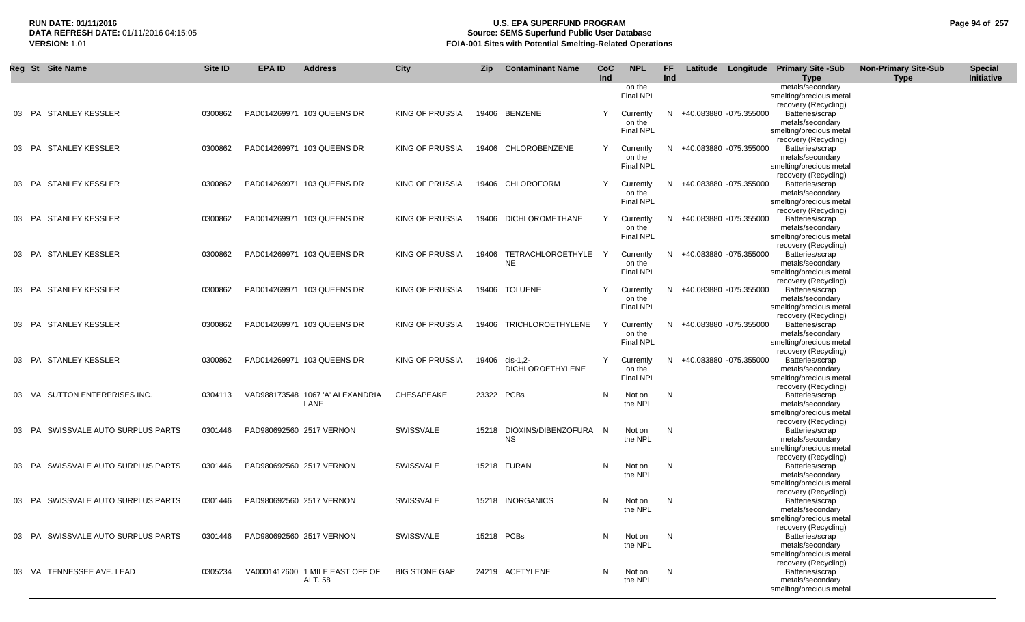## **RUN DATE: 01/11/2016 U.S. EPA SUPERFUND PROGRAM Page 94 of 257 Source: SEMS Superfund Public User Database VERSION:** 1.01 **FOIA-001 Sites with Potential Smelting-Related Operations**

|       | Reg St Site Name                   | Site ID | <b>EPA ID</b>            | <b>Address</b>                           | <b>City</b>            | Zip        | <b>Contaminant Name</b>                   | <b>CoC</b><br>Ind | <b>NPL</b>                              | FF<br>Ind |                        | Latitude Longitude Primary Site -Sub<br><b>Type</b>                                    | <b>Non-Primary Site-Sub</b><br><b>Type</b> | <b>Special</b><br>Initiative |
|-------|------------------------------------|---------|--------------------------|------------------------------------------|------------------------|------------|-------------------------------------------|-------------------|-----------------------------------------|-----------|------------------------|----------------------------------------------------------------------------------------|--------------------------------------------|------------------------------|
|       |                                    |         |                          |                                          |                        |            |                                           |                   | on the<br><b>Final NPL</b>              |           |                        | metals/secondary<br>smelting/precious metal<br>recovery (Recycling)                    |                                            |                              |
|       | 03 PA STANLEY KESSLER              | 0300862 |                          | PAD014269971 103 QUEENS DR               | KING OF PRUSSIA        |            | 19406 BENZENE                             |                   | Currently<br>on the<br><b>Final NPL</b> | N         | +40.083880 -075.355000 | Batteries/scrap<br>metals/secondary<br>smelting/precious metal                         |                                            |                              |
|       | 03 PA STANLEY KESSLER              | 0300862 |                          | PAD014269971 103 QUEENS DR               | KING OF PRUSSIA        |            | 19406 CHLOROBENZENE                       | Y                 | Currently<br>on the                     | N         | +40.083880 -075.355000 | recovery (Recycling)<br>Batteries/scrap<br>metals/secondary                            |                                            |                              |
| 03 PA | STANLEY KESSLER                    | 0300862 |                          | PAD014269971 103 QUEENS DR               | <b>KING OF PRUSSIA</b> |            | 19406 CHLOROFORM                          |                   | <b>Final NPL</b><br>Currently           | N.        | +40.083880 -075.355000 | smelting/precious metal<br>recovery (Recycling)<br>Batteries/scrap                     |                                            |                              |
|       |                                    |         |                          |                                          |                        |            |                                           |                   | on the<br><b>Final NPL</b>              |           |                        | metals/secondary<br>smelting/precious metal<br>recovery (Recycling)                    |                                            |                              |
|       | 03 PA STANLEY KESSLER              | 0300862 |                          | PAD014269971 103 QUEENS DR               | KING OF PRUSSIA        |            | 19406 DICHLOROMETHANE                     |                   | Currently<br>on the<br><b>Final NPL</b> | N.        | +40.083880 -075.355000 | Batteries/scrap<br>metals/secondary<br>smelting/precious metal                         |                                            |                              |
| 03 PA | STANLEY KESSLER                    | 0300862 |                          | PAD014269971 103 QUEENS DR               | KING OF PRUSSIA        |            | 19406 TETRACHLOROETHYLE<br><b>NE</b>      |                   | Currently<br>on the                     | N.        | +40.083880 -075.355000 | recovery (Recycling)<br>Batteries/scrap<br>metals/secondary                            |                                            |                              |
|       | 03 PA STANLEY KESSLER              | 0300862 |                          | PAD014269971 103 QUEENS DR               | KING OF PRUSSIA        |            | 19406 TOLUENE                             |                   | <b>Final NPL</b><br>Currently           | N.        | +40.083880 -075.355000 | smelting/precious metal<br>recovery (Recycling)<br>Batteries/scrap                     |                                            |                              |
| 03 PA | STANLEY KESSLER                    | 0300862 |                          | PAD014269971 103 QUEENS DR               | KING OF PRUSSIA        |            | 19406 TRICHLOROETHYLENE                   | Y                 | on the<br>Final NPL<br>Currently        | N         | +40.083880 -075.355000 | metals/secondary<br>smelting/precious metal<br>recovery (Recycling)<br>Batteries/scrap |                                            |                              |
|       |                                    |         |                          |                                          |                        |            |                                           |                   | on the<br><b>Final NPL</b>              |           |                        | metals/secondary<br>smelting/precious metal<br>recovery (Recycling)                    |                                            |                              |
| 03 PA | <b>STANLEY KESSLER</b>             | 0300862 |                          | PAD014269971 103 QUEENS DR               | KING OF PRUSSIA        |            | 19406 cis-1,2-<br><b>DICHLOROETHYLENE</b> | Y                 | Currently<br>on the<br><b>Final NPL</b> | N.        | +40.083880 -075.355000 | Batteries/scrap<br>metals/secondary<br>smelting/precious metal                         |                                            |                              |
| 03 VA | SUTTON ENTERPRISES INC.            | 0304113 |                          | VAD988173548 1067 'A' ALEXANDRIA<br>LANE | CHESAPEAKE             | 23322 PCBs |                                           | N                 | Not on<br>the NPL                       | N         |                        | recovery (Recycling)<br>Batteries/scrap<br>metals/secondary                            |                                            |                              |
| 03 PA | SWISSVALE AUTO SURPLUS PARTS       | 0301446 |                          | PAD980692560 2517 VERNON                 | SWISSVALE              |            | 15218 DIOXINS/DIBENZOFURA N               |                   | Not on                                  | N         |                        | smelting/precious metal<br>recovery (Recycling)<br>Batteries/scrap                     |                                            |                              |
|       |                                    |         |                          |                                          |                        |            | <b>NS</b>                                 |                   | the NPL                                 |           |                        | metals/secondary<br>smelting/precious metal<br>recovery (Recycling)                    |                                            |                              |
| 03 PA | SWISSVALE AUTO SURPLUS PARTS       | 0301446 |                          | PAD980692560 2517 VERNON                 | <b>SWISSVALE</b>       |            | 15218 FURAN                               | N                 | Not on<br>the NPL                       | N         |                        | Batteries/scrap<br>metals/secondary<br>smelting/precious metal                         |                                            |                              |
| 03 PA | SWISSVALE AUTO SURPLUS PARTS       | 0301446 |                          | PAD980692560 2517 VERNON                 | <b>SWISSVALE</b>       |            | 15218 INORGANICS                          | N.                | Not on<br>the NPL                       | N         |                        | recovery (Recycling)<br>Batteries/scrap<br>metals/secondary                            |                                            |                              |
|       | 03 PA SWISSVALE AUTO SURPLUS PARTS | 0301446 | PAD980692560 2517 VERNON |                                          | SWISSVALE              | 15218 PCBs |                                           | N                 | Not on<br>the NPL                       | N         |                        | smelting/precious metal<br>recovery (Recycling)<br>Batteries/scrap<br>metals/secondary |                                            |                              |
|       | 03 VA TENNESSEE AVE. LEAD          | 0305234 |                          | VA0001412600 1 MILE EAST OFF OF          | <b>BIG STONE GAP</b>   |            | 24219 ACETYLENE                           | N                 | Not on                                  | N         |                        | smelting/precious metal<br>recovery (Recycling)<br>Batteries/scrap                     |                                            |                              |
|       |                                    |         |                          | ALT. 58                                  |                        |            |                                           |                   | the NPL                                 |           |                        | metals/secondary<br>smelting/precious metal                                            |                                            |                              |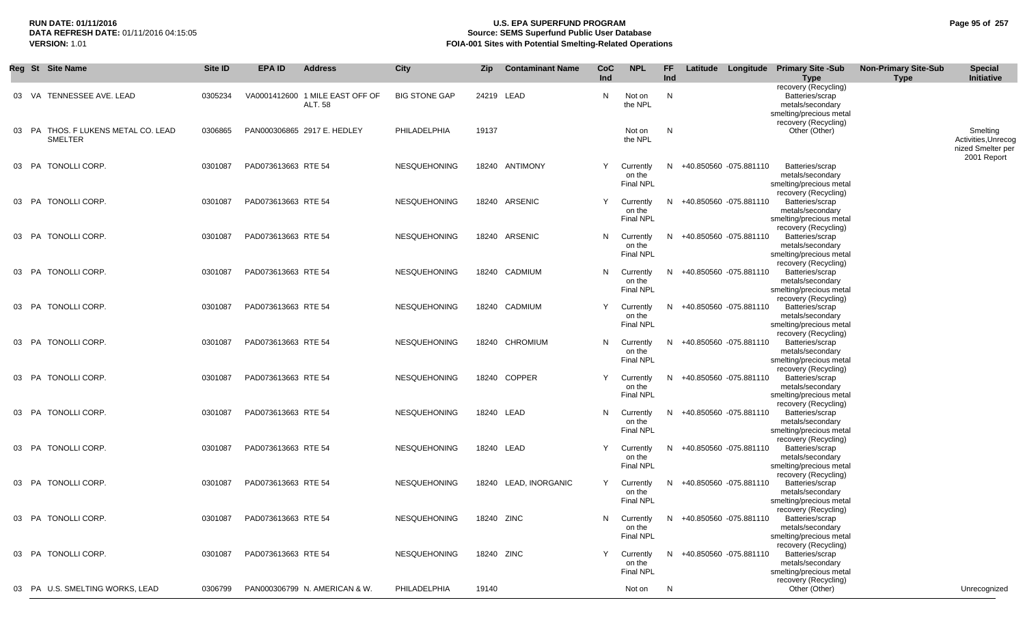## **RUN DATE: 01/11/2016 U.S. EPA SUPERFUND PROGRAM Page 95 of 257 Source: SEMS Superfund Public User Database VERSION:** 1.01 **FOIA-001 Sites with Potential Smelting-Related Operations**

|       | Reg St Site Name                                   | Site ID | <b>EPA ID</b>       | <b>Address</b>                                    | City                 | Zip        | <b>Contaminant Name</b> | <b>CoC</b><br>Ind | <b>NPL</b>                              | FF.<br>Ind |                          | Latitude Longitude | <b>Primary Site -Sub</b><br><b>Type</b>                                                | <b>Non-Primary Site-Sub</b><br><b>Type</b> | <b>Special</b><br>Initiative                                        |
|-------|----------------------------------------------------|---------|---------------------|---------------------------------------------------|----------------------|------------|-------------------------|-------------------|-----------------------------------------|------------|--------------------------|--------------------|----------------------------------------------------------------------------------------|--------------------------------------------|---------------------------------------------------------------------|
| 03    | TENNESSEE AVE. LEAD<br>- VA                        | 0305234 |                     | VA0001412600 1 MILE EAST OFF OF<br><b>ALT. 58</b> | <b>BIG STONE GAP</b> |            | 24219 LEAD              | N                 | Not on<br>the NPL                       | N          |                          |                    | recovery (Recycling)<br>Batteries/scrap<br>metals/secondary<br>smelting/precious metal |                                            |                                                                     |
| 03    | PA THOS. F LUKENS METAL CO. LEAD<br><b>SMELTER</b> | 0306865 |                     | PAN000306865 2917 E. HEDLEY                       | PHILADELPHIA         | 19137      |                         |                   | Not on<br>the NPL                       | N          |                          |                    | recovery (Recycling)<br>Other (Other)                                                  |                                            | Smelting<br>Activities, Unrecog<br>nized Smelter per<br>2001 Report |
|       | 03 PA TONOLLI CORP.                                | 0301087 | PAD073613663 RTE 54 |                                                   | <b>NESQUEHONING</b>  |            | 18240 ANTIMONY          | Y                 | Currently<br>on the<br><b>Final NPL</b> |            | N +40.850560 -075.881110 |                    | Batteries/scrap<br>metals/secondary<br>smelting/precious metal<br>recovery (Recycling) |                                            |                                                                     |
|       | 03 PA TONOLLI CORP.                                | 0301087 | PAD073613663 RTE 54 |                                                   | <b>NESQUEHONING</b>  |            | 18240 ARSENIC           | Y                 | Currently<br>on the<br><b>Final NPL</b> |            | N +40.850560 -075.881110 |                    | Batteries/scrap<br>metals/secondary<br>smelting/precious metal<br>recovery (Recycling) |                                            |                                                                     |
| 03    | TONOLLI CORP.<br>PA                                | 0301087 | PAD073613663 RTE 54 |                                                   | <b>NESQUEHONING</b>  |            | 18240 ARSENIC           | N                 | Currently<br>on the<br>Final NPL        |            | N +40.850560 -075.881110 |                    | Batteries/scrap<br>metals/secondary<br>smelting/precious metal                         |                                            |                                                                     |
|       | 03 PA TONOLLI CORP.                                | 0301087 | PAD073613663 RTE 54 |                                                   | <b>NESQUEHONING</b>  |            | 18240 CADMIUM           | N                 | Currently<br>on the<br><b>Final NPL</b> |            | N +40.850560 -075.881110 |                    | recovery (Recycling)<br>Batteries/scrap<br>metals/secondary<br>smelting/precious metal |                                            |                                                                     |
| 03 PA | TONOLLI CORP.                                      | 0301087 | PAD073613663 RTE 54 |                                                   | <b>NESQUEHONING</b>  |            | 18240 CADMIUM           | Y                 | Currently<br>on the<br>Final NPL        |            | N +40.850560 -075.881110 |                    | recovery (Recycling)<br>Batteries/scrap<br>metals/secondary<br>smelting/precious metal |                                            |                                                                     |
|       | 03 PA TONOLLI CORP.                                | 0301087 | PAD073613663 RTE 54 |                                                   | <b>NESQUEHONING</b>  |            | 18240 CHROMIUM          | N                 | Currently<br>on the<br><b>Final NPL</b> |            | N +40.850560 -075.881110 |                    | recovery (Recycling)<br>Batteries/scrap<br>metals/secondary<br>smelting/precious metal |                                            |                                                                     |
| 03    | PA TONOLLI CORP.                                   | 0301087 | PAD073613663 RTE 54 |                                                   | <b>NESQUEHONING</b>  |            | 18240 COPPER            | Y                 | Currently<br>on the<br><b>Final NPL</b> | N.         | +40.850560 -075.881110   |                    | recovery (Recycling)<br>Batteries/scrap<br>metals/secondary<br>smelting/precious metal |                                            |                                                                     |
| 03 PA | TONOLLI CORP.                                      | 0301087 | PAD073613663 RTE 54 |                                                   | NESQUEHONING         |            | 18240 LEAD              | N                 | Currently<br>on the<br><b>Final NPL</b> | N.         | +40.850560 -075.881110   |                    | recovery (Recycling)<br>Batteries/scrap<br>metals/secondary<br>smelting/precious metal |                                            |                                                                     |
|       | 03 PA TONOLLI CORP.                                | 0301087 | PAD073613663 RTE 54 |                                                   | <b>NESQUEHONING</b>  |            | 18240 LEAD              | Y                 | Currently<br>on the<br>Final NPL        |            | N +40.850560 -075.881110 |                    | recovery (Recycling)<br>Batteries/scrap<br>metals/secondary<br>smelting/precious metal |                                            |                                                                     |
|       | 03 PA TONOLLI CORP.                                | 0301087 | PAD073613663 RTE 54 |                                                   | NESQUEHONING         |            | 18240 LEAD, INORGANIC   | Y                 | Currently<br>on the<br><b>Final NPL</b> |            | N +40.850560 -075.881110 |                    | recovery (Recycling)<br>Batteries/scrap<br>metals/secondary<br>smelting/precious metal |                                            |                                                                     |
|       | 03 PA TONOLLI CORP.                                | 0301087 | PAD073613663 RTE 54 |                                                   | NESQUEHONING         | 18240 ZINC |                         | N.                | Currently<br>on the<br><b>Final NPL</b> |            | N +40.850560 -075.881110 |                    | recovery (Recycling)<br>Batteries/scrap<br>metals/secondary<br>smelting/precious metal |                                            |                                                                     |
|       | 03 PA TONOLLI CORP.                                | 0301087 | PAD073613663 RTE 54 |                                                   | <b>NESQUEHONING</b>  |            | 18240 ZINC              | Y                 | Currently<br>on the<br>Final NPL        |            | N +40.850560 -075.881110 |                    | recovery (Recycling)<br>Batteries/scrap<br>metals/secondary<br>smelting/precious metal |                                            |                                                                     |
|       | 03 PA U.S. SMELTING WORKS, LEAD                    | 0306799 |                     | PAN000306799 N. AMERICAN & W.                     | PHILADELPHIA         | 19140      |                         |                   | Not on                                  | N          |                          |                    | recovery (Recycling)<br>Other (Other)                                                  |                                            | Unrecognized                                                        |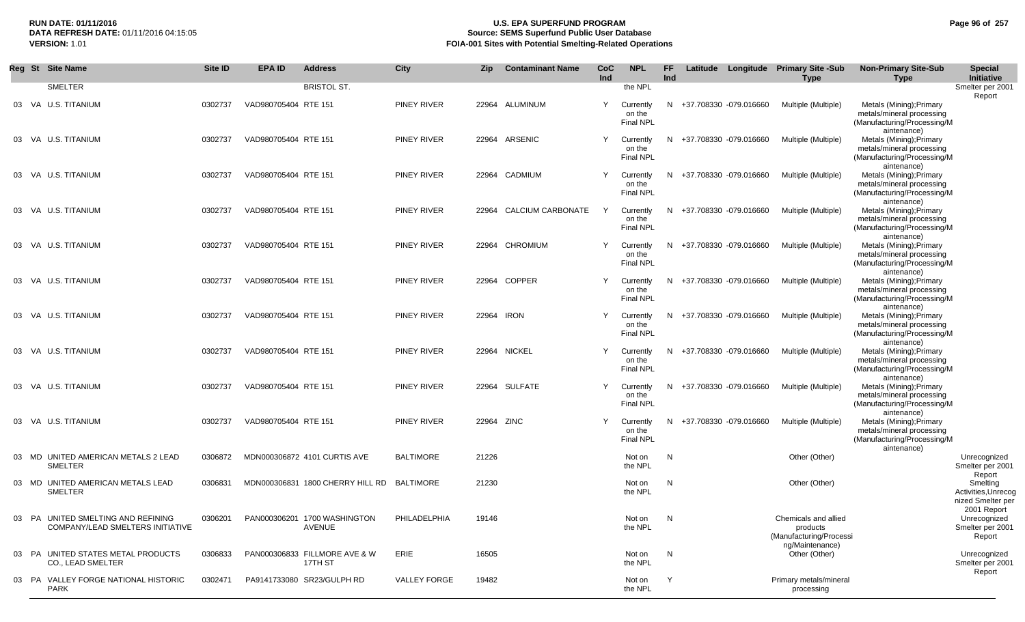### **RUN DATE: 01/11/2016 U.S. EPA SUPERFUND PROGRAM Page 96 of 257 Source: SEMS Superfund Public User Database VERSION:** 1.01 **FOIA-001 Sites with Potential Smelting-Related Operations**

|  | Reg St Site Name                                                       | Site ID | <b>EPA ID</b>        | <b>Address</b>                           | City                | Zip        | <b>Contaminant Name</b> | CoC<br>Ind | <b>NPL</b>                              | FF<br>Ind    |                          | Latitude Longitude Primary Site -Sub<br><b>Type</b>                            | <b>Non-Primary Site-Sub</b><br><b>Type</b>                                                                         | <b>Special</b><br>Initiative                                        |
|--|------------------------------------------------------------------------|---------|----------------------|------------------------------------------|---------------------|------------|-------------------------|------------|-----------------------------------------|--------------|--------------------------|--------------------------------------------------------------------------------|--------------------------------------------------------------------------------------------------------------------|---------------------------------------------------------------------|
|  | <b>SMELTER</b>                                                         |         |                      | <b>BRISTOL ST.</b>                       |                     |            |                         |            | the NPL                                 |              |                          |                                                                                |                                                                                                                    | Smelter per 2001                                                    |
|  | 03 VA U.S. TITANIUM                                                    | 0302737 | VAD980705404 RTE 151 |                                          | <b>PINEY RIVER</b>  |            | 22964 ALUMINUM          | Y          | Currently<br>on the<br><b>Final NPL</b> | N.           | +37.708330 -079.016660   | Multiple (Multiple)                                                            | Metals (Mining); Primary<br>metals/mineral processing<br>(Manufacturing/Processing/M                               | Report                                                              |
|  | 03 VA U.S. TITANIUM                                                    | 0302737 | VAD980705404 RTE 151 |                                          | <b>PINEY RIVER</b>  | 22964      | ARSENIC                 | Y          | Currently<br>on the<br><b>Final NPL</b> | N.           | +37.708330 -079.016660   | Multiple (Multiple)                                                            | aintenance)<br>Metals (Mining); Primary<br>metals/mineral processing<br>(Manufacturing/Processing/M<br>aintenance) |                                                                     |
|  | 03 VA U.S. TITANIUM                                                    | 0302737 | VAD980705404 RTE 151 |                                          | <b>PINEY RIVER</b>  |            | 22964 CADMIUM           | Y          | Currently<br>on the<br><b>Final NPL</b> | N.           | +37.708330 -079.016660   | Multiple (Multiple)                                                            | Metals (Mining); Primary<br>metals/mineral processing<br>(Manufacturing/Processing/M<br>aintenance)                |                                                                     |
|  | 03 VA U.S. TITANIUM                                                    | 0302737 | VAD980705404 RTE 151 |                                          | <b>PINEY RIVER</b>  | 22964      | CALCIUM CARBONATE       | Y          | Currently<br>on the<br><b>Final NPL</b> |              | N +37.708330 -079.016660 | Multiple (Multiple)                                                            | Metals (Mining); Primary<br>metals/mineral processing<br>(Manufacturing/Processing/M<br>aintenance)                |                                                                     |
|  | 03 VA U.S. TITANIUM                                                    | 0302737 | VAD980705404 RTE 151 |                                          | <b>PINEY RIVER</b>  | 22964      | CHROMIUM                | Y          | Currently<br>on the<br>Final NPL        |              | N +37.708330 -079.016660 | Multiple (Multiple)                                                            | Metals (Mining); Primary<br>metals/mineral processing<br>(Manufacturing/Processing/M<br>aintenance)                |                                                                     |
|  | 03 VA U.S. TITANIUM                                                    | 0302737 | VAD980705404 RTE 151 |                                          | <b>PINEY RIVER</b>  |            | 22964 COPPER            | Y          | Currently<br>on the<br>Final NPL        |              | N +37.708330 -079.016660 | Multiple (Multiple)                                                            | Metals (Mining); Primary<br>metals/mineral processing<br>(Manufacturing/Processing/M<br>aintenance)                |                                                                     |
|  | 03 VA U.S. TITANIUM                                                    | 0302737 | VAD980705404 RTE 151 |                                          | <b>PINEY RIVER</b>  | 22964 IRON |                         | Y          | Currently<br>on the<br><b>Final NPL</b> |              | N +37.708330 -079.016660 | Multiple (Multiple)                                                            | Metals (Mining); Primary<br>metals/mineral processing<br>(Manufacturing/Processing/M<br>aintenance)                |                                                                     |
|  | 03 VA U.S. TITANIUM                                                    | 0302737 | VAD980705404 RTE 151 |                                          | <b>PINEY RIVER</b>  |            | 22964 NICKEL            | Y          | Currently<br>on the<br><b>Final NPL</b> |              | N +37.708330 -079.016660 | Multiple (Multiple)                                                            | Metals (Mining); Primary<br>metals/mineral processing<br>(Manufacturing/Processing/M<br>aintenance)                |                                                                     |
|  | 03 VA U.S. TITANIUM                                                    | 0302737 | VAD980705404 RTE 151 |                                          | <b>PINEY RIVER</b>  |            | 22964 SULFATE           | Y          | Currently<br>on the<br><b>Final NPL</b> |              | N +37.708330 -079.016660 | Multiple (Multiple)                                                            | Metals (Mining); Primary<br>metals/mineral processing<br>(Manufacturing/Processing/M<br>aintenance)                |                                                                     |
|  | 03 VA U.S. TITANIUM                                                    | 0302737 | VAD980705404 RTE 151 |                                          | PINEY RIVER         | 22964 ZINC |                         | Y          | Currently<br>on the<br><b>Final NPL</b> | N.           | +37.708330 -079.016660   | Multiple (Multiple)                                                            | Metals (Mining); Primary<br>metals/mineral processing<br>(Manufacturing/Processing/M<br>aintenance)                |                                                                     |
|  | 03 MD UNITED AMERICAN METALS 2 LEAD<br>SMELTER                         | 0306872 |                      | MDN000306872 4101 CURTIS AVE             | <b>BALTIMORE</b>    | 21226      |                         |            | Not on<br>the NPL                       | N            |                          | Other (Other)                                                                  |                                                                                                                    | Unrecognized<br>Smelter per 2001<br>Report                          |
|  | 03 MD UNITED AMERICAN METALS LEAD<br><b>SMELTER</b>                    | 0306831 |                      | MDN000306831 1800 CHERRY HILL RD         | BALTIMORE           | 21230      |                         |            | Not on<br>the NPL                       | N            |                          | Other (Other)                                                                  |                                                                                                                    | Smelting<br>Activities, Unrecog<br>nized Smelter per<br>2001 Report |
|  | 03 PA UNITED SMELTING AND REFINING<br>COMPANY/LEAD SMELTERS INITIATIVE | 0306201 |                      | PAN000306201 1700 WASHINGTON<br>AVENUE   | PHILADELPHIA        | 19146      |                         |            | Not on<br>the NPL                       | N            |                          | Chemicals and allied<br>products<br>(Manufacturing/Processi<br>ng/Maintenance) |                                                                                                                    | Unrecognized<br>Smelter per 2001<br>Report                          |
|  | 03 PA UNITED STATES METAL PRODUCTS<br>CO., LEAD SMELTER                | 0306833 |                      | PAN000306833 FILLMORE AVE & W<br>17TH ST | ERIE                | 16505      |                         |            | Not on<br>the NPL                       | N,           |                          | Other (Other)                                                                  |                                                                                                                    | Unrecognized<br>Smelter per 2001<br>Report                          |
|  | 03 PA VALLEY FORGE NATIONAL HISTORIC<br><b>PARK</b>                    | 0302471 |                      | PA9141733080 SR23/GULPH RD               | <b>VALLEY FORGE</b> | 19482      |                         |            | Not on<br>the NPL                       | <sup>Y</sup> |                          | Primary metals/mineral<br>processing                                           |                                                                                                                    |                                                                     |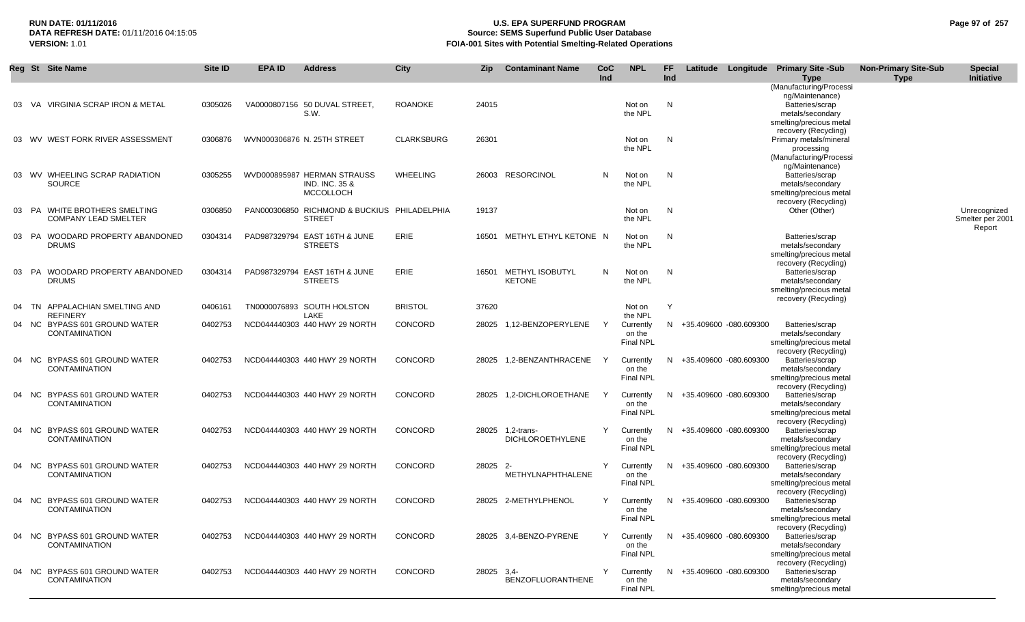## **RUN DATE: 01/11/2016 U.S. EPA SUPERFUND PROGRAM Page 97 of 257 Source: SEMS Superfund Public User Database VERSION:** 1.01 **FOIA-001 Sites with Potential Smelting-Related Operations**

|    | Reg St Site Name                                             | Site ID | <b>EPA ID</b> | <b>Address</b>                                                               | <b>City</b>       | <b>Zip</b> | <b>Contaminant Name</b>                 | <b>CoC</b> | <b>NPL</b>                              | FF. | Latitude |                          | Longitude Primary Site -Sub                                                                                    | <b>Non-Primary Site-Sub</b> | <b>Special</b>                             |
|----|--------------------------------------------------------------|---------|---------------|------------------------------------------------------------------------------|-------------------|------------|-----------------------------------------|------------|-----------------------------------------|-----|----------|--------------------------|----------------------------------------------------------------------------------------------------------------|-----------------------------|--------------------------------------------|
|    |                                                              |         |               |                                                                              |                   |            |                                         | Ind        |                                         | Ind |          |                          | <b>Type</b><br>(Manufacturing/Processi                                                                         | <b>Type</b>                 | <b>Initiative</b>                          |
|    | 03 VA VIRGINIA SCRAP IRON & METAL                            | 0305026 |               | VA0000807156 50 DUVAL STREET<br>S.W.                                         | <b>ROANOKE</b>    | 24015      |                                         |            | Not on<br>the NPL                       | N   |          |                          | ng/Maintenance)<br>Batteries/scrap<br>metals/secondary<br>smelting/precious metal                              |                             |                                            |
|    | 03 WV WEST FORK RIVER ASSESSMENT                             | 0306876 |               | WVN000306876 N. 25TH STREET                                                  | <b>CLARKSBURG</b> | 26301      |                                         |            | Not on<br>the NPL                       | N   |          |                          | recovery (Recycling)<br>Primary metals/mineral<br>processing<br>(Manufacturing/Processi<br>ng/Maintenance)     |                             |                                            |
|    | 03 WV WHEELING SCRAP RADIATION<br><b>SOURCE</b>              | 0305255 |               | WVD000895987 HERMAN STRAUSS<br><b>IND. INC. 35 &amp;</b><br><b>MCCOLLOCH</b> | <b>WHEELING</b>   |            | 26003 RESORCINOL                        | N          | Not on<br>the NPL                       | N   |          |                          | Batteries/scrap<br>metals/secondary<br>smelting/precious metal<br>recovery (Recycling)                         |                             |                                            |
| 03 | PA<br>WHITE BROTHERS SMELTING<br><b>COMPANY LEAD SMELTER</b> | 0306850 |               | PAN000306850 RICHMOND & BUCKIUS PHILADELPHIA<br><b>STREET</b>                |                   | 19137      |                                         |            | Not on<br>the NPL                       | N   |          |                          | Other (Other)                                                                                                  |                             | Unrecognized<br>Smelter per 2001<br>Report |
|    | 03 PA WOODARD PROPERTY ABANDONED<br><b>DRUMS</b>             | 0304314 |               | PAD987329794 EAST 16TH & JUNE<br><b>STREETS</b>                              | ERIE              | 16501      | METHYL ETHYL KETONE N                   |            | Not on<br>the NPL                       | N   |          |                          | Batteries/scrap<br>metals/secondary<br>smelting/precious metal                                                 |                             |                                            |
|    | 03 PA WOODARD PROPERTY ABANDONED<br><b>DRUMS</b>             | 0304314 |               | PAD987329794 EAST 16TH & JUNE<br><b>STREETS</b>                              | <b>ERIE</b>       | 16501      | <b>METHYL ISOBUTYL</b><br><b>KETONE</b> | N          | Not on<br>the NPL                       | N   |          |                          | recovery (Recycling)<br>Batteries/scrap<br>metals/secondary<br>smelting/precious metal<br>recovery (Recycling) |                             |                                            |
| 04 | APPALACHIAN SMELTING AND<br>TN<br><b>REFINERY</b>            | 0406161 |               | TN0000076893 SOUTH HOLSTON<br>LAKE                                           | <b>BRISTOL</b>    | 37620      |                                         |            | Not on<br>the NPL                       | Y   |          |                          |                                                                                                                |                             |                                            |
|    | 04 NC BYPASS 601 GROUND WATER<br><b>CONTAMINATION</b>        | 0402753 |               | NCD044440303 440 HWY 29 NORTH                                                | CONCORD           | 28025      | 1,12-BENZOPERYLENE                      | Y          | Currently<br>on the<br><b>Final NPL</b> |     |          | N +35.409600 -080.609300 | Batteries/scrap<br>metals/secondary<br>smelting/precious metal<br>recovery (Recycling)                         |                             |                                            |
|    | 04 NC BYPASS 601 GROUND WATER<br><b>CONTAMINATION</b>        | 0402753 |               | NCD044440303 440 HWY 29 NORTH                                                | CONCORD           | 28025      | 1,2-BENZANTHRACENE                      | Y          | Currently<br>on the<br><b>Final NPL</b> |     |          | N +35.409600 -080.609300 | Batteries/scrap<br>metals/secondary<br>smelting/precious metal<br>recovery (Recycling)                         |                             |                                            |
| 04 | NC BYPASS 601 GROUND WATER<br>CONTAMINATION                  | 0402753 |               | NCD044440303 440 HWY 29 NORTH                                                | CONCORD           | 28025      | 1,2-DICHLOROETHANE                      | Y          | Currently<br>on the<br><b>Final NPL</b> |     |          | N +35.409600 -080.609300 | Batteries/scrap<br>metals/secondary<br>smelting/precious metal<br>recovery (Recycling)                         |                             |                                            |
|    | 04 NC BYPASS 601 GROUND WATER<br><b>CONTAMINATION</b>        | 0402753 |               | NCD044440303 440 HWY 29 NORTH                                                | CONCORD           | 28025      | 1.2-trans-<br><b>DICHLOROETHYLENE</b>   | Y          | Currently<br>on the<br><b>Final NPL</b> |     |          | N +35.409600 -080.609300 | Batteries/scrap<br>metals/secondary<br>smelting/precious metal<br>recovery (Recycling)                         |                             |                                            |
| 04 | NC BYPASS 601 GROUND WATER<br><b>CONTAMINATION</b>           | 0402753 |               | NCD044440303 440 HWY 29 NORTH                                                | CONCORD           | 28025 2-   | METHYLNAPHTHALENE                       | Y          | Currently<br>on the<br><b>Final NPL</b> |     |          | N +35.409600 -080.609300 | Batteries/scrap<br>metals/secondary<br>smelting/precious metal<br>recovery (Recycling)                         |                             |                                            |
|    | 04 NC BYPASS 601 GROUND WATER<br><b>CONTAMINATION</b>        | 0402753 |               | NCD044440303 440 HWY 29 NORTH                                                | CONCORD           |            | 28025 2-METHYLPHENOL                    | Y          | Currently<br>on the<br><b>Final NPL</b> |     |          | N +35.409600 -080.609300 | Batteries/scrap<br>metals/secondary<br>smelting/precious metal<br>recovery (Recycling)                         |                             |                                            |
|    | 04 NC BYPASS 601 GROUND WATER<br><b>CONTAMINATION</b>        | 0402753 |               | NCD044440303 440 HWY 29 NORTH                                                | CONCORD           | 28025      | 3,4-BENZO-PYRENE                        | Y          | Currently<br>on the<br><b>Final NPL</b> |     |          | N +35.409600 -080.609300 | Batteries/scrap<br>metals/secondary<br>smelting/precious metal<br>recovery (Recycling)                         |                             |                                            |
|    | 04 NC BYPASS 601 GROUND WATER<br><b>CONTAMINATION</b>        | 0402753 |               | NCD044440303 440 HWY 29 NORTH                                                | CONCORD           | 28025      | $3,4-$<br><b>BENZOFLUORANTHENE</b>      | Υ          | Currently<br>on the<br>Final NPL        |     |          | N +35.409600 -080.609300 | Batteries/scrap<br>metals/secondary<br>smelting/precious metal                                                 |                             |                                            |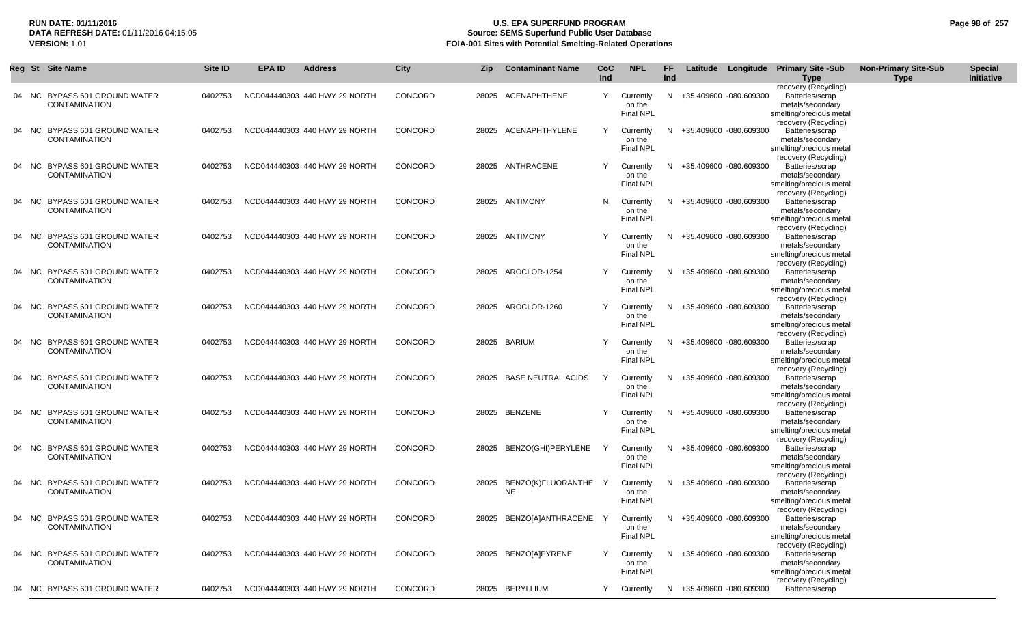## **RUN DATE: 01/11/2016 U.S. EPA SUPERFUND PROGRAM Page 98 of 257 Source: SEMS Superfund Public User Database VERSION:** 1.01 **FOIA-001 Sites with Potential Smelting-Related Operations**

|       | Reg St Site Name                                       | <b>Site ID</b> | <b>EPA ID</b> | <b>Address</b>                | City    | Zip | <b>Contaminant Name</b>                 | <b>CoC</b><br>Ind | <b>NPL</b>                              | FF.<br>Ind |                          | Latitude Longitude Primary Site -Sub<br><b>Type</b>                                    | <b>Non-Primary Site-Sub</b><br><b>Type</b> | <b>Special</b><br>Initiative |
|-------|--------------------------------------------------------|----------------|---------------|-------------------------------|---------|-----|-----------------------------------------|-------------------|-----------------------------------------|------------|--------------------------|----------------------------------------------------------------------------------------|--------------------------------------------|------------------------------|
| 04 NC | <b>BYPASS 601 GROUND WATER</b><br><b>CONTAMINATION</b> | 0402753        |               | NCD044440303 440 HWY 29 NORTH | CONCORD |     | 28025 ACENAPHTHENE                      | Y                 | Currently<br>on the<br><b>Final NPL</b> |            | N +35.409600 -080.609300 | recovery (Recycling)<br>Batteries/scrap<br>metals/secondary<br>smelting/precious metal |                                            |                              |
| 04 NC | BYPASS 601 GROUND WATER<br><b>CONTAMINATION</b>        | 0402753        |               | NCD044440303 440 HWY 29 NORTH | CONCORD |     | 28025 ACENAPHTHYLENE                    | Y                 | Currently<br>on the<br><b>Final NPL</b> |            | N +35.409600 -080.609300 | recovery (Recycling)<br>Batteries/scrap<br>metals/secondary<br>smelting/precious metal |                                            |                              |
| 04 NC | BYPASS 601 GROUND WATER<br><b>CONTAMINATION</b>        | 0402753        |               | NCD044440303 440 HWY 29 NORTH | CONCORD |     | 28025 ANTHRACENE                        | Y                 | Currently<br>on the<br><b>Final NPL</b> |            | N +35.409600 -080.609300 | recovery (Recycling)<br>Batteries/scrap<br>metals/secondary<br>smelting/precious metal |                                            |                              |
| 04 NC | BYPASS 601 GROUND WATER<br><b>CONTAMINATION</b>        | 0402753        |               | NCD044440303 440 HWY 29 NORTH | CONCORD |     | 28025 ANTIMONY                          | N.                | Currently<br>on the<br>Final NPL        |            | N +35.409600 -080.609300 | recovery (Recycling)<br>Batteries/scrap<br>metals/secondary<br>smelting/precious metal |                                            |                              |
| 04 NC | <b>BYPASS 601 GROUND WATER</b><br><b>CONTAMINATION</b> | 0402753        |               | NCD044440303 440 HWY 29 NORTH | CONCORD |     | 28025 ANTIMONY                          | Y                 | Currently<br>on the<br><b>Final NPL</b> |            | N +35.409600 -080.609300 | recovery (Recycling)<br>Batteries/scrap<br>metals/secondary<br>smelting/precious metal |                                            |                              |
| 04 NC | <b>BYPASS 601 GROUND WATER</b><br><b>CONTAMINATION</b> | 0402753        |               | NCD044440303 440 HWY 29 NORTH | CONCORD |     | 28025 AROCLOR-1254                      | Y                 | Currently<br>on the<br><b>Final NPL</b> |            | N +35.409600 -080.609300 | recovery (Recycling)<br>Batteries/scrap<br>metals/secondary<br>smelting/precious metal |                                            |                              |
| 04 NC | <b>BYPASS 601 GROUND WATER</b><br><b>CONTAMINATION</b> | 0402753        |               | NCD044440303 440 HWY 29 NORTH | CONCORD |     | 28025 AROCLOR-1260                      | Y                 | Currently<br>on the<br><b>Final NPL</b> |            | N +35.409600 -080.609300 | recovery (Recycling)<br>Batteries/scrap<br>metals/secondary<br>smelting/precious metal |                                            |                              |
| 04 NC | BYPASS 601 GROUND WATER<br><b>CONTAMINATION</b>        | 0402753        |               | NCD044440303 440 HWY 29 NORTH | CONCORD |     | 28025 BARIUM                            | Y                 | Currently<br>on the<br>Final NPL        |            | N +35.409600 -080.609300 | recovery (Recycling)<br>Batteries/scrap<br>metals/secondary<br>smelting/precious metal |                                            |                              |
| 04 NC | BYPASS 601 GROUND WATER<br><b>CONTAMINATION</b>        | 0402753        |               | NCD044440303 440 HWY 29 NORTH | CONCORD |     | 28025 BASE NEUTRAL ACIDS                | Y                 | Currently<br>on the<br>Final NPL        |            | N +35.409600 -080.609300 | recovery (Recycling)<br>Batteries/scrap<br>metals/secondary<br>smelting/precious metal |                                            |                              |
|       | 04 NC BYPASS 601 GROUND WATER<br><b>CONTAMINATION</b>  | 0402753        |               | NCD044440303 440 HWY 29 NORTH | CONCORD |     | 28025 BENZENE                           | Y                 | Currently<br>on the<br><b>Final NPL</b> |            | N +35.409600 -080.609300 | recovery (Recycling)<br>Batteries/scrap<br>metals/secondary<br>smelting/precious metal |                                            |                              |
| 04 NC | BYPASS 601 GROUND WATER<br><b>CONTAMINATION</b>        | 0402753        |               | NCD044440303 440 HWY 29 NORTH | CONCORD |     | 28025 BENZO(GHI)PERYLENE                | Y                 | Currently<br>on the<br><b>Final NPL</b> | N.         | +35.409600 -080.609300   | recovery (Recycling)<br>Batteries/scrap<br>metals/secondary<br>smelting/precious metal |                                            |                              |
|       | 04 NC BYPASS 601 GROUND WATER<br><b>CONTAMINATION</b>  | 0402753        |               | NCD044440303 440 HWY 29 NORTH | CONCORD |     | 28025 BENZO(K)FLUORANTHE Y<br><b>NE</b> |                   | Currently<br>on the<br><b>Final NPL</b> |            | N +35.409600 -080.609300 | recovery (Recycling)<br>Batteries/scrap<br>metals/secondary<br>smelting/precious metal |                                            |                              |
| 04 NC | BYPASS 601 GROUND WATER<br><b>CONTAMINATION</b>        | 0402753        |               | NCD044440303 440 HWY 29 NORTH | CONCORD |     | 28025 BENZO[A]ANTHRACENE Y              |                   | Currently<br>on the<br><b>Final NPL</b> |            | N +35.409600 -080.609300 | recovery (Recycling)<br>Batteries/scrap<br>metals/secondary<br>smelting/precious metal |                                            |                              |
|       | 04 NC BYPASS 601 GROUND WATER<br><b>CONTAMINATION</b>  | 0402753        |               | NCD044440303 440 HWY 29 NORTH | CONCORD |     | 28025 BENZO[A]PYRENE                    | Y                 | Currently<br>on the<br><b>Final NPL</b> |            | N +35.409600 -080.609300 | recovery (Recycling)<br>Batteries/scrap<br>metals/secondary<br>smelting/precious metal |                                            |                              |
| 04 NC | <b>BYPASS 601 GROUND WATER</b>                         | 0402753        |               | NCD044440303 440 HWY 29 NORTH | CONCORD |     | 28025 BERYLLIUM                         | Y                 | Currently                               |            | N +35.409600 -080.609300 | recovery (Recycling)<br>Batteries/scrap                                                |                                            |                              |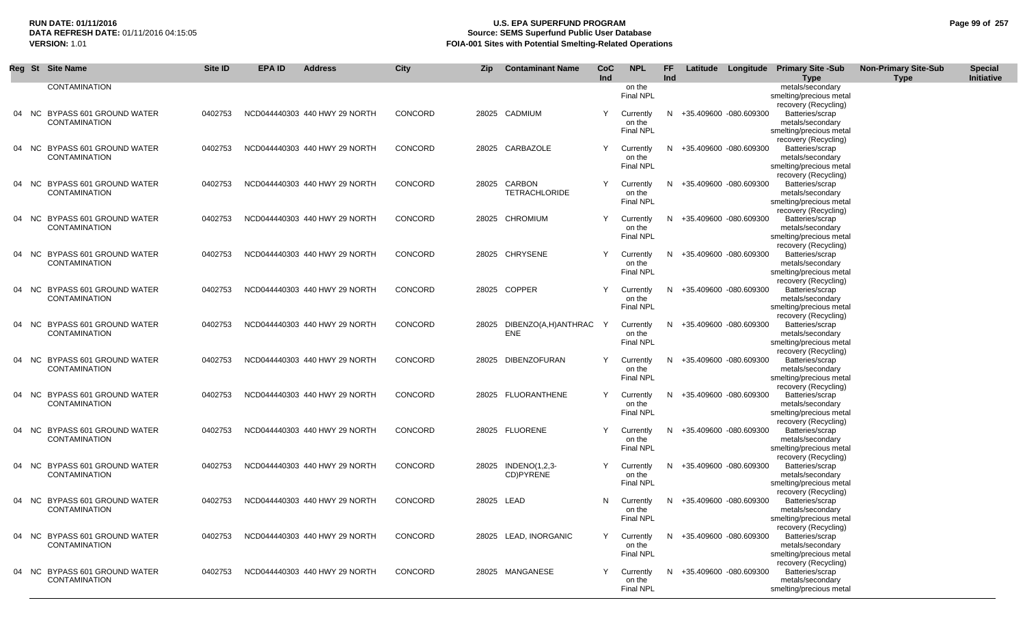# **RUN DATE: 01/11/2016 U.S. EPA SUPERFUND PROGRAM Page 99 of 257 Source: SEMS Superfund Public User Database VERSION:** 1.01 **FOIA-001 Sites with Potential Smelting-Related Operations**

| Reg St | <b>Site Name</b>                                      | Site ID | <b>EPA ID</b> | <b>Address</b>                | City           | Zip        | <b>Contaminant Name</b>              | <b>CoC</b><br>Ind | <b>NPL</b>                 | FF<br>Ind |                        | Latitude Longitude Primary Site -Sub<br><b>Type</b> | <b>Non-Primary Site-Sub</b><br><b>Type</b> | <b>Special</b><br>Initiative |
|--------|-------------------------------------------------------|---------|---------------|-------------------------------|----------------|------------|--------------------------------------|-------------------|----------------------------|-----------|------------------------|-----------------------------------------------------|--------------------------------------------|------------------------------|
|        | <b>CONTAMINATION</b>                                  |         |               |                               |                |            |                                      |                   | on the                     |           |                        | metals/secondary                                    |                                            |                              |
|        |                                                       |         |               |                               |                |            |                                      |                   | <b>Final NPL</b>           |           |                        | smelting/precious metal                             |                                            |                              |
|        | 04 NC BYPASS 601 GROUND WATER                         | 0402753 |               | NCD044440303 440 HWY 29 NORTH | <b>CONCORD</b> |            | 28025 CADMIUM                        | Y                 | Currently                  | N.        | +35.409600 -080.609300 | recovery (Recycling)<br>Batteries/scrap             |                                            |                              |
|        | <b>CONTAMINATION</b>                                  |         |               |                               |                |            |                                      |                   | on the                     |           |                        | metals/secondary                                    |                                            |                              |
|        |                                                       |         |               |                               |                |            |                                      |                   | <b>Final NPL</b>           |           |                        | smelting/precious metal                             |                                            |                              |
|        | 04 NC BYPASS 601 GROUND WATER                         | 0402753 |               | NCD044440303 440 HWY 29 NORTH | CONCORD        |            | 28025 CARBAZOLE                      |                   | Currently                  | N.        | +35.409600 -080.609300 | recovery (Recycling)<br>Batteries/scrap             |                                            |                              |
|        | <b>CONTAMINATION</b>                                  |         |               |                               |                |            |                                      |                   | on the                     |           |                        | metals/secondary                                    |                                            |                              |
|        |                                                       |         |               |                               |                |            |                                      |                   | <b>Final NPL</b>           |           |                        | smelting/precious metal                             |                                            |                              |
|        |                                                       |         |               |                               |                |            |                                      |                   |                            |           |                        | recovery (Recycling)                                |                                            |                              |
|        | 04 NC BYPASS 601 GROUND WATER<br><b>CONTAMINATION</b> | 0402753 |               | NCD044440303 440 HWY 29 NORTH | CONCORD        |            | 28025 CARBON<br><b>TETRACHLORIDE</b> | Y                 | Currently<br>on the        | N.        | +35.409600 -080.609300 | Batteries/scrap<br>metals/secondary                 |                                            |                              |
|        |                                                       |         |               |                               |                |            |                                      |                   | <b>Final NPL</b>           |           |                        | smelting/precious metal                             |                                            |                              |
|        |                                                       |         |               |                               |                |            |                                      |                   |                            |           |                        | recovery (Recycling)                                |                                            |                              |
|        | 04 NC BYPASS 601 GROUND WATER<br><b>CONTAMINATION</b> | 0402753 |               | NCD044440303 440 HWY 29 NORTH | <b>CONCORD</b> |            | 28025 CHROMIUM                       |                   | Currently<br>on the        | N.        | +35.409600 -080.609300 | Batteries/scrap<br>metals/secondary                 |                                            |                              |
|        |                                                       |         |               |                               |                |            |                                      |                   | Final NPL                  |           |                        | smelting/precious metal                             |                                            |                              |
|        |                                                       |         |               |                               |                |            |                                      |                   |                            |           |                        | recovery (Recycling)                                |                                            |                              |
|        | 04 NC BYPASS 601 GROUND WATER                         | 0402753 |               | NCD044440303 440 HWY 29 NORTH | CONCORD        |            | 28025 CHRYSENE                       | Y                 | Currently                  | N.        | +35.409600 -080.609300 | Batteries/scrap                                     |                                            |                              |
|        | <b>CONTAMINATION</b>                                  |         |               |                               |                |            |                                      |                   | on the<br><b>Final NPL</b> |           |                        | metals/secondary<br>smelting/precious metal         |                                            |                              |
|        |                                                       |         |               |                               |                |            |                                      |                   |                            |           |                        | recovery (Recycling)                                |                                            |                              |
|        | 04 NC BYPASS 601 GROUND WATER                         | 0402753 |               | NCD044440303 440 HWY 29 NORTH | CONCORD        |            | 28025 COPPER                         | Y                 | Currently                  | N.        | +35.409600 -080.609300 | Batteries/scrap                                     |                                            |                              |
|        | <b>CONTAMINATION</b>                                  |         |               |                               |                |            |                                      |                   | on the                     |           |                        | metals/secondary                                    |                                            |                              |
|        |                                                       |         |               |                               |                |            |                                      |                   | <b>Final NPL</b>           |           |                        | smelting/precious metal<br>recovery (Recycling)     |                                            |                              |
|        | 04 NC BYPASS 601 GROUND WATER                         | 0402753 |               | NCD044440303 440 HWY 29 NORTH | CONCORD        | 28025      | DIBENZO(A,H)ANTHRAC                  | - Y               | Currently                  | N.        | +35.409600 -080.609300 | Batteries/scrap                                     |                                            |                              |
|        | <b>CONTAMINATION</b>                                  |         |               |                               |                |            | <b>ENE</b>                           |                   | on the                     |           |                        | metals/secondary                                    |                                            |                              |
|        |                                                       |         |               |                               |                |            |                                      |                   | <b>Final NPL</b>           |           |                        | smelting/precious metal                             |                                            |                              |
|        | 04 NC BYPASS 601 GROUND WATER                         | 0402753 |               | NCD044440303 440 HWY 29 NORTH | <b>CONCORD</b> |            | 28025 DIBENZOFURAN                   | Y                 | Currently                  | N.        | +35.409600 -080.609300 | recovery (Recycling)<br>Batteries/scrap             |                                            |                              |
|        | <b>CONTAMINATION</b>                                  |         |               |                               |                |            |                                      |                   | on the                     |           |                        | metals/secondary                                    |                                            |                              |
|        |                                                       |         |               |                               |                |            |                                      |                   | <b>Final NPL</b>           |           |                        | smelting/precious metal                             |                                            |                              |
|        | 04 NC BYPASS 601 GROUND WATER                         | 0402753 |               | NCD044440303 440 HWY 29 NORTH | <b>CONCORD</b> |            | 28025 FLUORANTHENE                   | Y                 | Currently                  | N.        | +35.409600 -080.609300 | recovery (Recycling)<br>Batteries/scrap             |                                            |                              |
|        | <b>CONTAMINATION</b>                                  |         |               |                               |                |            |                                      |                   | on the                     |           |                        | metals/secondary                                    |                                            |                              |
|        |                                                       |         |               |                               |                |            |                                      |                   | Final NPL                  |           |                        | smelting/precious metal                             |                                            |                              |
|        |                                                       |         |               |                               |                |            | 28025 FLUORENE                       | Y                 |                            |           |                        | recovery (Recycling)                                |                                            |                              |
|        | 04 NC BYPASS 601 GROUND WATER<br><b>CONTAMINATION</b> | 0402753 |               | NCD044440303 440 HWY 29 NORTH | <b>CONCORD</b> |            |                                      |                   | Currently<br>on the        | N.        | +35.409600 -080.609300 | Batteries/scrap<br>metals/secondary                 |                                            |                              |
|        |                                                       |         |               |                               |                |            |                                      |                   | <b>Final NPL</b>           |           |                        | smelting/precious metal                             |                                            |                              |
|        |                                                       |         |               |                               |                |            |                                      |                   |                            |           |                        | recovery (Recycling)                                |                                            |                              |
|        | 04 NC BYPASS 601 GROUND WATER<br><b>CONTAMINATION</b> | 0402753 |               | NCD044440303 440 HWY 29 NORTH | CONCORD        |            | 28025 INDENO(1,2,3-<br>CD)PYRENE     | Y                 | Currently<br>on the        | N         | +35.409600 -080.609300 | Batteries/scrap<br>metals/secondary                 |                                            |                              |
|        |                                                       |         |               |                               |                |            |                                      |                   | <b>Final NPL</b>           |           |                        | smelting/precious metal                             |                                            |                              |
|        |                                                       |         |               |                               |                |            |                                      |                   |                            |           |                        | recovery (Recycling)                                |                                            |                              |
|        | 04 NC BYPASS 601 GROUND WATER<br><b>CONTAMINATION</b> | 0402753 |               | NCD044440303 440 HWY 29 NORTH | <b>CONCORD</b> | 28025 LEAD |                                      | N                 | Currently<br>on the        | N.        | +35.409600 -080.609300 | Batteries/scrap                                     |                                            |                              |
|        |                                                       |         |               |                               |                |            |                                      |                   | <b>Final NPL</b>           |           |                        | metals/secondary<br>smelting/precious metal         |                                            |                              |
|        |                                                       |         |               |                               |                |            |                                      |                   |                            |           |                        | recovery (Recycling)                                |                                            |                              |
|        | 04 NC BYPASS 601 GROUND WATER                         | 0402753 |               | NCD044440303 440 HWY 29 NORTH | CONCORD        |            | 28025 LEAD, INORGANIC                | Y                 | Currently                  | N         | +35.409600 -080.609300 | Batteries/scrap                                     |                                            |                              |
|        | <b>CONTAMINATION</b>                                  |         |               |                               |                |            |                                      |                   | on the<br><b>Final NPL</b> |           |                        | metals/secondary<br>smelting/precious metal         |                                            |                              |
|        |                                                       |         |               |                               |                |            |                                      |                   |                            |           |                        | recovery (Recycling)                                |                                            |                              |
|        | 04 NC BYPASS 601 GROUND WATER                         | 0402753 |               | NCD044440303 440 HWY 29 NORTH | CONCORD        |            | 28025 MANGANESE                      |                   | Currently                  | N.        | +35.409600 -080.609300 | Batteries/scrap                                     |                                            |                              |
|        | <b>CONTAMINATION</b>                                  |         |               |                               |                |            |                                      |                   | on the                     |           |                        | metals/secondary                                    |                                            |                              |
|        |                                                       |         |               |                               |                |            |                                      |                   | <b>Final NPL</b>           |           |                        | smelting/precious metal                             |                                            |                              |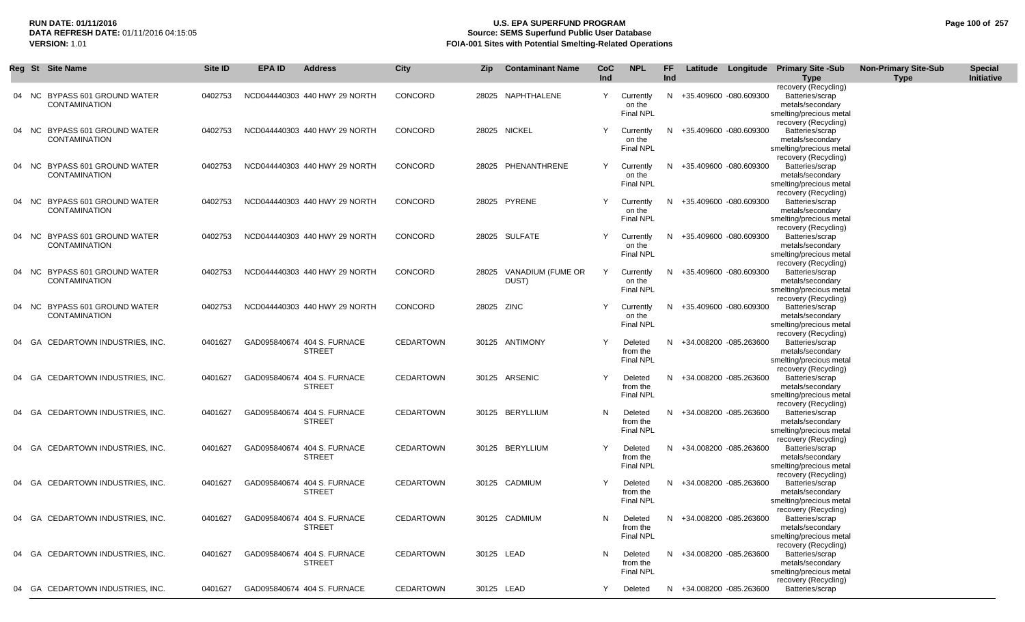## **RUN DATE: 01/11/2016 U.S. EPA SUPERFUND PROGRAM Page 100 of 257 DATA REFRESH DATE:** 01/11/2016 04:15:05 **Source: SEMS Superfund Public User Database**<br>**FOIA-001 Sites with Potential Smelting-Related Operat VERSION:** 1.01 **FOIA-001 Sites with Potential Smelting-Related Operations**

|    | Reg St Site Name |                                                    | Site ID | <b>EPA ID</b> | <b>Address</b>                               | City             | Zip        | <b>Contaminant Name</b> | CoC | <b>NPL</b>                              | FF  |                          | Latitude Longitude Primary Site -Sub                           | <b>Non-Primary Site-Sub</b> | <b>Special</b> |
|----|------------------|----------------------------------------------------|---------|---------------|----------------------------------------------|------------------|------------|-------------------------|-----|-----------------------------------------|-----|--------------------------|----------------------------------------------------------------|-----------------------------|----------------|
|    |                  |                                                    |         |               |                                              |                  |            |                         | Ind |                                         | Ind |                          | <b>Type</b><br>recovery (Recycling)                            | <b>Type</b>                 | Initiative     |
|    | 04 NC            | BYPASS 601 GROUND WATER<br><b>CONTAMINATION</b>    | 0402753 |               | NCD044440303 440 HWY 29 NORTH                | CONCORD          |            | 28025 NAPHTHALENE       | Y   | Currently<br>on the<br><b>Final NPL</b> |     | N +35.409600 -080.609300 | Batteries/scrap<br>metals/secondary<br>smelting/precious metal |                             |                |
|    |                  | NC BYPASS 601 GROUND WATER<br><b>CONTAMINATION</b> | 0402753 |               | NCD044440303 440 HWY 29 NORTH                | CONCORD          |            | 28025 NICKEL            | Y   | Currently<br>on the                     |     | N +35.409600 -080.609300 | recovery (Recycling)<br>Batteries/scrap<br>metals/secondary    |                             |                |
|    |                  |                                                    |         |               |                                              |                  |            |                         |     | <b>Final NPL</b>                        |     |                          | smelting/precious metal<br>recovery (Recycling)                |                             |                |
| 04 | NC.              | BYPASS 601 GROUND WATER                            | 0402753 |               | NCD044440303 440 HWY 29 NORTH                | CONCORD          |            | 28025 PHENANTHRENE      | Y   | Currently                               |     | N +35.409600 -080.609300 | Batteries/scrap                                                |                             |                |
|    |                  | <b>CONTAMINATION</b>                               |         |               |                                              |                  |            |                         |     | on the<br>Final NPL                     |     |                          | metals/secondary<br>smelting/precious metal                    |                             |                |
|    |                  | 04 NC BYPASS 601 GROUND WATER                      | 0402753 |               | NCD044440303 440 HWY 29 NORTH                | CONCORD          |            | 28025 PYRENE            | Y   | Currently                               |     | N +35.409600 -080.609300 | recovery (Recycling)<br>Batteries/scrap                        |                             |                |
|    |                  | <b>CONTAMINATION</b>                               |         |               |                                              |                  |            |                         |     | on the                                  |     |                          | metals/secondary                                               |                             |                |
|    |                  |                                                    |         |               |                                              |                  |            |                         |     | <b>Final NPL</b>                        |     |                          | smelting/precious metal<br>recovery (Recycling)                |                             |                |
| 04 | NC.              | <b>BYPASS 601 GROUND WATER</b>                     | 0402753 |               | NCD044440303 440 HWY 29 NORTH                | CONCORD          |            | 28025 SULFATE           | Y   | Currently                               |     | N +35.409600 -080.609300 | Batteries/scrap                                                |                             |                |
|    |                  | <b>CONTAMINATION</b>                               |         |               |                                              |                  |            |                         |     | on the<br><b>Final NPL</b>              |     |                          | metals/secondary<br>smelting/precious metal                    |                             |                |
|    |                  | 04 NC BYPASS 601 GROUND WATER                      | 0402753 |               | NCD044440303 440 HWY 29 NORTH                | CONCORD          | 28025      | VANADIUM (FUME OR       | Y   | Currently                               |     | N +35.409600 -080.609300 | recovery (Recycling)<br>Batteries/scrap                        |                             |                |
|    |                  | <b>CONTAMINATION</b>                               |         |               |                                              |                  |            | DUST)                   |     | on the                                  |     |                          | metals/secondary                                               |                             |                |
|    |                  |                                                    |         |               |                                              |                  |            |                         |     | <b>Final NPL</b>                        |     |                          | smelting/precious metal<br>recovery (Recycling)                |                             |                |
|    | 04 NC            | BYPASS 601 GROUND WATER                            | 0402753 |               | NCD044440303 440 HWY 29 NORTH                | CONCORD          | 28025 ZINC |                         | Y   | Currently                               |     | N +35.409600 -080.609300 | Batteries/scrap                                                |                             |                |
|    |                  | <b>CONTAMINATION</b>                               |         |               |                                              |                  |            |                         |     | on the<br><b>Final NPL</b>              |     |                          | metals/secondary<br>smelting/precious metal                    |                             |                |
|    |                  | 04 GA CEDARTOWN INDUSTRIES, INC.                   | 0401627 |               | GAD095840674 404 S. FURNACE                  | <b>CEDARTOWN</b> |            | 30125 ANTIMONY          | Y   | Deleted                                 |     | N +34.008200 -085.263600 | recovery (Recycling)<br>Batteries/scrap                        |                             |                |
|    |                  |                                                    |         |               | <b>STREET</b>                                |                  |            |                         |     | from the                                |     |                          | metals/secondary                                               |                             |                |
|    |                  |                                                    |         |               |                                              |                  |            |                         |     | <b>Final NPL</b>                        |     |                          | smelting/precious metal<br>recovery (Recycling)                |                             |                |
|    | 04 GA            | CEDARTOWN INDUSTRIES, INC.                         | 0401627 |               | GAD095840674 404 S. FURNACE                  | CEDARTOWN        |            | 30125 ARSENIC           | Y   | Deleted                                 |     | N +34.008200 -085.263600 | Batteries/scrap                                                |                             |                |
|    |                  |                                                    |         |               | <b>STREET</b>                                |                  |            |                         |     | from the<br>Final NPL                   |     |                          | metals/secondary<br>smelting/precious metal                    |                             |                |
|    | 04 GA            | CEDARTOWN INDUSTRIES, INC.                         | 0401627 |               | GAD095840674 404 S. FURNACE                  | <b>CEDARTOWN</b> |            | 30125 BERYLLIUM         | N   | Deleted                                 |     | N +34.008200 -085.263600 | recovery (Recycling)<br>Batteries/scrap                        |                             |                |
|    |                  |                                                    |         |               | <b>STREET</b>                                |                  |            |                         |     | from the                                |     |                          | metals/secondary                                               |                             |                |
|    |                  |                                                    |         |               |                                              |                  |            |                         |     | <b>Final NPL</b>                        |     |                          | smelting/precious metal<br>recovery (Recycling)                |                             |                |
|    | 04 GA            | CEDARTOWN INDUSTRIES, INC.                         | 0401627 |               | GAD095840674 404 S. FURNACE<br><b>STREET</b> | <b>CEDARTOWN</b> |            | 30125 BERYLLIUM         | Y   | Deleted<br>from the                     |     | N +34.008200 -085.263600 | Batteries/scrap                                                |                             |                |
|    |                  |                                                    |         |               |                                              |                  |            |                         |     | <b>Final NPL</b>                        |     |                          | metals/secondary<br>smelting/precious metal                    |                             |                |
|    | 04 GA            | CEDARTOWN INDUSTRIES, INC.                         | 0401627 |               | GAD095840674 404 S. FURNACE                  | <b>CEDARTOWN</b> |            | 30125 CADMIUM           | Y   | Deleted                                 |     | N +34.008200 -085.263600 | recovery (Recycling)<br>Batteries/scrap                        |                             |                |
|    |                  |                                                    |         |               | <b>STREET</b>                                |                  |            |                         |     | from the                                |     |                          | metals/secondary                                               |                             |                |
|    |                  |                                                    |         |               |                                              |                  |            |                         |     | <b>Final NPL</b>                        |     |                          | smelting/precious metal<br>recovery (Recycling)                |                             |                |
|    | 04 GA            | CEDARTOWN INDUSTRIES, INC.                         | 0401627 |               | GAD095840674 404 S. FURNACE<br><b>STREET</b> | <b>CEDARTOWN</b> |            | 30125 CADMIUM           | N   | Deleted<br>from the                     |     | N +34.008200 -085.263600 | Batteries/scrap<br>metals/secondary                            |                             |                |
|    |                  |                                                    |         |               |                                              |                  |            |                         |     | <b>Final NPL</b>                        |     |                          | smelting/precious metal                                        |                             |                |
|    |                  | 04 GA CEDARTOWN INDUSTRIES, INC.                   | 0401627 |               | GAD095840674 404 S. FURNACE                  | <b>CEDARTOWN</b> | 30125 LEAD |                         | N   | Deleted                                 |     | N +34.008200 -085.263600 | recovery (Recycling)<br>Batteries/scrap                        |                             |                |
|    |                  |                                                    |         |               | <b>STREET</b>                                |                  |            |                         |     | from the                                |     |                          | metals/secondary                                               |                             |                |
|    |                  |                                                    |         |               |                                              |                  |            |                         |     | <b>Final NPL</b>                        |     |                          | smelting/precious metal<br>recovery (Recycling)                |                             |                |
|    | 04 GA            | CEDARTOWN INDUSTRIES. INC.                         | 0401627 |               | GAD095840674 404 S. FURNACE                  | <b>CEDARTOWN</b> | 30125 LEAD |                         | Y   | Deleted                                 |     | N +34.008200 -085.263600 | Batteries/scrap                                                |                             |                |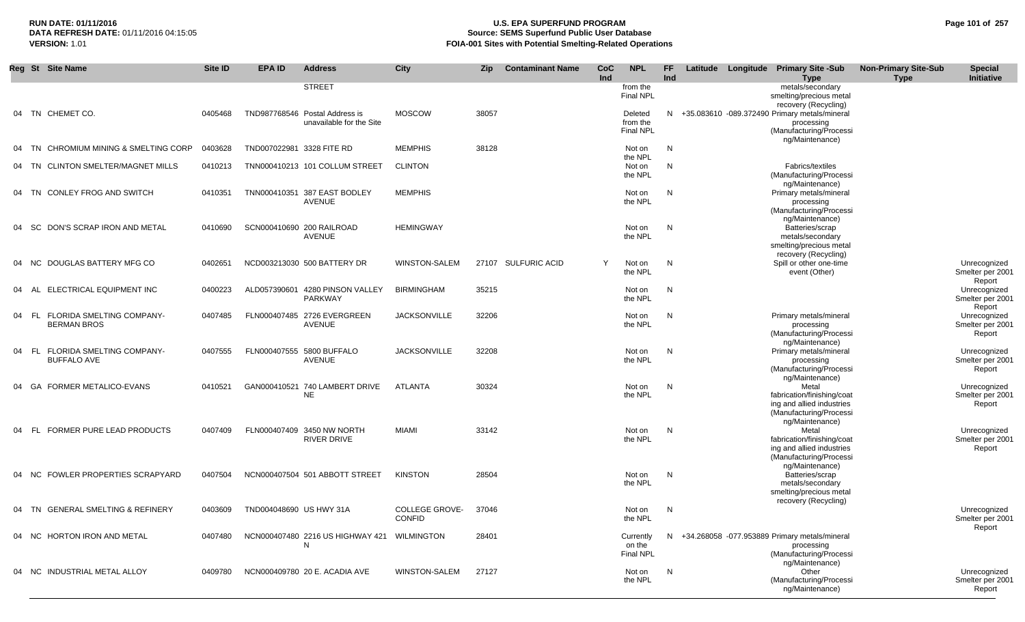## **RUN DATE: 01/11/2016 U.S. EPA SUPERFUND PROGRAM Page 101 of 257 Source: SEMS Superfund Public User Database VERSION:** 1.01 **FOIA-001 Sites with Potential Smelting-Related Operations**

|    | Reg St Site Name                                      | Site ID | <b>EPA ID</b>             | <b>Address</b>                                             | <b>City</b>                            | Zip   | <b>Contaminant Name</b> | <b>CoC</b><br>Ind | <b>NPL</b>                              | FF.<br>Ind |  | Latitude Longitude Primary Site -Sub<br><b>Type</b>                                                            | <b>Non-Primary Site-Sub</b><br><b>Type</b> | <b>Special</b><br>Initiative               |
|----|-------------------------------------------------------|---------|---------------------------|------------------------------------------------------------|----------------------------------------|-------|-------------------------|-------------------|-----------------------------------------|------------|--|----------------------------------------------------------------------------------------------------------------|--------------------------------------------|--------------------------------------------|
|    |                                                       |         |                           | <b>STREET</b>                                              |                                        |       |                         |                   | from the<br><b>Final NPL</b>            |            |  | metals/secondary<br>smelting/precious metal<br>recovery (Recycling)                                            |                                            |                                            |
|    | 04 TN CHEMET CO.                                      | 0405468 |                           | TND987768546 Postal Address is<br>unavailable for the Site | <b>MOSCOW</b>                          | 38057 |                         |                   | Deleted<br>from the<br><b>Final NPL</b> | N.         |  | +35.083610 -089.372490 Primary metals/mineral<br>processing<br>(Manufacturing/Processi<br>ng/Maintenance)      |                                            |                                            |
| 04 | CHROMIUM MINING & SMELTING CORP<br>- TN               | 0403628 | TND007022981 3328 FITE RD |                                                            | <b>MEMPHIS</b>                         | 38128 |                         |                   | Not on<br>the NPL                       | N          |  |                                                                                                                |                                            |                                            |
| 04 | <b>CLINTON SMELTER/MAGNET MILLS</b><br>TN.            | 0410213 |                           | TNN000410213 101 COLLUM STREET                             | <b>CLINTON</b>                         |       |                         |                   | Not on<br>the NPL                       | N          |  | Fabrics/textiles<br>(Manufacturing/Processi<br>ng/Maintenance)                                                 |                                            |                                            |
|    | 04 TN CONLEY FROG AND SWITCH                          | 0410351 |                           | TNN000410351 387 EAST BODLEY<br>AVENUE                     | <b>MEMPHIS</b>                         |       |                         |                   | Not on<br>the NPL                       | N          |  | Primary metals/mineral<br>processing<br>(Manufacturing/Processi<br>ng/Maintenance)                             |                                            |                                            |
| 04 | DON'S SCRAP IRON AND METAL<br>- SC                    | 0410690 |                           | SCN000410690 200 RAILROAD<br>AVENUE                        | <b>HEMINGWAY</b>                       |       |                         |                   | Not on<br>the NPL                       | N          |  | Batteries/scrap<br>metals/secondary<br>smelting/precious metal<br>recovery (Recycling)                         |                                            |                                            |
|    | DOUGLAS BATTERY MFG CO<br>04 NC                       | 0402651 |                           | NCD003213030 500 BATTERY DR                                | WINSTON-SALEM                          |       | 27107 SULFURIC ACID     | Y                 | Not on<br>the NPL                       | N          |  | Spill or other one-time<br>event (Other)                                                                       |                                            | Unrecognized<br>Smelter per 2001<br>Report |
| 04 | ELECTRICAL EQUIPMENT INC<br>- AL                      | 0400223 |                           | ALD057390601 4280 PINSON VALLEY<br>PARKWAY                 | BIRMINGHAM                             | 35215 |                         |                   | Not on<br>the NPL                       | N          |  |                                                                                                                |                                            | Unrecognized<br>Smelter per 2001<br>Report |
|    | 04 FL FLORIDA SMELTING COMPANY-<br><b>BERMAN BROS</b> | 0407485 |                           | FLN000407485 2726 EVERGREEN<br><b>AVENUE</b>               | <b>JACKSONVILLE</b>                    | 32206 |                         |                   | Not on<br>the NPL                       | N          |  | Primary metals/mineral<br>processing<br>(Manufacturing/Processi<br>ng/Maintenance)                             |                                            | Unrecognized<br>Smelter per 2001<br>Report |
| 04 | FL FLORIDA SMELTING COMPANY-<br><b>BUFFALO AVE</b>    | 0407555 |                           | FLN000407555 5800 BUFFALO<br>AVENUE                        | <b>JACKSONVILLE</b>                    | 32208 |                         |                   | Not on<br>the NPL                       | N          |  | Primary metals/mineral<br>processing<br>(Manufacturing/Processi<br>ng/Maintenance)                             |                                            | Unrecognized<br>Smelter per 2001<br>Report |
|    | FORMER METALICO-EVANS<br>04 GA                        | 0410521 |                           | GAN000410521 740 LAMBERT DRIVE<br><b>NE</b>                | ATLANTA                                | 30324 |                         |                   | Not on<br>the NPL                       | N          |  | Metal<br>fabrication/finishing/coat<br>ing and allied industries<br>(Manufacturing/Processi<br>ng/Maintenance) |                                            | Unrecognized<br>Smelter per 2001<br>Report |
| 04 | FORMER PURE LEAD PRODUCTS<br>- FL                     | 0407409 |                           | FLN000407409 3450 NW NORTH<br>RIVER DRIVE                  | MIAMI                                  | 33142 |                         |                   | Not on<br>the NPL                       | N          |  | Metal<br>fabrication/finishing/coat<br>ing and allied industries<br>(Manufacturing/Processi<br>ng/Maintenance) |                                            | Unrecognized<br>Smelter per 2001<br>Report |
|    | FOWLER PROPERTIES SCRAPYARD<br>04 NC                  | 0407504 |                           | NCN000407504 501 ABBOTT STREET                             | <b>KINSTON</b>                         | 28504 |                         |                   | Not on<br>the NPL                       | N          |  | Batteries/scrap<br>metals/secondary<br>smelting/precious metal<br>recovery (Recycling)                         |                                            |                                            |
|    | 04 TN GENERAL SMELTING & REFINERY                     | 0403609 | TND004048690 US HWY 31A   |                                                            | <b>COLLEGE GROVE-</b><br><b>CONFID</b> | 37046 |                         |                   | Not on<br>the NPL                       | N          |  |                                                                                                                |                                            | Unrecognized<br>Smelter per 2001<br>Report |
|    | 04 NC HORTON IRON AND METAL                           | 0407480 |                           | NCN000407480 2216 US HIGHWAY 421 WILMINGTON<br>N           |                                        | 28401 |                         |                   | Currently<br>on the<br><b>Final NPL</b> |            |  | N +34.268058 -077.953889 Primary metals/mineral<br>processing<br>(Manufacturing/Processi<br>ng/Maintenance)    |                                            |                                            |
|    | 04 NC INDUSTRIAL METAL ALLOY                          | 0409780 |                           | NCN000409780 20 E. ACADIA AVE                              | WINSTON-SALEM                          | 27127 |                         |                   | Not on<br>the NPL                       | N          |  | Other<br>(Manufacturing/Processi<br>ng/Maintenance)                                                            |                                            | Unrecognized<br>Smelter per 2001<br>Report |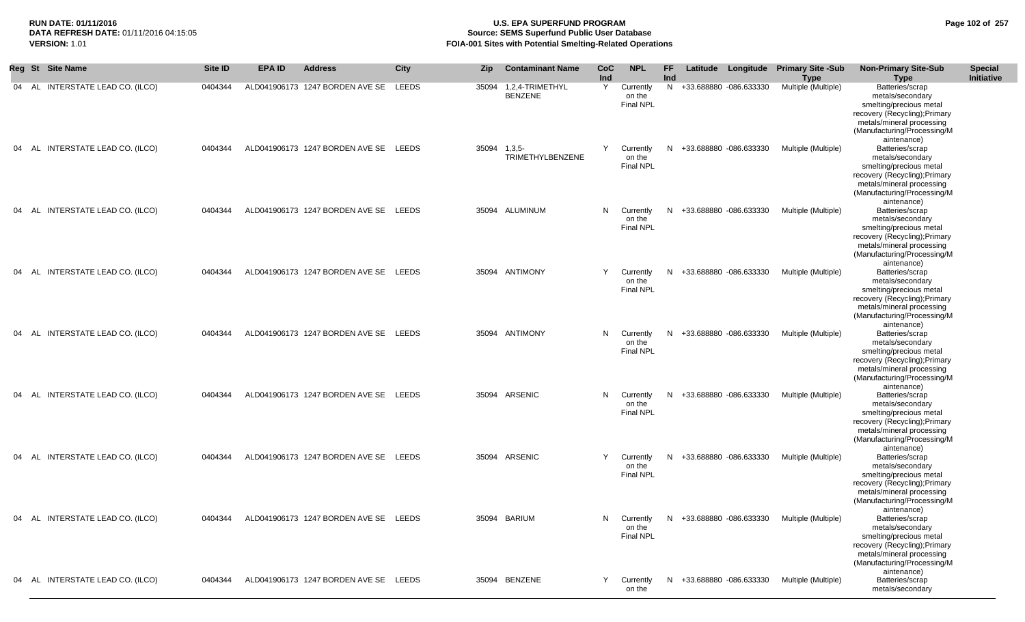## **RUN DATE: 01/11/2016 U.S. EPA SUPERFUND PROGRAM Page 102 of 257** DATA REFRESH DATE: 01/11/2016 04:15:05<br>**VERSION: 1.01** Source: SEMS Superfund Public User Database<br>FOIA-001 Sites with Potential Smelting-Related Operat **FOIA-001 Sites with Potential Smelting-Related Operations**

|       | Reg St Site Name                 | Site ID | <b>EPA ID</b> | <b>Address</b>                        | City  | Zip          | <b>Contaminant Name</b>                 | CoC<br>Ind | <b>NPL</b>                              | <b>FF</b><br>Ind |                          | Latitude Longitude Primary Site -Sub<br><b>Type</b> | <b>Non-Primary Site-Sub</b><br><b>Type</b>                                                                                                                                 | <b>Special</b><br>Initiative |
|-------|----------------------------------|---------|---------------|---------------------------------------|-------|--------------|-----------------------------------------|------------|-----------------------------------------|------------------|--------------------------|-----------------------------------------------------|----------------------------------------------------------------------------------------------------------------------------------------------------------------------------|------------------------------|
|       | 04 AL INTERSTATE LEAD CO. (ILCO) | 0404344 |               | ALD041906173 1247 BORDEN AVE SE LEEDS |       |              | 35094 1,2,4-TRIMETHYL<br><b>BENZENE</b> | Y          | Currently<br>on the<br><b>Final NPL</b> |                  | N +33.688880 -086.633330 | Multiple (Multiple)                                 | Batteries/scrap<br>metals/secondary<br>smelting/precious metal<br>recovery (Recycling); Primary<br>metals/mineral processing<br>(Manufacturing/Processing/M<br>aintenance) |                              |
| 04 AL | INTERSTATE LEAD CO. (ILCO)       | 0404344 |               | ALD041906173 1247 BORDEN AVE SE LEEDS |       | 35094 1,3,5- | TRIMETHYLBENZENE                        | Y          | Currently<br>on the<br><b>Final NPL</b> |                  | N +33.688880 -086.633330 | Multiple (Multiple)                                 | Batteries/scrap<br>metals/secondary<br>smelting/precious metal<br>recovery (Recycling); Primary<br>metals/mineral processing<br>(Manufacturing/Processing/M<br>aintenance) |                              |
| 04 AL | INTERSTATE LEAD CO. (ILCO)       | 0404344 |               | ALD041906173 1247 BORDEN AVE SE       | LEEDS |              | 35094 ALUMINUM                          | N.         | Currently<br>on the<br>Final NPL        | N.               | +33.688880 -086.633330   | Multiple (Multiple)                                 | Batteries/scrap<br>metals/secondary<br>smelting/precious metal<br>recovery (Recycling); Primary<br>metals/mineral processing<br>(Manufacturing/Processing/M<br>aintenance) |                              |
|       | 04 AL INTERSTATE LEAD CO. (ILCO) | 0404344 |               | ALD041906173 1247 BORDEN AVE SE LEEDS |       |              | 35094 ANTIMONY                          | Y          | Currently<br>on the<br><b>Final NPL</b> | N                | +33.688880 -086.633330   | Multiple (Multiple)                                 | Batteries/scrap<br>metals/secondary<br>smelting/precious metal<br>recovery (Recycling); Primary<br>metals/mineral processing<br>(Manufacturing/Processing/M<br>aintenance) |                              |
| 04 AL | INTERSTATE LEAD CO. (ILCO)       | 0404344 |               | ALD041906173 1247 BORDEN AVE SE LEEDS |       |              | 35094 ANTIMONY                          | N.         | Currently<br>on the<br>Final NPL        |                  | N +33.688880 -086.633330 | Multiple (Multiple)                                 | Batteries/scrap<br>metals/secondary<br>smelting/precious metal<br>recovery (Recycling); Primary<br>metals/mineral processing<br>(Manufacturing/Processing/M<br>aintenance) |                              |
|       | 04 AL INTERSTATE LEAD CO. (ILCO) | 0404344 |               | ALD041906173 1247 BORDEN AVE SE LEEDS |       |              | 35094 ARSENIC                           | N.         | Currently<br>on the<br><b>Final NPL</b> | N                | +33.688880 -086.633330   | Multiple (Multiple)                                 | Batteries/scrap<br>metals/secondary<br>smelting/precious metal<br>recovery (Recycling); Primary<br>metals/mineral processing<br>(Manufacturing/Processing/M<br>aintenance) |                              |
| 04 AL | INTERSTATE LEAD CO. (ILCO)       | 0404344 |               | ALD041906173 1247 BORDEN AVE SE       | LEEDS |              | 35094 ARSENIC                           | Y          | Currently<br>on the<br><b>Final NPL</b> | N                | +33.688880 -086.633330   | Multiple (Multiple)                                 | Batteries/scrap<br>metals/secondary<br>smelting/precious metal<br>recovery (Recycling); Primary<br>metals/mineral processing<br>(Manufacturing/Processing/M<br>aintenance) |                              |
|       | 04 AL INTERSTATE LEAD CO. (ILCO) | 0404344 |               | ALD041906173 1247 BORDEN AVE SE       | LEEDS |              | 35094 BARIUM                            | N.         | Currently<br>on the<br><b>Final NPL</b> |                  | N +33.688880 -086.633330 | Multiple (Multiple)                                 | Batteries/scrap<br>metals/secondary<br>smelting/precious metal<br>recovery (Recycling); Primary<br>metals/mineral processing<br>(Manufacturing/Processing/M<br>aintenance) |                              |
|       | 04 AL INTERSTATE LEAD CO. (ILCO) | 0404344 |               | ALD041906173 1247 BORDEN AVE SE LEEDS |       |              | 35094 BENZENE                           | Y          | Currently<br>on the                     | N                | +33.688880 -086.633330   | Multiple (Multiple)                                 | Batteries/scrap<br>metals/secondary                                                                                                                                        |                              |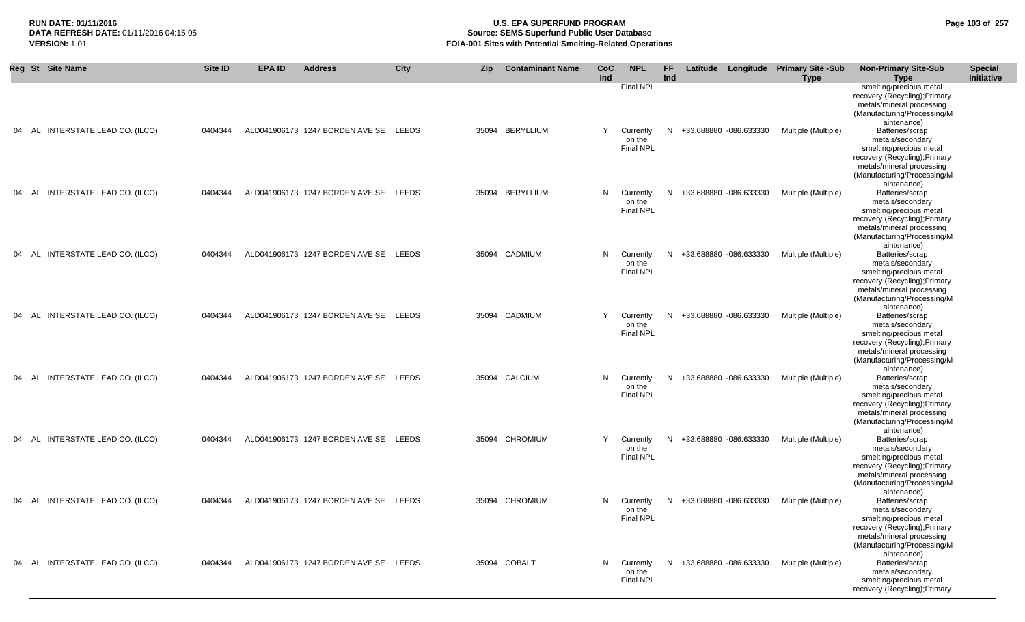### **RUN DATE: 01/11/2016 U.S. EPA SUPERFUND PROGRAM Page 103 of 257 Source: SEMS Superfund Public User Database VERSION:** 1.01 **FOIA-001 Sites with Potential Smelting-Related Operations**

|    |       | Reg St Site Name           | Site ID | <b>EPA ID</b> | <b>Address</b>                        | City  | <b>Zip</b> | <b>Contaminant Name</b> | CoC<br>Ind | <b>NPL</b>                              | <b>FF</b><br>Ind |                        | Latitude Longitude Primary Site -Sub<br><b>Type</b> | <b>Non-Primary Site-Sub</b><br><b>Type</b>                                                                                                                                 | <b>Special</b><br><b>Initiative</b> |
|----|-------|----------------------------|---------|---------------|---------------------------------------|-------|------------|-------------------------|------------|-----------------------------------------|------------------|------------------------|-----------------------------------------------------|----------------------------------------------------------------------------------------------------------------------------------------------------------------------------|-------------------------------------|
|    |       |                            |         |               |                                       |       |            |                         |            | Final NPL                               |                  |                        |                                                     | smelting/precious metal<br>recovery (Recycling); Primary<br>metals/mineral processing<br>(Manufacturing/Processing/M<br>aintenance)                                        |                                     |
| 04 | - AL  | INTERSTATE LEAD CO. (ILCO) | 0404344 |               | ALD041906173 1247 BORDEN AVE SE       | LEEDS |            | 35094 BERYLLIUM         | Y          | Currently<br>on the<br>Final NPL        | N                | +33.688880 -086.633330 | Multiple (Multiple)                                 | Batteries/scrap<br>metals/secondary<br>smelting/precious metal<br>recovery (Recycling); Primary<br>metals/mineral processing<br>(Manufacturing/Processing/M                |                                     |
| 04 | AL    | INTERSTATE LEAD CO. (ILCO) | 0404344 |               | ALD041906173 1247 BORDEN AVE SE       | LEEDS |            | 35094 BERYLLIUM         | N.         | Currently<br>on the<br><b>Final NPL</b> | N                | +33.688880 -086.633330 | Multiple (Multiple)                                 | aintenance)<br>Batteries/scrap<br>metals/secondary<br>smelting/precious metal<br>recovery (Recycling); Primary<br>metals/mineral processing<br>(Manufacturing/Processing/M |                                     |
| 04 | AL    | INTERSTATE LEAD CO. (ILCO) | 0404344 |               | ALD041906173 1247 BORDEN AVE SE LEEDS |       |            | 35094 CADMIUM           | N.         | Currently<br>on the<br><b>Final NPL</b> | N                | +33.688880 -086.633330 | Multiple (Multiple)                                 | aintenance)<br>Batteries/scrap<br>metals/secondary<br>smelting/precious metal<br>recovery (Recycling); Primary<br>metals/mineral processing<br>(Manufacturing/Processing/M |                                     |
| 04 | - AL  | INTERSTATE LEAD CO. (ILCO) | 0404344 |               | ALD041906173 1247 BORDEN AVE SE       | LEEDS | 35094      | CADMIUM                 | Y          | Currently<br>on the<br><b>Final NPL</b> | N.               | +33.688880 -086.633330 | Multiple (Multiple)                                 | aintenance)<br>Batteries/scrap<br>metals/secondary<br>smelting/precious metal<br>recovery (Recycling); Primary<br>metals/mineral processing<br>(Manufacturing/Processing/M |                                     |
| 04 | AL    | INTERSTATE LEAD CO. (ILCO) | 0404344 |               | ALD041906173 1247 BORDEN AVE SE LEEDS |       |            | 35094 CALCIUM           | N          | Currently<br>on the<br><b>Final NPL</b> | N                | +33.688880 -086.633330 | Multiple (Multiple)                                 | aintenance)<br>Batteries/scrap<br>metals/secondary<br>smelting/precious metal<br>recovery (Recycling); Primary<br>metals/mineral processing<br>(Manufacturing/Processing/M |                                     |
|    | 04 AL | INTERSTATE LEAD CO. (ILCO) | 0404344 |               | ALD041906173 1247 BORDEN AVE SE LEEDS |       |            | 35094 CHROMIUM          | Y          | Currently<br>on the<br><b>Final NPL</b> | N                | +33.688880 -086.633330 | Multiple (Multiple)                                 | aintenance)<br>Batteries/scrap<br>metals/secondary<br>smelting/precious metal<br>recovery (Recycling); Primary<br>metals/mineral processing<br>(Manufacturing/Processing/M |                                     |
|    | - AL  | INTERSTATE LEAD CO. (ILCO) | 0404344 |               | ALD041906173 1247 BORDEN AVE SE       | LEEDS |            | 35094 CHROMIUM          | N.         | Currently<br>on the<br><b>Final NPL</b> | N.               | +33.688880 -086.633330 | Multiple (Multiple)                                 | aintenance)<br>Batteries/scrap<br>metals/secondary<br>smelting/precious metal<br>recovery (Recycling); Primary<br>metals/mineral processing<br>(Manufacturing/Processing/M |                                     |
| 04 | AL    | INTERSTATE LEAD CO. (ILCO) | 0404344 |               | ALD041906173 1247 BORDEN AVE SE LEEDS |       |            | 35094 COBALT            | N          | Currently<br>on the<br><b>Final NPL</b> | N                | +33.688880 -086.633330 | Multiple (Multiple)                                 | aintenance)<br>Batteries/scrap<br>metals/secondary<br>smelting/precious metal<br>recovery (Recycling); Primary                                                             |                                     |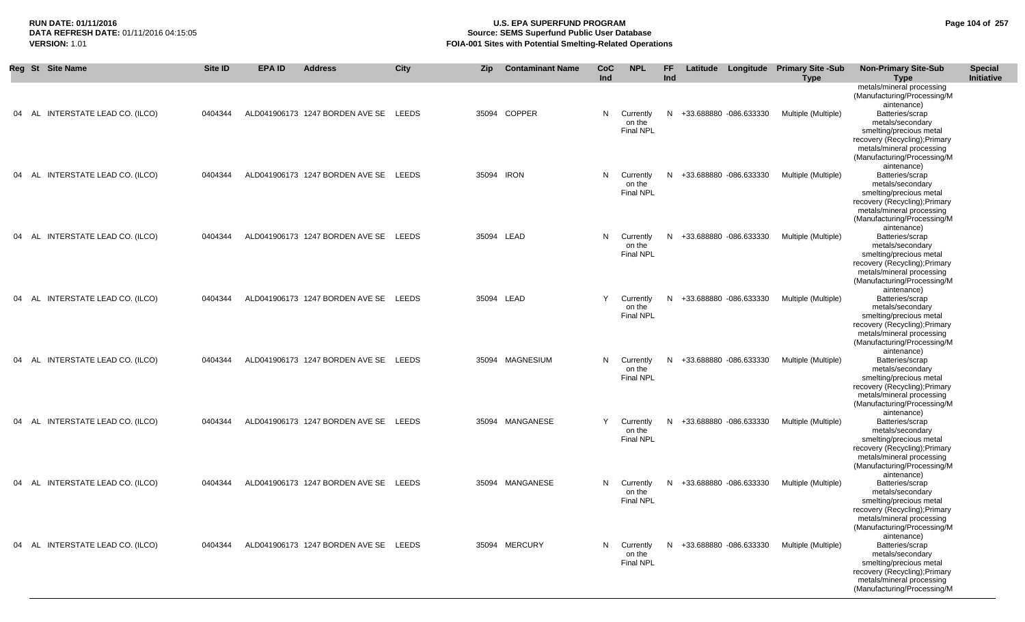|           | Reg St Site Name                 | Site ID | EPA ID | <b>Address</b>                        | City  | <b>Zip</b> | <b>Contaminant Name</b> | CoC<br>Ind | <b>NPL</b>                              | FF.<br>Ind |                          | Latitude Longitude Primary Site -Sub<br><b>Type</b> | <b>Non-Primary Site-Sub</b><br><b>Type</b>                                                                                                                                                                | <b>Special</b><br>Initiative |
|-----------|----------------------------------|---------|--------|---------------------------------------|-------|------------|-------------------------|------------|-----------------------------------------|------------|--------------------------|-----------------------------------------------------|-----------------------------------------------------------------------------------------------------------------------------------------------------------------------------------------------------------|------------------------------|
| AL<br>04  | INTERSTATE LEAD CO. (ILCO)       | 0404344 |        | ALD041906173 1247 BORDEN AVE SE       | LEEDS |            | 35094 COPPER            | N.         | Currently<br>on the<br>Final NPL        | N          | +33.688880 -086.633330   | Multiple (Multiple)                                 | metals/mineral processing<br>(Manufacturing/Processing/M<br>aintenance)<br>Batteries/scrap<br>metals/secondary<br>smelting/precious metal<br>recovery (Recycling); Primary<br>metals/mineral processing   |                              |
|           | 04 AL INTERSTATE LEAD CO. (ILCO) | 0404344 |        | ALD041906173 1247 BORDEN AVE SE LEEDS |       |            | 35094 IRON              | N          | Currently<br>on the<br>Final NPL        |            | N +33.688880 -086.633330 | Multiple (Multiple)                                 | (Manufacturing/Processing/M<br>aintenance)<br>Batteries/scrap<br>metals/secondary<br>smelting/precious metal<br>recovery (Recycling); Primary<br>metals/mineral processing<br>(Manufacturing/Processing/M |                              |
|           | 04 AL INTERSTATE LEAD CO. (ILCO) | 0404344 |        | ALD041906173 1247 BORDEN AVE SE LEEDS |       |            | 35094 LEAD              | N.         | Currently<br>on the<br><b>Final NPL</b> |            | N +33.688880 -086.633330 | Multiple (Multiple)                                 | aintenance)<br>Batteries/scrap<br>metals/secondary<br>smelting/precious metal<br>recovery (Recycling); Primary<br>metals/mineral processing<br>(Manufacturing/Processing/M                                |                              |
| AL<br>04  | INTERSTATE LEAD CO. (ILCO)       | 0404344 |        | ALD041906173 1247 BORDEN AVE SE LEEDS |       |            | 35094 LEAD              | Y          | Currently<br>on the<br><b>Final NPL</b> | N          | +33.688880 -086.633330   | Multiple (Multiple)                                 | aintenance)<br>Batteries/scrap<br>metals/secondary<br>smelting/precious metal<br>recovery (Recycling); Primary<br>metals/mineral processing<br>(Manufacturing/Processing/M                                |                              |
|           | 04 AL INTERSTATE LEAD CO. (ILCO) | 0404344 |        | ALD041906173 1247 BORDEN AVE SE LEEDS |       |            | 35094 MAGNESIUM         | N.         | Currently<br>on the<br><b>Final NPL</b> |            | N +33.688880 -086.633330 | Multiple (Multiple)                                 | aintenance)<br>Batteries/scrap<br>metals/secondary<br>smelting/precious metal<br>recovery (Recycling); Primary<br>metals/mineral processing<br>(Manufacturing/Processing/M                                |                              |
|           | 04 AL INTERSTATE LEAD CO. (ILCO) | 0404344 |        | ALD041906173 1247 BORDEN AVE SE LEEDS |       |            | 35094 MANGANESE         | Y          | Currently<br>on the<br><b>Final NPL</b> | N.         | +33.688880 -086.633330   | Multiple (Multiple)                                 | aintenance)<br>Batteries/scrap<br>metals/secondary<br>smelting/precious metal<br>recovery (Recycling); Primary<br>metals/mineral processing<br>(Manufacturing/Processing/M                                |                              |
| 04<br>AL. | INTERSTATE LEAD CO. (ILCO)       | 0404344 |        | ALD041906173 1247 BORDEN AVE SE       | LEEDS |            | 35094 MANGANESE         | N.         | Currently<br>on the<br><b>Final NPL</b> | N.         | +33.688880 -086.633330   | Multiple (Multiple)                                 | aintenance)<br>Batteries/scrap<br>metals/secondary<br>smelting/precious metal<br>recovery (Recycling); Primary<br>metals/mineral processing<br>(Manufacturing/Processing/M                                |                              |
|           | 04 AL INTERSTATE LEAD CO. (ILCO) | 0404344 |        | ALD041906173 1247 BORDEN AVE SE LEEDS |       |            | 35094 MERCURY           | N.         | Currently<br>on the<br>Final NPL        |            | N +33.688880 -086.633330 | Multiple (Multiple)                                 | aintenance)<br>Batteries/scrap<br>metals/secondary<br>smelting/precious metal<br>recovery (Recycling); Primary<br>metals/mineral processing<br>(Manufacturing/Processing/M                                |                              |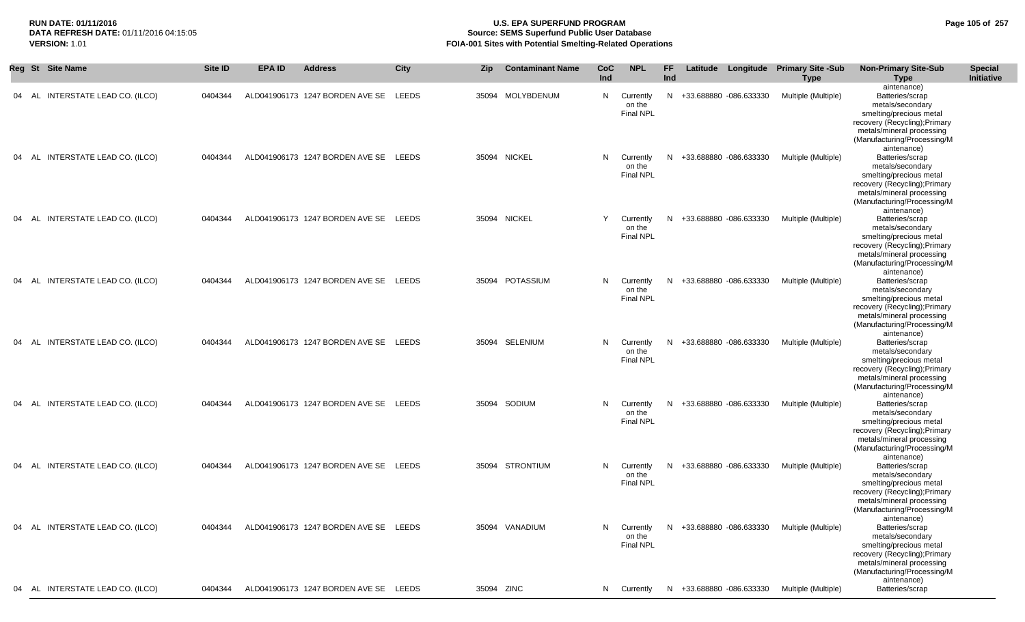## **RUN DATE: 01/11/2016 U.S. EPA SUPERFUND PROGRAM Page 105 of 257 Source: SEMS Superfund Public User Database VERSION:** 1.01 **FOIA-001 Sites with Potential Smelting-Related Operations**

|  | Reg St Site Name                 | <b>Site ID</b> | <b>EPA ID</b> | <b>Address</b>                        | City  | <b>Zip</b> | <b>Contaminant Name</b> | <b>CoC</b><br>Ind | <b>NPL</b>                              | <b>FF</b><br>Ind |                          | Latitude Longitude Primary Site -Sub<br><b>Type</b> | <b>Non-Primary Site-Sub</b><br><b>Type</b>                                                                                                                                                | <b>Special</b><br>Initiative |
|--|----------------------------------|----------------|---------------|---------------------------------------|-------|------------|-------------------------|-------------------|-----------------------------------------|------------------|--------------------------|-----------------------------------------------------|-------------------------------------------------------------------------------------------------------------------------------------------------------------------------------------------|------------------------------|
|  | 04 AL INTERSTATE LEAD CO. (ILCO) | 0404344        |               | ALD041906173 1247 BORDEN AVE SE       | LEEDS | 35094      | MOLYBDENUM              | N                 | Currently<br>on the<br><b>Final NPL</b> |                  | N +33.688880 -086.633330 | Multiple (Multiple)                                 | aintenance)<br>Batteries/scrap<br>metals/secondary<br>smelting/precious metal<br>recovery (Recycling); Primary<br>metals/mineral processing<br>(Manufacturing/Processing/M<br>aintenance) |                              |
|  | 04 AL INTERSTATE LEAD CO. (ILCO) | 0404344        |               | ALD041906173 1247 BORDEN AVE SE LEEDS |       |            | 35094 NICKEL            | N                 | Currently<br>on the<br>Final NPL        |                  | N +33.688880 -086.633330 | Multiple (Multiple)                                 | Batteries/scrap<br>metals/secondary<br>smelting/precious metal<br>recovery (Recycling); Primary<br>metals/mineral processing<br>(Manufacturing/Processing/M<br>aintenance)                |                              |
|  | 04 AL INTERSTATE LEAD CO. (ILCO) | 0404344        |               | ALD041906173 1247 BORDEN AVE SE LEEDS |       |            | 35094 NICKEL            | Y                 | Currently<br>on the<br><b>Final NPL</b> |                  | N +33.688880 -086.633330 | Multiple (Multiple)                                 | Batteries/scrap<br>metals/secondary<br>smelting/precious metal<br>recovery (Recycling); Primary<br>metals/mineral processing<br>(Manufacturing/Processing/M<br>aintenance)                |                              |
|  | 04 AL INTERSTATE LEAD CO. (ILCO) | 0404344        |               | ALD041906173 1247 BORDEN AVE SE LEEDS |       | 35094      | <b>POTASSIUM</b>        | N                 | Currently<br>on the<br><b>Final NPL</b> |                  | N +33.688880 -086.633330 | Multiple (Multiple)                                 | Batteries/scrap<br>metals/secondary<br>smelting/precious metal<br>recovery (Recycling); Primary<br>metals/mineral processing<br>(Manufacturing/Processing/M<br>aintenance)                |                              |
|  | 04 AL INTERSTATE LEAD CO. (ILCO) | 0404344        |               | ALD041906173 1247 BORDEN AVE SE LEEDS |       | 35094      | SELENIUM                | N                 | Currently<br>on the<br>Final NPL        |                  | N +33.688880 -086.633330 | Multiple (Multiple)                                 | Batteries/scrap<br>metals/secondary<br>smelting/precious metal<br>recovery (Recycling); Primary<br>metals/mineral processing<br>(Manufacturing/Processing/M<br>aintenance)                |                              |
|  | 04 AL INTERSTATE LEAD CO. (ILCO) | 0404344        |               | ALD041906173 1247 BORDEN AVE SE       | LEEDS | 35094      | SODIUM                  | N                 | Currently<br>on the<br><b>Final NPL</b> |                  | N +33.688880 -086.633330 | Multiple (Multiple)                                 | Batteries/scrap<br>metals/secondary<br>smelting/precious metal<br>recovery (Recycling); Primary<br>metals/mineral processing<br>(Manufacturing/Processing/M<br>aintenance)                |                              |
|  | 04 AL INTERSTATE LEAD CO. (ILCO) | 0404344        |               | ALD041906173 1247 BORDEN AVE SE LEEDS |       | 35094      | STRONTIUM               | N                 | Currently<br>on the<br>Final NPL        |                  | N +33.688880 -086.633330 | Multiple (Multiple)                                 | Batteries/scrap<br>metals/secondary<br>smelting/precious metal<br>recovery (Recycling); Primary<br>metals/mineral processing<br>(Manufacturing/Processing/M<br>aintenance)                |                              |
|  | 04 AL INTERSTATE LEAD CO. (ILCO) | 0404344        |               | ALD041906173 1247 BORDEN AVE SE LEEDS |       |            | 35094 VANADIUM          | N                 | Currently<br>on the<br><b>Final NPL</b> |                  | N +33.688880 -086.633330 | Multiple (Multiple)                                 | Batteries/scrap<br>metals/secondary<br>smelting/precious metal<br>recovery (Recycling); Primary<br>metals/mineral processing<br>(Manufacturing/Processing/M<br>aintenance)                |                              |
|  | 04 AL INTERSTATE LEAD CO. (ILCO) | 0404344        |               | ALD041906173 1247 BORDEN AVE SE LEEDS |       |            | 35094 ZINC              |                   | N Currently                             |                  | N +33.688880 -086.633330 | Multiple (Multiple)                                 | Batteries/scrap                                                                                                                                                                           |                              |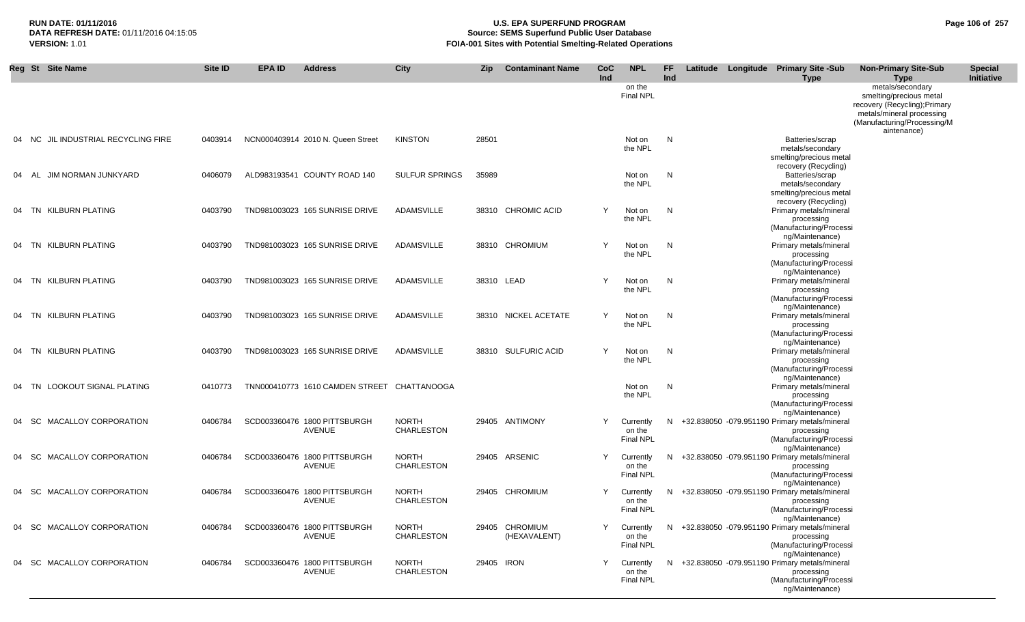## **RUN DATE: 01/11/2016 U.S. EPA SUPERFUND PROGRAM Page 106 of 257 Source: SEMS Superfund Public User Database VERSION:** 1.01 **FOIA-001 Sites with Potential Smelting-Related Operations**

| Reg St Site Name                       | Site ID | EPA ID | <b>Address</b>                              | City                              | <b>Zip</b> | <b>Contaminant Name</b>        | <b>CoC</b><br>Ind | <b>NPL</b>                              | <b>FF</b><br>Ind |  | Latitude Longitude Primary Site -Sub<br><b>Type</b>                                                                            | <b>Non-Primary Site-Sub</b><br><b>Type</b>                                                                                                              | <b>Special</b><br>Initiative |
|----------------------------------------|---------|--------|---------------------------------------------|-----------------------------------|------------|--------------------------------|-------------------|-----------------------------------------|------------------|--|--------------------------------------------------------------------------------------------------------------------------------|---------------------------------------------------------------------------------------------------------------------------------------------------------|------------------------------|
|                                        |         |        |                                             |                                   |            |                                |                   | on the<br><b>Final NPL</b>              |                  |  |                                                                                                                                | metals/secondary<br>smelting/precious metal<br>recovery (Recycling); Primary<br>metals/mineral processing<br>(Manufacturing/Processing/M<br>aintenance) |                              |
| JIL INDUSTRIAL RECYCLING FIRE<br>04 NC | 0403914 |        | NCN000403914 2010 N. Queen Street           | <b>KINSTON</b>                    | 28501      |                                |                   | Not on<br>the NPL                       | N                |  | Batteries/scrap<br>metals/secondary<br>smelting/precious metal<br>recovery (Recycling)                                         |                                                                                                                                                         |                              |
| JIM NORMAN JUNKYARD<br>04 AL           | 0406079 |        | ALD983193541 COUNTY ROAD 140                | <b>SULFUR SPRINGS</b>             | 35989      |                                |                   | Not on<br>the NPL                       | N                |  | Batteries/scrap<br>metals/secondary<br>smelting/precious metal<br>recovery (Recycling)                                         |                                                                                                                                                         |                              |
| 04 TN KILBURN PLATING                  | 0403790 |        | TND981003023 165 SUNRISE DRIVE              | ADAMSVILLE                        |            | 38310 CHROMIC ACID             | Y                 | Not on<br>the NPL                       | N                |  | Primary metals/mineral<br>processing<br>(Manufacturing/Processi                                                                |                                                                                                                                                         |                              |
| 04 TN KILBURN PLATING                  | 0403790 |        | TND981003023 165 SUNRISE DRIVE              | ADAMSVILLE                        |            | 38310 CHROMIUM                 | Y                 | Not on<br>the NPL                       | N                |  | ng/Maintenance)<br>Primary metals/mineral<br>processing<br>(Manufacturing/Processi                                             |                                                                                                                                                         |                              |
| 04 TN KILBURN PLATING                  | 0403790 |        | TND981003023 165 SUNRISE DRIVE              | <b>ADAMSVILLE</b>                 |            | 38310 LEAD                     | Υ                 | Not on<br>the NPL                       | N,               |  | ng/Maintenance)<br>Primary metals/mineral<br>processing<br>(Manufacturing/Processi                                             |                                                                                                                                                         |                              |
| 04 TN KILBURN PLATING                  | 0403790 |        | TND981003023 165 SUNRISE DRIVE              | ADAMSVILLE                        |            | 38310 NICKEL ACETATE           | Y                 | Not on<br>the NPL                       | N,               |  | ng/Maintenance)<br>Primary metals/mineral<br>processing<br>(Manufacturing/Processi                                             |                                                                                                                                                         |                              |
| 04 TN KILBURN PLATING                  | 0403790 |        | TND981003023 165 SUNRISE DRIVE              | ADAMSVILLE                        |            | 38310 SULFURIC ACID            | Y                 | Not on<br>the NPL                       | N                |  | ng/Maintenance)<br>Primary metals/mineral<br>processing<br>(Manufacturing/Processi                                             |                                                                                                                                                         |                              |
| 04 TN LOOKOUT SIGNAL PLATING           | 0410773 |        | TNN000410773 1610 CAMDEN STREET CHATTANOOGA |                                   |            |                                |                   | Not on<br>the NPL                       | N.               |  | ng/Maintenance)<br>Primary metals/mineral<br>processing<br>(Manufacturing/Processi                                             |                                                                                                                                                         |                              |
| MACALLOY CORPORATION<br>04 SC          | 0406784 |        | SCD003360476 1800 PITTSBURGH<br>AVENUE      | <b>NORTH</b><br><b>CHARLESTON</b> |            | 29405 ANTIMONY                 | Y                 | Currently<br>on the<br><b>Final NPL</b> | N.               |  | ng/Maintenance)<br>+32.838050 -079.951190 Primary metals/mineral<br>processing<br>(Manufacturing/Processi                      |                                                                                                                                                         |                              |
| MACALLOY CORPORATION<br>04 SC          | 0406784 |        | SCD003360476 1800 PITTSBURGH<br>AVENUE      | <b>NORTH</b><br><b>CHARLESTON</b> |            | 29405 ARSENIC                  | Υ                 | Currently<br>on the<br><b>Final NPL</b> | N.               |  | ng/Maintenance)<br>+32.838050 -079.951190 Primary metals/mineral<br>processing<br>(Manufacturing/Processi                      |                                                                                                                                                         |                              |
| MACALLOY CORPORATION<br>04 SC          | 0406784 |        | SCD003360476 1800 PITTSBURGH<br>AVENUE      | <b>NORTH</b><br><b>CHARLESTON</b> |            | 29405 CHROMIUM                 | Υ                 | Currently<br>on the<br><b>Final NPL</b> | N.               |  | ng/Maintenance)<br>+32.838050 -079.951190 Primary metals/mineral<br>processing<br>(Manufacturing/Processi                      |                                                                                                                                                         |                              |
| 04 SC MACALLOY CORPORATION             | 0406784 |        | SCD003360476 1800 PITTSBURGH<br>AVENUE      | <b>NORTH</b><br>CHARLESTON        |            | 29405 CHROMIUM<br>(HEXAVALENT) | Y                 | Currently<br>on the<br>Final NPL        |                  |  | ng/Maintenance)<br>N +32.838050 -079.951190 Primary metals/mineral<br>processing<br>(Manufacturing/Processi                    |                                                                                                                                                         |                              |
| 04 SC MACALLOY CORPORATION             | 0406784 |        | SCD003360476 1800 PITTSBURGH<br>AVENUE      | <b>NORTH</b><br><b>CHARLESTON</b> | 29405 IRON |                                | Y                 | Currently<br>on the<br>Final NPL        |                  |  | ng/Maintenance)<br>N +32.838050 -079.951190 Primary metals/mineral<br>processing<br>(Manufacturing/Processi<br>ng/Maintenance) |                                                                                                                                                         |                              |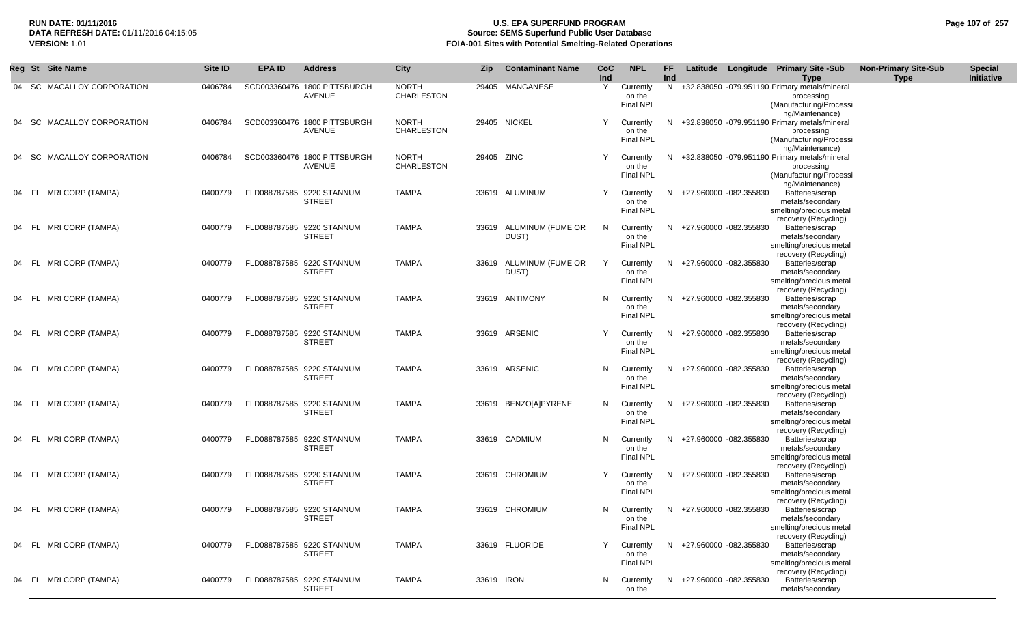## **RUN DATE: 01/11/2016 U.S. EPA SUPERFUND PROGRAM Page 107 of 257 Source: SEMS Superfund Public User Database VERSION:** 1.01 **FOIA-001 Sites with Potential Smelting-Related Operations**

|       | Reg St Site Name           | Site ID | <b>EPA ID</b> | <b>Address</b>                                | <b>City</b>                       | Zip        | <b>Contaminant Name</b>          | <b>CoC</b><br>Ind | <b>NPL</b>                                | FF<br>Ind |                          | Latitude Longitude Primary Site -Sub<br>Type                                                              | <b>Non-Primary Site-Sub</b><br><b>Type</b> | <b>Special</b><br>Initiative |
|-------|----------------------------|---------|---------------|-----------------------------------------------|-----------------------------------|------------|----------------------------------|-------------------|-------------------------------------------|-----------|--------------------------|-----------------------------------------------------------------------------------------------------------|--------------------------------------------|------------------------------|
|       | 04 SC MACALLOY CORPORATION | 0406784 |               | SCD003360476 1800 PITTSBURGH<br><b>AVENUE</b> | <b>NORTH</b><br>CHARLESTON        |            | 29405 MANGANESE                  | Y                 | Currently<br>on the<br><b>Final NPL</b>   | N         |                          | +32.838050 -079.951190 Primary metals/mineral<br>processing<br>(Manufacturing/Processi<br>ng/Maintenance) |                                            |                              |
|       | 04 SC MACALLOY CORPORATION | 0406784 |               | SCD003360476 1800 PITTSBURGH<br><b>AVENUE</b> | <b>NORTH</b><br><b>CHARLESTON</b> |            | 29405 NICKEL                     | Y                 | Currently<br>on the<br><b>Final NPL</b>   | N.        |                          | +32.838050 -079.951190 Primary metals/mineral<br>processing<br>(Manufacturing/Processi<br>ng/Maintenance) |                                            |                              |
|       | 04 SC MACALLOY CORPORATION | 0406784 |               | SCD003360476 1800 PITTSBURGH<br>AVENUE        | <b>NORTH</b><br><b>CHARLESTON</b> | 29405 ZINC |                                  | Y                 | Currently<br>on the<br><b>Final NPL</b>   | N.        |                          | +32.838050 -079.951190 Primary metals/mineral<br>processing<br>(Manufacturing/Processi<br>ng/Maintenance) |                                            |                              |
|       | 04 FL MRICORP (TAMPA)      | 0400779 |               | FLD088787585 9220 STANNUM<br><b>STREET</b>    | <b>TAMPA</b>                      |            | 33619 ALUMINUM                   | Y                 | Currently<br>on the<br>Final NPL          | N.        | +27.960000 -082.355830   | Batteries/scrap<br>metals/secondary<br>smelting/precious metal                                            |                                            |                              |
|       | 04 FL MRICORP (TAMPA)      | 0400779 |               | FLD088787585 9220 STANNUM<br><b>STREET</b>    | <b>TAMPA</b>                      |            | 33619 ALUMINUM (FUME OR<br>DUST) | N.                | Currently<br>on the<br><b>Final NPL</b>   | N         | +27.960000 -082.355830   | recovery (Recycling)<br>Batteries/scrap<br>metals/secondary<br>smelting/precious metal                    |                                            |                              |
| 04 FL | MRI CORP (TAMPA)           | 0400779 |               | FLD088787585 9220 STANNUM<br><b>STREET</b>    | <b>TAMPA</b>                      | 33619      | ALUMINUM (FUME OR<br>DUST)       | Y                 | Currently<br>on the<br><b>Final NPL</b>   | N.        | +27.960000 -082.355830   | recovery (Recycling)<br>Batteries/scrap<br>metals/secondary<br>smelting/precious metal                    |                                            |                              |
|       | 04 FL MRICORP (TAMPA)      | 0400779 |               | FLD088787585 9220 STANNUM<br><b>STREET</b>    | <b>TAMPA</b>                      |            | 33619 ANTIMONY                   | N                 | Currently<br>on the<br><b>Final NPL</b>   | N.        | +27.960000 -082.355830   | recovery (Recycling)<br>Batteries/scrap<br>metals/secondary<br>smelting/precious metal                    |                                            |                              |
|       | 04 FL MRICORP (TAMPA)      | 0400779 |               | FLD088787585 9220 STANNUM<br><b>STREET</b>    | <b>TAMPA</b>                      |            | 33619 ARSENIC                    | Y                 | Currently<br>on the<br><b>Final NPL</b>   | N         | +27.960000 -082.355830   | recovery (Recycling)<br>Batteries/scrap<br>metals/secondary<br>smelting/precious metal                    |                                            |                              |
|       | 04 FL MRICORP (TAMPA)      | 0400779 |               | FLD088787585 9220 STANNUM<br><b>STREET</b>    | <b>TAMPA</b>                      |            | 33619 ARSENIC                    | N                 | Currently<br>on the<br><b>Final NPL</b>   | N         | +27.960000 -082.355830   | recovery (Recycling)<br>Batteries/scrap<br>metals/secondary<br>smelting/precious metal                    |                                            |                              |
|       | 04 FL MRICORP (TAMPA)      | 0400779 |               | FLD088787585 9220 STANNUM<br><b>STREET</b>    | <b>TAMPA</b>                      |            | 33619 BENZO[A]PYRENE             |                   | N Currently<br>on the<br><b>Final NPL</b> | N         | +27.960000 -082.355830   | recovery (Recycling)<br>Batteries/scrap<br>metals/secondary<br>smelting/precious metal                    |                                            |                              |
|       | 04 FL MRICORP (TAMPA)      | 0400779 |               | FLD088787585 9220 STANNUM<br><b>STREET</b>    | <b>TAMPA</b>                      |            | 33619 CADMIUM                    | N                 | Currently<br>on the<br><b>Final NPL</b>   | N.        | +27.960000 -082.355830   | recovery (Recycling)<br>Batteries/scrap<br>metals/secondary<br>smelting/precious metal                    |                                            |                              |
|       | 04 FL MRICORP (TAMPA)      | 0400779 |               | FLD088787585 9220 STANNUM<br><b>STREET</b>    | <b>TAMPA</b>                      |            | 33619 CHROMIUM                   | Y                 | Currently<br>on the<br><b>Final NPL</b>   | N.        | +27.960000 -082.355830   | recovery (Recycling)<br>Batteries/scrap<br>metals/secondary<br>smelting/precious metal                    |                                            |                              |
|       | 04 FL MRICORP (TAMPA)      | 0400779 |               | FLD088787585 9220 STANNUM<br><b>STREET</b>    | <b>TAMPA</b>                      |            | 33619 CHROMIUM                   | N.                | Currently<br>on the<br>Final NPL          |           | N +27.960000 -082.355830 | recovery (Recycling)<br>Batteries/scrap<br>metals/secondary<br>smelting/precious metal                    |                                            |                              |
|       | 04 FL MRICORP (TAMPA)      | 0400779 |               | FLD088787585 9220 STANNUM<br><b>STREET</b>    | <b>TAMPA</b>                      |            | 33619 FLUORIDE                   |                   | Currently<br>on the<br><b>Final NPL</b>   | N.        | +27.960000 -082.355830   | recovery (Recycling)<br>Batteries/scrap<br>metals/secondary<br>smelting/precious metal                    |                                            |                              |
|       | 04 FL MRICORP (TAMPA)      | 0400779 |               | FLD088787585 9220 STANNUM<br><b>STREET</b>    | <b>TAMPA</b>                      | 33619 IRON |                                  |                   | N Currently<br>on the                     | N.        | +27.960000 -082.355830   | recovery (Recycling)<br>Batteries/scrap<br>metals/secondary                                               |                                            |                              |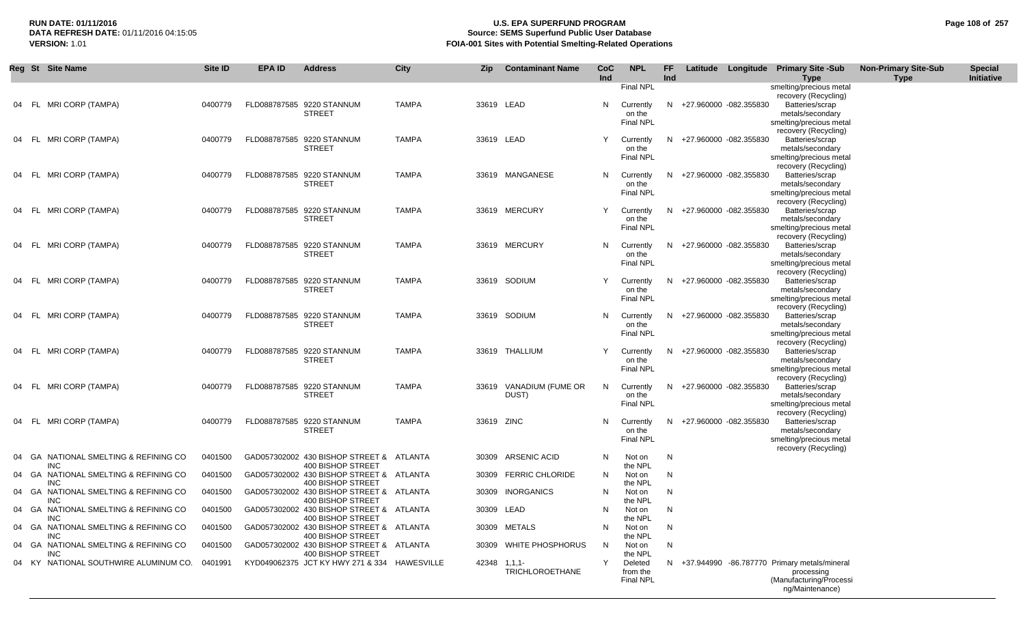## **RUN DATE: 01/11/2016 U.S. EPA SUPERFUND PROGRAM Page 108 of 257 Source: SEMS Superfund Public User Database VERSION:** 1.01 **FOIA-001 Sites with Potential Smelting-Related Operations**

|       | Reg St Site Name                                     | Site ID | <b>EPA ID</b> | <b>Address</b>                                                                     | City         | <b>Zip</b>   | <b>Contaminant Name</b>    | CoC<br>Ind | <b>NPL</b>                              | <b>FF</b><br>Ind |                          | Latitude Longitude Primary Site -Sub<br><b>Type</b>                                                               | <b>Non-Primary Site-Sub</b><br><b>Type</b> | <b>Special</b><br>Initiative |
|-------|------------------------------------------------------|---------|---------------|------------------------------------------------------------------------------------|--------------|--------------|----------------------------|------------|-----------------------------------------|------------------|--------------------------|-------------------------------------------------------------------------------------------------------------------|--------------------------------------------|------------------------------|
|       |                                                      |         |               |                                                                                    |              |              |                            |            | <b>Final NPL</b>                        |                  |                          | smelting/precious metal<br>recovery (Recycling)                                                                   |                                            |                              |
|       | FL MRI CORP (TAMPA)                                  | 0400779 |               | FLD088787585 9220 STANNUM<br><b>STREET</b>                                         | <b>TAMPA</b> | 33619 LEAD   |                            | N          | Currently<br>on the<br><b>Final NPL</b> |                  | N +27.960000 -082.355830 | Batteries/scrap<br>metals/secondary<br>smelting/precious metal                                                    |                                            |                              |
| - FL  | MRI CORP (TAMPA)                                     | 0400779 |               | FLD088787585 9220 STANNUM<br><b>STREET</b>                                         | <b>TAMPA</b> | 33619 LEAD   |                            | Y          | Currently<br>on the<br><b>Final NPL</b> |                  | N +27.960000 -082.355830 | recovery (Recycling)<br>Batteries/scrap<br>metals/secondary<br>smelting/precious metal                            |                                            |                              |
|       | 04 FL MRICORP (TAMPA)                                | 0400779 |               | FLD088787585 9220 STANNUM<br><b>STREET</b>                                         | <b>TAMPA</b> |              | 33619 MANGANESE            | N.         | Currently<br>on the<br><b>Final NPL</b> | N                | +27.960000 -082.355830   | recovery (Recycling)<br>Batteries/scrap<br>metals/secondary<br>smelting/precious metal                            |                                            |                              |
| 04 FL | MRI CORP (TAMPA)                                     | 0400779 |               | FLD088787585 9220 STANNUM<br><b>STREET</b>                                         | <b>TAMPA</b> |              | 33619 MERCURY              | Y          | Currently<br>on the<br><b>Final NPL</b> |                  | N +27.960000 -082.355830 | recovery (Recycling)<br>Batteries/scrap<br>metals/secondary                                                       |                                            |                              |
| 04 FL | MRI CORP (TAMPA)                                     | 0400779 |               | FLD088787585 9220 STANNUM<br><b>STREET</b>                                         | <b>TAMPA</b> |              | 33619 MERCURY              | N.         | Currently<br>on the<br><b>Final NPL</b> | N.               | +27.960000 -082.355830   | smelting/precious metal<br>recovery (Recycling)<br>Batteries/scrap<br>metals/secondary                            |                                            |                              |
| - FL  | MRI CORP (TAMPA)                                     | 0400779 |               | FLD088787585 9220 STANNUM<br><b>STREET</b>                                         | <b>TAMPA</b> |              | 33619 SODIUM               | Y          | Currently<br>on the<br><b>Final NPL</b> |                  | N +27.960000 -082.355830 | smelting/precious metal<br>recovery (Recycling)<br>Batteries/scrap<br>metals/secondary<br>smelting/precious metal |                                            |                              |
| - FL  | MRI CORP (TAMPA)                                     | 0400779 |               | FLD088787585 9220 STANNUM<br><b>STREET</b>                                         | <b>TAMPA</b> |              | 33619 SODIUM               | N.         | Currently<br>on the<br><b>Final NPL</b> | N.               | +27.960000 -082.355830   | recovery (Recycling)<br>Batteries/scrap<br>metals/secondary<br>smelting/precious metal                            |                                            |                              |
| 04 FL | MRI CORP (TAMPA)                                     | 0400779 |               | FLD088787585 9220 STANNUM<br><b>STREET</b>                                         | <b>TAMPA</b> |              | 33619 THALLIUM             | Y          | Currently<br>on the<br><b>Final NPL</b> |                  | N +27.960000 -082.355830 | recovery (Recycling)<br>Batteries/scrap<br>metals/secondary<br>smelting/precious metal                            |                                            |                              |
| 04 FL | MRI CORP (TAMPA)                                     | 0400779 |               | FLD088787585 9220 STANNUM<br><b>STREET</b>                                         | <b>TAMPA</b> | 33619        | VANADIUM (FUME OR<br>DUST) | N          | Currently<br>on the<br><b>Final NPL</b> |                  | N +27.960000 -082.355830 | recovery (Recycling)<br>Batteries/scrap<br>metals/secondary<br>smelting/precious metal                            |                                            |                              |
|       | 04 FL MRICORP (TAMPA)                                | 0400779 |               | FLD088787585 9220 STANNUM<br><b>STREET</b>                                         | <b>TAMPA</b> | 33619 ZINC   |                            | N.         | Currently<br>on the<br>Final NPL        |                  | N +27.960000 -082.355830 | recovery (Recycling)<br>Batteries/scrap<br>metals/secondary<br>smelting/precious metal                            |                                            |                              |
| 04 GA | NATIONAL SMELTING & REFINING CO                      | 0401500 |               | GAD057302002 430 BISHOP STREET & ATLANTA                                           |              | 30309        | <b>ARSENIC ACID</b>        | N          | Not on                                  | N                |                          | recovery (Recycling)                                                                                              |                                            |                              |
| 04 GA | INC<br>NATIONAL SMELTING & REFINING CO<br><b>INC</b> | 0401500 |               | 400 BISHOP STREET<br>GAD057302002 430 BISHOP STREET & ATLANTA                      |              | 30309        | <b>FERRIC CHLORIDE</b>     | N          | the NPL<br>Not on                       | N                |                          |                                                                                                                   |                                            |                              |
| 04 GA | NATIONAL SMELTING & REFINING CO<br><b>INC</b>        | 0401500 |               | 400 BISHOP STREET<br>GAD057302002 430 BISHOP STREET & ATLANTA<br>400 BISHOP STREET |              | 30309        | <b>INORGANICS</b>          | N          | the NPL<br>Not on<br>the NPL            | N                |                          |                                                                                                                   |                                            |                              |
| 04 GA | NATIONAL SMELTING & REFINING CO<br><b>INC</b>        | 0401500 |               | GAD057302002 430 BISHOP STREET & ATLANTA<br>400 BISHOP STREET                      |              | 30309 LEAD   |                            | N          | Not on<br>the NPL                       | N                |                          |                                                                                                                   |                                            |                              |
| 04 GA | NATIONAL SMELTING & REFINING CO<br><b>INC</b>        | 0401500 |               | GAD057302002 430 BISHOP STREET & ATLANTA<br>400 BISHOP STREET                      |              |              | 30309 METALS               | N          | Not on<br>the NPL                       | N                |                          |                                                                                                                   |                                            |                              |
| 04 GA | NATIONAL SMELTING & REFINING CO<br>INC               | 0401500 |               | GAD057302002 430 BISHOP STREET & ATLANTA<br>400 BISHOP STREET                      |              | 30309        | WHITE PHOSPHORUS           | N          | Not on<br>the NPL                       | N                |                          |                                                                                                                   |                                            |                              |
| 04 KY | NATIONAL SOUTHWIRE ALUMINUM CO.                      | 0401991 |               | KYD049062375 JCT KY HWY 271 & 334 HAWESVILLE                                       |              | 42348 1,1,1- | <b>TRICHLOROETHANE</b>     | Y          | Deleted<br>from the<br><b>Final NPL</b> |                  |                          | N +37.944990 -86.787770 Primary metals/mineral<br>processing<br>(Manufacturing/Processi<br>ng/Maintenance)        |                                            |                              |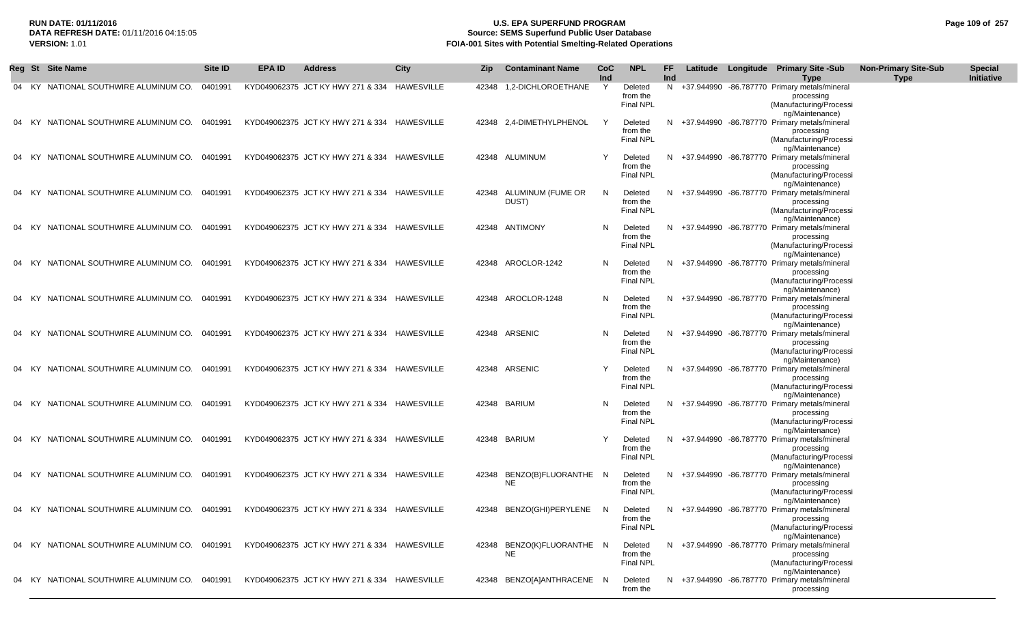# **RUN DATE: 01/11/2016 U.S. EPA SUPERFUND PROGRAM Page 109 of 257 Source: SEMS Superfund Public User Database VERSION:** 1.01 **FOIA-001 Sites with Potential Smelting-Related Operations**

|    |      | Reg St Site Name                              | Site ID | EPA ID | <b>Address</b>                               | <b>City</b> | <b>Zip</b> | <b>Contaminant Name</b>     | <b>CoC</b><br>Ind | <b>NPL</b>                              | FF.<br>Ind |  | Latitude Longitude Primary Site -Sub<br>Type                                                             | <b>Non-Primary Site-Sub</b><br><b>Type</b> | <b>Special</b><br>Initiative |
|----|------|-----------------------------------------------|---------|--------|----------------------------------------------|-------------|------------|-----------------------------|-------------------|-----------------------------------------|------------|--|----------------------------------------------------------------------------------------------------------|--------------------------------------------|------------------------------|
|    |      | 04 KY NATIONAL SOUTHWIRE ALUMINUM CO.         | 0401991 |        | KYD049062375 JCT KY HWY 271 & 334 HAWESVILLE |             | 42348      | 1,2-DICHLOROETHANE          | Y                 | Deleted<br>from the<br><b>Final NPL</b> | N          |  | +37.944990 -86.787770 Primary metals/mineral<br>processing<br>(Manufacturing/Processi<br>ng/Maintenance) |                                            |                              |
| 04 |      | KY NATIONAL SOUTHWIRE ALUMINUM CO.            | 0401991 |        | KYD049062375 JCT KY HWY 271 & 334 HAWESVILLE |             |            | 42348 2.4-DIMETHYLPHENOL    | Y                 | Deleted<br>from the<br><b>Final NPL</b> | N          |  | +37.944990 -86.787770 Primary metals/mineral<br>processing<br>(Manufacturing/Processi<br>ng/Maintenance) |                                            |                              |
|    |      | 04 KY NATIONAL SOUTHWIRE ALUMINUM CO.         | 0401991 |        | KYD049062375 JCT KY HWY 271 & 334 HAWESVILLE |             |            | 42348 ALUMINUM              | Y                 | Deleted<br>from the<br>Final NPL        | N.         |  | +37.944990 -86.787770 Primary metals/mineral<br>processing<br>(Manufacturing/Processi                    |                                            |                              |
| 04 | KY.  | NATIONAL SOUTHWIRE ALUMINUM CO.               | 0401991 |        | KYD049062375 JCT KY HWY 271 & 334 HAWESVILLE |             | 42348      | ALUMINUM (FUME OR<br>DUST)  | N                 | Deleted<br>from the<br><b>Final NPL</b> | N          |  | ng/Maintenance)<br>+37.944990 -86.787770 Primary metals/mineral<br>processing<br>(Manufacturing/Processi |                                            |                              |
| 04 | - KY | NATIONAL SOUTHWIRE ALUMINUM CO.               | 0401991 |        | KYD049062375 JCT KY HWY 271 & 334 HAWESVILLE |             |            | 42348 ANTIMONY              | N.                | Deleted<br>from the<br><b>Final NPL</b> | N.         |  | ng/Maintenance)<br>+37.944990 -86.787770 Primary metals/mineral<br>processing<br>(Manufacturing/Processi |                                            |                              |
| 04 | KY.  | NATIONAL SOUTHWIRE ALUMINUM CO.               | 0401991 |        | KYD049062375 JCT KY HWY 271 & 334 HAWESVILLE |             | 42348      | AROCLOR-1242                | N                 | Deleted<br>from the<br><b>Final NPL</b> | N          |  | ng/Maintenance)<br>+37.944990 -86.787770 Primary metals/mineral<br>processing<br>(Manufacturing/Processi |                                            |                              |
| 04 | KY.  | NATIONAL SOUTHWIRE ALUMINUM CO.               | 0401991 |        | KYD049062375 JCT KY HWY 271 & 334 HAWESVILLE |             |            | 42348 AROCLOR-1248          | N                 | Deleted<br>from the<br>Final NPL        | N          |  | ng/Maintenance)<br>+37.944990 -86.787770 Primary metals/mineral<br>processing<br>(Manufacturing/Processi |                                            |                              |
|    |      | 04 KY NATIONAL SOUTHWIRE ALUMINUM CO.         | 0401991 |        | KYD049062375 JCT KY HWY 271 & 334 HAWESVILLE |             |            | 42348 ARSENIC               | N.                | Deleted<br>from the<br>Final NPL        | N.         |  | ng/Maintenance)<br>+37.944990 -86.787770 Primary metals/mineral<br>processing<br>(Manufacturing/Processi |                                            |                              |
|    | KY.  | NATIONAL SOUTHWIRE ALUMINUM CO.               | 0401991 |        | KYD049062375 JCT KY HWY 271 & 334 HAWESVILLE |             |            | 42348 ARSENIC               |                   | Deleted<br>from the<br><b>Final NPL</b> | N.         |  | ng/Maintenance)<br>+37.944990 -86.787770 Primary metals/mineral<br>processing<br>(Manufacturing/Processi |                                            |                              |
| 04 | KY.  | NATIONAL SOUTHWIRE ALUMINUM CO.               | 0401991 |        | KYD049062375 JCT KY HWY 271 & 334 HAWESVILLE |             |            | 42348 BARIUM                | N                 | Deleted<br>from the<br>Final NPL        | N.         |  | ng/Maintenance)<br>+37.944990 -86.787770 Primary metals/mineral<br>processing<br>(Manufacturing/Processi |                                            |                              |
| 04 |      | KY NATIONAL SOUTHWIRE ALUMINUM CO.            | 0401991 |        | KYD049062375 JCT KY HWY 271 & 334 HAWESVILLE |             |            | 42348 BARIUM                | Y                 | Deleted<br>from the<br><b>Final NPL</b> | N          |  | ng/Maintenance)<br>+37.944990 -86.787770 Primary metals/mineral<br>processing<br>(Manufacturing/Processi |                                            |                              |
|    |      | 04 KY NATIONAL SOUTHWIRE ALUMINUM CO.         | 0401991 |        | KYD049062375 JCT KY HWY 271 & 334 HAWESVILLE |             | 42348      | BENZO(B)FLUORANTHE N<br>NE  |                   | Deleted<br>from the<br><b>Final NPL</b> | N.         |  | ng/Maintenance)<br>+37.944990 -86.787770 Primary metals/mineral<br>processing<br>(Manufacturing/Processi |                                            |                              |
|    |      | KY NATIONAL SOUTHWIRE ALUMINUM CO.            | 0401991 |        | KYD049062375 JCT KY HWY 271 & 334 HAWESVILLE |             |            | 42348 BENZO(GHI)PERYLENE    | - N               | Deleted<br>from the<br><b>Final NPL</b> | N.         |  | ng/Maintenance)<br>+37.944990 -86.787770 Primary metals/mineral<br>processing<br>(Manufacturing/Processi |                                            |                              |
| 04 |      | KY NATIONAL SOUTHWIRE ALUMINUM CO. 0401991    |         |        | KYD049062375 JCT KY HWY 271 & 334 HAWESVILLE |             | 42348      | BENZO(K)FLUORANTHE N<br>NE. |                   | Deleted<br>from the<br><b>Final NPL</b> | N.         |  | ng/Maintenance)<br>+37.944990 -86.787770 Primary metals/mineral<br>processing<br>(Manufacturing/Processi |                                            |                              |
|    |      | 04 KY NATIONAL SOUTHWIRE ALUMINUM CO. 0401991 |         |        | KYD049062375 JCT KY HWY 271 & 334 HAWESVILLE |             | 42348      | BENZO[A]ANTHRACENE N        |                   | Deleted<br>from the                     | N          |  | ng/Maintenance)<br>+37.944990 -86.787770 Primary metals/mineral<br>processing                            |                                            |                              |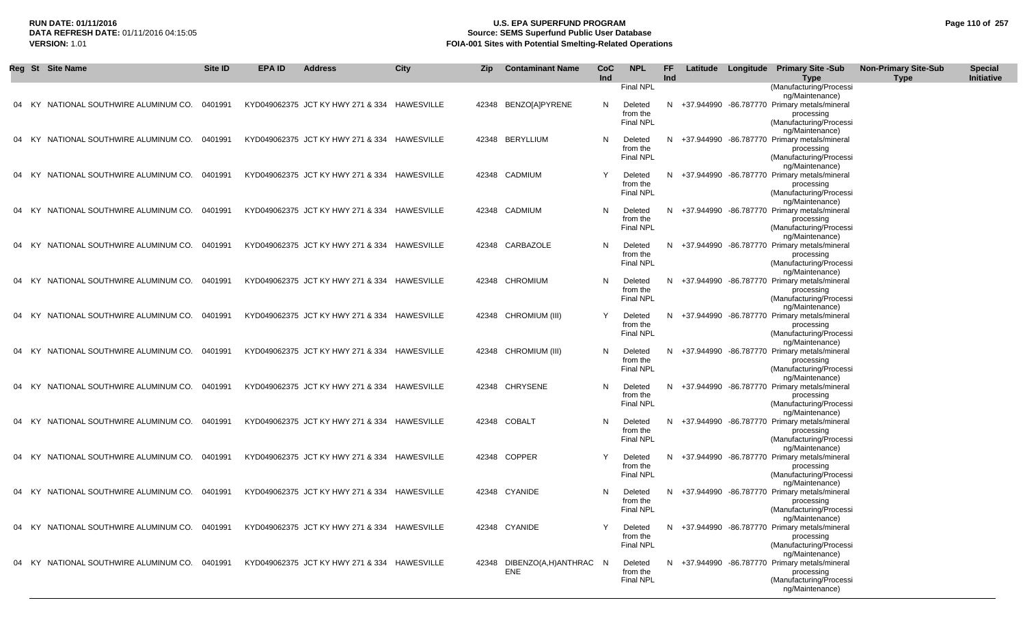# **RUN DATE: 01/11/2016 U.S. EPA SUPERFUND PROGRAM Page 110 of 257 Source: SEMS Superfund Public User Database VERSION:** 1.01 **FOIA-001 Sites with Potential Smelting-Related Operations**

|    |       | Reg St Site Name                              | Site ID | <b>EPA ID</b> | <b>Address</b>                               | City       | Zip | <b>Contaminant Name</b>     | CoC | <b>NPL</b>                   | <b>FF</b> |            | Latitude Longitude Primary Site -Sub                              | <b>Non-Primary Site-Sub</b> | <b>Special</b> |
|----|-------|-----------------------------------------------|---------|---------------|----------------------------------------------|------------|-----|-----------------------------|-----|------------------------------|-----------|------------|-------------------------------------------------------------------|-----------------------------|----------------|
|    |       |                                               |         |               |                                              |            |     |                             | Ind | Final NPL                    | Ind       |            | Type<br>(Manufacturing/Processi                                   | <b>Type</b>                 | Initiative     |
|    |       |                                               |         |               |                                              |            |     |                             |     |                              |           |            | ng/Maintenance)                                                   |                             |                |
| 04 | - KY  | NATIONAL SOUTHWIRE ALUMINUM CO.               | 0401991 |               | KYD049062375 JCT KY HWY 271 & 334            | HAWESVILLE |     | 42348 BENZO[A]PYRENE        | N   | Deleted                      | N         | +37.944990 | -86.787770 Primary metals/mineral                                 |                             |                |
|    |       |                                               |         |               |                                              |            |     |                             |     | from the                     |           |            | processing                                                        |                             |                |
|    |       |                                               |         |               |                                              |            |     |                             |     | <b>Final NPL</b>             |           |            | (Manufacturing/Processi                                           |                             |                |
| 04 | KY.   | NATIONAL SOUTHWIRE ALUMINUM CO.               | 0401991 |               | KYD049062375 JCT KY HWY 271 & 334            | HAWESVILLE |     | 42348 BERYLLIUM             | N   | Deleted                      | N         | +37.944990 | ng/Maintenance)<br>-86.787770 Primary metals/mineral              |                             |                |
|    |       |                                               |         |               |                                              |            |     |                             |     | from the                     |           |            | processing                                                        |                             |                |
|    |       |                                               |         |               |                                              |            |     |                             |     | <b>Final NPL</b>             |           |            | (Manufacturing/Processi                                           |                             |                |
|    |       |                                               |         |               |                                              |            |     |                             |     |                              |           |            | ng/Maintenance)                                                   |                             |                |
|    | 04 KY | NATIONAL SOUTHWIRE ALUMINUM CO.               | 0401991 |               | KYD049062375 JCT KY HWY 271 & 334            | HAWESVILLE |     | 42348 CADMIUM               |     | Deleted                      | N         | +37.944990 | -86.787770 Primary metals/mineral                                 |                             |                |
|    |       |                                               |         |               |                                              |            |     |                             |     | from the<br><b>Final NPL</b> |           |            | processing<br>(Manufacturing/Processi                             |                             |                |
|    |       |                                               |         |               |                                              |            |     |                             |     |                              |           |            | ng/Maintenance)                                                   |                             |                |
| 04 | – KY  | NATIONAL SOUTHWIRE ALUMINUM CO.               | 0401991 |               | KYD049062375 JCT KY HWY 271 & 334 HAWESVILLE |            |     | 42348 CADMIUM               | N   | Deleted                      |           |            | N +37.944990 -86.787770 Primary metals/mineral                    |                             |                |
|    |       |                                               |         |               |                                              |            |     |                             |     | from the                     |           |            | processing                                                        |                             |                |
|    |       |                                               |         |               |                                              |            |     |                             |     | <b>Final NPL</b>             |           |            | (Manufacturing/Processi                                           |                             |                |
| 04 | - KY  | NATIONAL SOUTHWIRE ALUMINUM CO.               | 0401991 |               | KYD049062375 JCT KY HWY 271 & 334            | HAWESVILLE |     | 42348 CARBAZOLE             | N   | Deleted                      | N.        | +37.944990 | ng/Maintenance)<br>-86.787770 Primary metals/mineral              |                             |                |
|    |       |                                               |         |               |                                              |            |     |                             |     | from the                     |           |            | processing                                                        |                             |                |
|    |       |                                               |         |               |                                              |            |     |                             |     | <b>Final NPL</b>             |           |            | (Manufacturing/Processi                                           |                             |                |
|    |       |                                               |         |               |                                              |            |     |                             |     |                              |           |            | ng/Maintenance)                                                   |                             |                |
| 04 | – KY  | NATIONAL SOUTHWIRE ALUMINUM CO.               | 0401991 |               | KYD049062375 JCT KY HWY 271 & 334 HAWESVILLE |            |     | 42348 CHROMIUM              | N   | Deleted                      |           |            | N +37.944990 -86.787770 Primary metals/mineral                    |                             |                |
|    |       |                                               |         |               |                                              |            |     |                             |     | from the<br><b>Final NPL</b> |           |            | processing<br>(Manufacturing/Processi                             |                             |                |
|    |       |                                               |         |               |                                              |            |     |                             |     |                              |           |            | ng/Maintenance)                                                   |                             |                |
| 04 | KY.   | NATIONAL SOUTHWIRE ALUMINUM CO.               | 0401991 |               | KYD049062375 JCT KY HWY 271 & 334 HAWESVILLE |            |     | 42348 CHROMIUM (III)        | Y   | Deleted                      | N         |            | +37.944990 -86.787770 Primary metals/mineral                      |                             |                |
|    |       |                                               |         |               |                                              |            |     |                             |     | from the                     |           |            | processing                                                        |                             |                |
|    |       |                                               |         |               |                                              |            |     |                             |     | <b>Final NPL</b>             |           |            | (Manufacturing/Processi                                           |                             |                |
|    | 04 KY | NATIONAL SOUTHWIRE ALUMINUM CO.               | 0401991 |               | KYD049062375 JCT KY HWY 271 & 334 HAWESVILLE |            |     | 42348 CHROMIUM (III)        | N   | Deleted                      |           |            | ng/Maintenance)<br>N +37.944990 -86.787770 Primary metals/mineral |                             |                |
|    |       |                                               |         |               |                                              |            |     |                             |     | from the                     |           |            | processing                                                        |                             |                |
|    |       |                                               |         |               |                                              |            |     |                             |     | Final NPL                    |           |            | (Manufacturing/Processi                                           |                             |                |
|    |       |                                               |         |               |                                              |            |     |                             |     |                              |           |            | ng/Maintenance)                                                   |                             |                |
| 04 | KY.   | NATIONAL SOUTHWIRE ALUMINUM CO.               | 0401991 |               | KYD049062375 JCT KY HWY 271 & 334 HAWESVILLE |            |     | 42348 CHRYSENE              | N   | Deleted                      | N         |            | +37.944990 -86.787770 Primary metals/mineral                      |                             |                |
|    |       |                                               |         |               |                                              |            |     |                             |     | from the<br><b>Final NPL</b> |           |            | processing<br>(Manufacturing/Processi                             |                             |                |
|    |       |                                               |         |               |                                              |            |     |                             |     |                              |           |            | ng/Maintenance)                                                   |                             |                |
| 04 | - KY  | NATIONAL SOUTHWIRE ALUMINUM CO.               | 0401991 |               | KYD049062375 JCT KY HWY 271 & 334 HAWESVILLE |            |     | 42348 COBALT                | N.  | Deleted                      | N         |            | +37.944990 -86.787770 Primary metals/mineral                      |                             |                |
|    |       |                                               |         |               |                                              |            |     |                             |     | from the                     |           |            | processing                                                        |                             |                |
|    |       |                                               |         |               |                                              |            |     |                             |     | <b>Final NPL</b>             |           |            | (Manufacturing/Processi<br>ng/Maintenance)                        |                             |                |
| 04 | KY.   | NATIONAL SOUTHWIRE ALUMINUM CO.               | 0401991 |               | KYD049062375 JCT KY HWY 271 & 334            | HAWESVILLE |     | 42348 COPPER                | Y   | Deleted                      | N         |            | +37.944990 -86.787770 Primary metals/mineral                      |                             |                |
|    |       |                                               |         |               |                                              |            |     |                             |     | from the                     |           |            | processing                                                        |                             |                |
|    |       |                                               |         |               |                                              |            |     |                             |     | <b>Final NPL</b>             |           |            | (Manufacturing/Processi                                           |                             |                |
|    |       |                                               |         |               |                                              |            |     |                             |     |                              |           |            | ng/Maintenance)                                                   |                             |                |
|    | 04 KY | NATIONAL SOUTHWIRE ALUMINUM CO.               | 0401991 |               | KYD049062375 JCT KY HWY 271 & 334 HAWESVILLE |            |     | 42348 CYANIDE               | N.  | Deleted<br>from the          |           |            | N +37.944990 -86.787770 Primary metals/mineral<br>processing      |                             |                |
|    |       |                                               |         |               |                                              |            |     |                             |     | <b>Final NPL</b>             |           |            | (Manufacturing/Processi                                           |                             |                |
|    |       |                                               |         |               |                                              |            |     |                             |     |                              |           |            | ng/Maintenance)                                                   |                             |                |
|    |       | 04 KY NATIONAL SOUTHWIRE ALUMINUM CO. 0401991 |         |               | KYD049062375 JCT KY HWY 271 & 334 HAWESVILLE |            |     | 42348 CYANIDE               |     | Deleted                      |           |            | N +37.944990 -86.787770 Primary metals/mineral                    |                             |                |
|    |       |                                               |         |               |                                              |            |     |                             |     | from the                     |           |            | processing                                                        |                             |                |
|    |       |                                               |         |               |                                              |            |     |                             |     | <b>Final NPL</b>             |           |            | (Manufacturing/Processi<br>ng/Maintenance)                        |                             |                |
| 04 |       | KY NATIONAL SOUTHWIRE ALUMINUM CO. 0401991    |         |               | KYD049062375 JCT KY HWY 271 & 334 HAWESVILLE |            |     | 42348 DIBENZO(A,H)ANTHRAC N |     | Deleted                      |           |            | N +37.944990 -86.787770 Primary metals/mineral                    |                             |                |
|    |       |                                               |         |               |                                              |            |     | ENE                         |     | from the                     |           |            | processing                                                        |                             |                |
|    |       |                                               |         |               |                                              |            |     |                             |     | <b>Final NPL</b>             |           |            | (Manufacturing/Processi                                           |                             |                |
|    |       |                                               |         |               |                                              |            |     |                             |     |                              |           |            | ng/Maintenance)                                                   |                             |                |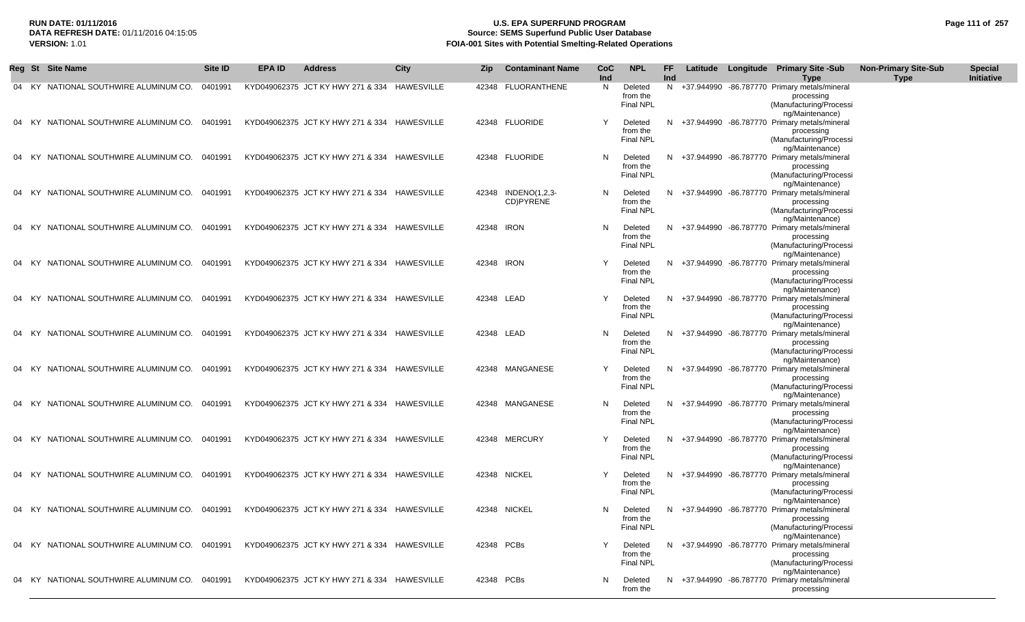# **RUN DATE: 01/11/2016 U.S. EPA SUPERFUND PROGRAM Page 111 of 257 Source: SEMS Superfund Public User Database VERSION:** 1.01 **FOIA-001 Sites with Potential Smelting-Related Operations**

|    |       | Reg St Site Name                              | Site ID | <b>EPA ID</b> | <b>Address</b>                               | City       | Zip        | <b>Contaminant Name</b>          | CoC<br>Ind | <b>NPL</b>                              | FF<br>Ind | Latitude | Longitude Primary Site -Sub<br><b>Type</b>                                                                 | <b>Non-Primary Site-Sub</b><br><b>Type</b> | <b>Special</b><br>Initiative |
|----|-------|-----------------------------------------------|---------|---------------|----------------------------------------------|------------|------------|----------------------------------|------------|-----------------------------------------|-----------|----------|------------------------------------------------------------------------------------------------------------|--------------------------------------------|------------------------------|
|    | 04 KY | NATIONAL SOUTHWIRE ALUMINUM CO.               | 0401991 |               | KYD049062375 JCT KY HWY 271 & 334            | HAWESVILLE | 42348      | FLUORANTHENE                     | N          | Deleted<br>from the<br>Final NPL        |           |          | N +37.944990 -86.787770 Primary metals/mineral<br>processing<br>(Manufacturing/Processi<br>ng/Maintenance) |                                            |                              |
|    | KY.   | NATIONAL SOUTHWIRE ALUMINUM CO.               | 0401991 |               | KYD049062375 JCT KY HWY 271 & 334            | HAWESVILLE |            | 42348 FLUORIDE                   | Y          | Deleted<br>from the<br>Final NPL        |           |          | N +37.944990 -86.787770 Primary metals/mineral<br>processing<br>(Manufacturing/Processi<br>ng/Maintenance) |                                            |                              |
|    | KY)   | NATIONAL SOUTHWIRE ALUMINUM CO.               | 0401991 |               | KYD049062375 JCT KY HWY 271 & 334            | HAWESVILLE |            | 42348 FLUORIDE                   | N          | Deleted<br>from the<br><b>Final NPL</b> |           |          | N +37.944990 -86.787770 Primary metals/mineral<br>processing<br>(Manufacturing/Processi<br>ng/Maintenance) |                                            |                              |
|    | 04 KY | NATIONAL SOUTHWIRE ALUMINUM CO.               | 0401991 |               | KYD049062375 JCT KY HWY 271 & 334            | HAWESVILLE |            | 42348 INDENO(1,2,3-<br>CD)PYRENE | N          | Deleted<br>from the<br><b>Final NPL</b> |           |          | N +37.944990 -86.787770 Primary metals/mineral<br>processing<br>(Manufacturing/Processi<br>ng/Maintenance) |                                            |                              |
| 04 | KY.   | NATIONAL SOUTHWIRE ALUMINUM CO.               | 0401991 |               | KYD049062375 JCT KY HWY 271 & 334            | HAWESVILLE | 42348 IRON |                                  | N          | Deleted<br>from the<br><b>Final NPL</b> |           |          | N +37.944990 -86.787770 Primary metals/mineral<br>processing<br>(Manufacturing/Processi<br>ng/Maintenance) |                                            |                              |
|    | - KY  | NATIONAL SOUTHWIRE ALUMINUM CO.               | 0401991 |               | KYD049062375 JCT KY HWY 271 & 334            | HAWESVILLE | 42348 IRON |                                  | Y          | Deleted<br>from the<br><b>Final NPL</b> |           |          | N +37.944990 -86.787770 Primary metals/mineral<br>processing<br>(Manufacturing/Processi<br>ng/Maintenance) |                                            |                              |
| 04 | - KY  | NATIONAL SOUTHWIRE ALUMINUM CO.               | 0401991 |               | KYD049062375 JCT KY HWY 271 & 334            | HAWESVILLE | 42348 LEAD |                                  | Y          | Deleted<br>from the<br><b>Final NPL</b> |           |          | N +37.944990 -86.787770 Primary metals/mineral<br>processing<br>(Manufacturing/Processi<br>ng/Maintenance) |                                            |                              |
|    | KY.   | NATIONAL SOUTHWIRE ALUMINUM CO.               | 0401991 |               | KYD049062375 JCT KY HWY 271 & 334            | HAWESVILLE | 42348 LEAD |                                  | N          | Deleted<br>from the<br><b>Final NPL</b> |           |          | N +37.944990 -86.787770 Primary metals/mineral<br>processing<br>(Manufacturing/Processi<br>ng/Maintenance) |                                            |                              |
| 04 | KY)   | NATIONAL SOUTHWIRE ALUMINUM CO.               | 0401991 |               | KYD049062375 JCT KY HWY 271 & 334            | HAWESVILLE |            | 42348 MANGANESE                  | Υ          | Deleted<br>from the<br><b>Final NPL</b> |           |          | N +37.944990 -86.787770 Primary metals/mineral<br>processing<br>(Manufacturing/Processi<br>ng/Maintenance) |                                            |                              |
|    | - KY  | NATIONAL SOUTHWIRE ALUMINUM CO.               | 0401991 |               | KYD049062375 JCT KY HWY 271 & 334            | HAWESVILLE |            | 42348 MANGANESE                  | N          | Deleted<br>from the<br><b>Final NPL</b> |           |          | N +37.944990 -86.787770 Primary metals/mineral<br>processing<br>(Manufacturing/Processi<br>ng/Maintenance) |                                            |                              |
|    | KY.   | NATIONAL SOUTHWIRE ALUMINUM CO.               | 0401991 |               | KYD049062375 JCT KY HWY 271 & 334            | HAWESVILLE |            | 42348 MERCURY                    | Y          | Deleted<br>from the<br><b>Final NPL</b> |           |          | N +37.944990 -86.787770 Primary metals/mineral<br>processing<br>(Manufacturing/Processi                    |                                            |                              |
|    | 04 KY | NATIONAL SOUTHWIRE ALUMINUM CO. 0401991       |         |               | KYD049062375 JCT KY HWY 271 & 334            | HAWESVILLE |            | 42348 NICKEL                     | Y          | Deleted<br>from the<br><b>Final NPL</b> |           |          | ng/Maintenance)<br>N +37.944990 -86.787770 Primary metals/mineral<br>processing<br>(Manufacturing/Processi |                                            |                              |
|    |       | 04 KY NATIONAL SOUTHWIRE ALUMINUM CO.         | 0401991 |               | KYD049062375 JCT KY HWY 271 & 334 HAWESVILLE |            |            | 42348 NICKEL                     | N.         | Deleted<br>from the<br><b>Final NPL</b> |           |          | ng/Maintenance)<br>N +37.944990 -86.787770 Primary metals/mineral<br>processing<br>(Manufacturing/Processi |                                            |                              |
|    |       | 04 KY NATIONAL SOUTHWIRE ALUMINUM CO. 0401991 |         |               | KYD049062375 JCT KY HWY 271 & 334 HAWESVILLE |            | 42348 PCBs |                                  |            | Deleted<br>from the<br><b>Final NPL</b> |           |          | ng/Maintenance)<br>N +37.944990 -86.787770 Primary metals/mineral<br>processing<br>(Manufacturing/Processi |                                            |                              |
|    |       | 04 KY NATIONAL SOUTHWIRE ALUMINUM CO. 0401991 |         |               | KYD049062375 JCT KY HWY 271 & 334 HAWESVILLE |            | 42348 PCBs |                                  | N.         | Deleted<br>from the                     |           |          | ng/Maintenance)<br>N +37.944990 -86.787770 Primary metals/mineral<br>processing                            |                                            |                              |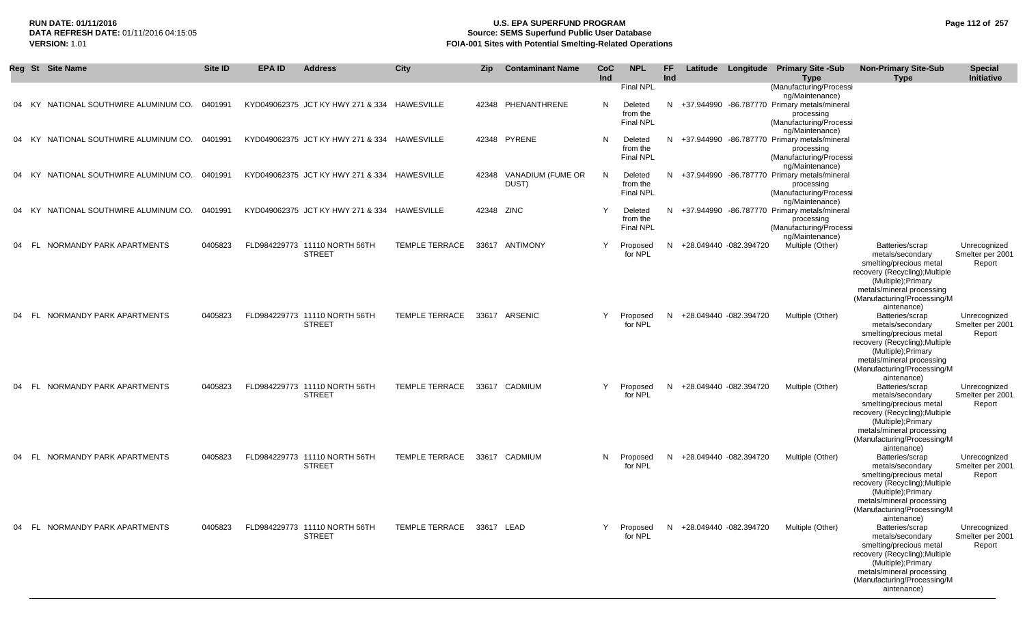# **RUN DATE: 01/11/2016 U.S. EPA SUPERFUND PROGRAM Page 112 of 257 DATA REFRESH DATE:** 01/11/2016 04:15:05 **Source: SEMS Superfund Public User Database VERSION:** 1.01 **FOIA-001 Sites with Potential Smelting-Related Operations**

|       |      | Reg St Site Name                      | Site ID | <b>EPA ID</b> | <b>Address</b>                                 | <b>City</b>           | Zip        | <b>Contaminant Name</b>    | CoC<br>Ind   | <b>NPL</b>                                           | FF.<br>Ind | Latitude                 | Longitude | <b>Primary Site -Sub</b><br>Type                                                                                                      | <b>Non-Primary Site-Sub</b><br><b>Type</b>                                                                                                                                                         | <b>Special</b><br>Initiative               |
|-------|------|---------------------------------------|---------|---------------|------------------------------------------------|-----------------------|------------|----------------------------|--------------|------------------------------------------------------|------------|--------------------------|-----------|---------------------------------------------------------------------------------------------------------------------------------------|----------------------------------------------------------------------------------------------------------------------------------------------------------------------------------------------------|--------------------------------------------|
|       |      | 04 KY NATIONAL SOUTHWIRE ALUMINUM CO. | 0401991 |               | KYD049062375 JCT KY HWY 271 & 334 HAWESVILLE   |                       | 42348      | PHENANTHRENE               | N            | Final NPL<br>Deleted<br>from the<br><b>Final NPL</b> |            |                          |           | (Manufacturing/Processi<br>ng/Maintenance)<br>N +37.944990 -86.787770 Primary metals/mineral<br>processing<br>(Manufacturing/Processi |                                                                                                                                                                                                    |                                            |
|       |      | 04 KY NATIONAL SOUTHWIRE ALUMINUM CO. | 0401991 |               | KYD049062375 JCT KY HWY 271 & 334 HAWESVILLE   |                       |            | 42348 PYRENE               | N            | Deleted<br>from the<br><b>Final NPL</b>              |            |                          |           | ng/Maintenance)<br>N +37.944990 -86.787770 Primary metals/mineral<br>processing<br>(Manufacturing/Processi                            |                                                                                                                                                                                                    |                                            |
| 04    | KY.  | NATIONAL SOUTHWIRE ALUMINUM CO.       | 0401991 |               | KYD049062375 JCT KY HWY 271 & 334              | HAWESVILLE            | 42348      | VANADIUM (FUME OR<br>DUST) | N            | Deleted<br>from the<br><b>Final NPL</b>              |            |                          |           | ng/Maintenance)<br>N +37.944990 -86.787770 Primary metals/mineral<br>processing<br>(Manufacturing/Processi                            |                                                                                                                                                                                                    |                                            |
| 04    | KY.  | NATIONAL SOUTHWIRE ALUMINUM CO.       | 0401991 |               | KYD049062375 JCT KY HWY 271 & 334 HAWESVILLE   |                       | 42348      | <b>ZINC</b>                | $\mathsf{Y}$ | Deleted<br>from the<br><b>Final NPL</b>              |            |                          |           | ng/Maintenance)<br>N +37.944990 -86.787770 Primary metals/mineral<br>processing<br>(Manufacturing/Processi                            |                                                                                                                                                                                                    |                                            |
| 04    | FL.  | NORMANDY PARK APARTMENTS              | 0405823 |               | FLD984229773 11110 NORTH 56TH<br><b>STREET</b> | <b>TEMPLE TERRACE</b> |            | 33617 ANTIMONY             | Y            | Proposed<br>for NPL                                  |            | N +28.049440 -082.394720 |           | ng/Maintenance)<br>Multiple (Other)                                                                                                   | Batteries/scrap<br>metals/secondary<br>smelting/precious metal<br>recovery (Recycling); Multiple<br>(Multiple); Primary<br>metals/mineral processing<br>(Manufacturing/Processing/M<br>aintenance) | Unrecognized<br>Smelter per 2001<br>Report |
| 04    | - FL | NORMANDY PARK APARTMENTS              | 0405823 |               | FLD984229773 11110 NORTH 56TH<br><b>STREET</b> | <b>TEMPLE TERRACE</b> |            | 33617 ARSENIC              | Y            | Proposed<br>for NPL                                  |            | N +28.049440 -082.394720 |           | Multiple (Other)                                                                                                                      | Batteries/scrap<br>metals/secondary<br>smelting/precious metal<br>recovery (Recycling); Multiple<br>(Multiple); Primary<br>metals/mineral processing<br>(Manufacturing/Processing/M<br>aintenance) | Unrecognized<br>Smelter per 2001<br>Report |
| 04 FL |      | NORMANDY PARK APARTMENTS              | 0405823 |               | FLD984229773 11110 NORTH 56TH<br><b>STREET</b> | <b>TEMPLE TERRACE</b> |            | 33617 CADMIUM              | Y            | Proposed<br>for NPL                                  |            | N +28.049440 -082.394720 |           | Multiple (Other)                                                                                                                      | Batteries/scrap<br>metals/secondary<br>smelting/precious metal<br>recovery (Recycling); Multiple<br>(Multiple); Primary<br>metals/mineral processing<br>(Manufacturing/Processing/M<br>aintenance) | Unrecognized<br>Smelter per 2001<br>Report |
|       |      | 04 FL NORMANDY PARK APARTMENTS        | 0405823 |               | FLD984229773 11110 NORTH 56TH<br><b>STREET</b> | TEMPLE TERRACE        |            | 33617 CADMIUM              | N            | Proposed<br>for NPL                                  |            | N +28.049440 -082.394720 |           | Multiple (Other)                                                                                                                      | Batteries/scrap<br>metals/secondary<br>smelting/precious metal<br>recovery (Recycling); Multiple<br>(Multiple); Primary<br>metals/mineral processing<br>(Manufacturing/Processing/M<br>aintenance) | Unrecognized<br>Smelter per 2001<br>Report |
|       |      | 04 FL NORMANDY PARK APARTMENTS        | 0405823 |               | FLD984229773 11110 NORTH 56TH<br><b>STREET</b> | TEMPLE TERRACE        | 33617 LEAD |                            | Y            | Proposed<br>for NPL                                  |            | N +28.049440 -082.394720 |           | Multiple (Other)                                                                                                                      | Batteries/scrap<br>metals/secondary<br>smelting/precious metal<br>recovery (Recycling); Multiple<br>(Multiple); Primary<br>metals/mineral processing<br>(Manufacturing/Processing/M<br>aintenance) | Unrecognized<br>Smelter per 2001<br>Report |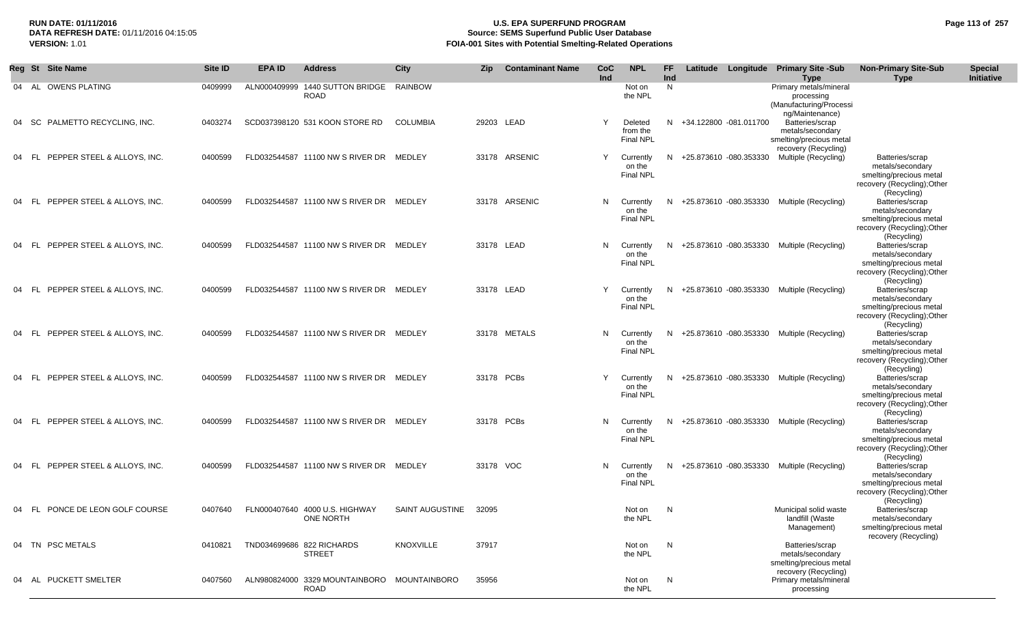# **RUN DATE: 01/11/2016 U.S. EPA SUPERFUND PROGRAM Page 113 of 257 Source: SEMS Superfund Public User Database VERSION:** 1.01 **FOIA-001 Sites with Potential Smelting-Related Operations**

|       | Reg St Site Name                    | Site ID | EPA ID       | <b>Address</b>                                      | City            | Zip       | <b>Contaminant Name</b> | CoC<br>Ind | <b>NPL</b>                              | <b>FF</b><br><b>Ind</b> |                          | Latitude Longitude Primary Site -Sub<br><b>Type</b>                                    | <b>Non-Primary Site-Sub</b><br><b>Type</b>                                                                   | <b>Special</b><br>Initiative |
|-------|-------------------------------------|---------|--------------|-----------------------------------------------------|-----------------|-----------|-------------------------|------------|-----------------------------------------|-------------------------|--------------------------|----------------------------------------------------------------------------------------|--------------------------------------------------------------------------------------------------------------|------------------------------|
|       | 04 AL OWENS PLATING                 | 0409999 | ALN000409999 | 1440 SUTTON BRIDGE<br><b>ROAD</b>                   | RAINBOW         |           |                         |            | Not on<br>the NPL                       | N                       |                          | Primary metals/mineral<br>processing<br>(Manufacturing/Processi<br>ng/Maintenance)     |                                                                                                              |                              |
| 04    | PALMETTO RECYCLING, INC.<br>- SC    | 0403274 |              | SCD037398120 531 KOON STORE RD                      | <b>COLUMBIA</b> |           | 29203 LEAD              | Y          | Deleted<br>from the<br><b>Final NPL</b> |                         | N +34.122800 -081.011700 | Batteries/scrap<br>metals/secondary<br>smelting/precious metal<br>recovery (Recycling) |                                                                                                              |                              |
| 04    | PEPPER STEEL & ALLOYS, INC.<br>- FL | 0400599 |              | FLD032544587 11100 NW S RIVER DR MEDLEY             |                 |           | 33178 ARSENIC           | Y          | Currently<br>on the<br><b>Final NPL</b> |                         | N +25.873610 -080.353330 | Multiple (Recycling)                                                                   | Batteries/scrap<br>metals/secondary<br>smelting/precious metal<br>recovery (Recycling); Other<br>(Recycling) |                              |
| 04    | PEPPER STEEL & ALLOYS, INC.<br>- FL | 0400599 |              | FLD032544587 11100 NW S RIVER DR MEDLEY             |                 |           | 33178 ARSENIC           | N          | Currently<br>on the<br><b>Final NPL</b> |                         | N +25.873610 -080.353330 | Multiple (Recycling)                                                                   | Batteries/scrap<br>metals/secondary<br>smelting/precious metal<br>recovery (Recycling); Other<br>(Recycling) |                              |
| 04    | PEPPER STEEL & ALLOYS, INC.<br>- FL | 0400599 |              | FLD032544587 11100 NW S RIVER DR MEDLEY             |                 |           | 33178 LEAD              | N          | Currently<br>on the<br><b>Final NPL</b> |                         | N +25.873610 -080.353330 | Multiple (Recycling)                                                                   | Batteries/scrap<br>metals/secondary<br>smelting/precious metal<br>recovery (Recycling);Other<br>(Recycling)  |                              |
| 04 FL | PEPPER STEEL & ALLOYS, INC.         | 0400599 |              | FLD032544587 11100 NW S RIVER DR MEDLEY             |                 |           | 33178 LEAD              | Y          | Currently<br>on the<br><b>Final NPL</b> |                         | N +25.873610 -080.353330 | Multiple (Recycling)                                                                   | Batteries/scrap<br>metals/secondary<br>smelting/precious metal<br>recovery (Recycling); Other<br>(Recycling) |                              |
| 04    | PEPPER STEEL & ALLOYS, INC.<br>FL   | 0400599 |              | FLD032544587 11100 NW S RIVER DR MEDLEY             |                 |           | 33178 METALS            | N          | Currently<br>on the<br><b>Final NPL</b> |                         | N +25.873610 -080.353330 | Multiple (Recycling)                                                                   | Batteries/scrap<br>metals/secondary<br>smelting/precious metal<br>recovery (Recycling); Other<br>(Recycling) |                              |
| 04    | PEPPER STEEL & ALLOYS, INC.<br>- FL | 0400599 |              | FLD032544587 11100 NW S RIVER DR                    | MEDLEY          |           | 33178 PCBs              | Y          | Currently<br>on the<br><b>Final NPL</b> |                         | N +25.873610 -080.353330 | Multiple (Recycling)                                                                   | Batteries/scrap<br>metals/secondary<br>smelting/precious metal<br>recovery (Recycling); Other<br>(Recycling) |                              |
| 04    | PEPPER STEEL & ALLOYS, INC.<br>- FL | 0400599 |              | FLD032544587 11100 NW S RIVER DR MEDLEY             |                 |           | 33178 PCBs              | N          | Currently<br>on the<br>Final NPL        |                         | N +25.873610 -080.353330 | Multiple (Recycling)                                                                   | Batteries/scrap<br>metals/secondary<br>smelting/precious metal<br>recovery (Recycling); Other<br>(Recycling) |                              |
| 04    | PEPPER STEEL & ALLOYS, INC.<br>- FL | 0400599 |              | FLD032544587 11100 NW S RIVER DR MEDLEY             |                 | 33178 VOC |                         | N          | Currently<br>on the<br><b>Final NPL</b> |                         | N +25.873610 -080.353330 | Multiple (Recycling)                                                                   | Batteries/scrap<br>metals/secondary<br>smelting/precious metal<br>recovery (Recycling); Other<br>(Recycling) |                              |
|       | 04 FL PONCE DE LEON GOLF COURSE     | 0407640 |              | FLN000407640 4000 U.S. HIGHWAY<br>ONE NORTH         | SAINT AUGUSTINE | 32095     |                         |            | Not on<br>the NPL                       | N                       |                          | Municipal solid waste<br>landfill (Waste<br>Management)                                | Batteries/scrap<br>metals/secondary<br>smelting/precious metal<br>recovery (Recycling)                       |                              |
|       | 04 TN PSC METALS                    | 0410821 |              | TND034699686 822 RICHARDS<br><b>STREET</b>          | KNOXVILLE       | 37917     |                         |            | Not on<br>the NPL                       | N                       |                          | Batteries/scrap<br>metals/secondary<br>smelting/precious metal<br>recovery (Recycling) |                                                                                                              |                              |
| 04    | AL PUCKETT SMELTER                  | 0407560 |              | ALN980824000 3329 MOUNTAINBORO MOUNTAINBORO<br>ROAD |                 | 35956     |                         |            | Not on<br>the NPL                       | N                       |                          | Primary metals/mineral<br>processing                                                   |                                                                                                              |                              |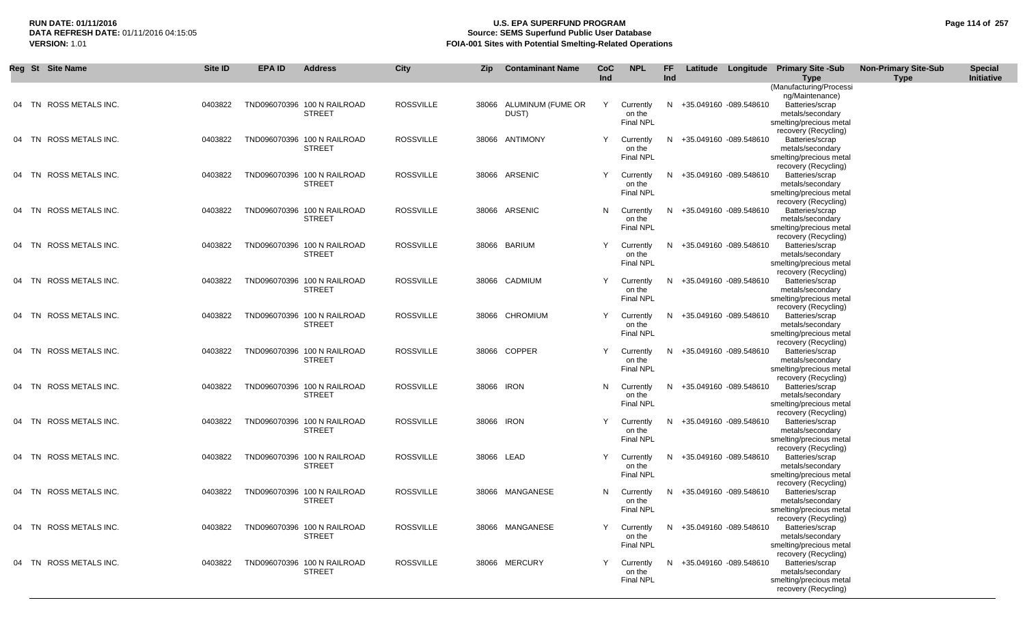# **RUN DATE: 01/11/2016 U.S. EPA SUPERFUND PROGRAM Page 114 of 257 Source: SEMS Superfund Public User Database VERSION:** 1.01 **FOIA-001 Sites with Potential Smelting-Related Operations**

| Reg St Site Name       | Site ID | <b>EPA ID</b> | <b>Address</b>                               | <b>City</b>      | <b>Zip</b> | <b>Contaminant Name</b>          | <b>CoC</b><br>Ind | <b>NPL</b>                              | FF.<br>Ind |                          | Latitude Longitude Primary Site -Sub<br><b>Type</b>                                                            | <b>Non-Primary Site-Sub</b><br><b>Type</b> | <b>Special</b><br>Initiative |
|------------------------|---------|---------------|----------------------------------------------|------------------|------------|----------------------------------|-------------------|-----------------------------------------|------------|--------------------------|----------------------------------------------------------------------------------------------------------------|--------------------------------------------|------------------------------|
|                        |         |               |                                              |                  |            |                                  |                   |                                         |            |                          | (Manufacturing/Processi                                                                                        |                                            |                              |
| 04 TN ROSS METALS INC. | 0403822 |               | TND096070396 100 N RAILROAD<br><b>STREET</b> | <b>ROSSVILLE</b> |            | 38066 ALUMINUM (FUME OR<br>DUST) | Y                 | Currently<br>on the<br><b>Final NPL</b> |            | N +35.049160 -089.548610 | ng/Maintenance)<br>Batteries/scrap<br>metals/secondary<br>smelting/precious metal                              |                                            |                              |
| 04 TN ROSS METALS INC. | 0403822 |               | TND096070396 100 N RAILROAD<br><b>STREET</b> | <b>ROSSVILLE</b> |            | 38066 ANTIMONY                   | Y                 | Currently<br>on the<br><b>Final NPL</b> | N          | +35.049160 -089.548610   | recovery (Recycling)<br>Batteries/scrap<br>metals/secondary<br>smelting/precious metal                         |                                            |                              |
| 04 TN ROSS METALS INC. | 0403822 |               | TND096070396 100 N RAILROAD<br><b>STREET</b> | <b>ROSSVILLE</b> |            | 38066 ARSENIC                    |                   | Currently<br>on the<br><b>Final NPL</b> | N          | +35.049160 -089.548610   | recovery (Recycling)<br>Batteries/scrap<br>metals/secondary<br>smelting/precious metal                         |                                            |                              |
| 04 TN ROSS METALS INC. | 0403822 |               | TND096070396 100 N RAILROAD<br><b>STREET</b> | ROSSVILLE        |            | 38066 ARSENIC                    | N                 | Currently<br>on the<br>Final NPL        | N          | +35.049160 -089.548610   | recovery (Recycling)<br>Batteries/scrap<br>metals/secondary<br>smelting/precious metal                         |                                            |                              |
| 04 TN ROSS METALS INC. | 0403822 |               | TND096070396 100 N RAILROAD<br><b>STREET</b> | <b>ROSSVILLE</b> |            | 38066 BARIUM                     | Y                 | Currently<br>on the<br>Final NPL        | N          | +35.049160 -089.548610   | recovery (Recycling)<br>Batteries/scrap<br>metals/secondary<br>smelting/precious metal                         |                                            |                              |
| 04 TN ROSS METALS INC. | 0403822 |               | TND096070396 100 N RAILROAD<br><b>STREET</b> | <b>ROSSVILLE</b> |            | 38066 CADMIUM                    | Y                 | Currently<br>on the<br>Final NPL        | N.         | +35.049160 -089.548610   | recovery (Recycling)<br>Batteries/scrap<br>metals/secondary<br>smelting/precious metal                         |                                            |                              |
| 04 TN ROSS METALS INC. | 0403822 |               | TND096070396 100 N RAILROAD<br><b>STREET</b> | <b>ROSSVILLE</b> |            | 38066 CHROMIUM                   | Y                 | Currently<br>on the<br>Final NPL        |            | N +35.049160 -089.548610 | recovery (Recycling)<br>Batteries/scrap<br>metals/secondary<br>smelting/precious metal                         |                                            |                              |
| 04 TN ROSS METALS INC. | 0403822 |               | TND096070396 100 N RAILROAD<br><b>STREET</b> | <b>ROSSVILLE</b> |            | 38066 COPPER                     | Y                 | Currently<br>on the<br><b>Final NPL</b> |            | N +35.049160 -089.548610 | recovery (Recycling)<br>Batteries/scrap<br>metals/secondary<br>smelting/precious metal                         |                                            |                              |
| 04 TN ROSS METALS INC. | 0403822 |               | TND096070396 100 N RAILROAD<br><b>STREET</b> | <b>ROSSVILLE</b> | 38066 IRON |                                  | N.                | Currently<br>on the<br><b>Final NPL</b> |            | N +35.049160 -089.548610 | recovery (Recycling)<br>Batteries/scrap<br>metals/secondary<br>smelting/precious metal<br>recovery (Recycling) |                                            |                              |
| 04 TN ROSS METALS INC. | 0403822 |               | TND096070396 100 N RAILROAD<br><b>STREET</b> | <b>ROSSVILLE</b> | 38066 IRON |                                  | Y                 | Currently<br>on the<br><b>Final NPL</b> |            | N +35.049160 -089.548610 | Batteries/scrap<br>metals/secondary<br>smelting/precious metal<br>recovery (Recycling)                         |                                            |                              |
| 04 TN ROSS METALS INC. | 0403822 |               | TND096070396 100 N RAILROAD<br><b>STREET</b> | <b>ROSSVILLE</b> | 38066 LEAD |                                  | Y                 | Currently<br>on the<br><b>Final NPL</b> |            | N +35.049160 -089.548610 | Batteries/scrap<br>metals/secondary<br>smelting/precious metal<br>recovery (Recycling)                         |                                            |                              |
| 04 TN ROSS METALS INC. | 0403822 |               | TND096070396 100 N RAILROAD<br><b>STREET</b> | <b>ROSSVILLE</b> |            | 38066 MANGANESE                  | N.                | Currently<br>on the<br><b>Final NPL</b> |            | N +35.049160 -089.548610 | Batteries/scrap<br>metals/secondary<br>smelting/precious metal<br>recovery (Recycling)                         |                                            |                              |
| 04 TN ROSS METALS INC. | 0403822 |               | TND096070396 100 N RAILROAD<br><b>STREET</b> | <b>ROSSVILLE</b> |            | 38066 MANGANESE                  |                   | Y Currently<br>on the<br>Final NPL      |            | N +35.049160 -089.548610 | Batteries/scrap<br>metals/secondary<br>smelting/precious metal<br>recovery (Recycling)                         |                                            |                              |
| 04 TN ROSS METALS INC. | 0403822 |               | TND096070396 100 N RAILROAD<br><b>STREET</b> | <b>ROSSVILLE</b> |            | 38066 MERCURY                    |                   | Currently<br>on the<br><b>Final NPL</b> |            | N +35.049160 -089.548610 | Batteries/scrap<br>metals/secondary<br>smelting/precious metal<br>recovery (Recycling)                         |                                            |                              |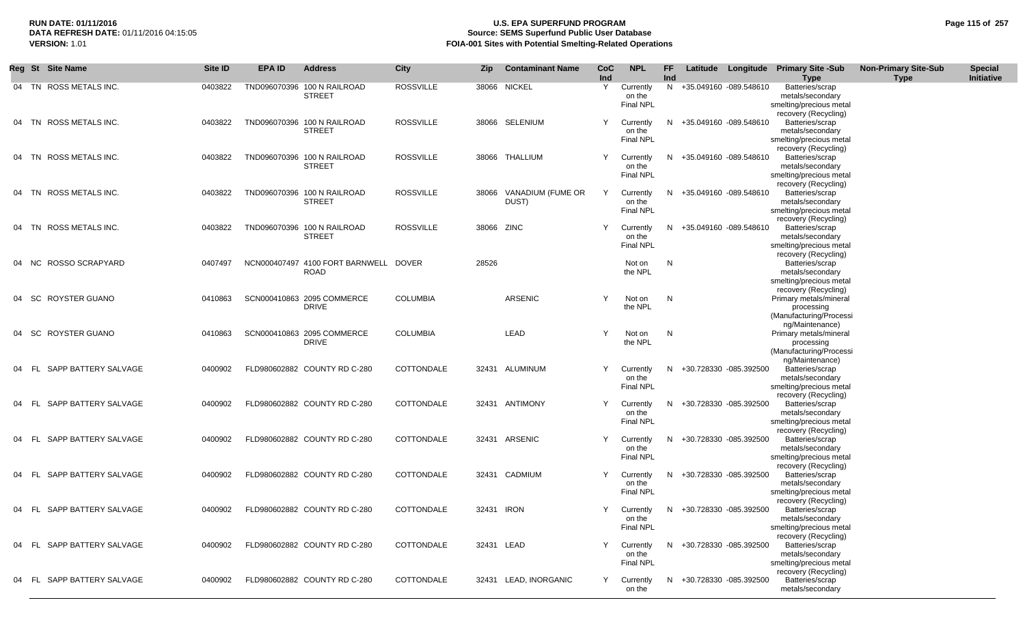# **RUN DATE: 01/11/2016 U.S. EPA SUPERFUND PROGRAM Page 115 of 257 Source: SEMS Superfund Public User Database VERSION:** 1.01 **FOIA-001 Sites with Potential Smelting-Related Operations**

|  | Reg St Site Name           | Site ID | <b>EPA ID</b> | <b>Address</b>                                       | <b>City</b>      | Zip        | <b>Contaminant Name</b>    | <b>CoC</b><br>Ind | <b>NPL</b>                              | FF.<br>Ind |                          | Latitude Longitude Primary Site -Sub<br>Type                                            | <b>Non-Primary Site-Sub</b><br><b>Type</b> | <b>Special</b><br>Initiative |
|--|----------------------------|---------|---------------|------------------------------------------------------|------------------|------------|----------------------------|-------------------|-----------------------------------------|------------|--------------------------|-----------------------------------------------------------------------------------------|--------------------------------------------|------------------------------|
|  | 04 TN ROSS METALS INC.     | 0403822 | TND096070396  | 100 N RAILROAD<br><b>STREET</b>                      | <b>ROSSVILLE</b> | 38066      | NICKEL                     | Y                 | Currently<br>on the<br>Final NPL        |            | N +35.049160 -089.548610 | Batteries/scrap<br>metals/secondary<br>smelting/precious metal<br>recovery (Recycling)  |                                            |                              |
|  | 04 TN ROSS METALS INC.     | 0403822 |               | TND096070396 100 N RAILROAD<br><b>STREET</b>         | <b>ROSSVILLE</b> |            | 38066 SELENIUM             | Y                 | Currently<br>on the<br>Final NPL        | N.         | +35.049160 -089.548610   | Batteries/scrap<br>metals/secondary<br>smelting/precious metal<br>recovery (Recycling)  |                                            |                              |
|  | 04 TN ROSS METALS INC.     | 0403822 |               | TND096070396 100 N RAILROAD<br><b>STREET</b>         | <b>ROSSVILLE</b> |            | 38066 THALLIUM             | Y                 | Currently<br>on the<br><b>Final NPL</b> | N          | +35.049160 -089.548610   | Batteries/scrap<br>metals/secondary<br>smelting/precious metal<br>recovery (Recycling)  |                                            |                              |
|  | 04 TN ROSS METALS INC.     | 0403822 |               | TND096070396 100 N RAILROAD<br><b>STREET</b>         | <b>ROSSVILLE</b> | 38066      | VANADIUM (FUME OR<br>DUST) | Y                 | Currently<br>on the<br><b>Final NPL</b> | N.         | +35.049160 -089.548610   | Batteries/scrap<br>metals/secondary<br>smelting/precious metal<br>recovery (Recycling)  |                                            |                              |
|  | 04 TN ROSS METALS INC.     | 0403822 |               | TND096070396 100 N RAILROAD<br><b>STREET</b>         | <b>ROSSVILLE</b> | 38066 ZINC |                            | Υ                 | Currently<br>on the<br><b>Final NPL</b> | N.         | +35.049160 -089.548610   | Batteries/scrap<br>metals/secondary<br>smelting/precious metal                          |                                            |                              |
|  | 04 NC ROSSO SCRAPYARD      | 0407497 |               | NCN000407497 4100 FORT BARNWELL DOVER<br><b>ROAD</b> |                  | 28526      |                            |                   | Not on<br>the NPL                       | N          |                          | recovery (Recycling)<br>Batteries/scrap<br>metals/secondary<br>smelting/precious metal  |                                            |                              |
|  | 04 SC ROYSTER GUANO        | 0410863 |               | SCN000410863 2095 COMMERCE<br><b>DRIVE</b>           | <b>COLUMBIA</b>  |            | <b>ARSENIC</b>             | Y                 | Not on<br>the NPL                       | N          |                          | recovery (Recycling)<br>Primary metals/mineral<br>processing<br>(Manufacturing/Processi |                                            |                              |
|  | 04 SC ROYSTER GUANO        | 0410863 |               | SCN000410863 2095 COMMERCE<br><b>DRIVE</b>           | <b>COLUMBIA</b>  |            | LEAD                       | Y                 | Not on<br>the NPL                       | N          |                          | ng/Maintenance)<br>Primary metals/mineral<br>processing<br>(Manufacturing/Processi      |                                            |                              |
|  | 04 FL SAPP BATTERY SALVAGE | 0400902 |               | FLD980602882 COUNTY RD C-280                         | COTTONDALE       |            | 32431 ALUMINUM             | Y                 | Currently<br>on the<br>Final NPL        | N          | +30.728330 -085.392500   | ng/Maintenance)<br>Batteries/scrap<br>metals/secondary<br>smelting/precious metal       |                                            |                              |
|  | 04 FL SAPP BATTERY SALVAGE | 0400902 |               | FLD980602882 COUNTY RD C-280                         | COTTONDALE       |            | 32431 ANTIMONY             | Y                 | Currently<br>on the<br>Final NPL        | N          | +30.728330 -085.392500   | recovery (Recycling)<br>Batteries/scrap<br>metals/secondary<br>smelting/precious metal  |                                            |                              |
|  | 04 FL SAPP BATTERY SALVAGE | 0400902 |               | FLD980602882 COUNTY RD C-280                         | COTTONDALE       |            | 32431 ARSENIC              | Y                 | Currently<br>on the<br><b>Final NPL</b> | N.         | +30.728330 -085.392500   | recovery (Recycling)<br>Batteries/scrap<br>metals/secondary<br>smelting/precious metal  |                                            |                              |
|  | 04 FL SAPP BATTERY SALVAGE | 0400902 |               | FLD980602882 COUNTY RD C-280                         | COTTONDALE       |            | 32431 CADMIUM              | Y                 | Currently<br>on the<br><b>Final NPL</b> | N.         | +30.728330 -085.392500   | recovery (Recycling)<br>Batteries/scrap<br>metals/secondary<br>smelting/precious metal  |                                            |                              |
|  | 04 FL SAPP BATTERY SALVAGE | 0400902 |               | FLD980602882 COUNTY RD C-280                         | COTTONDALE       | 32431      | <b>IRON</b>                | Y                 | Currently<br>on the<br><b>Final NPL</b> | N.         | +30.728330 -085.392500   | recovery (Recycling)<br>Batteries/scrap<br>metals/secondary<br>smelting/precious metal  |                                            |                              |
|  | 04 FL SAPP BATTERY SALVAGE | 0400902 |               | FLD980602882 COUNTY RD C-280                         | COTTONDALE       | 32431 LEAD |                            | Y                 | Currently<br>on the<br><b>Final NPL</b> | N.         | +30.728330 -085.392500   | recovery (Recycling)<br>Batteries/scrap<br>metals/secondary<br>smelting/precious metal  |                                            |                              |
|  | 04 FL SAPP BATTERY SALVAGE | 0400902 |               | FLD980602882 COUNTY RD C-280                         | COTTONDALE       |            | 32431 LEAD, INORGANIC      | Y                 | Currently<br>on the                     | N.         | +30.728330 -085.392500   | recovery (Recycling)<br>Batteries/scrap<br>metals/secondary                             |                                            |                              |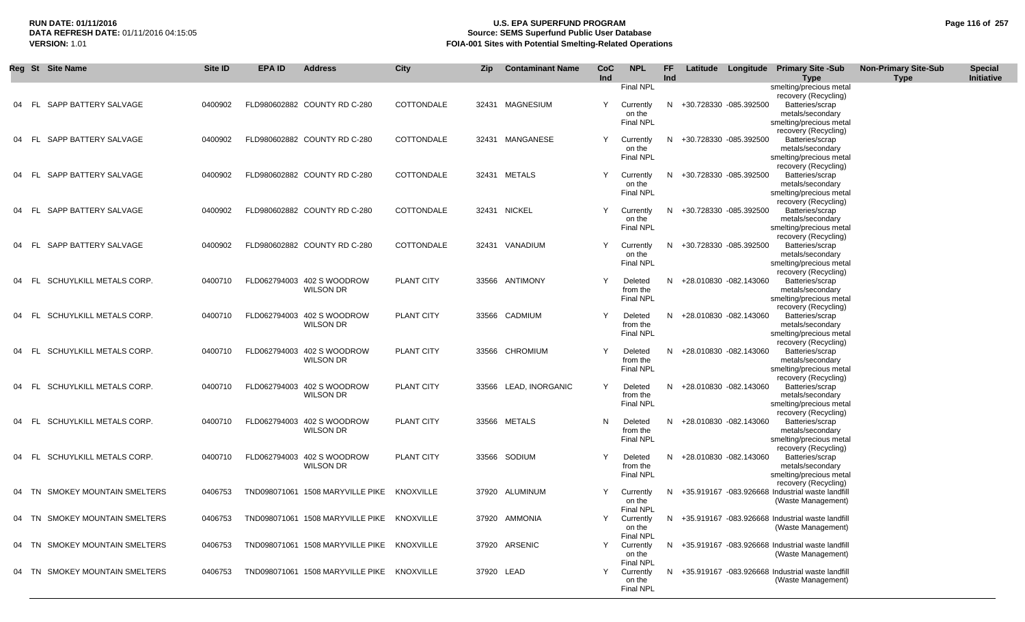# **RUN DATE: 01/11/2016 U.S. EPA SUPERFUND PROGRAM Page 116 of 257 Source: SEMS Superfund Public User Database VERSION:** 1.01 **FOIA-001 Sites with Potential Smelting-Related Operations**

|       | Reg St Site Name               | Site ID | <b>EPA ID</b> | <b>Address</b>                                 | <b>City</b> | Zip        | <b>Contaminant Name</b> | CoC<br>Ind | <b>NPL</b>                              | <b>FF</b><br><b>Ind</b> |                          | Latitude Longitude Primary Site -Sub<br>Type                                                                   | <b>Non-Primary Site-Sub</b><br>Type | <b>Special</b><br>Initiative |
|-------|--------------------------------|---------|---------------|------------------------------------------------|-------------|------------|-------------------------|------------|-----------------------------------------|-------------------------|--------------------------|----------------------------------------------------------------------------------------------------------------|-------------------------------------|------------------------------|
|       |                                |         |               |                                                |             |            |                         |            | Final NPL                               |                         |                          | smelting/precious metal<br>recovery (Recycling)                                                                |                                     |                              |
| 04 FL | SAPP BATTERY SALVAGE           | 0400902 |               | FLD980602882 COUNTY RD C-280                   | COTTONDALE  |            | 32431 MAGNESIUM         | Y          | Currently<br>on the<br><b>Final NPL</b> |                         | N +30.728330 -085.392500 | Batteries/scrap<br>metals/secondary<br>smelting/precious metal<br>recovery (Recycling)                         |                                     |                              |
| 04 FL | SAPP BATTERY SALVAGE           | 0400902 |               | FLD980602882 COUNTY RD C-280                   | COTTONDALE  |            | 32431 MANGANESE         | Y          | Currently<br>on the<br><b>Final NPL</b> |                         | N +30.728330 -085.392500 | Batteries/scrap<br>metals/secondary<br>smelting/precious metal                                                 |                                     |                              |
| 04 FL | SAPP BATTERY SALVAGE           | 0400902 |               | FLD980602882 COUNTY RD C-280                   | COTTONDALE  |            | 32431 METALS            | Y          | Currently<br>on the<br><b>Final NPL</b> |                         | N +30.728330 -085.392500 | recovery (Recycling)<br>Batteries/scrap<br>metals/secondary<br>smelting/precious metal                         |                                     |                              |
| 04 FL | SAPP BATTERY SALVAGE           | 0400902 |               | FLD980602882 COUNTY RD C-280                   | COTTONDALE  |            | 32431 NICKEL            | Υ          | Currently<br>on the<br><b>Final NPL</b> |                         | N +30.728330 -085.392500 | recovery (Recycling)<br>Batteries/scrap<br>metals/secondary<br>smelting/precious metal                         |                                     |                              |
|       | 04 FL SAPP BATTERY SALVAGE     | 0400902 |               | FLD980602882 COUNTY RD C-280                   | COTTONDALE  |            | 32431 VANADIUM          |            | Currently<br>on the<br>Final NPL        |                         | N +30.728330 -085.392500 | recovery (Recycling)<br>Batteries/scrap<br>metals/secondary<br>smelting/precious metal                         |                                     |                              |
| 04 FL | SCHUYLKILL METALS CORP.        | 0400710 |               | FLD062794003 402 S WOODROW<br><b>WILSON DR</b> | PLANT CITY  |            | 33566 ANTIMONY          |            | Deleted<br>from the<br><b>Final NPL</b> |                         | N +28.010830 -082.143060 | recovery (Recycling)<br>Batteries/scrap<br>metals/secondary<br>smelting/precious metal                         |                                     |                              |
| 04 FL | SCHUYLKILL METALS CORP.        | 0400710 |               | FLD062794003 402 S WOODROW<br><b>WILSON DR</b> | PLANT CITY  |            | 33566 CADMIUM           | Y          | Deleted<br>from the<br><b>Final NPL</b> |                         | N +28.010830 -082.143060 | recovery (Recycling)<br>Batteries/scrap<br>metals/secondary<br>smelting/precious metal                         |                                     |                              |
|       | 04 FL SCHUYLKILL METALS CORP.  | 0400710 |               | FLD062794003 402 S WOODROW<br><b>WILSON DR</b> | PLANT CITY  |            | 33566 CHROMIUM          | Y          | Deleted<br>from the<br>Final NPL        |                         | N +28.010830 -082.143060 | recovery (Recycling)<br>Batteries/scrap<br>metals/secondary<br>smelting/precious metal<br>recovery (Recycling) |                                     |                              |
|       | 04 FL SCHUYLKILL METALS CORP.  | 0400710 |               | FLD062794003 402 S WOODROW<br><b>WILSON DR</b> | PLANT CITY  |            | 33566 LEAD, INORGANIC   | Y          | Deleted<br>from the<br>Final NPL        |                         | N +28.010830 -082.143060 | Batteries/scrap<br>metals/secondary<br>smelting/precious metal<br>recovery (Recycling)                         |                                     |                              |
| 04 FL | SCHUYLKILL METALS CORP.        | 0400710 |               | FLD062794003 402 S WOODROW<br><b>WILSON DR</b> | PLANT CITY  |            | 33566 METALS            | N          | Deleted<br>from the<br><b>Final NPL</b> |                         | N +28.010830 -082.143060 | Batteries/scrap<br>metals/secondary<br>smelting/precious metal<br>recovery (Recycling)                         |                                     |                              |
| 04 FL | SCHUYLKILL METALS CORP.        | 0400710 |               | FLD062794003 402 S WOODROW<br><b>WILSON DR</b> | PLANT CITY  |            | 33566 SODIUM            | Y          | Deleted<br>from the<br><b>Final NPL</b> |                         | N +28.010830 -082.143060 | Batteries/scrap<br>metals/secondary<br>smelting/precious metal<br>recovery (Recycling)                         |                                     |                              |
|       | 04 TN SMOKEY MOUNTAIN SMELTERS | 0406753 |               | TND098071061 1508 MARYVILLE PIKE               | KNOXVILLE   |            | 37920 ALUMINUM          | Y          | Currently<br>on the<br><b>Final NPL</b> |                         |                          | N +35.919167 -083.926668 Industrial waste landfill<br>(Waste Management)                                       |                                     |                              |
|       | 04 TN SMOKEY MOUNTAIN SMELTERS | 0406753 |               | TND098071061 1508 MARYVILLE PIKE KNOXVILLE     |             |            | 37920 AMMONIA           |            | Currently<br>on the<br>Final NPL        |                         |                          | N +35.919167 -083.926668 Industrial waste landfill<br>(Waste Management)                                       |                                     |                              |
|       | 04 TN SMOKEY MOUNTAIN SMELTERS | 0406753 |               | TND098071061 1508 MARYVILLE PIKE KNOXVILLE     |             |            | 37920 ARSENIC           | Y          | Currently<br>on the<br>Final NPL        |                         |                          | N +35.919167 -083.926668 Industrial waste landfill<br>(Waste Management)                                       |                                     |                              |
| 04 TN | SMOKEY MOUNTAIN SMELTERS       | 0406753 |               | TND098071061 1508 MARYVILLE PIKE KNOXVILLE     |             | 37920 LEAD |                         | Y          | Currently<br>on the<br><b>Final NPL</b> |                         |                          | N +35.919167 -083.926668 Industrial waste landfill<br>(Waste Management)                                       |                                     |                              |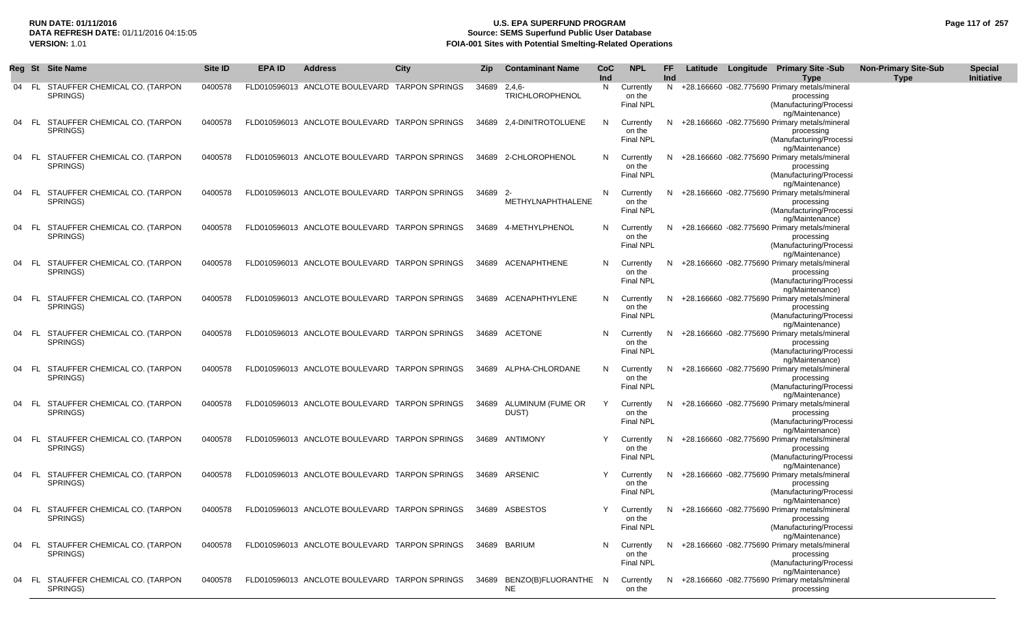### **RUN DATE: 01/11/2016 U.S. EPA SUPERFUND PROGRAM Page 117 of 257** DATA REFRESH DATE: 01/11/2016 04:15:05<br>**VERSION: 1.01** Source: SEMS Superfund Public User Database<br>FOIA-001 Sites with Potential Smelting-Related Operat **FOIA-001 Sites with Potential Smelting-Related Operations**

|       |       | Reg St Site Name                                | Site ID | <b>EPA ID</b> | <b>Address</b>                                | City | Zip      | <b>Contaminant Name</b>          | <b>CoC</b><br>Ind | <b>NPL</b>                              | FF<br>Ind |  | Latitude Longitude Primary Site -Sub<br>Type                                                                  | <b>Non-Primary Site-Sub</b><br><b>Type</b> | <b>Special</b><br>Initiative |
|-------|-------|-------------------------------------------------|---------|---------------|-----------------------------------------------|------|----------|----------------------------------|-------------------|-----------------------------------------|-----------|--|---------------------------------------------------------------------------------------------------------------|--------------------------------------------|------------------------------|
|       |       | 04 FL STAUFFER CHEMICAL CO. (TARPON<br>SPRINGS) | 0400578 |               | FLD010596013 ANCLOTE BOULEVARD TARPON SPRINGS |      | 34689    | $2,4,6-$<br>TRICHLOROPHENOL      | N                 | Currently<br>on the<br>Final NPL        |           |  | N +28.166660 -082.775690 Primary metals/mineral<br>processing<br>(Manufacturing/Processi<br>ng/Maintenance)   |                                            |                              |
| 04    | - FL. | STAUFFER CHEMICAL CO. (TARPON<br>SPRINGS)       | 0400578 |               | FLD010596013 ANCLOTE BOULEVARD TARPON SPRINGS |      |          | 34689 2,4-DINITROTOLUENE         |                   | Currently<br>on the<br>Final NPL        |           |  | +28.166660 -082.775690 Primary metals/mineral<br>processing<br>(Manufacturing/Processi<br>ng/Maintenance)     |                                            |                              |
| 04    | - FL  | STAUFFER CHEMICAL CO. (TARPON<br>SPRINGS)       | 0400578 |               | FLD010596013 ANCLOTE BOULEVARD TARPON SPRINGS |      |          | 34689 2-CHLOROPHENOL             |                   | Currently<br>on the<br><b>Final NPL</b> |           |  | +28.166660 -082.775690 Primary metals/mineral<br>processing<br>(Manufacturing/Processi<br>ng/Maintenance)     |                                            |                              |
| 04    | - FL  | STAUFFER CHEMICAL CO. (TARPON<br>SPRINGS)       | 0400578 |               | FLD010596013 ANCLOTE BOULEVARD TARPON SPRINGS |      | 34689 2- | METHYLNAPHTHALENE                | N                 | Currently<br>on the<br><b>Final NPL</b> |           |  | +28.166660 -082.775690 Primary metals/mineral<br>processing<br>(Manufacturing/Processi<br>ng/Maintenance)     |                                            |                              |
| 04    | - FL. | STAUFFER CHEMICAL CO. (TARPON<br>SPRINGS)       | 0400578 |               | FLD010596013 ANCLOTE BOULEVARD TARPON SPRINGS |      | 34689    | 4-METHYLPHENOL                   |                   | Currently<br>on the<br>Final NPL        |           |  | +28.166660 -082.775690 Primary metals/mineral<br>processing<br>(Manufacturing/Processi<br>ng/Maintenance)     |                                            |                              |
| 04    | - FL. | STAUFFER CHEMICAL CO. (TARPON<br>SPRINGS)       | 0400578 |               | FLD010596013 ANCLOTE BOULEVARD TARPON SPRINGS |      |          | 34689 ACENAPHTHENE               | N                 | Currently<br>on the<br><b>Final NPL</b> |           |  | +28.166660 -082.775690 Primary metals/mineral<br>processing<br>(Manufacturing/Processi<br>ng/Maintenance)     |                                            |                              |
| 04    | - FL  | STAUFFER CHEMICAL CO. (TARPON<br>SPRINGS)       | 0400578 |               | FLD010596013 ANCLOTE BOULEVARD TARPON SPRINGS |      | 34689    | ACENAPHTHYLENE                   |                   | Currently<br>on the<br><b>Final NPL</b> | N.        |  | +28.166660 -082.775690 Primary metals/mineral<br>processing<br>(Manufacturing/Processi<br>ng/Maintenance)     |                                            |                              |
|       |       | 04 FL STAUFFER CHEMICAL CO. (TARPON<br>SPRINGS) | 0400578 |               | FLD010596013 ANCLOTE BOULEVARD TARPON SPRINGS |      |          | 34689 ACETONE                    |                   | Currently<br>on the<br>Final NPL        |           |  | +28.166660 -082.775690 Primary metals/mineral<br>processing<br>(Manufacturing/Processi<br>ng/Maintenance)     |                                            |                              |
| 04 FL |       | STAUFFER CHEMICAL CO. (TARPON<br>SPRINGS)       | 0400578 |               | FLD010596013 ANCLOTE BOULEVARD TARPON SPRINGS |      |          | 34689 ALPHA-CHLORDANE            | N                 | Currently<br>on the<br>Final NPL        |           |  | $N$ +28.166660 -082.775690 Primary metals/mineral<br>processing<br>(Manufacturing/Processi<br>ng/Maintenance) |                                            |                              |
| 04    | - FL  | STAUFFER CHEMICAL CO. (TARPON<br>SPRINGS)       | 0400578 |               | FLD010596013 ANCLOTE BOULEVARD TARPON SPRINGS |      | 34689    | ALUMINUM (FUME OR<br>DUST)       |                   | Currently<br>on the<br>Final NPL        | N.        |  | +28.166660 -082.775690 Primary metals/mineral<br>processing<br>(Manufacturing/Processi<br>ng/Maintenance)     |                                            |                              |
| 04    | - FL  | STAUFFER CHEMICAL CO. (TARPON<br>SPRINGS)       | 0400578 |               | FLD010596013 ANCLOTE BOULEVARD TARPON SPRINGS |      |          | 34689 ANTIMONY                   |                   | Currently<br>on the<br><b>Final NPL</b> | N.        |  | +28.166660 -082.775690 Primary metals/mineral<br>processing<br>(Manufacturing/Processi<br>ng/Maintenance)     |                                            |                              |
| 04    | - FL  | STAUFFER CHEMICAL CO. (TARPON<br>SPRINGS)       | 0400578 |               | FLD010596013 ANCLOTE BOULEVARD TARPON SPRINGS |      |          | 34689 ARSENIC                    |                   | Currently<br>on the<br><b>Final NPL</b> |           |  | +28.166660 -082.775690 Primary metals/mineral<br>processing<br>(Manufacturing/Processi<br>ng/Maintenance)     |                                            |                              |
| 04    |       | FL STAUFFER CHEMICAL CO. (TARPON<br>SPRINGS)    | 0400578 |               | FLD010596013 ANCLOTE BOULEVARD TARPON SPRINGS |      |          | 34689 ASBESTOS                   |                   | Currently<br>on the<br>Final NPL        |           |  | N +28.166660 -082.775690 Primary metals/mineral<br>processing<br>(Manufacturing/Processi<br>ng/Maintenance)   |                                            |                              |
|       |       | 04 FL STAUFFER CHEMICAL CO. (TARPON<br>SPRINGS) | 0400578 |               | FLD010596013 ANCLOTE BOULEVARD TARPON SPRINGS |      |          | 34689 BARIUM                     |                   | Currently<br>on the<br><b>Final NPL</b> |           |  | N +28.166660 -082.775690 Primary metals/mineral<br>processing<br>(Manufacturing/Processi<br>ng/Maintenance)   |                                            |                              |
| 04    |       | FL STAUFFER CHEMICAL CO. (TARPON<br>SPRINGS)    | 0400578 |               | FLD010596013 ANCLOTE BOULEVARD TARPON SPRINGS |      |          | 34689 BENZO(B)FLUORANTHE N<br>NE |                   | Currently<br>on the                     |           |  | N +28.166660 -082.775690 Primary metals/mineral<br>processing                                                 |                                            |                              |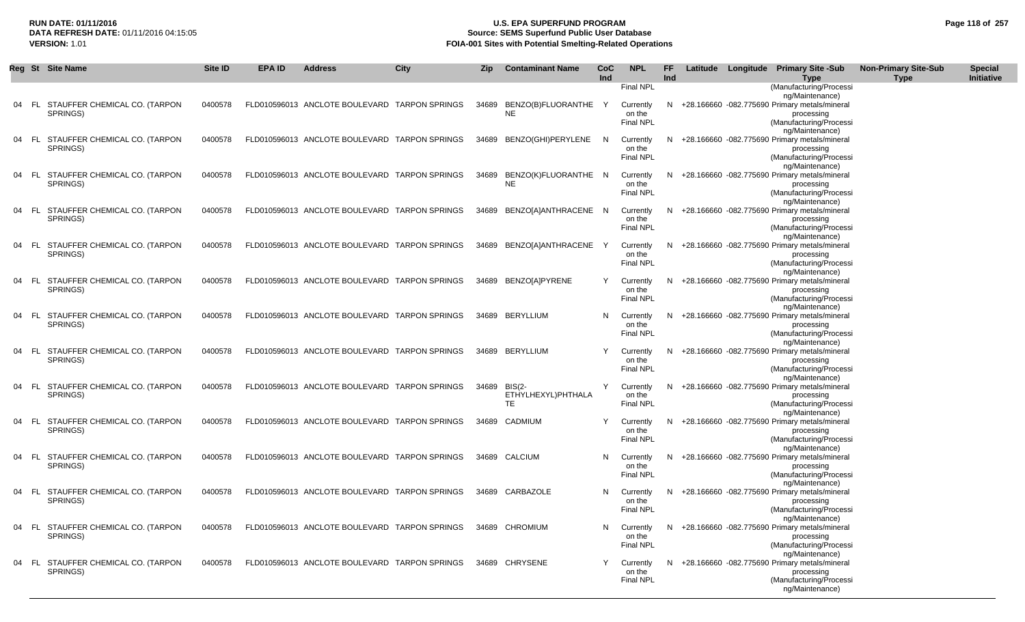# **RUN DATE: 01/11/2016 U.S. EPA SUPERFUND PROGRAM Page 118 of 257** DATA REFRESH DATE: 01/11/2016 04:15:05<br>**VERSION: 1.01** Source: SEMS Superfund Public User Database<br>FOIA-001 Sites with Potential Smelting-Related Operat **FOIA-001 Sites with Potential Smelting-Related Operations**

|    |      | Reg St Site Name                             | Site ID | <b>EPA ID</b> | <b>Address</b>                                | City | <b>Zip</b> | <b>Contaminant Name</b>          | <b>CoC</b><br>Ind | <b>NPL</b>                              | FF.<br>Ind |  | Latitude Longitude Primary Site -Sub<br><b>Type</b>                                      | <b>Non-Primary Site-Sub</b><br><b>Type</b> | <b>Special</b><br>Initiative |
|----|------|----------------------------------------------|---------|---------------|-----------------------------------------------|------|------------|----------------------------------|-------------------|-----------------------------------------|------------|--|------------------------------------------------------------------------------------------|--------------------------------------------|------------------------------|
|    |      |                                              |         |               |                                               |      |            |                                  |                   | <b>Final NPL</b>                        |            |  | (Manufacturing/Processi                                                                  |                                            |                              |
| 04 |      | FL STAUFFER CHEMICAL CO. (TARPON<br>SPRINGS) | 0400578 |               | FLD010596013 ANCLOTE BOULEVARD TARPON SPRINGS |      |            | 34689 BENZO(B)FLUORANTHE<br>NE   | Y                 | Currently<br>on the                     |            |  | ng/Maintenance)<br>N +28.166660 -082.775690 Primary metals/mineral<br>processing         |                                            |                              |
|    |      |                                              |         |               |                                               |      |            |                                  |                   | <b>Final NPL</b>                        |            |  | (Manufacturing/Processi<br>ng/Maintenance)                                               |                                            |                              |
| 04 |      | FL STAUFFER CHEMICAL CO. (TARPON<br>SPRINGS) | 0400578 |               | FLD010596013 ANCLOTE BOULEVARD TARPON SPRINGS |      |            | 34689 BENZO(GHI)PERYLENE         | N                 | Currently<br>on the<br><b>Final NPL</b> |            |  | N +28.166660 -082.775690 Primary metals/mineral<br>processing<br>(Manufacturing/Processi |                                            |                              |
| 04 |      |                                              | 0400578 |               | FLD010596013 ANCLOTE BOULEVARD TARPON SPRINGS |      |            |                                  |                   |                                         |            |  | ng/Maintenance)<br>N +28.166660 -082.775690 Primary metals/mineral                       |                                            |                              |
|    |      | FL STAUFFER CHEMICAL CO. (TARPON<br>SPRINGS) |         |               |                                               |      |            | 34689 BENZO(K)FLUORANTHE N<br>NE |                   | Currently<br>on the<br><b>Final NPL</b> |            |  | processing<br>(Manufacturing/Processi                                                    |                                            |                              |
| 04 |      | FL STAUFFER CHEMICAL CO. (TARPON             | 0400578 |               | FLD010596013 ANCLOTE BOULEVARD TARPON SPRINGS |      |            | 34689 BENZO[A]ANTHRACENE N       |                   | Currently                               |            |  | ng/Maintenance)<br>N +28.166660 -082.775690 Primary metals/mineral                       |                                            |                              |
|    |      | SPRINGS)                                     |         |               |                                               |      |            |                                  |                   | on the<br>Final NPL                     |            |  | processing<br>(Manufacturing/Processi                                                    |                                            |                              |
|    |      | 04 FL STAUFFER CHEMICAL CO. (TARPON          | 0400578 |               | FLD010596013 ANCLOTE BOULEVARD TARPON SPRINGS |      |            | 34689 BENZO[A]ANTHRACENE         | Y                 | Currently                               |            |  | ng/Maintenance)<br>N +28.166660 -082.775690 Primary metals/mineral                       |                                            |                              |
|    |      | SPRINGS)                                     |         |               |                                               |      |            |                                  |                   | on the                                  |            |  | processing                                                                               |                                            |                              |
|    |      |                                              |         |               |                                               |      |            |                                  |                   | Final NPL                               |            |  | (Manufacturing/Processi<br>ng/Maintenance)                                               |                                            |                              |
| 04 |      | FL STAUFFER CHEMICAL CO. (TARPON             | 0400578 |               | FLD010596013 ANCLOTE BOULEVARD TARPON SPRINGS |      |            | 34689 BENZO[A]PYRENE             | Y                 | Currently                               |            |  | N +28.166660 -082.775690 Primary metals/mineral                                          |                                            |                              |
|    |      | SPRINGS)                                     |         |               |                                               |      |            |                                  |                   | on the<br><b>Final NPL</b>              |            |  | processing<br>(Manufacturing/Processi                                                    |                                            |                              |
|    |      |                                              |         |               |                                               |      |            |                                  |                   |                                         |            |  | ng/Maintenance)                                                                          |                                            |                              |
| 04 |      | FL STAUFFER CHEMICAL CO. (TARPON<br>SPRINGS) | 0400578 |               | FLD010596013 ANCLOTE BOULEVARD TARPON SPRINGS |      |            | 34689 BERYLLIUM                  | N.                | Currently<br>on the                     |            |  | N +28.166660 -082.775690 Primary metals/mineral<br>processing                            |                                            |                              |
|    |      |                                              |         |               |                                               |      |            |                                  |                   | <b>Final NPL</b>                        |            |  | (Manufacturing/Processi                                                                  |                                            |                              |
|    |      | 04 FL STAUFFER CHEMICAL CO. (TARPON          | 0400578 |               | FLD010596013 ANCLOTE BOULEVARD TARPON SPRINGS |      |            | 34689 BERYLLIUM                  | Y                 | Currently                               |            |  | ng/Maintenance)<br>N +28.166660 -082.775690 Primary metals/mineral                       |                                            |                              |
|    |      | SPRINGS)                                     |         |               |                                               |      |            |                                  |                   | on the                                  |            |  | processing                                                                               |                                            |                              |
|    |      |                                              |         |               |                                               |      |            |                                  |                   | <b>Final NPL</b>                        |            |  | (Manufacturing/Processi                                                                  |                                            |                              |
|    |      | 04 FL STAUFFER CHEMICAL CO. (TARPON          | 0400578 |               | FLD010596013 ANCLOTE BOULEVARD TARPON SPRINGS |      |            | 34689 BIS(2-                     | Y                 | Currently                               |            |  | ng/Maintenance)<br>N +28.166660 -082.775690 Primary metals/mineral                       |                                            |                              |
|    |      | SPRINGS)                                     |         |               |                                               |      |            | ETHYLHEXYL)PHTHALA               |                   | on the                                  |            |  | processing                                                                               |                                            |                              |
|    |      |                                              |         |               |                                               |      |            | TE.                              |                   | <b>Final NPL</b>                        |            |  | (Manufacturing/Processi<br>ng/Maintenance)                                               |                                            |                              |
| 04 |      | FL STAUFFER CHEMICAL CO. (TARPON             | 0400578 |               | FLD010596013 ANCLOTE BOULEVARD TARPON SPRINGS |      |            | 34689 CADMIUM                    | $\mathsf{Y}$      | Currently                               |            |  | N +28.166660 -082.775690 Primary metals/mineral                                          |                                            |                              |
|    |      | SPRINGS)                                     |         |               |                                               |      |            |                                  |                   | on the<br><b>Final NPL</b>              |            |  | processing<br>(Manufacturing/Processi                                                    |                                            |                              |
|    |      |                                              |         |               |                                               |      |            |                                  |                   |                                         |            |  | ng/Maintenance)                                                                          |                                            |                              |
| 04 |      | FL STAUFFER CHEMICAL CO. (TARPON<br>SPRINGS) | 0400578 |               | FLD010596013 ANCLOTE BOULEVARD TARPON SPRINGS |      |            | 34689 CALCIUM                    | N                 | Currently<br>on the                     |            |  | N +28.166660 -082.775690 Primary metals/mineral<br>processing                            |                                            |                              |
|    |      |                                              |         |               |                                               |      |            |                                  |                   | <b>Final NPL</b>                        |            |  | (Manufacturing/Processi                                                                  |                                            |                              |
| 04 | - FL | STAUFFER CHEMICAL CO. (TARPON                | 0400578 |               | FLD010596013 ANCLOTE BOULEVARD TARPON SPRINGS |      |            | 34689 CARBAZOLE                  | N                 | Currently                               |            |  | ng/Maintenance)<br>N +28.166660 -082.775690 Primary metals/mineral                       |                                            |                              |
|    |      | SPRINGS)                                     |         |               |                                               |      |            |                                  |                   | on the                                  |            |  | processing                                                                               |                                            |                              |
|    |      |                                              |         |               |                                               |      |            |                                  |                   | <b>Final NPL</b>                        |            |  | (Manufacturing/Processi<br>ng/Maintenance)                                               |                                            |                              |
| 04 |      | FL STAUFFER CHEMICAL CO. (TARPON             | 0400578 |               | FLD010596013 ANCLOTE BOULEVARD TARPON SPRINGS |      |            | 34689 CHROMIUM                   | N                 | Currently                               |            |  | N +28.166660 -082.775690 Primary metals/mineral                                          |                                            |                              |
|    |      | SPRINGS)                                     |         |               |                                               |      |            |                                  |                   | on the                                  |            |  | processing                                                                               |                                            |                              |
|    |      |                                              |         |               |                                               |      |            |                                  |                   | <b>Final NPL</b>                        |            |  | (Manufacturing/Processi<br>ng/Maintenance)                                               |                                            |                              |
| 04 |      | FL STAUFFER CHEMICAL CO. (TARPON             | 0400578 |               | FLD010596013 ANCLOTE BOULEVARD TARPON SPRINGS |      |            | 34689 CHRYSENE                   | Y                 | Currently                               |            |  | N +28.166660 -082.775690 Primary metals/mineral                                          |                                            |                              |
|    |      | SPRINGS)                                     |         |               |                                               |      |            |                                  |                   | on the<br><b>Final NPL</b>              |            |  | processing<br>(Manufacturing/Processi                                                    |                                            |                              |
|    |      |                                              |         |               |                                               |      |            |                                  |                   |                                         |            |  | ng/Maintenance)                                                                          |                                            |                              |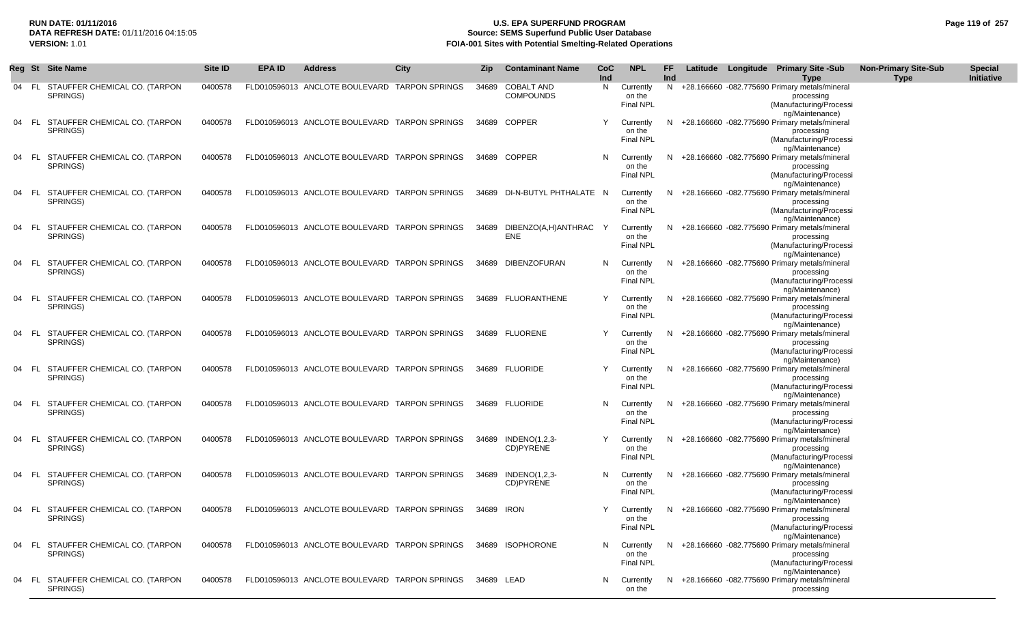# **RUN DATE: 01/11/2016 U.S. EPA SUPERFUND PROGRAM Page 119 of 257 DATA REFRESH DATE:** 01/11/2016 04:15:05 **Source: SEMS Superfund Public User Database**<br>**FOIA-001 Sites with Potential Smelting-Related Operat FOIA-001 Sites with Potential Smelting-Related Operations**

|    | Reg St | <b>Site Name</b>                             | Site ID | EPA ID | <b>Address</b>                                | <b>City</b> | <b>Zip</b> | <b>Contaminant Name</b>               | <b>CoC</b><br>Ind | <b>NPL</b>                              | FF<br>Ind |  | Latitude Longitude Primary Site -Sub<br><b>Type</b>                                                       | <b>Non-Primary Site-Sub</b><br><b>Type</b> | <b>Special</b><br>Initiative |
|----|--------|----------------------------------------------|---------|--------|-----------------------------------------------|-------------|------------|---------------------------------------|-------------------|-----------------------------------------|-----------|--|-----------------------------------------------------------------------------------------------------------|--------------------------------------------|------------------------------|
| 04 |        | FL STAUFFER CHEMICAL CO. (TARPON<br>SPRINGS) | 0400578 |        | FLD010596013 ANCLOTE BOULEVARD TARPON SPRINGS |             | 34689      | <b>COBALT AND</b><br><b>COMPOUNDS</b> | N                 | Currently<br>on the<br><b>Final NPL</b> | N         |  | +28.166660 -082.775690 Primary metals/mineral<br>processing<br>(Manufacturing/Processi<br>ng/Maintenance) |                                            |                              |
| 04 |        | FL STAUFFER CHEMICAL CO. (TARPON<br>SPRINGS) | 0400578 |        | FLD010596013 ANCLOTE BOULEVARD TARPON SPRINGS |             |            | 34689 COPPER                          | Y                 | Currently<br>on the<br><b>Final NPL</b> | N         |  | +28.166660 -082.775690 Primary metals/mineral<br>processing<br>(Manufacturing/Processi<br>ng/Maintenance) |                                            |                              |
| 04 | - FL   | STAUFFER CHEMICAL CO. (TARPON<br>SPRINGS)    | 0400578 |        | FLD010596013 ANCLOTE BOULEVARD TARPON SPRINGS |             |            | 34689 COPPER                          | N                 | Currently<br>on the<br><b>Final NPL</b> | N         |  | +28.166660 -082.775690 Primary metals/mineral<br>processing<br>(Manufacturing/Processi                    |                                            |                              |
| 04 | - FL   | STAUFFER CHEMICAL CO. (TARPON<br>SPRINGS)    | 0400578 |        | FLD010596013 ANCLOTE BOULEVARD TARPON SPRINGS |             |            | 34689 DI-N-BUTYL PHTHALATE N          |                   | Currently<br>on the<br><b>Final NPL</b> | N         |  | ng/Maintenance)<br>+28.166660 -082.775690 Primary metals/mineral<br>processing<br>(Manufacturing/Processi |                                            |                              |
| 04 | - FL   | STAUFFER CHEMICAL CO. (TARPON<br>SPRINGS)    | 0400578 |        | FLD010596013 ANCLOTE BOULEVARD TARPON SPRINGS |             |            | 34689 DIBENZO(A,H)ANTHRAC<br>ENE      | Y                 | Currently<br>on the<br><b>Final NPL</b> | N         |  | ng/Maintenance)<br>+28.166660 -082.775690 Primary metals/mineral<br>processing<br>(Manufacturing/Processi |                                            |                              |
| 04 | - FL   | STAUFFER CHEMICAL CO. (TARPON<br>SPRINGS)    | 0400578 |        | FLD010596013 ANCLOTE BOULEVARD TARPON SPRINGS |             |            | 34689 DIBENZOFURAN                    | N                 | Currently<br>on the<br><b>Final NPL</b> | N         |  | ng/Maintenance)<br>+28.166660 -082.775690 Primary metals/mineral<br>processing<br>(Manufacturing/Processi |                                            |                              |
| 04 | - FL   | STAUFFER CHEMICAL CO. (TARPON<br>SPRINGS)    | 0400578 |        | FLD010596013 ANCLOTE BOULEVARD TARPON SPRINGS |             |            | 34689 FLUORANTHENE                    | Y                 | Currently<br>on the<br><b>Final NPL</b> | N         |  | ng/Maintenance)<br>+28.166660 -082.775690 Primary metals/mineral<br>processing<br>(Manufacturing/Processi |                                            |                              |
| 04 | - FL   | STAUFFER CHEMICAL CO. (TARPON<br>SPRINGS)    | 0400578 |        | FLD010596013 ANCLOTE BOULEVARD TARPON SPRINGS |             |            | 34689 FLUORENE                        | Y                 | Currently<br>on the<br><b>Final NPL</b> | N         |  | ng/Maintenance)<br>+28.166660 -082.775690 Primary metals/mineral<br>processing<br>(Manufacturing/Processi |                                            |                              |
| 04 | - FL   | STAUFFER CHEMICAL CO. (TARPON<br>SPRINGS)    | 0400578 |        | FLD010596013 ANCLOTE BOULEVARD TARPON SPRINGS |             |            | 34689 FLUORIDE                        | Y                 | Currently<br>on the<br><b>Final NPL</b> | N         |  | ng/Maintenance)<br>+28.166660 -082.775690 Primary metals/mineral<br>processing<br>(Manufacturing/Processi |                                            |                              |
| 04 | FL.    | STAUFFER CHEMICAL CO. (TARPON<br>SPRINGS)    | 0400578 |        | FLD010596013 ANCLOTE BOULEVARD TARPON SPRINGS |             |            | 34689 FLUORIDE                        | N                 | Currently<br>on the<br><b>Final NPL</b> | N         |  | ng/Maintenance)<br>+28.166660 -082.775690 Primary metals/mineral<br>processing<br>(Manufacturing/Processi |                                            |                              |
| 04 |        | FL STAUFFER CHEMICAL CO. (TARPON<br>SPRINGS) | 0400578 |        | FLD010596013 ANCLOTE BOULEVARD TARPON SPRINGS |             | 34689      | INDENO(1,2,3-<br>CD)PYRENE            | Y                 | Currently<br>on the<br><b>Final NPL</b> | N         |  | ng/Maintenance)<br>+28.166660 -082.775690 Primary metals/mineral<br>processing<br>(Manufacturing/Processi |                                            |                              |
| 04 | - FL   | STAUFFER CHEMICAL CO. (TARPON<br>SPRINGS)    | 0400578 |        | FLD010596013 ANCLOTE BOULEVARD TARPON SPRINGS |             | 34689      | INDENO(1,2,3-<br>CD)PYRENE            | N                 | Currently<br>on the<br><b>Final NPL</b> | N         |  | ng/Maintenance)<br>+28.166660 -082.775690 Primary metals/mineral<br>processing<br>(Manufacturing/Processi |                                            |                              |
| 04 |        | FL STAUFFER CHEMICAL CO. (TARPON<br>SPRINGS) | 0400578 |        | FLD010596013 ANCLOTE BOULEVARD TARPON SPRINGS |             | 34689 IRON |                                       | Y                 | Currently<br>on the<br><b>Final NPL</b> | N         |  | ng/Maintenance)<br>+28.166660 -082.775690 Primary metals/mineral<br>processing<br>(Manufacturing/Processi |                                            |                              |
| 04 | - FL   | STAUFFER CHEMICAL CO. (TARPON<br>SPRINGS)    | 0400578 |        | FLD010596013 ANCLOTE BOULEVARD TARPON SPRINGS |             |            | 34689 ISOPHORONE                      | N                 | Currently<br>on the<br><b>Final NPL</b> | N         |  | ng/Maintenance)<br>+28.166660 -082.775690 Primary metals/mineral<br>processing<br>(Manufacturing/Processi |                                            |                              |
| 04 |        | FL STAUFFER CHEMICAL CO. (TARPON<br>SPRINGS) | 0400578 |        | FLD010596013 ANCLOTE BOULEVARD TARPON SPRINGS |             | 34689 LEAD |                                       | N.                | Currently<br>on the                     | N.        |  | ng/Maintenance)<br>+28.166660 -082.775690 Primary metals/mineral<br>processing                            |                                            |                              |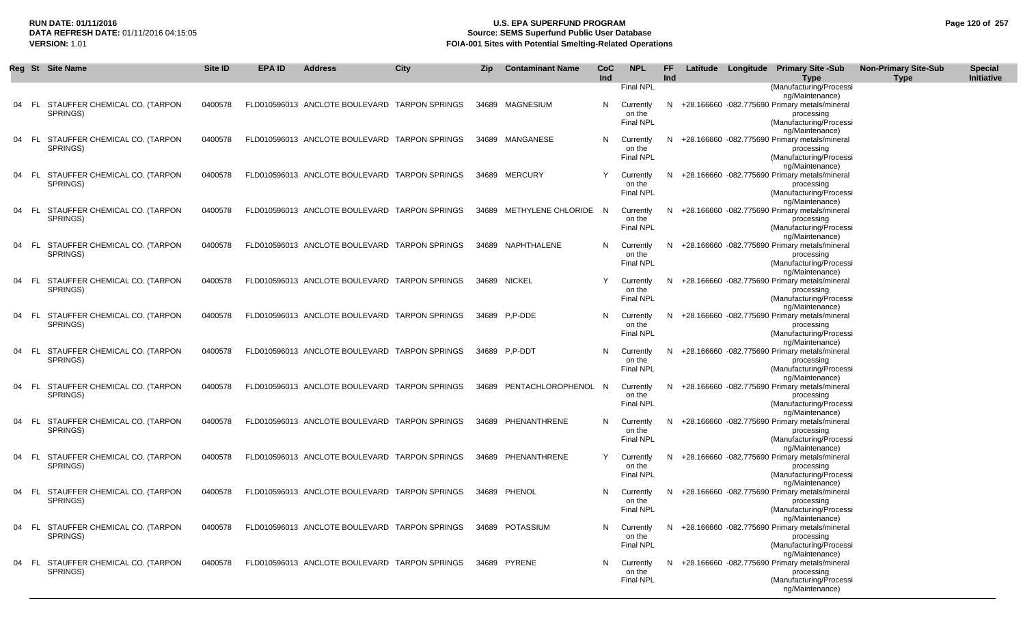# **RUN DATE: 01/11/2016 U.S. EPA SUPERFUND PROGRAM Page 120 of 257 Source: SEMS Superfund Public User Database VERSION:** 1.01 **FOIA-001 Sites with Potential Smelting-Related Operations**

|    |       | Reg St Site Name                                | Site ID | <b>EPA ID</b> | <b>Address</b>                                | <b>City</b> | <b>Zip</b> | <b>Contaminant Name</b>  | <b>CoC</b><br>Ind | <b>NPL</b>                              | <b>FF</b><br>Ind |  | Latitude Longitude Primary Site -Sub<br><b>Type</b>                                                                            | <b>Non-Primary Site-Sub</b><br><b>Type</b> | <b>Special</b><br>Initiative |
|----|-------|-------------------------------------------------|---------|---------------|-----------------------------------------------|-------------|------------|--------------------------|-------------------|-----------------------------------------|------------------|--|--------------------------------------------------------------------------------------------------------------------------------|--------------------------------------------|------------------------------|
|    |       |                                                 |         |               |                                               |             |            |                          |                   | Final NPL                               |                  |  | (Manufacturing/Processi<br>ng/Maintenance)                                                                                     |                                            |                              |
|    | - FL  | STAUFFER CHEMICAL CO. (TARPON<br>SPRINGS)       | 0400578 |               | FLD010596013 ANCLOTE BOULEVARD TARPON SPRINGS |             |            | 34689 MAGNESIUM          | N                 | Currently<br>on the<br>Final NPL        |                  |  | N +28.166660 -082.775690 Primary metals/mineral<br>processing<br>(Manufacturing/Processi                                       |                                            |                              |
| 04 | - FL  | STAUFFER CHEMICAL CO. (TARPON<br>SPRINGS)       | 0400578 |               | FLD010596013 ANCLOTE BOULEVARD TARPON SPRINGS |             |            | 34689 MANGANESE          | N                 | Currently<br>on the<br><b>Final NPL</b> |                  |  | ng/Maintenance)<br>N +28.166660 -082.775690 Primary metals/mineral<br>processing<br>(Manufacturing/Processi                    |                                            |                              |
| 04 | FL.   | STAUFFER CHEMICAL CO. (TARPON<br>SPRINGS)       | 0400578 |               | FLD010596013 ANCLOTE BOULEVARD TARPON SPRINGS |             |            | 34689 MERCURY            | Y                 | Currently<br>on the<br><b>Final NPL</b> | N.               |  | ng/Maintenance)<br>+28.166660 -082.775690 Primary metals/mineral<br>processing<br>(Manufacturing/Processi                      |                                            |                              |
|    |       | 04 FL STAUFFER CHEMICAL CO. (TARPON<br>SPRINGS) | 0400578 |               | FLD010596013 ANCLOTE BOULEVARD TARPON SPRINGS |             |            | 34689 METHYLENE CHLORIDE | - N               | Currently<br>on the<br><b>Final NPL</b> | N.               |  | ng/Maintenance)<br>+28.166660 -082.775690 Primary metals/mineral<br>processing<br>(Manufacturing/Processi                      |                                            |                              |
|    | - FL  | STAUFFER CHEMICAL CO. (TARPON<br>SPRINGS)       | 0400578 |               | FLD010596013 ANCLOTE BOULEVARD TARPON SPRINGS |             |            | 34689 NAPHTHALENE        | N                 | Currently<br>on the<br><b>Final NPL</b> | N.               |  | ng/Maintenance)<br>+28.166660 -082.775690 Primary metals/mineral<br>processing<br>(Manufacturing/Processi                      |                                            |                              |
|    | - FL  | STAUFFER CHEMICAL CO. (TARPON<br>SPRINGS)       | 0400578 |               | FLD010596013 ANCLOTE BOULEVARD TARPON SPRINGS |             |            | 34689 NICKEL             | Y                 | Currently<br>on the<br><b>Final NPL</b> | N.               |  | ng/Maintenance)<br>+28.166660 -082.775690 Primary metals/mineral<br>processing<br>(Manufacturing/Processi                      |                                            |                              |
|    |       | 04 FL STAUFFER CHEMICAL CO. (TARPON<br>SPRINGS) | 0400578 |               | FLD010596013 ANCLOTE BOULEVARD TARPON SPRINGS |             |            | 34689 P.P-DDE            | N                 | Currently<br>on the<br><b>Final NPL</b> | N.               |  | ng/Maintenance)<br>+28.166660 -082.775690 Primary metals/mineral<br>processing<br>(Manufacturing/Processi                      |                                            |                              |
|    | 04 FL | STAUFFER CHEMICAL CO. (TARPON<br>SPRINGS)       | 0400578 |               | FLD010596013 ANCLOTE BOULEVARD TARPON SPRINGS |             |            | 34689 P.P-DDT            | N                 | Currently<br>on the<br><b>Final NPL</b> |                  |  | ng/Maintenance)<br>N +28.166660 -082.775690 Primary metals/mineral<br>processing<br>(Manufacturing/Processi                    |                                            |                              |
|    | - FL  | STAUFFER CHEMICAL CO. (TARPON<br>SPRINGS)       | 0400578 |               | FLD010596013 ANCLOTE BOULEVARD TARPON SPRINGS |             | 34689      | PENTACHLOROPHENOL        | - N               | Currently<br>on the<br><b>Final NPL</b> | N                |  | ng/Maintenance)<br>+28.166660 -082.775690 Primary metals/mineral<br>processing<br>(Manufacturing/Processi                      |                                            |                              |
|    | 04 FL | STAUFFER CHEMICAL CO. (TARPON<br>SPRINGS)       | 0400578 |               | FLD010596013 ANCLOTE BOULEVARD TARPON SPRINGS |             |            | 34689 PHENANTHRENE       | N                 | Currently<br>on the<br><b>Final NPL</b> | N.               |  | ng/Maintenance)<br>+28.166660 -082.775690 Primary metals/mineral<br>processing<br>(Manufacturing/Processi                      |                                            |                              |
| 04 | FL.   | STAUFFER CHEMICAL CO. (TARPON<br>SPRINGS)       | 0400578 |               | FLD010596013 ANCLOTE BOULEVARD TARPON SPRINGS |             |            | 34689 PHENANTHRENE       | Y                 | Currently<br>on the<br><b>Final NPL</b> |                  |  | ng/Maintenance)<br>N +28.166660 -082.775690 Primary metals/mineral<br>processing<br>(Manufacturing/Processi                    |                                            |                              |
|    |       | 04 FL STAUFFER CHEMICAL CO. (TARPON<br>SPRINGS) | 0400578 |               | FLD010596013 ANCLOTE BOULEVARD TARPON SPRINGS |             |            | 34689 PHENOL             | N                 | Currently<br>on the<br><b>Final NPL</b> |                  |  | ng/Maintenance)<br>N +28.166660 -082.775690 Primary metals/mineral<br>processing<br>(Manufacturing/Processi                    |                                            |                              |
|    | 04 FL | STAUFFER CHEMICAL CO. (TARPON<br>SPRINGS)       | 0400578 |               | FLD010596013 ANCLOTE BOULEVARD TARPON SPRINGS |             |            | 34689 POTASSIUM          | N                 | Currently<br>on the<br><b>Final NPL</b> |                  |  | ng/Maintenance)<br>N +28.166660 -082.775690 Primary metals/mineral<br>processing<br>(Manufacturing/Processi                    |                                            |                              |
|    |       | 04 FL STAUFFER CHEMICAL CO. (TARPON<br>SPRINGS) | 0400578 |               | FLD010596013 ANCLOTE BOULEVARD TARPON SPRINGS |             |            | 34689 PYRENE             | N                 | Currently<br>on the<br><b>Final NPL</b> |                  |  | ng/Maintenance)<br>N +28.166660 -082.775690 Primary metals/mineral<br>processing<br>(Manufacturing/Processi<br>ng/Maintenance) |                                            |                              |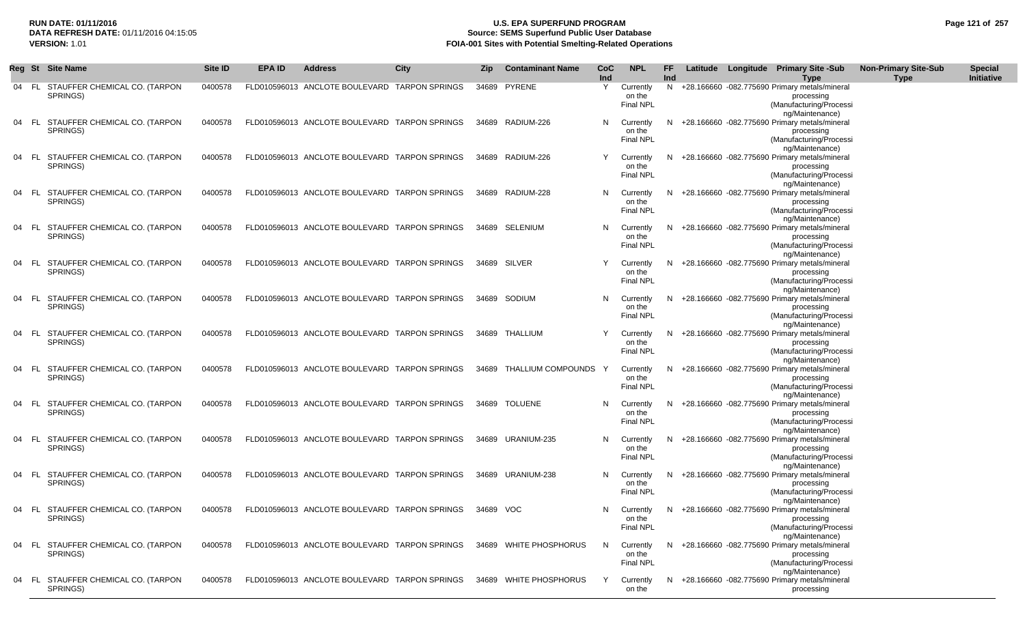# **RUN DATE: 01/11/2016 U.S. EPA SUPERFUND PROGRAM Page 121 of 257 Source: SEMS Superfund Public User Database VERSION:** 1.01 **FOIA-001 Sites with Potential Smelting-Related Operations**

| Reg St |      | <b>Site Name</b>                                | Site ID | <b>EPA ID</b> | <b>Address</b>                                | City | Zip       | <b>Contaminant Name</b>  | CoC<br>Ind | <b>NPL</b>                 | FF.<br>Ind |  | Latitude Longitude Primary Site -Sub<br><b>Type</b>                | <b>Non-Primary Site-Sub</b><br><b>Type</b> | <b>Special</b><br>Initiative |
|--------|------|-------------------------------------------------|---------|---------------|-----------------------------------------------|------|-----------|--------------------------|------------|----------------------------|------------|--|--------------------------------------------------------------------|--------------------------------------------|------------------------------|
| 04     |      | FL STAUFFER CHEMICAL CO. (TARPON                | 0400578 |               | FLD010596013 ANCLOTE BOULEVARD TARPON SPRINGS |      |           | 34689 PYRENE             | Y          | Currently                  |            |  | N +28.166660 -082.775690 Primary metals/mineral                    |                                            |                              |
|        |      | SPRINGS)                                        |         |               |                                               |      |           |                          |            | on the                     |            |  | processing                                                         |                                            |                              |
|        |      |                                                 |         |               |                                               |      |           |                          |            | <b>Final NPL</b>           |            |  | (Manufacturing/Processi                                            |                                            |                              |
|        |      |                                                 |         |               |                                               |      |           |                          |            |                            |            |  | ng/Maintenance)                                                    |                                            |                              |
|        |      | 04 FL STAUFFER CHEMICAL CO. (TARPON             | 0400578 |               | FLD010596013 ANCLOTE BOULEVARD TARPON SPRINGS |      |           | 34689 RADIUM-226         | N          | Currently                  |            |  | N +28.166660 -082.775690 Primary metals/mineral                    |                                            |                              |
|        |      | SPRINGS)                                        |         |               |                                               |      |           |                          |            | on the                     |            |  | processing                                                         |                                            |                              |
|        |      |                                                 |         |               |                                               |      |           |                          |            | Final NPL                  |            |  | (Manufacturing/Processi                                            |                                            |                              |
|        |      |                                                 |         |               |                                               |      |           |                          |            |                            |            |  | ng/Maintenance)                                                    |                                            |                              |
| 04 FL  |      | STAUFFER CHEMICAL CO. (TARPON                   | 0400578 |               | FLD010596013 ANCLOTE BOULEVARD TARPON SPRINGS |      |           | 34689 RADIUM-226         | Y          | Currently                  |            |  | N +28.166660 -082.775690 Primary metals/mineral                    |                                            |                              |
|        |      | SPRINGS)                                        |         |               |                                               |      |           |                          |            | on the                     |            |  | processing                                                         |                                            |                              |
|        |      |                                                 |         |               |                                               |      |           |                          |            | Final NPL                  |            |  | (Manufacturing/Processi<br>ng/Maintenance)                         |                                            |                              |
| 04 FL  |      | STAUFFER CHEMICAL CO. (TARPON                   | 0400578 |               | FLD010596013 ANCLOTE BOULEVARD TARPON SPRINGS |      |           | 34689 RADIUM-228         | N          | Currently                  |            |  | N +28.166660 -082.775690 Primary metals/mineral                    |                                            |                              |
|        |      | SPRINGS)                                        |         |               |                                               |      |           |                          |            | on the                     |            |  | processing                                                         |                                            |                              |
|        |      |                                                 |         |               |                                               |      |           |                          |            | <b>Final NPL</b>           |            |  | (Manufacturing/Processi                                            |                                            |                              |
|        |      |                                                 |         |               |                                               |      |           |                          |            |                            |            |  | ng/Maintenance)                                                    |                                            |                              |
| 04 FL  |      | STAUFFER CHEMICAL CO. (TARPON                   | 0400578 |               | FLD010596013 ANCLOTE BOULEVARD TARPON SPRINGS |      |           | 34689 SELENIUM           | N.         | Currently                  |            |  | N +28.166660 -082.775690 Primary metals/mineral                    |                                            |                              |
|        |      | SPRINGS)                                        |         |               |                                               |      |           |                          |            | on the                     |            |  | processing                                                         |                                            |                              |
|        |      |                                                 |         |               |                                               |      |           |                          |            | Final NPL                  |            |  | (Manufacturing/Processi                                            |                                            |                              |
|        |      |                                                 |         |               |                                               |      |           |                          | Υ          |                            |            |  | ng/Maintenance)                                                    |                                            |                              |
| 04 FL  |      | STAUFFER CHEMICAL CO. (TARPON<br>SPRINGS)       | 0400578 |               | FLD010596013 ANCLOTE BOULEVARD TARPON SPRINGS |      |           | 34689 SILVER             |            | Currently<br>on the        |            |  | N +28.166660 -082.775690 Primary metals/mineral<br>processing      |                                            |                              |
|        |      |                                                 |         |               |                                               |      |           |                          |            | Final NPL                  |            |  | (Manufacturing/Processi                                            |                                            |                              |
|        |      |                                                 |         |               |                                               |      |           |                          |            |                            |            |  | ng/Maintenance)                                                    |                                            |                              |
| 04     | - FL | STAUFFER CHEMICAL CO. (TARPON                   | 0400578 |               | FLD010596013 ANCLOTE BOULEVARD TARPON SPRINGS |      |           | 34689 SODIUM             | N.         | Currently                  |            |  | N +28.166660 -082.775690 Primary metals/mineral                    |                                            |                              |
|        |      | SPRINGS)                                        |         |               |                                               |      |           |                          |            | on the                     |            |  | processing                                                         |                                            |                              |
|        |      |                                                 |         |               |                                               |      |           |                          |            | <b>Final NPL</b>           |            |  | (Manufacturing/Processi                                            |                                            |                              |
|        |      |                                                 |         |               |                                               |      |           |                          |            |                            |            |  | ng/Maintenance)                                                    |                                            |                              |
| 04 FL  |      | STAUFFER CHEMICAL CO. (TARPON                   | 0400578 |               | FLD010596013 ANCLOTE BOULEVARD TARPON SPRINGS |      |           | 34689 THALLIUM           | Υ          | Currently                  |            |  | N +28.166660 -082.775690 Primary metals/mineral                    |                                            |                              |
|        |      | SPRINGS)                                        |         |               |                                               |      |           |                          |            | on the<br><b>Final NPL</b> |            |  | processing<br>(Manufacturing/Processi                              |                                            |                              |
|        |      |                                                 |         |               |                                               |      |           |                          |            |                            |            |  | ng/Maintenance)                                                    |                                            |                              |
| 04     | - FL | STAUFFER CHEMICAL CO. (TARPON                   | 0400578 |               | FLD010596013 ANCLOTE BOULEVARD TARPON SPRINGS |      |           | 34689 THALLIUM COMPOUNDS | Y          | Currently                  |            |  | N +28.166660 -082.775690 Primary metals/mineral                    |                                            |                              |
|        |      | SPRINGS)                                        |         |               |                                               |      |           |                          |            | on the                     |            |  | processing                                                         |                                            |                              |
|        |      |                                                 |         |               |                                               |      |           |                          |            | <b>Final NPL</b>           |            |  | (Manufacturing/Processi                                            |                                            |                              |
|        |      |                                                 |         |               |                                               |      |           |                          |            |                            |            |  | ng/Maintenance)                                                    |                                            |                              |
| 04 FL  |      | STAUFFER CHEMICAL CO. (TARPON                   | 0400578 |               | FLD010596013 ANCLOTE BOULEVARD TARPON SPRINGS |      |           | 34689 TOLUENE            | N          | Currently                  |            |  | N +28.166660 -082.775690 Primary metals/mineral                    |                                            |                              |
|        |      | SPRINGS)                                        |         |               |                                               |      |           |                          |            | on the                     |            |  | processing                                                         |                                            |                              |
|        |      |                                                 |         |               |                                               |      |           |                          |            | <b>Final NPL</b>           |            |  | (Manufacturing/Processi                                            |                                            |                              |
| 04 FL  |      | STAUFFER CHEMICAL CO. (TARPON                   | 0400578 |               | FLD010596013 ANCLOTE BOULEVARD TARPON SPRINGS |      |           | 34689 URANIUM-235        | N          | Currently                  |            |  | ng/Maintenance)<br>N +28.166660 -082.775690 Primary metals/mineral |                                            |                              |
|        |      | SPRINGS)                                        |         |               |                                               |      |           |                          |            | on the                     |            |  | processing                                                         |                                            |                              |
|        |      |                                                 |         |               |                                               |      |           |                          |            | <b>Final NPL</b>           |            |  | (Manufacturing/Processi                                            |                                            |                              |
|        |      |                                                 |         |               |                                               |      |           |                          |            |                            |            |  | ng/Maintenance)                                                    |                                            |                              |
| 04 FL  |      | STAUFFER CHEMICAL CO. (TARPON                   | 0400578 |               | FLD010596013 ANCLOTE BOULEVARD TARPON SPRINGS |      |           | 34689 URANIUM-238        | N          | Currently                  |            |  | N +28.166660 -082.775690 Primary metals/mineral                    |                                            |                              |
|        |      | SPRINGS)                                        |         |               |                                               |      |           |                          |            | on the                     |            |  | processing                                                         |                                            |                              |
|        |      |                                                 |         |               |                                               |      |           |                          |            | <b>Final NPL</b>           |            |  | (Manufacturing/Processi                                            |                                            |                              |
|        |      |                                                 |         |               |                                               |      |           |                          |            |                            |            |  | ng/Maintenance)                                                    |                                            |                              |
|        |      | 04 FL STAUFFER CHEMICAL CO. (TARPON<br>SPRINGS) | 0400578 |               | FLD010596013 ANCLOTE BOULEVARD TARPON SPRINGS |      | 34689 VOC |                          | N          | Currently<br>on the        |            |  | N +28.166660 -082.775690 Primary metals/mineral<br>processing      |                                            |                              |
|        |      |                                                 |         |               |                                               |      |           |                          |            | Final NPL                  |            |  | (Manufacturing/Processi                                            |                                            |                              |
|        |      |                                                 |         |               |                                               |      |           |                          |            |                            |            |  | ng/Maintenance)                                                    |                                            |                              |
| 04 FL  |      | STAUFFER CHEMICAL CO. (TARPON                   | 0400578 |               | FLD010596013 ANCLOTE BOULEVARD TARPON SPRINGS |      |           | 34689 WHITE PHOSPHORUS   | N          | Currently                  |            |  | N +28.166660 -082.775690 Primary metals/mineral                    |                                            |                              |
|        |      | SPRINGS)                                        |         |               |                                               |      |           |                          |            | on the                     |            |  | processing                                                         |                                            |                              |
|        |      |                                                 |         |               |                                               |      |           |                          |            | <b>Final NPL</b>           |            |  | (Manufacturing/Processi                                            |                                            |                              |
|        |      |                                                 |         |               |                                               |      |           |                          |            |                            |            |  | ng/Maintenance)                                                    |                                            |                              |
|        |      | 04 FL STAUFFER CHEMICAL CO. (TARPON             | 0400578 |               | FLD010596013 ANCLOTE BOULEVARD TARPON SPRINGS |      |           | 34689 WHITE PHOSPHORUS   | Y          | Currently                  |            |  | N +28.166660 -082.775690 Primary metals/mineral                    |                                            |                              |
|        |      | SPRINGS)                                        |         |               |                                               |      |           |                          |            | on the                     |            |  | processing                                                         |                                            |                              |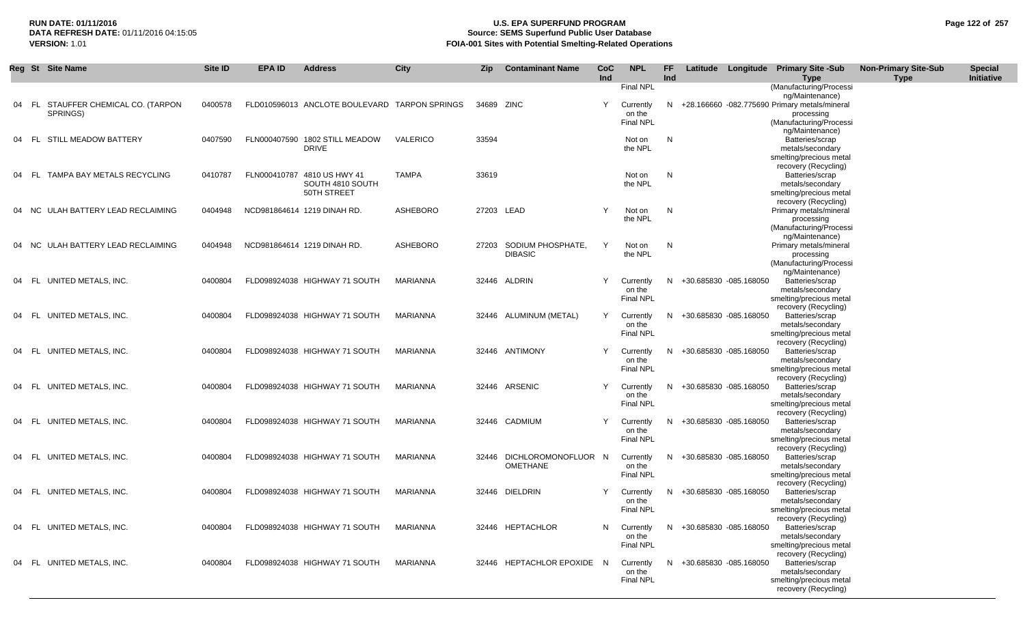# **RUN DATE: 01/11/2016 U.S. EPA SUPERFUND PROGRAM Page 122 of 257 Source: SEMS Superfund Public User Database VERSION:** 1.01 **FOIA-001 Sites with Potential Smelting-Related Operations**

|    |       | Reg St Site Name                          | Site ID | <b>EPA ID</b> | <b>Address</b>                                | <b>City</b>  | <b>Zip</b> | <b>Contaminant Name</b>    | CoC<br>Ind | <b>NPL</b>                 | FF.<br>Ind |                          | Latitude Longitude Primary Site -Sub<br><b>Type</b> | <b>Non-Primary Site-Sub</b><br><b>Type</b> | <b>Special</b><br>Initiative |
|----|-------|-------------------------------------------|---------|---------------|-----------------------------------------------|--------------|------------|----------------------------|------------|----------------------------|------------|--------------------------|-----------------------------------------------------|--------------------------------------------|------------------------------|
|    |       |                                           |         |               |                                               |              |            |                            |            | Final NPL                  |            |                          | (Manufacturing/Processi                             |                                            |                              |
|    |       |                                           |         |               |                                               |              |            |                            |            |                            |            |                          | ng/Maintenance)                                     |                                            |                              |
| 04 | - FL  | STAUFFER CHEMICAL CO. (TARPON<br>SPRINGS) | 0400578 |               | FLD010596013 ANCLOTE BOULEVARD TARPON SPRINGS |              | 34689 ZINC |                            | Y          | Currently                  | N.         |                          | +28.166660 -082.775690 Primary metals/mineral       |                                            |                              |
|    |       |                                           |         |               |                                               |              |            |                            |            | on the<br><b>Final NPL</b> |            |                          | processing<br>(Manufacturing/Processi               |                                            |                              |
|    |       |                                           |         |               |                                               |              |            |                            |            |                            |            |                          | ng/Maintenance)                                     |                                            |                              |
| 04 | - FL  | STILL MEADOW BATTERY                      | 0407590 |               | FLN000407590 1802 STILL MEADOW                | VALERICO     | 33594      |                            |            | Not on                     | N          |                          | Batteries/scrap                                     |                                            |                              |
|    |       |                                           |         |               | <b>DRIVE</b>                                  |              |            |                            |            | the NPL                    |            |                          | metals/secondary                                    |                                            |                              |
|    |       |                                           |         |               |                                               |              |            |                            |            |                            |            |                          | smelting/precious metal                             |                                            |                              |
| 04 | - FL  | TAMPA BAY METALS RECYCLING                | 0410787 |               | FLN000410787 4810 US HWY 41                   | <b>TAMPA</b> | 33619      |                            |            | Not on                     | N          |                          | recovery (Recycling)<br>Batteries/scrap             |                                            |                              |
|    |       |                                           |         |               | SOUTH 4810 SOUTH                              |              |            |                            |            | the NPL                    |            |                          | metals/secondary                                    |                                            |                              |
|    |       |                                           |         |               | 50TH STREET                                   |              |            |                            |            |                            |            |                          | smelting/precious metal                             |                                            |                              |
|    |       |                                           |         |               |                                               |              |            |                            |            |                            |            |                          | recovery (Recycling)                                |                                            |                              |
|    | 04 NC | ULAH BATTERY LEAD RECLAIMING              | 0404948 |               | NCD981864614 1219 DINAH RD.                   | ASHEBORO     | 27203 LEAD |                            | Y          | Not on<br>the NPL          | N          |                          | Primary metals/mineral<br>processing                |                                            |                              |
|    |       |                                           |         |               |                                               |              |            |                            |            |                            |            |                          | (Manufacturing/Processi                             |                                            |                              |
|    |       |                                           |         |               |                                               |              |            |                            |            |                            |            |                          | ng/Maintenance)                                     |                                            |                              |
|    | 04 NC | ULAH BATTERY LEAD RECLAIMING              | 0404948 |               | NCD981864614 1219 DINAH RD.                   | ASHEBORO     |            | 27203 SODIUM PHOSPHATE,    | Y          | Not on                     | N          |                          | Primary metals/mineral                              |                                            |                              |
|    |       |                                           |         |               |                                               |              |            | <b>DIBASIC</b>             |            | the NPL                    |            |                          | processing                                          |                                            |                              |
|    |       |                                           |         |               |                                               |              |            |                            |            |                            |            |                          | (Manufacturing/Processi<br>ng/Maintenance)          |                                            |                              |
|    | 04 FL | UNITED METALS, INC.                       | 0400804 |               | FLD098924038 HIGHWAY 71 SOUTH                 | MARIANNA     |            | 32446 ALDRIN               | Y          | Currently                  | N.         | +30.685830 -085.168050   | Batteries/scrap                                     |                                            |                              |
|    |       |                                           |         |               |                                               |              |            |                            |            | on the                     |            |                          | metals/secondary                                    |                                            |                              |
|    |       |                                           |         |               |                                               |              |            |                            |            | <b>Final NPL</b>           |            |                          | smelting/precious metal                             |                                            |                              |
|    |       |                                           |         |               |                                               |              |            |                            |            |                            |            |                          | recovery (Recycling)                                |                                            |                              |
|    | 04 FL | UNITED METALS, INC.                       | 0400804 |               | FLD098924038 HIGHWAY 71 SOUTH                 | MARIANNA     |            | 32446 ALUMINUM (METAL)     | Y          | Currently<br>on the        | N          | +30.685830 -085.168050   | Batteries/scrap<br>metals/secondary                 |                                            |                              |
|    |       |                                           |         |               |                                               |              |            |                            |            | <b>Final NPL</b>           |            |                          | smelting/precious metal                             |                                            |                              |
|    |       |                                           |         |               |                                               |              |            |                            |            |                            |            |                          | recovery (Recycling)                                |                                            |                              |
|    | 04 FL | UNITED METALS, INC.                       | 0400804 |               | FLD098924038 HIGHWAY 71 SOUTH                 | MARIANNA     |            | 32446 ANTIMONY             | Y          | Currently                  | N          | +30.685830 -085.168050   | Batteries/scrap                                     |                                            |                              |
|    |       |                                           |         |               |                                               |              |            |                            |            | on the                     |            |                          | metals/secondary                                    |                                            |                              |
|    |       |                                           |         |               |                                               |              |            |                            |            | <b>Final NPL</b>           |            |                          | smelting/precious metal<br>recovery (Recycling)     |                                            |                              |
|    | 04 FL | UNITED METALS, INC.                       | 0400804 |               | FLD098924038 HIGHWAY 71 SOUTH                 | MARIANNA     |            | 32446 ARSENIC              | Y          | Currently                  | N.         | +30.685830 -085.168050   | Batteries/scrap                                     |                                            |                              |
|    |       |                                           |         |               |                                               |              |            |                            |            | on the                     |            |                          | metals/secondary                                    |                                            |                              |
|    |       |                                           |         |               |                                               |              |            |                            |            | <b>Final NPL</b>           |            |                          | smelting/precious metal                             |                                            |                              |
|    |       |                                           |         |               |                                               |              |            |                            |            |                            |            |                          | recovery (Recycling)                                |                                            |                              |
|    |       | 04 FL UNITED METALS, INC.                 | 0400804 |               | FLD098924038 HIGHWAY 71 SOUTH                 | MARIANNA     |            | 32446 CADMIUM              | Y          | Currently<br>on the        | N.         | +30.685830 -085.168050   | Batteries/scrap<br>metals/secondary                 |                                            |                              |
|    |       |                                           |         |               |                                               |              |            |                            |            | <b>Final NPL</b>           |            |                          | smelting/precious metal                             |                                            |                              |
|    |       |                                           |         |               |                                               |              |            |                            |            |                            |            |                          | recovery (Recycling)                                |                                            |                              |
|    |       | 04 FL UNITED METALS, INC.                 | 0400804 |               | FLD098924038 HIGHWAY 71 SOUTH                 | MARIANNA     |            | 32446 DICHLOROMONOFLUOR N  |            | Currently                  | N.         | +30.685830 -085.168050   | Batteries/scrap                                     |                                            |                              |
|    |       |                                           |         |               |                                               |              |            | <b>OMETHANE</b>            |            | on the                     |            |                          | metals/secondary                                    |                                            |                              |
|    |       |                                           |         |               |                                               |              |            |                            |            | Final NPL                  |            |                          | smelting/precious metal<br>recovery (Recycling)     |                                            |                              |
|    | 04 FL | UNITED METALS, INC.                       | 0400804 |               | FLD098924038 HIGHWAY 71 SOUTH                 | MARIANNA     |            | 32446 DIELDRIN             | Y          | Currently                  |            | N +30.685830 -085.168050 | Batteries/scrap                                     |                                            |                              |
|    |       |                                           |         |               |                                               |              |            |                            |            | on the                     |            |                          | metals/secondary                                    |                                            |                              |
|    |       |                                           |         |               |                                               |              |            |                            |            | <b>Final NPL</b>           |            |                          | smelting/precious metal                             |                                            |                              |
|    |       |                                           |         |               |                                               |              |            |                            |            |                            |            |                          | recovery (Recycling)                                |                                            |                              |
|    |       | 04 FL UNITED METALS, INC.                 | 0400804 |               | FLD098924038 HIGHWAY 71 SOUTH                 | MARIANNA     |            | 32446 HEPTACHLOR           |            | N Currently<br>on the      |            | N +30.685830 -085.168050 | Batteries/scrap<br>metals/secondary                 |                                            |                              |
|    |       |                                           |         |               |                                               |              |            |                            |            | <b>Final NPL</b>           |            |                          | smelting/precious metal                             |                                            |                              |
|    |       |                                           |         |               |                                               |              |            |                            |            |                            |            |                          | recovery (Recycling)                                |                                            |                              |
|    |       | 04 FL UNITED METALS, INC.                 | 0400804 |               | FLD098924038 HIGHWAY 71 SOUTH                 | MARIANNA     |            | 32446 HEPTACHLOR EPOXIDE N |            | Currently                  |            | N +30.685830 -085.168050 | Batteries/scrap                                     |                                            |                              |
|    |       |                                           |         |               |                                               |              |            |                            |            | on the                     |            |                          | metals/secondary                                    |                                            |                              |
|    |       |                                           |         |               |                                               |              |            |                            |            | <b>Final NPL</b>           |            |                          | smelting/precious metal<br>recovery (Recycling)     |                                            |                              |
|    |       |                                           |         |               |                                               |              |            |                            |            |                            |            |                          |                                                     |                                            |                              |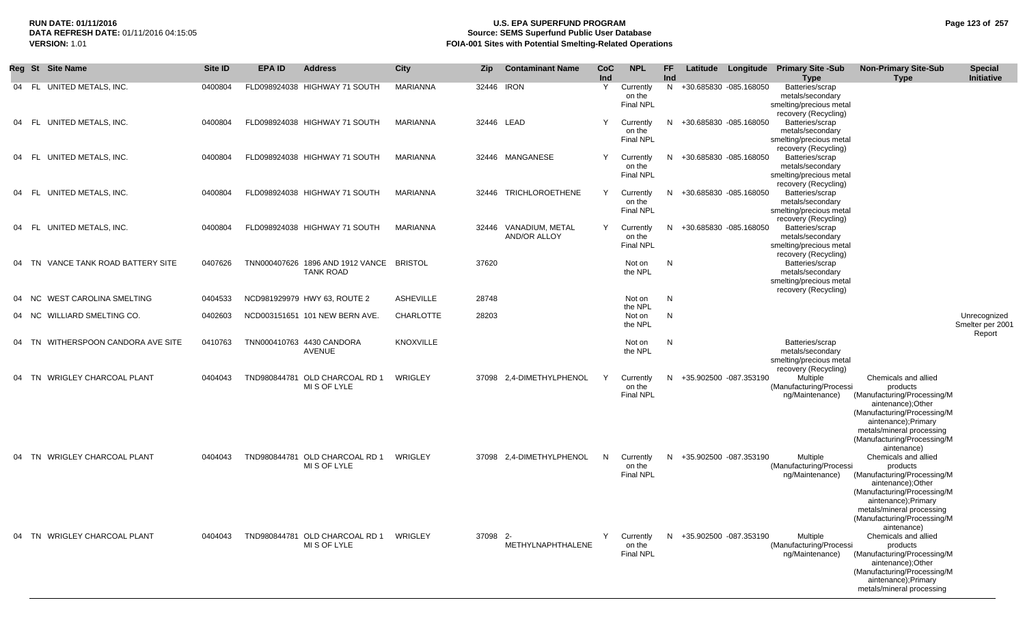# **RUN DATE: 01/11/2016 U.S. EPA SUPERFUND PROGRAM Page 123 of 257 Source: SEMS Superfund Public User Database VERSION:** 1.01 **FOIA-001 Sites with Potential Smelting-Related Operations**

|    | Reg St Site Name                   | Site ID | <b>EPA ID</b> | <b>Address</b>                                       | City             | <b>Zip</b> | <b>Contaminant Name</b>               | CoC<br>Ind | <b>NPL</b>                              | FF.<br>Ind | Latitude                 | Longitude | <b>Primary Site -Sub</b><br><b>Type</b>                                                                        | <b>Non-Primary Site-Sub</b><br><b>Type</b>                                                                                                                                                                             | <b>Special</b><br>Initiative               |
|----|------------------------------------|---------|---------------|------------------------------------------------------|------------------|------------|---------------------------------------|------------|-----------------------------------------|------------|--------------------------|-----------|----------------------------------------------------------------------------------------------------------------|------------------------------------------------------------------------------------------------------------------------------------------------------------------------------------------------------------------------|--------------------------------------------|
|    | 04 FL UNITED METALS, INC.          | 0400804 |               | FLD098924038 HIGHWAY 71 SOUTH                        | <b>MARIANNA</b>  | 32446 IRON |                                       | Y          | Currently<br>on the<br><b>Final NPL</b> |            | N +30.685830 -085.168050 |           | Batteries/scrap<br>metals/secondary<br>smelting/precious metal<br>recovery (Recycling)                         |                                                                                                                                                                                                                        |                                            |
|    | UNITED METALS, INC.<br>04 FL       | 0400804 |               | FLD098924038 HIGHWAY 71 SOUTH                        | MARIANNA         |            | 32446 LEAD                            | Υ          | Currently<br>on the<br><b>Final NPL</b> | N          | +30.685830 -085.168050   |           | Batteries/scrap<br>metals/secondary<br>smelting/precious metal<br>recovery (Recycling)                         |                                                                                                                                                                                                                        |                                            |
|    | 04 FL UNITED METALS, INC.          | 0400804 |               | FLD098924038 HIGHWAY 71 SOUTH                        | MARIANNA         |            | 32446 MANGANESE                       | Υ          | Currently<br>on the<br>Final NPL        | N.         | +30.685830 -085.168050   |           | Batteries/scrap<br>metals/secondary<br>smelting/precious metal<br>recovery (Recycling)                         |                                                                                                                                                                                                                        |                                            |
| 04 | FL UNITED METALS, INC.             | 0400804 |               | FLD098924038 HIGHWAY 71 SOUTH                        | MARIANNA         |            | 32446 TRICHLOROETHENE                 | Y          | Currently<br>on the<br>Final NPL        | N          | +30.685830 -085.168050   |           | Batteries/scrap<br>metals/secondary<br>smelting/precious metal<br>recovery (Recycling)                         |                                                                                                                                                                                                                        |                                            |
| 04 | FL UNITED METALS, INC.             | 0400804 |               | FLD098924038 HIGHWAY 71 SOUTH                        | MARIANNA         |            | 32446 VANADIUM, METAL<br>AND/OR ALLOY | Y          | Currently<br>on the<br><b>Final NPL</b> | N.         | +30.685830 -085.168050   |           | Batteries/scrap<br>metals/secondary<br>smelting/precious metal                                                 |                                                                                                                                                                                                                        |                                            |
|    | 04 TN VANCE TANK ROAD BATTERY SITE | 0407626 |               | TNN000407626 1896 AND 1912 VANCE<br><b>TANK ROAD</b> | <b>BRISTOL</b>   | 37620      |                                       |            | Not on<br>the NPL                       | N          |                          |           | recovery (Recycling)<br>Batteries/scrap<br>metals/secondary<br>smelting/precious metal<br>recovery (Recycling) |                                                                                                                                                                                                                        |                                            |
|    | WEST CAROLINA SMELTING<br>04 NC    | 0404533 |               | NCD981929979 HWY 63, ROUTE 2                         | <b>ASHEVILLE</b> | 28748      |                                       |            | Not on                                  | N          |                          |           |                                                                                                                |                                                                                                                                                                                                                        |                                            |
|    | 04 NC WILLIARD SMELTING CO.        | 0402603 |               | NCD003151651 101 NEW BERN AVE.                       | CHARLOTTE        | 28203      |                                       |            | the NPL<br>Not on<br>the NPL            | N          |                          |           |                                                                                                                |                                                                                                                                                                                                                        | Unrecognized<br>Smelter per 2001<br>Report |
| 04 | TN WITHERSPOON CANDORA AVE SITE    | 0410763 |               | TNN000410763 4430 CANDORA<br><b>AVENUE</b>           | <b>KNOXVILLE</b> |            |                                       |            | Not on<br>the NPL                       | N          |                          |           | Batteries/scrap<br>metals/secondary<br>smelting/precious metal<br>recovery (Recycling)                         |                                                                                                                                                                                                                        |                                            |
| 04 | TN WRIGLEY CHARCOAL PLANT          | 0404043 | TND980844781  | OLD CHARCOAL RD 1<br>MI S OF LYLE                    | WRIGLEY          | 37098      | 2,4-DIMETHYLPHENOL                    | Y          | Currently<br>on the<br>Final NPL        | N          | +35.902500 -087.353190   |           | Multiple<br>(Manufacturing/Processi<br>ng/Maintenance)                                                         | Chemicals and allied<br>products<br>(Manufacturing/Processing/M<br>aintenance); Other<br>(Manufacturing/Processing/M<br>aintenance);Primary<br>metals/mineral processing<br>(Manufacturing/Processing/M<br>aintenance) |                                            |
|    | 04 TN WRIGLEY CHARCOAL PLANT       | 0404043 |               | TND980844781 OLD CHARCOAL RD 1<br>MI S OF LYLE       | <b>WRIGLEY</b>   |            | 37098 2.4-DIMETHYLPHENOL              | N          | Currently<br>on the<br><b>Final NPL</b> |            | N +35.902500 -087.353190 |           | Multiple<br>(Manufacturing/Processi<br>ng/Maintenance)                                                         | Chemicals and allied<br>products<br>(Manufacturing/Processing/M<br>aintenance);Other<br>(Manufacturing/Processing/M<br>aintenance);Primary<br>metals/mineral processing<br>(Manufacturing/Processing/M<br>aintenance)  |                                            |
|    | 04 TN WRIGLEY CHARCOAL PLANT       | 0404043 |               | TND980844781 OLD CHARCOAL RD 1<br>MI S OF LYLE       | WRIGLEY          | 37098 2-   | METHYLNAPHTHALENE                     | Y          | Currently<br>on the<br><b>Final NPL</b> |            | N +35.902500 -087.353190 |           | Multiple<br>(Manufacturing/Processi<br>ng/Maintenance)                                                         | Chemicals and allied<br>products<br>(Manufacturing/Processing/M<br>aintenance); Other<br>(Manufacturing/Processing/M<br>aintenance);Primary<br>metals/mineral processing                                               |                                            |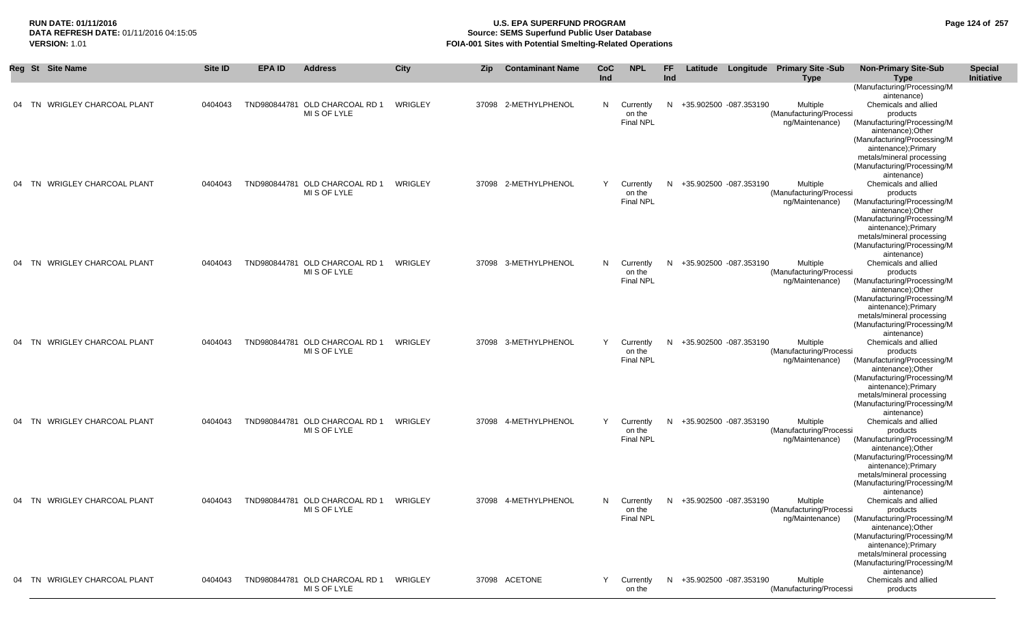### **RUN DATE: 01/11/2016 U.S. EPA SUPERFUND PROGRAM Page 124 of 257** DATA REFRESH DATE: 01/11/2016 04:15:05<br>**VERSION: 1.01** Source: SEMS Superfund Public User Database<br>FOIA-001 Sites with Potential Smelting-Related Operat **FOIA-001 Sites with Potential Smelting-Related Operations**

|    | Reg St Site Name                     | Site ID | <b>EPA ID</b> | <b>Address</b>                                 | <b>City</b> | <b>Zip</b> | <b>Contaminant Name</b> | <b>CoC</b><br>Ind | <b>NPL</b>                              | FF<br>Ind |                          | Latitude Longitude Primary Site -Sub<br><b>Type</b>    | <b>Non-Primary Site-Sub</b><br><b>Type</b>                                                                                                                                                                              | <b>Special</b><br>Initiative |
|----|--------------------------------------|---------|---------------|------------------------------------------------|-------------|------------|-------------------------|-------------------|-----------------------------------------|-----------|--------------------------|--------------------------------------------------------|-------------------------------------------------------------------------------------------------------------------------------------------------------------------------------------------------------------------------|------------------------------|
|    |                                      |         |               |                                                |             |            |                         |                   |                                         |           |                          |                                                        | (Manufacturing/Processing/M                                                                                                                                                                                             |                              |
| 04 | <b>WRIGLEY CHARCOAL PLANT</b><br>TN. | 0404043 |               | TND980844781 OLD CHARCOAL RD 1<br>MI S OF LYLE | WRIGLEY     |            | 37098 2-METHYLPHENOL    | N.                | Currently<br>on the<br><b>Final NPL</b> | N         | +35.902500 -087.353190   | Multiple<br>(Manufacturing/Processi<br>ng/Maintenance) | aintenance)<br>Chemicals and allied<br>products<br>(Manufacturing/Processing/M<br>aintenance); Other                                                                                                                    |                              |
|    |                                      |         |               |                                                |             |            |                         |                   |                                         |           |                          |                                                        | (Manufacturing/Processing/M<br>aintenance); Primary<br>metals/mineral processing<br>(Manufacturing/Processing/M<br>aintenance)                                                                                          |                              |
| 04 | TN WRIGLEY CHARCOAL PLANT            | 0404043 |               | TND980844781 OLD CHARCOAL RD 1<br>MI S OF LYLE | WRIGLEY     |            | 37098 2-METHYLPHENOL    | Y                 | Currently<br>on the<br><b>Final NPL</b> | N.        | +35.902500 -087.353190   | Multiple<br>(Manufacturing/Processi<br>ng/Maintenance) | Chemicals and allied<br>products<br>(Manufacturing/Processing/M<br>aintenance); Other<br>(Manufacturing/Processing/M                                                                                                    |                              |
| 04 | <b>WRIGLEY CHARCOAL PLANT</b><br>TN  | 0404043 |               | TND980844781 OLD CHARCOAL RD 1                 | WRIGLEY     |            | 37098 3-METHYLPHENOL    | N.                | Currently                               | N.        | +35.902500 -087.353190   | Multiple                                               | aintenance);Primary<br>metals/mineral processing<br>(Manufacturing/Processing/M<br>aintenance)<br>Chemicals and allied                                                                                                  |                              |
|    |                                      |         |               | MI S OF LYLE                                   |             |            |                         |                   | on the<br><b>Final NPL</b>              |           |                          | (Manufacturing/Processi<br>ng/Maintenance)             | products<br>(Manufacturing/Processing/M<br>aintenance); Other<br>(Manufacturing/Processing/M<br>aintenance);Primary<br>metals/mineral processing<br>(Manufacturing/Processing/M                                         |                              |
| 04 | TN WRIGLEY CHARCOAL PLANT            | 0404043 |               | TND980844781 OLD CHARCOAL RD 1<br>MI S OF LYLE | WRIGLEY     |            | 37098 3-METHYLPHENOL    | Y                 | Currently<br>on the<br><b>Final NPL</b> | N.        | +35.902500 -087.353190   | Multiple<br>(Manufacturing/Processi<br>ng/Maintenance) | aintenance)<br>Chemicals and allied<br>products<br>(Manufacturing/Processing/M<br>aintenance); Other<br>(Manufacturing/Processing/M<br>aintenance);Primary<br>metals/mineral processing<br>(Manufacturing/Processing/M  |                              |
| 04 | TN WRIGLEY CHARCOAL PLANT            | 0404043 |               | TND980844781 OLD CHARCOAL RD 1<br>MI S OF LYLE | WRIGLEY     |            | 37098 4-METHYLPHENOL    | Y                 | Currently<br>on the<br><b>Final NPL</b> | N.        | +35.902500 -087.353190   | Multiple<br>(Manufacturing/Processi<br>ng/Maintenance) | aintenance)<br>Chemicals and allied<br>products<br>(Manufacturing/Processing/M<br>aintenance); Other<br>(Manufacturing/Processing/M<br>aintenance); Primary<br>metals/mineral processing<br>(Manufacturing/Processing/M |                              |
|    | 04 TN WRIGLEY CHARCOAL PLANT         | 0404043 |               | TND980844781 OLD CHARCOAL RD 1<br>MI S OF LYLE | WRIGLEY     |            | 37098 4-METHYLPHENOL    | N.                | Currently<br>on the<br>Final NPL        | N.        | +35.902500 -087.353190   | Multiple<br>(Manufacturing/Processi<br>ng/Maintenance) | aintenance)<br>Chemicals and allied<br>products<br>(Manufacturing/Processing/M<br>aintenance);Other<br>(Manufacturing/Processing/M<br>aintenance);Primary<br>metals/mineral processing<br>(Manufacturing/Processing/M   |                              |
|    | 04 TN WRIGLEY CHARCOAL PLANT         | 0404043 |               | TND980844781 OLD CHARCOAL RD 1<br>MI S OF LYLE | WRIGLEY     |            | 37098 ACETONE           |                   | Y Currently<br>on the                   |           | N +35.902500 -087.353190 | Multiple<br>(Manufacturing/Processi                    | aintenance)<br>Chemicals and allied<br>products                                                                                                                                                                         |                              |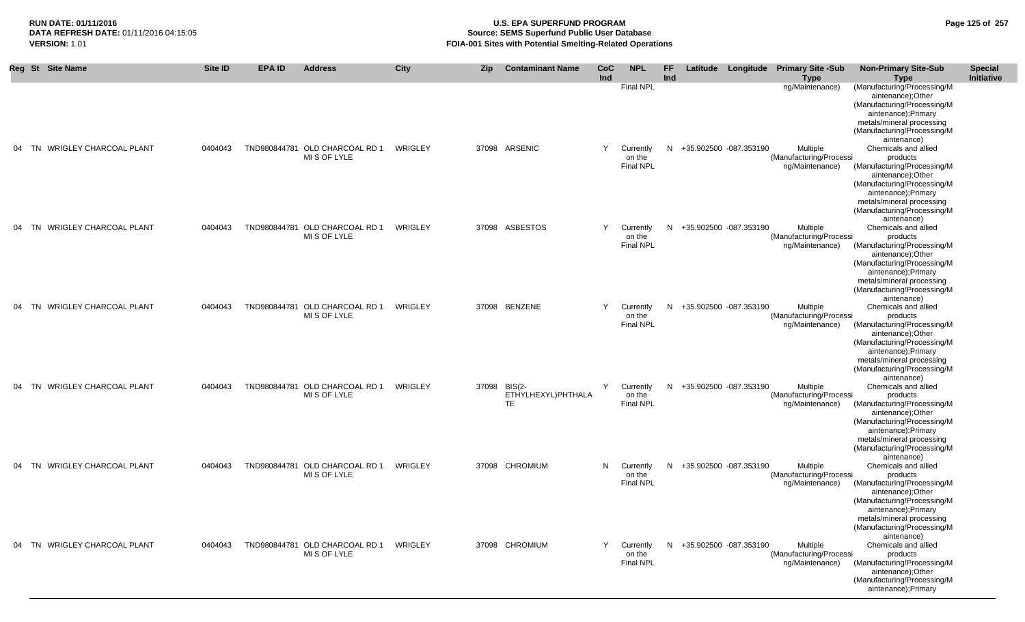# **RUN DATE: 01/11/2016 U.S. EPA SUPERFUND PROGRAM Page 125 of 257 Source: SEMS Superfund Public User Database VERSION:** 1.01 **FOIA-001 Sites with Potential Smelting-Related Operations**

| <b>St</b><br>Reg | <b>Site Name</b>              | Site ID | <b>EPA ID</b> | <b>Address</b>                                 | City    | <b>Zip</b> | <b>Contaminant Name</b>                  | <b>CoC</b><br>Ind | <b>NPL</b>                              | FF.<br>Ind |                          | Latitude Longitude Primary Site -Sub<br><b>Type</b>    | <b>Non-Primary Site-Sub</b><br><b>Type</b>                                                                                                                                                                            | <b>Special</b><br>Initiative |
|------------------|-------------------------------|---------|---------------|------------------------------------------------|---------|------------|------------------------------------------|-------------------|-----------------------------------------|------------|--------------------------|--------------------------------------------------------|-----------------------------------------------------------------------------------------------------------------------------------------------------------------------------------------------------------------------|------------------------------|
|                  |                               |         |               |                                                |         |            |                                          |                   | <b>Final NPL</b>                        |            |                          | ng/Maintenance)                                        | (Manufacturing/Processing/M<br>aintenance);Other<br>(Manufacturing/Processing/M<br>aintenance);Primary<br>metals/mineral processing<br>(Manufacturing/Processing/M<br>aintenance)                                     |                              |
|                  | 04 TN WRIGLEY CHARCOAL PLANT  | 0404043 |               | TND980844781 OLD CHARCOAL RD 1<br>MI S OF LYLE | WRIGLEY |            | 37098 ARSENIC                            | Y                 | Currently<br>on the<br>Final NPL        |            | N +35.902500 -087.353190 | Multiple<br>(Manufacturing/Processi<br>ng/Maintenance) | Chemicals and allied<br>products<br>(Manufacturing/Processing/M<br>aintenance);Other<br>(Manufacturing/Processing/M<br>aintenance);Primary<br>metals/mineral processing<br>(Manufacturing/Processing/M<br>aintenance) |                              |
| TN               | WRIGLEY CHARCOAL PLANT        | 0404043 |               | TND980844781 OLD CHARCOAL RD 1<br>MI S OF LYLE | WRIGLEY |            | 37098 ASBESTOS                           | Y                 | Currently<br>on the<br><b>Final NPL</b> | N.         | +35.902500 -087.353190   | Multiple<br>(Manufacturing/Processi<br>ng/Maintenance) | Chemicals and allied<br>products<br>(Manufacturing/Processing/M<br>aintenance);Other<br>(Manufacturing/Processing/M<br>aintenance);Primary<br>metals/mineral processing<br>(Manufacturing/Processing/M<br>aintenance) |                              |
| 04 TN            | <b>WRIGLEY CHARCOAL PLANT</b> | 0404043 |               | TND980844781 OLD CHARCOAL RD 1<br>MI S OF LYLE | WRIGLEY |            | 37098 BENZENE                            | Y                 | Currently<br>on the<br><b>Final NPL</b> | N          | +35.902500 -087.353190   | Multiple<br>(Manufacturing/Processi<br>ng/Maintenance) | Chemicals and allied<br>products<br>(Manufacturing/Processing/M<br>aintenance);Other<br>(Manufacturing/Processing/M<br>aintenance);Primary<br>metals/mineral processing<br>(Manufacturing/Processing/M<br>aintenance) |                              |
|                  | 04 TN WRIGLEY CHARCOAL PLANT  | 0404043 |               | TND980844781 OLD CHARCOAL RD 1<br>MI S OF LYLE | WRIGLEY |            | 37098 BIS(2-<br>ETHYLHEXYL)PHTHALA<br>TE | Y                 | Currently<br>on the<br><b>Final NPL</b> |            | N +35.902500 -087.353190 | Multiple<br>(Manufacturing/Processi<br>ng/Maintenance) | Chemicals and allied<br>products<br>(Manufacturing/Processing/M<br>aintenance);Other<br>(Manufacturing/Processing/M<br>aintenance);Primary<br>metals/mineral processing<br>(Manufacturing/Processing/M<br>aintenance) |                              |
|                  | 04 TN WRIGLEY CHARCOAL PLANT  | 0404043 |               | TND980844781 OLD CHARCOAL RD 1<br>MI S OF LYLE | WRIGLEY |            | 37098 CHROMIUM                           | N.                | Currently<br>on the<br><b>Final NPL</b> |            | N +35.902500 -087.353190 | Multiple<br>(Manufacturing/Processi<br>ng/Maintenance) | Chemicals and allied<br>products<br>(Manufacturing/Processing/M<br>aintenance);Other<br>(Manufacturing/Processing/M<br>aintenance);Primary<br>metals/mineral processing<br>(Manufacturing/Processing/M<br>aintenance) |                              |
|                  | 04 TN WRIGLEY CHARCOAL PLANT  | 0404043 |               | TND980844781 OLD CHARCOAL RD 1<br>MI S OF LYLE | WRIGLEY |            | 37098 CHROMIUM                           | Y                 | Currently<br>on the<br><b>Final NPL</b> |            | N +35.902500 -087.353190 | Multiple<br>(Manufacturing/Processi<br>ng/Maintenance) | Chemicals and allied<br>products<br>(Manufacturing/Processing/M<br>aintenance);Other<br>(Manufacturing/Processing/M<br>aintenance);Primary                                                                            |                              |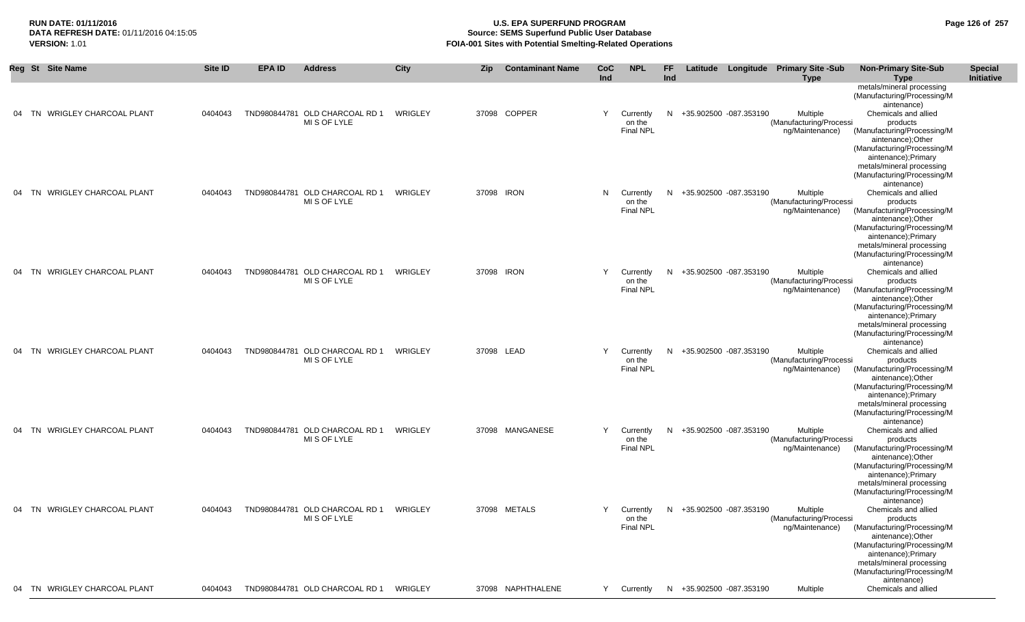# **RUN DATE: 01/11/2016 U.S. EPA SUPERFUND PROGRAM Page 126 of 257** DATA REFRESH DATE: 01/11/2016 04:15:05<br>**VERSION: 1.01** Source: SEMS Superfund Public User Database<br>FOIA-001 Sites with Potential Smelting-Related Operat **VERSION:** 1.01 **FOIA-001 Sites with Potential Smelting-Related Operations**

|    | Reg St Site Name                    | Site ID | <b>EPA ID</b> | <b>Address</b>                                 | City    | Zip        | <b>Contaminant Name</b> | CoC<br>Ind | <b>NPL</b>                              | FF<br>Ind |                          | Latitude Longitude Primary Site -Sub<br><b>Type</b>    | <b>Non-Primary Site-Sub</b><br><b>Type</b>                                                             | <b>Special</b><br>Initiative |
|----|-------------------------------------|---------|---------------|------------------------------------------------|---------|------------|-------------------------|------------|-----------------------------------------|-----------|--------------------------|--------------------------------------------------------|--------------------------------------------------------------------------------------------------------|------------------------------|
|    |                                     |         |               |                                                |         |            |                         |            |                                         |           |                          |                                                        | metals/mineral processing<br>(Manufacturing/Processing/M<br>aintenance)                                |                              |
| 04 | <b>WRIGLEY CHARCOAL PLANT</b><br>TN | 0404043 |               | TND980844781 OLD CHARCOAL RD 1<br>MI S OF LYLE | WRIGLEY |            | 37098 COPPER            | Y          | Currently<br>on the<br><b>Final NPL</b> | N         | +35.902500 -087.353190   | Multiple<br>(Manufacturing/Processi<br>ng/Maintenance) | Chemicals and allied<br>products                                                                       |                              |
|    |                                     |         |               |                                                |         |            |                         |            |                                         |           |                          |                                                        | (Manufacturing/Processing/M<br>aintenance);Other<br>(Manufacturing/Processing/M<br>aintenance);Primary |                              |
|    |                                     |         |               |                                                |         |            |                         |            |                                         |           |                          |                                                        | metals/mineral processing<br>(Manufacturing/Processing/M<br>aintenance)                                |                              |
| 04 | TN WRIGLEY CHARCOAL PLANT           | 0404043 |               | TND980844781 OLD CHARCOAL RD 1<br>MI S OF LYLE | WRIGLEY | 37098 IRON |                         | N          | Currently<br>on the<br><b>Final NPL</b> | N         | +35.902500 -087.353190   | Multiple<br>(Manufacturing/Processi<br>ng/Maintenance) | Chemicals and allied<br>products<br>(Manufacturing/Processing/M                                        |                              |
|    |                                     |         |               |                                                |         |            |                         |            |                                         |           |                          |                                                        | aintenance);Other<br>(Manufacturing/Processing/M<br>aintenance);Primary<br>metals/mineral processing   |                              |
| 04 | TN WRIGLEY CHARCOAL PLANT           | 0404043 |               | TND980844781 OLD CHARCOAL RD 1                 | WRIGLEY | 37098 IRON |                         | Y          | Currently                               |           | N +35.902500 -087.353190 | Multiple                                               | (Manufacturing/Processing/M<br>aintenance)<br>Chemicals and allied                                     |                              |
|    |                                     |         |               | MI S OF LYLE                                   |         |            |                         |            | on the<br><b>Final NPL</b>              |           |                          | (Manufacturing/Processi<br>ng/Maintenance)             | products<br>(Manufacturing/Processing/M<br>aintenance);Other                                           |                              |
|    |                                     |         |               |                                                |         |            |                         |            |                                         |           |                          |                                                        | (Manufacturing/Processing/M<br>aintenance);Primary<br>metals/mineral processing                        |                              |
|    | 04 TN WRIGLEY CHARCOAL PLANT        | 0404043 |               | TND980844781 OLD CHARCOAL RD 1                 | WRIGLEY | 37098 LEAD |                         | Y          | Currently                               | N         | +35.902500 -087.353190   | Multiple                                               | (Manufacturing/Processing/M<br>aintenance)<br>Chemicals and allied                                     |                              |
|    |                                     |         |               | MI S OF LYLE                                   |         |            |                         |            | on the<br><b>Final NPL</b>              |           |                          | (Manufacturing/Processi<br>ng/Maintenance)             | products<br>(Manufacturing/Processing/M<br>aintenance);Other<br>(Manufacturing/Processing/M            |                              |
|    |                                     |         |               |                                                |         |            |                         |            |                                         |           |                          |                                                        | aintenance);Primary<br>metals/mineral processing<br>(Manufacturing/Processing/M                        |                              |
|    | 04 TN WRIGLEY CHARCOAL PLANT        | 0404043 |               | TND980844781 OLD CHARCOAL RD 1<br>MI S OF LYLE | WRIGLEY |            | 37098 MANGANESE         | Y          | Currently<br>on the                     | N         | +35.902500 -087.353190   | Multiple<br>(Manufacturing/Processi                    | aintenance)<br>Chemicals and allied<br>products                                                        |                              |
|    |                                     |         |               |                                                |         |            |                         |            | <b>Final NPL</b>                        |           |                          | ng/Maintenance)                                        | (Manufacturing/Processing/M<br>aintenance);Other<br>(Manufacturing/Processing/M<br>aintenance);Primary |                              |
|    |                                     |         |               |                                                |         |            |                         |            |                                         |           |                          |                                                        | metals/mineral processing<br>(Manufacturing/Processing/M<br>aintenance)                                |                              |
| 04 | TN WRIGLEY CHARCOAL PLANT           | 0404043 |               | TND980844781 OLD CHARCOAL RD 1<br>MI S OF LYLE | WRIGLEY |            | 37098 METALS            | Y          | Currently<br>on the<br><b>Final NPL</b> | N         | +35.902500 -087.353190   | Multiple<br>(Manufacturing/Processi<br>ng/Maintenance) | Chemicals and allied<br>products<br>(Manufacturing/Processing/M                                        |                              |
|    |                                     |         |               |                                                |         |            |                         |            |                                         |           |                          |                                                        | aintenance);Other<br>(Manufacturing/Processing/M<br>aintenance); Primary<br>metals/mineral processing  |                              |
| 04 | TN WRIGLEY CHARCOAL PLANT           | 0404043 |               | TND980844781 OLD CHARCOAL RD 1                 | WRIGLEY |            | 37098 NAPHTHALENE       | Y          | Currently                               | N.        | +35.902500 -087.353190   | Multiple                                               | (Manufacturing/Processing/M<br>aintenance)<br>Chemicals and allied                                     |                              |
|    |                                     |         |               |                                                |         |            |                         |            |                                         |           |                          |                                                        |                                                                                                        |                              |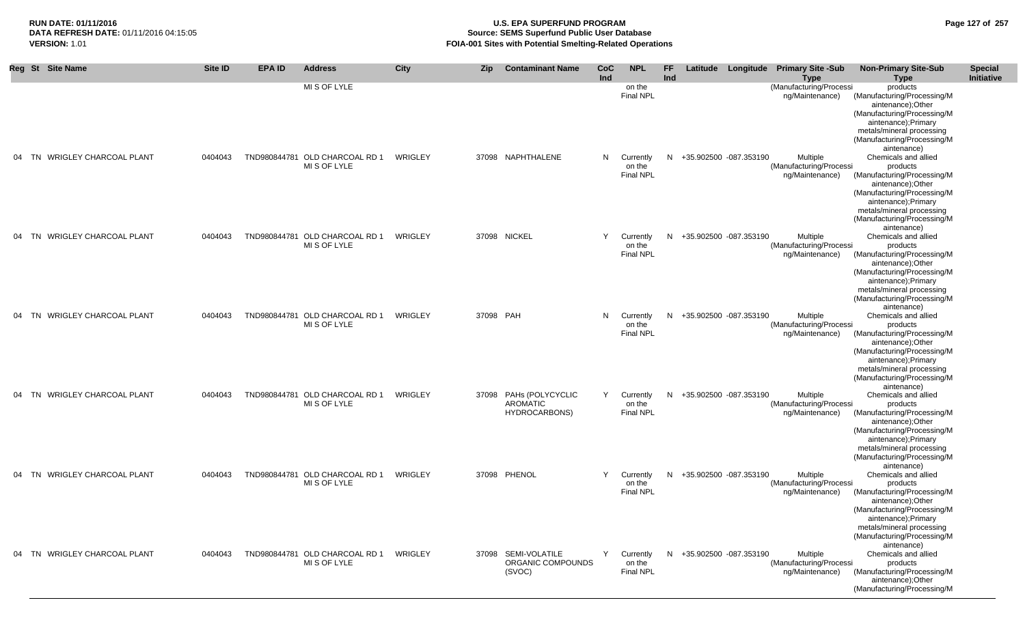### **RUN DATE: 01/11/2016 U.S. EPA SUPERFUND PROGRAM Page 127 of 257** DATA REFRESH DATE: 01/11/2016 04:15:05<br>**VERSION: 1.01** Source: SEMS Superfund Public User Database<br>FOIA-001 Sites with Potential Smelting-Related Operat **FOIA-001 Sites with Potential Smelting-Related Operations**

| Reg St Site Name             | Site ID | <b>EPAID</b> | <b>Address</b>                                 | City    | Zip       | <b>Contaminant Name</b>          | <b>CoC</b> | <b>NPL</b>                 | FF  |                          | Latitude Longitude Primary Site -Sub       | <b>Non-Primary Site-Sub</b>                        | <b>Special</b> |
|------------------------------|---------|--------------|------------------------------------------------|---------|-----------|----------------------------------|------------|----------------------------|-----|--------------------------|--------------------------------------------|----------------------------------------------------|----------------|
|                              |         |              |                                                |         |           |                                  | Ind        |                            | Ind |                          | Type                                       | <b>Type</b>                                        | Initiative     |
|                              |         |              | MI S OF LYLE                                   |         |           |                                  |            | on the<br><b>Final NPL</b> |     |                          | (Manufacturing/Processi<br>ng/Maintenance) | products<br>(Manufacturing/Processing/M            |                |
|                              |         |              |                                                |         |           |                                  |            |                            |     |                          |                                            | aintenance);Other<br>(Manufacturing/Processing/M   |                |
|                              |         |              |                                                |         |           |                                  |            |                            |     |                          |                                            | aintenance);Primary<br>metals/mineral processing   |                |
|                              |         |              |                                                |         |           |                                  |            |                            |     |                          |                                            | (Manufacturing/Processing/M                        |                |
| 04 TN WRIGLEY CHARCOAL PLANT | 0404043 |              | TND980844781 OLD CHARCOAL RD 1                 | WRIGLEY |           | 37098 NAPHTHALENE                |            | N Currently                |     | N +35.902500 -087.353190 | Multiple                                   | aintenance)<br>Chemicals and allied                |                |
|                              |         |              | MI S OF LYLE                                   |         |           |                                  |            | on the                     |     |                          | (Manufacturing/Processi                    | products                                           |                |
|                              |         |              |                                                |         |           |                                  |            | <b>Final NPL</b>           |     |                          | ng/Maintenance)                            | (Manufacturing/Processing/M<br>aintenance);Other   |                |
|                              |         |              |                                                |         |           |                                  |            |                            |     |                          |                                            | (Manufacturing/Processing/M                        |                |
|                              |         |              |                                                |         |           |                                  |            |                            |     |                          |                                            | aintenance);Primary<br>metals/mineral processing   |                |
|                              |         |              |                                                |         |           |                                  |            |                            |     |                          |                                            | (Manufacturing/Processing/M                        |                |
|                              |         |              |                                                |         |           |                                  |            |                            |     |                          |                                            | aintenance)                                        |                |
| 04 TN WRIGLEY CHARCOAL PLANT | 0404043 |              | TND980844781 OLD CHARCOAL RD 1<br>MI S OF LYLE | WRIGLEY |           | 37098 NICKEL                     | Y          | Currently<br>on the        |     | N +35.902500 -087.353190 | Multiple<br>(Manufacturing/Processi        | Chemicals and allied<br>products                   |                |
|                              |         |              |                                                |         |           |                                  |            | <b>Final NPL</b>           |     |                          | ng/Maintenance)                            | (Manufacturing/Processing/M<br>aintenance);Other   |                |
|                              |         |              |                                                |         |           |                                  |            |                            |     |                          |                                            | (Manufacturing/Processing/M                        |                |
|                              |         |              |                                                |         |           |                                  |            |                            |     |                          |                                            | aintenance);Primary<br>metals/mineral processing   |                |
|                              |         |              |                                                |         |           |                                  |            |                            |     |                          |                                            | (Manufacturing/Processing/M<br>aintenance)         |                |
| 04 TN WRIGLEY CHARCOAL PLANT | 0404043 |              | TND980844781 OLD CHARCOAL RD 1                 | WRIGLEY | 37098 PAH |                                  | N,         | Currently                  |     | N +35.902500 -087.353190 | Multiple                                   | Chemicals and allied                               |                |
|                              |         |              | MI S OF LYLE                                   |         |           |                                  |            | on the<br><b>Final NPL</b> |     |                          | (Manufacturing/Processi<br>ng/Maintenance) | products<br>(Manufacturing/Processing/M            |                |
|                              |         |              |                                                |         |           |                                  |            |                            |     |                          |                                            | aintenance);Other                                  |                |
|                              |         |              |                                                |         |           |                                  |            |                            |     |                          |                                            | (Manufacturing/Processing/M<br>aintenance);Primary |                |
|                              |         |              |                                                |         |           |                                  |            |                            |     |                          |                                            | metals/mineral processing                          |                |
|                              |         |              |                                                |         |           |                                  |            |                            |     |                          |                                            | (Manufacturing/Processing/M<br>aintenance)         |                |
| 04 TN WRIGLEY CHARCOAL PLANT | 0404043 |              | TND980844781 OLD CHARCOAL RD 1                 | WRIGLEY |           | 37098 PAHs (POLYCYCLIC           | Y          | Currently                  |     | N +35.902500 -087.353190 | Multiple                                   | Chemicals and allied                               |                |
|                              |         |              | MI S OF LYLE                                   |         |           | AROMATIC<br><b>HYDROCARBONS)</b> |            | on the<br>Final NPL        |     |                          | (Manufacturing/Processi<br>ng/Maintenance) | products<br>(Manufacturing/Processing/M            |                |
|                              |         |              |                                                |         |           |                                  |            |                            |     |                          |                                            | aintenance);Other                                  |                |
|                              |         |              |                                                |         |           |                                  |            |                            |     |                          |                                            | (Manufacturing/Processing/M<br>aintenance);Primary |                |
|                              |         |              |                                                |         |           |                                  |            |                            |     |                          |                                            | metals/mineral processing                          |                |
|                              |         |              |                                                |         |           |                                  |            |                            |     |                          |                                            | (Manufacturing/Processing/M<br>aintenance)         |                |
| 04 TN WRIGLEY CHARCOAL PLANT | 0404043 |              | TND980844781 OLD CHARCOAL RD 1                 | WRIGLEY |           | 37098 PHENOL                     | Y          | Currently                  |     | N +35.902500 -087.353190 | Multiple                                   | Chemicals and allied                               |                |
|                              |         |              | MI S OF LYLE                                   |         |           |                                  |            | on the<br>Final NPL        |     |                          | (Manufacturing/Processi<br>ng/Maintenance) | products<br>(Manufacturing/Processing/M            |                |
|                              |         |              |                                                |         |           |                                  |            |                            |     |                          |                                            | aintenance);Other                                  |                |
|                              |         |              |                                                |         |           |                                  |            |                            |     |                          |                                            | (Manufacturing/Processing/M<br>aintenance);Primary |                |
|                              |         |              |                                                |         |           |                                  |            |                            |     |                          |                                            | metals/mineral processing                          |                |
|                              |         |              |                                                |         |           |                                  |            |                            |     |                          |                                            | (Manufacturing/Processing/M<br>aintenance)         |                |
| 04 TN WRIGLEY CHARCOAL PLANT | 0404043 |              | TND980844781 OLD CHARCOAL RD 1 WRIGLEY         |         |           | 37098 SEMI-VOLATILE              |            | Y Currently                |     | N +35.902500 -087.353190 | Multiple                                   | Chemicals and allied                               |                |
|                              |         |              | MI S OF LYLE                                   |         |           | ORGANIC COMPOUNDS<br>(SVOC)      |            | on the<br>Final NPL        |     |                          | (Manufacturing/Processi<br>ng/Maintenance) | products<br>(Manufacturing/Processing/M            |                |
|                              |         |              |                                                |         |           |                                  |            |                            |     |                          |                                            | aintenance);Other                                  |                |
|                              |         |              |                                                |         |           |                                  |            |                            |     |                          |                                            | (Manufacturing/Processing/M                        |                |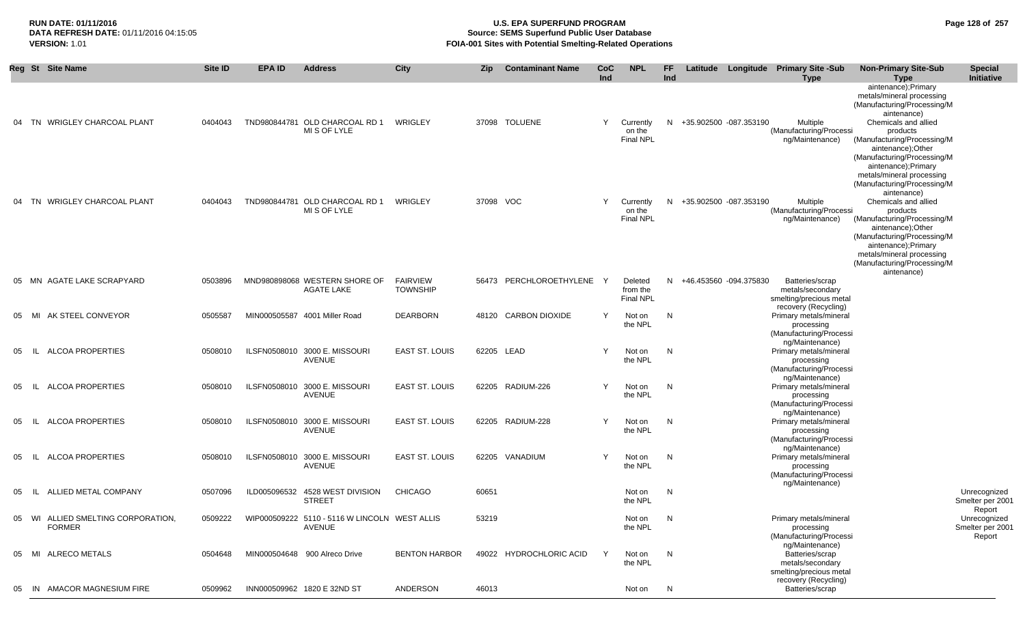### **RUN DATE: 01/11/2016 U.S. EPA SUPERFUND PROGRAM Page 128 of 257 Source: SEMS Superfund Public User Database VERSION:** 1.01 **FOIA-001 Sites with Potential Smelting-Related Operations**

|    | Reg St Site Name                                    | Site ID | <b>EPA ID</b> | <b>Address</b>                                          | <b>City</b>                        | <b>Zip</b> | <b>Contaminant Name</b>   | CoC<br>Ind | <b>NPL</b>                              | FF.<br>Ind |                          | Latitude Longitude Primary Site -Sub<br><b>Type</b>                                    | <b>Non-Primary Site-Sub</b><br><b>Type</b>                                                                                                                                                                                                                                                               | <b>Special</b><br>Initiative               |
|----|-----------------------------------------------------|---------|---------------|---------------------------------------------------------|------------------------------------|------------|---------------------------|------------|-----------------------------------------|------------|--------------------------|----------------------------------------------------------------------------------------|----------------------------------------------------------------------------------------------------------------------------------------------------------------------------------------------------------------------------------------------------------------------------------------------------------|--------------------------------------------|
| 04 | TN WRIGLEY CHARCOAL PLANT                           | 0404043 |               | TND980844781 OLD CHARCOAL RD 1<br>MI S OF LYLE          | WRIGLEY                            |            | 37098 TOLUENE             | Y          | Currently<br>on the<br>Final NPL        |            | N +35.902500 -087.353190 | <b>Multiple</b><br>(Manufacturing/Processi<br>ng/Maintenance)                          | aintenance);Primary<br>metals/mineral processing<br>(Manufacturing/Processing/M<br>aintenance)<br>Chemicals and allied<br>products<br>(Manufacturing/Processing/M<br>aintenance);Other<br>(Manufacturing/Processing/M<br>aintenance);Primary<br>metals/mineral processing<br>(Manufacturing/Processing/M |                                            |
| 04 | TN WRIGLEY CHARCOAL PLANT                           | 0404043 |               | TND980844781 OLD CHARCOAL RD 1<br>MI S OF LYLE          | WRIGLEY                            | 37098 VOC  |                           | Y          | Currently<br>on the<br>Final NPL        |            | N +35.902500 -087.353190 | <b>Multiple</b><br>(Manufacturing/Processi<br>ng/Maintenance)                          | aintenance)<br>Chemicals and allied<br>products<br>(Manufacturing/Processing/M<br>aintenance);Other<br>(Manufacturing/Processing/M<br>aintenance);Primary<br>metals/mineral processing<br>(Manufacturing/Processing/M<br>aintenance)                                                                     |                                            |
|    | 05 MN AGATE LAKE SCRAPYARD                          | 0503896 |               | MND980898068 WESTERN SHORE OF<br>AGATE LAKE             | <b>FAIRVIEW</b><br><b>TOWNSHIP</b> |            | 56473 PERCHLOROETHYLENE Y |            | Deleted<br>from the<br><b>Final NPL</b> |            | N +46.453560 -094.375830 | Batteries/scrap<br>metals/secondary<br>smelting/precious metal<br>recovery (Recycling) |                                                                                                                                                                                                                                                                                                          |                                            |
| 05 | AK STEEL CONVEYOR<br>MI                             | 0505587 |               | MIN000505587 4001 Miller Road                           | <b>DEARBORN</b>                    |            | 48120 CARBON DIOXIDE      | Y          | Not on<br>the NPL                       | N          |                          | Primary metals/mineral<br>processing<br>(Manufacturing/Processi<br>ng/Maintenance)     |                                                                                                                                                                                                                                                                                                          |                                            |
| 05 | ALCOA PROPERTIES<br>- IL I                          | 0508010 |               | ILSFN0508010 3000 E. MISSOURI<br>AVENUE                 | EAST ST. LOUIS                     | 62205 LEAD |                           | Y          | Not on<br>the NPL                       | N          |                          | Primary metals/mineral<br>processing<br>(Manufacturing/Processi<br>ng/Maintenance)     |                                                                                                                                                                                                                                                                                                          |                                            |
| 05 | ALCOA PROPERTIES<br>-lL                             | 0508010 |               | ILSFN0508010 3000 E. MISSOURI<br>AVENUE                 | EAST ST. LOUIS                     |            | 62205 RADIUM-226          | Y          | Not on<br>the NPL                       | N          |                          | Primary metals/mineral<br>processing<br>(Manufacturing/Processi                        |                                                                                                                                                                                                                                                                                                          |                                            |
| 05 | <b>ALCOA PROPERTIES</b><br>-lL                      | 0508010 |               | ILSFN0508010 3000 E. MISSOURI<br>AVENUE                 | <b>EAST ST. LOUIS</b>              |            | 62205 RADIUM-228          | Υ          | Not on<br>the NPL                       | N          |                          | ng/Maintenance)<br>Primary metals/mineral<br>processing<br>(Manufacturing/Processi     |                                                                                                                                                                                                                                                                                                          |                                            |
| 05 | <b>ALCOA PROPERTIES</b><br>-IL.                     | 0508010 |               | ILSFN0508010 3000 E. MISSOURI<br>AVENUE                 | EAST ST. LOUIS                     |            | 62205 VANADIUM            | Y          | Not on<br>the NPL                       | N          |                          | ng/Maintenance)<br>Primary metals/mineral<br>processing<br>(Manufacturing/Processi     |                                                                                                                                                                                                                                                                                                          |                                            |
| 05 | ALLIED METAL COMPANY<br>- IL                        | 0507096 |               | ILD005096532 4528 WEST DIVISION<br><b>STREET</b>        | <b>CHICAGO</b>                     | 60651      |                           |            | Not on<br>the NPL                       | N          |                          | ng/Maintenance)                                                                        |                                                                                                                                                                                                                                                                                                          | Unrecognized<br>Smelter per 2001<br>Report |
|    | 05 WI ALLIED SMELTING CORPORATION,<br><b>FORMER</b> | 0509222 |               | WIP000509222 5110 - 5116 W LINCOLN WEST ALLIS<br>AVENUE |                                    | 53219      |                           |            | Not on<br>the NPL                       | N          |                          | Primary metals/mineral<br>processing<br>(Manufacturing/Processi<br>ng/Maintenance)     |                                                                                                                                                                                                                                                                                                          | Unrecognized<br>Smelter per 2001<br>Report |
|    | 05 MI ALRECO METALS                                 | 0504648 |               | MIN000504648 900 Alreco Drive                           | <b>BENTON HARBOR</b>               |            | 49022 HYDROCHLORIC ACID   | Y          | Not on<br>the NPL                       | N,         |                          | Batteries/scrap<br>metals/secondary<br>smelting/precious metal<br>recovery (Recycling) |                                                                                                                                                                                                                                                                                                          |                                            |
| 05 | IN AMACOR MAGNESIUM FIRE                            | 0509962 |               | INN000509962 1820 E 32ND ST                             | ANDERSON                           | 46013      |                           |            | Not on                                  | N          |                          | Batteries/scrap                                                                        |                                                                                                                                                                                                                                                                                                          |                                            |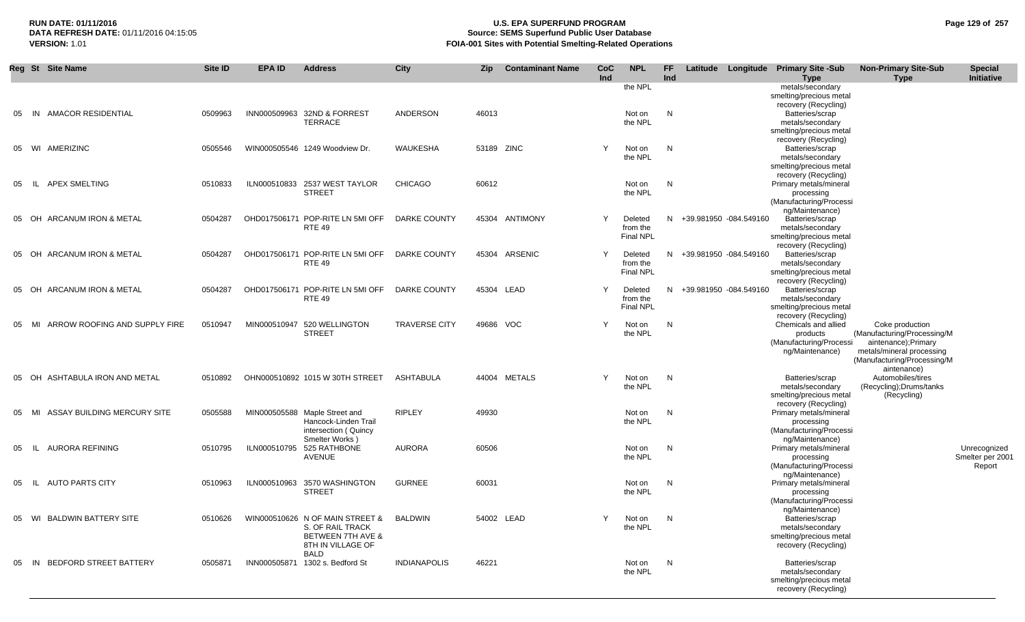# **RUN DATE: 01/11/2016 U.S. EPA SUPERFUND PROGRAM Page 129 of 257 Source: SEMS Superfund Public User Database VERSION:** 1.01 **FOIA-001 Sites with Potential Smelting-Related Operations**

|    | Reg St Site Name                    | Site ID | <b>EPA ID</b> | <b>Address</b>                                                                                                                  | <b>City</b>          | Zip   | <b>Contaminant Name</b> | CoC<br>Ind   | <b>NPL</b>                              | FF.<br>Ind |                          | Latitude Longitude Primary Site -Sub<br>Type                                                                   | <b>Non-Primary Site-Sub</b><br><b>Type</b>                                                                                                       | <b>Special</b><br>Initiative               |
|----|-------------------------------------|---------|---------------|---------------------------------------------------------------------------------------------------------------------------------|----------------------|-------|-------------------------|--------------|-----------------------------------------|------------|--------------------------|----------------------------------------------------------------------------------------------------------------|--------------------------------------------------------------------------------------------------------------------------------------------------|--------------------------------------------|
|    |                                     |         |               |                                                                                                                                 |                      |       |                         |              | the NPL                                 |            |                          | metals/secondary<br>smelting/precious metal<br>recovery (Recycling)                                            |                                                                                                                                                  |                                            |
| 05 | <b>AMACOR RESIDENTIAL</b><br>IN     | 0509963 | INN000509963  | 32ND & FORREST<br><b>TERRACE</b>                                                                                                | ANDERSON             | 46013 |                         |              | Not on<br>the NPL                       | N          |                          | Batteries/scrap<br>metals/secondary<br>smelting/precious metal                                                 |                                                                                                                                                  |                                            |
| 05 | WI AMERIZINC                        | 0505546 |               | WIN000505546 1249 Woodview Dr.                                                                                                  | WAUKESHA             |       | 53189 ZINC              | Y            | Not on<br>the NPL                       | N          |                          | recovery (Recycling)<br>Batteries/scrap<br>metals/secondary<br>smelting/precious metal                         |                                                                                                                                                  |                                            |
| 05 | IL APEX SMELTING                    | 0510833 |               | ILN000510833 2537 WEST TAYLOR<br><b>STREET</b>                                                                                  | <b>CHICAGO</b>       | 60612 |                         |              | Not on<br>the NPL                       | N          |                          | recovery (Recycling)<br>Primary metals/mineral<br>processing<br>(Manufacturing/Processi                        |                                                                                                                                                  |                                            |
|    | 05 OH ARCANUM IRON & METAL          | 0504287 |               | OHD017506171 POP-RITE LN 5MI OFF<br><b>RTE 49</b>                                                                               | DARKE COUNTY         |       | 45304 ANTIMONY          | Y            | Deleted<br>from the<br>Final NPL        |            | N +39.981950 -084.549160 | ng/Maintenance)<br>Batteries/scrap<br>metals/secondary<br>smelting/precious metal                              |                                                                                                                                                  |                                            |
| 05 | OH ARCANUM IRON & METAL             | 0504287 |               | OHD017506171 POP-RITE LN 5MI OFF<br><b>RTE 49</b>                                                                               | DARKE COUNTY         |       | 45304 ARSENIC           | <sup>V</sup> | Deleted<br>from the<br><b>Final NPL</b> |            | N +39.981950 -084.549160 | recovery (Recycling)<br>Batteries/scrap<br>metals/secondary<br>smelting/precious metal                         |                                                                                                                                                  |                                            |
|    | 05 OH ARCANUM IRON & METAL          | 0504287 |               | OHD017506171 POP-RITE LN 5MI OFF<br><b>RTE 49</b>                                                                               | DARKE COUNTY         |       | 45304 LEAD              | Y            | Deleted<br>from the<br><b>Final NPL</b> |            | N +39.981950 -084.549160 | recovery (Recycling)<br>Batteries/scrap<br>metals/secondary<br>smelting/precious metal<br>recovery (Recycling) |                                                                                                                                                  |                                            |
| 05 | ARROW ROOFING AND SUPPLY FIRE<br>MI | 0510947 |               | MIN000510947 520 WELLINGTON<br><b>STREET</b>                                                                                    | <b>TRAVERSE CITY</b> |       | 49686 VOC               | Y            | Not on<br>the NPL                       | N          |                          | Chemicals and allied<br>products<br>(Manufacturing/Processi<br>ng/Maintenance)                                 | Coke production<br>(Manufacturing/Processing/M<br>aintenance);Primary<br>metals/mineral processing<br>(Manufacturing/Processing/M<br>aintenance) |                                            |
|    | 05 OH ASHTABULA IRON AND METAL      | 0510892 |               | OHN000510892 1015 W 30TH STREET                                                                                                 | ASHTABULA            |       | 44004 METALS            | Y            | Not on<br>the NPL                       | N          |                          | Batteries/scrap<br>metals/secondary<br>smelting/precious metal<br>recovery (Recycling)                         | Automobiles/tires<br>(Recycling); Drums/tanks<br>(Recycling)                                                                                     |                                            |
| 05 | ASSAY BUILDING MERCURY SITE<br>MI   | 0505588 |               | MIN000505588 Maple Street and<br>Hancock-Linden Trail<br>intersection (Quincy<br>Smelter Works)                                 | <b>RIPLEY</b>        | 49930 |                         |              | Not on<br>the NPL                       | N          |                          | Primary metals/mineral<br>processing<br>(Manufacturing/Processi<br>ng/Maintenance)                             |                                                                                                                                                  |                                            |
| 05 | AURORA REFINING<br>- IL -           | 0510795 | ILN000510795  | 525 RATHBONE<br>AVENUE                                                                                                          | <b>AURORA</b>        | 60506 |                         |              | Not on<br>the NPL                       | N          |                          | Primary metals/mineral<br>processing<br>(Manufacturing/Processi                                                |                                                                                                                                                  | Unrecognized<br>Smelter per 2001<br>Report |
| 05 | IL AUTO PARTS CITY                  | 0510963 | ILN000510963  | 3570 WASHINGTON<br><b>STREET</b>                                                                                                | <b>GURNEE</b>        | 60031 |                         |              | Not on<br>the NPL                       | N          |                          | ng/Maintenance)<br>Primary metals/mineral<br>processing<br>(Manufacturing/Processi                             |                                                                                                                                                  |                                            |
| 05 | WI BALDWIN BATTERY SITE             | 0510626 |               | WIN000510626 N OF MAIN STREET & BALDWIN<br>S. OF RAIL TRACK<br><b>BETWEEN 7TH AVE &amp;</b><br>8TH IN VILLAGE OF<br><b>BALD</b> |                      |       | 54002 LEAD              |              | Not on<br>the NPL                       | N.         |                          | ng/Maintenance)<br>Batteries/scrap<br>metals/secondary<br>smelting/precious metal<br>recovery (Recycling)      |                                                                                                                                                  |                                            |
| 05 | IN BEDFORD STREET BATTERY           | 0505871 |               | INN000505871 1302 s. Bedford St                                                                                                 | <b>INDIANAPOLIS</b>  | 46221 |                         |              | Not on<br>the NPL                       | N          |                          | Batteries/scrap<br>metals/secondary<br>smelting/precious metal<br>recovery (Recycling)                         |                                                                                                                                                  |                                            |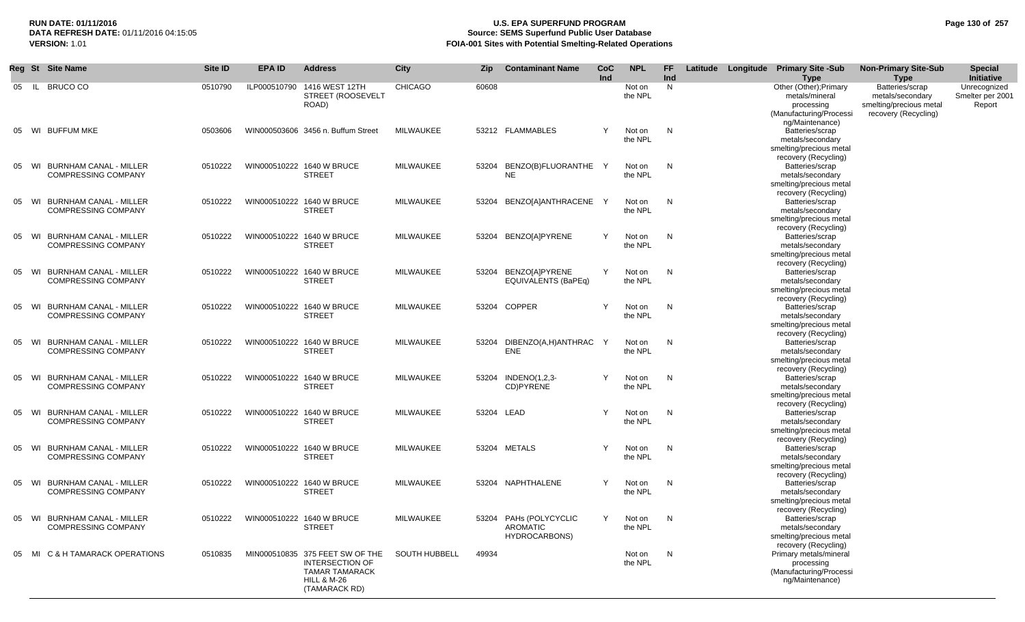# **RUN DATE: 01/11/2016 U.S. EPA SUPERFUND PROGRAM Page 130 of 257 Source: SEMS Superfund Public User Database VERSION:** 1.01 **FOIA-001 Sites with Potential Smelting-Related Operations**

|    | Reg St | <b>Site Name</b>                                            | Site ID | <b>EPA ID</b> | <b>Address</b>                                                                                                                | City                 | Zip   | <b>Contaminant Name</b>                                    | CoC<br>Ind   | <b>NPL</b>        | FF.<br>Ind   |  | Latitude Longitude Primary Site -Sub<br><b>Type</b>                                                        | <b>Non-Primary Site-Sub</b><br><b>Type</b>                                             | <b>Special</b><br>Initiative               |
|----|--------|-------------------------------------------------------------|---------|---------------|-------------------------------------------------------------------------------------------------------------------------------|----------------------|-------|------------------------------------------------------------|--------------|-------------------|--------------|--|------------------------------------------------------------------------------------------------------------|----------------------------------------------------------------------------------------|--------------------------------------------|
| 05 |        | IL BRUCO CO                                                 | 0510790 |               | ILP000510790 1416 WEST 12TH<br>STREET (ROOSEVELT<br>ROAD)                                                                     | <b>CHICAGO</b>       | 60608 |                                                            |              | Not on<br>the NPL | N            |  | Other (Other); Primary<br>metals/mineral<br>processing<br>(Manufacturing/Processi                          | Batteries/scrap<br>metals/secondary<br>smelting/precious metal<br>recovery (Recycling) | Unrecognized<br>Smelter per 2001<br>Report |
|    |        | 05 WI BUFFUM MKE                                            | 0503606 |               | WIN000503606 3456 n. Buffum Street                                                                                            | MILWAUKEE            |       | 53212 FLAMMABLES                                           | Y            | Not on<br>the NPL | $\mathsf{N}$ |  | ng/Maintenance)<br>Batteries/scrap<br>metals/secondary<br>smelting/precious metal                          |                                                                                        |                                            |
|    | 05 WI  | <b>BURNHAM CANAL - MILLER</b><br><b>COMPRESSING COMPANY</b> | 0510222 |               | WIN000510222 1640 W BRUCE<br><b>STREET</b>                                                                                    | MILWAUKEE            | 53204 | BENZO(B)FLUORANTHE<br><b>NE</b>                            | Y            | Not on<br>the NPL | $\mathsf{N}$ |  | recovery (Recycling)<br>Batteries/scrap<br>metals/secondary<br>smelting/precious metal                     |                                                                                        |                                            |
|    |        | 05 WI BURNHAM CANAL - MILLER<br><b>COMPRESSING COMPANY</b>  | 0510222 |               | WIN000510222 1640 W BRUCE<br><b>STREET</b>                                                                                    | MILWAUKEE            | 53204 | BENZO[A]ANTHRACENE Y                                       |              | Not on<br>the NPL | $\mathsf{N}$ |  | recovery (Recycling)<br>Batteries/scrap<br>metals/secondary<br>smelting/precious metal                     |                                                                                        |                                            |
|    | 05 WI  | BURNHAM CANAL - MILLER<br><b>COMPRESSING COMPANY</b>        | 0510222 |               | WIN000510222 1640 W BRUCE<br><b>STREET</b>                                                                                    | MILWAUKEE            | 53204 | <b>BENZO[A]PYRENE</b>                                      | Y            | Not on<br>the NPL | N            |  | recovery (Recycling)<br>Batteries/scrap<br>metals/secondary<br>smelting/precious metal                     |                                                                                        |                                            |
|    |        | 05 WI BURNHAM CANAL - MILLER<br><b>COMPRESSING COMPANY</b>  | 0510222 |               | WIN000510222 1640 W BRUCE<br><b>STREET</b>                                                                                    | <b>MILWAUKEE</b>     |       | 53204 BENZOJAJPYRENE<br><b>EQUIVALENTS (BaPEq)</b>         | Y            | Not on<br>the NPL | N            |  | recovery (Recycling)<br>Batteries/scrap<br>metals/secondary<br>smelting/precious metal                     |                                                                                        |                                            |
|    | 05 WI  | <b>BURNHAM CANAL - MILLER</b><br><b>COMPRESSING COMPANY</b> | 0510222 |               | WIN000510222 1640 W BRUCE<br><b>STREET</b>                                                                                    | MILWAUKEE            |       | 53204 COPPER                                               | Y            | Not on<br>the NPL | N            |  | recovery (Recycling)<br>Batteries/scrap<br>metals/secondary<br>smelting/precious metal                     |                                                                                        |                                            |
|    |        | 05 WI BURNHAM CANAL - MILLER<br><b>COMPRESSING COMPANY</b>  | 0510222 |               | WIN000510222 1640 W BRUCE<br><b>STREET</b>                                                                                    | MILWAUKEE            |       | 53204 DIBENZO(A,H)ANTHRAC<br>ENE                           | $\mathsf{Y}$ | Not on<br>the NPL | N            |  | recovery (Recycling)<br>Batteries/scrap<br>metals/secondary<br>smelting/precious metal                     |                                                                                        |                                            |
|    |        | 05 WI BURNHAM CANAL - MILLER<br><b>COMPRESSING COMPANY</b>  | 0510222 |               | WIN000510222 1640 W BRUCE<br><b>STREET</b>                                                                                    | MILWAUKEE            |       | 53204 INDENO(1,2,3-<br>CD)PYRENE                           | Y            | Not on<br>the NPL | N            |  | recovery (Recycling)<br>Batteries/scrap<br>metals/secondary<br>smelting/precious metal                     |                                                                                        |                                            |
|    |        | 05 WI BURNHAM CANAL - MILLER<br><b>COMPRESSING COMPANY</b>  | 0510222 |               | WIN000510222 1640 W BRUCE<br><b>STREET</b>                                                                                    | MILWAUKEE            |       | 53204 LEAD                                                 | Y            | Not on<br>the NPL | N            |  | recovery (Recycling)<br>Batteries/scrap<br>metals/secondary<br>smelting/precious metal                     |                                                                                        |                                            |
|    |        | 05 WI BURNHAM CANAL - MILLER<br><b>COMPRESSING COMPANY</b>  | 0510222 |               | WIN000510222 1640 W BRUCE<br><b>STREET</b>                                                                                    | MILWAUKEE            |       | 53204 METALS                                               | Y            | Not on<br>the NPL | $\mathsf{N}$ |  | recovery (Recycling)<br>Batteries/scrap<br>metals/secondary<br>smelting/precious metal                     |                                                                                        |                                            |
|    |        | 05 WI BURNHAM CANAL - MILLER<br><b>COMPRESSING COMPANY</b>  | 0510222 |               | WIN000510222 1640 W BRUCE<br><b>STREET</b>                                                                                    | MILWAUKEE            |       | 53204 NAPHTHALENE                                          | Y            | Not on<br>the NPL | N            |  | recovery (Recycling)<br>Batteries/scrap<br>metals/secondary<br>smelting/precious metal                     |                                                                                        |                                            |
|    |        | 05 WI BURNHAM CANAL - MILLER<br><b>COMPRESSING COMPANY</b>  | 0510222 |               | WIN000510222 1640 W BRUCE<br><b>STREET</b>                                                                                    | MILWAUKEE            |       | 53204 PAHs (POLYCYCLIC<br><b>AROMATIC</b><br>HYDROCARBONS) | Y            | Not on<br>the NPL | $\mathsf{N}$ |  | recovery (Recycling)<br>Batteries/scrap<br>metals/secondary<br>smelting/precious metal                     |                                                                                        |                                            |
|    |        | 05 MI C & H TAMARACK OPERATIONS                             | 0510835 |               | MIN000510835 375 FEET SW OF THE<br><b>INTERSECTION OF</b><br><b>TAMAR TAMARACK</b><br><b>HILL &amp; M-26</b><br>(TAMARACK RD) | <b>SOUTH HUBBELL</b> | 49934 |                                                            |              | Not on<br>the NPL | $\mathsf{N}$ |  | recovery (Recycling)<br>Primary metals/mineral<br>processing<br>(Manufacturing/Processi<br>ng/Maintenance) |                                                                                        |                                            |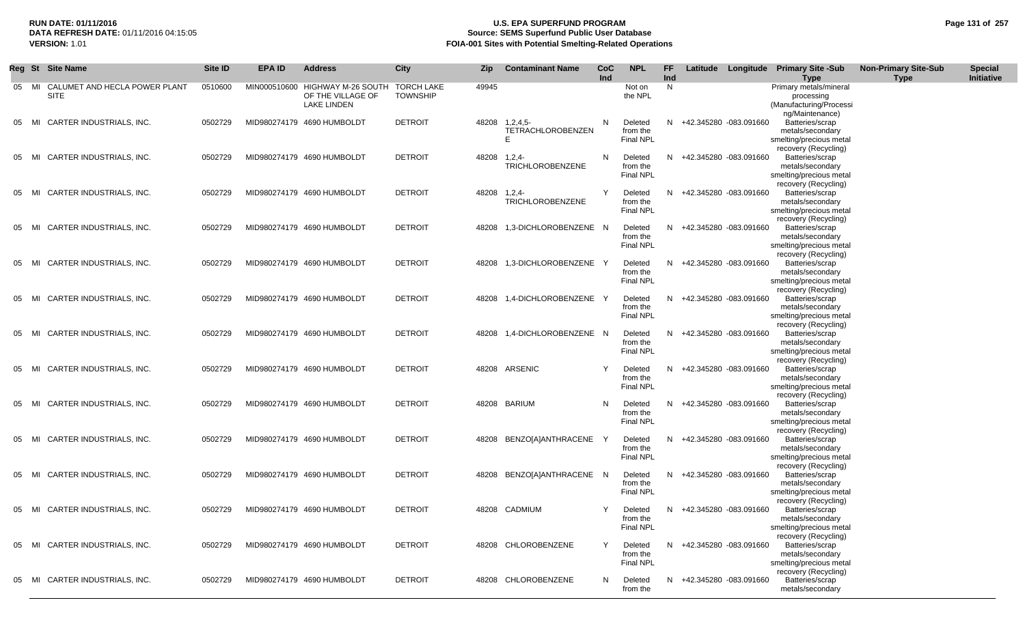# **RUN DATE: 01/11/2016 U.S. EPA SUPERFUND PROGRAM Page 131 of 257 Source: SEMS Superfund Public User Database VERSION:** 1.01 **FOIA-001 Sites with Potential Smelting-Related Operations**

|    |       | Reg St Site Name                      | Site ID | EPA ID | <b>Address</b>                                                                        | City            | Zip          | <b>Contaminant Name</b>                         | CoC<br>Ind | <b>NPL</b>                              | FF.<br>Ind | Latitude               | Longitude Primary Site -Sub                                                                | <b>Non-Primary Site-Sub</b> | <b>Special</b><br><b>Initiative</b> |
|----|-------|---------------------------------------|---------|--------|---------------------------------------------------------------------------------------|-----------------|--------------|-------------------------------------------------|------------|-----------------------------------------|------------|------------------------|--------------------------------------------------------------------------------------------|-----------------------------|-------------------------------------|
|    | 05 MI | CALUMET AND HECLA POWER PLANT<br>SITE | 0510600 |        | MIN000510600 HIGHWAY M-26 SOUTH TORCH LAKE<br>OF THE VILLAGE OF<br><b>LAKE LINDEN</b> | <b>TOWNSHIP</b> | 49945        |                                                 |            | Not on<br>the NPL                       | N          |                        | Type<br>Primary metals/mineral<br>processing<br>(Manufacturing/Processi<br>ng/Maintenance) | <b>Type</b>                 |                                     |
| 05 | MI    | CARTER INDUSTRIALS, INC.              | 0502729 |        | MID980274179 4690 HUMBOLDT                                                            | <b>DETROIT</b>  |              | 48208 1,2,4,5-<br><b>TETRACHLOROBENZEN</b><br>E | N          | Deleted<br>from the<br><b>Final NPL</b> | N          | +42.345280 -083.091660 | Batteries/scrap<br>metals/secondary<br>smelting/precious metal<br>recovery (Recycling)     |                             |                                     |
|    | 05 MI | CARTER INDUSTRIALS, INC.              | 0502729 |        | MID980274179 4690 HUMBOLDT                                                            | <b>DETROIT</b>  | 48208 1,2,4- | <b>TRICHLOROBENZENE</b>                         | N          | Deleted<br>from the<br><b>Final NPL</b> | N.         | +42.345280 -083.091660 | Batteries/scrap<br>metals/secondary<br>smelting/precious metal<br>recovery (Recycling)     |                             |                                     |
|    | 05 MI | CARTER INDUSTRIALS, INC.              | 0502729 |        | MID980274179 4690 HUMBOLDT                                                            | <b>DETROIT</b>  | 48208 1.2.4- | <b>TRICHLOROBENZENE</b>                         | Y          | Deleted<br>from the<br><b>Final NPL</b> | N          | +42.345280 -083.091660 | Batteries/scrap<br>metals/secondary<br>smelting/precious metal<br>recovery (Recycling)     |                             |                                     |
|    | 05 MI | CARTER INDUSTRIALS, INC.              | 0502729 |        | MID980274179 4690 HUMBOLDT                                                            | <b>DETROIT</b>  |              | 48208 1,3-DICHLOROBENZENE N                     |            | Deleted<br>from the<br><b>Final NPL</b> | N.         | +42.345280 -083.091660 | Batteries/scrap<br>metals/secondary<br>smelting/precious metal<br>recovery (Recycling)     |                             |                                     |
| 05 | MI    | CARTER INDUSTRIALS, INC.              | 0502729 |        | MID980274179 4690 HUMBOLDT                                                            | <b>DETROIT</b>  |              | 48208 1,3-DICHLOROBENZENE Y                     |            | Deleted<br>from the<br><b>Final NPL</b> | N          | +42.345280 -083.091660 | Batteries/scrap<br>metals/secondary<br>smelting/precious metal<br>recovery (Recycling)     |                             |                                     |
| 05 | MI    | CARTER INDUSTRIALS, INC.              | 0502729 |        | MID980274179 4690 HUMBOLDT                                                            | <b>DETROIT</b>  | 48208        | 1,4-DICHLOROBENZENE Y                           |            | Deleted<br>from the<br><b>Final NPL</b> | N          | +42.345280 -083.091660 | Batteries/scrap<br>metals/secondary<br>smelting/precious metal<br>recovery (Recycling)     |                             |                                     |
|    | 05 MI | CARTER INDUSTRIALS, INC.              | 0502729 |        | MID980274179 4690 HUMBOLDT                                                            | <b>DETROIT</b>  |              | 48208 1,4-DICHLOROBENZENE N                     |            | Deleted<br>from the<br>Final NPL        | N          | +42.345280 -083.091660 | Batteries/scrap<br>metals/secondary<br>smelting/precious metal<br>recovery (Recycling)     |                             |                                     |
|    | 05 MI | CARTER INDUSTRIALS, INC.              | 0502729 |        | MID980274179 4690 HUMBOLDT                                                            | <b>DETROIT</b>  |              | 48208 ARSENIC                                   |            | Deleted<br>from the<br><b>Final NPL</b> | N          | +42.345280 -083.091660 | Batteries/scrap<br>metals/secondary<br>smelting/precious metal<br>recovery (Recycling)     |                             |                                     |
|    | 05 MI | CARTER INDUSTRIALS, INC.              | 0502729 |        | MID980274179 4690 HUMBOLDT                                                            | <b>DETROIT</b>  |              | 48208 BARIUM                                    | N          | Deleted<br>from the<br>Final NPL        | N          | +42.345280 -083.091660 | Batteries/scrap<br>metals/secondary<br>smelting/precious metal<br>recovery (Recycling)     |                             |                                     |
| 05 | MI    | CARTER INDUSTRIALS, INC.              | 0502729 |        | MID980274179 4690 HUMBOLDT                                                            | <b>DETROIT</b>  | 48208        | BENZO[A]ANTHRACENE                              |            | Deleted<br>from the<br><b>Final NPL</b> | N          | +42.345280 -083.091660 | Batteries/scrap<br>metals/secondary<br>smelting/precious metal<br>recovery (Recycling)     |                             |                                     |
|    | 05 MI | CARTER INDUSTRIALS, INC.              | 0502729 |        | MID980274179 4690 HUMBOLDT                                                            | <b>DETROIT</b>  | 48208        | BENZO[A]ANTHRACENE N                            |            | Deleted<br>from the<br><b>Final NPL</b> | N          | +42.345280 -083.091660 | Batteries/scrap<br>metals/secondary<br>smelting/precious metal<br>recovery (Recycling)     |                             |                                     |
|    | 05 MI | CARTER INDUSTRIALS, INC.              | 0502729 |        | MID980274179 4690 HUMBOLDT                                                            | <b>DETROIT</b>  |              | 48208 CADMIUM                                   | Y          | Deleted<br>from the<br><b>Final NPL</b> | N.         | +42.345280 -083.091660 | Batteries/scrap<br>metals/secondary<br>smelting/precious metal<br>recovery (Recycling)     |                             |                                     |
|    | 05 MI | CARTER INDUSTRIALS, INC.              | 0502729 |        | MID980274179 4690 HUMBOLDT                                                            | <b>DETROIT</b>  |              | 48208 CHLOROBENZENE                             | Y          | Deleted<br>from the<br>Final NPL        | N.         | +42.345280 -083.091660 | Batteries/scrap<br>metals/secondary<br>smelting/precious metal<br>recovery (Recycling)     |                             |                                     |
|    | 05 MI | CARTER INDUSTRIALS, INC.              | 0502729 |        | MID980274179 4690 HUMBOLDT                                                            | <b>DETROIT</b>  |              | 48208 CHLOROBENZENE                             | N          | Deleted<br>from the                     | N.         | +42.345280 -083.091660 | Batteries/scrap<br>metals/secondary                                                        |                             |                                     |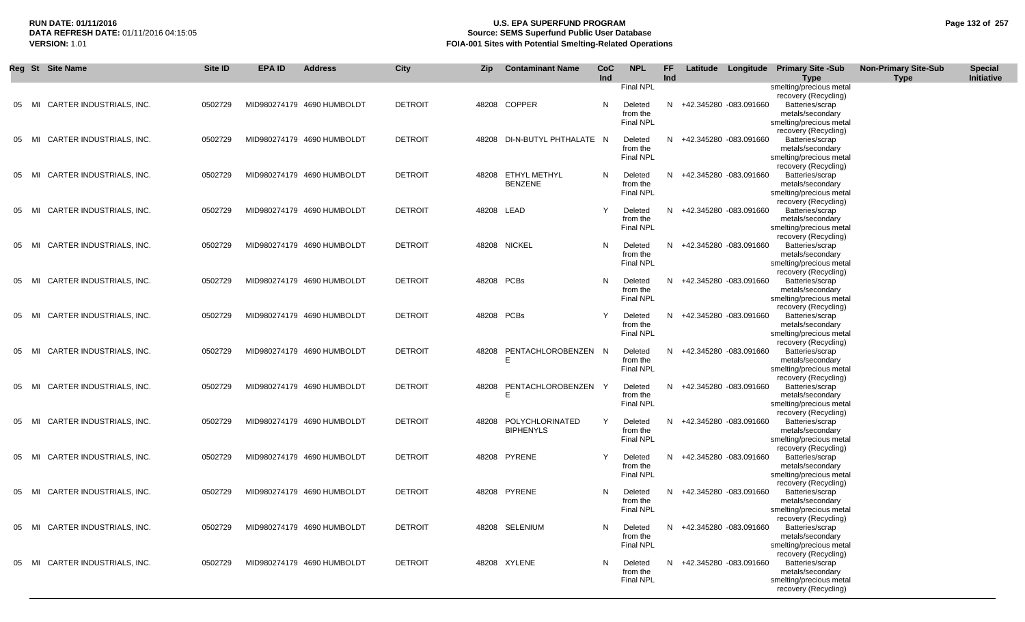# **RUN DATE: 01/11/2016 U.S. EPA SUPERFUND PROGRAM Page 132 of 257** DATA REFRESH DATE: 01/11/2016 04:15:05<br>**VERSION: 1.01** Source: SEMS Superfund Public User Database<br>FOIA-001 Sites with Potential Smelting-Related Operat **VERSION:** 1.01 **FOIA-001 Sites with Potential Smelting-Related Operations**

|       | Reg St Site Name               | Site ID | EPA ID | <b>Address</b>             | City           | Zip        | <b>Contaminant Name</b>  | <b>CoC</b><br>Ind | <b>NPL</b>                   | <b>FF</b><br>Ind |                          | Latitude Longitude Primary Site -Sub            | <b>Non-Primary Site-Sub</b> | <b>Special</b><br>Initiative |
|-------|--------------------------------|---------|--------|----------------------------|----------------|------------|--------------------------|-------------------|------------------------------|------------------|--------------------------|-------------------------------------------------|-----------------------------|------------------------------|
|       |                                |         |        |                            |                |            |                          |                   | <b>Final NPL</b>             |                  |                          | <b>Type</b><br>smelting/precious metal          | <b>Type</b>                 |                              |
|       |                                |         |        |                            |                |            |                          |                   |                              |                  |                          | recovery (Recycling)                            |                             |                              |
| 05    | CARTER INDUSTRIALS, INC.<br>MI | 0502729 |        | MID980274179 4690 HUMBOLDT | <b>DETROIT</b> |            | 48208 COPPER             | N                 | Deleted                      | N.               | +42.345280 -083.091660   | Batteries/scrap                                 |                             |                              |
|       |                                |         |        |                            |                |            |                          |                   | from the                     |                  |                          | metals/secondary                                |                             |                              |
|       |                                |         |        |                            |                |            |                          |                   | <b>Final NPL</b>             |                  |                          | smelting/precious metal                         |                             |                              |
| 05    | CARTER INDUSTRIALS, INC.<br>MI | 0502729 |        | MID980274179 4690 HUMBOLDT | <b>DETROIT</b> | 48208      | DI-N-BUTYL PHTHALATE N   |                   | Deleted                      |                  | N +42.345280 -083.091660 | recovery (Recycling)<br>Batteries/scrap         |                             |                              |
|       |                                |         |        |                            |                |            |                          |                   | from the                     |                  |                          | metals/secondary                                |                             |                              |
|       |                                |         |        |                            |                |            |                          |                   | <b>Final NPL</b>             |                  |                          | smelting/precious metal                         |                             |                              |
|       |                                |         |        |                            |                |            |                          |                   |                              |                  |                          | recovery (Recycling)                            |                             |                              |
| 05    | CARTER INDUSTRIALS, INC.<br>MI | 0502729 |        | MID980274179 4690 HUMBOLDT | <b>DETROIT</b> |            | 48208 ETHYL METHYL       | N                 | Deleted                      | N                | +42.345280 -083.091660   | Batteries/scrap                                 |                             |                              |
|       |                                |         |        |                            |                |            | <b>BENZENE</b>           |                   | from the<br>Final NPL        |                  |                          | metals/secondary<br>smelting/precious metal     |                             |                              |
|       |                                |         |        |                            |                |            |                          |                   |                              |                  |                          | recovery (Recycling)                            |                             |                              |
| 05    | CARTER INDUSTRIALS, INC.<br>MI | 0502729 |        | MID980274179 4690 HUMBOLDT | <b>DETROIT</b> | 48208 LEAD |                          | Υ                 | Deleted                      |                  | N +42.345280 -083.091660 | Batteries/scrap                                 |                             |                              |
|       |                                |         |        |                            |                |            |                          |                   | from the                     |                  |                          | metals/secondary                                |                             |                              |
|       |                                |         |        |                            |                |            |                          |                   | Final NPL                    |                  |                          | smelting/precious metal                         |                             |                              |
| 05    | CARTER INDUSTRIALS, INC.<br>MI | 0502729 |        | MID980274179 4690 HUMBOLDT | <b>DETROIT</b> |            | 48208 NICKEL             | N                 | Deleted                      | N.               | +42.345280 -083.091660   | recovery (Recycling)<br>Batteries/scrap         |                             |                              |
|       |                                |         |        |                            |                |            |                          |                   | from the                     |                  |                          | metals/secondary                                |                             |                              |
|       |                                |         |        |                            |                |            |                          |                   | <b>Final NPL</b>             |                  |                          | smelting/precious metal                         |                             |                              |
|       |                                |         |        |                            |                |            |                          |                   |                              |                  |                          | recovery (Recycling)                            |                             |                              |
| 05 MI | CARTER INDUSTRIALS, INC.       | 0502729 |        | MID980274179 4690 HUMBOLDT | <b>DETROIT</b> | 48208 PCBs |                          | N                 | Deleted                      |                  | N +42.345280 -083.091660 | Batteries/scrap                                 |                             |                              |
|       |                                |         |        |                            |                |            |                          |                   | from the<br><b>Final NPL</b> |                  |                          | metals/secondary<br>smelting/precious metal     |                             |                              |
|       |                                |         |        |                            |                |            |                          |                   |                              |                  |                          | recovery (Recycling)                            |                             |                              |
| 05    | CARTER INDUSTRIALS, INC.<br>MI | 0502729 |        | MID980274179 4690 HUMBOLDT | <b>DETROIT</b> | 48208 PCBs |                          | Y                 | Deleted                      |                  | N +42.345280 -083.091660 | Batteries/scrap                                 |                             |                              |
|       |                                |         |        |                            |                |            |                          |                   | from the                     |                  |                          | metals/secondary                                |                             |                              |
|       |                                |         |        |                            |                |            |                          |                   | <b>Final NPL</b>             |                  |                          | smelting/precious metal                         |                             |                              |
|       |                                |         |        |                            |                |            |                          |                   |                              |                  |                          | recovery (Recycling)                            |                             |                              |
| 05    | CARTER INDUSTRIALS, INC.<br>MI | 0502729 |        | MID980274179 4690 HUMBOLDT | <b>DETROIT</b> | 48208      | PENTACHLOROBENZEN N<br>E |                   | Deleted<br>from the          | N.               | +42.345280 -083.091660   | Batteries/scrap<br>metals/secondary             |                             |                              |
|       |                                |         |        |                            |                |            |                          |                   | <b>Final NPL</b>             |                  |                          | smelting/precious metal                         |                             |                              |
|       |                                |         |        |                            |                |            |                          |                   |                              |                  |                          | recovery (Recycling)                            |                             |                              |
| 05    | CARTER INDUSTRIALS, INC.<br>MI | 0502729 |        | MID980274179 4690 HUMBOLDT | <b>DETROIT</b> | 48208      | PENTACHLOROBENZEN Y      |                   | Deleted                      |                  | N +42.345280 -083.091660 | Batteries/scrap                                 |                             |                              |
|       |                                |         |        |                            |                |            | E                        |                   | from the                     |                  |                          | metals/secondary                                |                             |                              |
|       |                                |         |        |                            |                |            |                          |                   | <b>Final NPL</b>             |                  |                          | smelting/precious metal<br>recovery (Recycling) |                             |                              |
| 05    | CARTER INDUSTRIALS, INC.<br>MI | 0502729 |        | MID980274179 4690 HUMBOLDT | <b>DETROIT</b> | 48208      | POLYCHLORINATED          | Y                 | Deleted                      | N                | +42.345280 -083.091660   | Batteries/scrap                                 |                             |                              |
|       |                                |         |        |                            |                |            | <b>BIPHENYLS</b>         |                   | from the                     |                  |                          | metals/secondary                                |                             |                              |
|       |                                |         |        |                            |                |            |                          |                   | <b>Final NPL</b>             |                  |                          | smelting/precious metal                         |                             |                              |
|       |                                |         |        |                            |                |            |                          |                   |                              |                  |                          | recovery (Recycling)                            |                             |                              |
| 05    | CARTER INDUSTRIALS, INC.<br>MI | 0502729 |        | MID980274179 4690 HUMBOLDT | <b>DETROIT</b> |            | 48208 PYRENE             | Υ                 | Deleted<br>from the          |                  | N +42.345280 -083.091660 | Batteries/scrap<br>metals/secondary             |                             |                              |
|       |                                |         |        |                            |                |            |                          |                   | <b>Final NPL</b>             |                  |                          | smelting/precious metal                         |                             |                              |
|       |                                |         |        |                            |                |            |                          |                   |                              |                  |                          | recovery (Recycling)                            |                             |                              |
| 05    | CARTER INDUSTRIALS, INC.<br>MI | 0502729 |        | MID980274179 4690 HUMBOLDT | <b>DETROIT</b> |            | 48208 PYRENE             | N                 | Deleted                      | N.               | +42.345280 -083.091660   | Batteries/scrap                                 |                             |                              |
|       |                                |         |        |                            |                |            |                          |                   | from the                     |                  |                          | metals/secondary                                |                             |                              |
|       |                                |         |        |                            |                |            |                          |                   | <b>Final NPL</b>             |                  |                          | smelting/precious metal                         |                             |                              |
| 05    | MI CARTER INDUSTRIALS, INC.    | 0502729 |        | MID980274179 4690 HUMBOLDT | <b>DETROIT</b> |            | 48208 SELENIUM           | N                 | Deleted                      |                  | N +42.345280 -083.091660 | recovery (Recycling)<br>Batteries/scrap         |                             |                              |
|       |                                |         |        |                            |                |            |                          |                   | from the                     |                  |                          | metals/secondary                                |                             |                              |
|       |                                |         |        |                            |                |            |                          |                   | Final NPL                    |                  |                          | smelting/precious metal                         |                             |                              |
|       |                                |         |        |                            |                |            |                          |                   |                              |                  |                          | recovery (Recycling)                            |                             |                              |
| 05    | CARTER INDUSTRIALS, INC.<br>MI | 0502729 |        | MID980274179 4690 HUMBOLDT | <b>DETROIT</b> |            | 48208 XYLENE             | N                 | Deleted                      |                  | N +42.345280 -083.091660 | Batteries/scrap                                 |                             |                              |
|       |                                |         |        |                            |                |            |                          |                   | from the<br>Final NPL        |                  |                          | metals/secondary<br>smelting/precious metal     |                             |                              |
|       |                                |         |        |                            |                |            |                          |                   |                              |                  |                          | recovery (Recycling)                            |                             |                              |
|       |                                |         |        |                            |                |            |                          |                   |                              |                  |                          |                                                 |                             |                              |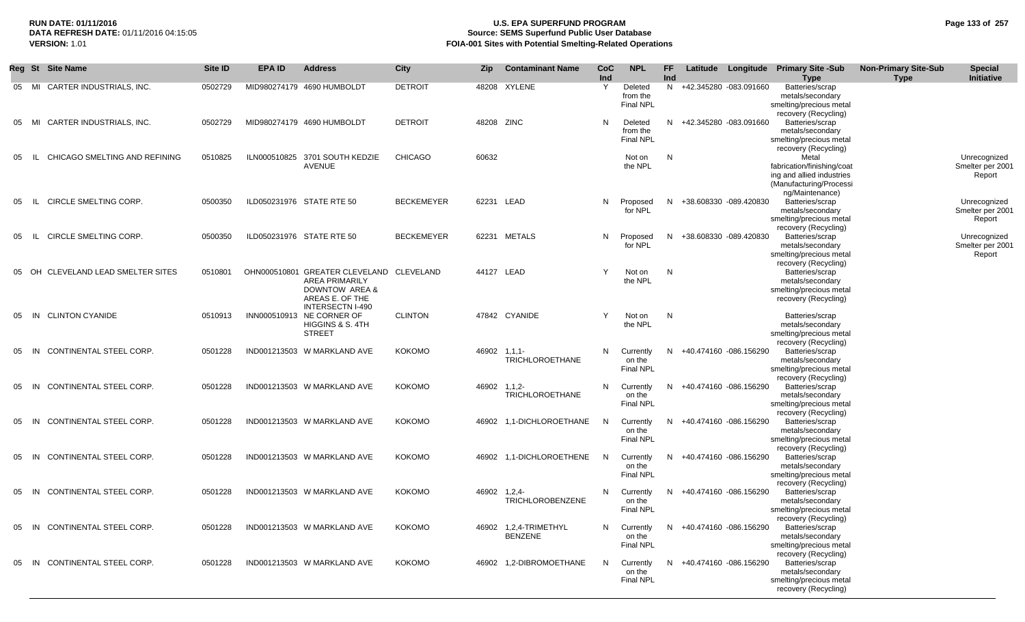# **RUN DATE: 01/11/2016 U.S. EPA SUPERFUND PROGRAM Page 133 of 257 Source: SEMS Superfund Public User Database VERSION:** 1.01 **FOIA-001 Sites with Potential Smelting-Related Operations**

|     | Reg St Site Name                     | Site <b>ID</b> | <b>EPA ID</b> | <b>Address</b>                                                                                                                    | City              | <b>Zip</b> | <b>Contaminant Name</b>                 | CoC<br>Ind   | <b>NPL</b>                              | FF.<br>Ind   | Latitude                 | Longitude | <b>Primary Site -Sub</b><br><b>Type</b>                                                                        | <b>Non-Primary Site-Sub</b><br><b>Type</b> | <b>Special</b><br>Initiative               |
|-----|--------------------------------------|----------------|---------------|-----------------------------------------------------------------------------------------------------------------------------------|-------------------|------------|-----------------------------------------|--------------|-----------------------------------------|--------------|--------------------------|-----------|----------------------------------------------------------------------------------------------------------------|--------------------------------------------|--------------------------------------------|
| 05  | CARTER INDUSTRIALS, INC.<br>MI       | 0502729        |               | MID980274179 4690 HUMBOLDT                                                                                                        | <b>DETROIT</b>    | 48208      | XYLENE                                  | Y            | Deleted<br>from the<br><b>Final NPL</b> |              | N +42.345280 -083.091660 |           | Batteries/scrap<br>metals/secondary<br>smelting/precious metal<br>recovery (Recycling)                         |                                            |                                            |
| 05  | CARTER INDUSTRIALS, INC.<br>MI       | 0502729        |               | MID980274179 4690 HUMBOLDT                                                                                                        | <b>DETROIT</b>    | 48208 ZINC |                                         | N            | Deleted<br>from the<br><b>Final NPL</b> |              | N +42.345280 -083.091660 |           | Batteries/scrap<br>metals/secondary<br>smelting/precious metal<br>recovery (Recycling)                         |                                            |                                            |
| 05  | CHICAGO SMELTING AND REFINING        | 0510825        |               | ILN000510825 3701 SOUTH KEDZIE<br><b>AVENUE</b>                                                                                   | <b>CHICAGO</b>    | 60632      |                                         |              | Not on<br>the NPL                       | N            |                          |           | Metal<br>fabrication/finishing/coat<br>ing and allied industries<br>(Manufacturing/Processi<br>ng/Maintenance) |                                            | Unrecognized<br>Smelter per 2001<br>Report |
| 05  | <b>CIRCLE SMELTING CORP.</b><br>- IL | 0500350        |               | ILD050231976 STATE RTE 50                                                                                                         | <b>BECKEMEYER</b> |            | 62231 LEAD                              | N            | Proposed<br>for NPL                     |              | N +38.608330 -089.420830 |           | Batteries/scrap<br>metals/secondary<br>smelting/precious metal<br>recovery (Recycling)                         |                                            | Unrecognized<br>Smelter per 2001<br>Report |
| 05  | CIRCLE SMELTING CORP.<br>- IL        | 0500350        |               | ILD050231976 STATE RTE 50                                                                                                         | <b>BECKEMEYER</b> |            | 62231 METALS                            | N            | Proposed<br>for NPL                     |              | N +38.608330 -089.420830 |           | Batteries/scrap<br>metals/secondary<br>smelting/precious metal<br>recovery (Recycling)                         |                                            | Unrecognized<br>Smelter per 2001<br>Report |
| 05  | CLEVELAND LEAD SMELTER SITES<br>OH   | 0510801        |               | OHN000510801 GREATER CLEVELAND CLEVELAND<br><b>AREA PRIMARILY</b><br>DOWNTOW AREA &<br>AREAS E. OF THE<br><b>INTERSECTN I-490</b> |                   |            | 44127 LEAD                              | <sup>V</sup> | Not on<br>the NPL                       | N            |                          |           | Batteries/scrap<br>metals/secondary<br>smelting/precious metal<br>recovery (Recycling)                         |                                            |                                            |
| 05  | IN CLINTON CYANIDE                   | 0510913        |               | INN000510913 NE CORNER OF<br>HIGGINS & S. 4TH<br><b>STREET</b>                                                                    | <b>CLINTON</b>    |            | 47842 CYANIDE                           | Y            | Not on<br>the NPL                       | $\mathsf{N}$ |                          |           | Batteries/scrap<br>metals/secondary<br>smelting/precious metal<br>recovery (Recycling)                         |                                            |                                            |
| 05. | CONTINENTAL STEEL CORP.<br>-IN       | 0501228        |               | IND001213503 W MARKLAND AVE                                                                                                       | <b>KOKOMO</b>     | 46902      | 1, 1, 1<br><b>TRICHLOROETHANE</b>       | N            | Currently<br>on the<br><b>Final NPL</b> | N.           | +40.474160 -086.156290   |           | Batteries/scrap<br>metals/secondary<br>smelting/precious metal<br>recovery (Recycling)                         |                                            |                                            |
| 05  | CONTINENTAL STEEL CORP.<br>-IN       | 0501228        |               | IND001213503 W MARKLAND AVE                                                                                                       | <b>KOKOMO</b>     | 46902      | $1, 1, 2-$<br><b>TRICHLOROETHANE</b>    | N            | Currently<br>on the<br>Final NPL        |              | N +40.474160 -086.156290 |           | Batteries/scrap<br>metals/secondary<br>smelting/precious metal<br>recovery (Recycling)                         |                                            |                                            |
| 05  | CONTINENTAL STEEL CORP.<br>IN        | 0501228        |               | IND001213503 W MARKLAND AVE                                                                                                       | <b>KOKOMO</b>     | 46902      | 1,1-DICHLOROETHANE                      | N            | Currently<br>on the<br><b>Final NPL</b> |              | N +40.474160 -086.156290 |           | Batteries/scrap<br>metals/secondary<br>smelting/precious metal<br>recovery (Recycling)                         |                                            |                                            |
| 05  | <b>CONTINENTAL STEEL CORP.</b><br>IN | 0501228        |               | IND001213503 W MARKLAND AVE                                                                                                       | <b>KOKOMO</b>     | 46902      | 1,1-DICHLOROETHENE                      | N            | Currently<br>on the<br><b>Final NPL</b> |              | N +40.474160 -086.156290 |           | Batteries/scrap<br>metals/secondary<br>smelting/precious metal<br>recovery (Recycling)                         |                                            |                                            |
| 05  | CONTINENTAL STEEL CORP.<br>IN.       | 0501228        |               | IND001213503 W MARKLAND AVE                                                                                                       | <b>KOKOMO</b>     |            | 46902 1.2.4-<br><b>TRICHLOROBENZENE</b> | N            | Currently<br>on the<br><b>Final NPL</b> |              | N +40.474160 -086.156290 |           | Batteries/scrap<br>metals/secondary<br>smelting/precious metal<br>recovery (Recycling)                         |                                            |                                            |
| 05  | IN CONTINENTAL STEEL CORP.           | 0501228        |               | IND001213503 W MARKLAND AVE                                                                                                       | <b>KOKOMO</b>     |            | 46902 1,2,4-TRIMETHYL<br><b>BENZENE</b> | N            | Currently<br>on the<br><b>Final NPL</b> |              | N +40.474160 -086.156290 |           | Batteries/scrap<br>metals/secondary<br>smelting/precious metal<br>recovery (Recycling)                         |                                            |                                            |
| 05  | IN CONTINENTAL STEEL CORP.           | 0501228        |               | IND001213503 W MARKLAND AVE                                                                                                       | <b>KOKOMO</b>     |            | 46902 1,2-DIBROMOETHANE                 | N            | Currently<br>on the<br><b>Final NPL</b> |              | N +40.474160 -086.156290 |           | Batteries/scrap<br>metals/secondary<br>smelting/precious metal<br>recovery (Recycling)                         |                                            |                                            |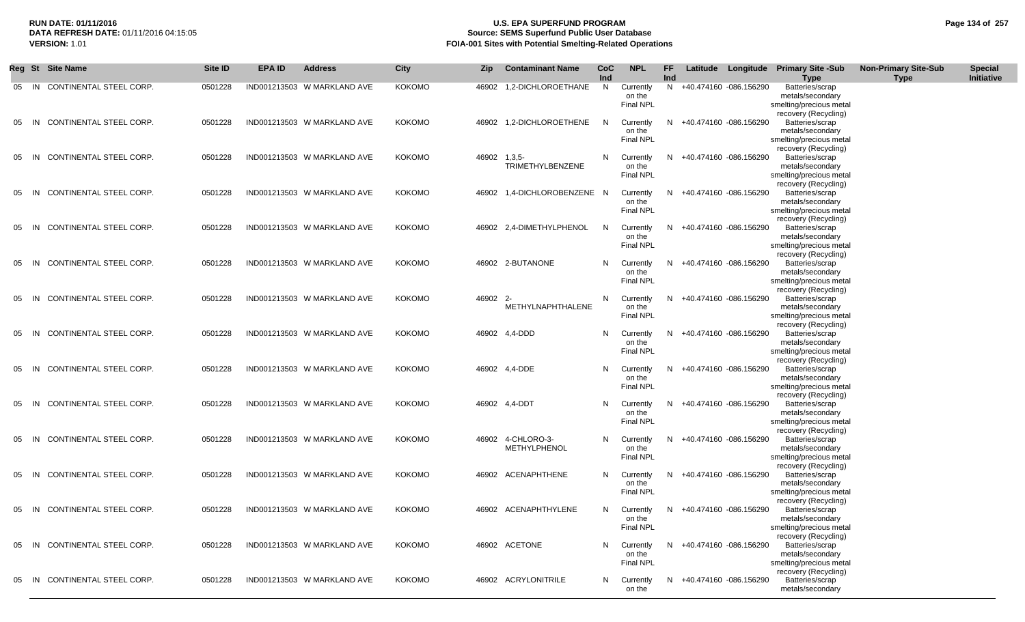# **RUN DATE: 01/11/2016 U.S. EPA SUPERFUND PROGRAM Page 134 of 257 Source: SEMS Superfund Public User Database VERSION:** 1.01 **FOIA-001 Sites with Potential Smelting-Related Operations**

|    |       | Reg St Site Name              | Site ID | <b>EPA ID</b> | <b>Address</b>              | <b>City</b>   | Zip      | <b>Contaminant Name</b>                  | CoC<br>Ind | <b>NPL</b>                              | FF<br>Ind | Latitude |                          | Longitude Primary Site -Sub<br><b>Type</b>                                             | <b>Non-Primary Site-Sub</b><br><b>Type</b> | <b>Special</b><br>Initiative |
|----|-------|-------------------------------|---------|---------------|-----------------------------|---------------|----------|------------------------------------------|------------|-----------------------------------------|-----------|----------|--------------------------|----------------------------------------------------------------------------------------|--------------------------------------------|------------------------------|
| 05 | IN.   | CONTINENTAL STEEL CORP.       | 0501228 |               | IND001213503 W MARKLAND AVE | <b>KOKOMO</b> |          | 46902 1,2-DICHLOROETHANE                 | N.         | Currently<br>on the<br><b>Final NPL</b> | N         |          | +40.474160 -086.156290   | Batteries/scrap<br>metals/secondary<br>smelting/precious metal<br>recovery (Recycling) |                                            |                              |
| 05 | -IN   | CONTINENTAL STEEL CORP.       | 0501228 |               | IND001213503 W MARKLAND AVE | KOKOMO        |          | 46902 1,2-DICHLOROETHENE                 | N.         | Currently<br>on the<br>Final NPL        | N.        |          | +40.474160 -086.156290   | Batteries/scrap<br>metals/secondary<br>smelting/precious metal<br>recovery (Recycling) |                                            |                              |
| 05 | -IN   | CONTINENTAL STEEL CORP.       | 0501228 |               | IND001213503 W MARKLAND AVE | <b>KOKOMO</b> | 46902    | $1,3,5-$<br><b>TRIMETHYLBENZENE</b>      | N          | Currently<br>on the<br>Final NPL        | N.        |          | +40.474160 -086.156290   | Batteries/scrap<br>metals/secondary<br>smelting/precious metal<br>recovery (Recycling) |                                            |                              |
| 05 | IN    | CONTINENTAL STEEL CORP.       | 0501228 |               | IND001213503 W MARKLAND AVE | KOKOMO        |          | 46902 1,4-DICHLOROBENZENE N              |            | Currently<br>on the<br><b>Final NPL</b> | N.        |          | +40.474160 -086.156290   | Batteries/scrap<br>metals/secondary<br>smelting/precious metal<br>recovery (Recycling) |                                            |                              |
| 05 | IN    | CONTINENTAL STEEL CORP.       | 0501228 |               | IND001213503 W MARKLAND AVE | <b>KOKOMO</b> |          | 46902 2,4-DIMETHYLPHENOL                 | N          | Currently<br>on the<br><b>Final NPL</b> | N.        |          | +40.474160 -086.156290   | Batteries/scrap<br>metals/secondary<br>smelting/precious metal<br>recovery (Recycling) |                                            |                              |
| 05 | -IN   | CONTINENTAL STEEL CORP.       | 0501228 |               | IND001213503 W MARKLAND AVE | KOKOMO        |          | 46902 2-BUTANONE                         | N          | Currently<br>on the<br><b>Final NPL</b> | N.        |          | +40.474160 -086.156290   | Batteries/scrap<br>metals/secondary<br>smelting/precious metal<br>recovery (Recycling) |                                            |                              |
| 05 | IN    | CONTINENTAL STEEL CORP.       | 0501228 |               | IND001213503 W MARKLAND AVE | KOKOMO        | 46902 2- | METHYLNAPHTHALENE                        | N          | Currently<br>on the<br>Final NPL        | N.        |          | +40.474160 -086.156290   | Batteries/scrap<br>metals/secondary<br>smelting/precious metal                         |                                            |                              |
| 05 | IN    | CONTINENTAL STEEL CORP.       | 0501228 |               | IND001213503 W MARKLAND AVE | KOKOMO        |          | 46902 4,4-DDD                            | N          | Currently<br>on the<br><b>Final NPL</b> | N.        |          | +40.474160 -086.156290   | recovery (Recycling)<br>Batteries/scrap<br>metals/secondary<br>smelting/precious metal |                                            |                              |
| 05 | IN    | CONTINENTAL STEEL CORP.       | 0501228 |               | IND001213503 W MARKLAND AVE | <b>KOKOMO</b> |          | 46902 4,4-DDE                            | N          | Currently<br>on the<br>Final NPL        |           |          | +40.474160 -086.156290   | recovery (Recycling)<br>Batteries/scrap<br>metals/secondary<br>smelting/precious metal |                                            |                              |
| 05 | -IN   | CONTINENTAL STEEL CORP.       | 0501228 |               | IND001213503 W MARKLAND AVE | <b>KOKOMO</b> |          | 46902 4,4-DDT                            | N          | Currently<br>on the<br><b>Final NPL</b> | N.        |          | +40.474160 -086.156290   | recovery (Recycling)<br>Batteries/scrap<br>metals/secondary<br>smelting/precious metal |                                            |                              |
| 05 | -IN   | CONTINENTAL STEEL CORP.       | 0501228 |               | IND001213503 W MARKLAND AVE | KOKOMO        |          | 46902 4-CHLORO-3-<br><b>METHYLPHENOL</b> | N          | Currently<br>on the<br><b>Final NPL</b> |           |          | +40.474160 -086.156290   | recovery (Recycling)<br>Batteries/scrap<br>metals/secondary<br>smelting/precious metal |                                            |                              |
| 05 | IN    | CONTINENTAL STEEL CORP.       | 0501228 |               | IND001213503 W MARKLAND AVE | KOKOMO        |          | 46902 ACENAPHTHENE                       | N          | Currently<br>on the<br><b>Final NPL</b> | N.        |          | +40.474160 -086.156290   | recovery (Recycling)<br>Batteries/scrap<br>metals/secondary<br>smelting/precious metal |                                            |                              |
| 05 | IN    | CONTINENTAL STEEL CORP.       | 0501228 |               | IND001213503 W MARKLAND AVE | <b>KOKOMO</b> |          | 46902 ACENAPHTHYLENE                     | N          | Currently<br>on the<br>Final NPL        | N         |          | +40.474160 -086.156290   | recovery (Recycling)<br>Batteries/scrap<br>metals/secondary<br>smelting/precious metal |                                            |                              |
|    |       | 05 IN CONTINENTAL STEEL CORP. | 0501228 |               | IND001213503 W MARKLAND AVE | KOKOMO        |          | 46902 ACETONE                            | N          | Currently<br>on the<br>Final NPL        |           |          | N +40.474160 -086.156290 | recovery (Recycling)<br>Batteries/scrap<br>metals/secondary<br>smelting/precious metal |                                            |                              |
|    | 05 IN | CONTINENTAL STEEL CORP.       | 0501228 |               | IND001213503 W MARKLAND AVE | KOKOMO        |          | 46902 ACRYLONITRILE                      | N.         | Currently<br>on the                     |           |          | N +40.474160 -086.156290 | recovery (Recycling)<br>Batteries/scrap<br>metals/secondary                            |                                            |                              |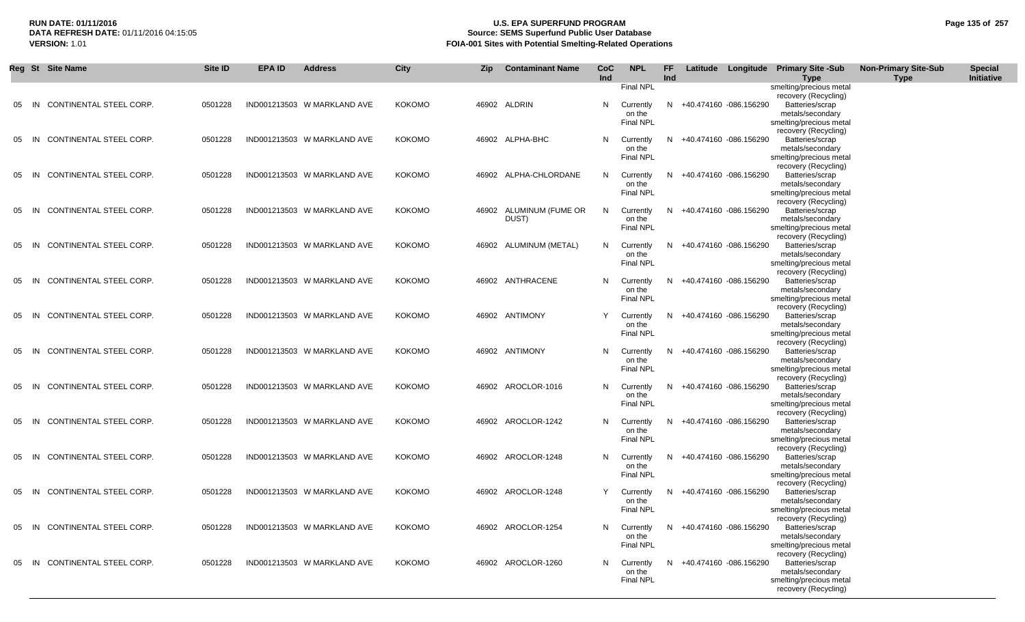# **RUN DATE: 01/11/2016 U.S. EPA SUPERFUND PROGRAM Page 135 of 257 Source: SEMS Superfund Public User Database VERSION:** 1.01 **FOIA-001 Sites with Potential Smelting-Related Operations**

|    |      | Reg St Site Name              | <b>Site ID</b> | <b>EPA ID</b> | <b>Address</b>              | <b>City</b>   | <b>Zip</b> | <b>Contaminant Name</b> | CoC<br>Ind | <b>NPL</b>                 | FF.<br>Ind |                          | Latitude Longitude Primary Site -Sub<br><b>Type</b> | <b>Non-Primary Site-Sub</b><br><b>Type</b> | <b>Special</b><br>Initiative |
|----|------|-------------------------------|----------------|---------------|-----------------------------|---------------|------------|-------------------------|------------|----------------------------|------------|--------------------------|-----------------------------------------------------|--------------------------------------------|------------------------------|
|    |      |                               |                |               |                             |               |            |                         |            | Final NPL                  |            |                          | smelting/precious metal                             |                                            |                              |
| 05 | IN   | CONTINENTAL STEEL CORP.       | 0501228        |               | IND001213503 W MARKLAND AVE | <b>KOKOMO</b> |            | 46902 ALDRIN            | N.         | Currently                  | N.         | +40.474160 -086.156290   | recovery (Recycling)<br>Batteries/scrap             |                                            |                              |
|    |      |                               |                |               |                             |               |            |                         |            | on the<br><b>Final NPL</b> |            |                          | metals/secondary<br>smelting/precious metal         |                                            |                              |
|    |      |                               |                |               |                             |               |            |                         |            |                            |            |                          | recovery (Recycling)                                |                                            |                              |
| 05 | - IN | CONTINENTAL STEEL CORP.       | 0501228        |               | IND001213503 W MARKLAND AVE | <b>KOKOMO</b> |            | 46902 ALPHA-BHC         | N          | Currently<br>on the        | N          | +40.474160 -086.156290   | Batteries/scrap<br>metals/secondary                 |                                            |                              |
|    |      |                               |                |               |                             |               |            |                         |            | <b>Final NPL</b>           |            |                          | smelting/precious metal<br>recovery (Recycling)     |                                            |                              |
| 05 | - IN | CONTINENTAL STEEL CORP.       | 0501228        |               | IND001213503 W MARKLAND AVE | <b>KOKOMO</b> |            | 46902 ALPHA-CHLORDANE   | N          | Currently                  | N          | +40.474160 -086.156290   | Batteries/scrap                                     |                                            |                              |
|    |      |                               |                |               |                             |               |            |                         |            | on the<br>Final NPL        |            |                          | metals/secondary<br>smelting/precious metal         |                                            |                              |
| 05 | - IN | CONTINENTAL STEEL CORP.       | 0501228        |               | IND001213503 W MARKLAND AVE | <b>KOKOMO</b> |            | 46902 ALUMINUM (FUME OR | N.         |                            | N          |                          | recovery (Recycling)<br>Batteries/scrap             |                                            |                              |
|    |      |                               |                |               |                             |               |            | DUST)                   |            | Currently<br>on the        |            | +40.474160 -086.156290   | metals/secondary                                    |                                            |                              |
|    |      |                               |                |               |                             |               |            |                         |            | <b>Final NPL</b>           |            |                          | smelting/precious metal<br>recovery (Recycling)     |                                            |                              |
|    | - IN | CONTINENTAL STEEL CORP.       | 0501228        |               | IND001213503 W MARKLAND AVE | <b>KOKOMO</b> |            | 46902 ALUMINUM (METAL)  | N          | Currently                  | N.         | +40.474160 -086.156290   | Batteries/scrap                                     |                                            |                              |
|    |      |                               |                |               |                             |               |            |                         |            | on the<br>Final NPL        |            |                          | metals/secondary<br>smelting/precious metal         |                                            |                              |
| 05 | - IN | CONTINENTAL STEEL CORP.       | 0501228        |               | IND001213503 W MARKLAND AVE | <b>KOKOMO</b> |            | 46902 ANTHRACENE        | N.         | Currently                  | N.         | +40.474160 -086.156290   | recovery (Recycling)<br>Batteries/scrap             |                                            |                              |
|    |      |                               |                |               |                             |               |            |                         |            | on the                     |            |                          | metals/secondary                                    |                                            |                              |
|    |      |                               |                |               |                             |               |            |                         |            | Final NPL                  |            |                          | smelting/precious metal<br>recovery (Recycling)     |                                            |                              |
| 05 | - IN | CONTINENTAL STEEL CORP.       | 0501228        |               | IND001213503 W MARKLAND AVE | <b>KOKOMO</b> |            | 46902 ANTIMONY          | Y          | Currently<br>on the        | N.         | +40.474160 -086.156290   | Batteries/scrap<br>metals/secondary                 |                                            |                              |
|    |      |                               |                |               |                             |               |            |                         |            | <b>Final NPL</b>           |            |                          | smelting/precious metal                             |                                            |                              |
| 05 | IN   | CONTINENTAL STEEL CORP.       | 0501228        |               | IND001213503 W MARKLAND AVE | <b>KOKOMO</b> |            | 46902 ANTIMONY          | N.         | Currently                  | N.         | +40.474160 -086.156290   | recovery (Recycling)<br>Batteries/scrap             |                                            |                              |
|    |      |                               |                |               |                             |               |            |                         |            | on the<br><b>Final NPL</b> |            |                          | metals/secondary<br>smelting/precious metal         |                                            |                              |
|    |      |                               |                |               |                             |               |            |                         |            |                            |            |                          | recovery (Recycling)                                |                                            |                              |
| 05 | - IN | CONTINENTAL STEEL CORP.       | 0501228        |               | IND001213503 W MARKLAND AVE | <b>KOKOMO</b> |            | 46902 AROCLOR-1016      | N.         | Currently<br>on the        | N.         | +40.474160 -086.156290   | Batteries/scrap<br>metals/secondary                 |                                            |                              |
|    |      |                               |                |               |                             |               |            |                         |            | Final NPL                  |            |                          | smelting/precious metal<br>recovery (Recycling)     |                                            |                              |
| 05 | -IN  | CONTINENTAL STEEL CORP.       | 0501228        |               | IND001213503 W MARKLAND AVE | <b>KOKOMO</b> |            | 46902 AROCLOR-1242      | N.         | Currently                  | N.         | +40.474160 -086.156290   | Batteries/scrap                                     |                                            |                              |
|    |      |                               |                |               |                             |               |            |                         |            | on the<br>Final NPL        |            |                          | metals/secondary<br>smelting/precious metal         |                                            |                              |
| 05 | - IN | CONTINENTAL STEEL CORP.       | 0501228        |               | IND001213503 W MARKLAND AVE | <b>KOKOMO</b> |            | 46902 AROCLOR-1248      | N          | Currently                  | N.         | +40.474160 -086.156290   | recovery (Recycling)<br>Batteries/scrap             |                                            |                              |
|    |      |                               |                |               |                             |               |            |                         |            | on the                     |            |                          | metals/secondary                                    |                                            |                              |
|    |      |                               |                |               |                             |               |            |                         |            | Final NPL                  |            |                          | smelting/precious metal<br>recovery (Recycling)     |                                            |                              |
| 05 | IN   | CONTINENTAL STEEL CORP.       | 0501228        |               | IND001213503 W MARKLAND AVE | <b>KOKOMO</b> |            | 46902 AROCLOR-1248      |            | Currently<br>on the        | N          | +40.474160 -086.156290   | Batteries/scrap<br>metals/secondary                 |                                            |                              |
|    |      |                               |                |               |                             |               |            |                         |            | Final NPL                  |            |                          | smelting/precious metal                             |                                            |                              |
|    |      | 05 IN CONTINENTAL STEEL CORP. | 0501228        |               | IND001213503 W MARKLAND AVE | <b>KOKOMO</b> |            | 46902 AROCLOR-1254      |            | N Currently                |            | N +40.474160 -086.156290 | recovery (Recycling)<br>Batteries/scrap             |                                            |                              |
|    |      |                               |                |               |                             |               |            |                         |            | on the<br><b>Final NPL</b> |            |                          | metals/secondary<br>smelting/precious metal         |                                            |                              |
|    |      |                               |                |               |                             |               |            |                         |            |                            |            |                          | recovery (Recycling)                                |                                            |                              |
| 05 | IN   | CONTINENTAL STEEL CORP.       | 0501228        |               | IND001213503 W MARKLAND AVE | <b>KOKOMO</b> |            | 46902 AROCLOR-1260      | N.         | Currently<br>on the        |            | N +40.474160 -086.156290 | Batteries/scrap<br>metals/secondary                 |                                            |                              |
|    |      |                               |                |               |                             |               |            |                         |            | Final NPL                  |            |                          | smelting/precious metal<br>recovery (Recycling)     |                                            |                              |
|    |      |                               |                |               |                             |               |            |                         |            |                            |            |                          |                                                     |                                            |                              |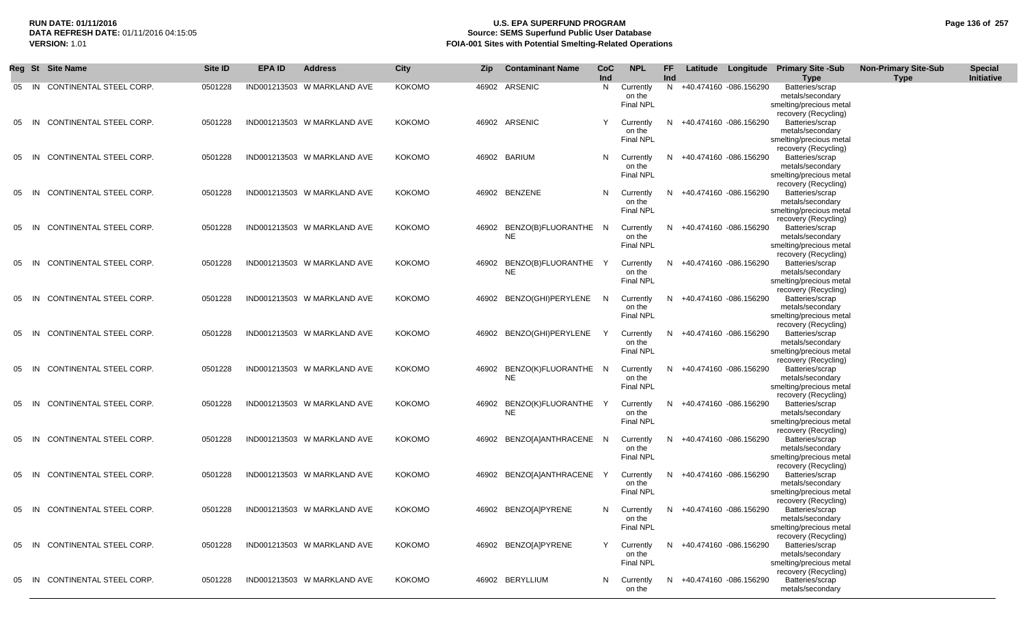### **RUN DATE: 01/11/2016 U.S. EPA SUPERFUND PROGRAM Page 136 of 257** DATA REFRESH DATE: 01/11/2016 04:15:05<br>**VERSION: 1.01** Source: SEMS Superfund Public User Database<br>FOIA-001 Sites with Potential Smelting-Related Operat **FOIA-001 Sites with Potential Smelting-Related Operations**

|    |       | Reg St Site Name              | Site ID | <b>EPA ID</b> | <b>Address</b>              | City          | Zip   | <b>Contaminant Name</b>           | <b>CoC</b><br>Ind | <b>NPL</b>                              | <b>FF</b><br>Ind |                          | Latitude Longitude Primary Site -Sub<br><b>Type</b>                                                            | <b>Non-Primary Site-Sub</b><br><b>Type</b> | <b>Special</b><br>Initiative |
|----|-------|-------------------------------|---------|---------------|-----------------------------|---------------|-------|-----------------------------------|-------------------|-----------------------------------------|------------------|--------------------------|----------------------------------------------------------------------------------------------------------------|--------------------------------------------|------------------------------|
|    | 05 IN | CONTINENTAL STEEL CORP.       | 0501228 |               | IND001213503 W MARKLAND AVE | <b>KOKOMO</b> |       | 46902 ARSENIC                     | N                 | Currently<br>on the<br>Final NPL        | N                | +40.474160 -086.156290   | Batteries/scrap<br>metals/secondary<br>smelting/precious metal<br>recovery (Recycling)                         |                                            |                              |
| 05 | -IN   | CONTINENTAL STEEL CORP.       | 0501228 |               | IND001213503 W MARKLAND AVE | KOKOMO        |       | 46902 ARSENIC                     | Y                 | Currently<br>on the<br>Final NPL        | N.               | +40.474160 -086.156290   | Batteries/scrap<br>metals/secondary<br>smelting/precious metal<br>recovery (Recycling)                         |                                            |                              |
| 05 | -IN   | CONTINENTAL STEEL CORP.       | 0501228 |               | IND001213503 W MARKLAND AVE | KOKOMO        |       | 46902 BARIUM                      | N                 | Currently<br>on the<br>Final NPL        | N.               | +40.474160 -086.156290   | Batteries/scrap<br>metals/secondary<br>smelting/precious metal<br>recovery (Recycling)                         |                                            |                              |
| 05 | IN    | CONTINENTAL STEEL CORP.       | 0501228 |               | IND001213503 W MARKLAND AVE | KOKOMO        |       | 46902 BENZENE                     | N                 | Currently<br>on the<br><b>Final NPL</b> | N.               | +40.474160 -086.156290   | Batteries/scrap<br>metals/secondary<br>smelting/precious metal<br>recovery (Recycling)                         |                                            |                              |
| 05 | IN    | CONTINENTAL STEEL CORP.       | 0501228 |               | IND001213503 W MARKLAND AVE | KOKOMO        |       | 46902 BENZO(B)FLUORANTHE N<br>NE. |                   | Currently<br>on the<br>Final NPL        | N.               | +40.474160 -086.156290   | Batteries/scrap<br>metals/secondary<br>smelting/precious metal                                                 |                                            |                              |
| 05 | IN    | CONTINENTAL STEEL CORP.       | 0501228 |               | IND001213503 W MARKLAND AVE | KOKOMO        |       | 46902 BENZO(B)FLUORANTHE Y<br>NE. |                   | Currently<br>on the<br><b>Final NPL</b> | N.               | +40.474160 -086.156290   | recovery (Recycling)<br>Batteries/scrap<br>metals/secondary<br>smelting/precious metal<br>recovery (Recycling) |                                            |                              |
| 05 | IN    | CONTINENTAL STEEL CORP.       | 0501228 |               | IND001213503 W MARKLAND AVE | KOKOMO        |       | 46902 BENZO(GHI)PERYLENE          | - N               | Currently<br>on the<br><b>Final NPL</b> | N.               | +40.474160 -086.156290   | Batteries/scrap<br>metals/secondary<br>smelting/precious metal                                                 |                                            |                              |
| 05 | IN    | CONTINENTAL STEEL CORP.       | 0501228 |               | IND001213503 W MARKLAND AVE | KOKOMO        |       | 46902 BENZO(GHI)PERYLENE          | Y                 | Currently<br>on the<br><b>Final NPL</b> | N.               | +40.474160 -086.156290   | recovery (Recycling)<br>Batteries/scrap<br>metals/secondary<br>smelting/precious metal                         |                                            |                              |
| 05 | - IN  | CONTINENTAL STEEL CORP.       | 0501228 |               | IND001213503 W MARKLAND AVE | <b>KOKOMO</b> |       | 46902 BENZO(K)FLUORANTHE N<br>NE  |                   | Currently<br>on the<br>Final NPL        |                  | +40.474160 -086.156290   | recovery (Recycling)<br>Batteries/scrap<br>metals/secondary<br>smelting/precious metal                         |                                            |                              |
| 05 | IN    | CONTINENTAL STEEL CORP.       | 0501228 |               | IND001213503 W MARKLAND AVE | <b>KOKOMO</b> | 46902 | BENZO(K)FLUORANTHE<br>NE          | Y                 | Currently<br>on the<br>Final NPL        | N.               | +40.474160 -086.156290   | recovery (Recycling)<br>Batteries/scrap<br>metals/secondary<br>smelting/precious metal                         |                                            |                              |
| 05 | IN.   | CONTINENTAL STEEL CORP.       | 0501228 |               | IND001213503 W MARKLAND AVE | KOKOMO        |       | 46902 BENZO[A]ANTHRACENE N        |                   | Currently<br>on the<br><b>Final NPL</b> | N                | +40.474160 -086.156290   | recovery (Recycling)<br>Batteries/scrap<br>metals/secondary<br>smelting/precious metal                         |                                            |                              |
| 05 | - IN  | CONTINENTAL STEEL CORP.       | 0501228 |               | IND001213503 W MARKLAND AVE | KOKOMO        |       | 46902 BENZO[A]ANTHRACENE          |                   | Currently<br>on the<br><b>Final NPL</b> | N                | +40.474160 -086.156290   | recovery (Recycling)<br>Batteries/scrap<br>metals/secondary<br>smelting/precious metal                         |                                            |                              |
| 05 | IN    | CONTINENTAL STEEL CORP.       | 0501228 |               | IND001213503 W MARKLAND AVE | <b>KOKOMO</b> |       | 46902 BENZO[A]PYRENE              | N                 | Currently<br>on the<br><b>Final NPL</b> | N.               | +40.474160 -086.156290   | recovery (Recycling)<br>Batteries/scrap<br>metals/secondary<br>smelting/precious metal                         |                                            |                              |
|    |       | 05 IN CONTINENTAL STEEL CORP. | 0501228 |               | IND001213503 W MARKLAND AVE | <b>KOKOMO</b> |       | 46902 BENZO[A]PYRENE              | Y                 | Currently<br>on the<br>Final NPL        | N.               | +40.474160 -086.156290   | recovery (Recycling)<br>Batteries/scrap<br>metals/secondary<br>smelting/precious metal                         |                                            |                              |
| 05 | - IN  | CONTINENTAL STEEL CORP.       | 0501228 |               | IND001213503 W MARKLAND AVE | KOKOMO        |       | 46902 BERYLLIUM                   | N                 | Currently<br>on the                     |                  | N +40.474160 -086.156290 | recovery (Recycling)<br>Batteries/scrap<br>metals/secondary                                                    |                                            |                              |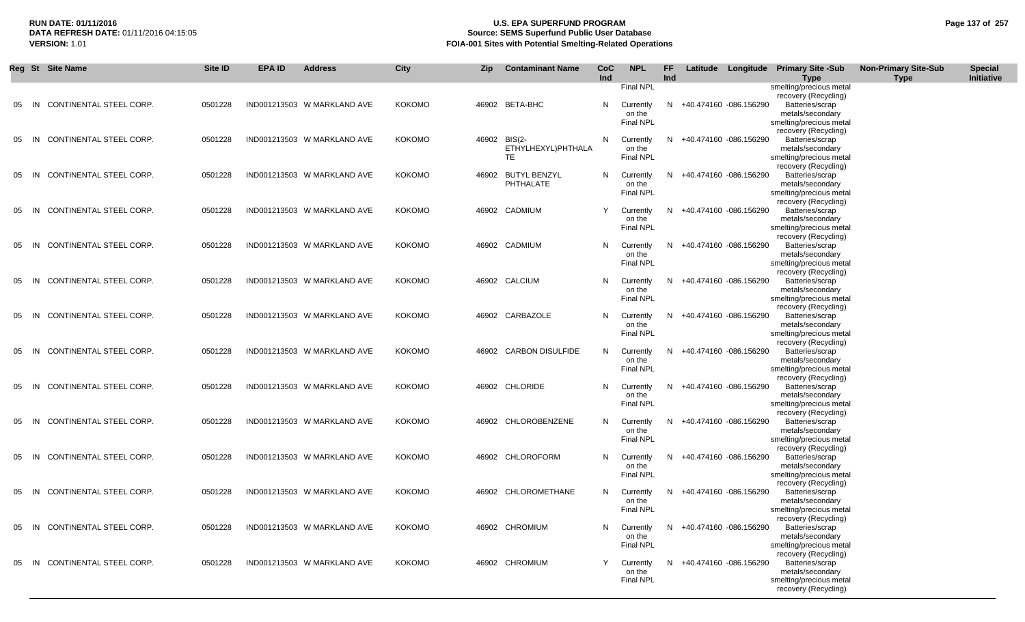# **RUN DATE: 01/11/2016 U.S. EPA SUPERFUND PROGRAM Page 137 of 257 Source: SEMS Superfund Public User Database VERSION:** 1.01 **FOIA-001 Sites with Potential Smelting-Related Operations**

|    |      | Reg St Site Name               | <b>Site ID</b> | <b>EPA ID</b> | <b>Address</b>              | <b>City</b>   | Zip          | <b>Contaminant Name</b> | <b>CoC</b><br>Ind | <b>NPL</b>                 | FF<br>Ind |                          | Latitude Longitude Primary Site -Sub<br><b>Type</b> | <b>Non-Primary Site-Sub</b><br><b>Type</b> | <b>Special</b><br>Initiative |
|----|------|--------------------------------|----------------|---------------|-----------------------------|---------------|--------------|-------------------------|-------------------|----------------------------|-----------|--------------------------|-----------------------------------------------------|--------------------------------------------|------------------------------|
|    |      |                                |                |               |                             |               |              |                         |                   | <b>Final NPL</b>           |           |                          | smelting/precious metal                             |                                            |                              |
|    |      |                                |                |               |                             |               |              |                         |                   |                            |           |                          | recovery (Recycling)                                |                                            |                              |
| 05 | - IN | CONTINENTAL STEEL CORP.        | 0501228        |               | IND001213503 W MARKLAND AVE | <b>KOKOMO</b> |              | 46902 BETA-BHC          | N.                | Currently<br>on the        |           | N +40.474160 -086.156290 | Batteries/scrap<br>metals/secondary                 |                                            |                              |
|    |      |                                |                |               |                             |               |              |                         |                   | <b>Final NPL</b>           |           |                          | smelting/precious metal                             |                                            |                              |
|    |      |                                |                |               |                             |               |              |                         |                   |                            |           |                          | recovery (Recycling)                                |                                            |                              |
| 05 | - IN | CONTINENTAL STEEL CORP.        | 0501228        |               | IND001213503 W MARKLAND AVE | <b>KOKOMO</b> | 46902 BIS(2- | ETHYLHEXYL)PHTHALA      | N.                | Currently                  | N.        | +40.474160 -086.156290   | Batteries/scrap<br>metals/secondary                 |                                            |                              |
|    |      |                                |                |               |                             |               |              | <b>TE</b>               |                   | on the<br>Final NPL        |           |                          | smelting/precious metal                             |                                            |                              |
|    |      |                                |                |               |                             |               |              |                         |                   |                            |           |                          | recovery (Recycling)                                |                                            |                              |
| 05 | - IN | CONTINENTAL STEEL CORP.        | 0501228        |               | IND001213503 W MARKLAND AVE | <b>KOKOMO</b> |              | 46902 BUTYL BENZYL      | N.                | Currently                  | N.        | +40.474160 -086.156290   | Batteries/scrap                                     |                                            |                              |
|    |      |                                |                |               |                             |               |              | PHTHALATE               |                   | on the<br>Final NPL        |           |                          | metals/secondary<br>smelting/precious metal         |                                            |                              |
|    |      |                                |                |               |                             |               |              |                         |                   |                            |           |                          | recovery (Recycling)                                |                                            |                              |
| 05 | -IN  | CONTINENTAL STEEL CORP.        | 0501228        |               | IND001213503 W MARKLAND AVE | <b>KOKOMO</b> |              | 46902 CADMIUM           | Y                 | Currently                  | N.        | +40.474160 -086.156290   | Batteries/scrap                                     |                                            |                              |
|    |      |                                |                |               |                             |               |              |                         |                   | on the                     |           |                          | metals/secondary                                    |                                            |                              |
|    |      |                                |                |               |                             |               |              |                         |                   | Final NPL                  |           |                          | smelting/precious metal<br>recovery (Recycling)     |                                            |                              |
|    | -IN  | CONTINENTAL STEEL CORP.        | 0501228        |               | IND001213503 W MARKLAND AVE | <b>KOKOMO</b> |              | 46902 CADMIUM           | N.                | Currently                  | N.        | +40.474160 -086.156290   | Batteries/scrap                                     |                                            |                              |
|    |      |                                |                |               |                             |               |              |                         |                   | on the                     |           |                          | metals/secondary                                    |                                            |                              |
|    |      |                                |                |               |                             |               |              |                         |                   | <b>Final NPL</b>           |           |                          | smelting/precious metal                             |                                            |                              |
| 05 | - IN | CONTINENTAL STEEL CORP.        | 0501228        |               | IND001213503 W MARKLAND AVE | <b>KOKOMO</b> |              | 46902 CALCIUM           | N.                | Currently                  | N.        | +40.474160 -086.156290   | recovery (Recycling)<br>Batteries/scrap             |                                            |                              |
|    |      |                                |                |               |                             |               |              |                         |                   | on the                     |           |                          | metals/secondary                                    |                                            |                              |
|    |      |                                |                |               |                             |               |              |                         |                   | <b>Final NPL</b>           |           |                          | smelting/precious metal                             |                                            |                              |
|    |      |                                |                |               |                             |               |              |                         |                   |                            |           |                          | recovery (Recycling)                                |                                            |                              |
| 05 | - IN | CONTINENTAL STEEL CORP.        | 0501228        |               | IND001213503 W MARKLAND AVE | <b>KOKOMO</b> |              | 46902 CARBAZOLE         |                   | N Currently<br>on the      | N.        | +40.474160 -086.156290   | Batteries/scrap<br>metals/secondary                 |                                            |                              |
|    |      |                                |                |               |                             |               |              |                         |                   | Final NPL                  |           |                          | smelting/precious metal                             |                                            |                              |
|    |      |                                |                |               |                             |               |              |                         |                   |                            |           |                          | recovery (Recycling)                                |                                            |                              |
| 05 | - IN | <b>CONTINENTAL STEEL CORP.</b> | 0501228        |               | IND001213503 W MARKLAND AVE | <b>KOKOMO</b> |              | 46902 CARBON DISULFIDE  |                   | N Currently                |           | N +40.474160 -086.156290 | Batteries/scrap<br>metals/secondary                 |                                            |                              |
|    |      |                                |                |               |                             |               |              |                         |                   | on the<br><b>Final NPL</b> |           |                          | smelting/precious metal                             |                                            |                              |
|    |      |                                |                |               |                             |               |              |                         |                   |                            |           |                          | recovery (Recycling)                                |                                            |                              |
| 05 | - IN | CONTINENTAL STEEL CORP.        | 0501228        |               | IND001213503 W MARKLAND AVE | <b>KOKOMO</b> |              | 46902 CHLORIDE          | N.                | Currently                  | N.        | +40.474160 -086.156290   | Batteries/scrap                                     |                                            |                              |
|    |      |                                |                |               |                             |               |              |                         |                   | on the<br>Final NPL        |           |                          | metals/secondary<br>smelting/precious metal         |                                            |                              |
|    |      |                                |                |               |                             |               |              |                         |                   |                            |           |                          | recovery (Recycling)                                |                                            |                              |
| 05 | - IN | CONTINENTAL STEEL CORP.        | 0501228        |               | IND001213503 W MARKLAND AVE | <b>KOKOMO</b> |              | 46902 CHLOROBENZENE     | N.                | Currently                  | N.        | +40.474160 -086.156290   | Batteries/scrap                                     |                                            |                              |
|    |      |                                |                |               |                             |               |              |                         |                   | on the                     |           |                          | metals/secondary                                    |                                            |                              |
|    |      |                                |                |               |                             |               |              |                         |                   | Final NPL                  |           |                          | smelting/precious metal<br>recovery (Recycling)     |                                            |                              |
| 05 | IN   | <b>CONTINENTAL STEEL CORP.</b> | 0501228        |               | IND001213503 W MARKLAND AVE | <b>KOKOMO</b> |              | 46902 CHLOROFORM        | N.                | Currently                  | N.        | +40.474160 -086.156290   | Batteries/scrap                                     |                                            |                              |
|    |      |                                |                |               |                             |               |              |                         |                   | on the                     |           |                          | metals/secondary                                    |                                            |                              |
|    |      |                                |                |               |                             |               |              |                         |                   | Final NPL                  |           |                          | smelting/precious metal                             |                                            |                              |
| 05 | - IN | <b>CONTINENTAL STEEL CORP.</b> | 0501228        |               | IND001213503 W MARKLAND AVE | KOKOMO        |              | 46902 CHLOROMETHANE     | N.                | Currently                  | N.        | +40.474160 -086.156290   | recovery (Recycling)<br>Batteries/scrap             |                                            |                              |
|    |      |                                |                |               |                             |               |              |                         |                   | on the                     |           |                          | metals/secondary                                    |                                            |                              |
|    |      |                                |                |               |                             |               |              |                         |                   | Final NPL                  |           |                          | smelting/precious metal                             |                                            |                              |
|    |      | IN CONTINENTAL STEEL CORP.     |                |               |                             | <b>KOKOMO</b> |              |                         |                   |                            |           |                          | recovery (Recycling)                                |                                            |                              |
| 05 |      |                                | 0501228        |               | IND001213503 W MARKLAND AVE |               |              | 46902 CHROMIUM          | N,                | Currently<br>on the        |           | N +40.474160 -086.156290 | Batteries/scrap<br>metals/secondary                 |                                            |                              |
|    |      |                                |                |               |                             |               |              |                         |                   | Final NPL                  |           |                          | smelting/precious metal                             |                                            |                              |
|    |      |                                |                |               |                             |               |              |                         |                   |                            |           |                          | recovery (Recycling)                                |                                            |                              |
| 05 | - IN | CONTINENTAL STEEL CORP.        | 0501228        |               | IND001213503 W MARKLAND AVE | KOKOMO        |              | 46902 CHROMIUM          |                   | Currently                  |           | N +40.474160 -086.156290 | Batteries/scrap<br>metals/secondary                 |                                            |                              |
|    |      |                                |                |               |                             |               |              |                         |                   | on the<br><b>Final NPL</b> |           |                          | smelting/precious metal                             |                                            |                              |
|    |      |                                |                |               |                             |               |              |                         |                   |                            |           |                          | recovery (Recycling)                                |                                            |                              |
|    |      |                                |                |               |                             |               |              |                         |                   |                            |           |                          |                                                     |                                            |                              |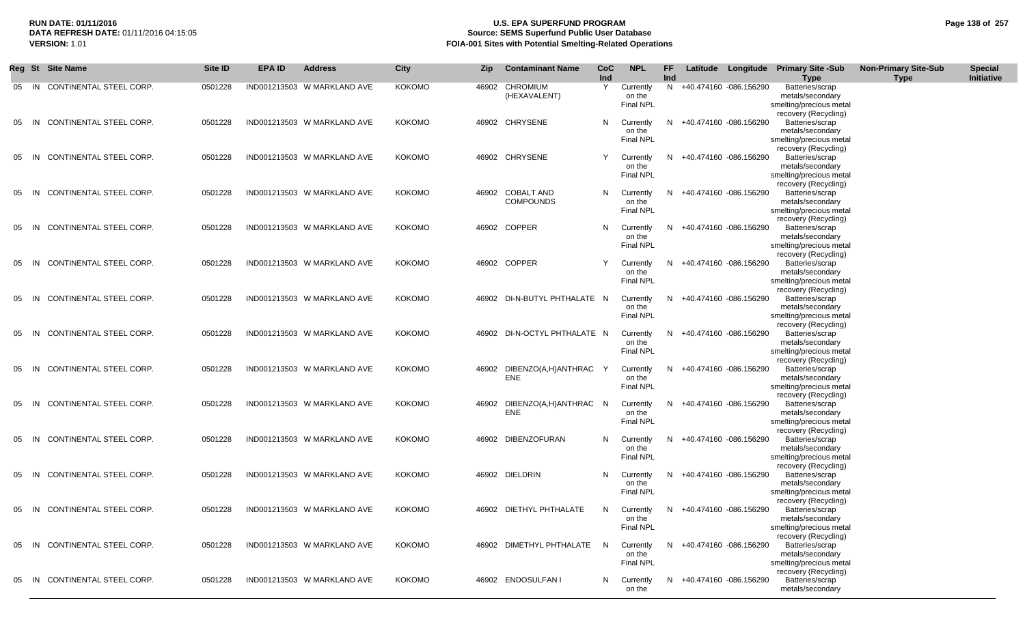# **RUN DATE: 01/11/2016 U.S. EPA SUPERFUND PROGRAM Page 138 of 257 Source: SEMS Superfund Public User Database VERSION:** 1.01 **FOIA-001 Sites with Potential Smelting-Related Operations**

|    |       | Reg St Site Name               | Site ID | <b>EPA ID</b> | <b>Address</b>              | <b>City</b>   | Zip. | <b>Contaminant Name</b>              | CoC<br>Ind | <b>NPL</b>                              | FF.<br>Ind |                          | Latitude Longitude Primary Site -Sub<br><b>Type</b>                                                            | <b>Non-Primary Site-Sub</b><br><b>Type</b> | <b>Special</b><br>Initiative |
|----|-------|--------------------------------|---------|---------------|-----------------------------|---------------|------|--------------------------------------|------------|-----------------------------------------|------------|--------------------------|----------------------------------------------------------------------------------------------------------------|--------------------------------------------|------------------------------|
|    | 05 IN | CONTINENTAL STEEL CORP.        | 0501228 |               | IND001213503 W MARKLAND AVE | <b>KOKOMO</b> |      | 46902 CHROMIUM<br>(HEXAVALENT)       | Y          | Currently<br>on the<br>Final NPL        | N.         | +40.474160 -086.156290   | Batteries/scrap<br>metals/secondary<br>smelting/precious metal<br>recovery (Recycling)                         |                                            |                              |
| 05 | - IN  | CONTINENTAL STEEL CORP.        | 0501228 |               | IND001213503 W MARKLAND AVE | <b>KOKOMO</b> |      | 46902 CHRYSENE                       | N          | Currently<br>on the<br><b>Final NPL</b> | N          | +40.474160 -086.156290   | Batteries/scrap<br>metals/secondary<br>smelting/precious metal<br>recovery (Recycling)                         |                                            |                              |
| 05 | - IN  | CONTINENTAL STEEL CORP.        | 0501228 |               | IND001213503 W MARKLAND AVE | <b>KOKOMO</b> |      | 46902 CHRYSENE                       | Y          | Currently<br>on the<br>Final NPL        | N.         | +40.474160 -086.156290   | Batteries/scrap<br>metals/secondary<br>smelting/precious metal<br>recovery (Recycling)                         |                                            |                              |
| 05 | - IN  | <b>CONTINENTAL STEEL CORP.</b> | 0501228 |               | IND001213503 W MARKLAND AVE | <b>KOKOMO</b> |      | 46902 COBALT AND<br><b>COMPOUNDS</b> | N          | Currently<br>on the<br>Final NPL        | N          | +40.474160 -086.156290   | Batteries/scrap<br>metals/secondary<br>smelting/precious metal<br>recovery (Recycling)                         |                                            |                              |
| 05 | IN    | CONTINENTAL STEEL CORP.        | 0501228 |               | IND001213503 W MARKLAND AVE | <b>KOKOMO</b> |      | 46902 COPPER                         | N          | Currently<br>on the<br><b>Final NPL</b> | N.         | +40.474160 -086.156290   | Batteries/scrap<br>metals/secondary<br>smelting/precious metal<br>recovery (Recycling)                         |                                            |                              |
| 05 | - IN  | CONTINENTAL STEEL CORP.        | 0501228 |               | IND001213503 W MARKLAND AVE | <b>KOKOMO</b> |      | 46902 COPPER                         | Y          | Currently<br>on the<br><b>Final NPL</b> | N.         | +40.474160 -086.156290   | Batteries/scrap<br>metals/secondary<br>smelting/precious metal<br>recovery (Recycling)                         |                                            |                              |
| 05 | - IN  | CONTINENTAL STEEL CORP.        | 0501228 |               | IND001213503 W MARKLAND AVE | <b>KOKOMO</b> |      | 46902 DI-N-BUTYL PHTHALATE N         |            | Currently<br>on the<br><b>Final NPL</b> | N.         | +40.474160 -086.156290   | Batteries/scrap<br>metals/secondary<br>smelting/precious metal<br>recovery (Recycling)                         |                                            |                              |
| 05 | - IN  | CONTINENTAL STEEL CORP.        | 0501228 |               | IND001213503 W MARKLAND AVE | <b>KOKOMO</b> |      | 46902 DI-N-OCTYL PHTHALATE N         |            | Currently<br>on the<br>Final NPL        | N.         | +40.474160 -086.156290   | Batteries/scrap<br>metals/secondary<br>smelting/precious metal<br>recovery (Recycling)                         |                                            |                              |
|    | 05 IN | CONTINENTAL STEEL CORP.        | 0501228 |               | IND001213503 W MARKLAND AVE | <b>KOKOMO</b> |      | 46902 DIBENZO(A,H)ANTHRAC<br>ENE     | Y          | Currently<br>on the<br>Final NPL        | N          | +40.474160 -086.156290   | Batteries/scrap<br>metals/secondary<br>smelting/precious metal                                                 |                                            |                              |
| 05 | - IN  | CONTINENTAL STEEL CORP.        | 0501228 |               | IND001213503 W MARKLAND AVE | <b>KOKOMO</b> |      | 46902 DIBENZO(A,H)ANTHRAC N<br>ENE   |            | Currently<br>on the<br>Final NPL        | N          | +40.474160 -086.156290   | recovery (Recycling)<br>Batteries/scrap<br>metals/secondary<br>smelting/precious metal                         |                                            |                              |
| 05 | - IN  | CONTINENTAL STEEL CORP.        | 0501228 |               | IND001213503 W MARKLAND AVE | <b>KOKOMO</b> |      | 46902 DIBENZOFURAN                   | N          | Currently<br>on the<br><b>Final NPL</b> | N          | +40.474160 -086.156290   | recovery (Recycling)<br>Batteries/scrap<br>metals/secondary<br>smelting/precious metal                         |                                            |                              |
| 05 | - IN  | <b>CONTINENTAL STEEL CORP.</b> | 0501228 |               | IND001213503 W MARKLAND AVE | <b>KOKOMO</b> |      | 46902 DIELDRIN                       | N          | Currently<br>on the<br><b>Final NPL</b> | N.         | +40.474160 -086.156290   | recovery (Recycling)<br>Batteries/scrap<br>metals/secondary<br>smelting/precious metal<br>recovery (Recycling) |                                            |                              |
| 05 | IN    | CONTINENTAL STEEL CORP.        | 0501228 |               | IND001213503 W MARKLAND AVE | <b>KOKOMO</b> |      | 46902 DIETHYL PHTHALATE              | N          | Currently<br>on the<br><b>Final NPL</b> | N.         | +40.474160 -086.156290   | Batteries/scrap<br>metals/secondary<br>smelting/precious metal<br>recovery (Recycling)                         |                                            |                              |
|    |       | 05 IN CONTINENTAL STEEL CORP.  | 0501228 |               | IND001213503 W MARKLAND AVE | <b>KOKOMO</b> |      | 46902 DIMETHYL PHTHALATE             | - N        | Currently<br>on the<br>Final NPL        | N.         | +40.474160 -086.156290   | Batteries/scrap<br>metals/secondary<br>smelting/precious metal                                                 |                                            |                              |
| 05 |       | IN CONTINENTAL STEEL CORP.     | 0501228 |               | IND001213503 W MARKLAND AVE | <b>KOKOMO</b> |      | 46902 ENDOSULFAN I                   | N          | Currently<br>on the                     |            | N +40.474160 -086.156290 | recovery (Recycling)<br>Batteries/scrap<br>metals/secondary                                                    |                                            |                              |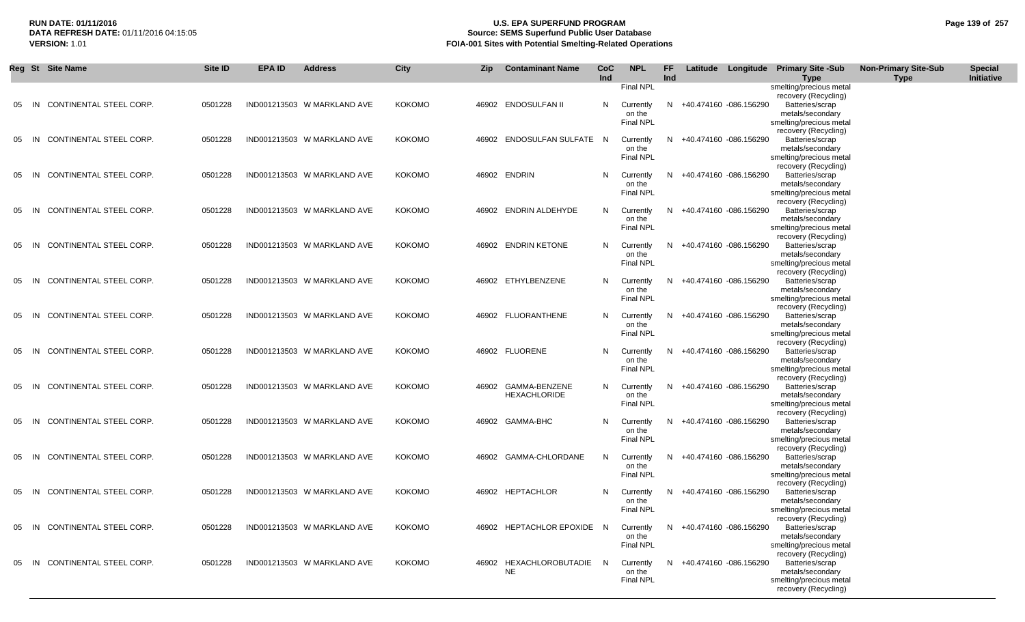# **RUN DATE: 01/11/2016 U.S. EPA SUPERFUND PROGRAM Page 139 of 257 Source: SEMS Superfund Public User Database VERSION:** 1.01 **FOIA-001 Sites with Potential Smelting-Related Operations**

|     |           | Reg St Site Name              | Site ID | <b>EPA ID</b> | <b>Address</b>              | City          | Zip   | <b>Contaminant Name</b>    | CoC      | <b>NPL</b>                 | <b>FF</b> |                          | Latitude Longitude Primary Site -Sub            | <b>Non-Primary Site-Sub</b> | <b>Special</b> |
|-----|-----------|-------------------------------|---------|---------------|-----------------------------|---------------|-------|----------------------------|----------|----------------------------|-----------|--------------------------|-------------------------------------------------|-----------------------------|----------------|
|     |           |                               |         |               |                             |               |       |                            | Ind      |                            | Ind       |                          | <b>Type</b>                                     | <b>Type</b>                 | Initiative     |
|     |           |                               |         |               |                             |               |       |                            |          | Final NPL                  |           |                          | smelting/precious metal<br>recovery (Recycling) |                             |                |
| -05 | - IN      | CONTINENTAL STEEL CORP.       | 0501228 |               | IND001213503 W MARKLAND AVE | <b>KOKOMO</b> |       | 46902 ENDOSULFAN II        | N.       | Currently                  | N.        | +40.474160 -086.156290   | Batteries/scrap                                 |                             |                |
|     |           |                               |         |               |                             |               |       |                            |          | on the                     |           |                          | metals/secondary                                |                             |                |
|     |           |                               |         |               |                             |               |       |                            |          | <b>Final NPL</b>           |           |                          | smelting/precious metal                         |                             |                |
|     |           |                               |         |               |                             |               |       |                            |          |                            |           |                          | recovery (Recycling)                            |                             |                |
| -05 | - IN      | CONTINENTAL STEEL CORP.       | 0501228 |               | IND001213503 W MARKLAND AVE | <b>KOKOMO</b> |       | 46902 ENDOSULFAN SULFATE N |          | Currently<br>on the        |           | N +40.474160 -086.156290 | Batteries/scrap<br>metals/secondary             |                             |                |
|     |           |                               |         |               |                             |               |       |                            |          | <b>Final NPL</b>           |           |                          | smelting/precious metal                         |                             |                |
|     |           |                               |         |               |                             |               |       |                            |          |                            |           |                          | recovery (Recycling)                            |                             |                |
| -05 | - IN      | CONTINENTAL STEEL CORP.       | 0501228 |               | IND001213503 W MARKLAND AVE | <b>KOKOMO</b> |       | 46902 ENDRIN               | N.       | Currently                  | N.        | +40.474160 -086.156290   | Batteries/scrap                                 |                             |                |
|     |           |                               |         |               |                             |               |       |                            |          | on the                     |           |                          | metals/secondary                                |                             |                |
|     |           |                               |         |               |                             |               |       |                            |          | <b>Final NPL</b>           |           |                          | smelting/precious metal                         |                             |                |
| 05  | IN        | CONTINENTAL STEEL CORP.       | 0501228 |               | IND001213503 W MARKLAND AVE | <b>KOKOMO</b> |       | 46902 ENDRIN ALDEHYDE      | N        | Currently                  |           | N +40.474160 -086.156290 | recovery (Recycling)<br>Batteries/scrap         |                             |                |
|     |           |                               |         |               |                             |               |       |                            |          | on the                     |           |                          | metals/secondary                                |                             |                |
|     |           |                               |         |               |                             |               |       |                            |          | <b>Final NPL</b>           |           |                          | smelting/precious metal                         |                             |                |
|     |           |                               |         |               |                             |               |       |                            |          |                            |           |                          | recovery (Recycling)                            |                             |                |
| 05  | - IN      | CONTINENTAL STEEL CORP.       | 0501228 |               | IND001213503 W MARKLAND AVE | <b>KOKOMO</b> |       | 46902 ENDRIN KETONE        | N        | Currently                  | N         | +40.474160 -086.156290   | Batteries/scrap                                 |                             |                |
|     |           |                               |         |               |                             |               |       |                            |          | on the<br><b>Final NPL</b> |           |                          | metals/secondary<br>smelting/precious metal     |                             |                |
|     |           |                               |         |               |                             |               |       |                            |          |                            |           |                          | recovery (Recycling)                            |                             |                |
| 05  | - IN      | CONTINENTAL STEEL CORP.       | 0501228 |               | IND001213503 W MARKLAND AVE | <b>KOKOMO</b> |       | 46902 ETHYLBENZENE         | N        | Currently                  |           | N +40.474160 -086.156290 | Batteries/scrap                                 |                             |                |
|     |           |                               |         |               |                             |               |       |                            |          | on the                     |           |                          | metals/secondary                                |                             |                |
|     |           |                               |         |               |                             |               |       |                            |          | <b>Final NPL</b>           |           |                          | smelting/precious metal                         |                             |                |
|     |           |                               |         |               |                             |               |       |                            |          |                            |           |                          | recovery (Recycling)                            |                             |                |
| 05  | <b>IN</b> | CONTINENTAL STEEL CORP.       | 0501228 |               | IND001213503 W MARKLAND AVE | <b>KOKOMO</b> |       | 46902 FLUORANTHENE         | N.       | Currently<br>on the        |           | N +40.474160 -086.156290 | Batteries/scrap<br>metals/secondary             |                             |                |
|     |           |                               |         |               |                             |               |       |                            |          | <b>Final NPL</b>           |           |                          | smelting/precious metal                         |                             |                |
|     |           |                               |         |               |                             |               |       |                            |          |                            |           |                          | recovery (Recycling)                            |                             |                |
| 05  | - IN      | CONTINENTAL STEEL CORP.       | 0501228 |               | IND001213503 W MARKLAND AVE | <b>KOKOMO</b> |       | 46902 FLUORENE             | N        | Currently                  |           | N +40.474160 -086.156290 | Batteries/scrap                                 |                             |                |
|     |           |                               |         |               |                             |               |       |                            |          | on the                     |           |                          | metals/secondary                                |                             |                |
|     |           |                               |         |               |                             |               |       |                            |          | <b>Final NPL</b>           |           |                          | smelting/precious metal<br>recovery (Recycling) |                             |                |
| 05  | <b>IN</b> | CONTINENTAL STEEL CORP.       | 0501228 |               | IND001213503 W MARKLAND AVE | <b>KOKOMO</b> | 46902 | GAMMA-BENZENE              | N.       | Currently                  |           | N +40.474160 -086.156290 | Batteries/scrap                                 |                             |                |
|     |           |                               |         |               |                             |               |       | <b>HEXACHLORIDE</b>        |          | on the                     |           |                          | metals/secondary                                |                             |                |
|     |           |                               |         |               |                             |               |       |                            |          | <b>Final NPL</b>           |           |                          | smelting/precious metal                         |                             |                |
|     |           |                               |         |               |                             |               |       |                            |          |                            |           |                          | recovery (Recycling)                            |                             |                |
| 05  | <b>IN</b> | CONTINENTAL STEEL CORP.       | 0501228 |               | IND001213503 W MARKLAND AVE | <b>KOKOMO</b> |       | 46902 GAMMA-BHC            | N.       | Currently<br>on the        |           | N +40.474160 -086.156290 | Batteries/scrap<br>metals/secondary             |                             |                |
|     |           |                               |         |               |                             |               |       |                            |          | <b>Final NPL</b>           |           |                          | smelting/precious metal                         |                             |                |
|     |           |                               |         |               |                             |               |       |                            |          |                            |           |                          | recovery (Recycling)                            |                             |                |
| 05  | - IN      | CONTINENTAL STEEL CORP.       | 0501228 |               | IND001213503 W MARKLAND AVE | <b>KOKOMO</b> |       | 46902 GAMMA-CHLORDANE      | N.       | Currently                  |           | N +40.474160 -086.156290 | Batteries/scrap                                 |                             |                |
|     |           |                               |         |               |                             |               |       |                            |          | on the                     |           |                          | metals/secondary                                |                             |                |
|     |           |                               |         |               |                             |               |       |                            |          | <b>Final NPL</b>           |           |                          | smelting/precious metal                         |                             |                |
|     | 05 IN     | CONTINENTAL STEEL CORP.       | 0501228 |               | IND001213503 W MARKLAND AVE | <b>KOKOMO</b> |       | 46902 HEPTACHLOR           | N.       | Currently                  |           | N +40.474160 -086.156290 | recovery (Recycling)<br>Batteries/scrap         |                             |                |
|     |           |                               |         |               |                             |               |       |                            |          | on the                     |           |                          | metals/secondary                                |                             |                |
|     |           |                               |         |               |                             |               |       |                            |          | <b>Final NPL</b>           |           |                          | smelting/precious metal                         |                             |                |
|     |           |                               |         |               |                             |               |       |                            |          |                            |           |                          | recovery (Recycling)                            |                             |                |
|     | 05 IN     | CONTINENTAL STEEL CORP.       | 0501228 |               | IND001213503 W MARKLAND AVE | <b>KOKOMO</b> |       | 46902 HEPTACHLOR EPOXIDE   | <b>N</b> | Currently                  |           | N +40.474160 -086.156290 | Batteries/scrap                                 |                             |                |
|     |           |                               |         |               |                             |               |       |                            |          | on the<br><b>Final NPL</b> |           |                          | metals/secondary                                |                             |                |
|     |           |                               |         |               |                             |               |       |                            |          |                            |           |                          | smelting/precious metal<br>recovery (Recycling) |                             |                |
|     |           | 05 IN CONTINENTAL STEEL CORP. | 0501228 |               | IND001213503 W MARKLAND AVE | <b>KOKOMO</b> | 46902 | HEXACHLOROBUTADIE          | N.       | Currently                  |           | N +40.474160 -086.156290 | Batteries/scrap                                 |                             |                |
|     |           |                               |         |               |                             |               |       | <b>NE</b>                  |          | on the                     |           |                          | metals/secondary                                |                             |                |
|     |           |                               |         |               |                             |               |       |                            |          | <b>Final NPL</b>           |           |                          | smelting/precious metal                         |                             |                |
|     |           |                               |         |               |                             |               |       |                            |          |                            |           |                          | recovery (Recycling)                            |                             |                |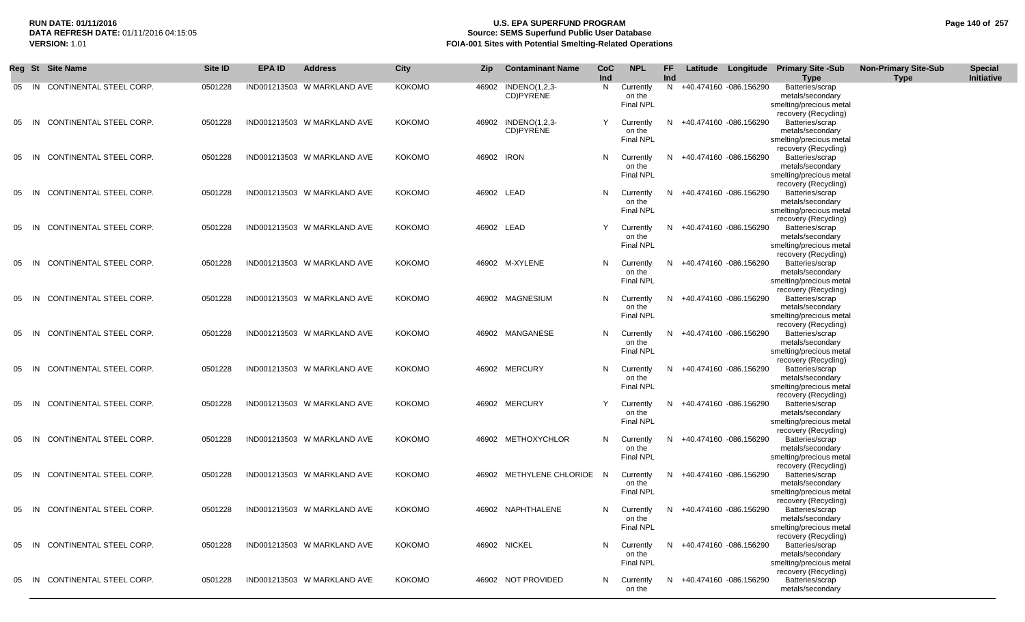### **RUN DATE: 01/11/2016 U.S. EPA SUPERFUND PROGRAM Page 140 of 257 Source: SEMS Superfund Public User Database VERSION:** 1.01 **FOIA-001 Sites with Potential Smelting-Related Operations**

|    |       | Reg St Site Name               | Site <b>ID</b> | EPA ID | <b>Address</b>              | <b>City</b>   | <b>Zip</b> | <b>Contaminant Name</b>          | <b>CoC</b><br>Ind | <b>NPL</b>                              | FF.<br>Ind |                          | Latitude Longitude Primary Site -Sub<br><b>Type</b>                                    | <b>Non-Primary Site-Sub</b><br><b>Type</b> | <b>Special</b><br>Initiative |
|----|-------|--------------------------------|----------------|--------|-----------------------------|---------------|------------|----------------------------------|-------------------|-----------------------------------------|------------|--------------------------|----------------------------------------------------------------------------------------|--------------------------------------------|------------------------------|
| 05 | -IN   | CONTINENTAL STEEL CORP.        | 0501228        |        | IND001213503 W MARKLAND AVE | <b>KOKOMO</b> | 46902      | INDENO(1,2,3-<br>CD)PYRENE       | N                 | Currently<br>on the<br><b>Final NPL</b> | N          | +40.474160 -086.156290   | Batteries/scrap<br>metals/secondary<br>smelting/precious metal<br>recovery (Recycling) |                                            |                              |
| 05 | - IN  | <b>CONTINENTAL STEEL CORP.</b> | 0501228        |        | IND001213503 W MARKLAND AVE | <b>KOKOMO</b> |            | 46902 INDENO(1,2,3-<br>CD)PYRENE | Y                 | Currently<br>on the<br><b>Final NPL</b> | N.         | +40.474160 -086.156290   | Batteries/scrap<br>metals/secondary<br>smelting/precious metal<br>recovery (Recycling) |                                            |                              |
|    | 05 IN | CONTINENTAL STEEL CORP.        | 0501228        |        | IND001213503 W MARKLAND AVE | <b>KOKOMO</b> | 46902 IRON |                                  | N                 | Currently<br>on the<br>Final NPL        | N          | +40.474160 -086.156290   | Batteries/scrap<br>metals/secondary<br>smelting/precious metal<br>recovery (Recycling) |                                            |                              |
|    | 05 IN | CONTINENTAL STEEL CORP.        | 0501228        |        | IND001213503 W MARKLAND AVE | <b>KOKOMO</b> | 46902 LEAD |                                  | N                 | Currently<br>on the<br><b>Final NPL</b> | N          | +40.474160 -086.156290   | Batteries/scrap<br>metals/secondary<br>smelting/precious metal<br>recovery (Recycling) |                                            |                              |
| 05 | - IN  | CONTINENTAL STEEL CORP.        | 0501228        |        | IND001213503 W MARKLAND AVE | <b>KOKOMO</b> | 46902 LEAD |                                  | Y                 | Currently<br>on the<br>Final NPL        | N          | +40.474160 -086.156290   | Batteries/scrap<br>metals/secondary<br>smelting/precious metal<br>recovery (Recycling) |                                            |                              |
| 05 | -IN   | CONTINENTAL STEEL CORP.        | 0501228        |        | IND001213503 W MARKLAND AVE | <b>KOKOMO</b> |            | 46902 M-XYLENE                   | N                 | Currently<br>on the<br><b>Final NPL</b> | N.         | +40.474160 -086.156290   | Batteries/scrap<br>metals/secondary<br>smelting/precious metal<br>recovery (Recycling) |                                            |                              |
| 05 | - IN  | CONTINENTAL STEEL CORP.        | 0501228        |        | IND001213503 W MARKLAND AVE | <b>KOKOMO</b> |            | 46902 MAGNESIUM                  | N                 | Currently<br>on the<br>Final NPL        | N          | +40.474160 -086.156290   | Batteries/scrap<br>metals/secondary<br>smelting/precious metal<br>recovery (Recycling) |                                            |                              |
| 05 | - IN  | CONTINENTAL STEEL CORP.        | 0501228        |        | IND001213503 W MARKLAND AVE | <b>KOKOMO</b> |            | 46902 MANGANESE                  | N                 | Currently<br>on the<br>Final NPL        | N          | +40.474160 -086.156290   | Batteries/scrap<br>metals/secondary<br>smelting/precious metal<br>recovery (Recycling) |                                            |                              |
|    | 05 IN | CONTINENTAL STEEL CORP.        | 0501228        |        | IND001213503 W MARKLAND AVE | <b>KOKOMO</b> |            | 46902 MERCURY                    | N                 | Currently<br>on the<br><b>Final NPL</b> | N          | +40.474160 -086.156290   | Batteries/scrap<br>metals/secondary<br>smelting/precious metal                         |                                            |                              |
| 05 | - IN  | CONTINENTAL STEEL CORP.        | 0501228        |        | IND001213503 W MARKLAND AVE | <b>KOKOMO</b> |            | 46902 MERCURY                    | Y                 | Currently<br>on the<br><b>Final NPL</b> | N          | +40.474160 -086.156290   | recovery (Recycling)<br>Batteries/scrap<br>metals/secondary<br>smelting/precious metal |                                            |                              |
| 05 | - IN  | CONTINENTAL STEEL CORP.        | 0501228        |        | IND001213503 W MARKLAND AVE | <b>KOKOMO</b> |            | 46902 METHOXYCHLOR               | N                 | Currently<br>on the<br><b>Final NPL</b> | N          | +40.474160 -086.156290   | recovery (Recycling)<br>Batteries/scrap<br>metals/secondary<br>smelting/precious metal |                                            |                              |
|    | 05 IN | CONTINENTAL STEEL CORP.        | 0501228        |        | IND001213503 W MARKLAND AVE | <b>KOKOMO</b> |            | 46902 METHYLENE CHLORIDE         | - N               | Currently<br>on the<br><b>Final NPL</b> | N          | +40.474160 -086.156290   | recovery (Recycling)<br>Batteries/scrap<br>metals/secondary<br>smelting/precious metal |                                            |                              |
|    | 05 IN | CONTINENTAL STEEL CORP.        | 0501228        |        | IND001213503 W MARKLAND AVE | <b>KOKOMO</b> |            | 46902 NAPHTHALENE                | N                 | Currently<br>on the<br><b>Final NPL</b> | N.         | +40.474160 -086.156290   | recovery (Recycling)<br>Batteries/scrap<br>metals/secondary<br>smelting/precious metal |                                            |                              |
|    |       | 05 IN CONTINENTAL STEEL CORP.  | 0501228        |        | IND001213503 W MARKLAND AVE | <b>KOKOMO</b> |            | 46902 NICKEL                     | N                 | Currently<br>on the<br>Final NPL        |            | N +40.474160 -086.156290 | recovery (Recycling)<br>Batteries/scrap<br>metals/secondary<br>smelting/precious metal |                                            |                              |
|    | 05 IN | CONTINENTAL STEEL CORP.        | 0501228        |        | IND001213503 W MARKLAND AVE | <b>KOKOMO</b> |            | 46902 NOT PROVIDED               | N                 | Currently<br>on the                     |            | N +40.474160 -086.156290 | recovery (Recycling)<br>Batteries/scrap<br>metals/secondary                            |                                            |                              |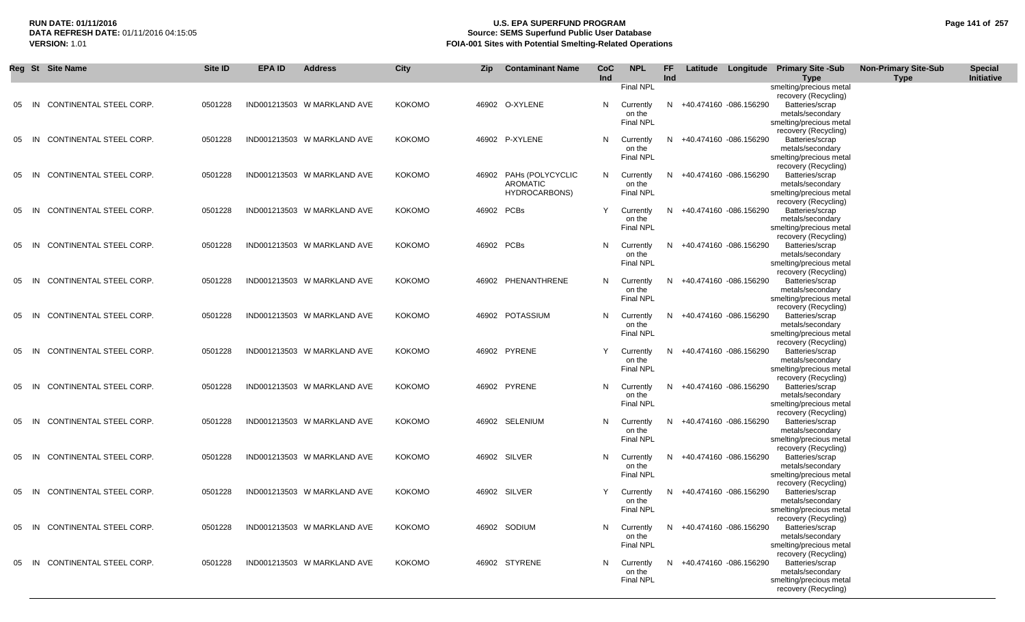# **RUN DATE: 01/11/2016 U.S. EPA SUPERFUND PROGRAM Page 141 of 257 Source: SEMS Superfund Public User Database VERSION:** 1.01 **FOIA-001 Sites with Potential Smelting-Related Operations**

| Reg St |      | <b>Site Name</b>           | Site ID | <b>EPA ID</b> | <b>Address</b>              | <b>City</b>   | <b>Zip</b> | <b>Contaminant Name</b> | CoC | <b>NPL</b>                 | FF  |                          | Latitude Longitude Primary Site-Sub             | <b>Non-Primary Site-Sub</b> | <b>Special</b> |
|--------|------|----------------------------|---------|---------------|-----------------------------|---------------|------------|-------------------------|-----|----------------------------|-----|--------------------------|-------------------------------------------------|-----------------------------|----------------|
|        |      |                            |         |               |                             |               |            |                         | Ind | Final NPL                  | Ind |                          | <b>Type</b><br>smelting/precious metal          | <b>Type</b>                 | Initiative     |
|        |      |                            |         |               |                             |               |            |                         |     |                            |     |                          | recovery (Recycling)                            |                             |                |
| 05     | -IN  | CONTINENTAL STEEL CORP.    | 0501228 |               | IND001213503 W MARKLAND AVE | <b>KOKOMO</b> |            | 46902 O-XYLENE          | N.  | Currently                  |     | N +40.474160 -086.156290 | Batteries/scrap                                 |                             |                |
|        |      |                            |         |               |                             |               |            |                         |     | on the                     |     |                          | metals/secondary                                |                             |                |
|        |      |                            |         |               |                             |               |            |                         |     | Final NPL                  |     |                          | smelting/precious metal<br>recovery (Recycling) |                             |                |
| 05     | IN   | CONTINENTAL STEEL CORP.    | 0501228 |               | IND001213503 W MARKLAND AVE | <b>KOKOMO</b> |            | 46902 P-XYLENE          | N   | Currently                  | N   | +40.474160 -086.156290   | Batteries/scrap                                 |                             |                |
|        |      |                            |         |               |                             |               |            |                         |     | on the                     |     |                          | metals/secondary                                |                             |                |
|        |      |                            |         |               |                             |               |            |                         |     | Final NPL                  |     |                          | smelting/precious metal                         |                             |                |
| 05     | IN   | CONTINENTAL STEEL CORP.    | 0501228 |               | IND001213503 W MARKLAND AVE | <b>KOKOMO</b> |            | 46902 PAHs (POLYCYCLIC  | N.  | Currently                  | N.  | +40.474160 -086.156290   | recovery (Recycling)<br>Batteries/scrap         |                             |                |
|        |      |                            |         |               |                             |               |            | <b>AROMATIC</b>         |     | on the                     |     |                          | metals/secondary                                |                             |                |
|        |      |                            |         |               |                             |               |            | <b>HYDROCARBONS)</b>    |     | Final NPL                  |     |                          | smelting/precious metal                         |                             |                |
| 05     | - IN | CONTINENTAL STEEL CORP.    | 0501228 |               | IND001213503 W MARKLAND AVE | <b>KOKOMO</b> | 46902 PCBs |                         |     | Currently                  | N.  | +40.474160 -086.156290   | recovery (Recycling)<br>Batteries/scrap         |                             |                |
|        |      |                            |         |               |                             |               |            |                         |     | on the                     |     |                          | metals/secondary                                |                             |                |
|        |      |                            |         |               |                             |               |            |                         |     | <b>Final NPL</b>           |     |                          | smelting/precious metal                         |                             |                |
|        |      |                            |         |               |                             |               |            |                         |     |                            |     |                          | recovery (Recycling)                            |                             |                |
| 05     | -IN  | CONTINENTAL STEEL CORP.    | 0501228 |               | IND001213503 W MARKLAND AVE | <b>KOKOMO</b> | 46902 PCBs |                         | N.  | Currently<br>on the        | N.  | +40.474160 -086.156290   | Batteries/scrap<br>metals/secondary             |                             |                |
|        |      |                            |         |               |                             |               |            |                         |     | Final NPL                  |     |                          | smelting/precious metal                         |                             |                |
|        |      |                            |         |               |                             |               |            |                         |     |                            |     |                          | recovery (Recycling)                            |                             |                |
| 05     | - IN | CONTINENTAL STEEL CORP.    | 0501228 |               | IND001213503 W MARKLAND AVE | <b>KOKOMO</b> |            | 46902 PHENANTHRENE      | N.  | Currently                  | N.  | +40.474160 -086.156290   | Batteries/scrap                                 |                             |                |
|        |      |                            |         |               |                             |               |            |                         |     | on the<br>Final NPL        |     |                          | metals/secondary<br>smelting/precious metal     |                             |                |
|        |      |                            |         |               |                             |               |            |                         |     |                            |     |                          | recovery (Recycling)                            |                             |                |
| 05     | - IN | CONTINENTAL STEEL CORP.    | 0501228 |               | IND001213503 W MARKLAND AVE | <b>KOKOMO</b> |            | 46902 POTASSIUM         | N.  | Currently                  | N.  | +40.474160 -086.156290   | Batteries/scrap                                 |                             |                |
|        |      |                            |         |               |                             |               |            |                         |     | on the                     |     |                          | metals/secondary                                |                             |                |
|        |      |                            |         |               |                             |               |            |                         |     | Final NPL                  |     |                          | smelting/precious metal<br>recovery (Recycling) |                             |                |
| 05     | - IN | CONTINENTAL STEEL CORP.    | 0501228 |               | IND001213503 W MARKLAND AVE | <b>KOKOMO</b> |            | 46902 PYRENE            |     | Currently                  |     | N +40.474160 -086.156290 | Batteries/scrap                                 |                             |                |
|        |      |                            |         |               |                             |               |            |                         |     | on the                     |     |                          | metals/secondary                                |                             |                |
|        |      |                            |         |               |                             |               |            |                         |     | Final NPL                  |     |                          | smelting/precious metal                         |                             |                |
| 05     | -IN  | CONTINENTAL STEEL CORP.    | 0501228 |               | IND001213503 W MARKLAND AVE | <b>KOKOMO</b> |            | 46902 PYRENE            | N.  | Currently                  | N.  | +40.474160 -086.156290   | recovery (Recycling)<br>Batteries/scrap         |                             |                |
|        |      |                            |         |               |                             |               |            |                         |     | on the                     |     |                          | metals/secondary                                |                             |                |
|        |      |                            |         |               |                             |               |            |                         |     | Final NPL                  |     |                          | smelting/precious metal                         |                             |                |
| 05     | - IN | CONTINENTAL STEEL CORP.    | 0501228 |               | IND001213503 W MARKLAND AVE | <b>KOKOMO</b> |            | 46902 SELENIUM          | N.  | Currently                  | N.  | +40.474160 -086.156290   | recovery (Recycling)<br>Batteries/scrap         |                             |                |
|        |      |                            |         |               |                             |               |            |                         |     | on the                     |     |                          | metals/secondary                                |                             |                |
|        |      |                            |         |               |                             |               |            |                         |     | Final NPL                  |     |                          | smelting/precious metal                         |                             |                |
|        |      |                            |         |               |                             |               |            |                         |     |                            |     |                          | recovery (Recycling)                            |                             |                |
| 05     | IN   | CONTINENTAL STEEL CORP.    | 0501228 |               | IND001213503 W MARKLAND AVE | <b>KOKOMO</b> |            | 46902 SILVER            | N   | Currently<br>on the        | N.  | +40.474160 -086.156290   | Batteries/scrap<br>metals/secondary             |                             |                |
|        |      |                            |         |               |                             |               |            |                         |     | <b>Final NPL</b>           |     |                          | smelting/precious metal                         |                             |                |
|        |      |                            |         |               |                             |               |            |                         |     |                            |     |                          | recovery (Recycling)                            |                             |                |
| 05 IN  |      | CONTINENTAL STEEL CORP.    | 0501228 |               | IND001213503 W MARKLAND AVE | <b>KOKOMO</b> |            | 46902 SILVER            |     | Currently                  | N.  | +40.474160 -086.156290   | Batteries/scrap                                 |                             |                |
|        |      |                            |         |               |                             |               |            |                         |     | on the<br><b>Final NPL</b> |     |                          | metals/secondary<br>smelting/precious metal     |                             |                |
|        |      |                            |         |               |                             |               |            |                         |     |                            |     |                          | recovery (Recycling)                            |                             |                |
| 05     |      | IN CONTINENTAL STEEL CORP. | 0501228 |               | IND001213503 W MARKLAND AVE | KOKOMO        |            | 46902 SODIUM            | N.  | Currently                  |     | N +40.474160 -086.156290 | Batteries/scrap                                 |                             |                |
|        |      |                            |         |               |                             |               |            |                         |     | on the                     |     |                          | metals/secondary                                |                             |                |
|        |      |                            |         |               |                             |               |            |                         |     | Final NPL                  |     |                          | smelting/precious metal<br>recovery (Recycling) |                             |                |
| 05     | - IN | CONTINENTAL STEEL CORP.    | 0501228 |               | IND001213503 W MARKLAND AVE | <b>KOKOMO</b> |            | 46902 STYRENE           | N.  | Currently                  |     | N +40.474160 -086.156290 | Batteries/scrap                                 |                             |                |
|        |      |                            |         |               |                             |               |            |                         |     | on the                     |     |                          | metals/secondary                                |                             |                |
|        |      |                            |         |               |                             |               |            |                         |     | Final NPL                  |     |                          | smelting/precious metal                         |                             |                |
|        |      |                            |         |               |                             |               |            |                         |     |                            |     |                          | recovery (Recycling)                            |                             |                |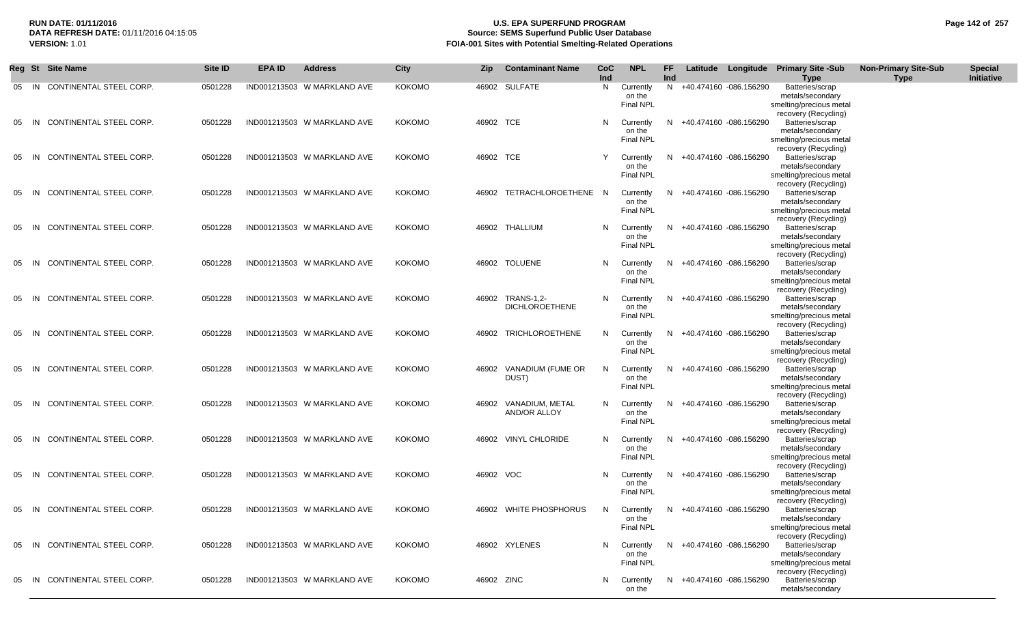### **RUN DATE: 01/11/2016 U.S. EPA SUPERFUND PROGRAM Page 142 of 257 Source: SEMS Superfund Public User Database VERSION:** 1.01 **FOIA-001 Sites with Potential Smelting-Related Operations**

|    |       | Reg St Site Name              | Site ID | <b>EPA ID</b> | <b>Address</b>              | <b>City</b>   | Zip        | <b>Contaminant Name</b>                 | <b>CoC</b><br>Ind | <b>NPL</b>                              | FF<br>Ind |                          | Latitude Longitude Primary Site -Sub<br><b>Type</b>                                                            | <b>Non-Primary Site-Sub</b><br><b>Type</b> | <b>Special</b><br>Initiative |
|----|-------|-------------------------------|---------|---------------|-----------------------------|---------------|------------|-----------------------------------------|-------------------|-----------------------------------------|-----------|--------------------------|----------------------------------------------------------------------------------------------------------------|--------------------------------------------|------------------------------|
| 05 | IN.   | CONTINENTAL STEEL CORP.       | 0501228 |               | IND001213503 W MARKLAND AVE | KOKOMO        |            | 46902 SULFATE                           | N                 | Currently<br>on the<br><b>Final NPL</b> | N.        | +40.474160 -086.156290   | Batteries/scrap<br>metals/secondary<br>smelting/precious metal<br>recovery (Recycling)                         |                                            |                              |
| 05 | IN.   | CONTINENTAL STEEL CORP.       | 0501228 |               | IND001213503 W MARKLAND AVE | <b>KOKOMO</b> | 46902 TCE  |                                         | N                 | Currently<br>on the<br>Final NPL        | N.        | +40.474160 -086.156290   | Batteries/scrap<br>metals/secondary<br>smelting/precious metal<br>recovery (Recycling)                         |                                            |                              |
| 05 | IN    | CONTINENTAL STEEL CORP.       | 0501228 |               | IND001213503 W MARKLAND AVE | KOKOMO        | 46902 TCE  |                                         | Y                 | Currently<br>on the<br><b>Final NPL</b> | N.        | +40.474160 -086.156290   | Batteries/scrap<br>metals/secondary<br>smelting/precious metal<br>recovery (Recycling)                         |                                            |                              |
| 05 | - IN  | CONTINENTAL STEEL CORP.       | 0501228 |               | IND001213503 W MARKLAND AVE | KOKOMO        |            | 46902 TETRACHLOROETHENE N               |                   | Currently<br>on the<br>Final NPL        | N.        | +40.474160 -086.156290   | Batteries/scrap<br>metals/secondary<br>smelting/precious metal<br>recovery (Recycling)                         |                                            |                              |
| 05 | -IN   | CONTINENTAL STEEL CORP.       | 0501228 |               | IND001213503 W MARKLAND AVE | <b>KOKOMO</b> |            | 46902 THALLIUM                          | N                 | Currently<br>on the<br><b>Final NPL</b> | N.        | +40.474160 -086.156290   | Batteries/scrap<br>metals/secondary<br>smelting/precious metal                                                 |                                            |                              |
| 05 | -IN   | CONTINENTAL STEEL CORP.       | 0501228 |               | IND001213503 W MARKLAND AVE | KOKOMO        |            | 46902 TOLUENE                           | N                 | Currently<br>on the<br>Final NPL        | N.        | +40.474160 -086.156290   | recovery (Recycling)<br>Batteries/scrap<br>metals/secondary<br>smelting/precious metal<br>recovery (Recycling) |                                            |                              |
| 05 | - IN  | CONTINENTAL STEEL CORP.       | 0501228 |               | IND001213503 W MARKLAND AVE | KOKOMO        | 46902      | -C.1.2-TRANS-1<br><b>DICHLOROETHENE</b> | N                 | Currently<br>on the<br><b>Final NPL</b> | N.        | +40.474160 -086.156290   | Batteries/scrap<br>metals/secondary<br>smelting/precious metal<br>recovery (Recycling)                         |                                            |                              |
| 05 | - IN  | CONTINENTAL STEEL CORP.       | 0501228 |               | IND001213503 W MARKLAND AVE | KOKOMO        |            | 46902 TRICHLOROETHENE                   | N                 | Currently<br>on the<br><b>Final NPL</b> | N         | +40.474160 -086.156290   | Batteries/scrap<br>metals/secondary<br>smelting/precious metal<br>recovery (Recycling)                         |                                            |                              |
| 05 | - IN  | CONTINENTAL STEEL CORP.       | 0501228 |               | IND001213503 W MARKLAND AVE | <b>KOKOMO</b> |            | 46902 VANADIUM (FUME OR<br>DUST)        | N                 | Currently<br>on the<br>Final NPL        | N.        | +40.474160 -086.156290   | Batteries/scrap<br>metals/secondary<br>smelting/precious metal<br>recovery (Recycling)                         |                                            |                              |
| 05 | -IN   | CONTINENTAL STEEL CORP.       | 0501228 |               | IND001213503 W MARKLAND AVE | <b>KOKOMO</b> | 46902      | VANADIUM, METAL<br>AND/OR ALLOY         | N                 | Currently<br>on the<br><b>Final NPL</b> | N.        | +40.474160 -086.156290   | Batteries/scrap<br>metals/secondary<br>smelting/precious metal<br>recovery (Recycling)                         |                                            |                              |
| 05 | -IN   | CONTINENTAL STEEL CORP.       | 0501228 |               | IND001213503 W MARKLAND AVE | <b>KOKOMO</b> |            | 46902 VINYL CHLORIDE                    | N                 | Currently<br>on the<br>Final NPL        |           | +40.474160 -086.156290   | Batteries/scrap<br>metals/secondary<br>smelting/precious metal                                                 |                                            |                              |
| 05 | -IN   | CONTINENTAL STEEL CORP.       | 0501228 |               | IND001213503 W MARKLAND AVE | KOKOMO        | 46902 VOC  |                                         | N                 | Currently<br>on the<br><b>Final NPL</b> | N         | +40.474160 -086.156290   | recovery (Recycling)<br>Batteries/scrap<br>metals/secondary<br>smelting/precious metal                         |                                            |                              |
|    | 05 IN | CONTINENTAL STEEL CORP.       | 0501228 |               | IND001213503 W MARKLAND AVE | <b>KOKOMO</b> |            | 46902 WHITE PHOSPHORUS                  | N                 | Currently<br>on the<br>Final NPL        | N         | +40.474160 -086.156290   | recovery (Recycling)<br>Batteries/scrap<br>metals/secondary<br>smelting/precious metal                         |                                            |                              |
|    |       | 05 IN CONTINENTAL STEEL CORP. | 0501228 |               | IND001213503 W MARKLAND AVE | <b>KOKOMO</b> |            | 46902 XYLENES                           | N                 | Currently<br>on the<br>Final NPL        |           | N +40.474160 -086.156290 | recovery (Recycling)<br>Batteries/scrap<br>metals/secondary<br>smelting/precious metal                         |                                            |                              |
| 05 | - IN  | CONTINENTAL STEEL CORP.       | 0501228 |               | IND001213503 W MARKLAND AVE | <b>KOKOMO</b> | 46902 ZINC |                                         | N                 | Currently<br>on the                     | N.        | +40.474160 -086.156290   | recovery (Recycling)<br>Batteries/scrap<br>metals/secondary                                                    |                                            |                              |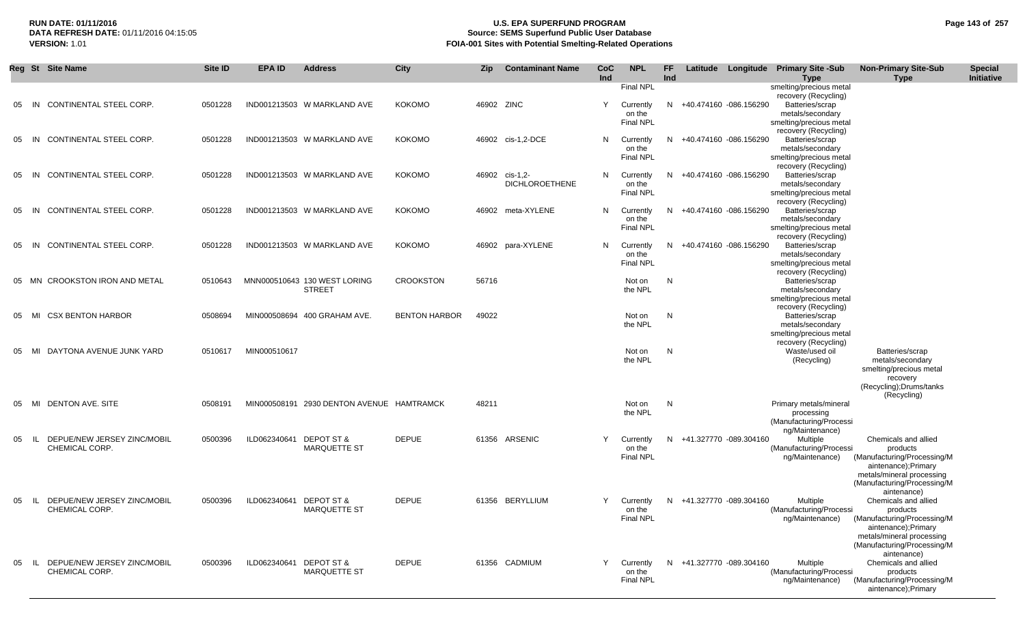# **RUN DATE: 01/11/2016 U.S. EPA SUPERFUND PROGRAM Page 143 of 257 Source: SEMS Superfund Public User Database VERSION:** 1.01 **FOIA-001 Sites with Potential Smelting-Related Operations**

|    | Reg St Site Name                                      | Site ID | <b>EPA ID</b>           | <b>Address</b>                                | City                 | Zip        | <b>Contaminant Name</b>           | CoC<br>Ind | <b>NPL</b>                                           | FF.<br><b>Ind</b> |                          | Latitude Longitude Primary Site -Sub<br><b>Type</b>                                                               | <b>Non-Primary Site-Sub</b><br>Type                                                                                                                                | <b>Special</b><br>Initiative |
|----|-------------------------------------------------------|---------|-------------------------|-----------------------------------------------|----------------------|------------|-----------------------------------|------------|------------------------------------------------------|-------------------|--------------------------|-------------------------------------------------------------------------------------------------------------------|--------------------------------------------------------------------------------------------------------------------------------------------------------------------|------------------------------|
| 05 | CONTINENTAL STEEL CORP.<br>IN                         | 0501228 |                         | IND001213503 W MARKLAND AVE                   | <b>KOKOMO</b>        | 46902 ZINC |                                   | Y          | Final NPL<br>Currently<br>on the<br><b>Final NPL</b> |                   | N +40.474160 -086.156290 | smelting/precious metal<br>recovery (Recycling)<br>Batteries/scrap<br>metals/secondary<br>smelting/precious metal |                                                                                                                                                                    |                              |
| 05 | CONTINENTAL STEEL CORP.<br>IN                         | 0501228 |                         | IND001213503 W MARKLAND AVE                   | <b>KOKOMO</b>        |            | 46902 cis-1,2-DCE                 | N          | Currently<br>on the<br>Final NPL                     |                   | N +40.474160 -086.156290 | recovery (Recycling)<br>Batteries/scrap<br>metals/secondary<br>smelting/precious metal                            |                                                                                                                                                                    |                              |
| 05 | CONTINENTAL STEEL CORP.<br>IN                         | 0501228 |                         | IND001213503 W MARKLAND AVE                   | <b>KOKOMO</b>        | 46902      | cis-1,2-<br><b>DICHLOROETHENE</b> | N          | Currently<br>on the<br><b>Final NPL</b>              |                   | N +40.474160 -086.156290 | recovery (Recycling)<br>Batteries/scrap<br>metals/secondary<br>smelting/precious metal<br>recovery (Recycling)    |                                                                                                                                                                    |                              |
| 05 | CONTINENTAL STEEL CORP.<br>IN                         | 0501228 |                         | IND001213503 W MARKLAND AVE                   | <b>KOKOMO</b>        |            | 46902 meta-XYLENE                 | N          | Currently<br>on the<br><b>Final NPL</b>              |                   | N +40.474160 -086.156290 | Batteries/scrap<br>metals/secondary<br>smelting/precious metal<br>recovery (Recycling)                            |                                                                                                                                                                    |                              |
| 05 | CONTINENTAL STEEL CORP.<br>- IN                       | 0501228 |                         | IND001213503 W MARKLAND AVE                   | <b>KOKOMO</b>        |            | 46902 para-XYLENE                 | N          | Currently<br>on the<br><b>Final NPL</b>              |                   | N +40.474160 -086.156290 | Batteries/scrap<br>metals/secondary<br>smelting/precious metal<br>recovery (Recycling)                            |                                                                                                                                                                    |                              |
|    | <b>CROOKSTON IRON AND METAL</b><br>05 MN              | 0510643 |                         | MNN000510643 130 WEST LORING<br><b>STREET</b> | <b>CROOKSTON</b>     | 56716      |                                   |            | Not on<br>the NPL                                    | N                 |                          | Batteries/scrap<br>metals/secondary<br>smelting/precious metal<br>recovery (Recycling)                            |                                                                                                                                                                    |                              |
| 05 | <b>CSX BENTON HARBOR</b><br>MI                        | 0508694 |                         | MIN000508694 400 GRAHAM AVE.                  | <b>BENTON HARBOR</b> | 49022      |                                   |            | Not on<br>the NPL                                    | N                 |                          | Batteries/scrap<br>metals/secondary<br>smelting/precious metal<br>recovery (Recycling)                            |                                                                                                                                                                    |                              |
| 05 | DAYTONA AVENUE JUNK YARD<br>MI                        | 0510617 | MIN000510617            |                                               |                      |            |                                   |            | Not on<br>the NPL                                    | N                 |                          | Waste/used oil<br>(Recycling)                                                                                     | Batteries/scrap<br>metals/secondary<br>smelting/precious metal<br>recovery<br>(Recycling); Drums/tanks<br>(Recycling)                                              |                              |
| 05 | DENTON AVE. SITE<br>MI                                | 0508191 |                         | MIN000508191 2930 DENTON AVENUE HAMTRAMCK     |                      | 48211      |                                   |            | Not on<br>the NPL                                    | N                 |                          | Primary metals/mineral<br>processing<br>(Manufacturing/Processi<br>ng/Maintenance)                                |                                                                                                                                                                    |                              |
| 05 | DEPUE/NEW JERSEY ZINC/MOBIL<br>- IL<br>CHEMICAL CORP. | 0500396 | ILD062340641            | <b>DEPOT ST &amp;</b><br><b>MARQUETTE ST</b>  | <b>DEPUE</b>         |            | 61356 ARSENIC                     | Y          | Currently<br>on the<br><b>Final NPL</b>              |                   | N +41.327770 -089.304160 | Multiple<br>(Manufacturing/Processi<br>ng/Maintenance)                                                            | Chemicals and allied<br>products<br>(Manufacturing/Processing/M<br>aintenance); Primary<br>metals/mineral processing<br>(Manufacturing/Processing/M<br>aintenance) |                              |
| 05 | DEPUE/NEW JERSEY ZINC/MOBIL<br>- IL<br>CHEMICAL CORP. | 0500396 | ILD062340641 DEPOT ST & | <b>MARQUETTE ST</b>                           | <b>DEPUE</b>         |            | 61356 BERYLLIUM                   | Y          | Currently<br>on the<br>Final NPL                     |                   | N +41.327770 -089.304160 | Multiple<br>(Manufacturing/Processi<br>ng/Maintenance)                                                            | Chemicals and allied<br>products<br>(Manufacturing/Processing/M<br>aintenance);Primary<br>metals/mineral processing<br>(Manufacturing/Processing/M<br>aintenance)  |                              |
| 05 | IL DEPUE/NEW JERSEY ZINC/MOBIL<br>CHEMICAL CORP.      | 0500396 | ILD062340641 DEPOT ST & | MARQUETTE ST                                  | <b>DEPUE</b>         |            | 61356 CADMIUM                     | Y          | Currently<br>on the<br><b>Final NPL</b>              |                   | N +41.327770 -089.304160 | Multiple<br>(Manufacturing/Processi<br>ng/Maintenance)                                                            | Chemicals and allied<br>products<br>(Manufacturing/Processing/M<br>aintenance);Primary                                                                             |                              |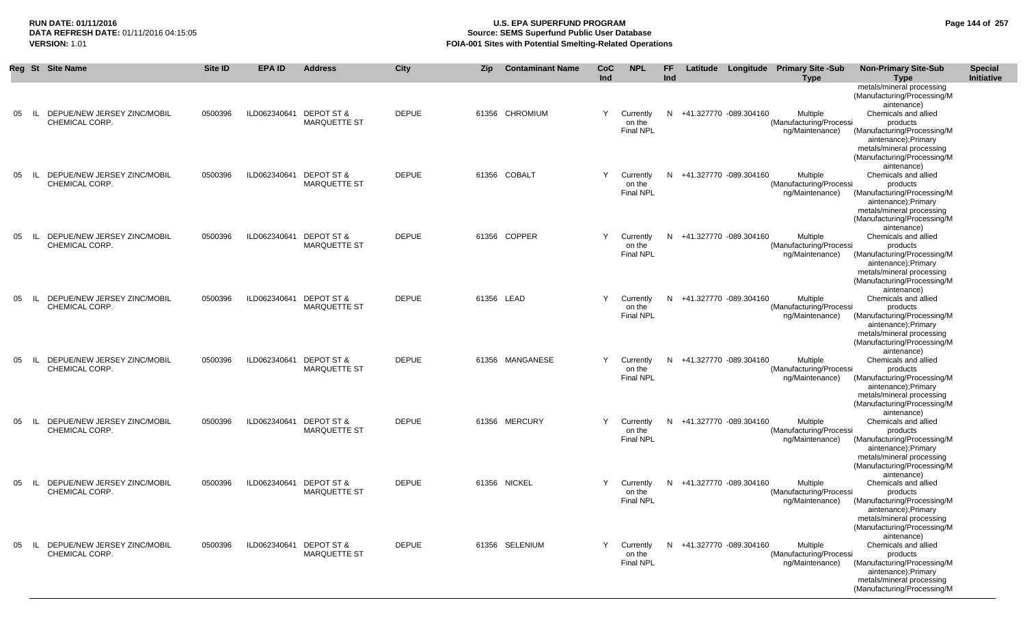# **RUN DATE: 01/11/2016 U.S. EPA SUPERFUND PROGRAM Page 144 of 257 Source: SEMS Superfund Public User Database VERSION:** 1.01 **FOIA-001 Sites with Potential Smelting-Related Operations**

|    |        | Reg St Site Name                              | Site ID | <b>EPA ID</b>           | <b>Address</b>                               | City         | <b>Zip</b> | <b>Contaminant Name</b> | CoC<br>Ind | <b>NPL</b>                              | <b>FF</b><br>Ind |                          | Latitude Longitude Primary Site -Sub<br><b>Type</b>    | <b>Non-Primary Site-Sub</b><br><b>Type</b>                                                                                                                         | <b>Special</b><br>Initiative |
|----|--------|-----------------------------------------------|---------|-------------------------|----------------------------------------------|--------------|------------|-------------------------|------------|-----------------------------------------|------------------|--------------------------|--------------------------------------------------------|--------------------------------------------------------------------------------------------------------------------------------------------------------------------|------------------------------|
|    |        |                                               |         |                         |                                              |              |            |                         |            |                                         |                  |                          |                                                        | metals/mineral processing<br>(Manufacturing/Processing/M<br>aintenance)                                                                                            |                              |
| 05 | IL     | DEPUE/NEW JERSEY ZINC/MOBIL<br>CHEMICAL CORP. | 0500396 | ILD062340641            | <b>DEPOT ST &amp;</b><br><b>MARQUETTE ST</b> | <b>DEPUE</b> |            | 61356 CHROMIUM          | Y          | Currently<br>on the<br><b>Final NPL</b> | N.               | +41.327770 -089.304160   | Multiple<br>(Manufacturing/Processi<br>ng/Maintenance) | Chemicals and allied<br>products<br>(Manufacturing/Processing/M<br>aintenance);Primary<br>metals/mineral processing<br>(Manufacturing/Processing/M<br>aintenance)  |                              |
| 05 | IL     | DEPUE/NEW JERSEY ZINC/MOBIL<br>CHEMICAL CORP. | 0500396 | ILD062340641            | <b>DEPOT ST &amp;</b><br><b>MARQUETTE ST</b> | <b>DEPUE</b> |            | 61356 COBALT            | Y          | Currently<br>on the<br><b>Final NPL</b> | N                | +41.327770 -089.304160   | Multiple<br>(Manufacturing/Processi<br>ng/Maintenance) | Chemicals and allied<br>products<br>(Manufacturing/Processing/M<br>aintenance);Primary<br>metals/mineral processing<br>(Manufacturing/Processing/M<br>aintenance)  |                              |
| 05 | IL     | DEPUE/NEW JERSEY ZINC/MOBIL<br>CHEMICAL CORP. | 0500396 | ILD062340641            | <b>DEPOT ST &amp;</b><br><b>MARQUETTE ST</b> | <b>DEPUE</b> |            | 61356 COPPER            | Y          | Currently<br>on the<br><b>Final NPL</b> | N                | +41.327770 -089.304160   | Multiple<br>(Manufacturing/Processi<br>ng/Maintenance) | Chemicals and allied<br>products<br>(Manufacturing/Processing/M<br>aintenance);Primary<br>metals/mineral processing<br>(Manufacturing/Processing/M<br>aintenance)  |                              |
| 05 | IL     | DEPUE/NEW JERSEY ZINC/MOBIL<br>CHEMICAL CORP. | 0500396 | ILD062340641            | DEPOT ST &<br><b>MARQUETTE ST</b>            | <b>DEPUE</b> |            | 61356 LEAD              | Y          | Currently<br>on the<br>Final NPL        | N                | +41.327770 -089.304160   | Multiple<br>(Manufacturing/Processi<br>ng/Maintenance) | Chemicals and allied<br>products<br>(Manufacturing/Processing/M<br>aintenance);Primary<br>metals/mineral processing<br>(Manufacturing/Processing/M<br>aintenance)  |                              |
| 05 | IL     | DEPUE/NEW JERSEY ZINC/MOBIL<br>CHEMICAL CORP. | 0500396 | ILD062340641            | <b>DEPOT ST &amp;</b><br><b>MARQUETTE ST</b> | <b>DEPUE</b> |            | 61356 MANGANESE         | Y          | Currently<br>on the<br><b>Final NPL</b> | N                | +41.327770 -089.304160   | Multiple<br>(Manufacturing/Processi<br>ng/Maintenance) | Chemicals and allied<br>products<br>(Manufacturing/Processing/M<br>aintenance); Primary<br>metals/mineral processing<br>(Manufacturing/Processing/M<br>aintenance) |                              |
| 05 | IL     | DEPUE/NEW JERSEY ZINC/MOBIL<br>CHEMICAL CORP. | 0500396 | ILD062340641            | <b>DEPOT ST &amp;</b><br><b>MARQUETTE ST</b> | <b>DEPUE</b> |            | 61356 MERCURY           | Y          | Currently<br>on the<br><b>Final NPL</b> | N                | +41.327770 -089.304160   | Multiple<br>(Manufacturing/Processi<br>ng/Maintenance) | Chemicals and allied<br>products<br>(Manufacturing/Processing/M<br>aintenance); Primary<br>metals/mineral processing<br>(Manufacturing/Processing/M<br>aintenance) |                              |
| 05 | IL     | DEPUE/NEW JERSEY ZINC/MOBIL<br>CHEMICAL CORP. | 0500396 | ILD062340641 DEPOT ST & | <b>MARQUETTE ST</b>                          | <b>DEPUE</b> |            | 61356 NICKEL            | Y          | Currently<br>on the<br><b>Final NPL</b> | N                | +41.327770 -089.304160   | Multiple<br>(Manufacturing/Processi<br>ng/Maintenance) | Chemicals and allied<br>products<br>(Manufacturing/Processing/M<br>aintenance);Primary<br>metals/mineral processing<br>(Manufacturing/Processing/M<br>aintenance)  |                              |
| 05 | - IL - | DEPUE/NEW JERSEY ZINC/MOBIL<br>CHEMICAL CORP. | 0500396 | ILD062340641 DEPOT ST & | <b>MARQUETTE ST</b>                          | <b>DEPUE</b> |            | 61356 SELENIUM          | Y.         | Currently<br>on the<br>Final NPL        |                  | N +41.327770 -089.304160 | Multiple<br>(Manufacturing/Processi<br>ng/Maintenance) | Chemicals and allied<br>products<br>(Manufacturing/Processing/M<br>aintenance); Primary<br>metals/mineral processing<br>(Manufacturing/Processing/M                |                              |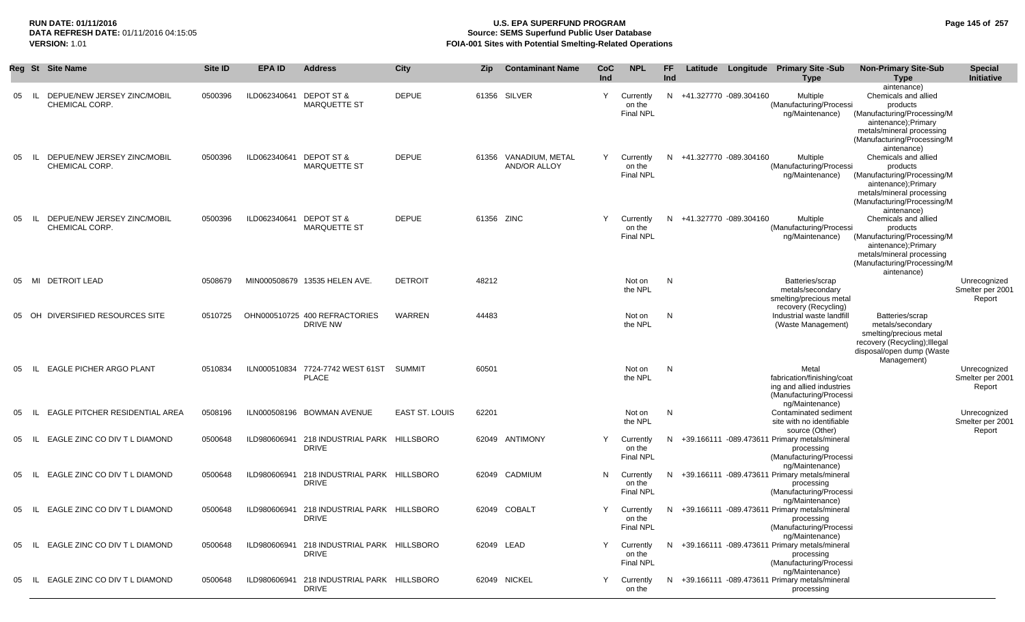#### **RUN DATE: 01/11/2016 U.S. EPA SUPERFUND PROGRAM Page 145 of 257 Source: SEMS Superfund Public User Database VERSION:** 1.01 **FOIA-001 Sites with Potential Smelting-Related Operations**

|    | Reg St Site Name                                      | Site ID | <b>EPA ID</b>           | <b>Address</b>                                             | City                  | <b>Zip</b> | <b>Contaminant Name</b>                      | <b>CoC</b><br>Ind | <b>NPL</b>                              | FF.<br>Ind |                          | Latitude Longitude Primary Site -Sub<br><b>Type</b>                                                            | <b>Non-Primary Site-Sub</b><br><b>Type</b>                                                                                                                                       | <b>Special</b><br>Initiative               |
|----|-------------------------------------------------------|---------|-------------------------|------------------------------------------------------------|-----------------------|------------|----------------------------------------------|-------------------|-----------------------------------------|------------|--------------------------|----------------------------------------------------------------------------------------------------------------|----------------------------------------------------------------------------------------------------------------------------------------------------------------------------------|--------------------------------------------|
| 05 | DEPUE/NEW JERSEY ZINC/MOBIL<br>CHEMICAL CORP.         | 0500396 | ILD062340641            | <b>DEPOT ST &amp;</b><br><b>MARQUETTE ST</b>               | <b>DEPUE</b>          |            | 61356 SILVER                                 | Y                 | Currently<br>on the<br><b>Final NPL</b> |            | N +41.327770 -089.304160 | Multiple<br>(Manufacturing/Processi<br>ng/Maintenance)                                                         | aintenance)<br>Chemicals and allied<br>products<br>(Manufacturing/Processing/M<br>aintenance); Primary<br>metals/mineral processing<br>(Manufacturing/Processing/M               |                                            |
| 05 | DEPUE/NEW JERSEY ZINC/MOBIL<br>- IL<br>CHEMICAL CORP. | 0500396 | ILD062340641 DEPOT ST & | <b>MARQUETTE ST</b>                                        | <b>DEPUE</b>          |            | 61356 VANADIUM, METAL<br><b>AND/OR ALLOY</b> | Y                 | Currently<br>on the<br><b>Final NPL</b> |            | N +41.327770 -089.304160 | <b>Multiple</b><br>(Manufacturing/Processi<br>ng/Maintenance)                                                  | aintenance)<br>Chemicals and allied<br>products<br>(Manufacturing/Processing/M<br>aintenance);Primary<br>metals/mineral processing<br>(Manufacturing/Processing/M<br>aintenance) |                                            |
| 05 | DEPUE/NEW JERSEY ZINC/MOBIL<br>- IL<br>CHEMICAL CORP. | 0500396 | ILD062340641 DEPOT ST & | <b>MARQUETTE ST</b>                                        | <b>DEPUE</b>          | 61356 ZINC |                                              | Y                 | Currently<br>on the<br><b>Final NPL</b> |            | N +41.327770 -089.304160 | Multiple<br>(Manufacturing/Processi<br>ng/Maintenance)                                                         | Chemicals and allied<br>products<br>(Manufacturing/Processing/M<br>aintenance); Primary<br>metals/mineral processing<br>(Manufacturing/Processing/M<br>aintenance)               |                                            |
| 05 | MI DETROIT LEAD                                       | 0508679 |                         | MIN000508679 13535 HELEN AVE.                              | <b>DETROIT</b>        | 48212      |                                              |                   | Not on<br>the NPL                       | N          |                          | Batteries/scrap<br>metals/secondary<br>smelting/precious metal<br>recovery (Recycling)                         |                                                                                                                                                                                  | Unrecognized<br>Smelter per 2001<br>Report |
| 05 | OH DIVERSIFIED RESOURCES SITE                         | 0510725 |                         | OHN000510725 400 REFRACTORIES<br>DRIVE NW                  | WARREN                | 44483      |                                              |                   | Not on<br>the NPL                       | N          |                          | Industrial waste landfill<br>(Waste Management)                                                                | Batteries/scrap<br>metals/secondary<br>smelting/precious metal<br>recovery (Recycling); Illegal<br>disposal/open dump (Waste<br>Management)                                      |                                            |
| 05 | <b>EAGLE PICHER ARGO PLANT</b><br>- IL                | 0510834 |                         | ILN000510834 7724-7742 WEST 61ST<br>PLACE                  | SUMMIT                | 60501      |                                              |                   | Not on<br>the NPL                       | N          |                          | Metal<br>fabrication/finishing/coat<br>ing and allied industries<br>(Manufacturing/Processi<br>ng/Maintenance) |                                                                                                                                                                                  | Unrecognized<br>Smelter per 2001<br>Report |
| 05 | EAGLE PITCHER RESIDENTIAL AREA<br>- IL                | 0508196 |                         | ILN000508196 BOWMAN AVENUE                                 | <b>EAST ST. LOUIS</b> | 62201      |                                              |                   | Not on<br>the NPL                       | N          |                          | Contaminated sediment<br>site with no identifiable<br>source (Other)                                           |                                                                                                                                                                                  | Unrecognized<br>Smelter per 2001<br>Report |
| 05 | EAGLE ZINC CO DIV T L DIAMOND<br>- IL                 | 0500648 | ILD980606941            | 218 INDUSTRIAL PARK HILLSBORO<br><b>DRIVE</b>              |                       |            | 62049 ANTIMONY                               | Y                 | Currently<br>on the<br><b>Final NPL</b> | N.         |                          | +39.166111 -089.473611 Primary metals/mineral<br>processing<br>(Manufacturing/Processi<br>ng/Maintenance)      |                                                                                                                                                                                  |                                            |
| 05 | EAGLE ZINC CO DIV T L DIAMOND<br>-IL.                 | 0500648 |                         | ILD980606941 218 INDUSTRIAL PARK HILLSBORO<br><b>DRIVE</b> |                       |            | 62049 CADMIUM                                | N                 | Currently<br>on the<br><b>Final NPL</b> |            |                          | N +39.166111 -089.473611 Primary metals/mineral<br>processing<br>(Manufacturing/Processi<br>ng/Maintenance)    |                                                                                                                                                                                  |                                            |
| 05 | EAGLE ZINC CO DIV T L DIAMOND<br>- IL I               | 0500648 |                         | ILD980606941 218 INDUSTRIAL PARK HILLSBORO<br>DRIVE        |                       |            | 62049 COBALT                                 | Y                 | Currently<br>on the<br><b>Final NPL</b> |            |                          | N +39.166111 -089.473611 Primary metals/mineral<br>processing<br>(Manufacturing/Processi<br>ng/Maintenance)    |                                                                                                                                                                                  |                                            |
| 05 | IL EAGLE ZINC CO DIV T L DIAMOND                      | 0500648 |                         | ILD980606941 218 INDUSTRIAL PARK HILLSBORO<br><b>DRIVE</b> |                       | 62049 LEAD |                                              | Y                 | Currently<br>on the<br>Final NPL        |            |                          | N +39.166111 -089.473611 Primary metals/mineral<br>processing<br>(Manufacturing/Processi<br>ng/Maintenance)    |                                                                                                                                                                                  |                                            |
| 05 | IL EAGLE ZINC CO DIV T L DIAMOND                      | 0500648 |                         | ILD980606941 218 INDUSTRIAL PARK HILLSBORO<br>DRIVE        |                       |            | 62049 NICKEL                                 | Y                 | Currently<br>on the                     |            |                          | N +39.166111 -089.473611 Primary metals/mineral<br>processing                                                  |                                                                                                                                                                                  |                                            |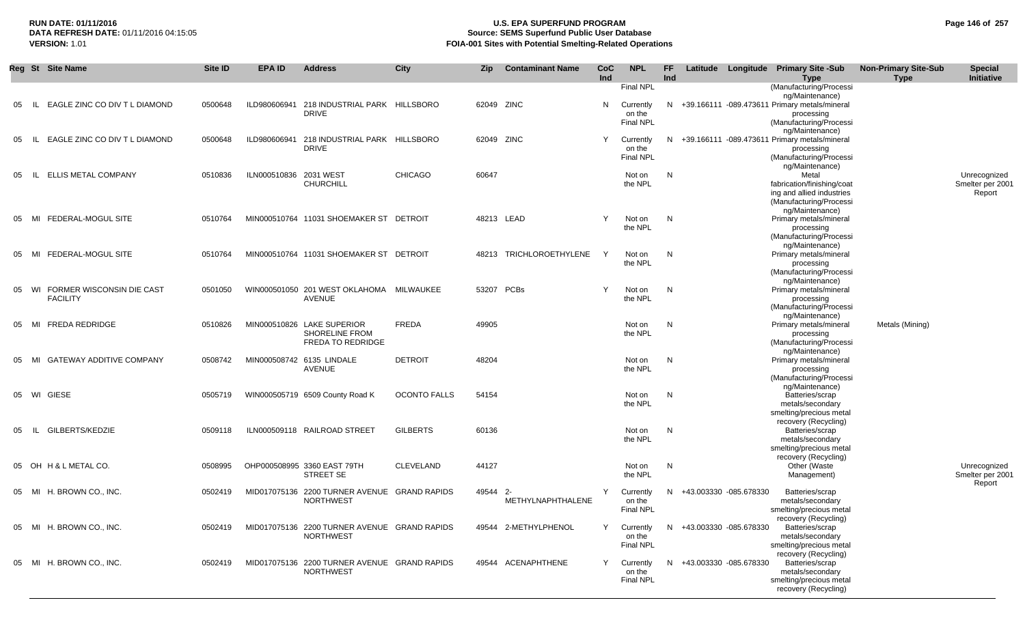## **RUN DATE: 01/11/2016 U.S. EPA SUPERFUND PROGRAM Page 146 of 257** DATA REFRESH DATE: 01/11/2016 04:15:05<br>**VERSION: 1.01** Source: SEMS Superfund Public User Database<br>FOIA-001 Sites with Potential Smelting-Related Operat **VERSION:** 1.01 **FOIA-001 Sites with Potential Smelting-Related Operations**

|    | Reg St Site Name                                | Site ID | <b>EPA ID</b>          | <b>Address</b>                                                   | <b>City</b>         | <b>Zip</b> | <b>Contaminant Name</b> | CoC<br>Ind | <b>NPL</b>          | FF.<br><b>Ind</b> |                          | Latitude Longitude Primary Site -Sub<br>Type                       | <b>Non-Primary Site-Sub</b><br><b>Type</b> | <b>Special</b><br>Initiative |
|----|-------------------------------------------------|---------|------------------------|------------------------------------------------------------------|---------------------|------------|-------------------------|------------|---------------------|-------------------|--------------------------|--------------------------------------------------------------------|--------------------------------------------|------------------------------|
|    |                                                 |         |                        |                                                                  |                     |            |                         |            | <b>Final NPL</b>    |                   |                          | (Manufacturing/Processi                                            |                                            |                              |
| 05 | EAGLE ZINC CO DIV T L DIAMOND<br>- IL           | 0500648 | ILD980606941           | 218 INDUSTRIAL PARK HILLSBORO                                    |                     |            | 62049 ZINC              | N          | Currently           |                   |                          | ng/Maintenance)<br>N +39.166111 -089.473611 Primary metals/mineral |                                            |                              |
|    |                                                 |         |                        | <b>DRIVE</b>                                                     |                     |            |                         |            | on the              |                   |                          | processing                                                         |                                            |                              |
|    |                                                 |         |                        |                                                                  |                     |            |                         |            | <b>Final NPL</b>    |                   |                          | (Manufacturing/Processi                                            |                                            |                              |
| 05 | EAGLE ZINC CO DIV T L DIAMOND<br>-IL.           | 0500648 | ILD980606941           | 218 INDUSTRIAL PARK HILLSBORO                                    |                     |            | 62049 ZINC              | Y          | Currently           |                   |                          | ng/Maintenance)<br>N +39.166111 -089.473611 Primary metals/mineral |                                            |                              |
|    |                                                 |         |                        | <b>DRIVE</b>                                                     |                     |            |                         |            | on the              |                   |                          | processing                                                         |                                            |                              |
|    |                                                 |         |                        |                                                                  |                     |            |                         |            | <b>Final NPL</b>    |                   |                          | (Manufacturing/Processi<br>ng/Maintenance)                         |                                            |                              |
| 05 | <b>ELLIS METAL COMPANY</b><br>IL.               | 0510836 | ILN000510836 2031 WEST |                                                                  | <b>CHICAGO</b>      | 60647      |                         |            | Not on              | N                 |                          | Metal                                                              |                                            | Unrecognized                 |
|    |                                                 |         |                        | <b>CHURCHILL</b>                                                 |                     |            |                         |            | the NPL             |                   |                          | fabrication/finishing/coat                                         |                                            | Smelter per 2001             |
|    |                                                 |         |                        |                                                                  |                     |            |                         |            |                     |                   |                          | ing and allied industries<br>(Manufacturing/Processi               |                                            | Report                       |
|    |                                                 |         |                        |                                                                  |                     |            |                         |            |                     |                   |                          | ng/Maintenance)                                                    |                                            |                              |
| 05 | FEDERAL-MOGUL SITE<br>MI                        | 0510764 |                        | MIN000510764 11031 SHOEMAKER ST DETROIT                          |                     |            | 48213 LEAD              | Y          | Not on              | N                 |                          | Primary metals/mineral                                             |                                            |                              |
|    |                                                 |         |                        |                                                                  |                     |            |                         |            | the NPL             |                   |                          | processing<br>(Manufacturing/Processi                              |                                            |                              |
|    |                                                 |         |                        |                                                                  |                     |            |                         |            |                     |                   |                          | ng/Maintenance)                                                    |                                            |                              |
| 05 | FEDERAL-MOGUL SITE<br>MI                        | 0510764 |                        | MIN000510764 11031 SHOEMAKER ST DETROIT                          |                     | 48213      | TRICHLOROETHYLENE       | Y          | Not on              | N                 |                          | Primary metals/mineral                                             |                                            |                              |
|    |                                                 |         |                        |                                                                  |                     |            |                         |            | the NPL             |                   |                          | processing<br>(Manufacturing/Processi                              |                                            |                              |
|    |                                                 |         |                        |                                                                  |                     |            |                         |            |                     |                   |                          | ng/Maintenance)                                                    |                                            |                              |
| 05 | WI FORMER WISCONSIN DIE CAST<br><b>FACILITY</b> | 0501050 |                        | WIN000501050 201 WEST OKLAHOMA MILWAUKEE<br><b>AVENUE</b>        |                     |            | 53207 PCBs              | Y          | Not on<br>the NPL   | N                 |                          | Primary metals/mineral<br>processing                               |                                            |                              |
|    |                                                 |         |                        |                                                                  |                     |            |                         |            |                     |                   |                          | (Manufacturing/Processi                                            |                                            |                              |
|    |                                                 |         |                        |                                                                  |                     |            |                         |            |                     |                   |                          | ng/Maintenance)                                                    |                                            |                              |
| 05 | <b>FREDA REDRIDGE</b><br>MI                     | 0510826 |                        | MIN000510826 LAKE SUPERIOR<br><b>SHORELINE FROM</b>              | <b>FREDA</b>        | 49905      |                         |            | Not on<br>the NPL   | N                 |                          | Primary metals/mineral<br>processing                               | Metals (Mining)                            |                              |
|    |                                                 |         |                        | <b>FREDA TO REDRIDGE</b>                                         |                     |            |                         |            |                     |                   |                          | (Manufacturing/Processi                                            |                                            |                              |
|    |                                                 |         |                        |                                                                  |                     |            |                         |            |                     |                   |                          | ng/Maintenance)                                                    |                                            |                              |
| 05 | <b>GATEWAY ADDITIVE COMPANY</b><br>MI           | 0508742 |                        | MIN000508742 6135 LINDALE<br><b>AVENUE</b>                       | <b>DETROIT</b>      | 48204      |                         |            | Not on<br>the NPL   | N                 |                          | Primary metals/mineral<br>processing                               |                                            |                              |
|    |                                                 |         |                        |                                                                  |                     |            |                         |            |                     |                   |                          | (Manufacturing/Processi                                            |                                            |                              |
|    |                                                 |         |                        |                                                                  |                     |            |                         |            |                     |                   |                          | ng/Maintenance)                                                    |                                            |                              |
|    | 05 WI GIESE                                     | 0505719 |                        | WIN000505719 6509 County Road K                                  | <b>OCONTO FALLS</b> | 54154      |                         |            | Not on<br>the NPL   | N                 |                          | Batteries/scrap<br>metals/secondary                                |                                            |                              |
|    |                                                 |         |                        |                                                                  |                     |            |                         |            |                     |                   |                          | smelting/precious metal                                            |                                            |                              |
| 05 | GILBERTS/KEDZIE<br>- IL                         | 0509118 |                        | ILN000509118 RAILROAD STREET                                     | <b>GILBERTS</b>     | 60136      |                         |            | Not on              | N                 |                          | recovery (Recycling)<br>Batteries/scrap                            |                                            |                              |
|    |                                                 |         |                        |                                                                  |                     |            |                         |            | the NPL             |                   |                          | metals/secondary                                                   |                                            |                              |
|    |                                                 |         |                        |                                                                  |                     |            |                         |            |                     |                   |                          | smelting/precious metal                                            |                                            |                              |
|    | 05 OH H & L METAL CO.                           | 0508995 |                        | OHP000508995 3360 EAST 79TH                                      | <b>CLEVELAND</b>    | 44127      |                         |            | Not on              | N                 |                          | recovery (Recycling)<br>Other (Waste                               |                                            | Unrecognized                 |
|    |                                                 |         |                        | STREET SE                                                        |                     |            |                         |            | the NPL             |                   |                          | Management)                                                        |                                            | Smelter per 2001             |
|    |                                                 |         |                        |                                                                  |                     | 49544 2-   |                         | Y          |                     |                   |                          |                                                                    |                                            | Report                       |
|    | 05 MI H. BROWN CO., INC.                        | 0502419 |                        | MID017075136 2200 TURNER AVENUE GRAND RAPIDS<br><b>NORTHWEST</b> |                     |            | METHYLNAPHTHALENE       |            | Currently<br>on the |                   | N +43.003330 -085.678330 | Batteries/scrap<br>metals/secondary                                |                                            |                              |
|    |                                                 |         |                        |                                                                  |                     |            |                         |            | <b>Final NPL</b>    |                   |                          | smelting/precious metal                                            |                                            |                              |
|    | 05 MI H. BROWN CO., INC.                        | 0502419 |                        | MID017075136 2200 TURNER AVENUE GRAND RAPIDS                     |                     |            | 49544 2-METHYLPHENOL    | Y          | Currently           |                   | N +43.003330 -085.678330 | recovery (Recycling)<br>Batteries/scrap                            |                                            |                              |
|    |                                                 |         |                        | <b>NORTHWEST</b>                                                 |                     |            |                         |            | on the              |                   |                          | metals/secondary                                                   |                                            |                              |
|    |                                                 |         |                        |                                                                  |                     |            |                         |            | <b>Final NPL</b>    |                   |                          | smelting/precious metal                                            |                                            |                              |
|    | 05 MI H. BROWN CO., INC.                        | 0502419 |                        | MID017075136 2200 TURNER AVENUE GRAND RAPIDS                     |                     |            | 49544 ACENAPHTHENE      | Y          | Currently           |                   | N +43.003330 -085.678330 | recovery (Recycling)<br>Batteries/scrap                            |                                            |                              |
|    |                                                 |         |                        | <b>NORTHWEST</b>                                                 |                     |            |                         |            | on the              |                   |                          | metals/secondary                                                   |                                            |                              |
|    |                                                 |         |                        |                                                                  |                     |            |                         |            | <b>Final NPL</b>    |                   |                          | smelting/precious metal                                            |                                            |                              |
|    |                                                 |         |                        |                                                                  |                     |            |                         |            |                     |                   |                          | recovery (Recycling)                                               |                                            |                              |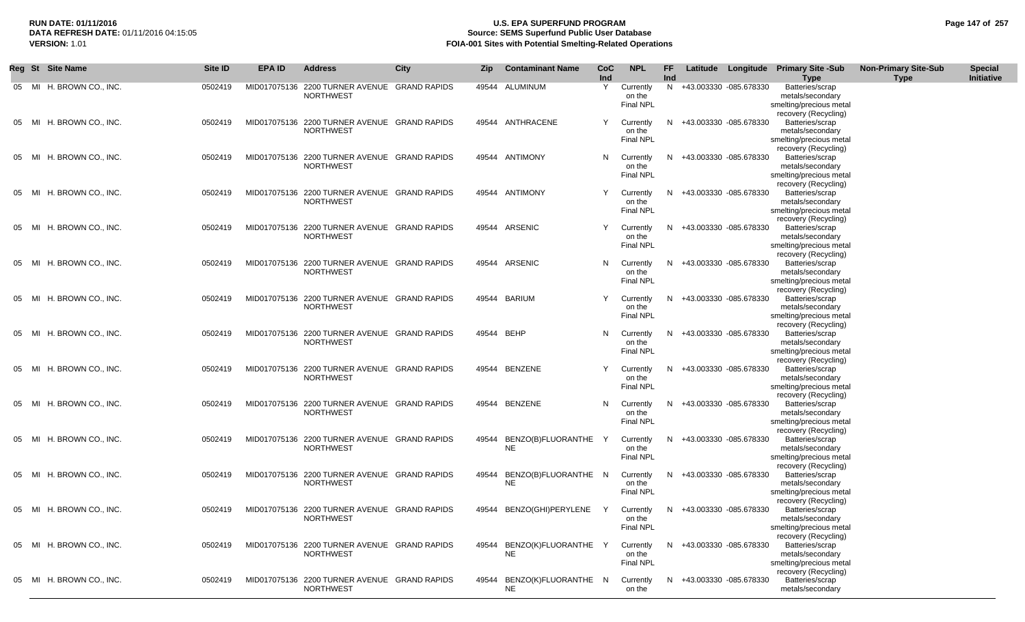## **RUN DATE: 01/11/2016 U.S. EPA SUPERFUND PROGRAM Page 147 of 257 Source: SEMS Superfund Public User Database VERSION:** 1.01 **FOIA-001 Sites with Potential Smelting-Related Operations**

|       | Reg St Site Name         | Site ID | <b>EPA ID</b> | <b>Address</b>                                                   | City | Zip        | <b>Contaminant Name</b>    | <b>CoC</b><br>Ind | <b>NPL</b>                              | FF.<br>Ind |                          | Latitude Longitude Primary Site -Sub<br><b>Type</b>                                                            | <b>Non-Primary Site-Sub</b><br><b>Type</b> | <b>Special</b><br>Initiative |
|-------|--------------------------|---------|---------------|------------------------------------------------------------------|------|------------|----------------------------|-------------------|-----------------------------------------|------------|--------------------------|----------------------------------------------------------------------------------------------------------------|--------------------------------------------|------------------------------|
|       | 05 MI H. BROWN CO., INC. | 0502419 |               | MID017075136 2200 TURNER AVENUE GRAND RAPIDS<br><b>NORTHWEST</b> |      | 49544      | ALUMINUM                   | Y                 | Currently<br>on the<br><b>Final NPL</b> |            | N +43.003330 -085.678330 | Batteries/scrap<br>metals/secondary<br>smelting/precious metal<br>recovery (Recycling)                         |                                            |                              |
| 05 MI | H. BROWN CO., INC.       | 0502419 |               | MID017075136 2200 TURNER AVENUE GRAND RAPIDS<br><b>NORTHWEST</b> |      |            | 49544 ANTHRACENE           | Y                 | Currently<br>on the<br><b>Final NPL</b> | N.         | +43.003330 -085.678330   | Batteries/scrap<br>metals/secondary<br>smelting/precious metal<br>recovery (Recycling)                         |                                            |                              |
| 05 MI | H. BROWN CO., INC.       | 0502419 |               | MID017075136 2200 TURNER AVENUE GRAND RAPIDS<br><b>NORTHWEST</b> |      |            | 49544 ANTIMONY             | N                 | Currently<br>on the<br><b>Final NPL</b> | N.         | +43.003330 -085.678330   | Batteries/scrap<br>metals/secondary<br>smelting/precious metal<br>recovery (Recycling)                         |                                            |                              |
| 05 MI | H. BROWN CO., INC.       | 0502419 |               | MID017075136 2200 TURNER AVENUE GRAND RAPIDS<br><b>NORTHWEST</b> |      |            | 49544 ANTIMONY             | Y                 | Currently<br>on the<br><b>Final NPL</b> | N.         | +43.003330 -085.678330   | Batteries/scrap<br>metals/secondary<br>smelting/precious metal<br>recovery (Recycling)                         |                                            |                              |
| 05 MI | H. BROWN CO., INC.       | 0502419 |               | MID017075136 2200 TURNER AVENUE GRAND RAPIDS<br><b>NORTHWEST</b> |      |            | 49544 ARSENIC              | Y                 | Currently<br>on the<br>Final NPL        |            | N +43.003330 -085.678330 | Batteries/scrap<br>metals/secondary<br>smelting/precious metal<br>recovery (Recycling)                         |                                            |                              |
| 05 MI | H. BROWN CO., INC.       | 0502419 |               | MID017075136 2200 TURNER AVENUE GRAND RAPIDS<br><b>NORTHWEST</b> |      |            | 49544 ARSENIC              | N                 | Currently<br>on the<br>Final NPL        | N.         | +43.003330 -085.678330   | Batteries/scrap<br>metals/secondary<br>smelting/precious metal<br>recovery (Recycling)                         |                                            |                              |
| 05 MI | H. BROWN CO., INC.       | 0502419 |               | MID017075136 2200 TURNER AVENUE GRAND RAPIDS<br><b>NORTHWEST</b> |      |            | 49544 BARIUM               | Y                 | Currently<br>on the<br><b>Final NPL</b> | N.         | +43.003330 -085.678330   | Batteries/scrap<br>metals/secondary<br>smelting/precious metal<br>recovery (Recycling)                         |                                            |                              |
| 05 MI | H. BROWN CO., INC.       | 0502419 |               | MID017075136 2200 TURNER AVENUE GRAND RAPIDS<br><b>NORTHWEST</b> |      | 49544 BEHP |                            | N                 | Currently<br>on the<br><b>Final NPL</b> | N.         | +43.003330 -085.678330   | Batteries/scrap<br>metals/secondary<br>smelting/precious metal<br>recovery (Recycling)                         |                                            |                              |
| 05 MI | H. BROWN CO., INC.       | 0502419 |               | MID017075136 2200 TURNER AVENUE GRAND RAPIDS<br><b>NORTHWEST</b> |      |            | 49544 BENZENE              | Y                 | Currently<br>on the<br><b>Final NPL</b> | N.         | +43.003330 -085.678330   | Batteries/scrap<br>metals/secondary<br>smelting/precious metal                                                 |                                            |                              |
| 05 MI | H. BROWN CO., INC.       | 0502419 |               | MID017075136 2200 TURNER AVENUE GRAND RAPIDS<br><b>NORTHWEST</b> |      |            | 49544 BENZENE              | N                 | Currently<br>on the<br><b>Final NPL</b> | N          | +43.003330 -085.678330   | recovery (Recycling)<br>Batteries/scrap<br>metals/secondary<br>smelting/precious metal                         |                                            |                              |
| 05 MI | H. BROWN CO., INC.       | 0502419 |               | MID017075136 2200 TURNER AVENUE GRAND RAPIDS<br><b>NORTHWEST</b> |      | 49544      | BENZO(B)FLUORANTHE Y<br>NE |                   | Currently<br>on the<br><b>Final NPL</b> | N.         | +43.003330 -085.678330   | recovery (Recycling)<br>Batteries/scrap<br>metals/secondary<br>smelting/precious metal<br>recovery (Recycling) |                                            |                              |
| 05 MI | H. BROWN CO., INC.       | 0502419 |               | MID017075136 2200 TURNER AVENUE GRAND RAPIDS<br><b>NORTHWEST</b> |      | 49544      | BENZO(B)FLUORANTHE N<br>NE |                   | Currently<br>on the<br><b>Final NPL</b> | N.         | +43.003330 -085.678330   | Batteries/scrap<br>metals/secondary<br>smelting/precious metal<br>recovery (Recycling)                         |                                            |                              |
|       | 05 MI H. BROWN CO., INC. | 0502419 |               | MID017075136 2200 TURNER AVENUE GRAND RAPIDS<br><b>NORTHWEST</b> |      |            | 49544 BENZO(GHI)PERYLENE   | Y                 | Currently<br>on the<br><b>Final NPL</b> |            | N +43.003330 -085.678330 | Batteries/scrap<br>metals/secondary<br>smelting/precious metal<br>recovery (Recycling)                         |                                            |                              |
|       | 05 MI H. BROWN CO., INC. | 0502419 |               | MID017075136 2200 TURNER AVENUE GRAND RAPIDS<br><b>NORTHWEST</b> |      | 49544      | BENZO(K)FLUORANTHE Y<br>NE |                   | Currently<br>on the<br><b>Final NPL</b> |            | N +43.003330 -085.678330 | Batteries/scrap<br>metals/secondary<br>smelting/precious metal<br>recovery (Recycling)                         |                                            |                              |
|       | 05 MI H. BROWN CO., INC. | 0502419 |               | MID017075136 2200 TURNER AVENUE GRAND RAPIDS<br><b>NORTHWEST</b> |      | 49544      | BENZO(K)FLUORANTHE N<br>NE |                   | Currently<br>on the                     |            | N +43.003330 -085.678330 | Batteries/scrap<br>metals/secondary                                                                            |                                            |                              |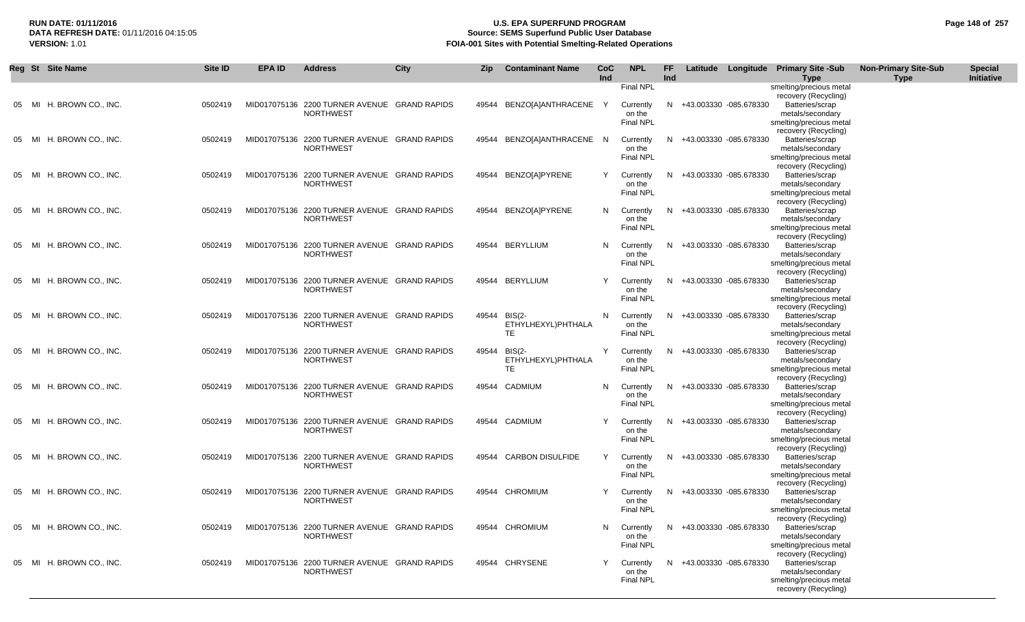## **RUN DATE: 01/11/2016 U.S. EPA SUPERFUND PROGRAM Page 148 of 257 Source: SEMS Superfund Public User Database VERSION:** 1.01 **FOIA-001 Sites with Potential Smelting-Related Operations**

|       | Reg St Site Name         | <b>Site ID</b> | <b>EPA ID</b> | <b>Address</b>                                                   | <b>City</b> | Zip   | <b>Contaminant Name</b>                    | <b>CoC</b><br>Ind | <b>NPL</b>                                    | FF<br>Ind |                          | Latitude Longitude Primary Site -Sub<br><b>Type</b>                                                               | <b>Non-Primary Site-Sub</b><br><b>Type</b> | <b>Special</b><br>Initiative |
|-------|--------------------------|----------------|---------------|------------------------------------------------------------------|-------------|-------|--------------------------------------------|-------------------|-----------------------------------------------|-----------|--------------------------|-------------------------------------------------------------------------------------------------------------------|--------------------------------------------|------------------------------|
| 05 MI | H. BROWN CO., INC.       | 0502419        |               | MID017075136 2200 TURNER AVENUE GRAND RAPIDS<br><b>NORTHWEST</b> |             |       | 49544 BENZO[A]ANTHRACENE                   | Y                 | <b>Final NPL</b><br>Currently<br>on the       | N.        | +43.003330 -085.678330   | smelting/precious metal<br>recovery (Recycling)<br>Batteries/scrap<br>metals/secondary                            |                                            |                              |
| 05 MI | H. BROWN CO., INC.       | 0502419        |               | MID017075136 2200 TURNER AVENUE GRAND RAPIDS<br><b>NORTHWEST</b> |             |       | 49544 BENZO[A]ANTHRACENE N                 |                   | <b>Final NPL</b><br>Currently<br>on the       | N.        | +43.003330 -085.678330   | smelting/precious metal<br>recovery (Recycling)<br>Batteries/scrap<br>metals/secondary                            |                                            |                              |
| 05 MI | H. BROWN CO., INC.       | 0502419        |               | MID017075136 2200 TURNER AVENUE GRAND RAPIDS<br><b>NORTHWEST</b> |             |       | 49544 BENZO[A]PYRENE                       | Y                 | Final NPL<br>Currently<br>on the<br>Final NPL | N.        | +43.003330 -085.678330   | smelting/precious metal<br>recovery (Recycling)<br>Batteries/scrap<br>metals/secondary<br>smelting/precious metal |                                            |                              |
| 05 MI | H. BROWN CO., INC.       | 0502419        |               | MID017075136 2200 TURNER AVENUE GRAND RAPIDS<br><b>NORTHWEST</b> |             |       | 49544 BENZO[A]PYRENE                       | N                 | Currently<br>on the<br>Final NPL              | N         | +43.003330 -085.678330   | recovery (Recycling)<br>Batteries/scrap<br>metals/secondary<br>smelting/precious metal                            |                                            |                              |
| 05 MI | H. BROWN CO., INC.       | 0502419        |               | MID017075136 2200 TURNER AVENUE GRAND RAPIDS<br><b>NORTHWEST</b> |             |       | 49544 BERYLLIUM                            | N                 | Currently<br>on the<br><b>Final NPL</b>       | N         | +43.003330 -085.678330   | recovery (Recycling)<br>Batteries/scrap<br>metals/secondary<br>smelting/precious metal                            |                                            |                              |
| 05 MI | H. BROWN CO., INC.       | 0502419        |               | MID017075136 2200 TURNER AVENUE GRAND RAPIDS<br><b>NORTHWEST</b> |             |       | 49544 BERYLLIUM                            | Y                 | Currently<br>on the<br><b>Final NPL</b>       | N         | +43.003330 -085.678330   | recovery (Recycling)<br>Batteries/scrap<br>metals/secondary<br>smelting/precious metal                            |                                            |                              |
| 05 MI | H. BROWN CO., INC.       | 0502419        |               | MID017075136 2200 TURNER AVENUE GRAND RAPIDS<br><b>NORTHWEST</b> |             | 49544 | <b>BIS(2-</b><br>ETHYLHEXYL)PHTHALA<br>TE  | N                 | Currently<br>on the<br><b>Final NPL</b>       | N.        | +43.003330 -085.678330   | recovery (Recycling)<br>Batteries/scrap<br>metals/secondary<br>smelting/precious metal                            |                                            |                              |
| 05 MI | H. BROWN CO., INC.       | 0502419        |               | MID017075136 2200 TURNER AVENUE GRAND RAPIDS<br><b>NORTHWEST</b> |             | 49544 | <b>BIS(2-</b><br>ETHYLHEXYL)PHTHALA<br>TE. | Y                 | Currently<br>on the<br>Final NPL              | N.        | +43.003330 -085.678330   | recovery (Recycling)<br>Batteries/scrap<br>metals/secondary<br>smelting/precious metal                            |                                            |                              |
|       | 05 MI H. BROWN CO., INC. | 0502419        |               | MID017075136 2200 TURNER AVENUE GRAND RAPIDS<br><b>NORTHWEST</b> |             |       | 49544 CADMIUM                              | N                 | Currently<br>on the<br><b>Final NPL</b>       | N.        | +43.003330 -085.678330   | recovery (Recycling)<br>Batteries/scrap<br>metals/secondary<br>smelting/precious metal                            |                                            |                              |
| 05 MI | H. BROWN CO., INC.       | 0502419        |               | MID017075136 2200 TURNER AVENUE GRAND RAPIDS<br><b>NORTHWEST</b> |             |       | 49544 CADMIUM                              | Y                 | Currently<br>on the<br>Final NPL              | N         | +43.003330 -085.678330   | recovery (Recycling)<br>Batteries/scrap<br>metals/secondary<br>smelting/precious metal                            |                                            |                              |
| 05 MI | H. BROWN CO., INC.       | 0502419        |               | MID017075136 2200 TURNER AVENUE GRAND RAPIDS<br><b>NORTHWEST</b> |             |       | 49544 CARBON DISULFIDE                     | Y                 | Currently<br>on the<br>Final NPL              | N         | +43.003330 -085.678330   | recovery (Recycling)<br>Batteries/scrap<br>metals/secondary<br>smelting/precious metal                            |                                            |                              |
| 05 MI | H. BROWN CO., INC.       | 0502419        |               | MID017075136 2200 TURNER AVENUE GRAND RAPIDS<br><b>NORTHWEST</b> |             |       | 49544 CHROMIUM                             | Y                 | Currently<br>on the<br><b>Final NPL</b>       | N         | +43.003330 -085.678330   | recovery (Recycling)<br>Batteries/scrap<br>metals/secondary<br>smelting/precious metal                            |                                            |                              |
|       | 05 MI H. BROWN CO., INC. | 0502419        |               | MID017075136 2200 TURNER AVENUE GRAND RAPIDS<br><b>NORTHWEST</b> |             |       | 49544 CHROMIUM                             | N                 | Currently<br>on the<br>Final NPL              |           | N +43.003330 -085.678330 | recovery (Recycling)<br>Batteries/scrap<br>metals/secondary<br>smelting/precious metal                            |                                            |                              |
|       | 05 MI H. BROWN CO., INC. | 0502419        |               | MID017075136 2200 TURNER AVENUE GRAND RAPIDS<br><b>NORTHWEST</b> |             |       | 49544 CHRYSENE                             | Y                 | Currently<br>on the<br><b>Final NPL</b>       |           | N +43.003330 -085.678330 | recovery (Recycling)<br>Batteries/scrap<br>metals/secondary<br>smelting/precious metal<br>recovery (Recycling)    |                                            |                              |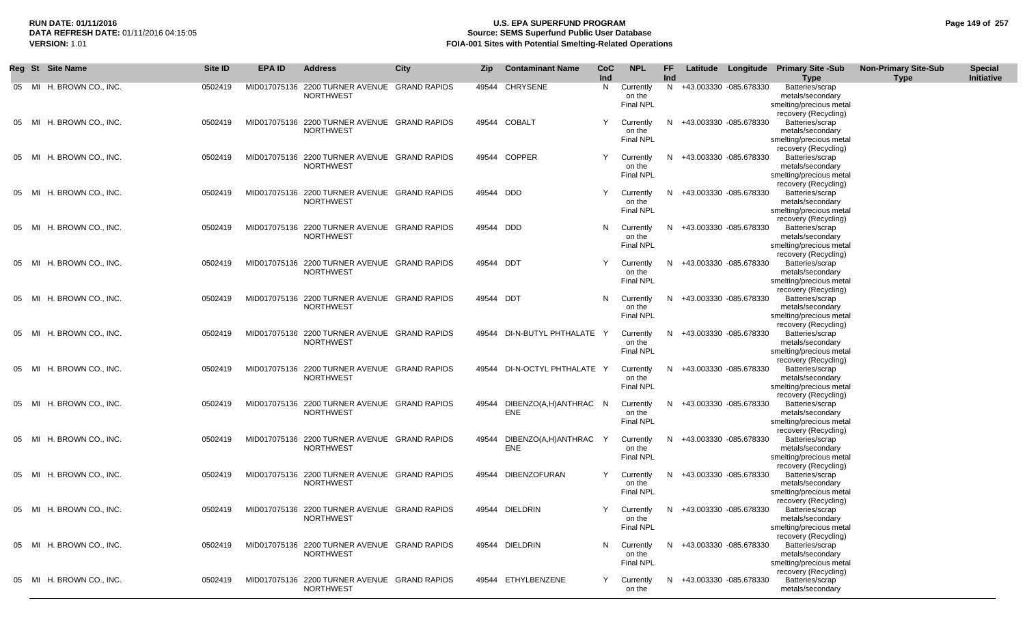## **RUN DATE: 01/11/2016 U.S. EPA SUPERFUND PROGRAM Page 149 of 257 Source: SEMS Superfund Public User Database VERSION:** 1.01 **FOIA-001 Sites with Potential Smelting-Related Operations**

|       | Reg St Site Name         | Site ID | <b>EPA ID</b> | <b>Address</b>                                                   | City | Zip       | <b>Contaminant Name</b>      | <b>CoC</b><br>Ind | <b>NPL</b>                              | FF<br>Ind |                          | Latitude Longitude Primary Site -Sub<br><b>Type</b>                                    | <b>Non-Primary Site-Sub</b><br><b>Type</b> | <b>Special</b><br>Initiative |
|-------|--------------------------|---------|---------------|------------------------------------------------------------------|------|-----------|------------------------------|-------------------|-----------------------------------------|-----------|--------------------------|----------------------------------------------------------------------------------------|--------------------------------------------|------------------------------|
|       | 05 MI H. BROWN CO., INC. | 0502419 |               | MID017075136 2200 TURNER AVENUE GRAND RAPIDS<br><b>NORTHWEST</b> |      |           | 49544 CHRYSENE               | N.                | Currently<br>on the<br><b>Final NPL</b> |           | N +43.003330 -085.678330 | Batteries/scrap<br>metals/secondary<br>smelting/precious metal<br>recovery (Recycling) |                                            |                              |
| 05 MI | H. BROWN CO., INC.       | 0502419 |               | MID017075136 2200 TURNER AVENUE GRAND RAPIDS<br><b>NORTHWEST</b> |      |           | 49544 COBALT                 | Y                 | Currently<br>on the<br><b>Final NPL</b> | N.        | +43.003330 -085.678330   | Batteries/scrap<br>metals/secondary<br>smelting/precious metal<br>recovery (Recycling) |                                            |                              |
| 05 MI | H. BROWN CO., INC.       | 0502419 |               | MID017075136 2200 TURNER AVENUE GRAND RAPIDS<br><b>NORTHWEST</b> |      |           | 49544 COPPER                 | Y                 | Currently<br>on the<br><b>Final NPL</b> | N.        | +43.003330 -085.678330   | Batteries/scrap<br>metals/secondary<br>smelting/precious metal<br>recovery (Recycling) |                                            |                              |
| 05 MI | H. BROWN CO., INC.       | 0502419 |               | MID017075136 2200 TURNER AVENUE GRAND RAPIDS<br><b>NORTHWEST</b> |      | 49544 DDD |                              | Y                 | Currently<br>on the<br><b>Final NPL</b> | N.        | +43.003330 -085.678330   | Batteries/scrap<br>metals/secondary<br>smelting/precious metal<br>recovery (Recycling) |                                            |                              |
|       | 05 MI H. BROWN CO., INC. | 0502419 |               | MID017075136 2200 TURNER AVENUE GRAND RAPIDS<br><b>NORTHWEST</b> |      | 49544 DDD |                              | N                 | Currently<br>on the<br><b>Final NPL</b> | N.        | +43.003330 -085.678330   | Batteries/scrap<br>metals/secondary<br>smelting/precious metal<br>recovery (Recycling) |                                            |                              |
| 05 MI | H. BROWN CO., INC.       | 0502419 |               | MID017075136 2200 TURNER AVENUE GRAND RAPIDS<br><b>NORTHWEST</b> |      | 49544 DDT |                              | Y                 | Currently<br>on the<br><b>Final NPL</b> | N.        | +43.003330 -085.678330   | Batteries/scrap<br>metals/secondary<br>smelting/precious metal<br>recovery (Recycling) |                                            |                              |
| 05 MI | H. BROWN CO., INC.       | 0502419 |               | MID017075136 2200 TURNER AVENUE GRAND RAPIDS<br><b>NORTHWEST</b> |      | 49544 DDT |                              | N                 | Currently<br>on the<br><b>Final NPL</b> | N.        | +43.003330 -085.678330   | Batteries/scrap<br>metals/secondary<br>smelting/precious metal<br>recovery (Recycling) |                                            |                              |
| 05 MI | H. BROWN CO., INC.       | 0502419 |               | MID017075136 2200 TURNER AVENUE GRAND RAPIDS<br><b>NORTHWEST</b> |      | 49544     | DI-N-BUTYL PHTHALATE Y       |                   | Currently<br>on the<br><b>Final NPL</b> | N.        | +43.003330 -085.678330   | Batteries/scrap<br>metals/secondary<br>smelting/precious metal<br>recovery (Recycling) |                                            |                              |
| 05 MI | H. BROWN CO., INC.       | 0502419 |               | MID017075136 2200 TURNER AVENUE GRAND RAPIDS<br><b>NORTHWEST</b> |      | 49544     | DI-N-OCTYL PHTHALATE Y       |                   | Currently<br>on the<br><b>Final NPL</b> | N.        | +43.003330 -085.678330   | Batteries/scrap<br>metals/secondary<br>smelting/precious metal<br>recovery (Recycling) |                                            |                              |
| 05 MI | H. BROWN CO., INC.       | 0502419 |               | MID017075136 2200 TURNER AVENUE GRAND RAPIDS<br><b>NORTHWEST</b> |      | 49544     | DIBENZO(A,H)ANTHRAC N<br>ENE |                   | Currently<br>on the<br><b>Final NPL</b> | N.        | +43.003330 -085.678330   | Batteries/scrap<br>metals/secondary<br>smelting/precious metal<br>recovery (Recycling) |                                            |                              |
| 05 MI | H. BROWN CO., INC.       | 0502419 |               | MID017075136 2200 TURNER AVENUE GRAND RAPIDS<br><b>NORTHWEST</b> |      | 49544     | DIBENZO(A,H)ANTHRAC<br>ENE   | - Y               | Currently<br>on the<br><b>Final NPL</b> | N.        | +43.003330 -085.678330   | Batteries/scrap<br>metals/secondary<br>smelting/precious metal<br>recovery (Recycling) |                                            |                              |
| 05 MI | H. BROWN CO., INC.       | 0502419 |               | MID017075136 2200 TURNER AVENUE GRAND RAPIDS<br><b>NORTHWEST</b> |      | 49544     | <b>DIBENZOFURAN</b>          | Y                 | Currently<br>on the<br><b>Final NPL</b> | N.        | +43.003330 -085.678330   | Batteries/scrap<br>metals/secondary<br>smelting/precious metal<br>recovery (Recycling) |                                            |                              |
|       | 05 MI H. BROWN CO., INC. | 0502419 |               | MID017075136 2200 TURNER AVENUE GRAND RAPIDS<br><b>NORTHWEST</b> |      |           | 49544 DIELDRIN               | Y                 | Currently<br>on the<br>Final NPL        | N.        | +43.003330 -085.678330   | Batteries/scrap<br>metals/secondary<br>smelting/precious metal<br>recovery (Recycling) |                                            |                              |
|       | 05 MI H. BROWN CO., INC. | 0502419 |               | MID017075136 2200 TURNER AVENUE GRAND RAPIDS<br><b>NORTHWEST</b> |      |           | 49544 DIELDRIN               | N.                | Currently<br>on the<br>Final NPL        | N.        | +43.003330 -085.678330   | Batteries/scrap<br>metals/secondary<br>smelting/precious metal<br>recovery (Recycling) |                                            |                              |
|       | 05 MI H. BROWN CO., INC. | 0502419 |               | MID017075136 2200 TURNER AVENUE GRAND RAPIDS<br><b>NORTHWEST</b> |      |           | 49544 ETHYLBENZENE           | Y                 | Currently<br>on the                     |           | N +43.003330 -085.678330 | Batteries/scrap<br>metals/secondary                                                    |                                            |                              |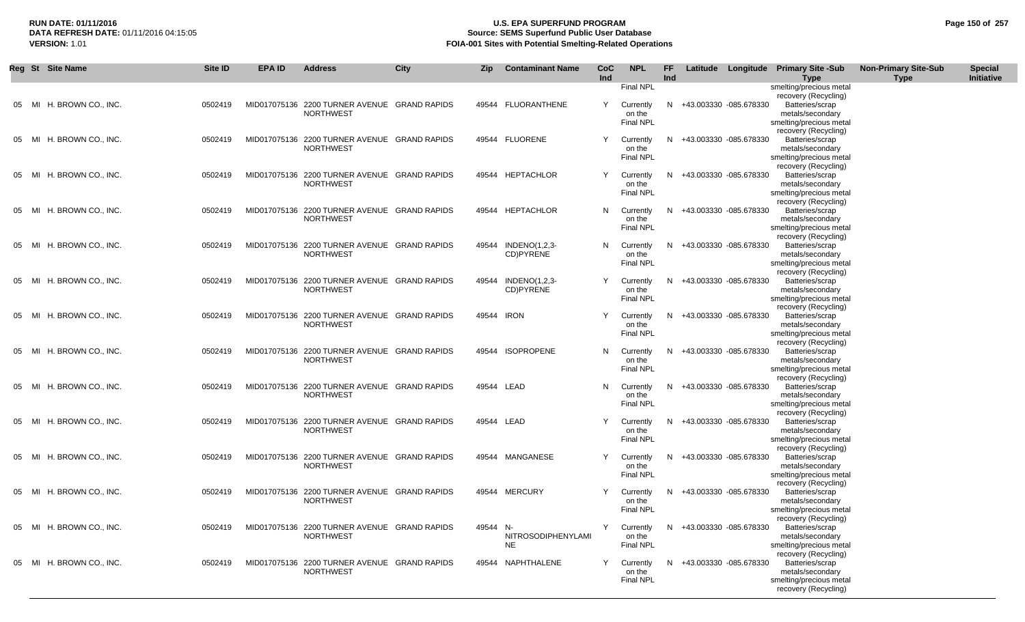## **RUN DATE: 01/11/2016 U.S. EPA SUPERFUND PROGRAM Page 150 of 257 Source: SEMS Superfund Public User Database VERSION:** 1.01 **FOIA-001 Sites with Potential Smelting-Related Operations**

|       | Reg St Site Name         | Site ID | <b>EPA ID</b> | <b>Address</b>                                                   | <b>City</b> | Zip        | <b>Contaminant Name</b>         | CoC<br>Ind | <b>NPL</b>                                           | FF<br>Ind |                          | Latitude Longitude Primary Site -Sub<br><b>Type</b>                                                               | <b>Non-Primary Site-Sub</b><br><b>Type</b> | <b>Special</b><br>Initiative |
|-------|--------------------------|---------|---------------|------------------------------------------------------------------|-------------|------------|---------------------------------|------------|------------------------------------------------------|-----------|--------------------------|-------------------------------------------------------------------------------------------------------------------|--------------------------------------------|------------------------------|
| 05 MI | H. BROWN CO., INC.       | 0502419 |               | MID017075136 2200 TURNER AVENUE GRAND RAPIDS<br><b>NORTHWEST</b> |             |            | 49544 FLUORANTHENE              | Y          | Final NPL<br>Currently<br>on the<br><b>Final NPL</b> |           | N +43.003330 -085.678330 | smelting/precious metal<br>recovery (Recycling)<br>Batteries/scrap<br>metals/secondary<br>smelting/precious metal |                                            |                              |
| 05 MI | H. BROWN CO., INC.       | 0502419 |               | MID017075136 2200 TURNER AVENUE GRAND RAPIDS<br><b>NORTHWEST</b> |             |            | 49544 FLUORENE                  | Y          | Currently<br>on the<br><b>Final NPL</b>              | N         | +43.003330 -085.678330   | recovery (Recycling)<br>Batteries/scrap<br>metals/secondary<br>smelting/precious metal                            |                                            |                              |
| 05 MI | H. BROWN CO., INC.       | 0502419 |               | MID017075136 2200 TURNER AVENUE GRAND RAPIDS<br><b>NORTHWEST</b> |             |            | 49544 HEPTACHLOR                |            | Currently<br>on the<br>Final NPL                     | N.        | +43.003330 -085.678330   | recovery (Recycling)<br>Batteries/scrap<br>metals/secondary<br>smelting/precious metal                            |                                            |                              |
| 05 MI | H. BROWN CO., INC.       | 0502419 |               | MID017075136 2200 TURNER AVENUE GRAND RAPIDS<br><b>NORTHWEST</b> |             |            | 49544 HEPTACHLOR                | N          | Currently<br>on the<br><b>Final NPL</b>              | N         | +43.003330 -085.678330   | recovery (Recycling)<br>Batteries/scrap<br>metals/secondary<br>smelting/precious metal                            |                                            |                              |
| 05 MI | H. BROWN CO., INC.       | 0502419 |               | MID017075136 2200 TURNER AVENUE GRAND RAPIDS<br><b>NORTHWEST</b> |             | 49544      | INDENO(1,2,3-<br>CD)PYRENE      | N.         | Currently<br>on the<br><b>Final NPL</b>              | N.        | +43.003330 -085.678330   | recovery (Recycling)<br>Batteries/scrap<br>metals/secondary<br>smelting/precious metal                            |                                            |                              |
| 05 MI | H. BROWN CO., INC.       | 0502419 |               | MID017075136 2200 TURNER AVENUE GRAND RAPIDS<br><b>NORTHWEST</b> |             | 49544      | INDENO(1,2,3-<br>CD)PYRENE      | Υ          | Currently<br>on the<br><b>Final NPL</b>              | N.        | +43.003330 -085.678330   | recovery (Recycling)<br>Batteries/scrap<br>metals/secondary<br>smelting/precious metal                            |                                            |                              |
| 05 MI | H. BROWN CO., INC.       | 0502419 |               | MID017075136 2200 TURNER AVENUE GRAND RAPIDS<br><b>NORTHWEST</b> |             | 49544      | <b>IRON</b>                     |            | Currently<br>on the<br>Final NPL                     | N         | +43.003330 -085.678330   | recovery (Recycling)<br>Batteries/scrap<br>metals/secondary<br>smelting/precious metal<br>recovery (Recycling)    |                                            |                              |
| 05 MI | H. BROWN CO., INC.       | 0502419 |               | MID017075136 2200 TURNER AVENUE GRAND RAPIDS<br><b>NORTHWEST</b> |             |            | 49544 ISOPROPENE                | N          | Currently<br>on the<br><b>Final NPL</b>              | N         | +43.003330 -085.678330   | Batteries/scrap<br>metals/secondary<br>smelting/precious metal<br>recovery (Recycling)                            |                                            |                              |
| 05 MI | H. BROWN CO., INC.       | 0502419 |               | MID017075136 2200 TURNER AVENUE GRAND RAPIDS<br><b>NORTHWEST</b> |             | 49544 LEAD |                                 | N.         | Currently<br>on the<br><b>Final NPL</b>              | N.        | +43.003330 -085.678330   | Batteries/scrap<br>metals/secondary<br>smelting/precious metal<br>recovery (Recycling)                            |                                            |                              |
| 05 MI | H. BROWN CO., INC.       | 0502419 |               | MID017075136 2200 TURNER AVENUE GRAND RAPIDS<br><b>NORTHWEST</b> |             | 49544 LEAD |                                 |            | Currently<br>on the<br><b>Final NPL</b>              |           | N +43.003330 -085.678330 | Batteries/scrap<br>metals/secondary<br>smelting/precious metal<br>recovery (Recycling)                            |                                            |                              |
| 05 MI | H. BROWN CO., INC.       | 0502419 |               | MID017075136 2200 TURNER AVENUE GRAND RAPIDS<br><b>NORTHWEST</b> |             |            | 49544 MANGANESE                 | Y          | Currently<br>on the<br><b>Final NPL</b>              | N.        | +43.003330 -085.678330   | Batteries/scrap<br>metals/secondary<br>smelting/precious metal<br>recovery (Recycling)                            |                                            |                              |
| 05 MI | H. BROWN CO., INC.       | 0502419 |               | MID017075136 2200 TURNER AVENUE GRAND RAPIDS<br><b>NORTHWEST</b> |             |            | 49544 MERCURY                   |            | Currently<br>on the<br><b>Final NPL</b>              | N.        | +43.003330 -085.678330   | Batteries/scrap<br>metals/secondary<br>smelting/precious metal<br>recovery (Recycling)                            |                                            |                              |
|       | 05 MI H. BROWN CO., INC. | 0502419 |               | MID017075136 2200 TURNER AVENUE GRAND RAPIDS<br><b>NORTHWEST</b> |             | 49544 N-   | NITROSODIPHENYLAMI<br><b>NE</b> |            | Currently<br>on the<br><b>Final NPL</b>              |           | N +43.003330 -085.678330 | Batteries/scrap<br>metals/secondary<br>smelting/precious metal<br>recovery (Recycling)                            |                                            |                              |
|       | 05 MI H. BROWN CO., INC. | 0502419 |               | MID017075136 2200 TURNER AVENUE GRAND RAPIDS<br><b>NORTHWEST</b> |             |            | 49544 NAPHTHALENE               |            | Currently<br>on the<br><b>Final NPL</b>              |           | N +43.003330 -085.678330 | Batteries/scrap<br>metals/secondary<br>smelting/precious metal<br>recovery (Recycling)                            |                                            |                              |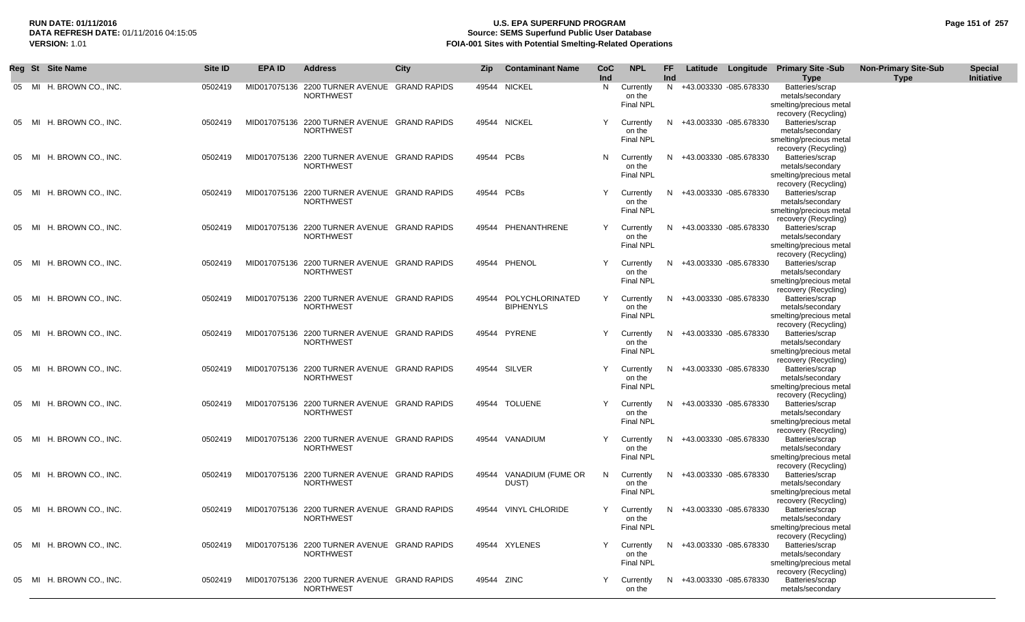## **RUN DATE: 01/11/2016 U.S. EPA SUPERFUND PROGRAM Page 151 of 257 Source: SEMS Superfund Public User Database VERSION:** 1.01 **FOIA-001 Sites with Potential Smelting-Related Operations**

|       | Reg St Site Name         | Site <b>ID</b> | <b>EPA ID</b> | <b>Address</b>                                                   | <b>City</b> | Zip        | <b>Contaminant Name</b>             | <b>CoC</b><br>Ind | <b>NPL</b>                              | FF.<br>Ind |                          | Latitude Longitude Primary Site -Sub<br><b>Type</b>                                    | <b>Non-Primary Site-Sub</b><br><b>Type</b> | <b>Special</b><br>Initiative |
|-------|--------------------------|----------------|---------------|------------------------------------------------------------------|-------------|------------|-------------------------------------|-------------------|-----------------------------------------|------------|--------------------------|----------------------------------------------------------------------------------------|--------------------------------------------|------------------------------|
|       | 05 MI H. BROWN CO., INC. | 0502419        |               | MID017075136 2200 TURNER AVENUE GRAND RAPIDS<br><b>NORTHWEST</b> |             |            | 49544 NICKEL                        | N.                | Currently<br>on the<br><b>Final NPL</b> |            | N +43.003330 -085.678330 | Batteries/scrap<br>metals/secondary<br>smelting/precious metal<br>recovery (Recycling) |                                            |                              |
|       | 05 MI H. BROWN CO., INC. | 0502419        |               | MID017075136 2200 TURNER AVENUE GRAND RAPIDS<br><b>NORTHWEST</b> |             |            | 49544 NICKEL                        | Y                 | Currently<br>on the<br>Final NPL        | N.         | +43.003330 -085.678330   | Batteries/scrap<br>metals/secondary<br>smelting/precious metal<br>recovery (Recycling) |                                            |                              |
|       | 05 MI H. BROWN CO., INC. | 0502419        |               | MID017075136 2200 TURNER AVENUE GRAND RAPIDS<br><b>NORTHWEST</b> |             | 49544 PCBs |                                     | N                 | Currently<br>on the<br>Final NPL        | N.         | +43.003330 -085.678330   | Batteries/scrap<br>metals/secondary<br>smelting/precious metal<br>recovery (Recycling) |                                            |                              |
| 05 MI | H. BROWN CO., INC.       | 0502419        |               | MID017075136 2200 TURNER AVENUE GRAND RAPIDS<br><b>NORTHWEST</b> |             | 49544 PCBs |                                     | Y                 | Currently<br>on the<br><b>Final NPL</b> |            | N +43.003330 -085.678330 | Batteries/scrap<br>metals/secondary<br>smelting/precious metal<br>recovery (Recycling) |                                            |                              |
|       | 05 MI H. BROWN CO., INC. | 0502419        |               | MID017075136 2200 TURNER AVENUE GRAND RAPIDS<br><b>NORTHWEST</b> |             |            | 49544 PHENANTHRENE                  | Y                 | Currently<br>on the<br><b>Final NPL</b> | N.         | +43.003330 -085.678330   | Batteries/scrap<br>metals/secondary<br>smelting/precious metal<br>recovery (Recycling) |                                            |                              |
| 05 MI | H. BROWN CO., INC.       | 0502419        |               | MID017075136 2200 TURNER AVENUE GRAND RAPIDS<br><b>NORTHWEST</b> |             |            | 49544 PHENOL                        | Y                 | Currently<br>on the<br><b>Final NPL</b> |            | N +43.003330 -085.678330 | Batteries/scrap<br>metals/secondary<br>smelting/precious metal<br>recovery (Recycling) |                                            |                              |
| 05 MI | H. BROWN CO., INC.       | 0502419        |               | MID017075136 2200 TURNER AVENUE GRAND RAPIDS<br><b>NORTHWEST</b> |             | 49544      | POLYCHLORINATED<br><b>BIPHENYLS</b> | Y                 | Currently<br>on the<br><b>Final NPL</b> | N.         | +43.003330 -085.678330   | Batteries/scrap<br>metals/secondary<br>smelting/precious metal<br>recovery (Recycling) |                                            |                              |
| 05 MI | H. BROWN CO., INC.       | 0502419        |               | MID017075136 2200 TURNER AVENUE GRAND RAPIDS<br><b>NORTHWEST</b> |             |            | 49544 PYRENE                        | Y                 | Currently<br>on the<br><b>Final NPL</b> | N.         | +43.003330 -085.678330   | Batteries/scrap<br>metals/secondary<br>smelting/precious metal<br>recovery (Recycling) |                                            |                              |
|       | 05 MI H. BROWN CO., INC. | 0502419        |               | MID017075136 2200 TURNER AVENUE GRAND RAPIDS<br><b>NORTHWEST</b> |             |            | 49544 SILVER                        |                   | Currently<br>on the<br><b>Final NPL</b> | N.         | +43.003330 -085.678330   | Batteries/scrap<br>metals/secondary<br>smelting/precious metal                         |                                            |                              |
|       | 05 MI H. BROWN CO., INC. | 0502419        |               | MID017075136 2200 TURNER AVENUE GRAND RAPIDS<br><b>NORTHWEST</b> |             |            | 49544 TOLUENE                       | Y                 | Currently<br>on the<br><b>Final NPL</b> | N.         | +43.003330 -085.678330   | recovery (Recycling)<br>Batteries/scrap<br>metals/secondary<br>smelting/precious metal |                                            |                              |
| 05 MI | H. BROWN CO., INC.       | 0502419        |               | MID017075136 2200 TURNER AVENUE GRAND RAPIDS<br><b>NORTHWEST</b> |             |            | 49544 VANADIUM                      | Y                 | Currently<br>on the<br><b>Final NPL</b> | N.         | +43.003330 -085.678330   | recovery (Recycling)<br>Batteries/scrap<br>metals/secondary<br>smelting/precious metal |                                            |                              |
| 05 MI | H. BROWN CO., INC.       | 0502419        |               | MID017075136 2200 TURNER AVENUE GRAND RAPIDS<br><b>NORTHWEST</b> |             | 49544      | VANADIUM (FUME OR<br>DUST)          | N.                | Currently<br>on the<br><b>Final NPL</b> | N.         | +43.003330 -085.678330   | recovery (Recycling)<br>Batteries/scrap<br>metals/secondary<br>smelting/precious metal |                                            |                              |
|       | 05 MI H. BROWN CO., INC. | 0502419        |               | MID017075136 2200 TURNER AVENUE GRAND RAPIDS<br>NORTHWEST        |             |            | 49544 VINYL CHLORIDE                | Y                 | Currently<br>on the<br><b>Final NPL</b> |            | N +43.003330 -085.678330 | recovery (Recycling)<br>Batteries/scrap<br>metals/secondary<br>smelting/precious metal |                                            |                              |
|       | 05 MI H. BROWN CO., INC. | 0502419        |               | MID017075136 2200 TURNER AVENUE GRAND RAPIDS<br><b>NORTHWEST</b> |             |            | 49544 XYLENES                       |                   | Currently<br>on the<br><b>Final NPL</b> |            | N +43.003330 -085.678330 | recovery (Recycling)<br>Batteries/scrap<br>metals/secondary<br>smelting/precious metal |                                            |                              |
|       | 05 MI H. BROWN CO., INC. | 0502419        |               | MID017075136 2200 TURNER AVENUE GRAND RAPIDS<br><b>NORTHWEST</b> |             | 49544 ZINC |                                     | Y                 | Currently<br>on the                     |            | N +43.003330 -085.678330 | recovery (Recycling)<br>Batteries/scrap<br>metals/secondary                            |                                            |                              |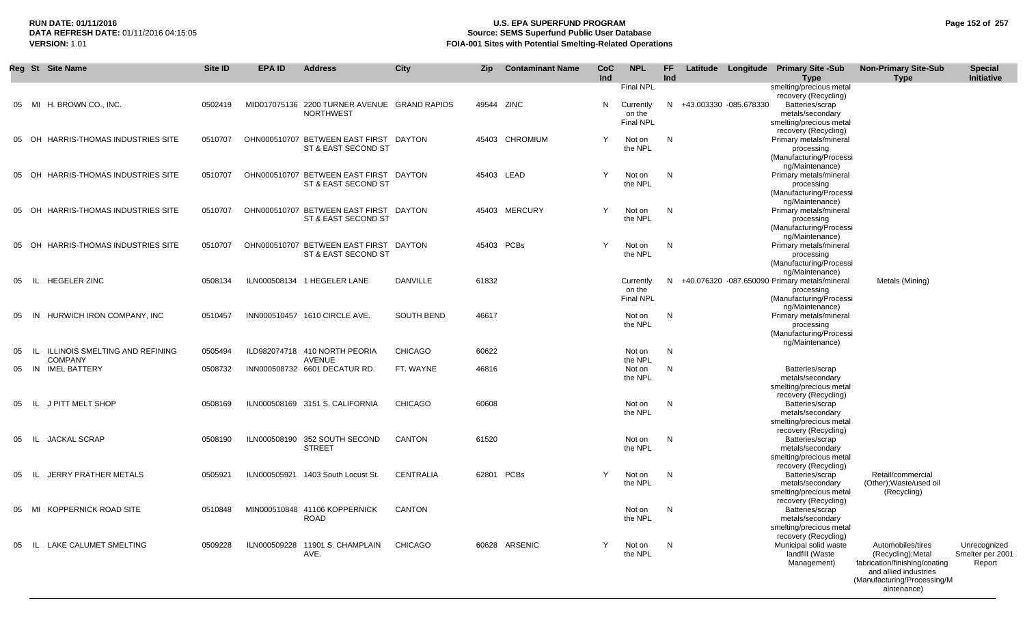## **RUN DATE: 01/11/2016 U.S. EPA SUPERFUND PROGRAM Page 152 of 257 DATA REFRESH DATE:** 01/11/2016 04:15:05 **Source: SEMS Superfund Public User Database**<br>**FOIA-001 Sites with Potential Smelting-Related Operat VERSION:** 1.01 **FOIA-001 Sites with Potential Smelting-Related Operations**

|    |        | Reg St Site Name                     | Site ID | <b>EPA ID</b> | <b>Address</b>                                                | City              | Zip        | <b>Contaminant Name</b> | <b>CoC</b><br>Ind | <b>NPL</b>                                                  | FF.<br>Ind |                          | Latitude Longitude Primary Site -Sub<br><b>Type</b>                                                               | <b>Non-Primary Site-Sub</b><br><b>Type</b>                                                                                                      | <b>Special</b><br>Initiative               |
|----|--------|--------------------------------------|---------|---------------|---------------------------------------------------------------|-------------------|------------|-------------------------|-------------------|-------------------------------------------------------------|------------|--------------------------|-------------------------------------------------------------------------------------------------------------------|-------------------------------------------------------------------------------------------------------------------------------------------------|--------------------------------------------|
|    |        | 05 MI H. BROWN CO., INC.             | 0502419 |               | MID017075136 2200 TURNER AVENUE GRAND RAPIDS<br>NORTHWEST     |                   | 49544 ZINC |                         | N                 | <b>Final NPL</b><br>Currently<br>on the<br><b>Final NPL</b> |            | N +43.003330 -085.678330 | smelting/precious metal<br>recovery (Recycling)<br>Batteries/scrap<br>metals/secondary<br>smelting/precious metal |                                                                                                                                                 |                                            |
| 05 | OH     | HARRIS-THOMAS INDUSTRIES SITE        | 0510707 |               | OHN000510707 BETWEEN EAST FIRST<br>ST & EAST SECOND ST        | DAYTON            |            | 45403 CHROMIUM          | Y                 | Not on<br>the NPL                                           | N          |                          | recovery (Recycling)<br>Primary metals/mineral<br>processing<br>(Manufacturing/Processi                           |                                                                                                                                                 |                                            |
|    | 05 OH  | HARRIS-THOMAS INDUSTRIES SITE        | 0510707 |               | OHN000510707 BETWEEN EAST FIRST<br>ST & EAST SECOND ST        | DAYTON            |            | 45403 LEAD              | $\checkmark$      | Not on<br>the NPL                                           | N          |                          | ng/Maintenance)<br>Primary metals/mineral<br>processing<br>(Manufacturing/Processi                                |                                                                                                                                                 |                                            |
|    | 05 OH  | HARRIS-THOMAS INDUSTRIES SITE        | 0510707 |               | OHN000510707 BETWEEN EAST FIRST DAYTON<br>ST & EAST SECOND ST |                   |            | 45403 MERCURY           | Y                 | Not on<br>the NPL                                           | N          |                          | ng/Maintenance)<br>Primary metals/mineral<br>processing<br>(Manufacturing/Processi                                |                                                                                                                                                 |                                            |
|    |        | 05 OH HARRIS-THOMAS INDUSTRIES SITE  | 0510707 |               | OHN000510707 BETWEEN EAST FIRST DAYTON<br>ST & EAST SECOND ST |                   |            | 45403 PCBs              | Y                 | Not on<br>the NPL                                           | N          |                          | ng/Maintenance)<br>Primary metals/mineral<br>processing<br>(Manufacturing/Processi                                |                                                                                                                                                 |                                            |
| 05 | -lL    | <b>HEGELER ZINC</b>                  | 0508134 |               | ILN000508134 1 HEGELER LANE                                   | DANVILLE          | 61832      |                         |                   | Currently<br>on the<br><b>Final NPL</b>                     | N          |                          | ng/Maintenance)<br>+40.076320 -087.650090 Primary metals/mineral<br>processing<br>(Manufacturing/Processi         | Metals (Mining)                                                                                                                                 |                                            |
| 05 | - IN   | HURWICH IRON COMPANY, INC.           | 0510457 |               | INN000510457 1610 CIRCLE AVE.                                 | <b>SOUTH BEND</b> | 46617      |                         |                   | Not on<br>the NPL                                           | N          |                          | ng/Maintenance)<br>Primary metals/mineral<br>processing<br>(Manufacturing/Processi                                |                                                                                                                                                 |                                            |
| 05 | -lL    | ILLINOIS SMELTING AND REFINING       | 0505494 |               | ILD982074718 410 NORTH PEORIA                                 | <b>CHICAGO</b>    | 60622      |                         |                   | Not on                                                      | N          |                          | ng/Maintenance)                                                                                                   |                                                                                                                                                 |                                            |
|    |        | <b>COMPANY</b><br>05 IN IMEL BATTERY | 0508732 |               | <b>AVENUE</b><br>INN000508732 6601 DECATUR RD.                | FT. WAYNE         | 46816      |                         |                   | the NPL<br>Not on<br>the NPL                                | N          |                          | Batteries/scrap<br>metals/secondary<br>smelting/precious metal                                                    |                                                                                                                                                 |                                            |
| 05 | IL.    | J PITT MELT SHOP                     | 0508169 |               | ILN000508169 3151 S. CALIFORNIA                               | <b>CHICAGO</b>    | 60608      |                         |                   | Not on<br>the NPL                                           | N          |                          | recovery (Recycling)<br>Batteries/scrap<br>metals/secondary<br>smelting/precious metal                            |                                                                                                                                                 |                                            |
| 05 | IL.    | <b>JACKAL SCRAP</b>                  | 0508190 |               | ILN000508190 352 SOUTH SECOND<br><b>STREET</b>                | <b>CANTON</b>     | 61520      |                         |                   | Not on<br>the NPL                                           | N          |                          | recovery (Recycling)<br>Batteries/scrap<br>metals/secondary<br>smelting/precious metal                            |                                                                                                                                                 |                                            |
| 05 | -lL    | JERRY PRATHER METALS                 | 0505921 | ILN000505921  | 1403 South Locust St.                                         | <b>CENTRALIA</b>  |            | 62801 PCBs              | $\checkmark$      | Not on<br>the NPL                                           | N          |                          | recovery (Recycling)<br>Batteries/scrap<br>metals/secondary<br>smelting/precious metal                            | Retail/commercial<br>(Other); Waste/used oil<br>(Recycling)                                                                                     |                                            |
|    | 05 MI  | KOPPERNICK ROAD SITE                 | 0510848 |               | MIN000510848 41106 KOPPERNICK<br>ROAD                         | <b>CANTON</b>     |            |                         |                   | Not on<br>the NPL                                           | N          |                          | recovery (Recycling)<br>Batteries/scrap<br>metals/secondary<br>smelting/precious metal                            |                                                                                                                                                 |                                            |
| 05 | - IL - | LAKE CALUMET SMELTING                | 0509228 |               | ILN000509228 11901 S. CHAMPLAIN<br>AVE.                       | <b>CHICAGO</b>    |            | 60628 ARSENIC           | Y                 | Not on<br>the NPL                                           | N          |                          | recovery (Recycling)<br>Municipal solid waste<br>landfill (Waste<br>Management)                                   | Automobiles/tires<br>(Recycling); Metal<br>fabrication/finishing/coating<br>and allied industries<br>(Manufacturing/Processing/M<br>aintenance) | Unrecognized<br>Smelter per 2001<br>Report |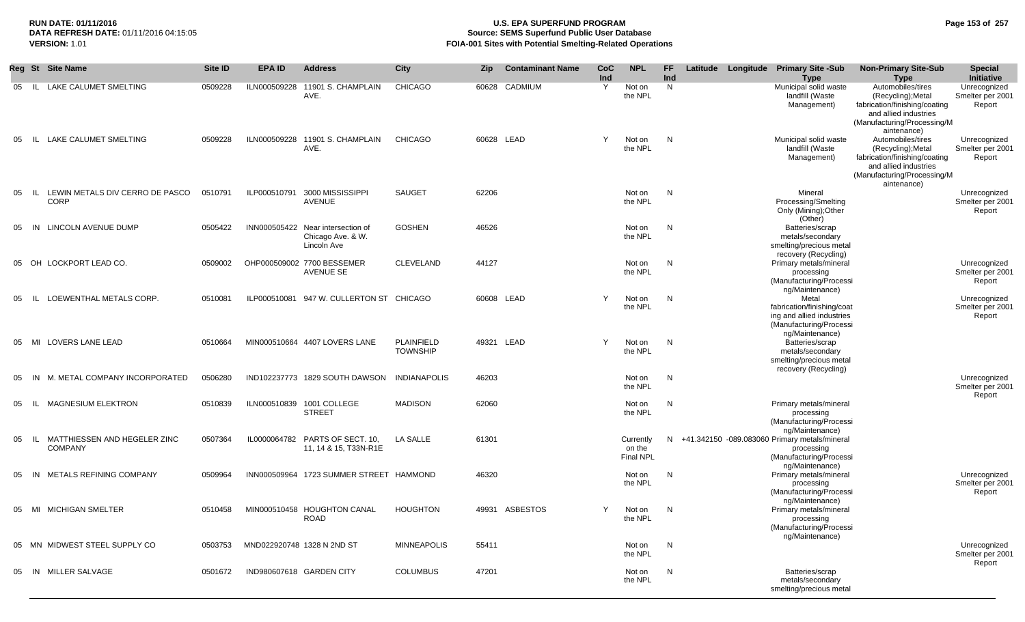## **RUN DATE: 01/11/2016 U.S. EPA SUPERFUND PROGRAM Page 153 of 257 Source: SEMS Superfund Public User Database VERSION:** 1.01 **FOIA-001 Sites with Potential Smelting-Related Operations**

|            | Reg St Site Name                               | Site ID | <b>EPA ID</b> | <b>Address</b>                                                        | City                                 | Zip        | <b>Contaminant Name</b> | CoC<br>Ind | <b>NPL</b>                              | <b>FF</b><br>Ind | Latitude Longitude Primary Site -Sub            | <b>Type</b>                                                                                                    | <b>Non-Primary Site-Sub</b><br><b>Type</b>                                                                                                      | <b>Special</b><br>Initiative               |
|------------|------------------------------------------------|---------|---------------|-----------------------------------------------------------------------|--------------------------------------|------------|-------------------------|------------|-----------------------------------------|------------------|-------------------------------------------------|----------------------------------------------------------------------------------------------------------------|-------------------------------------------------------------------------------------------------------------------------------------------------|--------------------------------------------|
| 05         | <b>LAKE CALUMET SMELTING</b><br>- IL           | 0509228 | ILN000509228  | 11901 S. CHAMPLAIN<br>AVE.                                            | <b>CHICAGO</b>                       | 60628      | <b>CADMIUM</b>          | Y          | Not on<br>the NPL                       | N                |                                                 | Municipal solid waste<br>landfill (Waste<br>Management)                                                        | Automobiles/tires<br>(Recycling); Metal<br>fabrication/finishing/coating<br>and allied industries<br>(Manufacturing/Processing/M<br>aintenance) | Unrecognized<br>Smelter per 2001<br>Report |
| 05         | LAKE CALUMET SMELTING<br>- IL -                | 0509228 | ILN000509228  | 11901 S. CHAMPLAIN<br>AVE.                                            | <b>CHICAGO</b>                       | 60628 LEAD |                         | Y          | Not on<br>the NPL                       | N                |                                                 | Municipal solid waste<br>landfill (Waste<br>Management)                                                        | Automobiles/tires<br>(Recycling); Metal<br>fabrication/finishing/coating<br>and allied industries<br>(Manufacturing/Processing/M<br>aintenance) | Unrecognized<br>Smelter per 2001<br>Report |
| 05<br>- IL | LEWIN METALS DIV CERRO DE PASCO<br><b>CORP</b> | 0510791 | ILP000510791  | 3000 MISSISSIPPI<br><b>AVENUE</b>                                     | <b>SAUGET</b>                        | 62206      |                         |            | Not on<br>the NPL                       | N                |                                                 | Mineral<br>Processing/Smelting<br>Only (Mining); Other<br>(Other)                                              |                                                                                                                                                 | Unrecognized<br>Smelter per 2001<br>Report |
| 05         | IN LINCOLN AVENUE DUMP                         | 0505422 |               | INN000505422 Near intersection of<br>Chicago Ave. & W.<br>Lincoln Ave | <b>GOSHEN</b>                        | 46526      |                         |            | Not on<br>the NPL                       | N                |                                                 | Batteries/scrap<br>metals/secondary<br>smelting/precious metal<br>recovery (Recycling)                         |                                                                                                                                                 |                                            |
| 05         | OH LOCKPORT LEAD CO.                           | 0509002 |               | OHP000509002 7700 BESSEMER<br>AVENUE SE                               | <b>CLEVELAND</b>                     | 44127      |                         |            | Not on<br>the NPL                       | N                |                                                 | Primary metals/mineral<br>processing<br>(Manufacturing/Processi<br>ng/Maintenance)                             |                                                                                                                                                 | Unrecognized<br>Smelter per 2001<br>Report |
| 05         | IL LOEWENTHAL METALS CORP.                     | 0510081 |               | ILP000510081 947 W. CULLERTON ST CHICAGO                              |                                      | 60608 LEAD |                         | Y          | Not on<br>the NPL                       | N                |                                                 | Metal<br>fabrication/finishing/coat<br>ing and allied industries<br>(Manufacturing/Processi<br>ng/Maintenance) |                                                                                                                                                 | Unrecognized<br>Smelter per 2001<br>Report |
| 05         | MI LOVERS LANE LEAD                            | 0510664 |               | MIN000510664 4407 LOVERS LANE                                         | <b>PLAINFIELD</b><br><b>TOWNSHIP</b> | 49321 LEAD |                         | Y          | Not on<br>the NPL                       | N                |                                                 | Batteries/scrap<br>metals/secondary<br>smelting/precious metal<br>recovery (Recycling)                         |                                                                                                                                                 |                                            |
| 05         | M. METAL COMPANY INCORPORATED<br>IN            | 0506280 |               | IND102237773 1829 SOUTH DAWSON                                        | <b>INDIANAPOLIS</b>                  | 46203      |                         |            | Not on<br>the NPL                       | N                |                                                 |                                                                                                                |                                                                                                                                                 | Unrecognized<br>Smelter per 2001<br>Report |
| 05<br>- IL | MAGNESIUM ELEKTRON                             | 0510839 |               | ILN000510839 1001 COLLEGE<br><b>STREET</b>                            | <b>MADISON</b>                       | 62060      |                         |            | Not on<br>the NPL                       | N                |                                                 | Primary metals/mineral<br>processing<br>(Manufacturing/Processi<br>ng/Maintenance)                             |                                                                                                                                                 |                                            |
| 05<br>- IL | MATTHIESSEN AND HEGELER ZINC<br><b>COMPANY</b> | 0507364 |               | IL0000064782 PARTS OF SECT. 10,<br>11, 14 & 15, T33N-R1E              | <b>LA SALLE</b>                      | 61301      |                         |            | Currently<br>on the<br><b>Final NPL</b> |                  | N +41.342150 -089.083060 Primary metals/mineral | processing<br>(Manufacturing/Processi<br>ng/Maintenance)                                                       |                                                                                                                                                 |                                            |
| 05         | METALS REFINING COMPANY<br>-IN                 | 0509964 |               | INN000509964 1723 SUMMER STREET HAMMOND                               |                                      | 46320      |                         |            | Not on<br>the NPL                       | N                |                                                 | Primary metals/mineral<br>processing<br>(Manufacturing/Processi<br>ng/Maintenance)                             |                                                                                                                                                 | Unrecognized<br>Smelter per 2001<br>Report |
| 05         | MI MICHIGAN SMELTER                            | 0510458 |               | MIN000510458 HOUGHTON CANAL<br><b>ROAD</b>                            | <b>HOUGHTON</b>                      |            | 49931 ASBESTOS          | Y          | Not on<br>the NPL                       | N                |                                                 | Primary metals/mineral<br>processing<br>(Manufacturing/Processi<br>ng/Maintenance)                             |                                                                                                                                                 |                                            |
|            | 05 MN MIDWEST STEEL SUPPLY CO                  | 0503753 |               | MND022920748 1328 N 2ND ST                                            | <b>MINNEAPOLIS</b>                   | 55411      |                         |            | Not on<br>the NPL                       | N                |                                                 |                                                                                                                |                                                                                                                                                 | Unrecognized<br>Smelter per 2001<br>Report |
| 05         | <b>MILLER SALVAGE</b><br>IN                    | 0501672 |               | IND980607618 GARDEN CITY                                              | <b>COLUMBUS</b>                      | 47201      |                         |            | Not on<br>the NPL                       | N                |                                                 | Batteries/scrap<br>metals/secondary<br>smelting/precious metal                                                 |                                                                                                                                                 |                                            |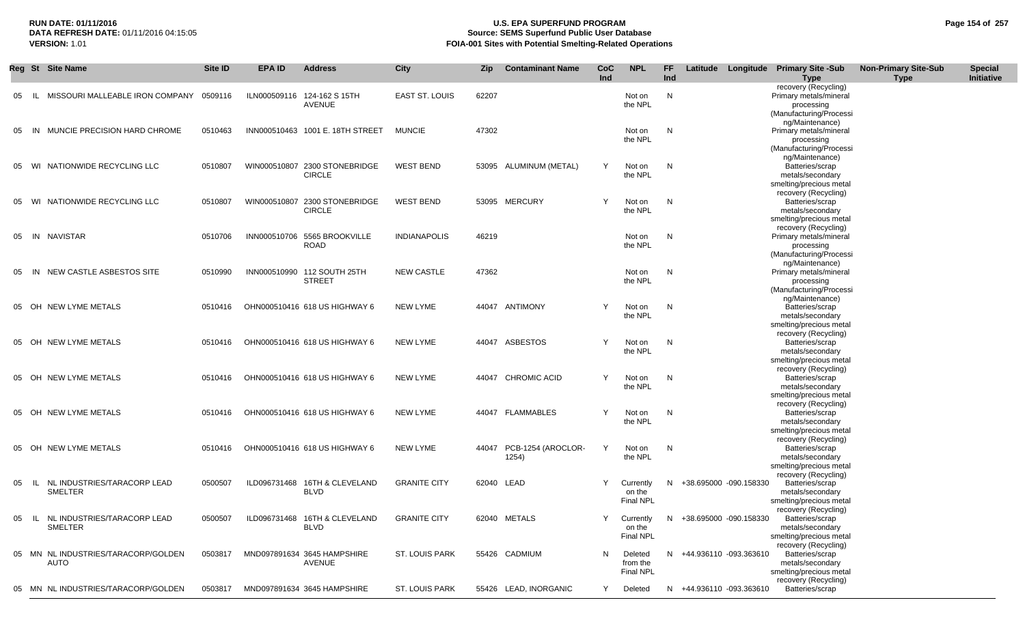## **RUN DATE: 01/11/2016 U.S. EPA SUPERFUND PROGRAM Page 154 of 257 Source: SEMS Superfund Public User Database VERSION:** 1.01 **FOIA-001 Sites with Potential Smelting-Related Operations**

|    |       | Reg St Site Name                              | Site ID | EPA ID | <b>Address</b>                                 | <b>City</b>           | Zip        | <b>Contaminant Name</b>           | CoC<br>Ind | <b>NPL</b>                              | <b>FF</b><br>Ind |                          | Latitude Longitude Primary Site -Sub<br><b>Type</b>                                     | <b>Non-Primary Site-Sub</b><br>Type | <b>Special</b><br>Initiative |
|----|-------|-----------------------------------------------|---------|--------|------------------------------------------------|-----------------------|------------|-----------------------------------|------------|-----------------------------------------|------------------|--------------------------|-----------------------------------------------------------------------------------------|-------------------------------------|------------------------------|
| 05 | IL.   | MISSOURI MALLEABLE IRON COMPANY               | 0509116 |        | ILN000509116 124-162 S 15TH<br>AVENUE          | EAST ST. LOUIS        | 62207      |                                   |            | Not on<br>the NPL                       | ${\sf N}$        |                          | recovery (Recycling)<br>Primary metals/mineral<br>processing<br>(Manufacturing/Processi |                                     |                              |
|    | 05 IN | MUNCIE PRECISION HARD CHROME                  | 0510463 |        | INN000510463 1001 E. 18TH STREET               | <b>MUNCIE</b>         | 47302      |                                   |            | Not on<br>the NPL                       | N                |                          | ng/Maintenance)<br>Primary metals/mineral<br>processing<br>(Manufacturing/Processi      |                                     |                              |
|    |       | 05 WI NATIONWIDE RECYCLING LLC                | 0510807 |        | WIN000510807 2300 STONEBRIDGE<br><b>CIRCLE</b> | <b>WEST BEND</b>      |            | 53095 ALUMINUM (METAL)            | Y          | Not on<br>the NPL                       | $\mathsf{N}$     |                          | ng/Maintenance)<br>Batteries/scrap<br>metals/secondary<br>smelting/precious metal       |                                     |                              |
|    |       | 05 WI NATIONWIDE RECYCLING LLC                | 0510807 |        | WIN000510807 2300 STONEBRIDGE<br><b>CIRCLE</b> | <b>WEST BEND</b>      |            | 53095 MERCURY                     | Y          | Not on<br>the NPL                       | N                |                          | recovery (Recycling)<br>Batteries/scrap<br>metals/secondary<br>smelting/precious metal  |                                     |                              |
|    |       | 05 IN NAVISTAR                                | 0510706 |        | INN000510706 5565 BROOKVILLE<br><b>ROAD</b>    | <b>INDIANAPOLIS</b>   | 46219      |                                   |            | Not on<br>the NPL                       | N                |                          | recovery (Recycling)<br>Primary metals/mineral<br>processing<br>(Manufacturing/Processi |                                     |                              |
|    |       | 05 IN NEW CASTLE ASBESTOS SITE                | 0510990 |        | INN000510990 112 SOUTH 25TH<br><b>STREET</b>   | <b>NEW CASTLE</b>     | 47362      |                                   |            | Not on<br>the NPL                       | N                |                          | ng/Maintenance)<br>Primary metals/mineral<br>processing<br>(Manufacturing/Processi      |                                     |                              |
|    |       | 05 OH NEW LYME METALS                         | 0510416 |        | OHN000510416 618 US HIGHWAY 6                  | <b>NEW LYME</b>       |            | 44047 ANTIMONY                    |            | Not on<br>the NPL                       | N                |                          | ng/Maintenance)<br>Batteries/scrap<br>metals/secondary<br>smelting/precious metal       |                                     |                              |
|    |       | 05 OH NEW LYME METALS                         | 0510416 |        | OHN000510416 618 US HIGHWAY 6                  | NEW LYME              |            | 44047 ASBESTOS                    | Y          | Not on<br>the NPL                       | N                |                          | recovery (Recycling)<br>Batteries/scrap<br>metals/secondary<br>smelting/precious metal  |                                     |                              |
|    |       | 05 OH NEW LYME METALS                         | 0510416 |        | OHN000510416 618 US HIGHWAY 6                  | <b>NEW LYME</b>       |            | 44047 CHROMIC ACID                | Y          | Not on<br>the NPL                       | N                |                          | recovery (Recycling)<br>Batteries/scrap<br>metals/secondary<br>smelting/precious metal  |                                     |                              |
|    |       | 05 OH NEW LYME METALS                         | 0510416 |        | OHN000510416 618 US HIGHWAY 6                  | <b>NEW LYME</b>       |            | 44047 FLAMMABLES                  | Y          | Not on<br>the NPL                       | N                |                          | recovery (Recycling)<br>Batteries/scrap<br>metals/secondary<br>smelting/precious metal  |                                     |                              |
|    |       | 05 OH NEW LYME METALS                         | 0510416 |        | OHN000510416 618 US HIGHWAY 6                  | <b>NEW LYME</b>       |            | 44047 PCB-1254 (AROCLOR-<br>1254) | Y          | Not on<br>the NPL                       | N                |                          | recovery (Recycling)<br>Batteries/scrap<br>metals/secondary<br>smelting/precious metal  |                                     |                              |
|    | 05 IL | NL INDUSTRIES/TARACORP LEAD<br><b>SMELTER</b> | 0500507 |        | ILD096731468 16TH & CLEVELAND<br><b>BLVD</b>   | <b>GRANITE CITY</b>   | 62040 LEAD |                                   | Y          | Currently<br>on the<br><b>Final NPL</b> |                  | N +38.695000 -090.158330 | recovery (Recycling)<br>Batteries/scrap<br>metals/secondary<br>smelting/precious metal  |                                     |                              |
| 05 | - IL  | NL INDUSTRIES/TARACORP LEAD<br>SMELTER        | 0500507 |        | ILD096731468 16TH & CLEVELAND<br><b>BLVD</b>   | <b>GRANITE CITY</b>   |            | 62040 METALS                      | Y          | Currently<br>on the<br><b>Final NPL</b> | N                | +38.695000 -090.158330   | recovery (Recycling)<br>Batteries/scrap<br>metals/secondary<br>smelting/precious metal  |                                     |                              |
|    |       | 05 MN NL INDUSTRIES/TARACORP/GOLDEN<br>AUTO   | 0503817 |        | MND097891634 3645 HAMPSHIRE<br>AVENUE          | ST. LOUIS PARK        |            | 55426 CADMIUM                     | N          | Deleted<br>from the<br>Final NPL        |                  | N +44.936110 -093.363610 | recovery (Recycling)<br>Batteries/scrap<br>metals/secondary<br>smelting/precious metal  |                                     |                              |
|    |       | 05 MN NL INDUSTRIES/TARACORP/GOLDEN           | 0503817 |        | MND097891634 3645 HAMPSHIRE                    | <b>ST. LOUIS PARK</b> |            | 55426 LEAD, INORGANIC             | Y          | Deleted                                 |                  | N +44.936110 -093.363610 | recovery (Recycling)<br>Batteries/scrap                                                 |                                     |                              |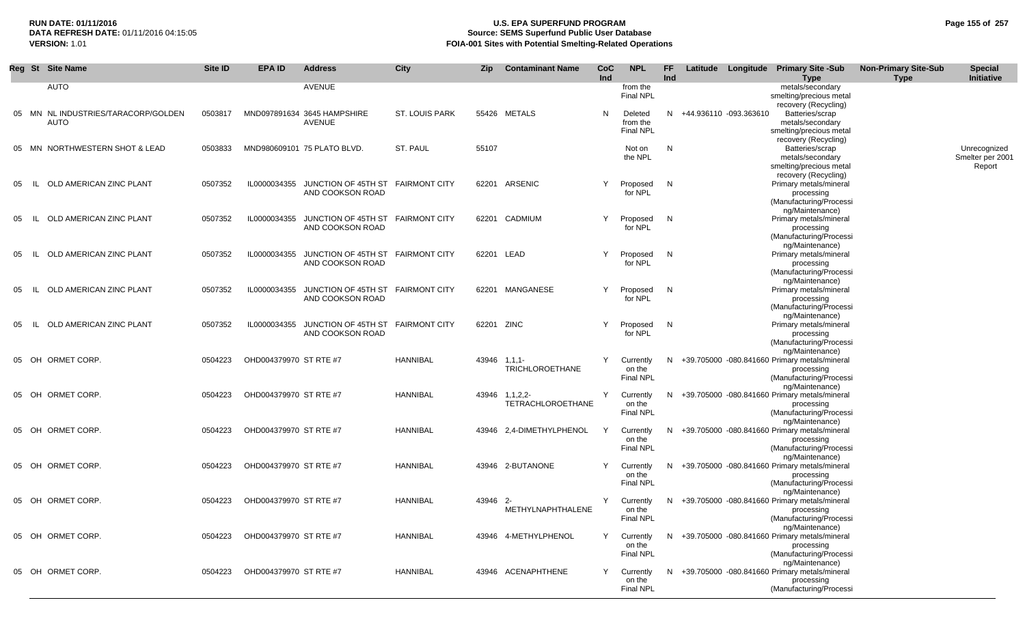## **RUN DATE: 01/11/2016 U.S. EPA SUPERFUND PROGRAM Page 155 of 257 Source: SEMS Superfund Public User Database VERSION:** 1.01 **FOIA-001 Sites with Potential Smelting-Related Operations**

| <b>AUTO</b><br>AVENUE<br>metals/secondary<br>from the<br>smelting/precious metal<br><b>Final NPL</b><br>recovery (Recycling)<br>MN NL INDUSTRIES/TARACORP/GOLDEN<br>MND097891634 3645 HAMPSHIRE<br><b>ST. LOUIS PARK</b><br>55426 METALS<br>N<br>N +44.936110 -093.363610<br>Batteries/scrap<br>0503817<br>05<br>Deleted<br><b>AUTO</b><br><b>AVENUE</b><br>metals/secondary<br>from the<br><b>Final NPL</b><br>smelting/precious metal<br>recovery (Recycling)<br>N<br>MN NORTHWESTERN SHOT & LEAD<br>0503833<br>MND980609101 75 PLATO BLVD.<br>ST. PAUL<br>55107<br>Batteries/scrap<br>Unrecognized<br>Not on<br>05<br>Smelter per 2001<br>the NPL<br>metals/secondary<br>Report<br>smelting/precious metal<br>recovery (Recycling)<br>JUNCTION OF 45TH ST<br>62201 ARSENIC<br>N<br>Primary metals/mineral<br>0507352<br>IL0000034355<br><b>FAIRMONT CITY</b><br>Y<br>OLD AMERICAN ZINC PLANT<br>Proposed<br>05<br>- IL<br>AND COOKSON ROAD<br>for NPL<br>processing<br>(Manufacturing/Processi<br>ng/Maintenance)<br>OLD AMERICAN ZINC PLANT<br>0507352<br>IL0000034355<br>JUNCTION OF 45TH ST FAIRMONT CITY<br>62201 CADMIUM<br>Y<br>N<br>Primary metals/mineral<br>Proposed<br>05<br>- IL<br>for NPL<br>AND COOKSON ROAD<br>processing<br>(Manufacturing/Processi<br>ng/Maintenance)<br>OLD AMERICAN ZINC PLANT<br>0507352<br>IL0000034355<br>JUNCTION OF 45TH ST<br><b>FAIRMONT CITY</b><br>62201 LEAD<br>Y<br>N<br>Primary metals/mineral<br>Proposed<br>05<br>- IL<br>AND COOKSON ROAD<br>for NPL<br>processing<br>(Manufacturing/Processi<br>ng/Maintenance)<br>IL0000034355<br>JUNCTION OF 45TH ST FAIRMONT CITY<br>N<br>Primary metals/mineral<br>OLD AMERICAN ZINC PLANT<br>0507352<br>62201 MANGANESE<br>Y<br>Proposed<br>05<br>- IL<br>AND COOKSON ROAD<br>for NPL<br>processing<br>(Manufacturing/Processi<br>ng/Maintenance)<br>JUNCTION OF 45TH ST<br>N<br>Primary metals/mineral<br>OLD AMERICAN ZINC PLANT<br>0507352<br>IL0000034355<br><b>FAIRMONT CITY</b><br>62201 ZINC<br>Y<br>Proposed<br>05<br>- IL<br>AND COOKSON ROAD<br>for NPL<br>processing<br>(Manufacturing/Processi<br>ng/Maintenance)<br>ORMET CORP.<br>OHD004379970 ST RTE #7<br><b>HANNIBAL</b><br>43946<br>Y<br>N +39.705000 -080.841660 Primary metals/mineral<br>OH<br>0504223<br>$1, 1, 1$ -<br>Currently<br>05<br><b>TRICHLOROETHANE</b><br>on the<br>processing<br><b>Final NPL</b><br>(Manufacturing/Processi<br>ng/Maintenance)<br>Y<br>ORMET CORP.<br>OHD004379970 ST RTE #7<br><b>HANNIBAL</b><br>N +39.705000 -080.841660 Primary metals/mineral<br>OH<br>0504223<br>43946 1,1,2,2-<br>Currently<br>05<br>TETRACHLOROETHANE<br>on the<br>processing<br><b>Final NPL</b><br>(Manufacturing/Processi<br>ng/Maintenance)<br>ORMET CORP.<br>OHD004379970 ST RTE #7<br><b>HANNIBAL</b><br>2.4-DIMETHYLPHENOL<br>Y<br>N +39.705000 -080.841660 Primary metals/mineral<br>OH<br>0504223<br>43946<br>Currently<br>05<br>on the<br>processing<br><b>Final NPL</b><br>(Manufacturing/Processi<br>ng/Maintenance)<br>ORMET CORP.<br>OHD004379970 ST RTE #7<br><b>HANNIBAL</b><br>N +39.705000 -080.841660 Primary metals/mineral<br>OH<br>0504223<br>43946 2-BUTANONE<br>Y<br>Currently<br>05<br>on the<br>processing<br><b>Final NPL</b><br>(Manufacturing/Processi<br>ng/Maintenance)<br>05 OH ORMET CORP.<br>0504223<br>OHD004379970 ST RTE #7<br><b>HANNIBAL</b><br>43946<br>Y<br>N +39.705000 -080.841660 Primary metals/mineral<br>$-2-$<br>Currently<br>METHYLNAPHTHALENE<br>on the<br>processing<br><b>Final NPL</b><br>(Manufacturing/Processi<br>ng/Maintenance)<br>05 OH ORMET CORP.<br>0504223<br>OHD004379970 ST RTE #7<br><b>HANNIBAL</b><br>4-METHYLPHENOL<br>Y<br>N +39.705000 -080.841660 Primary metals/mineral<br>43946<br>Currently<br>on the<br>processing<br>Final NPL<br>(Manufacturing/Processi<br>ng/Maintenance)<br>05 OH ORMET CORP.<br>43946 ACENAPHTHENE<br>0504223<br>OHD004379970 ST RTE #7<br><b>HANNIBAL</b><br>Y<br>N +39.705000 -080.841660 Primary metals/mineral<br>Currently<br>on the<br>processing | Reg St Site Name | Site ID | <b>EPA ID</b> | <b>Address</b> | <b>City</b> | <b>Zip</b> | <b>Contaminant Name</b> | CoC<br>Ind | <b>NPL</b>       | <b>FF</b><br>Ind | Latitude Longitude | <b>Primary Site -Sub</b><br>Type | <b>Non-Primary Site-Sub</b><br><b>Type</b> | <b>Special</b><br><b>Initiative</b> |
|---------------------------------------------------------------------------------------------------------------------------------------------------------------------------------------------------------------------------------------------------------------------------------------------------------------------------------------------------------------------------------------------------------------------------------------------------------------------------------------------------------------------------------------------------------------------------------------------------------------------------------------------------------------------------------------------------------------------------------------------------------------------------------------------------------------------------------------------------------------------------------------------------------------------------------------------------------------------------------------------------------------------------------------------------------------------------------------------------------------------------------------------------------------------------------------------------------------------------------------------------------------------------------------------------------------------------------------------------------------------------------------------------------------------------------------------------------------------------------------------------------------------------------------------------------------------------------------------------------------------------------------------------------------------------------------------------------------------------------------------------------------------------------------------------------------------------------------------------------------------------------------------------------------------------------------------------------------------------------------------------------------------------------------------------------------------------------------------------------------------------------------------------------------------------------------------------------------------------------------------------------------------------------------------------------------------------------------------------------------------------------------------------------------------------------------------------------------------------------------------------------------------------------------------------------------------------------------------------------------------------------------------------------------------------------------------------------------------------------------------------------------------------------------------------------------------------------------------------------------------------------------------------------------------------------------------------------------------------------------------------------------------------------------------------------------------------------------------------------------------------------------------------------------------------------------------------------------------------------------------------------------------------------------------------------------------------------------------------------------------------------------------------------------------------------------------------------------------------------------------------------------------------------------------------------------------------------------------------------------------------------------------------------------------------------------------------------------------------------------------------------------------------------------------------------------------------------------------------------------------------------------------------------------------------------------------------------------------------------------------------------------------------------|------------------|---------|---------------|----------------|-------------|------------|-------------------------|------------|------------------|------------------|--------------------|----------------------------------|--------------------------------------------|-------------------------------------|
|                                                                                                                                                                                                                                                                                                                                                                                                                                                                                                                                                                                                                                                                                                                                                                                                                                                                                                                                                                                                                                                                                                                                                                                                                                                                                                                                                                                                                                                                                                                                                                                                                                                                                                                                                                                                                                                                                                                                                                                                                                                                                                                                                                                                                                                                                                                                                                                                                                                                                                                                                                                                                                                                                                                                                                                                                                                                                                                                                                                                                                                                                                                                                                                                                                                                                                                                                                                                                                                                                                                                                                                                                                                                                                                                                                                                                                                                                                                                                                                                                                 |                  |         |               |                |             |            |                         |            |                  |                  |                    |                                  |                                            |                                     |
|                                                                                                                                                                                                                                                                                                                                                                                                                                                                                                                                                                                                                                                                                                                                                                                                                                                                                                                                                                                                                                                                                                                                                                                                                                                                                                                                                                                                                                                                                                                                                                                                                                                                                                                                                                                                                                                                                                                                                                                                                                                                                                                                                                                                                                                                                                                                                                                                                                                                                                                                                                                                                                                                                                                                                                                                                                                                                                                                                                                                                                                                                                                                                                                                                                                                                                                                                                                                                                                                                                                                                                                                                                                                                                                                                                                                                                                                                                                                                                                                                                 |                  |         |               |                |             |            |                         |            |                  |                  |                    |                                  |                                            |                                     |
|                                                                                                                                                                                                                                                                                                                                                                                                                                                                                                                                                                                                                                                                                                                                                                                                                                                                                                                                                                                                                                                                                                                                                                                                                                                                                                                                                                                                                                                                                                                                                                                                                                                                                                                                                                                                                                                                                                                                                                                                                                                                                                                                                                                                                                                                                                                                                                                                                                                                                                                                                                                                                                                                                                                                                                                                                                                                                                                                                                                                                                                                                                                                                                                                                                                                                                                                                                                                                                                                                                                                                                                                                                                                                                                                                                                                                                                                                                                                                                                                                                 |                  |         |               |                |             |            |                         |            |                  |                  |                    |                                  |                                            |                                     |
|                                                                                                                                                                                                                                                                                                                                                                                                                                                                                                                                                                                                                                                                                                                                                                                                                                                                                                                                                                                                                                                                                                                                                                                                                                                                                                                                                                                                                                                                                                                                                                                                                                                                                                                                                                                                                                                                                                                                                                                                                                                                                                                                                                                                                                                                                                                                                                                                                                                                                                                                                                                                                                                                                                                                                                                                                                                                                                                                                                                                                                                                                                                                                                                                                                                                                                                                                                                                                                                                                                                                                                                                                                                                                                                                                                                                                                                                                                                                                                                                                                 |                  |         |               |                |             |            |                         |            |                  |                  |                    |                                  |                                            |                                     |
|                                                                                                                                                                                                                                                                                                                                                                                                                                                                                                                                                                                                                                                                                                                                                                                                                                                                                                                                                                                                                                                                                                                                                                                                                                                                                                                                                                                                                                                                                                                                                                                                                                                                                                                                                                                                                                                                                                                                                                                                                                                                                                                                                                                                                                                                                                                                                                                                                                                                                                                                                                                                                                                                                                                                                                                                                                                                                                                                                                                                                                                                                                                                                                                                                                                                                                                                                                                                                                                                                                                                                                                                                                                                                                                                                                                                                                                                                                                                                                                                                                 |                  |         |               |                |             |            |                         |            |                  |                  |                    |                                  |                                            |                                     |
|                                                                                                                                                                                                                                                                                                                                                                                                                                                                                                                                                                                                                                                                                                                                                                                                                                                                                                                                                                                                                                                                                                                                                                                                                                                                                                                                                                                                                                                                                                                                                                                                                                                                                                                                                                                                                                                                                                                                                                                                                                                                                                                                                                                                                                                                                                                                                                                                                                                                                                                                                                                                                                                                                                                                                                                                                                                                                                                                                                                                                                                                                                                                                                                                                                                                                                                                                                                                                                                                                                                                                                                                                                                                                                                                                                                                                                                                                                                                                                                                                                 |                  |         |               |                |             |            |                         |            |                  |                  |                    |                                  |                                            |                                     |
|                                                                                                                                                                                                                                                                                                                                                                                                                                                                                                                                                                                                                                                                                                                                                                                                                                                                                                                                                                                                                                                                                                                                                                                                                                                                                                                                                                                                                                                                                                                                                                                                                                                                                                                                                                                                                                                                                                                                                                                                                                                                                                                                                                                                                                                                                                                                                                                                                                                                                                                                                                                                                                                                                                                                                                                                                                                                                                                                                                                                                                                                                                                                                                                                                                                                                                                                                                                                                                                                                                                                                                                                                                                                                                                                                                                                                                                                                                                                                                                                                                 |                  |         |               |                |             |            |                         |            |                  |                  |                    |                                  |                                            |                                     |
|                                                                                                                                                                                                                                                                                                                                                                                                                                                                                                                                                                                                                                                                                                                                                                                                                                                                                                                                                                                                                                                                                                                                                                                                                                                                                                                                                                                                                                                                                                                                                                                                                                                                                                                                                                                                                                                                                                                                                                                                                                                                                                                                                                                                                                                                                                                                                                                                                                                                                                                                                                                                                                                                                                                                                                                                                                                                                                                                                                                                                                                                                                                                                                                                                                                                                                                                                                                                                                                                                                                                                                                                                                                                                                                                                                                                                                                                                                                                                                                                                                 |                  |         |               |                |             |            |                         |            |                  |                  |                    |                                  |                                            |                                     |
|                                                                                                                                                                                                                                                                                                                                                                                                                                                                                                                                                                                                                                                                                                                                                                                                                                                                                                                                                                                                                                                                                                                                                                                                                                                                                                                                                                                                                                                                                                                                                                                                                                                                                                                                                                                                                                                                                                                                                                                                                                                                                                                                                                                                                                                                                                                                                                                                                                                                                                                                                                                                                                                                                                                                                                                                                                                                                                                                                                                                                                                                                                                                                                                                                                                                                                                                                                                                                                                                                                                                                                                                                                                                                                                                                                                                                                                                                                                                                                                                                                 |                  |         |               |                |             |            |                         |            |                  |                  |                    |                                  |                                            |                                     |
|                                                                                                                                                                                                                                                                                                                                                                                                                                                                                                                                                                                                                                                                                                                                                                                                                                                                                                                                                                                                                                                                                                                                                                                                                                                                                                                                                                                                                                                                                                                                                                                                                                                                                                                                                                                                                                                                                                                                                                                                                                                                                                                                                                                                                                                                                                                                                                                                                                                                                                                                                                                                                                                                                                                                                                                                                                                                                                                                                                                                                                                                                                                                                                                                                                                                                                                                                                                                                                                                                                                                                                                                                                                                                                                                                                                                                                                                                                                                                                                                                                 |                  |         |               |                |             |            |                         |            |                  |                  |                    |                                  |                                            |                                     |
|                                                                                                                                                                                                                                                                                                                                                                                                                                                                                                                                                                                                                                                                                                                                                                                                                                                                                                                                                                                                                                                                                                                                                                                                                                                                                                                                                                                                                                                                                                                                                                                                                                                                                                                                                                                                                                                                                                                                                                                                                                                                                                                                                                                                                                                                                                                                                                                                                                                                                                                                                                                                                                                                                                                                                                                                                                                                                                                                                                                                                                                                                                                                                                                                                                                                                                                                                                                                                                                                                                                                                                                                                                                                                                                                                                                                                                                                                                                                                                                                                                 |                  |         |               |                |             |            |                         |            |                  |                  |                    |                                  |                                            |                                     |
|                                                                                                                                                                                                                                                                                                                                                                                                                                                                                                                                                                                                                                                                                                                                                                                                                                                                                                                                                                                                                                                                                                                                                                                                                                                                                                                                                                                                                                                                                                                                                                                                                                                                                                                                                                                                                                                                                                                                                                                                                                                                                                                                                                                                                                                                                                                                                                                                                                                                                                                                                                                                                                                                                                                                                                                                                                                                                                                                                                                                                                                                                                                                                                                                                                                                                                                                                                                                                                                                                                                                                                                                                                                                                                                                                                                                                                                                                                                                                                                                                                 |                  |         |               |                |             |            |                         |            |                  |                  |                    |                                  |                                            |                                     |
|                                                                                                                                                                                                                                                                                                                                                                                                                                                                                                                                                                                                                                                                                                                                                                                                                                                                                                                                                                                                                                                                                                                                                                                                                                                                                                                                                                                                                                                                                                                                                                                                                                                                                                                                                                                                                                                                                                                                                                                                                                                                                                                                                                                                                                                                                                                                                                                                                                                                                                                                                                                                                                                                                                                                                                                                                                                                                                                                                                                                                                                                                                                                                                                                                                                                                                                                                                                                                                                                                                                                                                                                                                                                                                                                                                                                                                                                                                                                                                                                                                 |                  |         |               |                |             |            |                         |            |                  |                  |                    |                                  |                                            |                                     |
|                                                                                                                                                                                                                                                                                                                                                                                                                                                                                                                                                                                                                                                                                                                                                                                                                                                                                                                                                                                                                                                                                                                                                                                                                                                                                                                                                                                                                                                                                                                                                                                                                                                                                                                                                                                                                                                                                                                                                                                                                                                                                                                                                                                                                                                                                                                                                                                                                                                                                                                                                                                                                                                                                                                                                                                                                                                                                                                                                                                                                                                                                                                                                                                                                                                                                                                                                                                                                                                                                                                                                                                                                                                                                                                                                                                                                                                                                                                                                                                                                                 |                  |         |               |                |             |            |                         |            |                  |                  |                    |                                  |                                            |                                     |
|                                                                                                                                                                                                                                                                                                                                                                                                                                                                                                                                                                                                                                                                                                                                                                                                                                                                                                                                                                                                                                                                                                                                                                                                                                                                                                                                                                                                                                                                                                                                                                                                                                                                                                                                                                                                                                                                                                                                                                                                                                                                                                                                                                                                                                                                                                                                                                                                                                                                                                                                                                                                                                                                                                                                                                                                                                                                                                                                                                                                                                                                                                                                                                                                                                                                                                                                                                                                                                                                                                                                                                                                                                                                                                                                                                                                                                                                                                                                                                                                                                 |                  |         |               |                |             |            |                         |            |                  |                  |                    |                                  |                                            |                                     |
|                                                                                                                                                                                                                                                                                                                                                                                                                                                                                                                                                                                                                                                                                                                                                                                                                                                                                                                                                                                                                                                                                                                                                                                                                                                                                                                                                                                                                                                                                                                                                                                                                                                                                                                                                                                                                                                                                                                                                                                                                                                                                                                                                                                                                                                                                                                                                                                                                                                                                                                                                                                                                                                                                                                                                                                                                                                                                                                                                                                                                                                                                                                                                                                                                                                                                                                                                                                                                                                                                                                                                                                                                                                                                                                                                                                                                                                                                                                                                                                                                                 |                  |         |               |                |             |            |                         |            |                  |                  |                    |                                  |                                            |                                     |
|                                                                                                                                                                                                                                                                                                                                                                                                                                                                                                                                                                                                                                                                                                                                                                                                                                                                                                                                                                                                                                                                                                                                                                                                                                                                                                                                                                                                                                                                                                                                                                                                                                                                                                                                                                                                                                                                                                                                                                                                                                                                                                                                                                                                                                                                                                                                                                                                                                                                                                                                                                                                                                                                                                                                                                                                                                                                                                                                                                                                                                                                                                                                                                                                                                                                                                                                                                                                                                                                                                                                                                                                                                                                                                                                                                                                                                                                                                                                                                                                                                 |                  |         |               |                |             |            |                         |            |                  |                  |                    |                                  |                                            |                                     |
|                                                                                                                                                                                                                                                                                                                                                                                                                                                                                                                                                                                                                                                                                                                                                                                                                                                                                                                                                                                                                                                                                                                                                                                                                                                                                                                                                                                                                                                                                                                                                                                                                                                                                                                                                                                                                                                                                                                                                                                                                                                                                                                                                                                                                                                                                                                                                                                                                                                                                                                                                                                                                                                                                                                                                                                                                                                                                                                                                                                                                                                                                                                                                                                                                                                                                                                                                                                                                                                                                                                                                                                                                                                                                                                                                                                                                                                                                                                                                                                                                                 |                  |         |               |                |             |            |                         |            |                  |                  |                    |                                  |                                            |                                     |
|                                                                                                                                                                                                                                                                                                                                                                                                                                                                                                                                                                                                                                                                                                                                                                                                                                                                                                                                                                                                                                                                                                                                                                                                                                                                                                                                                                                                                                                                                                                                                                                                                                                                                                                                                                                                                                                                                                                                                                                                                                                                                                                                                                                                                                                                                                                                                                                                                                                                                                                                                                                                                                                                                                                                                                                                                                                                                                                                                                                                                                                                                                                                                                                                                                                                                                                                                                                                                                                                                                                                                                                                                                                                                                                                                                                                                                                                                                                                                                                                                                 |                  |         |               |                |             |            |                         |            |                  |                  |                    |                                  |                                            |                                     |
|                                                                                                                                                                                                                                                                                                                                                                                                                                                                                                                                                                                                                                                                                                                                                                                                                                                                                                                                                                                                                                                                                                                                                                                                                                                                                                                                                                                                                                                                                                                                                                                                                                                                                                                                                                                                                                                                                                                                                                                                                                                                                                                                                                                                                                                                                                                                                                                                                                                                                                                                                                                                                                                                                                                                                                                                                                                                                                                                                                                                                                                                                                                                                                                                                                                                                                                                                                                                                                                                                                                                                                                                                                                                                                                                                                                                                                                                                                                                                                                                                                 |                  |         |               |                |             |            |                         |            |                  |                  |                    |                                  |                                            |                                     |
|                                                                                                                                                                                                                                                                                                                                                                                                                                                                                                                                                                                                                                                                                                                                                                                                                                                                                                                                                                                                                                                                                                                                                                                                                                                                                                                                                                                                                                                                                                                                                                                                                                                                                                                                                                                                                                                                                                                                                                                                                                                                                                                                                                                                                                                                                                                                                                                                                                                                                                                                                                                                                                                                                                                                                                                                                                                                                                                                                                                                                                                                                                                                                                                                                                                                                                                                                                                                                                                                                                                                                                                                                                                                                                                                                                                                                                                                                                                                                                                                                                 |                  |         |               |                |             |            |                         |            |                  |                  |                    |                                  |                                            |                                     |
|                                                                                                                                                                                                                                                                                                                                                                                                                                                                                                                                                                                                                                                                                                                                                                                                                                                                                                                                                                                                                                                                                                                                                                                                                                                                                                                                                                                                                                                                                                                                                                                                                                                                                                                                                                                                                                                                                                                                                                                                                                                                                                                                                                                                                                                                                                                                                                                                                                                                                                                                                                                                                                                                                                                                                                                                                                                                                                                                                                                                                                                                                                                                                                                                                                                                                                                                                                                                                                                                                                                                                                                                                                                                                                                                                                                                                                                                                                                                                                                                                                 |                  |         |               |                |             |            |                         |            |                  |                  |                    |                                  |                                            |                                     |
|                                                                                                                                                                                                                                                                                                                                                                                                                                                                                                                                                                                                                                                                                                                                                                                                                                                                                                                                                                                                                                                                                                                                                                                                                                                                                                                                                                                                                                                                                                                                                                                                                                                                                                                                                                                                                                                                                                                                                                                                                                                                                                                                                                                                                                                                                                                                                                                                                                                                                                                                                                                                                                                                                                                                                                                                                                                                                                                                                                                                                                                                                                                                                                                                                                                                                                                                                                                                                                                                                                                                                                                                                                                                                                                                                                                                                                                                                                                                                                                                                                 |                  |         |               |                |             |            |                         |            |                  |                  |                    |                                  |                                            |                                     |
|                                                                                                                                                                                                                                                                                                                                                                                                                                                                                                                                                                                                                                                                                                                                                                                                                                                                                                                                                                                                                                                                                                                                                                                                                                                                                                                                                                                                                                                                                                                                                                                                                                                                                                                                                                                                                                                                                                                                                                                                                                                                                                                                                                                                                                                                                                                                                                                                                                                                                                                                                                                                                                                                                                                                                                                                                                                                                                                                                                                                                                                                                                                                                                                                                                                                                                                                                                                                                                                                                                                                                                                                                                                                                                                                                                                                                                                                                                                                                                                                                                 |                  |         |               |                |             |            |                         |            |                  |                  |                    |                                  |                                            |                                     |
|                                                                                                                                                                                                                                                                                                                                                                                                                                                                                                                                                                                                                                                                                                                                                                                                                                                                                                                                                                                                                                                                                                                                                                                                                                                                                                                                                                                                                                                                                                                                                                                                                                                                                                                                                                                                                                                                                                                                                                                                                                                                                                                                                                                                                                                                                                                                                                                                                                                                                                                                                                                                                                                                                                                                                                                                                                                                                                                                                                                                                                                                                                                                                                                                                                                                                                                                                                                                                                                                                                                                                                                                                                                                                                                                                                                                                                                                                                                                                                                                                                 |                  |         |               |                |             |            |                         |            |                  |                  |                    |                                  |                                            |                                     |
|                                                                                                                                                                                                                                                                                                                                                                                                                                                                                                                                                                                                                                                                                                                                                                                                                                                                                                                                                                                                                                                                                                                                                                                                                                                                                                                                                                                                                                                                                                                                                                                                                                                                                                                                                                                                                                                                                                                                                                                                                                                                                                                                                                                                                                                                                                                                                                                                                                                                                                                                                                                                                                                                                                                                                                                                                                                                                                                                                                                                                                                                                                                                                                                                                                                                                                                                                                                                                                                                                                                                                                                                                                                                                                                                                                                                                                                                                                                                                                                                                                 |                  |         |               |                |             |            |                         |            |                  |                  |                    |                                  |                                            |                                     |
|                                                                                                                                                                                                                                                                                                                                                                                                                                                                                                                                                                                                                                                                                                                                                                                                                                                                                                                                                                                                                                                                                                                                                                                                                                                                                                                                                                                                                                                                                                                                                                                                                                                                                                                                                                                                                                                                                                                                                                                                                                                                                                                                                                                                                                                                                                                                                                                                                                                                                                                                                                                                                                                                                                                                                                                                                                                                                                                                                                                                                                                                                                                                                                                                                                                                                                                                                                                                                                                                                                                                                                                                                                                                                                                                                                                                                                                                                                                                                                                                                                 |                  |         |               |                |             |            |                         |            |                  |                  |                    |                                  |                                            |                                     |
|                                                                                                                                                                                                                                                                                                                                                                                                                                                                                                                                                                                                                                                                                                                                                                                                                                                                                                                                                                                                                                                                                                                                                                                                                                                                                                                                                                                                                                                                                                                                                                                                                                                                                                                                                                                                                                                                                                                                                                                                                                                                                                                                                                                                                                                                                                                                                                                                                                                                                                                                                                                                                                                                                                                                                                                                                                                                                                                                                                                                                                                                                                                                                                                                                                                                                                                                                                                                                                                                                                                                                                                                                                                                                                                                                                                                                                                                                                                                                                                                                                 |                  |         |               |                |             |            |                         |            |                  |                  |                    |                                  |                                            |                                     |
|                                                                                                                                                                                                                                                                                                                                                                                                                                                                                                                                                                                                                                                                                                                                                                                                                                                                                                                                                                                                                                                                                                                                                                                                                                                                                                                                                                                                                                                                                                                                                                                                                                                                                                                                                                                                                                                                                                                                                                                                                                                                                                                                                                                                                                                                                                                                                                                                                                                                                                                                                                                                                                                                                                                                                                                                                                                                                                                                                                                                                                                                                                                                                                                                                                                                                                                                                                                                                                                                                                                                                                                                                                                                                                                                                                                                                                                                                                                                                                                                                                 |                  |         |               |                |             |            |                         |            |                  |                  |                    |                                  |                                            |                                     |
|                                                                                                                                                                                                                                                                                                                                                                                                                                                                                                                                                                                                                                                                                                                                                                                                                                                                                                                                                                                                                                                                                                                                                                                                                                                                                                                                                                                                                                                                                                                                                                                                                                                                                                                                                                                                                                                                                                                                                                                                                                                                                                                                                                                                                                                                                                                                                                                                                                                                                                                                                                                                                                                                                                                                                                                                                                                                                                                                                                                                                                                                                                                                                                                                                                                                                                                                                                                                                                                                                                                                                                                                                                                                                                                                                                                                                                                                                                                                                                                                                                 |                  |         |               |                |             |            |                         |            |                  |                  |                    |                                  |                                            |                                     |
|                                                                                                                                                                                                                                                                                                                                                                                                                                                                                                                                                                                                                                                                                                                                                                                                                                                                                                                                                                                                                                                                                                                                                                                                                                                                                                                                                                                                                                                                                                                                                                                                                                                                                                                                                                                                                                                                                                                                                                                                                                                                                                                                                                                                                                                                                                                                                                                                                                                                                                                                                                                                                                                                                                                                                                                                                                                                                                                                                                                                                                                                                                                                                                                                                                                                                                                                                                                                                                                                                                                                                                                                                                                                                                                                                                                                                                                                                                                                                                                                                                 |                  |         |               |                |             |            |                         |            |                  |                  |                    |                                  |                                            |                                     |
|                                                                                                                                                                                                                                                                                                                                                                                                                                                                                                                                                                                                                                                                                                                                                                                                                                                                                                                                                                                                                                                                                                                                                                                                                                                                                                                                                                                                                                                                                                                                                                                                                                                                                                                                                                                                                                                                                                                                                                                                                                                                                                                                                                                                                                                                                                                                                                                                                                                                                                                                                                                                                                                                                                                                                                                                                                                                                                                                                                                                                                                                                                                                                                                                                                                                                                                                                                                                                                                                                                                                                                                                                                                                                                                                                                                                                                                                                                                                                                                                                                 |                  |         |               |                |             |            |                         |            |                  |                  |                    |                                  |                                            |                                     |
|                                                                                                                                                                                                                                                                                                                                                                                                                                                                                                                                                                                                                                                                                                                                                                                                                                                                                                                                                                                                                                                                                                                                                                                                                                                                                                                                                                                                                                                                                                                                                                                                                                                                                                                                                                                                                                                                                                                                                                                                                                                                                                                                                                                                                                                                                                                                                                                                                                                                                                                                                                                                                                                                                                                                                                                                                                                                                                                                                                                                                                                                                                                                                                                                                                                                                                                                                                                                                                                                                                                                                                                                                                                                                                                                                                                                                                                                                                                                                                                                                                 |                  |         |               |                |             |            |                         |            |                  |                  |                    |                                  |                                            |                                     |
|                                                                                                                                                                                                                                                                                                                                                                                                                                                                                                                                                                                                                                                                                                                                                                                                                                                                                                                                                                                                                                                                                                                                                                                                                                                                                                                                                                                                                                                                                                                                                                                                                                                                                                                                                                                                                                                                                                                                                                                                                                                                                                                                                                                                                                                                                                                                                                                                                                                                                                                                                                                                                                                                                                                                                                                                                                                                                                                                                                                                                                                                                                                                                                                                                                                                                                                                                                                                                                                                                                                                                                                                                                                                                                                                                                                                                                                                                                                                                                                                                                 |                  |         |               |                |             |            |                         |            |                  |                  |                    |                                  |                                            |                                     |
|                                                                                                                                                                                                                                                                                                                                                                                                                                                                                                                                                                                                                                                                                                                                                                                                                                                                                                                                                                                                                                                                                                                                                                                                                                                                                                                                                                                                                                                                                                                                                                                                                                                                                                                                                                                                                                                                                                                                                                                                                                                                                                                                                                                                                                                                                                                                                                                                                                                                                                                                                                                                                                                                                                                                                                                                                                                                                                                                                                                                                                                                                                                                                                                                                                                                                                                                                                                                                                                                                                                                                                                                                                                                                                                                                                                                                                                                                                                                                                                                                                 |                  |         |               |                |             |            |                         |            |                  |                  |                    |                                  |                                            |                                     |
|                                                                                                                                                                                                                                                                                                                                                                                                                                                                                                                                                                                                                                                                                                                                                                                                                                                                                                                                                                                                                                                                                                                                                                                                                                                                                                                                                                                                                                                                                                                                                                                                                                                                                                                                                                                                                                                                                                                                                                                                                                                                                                                                                                                                                                                                                                                                                                                                                                                                                                                                                                                                                                                                                                                                                                                                                                                                                                                                                                                                                                                                                                                                                                                                                                                                                                                                                                                                                                                                                                                                                                                                                                                                                                                                                                                                                                                                                                                                                                                                                                 |                  |         |               |                |             |            |                         |            |                  |                  |                    |                                  |                                            |                                     |
|                                                                                                                                                                                                                                                                                                                                                                                                                                                                                                                                                                                                                                                                                                                                                                                                                                                                                                                                                                                                                                                                                                                                                                                                                                                                                                                                                                                                                                                                                                                                                                                                                                                                                                                                                                                                                                                                                                                                                                                                                                                                                                                                                                                                                                                                                                                                                                                                                                                                                                                                                                                                                                                                                                                                                                                                                                                                                                                                                                                                                                                                                                                                                                                                                                                                                                                                                                                                                                                                                                                                                                                                                                                                                                                                                                                                                                                                                                                                                                                                                                 |                  |         |               |                |             |            |                         |            |                  |                  |                    |                                  |                                            |                                     |
|                                                                                                                                                                                                                                                                                                                                                                                                                                                                                                                                                                                                                                                                                                                                                                                                                                                                                                                                                                                                                                                                                                                                                                                                                                                                                                                                                                                                                                                                                                                                                                                                                                                                                                                                                                                                                                                                                                                                                                                                                                                                                                                                                                                                                                                                                                                                                                                                                                                                                                                                                                                                                                                                                                                                                                                                                                                                                                                                                                                                                                                                                                                                                                                                                                                                                                                                                                                                                                                                                                                                                                                                                                                                                                                                                                                                                                                                                                                                                                                                                                 |                  |         |               |                |             |            |                         |            |                  |                  |                    |                                  |                                            |                                     |
|                                                                                                                                                                                                                                                                                                                                                                                                                                                                                                                                                                                                                                                                                                                                                                                                                                                                                                                                                                                                                                                                                                                                                                                                                                                                                                                                                                                                                                                                                                                                                                                                                                                                                                                                                                                                                                                                                                                                                                                                                                                                                                                                                                                                                                                                                                                                                                                                                                                                                                                                                                                                                                                                                                                                                                                                                                                                                                                                                                                                                                                                                                                                                                                                                                                                                                                                                                                                                                                                                                                                                                                                                                                                                                                                                                                                                                                                                                                                                                                                                                 |                  |         |               |                |             |            |                         |            |                  |                  |                    |                                  |                                            |                                     |
|                                                                                                                                                                                                                                                                                                                                                                                                                                                                                                                                                                                                                                                                                                                                                                                                                                                                                                                                                                                                                                                                                                                                                                                                                                                                                                                                                                                                                                                                                                                                                                                                                                                                                                                                                                                                                                                                                                                                                                                                                                                                                                                                                                                                                                                                                                                                                                                                                                                                                                                                                                                                                                                                                                                                                                                                                                                                                                                                                                                                                                                                                                                                                                                                                                                                                                                                                                                                                                                                                                                                                                                                                                                                                                                                                                                                                                                                                                                                                                                                                                 |                  |         |               |                |             |            |                         |            |                  |                  |                    |                                  |                                            |                                     |
|                                                                                                                                                                                                                                                                                                                                                                                                                                                                                                                                                                                                                                                                                                                                                                                                                                                                                                                                                                                                                                                                                                                                                                                                                                                                                                                                                                                                                                                                                                                                                                                                                                                                                                                                                                                                                                                                                                                                                                                                                                                                                                                                                                                                                                                                                                                                                                                                                                                                                                                                                                                                                                                                                                                                                                                                                                                                                                                                                                                                                                                                                                                                                                                                                                                                                                                                                                                                                                                                                                                                                                                                                                                                                                                                                                                                                                                                                                                                                                                                                                 |                  |         |               |                |             |            |                         |            |                  |                  |                    |                                  |                                            |                                     |
|                                                                                                                                                                                                                                                                                                                                                                                                                                                                                                                                                                                                                                                                                                                                                                                                                                                                                                                                                                                                                                                                                                                                                                                                                                                                                                                                                                                                                                                                                                                                                                                                                                                                                                                                                                                                                                                                                                                                                                                                                                                                                                                                                                                                                                                                                                                                                                                                                                                                                                                                                                                                                                                                                                                                                                                                                                                                                                                                                                                                                                                                                                                                                                                                                                                                                                                                                                                                                                                                                                                                                                                                                                                                                                                                                                                                                                                                                                                                                                                                                                 |                  |         |               |                |             |            |                         |            |                  |                  |                    |                                  |                                            |                                     |
|                                                                                                                                                                                                                                                                                                                                                                                                                                                                                                                                                                                                                                                                                                                                                                                                                                                                                                                                                                                                                                                                                                                                                                                                                                                                                                                                                                                                                                                                                                                                                                                                                                                                                                                                                                                                                                                                                                                                                                                                                                                                                                                                                                                                                                                                                                                                                                                                                                                                                                                                                                                                                                                                                                                                                                                                                                                                                                                                                                                                                                                                                                                                                                                                                                                                                                                                                                                                                                                                                                                                                                                                                                                                                                                                                                                                                                                                                                                                                                                                                                 |                  |         |               |                |             |            |                         |            |                  |                  |                    |                                  |                                            |                                     |
|                                                                                                                                                                                                                                                                                                                                                                                                                                                                                                                                                                                                                                                                                                                                                                                                                                                                                                                                                                                                                                                                                                                                                                                                                                                                                                                                                                                                                                                                                                                                                                                                                                                                                                                                                                                                                                                                                                                                                                                                                                                                                                                                                                                                                                                                                                                                                                                                                                                                                                                                                                                                                                                                                                                                                                                                                                                                                                                                                                                                                                                                                                                                                                                                                                                                                                                                                                                                                                                                                                                                                                                                                                                                                                                                                                                                                                                                                                                                                                                                                                 |                  |         |               |                |             |            |                         |            |                  |                  |                    |                                  |                                            |                                     |
|                                                                                                                                                                                                                                                                                                                                                                                                                                                                                                                                                                                                                                                                                                                                                                                                                                                                                                                                                                                                                                                                                                                                                                                                                                                                                                                                                                                                                                                                                                                                                                                                                                                                                                                                                                                                                                                                                                                                                                                                                                                                                                                                                                                                                                                                                                                                                                                                                                                                                                                                                                                                                                                                                                                                                                                                                                                                                                                                                                                                                                                                                                                                                                                                                                                                                                                                                                                                                                                                                                                                                                                                                                                                                                                                                                                                                                                                                                                                                                                                                                 |                  |         |               |                |             |            |                         |            |                  |                  |                    |                                  |                                            |                                     |
|                                                                                                                                                                                                                                                                                                                                                                                                                                                                                                                                                                                                                                                                                                                                                                                                                                                                                                                                                                                                                                                                                                                                                                                                                                                                                                                                                                                                                                                                                                                                                                                                                                                                                                                                                                                                                                                                                                                                                                                                                                                                                                                                                                                                                                                                                                                                                                                                                                                                                                                                                                                                                                                                                                                                                                                                                                                                                                                                                                                                                                                                                                                                                                                                                                                                                                                                                                                                                                                                                                                                                                                                                                                                                                                                                                                                                                                                                                                                                                                                                                 |                  |         |               |                |             |            |                         |            | <b>Final NPL</b> |                  |                    | (Manufacturing/Processi          |                                            |                                     |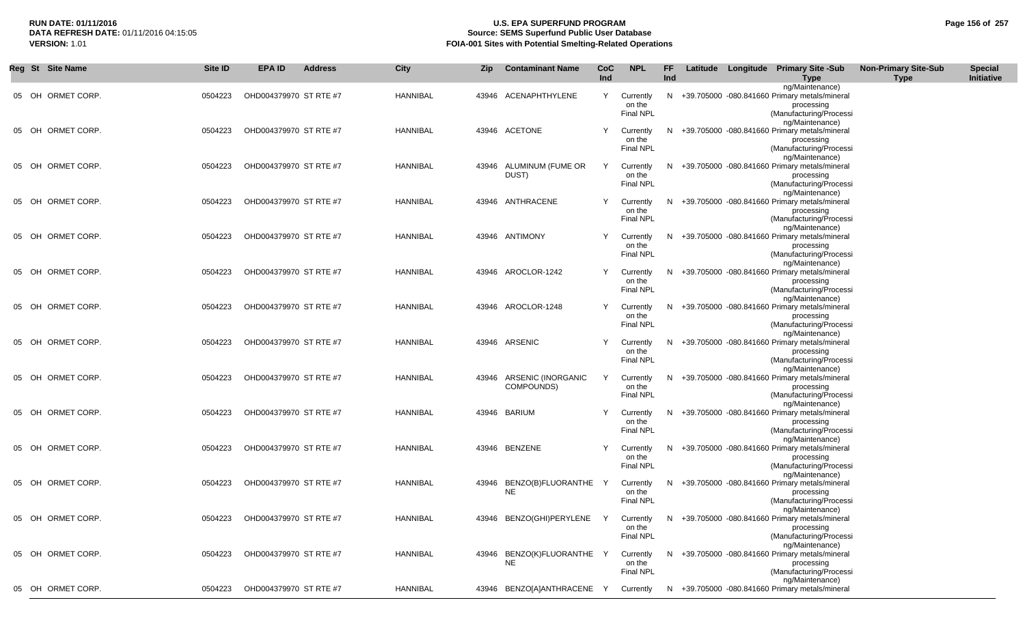## **RUN DATE: 01/11/2016 U.S. EPA SUPERFUND PROGRAM Page 156 of 257 Source: SEMS Superfund Public User Database VERSION:** 1.01 **FOIA-001 Sites with Potential Smelting-Related Operations**

| Reg St | <b>Site Name</b>  | Site ID | <b>EPA ID</b>          | <b>Address</b> | <b>City</b>     | Zip | <b>Contaminant Name</b>                 | CoC<br>Ind | <b>NPL</b>                              | FF<br>Ind | Latitude Longitude Primary Site -Sub<br><b>Type</b>                                                                          | <b>Non-Primary Site-Sub</b><br><b>Type</b> | <b>Special</b><br>Initiative |
|--------|-------------------|---------|------------------------|----------------|-----------------|-----|-----------------------------------------|------------|-----------------------------------------|-----------|------------------------------------------------------------------------------------------------------------------------------|--------------------------------------------|------------------------------|
|        | 05 OH ORMET CORP. | 0504223 | OHD004379970 ST RTE #7 |                | HANNIBAL        |     | 43946 ACENAPHTHYLENE                    | Y          | Currently<br>on the<br><b>Final NPL</b> |           | ng/Maintenance)<br>N +39.705000 -080.841660 Primary metals/mineral<br>processing<br>(Manufacturing/Processi                  |                                            |                              |
|        | 05 OH ORMET CORP. | 0504223 | OHD004379970 ST RTE #7 |                | HANNIBAL        |     | 43946 ACETONE                           | Y          | Currently<br>on the<br><b>Final NPL</b> | N.        | ng/Maintenance)<br>+39.705000 -080.841660 Primary metals/mineral<br>processing<br>(Manufacturing/Processi<br>ng/Maintenance) |                                            |                              |
| 05 OH  | ORMET CORP.       | 0504223 | OHD004379970 ST RTE #7 |                | HANNIBAL        |     | 43946 ALUMINUM (FUME OR<br>DUST)        | Y          | Currently<br>on the<br>Final NPL        | N         | +39.705000 -080.841660 Primary metals/mineral<br>processing<br>(Manufacturing/Processi                                       |                                            |                              |
| 05 OH  | ORMET CORP.       | 0504223 | OHD004379970 ST RTE #7 |                | HANNIBAL        |     | 43946 ANTHRACENE                        | Y          | Currently<br>on the<br>Final NPL        | N         | ng/Maintenance)<br>+39.705000 -080.841660 Primary metals/mineral<br>processing<br>(Manufacturing/Processi                    |                                            |                              |
| 05 OH  | ORMET CORP.       | 0504223 | OHD004379970 ST RTE #7 |                | HANNIBAL        |     | 43946 ANTIMONY                          | Y          | Currently<br>on the<br>Final NPL        | N         | ng/Maintenance)<br>+39.705000 -080.841660 Primary metals/mineral<br>processing<br>(Manufacturing/Processi                    |                                            |                              |
|        | 05 OH ORMET CORP. | 0504223 | OHD004379970 ST RTE #7 |                | <b>HANNIBAL</b> |     | 43946 AROCLOR-1242                      | Y          | Currently<br>on the<br>Final NPL        | N.        | ng/Maintenance)<br>+39.705000 -080.841660 Primary metals/mineral<br>processing<br>(Manufacturing/Processi                    |                                            |                              |
|        | 05 OH ORMET CORP. | 0504223 | OHD004379970 ST RTE #7 |                | <b>HANNIBAL</b> |     | 43946 AROCLOR-1248                      | Y          | Currently<br>on the<br>Final NPL        | N         | ng/Maintenance)<br>+39.705000 -080.841660 Primary metals/mineral<br>processing<br>(Manufacturing/Processi                    |                                            |                              |
|        | 05 OH ORMET CORP. | 0504223 | OHD004379970 ST RTE #7 |                | HANNIBAL        |     | 43946 ARSENIC                           | Y          | Currently<br>on the<br>Final NPL        | N         | ng/Maintenance)<br>+39.705000 -080.841660 Primary metals/mineral<br>processing<br>(Manufacturing/Processi                    |                                            |                              |
|        | 05 OH ORMET CORP. | 0504223 | OHD004379970 ST RTE #7 |                | HANNIBAL        |     | 43946 ARSENIC (INORGANIC<br>COMPOUNDS)  | Y          | Currently<br>on the<br><b>Final NPL</b> | N         | ng/Maintenance)<br>+39.705000 -080.841660 Primary metals/mineral<br>processing<br>(Manufacturing/Processi                    |                                            |                              |
|        | 05 OH ORMET CORP. | 0504223 | OHD004379970 ST RTE #7 |                | HANNIBAL        |     | 43946 BARIUM                            | Y          | Currently<br>on the<br><b>Final NPL</b> | N.        | ng/Maintenance)<br>+39.705000 -080.841660 Primary metals/mineral<br>processing<br>(Manufacturing/Processi                    |                                            |                              |
|        | 05 OH ORMET CORP. | 0504223 | OHD004379970 ST RTE #7 |                | HANNIBAL        |     | 43946 BENZENE                           | Y          | Currently<br>on the<br>Final NPL        | N.        | ng/Maintenance)<br>+39.705000 -080.841660 Primary metals/mineral<br>processing<br>(Manufacturing/Processi                    |                                            |                              |
|        | 05 OH ORMET CORP. | 0504223 | OHD004379970 ST RTE #7 |                | HANNIBAL        |     | 43946 BENZO(B)FLUORANTHE Y<br><b>NE</b> |            | Currently<br>on the<br><b>Final NPL</b> | N         | ng/Maintenance)<br>+39.705000 -080.841660 Primary metals/mineral<br>processing<br>(Manufacturing/Processi                    |                                            |                              |
|        | 05 OH ORMET CORP. | 0504223 | OHD004379970 ST RTE #7 |                | HANNIBAL        |     | 43946 BENZO(GHI)PERYLENE Y Currently    |            | on the<br>Final NPL                     |           | ng/Maintenance)<br>N +39.705000 -080.841660 Primary metals/mineral<br>processing<br>(Manufacturing/Processi                  |                                            |                              |
|        | 05 OH ORMET CORP. | 0504223 | OHD004379970 ST RTE #7 |                | HANNIBAL        |     | 43946 BENZO(K)FLUORANTHE Y<br>NE.       |            | Currently<br>on the<br>Final NPL        |           | ng/Maintenance)<br>N +39.705000 -080.841660 Primary metals/mineral<br>processing<br>(Manufacturing/Processi                  |                                            |                              |
|        | 05 OH ORMET CORP. | 0504223 | OHD004379970 ST RTE #7 |                | HANNIBAL        |     | 43946 BENZO[A]ANTHRACENE Y              |            | Currently                               |           | ng/Maintenance)<br>N +39.705000 -080.841660 Primary metals/mineral                                                           |                                            |                              |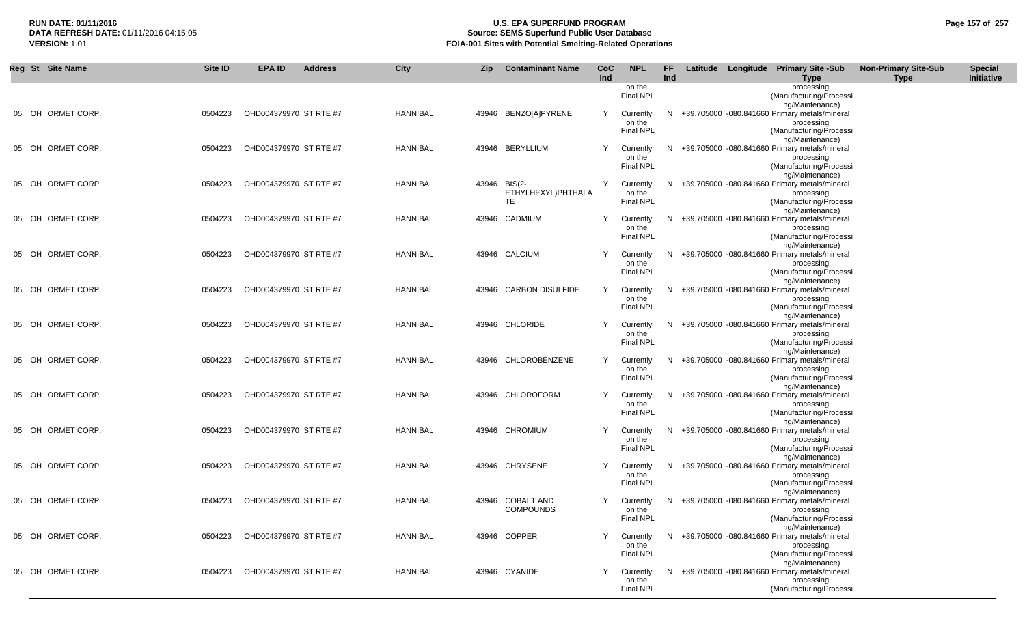## **RUN DATE: 01/11/2016 U.S. EPA SUPERFUND PROGRAM Page 157 of 257** DATA REFRESH DATE: 01/11/2016 04:15:05<br>**VERSION: 1.01** Source: SEMS Superfund Public User Database<br>FOIA-001 Sites with Potential Smelting-Related Operat **VERSION:** 1.01 **FOIA-001 Sites with Potential Smelting-Related Operations**

| Reg St Site Name  | Site ID | <b>EPA ID</b>          | <b>Address</b> | City            | <b>Zip</b> | <b>Contaminant Name</b>                   | CoC | <b>NPL</b>                              | FF. |  | Latitude Longitude Primary Site -Sub                                                                        | <b>Non-Primary Site-Sub</b> | <b>Special</b> |
|-------------------|---------|------------------------|----------------|-----------------|------------|-------------------------------------------|-----|-----------------------------------------|-----|--|-------------------------------------------------------------------------------------------------------------|-----------------------------|----------------|
|                   |         |                        |                |                 |            |                                           | Ind | on the<br><b>Final NPL</b>              | Ind |  | Type<br>processing<br>(Manufacturing/Processi<br>ng/Maintenance)                                            | <b>Type</b>                 | Initiative     |
| 05 OH ORMET CORP. | 0504223 | OHD004379970 ST RTE #7 |                | <b>HANNIBAL</b> |            | 43946 BENZO[A]PYRENE                      | Y   | Currently<br>on the<br><b>Final NPL</b> |     |  | N +39.705000 -080.841660 Primary metals/mineral<br>processing<br>(Manufacturing/Processi                    |                             |                |
| 05 OH ORMET CORP. | 0504223 | OHD004379970 ST RTE #7 |                | HANNIBAL        |            | 43946 BERYLLIUM                           | Y   | Currently<br>on the<br><b>Final NPL</b> |     |  | ng/Maintenance)<br>N +39.705000 -080.841660 Primary metals/mineral<br>processing<br>(Manufacturing/Processi |                             |                |
| 05 OH ORMET CORP. | 0504223 | OHD004379970 ST RTE #7 |                | HANNIBAL        |            | 43946 BIS(2-<br>ETHYLHEXYL)PHTHALA<br>TE. | Y   | Currently<br>on the<br><b>Final NPL</b> |     |  | ng/Maintenance)<br>N +39.705000 -080.841660 Primary metals/mineral<br>processing<br>(Manufacturing/Processi |                             |                |
| 05 OH ORMET CORP. | 0504223 | OHD004379970 ST RTE #7 |                | HANNIBAL        |            | 43946 CADMIUM                             | Y   | Currently<br>on the<br>Final NPL        |     |  | ng/Maintenance)<br>N +39.705000 -080.841660 Primary metals/mineral<br>processing<br>(Manufacturing/Processi |                             |                |
| 05 OH ORMET CORP. | 0504223 | OHD004379970 ST RTE #7 |                | <b>HANNIBAL</b> |            | 43946 CALCIUM                             | Y   | Currently<br>on the<br>Final NPL        |     |  | ng/Maintenance)<br>N +39.705000 -080.841660 Primary metals/mineral<br>processing<br>(Manufacturing/Processi |                             |                |
| 05 OH ORMET CORP. | 0504223 | OHD004379970 ST RTE #7 |                | HANNIBAL        |            | 43946 CARBON DISULFIDE                    | Y   | Currently<br>on the<br>Final NPL        |     |  | ng/Maintenance)<br>N +39.705000 -080.841660 Primary metals/mineral<br>processing<br>(Manufacturing/Processi |                             |                |
| 05 OH ORMET CORP. | 0504223 | OHD004379970 ST RTE #7 |                | HANNIBAL        |            | 43946 CHLORIDE                            | Y   | Currently<br>on the<br><b>Final NPL</b> |     |  | ng/Maintenance)<br>N +39.705000 -080.841660 Primary metals/mineral<br>processing<br>(Manufacturing/Processi |                             |                |
| 05 OH ORMET CORP. | 0504223 | OHD004379970 ST RTE #7 |                | <b>HANNIBAL</b> |            | 43946 CHLOROBENZENE                       | Y   | Currently<br>on the<br>Final NPL        |     |  | ng/Maintenance)<br>N +39.705000 -080.841660 Primary metals/mineral<br>processing<br>(Manufacturing/Processi |                             |                |
| 05 OH ORMET CORP. | 0504223 | OHD004379970 ST RTE #7 |                | <b>HANNIBAL</b> |            | 43946 CHLOROFORM                          | Y   | Currently<br>on the<br><b>Final NPL</b> |     |  | ng/Maintenance)<br>N +39.705000 -080.841660 Primary metals/mineral<br>processing<br>(Manufacturing/Processi |                             |                |
| 05 OH ORMET CORP. | 0504223 | OHD004379970 ST RTE #7 |                | HANNIBAL        |            | 43946 CHROMIUM                            | Y   | Currently<br>on the<br><b>Final NPL</b> |     |  | ng/Maintenance)<br>N +39.705000 -080.841660 Primary metals/mineral<br>processing<br>(Manufacturing/Processi |                             |                |
| 05 OH ORMET CORP. | 0504223 | OHD004379970 ST RTE #7 |                | HANNIBAL        |            | 43946 CHRYSENE                            | Y   | Currently<br>on the<br><b>Final NPL</b> |     |  | ng/Maintenance)<br>N +39.705000 -080.841660 Primary metals/mineral<br>processing<br>(Manufacturing/Processi |                             |                |
| 05 OH ORMET CORP. | 0504223 | OHD004379970 ST RTE #7 |                | HANNIBAL        |            | 43946 COBALT AND<br><b>COMPOUNDS</b>      | Y   | Currently<br>on the<br><b>Final NPL</b> |     |  | ng/Maintenance)<br>N +39.705000 -080.841660 Primary metals/mineral<br>processing<br>(Manufacturing/Processi |                             |                |
| 05 OH ORMET CORP. | 0504223 | OHD004379970 ST RTE #7 |                | <b>HANNIBAL</b> |            | 43946 COPPER                              | Y   | Currently<br>on the<br>Final NPL        |     |  | ng/Maintenance)<br>N +39.705000 -080.841660 Primary metals/mineral<br>processing<br>(Manufacturing/Processi |                             |                |
| 05 OH ORMET CORP. | 0504223 | OHD004379970 ST RTE #7 |                | HANNIBAL        |            | 43946 CYANIDE                             | Y   | Currently<br>on the<br>Final NPL        |     |  | ng/Maintenance)<br>N +39.705000 -080.841660 Primary metals/mineral<br>processing<br>(Manufacturing/Processi |                             |                |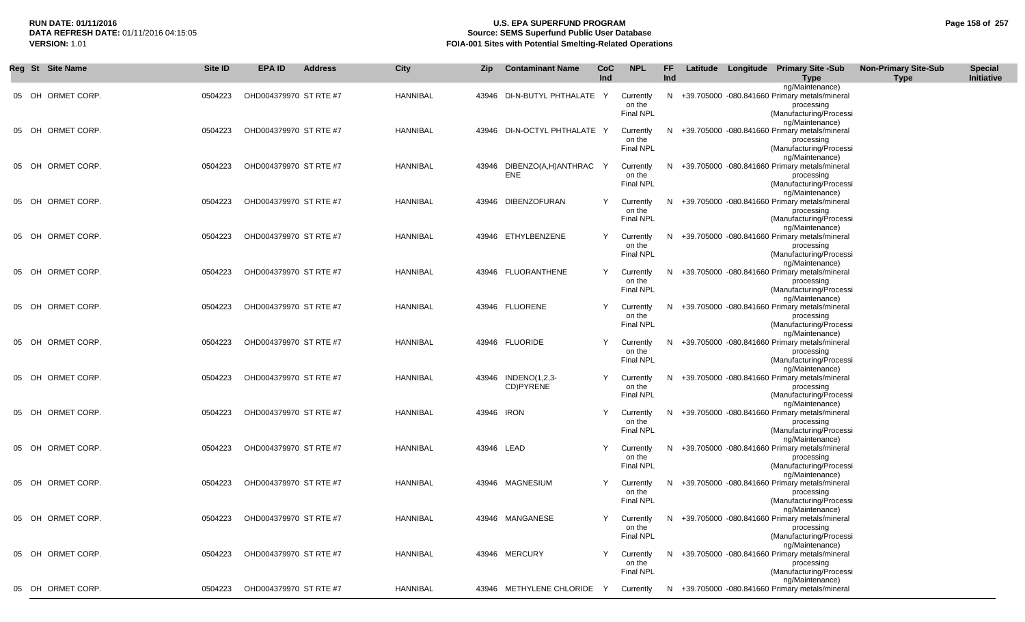## **RUN DATE: 01/11/2016 U.S. EPA SUPERFUND PROGRAM Page 158 of 257 Source: SEMS Superfund Public User Database VERSION:** 1.01 **FOIA-001 Sites with Potential Smelting-Related Operations**

|       | Reg St Site Name  | Site ID | <b>EPA ID</b>          | <b>Address</b> | City     | Zip        | <b>Contaminant Name</b>            | CoC<br>Ind | <b>NPL</b>                                | FF<br><b>Ind</b> |  | Latitude Longitude Primary Site -Sub<br><b>Type</b>                                                                            | <b>Non-Primary Site-Sub</b><br><b>Type</b> | <b>Special</b><br>Initiative |
|-------|-------------------|---------|------------------------|----------------|----------|------------|------------------------------------|------------|-------------------------------------------|------------------|--|--------------------------------------------------------------------------------------------------------------------------------|--------------------------------------------|------------------------------|
|       | 05 OH ORMET CORP. | 0504223 | OHD004379970 ST RTE #7 |                | HANNIBAL |            | 43946 DI-N-BUTYL PHTHALATE Y       |            | Currently<br>on the<br><b>Final NPL</b>   |                  |  | ng/Maintenance)<br>N +39.705000 -080.841660 Primary metals/mineral<br>processing<br>(Manufacturing/Processi                    |                                            |                              |
| 05 OH | ORMET CORP.       | 0504223 | OHD004379970 ST RTE #7 |                | HANNIBAL |            | 43946 DI-N-OCTYL PHTHALATE Y       |            | Currently<br>on the<br><b>Final NPL</b>   |                  |  | ng/Maintenance)<br>N +39.705000 -080.841660 Primary metals/mineral<br>processing<br>(Manufacturing/Processi<br>ng/Maintenance) |                                            |                              |
|       | 05 OH ORMET CORP. | 0504223 | OHD004379970 ST RTE #7 |                | HANNIBAL |            | 43946 DIBENZO(A,H)ANTHRAC Y<br>ENE |            | Currently<br>on the<br><b>Final NPL</b>   |                  |  | N +39.705000 -080.841660 Primary metals/mineral<br>processing<br>(Manufacturing/Processi<br>ng/Maintenance)                    |                                            |                              |
| 05 OH | ORMET CORP.       | 0504223 | OHD004379970 ST RTE #7 |                | HANNIBAL |            | 43946 DIBENZOFURAN                 | Y          | Currently<br>on the<br><b>Final NPL</b>   | N                |  | +39.705000 -080.841660 Primary metals/mineral<br>processing<br>(Manufacturing/Processi<br>ng/Maintenance)                      |                                            |                              |
|       | 05 OH ORMET CORP. | 0504223 | OHD004379970 ST RTE #7 |                | HANNIBAL |            | 43946 ETHYLBENZENE                 | Y          | Currently<br>on the<br>Final NPL          | N.               |  | +39.705000 -080.841660 Primary metals/mineral<br>processing<br>(Manufacturing/Processi<br>ng/Maintenance)                      |                                            |                              |
| 05 OH | ORMET CORP.       | 0504223 | OHD004379970 ST RTE #7 |                | HANNIBAL |            | 43946 FLUORANTHENE                 | Y          | Currently<br>on the<br>Final NPL          | N.               |  | +39.705000 -080.841660 Primary metals/mineral<br>processing<br>(Manufacturing/Processi<br>ng/Maintenance)                      |                                            |                              |
|       | 05 OH ORMET CORP. | 0504223 | OHD004379970 ST RTE #7 |                | HANNIBAL |            | 43946 FLUORENE                     | Y          | Currently<br>on the<br>Final NPL          | N.               |  | +39.705000 -080.841660 Primary metals/mineral<br>processing<br>(Manufacturing/Processi<br>ng/Maintenance)                      |                                            |                              |
| 05 OH | ORMET CORP.       | 0504223 | OHD004379970 ST RTE #7 |                | HANNIBAL |            | 43946 FLUORIDE                     | Y          | Currently<br>on the<br>Final NPL          |                  |  | N +39.705000 -080.841660 Primary metals/mineral<br>processing<br>(Manufacturing/Processi<br>ng/Maintenance)                    |                                            |                              |
| 05 OH | ORMET CORP.       | 0504223 | OHD004379970 ST RTE #7 |                | HANNIBAL |            | 43946 INDENO(1,2,3-<br>CD)PYRENE   | Y          | Currently<br>on the<br><b>Final NPL</b>   | N.               |  | +39.705000 -080.841660 Primary metals/mineral<br>processing<br>(Manufacturing/Processi<br>ng/Maintenance)                      |                                            |                              |
|       | 05 OH ORMET CORP. | 0504223 | OHD004379970 ST RTE #7 |                | HANNIBAL | 43946 IRON |                                    | Y          | Currently<br>on the<br>Final NPL          |                  |  | N +39.705000 -080.841660 Primary metals/mineral<br>processing<br>(Manufacturing/Processi<br>ng/Maintenance)                    |                                            |                              |
|       | 05 OH ORMET CORP. | 0504223 | OHD004379970 ST RTE #7 |                | HANNIBAL | 43946 LEAD |                                    | Y          | Currently<br>on the<br>Final NPL          | N.               |  | +39.705000 -080.841660 Primary metals/mineral<br>processing<br>(Manufacturing/Processi<br>ng/Maintenance)                      |                                            |                              |
|       | 05 OH ORMET CORP. | 0504223 | OHD004379970 ST RTE #7 |                | HANNIBAL |            | 43946 MAGNESIUM                    | Y          | Currently<br>on the<br>Final NPL          |                  |  | N +39.705000 -080.841660 Primary metals/mineral<br>processing<br>(Manufacturing/Processi<br>ng/Maintenance)                    |                                            |                              |
|       | 05 OH ORMET CORP. | 0504223 | OHD004379970 ST RTE #7 |                | HANNIBAL |            | 43946 MANGANESE                    |            | Y Currently<br>on the<br><b>Final NPL</b> |                  |  | N +39.705000 -080.841660 Primary metals/mineral<br>processing<br>(Manufacturing/Processi<br>ng/Maintenance)                    |                                            |                              |
|       | 05 OH ORMET CORP. | 0504223 | OHD004379970 ST RTE #7 |                | HANNIBAL |            | 43946 MERCURY                      | Y          | Currently<br>on the<br>Final NPL          |                  |  | N +39.705000 -080.841660 Primary metals/mineral<br>processing<br>(Manufacturing/Processi<br>ng/Maintenance)                    |                                            |                              |
|       | 05 OH ORMET CORP. | 0504223 | OHD004379970 ST RTE #7 |                | HANNIBAL |            | 43946 METHYLENE CHLORIDE Y         |            | Currently                                 |                  |  | N +39.705000 -080.841660 Primary metals/mineral                                                                                |                                            |                              |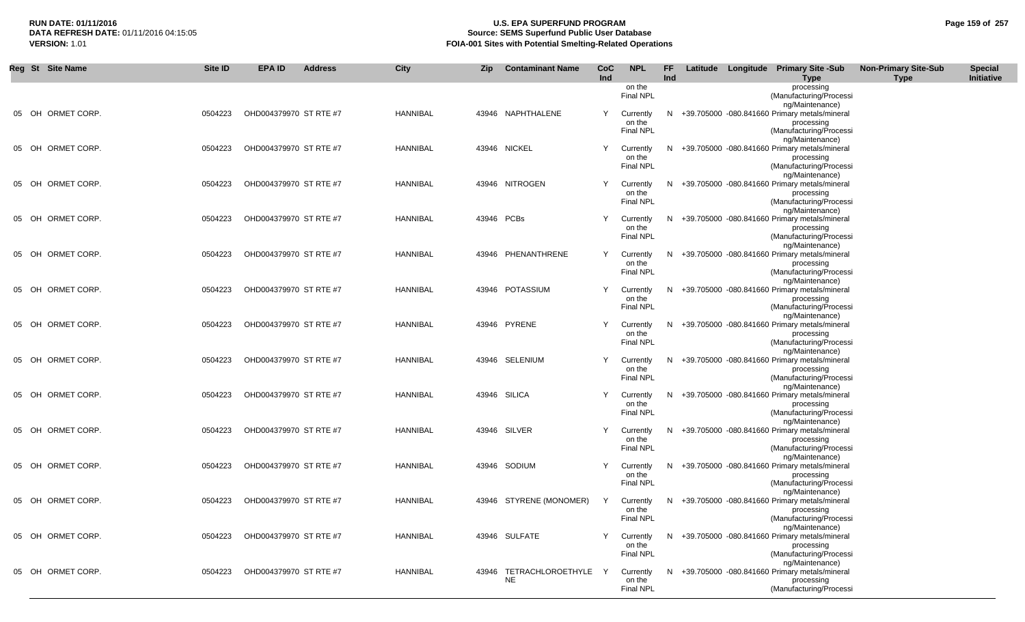## **RUN DATE: 01/11/2016 U.S. EPA SUPERFUND PROGRAM Page 159 of 257 Source: SEMS Superfund Public User Database VERSION:** 1.01 **FOIA-001 Sites with Potential Smelting-Related Operations**

| Reg St Site Name  | Site ID | <b>EPA ID</b>          | <b>Address</b> | City            | Zip        | <b>Contaminant Name</b> | CoC<br>Ind | <b>NPL</b>                              | FF.<br>Ind |  | Latitude Longitude Primary Site -Sub<br>Type                                                  | <b>Non-Primary Site-Sub</b><br><b>Type</b> | <b>Special</b><br>Initiative |
|-------------------|---------|------------------------|----------------|-----------------|------------|-------------------------|------------|-----------------------------------------|------------|--|-----------------------------------------------------------------------------------------------|--------------------------------------------|------------------------------|
|                   |         |                        |                |                 |            |                         |            | on the<br><b>Final NPL</b>              |            |  | processing<br>(Manufacturing/Processi<br>ng/Maintenance)                                      |                                            |                              |
| 05 OH ORMET CORP. | 0504223 | OHD004379970 ST RTE #7 |                | HANNIBAL        |            | 43946 NAPHTHALENE       | Y          | Currently<br>on the                     |            |  | N +39.705000 -080.841660 Primary metals/mineral<br>processing                                 |                                            |                              |
| 05 OH ORMET CORP. | 0504223 | OHD004379970 ST RTE #7 |                | HANNIBAL        |            | 43946 NICKEL            | Y          | Final NPL<br>Currently                  |            |  | (Manufacturing/Processi<br>ng/Maintenance)<br>N +39.705000 -080.841660 Primary metals/mineral |                                            |                              |
|                   |         |                        |                |                 |            |                         |            | on the<br>Final NPL                     |            |  | processing<br>(Manufacturing/Processi<br>ng/Maintenance)                                      |                                            |                              |
| 05 OH ORMET CORP. | 0504223 | OHD004379970 ST RTE #7 |                | HANNIBAL        |            | 43946 NITROGEN          | Y          | Currently<br>on the<br>Final NPL        |            |  | N +39.705000 -080.841660 Primary metals/mineral<br>processing<br>(Manufacturing/Processi      |                                            |                              |
| 05 OH ORMET CORP. | 0504223 | OHD004379970 ST RTE #7 |                | <b>HANNIBAL</b> | 43946 PCBs |                         | Y          | Currently                               |            |  | ng/Maintenance)<br>N +39.705000 -080.841660 Primary metals/mineral                            |                                            |                              |
|                   |         |                        |                |                 |            |                         |            | on the<br>Final NPL                     |            |  | processing<br>(Manufacturing/Processi<br>ng/Maintenance)                                      |                                            |                              |
| 05 OH ORMET CORP. | 0504223 | OHD004379970 ST RTE #7 |                | <b>HANNIBAL</b> |            | 43946 PHENANTHRENE      | Y          | Currently<br>on the<br><b>Final NPL</b> |            |  | N +39.705000 -080.841660 Primary metals/mineral<br>processing<br>(Manufacturing/Processi      |                                            |                              |
| 05 OH ORMET CORP. | 0504223 | OHD004379970 ST RTE #7 |                | HANNIBAL        |            | 43946 POTASSIUM         | Y          | Currently<br>on the                     |            |  | ng/Maintenance)<br>N +39.705000 -080.841660 Primary metals/mineral<br>processing              |                                            |                              |
| 05 OH ORMET CORP. | 0504223 | OHD004379970 ST RTE #7 |                | HANNIBAL        |            | 43946 PYRENE            | Y          | <b>Final NPL</b>                        |            |  | (Manufacturing/Processi<br>ng/Maintenance)<br>N +39.705000 -080.841660 Primary metals/mineral |                                            |                              |
|                   |         |                        |                |                 |            |                         |            | Currently<br>on the<br><b>Final NPL</b> |            |  | processing<br>(Manufacturing/Processi                                                         |                                            |                              |
| 05 OH ORMET CORP. | 0504223 | OHD004379970 ST RTE #7 |                | HANNIBAL        |            | 43946 SELENIUM          | Y          | Currently<br>on the                     |            |  | ng/Maintenance)<br>N +39.705000 -080.841660 Primary metals/mineral<br>processing              |                                            |                              |
| 05 OH ORMET CORP. | 0504223 | OHD004379970 ST RTE #7 |                | HANNIBAL        |            | 43946 SILICA            | Y          | <b>Final NPL</b><br>Currently           |            |  | (Manufacturing/Processi<br>ng/Maintenance)<br>N +39.705000 -080.841660 Primary metals/mineral |                                            |                              |
|                   |         |                        |                |                 |            |                         |            | on the<br><b>Final NPL</b>              |            |  | processing<br>(Manufacturing/Processi<br>ng/Maintenance)                                      |                                            |                              |
| 05 OH ORMET CORP. | 0504223 | OHD004379970 ST RTE #7 |                | HANNIBAL        |            | 43946 SILVER            | Y          | Currently<br>on the<br>Final NPL        |            |  | N +39.705000 -080.841660 Primary metals/mineral<br>processing<br>(Manufacturing/Processi      |                                            |                              |
| 05 OH ORMET CORP. | 0504223 | OHD004379970 ST RTE #7 |                | <b>HANNIBAL</b> |            | 43946 SODIUM            | Y          | Currently                               |            |  | ng/Maintenance)<br>N +39.705000 -080.841660 Primary metals/mineral                            |                                            |                              |
|                   |         |                        |                |                 |            |                         |            | on the<br>Final NPL                     |            |  | processing<br>(Manufacturing/Processi<br>ng/Maintenance)                                      |                                            |                              |
| 05 OH ORMET CORP. | 0504223 | OHD004379970 ST RTE #7 |                | HANNIBAL        |            | 43946 STYRENE (MONOMER) | Y          | Currently<br>on the<br><b>Final NPL</b> |            |  | N +39.705000 -080.841660 Primary metals/mineral<br>processing<br>(Manufacturing/Processi      |                                            |                              |
| 05 OH ORMET CORP. | 0504223 | OHD004379970 ST RTE #7 |                | <b>HANNIBAL</b> |            | 43946 SULFATE           | Y          | Currently<br>on the                     |            |  | ng/Maintenance)<br>N +39.705000 -080.841660 Primary metals/mineral<br>processing              |                                            |                              |
| 05 OH ORMET CORP. | 0504223 | OHD004379970 ST RTE #7 |                | HANNIBAL        | 43946      | TETRACHLOROETHYLE       |            | Final NPL<br>Currently                  |            |  | (Manufacturing/Processi<br>ng/Maintenance)<br>N +39.705000 -080.841660 Primary metals/mineral |                                            |                              |
|                   |         |                        |                |                 |            | NE                      |            | on the<br>Final NPL                     |            |  | processing<br>(Manufacturing/Processi                                                         |                                            |                              |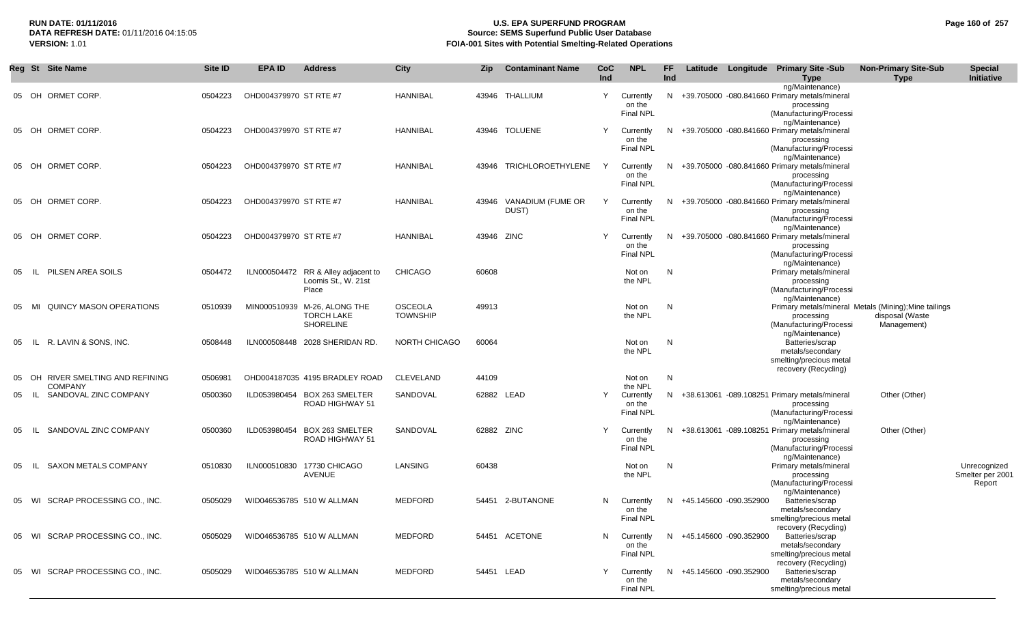#### **RUN DATE: 01/11/2016 U.S. EPA SUPERFUND PROGRAM Page 160 of 257 Source: SEMS Superfund Public User Database VERSION:** 1.01 **FOIA-001 Sites with Potential Smelting-Related Operations**

|    |       | Reg St Site Name                              | Site ID | <b>EPA ID</b>          | <b>Address</b>                                                        | <b>City</b>                       | Zip        | <b>Contaminant Name</b>          | CoC<br>Ind | <b>NPL</b>                              | FF.<br><b>Ind</b> |                          | Latitude Longitude Primary Site -Sub<br><b>Type</b>                                                                            | <b>Non-Primary Site-Sub</b><br><b>Type</b>                                              | <b>Special</b><br>Initiative               |
|----|-------|-----------------------------------------------|---------|------------------------|-----------------------------------------------------------------------|-----------------------------------|------------|----------------------------------|------------|-----------------------------------------|-------------------|--------------------------|--------------------------------------------------------------------------------------------------------------------------------|-----------------------------------------------------------------------------------------|--------------------------------------------|
|    |       | 05 OH ORMET CORP.                             | 0504223 | OHD004379970 ST RTE #7 |                                                                       | HANNIBAL                          |            | 43946 THALLIUM                   | Y          | Currently<br>on the<br><b>Final NPL</b> |                   |                          | ng/Maintenance)<br>N +39.705000 -080.841660 Primary metals/mineral<br>processing<br>(Manufacturing/Processi                    |                                                                                         |                                            |
|    |       | 05 OH ORMET CORP.                             | 0504223 | OHD004379970 ST RTE #7 |                                                                       | <b>HANNIBAL</b>                   |            | 43946 TOLUENE                    | Y          | Currently<br>on the<br><b>Final NPL</b> |                   |                          | ng/Maintenance)<br>N +39.705000 -080.841660 Primary metals/mineral<br>processing<br>(Manufacturing/Processi<br>ng/Maintenance) |                                                                                         |                                            |
|    |       | 05 OH ORMET CORP.                             | 0504223 | OHD004379970 ST RTE #7 |                                                                       | HANNIBAL                          |            | 43946 TRICHLOROETHYLENE          | Y          | Currently<br>on the<br>Final NPL        |                   |                          | N +39.705000 -080.841660 Primary metals/mineral<br>processing<br>(Manufacturing/Processi<br>ng/Maintenance)                    |                                                                                         |                                            |
|    |       | 05 OH ORMET CORP.                             | 0504223 | OHD004379970 ST RTE #7 |                                                                       | <b>HANNIBAL</b>                   |            | 43946 VANADIUM (FUME OR<br>DUST) | Y          | Currently<br>on the<br><b>Final NPL</b> |                   |                          | N +39.705000 -080.841660 Primary metals/mineral<br>processing<br>(Manufacturing/Processi<br>ng/Maintenance)                    |                                                                                         |                                            |
|    | 05 OH | ORMET CORP.                                   | 0504223 | OHD004379970 ST RTE #7 |                                                                       | HANNIBAL                          | 43946 ZINC |                                  | Υ          | Currently<br>on the<br>Final NPL        |                   |                          | N +39.705000 -080.841660 Primary metals/mineral<br>processing<br>(Manufacturing/Processi<br>ng/Maintenance)                    |                                                                                         |                                            |
| 05 | IL    | PILSEN AREA SOILS                             | 0504472 |                        | ILN000504472 RR & Alley adjacent to<br>Loomis St., W. 21st<br>Place   | <b>CHICAGO</b>                    | 60608      |                                  |            | Not on<br>the NPL                       | N                 |                          | Primary metals/mineral<br>processing<br>(Manufacturing/Processi<br>ng/Maintenance)                                             |                                                                                         |                                            |
| 05 | MI    | QUINCY MASON OPERATIONS                       | 0510939 |                        | MIN000510939 M-26, ALONG THE<br><b>TORCH LAKE</b><br><b>SHORELINE</b> | <b>OSCEOLA</b><br><b>TOWNSHIP</b> | 49913      |                                  |            | Not on<br>the NPL                       | N                 |                          | processing<br>(Manufacturing/Processi<br>ng/Maintenance)                                                                       | Primary metals/mineral Metals (Mining); Mine tailings<br>disposal (Waste<br>Management) |                                            |
| 05 | IL.   | R. LAVIN & SONS, INC.                         | 0508448 |                        | ILN000508448 2028 SHERIDAN RD.                                        | NORTH CHICAGO                     | 60064      |                                  |            | Not on<br>the NPL                       | N                 |                          | Batteries/scrap<br>metals/secondary<br>smelting/precious metal<br>recovery (Recycling)                                         |                                                                                         |                                            |
|    | 05 OH | RIVER SMELTING AND REFINING<br><b>COMPANY</b> | 0506981 |                        | OHD004187035 4195 BRADLEY ROAD                                        | CLEVELAND                         | 44109      |                                  |            | Not on<br>the NPL                       | N                 |                          |                                                                                                                                |                                                                                         |                                            |
| 05 | - IL  | SANDOVAL ZINC COMPANY                         | 0500360 |                        | ILD053980454 BOX 263 SMELTER<br>ROAD HIGHWAY 51                       | SANDOVAL                          |            | 62882 LEAD                       | Y          | Currently<br>on the<br><b>Final NPL</b> |                   |                          | N +38.613061 -089.108251 Primary metals/mineral<br>processing<br>(Manufacturing/Processi<br>ng/Maintenance)                    | Other (Other)                                                                           |                                            |
| 05 | -IL   | SANDOVAL ZINC COMPANY                         | 0500360 |                        | ILD053980454 BOX 263 SMELTER<br>ROAD HIGHWAY 51                       | SANDOVAL                          | 62882 ZINC |                                  | Y          | Currently<br>on the<br>Final NPL        |                   |                          | N +38.613061 -089.108251 Primary metals/mineral<br>processing<br>(Manufacturing/Processi<br>ng/Maintenance)                    | Other (Other)                                                                           |                                            |
| 05 | - IL  | <b>SAXON METALS COMPANY</b>                   | 0510830 |                        | ILN000510830 17730 CHICAGO<br>AVENUE                                  | LANSING                           | 60438      |                                  |            | Not on<br>the NPL                       | N                 |                          | Primary metals/mineral<br>processing<br>(Manufacturing/Processi<br>ng/Maintenance)                                             |                                                                                         | Unrecognized<br>Smelter per 2001<br>Report |
| 05 | WI    | SCRAP PROCESSING CO., INC.                    | 0505029 |                        | WID046536785 510 W ALLMAN                                             | MEDFORD                           |            | 54451 2-BUTANONE                 | N          | Currently<br>on the<br>Final NPL        |                   | N +45.145600 -090.352900 | Batteries/scrap<br>metals/secondary<br>smelting/precious metal<br>recovery (Recycling)                                         |                                                                                         |                                            |
| 05 | WI    | SCRAP PROCESSING CO., INC.                    | 0505029 |                        | WID046536785 510 W ALLMAN                                             | <b>MEDFORD</b>                    |            | 54451 ACETONE                    | N          | Currently<br>on the<br><b>Final NPL</b> |                   | N +45.145600 -090.352900 | Batteries/scrap<br>metals/secondary<br>smelting/precious metal<br>recovery (Recycling)                                         |                                                                                         |                                            |
| 05 | WI    | SCRAP PROCESSING CO., INC.                    | 0505029 |                        | WID046536785 510 W ALLMAN                                             | MEDFORD                           |            | 54451 LEAD                       | Y          | Currently<br>on the<br><b>Final NPL</b> |                   | N +45.145600 -090.352900 | Batteries/scrap<br>metals/secondary<br>smelting/precious metal                                                                 |                                                                                         |                                            |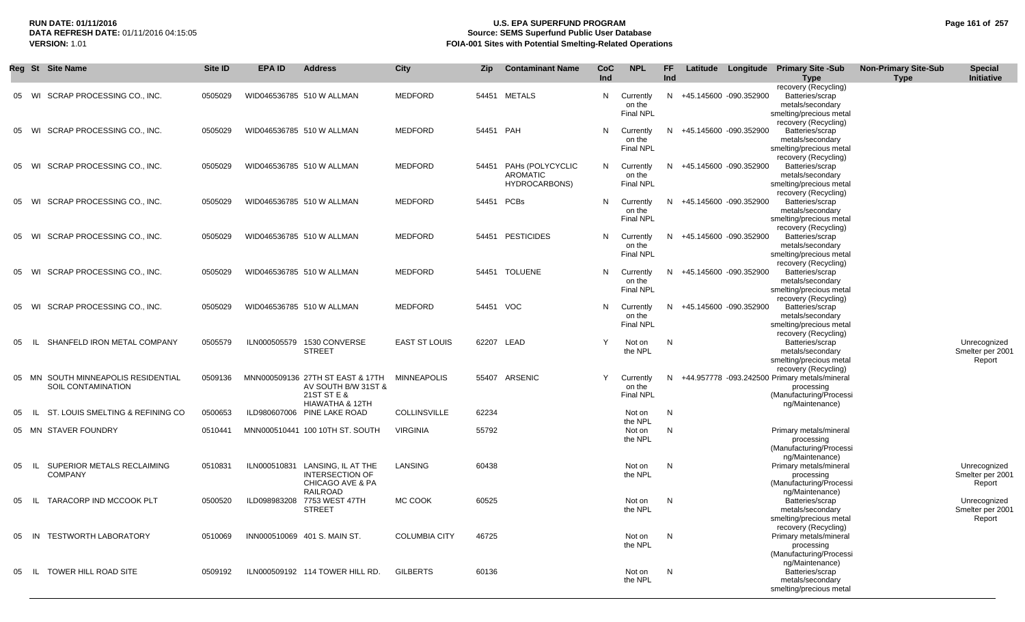## **RUN DATE: 01/11/2016 U.S. EPA SUPERFUND PROGRAM Page 161 of 257 Source: SEMS Superfund Public User Database VERSION:** 1.01 **FOIA-001 Sites with Potential Smelting-Related Operations**

|    |      | Reg St Site Name                                       | Site ID | <b>EPA ID</b> | <b>Address</b>                                                                             | <b>City</b>          | Zip       | <b>Contaminant Name</b>                              | CoC<br>Ind | <b>NPL</b>                              | FF.<br>Ind | Latitude Longitude       | <b>Primary Site -Sub</b><br><b>Type</b>                                                                        | <b>Non-Primary Site-Sub</b><br><b>Type</b> | <b>Special</b><br>Initiative               |
|----|------|--------------------------------------------------------|---------|---------------|--------------------------------------------------------------------------------------------|----------------------|-----------|------------------------------------------------------|------------|-----------------------------------------|------------|--------------------------|----------------------------------------------------------------------------------------------------------------|--------------------------------------------|--------------------------------------------|
| 05 |      | WI SCRAP PROCESSING CO., INC.                          | 0505029 |               | WID046536785 510 W ALLMAN                                                                  | <b>MEDFORD</b>       | 54451     | <b>METALS</b>                                        | N          | Currently<br>on the<br><b>Final NPL</b> |            | N +45.145600 -090.352900 | recovery (Recycling)<br>Batteries/scrap<br>metals/secondary<br>smelting/precious metal<br>recovery (Recycling) |                                            |                                            |
| 05 | WI   | SCRAP PROCESSING CO., INC.                             | 0505029 |               | WID046536785 510 W ALLMAN                                                                  | <b>MEDFORD</b>       | 54451 PAH |                                                      | N          | Currently<br>on the<br><b>Final NPL</b> |            | N +45.145600 -090.352900 | Batteries/scrap<br>metals/secondary<br>smelting/precious metal                                                 |                                            |                                            |
| 05 | WI   | SCRAP PROCESSING CO., INC.                             | 0505029 |               | WID046536785 510 W ALLMAN                                                                  | MEDFORD              | 54451     | PAHs (POLYCYCLIC<br><b>AROMATIC</b><br>HYDROCARBONS) | N          | Currently<br>on the<br><b>Final NPL</b> |            | N +45.145600 -090.352900 | recovery (Recycling)<br>Batteries/scrap<br>metals/secondary<br>smelting/precious metal                         |                                            |                                            |
| 05 | WI   | SCRAP PROCESSING CO., INC.                             | 0505029 |               | WID046536785 510 W ALLMAN                                                                  | <b>MEDFORD</b>       | 54451     | PCBs                                                 | N          | Currently<br>on the<br><b>Final NPL</b> |            | N +45.145600 -090.352900 | recovery (Recycling)<br>Batteries/scrap<br>metals/secondary<br>smelting/precious metal                         |                                            |                                            |
| 05 | WI   | SCRAP PROCESSING CO., INC.                             | 0505029 |               | WID046536785 510 W ALLMAN                                                                  | MEDFORD              | 54451     | <b>PESTICIDES</b>                                    | N          | Currently<br>on the<br><b>Final NPL</b> |            | N +45.145600 -090.352900 | recovery (Recycling)<br>Batteries/scrap<br>metals/secondary<br>smelting/precious metal                         |                                            |                                            |
| 05 | WI   | SCRAP PROCESSING CO., INC.                             | 0505029 |               | WID046536785 510 W ALLMAN                                                                  | MEDFORD              | 54451     | <b>TOLUENE</b>                                       | N          | Currently<br>on the<br><b>Final NPL</b> |            | N +45.145600 -090.352900 | recovery (Recycling)<br>Batteries/scrap<br>metals/secondary<br>smelting/precious metal                         |                                            |                                            |
| 05 | WI   | SCRAP PROCESSING CO., INC.                             | 0505029 |               | WID046536785 510 W ALLMAN                                                                  | MEDFORD              | 54451 VOC |                                                      | N          | Currently<br>on the<br><b>Final NPL</b> |            | N +45.145600 -090.352900 | recovery (Recycling)<br>Batteries/scrap<br>metals/secondary<br>smelting/precious metal                         |                                            |                                            |
| 05 |      | SHANFELD IRON METAL COMPANY                            | 0505579 | ILN000505579  | 1530 CONVERSE<br><b>STREET</b>                                                             | <b>EAST ST LOUIS</b> |           | 62207 LEAD                                           | Y          | Not on<br>the NPL                       | N          |                          | recovery (Recycling)<br>Batteries/scrap<br>metals/secondary<br>smelting/precious metal<br>recovery (Recycling) |                                            | Unrecognized<br>Smelter per 2001<br>Report |
| 05 |      | MN SOUTH MINNEAPOLIS RESIDENTIAL<br>SOIL CONTAMINATION | 0509136 |               | MNN000509136 27TH ST EAST & 17TH<br>AV SOUTH B/W 31ST &<br>21 ST ST E &<br>HIAWATHA & 12TH | <b>MINNEAPOLIS</b>   |           | 55407 ARSENIC                                        | Y          | Currently<br>on the<br><b>Final NPL</b> |            |                          | N +44.957778 -093.242500 Primary metals/mineral<br>processing<br>(Manufacturing/Processi<br>ng/Maintenance)    |                                            |                                            |
| 05 |      | ST. LOUIS SMELTING & REFINING CO                       | 0500653 |               | ILD980607006 PINE LAKE ROAD                                                                | COLLINSVILLE         | 62234     |                                                      |            | Not on<br>the NPL                       | N          |                          |                                                                                                                |                                            |                                            |
|    |      | 05 MN STAVER FOUNDRY                                   | 0510441 |               | MNN000510441 100 10TH ST. SOUTH                                                            | <b>VIRGINIA</b>      | 55792     |                                                      |            | Not on<br>the NPL                       | N          |                          | Primary metals/mineral<br>processing<br>(Manufacturing/Processi<br>ng/Maintenance)                             |                                            |                                            |
| 05 | - IL | SUPERIOR METALS RECLAIMING<br><b>COMPANY</b>           | 0510831 | ILN000510831  | LANSING, IL AT THE<br><b>INTERSECTION OF</b><br>CHICAGO AVE & PA<br><b>RAILROAD</b>        | LANSING              | 60438     |                                                      |            | Not on<br>the NPL                       | N          |                          | Primary metals/mineral<br>processing<br>(Manufacturing/Processi<br>ng/Maintenance)                             |                                            | Unrecognized<br>Smelter per 2001<br>Report |
| 05 | -lL  | TARACORP IND MCCOOK PLT                                | 0500520 | ILD098983208  | 7753 WEST 47TH<br><b>STREET</b>                                                            | MC COOK              | 60525     |                                                      |            | Not on<br>the NPL                       | N          |                          | Batteries/scrap<br>metals/secondary<br>smelting/precious metal<br>recovery (Recycling)                         |                                            | Unrecognized<br>Smelter per 2001<br>Report |
| 05 | IN   | <b>TESTWORTH LABORATORY</b>                            | 0510069 |               | INN000510069 401 S. MAIN ST.                                                               | <b>COLUMBIA CITY</b> | 46725     |                                                      |            | Not on<br>the NPL                       | N          |                          | Primary metals/mineral<br>processing<br>(Manufacturing/Processi<br>ng/Maintenance)                             |                                            |                                            |
| 05 | IL.  | TOWER HILL ROAD SITE                                   | 0509192 |               | ILN000509192 114 TOWER HILL RD.                                                            | <b>GILBERTS</b>      | 60136     |                                                      |            | Not on<br>the NPL                       | N          |                          | Batteries/scrap<br>metals/secondary<br>smelting/precious metal                                                 |                                            |                                            |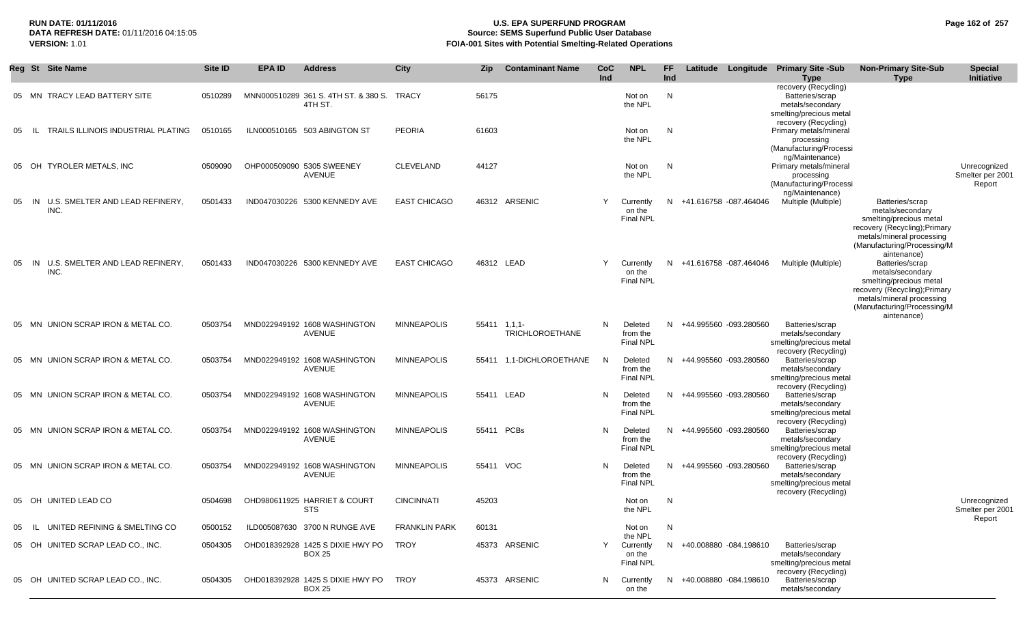#### **RUN DATE: 01/11/2016 U.S. EPA SUPERFUND PROGRAM Page 162 of 257** DATA REFRESH DATE: 01/11/2016 04:15:05<br>**VERSION: 1.01** Source: SEMS Superfund Public User Database<br>FOIA-001 Sites with Potential Smelting-Related Operat **VERSION:** 1.01 **FOIA-001 Sites with Potential Smelting-Related Operations**

|          | Reg St Site Name                              | Site ID | <b>EPA ID</b> | <b>Address</b>                                    | City                 | <b>Zip</b> | <b>Contaminant Name</b>                   | CoC<br>Ind | <b>NPL</b>                                         | FF.<br>Ind |                          | Latitude Longitude Primary Site -Sub<br><b>Type</b>                                                            | <b>Non-Primary Site-Sub</b><br><b>Type</b>                                                                                                                                 | <b>Special</b><br>Initiative               |
|----------|-----------------------------------------------|---------|---------------|---------------------------------------------------|----------------------|------------|-------------------------------------------|------------|----------------------------------------------------|------------|--------------------------|----------------------------------------------------------------------------------------------------------------|----------------------------------------------------------------------------------------------------------------------------------------------------------------------------|--------------------------------------------|
|          | 05 MN TRACY LEAD BATTERY SITE                 | 0510289 |               | MNN000510289 361 S. 4TH ST. & 380 S.<br>4TH ST.   | TRACY                | 56175      |                                           |            | Not on<br>the NPL                                  | N          |                          | recovery (Recycling)<br>Batteries/scrap<br>metals/secondary<br>smelting/precious metal                         |                                                                                                                                                                            |                                            |
| 05       | TRAILS ILLINOIS INDUSTRIAL PLATING<br>- IL -  | 0510165 |               | ILN000510165 503 ABINGTON ST                      | <b>PEORIA</b>        | 61603      |                                           |            | Not on<br>the NPL                                  | N          |                          | recovery (Recycling)<br>Primary metals/mineral<br>processing<br>(Manufacturing/Processi<br>ng/Maintenance)     |                                                                                                                                                                            |                                            |
|          | 05 OH TYROLER METALS, INC                     | 0509090 |               | OHP000509090 5305 SWEENEY<br><b>AVENUE</b>        | CLEVELAND            | 44127      |                                           |            | Not on<br>the NPL                                  | N          |                          | Primary metals/mineral<br>processing<br>(Manufacturing/Processi<br>ng/Maintenance)                             |                                                                                                                                                                            | Unrecognized<br>Smelter per 2001<br>Report |
| 05<br>IN | U.S. SMELTER AND LEAD REFINERY,<br>INC.       | 0501433 |               | IND047030226 5300 KENNEDY AVE                     | <b>EAST CHICAGO</b>  |            | 46312 ARSENIC                             | Y          | Currently<br>on the<br>Final NPL                   |            | N +41.616758 -087.464046 | Multiple (Multiple)                                                                                            | Batteries/scrap<br>metals/secondary<br>smelting/precious metal<br>recovery (Recycling); Primary<br>metals/mineral processing<br>(Manufacturing/Processing/M<br>aintenance) |                                            |
| 05       | U.S. SMELTER AND LEAD REFINERY.<br>IN<br>INC. | 0501433 |               | IND047030226 5300 KENNEDY AVE                     | <b>EAST CHICAGO</b>  |            | 46312 LEAD                                | Y          | Currently<br>on the<br><b>Final NPL</b>            |            | N +41.616758 -087.464046 | Multiple (Multiple)                                                                                            | Batteries/scrap<br>metals/secondary<br>smelting/precious metal<br>recovery (Recycling); Primary<br>metals/mineral processing<br>(Manufacturing/Processing/M<br>aintenance) |                                            |
|          | 05 MN UNION SCRAP IRON & METAL CO.            | 0503754 |               | MND022949192 1608 WASHINGTON<br>AVENUE            | <b>MINNEAPOLIS</b>   |            | $55411$ $1,1,1$<br><b>TRICHLOROETHANE</b> | N.         | Deleted<br>from the<br><b>Final NPL</b>            |            | N +44.995560 -093.280560 | Batteries/scrap<br>metals/secondary<br>smelting/precious metal<br>recovery (Recycling)                         |                                                                                                                                                                            |                                            |
|          | 05 MN UNION SCRAP IRON & METAL CO.            | 0503754 |               | MND022949192 1608 WASHINGTON<br>AVENUE            | <b>MINNEAPOLIS</b>   | 55411      | 1,1-DICHLOROETHANE                        | - N        | Deleted<br>from the<br>Final NPL                   |            | N +44.995560 -093.280560 | Batteries/scrap<br>metals/secondary<br>smelting/precious metal<br>recovery (Recycling)                         |                                                                                                                                                                            |                                            |
|          | 05 MN UNION SCRAP IRON & METAL CO.            | 0503754 |               | MND022949192 1608 WASHINGTON<br>AVENUE            | <b>MINNEAPOLIS</b>   |            | 55411 LEAD                                | N          | Deleted<br>from the<br><b>Final NPL</b>            |            | N +44.995560 -093.280560 | Batteries/scrap<br>metals/secondary<br>smelting/precious metal<br>recovery (Recycling)                         |                                                                                                                                                                            |                                            |
|          | 05 MN UNION SCRAP IRON & METAL CO.            | 0503754 |               | MND022949192 1608 WASHINGTON<br>AVENUE            | <b>MINNEAPOLIS</b>   |            | 55411 PCBs                                | N          | Deleted<br>from the<br><b>Final NPL</b>            |            | N +44.995560 -093.280560 | Batteries/scrap<br>metals/secondary<br>smelting/precious metal                                                 |                                                                                                                                                                            |                                            |
|          | 05 MN UNION SCRAP IRON & METAL CO.            | 0503754 |               | MND022949192 1608 WASHINGTON<br>AVENUE            | <b>MINNEAPOLIS</b>   | 55411 VOC  |                                           | N          | Deleted<br>from the<br><b>Final NPL</b>            |            | N +44.995560 -093.280560 | recovery (Recycling)<br>Batteries/scrap<br>metals/secondary<br>smelting/precious metal<br>recovery (Recycling) |                                                                                                                                                                            |                                            |
|          | 05 OH UNITED LEAD CO                          | 0504698 |               | OHD980611925 HARRIET & COURT<br>STS               | <b>CINCINNATI</b>    | 45203      |                                           |            | Not on<br>the NPL                                  | N          |                          |                                                                                                                |                                                                                                                                                                            | Unrecognized<br>Smelter per 2001           |
|          | 05 IL UNITED REFINING & SMELTING CO           | 0500152 |               | ILD005087630 3700 N RUNGE AVE                     | <b>FRANKLIN PARK</b> | 60131      |                                           |            | Not on                                             | N          |                          |                                                                                                                |                                                                                                                                                                            | Report                                     |
|          | 05 OH UNITED SCRAP LEAD CO., INC.             | 0504305 |               | OHD018392928 1425 S DIXIE HWY PO<br><b>BOX 25</b> | TROY                 |            | 45373 ARSENIC                             | Y          | the NPL<br>Currently<br>on the<br><b>Final NPL</b> |            | N +40.008880 -084.198610 | Batteries/scrap<br>metals/secondary<br>smelting/precious metal<br>recovery (Recycling)                         |                                                                                                                                                                            |                                            |
|          | 05 OH UNITED SCRAP LEAD CO., INC.             | 0504305 |               | OHD018392928 1425 S DIXIE HWY PO<br><b>BOX 25</b> | TROY                 |            | 45373 ARSENIC                             | N          | Currently<br>on the                                |            | N +40.008880 -084.198610 | Batteries/scrap<br>metals/secondary                                                                            |                                                                                                                                                                            |                                            |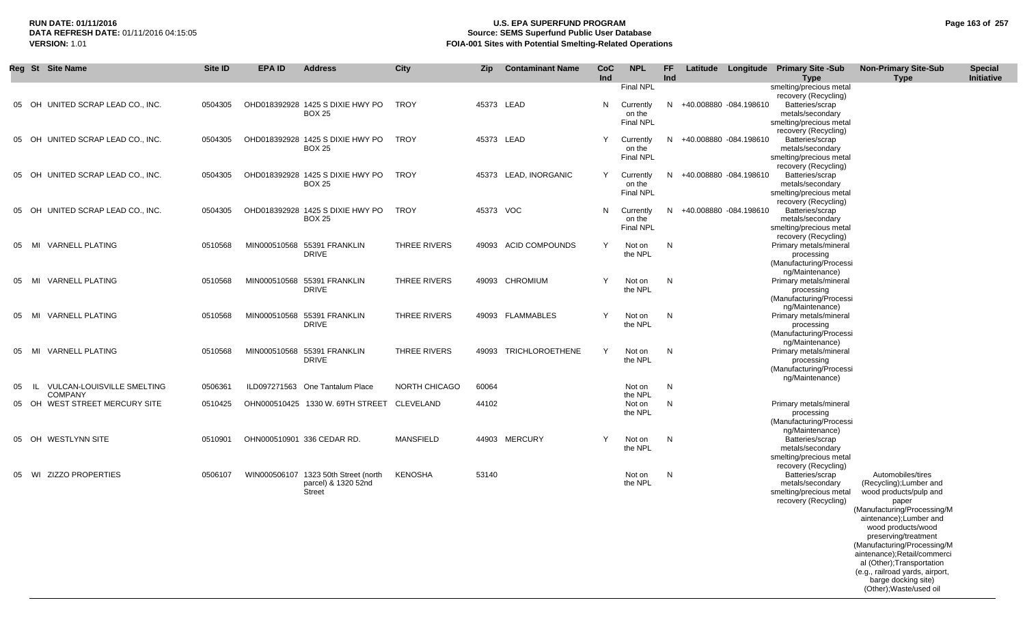## **RUN DATE: 01/11/2016 U.S. EPA SUPERFUND PROGRAM Page 163 of 257 Source: SEMS Superfund Public User Database VERSION:** 1.01 **FOIA-001 Sites with Potential Smelting-Related Operations**

|    | Reg St Site Name                                 | Site ID | <b>EPA ID</b> | <b>Address</b>                                                        | City                 | <b>Zip</b> | <b>Contaminant Name</b> | CoC<br>Ind | <b>NPL</b>                                           | FF.<br>Ind |                          | Latitude Longitude Primary Site -Sub<br><b>Type</b>                                                               | <b>Non-Primary Site-Sub</b><br><b>Type</b>                                                                                                                                                                            | <b>Special</b><br>Initiative |
|----|--------------------------------------------------|---------|---------------|-----------------------------------------------------------------------|----------------------|------------|-------------------------|------------|------------------------------------------------------|------------|--------------------------|-------------------------------------------------------------------------------------------------------------------|-----------------------------------------------------------------------------------------------------------------------------------------------------------------------------------------------------------------------|------------------------------|
|    | 05 OH UNITED SCRAP LEAD CO., INC.                | 0504305 |               | OHD018392928 1425 S DIXIE HWY PO<br><b>BOX 25</b>                     | TROY                 |            | 45373 LEAD              | N          | Final NPL<br>Currently<br>on the<br><b>Final NPL</b> |            | N +40.008880 -084.198610 | smelting/precious metal<br>recovery (Recycling)<br>Batteries/scrap<br>metals/secondary<br>smelting/precious metal |                                                                                                                                                                                                                       |                              |
|    | 05 OH UNITED SCRAP LEAD CO., INC.                | 0504305 |               | OHD018392928 1425 S DIXIE HWY PO<br><b>BOX 25</b>                     | TROY                 |            | 45373 LEAD              | Y          | Currently<br>on the<br><b>Final NPL</b>              |            | N +40.008880 -084.198610 | recovery (Recycling)<br>Batteries/scrap<br>metals/secondary<br>smelting/precious metal                            |                                                                                                                                                                                                                       |                              |
| 05 | OH UNITED SCRAP LEAD CO., INC.                   | 0504305 |               | OHD018392928 1425 S DIXIE HWY PO<br><b>BOX 25</b>                     | TROY                 |            | 45373 LEAD, INORGANIC   | Y          | Currently<br>on the<br><b>Final NPL</b>              | N.         | +40.008880 -084.198610   | recovery (Recycling)<br>Batteries/scrap<br>metals/secondary<br>smelting/precious metal                            |                                                                                                                                                                                                                       |                              |
| 05 | OH UNITED SCRAP LEAD CO., INC.                   | 0504305 |               | OHD018392928 1425 S DIXIE HWY PO<br><b>BOX 25</b>                     | TROY                 | 45373 VOC  |                         | N.         | Currently<br>on the<br>Final NPL                     | N.         | +40.008880 -084.198610   | recovery (Recycling)<br>Batteries/scrap<br>metals/secondary<br>smelting/precious metal                            |                                                                                                                                                                                                                       |                              |
| 05 | <b>VARNELL PLATING</b><br>MI                     | 0510568 |               | MIN000510568 55391 FRANKLIN<br><b>DRIVE</b>                           | THREE RIVERS         | 49093      | ACID COMPOUNDS          | Y          | Not on<br>the NPL                                    | N          |                          | recovery (Recycling)<br>Primary metals/mineral<br>processing<br>(Manufacturing/Processi                           |                                                                                                                                                                                                                       |                              |
|    | 05 MI VARNELL PLATING                            | 0510568 |               | MIN000510568 55391 FRANKLIN<br><b>DRIVE</b>                           | <b>THREE RIVERS</b>  |            | 49093 CHROMIUM          | Y          | Not on<br>the NPL                                    | N          |                          | ng/Maintenance)<br>Primary metals/mineral<br>processing<br>(Manufacturing/Processi                                |                                                                                                                                                                                                                       |                              |
| 05 | MI VARNELL PLATING                               | 0510568 |               | MIN000510568 55391 FRANKLIN<br><b>DRIVE</b>                           | <b>THREE RIVERS</b>  |            | 49093 FLAMMABLES        | Y          | Not on<br>the NPL                                    | N          |                          | ng/Maintenance)<br>Primary metals/mineral<br>processing<br>(Manufacturing/Processi                                |                                                                                                                                                                                                                       |                              |
| 05 | <b>VARNELL PLATING</b><br>MI                     | 0510568 |               | MIN000510568 55391 FRANKLIN<br><b>DRIVE</b>                           | THREE RIVERS         | 49093      | <b>TRICHLOROETHENE</b>  | Y          | Not on<br>the NPL                                    | N          |                          | ng/Maintenance)<br>Primary metals/mineral<br>processing<br>(Manufacturing/Processi                                |                                                                                                                                                                                                                       |                              |
| 05 | <b>VULCAN-LOUISVILLE SMELTING</b><br>-IL         | 0506361 |               | ILD097271563 One Tantalum Place                                       | <b>NORTH CHICAGO</b> | 60064      |                         |            | Not on                                               | N          |                          | ng/Maintenance)                                                                                                   |                                                                                                                                                                                                                       |                              |
|    | <b>COMPANY</b><br>05 OH WEST STREET MERCURY SITE | 0510425 |               | OHN000510425 1330 W. 69TH STREET                                      | CLEVELAND            | 44102      |                         |            | the NPL<br>Not on<br>the NPL                         | N          |                          | Primary metals/mineral<br>processing<br>(Manufacturing/Processi                                                   |                                                                                                                                                                                                                       |                              |
|    | 05 OH WESTLYNN SITE                              | 0510901 |               | OHN000510901 336 CEDAR RD.                                            | <b>MANSFIELD</b>     |            | 44903 MERCURY           | Y          | Not on<br>the NPL                                    | N          |                          | ng/Maintenance)<br>Batteries/scrap<br>metals/secondary<br>smelting/precious metal                                 |                                                                                                                                                                                                                       |                              |
|    | 05 WI ZIZZO PROPERTIES                           | 0506107 |               | WIN000506107 1323 50th Street (north<br>parcel) & 1320 52nd<br>Street | KENOSHA              | 53140      |                         |            | Not on<br>the NPL                                    | N          |                          | recovery (Recycling)<br>Batteries/scrap<br>metals/secondary<br>smelting/precious metal<br>recovery (Recycling)    | Automobiles/tires<br>(Recycling); Lumber and<br>wood products/pulp and<br>paper<br>(Manufacturing/Processing/M<br>aintenance);Lumber and<br>wood products/wood<br>preserving/treatment<br>(Manufacturing/Processing/M |                              |
|    |                                                  |         |               |                                                                       |                      |            |                         |            |                                                      |            |                          |                                                                                                                   | aintenance);Retail/commerci<br>al (Other); Transportation<br>(e.g., railroad yards, airport,<br>barge docking site)<br>(Other); Waste/used oil                                                                        |                              |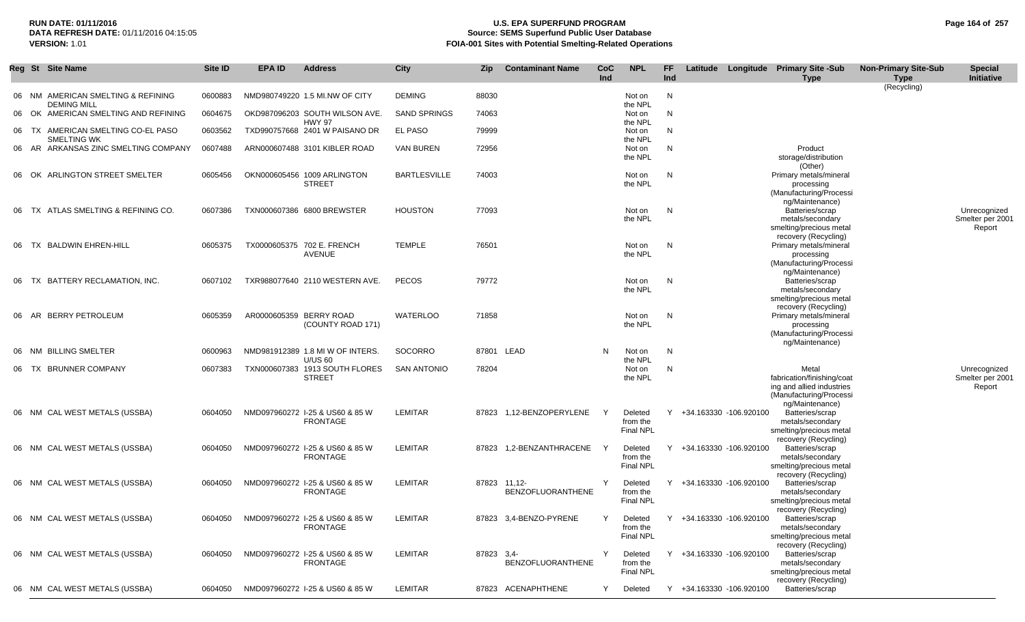## **RUN DATE: 01/11/2016 U.S. EPA SUPERFUND PROGRAM Page 164 of 257 Source: SEMS Superfund Public User Database VERSION:** 1.01 **FOIA-001 Sites with Potential Smelting-Related Operations**

|    | Reg St Site Name                                           | <b>Site ID</b> | <b>EPA ID</b>           | <b>Address</b>                                                    | City                | Zip        | <b>Contaminant Name</b>                  | <b>CoC</b><br>Ind | <b>NPL</b>                              | FF.<br>Ind   |                          | Latitude Longitude Primary Site -Sub<br><b>Type</b>                                                            | <b>Non-Primary Site-Sub</b><br><b>Type</b> | <b>Special</b><br>Initiative               |
|----|------------------------------------------------------------|----------------|-------------------------|-------------------------------------------------------------------|---------------------|------------|------------------------------------------|-------------------|-----------------------------------------|--------------|--------------------------|----------------------------------------------------------------------------------------------------------------|--------------------------------------------|--------------------------------------------|
|    | 06 NM AMERICAN SMELTING & REFINING                         | 0600883        |                         | NMD980749220 1.5 MI.NW OF CITY                                    | <b>DEMING</b>       | 88030      |                                          |                   | Not on                                  | N            |                          |                                                                                                                | (Recycling)                                |                                            |
|    | <b>DEMING MILL</b><br>06 OK AMERICAN SMELTING AND REFINING | 0604675        |                         | OKD987096203 SOUTH WILSON AVE.<br><b>HWY 97</b>                   | <b>SAND SPRINGS</b> | 74063      |                                          |                   | the NPL<br>Not on<br>the NPL            | N            |                          |                                                                                                                |                                            |                                            |
| 06 | TX AMERICAN SMELTING CO-EL PASO<br>SMELTING WK             | 0603562        |                         | TXD990757668 2401 W PAISANO DR                                    | <b>EL PASO</b>      | 79999      |                                          |                   | Not on                                  | N            |                          |                                                                                                                |                                            |                                            |
|    | 06 AR ARKANSAS ZINC SMELTING COMPANY                       | 0607488        |                         | ARN000607488 3101 KIBLER ROAD                                     | <b>VAN BUREN</b>    | 72956      |                                          |                   | the NPL<br>Not on<br>the NPL            | N            |                          | Product<br>storage/distribution                                                                                |                                            |                                            |
|    | 06 OK ARLINGTON STREET SMELTER                             | 0605456        |                         | OKN000605456 1009 ARLINGTON<br><b>STREET</b>                      | <b>BARTLESVILLE</b> | 74003      |                                          |                   | Not on<br>the NPL                       | N            |                          | (Other)<br>Primary metals/mineral<br>processing<br>(Manufacturing/Processi                                     |                                            |                                            |
| 06 | TX ATLAS SMELTING & REFINING CO.                           | 0607386        |                         | TXN000607386 6800 BREWSTER                                        | <b>HOUSTON</b>      | 77093      |                                          |                   | Not on<br>the NPL                       | $\mathsf{N}$ |                          | ng/Maintenance)<br>Batteries/scrap<br>metals/secondary<br>smelting/precious metal                              |                                            | Unrecognized<br>Smelter per 2001<br>Report |
| 06 | TX BALDWIN EHREN-HILL                                      | 0605375        |                         | TX0000605375 702 E. FRENCH<br>AVENUE                              | <b>TEMPLE</b>       | 76501      |                                          |                   | Not on<br>the NPL                       | N            |                          | recovery (Recycling)<br>Primary metals/mineral<br>processing<br>(Manufacturing/Processi                        |                                            |                                            |
| 06 | BATTERY RECLAMATION, INC.<br>TX                            | 0607102        |                         | TXR988077640 2110 WESTERN AVE.                                    | <b>PECOS</b>        | 79772      |                                          |                   | Not on<br>the NPL                       | N            |                          | ng/Maintenance)<br>Batteries/scrap<br>metals/secondary<br>smelting/precious metal                              |                                            |                                            |
|    | 06 AR BERRY PETROLEUM                                      | 0605359        | AR0000605359 BERRY ROAD | (COUNTY ROAD 171)                                                 | <b>WATERLOO</b>     | 71858      |                                          |                   | Not on<br>the NPL                       | N            |                          | recovery (Recycling)<br>Primary metals/mineral<br>processing<br>(Manufacturing/Processi                        |                                            |                                            |
|    | 06 NM BILLING SMELTER                                      | 0600963        |                         | NMD981912389 1.8 MI W OF INTERS.                                  | SOCORRO             |            | 87801 LEAD                               | N                 | Not on                                  | N            |                          | ng/Maintenance)                                                                                                |                                            |                                            |
|    | 06 TX BRUNNER COMPANY                                      | 0607383        |                         | <b>U/US 60</b><br>TXN000607383 1913 SOUTH FLORES<br><b>STREET</b> | <b>SAN ANTONIO</b>  | 78204      |                                          |                   | the NPL<br>Not on<br>the NPL            | N            |                          | Metal<br>fabrication/finishing/coat<br>ing and allied industries<br>(Manufacturing/Processi                    |                                            | Unrecognized<br>Smelter per 2001<br>Report |
|    | 06 NM CAL WEST METALS (USSBA)                              | 0604050        |                         | NMD097960272 I-25 & US60 & 85 W<br><b>FRONTAGE</b>                | LEMITAR             |            | 87823 1,12-BENZOPERYLENE                 | <sup>Y</sup>      | Deleted<br>from the<br><b>Final NPL</b> |              | Y +34.163330 -106.920100 | ng/Maintenance)<br>Batteries/scrap<br>metals/secondary<br>smelting/precious metal                              |                                            |                                            |
|    | 06 NM CAL WEST METALS (USSBA)                              | 0604050        |                         | NMD097960272 I-25 & US60 & 85 W<br><b>FRONTAGE</b>                | LEMITAR             |            | 87823 1,2-BENZANTHRACENE                 |                   | Deleted<br>from the<br><b>Final NPL</b> |              | Y +34.163330 -106.920100 | recovery (Recycling)<br>Batteries/scrap<br>metals/secondary<br>smelting/precious metal                         |                                            |                                            |
|    | 06 NM CAL WEST METALS (USSBA)                              | 0604050        |                         | NMD097960272 I-25 & US60 & 85 W<br><b>FRONTAGE</b>                | LEMITAR             |            | 87823 11,12-<br><b>BENZOFLUORANTHENE</b> |                   | Deleted<br>from the<br><b>Final NPL</b> |              | Y +34.163330 -106.920100 | recovery (Recycling)<br>Batteries/scrap<br>metals/secondary<br>smelting/precious metal<br>recovery (Recycling) |                                            |                                            |
|    | 06 NM CAL WEST METALS (USSBA)                              | 0604050        |                         | NMD097960272 I-25 & US60 & 85 W<br><b>FRONTAGE</b>                | LEMITAR             |            | 87823 3,4-BENZO-PYRENE                   | Y                 | Deleted<br>from the<br><b>Final NPL</b> |              | Y +34.163330 -106.920100 | Batteries/scrap<br>metals/secondary<br>smelting/precious metal<br>recovery (Recycling)                         |                                            |                                            |
|    | 06 NM CAL WEST METALS (USSBA)                              | 0604050        |                         | NMD097960272 I-25 & US60 & 85 W<br><b>FRONTAGE</b>                | LEMITAR             | 87823 3.4- | <b>BENZOFLUORANTHENE</b>                 |                   | Deleted<br>from the<br><b>Final NPL</b> |              | Y +34.163330 -106.920100 | Batteries/scrap<br>metals/secondary<br>smelting/precious metal<br>recovery (Recycling)                         |                                            |                                            |
|    | 06 NM CAL WEST METALS (USSBA)                              | 0604050        |                         | NMD097960272 I-25 & US60 & 85 W                                   | <b>LEMITAR</b>      |            | 87823 ACENAPHTHENE                       |                   | Deleted                                 |              | Y +34.163330 -106.920100 | Batteries/scrap                                                                                                |                                            |                                            |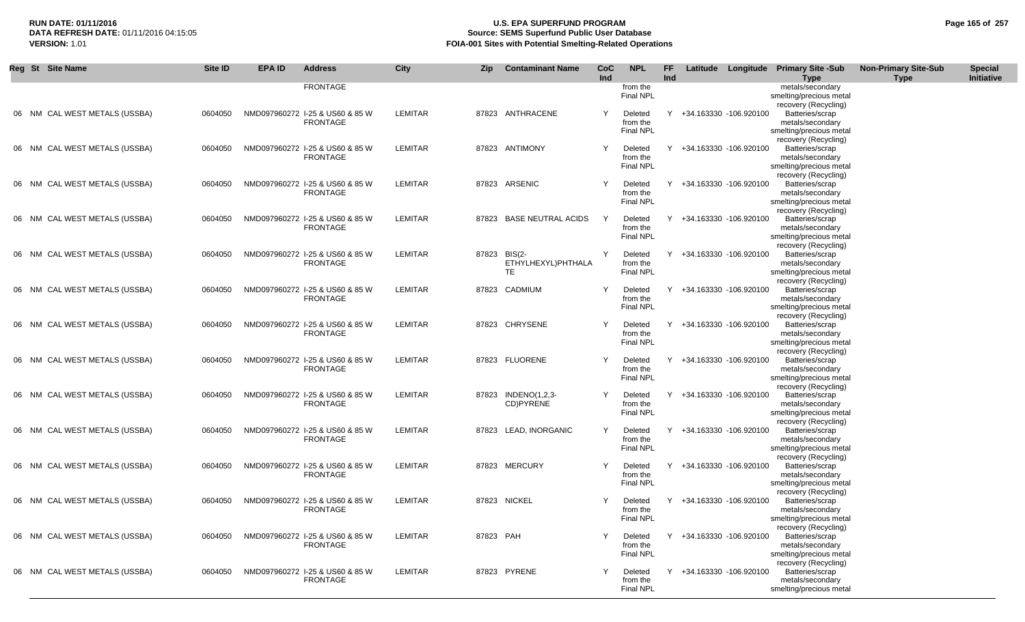## **RUN DATE: 01/11/2016 U.S. EPA SUPERFUND PROGRAM Page 165 of 257 Source: SEMS Superfund Public User Database VERSION:** 1.01 **FOIA-001 Sites with Potential Smelting-Related Operations**

| Reg St Site Name              | Site ID | <b>EPA ID</b> | <b>Address</b>                                     | <b>City</b>    | <b>Zip</b>   | <b>Contaminant Name</b>         | CoC<br>Ind | <b>NPL</b>                              | FF<br>Ind |                          | Latitude Longitude Primary Site -Sub<br><b>Type</b>                                                            | <b>Non-Primary Site-Sub</b><br><b>Type</b> | <b>Special</b><br>Initiative |
|-------------------------------|---------|---------------|----------------------------------------------------|----------------|--------------|---------------------------------|------------|-----------------------------------------|-----------|--------------------------|----------------------------------------------------------------------------------------------------------------|--------------------------------------------|------------------------------|
|                               |         |               | <b>FRONTAGE</b>                                    |                |              |                                 |            | from the<br><b>Final NPL</b>            |           |                          | metals/secondary<br>smelting/precious metal<br>recovery (Recycling)                                            |                                            |                              |
| 06 NM CAL WEST METALS (USSBA) | 0604050 |               | NMD097960272 I-25 & US60 & 85 W<br><b>FRONTAGE</b> | LEMITAR        |              | 87823 ANTHRACENE                | Υ          | Deleted<br>from the<br><b>Final NPL</b> |           | +34.163330 -106.920100   | Batteries/scrap<br>metals/secondary<br>smelting/precious metal                                                 |                                            |                              |
| 06 NM CAL WEST METALS (USSBA) | 0604050 |               | NMD097960272 I-25 & US60 & 85 W<br><b>FRONTAGE</b> | LEMITAR        |              | 87823 ANTIMONY                  | Y          | Deleted<br>from the<br><b>Final NPL</b> | Y         | +34.163330 -106.920100   | recovery (Recycling)<br>Batteries/scrap<br>metals/secondary<br>smelting/precious metal<br>recovery (Recycling) |                                            |                              |
| 06 NM CAL WEST METALS (USSBA) | 0604050 |               | NMD097960272 I-25 & US60 & 85 W<br><b>FRONTAGE</b> | LEMITAR        |              | 87823 ARSENIC                   |            | Deleted<br>from the<br><b>Final NPL</b> |           | +34.163330 -106.920100   | Batteries/scrap<br>metals/secondary<br>smelting/precious metal<br>recovery (Recycling)                         |                                            |                              |
| 06 NM CAL WEST METALS (USSBA) | 0604050 |               | NMD097960272 1-25 & US60 & 85 W<br><b>FRONTAGE</b> | LEMITAR        |              | 87823 BASE NEUTRAL ACIDS        | Y          | Deleted<br>from the<br><b>Final NPL</b> |           | +34.163330 -106.920100   | Batteries/scrap<br>metals/secondary<br>smelting/precious metal<br>recovery (Recycling)                         |                                            |                              |
| 06 NM CAL WEST METALS (USSBA) | 0604050 |               | NMD097960272 I-25 & US60 & 85 W<br><b>FRONTAGE</b> | LEMITAR        | 87823 BIS(2- | ETHYLHEXYL)PHTHALA<br><b>TE</b> | Y          | Deleted<br>from the<br>Final NPL        | Y         | +34.163330 -106.920100   | Batteries/scrap<br>metals/secondary<br>smelting/precious metal<br>recovery (Recycling)                         |                                            |                              |
| 06 NM CAL WEST METALS (USSBA) | 0604050 |               | NMD097960272 I-25 & US60 & 85 W<br><b>FRONTAGE</b> | LEMITAR        |              | 87823 CADMIUM                   | Y          | Deleted<br>from the<br><b>Final NPL</b> |           | Y +34.163330 -106.920100 | Batteries/scrap<br>metals/secondary<br>smelting/precious metal<br>recovery (Recycling)                         |                                            |                              |
| 06 NM CAL WEST METALS (USSBA) | 0604050 |               | NMD097960272 I-25 & US60 & 85 W<br><b>FRONTAGE</b> | LEMITAR        |              | 87823 CHRYSENE                  | Y          | Deleted<br>from the<br><b>Final NPL</b> | Y         | +34.163330 -106.920100   | Batteries/scrap<br>metals/secondary<br>smelting/precious metal<br>recovery (Recycling)                         |                                            |                              |
| 06 NM CAL WEST METALS (USSBA) | 0604050 |               | NMD097960272 I-25 & US60 & 85 W<br><b>FRONTAGE</b> | LEMITAR        |              | 87823 FLUORENE                  | Y          | Deleted<br>from the<br><b>Final NPL</b> |           | +34.163330 -106.920100   | Batteries/scrap<br>metals/secondary<br>smelting/precious metal<br>recovery (Recycling)                         |                                            |                              |
| 06 NM CAL WEST METALS (USSBA) | 0604050 |               | NMD097960272 I-25 & US60 & 85 W<br><b>FRONTAGE</b> | <b>LEMITAR</b> | 87823        | INDENO(1,2,3-<br>CD)PYRENE      | Y          | Deleted<br>from the<br><b>Final NPL</b> | Y         | +34.163330 -106.920100   | Batteries/scrap<br>metals/secondary<br>smelting/precious metal<br>recovery (Recycling)                         |                                            |                              |
| 06 NM CAL WEST METALS (USSBA) | 0604050 |               | NMD097960272 I-25 & US60 & 85 W<br><b>FRONTAGE</b> | <b>LEMITAR</b> |              | 87823 LEAD, INORGANIC           |            | Deleted<br>from the<br><b>Final NPL</b> |           | +34.163330 -106.920100   | Batteries/scrap<br>metals/secondary<br>smelting/precious metal<br>recovery (Recycling)                         |                                            |                              |
| 06 NM CAL WEST METALS (USSBA) | 0604050 |               | NMD097960272 I-25 & US60 & 85 W<br><b>FRONTAGE</b> | LEMITAR        |              | 87823 MERCURY                   | Y          | Deleted<br>from the<br><b>Final NPL</b> |           | Y +34.163330 -106.920100 | Batteries/scrap<br>metals/secondary<br>smelting/precious metal<br>recovery (Recycling)                         |                                            |                              |
| 06 NM CAL WEST METALS (USSBA) | 0604050 |               | NMD097960272 I-25 & US60 & 85 W<br><b>FRONTAGE</b> | LEMITAR        |              | 87823 NICKEL                    |            | Deleted<br>from the<br>Final NPL        |           | +34.163330 -106.920100   | Batteries/scrap<br>metals/secondary<br>smelting/precious metal<br>recovery (Recycling)                         |                                            |                              |
| 06 NM CAL WEST METALS (USSBA) | 0604050 |               | NMD097960272 I-25 & US60 & 85 W<br><b>FRONTAGE</b> | LEMITAR        | 87823 PAH    |                                 |            | Deleted<br>from the<br><b>Final NPL</b> |           | Y +34.163330 -106.920100 | Batteries/scrap<br>metals/secondary<br>smelting/precious metal<br>recovery (Recycling)                         |                                            |                              |
| 06 NM CAL WEST METALS (USSBA) | 0604050 |               | NMD097960272 I-25 & US60 & 85 W<br><b>FRONTAGE</b> | LEMITAR        |              | 87823 PYRENE                    | Y          | Deleted<br>from the<br><b>Final NPL</b> |           | Y +34.163330 -106.920100 | Batteries/scrap<br>metals/secondary<br>smelting/precious metal                                                 |                                            |                              |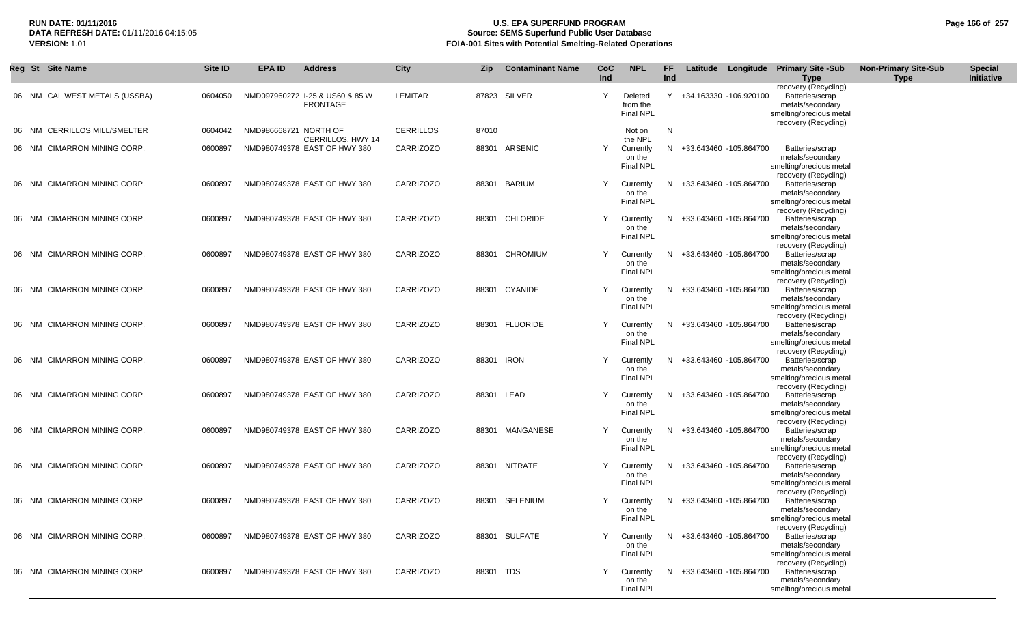## **RUN DATE: 01/11/2016 U.S. EPA SUPERFUND PROGRAM Page 166 of 257 Source: SEMS Superfund Public User Database VERSION:** 1.01 **FOIA-001 Sites with Potential Smelting-Related Operations**

|    | Reg St Site Name                    | Site ID | EPA ID                | <b>Address</b>                                     | City             | Zip        | <b>Contaminant Name</b> | CoC<br>Ind | <b>NPL</b>                              | FF.<br>Ind |                          | Latitude Longitude Primary Site -Sub<br><b>Type</b>                                                            | <b>Non-Primary Site-Sub</b><br><b>Type</b> | <b>Special</b><br>Initiative |
|----|-------------------------------------|---------|-----------------------|----------------------------------------------------|------------------|------------|-------------------------|------------|-----------------------------------------|------------|--------------------------|----------------------------------------------------------------------------------------------------------------|--------------------------------------------|------------------------------|
|    | 06 NM CAL WEST METALS (USSBA)       | 0604050 |                       | NMD097960272 1-25 & US60 & 85 W<br><b>FRONTAGE</b> | LEMITAR          |            | 87823 SILVER            | Y          | Deleted<br>from the<br>Final NPL        | Y          | +34.163330 -106.920100   | recovery (Recycling)<br>Batteries/scrap<br>metals/secondary<br>smelting/precious metal<br>recovery (Recycling) |                                            |                              |
|    | 06 NM CERRILLOS MILL/SMELTER        | 0604042 | NMD986668721 NORTH OF | CERRILLOS, HWY 14                                  | <b>CERRILLOS</b> | 87010      |                         |            | Not on<br>the NPL                       | N          |                          |                                                                                                                |                                            |                              |
|    | 06 NM CIMARRON MINING CORP.         | 0600897 |                       | NMD980749378 EAST OF HWY 380                       | <b>CARRIZOZO</b> | 88301      | ARSENIC                 |            | Currently<br>on the<br><b>Final NPL</b> |            | N +33.643460 -105.864700 | Batteries/scrap<br>metals/secondary<br>smelting/precious metal                                                 |                                            |                              |
| 06 | NM CIMARRON MINING CORP.            | 0600897 |                       | NMD980749378 EAST OF HWY 380                       | <b>CARRIZOZO</b> |            | 88301 BARIUM            |            | Currently<br>on the<br>Final NPL        | N.         | +33.643460 -105.864700   | recovery (Recycling)<br>Batteries/scrap<br>metals/secondary<br>smelting/precious metal                         |                                            |                              |
|    | 06 NM CIMARRON MINING CORP.         | 0600897 |                       | NMD980749378 EAST OF HWY 380                       | <b>CARRIZOZO</b> |            | 88301 CHLORIDE          |            | Currently<br>on the<br>Final NPL        | N          | +33.643460 -105.864700   | recovery (Recycling)<br>Batteries/scrap<br>metals/secondary<br>smelting/precious metal                         |                                            |                              |
|    | 06 NM CIMARRON MINING CORP.         | 0600897 |                       | NMD980749378 EAST OF HWY 380                       | <b>CARRIZOZO</b> |            | 88301 CHROMIUM          | Y          | Currently<br>on the<br>Final NPL        | N.         | +33.643460 -105.864700   | recovery (Recycling)<br>Batteries/scrap<br>metals/secondary<br>smelting/precious metal                         |                                            |                              |
|    | 06 NM CIMARRON MINING CORP.         | 0600897 |                       | NMD980749378 EAST OF HWY 380                       | <b>CARRIZOZO</b> |            | 88301 CYANIDE           |            | Currently<br>on the<br>Final NPL        | N.         | +33.643460 -105.864700   | recovery (Recycling)<br>Batteries/scrap<br>metals/secondary<br>smelting/precious metal                         |                                            |                              |
|    | 06 NM CIMARRON MINING CORP.         | 0600897 |                       | NMD980749378 EAST OF HWY 380                       | <b>CARRIZOZO</b> |            | 88301 FLUORIDE          | Y          | Currently<br>on the<br><b>Final NPL</b> | N.         | +33.643460 -105.864700   | recovery (Recycling)<br>Batteries/scrap<br>metals/secondary<br>smelting/precious metal                         |                                            |                              |
| 06 | <b>CIMARRON MINING CORP.</b><br>NM. | 0600897 |                       | NMD980749378 EAST OF HWY 380                       | <b>CARRIZOZO</b> | 88301 IRON |                         |            | Currently<br>on the<br><b>Final NPL</b> | N.         | +33.643460 -105.864700   | recovery (Recycling)<br>Batteries/scrap<br>metals/secondary<br>smelting/precious metal<br>recovery (Recycling) |                                            |                              |
|    | 06 NM CIMARRON MINING CORP.         | 0600897 |                       | NMD980749378 EAST OF HWY 380                       | <b>CARRIZOZO</b> | 88301 LEAD |                         |            | Currently<br>on the<br><b>Final NPL</b> | N          | +33.643460 -105.864700   | Batteries/scrap<br>metals/secondary<br>smelting/precious metal<br>recovery (Recycling)                         |                                            |                              |
|    | 06 NM CIMARRON MINING CORP.         | 0600897 |                       | NMD980749378 EAST OF HWY 380                       | <b>CARRIZOZO</b> |            | 88301 MANGANESE         |            | Currently<br>on the<br>Final NPL        | N.         | +33.643460 -105.864700   | Batteries/scrap<br>metals/secondary<br>smelting/precious metal<br>recovery (Recycling)                         |                                            |                              |
|    | 06 NM CIMARRON MINING CORP.         | 0600897 |                       | NMD980749378 EAST OF HWY 380                       | <b>CARRIZOZO</b> |            | 88301 NITRATE           |            | Currently<br>on the<br>Final NPL        | N          | +33.643460 -105.864700   | Batteries/scrap<br>metals/secondary<br>smelting/precious metal<br>recovery (Recycling)                         |                                            |                              |
| 06 | <b>CIMARRON MINING CORP.</b><br>NM. | 0600897 |                       | NMD980749378 EAST OF HWY 380                       | <b>CARRIZOZO</b> | 88301      | SELENIUM                |            | Currently<br>on the<br><b>Final NPL</b> | N          | +33.643460 -105.864700   | Batteries/scrap<br>metals/secondary<br>smelting/precious metal<br>recovery (Recycling)                         |                                            |                              |
| 06 | NM CIMARRON MINING CORP.            | 0600897 |                       | NMD980749378 EAST OF HWY 380                       | <b>CARRIZOZO</b> |            | 88301 SULFATE           |            | Currently<br>on the<br><b>Final NPL</b> |            | N +33.643460 -105.864700 | Batteries/scrap<br>metals/secondary<br>smelting/precious metal<br>recovery (Recycling)                         |                                            |                              |
|    | 06 NM CIMARRON MINING CORP.         | 0600897 |                       | NMD980749378 EAST OF HWY 380                       | <b>CARRIZOZO</b> | 88301 TDS  |                         |            | Currently<br>on the<br>Final NPL        |            | N +33.643460 -105.864700 | Batteries/scrap<br>metals/secondary<br>smelting/precious metal                                                 |                                            |                              |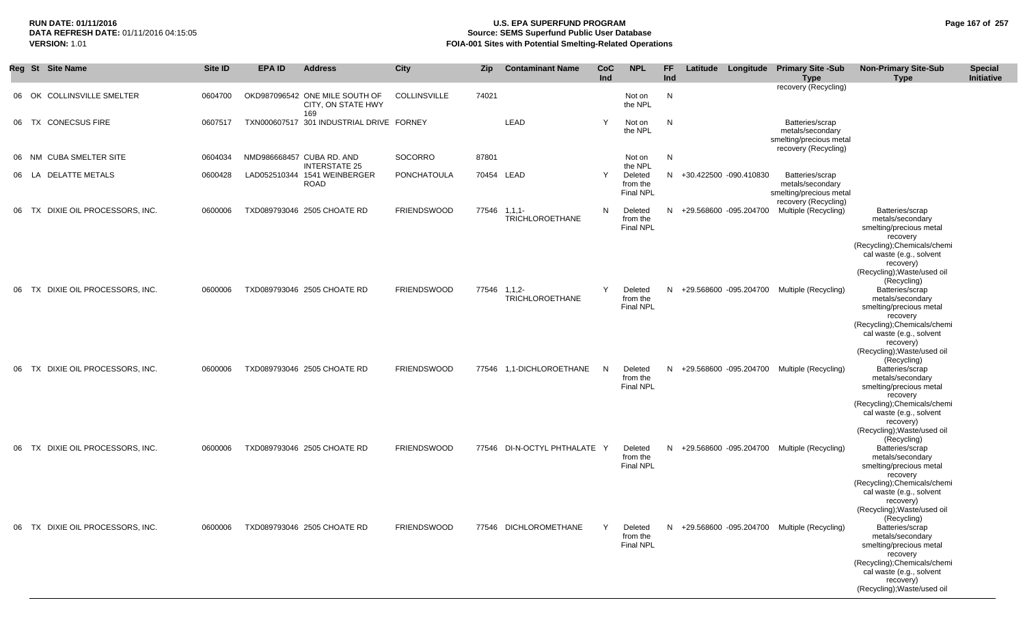## **RUN DATE: 01/11/2016 U.S. EPA SUPERFUND PROGRAM Page 167 of 257 Source: SEMS Superfund Public User Database VERSION:** 1.01 **FOIA-001 Sites with Potential Smelting-Related Operations**

|    | Reg St Site Name                     | <b>Site ID</b> | <b>EPA ID</b> | <b>Address</b>                                              | City                | Zip          | <b>Contaminant Name</b>      | CoC<br>Ind | <b>NPL</b>                              | FF<br>Ind | Latitude | Longitude                | <b>Primary Site -Sub</b><br><b>Type</b>                                                | <b>Non-Primary Site-Sub</b><br><b>Type</b>                                                                                                                                                                       | <b>Special</b><br>Initiative |
|----|--------------------------------------|----------------|---------------|-------------------------------------------------------------|---------------------|--------------|------------------------------|------------|-----------------------------------------|-----------|----------|--------------------------|----------------------------------------------------------------------------------------|------------------------------------------------------------------------------------------------------------------------------------------------------------------------------------------------------------------|------------------------------|
|    | <b>COLLINSVILLE SMELTER</b><br>06 OK | 0604700        |               | OKD987096542 ONE MILE SOUTH OF<br>CITY, ON STATE HWY<br>169 | <b>COLLINSVILLE</b> | 74021        |                              |            | Not on<br>the NPL                       | N         |          |                          | recovery (Recycling)                                                                   |                                                                                                                                                                                                                  |                              |
| 06 | TX CONECSUS FIRE                     | 0607517        |               | TXN000607517 301 INDUSTRIAL DRIVE FORNEY                    |                     |              | LEAD                         | Y          | Not on<br>the NPL                       | N         |          |                          | Batteries/scrap<br>metals/secondary<br>smelting/precious metal<br>recovery (Recycling) |                                                                                                                                                                                                                  |                              |
|    | <b>CUBA SMELTER SITE</b><br>06 NM    | 0604034        |               | NMD986668457 CUBA RD. AND<br><b>INTERSTATE 25</b>           | SOCORRO             | 87801        |                              |            | Not on<br>the NPL                       | N         |          |                          |                                                                                        |                                                                                                                                                                                                                  |                              |
|    | <b>DELATTE METALS</b><br>06 LA       | 0600428        |               | LAD052510344 1541 WEINBERGER<br><b>ROAD</b>                 | PONCHATOULA         | 70454        | <b>LEAD</b>                  | Y          | Deleted<br>from the<br><b>Final NPL</b> | N.        |          | +30.422500 -090.410830   | Batteries/scrap<br>metals/secondary<br>smelting/precious metal<br>recovery (Recycling) |                                                                                                                                                                                                                  |                              |
| 06 | DIXIE OIL PROCESSORS, INC.<br>TX     | 0600006        |               | TXD089793046 2505 CHOATE RD                                 | <b>FRIENDSWOOD</b>  | 77546 1,1,1- | <b>TRICHLOROETHANE</b>       | N          | Deleted<br>from the<br><b>Final NPL</b> |           |          | N +29.568600 -095.204700 | Multiple (Recycling)                                                                   | Batteries/scrap<br>metals/secondary<br>smelting/precious metal<br>recovery<br>(Recycling); Chemicals/chemi<br>cal waste (e.g., solvent<br>recovery)<br>(Recycling); Waste/used oil<br>(Recycling)                |                              |
|    | 06 TX DIXIE OIL PROCESSORS, INC.     | 0600006        |               | TXD089793046 2505 CHOATE RD                                 | <b>FRIENDSWOOD</b>  | 77546 1,1,2- | <b>TRICHLOROETHANE</b>       |            | Deleted<br>from the<br><b>Final NPL</b> |           |          | N +29.568600 -095.204700 | Multiple (Recycling)                                                                   | Batteries/scrap<br>metals/secondary<br>smelting/precious metal<br>recovery<br>(Recycling); Chemicals/chemi<br>cal waste (e.g., solvent<br>recovery)<br>(Recycling); Waste/used oil<br>(Recycling)                |                              |
| 06 | DIXIE OIL PROCESSORS, INC.<br>TX -   | 0600006        |               | TXD089793046 2505 CHOATE RD                                 | <b>FRIENDSWOOD</b>  |              | 77546 1,1-DICHLOROETHANE     | N.         | Deleted<br>from the<br>Final NPL        |           |          | N +29.568600 -095.204700 | Multiple (Recycling)                                                                   | Batteries/scrap<br>metals/secondary<br>smelting/precious metal<br>recovery<br>(Recycling); Chemicals/chemi<br>cal waste (e.g., solvent<br>recovery)<br>(Recycling); Waste/used oil                               |                              |
|    | 06 TX DIXIE OIL PROCESSORS, INC.     | 0600006        |               | TXD089793046 2505 CHOATE RD                                 | <b>FRIENDSWOOD</b>  |              | 77546 DI-N-OCTYL PHTHALATE Y |            | Deleted<br>from the<br>Final NPL        |           |          | N +29.568600 -095.204700 | Multiple (Recycling)                                                                   | (Recycling)<br>Batteries/scrap<br>metals/secondary<br>smelting/precious metal<br>recovery<br>(Recycling); Chemicals/chemi<br>cal waste (e.g., solvent<br>recovery)<br>(Recycling); Waste/used oil<br>(Recycling) |                              |
|    | 06 TX DIXIE OIL PROCESSORS, INC.     | 0600006        |               | TXD089793046 2505 CHOATE RD                                 | <b>FRIENDSWOOD</b>  |              | 77546 DICHLOROMETHANE        |            | Deleted<br>from the<br>Final NPL        |           |          |                          | N +29.568600 -095.204700 Multiple (Recycling)                                          | Batteries/scrap<br>metals/secondary<br>smelting/precious metal<br>recovery<br>(Recycling); Chemicals/chemi<br>cal waste (e.g., solvent<br>recovery)<br>(Recycling); Waste/used oil                               |                              |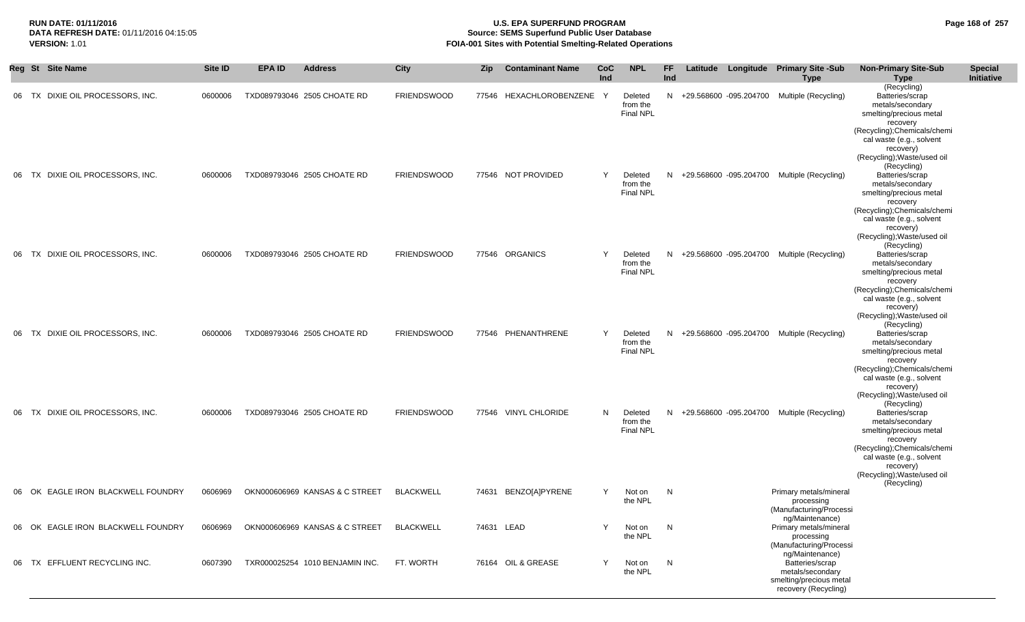## **RUN DATE: 01/11/2016 U.S. EPA SUPERFUND PROGRAM Page 168 of 257 Source: SEMS Superfund Public User Database VERSION:** 1.01 **FOIA-001 Sites with Potential Smelting-Related Operations**

|       |     | Reg St Site Name                   | Site ID | <b>EPA ID</b> | <b>Address</b>                  | City               | <b>Zip</b> | <b>Contaminant Name</b> | <b>CoC</b><br>Ind | <b>NPL</b>                              | FF<br>Ind | Latitude |                          | Longitude Primary Site -Sub<br><b>Type</b>                                                                | <b>Non-Primary Site-Sub</b><br><b>Type</b>                                                                                                                                                        | <b>Special</b><br>Initiative |
|-------|-----|------------------------------------|---------|---------------|---------------------------------|--------------------|------------|-------------------------|-------------------|-----------------------------------------|-----------|----------|--------------------------|-----------------------------------------------------------------------------------------------------------|---------------------------------------------------------------------------------------------------------------------------------------------------------------------------------------------------|------------------------------|
| 06 TX |     | DIXIE OIL PROCESSORS, INC.         | 0600006 |               | TXD089793046 2505 CHOATE RD     | <b>FRIENDSWOOD</b> | 77546      | HEXACHLOROBENZENE       | - Y               | Deleted<br>from the<br><b>Final NPL</b> | N.        |          | +29.568600 -095.204700   | Multiple (Recycling)                                                                                      | (Recycling)<br>Batteries/scrap<br>metals/secondary<br>smelting/precious metal<br>recovery<br>(Recycling); Chemicals/chemi<br>cal waste (e.g., solvent                                             |                              |
| -06   | TX. | DIXIE OIL PROCESSORS, INC.         | 0600006 |               | TXD089793046 2505 CHOATE RD     | <b>FRIENDSWOOD</b> |            | 77546 NOT PROVIDED      | Y                 | Deleted<br>from the<br><b>Final NPL</b> | N         |          | +29.568600 -095.204700   | Multiple (Recycling)                                                                                      | recovery)<br>(Recycling); Waste/used oil<br>(Recycling)<br>Batteries/scrap<br>metals/secondary<br>smelting/precious metal<br>recovery<br>(Recycling); Chemicals/chemi<br>cal waste (e.g., solvent |                              |
| 06 TX |     | DIXIE OIL PROCESSORS, INC.         | 0600006 |               | TXD089793046 2505 CHOATE RD     | <b>FRIENDSWOOD</b> |            | 77546 ORGANICS          | Y                 | Deleted<br>from the<br><b>Final NPL</b> |           |          | N +29.568600 -095.204700 | Multiple (Recycling)                                                                                      | recovery)<br>(Recycling); Waste/used oil<br>(Recycling)<br>Batteries/scrap<br>metals/secondary<br>smelting/precious metal<br>recovery                                                             |                              |
| -06   | TX  | DIXIE OIL PROCESSORS, INC.         | 0600006 |               | TXD089793046 2505 CHOATE RD     | <b>FRIENDSWOOD</b> | 77546      | PHENANTHRENE            | Y                 | Deleted<br>from the<br><b>Final NPL</b> | N.        |          |                          | +29.568600 -095.204700 Multiple (Recycling)                                                               | (Recycling); Chemicals/chemi<br>cal waste (e.g., solvent<br>recovery)<br>(Recycling); Waste/used oil<br>(Recycling)<br>Batteries/scrap<br>metals/secondary<br>smelting/precious metal             |                              |
| -06   | TX. | DIXIE OIL PROCESSORS, INC.         | 0600006 |               | TXD089793046 2505 CHOATE RD     | <b>FRIENDSWOOD</b> |            | 77546 VINYL CHLORIDE    | N                 | Deleted<br>from the                     | N.        |          | +29.568600 -095.204700   | Multiple (Recycling)                                                                                      | recovery<br>(Recycling); Chemicals/chemi<br>cal waste (e.g., solvent<br>recovery)<br>(Recycling); Waste/used oil<br>(Recycling)<br>Batteries/scrap<br>metals/secondary                            |                              |
|       |     |                                    |         |               |                                 |                    |            |                         |                   | <b>Final NPL</b>                        |           |          |                          |                                                                                                           | smelting/precious metal<br>recovery<br>(Recycling); Chemicals/chemi<br>cal waste (e.g., solvent<br>recovery)<br>(Recycling); Waste/used oil<br>(Recycling)                                        |                              |
|       |     | 06 OK EAGLE IRON BLACKWELL FOUNDRY | 0606969 |               | OKN000606969 KANSAS & C STREET  | <b>BLACKWELL</b>   | 74631      | BENZO[A]PYRENE          | Y                 | Not on<br>the NPL                       | N         |          |                          | Primary metals/mineral<br>processing<br>(Manufacturing/Processi                                           |                                                                                                                                                                                                   |                              |
|       |     | 06 OK EAGLE IRON BLACKWELL FOUNDRY | 0606969 |               | OKN000606969 KANSAS & C STREET  | <b>BLACKWELL</b>   | 74631 LEAD |                         |                   | Not on N<br>the NPL                     |           |          |                          | ng/Maintenance)<br>Primary metals/mineral<br>processing<br>(Manufacturing/Processi                        |                                                                                                                                                                                                   |                              |
|       |     | 06 TX EFFLUENT RECYCLING INC.      | 0607390 |               | TXR000025254 1010 BENJAMIN INC. | FT. WORTH          |            | 76164 OIL & GREASE      | Y                 | Not on<br>the NPL                       | N         |          |                          | ng/Maintenance)<br>Batteries/scrap<br>metals/secondary<br>smelting/precious metal<br>recovery (Recycling) |                                                                                                                                                                                                   |                              |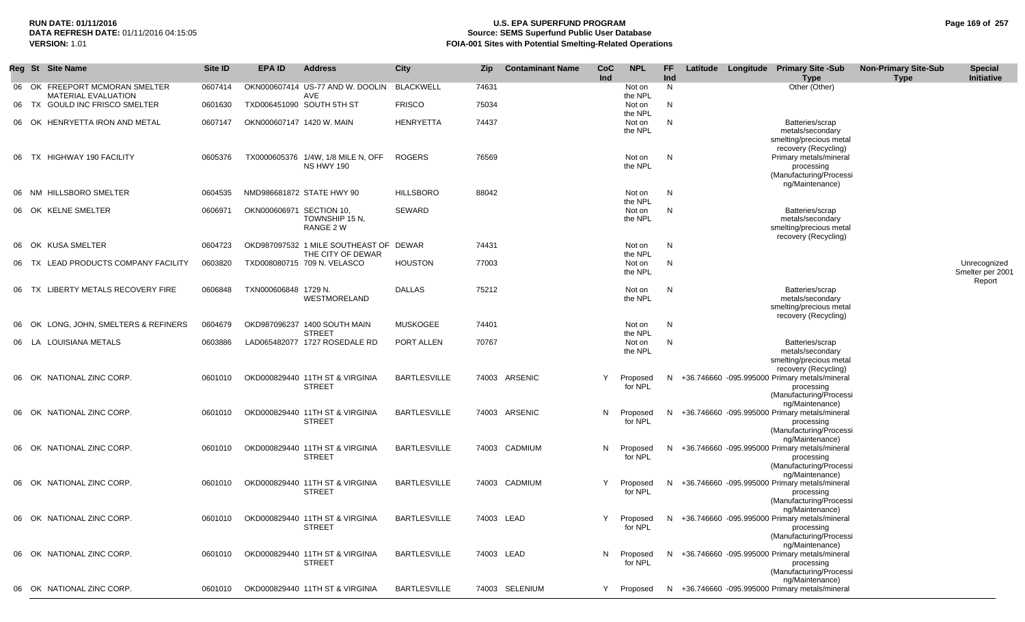# **RUN DATE: 01/11/2016 U.S. EPA SUPERFUND PROGRAM Page 169 of 257 Source: SEMS Superfund Public User Database**

BARTLESVILLE 74003 LEAD N Proposed N +36.746660 -095.995000 Primary metals/mineral for NPL

processing (Manufacturing/Processi ng/Maintenance)

| Page 169 of 257 |
|-----------------|
|-----------------|

**Special Initiative**

Unrecognized Smelter per 2001 Report

|     | <b>VERSION: 1.01</b> |                                                           |                |                           |                                                             |                     |            | FOIA-001 Sites with Potential Smelting-Related Operations |                   |                     |           |  |                                                                                                                                |                                            |
|-----|----------------------|-----------------------------------------------------------|----------------|---------------------------|-------------------------------------------------------------|---------------------|------------|-----------------------------------------------------------|-------------------|---------------------|-----------|--|--------------------------------------------------------------------------------------------------------------------------------|--------------------------------------------|
| Reg | <b>St</b> Site Name  |                                                           | <b>Site ID</b> | <b>EPA ID</b>             | <b>Address</b>                                              | City                | Zip        | <b>Contaminant Name</b>                                   | <b>CoC</b><br>Ind | <b>NPL</b>          | FF<br>Ind |  | Latitude Longitude Primary Site -Sub<br><b>Type</b>                                                                            | <b>Non-Primary Site-Sub</b><br><b>Type</b> |
| 06  |                      | OK FREEPORT MCMORAN SMELTER<br><b>MATERIAL EVALUATION</b> | 0607414        |                           | OKN000607414 US-77 AND W. DOOLIN<br>AVE                     | <b>BLACKWELL</b>    | 74631      |                                                           |                   | Not on<br>the NPL   | N         |  | Other (Other)                                                                                                                  |                                            |
| 06  |                      | TX GOULD INC FRISCO SMELTER                               | 0601630        |                           | <b>TXD006451090 SOUTH 5TH ST</b>                            | <b>FRISCO</b>       | 75034      |                                                           |                   | Not on<br>the NPL   | N         |  |                                                                                                                                |                                            |
|     |                      | 06 OK HENRYETTA IRON AND METAL                            | 0607147        | OKN000607147 1420 W. MAIN |                                                             | <b>HENRYETTA</b>    | 74437      |                                                           |                   | Not on<br>the NPL   | N         |  | Batteries/scrap<br>metals/secondary<br>smelting/precious metal<br>recovery (Recycling)                                         |                                            |
| 06  |                      | TX HIGHWAY 190 FACILITY                                   | 0605376        |                           | TX0000605376 1/4W, 1/8 MILE N, OFF<br><b>NS HWY 190</b>     | <b>ROGERS</b>       | 76569      |                                                           |                   | Not on<br>the NPL   | N         |  | Primary metals/mineral<br>processing<br>(Manufacturing/Processi<br>ng/Maintenance)                                             |                                            |
|     |                      | 06 NM HILLSBORO SMELTER                                   | 0604535        |                           | NMD986681872 STATE HWY 90                                   | <b>HILLSBORO</b>    | 88042      |                                                           |                   | Not on<br>the NPL   | N         |  |                                                                                                                                |                                            |
| 06  |                      | OK KELNE SMELTER                                          | 0606971        | OKN000606971 SECTION 10,  | TOWNSHIP 15 N,<br>RANGE 2 W                                 | SEWARD              |            |                                                           |                   | Not on<br>the NPL   | N         |  | Batteries/scrap<br>metals/secondary<br>smelting/precious metal<br>recovery (Recycling)                                         |                                            |
| 06  |                      | OK KUSA SMELTER                                           | 0604723        |                           | OKD987097532 1 MILE SOUTHEAST OF DEWAR<br>THE CITY OF DEWAR |                     | 74431      |                                                           |                   | Not on<br>the NPL   | N         |  |                                                                                                                                |                                            |
| 06  |                      | TX LEAD PRODUCTS COMPANY FACILITY                         | 0603820        |                           | TXD008080715 709 N. VELASCO                                 | <b>HOUSTON</b>      | 77003      |                                                           |                   | Not on<br>the NPL   | N         |  |                                                                                                                                |                                            |
| 06  |                      | TX LIBERTY METALS RECOVERY FIRE                           | 0606848        | TXN000606848 1729 N.      | WESTMORELAND                                                | <b>DALLAS</b>       | 75212      |                                                           |                   | Not on<br>the NPL   | N         |  | Batteries/scrap<br>metals/secondary<br>smelting/precious metal<br>recovery (Recycling)                                         |                                            |
| 06  |                      | OK LONG, JOHN, SMELTERS & REFINERS                        | 0604679        |                           | OKD987096237 1400 SOUTH MAIN<br><b>STREET</b>               | MUSKOGEE            | 74401      |                                                           |                   | Not on<br>the NPL   | N         |  |                                                                                                                                |                                            |
| 06  | LA                   | LOUISIANA METALS                                          | 0603886        |                           | LAD065482077 1727 ROSEDALE RD                               | PORT ALLEN          | 70767      |                                                           |                   | Not on<br>the NPL   | N         |  | Batteries/scrap<br>metals/secondary<br>smelting/precious metal<br>recovery (Recycling)                                         |                                            |
| 06  |                      | OK NATIONAL ZINC CORP.                                    | 0601010        |                           | OKD000829440 11TH ST & VIRGINIA<br><b>STREET</b>            | <b>BARTLESVILLE</b> |            | 74003 ARSENIC                                             | Y                 | Proposed<br>for NPL |           |  | N +36.746660 -095.995000 Primary metals/mineral<br>processing<br>(Manufacturing/Processi<br>ng/Maintenance)                    |                                            |
| 06  |                      | OK NATIONAL ZINC CORP.                                    | 0601010        |                           | OKD000829440 11TH ST & VIRGINIA<br><b>STREET</b>            | <b>BARTLESVILLE</b> |            | 74003 ARSENIC                                             | N                 | Proposed<br>for NPL |           |  | N +36.746660 -095.995000 Primary metals/mineral<br>processing<br>(Manufacturing/Processi                                       |                                            |
|     |                      | 06 OK NATIONAL ZINC CORP.                                 | 0601010        |                           | OKD000829440 11TH ST & VIRGINIA<br><b>STREET</b>            | <b>BARTLESVILLE</b> |            | 74003 CADMIUM                                             | N.                | Proposed<br>for NPL |           |  | ng/Maintenance)<br>N +36.746660 -095.995000 Primary metals/mineral<br>processing<br>(Manufacturing/Processi<br>ng/Maintenance) |                                            |
| 06  |                      | OK NATIONAL ZINC CORP.                                    | 0601010        |                           | OKD000829440 11TH ST & VIRGINIA<br><b>STREET</b>            | <b>BARTLESVILLE</b> |            | 74003 CADMIUM                                             | Y                 | Proposed<br>for NPL |           |  | N +36.746660 -095.995000 Primary metals/mineral<br>processing<br>(Manufacturing/Processi<br>ng/Maintenance)                    |                                            |
|     |                      | 06 OK NATIONAL ZINC CORP.                                 | 0601010        |                           | OKD000829440 11TH ST & VIRGINIA<br><b>STREET</b>            | <b>BARTLESVILLE</b> | 74003 LEAD |                                                           | Y                 | Proposed<br>for NPL |           |  | N +36.746660 -095.995000 Primary metals/mineral<br>processing<br>(Manufacturing/Processi<br>ng/Maintenance)                    |                                            |
| 06  |                      | OK NATIONAL ZINC CORP                                     | 0601010        |                           | OKD000829440 11TH ST & VIRGINIA                             | <b>BARTLESVILLE</b> | 74003 LEAD |                                                           | N.                | Proposed            |           |  | N +36.746660 -095.995000 Primary metals/mineral                                                                                |                                            |

06 OK NATIONAL ZINC CORP. 0601010 OKD000829440 11TH ST & VIRGINIA BARTLESVILLE 74003 SELENIUM Y Proposed N +36.746660 -095.995000 Primary metals/mineral

STREET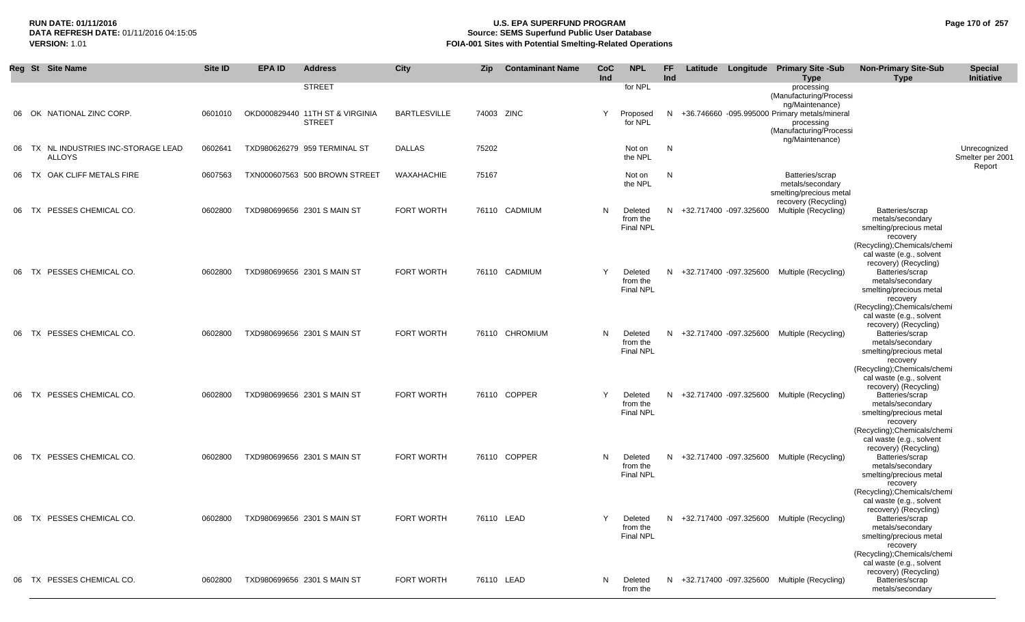## **RUN DATE: 01/11/2016 U.S. EPA SUPERFUND PROGRAM Page 170 of 257 Source: SEMS Superfund Public User Database VERSION:** 1.01 **FOIA-001 Sites with Potential Smelting-Related Operations**

|    | Reg St Site Name                                      | Site ID | <b>EPA ID</b> | <b>Address</b>                                   | City                | <b>Zip</b> | <b>Contaminant Name</b> | <b>CoC</b><br>Ind | <b>NPL</b>                              | FF.<br>Ind |                          | Latitude Longitude Primary Site -Sub<br><b>Type</b>                                      | <b>Non-Primary Site-Sub</b><br><b>Type</b>                                                                                                                      | <b>Special</b><br>Initiative               |
|----|-------------------------------------------------------|---------|---------------|--------------------------------------------------|---------------------|------------|-------------------------|-------------------|-----------------------------------------|------------|--------------------------|------------------------------------------------------------------------------------------|-----------------------------------------------------------------------------------------------------------------------------------------------------------------|--------------------------------------------|
|    |                                                       |         |               | <b>STREET</b>                                    |                     |            |                         |                   | for NPL                                 |            |                          | processing<br>(Manufacturing/Processi<br>ng/Maintenance)                                 |                                                                                                                                                                 |                                            |
| 06 | OK NATIONAL ZINC CORP.                                | 0601010 |               | OKD000829440 11TH ST & VIRGINIA<br><b>STREET</b> | <b>BARTLESVILLE</b> |            | 74003 ZINC              | Y                 | Proposed<br>for NPL                     |            |                          | N +36.746660 -095.995000 Primary metals/mineral<br>processing<br>(Manufacturing/Processi |                                                                                                                                                                 |                                            |
|    | 06 TX NL INDUSTRIES INC-STORAGE LEAD<br><b>ALLOYS</b> | 0602641 |               | TXD980626279 959 TERMINAL ST                     | <b>DALLAS</b>       | 75202      |                         |                   | Not on<br>the NPL                       | N          |                          | ng/Maintenance)                                                                          |                                                                                                                                                                 | Unrecognized<br>Smelter per 2001<br>Report |
| 06 | TX OAK CLIFF METALS FIRE                              | 0607563 |               | TXN000607563 500 BROWN STREET                    | WAXAHACHIE          | 75167      |                         |                   | Not on<br>the NPL                       | N          |                          | Batteries/scrap<br>metals/secondary<br>smelting/precious metal                           |                                                                                                                                                                 |                                            |
| 06 | TX PESSES CHEMICAL CO.                                | 0602800 |               | TXD980699656 2301 S MAIN ST                      | FORT WORTH          |            | 76110 CADMIUM           | N                 | Deleted<br>from the<br>Final NPL        |            | N +32.717400 -097.325600 | recovery (Recycling)<br>Multiple (Recycling)                                             | Batteries/scrap<br>metals/secondary<br>smelting/precious metal<br>recovery                                                                                      |                                            |
| 06 | TX PESSES CHEMICAL CO.                                | 0602800 |               | TXD980699656 2301 S MAIN ST                      | <b>FORT WORTH</b>   |            | 76110 CADMIUM           | Y                 | Deleted<br>from the<br><b>Final NPL</b> |            | N +32.717400 -097.325600 | Multiple (Recycling)                                                                     | (Recycling); Chemicals/chemi<br>cal waste (e.g., solvent<br>recovery) (Recycling)<br>Batteries/scrap<br>metals/secondary<br>smelting/precious metal<br>recovery |                                            |
| 06 | TX PESSES CHEMICAL CO.                                | 0602800 |               | TXD980699656 2301 S MAIN ST                      | <b>FORT WORTH</b>   |            | 76110 CHROMIUM          | N                 | Deleted<br>from the<br><b>Final NPL</b> |            | N +32.717400 -097.325600 | Multiple (Recycling)                                                                     | (Recycling); Chemicals/chemi<br>cal waste (e.g., solvent<br>recovery) (Recycling)<br>Batteries/scrap<br>metals/secondary<br>smelting/precious metal<br>recovery |                                            |
| 06 | TX PESSES CHEMICAL CO.                                | 0602800 |               | TXD980699656 2301 S MAIN ST                      | FORT WORTH          |            | 76110 COPPER            | Y                 | Deleted<br>from the<br><b>Final NPL</b> |            | N +32.717400 -097.325600 | Multiple (Recycling)                                                                     | (Recycling); Chemicals/chemi<br>cal waste (e.g., solvent<br>recovery) (Recycling)<br>Batteries/scrap<br>metals/secondary<br>smelting/precious metal<br>recovery |                                            |
| 06 | TX PESSES CHEMICAL CO.                                | 0602800 |               | TXD980699656 2301 S MAIN ST                      | FORT WORTH          |            | 76110 COPPER            | N                 | Deleted<br>from the<br><b>Final NPL</b> |            |                          | N +32.717400 -097.325600 Multiple (Recycling)                                            | (Recycling); Chemicals/chemi<br>cal waste (e.g., solvent<br>recovery) (Recycling)<br>Batteries/scrap<br>metals/secondary<br>smelting/precious metal<br>recovery |                                            |
|    | 06 TX PESSES CHEMICAL CO.                             | 0602800 |               | TXD980699656 2301 S MAIN ST                      | FORT WORTH          |            | 76110 LEAD              |                   | from the<br>Final NPL                   |            |                          | Deleted N +32.717400 -097.325600 Multiple (Recycling)                                    | (Recycling); Chemicals/chemi<br>cal waste (e.g., solvent<br>recovery) (Recycling)<br>Batteries/scrap<br>metals/secondary<br>smelting/precious metal<br>recovery |                                            |
|    | 06 TX PESSES CHEMICAL CO.                             | 0602800 |               | TXD980699656 2301 S MAIN ST                      | FORT WORTH          |            | 76110 LEAD              | N                 | Deleted<br>from the                     |            |                          | N +32.717400 -097.325600 Multiple (Recycling)                                            | (Recycling); Chemicals/chemi<br>cal waste (e.g., solvent<br>recovery) (Recycling)<br>Batteries/scrap<br>metals/secondary                                        |                                            |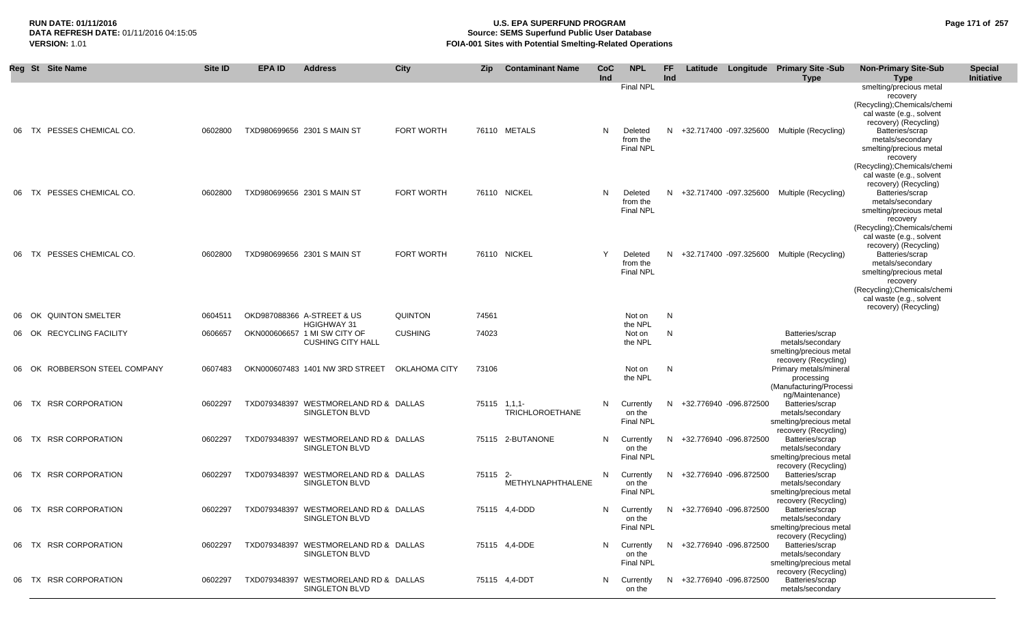## **RUN DATE: 01/11/2016 U.S. EPA SUPERFUND PROGRAM Page 171 of 257** DATA REFRESH DATE: 01/11/2016 04:15:05<br>**VERSION: 1.01** Source: SEMS Superfund Public User Database<br>FOIA-001 Sites with Potential Smelting-Related Operat **FOIA-001 Sites with Potential Smelting-Related Operations**

|       | Reg St Site Name              | Site ID | <b>EPA ID</b> | <b>Address</b>                                                                 | City              | Zip          | <b>Contaminant Name</b> | <b>CoC</b><br>Ind | <b>NPL</b>                                                  | FF.<br>Ind |                          | Latitude Longitude Primary Site -Sub<br><b>Type</b>                                     | <b>Non-Primary Site-Sub</b><br><b>Type</b>                                                                                                                                                                                             | <b>Special</b><br>Initiative |
|-------|-------------------------------|---------|---------------|--------------------------------------------------------------------------------|-------------------|--------------|-------------------------|-------------------|-------------------------------------------------------------|------------|--------------------------|-----------------------------------------------------------------------------------------|----------------------------------------------------------------------------------------------------------------------------------------------------------------------------------------------------------------------------------------|------------------------------|
|       | 06 TX PESSES CHEMICAL CO.     | 0602800 |               | TXD980699656 2301 S MAIN ST                                                    | <b>FORT WORTH</b> |              | 76110 METALS            | N                 | <b>Final NPL</b><br>Deleted<br>from the<br><b>Final NPL</b> |            |                          | N +32.717400 -097.325600 Multiple (Recycling)                                           | smelting/precious metal<br>recovery<br>(Recycling); Chemicals/chemi<br>cal waste (e.g., solvent<br>recovery) (Recycling)<br>Batteries/scrap<br>metals/secondary<br>smelting/precious metal<br>recovery<br>(Recycling); Chemicals/chemi |                              |
|       | 06 TX PESSES CHEMICAL CO.     | 0602800 |               | TXD980699656 2301 S MAIN ST                                                    | FORT WORTH        |              | 76110 NICKEL            | N                 | Deleted<br>from the<br><b>Final NPL</b>                     |            |                          | N +32.717400 -097.325600 Multiple (Recycling)                                           | cal waste (e.g., solvent<br>recovery) (Recycling)<br>Batteries/scrap<br>metals/secondary<br>smelting/precious metal<br>recovery<br>(Recycling); Chemicals/chemi                                                                        |                              |
|       | 06 TX PESSES CHEMICAL CO.     | 0602800 |               | TXD980699656 2301 S MAIN ST                                                    | FORT WORTH        |              | 76110 NICKEL            | Y                 | Deleted<br>from the<br><b>Final NPL</b>                     |            |                          | N +32.717400 -097.325600 Multiple (Recycling)                                           | cal waste (e.g., solvent<br>recovery) (Recycling)<br>Batteries/scrap<br>metals/secondary<br>smelting/precious metal<br>recovery<br>(Recycling); Chemicals/chemi<br>cal waste (e.g., solvent                                            |                              |
| 06 OK | <b>QUINTON SMELTER</b>        | 0604511 |               | OKD987088366 A-STREET & US                                                     | <b>QUINTON</b>    | 74561        |                         |                   | Not on                                                      | N          |                          |                                                                                         | recovery) (Recycling)                                                                                                                                                                                                                  |                              |
|       | 06 OK RECYCLING FACILITY      | 0606657 |               | <b>HGIGHWAY 31</b><br>OKN000606657 1 MI SW CITY OF<br><b>CUSHING CITY HALL</b> | <b>CUSHING</b>    | 74023        |                         |                   | the NPL<br>Not on<br>the NPL                                | N          |                          | Batteries/scrap<br>metals/secondary<br>smelting/precious metal                          |                                                                                                                                                                                                                                        |                              |
|       | 06 OK ROBBERSON STEEL COMPANY | 0607483 |               | OKN000607483 1401 NW 3RD STREET                                                | OKLAHOMA CITY     | 73106        |                         |                   | Not on<br>the NPL                                           | N          |                          | recovery (Recycling)<br>Primary metals/mineral<br>processing<br>(Manufacturing/Processi |                                                                                                                                                                                                                                        |                              |
|       | 06 TX RSR CORPORATION         | 0602297 |               | TXD079348397 WESTMORELAND RD & DALLAS<br>SINGLETON BLVD                        |                   | 75115 1,1,1- | <b>TRICHLOROETHANE</b>  | N                 | Currently<br>on the<br>Final NPL                            |            | N +32.776940 -096.872500 | ng/Maintenance)<br>Batteries/scrap<br>metals/secondary<br>smelting/precious metal       |                                                                                                                                                                                                                                        |                              |
|       | 06 TX RSR CORPORATION         | 0602297 |               | TXD079348397 WESTMORELAND RD & DALLAS<br>SINGLETON BLVD                        |                   |              | 75115 2-BUTANONE        | N                 | Currently<br>on the<br>Final NPL                            |            | N +32.776940 -096.872500 | recovery (Recycling)<br>Batteries/scrap<br>metals/secondary<br>smelting/precious metal  |                                                                                                                                                                                                                                        |                              |
|       | 06 TX RSR CORPORATION         | 0602297 |               | TXD079348397 WESTMORELAND RD & DALLAS<br>SINGLETON BLVD                        |                   | 75115 2-     | METHYLNAPHTHALENE       | N                 | Currently<br>on the<br>Final NPL                            |            | N +32.776940 -096.872500 | recovery (Recycling)<br>Batteries/scrap<br>metals/secondary<br>smelting/precious metal  |                                                                                                                                                                                                                                        |                              |
|       | 06 TX RSR CORPORATION         | 0602297 |               | TXD079348397 WESTMORELAND RD & DALLAS<br>SINGLETON BLVD                        |                   |              | 75115 4,4-DDD           | N                 | Currently<br>on the<br>Final NPL                            |            | N +32.776940 -096.872500 | recovery (Recycling)<br>Batteries/scrap<br>metals/secondary<br>smelting/precious metal  |                                                                                                                                                                                                                                        |                              |
|       | 06 TX RSR CORPORATION         | 0602297 |               | TXD079348397 WESTMORELAND RD & DALLAS<br>SINGLETON BLVD                        |                   |              | 75115 4,4-DDE           | N                 | Currently<br>on the<br>Final NPL                            |            | N +32.776940 -096.872500 | recovery (Recycling)<br>Batteries/scrap<br>metals/secondary<br>smelting/precious metal  |                                                                                                                                                                                                                                        |                              |
|       | 06 TX RSR CORPORATION         | 0602297 |               | TXD079348397 WESTMORELAND RD & DALLAS<br>SINGLETON BLVD                        |                   |              | 75115 4,4-DDT           | N                 | Currently<br>on the                                         |            | N +32.776940 -096.872500 | recovery (Recycling)<br>Batteries/scrap<br>metals/secondary                             |                                                                                                                                                                                                                                        |                              |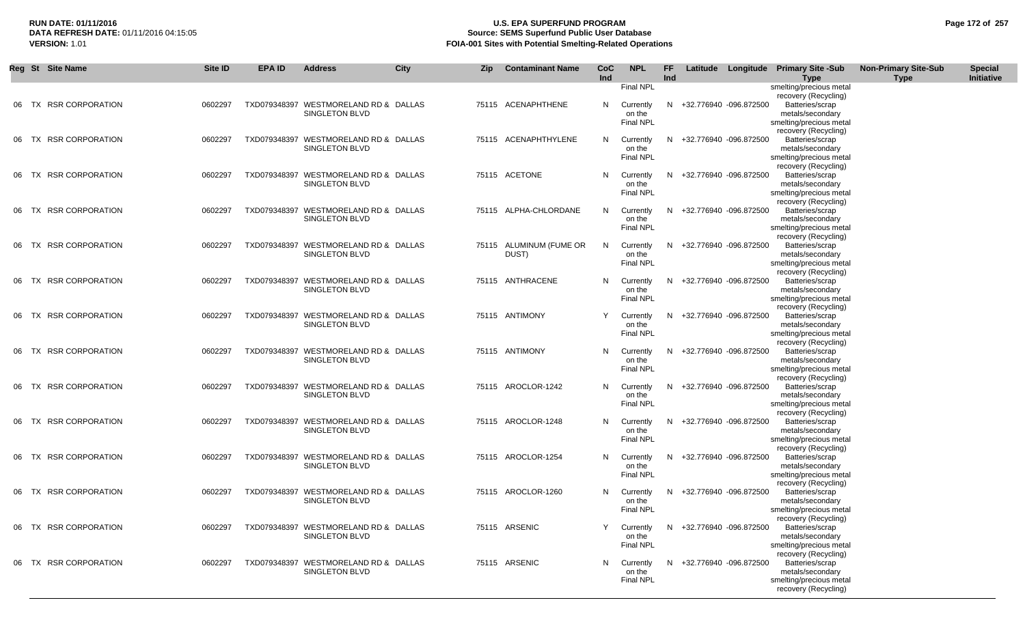## **RUN DATE: 01/11/2016 U.S. EPA SUPERFUND PROGRAM Page 172 of 257 Source: SEMS Superfund Public User Database VERSION:** 1.01 **FOIA-001 Sites with Potential Smelting-Related Operations**

|       | Reg St Site Name       | Site ID | <b>EPA ID</b> | <b>Address</b>                                                 | <b>City</b> | Zip | <b>Contaminant Name</b>          | <b>CoC</b><br>Ind | <b>NPL</b>                                                  | FF<br>Ind |                          | Latitude Longitude Primary Site -Sub<br><b>Type</b>                                                               | <b>Non-Primary Site-Sub</b><br><b>Type</b> | <b>Special</b><br>Initiative |
|-------|------------------------|---------|---------------|----------------------------------------------------------------|-------------|-----|----------------------------------|-------------------|-------------------------------------------------------------|-----------|--------------------------|-------------------------------------------------------------------------------------------------------------------|--------------------------------------------|------------------------------|
|       | 06 TX RSR CORPORATION  | 0602297 |               | TXD079348397 WESTMORELAND RD & DALLAS<br>SINGLETON BLVD        |             |     | 75115 ACENAPHTHENE               | N.                | <b>Final NPL</b><br>Currently<br>on the<br><b>Final NPL</b> |           | N +32.776940 -096.872500 | smelting/precious metal<br>recovery (Recycling)<br>Batteries/scrap<br>metals/secondary<br>smelting/precious metal |                                            |                              |
| 06 TX | <b>RSR CORPORATION</b> | 0602297 |               | TXD079348397 WESTMORELAND RD & DALLAS<br>SINGLETON BLVD        |             |     | 75115 ACENAPHTHYLENE             | N.                | Currently<br>on the<br><b>Final NPL</b>                     | N.        | +32.776940 -096.872500   | recovery (Recycling)<br>Batteries/scrap<br>metals/secondary<br>smelting/precious metal                            |                                            |                              |
| 06 TX | <b>RSR CORPORATION</b> | 0602297 |               | TXD079348397 WESTMORELAND RD & DALLAS<br>SINGLETON BLVD        |             |     | 75115 ACETONE                    | N.                | Currently<br>on the<br>Final NPL                            | N.        | +32.776940 -096.872500   | recovery (Recycling)<br>Batteries/scrap<br>metals/secondary<br>smelting/precious metal                            |                                            |                              |
| 06 TX | <b>RSR CORPORATION</b> | 0602297 |               | TXD079348397 WESTMORELAND RD & DALLAS<br>SINGLETON BLVD        |             |     | 75115 ALPHA-CHLORDANE            | N                 | Currently<br>on the<br><b>Final NPL</b>                     | N         | +32.776940 -096.872500   | recovery (Recycling)<br>Batteries/scrap<br>metals/secondary<br>smelting/precious metal                            |                                            |                              |
|       | 06 TX RSR CORPORATION  | 0602297 |               | TXD079348397 WESTMORELAND RD & DALLAS<br>SINGLETON BLVD        |             |     | 75115 ALUMINUM (FUME OR<br>DUST) | N                 | Currently<br>on the<br><b>Final NPL</b>                     | N         | +32.776940 -096.872500   | recovery (Recycling)<br>Batteries/scrap<br>metals/secondary<br>smelting/precious metal                            |                                            |                              |
|       | 06 TX RSR CORPORATION  | 0602297 |               | TXD079348397 WESTMORELAND RD & DALLAS<br><b>SINGLETON BLVD</b> |             |     | 75115 ANTHRACENE                 | N                 | Currently<br>on the<br><b>Final NPL</b>                     | N         | +32.776940 -096.872500   | recovery (Recycling)<br>Batteries/scrap<br>metals/secondary<br>smelting/precious metal                            |                                            |                              |
|       | 06 TX RSR CORPORATION  | 0602297 |               | TXD079348397 WESTMORELAND RD & DALLAS<br>SINGLETON BLVD        |             |     | 75115 ANTIMONY                   |                   | Currently<br>on the<br><b>Final NPL</b>                     | N.        | +32.776940 -096.872500   | recovery (Recycling)<br>Batteries/scrap<br>metals/secondary<br>smelting/precious metal<br>recovery (Recycling)    |                                            |                              |
|       | 06 TX RSR CORPORATION  | 0602297 |               | TXD079348397 WESTMORELAND RD & DALLAS<br>SINGLETON BLVD        |             |     | 75115 ANTIMONY                   | N.                | Currently<br>on the<br><b>Final NPL</b>                     | N.        | +32.776940 -096.872500   | Batteries/scrap<br>metals/secondary<br>smelting/precious metal<br>recovery (Recycling)                            |                                            |                              |
|       | 06 TX RSR CORPORATION  | 0602297 |               | TXD079348397 WESTMORELAND RD & DALLAS<br>SINGLETON BLVD        |             |     | 75115 AROCLOR-1242               | N.                | Currently<br>on the<br><b>Final NPL</b>                     | N.        | +32.776940 -096.872500   | Batteries/scrap<br>metals/secondary<br>smelting/precious metal<br>recovery (Recycling)                            |                                            |                              |
|       | 06 TX RSR CORPORATION  | 0602297 |               | TXD079348397 WESTMORELAND RD & DALLAS<br>SINGLETON BLVD        |             |     | 75115 AROCLOR-1248               | N.                | Currently<br>on the<br><b>Final NPL</b>                     | N.        | +32.776940 -096.872500   | Batteries/scrap<br>metals/secondary<br>smelting/precious metal<br>recovery (Recycling)                            |                                            |                              |
|       | 06 TX RSR CORPORATION  | 0602297 |               | TXD079348397 WESTMORELAND RD & DALLAS<br><b>SINGLETON BLVD</b> |             |     | 75115 AROCLOR-1254               | N                 | Currently<br>on the<br><b>Final NPL</b>                     | N.        | +32.776940 -096.872500   | Batteries/scrap<br>metals/secondary<br>smelting/precious metal<br>recovery (Recycling)                            |                                            |                              |
|       | 06 TX RSR CORPORATION  | 0602297 |               | TXD079348397 WESTMORELAND RD & DALLAS<br>SINGLETON BLVD        |             |     | 75115 AROCLOR-1260               | N.                | Currently<br>on the<br>Final NPL                            | N.        | +32.776940 -096.872500   | Batteries/scrap<br>metals/secondary<br>smelting/precious metal<br>recovery (Recycling)                            |                                            |                              |
|       | 06 TX RSR CORPORATION  | 0602297 |               | TXD079348397 WESTMORELAND RD & DALLAS<br><b>SINGLETON BLVD</b> |             |     | 75115 ARSENIC                    |                   | Currently<br>on the<br><b>Final NPL</b>                     |           | N +32.776940 -096.872500 | Batteries/scrap<br>metals/secondary<br>smelting/precious metal<br>recovery (Recycling)                            |                                            |                              |
|       | 06 TX RSR CORPORATION  | 0602297 |               | TXD079348397 WESTMORELAND RD & DALLAS<br><b>SINGLETON BLVD</b> |             |     | 75115 ARSENIC                    | N.                | Currently<br>on the<br><b>Final NPL</b>                     |           | N +32.776940 -096.872500 | Batteries/scrap<br>metals/secondary<br>smelting/precious metal<br>recovery (Recycling)                            |                                            |                              |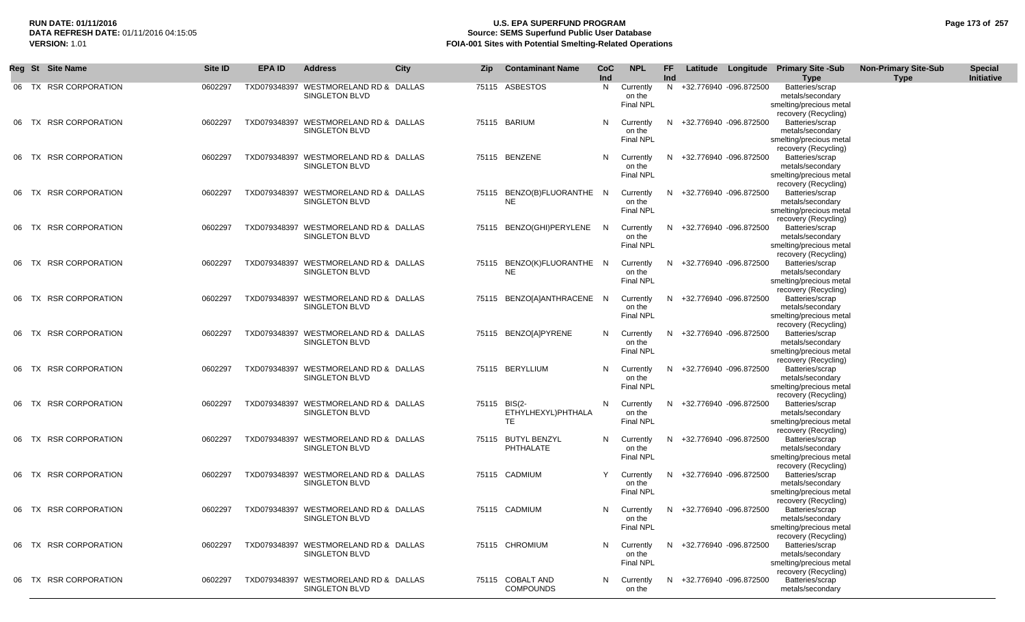## **RUN DATE: 01/11/2016 U.S. EPA SUPERFUND PROGRAM Page 173 of 257 Source: SEMS Superfund Public User Database VERSION:** 1.01 **FOIA-001 Sites with Potential Smelting-Related Operations**

|       | Reg St Site Name       | Site ID | <b>EPA ID</b> | <b>Address</b>                                                 | <b>City</b> | <b>Zip</b>   | <b>Contaminant Name</b>              | <b>CoC</b><br>Ind | <b>NPL</b>                              | FF.<br>Ind |                          | Latitude Longitude Primary Site -Sub<br><b>Type</b>                                    | <b>Non-Primary Site-Sub</b><br><b>Type</b> | <b>Special</b><br>Initiative |
|-------|------------------------|---------|---------------|----------------------------------------------------------------|-------------|--------------|--------------------------------------|-------------------|-----------------------------------------|------------|--------------------------|----------------------------------------------------------------------------------------|--------------------------------------------|------------------------------|
|       | 06 TX RSR CORPORATION  | 0602297 |               | TXD079348397 WESTMORELAND RD & DALLAS<br><b>SINGLETON BLVD</b> |             |              | 75115 ASBESTOS                       | N,                | Currently<br>on the<br><b>Final NPL</b> |            | N +32.776940 -096.872500 | Batteries/scrap<br>metals/secondary<br>smelting/precious metal<br>recovery (Recycling) |                                            |                              |
| 06 TX | <b>RSR CORPORATION</b> | 0602297 |               | TXD079348397 WESTMORELAND RD & DALLAS<br><b>SINGLETON BLVD</b> |             |              | 75115 BARIUM                         | N                 | Currently<br>on the<br><b>Final NPL</b> | N.         | +32.776940 -096.872500   | Batteries/scrap<br>metals/secondary<br>smelting/precious metal<br>recovery (Recycling) |                                            |                              |
| 06 TX | <b>RSR CORPORATION</b> | 0602297 |               | TXD079348397 WESTMORELAND RD & DALLAS<br>SINGLETON BLVD        |             |              | 75115 BENZENE                        | N                 | Currently<br>on the<br>Final NPL        | N.         | +32.776940 -096.872500   | Batteries/scrap<br>metals/secondary<br>smelting/precious metal<br>recovery (Recycling) |                                            |                              |
| 06 TX | <b>RSR CORPORATION</b> | 0602297 |               | TXD079348397 WESTMORELAND RD & DALLAS<br>SINGLETON BLVD        |             |              | 75115 BENZO(B)FLUORANTHE N<br>NE.    |                   | Currently<br>on the<br><b>Final NPL</b> | N.         | +32.776940 -096.872500   | Batteries/scrap<br>metals/secondary<br>smelting/precious metal<br>recovery (Recycling) |                                            |                              |
| 06 TX | <b>RSR CORPORATION</b> | 0602297 |               | TXD079348397 WESTMORELAND RD & DALLAS<br><b>SINGLETON BLVD</b> |             |              | 75115 BENZO(GHI)PERYLENE             | N <sub>N</sub>    | Currently<br>on the<br>Final NPL        | N.         | +32.776940 -096.872500   | Batteries/scrap<br>metals/secondary<br>smelting/precious metal<br>recovery (Recycling) |                                            |                              |
| 06 TX | <b>RSR CORPORATION</b> | 0602297 |               | TXD079348397 WESTMORELAND RD & DALLAS<br>SINGLETON BLVD        |             |              | 75115 BENZO(K)FLUORANTHE N<br>NE.    |                   | Currently<br>on the<br>Final NPL        |            | N +32.776940 -096.872500 | Batteries/scrap<br>metals/secondary<br>smelting/precious metal<br>recovery (Recycling) |                                            |                              |
| 06 TX | <b>RSR CORPORATION</b> | 0602297 |               | TXD079348397 WESTMORELAND RD & DALLAS<br><b>SINGLETON BLVD</b> |             |              | 75115 BENZO[A]ANTHRACENE N           |                   | Currently<br>on the<br><b>Final NPL</b> | N.         | +32.776940 -096.872500   | Batteries/scrap<br>metals/secondary<br>smelting/precious metal<br>recovery (Recycling) |                                            |                              |
| 06 TX | <b>RSR CORPORATION</b> | 0602297 |               | TXD079348397 WESTMORELAND RD & DALLAS<br><b>SINGLETON BLVD</b> |             |              | 75115 BENZO[A]PYRENE                 | N.                | Currently<br>on the<br>Final NPL        | N.         | +32.776940 -096.872500   | Batteries/scrap<br>metals/secondary<br>smelting/precious metal<br>recovery (Recycling) |                                            |                              |
| 06 TX | <b>RSR CORPORATION</b> | 0602297 |               | TXD079348397 WESTMORELAND RD & DALLAS<br><b>SINGLETON BLVD</b> |             |              | 75115 BERYLLIUM                      | N.                | Currently<br>on the<br><b>Final NPL</b> | N.         | +32.776940 -096.872500   | Batteries/scrap<br>metals/secondary<br>smelting/precious metal<br>recovery (Recycling) |                                            |                              |
| 06 TX | <b>RSR CORPORATION</b> | 0602297 |               | TXD079348397 WESTMORELAND RD & DALLAS<br><b>SINGLETON BLVD</b> |             | 75115 BIS(2- | ETHYLHEXYL)PHTHALA<br>TE             | N                 | Currently<br>on the<br><b>Final NPL</b> |            | +32.776940 -096.872500   | Batteries/scrap<br>metals/secondary<br>smelting/precious metal<br>recovery (Recycling) |                                            |                              |
| 06 TX | <b>RSR CORPORATION</b> | 0602297 |               | TXD079348397 WESTMORELAND RD & DALLAS<br><b>SINGLETON BLVD</b> |             |              | 75115 BUTYL BENZYL<br>PHTHALATE      | N.                | Currently<br>on the<br><b>Final NPL</b> | N.         | +32.776940 -096.872500   | Batteries/scrap<br>metals/secondary<br>smelting/precious metal<br>recovery (Recycling) |                                            |                              |
| 06 TX | <b>RSR CORPORATION</b> | 0602297 |               | TXD079348397 WESTMORELAND RD & DALLAS<br>SINGLETON BLVD        |             |              | 75115 CADMIUM                        | Y                 | Currently<br>on the<br>Final NPL        | N.         | +32.776940 -096.872500   | Batteries/scrap<br>metals/secondary<br>smelting/precious metal<br>recovery (Recycling) |                                            |                              |
|       | 06 TX RSR CORPORATION  | 0602297 |               | TXD079348397 WESTMORELAND RD & DALLAS<br>SINGLETON BLVD        |             |              | 75115 CADMIUM                        | N.                | Currently<br>on the<br>Final NPL        |            | N +32.776940 -096.872500 | Batteries/scrap<br>metals/secondary<br>smelting/precious metal                         |                                            |                              |
|       | 06 TX RSR CORPORATION  | 0602297 |               | TXD079348397 WESTMORELAND RD & DALLAS<br><b>SINGLETON BLVD</b> |             |              | 75115 CHROMIUM                       | N                 | Currently<br>on the<br>Final NPL        | N.         | +32.776940 -096.872500   | recovery (Recycling)<br>Batteries/scrap<br>metals/secondary<br>smelting/precious metal |                                            |                              |
|       | 06 TX RSR CORPORATION  | 0602297 |               | TXD079348397 WESTMORELAND RD & DALLAS<br><b>SINGLETON BLVD</b> |             |              | 75115 COBALT AND<br><b>COMPOUNDS</b> | N                 | Currently<br>on the                     |            | N +32.776940 -096.872500 | recovery (Recycling)<br>Batteries/scrap<br>metals/secondary                            |                                            |                              |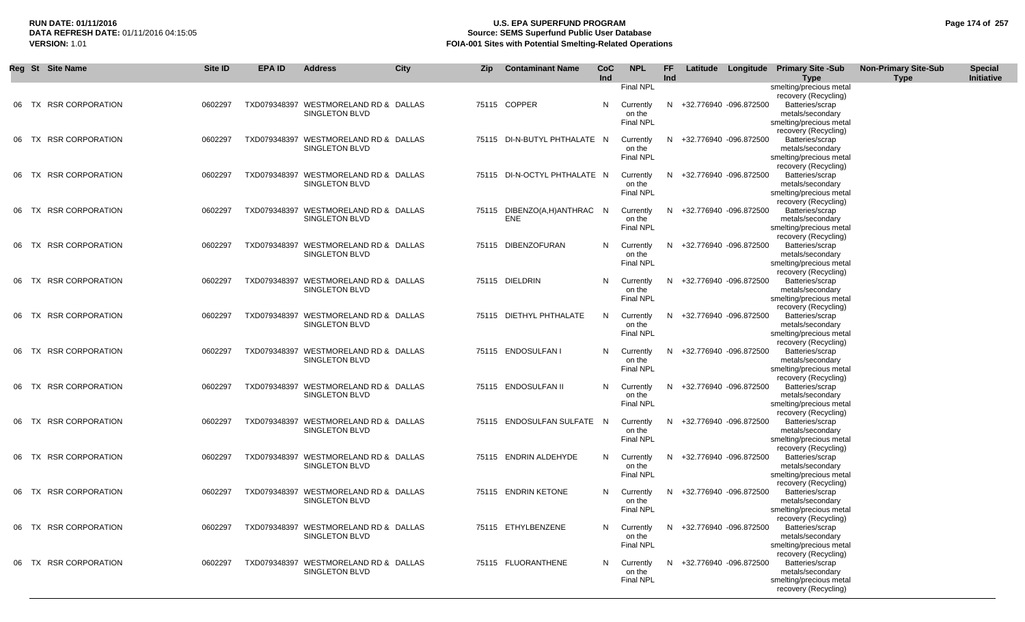## **RUN DATE: 01/11/2016 U.S. EPA SUPERFUND PROGRAM Page 174 of 257 DATA REFRESH DATE:** 01/11/2016 04:15:05 **Source: SEMS Superfund Public User Database**<br>**FOIA-001 Sites with Potential Smelting-Related Operat VERSION:** 1.01 **FOIA-001 Sites with Potential Smelting-Related Operations**

|       | Reg St Site Name       | Site ID | EPA ID | <b>Address</b>                                                 | <b>City</b> | Zip | <b>Contaminant Name</b>            | CoC<br>Ind | <b>NPL</b>                                           | FF.<br>Ind |                          | Latitude Longitude Primary Site -Sub<br><b>Type</b>                                                               | <b>Non-Primary Site-Sub</b><br>Type | <b>Special</b><br>Initiative |
|-------|------------------------|---------|--------|----------------------------------------------------------------|-------------|-----|------------------------------------|------------|------------------------------------------------------|------------|--------------------------|-------------------------------------------------------------------------------------------------------------------|-------------------------------------|------------------------------|
|       | 06 TX RSR CORPORATION  | 0602297 |        | TXD079348397 WESTMORELAND RD & DALLAS<br>SINGLETON BLVD        |             |     | 75115 COPPER                       | N          | Final NPL<br>Currently<br>on the<br><b>Final NPL</b> |            | N +32.776940 -096.872500 | smelting/precious metal<br>recovery (Recycling)<br>Batteries/scrap<br>metals/secondary<br>smelting/precious metal |                                     |                              |
| 06 TX | <b>RSR CORPORATION</b> | 0602297 |        | TXD079348397 WESTMORELAND RD & DALLAS<br><b>SINGLETON BLVD</b> |             |     | 75115 DI-N-BUTYL PHTHALATE N       |            | Currently<br>on the<br><b>Final NPL</b>              |            | N +32.776940 -096.872500 | recovery (Recycling)<br>Batteries/scrap<br>metals/secondary<br>smelting/precious metal<br>recovery (Recycling)    |                                     |                              |
| 06 TX | <b>RSR CORPORATION</b> | 0602297 |        | TXD079348397 WESTMORELAND RD & DALLAS<br><b>SINGLETON BLVD</b> |             |     | 75115 DI-N-OCTYL PHTHALATE N       |            | Currently<br>on the<br><b>Final NPL</b>              | N.         | +32.776940 -096.872500   | Batteries/scrap<br>metals/secondary<br>smelting/precious metal<br>recovery (Recycling)                            |                                     |                              |
| 06 TX | <b>RSR CORPORATION</b> | 0602297 |        | TXD079348397 WESTMORELAND RD & DALLAS<br>SINGLETON BLVD        |             |     | 75115 DIBENZO(A,H)ANTHRAC N<br>ENE |            | Currently<br>on the<br><b>Final NPL</b>              |            | N +32.776940 -096.872500 | Batteries/scrap<br>metals/secondary<br>smelting/precious metal<br>recovery (Recycling)                            |                                     |                              |
|       | 06 TX RSR CORPORATION  | 0602297 |        | TXD079348397 WESTMORELAND RD & DALLAS<br><b>SINGLETON BLVD</b> |             |     | 75115 DIBENZOFURAN                 | N.         | Currently<br>on the<br><b>Final NPL</b>              | N.         | +32.776940 -096.872500   | Batteries/scrap<br>metals/secondary<br>smelting/precious metal<br>recovery (Recycling)                            |                                     |                              |
|       | 06 TX RSR CORPORATION  | 0602297 |        | TXD079348397 WESTMORELAND RD & DALLAS<br>SINGLETON BLVD        |             |     | 75115 DIELDRIN                     | N          | Currently<br>on the<br>Final NPL                     |            | N +32.776940 -096.872500 | Batteries/scrap<br>metals/secondary<br>smelting/precious metal<br>recovery (Recycling)                            |                                     |                              |
|       | 06 TX RSR CORPORATION  | 0602297 |        | TXD079348397 WESTMORELAND RD & DALLAS<br>SINGLETON BLVD        |             |     | 75115 DIETHYL PHTHALATE            | N          | Currently<br>on the<br><b>Final NPL</b>              |            | N +32.776940 -096.872500 | Batteries/scrap<br>metals/secondary<br>smelting/precious metal<br>recovery (Recycling)                            |                                     |                              |
|       | 06 TX RSR CORPORATION  | 0602297 |        | TXD079348397 WESTMORELAND RD & DALLAS<br>SINGLETON BLVD        |             |     | 75115 ENDOSULFAN I                 | N.         | Currently<br>on the<br>Final NPL                     |            | N +32.776940 -096.872500 | Batteries/scrap<br>metals/secondary<br>smelting/precious metal<br>recovery (Recycling)                            |                                     |                              |
|       | 06 TX RSR CORPORATION  | 0602297 |        | TXD079348397 WESTMORELAND RD & DALLAS<br>SINGLETON BLVD        |             |     | 75115 ENDOSULFAN II                | N          | Currently<br>on the<br>Final NPL                     | N.         | +32.776940 -096.872500   | Batteries/scrap<br>metals/secondary<br>smelting/precious metal<br>recovery (Recycling)                            |                                     |                              |
|       | 06 TX RSR CORPORATION  | 0602297 |        | TXD079348397 WESTMORELAND RD & DALLAS<br><b>SINGLETON BLVD</b> |             |     | 75115 ENDOSULFAN SULFATE N         |            | Currently<br>on the<br><b>Final NPL</b>              | N.         | +32.776940 -096.872500   | Batteries/scrap<br>metals/secondary<br>smelting/precious metal<br>recovery (Recycling)                            |                                     |                              |
|       | 06 TX RSR CORPORATION  | 0602297 |        | TXD079348397 WESTMORELAND RD & DALLAS<br>SINGLETON BLVD        |             |     | 75115 ENDRIN ALDEHYDE              | N          | Currently<br>on the<br>Final NPL                     |            | N +32.776940 -096.872500 | Batteries/scrap<br>metals/secondary<br>smelting/precious metal<br>recovery (Recycling)                            |                                     |                              |
|       | 06 TX RSR CORPORATION  | 0602297 |        | TXD079348397 WESTMORELAND RD & DALLAS<br>SINGLETON BLVD        |             |     | 75115 ENDRIN KETONE                | N          | Currently<br>on the<br><b>Final NPL</b>              | N.         | +32.776940 -096.872500   | Batteries/scrap<br>metals/secondary<br>smelting/precious metal<br>recovery (Recycling)                            |                                     |                              |
|       | 06 TX RSR CORPORATION  | 0602297 |        | TXD079348397 WESTMORELAND RD & DALLAS<br><b>SINGLETON BLVD</b> |             |     | 75115 ETHYLBENZENE                 | N          | Currently<br>on the<br>Final NPL                     |            | N +32.776940 -096.872500 | Batteries/scrap<br>metals/secondary<br>smelting/precious metal<br>recovery (Recycling)                            |                                     |                              |
|       | 06 TX RSR CORPORATION  | 0602297 |        | TXD079348397 WESTMORELAND RD & DALLAS<br><b>SINGLETON BLVD</b> |             |     | 75115 FLUORANTHENE                 | N          | Currently<br>on the<br><b>Final NPL</b>              |            | N +32.776940 -096.872500 | Batteries/scrap<br>metals/secondary<br>smelting/precious metal<br>recovery (Recycling)                            |                                     |                              |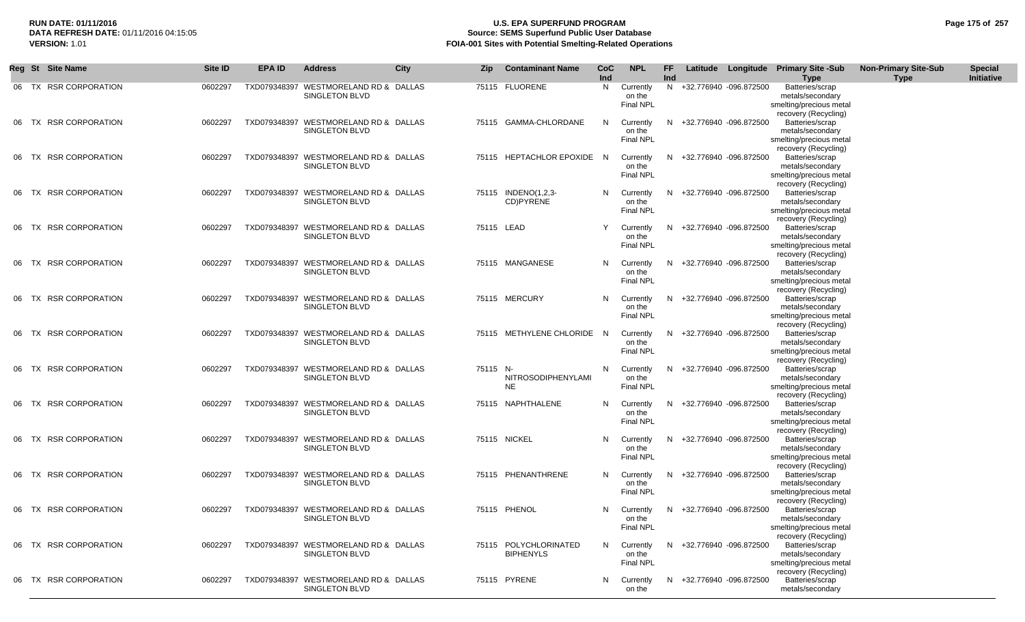## **RUN DATE: 01/11/2016 U.S. EPA SUPERFUND PROGRAM Page 175 of 257 Source: SEMS Superfund Public User Database VERSION:** 1.01 **FOIA-001 Sites with Potential Smelting-Related Operations**

|       | Reg St Site Name       | Site ID | <b>EPA ID</b> | <b>Address</b>                                                 | <b>City</b> | <b>Zip</b> | <b>Contaminant Name</b>                   | <b>CoC</b><br>Ind | <b>NPL</b>                              | FF.<br>Ind |                          | Latitude Longitude Primary Site -Sub<br><b>Type</b>                                    | <b>Non-Primary Site-Sub</b><br><b>Type</b> | <b>Special</b><br>Initiative |
|-------|------------------------|---------|---------------|----------------------------------------------------------------|-------------|------------|-------------------------------------------|-------------------|-----------------------------------------|------------|--------------------------|----------------------------------------------------------------------------------------|--------------------------------------------|------------------------------|
|       | 06 TX RSR CORPORATION  | 0602297 |               | TXD079348397 WESTMORELAND RD & DALLAS<br><b>SINGLETON BLVD</b> |             |            | 75115 FLUORENE                            | N.                | Currently<br>on the<br>Final NPL        |            | N +32.776940 -096.872500 | Batteries/scrap<br>metals/secondary<br>smelting/precious metal<br>recovery (Recycling) |                                            |                              |
| 06 TX | <b>RSR CORPORATION</b> | 0602297 |               | TXD079348397 WESTMORELAND RD & DALLAS<br><b>SINGLETON BLVD</b> |             |            | 75115 GAMMA-CHLORDANE                     | N                 | Currently<br>on the<br>Final NPL        | N.         | +32.776940 -096.872500   | Batteries/scrap<br>metals/secondary<br>smelting/precious metal<br>recovery (Recycling) |                                            |                              |
| 06 TX | <b>RSR CORPORATION</b> | 0602297 |               | TXD079348397 WESTMORELAND RD & DALLAS<br><b>SINGLETON BLVD</b> |             |            | 75115 HEPTACHLOR EPOXIDE N                |                   | Currently<br>on the<br><b>Final NPL</b> | N.         | +32.776940 -096.872500   | Batteries/scrap<br>metals/secondary<br>smelting/precious metal<br>recovery (Recycling) |                                            |                              |
| 06 TX | <b>RSR CORPORATION</b> | 0602297 |               | TXD079348397 WESTMORELAND RD & DALLAS<br><b>SINGLETON BLVD</b> |             |            | 75115 INDENO(1,2,3-<br>CD)PYRENE          | N.                | Currently<br>on the<br><b>Final NPL</b> | N.         | +32.776940 -096.872500   | Batteries/scrap<br>metals/secondary<br>smelting/precious metal<br>recovery (Recycling) |                                            |                              |
| 06 TX | <b>RSR CORPORATION</b> | 0602297 |               | TXD079348397 WESTMORELAND RD & DALLAS<br><b>SINGLETON BLVD</b> |             | 75115 LEAD |                                           | Y                 | Currently<br>on the<br><b>Final NPL</b> |            | N +32.776940 -096.872500 | Batteries/scrap<br>metals/secondary<br>smelting/precious metal<br>recovery (Recycling) |                                            |                              |
| 06 TX | <b>RSR CORPORATION</b> | 0602297 |               | TXD079348397 WESTMORELAND RD & DALLAS<br><b>SINGLETON BLVD</b> |             |            | 75115 MANGANESE                           | N.                | Currently<br>on the<br><b>Final NPL</b> | N.         | +32.776940 -096.872500   | Batteries/scrap<br>metals/secondary<br>smelting/precious metal<br>recovery (Recycling) |                                            |                              |
| 06 TX | <b>RSR CORPORATION</b> | 0602297 |               | TXD079348397 WESTMORELAND RD & DALLAS<br><b>SINGLETON BLVD</b> |             |            | 75115 MERCURY                             | N                 | Currently<br>on the<br><b>Final NPL</b> | N.         | +32.776940 -096.872500   | Batteries/scrap<br>metals/secondary<br>smelting/precious metal<br>recovery (Recycling) |                                            |                              |
| 06 TX | <b>RSR CORPORATION</b> | 0602297 |               | TXD079348397 WESTMORELAND RD & DALLAS<br>SINGLETON BLVD        |             |            | 75115 METHYLENE CHLORIDE N                |                   | Currently<br>on the<br><b>Final NPL</b> | N.         | +32.776940 -096.872500   | Batteries/scrap<br>metals/secondary<br>smelting/precious metal<br>recovery (Recycling) |                                            |                              |
| 06 TX | <b>RSR CORPORATION</b> | 0602297 |               | TXD079348397 WESTMORELAND RD & DALLAS<br>SINGLETON BLVD        |             | 75115 N-   | NITROSODIPHENYLAMI<br><b>NE</b>           | N                 | Currently<br>on the<br><b>Final NPL</b> |            | N +32.776940 -096.872500 | Batteries/scrap<br>metals/secondary<br>smelting/precious metal<br>recovery (Recycling) |                                            |                              |
| 06 TX | <b>RSR CORPORATION</b> | 0602297 |               | TXD079348397 WESTMORELAND RD & DALLAS<br><b>SINGLETON BLVD</b> |             |            | 75115 NAPHTHALENE                         | N.                | Currently<br>on the<br>Final NPL        |            | N +32.776940 -096.872500 | Batteries/scrap<br>metals/secondary<br>smelting/precious metal<br>recovery (Recycling) |                                            |                              |
| 06 TX | <b>RSR CORPORATION</b> | 0602297 |               | TXD079348397 WESTMORELAND RD & DALLAS<br>SINGLETON BLVD        |             |            | 75115 NICKEL                              | N                 | Currently<br>on the<br><b>Final NPL</b> | N.         | +32.776940 -096.872500   | Batteries/scrap<br>metals/secondary<br>smelting/precious metal<br>recovery (Recycling) |                                            |                              |
| 06 TX | <b>RSR CORPORATION</b> | 0602297 |               | TXD079348397 WESTMORELAND RD & DALLAS<br><b>SINGLETON BLVD</b> |             |            | 75115 PHENANTHRENE                        | N                 | Currently<br>on the<br><b>Final NPL</b> | N.         | +32.776940 -096.872500   | Batteries/scrap<br>metals/secondary<br>smelting/precious metal<br>recovery (Recycling) |                                            |                              |
|       | 06 TX RSR CORPORATION  | 0602297 |               | TXD079348397 WESTMORELAND RD & DALLAS<br>SINGLETON BLVD        |             |            | 75115 PHENOL                              | N.                | Currently<br>on the<br><b>Final NPL</b> |            | N +32.776940 -096.872500 | Batteries/scrap<br>metals/secondary<br>smelting/precious metal<br>recovery (Recycling) |                                            |                              |
|       | 06 TX RSR CORPORATION  | 0602297 |               | TXD079348397 WESTMORELAND RD & DALLAS<br><b>SINGLETON BLVD</b> |             |            | 75115 POLYCHLORINATED<br><b>BIPHENYLS</b> | N.                | Currently<br>on the<br>Final NPL        |            | N +32.776940 -096.872500 | Batteries/scrap<br>metals/secondary<br>smelting/precious metal<br>recovery (Recycling) |                                            |                              |
|       | 06 TX RSR CORPORATION  | 0602297 |               | TXD079348397 WESTMORELAND RD & DALLAS<br><b>SINGLETON BLVD</b> |             |            | 75115 PYRENE                              | N                 | Currently<br>on the                     |            | N +32.776940 -096.872500 | Batteries/scrap<br>metals/secondary                                                    |                                            |                              |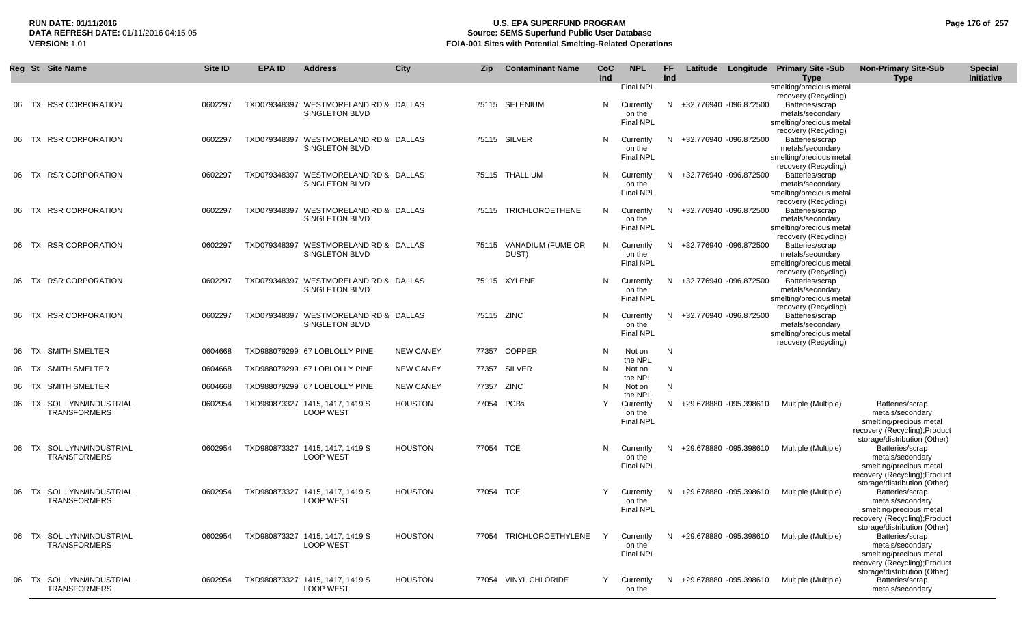## **RUN DATE: 01/11/2016 U.S. EPA SUPERFUND PROGRAM Page 176 of 257 Source: SEMS Superfund Public User Database VERSION:** 1.01 **FOIA-001 Sites with Potential Smelting-Related Operations**

|    | Reg St Site Name                                 | <b>Site ID</b> | <b>EPA ID</b> | <b>Address</b>                                                 | City             | Zip        | <b>Contaminant Name</b>          | <b>CoC</b><br>Ind | <b>NPL</b>                              | FF.<br><b>Ind</b> |                          | Latitude Longitude Primary Site -Sub<br><b>Type</b>                                                            | <b>Non-Primary Site-Sub</b><br><b>Type</b>                                                                                      | <b>Special</b><br><b>Initiative</b> |
|----|--------------------------------------------------|----------------|---------------|----------------------------------------------------------------|------------------|------------|----------------------------------|-------------------|-----------------------------------------|-------------------|--------------------------|----------------------------------------------------------------------------------------------------------------|---------------------------------------------------------------------------------------------------------------------------------|-------------------------------------|
|    |                                                  |                |               |                                                                |                  |            |                                  |                   | Final NPL                               |                   |                          | smelting/precious metal<br>recovery (Recycling)                                                                |                                                                                                                                 |                                     |
| 06 | TX RSR CORPORATION                               | 0602297        |               | TXD079348397 WESTMORELAND RD & DALLAS<br>SINGLETON BLVD        |                  |            | 75115 SELENIUM                   | N                 | Currently<br>on the<br><b>Final NPL</b> |                   | N +32.776940 -096.872500 | Batteries/scrap<br>metals/secondary<br>smelting/precious metal                                                 |                                                                                                                                 |                                     |
| 06 | <b>RSR CORPORATION</b><br>TX                     | 0602297        |               | TXD079348397 WESTMORELAND RD & DALLAS<br>SINGLETON BLVD        |                  |            | 75115 SILVER                     | N                 | Currently<br>on the<br><b>Final NPL</b> |                   | N +32.776940 -096.872500 | recovery (Recycling)<br>Batteries/scrap<br>metals/secondary<br>smelting/precious metal                         |                                                                                                                                 |                                     |
| 06 | <b>RSR CORPORATION</b><br>TX                     | 0602297        |               | TXD079348397 WESTMORELAND RD & DALLAS<br>SINGLETON BLVD        |                  |            | 75115 THALLIUM                   | N                 | Currently<br>on the<br><b>Final NPL</b> |                   | N +32.776940 -096.872500 | recovery (Recycling)<br>Batteries/scrap<br>metals/secondary<br>smelting/precious metal<br>recovery (Recycling) |                                                                                                                                 |                                     |
|    | 06 TX RSR CORPORATION                            | 0602297        |               | TXD079348397 WESTMORELAND RD & DALLAS<br>SINGLETON BLVD        |                  |            | 75115 TRICHLOROETHENE            | N                 | Currently<br>on the<br><b>Final NPL</b> |                   | N +32.776940 -096.872500 | Batteries/scrap<br>metals/secondary<br>smelting/precious metal<br>recovery (Recycling)                         |                                                                                                                                 |                                     |
|    | 06 TX RSR CORPORATION                            | 0602297        |               | TXD079348397 WESTMORELAND RD & DALLAS<br>SINGLETON BLVD        |                  |            | 75115 VANADIUM (FUME OR<br>DUST) | N                 | Currently<br>on the<br>Final NPL        |                   | N +32.776940 -096.872500 | Batteries/scrap<br>metals/secondary<br>smelting/precious metal<br>recovery (Recycling)                         |                                                                                                                                 |                                     |
| 06 | TX RSR CORPORATION                               | 0602297        |               | TXD079348397 WESTMORELAND RD & DALLAS<br>SINGLETON BLVD        |                  |            | 75115 XYLENE                     | N                 | Currently<br>on the<br><b>Final NPL</b> |                   | N +32.776940 -096.872500 | Batteries/scrap<br>metals/secondary<br>smelting/precious metal<br>recovery (Recycling)                         |                                                                                                                                 |                                     |
| 06 | TX RSR CORPORATION                               | 0602297        |               | TXD079348397 WESTMORELAND RD & DALLAS<br><b>SINGLETON BLVD</b> |                  | 75115 ZINC |                                  | N                 | Currently<br>on the<br><b>Final NPL</b> |                   | N +32.776940 -096.872500 | Batteries/scrap<br>metals/secondary<br>smelting/precious metal<br>recovery (Recycling)                         |                                                                                                                                 |                                     |
| 06 | TX SMITH SMELTER                                 | 0604668        |               | TXD988079299 67 LOBLOLLY PINE                                  | <b>NEW CANEY</b> | 77357      | <b>COPPER</b>                    | N                 | Not on<br>the NPL                       | N                 |                          |                                                                                                                |                                                                                                                                 |                                     |
|    | 06 TX SMITH SMELTER                              | 0604668        |               | TXD988079299 67 LOBLOLLY PINE                                  | <b>NEW CANEY</b> | 77357      | SILVER                           | N                 | Not on<br>the NPL                       | N                 |                          |                                                                                                                |                                                                                                                                 |                                     |
|    | 06 TX SMITH SMELTER                              | 0604668        |               | TXD988079299 67 LOBLOLLY PINE                                  | <b>NEW CANEY</b> | 77357 ZINC |                                  | N                 | Not on<br>the NPL                       | N                 |                          |                                                                                                                |                                                                                                                                 |                                     |
|    | 06 TX SOL LYNN/INDUSTRIAL<br><b>TRANSFORMERS</b> | 0602954        |               | TXD980873327 1415, 1417, 1419 S<br><b>LOOP WEST</b>            | <b>HOUSTON</b>   | 77054 PCBs |                                  | Y                 | Currently<br>on the<br>Final NPL        |                   | N +29.678880 -095.398610 | Multiple (Multiple)                                                                                            | Batteries/scrap<br>metals/secondary<br>smelting/precious metal<br>recovery (Recycling); Product<br>storage/distribution (Other) |                                     |
|    | 06 TX SOL LYNN/INDUSTRIAL<br><b>TRANSFORMERS</b> | 0602954        |               | TXD980873327 1415, 1417, 1419 S<br><b>LOOP WEST</b>            | <b>HOUSTON</b>   | 77054 TCE  |                                  | N                 | Currently<br>on the<br>Final NPL        |                   | N +29.678880 -095.398610 | Multiple (Multiple)                                                                                            | Batteries/scrap<br>metals/secondary<br>smelting/precious metal<br>recovery (Recycling); Product                                 |                                     |
| 06 | TX SOL LYNN/INDUSTRIAL<br><b>TRANSFORMERS</b>    | 0602954        |               | TXD980873327 1415, 1417, 1419 S<br><b>LOOP WEST</b>            | <b>HOUSTON</b>   | 77054 TCE  |                                  | Y                 | Currently<br>on the<br><b>Final NPL</b> |                   | N +29.678880 -095.398610 | Multiple (Multiple)                                                                                            | storage/distribution (Other)<br>Batteries/scrap<br>metals/secondary<br>smelting/precious metal<br>recovery (Recycling); Product |                                     |
| 06 | TX SOL LYNN/INDUSTRIAL<br><b>TRANSFORMERS</b>    | 0602954        |               | TXD980873327 1415, 1417, 1419 S<br><b>LOOP WEST</b>            | <b>HOUSTON</b>   |            | 77054 TRICHLOROETHYLENE          |                   | Currently<br>on the<br><b>Final NPL</b> |                   | N +29.678880 -095.398610 | Multiple (Multiple)                                                                                            | storage/distribution (Other)<br>Batteries/scrap<br>metals/secondary<br>smelting/precious metal<br>recovery (Recycling); Product |                                     |
| 06 | TX SOL LYNN/INDUSTRIAL<br><b>TRANSFORMERS</b>    | 0602954        |               | TXD980873327 1415, 1417, 1419 S<br><b>LOOP WEST</b>            | <b>HOUSTON</b>   |            | 77054 VINYL CHLORIDE             | Y                 | Currently<br>on the                     |                   | N +29.678880 -095.398610 | Multiple (Multiple)                                                                                            | storage/distribution (Other)<br>Batteries/scrap<br>metals/secondary                                                             |                                     |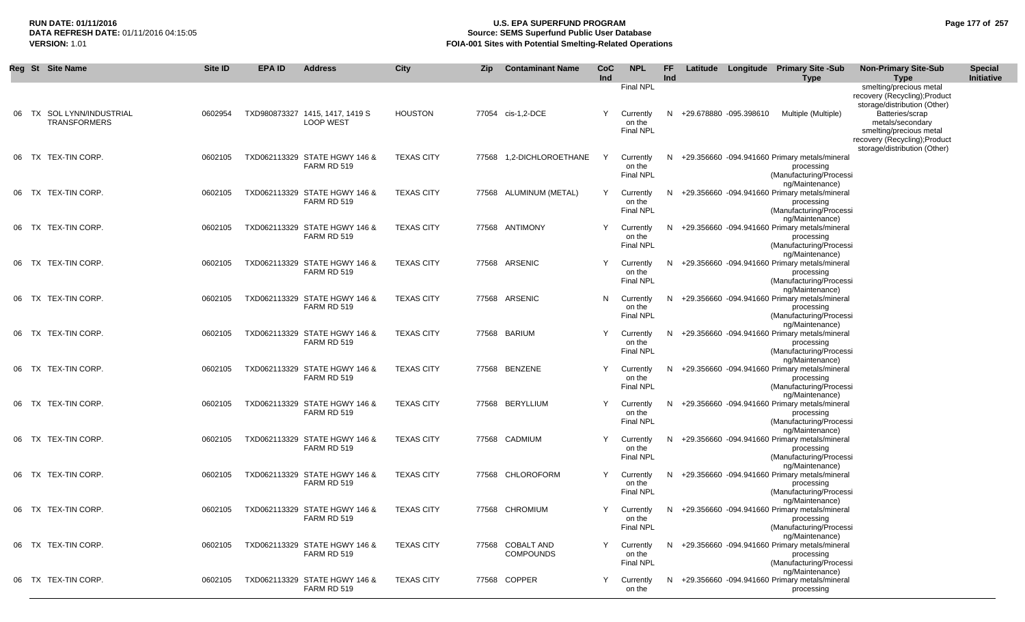## **RUN DATE: 01/11/2016 U.S. EPA SUPERFUND PROGRAM Page 177 of 257 Source: SEMS Superfund Public User Database VERSION:** 1.01 **FOIA-001 Sites with Potential Smelting-Related Operations**

|    | Reg St Site Name                              | Site ID | <b>EPA ID</b> | <b>Address</b>                                      | City              | Zip   | <b>Contaminant Name</b>               | <b>CoC</b><br>Ind | <b>NPL</b>                              | FF.<br>Ind | Latitude |                        | Longitude Primary Site -Sub<br><b>Type</b>                                                                | <b>Non-Primary Site-Sub</b><br><b>Type</b>                                                                                      | <b>Special</b><br>Initiative |
|----|-----------------------------------------------|---------|---------------|-----------------------------------------------------|-------------------|-------|---------------------------------------|-------------------|-----------------------------------------|------------|----------|------------------------|-----------------------------------------------------------------------------------------------------------|---------------------------------------------------------------------------------------------------------------------------------|------------------------------|
|    |                                               |         |               |                                                     |                   |       |                                       |                   | <b>Final NPL</b>                        |            |          |                        |                                                                                                           | smelting/precious metal<br>recovery (Recycling); Product<br>storage/distribution (Other)                                        |                              |
| 06 | TX SOL LYNN/INDUSTRIAL<br><b>TRANSFORMERS</b> | 0602954 |               | TXD980873327 1415, 1417, 1419 S<br><b>LOOP WEST</b> | <b>HOUSTON</b>    |       | 77054 cis-1,2-DCE                     | Y                 | Currently<br>on the<br><b>Final NPL</b> | N          |          | +29.678880 -095.398610 | Multiple (Multiple)                                                                                       | Batteries/scrap<br>metals/secondary<br>smelting/precious metal<br>recovery (Recycling); Product<br>storage/distribution (Other) |                              |
|    | 06 TX TEX-TIN CORP.                           | 0602105 |               | TXD062113329 STATE HGWY 146 &<br>FARM RD 519        | <b>TEXAS CITY</b> |       | 77568 1,2-DICHLOROETHANE              | Y                 | Currently<br>on the<br><b>Final NPL</b> | N          |          |                        | +29.356660 -094.941660 Primary metals/mineral<br>processing<br>(Manufacturing/Processi<br>ng/Maintenance) |                                                                                                                                 |                              |
|    | 06 TX TEX-TIN CORP.                           | 0602105 |               | TXD062113329 STATE HGWY 146 &<br>FARM RD 519        | <b>TEXAS CITY</b> |       | 77568 ALUMINUM (METAL)                | Y                 | Currently<br>on the<br>Final NPL        | N          |          |                        | +29.356660 -094.941660 Primary metals/mineral<br>processing<br>(Manufacturing/Processi<br>ng/Maintenance) |                                                                                                                                 |                              |
|    | 06 TX TEX-TIN CORP.                           | 0602105 |               | TXD062113329 STATE HGWY 146 &<br>FARM RD 519        | <b>TEXAS CITY</b> |       | 77568 ANTIMONY                        | Y                 | Currently<br>on the<br><b>Final NPL</b> | N          |          |                        | +29.356660 -094.941660 Primary metals/mineral<br>processing<br>(Manufacturing/Processi<br>ng/Maintenance) |                                                                                                                                 |                              |
|    | 06 TX TEX-TIN CORP.                           | 0602105 |               | TXD062113329 STATE HGWY 146 &<br>FARM RD 519        | <b>TEXAS CITY</b> |       | 77568 ARSENIC                         | Y                 | Currently<br>on the<br>Final NPL        | N.         |          |                        | +29.356660 -094.941660 Primary metals/mineral<br>processing<br>(Manufacturing/Processi<br>ng/Maintenance) |                                                                                                                                 |                              |
|    | 06 TX TEX-TIN CORP.                           | 0602105 |               | TXD062113329 STATE HGWY 146 &<br>FARM RD 519        | <b>TEXAS CITY</b> |       | 77568 ARSENIC                         | N                 | Currently<br>on the<br><b>Final NPL</b> | N.         |          |                        | +29.356660 -094.941660 Primary metals/mineral<br>processing<br>(Manufacturing/Processi<br>ng/Maintenance) |                                                                                                                                 |                              |
|    | 06 TX TEX-TIN CORP.                           | 0602105 |               | TXD062113329 STATE HGWY 146 &<br>FARM RD 519        | <b>TEXAS CITY</b> |       | 77568 BARIUM                          | Y                 | Currently<br>on the<br><b>Final NPL</b> | N.         |          |                        | +29.356660 -094.941660 Primary metals/mineral<br>processing<br>(Manufacturing/Processi<br>ng/Maintenance) |                                                                                                                                 |                              |
|    | 06 TX TEX-TIN CORP.                           | 0602105 |               | TXD062113329 STATE HGWY 146 &<br>FARM RD 519        | <b>TEXAS CITY</b> |       | 77568 BENZENE                         | Y                 | Currently<br>on the<br>Final NPL        | N.         |          |                        | +29.356660 -094.941660 Primary metals/mineral<br>processing<br>(Manufacturing/Processi                    |                                                                                                                                 |                              |
|    | 06 TX TEX-TIN CORP.                           | 0602105 |               | TXD062113329 STATE HGWY 146 &<br>FARM RD 519        | <b>TEXAS CITY</b> |       | 77568 BERYLLIUM                       | Y                 | Currently<br>on the<br>Final NPL        | N          |          |                        | ng/Maintenance)<br>+29.356660 -094.941660 Primary metals/mineral<br>processing<br>(Manufacturing/Processi |                                                                                                                                 |                              |
|    | 06 TX TEX-TIN CORP.                           | 0602105 |               | TXD062113329 STATE HGWY 146 &<br>FARM RD 519        | <b>TEXAS CITY</b> |       | 77568 CADMIUM                         |                   | Currently<br>on the<br>Final NPL        | N.         |          |                        | ng/Maintenance)<br>+29.356660 -094.941660 Primary metals/mineral<br>processing<br>(Manufacturing/Processi |                                                                                                                                 |                              |
|    | 06 TX TEX-TIN CORP.                           | 0602105 |               | TXD062113329 STATE HGWY 146 &<br>FARM RD 519        | <b>TEXAS CITY</b> |       | 77568 CHLOROFORM                      | Y                 | Currently<br>on the<br>Final NPL        | N.         |          |                        | ng/Maintenance)<br>+29.356660 -094.941660 Primary metals/mineral<br>processing<br>(Manufacturing/Processi |                                                                                                                                 |                              |
|    | 06 TX TEX-TIN CORP.                           | 0602105 |               | TXD062113329 STATE HGWY 146 &<br>FARM RD 519        | <b>TEXAS CITY</b> |       | 77568 CHROMIUM                        | Y                 | Currently<br>on the<br>Final NPL        | N.         |          |                        | ng/Maintenance)<br>+29.356660 -094.941660 Primary metals/mineral<br>processing<br>(Manufacturing/Processi |                                                                                                                                 |                              |
|    | 06 TX TEX-TIN CORP.                           | 0602105 |               | TXD062113329 STATE HGWY 146 &<br>FARM RD 519        | <b>TEXAS CITY</b> | 77568 | <b>COBALT AND</b><br><b>COMPOUNDS</b> | Y                 | Currently<br>on the<br><b>Final NPL</b> | N.         |          |                        | ng/Maintenance)<br>+29.356660 -094.941660 Primary metals/mineral<br>processing<br>(Manufacturing/Processi |                                                                                                                                 |                              |
|    | 06 TX TEX-TIN CORP.                           | 0602105 |               | TXD062113329 STATE HGWY 146 &<br>FARM RD 519        | <b>TEXAS CITY</b> |       | 77568 COPPER                          | Y                 | Currently<br>on the                     | N.         |          |                        | ng/Maintenance)<br>+29.356660 -094.941660 Primary metals/mineral<br>processing                            |                                                                                                                                 |                              |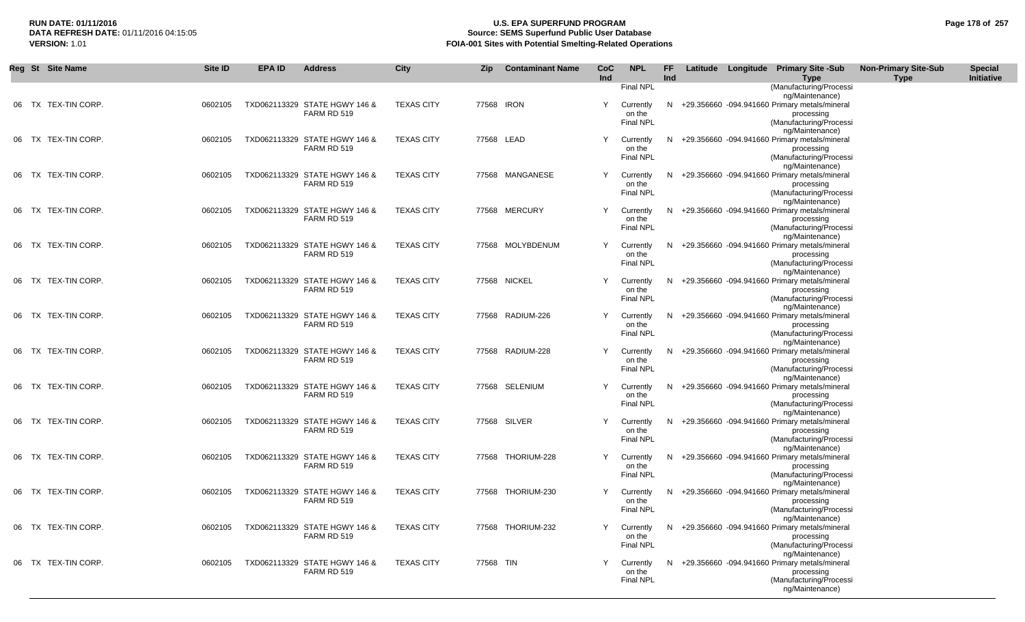## **RUN DATE: 01/11/2016 U.S. EPA SUPERFUND PROGRAM Page 178 of 257** DATA REFRESH DATE: 01/11/2016 04:15:05<br>**VERSION: 1.01** Source: SEMS Superfund Public User Database<br>FOIA-001 Sites with Potential Smelting-Related Operat **VERSION:** 1.01 **FOIA-001 Sites with Potential Smelting-Related Operations**

|  | Reg St Site Name    | Site ID | <b>EPA ID</b> | <b>Address</b>                               | City              | Zip       | <b>Contaminant Name</b> | CoC<br>Ind | <b>NPL</b>                              | <b>FF</b><br>Ind |  | Latitude Longitude Primary Site -Sub<br><b>Type</b>                                                                            | <b>Non-Primary Site-Sub</b><br><b>Type</b> | <b>Special</b><br>Initiative |
|--|---------------------|---------|---------------|----------------------------------------------|-------------------|-----------|-------------------------|------------|-----------------------------------------|------------------|--|--------------------------------------------------------------------------------------------------------------------------------|--------------------------------------------|------------------------------|
|  |                     |         |               |                                              |                   |           |                         |            | Final NPL                               |                  |  | (Manufacturing/Processi<br>ng/Maintenance)                                                                                     |                                            |                              |
|  | 06 TX TEX-TIN CORP. | 0602105 |               | TXD062113329 STATE HGWY 146 &<br>FARM RD 519 | <b>TEXAS CITY</b> |           | 77568 IRON              | Y          | Currently<br>on the<br>Final NPL        |                  |  | N +29.356660 -094.941660 Primary metals/mineral<br>processing<br>(Manufacturing/Processi<br>ng/Maintenance)                    |                                            |                              |
|  | 06 TX TEX-TIN CORP. | 0602105 |               | TXD062113329 STATE HGWY 146 &<br>FARM RD 519 | <b>TEXAS CITY</b> |           | 77568 LEAD              | Y          | Currently<br>on the<br>Final NPL        |                  |  | N +29.356660 -094.941660 Primary metals/mineral<br>processing<br>(Manufacturing/Processi                                       |                                            |                              |
|  | 06 TX TEX-TIN CORP. | 0602105 |               | TXD062113329 STATE HGWY 146 &<br>FARM RD 519 | <b>TEXAS CITY</b> |           | 77568 MANGANESE         | Y          | Currently<br>on the<br>Final NPL        |                  |  | ng/Maintenance)<br>N +29.356660 -094.941660 Primary metals/mineral<br>processing<br>(Manufacturing/Processi                    |                                            |                              |
|  | 06 TX TEX-TIN CORP. | 0602105 |               | TXD062113329 STATE HGWY 146 &<br>FARM RD 519 | <b>TEXAS CITY</b> |           | 77568 MERCURY           | Y          | Currently<br>on the<br>Final NPL        |                  |  | ng/Maintenance)<br>N +29.356660 -094.941660 Primary metals/mineral<br>processing<br>(Manufacturing/Processi                    |                                            |                              |
|  | 06 TX TEX-TIN CORP. | 0602105 |               | TXD062113329 STATE HGWY 146 &<br>FARM RD 519 | <b>TEXAS CITY</b> |           | 77568 MOLYBDENUM        | Y          | Currently<br>on the<br><b>Final NPL</b> |                  |  | ng/Maintenance)<br>N +29.356660 -094.941660 Primary metals/mineral<br>processing<br>(Manufacturing/Processi                    |                                            |                              |
|  | 06 TX TEX-TIN CORP. | 0602105 |               | TXD062113329 STATE HGWY 146 &<br>FARM RD 519 | <b>TEXAS CITY</b> |           | 77568 NICKEL            | Y          | Currently<br>on the<br><b>Final NPL</b> |                  |  | ng/Maintenance)<br>N +29.356660 -094.941660 Primary metals/mineral<br>processing<br>(Manufacturing/Processi                    |                                            |                              |
|  | 06 TX TEX-TIN CORP. | 0602105 |               | TXD062113329 STATE HGWY 146 &<br>FARM RD 519 | <b>TEXAS CITY</b> |           | 77568 RADIUM-226        | Y          | Currently<br>on the<br>Final NPL        |                  |  | ng/Maintenance)<br>N +29.356660 -094.941660 Primary metals/mineral<br>processing<br>(Manufacturing/Processi                    |                                            |                              |
|  | 06 TX TEX-TIN CORP. | 0602105 |               | TXD062113329 STATE HGWY 146 &<br>FARM RD 519 | <b>TEXAS CITY</b> |           | 77568 RADIUM-228        | Y          | Currently<br>on the<br><b>Final NPL</b> |                  |  | ng/Maintenance)<br>N +29.356660 -094.941660 Primary metals/mineral<br>processing<br>(Manufacturing/Processi<br>ng/Maintenance) |                                            |                              |
|  | 06 TX TEX-TIN CORP. | 0602105 |               | TXD062113329 STATE HGWY 146 &<br>FARM RD 519 | <b>TEXAS CITY</b> |           | 77568 SELENIUM          | Y          | Currently<br>on the<br>Final NPL        |                  |  | N +29.356660 -094.941660 Primary metals/mineral<br>processing<br>(Manufacturing/Processi<br>ng/Maintenance)                    |                                            |                              |
|  | 06 TX TEX-TIN CORP. | 0602105 |               | TXD062113329 STATE HGWY 146 &<br>FARM RD 519 | <b>TEXAS CITY</b> |           | 77568 SILVER            | Y          | Currently<br>on the<br>Final NPL        |                  |  | N +29.356660 -094.941660 Primary metals/mineral<br>processing<br>(Manufacturing/Processi<br>ng/Maintenance)                    |                                            |                              |
|  | 06 TX TEX-TIN CORP. | 0602105 |               | TXD062113329 STATE HGWY 146 &<br>FARM RD 519 | <b>TEXAS CITY</b> |           | 77568 THORIUM-228       | Y          | Currently<br>on the<br><b>Final NPL</b> |                  |  | N +29.356660 -094.941660 Primary metals/mineral<br>processing<br>(Manufacturing/Processi<br>ng/Maintenance)                    |                                            |                              |
|  | 06 TX TEX-TIN CORP. | 0602105 |               | TXD062113329 STATE HGWY 146 &<br>FARM RD 519 | <b>TEXAS CITY</b> |           | 77568 THORIUM-230       | Y          | Currently<br>on the<br>Final NPL        |                  |  | N +29.356660 -094.941660 Primary metals/mineral<br>processing<br>(Manufacturing/Processi<br>ng/Maintenance)                    |                                            |                              |
|  | 06 TX TEX-TIN CORP. | 0602105 |               | TXD062113329 STATE HGWY 146 &<br>FARM RD 519 | <b>TEXAS CITY</b> |           | 77568 THORIUM-232       | Y          | Currently<br>on the<br><b>Final NPL</b> |                  |  | N +29.356660 -094.941660 Primary metals/mineral<br>processing<br>(Manufacturing/Processi<br>ng/Maintenance)                    |                                            |                              |
|  | 06 TX TEX-TIN CORP. | 0602105 |               | TXD062113329 STATE HGWY 146 &<br>FARM RD 519 | <b>TEXAS CITY</b> | 77568 TIN |                         |            | Currently<br>on the<br><b>Final NPL</b> |                  |  | N +29.356660 -094.941660 Primary metals/mineral<br>processing<br>(Manufacturing/Processi<br>ng/Maintenance)                    |                                            |                              |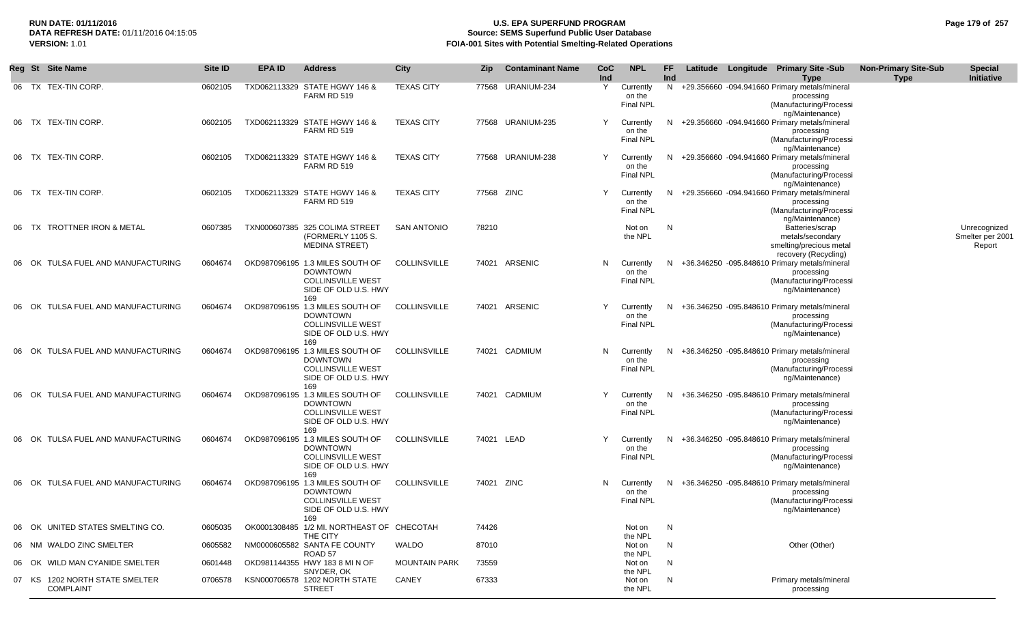## **RUN DATE: 01/11/2016 U.S. EPA SUPERFUND PROGRAM Page 179 of 257 Source: SEMS Superfund Public User Database VERSION:** 1.01 **FOIA-001 Sites with Potential Smelting-Related Operations**

|       | Reg St Site Name                                   | Site ID | <b>EPA ID</b> | <b>Address</b>                                                                                                | <b>City</b>          | Zip        | <b>Contaminant Name</b> | <b>CoC</b><br>Ind | <b>NPL</b>                              | FF.<br>Ind |  | Latitude Longitude Primary Site -Sub<br><b>Type</b>                                                         | <b>Non-Primary Site-Sub</b><br><b>Type</b> | <b>Special</b><br>Initiative               |
|-------|----------------------------------------------------|---------|---------------|---------------------------------------------------------------------------------------------------------------|----------------------|------------|-------------------------|-------------------|-----------------------------------------|------------|--|-------------------------------------------------------------------------------------------------------------|--------------------------------------------|--------------------------------------------|
|       | 06 TX TEX-TIN CORP.                                | 0602105 |               | TXD062113329 STATE HGWY 146 &<br>FARM RD 519                                                                  | <b>TEXAS CITY</b>    |            | 77568 URANIUM-234       | Y                 | Currently<br>on the<br><b>Final NPL</b> |            |  | N +29.356660 -094.941660 Primary metals/mineral<br>processing<br>(Manufacturing/Processi<br>ng/Maintenance) |                                            |                                            |
|       | 06 TX TEX-TIN CORP.                                | 0602105 |               | TXD062113329 STATE HGWY 146 &<br>FARM RD 519                                                                  | <b>TEXAS CITY</b>    |            | 77568 URANIUM-235       | Y                 | Currently<br>on the<br><b>Final NPL</b> |            |  | N +29.356660 -094.941660 Primary metals/mineral<br>processing<br>(Manufacturing/Processi<br>ng/Maintenance) |                                            |                                            |
| 06    | TX TEX-TIN CORP.                                   | 0602105 |               | TXD062113329 STATE HGWY 146 &<br>FARM RD 519                                                                  | <b>TEXAS CITY</b>    |            | 77568 URANIUM-238       | Y                 | Currently<br>on the<br><b>Final NPL</b> |            |  | N +29.356660 -094.941660 Primary metals/mineral<br>processing<br>(Manufacturing/Processi<br>ng/Maintenance) |                                            |                                            |
| 06    | TX TEX-TIN CORP.                                   | 0602105 |               | TXD062113329 STATE HGWY 146 &<br>FARM RD 519                                                                  | <b>TEXAS CITY</b>    | 77568 ZINC |                         | Y                 | Currently<br>on the<br><b>Final NPL</b> |            |  | N +29.356660 -094.941660 Primary metals/mineral<br>processing<br>(Manufacturing/Processi<br>ng/Maintenance) |                                            |                                            |
|       | TX TROTTNER IRON & METAL                           | 0607385 |               | TXN000607385 325 COLIMA STREET<br>(FORMERLY 1105 S.<br><b>MEDINA STREET)</b>                                  | <b>SAN ANTONIO</b>   | 78210      |                         |                   | Not on<br>the NPL                       | N          |  | Batteries/scrap<br>metals/secondary<br>smelting/precious metal<br>recovery (Recycling)                      |                                            | Unrecognized<br>Smelter per 2001<br>Report |
|       | 06 OK TULSA FUEL AND MANUFACTURING                 | 0604674 |               | OKD987096195 1.3 MILES SOUTH OF<br><b>DOWNTOWN</b><br><b>COLLINSVILLE WEST</b><br>SIDE OF OLD U.S. HWY<br>169 | <b>COLLINSVILLE</b>  |            | 74021 ARSENIC           | N.                | Currently<br>on the<br><b>Final NPL</b> |            |  | N +36.346250 -095.848610 Primary metals/mineral<br>processing<br>(Manufacturing/Processi<br>ng/Maintenance) |                                            |                                            |
| 06 OK | TULSA FUEL AND MANUFACTURING                       | 0604674 |               | OKD987096195 1.3 MILES SOUTH OF<br><b>DOWNTOWN</b><br><b>COLLINSVILLE WEST</b><br>SIDE OF OLD U.S. HWY<br>169 | <b>COLLINSVILLE</b>  |            | 74021 ARSENIC           | Y                 | Currently<br>on the<br><b>Final NPL</b> |            |  | N +36.346250 -095.848610 Primary metals/mineral<br>processing<br>(Manufacturing/Processi<br>ng/Maintenance) |                                            |                                            |
| 06 OK | TULSA FUEL AND MANUFACTURING                       | 0604674 |               | OKD987096195 1.3 MILES SOUTH OF<br><b>DOWNTOWN</b><br><b>COLLINSVILLE WEST</b><br>SIDE OF OLD U.S. HWY<br>169 | <b>COLLINSVILLE</b>  | 74021      | CADMIUM                 | N                 | Currently<br>on the<br><b>Final NPL</b> |            |  | N +36.346250 -095.848610 Primary metals/mineral<br>processing<br>(Manufacturing/Processi<br>ng/Maintenance) |                                            |                                            |
|       | TULSA FUEL AND MANUFACTURING<br>OK                 | 0604674 |               | OKD987096195 1.3 MILES SOUTH OF<br><b>DOWNTOWN</b><br><b>COLLINSVILLE WEST</b><br>SIDE OF OLD U.S. HWY<br>169 | <b>COLLINSVILLE</b>  | 74021      | CADMIUM                 | Y                 | Currently<br>on the<br><b>Final NPL</b> |            |  | N +36.346250 -095.848610 Primary metals/mineral<br>processing<br>(Manufacturing/Processi<br>ng/Maintenance) |                                            |                                            |
|       | 06 OK TULSA FUEL AND MANUFACTURING                 | 0604674 |               | OKD987096195 1.3 MILES SOUTH OF<br><b>DOWNTOWN</b><br><b>COLLINSVILLE WEST</b><br>SIDE OF OLD U.S. HWY<br>169 | <b>COLLINSVILLE</b>  |            | 74021 LEAD              | Y                 | Currently<br>on the<br>Final NPL        |            |  | N +36.346250 -095.848610 Primary metals/mineral<br>processing<br>(Manufacturing/Processi<br>ng/Maintenance) |                                            |                                            |
|       | 06 OK TULSA FUEL AND MANUFACTURING                 | 0604674 |               | OKD987096195 1.3 MILES SOUTH OF<br><b>DOWNTOWN</b><br><b>COLLINSVILLE WEST</b><br>SIDE OF OLD U.S. HWY<br>169 | <b>COLLINSVILLE</b>  | 74021 ZINC |                         | N                 | Currently<br>on the<br><b>Final NPL</b> |            |  | N +36.346250 -095.848610 Primary metals/mineral<br>processing<br>(Manufacturing/Processi<br>ng/Maintenance) |                                            |                                            |
|       | 06 OK UNITED STATES SMELTING CO.                   | 0605035 |               | OK0001308485 1/2 MI. NORTHEAST OF CHECOTAH<br>THE CITY                                                        |                      | 74426      |                         |                   | Not on<br>the NPL                       | N          |  |                                                                                                             |                                            |                                            |
|       | 06 NM WALDO ZINC SMELTER                           | 0605582 |               | NM0000605582 SANTA FE COUNTY<br>ROAD 57                                                                       | WALDO                | 87010      |                         |                   | Not on                                  | N          |  | Other (Other)                                                                                               |                                            |                                            |
|       | 06 OK WILD MAN CYANIDE SMELTER                     | 0601448 |               | OKD981144355 HWY 183 8 MI N OF<br>SNYDER, OK                                                                  | <b>MOUNTAIN PARK</b> | 73559      |                         |                   | the NPL<br>Not on<br>the NPL            | N          |  |                                                                                                             |                                            |                                            |
|       | 07 KS 1202 NORTH STATE SMELTER<br><b>COMPLAINT</b> | 0706578 |               | KSN000706578 1202 NORTH STATE<br><b>STREET</b>                                                                | CANEY                | 67333      |                         |                   | Not on<br>the NPL                       | N          |  | Primary metals/mineral<br>processing                                                                        |                                            |                                            |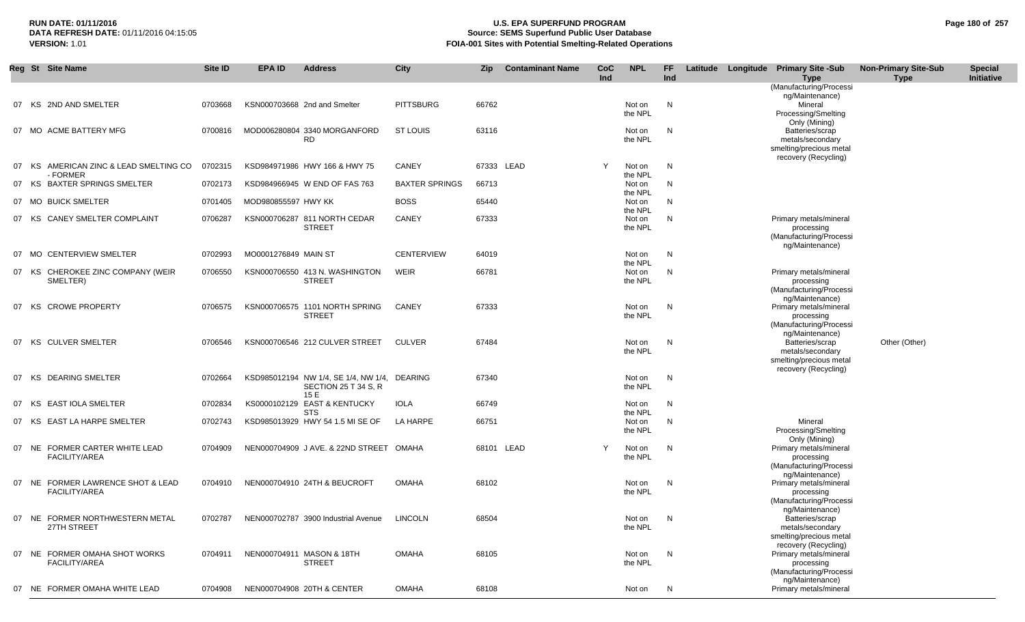#### **RUN DATE: 01/11/2016 U.S. EPA SUPERFUND PROGRAM Page 180 of 257** DATA REFRESH DATE: 01/11/2016 04:15:05<br>**VERSION: 1.01** Source: SEMS Superfund Public User Database<br>FOIA-001 Sites with Potential Smelting-Related Operat **FOIA-001 Sites with Potential Smelting-Related Operations**

|    | Reg St Site Name                                          | Site ID | EPA ID               | <b>Address</b>                                                               | <b>City</b>           | Zip   | <b>Contaminant Name</b> | <b>CoC</b><br>Ind | <b>NPL</b>                   | FF<br>Ind |  | Latitude Longitude Primary Site -Sub<br><b>Type</b>                                                       | <b>Non-Primary Site-Sub</b><br><b>Type</b> | <b>Special</b><br>Initiative |
|----|-----------------------------------------------------------|---------|----------------------|------------------------------------------------------------------------------|-----------------------|-------|-------------------------|-------------------|------------------------------|-----------|--|-----------------------------------------------------------------------------------------------------------|--------------------------------------------|------------------------------|
|    |                                                           |         |                      |                                                                              |                       |       |                         |                   |                              |           |  | (Manufacturing/Processi<br>ng/Maintenance)                                                                |                                            |                              |
|    | 07 KS 2ND AND SMELTER                                     | 0703668 |                      | KSN000703668 2nd and Smelter                                                 | <b>PITTSBURG</b>      | 66762 |                         |                   | Not on<br>the NPL            | N         |  | Mineral<br>Processing/Smelting                                                                            |                                            |                              |
|    | 07 MO ACME BATTERY MFG                                    | 0700816 |                      | MOD006280804 3340 MORGANFORD<br><b>RD</b>                                    | <b>ST LOUIS</b>       | 63116 |                         |                   | Not on<br>the NPL            | N         |  | Only (Mining)<br>Batteries/scrap<br>metals/secondary<br>smelting/precious metal                           |                                            |                              |
|    | 07 KS AMERICAN ZINC & LEAD SMELTING CO                    | 0702315 |                      | KSD984971986 HWY 166 & HWY 75                                                | CANEY                 |       | 67333 LEAD              | Y                 | Not on                       | N         |  | recovery (Recycling)                                                                                      |                                            |                              |
| 07 | - FORMER<br><b>BAXTER SPRINGS SMELTER</b><br>KS.          | 0702173 |                      | KSD984966945 W END OF FAS 763                                                | <b>BAXTER SPRINGS</b> | 66713 |                         |                   | the NPL<br>Not on            | N         |  |                                                                                                           |                                            |                              |
|    | 07 MO BUICK SMELTER                                       | 0701405 | MOD980855597 HWY KK  |                                                                              | <b>BOSS</b>           | 65440 |                         |                   | the NPL<br>Not on<br>the NPL | N         |  |                                                                                                           |                                            |                              |
|    | CANEY SMELTER COMPLAINT<br>07 KS                          | 0706287 |                      | KSN000706287 811 NORTH CEDAR<br><b>STREET</b>                                | CANEY                 | 67333 |                         |                   | Not on<br>the NPL            | N         |  | Primary metals/mineral<br>processing<br>(Manufacturing/Processi<br>ng/Maintenance)                        |                                            |                              |
|    | 07 MO CENTERVIEW SMELTER                                  | 0702993 | MO0001276849 MAIN ST |                                                                              | <b>CENTERVIEW</b>     | 64019 |                         |                   | Not on<br>the NPL            | N         |  |                                                                                                           |                                            |                              |
|    | 07 KS CHEROKEE ZINC COMPANY (WEIR<br>SMELTER)             | 0706550 |                      | KSN000706550 413 N. WASHINGTON<br><b>STREET</b>                              | <b>WEIR</b>           | 66781 |                         |                   | Not on<br>the NPL            | N         |  | Primary metals/mineral<br>processing<br>(Manufacturing/Processi<br>ng/Maintenance)                        |                                            |                              |
|    | <b>CROWE PROPERTY</b><br>07 KS                            | 0706575 |                      | KSN000706575 1101 NORTH SPRING<br><b>STREET</b>                              | CANEY                 | 67333 |                         |                   | Not on<br>the NPL            | N         |  | Primary metals/mineral<br>processing<br>(Manufacturing/Processi                                           |                                            |                              |
|    | 07 KS CULVER SMELTER                                      | 0706546 |                      | KSN000706546 212 CULVER STREET                                               | <b>CULVER</b>         | 67484 |                         |                   | Not on<br>the NPL            | N         |  | ng/Maintenance)<br>Batteries/scrap<br>metals/secondary<br>smelting/precious metal<br>recovery (Recycling) | Other (Other)                              |                              |
|    | <b>DEARING SMELTER</b><br>07 KS                           | 0702664 |                      | KSD985012194 NW 1/4, SE 1/4, NW 1/4, DEARING<br>SECTION 25 T 34 S, R<br>15 E |                       | 67340 |                         |                   | Not on<br>the NPL            | N,        |  |                                                                                                           |                                            |                              |
|    | <b>EAST IOLA SMELTER</b><br>07 KS                         | 0702834 |                      | KS0000102129 EAST & KENTUCKY<br><b>STS</b>                                   | <b>IOLA</b>           | 66749 |                         |                   | Not on<br>the NPL            | N         |  |                                                                                                           |                                            |                              |
| 07 | <b>EAST LA HARPE SMELTER</b><br>KS.                       | 0702743 |                      | KSD985013929 HWY 54 1.5 MI SE OF                                             | LA HARPE              | 66751 |                         |                   | Not on<br>the NPL            | N         |  | Mineral<br>Processing/Smelting                                                                            |                                            |                              |
|    | 07 NE FORMER CARTER WHITE LEAD<br>FACILITY/AREA           | 0704909 |                      | NEN000704909 JAVE. & 22ND STREET OMAHA                                       |                       |       | 68101 LEAD              | Y                 | Not on<br>the NPL            | N         |  | Only (Mining)<br>Primary metals/mineral<br>processing<br>(Manufacturing/Processi<br>ng/Maintenance)       |                                            |                              |
|    | 07 NE FORMER LAWRENCE SHOT & LEAD<br><b>FACILITY/AREA</b> | 0704910 |                      | NEN000704910 24TH & BEUCROFT                                                 | <b>OMAHA</b>          | 68102 |                         |                   | Not on<br>the NPL            | N         |  | Primary metals/mineral<br>processing<br>(Manufacturing/Processi                                           |                                            |                              |
|    | 07 NE FORMER NORTHWESTERN METAL<br>27TH STREET            |         |                      | 0702787 NEN000702787 3900 Industrial Avenue LINCOLN                          |                       | 68504 |                         |                   | Not on N<br>the NPL          |           |  | ng/Maintenance)<br>Batteries/scrap<br>metals/secondary<br>smelting/precious metal                         |                                            |                              |
|    | 07 NE FORMER OMAHA SHOT WORKS<br><b>FACILITY/AREA</b>     |         |                      | 0704911 NEN000704911 MASON & 18TH<br><b>STREET</b>                           | <b>OMAHA</b>          | 68105 |                         |                   | Not on<br>the NPL            | N         |  | recovery (Recycling)<br>Primary metals/mineral<br>processing<br>(Manufacturing/Processi                   |                                            |                              |
|    | 07 NE FORMER OMAHA WHITE LEAD                             | 0704908 |                      | NEN000704908 20TH & CENTER                                                   | <b>OMAHA</b>          | 68108 |                         |                   | Not on N                     |           |  | ng/Maintenance)<br>Primary metals/mineral                                                                 |                                            |                              |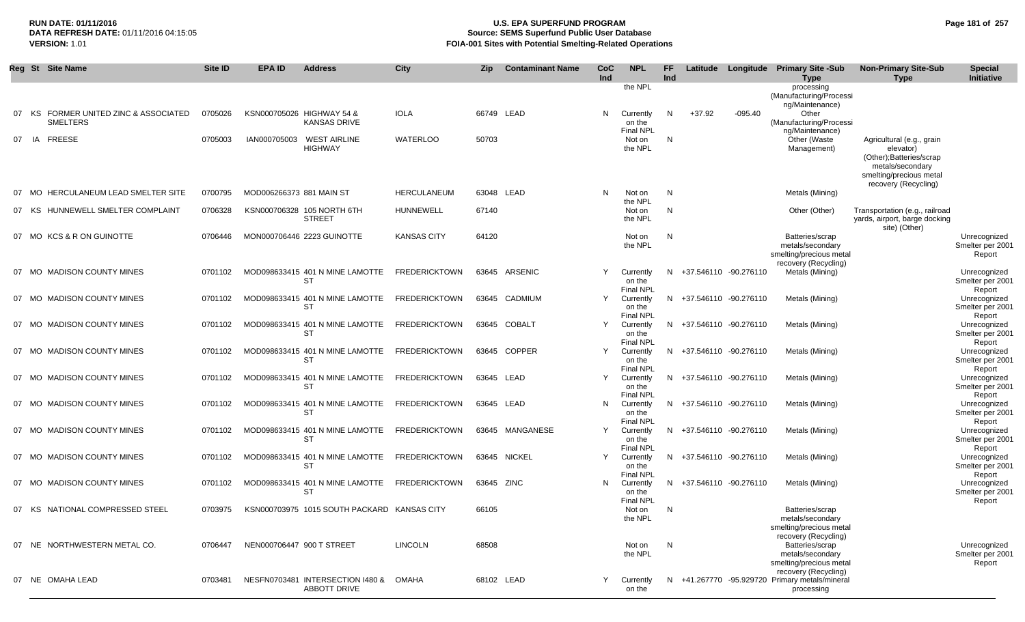**RUN DATE: 01/11/2016 U.S. EPA SUPERFUND PROGRAM Page 181 of 257 DATA REFRESH DATE:** 01/11/2016 04:15:05 **Source: SEMS Superfund Public User Database FOIA-001 Sites with Potential Smelting-Related Operations** 

|    | Reg St Site Name                      | Site ID | <b>EPA ID</b>            | <b>Address</b>                               | City                 | Zip        | <b>Contaminant Name</b> | CoC<br>Ind | <b>NPL</b>                    | FF<br>Ind |                         |           | Latitude Longitude Primary Site -Sub                                   | <b>Non-Primary Site-Sub</b><br><b>Type</b>  | <b>Special</b><br>Initiative     |
|----|---------------------------------------|---------|--------------------------|----------------------------------------------|----------------------|------------|-------------------------|------------|-------------------------------|-----------|-------------------------|-----------|------------------------------------------------------------------------|---------------------------------------------|----------------------------------|
|    |                                       |         |                          |                                              |                      |            |                         |            | the NPL                       |           |                         |           | <b>Type</b><br>processing                                              |                                             |                                  |
|    |                                       |         |                          |                                              |                      |            |                         |            |                               |           |                         |           | (Manufacturing/Processi                                                |                                             |                                  |
| 07 | FORMER UNITED ZINC & ASSOCIATED<br>KS | 0705026 |                          | KSN000705026 HIGHWAY 54 &                    | <b>IOLA</b>          | 66749 LEAD |                         | N          | Currently                     | N         | $+37.92$                | $-095.40$ | ng/Maintenance)<br>Other                                               |                                             |                                  |
|    | <b>SMELTERS</b>                       |         |                          | <b>KANSAS DRIVE</b>                          |                      |            |                         |            | on the                        |           |                         |           | (Manufacturing/Processi                                                |                                             |                                  |
|    |                                       |         |                          |                                              |                      |            |                         |            | <b>Final NPL</b>              |           |                         |           | ng/Maintenance)                                                        |                                             |                                  |
| 07 | IA<br><b>FREESE</b>                   | 0705003 | IAN000705003             | <b>WEST AIRLINE</b><br><b>HIGHWAY</b>        | WATERLOO             | 50703      |                         |            | Not on<br>the NPL             | N         |                         |           | Other (Waste<br>Management)                                            | Agricultural (e.g., grain<br>elevator)      |                                  |
|    |                                       |         |                          |                                              |                      |            |                         |            |                               |           |                         |           |                                                                        | (Other); Batteries/scrap                    |                                  |
|    |                                       |         |                          |                                              |                      |            |                         |            |                               |           |                         |           |                                                                        | metals/secondary<br>smelting/precious metal |                                  |
|    |                                       |         |                          |                                              |                      |            |                         |            |                               |           |                         |           |                                                                        | recovery (Recycling)                        |                                  |
|    | 07 MO HERCULANEUM LEAD SMELTER SITE   | 0700795 | MOD006266373 881 MAIN ST |                                              | HERCULANEUM          | 63048 LEAD |                         | N          | Not on                        | N         |                         |           | Metals (Mining)                                                        |                                             |                                  |
|    | 07 KS HUNNEWELL SMELTER COMPLAINT     | 0706328 |                          | KSN000706328 105 NORTH 6TH                   | <b>HUNNEWELL</b>     | 67140      |                         |            | the NPL<br>Not on             | N         |                         |           | Other (Other)                                                          | Transportation (e.g., railroad              |                                  |
|    |                                       |         |                          | <b>STREET</b>                                |                      |            |                         |            | the NPL                       |           |                         |           |                                                                        | yards, airport, barge docking               |                                  |
|    |                                       |         |                          |                                              |                      |            |                         |            |                               |           |                         |           |                                                                        | site) (Other)                               |                                  |
|    | 07 MO KCS & R ON GUINOTTE             | 0706446 |                          | MON000706446 2223 GUINOTTE                   | <b>KANSAS CITY</b>   | 64120      |                         |            | Not on<br>the NPL             | N         |                         |           | Batteries/scrap<br>metals/secondary                                    |                                             | Unrecognized<br>Smelter per 2001 |
|    |                                       |         |                          |                                              |                      |            |                         |            |                               |           |                         |           | smelting/precious metal                                                |                                             | Report                           |
|    | 07 MO MADISON COUNTY MINES            | 0701102 |                          | MOD098633415 401 N MINE LAMOTTE              | <b>FREDERICKTOWN</b> |            | 63645 ARSENIC           | Y          | Currently                     |           | N +37.546110 -90.276110 |           | recovery (Recycling)<br>Metals (Mining)                                |                                             | Unrecognized                     |
|    |                                       |         |                          | <b>ST</b>                                    |                      |            |                         |            | on the                        |           |                         |           |                                                                        |                                             | Smelter per 2001                 |
|    |                                       |         |                          |                                              |                      |            |                         | Y          | <b>Final NPL</b>              |           |                         |           |                                                                        |                                             | Report                           |
| 07 | MO MADISON COUNTY MINES               | 0701102 |                          | MOD098633415 401 N MINE LAMOTTE<br>ST        | <b>FREDERICKTOWN</b> |            | 63645 CADMIUM           |            | Currently<br>on the           |           | N +37.546110 -90.276110 |           | Metals (Mining)                                                        |                                             | Unrecognized<br>Smelter per 2001 |
|    |                                       |         |                          |                                              |                      |            |                         |            | <b>Final NPL</b>              |           |                         |           |                                                                        |                                             | Report                           |
|    | 07 MO MADISON COUNTY MINES            | 0701102 |                          | MOD098633415 401 N MINE LAMOTTE<br><b>ST</b> | <b>FREDERICKTOWN</b> |            | 63645 COBALT            | Y          | Currently<br>on the           |           | N +37.546110 -90.276110 |           | Metals (Mining)                                                        |                                             | Unrecognized<br>Smelter per 2001 |
|    |                                       |         |                          |                                              |                      |            |                         |            | <b>Final NPL</b>              |           |                         |           |                                                                        |                                             | Report                           |
|    | 07 MO MADISON COUNTY MINES            | 0701102 |                          | MOD098633415 401 N MINE LAMOTTE              | <b>FREDERICKTOWN</b> |            | 63645 COPPER            | Y          | Currently                     |           | N +37.546110 -90.276110 |           | Metals (Mining)                                                        |                                             | Unrecognized                     |
|    |                                       |         |                          | <b>ST</b>                                    |                      |            |                         |            | on the<br><b>Final NPL</b>    |           |                         |           |                                                                        |                                             | Smelter per 2001<br>Report       |
| 07 | MO MADISON COUNTY MINES               | 0701102 |                          | MOD098633415 401 N MINE LAMOTTE              | <b>FREDERICKTOWN</b> | 63645 LEAD |                         | Y          | Currently                     |           | N +37.546110 -90.276110 |           | Metals (Mining)                                                        |                                             | Unrecognized                     |
|    |                                       |         |                          | <b>ST</b>                                    |                      |            |                         |            | on the<br>Final NPL           |           |                         |           |                                                                        |                                             | Smelter per 2001<br>Report       |
|    | 07 MO MADISON COUNTY MINES            | 0701102 |                          | MOD098633415 401 N MINE LAMOTTE              | <b>FREDERICKTOWN</b> | 63645 LEAD |                         | N          | Currently                     |           | N +37.546110 -90.276110 |           | Metals (Mining)                                                        |                                             | Unrecognized                     |
|    |                                       |         |                          | <b>ST</b>                                    |                      |            |                         |            | on the                        |           |                         |           |                                                                        |                                             | Smelter per 2001                 |
|    | 07 MO MADISON COUNTY MINES            | 0701102 |                          | MOD098633415 401 N MINE LAMOTTE              | <b>FREDERICKTOWN</b> |            | 63645 MANGANESE         | Y          | <b>Final NPL</b><br>Currently |           | N +37.546110 -90.276110 |           | Metals (Mining)                                                        |                                             | Report<br>Unrecognized           |
|    |                                       |         |                          | <b>ST</b>                                    |                      |            |                         |            | on the                        |           |                         |           |                                                                        |                                             | Smelter per 2001                 |
|    | 07 MO MADISON COUNTY MINES            | 0701102 |                          | MOD098633415 401 N MINE LAMOTTE              | <b>FREDERICKTOWN</b> |            | 63645 NICKEL            | Y          | <b>Final NPL</b><br>Currently |           | N +37.546110 -90.276110 |           | Metals (Mining)                                                        |                                             | Report<br>Unrecognized           |
|    |                                       |         |                          | <b>ST</b>                                    |                      |            |                         |            | on the                        |           |                         |           |                                                                        |                                             | Smelter per 2001                 |
|    |                                       |         |                          |                                              |                      |            |                         |            | <b>Final NPL</b>              |           |                         |           |                                                                        |                                             | Report                           |
| 07 | MO MADISON COUNTY MINES               | 0701102 |                          | MOD098633415 401 N MINE LAMOTTE<br>ST        | <b>FREDERICKTOWN</b> | 63645 ZINC |                         | N          | Currently<br>on the           |           | N +37.546110 -90.276110 |           | Metals (Mining)                                                        |                                             | Unrecognized<br>Smelter per 2001 |
|    |                                       |         |                          |                                              |                      |            |                         |            | Final NPL                     |           |                         |           |                                                                        |                                             | Report                           |
|    | 07 KS NATIONAL COMPRESSED STEEL       | 0703975 |                          | KSN000703975 1015 SOUTH PACKARD KANSAS CITY  |                      | 66105      |                         |            | Not on<br>the NPL             | N         |                         |           | Batteries/scrap<br>metals/secondary                                    |                                             |                                  |
|    |                                       |         |                          |                                              |                      |            |                         |            |                               |           |                         |           | smelting/precious metal                                                |                                             |                                  |
|    |                                       |         |                          |                                              |                      |            |                         |            |                               |           |                         |           | recovery (Recycling)                                                   |                                             |                                  |
|    | 07 NE NORTHWESTERN METAL CO.          | 0706447 |                          | NEN000706447 900 T STREET                    | <b>LINCOLN</b>       | 68508      |                         |            | Not on<br>the NPL             | N         |                         |           | Batteries/scrap<br>metals/secondary                                    |                                             | Unrecognized<br>Smelter per 2001 |
|    |                                       |         |                          |                                              |                      |            |                         |            |                               |           |                         |           | smelting/precious metal                                                |                                             | Report                           |
|    | 07 NE OMAHA LEAD                      | 0703481 |                          | NESFN0703481 INTERSECTION I480 &             | OMAHA                | 68102 LEAD |                         | Y          | Currently                     |           |                         |           | recovery (Recycling)<br>N +41.267770 -95.929720 Primary metals/mineral |                                             |                                  |
|    |                                       |         |                          | ABBOTT DRIVE                                 |                      |            |                         |            | on the                        |           |                         |           | processing                                                             |                                             |                                  |
|    |                                       |         |                          |                                              |                      |            |                         |            |                               |           |                         |           |                                                                        |                                             |                                  |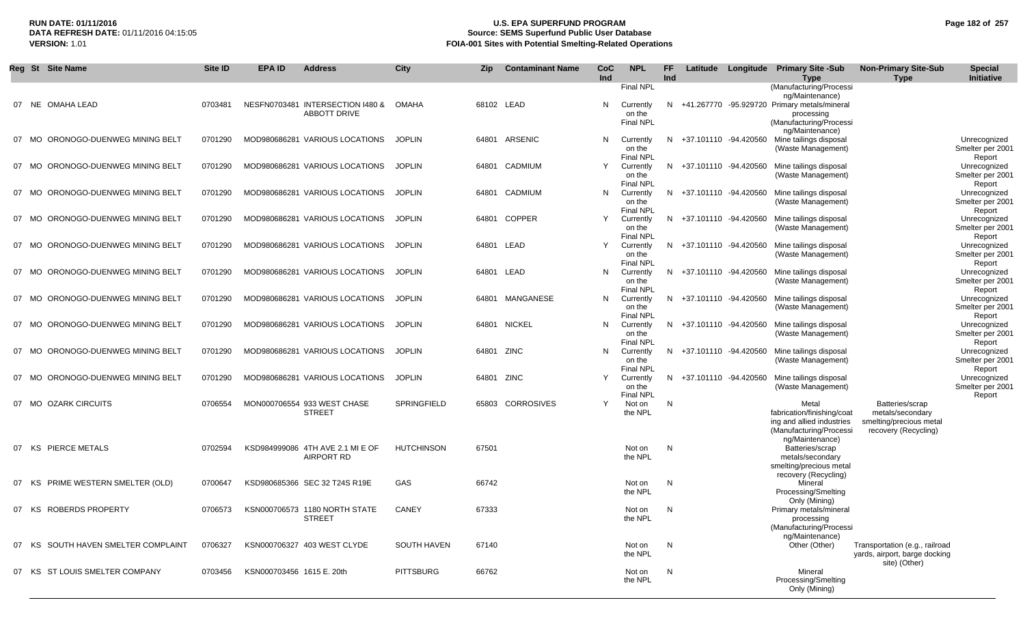# **RUN DATE: 01/11/2016 U.S. EPA SUPERFUND PROGRAM Page 182 of 257 Source: SEMS Superfund Public User Database VERSION:** 1.01 **FOIA-001 Sites with Potential Smelting-Related Operations**

|    | Reg St Site Name                                                    | Site ID            | <b>EPA ID</b>             | <b>Address</b>                                                   | City                           | <b>Zip</b>     | <b>Contaminant Name</b> | CoC<br>Ind | <b>NPL</b>                                                  | FF.<br>Ind |                                                    | Latitude Longitude Primary Site -Sub<br><b>Type</b>                                                                                   | <b>Non-Primary Site-Sub</b><br><b>Type</b>                                       | <b>Special</b><br>Initiative                               |
|----|---------------------------------------------------------------------|--------------------|---------------------------|------------------------------------------------------------------|--------------------------------|----------------|-------------------------|------------|-------------------------------------------------------------|------------|----------------------------------------------------|---------------------------------------------------------------------------------------------------------------------------------------|----------------------------------------------------------------------------------|------------------------------------------------------------|
|    | 07 NE OMAHA LEAD                                                    | 0703481            |                           | NESFN0703481 INTERSECTION I480 &<br><b>ABBOTT DRIVE</b>          | OMAHA                          |                | 68102 LEAD              | N          | <b>Final NPL</b><br>Currently<br>on the<br><b>Final NPL</b> |            |                                                    | (Manufacturing/Processi<br>ng/Maintenance)<br>N +41.267770 -95.929720 Primary metals/mineral<br>processing<br>(Manufacturing/Processi |                                                                                  |                                                            |
|    | 07 MO ORONOGO-DUENWEG MINING BELT                                   | 0701290            |                           | MOD980686281 VARIOUS LOCATIONS                                   | <b>JOPLIN</b>                  |                | 64801 ARSENIC           | N          | Currently<br>on the<br><b>Final NPL</b>                     |            | N +37.101110 -94.420560                            | ng/Maintenance)<br>Mine tailings disposal<br>(Waste Management)                                                                       |                                                                                  | Unrecognized<br>Smelter per 2001<br>Report                 |
|    | 07 MO ORONOGO-DUENWEG MINING BELT                                   | 0701290            |                           | MOD980686281 VARIOUS LOCATIONS                                   | <b>JOPLIN</b>                  | 64801          | CADMIUM                 | Y          | Currently<br>on the<br><b>Final NPL</b>                     |            | N +37.101110 -94.420560                            | Mine tailings disposal<br>(Waste Management)                                                                                          |                                                                                  | Unrecognized<br>Smelter per 2001<br>Report                 |
| 07 | MO ORONOGO-DUENWEG MINING BELT                                      | 0701290            |                           | MOD980686281 VARIOUS LOCATIONS                                   | <b>JOPLIN</b>                  | 64801          | CADMIUM                 | N          | Currently<br>on the<br><b>Final NPL</b>                     |            | N +37.101110 -94.420560                            | Mine tailings disposal<br>(Waste Management)                                                                                          |                                                                                  | Unrecognized<br>Smelter per 2001<br>Report                 |
|    | 07 MO ORONOGO-DUENWEG MINING BELT                                   | 0701290            |                           | MOD980686281 VARIOUS LOCATIONS                                   | <b>JOPLIN</b>                  | 64801          | <b>COPPER</b>           | Y          | Currently<br>on the<br><b>Final NPL</b>                     |            | N +37.101110 -94.420560                            | Mine tailings disposal<br>(Waste Management)                                                                                          |                                                                                  | Unrecognized<br>Smelter per 2001<br>Report                 |
|    | 07 MO ORONOGO-DUENWEG MINING BELT                                   | 0701290            |                           | MOD980686281 VARIOUS LOCATIONS                                   | <b>JOPLIN</b>                  | 64801          | LEAD                    | Υ          | Currently<br>on the<br><b>Final NPL</b>                     |            | N +37.101110 -94.420560                            | Mine tailings disposal<br>(Waste Management)                                                                                          |                                                                                  | Unrecognized<br>Smelter per 2001<br>Report                 |
| 07 | MO ORONOGO-DUENWEG MINING BELT                                      | 0701290            |                           | MOD980686281 VARIOUS LOCATIONS                                   | <b>JOPLIN</b>                  | 64801          | LEAD                    | N          | Currently<br>on the<br><b>Final NPL</b>                     |            | N +37.101110 -94.420560                            | Mine tailings disposal<br>(Waste Management)                                                                                          |                                                                                  | Unrecognized<br>Smelter per 2001<br>Report                 |
|    | 07 MO ORONOGO-DUENWEG MINING BELT                                   | 0701290            |                           | MOD980686281 VARIOUS LOCATIONS                                   | <b>JOPLIN</b>                  | 64801          | MANGANESE               | N          | Currently<br>on the<br><b>Final NPL</b>                     |            | N +37.101110 -94.420560                            | Mine tailings disposal<br>(Waste Management)                                                                                          |                                                                                  | Unrecognized<br>Smelter per 2001<br>Report                 |
| 07 | 07 MO ORONOGO-DUENWEG MINING BELT<br>MO ORONOGO-DUENWEG MINING BELT | 0701290<br>0701290 |                           | MOD980686281 VARIOUS LOCATIONS<br>MOD980686281 VARIOUS LOCATIONS | <b>JOPLIN</b><br><b>JOPLIN</b> | 64801<br>64801 | NICKEL<br>ZINC          | N<br>N     | Currently<br>on the<br><b>Final NPL</b>                     |            | N +37.101110 -94.420560<br>N +37.101110 -94.420560 | Mine tailings disposal<br>(Waste Management)<br>Mine tailings disposal                                                                |                                                                                  | Unrecognized<br>Smelter per 2001<br>Report                 |
|    | 07 MO ORONOGO-DUENWEG MINING BELT                                   | 0701290            |                           | MOD980686281 VARIOUS LOCATIONS                                   | <b>JOPLIN</b>                  | 64801 ZINC     |                         | Y          | Currently<br>on the<br><b>Final NPL</b><br>Currently        |            | N +37.101110 -94.420560                            | (Waste Management)<br>Mine tailings disposal                                                                                          |                                                                                  | Unrecognized<br>Smelter per 2001<br>Report<br>Unrecognized |
|    | 07 MO OZARK CIRCUITS                                                | 0706554            |                           | MON000706554 933 WEST CHASE                                      | SPRINGFIELD                    | 65803          | <b>CORROSIVES</b>       | Y          | on the<br>Final NPL<br>Not on                               | N          |                                                    | (Waste Management)<br>Metal                                                                                                           | Batteries/scrap                                                                  | Smelter per 2001<br>Report                                 |
|    |                                                                     |                    |                           | <b>STREET</b>                                                    |                                |                |                         |            | the NPL                                                     |            |                                                    | fabrication/finishing/coat<br>ing and allied industries<br>(Manufacturing/Processi                                                    | metals/secondary<br>smelting/precious metal<br>recovery (Recycling)              |                                                            |
|    | 07 KS PIERCE METALS                                                 | 0702594            |                           | KSD984999086 4TH AVE 2.1 MI E OF<br><b>AIRPORT RD</b>            | <b>HUTCHINSON</b>              | 67501          |                         |            | Not on<br>the NPL                                           | N          |                                                    | ng/Maintenance)<br>Batteries/scrap<br>metals/secondary<br>smelting/precious metal                                                     |                                                                                  |                                                            |
|    | 07 KS PRIME WESTERN SMELTER (OLD)                                   | 0700647            |                           | KSD980685366 SEC 32 T24S R19E                                    | GAS                            | 66742          |                         |            | Not on<br>the NPL                                           | N          |                                                    | recovery (Recycling)<br>Mineral<br>Processing/Smelting                                                                                |                                                                                  |                                                            |
|    | 07 KS ROBERDS PROPERTY                                              | 0706573            |                           | KSN000706573 1180 NORTH STATE<br><b>STREET</b>                   | <b>CANEY</b>                   | 67333          |                         |            | Not on<br>the NPL                                           | N          |                                                    | Only (Mining)<br>Primary metals/mineral<br>processing<br>(Manufacturing/Processi<br>ng/Maintenance)                                   |                                                                                  |                                                            |
| 07 | KS SOUTH HAVEN SMELTER COMPLAINT                                    | 0706327            |                           | KSN000706327 403 WEST CLYDE                                      | <b>SOUTH HAVEN</b>             | 67140          |                         |            | Not on<br>the NPL                                           | N          |                                                    | Other (Other)                                                                                                                         | Transportation (e.g., railroad<br>yards, airport, barge docking<br>site) (Other) |                                                            |
| 07 | KS ST LOUIS SMELTER COMPANY                                         | 0703456            | KSN000703456 1615 E. 20th |                                                                  | <b>PITTSBURG</b>               | 66762          |                         |            | Not on<br>the NPL                                           | N          |                                                    | Mineral<br>Processing/Smelting<br>Only (Mining)                                                                                       |                                                                                  |                                                            |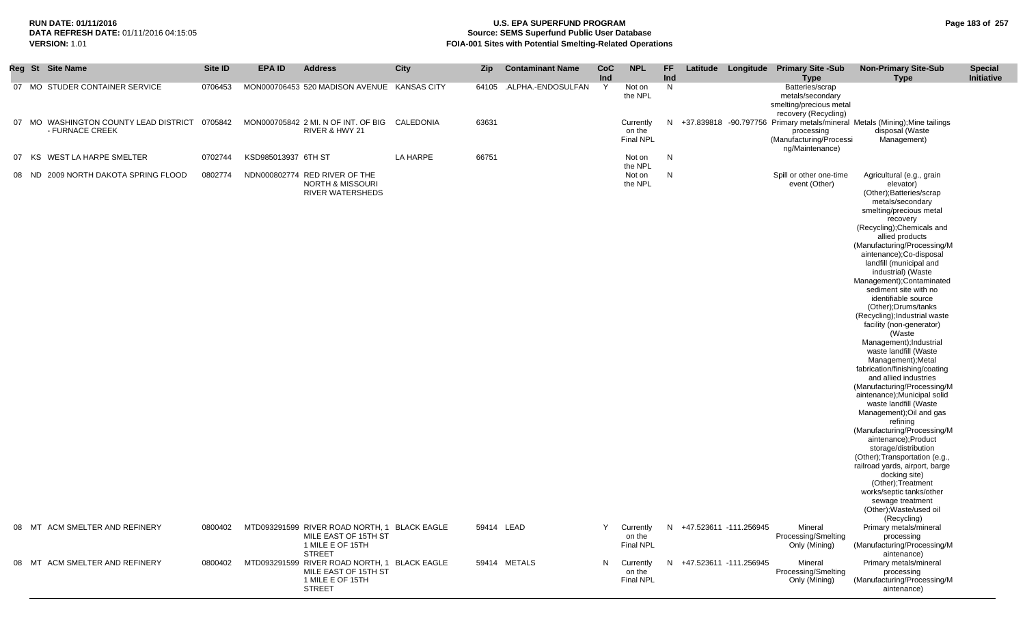#### **RUN DATE: 01/11/2016 U.S. EPA SUPERFUND PROGRAM Page 183 of 257 Source: SEMS Superfund Public User Database VERSION:** 1.01 **FOIA-001 Sites with Potential Smelting-Related Operations**

|    |       | Reg St Site Name                                      | Site ID | <b>EPA ID</b>       | <b>Address</b>                                                                                            | <b>City</b> | <b>Zip</b> | <b>Contaminant Name</b> | <b>CoC</b><br>Ind | <b>NPL</b>                              | <b>FF</b><br>Ind |                          | Latitude Longitude Primary Site -Sub<br><b>Type</b>                                    | <b>Non-Primary Site-Sub</b><br><b>Type</b>                                                                                                                                                                                                                                                                                                                                                                                                                                                                                                                                                                                                                                                                                                                                                                                                                                                  | <b>Special</b><br>Initiative |
|----|-------|-------------------------------------------------------|---------|---------------------|-----------------------------------------------------------------------------------------------------------|-------------|------------|-------------------------|-------------------|-----------------------------------------|------------------|--------------------------|----------------------------------------------------------------------------------------|---------------------------------------------------------------------------------------------------------------------------------------------------------------------------------------------------------------------------------------------------------------------------------------------------------------------------------------------------------------------------------------------------------------------------------------------------------------------------------------------------------------------------------------------------------------------------------------------------------------------------------------------------------------------------------------------------------------------------------------------------------------------------------------------------------------------------------------------------------------------------------------------|------------------------------|
|    |       | 07 MO STUDER CONTAINER SERVICE                        | 0706453 |                     | MON000706453 520 MADISON AVENUE KANSAS CITY                                                               |             | 64105      | .ALPHA.-ENDOSULFAN      | Y                 | Not on<br>the NPL                       | N                |                          | Batteries/scrap<br>metals/secondary<br>smelting/precious metal<br>recovery (Recycling) |                                                                                                                                                                                                                                                                                                                                                                                                                                                                                                                                                                                                                                                                                                                                                                                                                                                                                             |                              |
| 07 |       | MO WASHINGTON COUNTY LEAD DISTRICT<br>- FURNACE CREEK | 0705842 |                     | MON000705842 2 MI. N OF INT. OF BIG CALEDONIA<br>RIVER & HWY 21                                           |             | 63631      |                         |                   | Currently<br>on the<br><b>Final NPL</b> | N                |                          | processing<br>(Manufacturing/Processi<br>ng/Maintenance)                               | +37.839818 -90.797756 Primary metals/mineral Metals (Mining); Mine tailings<br>disposal (Waste<br>Management)                                                                                                                                                                                                                                                                                                                                                                                                                                                                                                                                                                                                                                                                                                                                                                               |                              |
| 07 | KS    | WEST LA HARPE SMELTER                                 | 0702744 | KSD985013937 6TH ST |                                                                                                           | LA HARPE    | 66751      |                         |                   | Not on                                  | $\mathsf{N}$     |                          |                                                                                        |                                                                                                                                                                                                                                                                                                                                                                                                                                                                                                                                                                                                                                                                                                                                                                                                                                                                                             |                              |
|    | 08 ND | 2009 NORTH DAKOTA SPRING FLOOD                        | 0802774 |                     | NDN000802774 RED RIVER OF THE<br><b>NORTH &amp; MISSOURI</b><br><b>RIVER WATERSHEDS</b>                   |             |            |                         |                   | the NPL<br>Not on<br>the NPL            | N                |                          | Spill or other one-time<br>event (Other)                                               | Agricultural (e.g., grain<br>elevator)<br>(Other); Batteries/scrap<br>metals/secondary<br>smelting/precious metal<br>recovery<br>(Recycling); Chemicals and<br>allied products<br>(Manufacturing/Processing/M<br>aintenance);Co-disposal<br>landfill (municipal and<br>industrial) (Waste<br>Management); Contaminated<br>sediment site with no<br>identifiable source<br>(Other); Drums/tanks<br>(Recycling); Industrial waste<br>facility (non-generator)<br>(Waste<br>Management); Industrial<br>waste landfill (Waste<br>Management); Metal<br>fabrication/finishing/coating<br>and allied industries<br>(Manufacturing/Processing/M<br>aintenance); Municipal solid<br>waste landfill (Waste<br>Management); Oil and gas<br>refining<br>(Manufacturing/Processing/M<br>aintenance);Product<br>storage/distribution<br>(Other); Transportation (e.g.,<br>railroad yards, airport, barge |                              |
|    |       |                                                       |         |                     |                                                                                                           |             |            |                         |                   |                                         |                  |                          |                                                                                        | docking site)<br>(Other); Treatment<br>works/septic tanks/other<br>sewage treatment<br>(Other); Waste/used oil                                                                                                                                                                                                                                                                                                                                                                                                                                                                                                                                                                                                                                                                                                                                                                              |                              |
|    |       | 08 MT ACM SMELTER AND REFINERY                        | 0800402 |                     | MTD093291599 RIVER ROAD NORTH, 1 BLACK EAGLE<br>MILE EAST OF 15TH ST<br>1 MILE E OF 15TH<br><b>STREET</b> |             | 59414 LEAD |                         | Y                 | Currently<br>on the<br><b>Final NPL</b> | N                | +47.523611 -111.256945   | Mineral<br>Processing/Smelting<br>Only (Mining)                                        | (Recycling)<br>Primary metals/mineral<br>processing<br>(Manufacturing/Processing/M                                                                                                                                                                                                                                                                                                                                                                                                                                                                                                                                                                                                                                                                                                                                                                                                          |                              |
|    |       | 08 MT ACM SMELTER AND REFINERY                        | 0800402 |                     | MTD093291599 RIVER ROAD NORTH, 1 BLACK EAGLE<br>MILE EAST OF 15TH ST<br>1 MILE E OF 15TH<br><b>STREET</b> |             |            | 59414 METALS            | N                 | Currently<br>on the<br><b>Final NPL</b> |                  | N +47.523611 -111.256945 | Mineral<br>Processing/Smelting<br>Only (Mining)                                        | aintenance)<br>Primary metals/mineral<br>processing<br>(Manufacturing/Processing/M<br>aintenance)                                                                                                                                                                                                                                                                                                                                                                                                                                                                                                                                                                                                                                                                                                                                                                                           |                              |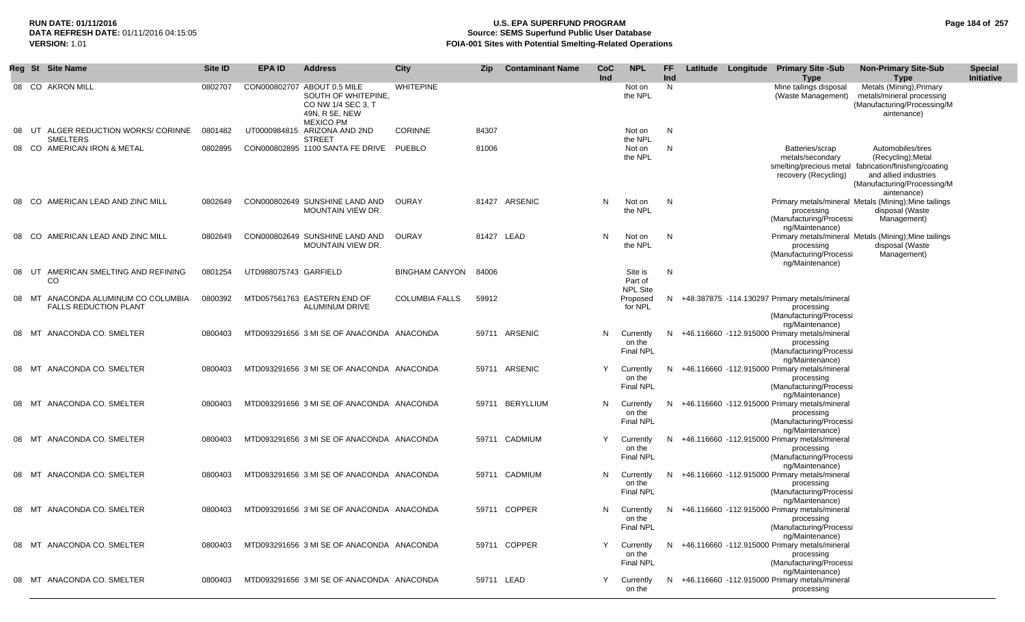# **RUN DATE: 01/11/2016 U.S. EPA SUPERFUND PROGRAM Page 184 of 257 Source: SEMS Superfund Public User Database VERSION:** 1.01 **FOIA-001 Sites with Potential Smelting-Related Operations**

|    |    | Reg St Site Name                                                 | Site ID | EPA ID                | <b>Address</b>                                                                                                 | City                  | Zip        | <b>Contaminant Name</b> | <b>CoC</b><br><b>Ind</b> | <b>NPL</b>                              | FF<br>Ind |  | Latitude Longitude Primary Site -Sub<br><b>Type</b>                                                         | <b>Non-Primary Site-Sub</b><br><b>Type</b>                                                                                                                              | <b>Special</b><br>Initiative |
|----|----|------------------------------------------------------------------|---------|-----------------------|----------------------------------------------------------------------------------------------------------------|-----------------------|------------|-------------------------|--------------------------|-----------------------------------------|-----------|--|-------------------------------------------------------------------------------------------------------------|-------------------------------------------------------------------------------------------------------------------------------------------------------------------------|------------------------------|
|    |    | 08 CO AKRON MILL                                                 | 0802707 |                       | CON000802707 ABOUT 0.5 MILE<br>SOUTH OF WHITEPINE.<br>CO NW 1/4 SEC 3, T<br>49N, R 5E, NEW<br><b>MEXICO PM</b> | <b>WHITEPINE</b>      |            |                         |                          | Not on<br>the NPL                       | N         |  | Mine tailings disposal<br>(Waste Management)                                                                | Metals (Mining); Primary<br>metals/mineral processing<br>(Manufacturing/Processing/M<br>aintenance)                                                                     |                              |
| 08 | UT | ALGER REDUCTION WORKS/ CORINNE<br><b>SMELTERS</b>                | 0801482 |                       | UT0000984815 ARIZONA AND 2ND<br><b>STREET</b>                                                                  | <b>CORINNE</b>        | 84307      |                         |                          | Not on<br>the NPL                       | N         |  |                                                                                                             |                                                                                                                                                                         |                              |
|    |    | 08 CO AMERICAN IRON & METAL                                      | 0802895 |                       | CON000802895 1100 SANTA FE DRIVE PUEBLO                                                                        |                       | 81006      |                         |                          | Not on<br>the NPL                       | N         |  | Batteries/scrap<br>metals/secondary<br>recovery (Recycling)                                                 | Automobiles/tires<br>(Recycling); Metal<br>smelting/precious metal fabrication/finishing/coating<br>and allied industries<br>(Manufacturing/Processing/M<br>aintenance) |                              |
|    |    | 08 CO AMERICAN LEAD AND ZINC MILL                                | 0802649 |                       | CON000802649 SUNSHINE LAND AND<br>MOUNTAIN VIEW DR.                                                            | OURAY                 |            | 81427 ARSENIC           | N.                       | Not on<br>the NPL                       | N.        |  | processing<br>(Manufacturing/Processi<br>ng/Maintenance)                                                    | Primary metals/mineral Metals (Mining); Mine tailings<br>disposal (Waste<br>Management)                                                                                 |                              |
|    |    | 08 CO AMERICAN LEAD AND ZINC MILL                                | 0802649 |                       | CON000802649 SUNSHINE LAND AND<br>MOUNTAIN VIEW DR.                                                            | OURAY                 | 81427 LEAD |                         | N                        | Not on<br>the NPL                       | N         |  | processing<br>(Manufacturing/Processi<br>ng/Maintenance)                                                    | Primary metals/mineral Metals (Mining); Mine tailings<br>disposal (Waste<br>Management)                                                                                 |                              |
| 08 |    | UT AMERICAN SMELTING AND REFINING<br>CO                          | 0801254 | UTD988075743 GARFIELD |                                                                                                                | <b>BINGHAM CANYON</b> | 84006      |                         |                          | Site is<br>Part of<br><b>NPL Site</b>   | N         |  |                                                                                                             |                                                                                                                                                                         |                              |
| 08 |    | MT ANACONDA ALUMINUM CO COLUMBIA<br><b>FALLS REDUCTION PLANT</b> | 0800392 |                       | MTD057561763 EASTERN END OF<br>ALUMINUM DRIVE                                                                  | <b>COLUMBIA FALLS</b> | 59912      |                         |                          | Proposed<br>for NPL                     |           |  | N +48.387875 -114.130297 Primary metals/mineral<br>processing<br>(Manufacturing/Processi<br>ng/Maintenance) |                                                                                                                                                                         |                              |
| 08 | MT | ANACONDA CO. SMELTER                                             | 0800403 |                       | MTD093291656 3 MI SE OF ANACONDA ANACONDA                                                                      |                       |            | 59711 ARSENIC           | N.                       | Currently<br>on the<br><b>Final NPL</b> | N.        |  | +46.116660 -112.915000 Primary metals/mineral<br>processing<br>(Manufacturing/Processi<br>ng/Maintenance)   |                                                                                                                                                                         |                              |
| 08 |    | MT ANACONDA CO. SMELTER                                          | 0800403 |                       | MTD093291656 3 MI SE OF ANACONDA ANACONDA                                                                      |                       |            | 59711 ARSENIC           | Y                        | Currently<br>on the<br><b>Final NPL</b> | N.        |  | +46.116660 -112.915000 Primary metals/mineral<br>processing<br>(Manufacturing/Processi<br>ng/Maintenance)   |                                                                                                                                                                         |                              |
|    |    | 08 MT ANACONDA CO. SMELTER                                       | 0800403 |                       | MTD093291656 3 MI SE OF ANACONDA ANACONDA                                                                      |                       |            | 59711 BERYLLIUM         | N                        | Currently<br>on the<br><b>Final NPL</b> | N.        |  | +46.116660 -112.915000 Primary metals/mineral<br>processing<br>(Manufacturing/Processi<br>ng/Maintenance)   |                                                                                                                                                                         |                              |
|    |    | 08 MT ANACONDA CO. SMELTER                                       | 0800403 |                       | MTD093291656 3 MI SE OF ANACONDA ANACONDA                                                                      |                       |            | 59711 CADMIUM           | Y                        | Currently<br>on the<br><b>Final NPL</b> | N.        |  | +46.116660 -112.915000 Primary metals/mineral<br>processing<br>(Manufacturing/Processi<br>ng/Maintenance)   |                                                                                                                                                                         |                              |
|    |    | 08 MT ANACONDA CO. SMELTER                                       | 0800403 |                       | MTD093291656 3 MI SE OF ANACONDA ANACONDA                                                                      |                       |            | 59711 CADMIUM           | N                        | Currently<br>on the<br><b>Final NPL</b> |           |  | N +46.116660 -112.915000 Primary metals/mineral<br>processing<br>(Manufacturing/Processi<br>ng/Maintenance) |                                                                                                                                                                         |                              |
| 08 |    | MT ANACONDA CO. SMELTER                                          | 0800403 |                       | MTD093291656 3 MI SE OF ANACONDA ANACONDA                                                                      |                       |            | 59711 COPPER            | N                        | Currently<br>on the<br>Final NPL        | N.        |  | +46.116660 -112.915000 Primary metals/mineral<br>processing<br>(Manufacturing/Processi<br>ng/Maintenance)   |                                                                                                                                                                         |                              |
| 08 |    | MT ANACONDA CO. SMELTER                                          | 0800403 |                       | MTD093291656 3 MI SE OF ANACONDA ANACONDA                                                                      |                       |            | 59711 COPPER            |                          | Currently<br>on the<br>Final NPL        | N.        |  | +46.116660 -112.915000 Primary metals/mineral<br>processing<br>(Manufacturing/Processi<br>ng/Maintenance)   |                                                                                                                                                                         |                              |
|    |    | 08 MT ANACONDA CO. SMELTER                                       | 0800403 |                       | MTD093291656 3 MI SE OF ANACONDA ANACONDA                                                                      |                       | 59711 LEAD |                         | Y                        | Currently<br>on the                     | N.        |  | +46.116660 -112.915000 Primary metals/mineral<br>processing                                                 |                                                                                                                                                                         |                              |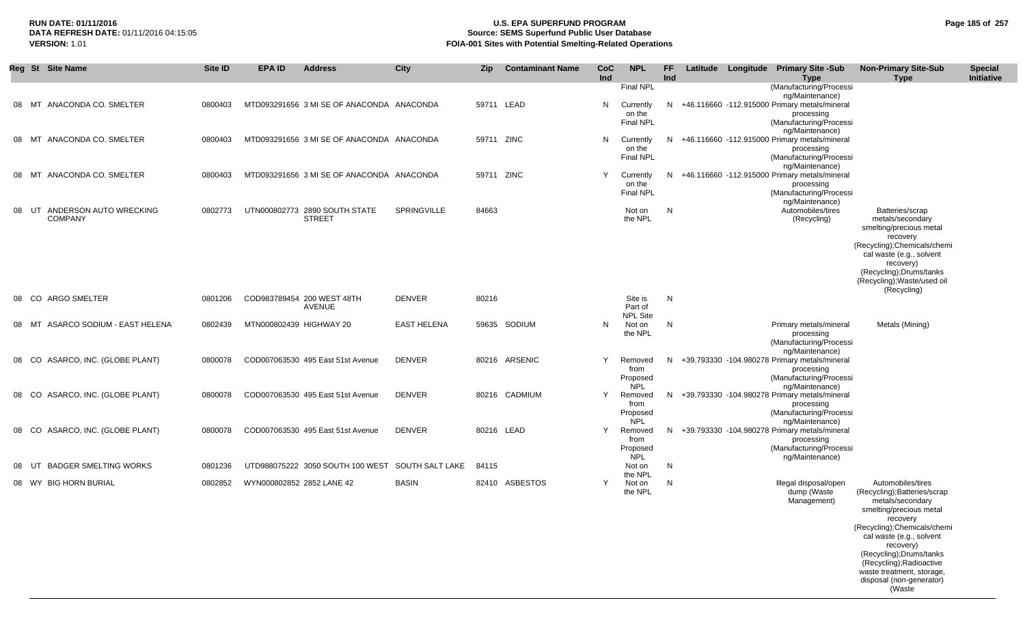## **RUN DATE: 01/11/2016 U.S. EPA SUPERFUND PROGRAM Page 185 of 257 Source: SEMS Superfund Public User Database VERSION:** 1.01 **FOIA-001 Sites with Potential Smelting-Related Operations**

|       | Reg St Site Name                               | Site ID | EPA ID                    | <b>Address</b>                                 | City               | <b>Zip</b> | <b>Contaminant Name</b> | CoC<br>Ind | <b>NPL</b>                                           | FF<br>Ind |  | Latitude Longitude Primary Site -Sub<br><b>Type</b>                                                                                  | <b>Non-Primary Site-Sub</b><br><b>Type</b>                                                                                                                                                                                                                                                                       | <b>Special</b><br>Initiative |
|-------|------------------------------------------------|---------|---------------------------|------------------------------------------------|--------------------|------------|-------------------------|------------|------------------------------------------------------|-----------|--|--------------------------------------------------------------------------------------------------------------------------------------|------------------------------------------------------------------------------------------------------------------------------------------------------------------------------------------------------------------------------------------------------------------------------------------------------------------|------------------------------|
| 08    | ANACONDA CO. SMELTER<br>MT                     | 0800403 |                           | MTD093291656 3 MI SE OF ANACONDA ANACONDA      |                    | 59711 LEAD |                         | N          | <b>Final NPL</b><br>Currently<br>on the<br>Final NPL | N.        |  | (Manufacturing/Processi<br>ng/Maintenance)<br>+46.116660 -112.915000 Primary metals/mineral<br>processing<br>(Manufacturing/Processi |                                                                                                                                                                                                                                                                                                                  |                              |
| 08    | ANACONDA CO. SMELTER<br>МT                     | 0800403 |                           | MTD093291656 3 MI SE OF ANACONDA ANACONDA      |                    | 59711 ZINC |                         | N          | Currently<br>on the<br><b>Final NPL</b>              |           |  | ng/Maintenance)<br>N +46.116660 -112.915000 Primary metals/mineral<br>processing<br>(Manufacturing/Processi<br>ng/Maintenance)       |                                                                                                                                                                                                                                                                                                                  |                              |
| 08    | ANACONDA CO. SMELTER<br>MT                     | 0800403 |                           | MTD093291656 3 MI SE OF ANACONDA ANACONDA      |                    | 59711 ZINC |                         | Y          | Currently<br>on the<br><b>Final NPL</b>              | N.        |  | +46.116660 -112.915000 Primary metals/mineral<br>processing<br>(Manufacturing/Processi<br>ng/Maintenance)                            |                                                                                                                                                                                                                                                                                                                  |                              |
| 08    | UT<br>ANDERSON AUTO WRECKING<br><b>COMPANY</b> | 0802773 |                           | UTN000802773 2890 SOUTH STATE<br><b>STREET</b> | <b>SPRINGVILLE</b> | 84663      |                         |            | Not on<br>the NPL                                    | N         |  | Automobiles/tires<br>(Recycling)                                                                                                     | Batteries/scrap<br>metals/secondary<br>smelting/precious metal<br>recovery<br>(Recycling); Chemicals/chemi<br>cal waste (e.g., solvent<br>recovery)<br>(Recycling);Drums/tanks<br>(Recycling); Waste/used oil<br>(Recycling)                                                                                     |                              |
| 08    | <b>ARGO SMELTER</b><br>CO.                     | 0801206 |                           | COD983789454 200 WEST 48TH<br><b>AVENUE</b>    | <b>DENVER</b>      | 80216      |                         |            | Site is<br>Part of<br><b>NPL Site</b>                | N         |  |                                                                                                                                      |                                                                                                                                                                                                                                                                                                                  |                              |
| 08    | ASARCO SODIUM - EAST HELENA<br>МT              | 0802439 | MTN000802439 HIGHWAY 20   |                                                | <b>EAST HELENA</b> |            | 59635 SODIUM            | N          | Not on<br>the NPL                                    | N         |  | Primary metals/mineral<br>processing<br>(Manufacturing/Processi<br>ng/Maintenance)                                                   | Metals (Mining)                                                                                                                                                                                                                                                                                                  |                              |
| 08 CO | ASARCO, INC. (GLOBE PLANT)                     | 0800078 |                           | COD007063530 495 East 51st Avenue              | <b>DENVER</b>      |            | 80216 ARSENIC           | Y          | Removed<br>from<br>Proposed<br><b>NPL</b>            | N         |  | +39.793330 -104.980278 Primary metals/mineral<br>processing<br>(Manufacturing/Processi<br>ng/Maintenance)                            |                                                                                                                                                                                                                                                                                                                  |                              |
| 08    | ASARCO, INC. (GLOBE PLANT)<br>- CO             | 0800078 |                           | COD007063530 495 East 51st Avenue              | <b>DENVER</b>      |            | 80216 CADMIUM           | Y          | Removed<br>from<br>Proposed<br><b>NPL</b>            | N.        |  | +39.793330 -104.980278 Primary metals/mineral<br>processing<br>(Manufacturing/Processi<br>ng/Maintenance)                            |                                                                                                                                                                                                                                                                                                                  |                              |
| 08    | ASARCO, INC. (GLOBE PLANT)<br>CO.              | 0800078 |                           | COD007063530 495 East 51st Avenue              | <b>DENVER</b>      | 80216 LEAD |                         | Y          | Removed<br>from<br>Proposed<br><b>NPL</b>            | N         |  | +39.793330 -104.980278 Primary metals/mineral<br>processing<br>(Manufacturing/Processi<br>ng/Maintenance)                            |                                                                                                                                                                                                                                                                                                                  |                              |
| 08    | <b>BADGER SMELTING WORKS</b><br>UT             | 0801236 |                           | UTD988075222 3050 SOUTH 100 WEST               | SOUTH SALT LAKE    | 84115      |                         |            | Not on<br>the NPL                                    | N         |  |                                                                                                                                      |                                                                                                                                                                                                                                                                                                                  |                              |
|       | 08 WY BIG HORN BURIAL                          | 0802852 | WYN000802852 2852 LANE 42 |                                                | <b>BASIN</b>       |            | 82410 ASBESTOS          | Y          | Not on<br>the NPL                                    | N         |  | Illegal disposal/open<br>dump (Waste<br>Management)                                                                                  | Automobiles/tires<br>(Recycling); Batteries/scrap<br>metals/secondary<br>smelting/precious metal<br>recovery<br>(Recycling); Chemicals/chemi<br>cal waste (e.g., solvent<br>recovery)<br>(Recycling); Drums/tanks<br>(Recycling); Radioactive<br>waste treatment, storage,<br>disposal (non-generator)<br>(Waste |                              |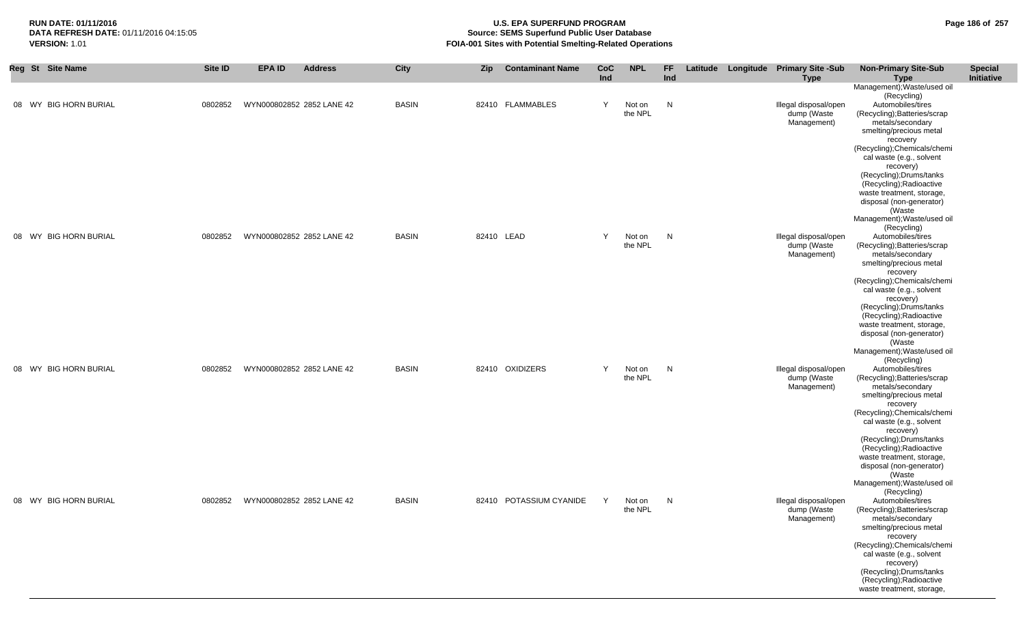| Reg St Site Name      | Site ID | <b>EPA ID</b>             | <b>Address</b>            | <b>City</b>  | Zip        | <b>Contaminant Name</b> | <b>CoC</b><br>Ind | <b>NPL</b>        | FF.<br>Ind | Latitude Longitude Primary Site -Sub<br><b>Type</b> | <b>Non-Primary Site-Sub</b><br><b>Type</b>                                                                                                                                                                  | <b>Special</b><br>Initiative |
|-----------------------|---------|---------------------------|---------------------------|--------------|------------|-------------------------|-------------------|-------------------|------------|-----------------------------------------------------|-------------------------------------------------------------------------------------------------------------------------------------------------------------------------------------------------------------|------------------------------|
| 08 WY BIG HORN BURIAL | 0802852 |                           | WYN000802852 2852 LANE 42 | <b>BASIN</b> |            | 82410 FLAMMABLES        | Y                 | Not on<br>the NPL | N          | Illegal disposal/open<br>dump (Waste<br>Management) | Management); Waste/used oil<br>(Recycling)<br>Automobiles/tires<br>(Recycling); Batteries/scrap<br>metals/secondary<br>smelting/precious metal                                                              |                              |
|                       |         |                           |                           |              |            |                         |                   |                   |            |                                                     | recovery<br>(Recycling); Chemicals/chemi<br>cal waste (e.g., solvent<br>recovery)<br>(Recycling);Drums/tanks<br>(Recycling); Radioactive<br>waste treatment, storage,<br>disposal (non-generator)<br>(Waste |                              |
|                       |         |                           |                           |              |            |                         |                   |                   |            |                                                     | Management); Waste/used oil<br>(Recycling)                                                                                                                                                                  |                              |
| 08 WY BIG HORN BURIAL | 0802852 |                           | WYN000802852 2852 LANE 42 | <b>BASIN</b> | 82410 LEAD |                         | Y                 | Not on<br>the NPL | N          | Illegal disposal/open<br>dump (Waste<br>Management) | Automobiles/tires<br>(Recycling); Batteries/scrap<br>metals/secondary<br>smelting/precious metal                                                                                                            |                              |
|                       |         |                           |                           |              |            |                         |                   |                   |            |                                                     | recovery<br>(Recycling);Chemicals/chemi<br>cal waste (e.g., solvent<br>recovery)<br>(Recycling); Drums/tanks<br>(Recycling); Radioactive                                                                    |                              |
|                       |         |                           |                           |              |            |                         |                   |                   |            |                                                     | waste treatment, storage,<br>disposal (non-generator)<br>(Waste<br>Management); Waste/used oil                                                                                                              |                              |
| 08 WY BIG HORN BURIAL | 0802852 |                           | WYN000802852 2852 LANE 42 | <b>BASIN</b> |            | 82410 OXIDIZERS         | Y                 | Not on<br>the NPL | N          | Illegal disposal/open<br>dump (Waste<br>Management) | (Recycling)<br>Automobiles/tires<br>(Recycling); Batteries/scrap<br>metals/secondary                                                                                                                        |                              |
|                       |         |                           |                           |              |            |                         |                   |                   |            |                                                     | smelting/precious metal<br>recovery<br>(Recycling); Chemicals/chemi                                                                                                                                         |                              |
|                       |         |                           |                           |              |            |                         |                   |                   |            |                                                     | cal waste (e.g., solvent<br>recovery)<br>(Recycling); Drums/tanks<br>(Recycling); Radioactive                                                                                                               |                              |
|                       |         |                           |                           |              |            |                         |                   |                   |            |                                                     | waste treatment, storage,<br>disposal (non-generator)<br>(Waste<br>Management); Waste/used oil                                                                                                              |                              |
| 08 WY BIG HORN BURIAL | 0802852 | WYN000802852 2852 LANE 42 |                           | <b>BASIN</b> |            | 82410 POTASSIUM CYANIDE | Y                 | Not on            | N          | Illegal disposal/open                               | (Recycling)<br>Automobiles/tires                                                                                                                                                                            |                              |
|                       |         |                           |                           |              |            |                         |                   | the NPL           |            | dump (Waste<br>Management)                          | (Recycling); Batteries/scrap<br>metals/secondary<br>smelting/precious metal<br>recovery                                                                                                                     |                              |
|                       |         |                           |                           |              |            |                         |                   |                   |            |                                                     | (Recycling); Chemicals/chemi<br>cal waste (e.g., solvent<br>recovery)                                                                                                                                       |                              |
|                       |         |                           |                           |              |            |                         |                   |                   |            |                                                     | (Recycling); Drums/tanks<br>(Recycling); Radioactive<br>waste treatment, storage,                                                                                                                           |                              |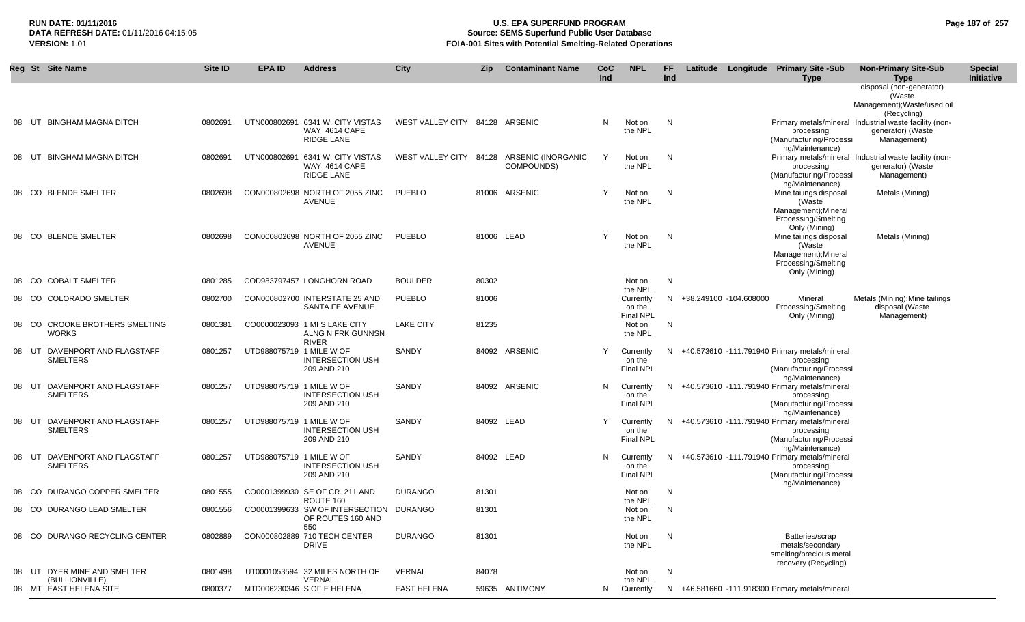#### **RUN DATE: 01/11/2016 U.S. EPA SUPERFUND PROGRAM Page 187 of 257 Source: SEMS Superfund Public User Database VERSION:** 1.01 **FOIA-001 Sites with Potential Smelting-Related Operations**

|       |       | Reg St Site Name                           | Site ID | <b>EPA ID</b>            | <b>Address</b>                                                         | City                           | <b>Zip</b> | <b>Contaminant Name</b>          | CoC<br>Ind | <b>NPL</b>                              | FF<br>Ind | Latitude | Longitude                | <b>Primary Site -Sub</b><br><b>Type</b>                                                                             | <b>Non-Primary Site-Sub</b><br><b>Type</b>                                                 | <b>Special</b><br>Initiative |
|-------|-------|--------------------------------------------|---------|--------------------------|------------------------------------------------------------------------|--------------------------------|------------|----------------------------------|------------|-----------------------------------------|-----------|----------|--------------------------|---------------------------------------------------------------------------------------------------------------------|--------------------------------------------------------------------------------------------|------------------------------|
|       |       |                                            |         |                          |                                                                        |                                |            |                                  |            |                                         |           |          |                          |                                                                                                                     | disposal (non-generator)<br>(Waste<br>Management); Waste/used oil<br>(Recycling)           |                              |
|       | UT    | <b>BINGHAM MAGNA DITCH</b>                 | 0802691 |                          | UTN000802691 6341 W. CITY VISTAS<br><b>WAY 4614 CAPE</b><br>RIDGE LANE | WEST VALLEY CITY 84128 ARSENIC |            |                                  | N.         | Not on<br>the NPL                       | N         |          |                          | processing<br>(Manufacturing/Processi<br>ng/Maintenance)                                                            | Primary metals/mineral Industrial waste facility (non-<br>generator) (Waste<br>Management) |                              |
|       | UT    | <b>BINGHAM MAGNA DITCH</b>                 | 0802691 |                          | UTN000802691 6341 W. CITY VISTAS<br>WAY 4614 CAPE<br><b>RIDGE LANE</b> | WEST VALLEY CITY 84128         |            | ARSENIC (INORGANIC<br>COMPOUNDS) |            | Not on<br>the NPL                       | N         |          |                          | processing<br>(Manufacturing/Processi                                                                               | Primary metals/mineral Industrial waste facility (non-<br>generator) (Waste<br>Management) |                              |
|       |       | 08 CO BLENDE SMELTER                       | 0802698 |                          | CON000802698 NORTH OF 2055 ZINC<br><b>AVENUE</b>                       | <b>PUEBLO</b>                  |            | 81006 ARSENIC                    | Y          | Not on<br>the NPL                       | N         |          |                          | ng/Maintenance)<br>Mine tailings disposal<br>(Waste<br>Management); Mineral<br>Processing/Smelting<br>Only (Mining) | Metals (Mining)                                                                            |                              |
|       |       | 08 CO BLENDE SMELTER                       | 0802698 |                          | CON000802698 NORTH OF 2055 ZINC<br><b>AVENUE</b>                       | <b>PUEBLO</b>                  | 81006 LEAD |                                  | Y          | Not on<br>the NPL                       | N.        |          |                          | Mine tailings disposal<br>(Waste<br>Management); Mineral<br><b>Processing/Smelting</b><br>Only (Mining)             | Metals (Mining)                                                                            |                              |
|       | 08 CO | <b>COBALT SMELTER</b>                      | 0801285 |                          | COD983797457 LONGHORN ROAD                                             | <b>BOULDER</b>                 | 80302      |                                  |            | Not on<br>the NPL                       | N         |          |                          |                                                                                                                     |                                                                                            |                              |
|       | 08 CO | <b>COLORADO SMELTER</b>                    | 0802700 |                          | CON000802700 INTERSTATE 25 AND<br>SANTA FE AVENUE                      | <b>PUEBLO</b>                  | 81006      |                                  |            | Currently<br>on the<br>Final NPL        |           |          | N +38.249100 -104.608000 | Mineral<br>Processing/Smelting<br>Only (Mining)                                                                     | Metals (Mining); Mine tailings<br>disposal (Waste<br>Management)                           |                              |
|       | 08 CO | <b>CROOKE BROTHERS SMELTING</b><br>WORKS   | 0801381 |                          | CO0000023093 1 MI S LAKE CITY<br>ALNG N FRK GUNNSN<br><b>RIVER</b>     | <b>LAKE CITY</b>               | 81235      |                                  |            | Not on<br>the NPL                       | N.        |          |                          |                                                                                                                     |                                                                                            |                              |
| 08 UT |       | DAVENPORT AND FLAGSTAFF<br><b>SMELTERS</b> | 0801257 | UTD988075719 1 MILE W OF | <b>INTERSECTION USH</b><br>209 AND 210                                 | SANDY                          |            | 84092 ARSENIC                    |            | Currently<br>on the<br><b>Final NPL</b> | N.        |          |                          | +40.573610 -111.791940 Primary metals/mineral<br>processing<br>(Manufacturing/Processi<br>ng/Maintenance)           |                                                                                            |                              |
| 08    | UT    | DAVENPORT AND FLAGSTAFF<br>SMELTERS        | 0801257 | UTD988075719 1 MILE W OF | <b>INTERSECTION USH</b><br>209 AND 210                                 | SANDY                          |            | 84092 ARSENIC                    | N          | Currently<br>on the<br>Final NPL        |           |          |                          | N +40.573610 -111.791940 Primary metals/mineral<br>processing<br>(Manufacturing/Processi<br>ng/Maintenance)         |                                                                                            |                              |
| 08    | UT    | DAVENPORT AND FLAGSTAFF<br><b>SMELTERS</b> | 0801257 | UTD988075719 1 MILE W OF | <b>INTERSECTION USH</b><br>209 AND 210                                 | SANDY                          | 84092 LEAD |                                  | Y          | Currently<br>on the<br>Final NPL        | N.        |          |                          | +40.573610 -111.791940 Primary metals/mineral<br>processing<br>(Manufacturing/Processi<br>ng/Maintenance)           |                                                                                            |                              |
|       | 08 UT | DAVENPORT AND FLAGSTAFF<br><b>SMELTERS</b> | 0801257 | UTD988075719 1 MILE W OF | <b>INTERSECTION USH</b><br>209 AND 210                                 | SANDY                          | 84092 LEAD |                                  | N.         | Currently<br>on the<br><b>Final NPL</b> |           |          |                          | N +40.573610 -111.791940 Primary metals/mineral<br>processing<br>(Manufacturing/Processi<br>ng/Maintenance)         |                                                                                            |                              |
|       | -CO   | DURANGO COPPER SMELTER                     | 0801555 |                          | CO0001399930 SE OF CR. 211 AND<br>ROUTE 160                            | <b>DURANGO</b>                 | 81301      |                                  |            | Not on<br>the NPL                       | N         |          |                          |                                                                                                                     |                                                                                            |                              |
|       |       | 08 CO DURANGO LEAD SMELTER                 | 0801556 |                          | CO0001399633 SW OF INTERSECTION<br>OF ROUTES 160 AND<br>550            | DURANGO                        | 81301      |                                  |            | Not on<br>the NPL                       | N.        |          |                          |                                                                                                                     |                                                                                            |                              |
|       |       | 08 CO DURANGO RECYCLING CENTER             | 0802889 |                          | CON000802889 710 TECH CENTER<br>DRIVE                                  | <b>DURANGO</b>                 | 81301      |                                  |            | Not on<br>the NPL                       | N         |          |                          | Batteries/scrap<br>metals/secondary<br>smelting/precious metal<br>recovery (Recycling)                              |                                                                                            |                              |
| 08    |       | UT DYER MINE AND SMELTER                   | 0801498 |                          | UT0001053594 32 MILES NORTH OF                                         | VERNAL                         | 84078      |                                  |            | Not on                                  | N         |          |                          |                                                                                                                     |                                                                                            |                              |
|       |       | (BULLIONVILLE)<br>08 MT EAST HELENA SITE   | 0800377 |                          | <b>VERNAL</b><br>MTD006230346 S OF E HELENA                            | <b>EAST HELENA</b>             |            | 59635 ANTIMONY                   |            | the NPL<br>N Currently                  |           |          |                          | N +46.581660 -111.918300 Primary metals/mineral                                                                     |                                                                                            |                              |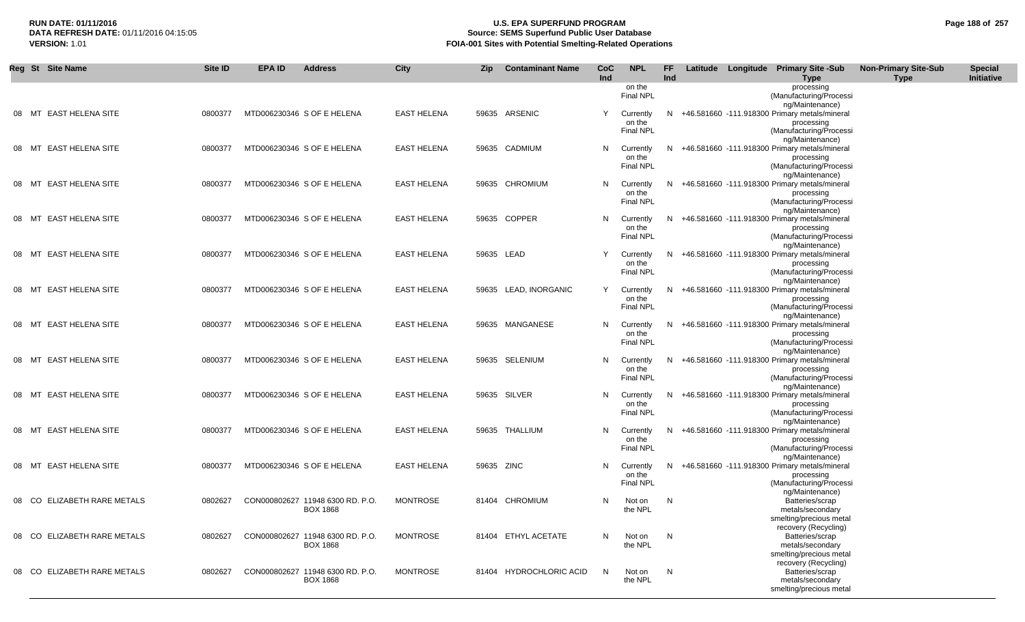## **RUN DATE: 01/11/2016 U.S. EPA SUPERFUND PROGRAM Page 188 of 257 Source: SEMS Superfund Public User Database VERSION:** 1.01 **FOIA-001 Sites with Potential Smelting-Related Operations**

|       | Reg St Site Name            | <b>Site ID</b> | <b>EPA ID</b><br><b>Address</b>                     | <b>City</b>        | Zip        | <b>Contaminant Name</b> | CoC<br>Ind | <b>NPL</b>                                | FF<br>Ind |  | Latitude Longitude Primary Site -Sub<br><b>Type</b>                                                               | <b>Non-Primary Site-Sub</b><br><b>Type</b> | <b>Special</b><br>Initiative |
|-------|-----------------------------|----------------|-----------------------------------------------------|--------------------|------------|-------------------------|------------|-------------------------------------------|-----------|--|-------------------------------------------------------------------------------------------------------------------|--------------------------------------------|------------------------------|
|       |                             |                |                                                     |                    |            |                         |            | on the<br><b>Final NPL</b>                |           |  | processing<br>(Manufacturing/Processi                                                                             |                                            |                              |
| 08 MT | <b>EAST HELENA SITE</b>     | 0800377        | MTD006230346 S OF E HELENA                          | <b>EAST HELENA</b> |            | 59635 ARSENIC           | Y          | Currently<br>on the<br><b>Final NPL</b>   | N.        |  | ng/Maintenance)<br>+46.581660 -111.918300 Primary metals/mineral<br>processing<br>(Manufacturing/Processi         |                                            |                              |
| 08 MT | EAST HELENA SITE            | 0800377        | MTD006230346 S OF E HELENA                          | <b>EAST HELENA</b> |            | 59635 CADMIUM           | N.         | Currently<br>on the<br>Final NPL          | N.        |  | ng/Maintenance)<br>+46.581660 -111.918300 Primary metals/mineral<br>processing<br>(Manufacturing/Processi         |                                            |                              |
|       | 08 MT EAST HELENA SITE      | 0800377        | MTD006230346 S OF E HELENA                          | <b>EAST HELENA</b> |            | 59635 CHROMIUM          |            | N Currently<br>on the<br><b>Final NPL</b> |           |  | ng/Maintenance)<br>N +46.581660 -111.918300 Primary metals/mineral<br>processing<br>(Manufacturing/Processi       |                                            |                              |
|       | 08 MT EAST HELENA SITE      | 0800377        | MTD006230346 S OF E HELENA                          | <b>EAST HELENA</b> |            | 59635 COPPER            | N.         | Currently<br>on the                       |           |  | ng/Maintenance)<br>N +46.581660 -111.918300 Primary metals/mineral<br>processing                                  |                                            |                              |
|       | 08 MT EAST HELENA SITE      | 0800377        | MTD006230346 S OF E HELENA                          | <b>EAST HELENA</b> | 59635 LEAD |                         | Y          | <b>Final NPL</b><br>Currently<br>on the   |           |  | (Manufacturing/Processi<br>ng/Maintenance)<br>N +46.581660 -111.918300 Primary metals/mineral<br>processing       |                                            |                              |
|       | 08 MT EAST HELENA SITE      | 0800377        | MTD006230346 S OF E HELENA                          | <b>EAST HELENA</b> |            | 59635 LEAD, INORGANIC   | Y          | <b>Final NPL</b><br>Currently<br>on the   |           |  | (Manufacturing/Processi<br>ng/Maintenance)<br>N +46.581660 -111.918300 Primary metals/mineral<br>processing       |                                            |                              |
|       | 08 MT EAST HELENA SITE      | 0800377        | MTD006230346 S OF E HELENA                          | <b>EAST HELENA</b> |            | 59635 MANGANESE         |            | <b>Final NPL</b><br>N Currently<br>on the |           |  | (Manufacturing/Processi<br>ng/Maintenance)<br>N +46.581660 -111.918300 Primary metals/mineral<br>processing       |                                            |                              |
|       | 08 MT EAST HELENA SITE      | 0800377        | MTD006230346 S OF E HELENA                          | <b>EAST HELENA</b> |            | 59635 SELENIUM          | N.         | <b>Final NPL</b><br>Currently<br>on the   |           |  | (Manufacturing/Processi<br>ng/Maintenance)<br>N +46.581660 -111.918300 Primary metals/mineral<br>processing       |                                            |                              |
| 08 MT | EAST HELENA SITE            | 0800377        | MTD006230346 S OF E HELENA                          | <b>EAST HELENA</b> |            | 59635 SILVER            |            | <b>Final NPL</b><br>N Currently<br>on the | N.        |  | (Manufacturing/Processi<br>ng/Maintenance)<br>+46.581660 -111.918300 Primary metals/mineral<br>processing         |                                            |                              |
|       | 08 MT EAST HELENA SITE      | 0800377        | MTD006230346 S OF E HELENA                          | <b>EAST HELENA</b> |            | 59635 THALLIUM          | N.         | <b>Final NPL</b><br>Currently<br>on the   | N.        |  | (Manufacturing/Processi<br>ng/Maintenance)<br>+46.581660 -111.918300 Primary metals/mineral<br>processing         |                                            |                              |
| 08 MT | <b>EAST HELENA SITE</b>     | 0800377        | MTD006230346 S OF E HELENA                          | <b>EAST HELENA</b> | 59635 ZINC |                         | N          | <b>Final NPL</b><br>Currently<br>on the   |           |  | (Manufacturing/Processi<br>ng/Maintenance)<br>N +46.581660 -111.918300 Primary metals/mineral<br>processing       |                                            |                              |
|       | 08 CO ELIZABETH RARE METALS | 0802627        | CON000802627 11948 6300 RD. P.O.<br><b>BOX 1868</b> | <b>MONTROSE</b>    |            | 81404 CHROMIUM          | N          | <b>Final NPL</b><br>Not on<br>the NPL     | N.        |  | (Manufacturing/Processi<br>ng/Maintenance)<br>Batteries/scrap<br>metals/secondary                                 |                                            |                              |
|       | 08 CO ELIZABETH RARE METALS | 0802627        | CON000802627 11948 6300 RD. P.O.<br><b>BOX 1868</b> | <b>MONTROSE</b>    |            | 81404 ETHYL ACETATE     | N          | Not on<br>the NPL                         | N         |  | smelting/precious metal<br>recovery (Recycling)<br>Batteries/scrap<br>metals/secondary                            |                                            |                              |
| 08 CO | ELIZABETH RARE METALS       | 0802627        | CON000802627 11948 6300 RD. P.O.<br><b>BOX 1868</b> | <b>MONTROSE</b>    |            | 81404 HYDROCHLORIC ACID | N          | Not on<br>the NPL                         | N         |  | smelting/precious metal<br>recovery (Recycling)<br>Batteries/scrap<br>metals/secondary<br>smelting/precious metal |                                            |                              |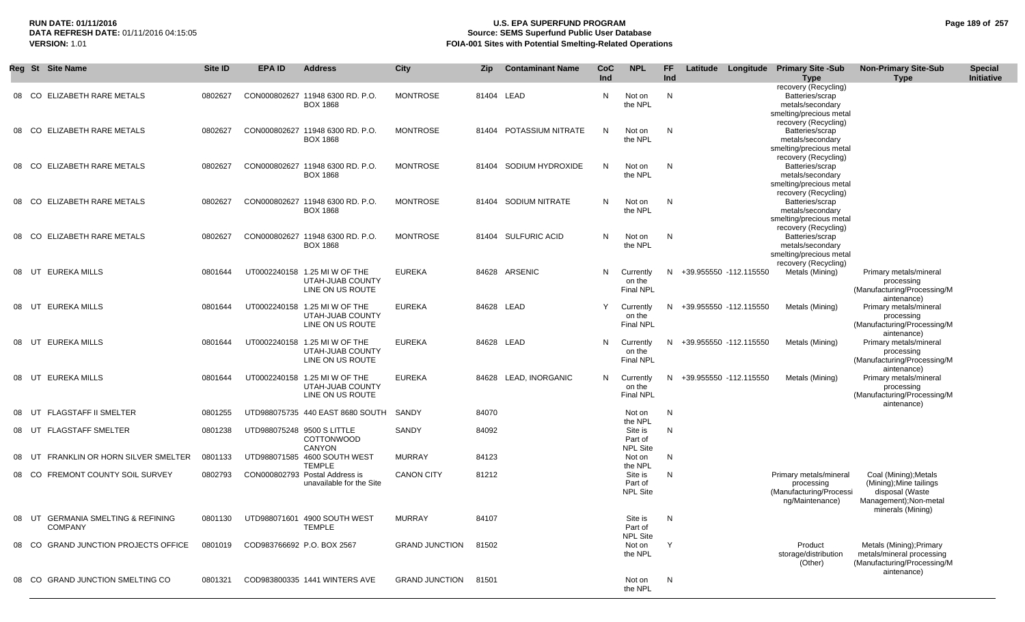#### **RUN DATE: 01/11/2016 U.S. EPA SUPERFUND PROGRAM Page 189 of 257** DATA REFRESH DATE: 01/11/2016 04:15:05<br>**VERSION: 1.01** Source: SEMS Superfund Public User Database<br>FOIA-001 Sites with Potential Smelting-Related Operat **FOIA-001 Sites with Potential Smelting-Related Operations**

|    | Reg St Site Name                                     | Site ID | <b>EPA ID</b>              | <b>Address</b>                                                        | City                 | Zip   | <b>Contaminant Name</b> | CoC<br>Ind | <b>NPL</b>                                       | FF.<br>Ind |                        | Latitude Longitude | <b>Primary Site -Sub</b><br><b>Type</b>                                                | <b>Non-Primary Site-Sub</b><br><b>Type</b>                                                                        | <b>Special</b><br>Initiative |
|----|------------------------------------------------------|---------|----------------------------|-----------------------------------------------------------------------|----------------------|-------|-------------------------|------------|--------------------------------------------------|------------|------------------------|--------------------|----------------------------------------------------------------------------------------|-------------------------------------------------------------------------------------------------------------------|------------------------------|
|    | 08 CO ELIZABETH RARE METALS                          | 0802627 |                            | CON000802627 11948 6300 RD. P.O.<br><b>BOX 1868</b>                   | <b>MONTROSE</b>      |       | 81404 LEAD              | N          | Not on<br>the NPL                                | N          |                        |                    | recovery (Recycling)<br>Batteries/scrap<br>metals/secondary<br>smelting/precious metal |                                                                                                                   |                              |
|    | 08 CO ELIZABETH RARE METALS                          | 0802627 |                            | CON000802627 11948 6300 RD. P.O.<br><b>BOX 1868</b>                   | <b>MONTROSE</b>      | 81404 | POTASSIUM NITRATE       | N.         | Not on<br>the NPL                                | N          |                        |                    | recovery (Recycling)<br>Batteries/scrap<br>metals/secondary<br>smelting/precious metal |                                                                                                                   |                              |
| 08 | CO ELIZABETH RARE METALS                             | 0802627 |                            | CON000802627 11948 6300 RD, P.O.<br><b>BOX 1868</b>                   | MONTROSE             | 81404 | SODIUM HYDROXIDE        | N          | Not on<br>the NPL                                | N          |                        |                    | recovery (Recycling)<br>Batteries/scrap<br>metals/secondary<br>smelting/precious metal |                                                                                                                   |                              |
| 08 | CO ELIZABETH RARE METALS                             | 0802627 |                            | CON000802627 11948 6300 RD. P.O.<br><b>BOX 1868</b>                   | MONTROSE             | 81404 | SODIUM NITRATE          | N          | Not on<br>the NPL                                | N          |                        |                    | recovery (Recycling)<br>Batteries/scrap<br>metals/secondary<br>smelting/precious metal |                                                                                                                   |                              |
| 08 | ELIZABETH RARE METALS<br>CO.                         | 0802627 |                            | CON000802627 11948 6300 RD. P.O.<br><b>BOX 1868</b>                   | <b>MONTROSE</b>      | 81404 | <b>SULFURIC ACID</b>    | N          | Not on<br>the NPL                                | N          |                        |                    | recovery (Recycling)<br>Batteries/scrap<br>metals/secondary<br>smelting/precious metal |                                                                                                                   |                              |
| 08 | UT EUREKA MILLS                                      | 0801644 |                            | UT0002240158 1.25 MI W OF THE<br>UTAH-JUAB COUNTY<br>LINE ON US ROUTE | <b>EUREKA</b>        | 84628 | ARSENIC                 | N          | Currently<br>on the<br><b>Final NPL</b>          | N          | +39.955550 -112.115550 |                    | recovery (Recycling)<br>Metals (Mining)                                                | Primary metals/mineral<br>processing<br>(Manufacturing/Processing/M                                               |                              |
| 08 | UT EUREKA MILLS                                      | 0801644 |                            | UT0002240158 1.25 MI W OF THE<br>UTAH-JUAB COUNTY<br>LINE ON US ROUTE | <b>EUREKA</b>        |       | 84628 LEAD              | Y          | Currently<br>on the<br><b>Final NPL</b>          | N          | +39.955550 -112.115550 |                    | Metals (Mining)                                                                        | aintenance)<br>Primary metals/mineral<br>processing<br>(Manufacturing/Processing/M                                |                              |
| 08 | UT EUREKA MILLS                                      | 0801644 |                            | UT0002240158 1.25 MI W OF THE<br>UTAH-JUAB COUNTY<br>LINE ON US ROUTE | <b>EUREKA</b>        |       | 84628 LEAD              | N          | Currently<br>on the<br><b>Final NPL</b>          | N          | +39.955550 -112.115550 |                    | Metals (Mining)                                                                        | aintenance)<br>Primary metals/mineral<br>processing<br>(Manufacturing/Processing/M                                |                              |
| 08 | UT EUREKA MILLS                                      | 0801644 |                            | UT0002240158 1.25 MI W OF THE<br>UTAH-JUAB COUNTY<br>LINE ON US ROUTE | <b>EUREKA</b>        |       | 84628 LEAD, INORGANIC   | N          | Currently<br>on the<br><b>Final NPL</b>          | N          | +39.955550 -112.115550 |                    | Metals (Mining)                                                                        | aintenance)<br>Primary metals/mineral<br>processing<br>(Manufacturing/Processing/M                                |                              |
| 08 | <b>FLAGSTAFF II SMELTER</b><br>UT                    | 0801255 |                            | UTD988075735 440 EAST 8680 SOUTH                                      | SANDY                | 84070 |                         |            | Not on                                           | N          |                        |                    |                                                                                        | aintenance)                                                                                                       |                              |
|    | 08 UT FLAGSTAFF SMELTER                              | 0801238 |                            | UTD988075248 9500 S LITTLE<br><b>COTTONWOOD</b><br><b>CANYON</b>      | SANDY                | 84092 |                         |            | the NPL<br>Site is<br>Part of<br><b>NPL Site</b> | N          |                        |                    |                                                                                        |                                                                                                                   |                              |
| 08 | FRANKLIN OR HORN SILVER SMELTER<br>UT                | 0801133 |                            | UTD988071585 4600 SOUTH WEST<br><b>TEMPLE</b>                         | MURRAY               | 84123 |                         |            | Not on<br>the NPL                                | N          |                        |                    |                                                                                        |                                                                                                                   |                              |
| 08 | <b>FREMONT COUNTY SOIL SURVEY</b><br>CO.             | 0802793 |                            | CON000802793 Postal Address is<br>unavailable for the Site            | <b>CANON CITY</b>    | 81212 |                         |            | Site is<br>Part of<br><b>NPL Site</b>            | N          |                        |                    | Primary metals/mineral<br>processing<br>(Manufacturing/Processi<br>ng/Maintenance)     | Coal (Mining); Metals<br>(Mining); Mine tailings<br>disposal (Waste<br>Management);Non-metal<br>minerals (Mining) |                              |
|    | 08 UT GERMANIA SMELTING & REFINING<br><b>COMPANY</b> |         |                            | 0801130   UTD988071601   4900   SOUTH WEST<br><b>TEMPLE</b>           | MURRAY               | 84107 |                         |            | Site is<br>Part of<br><b>NPL Site</b>            | N          |                        |                    |                                                                                        |                                                                                                                   |                              |
|    | 08 CO GRAND JUNCTION PROJECTS OFFICE                 | 0801019 | COD983766692 P.O. BOX 2567 |                                                                       | GRAND JUNCTION 81502 |       |                         |            | Not on<br>the NPL                                | Y          |                        |                    | Product<br>storage/distribution<br>(Other)                                             | Metals (Mining); Primary<br>metals/mineral processing<br>(Manufacturing/Processing/M<br>aintenance)               |                              |
|    | 08 CO GRAND JUNCTION SMELTING CO                     | 0801321 |                            | COD983800335 1441 WINTERS AVE                                         | GRAND JUNCTION 81501 |       |                         |            | Not on<br>the NPL                                | N          |                        |                    |                                                                                        |                                                                                                                   |                              |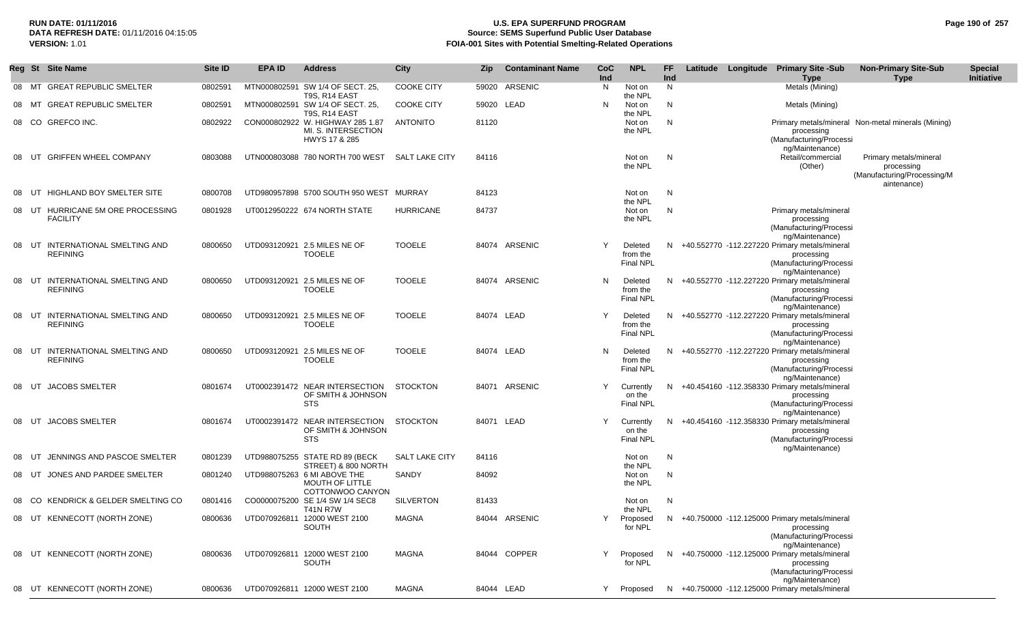## RUN DATE: 01/11/2016<br>DATA REFRESH DATE: 01/11/2016 04:15:05<br>Source: SEMS Superfund Public User Dat **Source: SEMS Superfund Public User Database VERSION:** 1.01 **FOIA-001 Sites with Potential Smelting-Related Operations**

| Page 190 of 257 |  |  |  |
|-----------------|--|--|--|
|-----------------|--|--|--|

|    |       | Reg St Site Name                                    | Site ID | EPA ID | <b>Address</b>                                                           | <b>City</b>           | Zip.       | <b>Contaminant Name</b> | <b>CoC</b><br>Ind | <b>NPL</b>                              | FF.<br>Ind |  | Latitude Longitude Primary Site-Sub<br><b>Type</b>                                                          | <b>Non-Primary Site-Sub</b><br><b>Type</b>                                         | <b>Special</b><br>Initiative |
|----|-------|-----------------------------------------------------|---------|--------|--------------------------------------------------------------------------|-----------------------|------------|-------------------------|-------------------|-----------------------------------------|------------|--|-------------------------------------------------------------------------------------------------------------|------------------------------------------------------------------------------------|------------------------------|
|    |       | 08 MT GREAT REPUBLIC SMELTER                        | 0802591 |        | MTN000802591 SW 1/4 OF SECT. 25,<br>T9S, R14 EAST                        | <b>COOKE CITY</b>     |            | 59020 ARSENIC           | N                 | Not on<br>the NPL                       | N.         |  | Metals (Mining)                                                                                             |                                                                                    |                              |
|    | 08 MT | <b>GREAT REPUBLIC SMELTER</b>                       | 0802591 |        | MTN000802591 SW 1/4 OF SECT. 25,<br>T9S, R14 EAST                        | <b>COOKE CITY</b>     | 59020 LEAD |                         | N                 | Not on<br>the NPL                       | N          |  | Metals (Mining)                                                                                             |                                                                                    |                              |
|    |       | 08 CO GREFCO INC.                                   | 0802922 |        | CON000802922 W. HIGHWAY 285 1.87<br>MI. S. INTERSECTION<br>HWYS 17 & 285 | <b>ANTONITO</b>       | 81120      |                         |                   | Not on<br>the NPL                       | N          |  | processing<br>(Manufacturing/Processi<br>ng/Maintenance)                                                    | Primary metals/mineral Non-metal minerals (Mining)                                 |                              |
|    | 08 UT | <b>GRIFFEN WHEEL COMPANY</b>                        | 0803088 |        | UTN000803088 780 NORTH 700 WEST                                          | SALT LAKE CITY        | 84116      |                         |                   | Not on<br>the NPL                       | N          |  | Retail/commercial<br>(Other)                                                                                | Primary metals/mineral<br>processing<br>(Manufacturing/Processing/M<br>aintenance) |                              |
|    | 08 UT | HIGHLAND BOY SMELTER SITE                           | 0800708 |        | UTD980957898 5700 SOUTH 950 WEST MURRAY                                  |                       | 84123      |                         |                   | Not on<br>the NPL                       | N          |  |                                                                                                             |                                                                                    |                              |
|    | 08 UT | HURRICANE 5M ORE PROCESSING<br><b>FACILITY</b>      | 0801928 |        | UT0012950222 674 NORTH STATE                                             | <b>HURRICANE</b>      | 84737      |                         |                   | Not on<br>the NPL                       | N          |  | Primary metals/mineral<br>processing<br>(Manufacturing/Processi<br>ng/Maintenance)                          |                                                                                    |                              |
|    |       | 08 UT INTERNATIONAL SMELTING AND<br><b>REFINING</b> | 0800650 |        | UTD093120921 2.5 MILES NE OF<br><b>TOOELE</b>                            | <b>TOOELE</b>         |            | 84074 ARSENIC           |                   | Deleted<br>from the<br><b>Final NPL</b> | N.         |  | +40.552770 -112.227220 Primary metals/mineral<br>processing<br>(Manufacturing/Processi<br>ng/Maintenance)   |                                                                                    |                              |
| 08 |       | UT INTERNATIONAL SMELTING AND<br><b>REFINING</b>    | 0800650 |        | UTD093120921 2.5 MILES NE OF<br><b>TOOELE</b>                            | <b>TOOELE</b>         |            | 84074 ARSENIC           | N                 | Deleted<br>from the<br><b>Final NPL</b> | N.         |  | +40.552770 -112.227220 Primary metals/mineral<br>processing<br>(Manufacturing/Processi<br>ng/Maintenance)   |                                                                                    |                              |
|    |       | 08 UT INTERNATIONAL SMELTING AND<br><b>REFINING</b> | 0800650 |        | UTD093120921 2.5 MILES NE OF<br><b>TOOELE</b>                            | <b>TOOELE</b>         | 84074 LEAD |                         |                   | Deleted<br>from the<br><b>Final NPL</b> |            |  | N +40.552770 -112.227220 Primary metals/mineral<br>processing<br>(Manufacturing/Processi<br>ng/Maintenance) |                                                                                    |                              |
|    |       | 08 UT INTERNATIONAL SMELTING AND<br><b>REFINING</b> | 0800650 |        | UTD093120921 2.5 MILES NE OF<br><b>TOOELE</b>                            | <b>TOOELE</b>         | 84074 LEAD |                         | N                 | Deleted<br>from the<br><b>Final NPL</b> | N.         |  | +40.552770 -112.227220 Primary metals/mineral<br>processing<br>(Manufacturing/Processi<br>ng/Maintenance)   |                                                                                    |                              |
|    |       | 08 UT JACOBS SMELTER                                | 0801674 |        | UT0002391472 NEAR INTERSECTION<br>OF SMITH & JOHNSON<br><b>STS</b>       | STOCKTON              |            | 84071 ARSENIC           | Y                 | Currently<br>on the<br><b>Final NPL</b> | N.         |  | +40.454160 -112.358330 Primary metals/mineral<br>processing<br>(Manufacturing/Processi<br>ng/Maintenance)   |                                                                                    |                              |
|    |       | 08 UT JACOBS SMELTER                                | 0801674 |        | UT0002391472 NEAR INTERSECTION<br>OF SMITH & JOHNSON<br>STS              | STOCKTON              | 84071 LEAD |                         | Υ                 | Currently<br>on the<br>Final NPL        |            |  | N +40.454160 -112.358330 Primary metals/mineral<br>processing<br>(Manufacturing/Processi<br>ng/Maintenance) |                                                                                    |                              |
|    | UT    | JENNINGS AND PASCOE SMELTER                         | 0801239 |        | UTD988075255 STATE RD 89 (BECK<br>STREET) & 800 NORTH                    | <b>SALT LAKE CITY</b> | 84116      |                         |                   | Not on<br>the NPL                       | N          |  |                                                                                                             |                                                                                    |                              |
|    | 08 UT | JONES AND PARDEE SMELTER                            | 0801240 |        | UTD988075263 6 MI ABOVE THE<br>MOUTH OF LITTLE<br>COTTONWOO CANYON       | SANDY                 | 84092      |                         |                   | Not on<br>the NPL                       | N          |  |                                                                                                             |                                                                                    |                              |
|    |       | 08 CO KENDRICK & GELDER SMELTING CO                 | 0801416 |        | CO0000075200 SE 1/4 SW 1/4 SEC8<br><b>T41N R7W</b>                       | SILVERTON             | 81433      |                         |                   | Not on<br>the NPL                       | N          |  |                                                                                                             |                                                                                    |                              |
|    |       | 08 UT KENNECOTT (NORTH ZONE)                        | 0800636 |        | UTD070926811 12000 WEST 2100<br>SOUTH                                    | MAGNA                 |            | 84044 ARSENIC           |                   | Proposed<br>for NPL                     |            |  | N +40.750000 -112.125000 Primary metals/mineral<br>processing<br>(Manufacturing/Processi<br>ng/Maintenance) |                                                                                    |                              |
|    |       | 08 UT KENNECOTT (NORTH ZONE)                        | 0800636 |        | UTD070926811 12000 WEST 2100<br>SOUTH                                    | MAGNA                 |            | 84044 COPPER            | Y                 | Proposed<br>for NPL                     |            |  | N +40.750000 -112.125000 Primary metals/mineral<br>processing<br>(Manufacturing/Processi<br>ng/Maintenance) |                                                                                    |                              |
|    |       | 08 UT KENNECOTT (NORTH ZONE)                        | 0800636 |        | UTD070926811 12000 WEST 2100                                             | MAGNA                 | 84044 LEAD |                         |                   | Y Proposed                              |            |  | N +40.750000 -112.125000 Primary metals/mineral                                                             |                                                                                    |                              |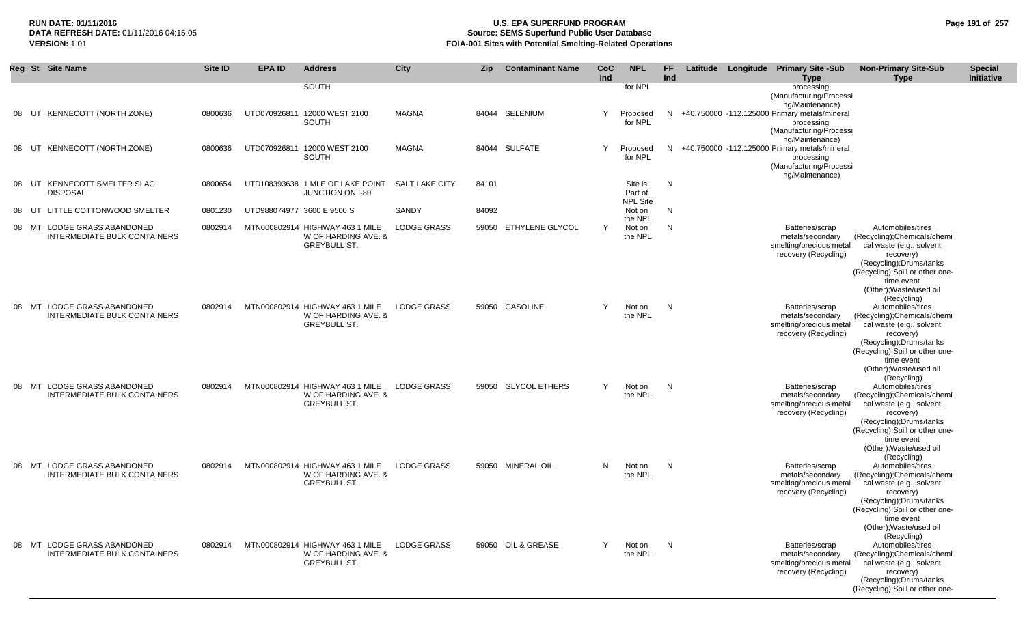# **RUN DATE: 01/11/2016 U.S. EPA SUPERFUND PROGRAM Page 191 of 257 Source: SEMS Superfund Public User Database VERSION:** 1.01 **FOIA-001 Sites with Potential Smelting-Related Operations**

| Reg   |       | <b>St</b> Site Name                                                 | Site ID | <b>EPA ID</b>              | <b>Address</b>                                                                | <b>City</b>           | <b>Zip</b> | <b>Contaminant Name</b> | CoC<br>Ind | <b>NPL</b>                            | FF<br>Ind |  | Latitude Longitude Primary Site -Sub<br><b>Type</b>                                                         | <b>Non-Primary Site-Sub</b><br><b>Type</b>                                                                                                                                                                                       | <b>Special</b><br>Initiative |
|-------|-------|---------------------------------------------------------------------|---------|----------------------------|-------------------------------------------------------------------------------|-----------------------|------------|-------------------------|------------|---------------------------------------|-----------|--|-------------------------------------------------------------------------------------------------------------|----------------------------------------------------------------------------------------------------------------------------------------------------------------------------------------------------------------------------------|------------------------------|
|       |       |                                                                     |         |                            | SOUTH                                                                         |                       |            |                         |            | for NPL                               |           |  | processing<br>(Manufacturing/Processi<br>ng/Maintenance)                                                    |                                                                                                                                                                                                                                  |                              |
| 08    | UT    | KENNECOTT (NORTH ZONE)                                              | 0800636 |                            | UTD070926811 12000 WEST 2100<br><b>SOUTH</b>                                  | <b>MAGNA</b>          |            | 84044 SELENIUM          | Y          | Proposed<br>for NPL                   | N.        |  | +40.750000 -112.125000 Primary metals/mineral<br>processing<br>(Manufacturing/Processi<br>ng/Maintenance)   |                                                                                                                                                                                                                                  |                              |
| 08    | UT    | KENNECOTT (NORTH ZONE)                                              | 0800636 |                            | UTD070926811 12000 WEST 2100<br>SOUTH                                         | <b>MAGNA</b>          |            | 84044 SULFATE           | Y          | Proposed<br>for NPL                   |           |  | N +40.750000 -112.125000 Primary metals/mineral<br>processing<br>(Manufacturing/Processi<br>ng/Maintenance) |                                                                                                                                                                                                                                  |                              |
|       | 08 UT | KENNECOTT SMELTER SLAG<br><b>DISPOSAL</b>                           | 0800654 |                            | UTD108393638 1 MI E OF LAKE POINT<br><b>JUNCTION ON I-80</b>                  | <b>SALT LAKE CITY</b> | 84101      |                         |            | Site is<br>Part of<br><b>NPL Site</b> | N         |  |                                                                                                             |                                                                                                                                                                                                                                  |                              |
| 08    | UT    | LITTLE COTTONWOOD SMELTER                                           | 0801230 | UTD988074977 3600 E 9500 S |                                                                               | SANDY                 | 84092      |                         |            | Not on<br>the NPL                     | N         |  |                                                                                                             |                                                                                                                                                                                                                                  |                              |
| 08 MT |       | LODGE GRASS ABANDONED<br><b>INTERMEDIATE BULK CONTAINERS</b>        | 0802914 |                            | MTN000802914 HIGHWAY 463 1 MILE<br>W OF HARDING AVE. &<br><b>GREYBULL ST.</b> | LODGE GRASS           | 59050      | ETHYLENE GLYCOL         | Y          | Not on<br>the NPL                     | N         |  | Batteries/scrap<br>metals/secondary<br>smelting/precious metal<br>recovery (Recycling)                      | Automobiles/tires<br>(Recycling); Chemicals/chemi<br>cal waste (e.g., solvent<br>recovery)<br>(Recycling); Drums/tanks<br>(Recycling); Spill or other one-<br>time event<br>(Other); Waste/used oil                              |                              |
| 08    | MТ    | <b>LODGE GRASS ABANDONED</b><br><b>INTERMEDIATE BULK CONTAINERS</b> | 0802914 |                            | MTN000802914 HIGHWAY 463 1 MILE<br>W OF HARDING AVE. &<br><b>GREYBULL ST.</b> | <b>LODGE GRASS</b>    |            | 59050 GASOLINE          | Y          | Not on<br>the NPL                     | N         |  | Batteries/scrap<br>metals/secondary<br>smelting/precious metal<br>recovery (Recycling)                      | (Recycling)<br>Automobiles/tires<br>(Recycling); Chemicals/chemi<br>cal waste (e.g., solvent<br>recovery)<br>(Recycling);Drums/tanks<br>(Recycling); Spill or other one-<br>time event<br>(Other); Waste/used oil<br>(Recycling) |                              |
| 08    | MT    | LODGE GRASS ABANDONED<br><b>INTERMEDIATE BULK CONTAINERS</b>        | 0802914 |                            | MTN000802914 HIGHWAY 463 1 MILE<br>W OF HARDING AVE. &<br><b>GREYBULL ST.</b> | <b>LODGE GRASS</b>    |            | 59050 GLYCOL ETHERS     | Y          | Not on<br>the NPL                     | N         |  | Batteries/scrap<br>metals/secondary<br>smelting/precious metal<br>recovery (Recycling)                      | Automobiles/tires<br>(Recycling); Chemicals/chemi<br>cal waste (e.g., solvent<br>recovery)<br>(Recycling); Drums/tanks<br>(Recycling); Spill or other one-<br>time event<br>(Other); Waste/used oil<br>(Recycling)               |                              |
| 08    | MT    | LODGE GRASS ABANDONED<br>INTERMEDIATE BULK CONTAINERS               | 0802914 |                            | MTN000802914 HIGHWAY 463 1 MILE<br>W OF HARDING AVE. &<br><b>GREYBULL ST.</b> | LODGE GRASS           |            | 59050 MINERAL OIL       | N          | Not on<br>the NPL                     | N         |  | Batteries/scrap<br>metals/secondary<br>smelting/precious metal<br>recovery (Recycling)                      | Automobiles/tires<br>(Recycling); Chemicals/chemi<br>cal waste (e.g., solvent<br>recovery)<br>(Recycling); Drums/tanks<br>(Recycling); Spill or other one-<br>time event<br>(Other); Waste/used oil<br>(Recycling)               |                              |
|       |       | 08 MT LODGE GRASS ABANDONED<br><b>INTERMEDIATE BULK CONTAINERS</b>  | 0802914 |                            | MTN000802914 HIGHWAY 463 1 MILE<br>W OF HARDING AVE. &<br>GREYBULL ST.        | <b>LODGE GRASS</b>    |            | 59050 OIL & GREASE      | Y          | Not on<br>the NPL                     | N         |  | Batteries/scrap<br>metals/secondary<br>smelting/precious metal<br>recovery (Recycling)                      | Automobiles/tires<br>(Recycling); Chemicals/chemi<br>cal waste (e.g., solvent<br>recovery)<br>(Recycling);Drums/tanks<br>(Recycling); Spill or other one-                                                                        |                              |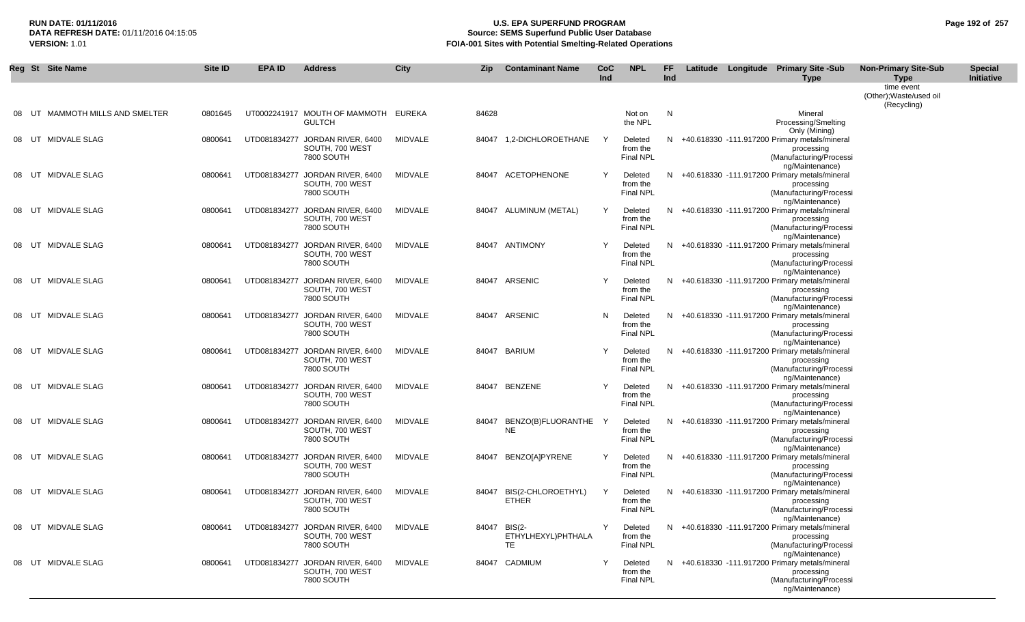## **RUN DATE: 01/11/2016 U.S. EPA SUPERFUND PROGRAM Page 192 of 257 Source: SEMS Superfund Public User Database VERSION:** 1.01 **FOIA-001 Sites with Potential Smelting-Related Operations**

|       |    | Reg St Site Name          | Site ID | <b>EPA ID</b> | <b>Address</b>                                                   | <b>City</b>    | Zip   | <b>Contaminant Name</b>             | CoC<br>Ind | <b>NPL</b>                              | FF<br>Ind |  | Latitude Longitude Primary Site -Sub<br><b>Type</b>                                                                            | <b>Non-Primary Site-Sub</b><br><b>Type</b>           | <b>Special</b><br>Initiative |
|-------|----|---------------------------|---------|---------------|------------------------------------------------------------------|----------------|-------|-------------------------------------|------------|-----------------------------------------|-----------|--|--------------------------------------------------------------------------------------------------------------------------------|------------------------------------------------------|------------------------------|
|       |    |                           |         |               |                                                                  |                |       |                                     |            |                                         |           |  |                                                                                                                                | time event<br>(Other); Waste/used oil<br>(Recycling) |                              |
|       | UT | MAMMOTH MILLS AND SMELTER | 0801645 |               | UT0002241917 MOUTH OF MAMMOTH<br><b>GULTCH</b>                   | EUREKA         | 84628 |                                     |            | Not on<br>the NPL                       | N         |  | Mineral<br>Processing/Smelting<br>Only (Mining)                                                                                |                                                      |                              |
| 08 UT |    | MIDVALE SLAG              | 0800641 |               | UTD081834277 JORDAN RIVER, 6400<br>SOUTH, 700 WEST<br>7800 SOUTH | MIDVALE        |       | 84047 1,2-DICHLOROETHANE            | Y          | Deleted<br>from the<br><b>Final NPL</b> |           |  | N +40.618330 -111.917200 Primary metals/mineral<br>processing<br>(Manufacturing/Processi<br>ng/Maintenance)                    |                                                      |                              |
| 08    | UT | MIDVALE SLAG              | 0800641 |               | UTD081834277 JORDAN RIVER, 6400<br>SOUTH, 700 WEST<br>7800 SOUTH | MIDVALE        |       | 84047 ACETOPHENONE                  | Y          | Deleted<br>from the<br><b>Final NPL</b> | N.        |  | +40.618330 -111.917200 Primary metals/mineral<br>processing<br>(Manufacturing/Processi<br>ng/Maintenance)                      |                                                      |                              |
| 08 UT |    | MIDVALE SLAG              | 0800641 |               | UTD081834277 JORDAN RIVER, 6400<br>SOUTH, 700 WEST<br>7800 SOUTH | MIDVALE        |       | 84047 ALUMINUM (METAL)              | Y          | Deleted<br>from the<br><b>Final NPL</b> |           |  | N +40.618330 -111.917200 Primary metals/mineral<br>processing<br>(Manufacturing/Processi                                       |                                                      |                              |
| 08 UT |    | MIDVALE SLAG              | 0800641 |               | UTD081834277 JORDAN RIVER, 6400<br>SOUTH, 700 WEST<br>7800 SOUTH | MIDVALE        |       | 84047 ANTIMONY                      | Y          | Deleted<br>from the<br><b>Final NPL</b> |           |  | ng/Maintenance)<br>N +40.618330 -111.917200 Primary metals/mineral<br>processing<br>(Manufacturing/Processi                    |                                                      |                              |
| 08 UT |    | MIDVALE SLAG              | 0800641 |               | UTD081834277 JORDAN RIVER, 6400<br>SOUTH, 700 WEST<br>7800 SOUTH | <b>MIDVALE</b> |       | 84047 ARSENIC                       | Y          | Deleted<br>from the<br><b>Final NPL</b> |           |  | ng/Maintenance)<br>N +40.618330 -111.917200 Primary metals/mineral<br>processing<br>(Manufacturing/Processi                    |                                                      |                              |
| 08    | UT | MIDVALE SLAG              | 0800641 |               | UTD081834277 JORDAN RIVER, 6400<br>SOUTH, 700 WEST<br>7800 SOUTH | MIDVALE        |       | 84047 ARSENIC                       | N          | Deleted<br>from the<br><b>Final NPL</b> |           |  | ng/Maintenance)<br>N +40.618330 -111.917200 Primary metals/mineral<br>processing<br>(Manufacturing/Processi                    |                                                      |                              |
| 08 UT |    | MIDVALE SLAG              | 0800641 |               | UTD081834277 JORDAN RIVER, 6400<br>SOUTH, 700 WEST<br>7800 SOUTH | <b>MIDVALE</b> | 84047 | <b>BARIUM</b>                       | Υ          | Deleted<br>from the<br><b>Final NPL</b> |           |  | ng/Maintenance)<br>N +40.618330 -111.917200 Primary metals/mineral<br>processing<br>(Manufacturing/Processi                    |                                                      |                              |
| 08 UT |    | MIDVALE SLAG              | 0800641 |               | UTD081834277 JORDAN RIVER, 6400<br>SOUTH, 700 WEST<br>7800 SOUTH | MIDVALE        | 84047 | BENZENE                             | Y          | Deleted<br>from the<br><b>Final NPL</b> |           |  | ng/Maintenance)<br>N +40.618330 -111.917200 Primary metals/mineral<br>processing<br>(Manufacturing/Processi                    |                                                      |                              |
|       |    | 08 UT MIDVALE SLAG        | 0800641 |               | UTD081834277 JORDAN RIVER, 6400<br>SOUTH, 700 WEST<br>7800 SOUTH | MIDVALE        | 84047 | BENZO(B)FLUORANTHE<br><b>NE</b>     |            | Deleted<br>from the<br><b>Final NPL</b> |           |  | ng/Maintenance)<br>N +40.618330 -111.917200 Primary metals/mineral<br>processing<br>(Manufacturing/Processi                    |                                                      |                              |
|       |    | 08 UT MIDVALE SLAG        | 0800641 |               | UTD081834277 JORDAN RIVER, 6400<br>SOUTH, 700 WEST<br>7800 SOUTH | MIDVALE        |       | 84047 BENZO[A]PYRENE                | Y          | Deleted<br>from the<br><b>Final NPL</b> |           |  | ng/Maintenance)<br>N +40.618330 -111.917200 Primary metals/mineral<br>processing<br>(Manufacturing/Processi                    |                                                      |                              |
|       |    | 08 UT MIDVALE SLAG        | 0800641 |               | UTD081834277 JORDAN RIVER, 6400<br>SOUTH, 700 WEST<br>7800 SOUTH | MIDVALE        | 84047 | BIS(2-CHLOROETHYL)<br><b>ETHER</b>  | Y          | Deleted<br>from the<br><b>Final NPL</b> | N.        |  | ng/Maintenance)<br>+40.618330 -111.917200 Primary metals/mineral<br>processing<br>(Manufacturing/Processi                      |                                                      |                              |
|       |    | 08 UT MIDVALE SLAG        | 0800641 |               | UTD081834277 JORDAN RIVER, 6400<br>SOUTH, 700 WEST<br>7800 SOUTH | MIDVALE        | 84047 | BIS(2-<br>ETHYLHEXYL)PHTHALA<br>TE. | Y          | Deleted<br>from the<br>Final NPL        |           |  | ng/Maintenance)<br>N +40.618330 -111.917200 Primary metals/mineral<br>processing<br>(Manufacturing/Processi<br>ng/Maintenance) |                                                      |                              |
|       |    | 08 UT MIDVALE SLAG        | 0800641 |               | UTD081834277 JORDAN RIVER, 6400<br>SOUTH, 700 WEST<br>7800 SOUTH | MIDVALE        |       | 84047 CADMIUM                       | Y          | Deleted<br>from the<br>Final NPL        |           |  | N +40.618330 -111.917200 Primary metals/mineral<br>processing<br>(Manufacturing/Processi<br>ng/Maintenance)                    |                                                      |                              |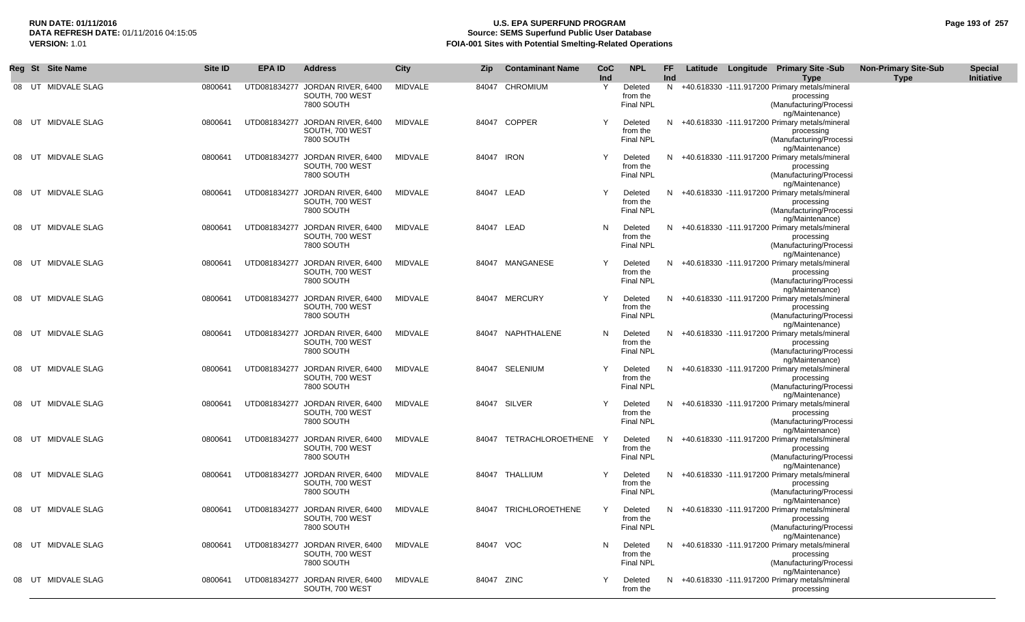## **RUN DATE: 01/11/2016 U.S. EPA SUPERFUND PROGRAM Page 193 of 257 Source: SEMS Superfund Public User Database VERSION:** 1.01 **FOIA-001 Sites with Potential Smelting-Related Operations**

|    |       | Reg St Site Name    | <b>Site ID</b> | <b>EPA ID</b> | <b>Address</b>                                                   | <b>City</b> | Zip.       | <b>Contaminant Name</b> | CoC<br>Ind | <b>NPL</b>                              | FF.<br>Ind |  | Latitude Longitude Primary Site -Sub<br>Type                                                                                 | <b>Non-Primary Site-Sub</b><br><b>Type</b> | <b>Special</b><br>Initiative |
|----|-------|---------------------|----------------|---------------|------------------------------------------------------------------|-------------|------------|-------------------------|------------|-----------------------------------------|------------|--|------------------------------------------------------------------------------------------------------------------------------|--------------------------------------------|------------------------------|
|    |       | 08 UT MIDVALE SLAG  | 0800641        |               | UTD081834277 JORDAN RIVER, 6400<br>SOUTH, 700 WEST<br>7800 SOUTH | MIDVALE     |            | 84047 CHROMIUM          | Y          | Deleted<br>from the<br><b>Final NPL</b> |            |  | N +40.618330 -111.917200 Primary metals/mineral<br>processing<br>(Manufacturing/Processi<br>ng/Maintenance)                  |                                            |                              |
|    | 08 UT | MIDVALE SLAG        | 0800641        |               | UTD081834277 JORDAN RIVER, 6400<br>SOUTH, 700 WEST<br>7800 SOUTH | MIDVALE     |            | 84047 COPPER            | Y          | Deleted<br>from the<br><b>Final NPL</b> | N.         |  | +40.618330 -111.917200 Primary metals/mineral<br>processing<br>(Manufacturing/Processi<br>ng/Maintenance)                    |                                            |                              |
|    | 08 UT | MIDVALE SLAG        | 0800641        |               | UTD081834277 JORDAN RIVER, 6400<br>SOUTH, 700 WEST<br>7800 SOUTH | MIDVALE     | 84047 IRON |                         | Y          | Deleted<br>from the<br><b>Final NPL</b> | N.         |  | +40.618330 -111.917200 Primary metals/mineral<br>processing<br>(Manufacturing/Processi<br>ng/Maintenance)                    |                                            |                              |
|    |       | 08 UT MIDVALE SLAG  | 0800641        |               | UTD081834277 JORDAN RIVER, 6400<br>SOUTH, 700 WEST<br>7800 SOUTH | MIDVALE     | 84047 LEAD |                         | Y          | Deleted<br>from the<br>Final NPL        | N.         |  | +40.618330 -111.917200 Primary metals/mineral<br>processing<br>(Manufacturing/Processi<br>ng/Maintenance)                    |                                            |                              |
|    |       | 08 UT MIDVALE SLAG  | 0800641        |               | UTD081834277 JORDAN RIVER, 6400<br>SOUTH, 700 WEST<br>7800 SOUTH | MIDVALE     | 84047 LEAD |                         | N          | Deleted<br>from the<br><b>Final NPL</b> |            |  | N +40.618330 -111.917200 Primary metals/mineral<br>processing<br>(Manufacturing/Processi<br>ng/Maintenance)                  |                                            |                              |
| 08 | UT    | MIDVALE SLAG        | 0800641        |               | UTD081834277 JORDAN RIVER, 6400<br>SOUTH, 700 WEST<br>7800 SOUTH | MIDVALE     |            | 84047 MANGANESE         | Y          | Deleted<br>from the<br><b>Final NPL</b> | N.         |  | +40.618330 -111.917200 Primary metals/mineral<br>processing<br>(Manufacturing/Processi<br>ng/Maintenance)                    |                                            |                              |
|    | 08 UT | MIDVALE SLAG        | 0800641        |               | UTD081834277 JORDAN RIVER, 6400<br>SOUTH, 700 WEST<br>7800 SOUTH | MIDVALE     |            | 84047 MERCURY           | Y          | Deleted<br>from the<br><b>Final NPL</b> | N.         |  | +40.618330 -111.917200 Primary metals/mineral<br>processing<br>(Manufacturing/Processi<br>ng/Maintenance)                    |                                            |                              |
|    | 08 UT | <b>MIDVALE SLAG</b> | 0800641        |               | UTD081834277 JORDAN RIVER, 6400<br>SOUTH, 700 WEST<br>7800 SOUTH | MIDVALE     |            | 84047 NAPHTHALENE       | N          | Deleted<br>from the<br><b>Final NPL</b> | N          |  | +40.618330 -111.917200 Primary metals/mineral<br>processing<br>(Manufacturing/Processi<br>ng/Maintenance)                    |                                            |                              |
|    |       | 08 UT MIDVALE SLAG  | 0800641        |               | UTD081834277 JORDAN RIVER, 6400<br>SOUTH, 700 WEST<br>7800 SOUTH | MIDVALE     |            | 84047 SELENIUM          | Y          | Deleted<br>from the<br><b>Final NPL</b> |            |  | N +40.618330 -111.917200 Primary metals/mineral<br>processing<br>(Manufacturing/Processi                                     |                                            |                              |
|    | 08 UT | MIDVALE SLAG        | 0800641        |               | UTD081834277 JORDAN RIVER, 6400<br>SOUTH, 700 WEST<br>7800 SOUTH | MIDVALE     |            | 84047 SILVER            | Y          | Deleted<br>from the<br><b>Final NPL</b> |            |  | ng/Maintenance)<br>N +40.618330 -111.917200 Primary metals/mineral<br>processing<br>(Manufacturing/Processi                  |                                            |                              |
|    | 08 UT | MIDVALE SLAG        | 0800641        |               | UTD081834277 JORDAN RIVER, 6400<br>SOUTH, 700 WEST<br>7800 SOUTH | MIDVALE     | 84047      | TETRACHLOROETHENE Y     |            | Deleted<br>from the<br><b>Final NPL</b> | N.         |  | ng/Maintenance)<br>+40.618330 -111.917200 Primary metals/mineral<br>processing<br>(Manufacturing/Processi                    |                                            |                              |
|    |       | 08 UT MIDVALE SLAG  | 0800641        |               | UTD081834277 JORDAN RIVER, 6400<br>SOUTH, 700 WEST<br>7800 SOUTH | MIDVALE     |            | 84047 THALLIUM          | Y          | Deleted<br>from the<br><b>Final NPL</b> | N.         |  | ng/Maintenance)<br>+40.618330 -111.917200 Primary metals/mineral<br>processing<br>(Manufacturing/Processi<br>ng/Maintenance) |                                            |                              |
|    |       | 08 UT MIDVALE SLAG  | 0800641        |               | UTD081834277 JORDAN RIVER, 6400<br>SOUTH, 700 WEST<br>7800 SOUTH | MIDVALE     |            | 84047 TRICHLOROETHENE   |            | Deleted<br>from the<br><b>Final NPL</b> |            |  | N +40.618330 -111.917200 Primary metals/mineral<br>processing<br>(Manufacturing/Processi                                     |                                            |                              |
|    |       | 08 UT MIDVALE SLAG  | 0800641        |               | UTD081834277 JORDAN RIVER, 6400<br>SOUTH, 700 WEST<br>7800 SOUTH | MIDVALE     | 84047 VOC  |                         | N          | Deleted<br>from the<br><b>Final NPL</b> |            |  | ng/Maintenance)<br>N +40.618330 -111.917200 Primary metals/mineral<br>processing<br>(Manufacturing/Processi                  |                                            |                              |
|    |       | 08 UT MIDVALE SLAG  | 0800641        |               | UTD081834277 JORDAN RIVER, 6400<br>SOUTH, 700 WEST               | MIDVALE     | 84047 ZINC |                         | Y          | Deleted<br>from the                     |            |  | ng/Maintenance)<br>N +40.618330 -111.917200 Primary metals/mineral<br>processing                                             |                                            |                              |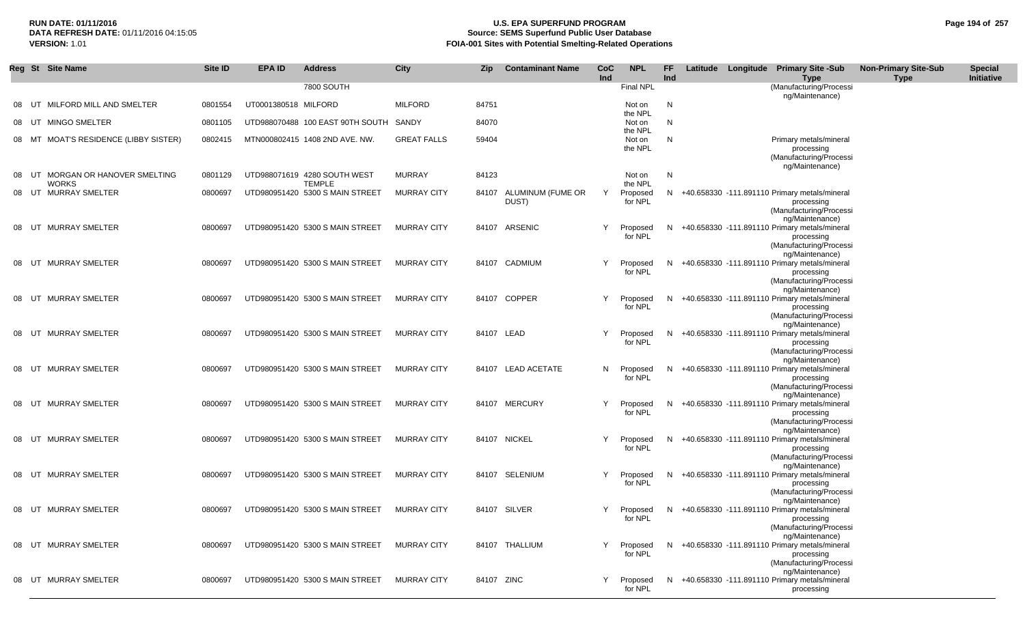#### **RUN DATE: 01/11/2016 U.S. EPA SUPERFUND PROGRAM Page 194 of 257 Source: SEMS Superfund Public User Database VERSION:** 1.01 **FOIA-001 Sites with Potential Smelting-Related Operations**

|       | Reg St Site Name                                 | Site ID | EPA ID               | <b>Address</b>                                | City               | Zip        | <b>Contaminant Name</b>          | <b>CoC</b><br><b>Ind</b> | <b>NPL</b>                   | FF<br>Ind |  | Latitude Longitude Primary Site -Sub<br><b>Type</b>                                                                          | <b>Non-Primary Site-Sub</b><br><b>Type</b> | <b>Special</b><br>Initiative |
|-------|--------------------------------------------------|---------|----------------------|-----------------------------------------------|--------------------|------------|----------------------------------|--------------------------|------------------------------|-----------|--|------------------------------------------------------------------------------------------------------------------------------|--------------------------------------------|------------------------------|
|       |                                                  |         |                      | 7800 SOUTH                                    |                    |            |                                  |                          | Final NPL                    |           |  | (Manufacturing/Processi<br>ng/Maintenance)                                                                                   |                                            |                              |
| 08    | MILFORD MILL AND SMELTER<br>UT                   | 0801554 | UT0001380518 MILFORD |                                               | <b>MILFORD</b>     | 84751      |                                  |                          | Not on<br>the NPL            | N         |  |                                                                                                                              |                                            |                              |
| 08 UT | <b>MINGO SMELTER</b>                             | 0801105 |                      | UTD988070488 100 EAST 90TH SOUTH SANDY        |                    | 84070      |                                  |                          | Not on                       | N         |  |                                                                                                                              |                                            |                              |
|       | 08 MT MOAT'S RESIDENCE (LIBBY SISTER)            | 0802415 |                      | MTN000802415 1408 2ND AVE. NW.                | <b>GREAT FALLS</b> | 59404      |                                  |                          | the NPL<br>Not on<br>the NPL | N         |  | Primary metals/mineral<br>processing<br>(Manufacturing/Processi<br>ng/Maintenance)                                           |                                            |                              |
| 08    | MORGAN OR HANOVER SMELTING<br>UT<br><b>WORKS</b> | 0801129 |                      | UTD988071619 4280 SOUTH WEST<br><b>TEMPLE</b> | <b>MURRAY</b>      | 84123      |                                  |                          | Not on<br>the NPL            | N         |  |                                                                                                                              |                                            |                              |
|       | 08 UT MURRAY SMELTER                             | 0800697 |                      | UTD980951420 5300 S MAIN STREET               | <b>MURRAY CITY</b> |            | 84107 ALUMINUM (FUME OR<br>DUST) | Y                        | Proposed<br>for NPL          | N         |  | +40.658330 -111.891110 Primary metals/mineral<br>processing<br>(Manufacturing/Processi                                       |                                            |                              |
| 08    | <b>MURRAY SMELTER</b><br>UT                      | 0800697 |                      | UTD980951420 5300 S MAIN STREET               | <b>MURRAY CITY</b> |            | 84107 ARSENIC                    | Y                        | Proposed<br>for NPL          | N.        |  | ng/Maintenance)<br>+40.658330 -111.891110 Primary metals/mineral<br>processing<br>(Manufacturing/Processi                    |                                            |                              |
| 08    | UT<br><b>MURRAY SMELTER</b>                      | 0800697 |                      | UTD980951420 5300 S MAIN STREET               | <b>MURRAY CITY</b> |            | 84107 CADMIUM                    | Y                        | Proposed<br>for NPL          |           |  | ng/Maintenance)<br>N +40.658330 -111.891110 Primary metals/mineral<br>processing<br>(Manufacturing/Processi                  |                                            |                              |
|       | 08 UT MURRAY SMELTER                             | 0800697 |                      | UTD980951420 5300 S MAIN STREET               | <b>MURRAY CITY</b> |            | 84107 COPPER                     | Y                        | Proposed<br>for NPL          | N.        |  | ng/Maintenance)<br>+40.658330 -111.891110 Primary metals/mineral<br>processing<br>(Manufacturing/Processi                    |                                            |                              |
| 08    | UT MURRAY SMELTER                                | 0800697 |                      | UTD980951420 5300 S MAIN STREET               | <b>MURRAY CITY</b> | 84107 LEAD |                                  | Y                        | Proposed<br>for NPL          | N.        |  | ng/Maintenance)<br>+40.658330 -111.891110 Primary metals/mineral<br>processing<br>(Manufacturing/Processi<br>ng/Maintenance) |                                            |                              |
| 08    | UT MURRAY SMELTER                                | 0800697 |                      | UTD980951420 5300 S MAIN STREET               | <b>MURRAY CITY</b> |            | 84107 LEAD ACETATE               |                          | N Proposed<br>for NPL        | N.        |  | +40.658330 -111.891110 Primary metals/mineral<br>processing<br>(Manufacturing/Processi<br>ng/Maintenance)                    |                                            |                              |
| 08    | UT MURRAY SMELTER                                | 0800697 |                      | UTD980951420 5300 S MAIN STREET               | <b>MURRAY CITY</b> |            | 84107 MERCURY                    | Y                        | Proposed<br>for NPL          | N.        |  | +40.658330 -111.891110 Primary metals/mineral<br>processing<br>(Manufacturing/Processi<br>ng/Maintenance)                    |                                            |                              |
|       | 08 UT MURRAY SMELTER                             | 0800697 |                      | UTD980951420 5300 S MAIN STREET               | <b>MURRAY CITY</b> |            | 84107 NICKEL                     | Y                        | Proposed<br>for NPL          | N.        |  | +40.658330 -111.891110 Primary metals/mineral<br>processing<br>(Manufacturing/Processi<br>ng/Maintenance)                    |                                            |                              |
|       | 08 UT MURRAY SMELTER                             | 0800697 |                      | UTD980951420 5300 S MAIN STREET               | <b>MURRAY CITY</b> |            | 84107 SELENIUM                   | Y                        | Proposed<br>for NPL          |           |  | N +40.658330 -111.891110 Primary metals/mineral<br>processing<br>(Manufacturing/Processi<br>ng/Maintenance)                  |                                            |                              |
| 08    | UT MURRAY SMELTER                                | 0800697 |                      | UTD980951420 5300 S MAIN STREET               | <b>MURRAY CITY</b> |            | 84107 SILVER                     | Y                        | Proposed<br>for NPL          |           |  | N +40.658330 -111.891110 Primary metals/mineral<br>processing<br>(Manufacturing/Processi<br>ng/Maintenance)                  |                                            |                              |
|       | 08 UT MURRAY SMELTER                             | 0800697 |                      | UTD980951420 5300 S MAIN STREET               | <b>MURRAY CITY</b> |            | 84107 THALLIUM                   |                          | Y Proposed<br>for NPL        |           |  | N +40.658330 -111.891110 Primary metals/mineral<br>processing<br>(Manufacturing/Processi<br>ng/Maintenance)                  |                                            |                              |
|       | 08 UT MURRAY SMELTER                             | 0800697 |                      | UTD980951420 5300 S MAIN STREET               | <b>MURRAY CITY</b> | 84107 ZINC |                                  |                          | Proposed<br>for NPL          |           |  | N +40.658330 -111.891110 Primary metals/mineral<br>processing                                                                |                                            |                              |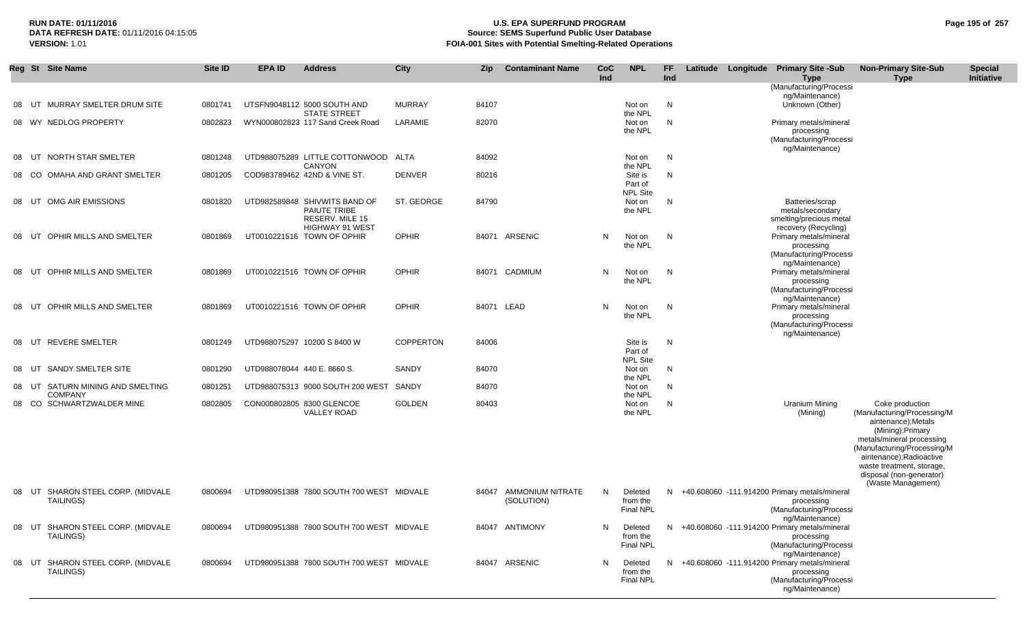## **RUN DATE: 01/11/2016 U.S. EPA SUPERFUND PROGRAM Page 195 of 257 Source: SEMS Superfund Public User Database VERSION:** 1.01 **FOIA-001 Sites with Potential Smelting-Related Operations**

|       | Reg St Site Name                                      | Site ID | <b>EPA ID</b>              | <b>Address</b>                                                                             | City             | Zip   | <b>Contaminant Name</b>               | CoC<br>Ind | <b>NPL</b>                              | FF.<br>Ind | Latitude | Longitude Primary Site -Sub<br><b>Type</b>                                                                  | <b>Non-Primary Site-Sub</b><br><b>Type</b>                                                                                                                                                                                                                      | <b>Special</b><br>Initiative |
|-------|-------------------------------------------------------|---------|----------------------------|--------------------------------------------------------------------------------------------|------------------|-------|---------------------------------------|------------|-----------------------------------------|------------|----------|-------------------------------------------------------------------------------------------------------------|-----------------------------------------------------------------------------------------------------------------------------------------------------------------------------------------------------------------------------------------------------------------|------------------------------|
|       |                                                       |         |                            |                                                                                            |                  |       |                                       |            |                                         |            |          | (Manufacturing/Processi<br>ng/Maintenance)                                                                  |                                                                                                                                                                                                                                                                 |                              |
| 08    | MURRAY SMELTER DRUM SITE<br>UT                        | 0801741 |                            | UTSFN9048112 5000 SOUTH AND<br><b>STATE STREET</b>                                         | <b>MURRAY</b>    | 84107 |                                       |            | Not on<br>the NPL                       | N          |          | Unknown (Other)                                                                                             |                                                                                                                                                                                                                                                                 |                              |
|       | 08 WY NEDLOG PROPERTY                                 | 0802823 |                            | WYN000802823 117 Sand Creek Road                                                           | LARAMIE          | 82070 |                                       |            | Not on<br>the NPL                       | N          |          | Primary metals/mineral<br>processing<br>(Manufacturing/Processi<br>ng/Maintenance)                          |                                                                                                                                                                                                                                                                 |                              |
| 08    | NORTH STAR SMELTER<br>UT                              | 0801248 |                            | UTD988075289 LITTLE COTTONWOOD ALTA<br><b>CANYON</b>                                       |                  | 84092 |                                       |            | Not on<br>the NPL                       | N          |          |                                                                                                             |                                                                                                                                                                                                                                                                 |                              |
| 08 CO | OMAHA AND GRANT SMELTER                               | 0801205 |                            | COD983789462 42ND & VINE ST.                                                               | <b>DENVER</b>    | 80216 |                                       |            | Site is<br>Part of<br><b>NPL Site</b>   | N          |          |                                                                                                             |                                                                                                                                                                                                                                                                 |                              |
| 08    | OMG AIR EMISSIONS<br>UT                               | 0801820 |                            | UTD982589848 SHIVWITS BAND OF<br>PAIUTE TRIBE<br>RESERV. MILE 15<br><b>HIGHWAY 91 WEST</b> | ST. GEORGE       | 84790 |                                       |            | Not on<br>the NPL                       | N          |          | Batteries/scrap<br>metals/secondary<br>smelting/precious metal<br>recovery (Recycling)                      |                                                                                                                                                                                                                                                                 |                              |
| 08    | OPHIR MILLS AND SMELTER<br>UT                         | 0801869 |                            | UT0010221516 TOWN OF OPHIR                                                                 | <b>OPHIR</b>     | 84071 | ARSENIC                               | N          | Not on<br>the NPL                       | N          |          | Primary metals/mineral<br>processing<br>(Manufacturing/Processi<br>ng/Maintenance)                          |                                                                                                                                                                                                                                                                 |                              |
| 08    | OPHIR MILLS AND SMELTER<br>UT                         | 0801869 |                            | UT0010221516 TOWN OF OPHIR                                                                 | <b>OPHIR</b>     | 84071 | CADMIUM                               | N          | Not on<br>the NPL                       | N          |          | Primary metals/mineral<br>processing<br>(Manufacturing/Processi<br>ng/Maintenance)                          |                                                                                                                                                                                                                                                                 |                              |
| 08    | OPHIR MILLS AND SMELTER<br>UT                         | 0801869 |                            | UT0010221516 TOWN OF OPHIR                                                                 | <b>OPHIR</b>     |       | 84071 LEAD                            | N          | Not on<br>the NPL                       | N          |          | Primary metals/mineral<br>processing<br>(Manufacturing/Processi<br>ng/Maintenance)                          |                                                                                                                                                                                                                                                                 |                              |
| 08 UT | <b>REVERE SMELTER</b>                                 | 0801249 |                            | UTD988075297 10200 S 8400 W                                                                | <b>COPPERTON</b> | 84006 |                                       |            | Site is<br>Part of<br>NPL Site          | N          |          |                                                                                                             |                                                                                                                                                                                                                                                                 |                              |
| 08    | SANDY SMELTER SITE<br>UT                              | 0801290 | UTD988078044 440 E.8660 S. |                                                                                            | SANDY            | 84070 |                                       |            | Not on<br>the NPL                       | N          |          |                                                                                                             |                                                                                                                                                                                                                                                                 |                              |
| 08 UT | SATURN MINING AND SMELTING<br><b>COMPANY</b>          | 0801251 |                            | UTD988075313 9000 SOUTH 200 WEST                                                           | SANDY            | 84070 |                                       |            | Not on<br>the NPL                       | N          |          |                                                                                                             |                                                                                                                                                                                                                                                                 |                              |
|       | 08 CO SCHWARTZWALDER MINE                             | 0802805 |                            | CON000802805 8300 GLENCOE<br><b>VALLEY ROAD</b>                                            | <b>GOLDEN</b>    | 80403 |                                       |            | Not on<br>the NPL                       | N          |          | Uranium Mining<br>(Mining)                                                                                  | Coke production<br>(Manufacturing/Processing/M<br>aintenance);Metals<br>(Mining); Primary<br>metals/mineral processing<br>(Manufacturing/Processing/M<br>aintenance);Radioactive<br>waste treatment, storage,<br>disposal (non-generator)<br>(Waste Management) |                              |
|       | 08 UT SHARON STEEL CORP. (MIDVALE<br><b>TAILINGS)</b> | 0800694 |                            | UTD980951388 7800 SOUTH 700 WEST MIDVALE                                                   |                  | 84047 | <b>AMMONIUM NITRATE</b><br>(SOLUTION) | N          | Deleted<br>from the<br><b>Final NPL</b> |            |          | N +40.608060 -111.914200 Primary metals/mineral<br>processing<br>(Manufacturing/Processi<br>ng/Maintenance) |                                                                                                                                                                                                                                                                 |                              |
|       | 08 UT SHARON STEEL CORP. (MIDVALE<br><b>TAILINGS)</b> | 0800694 |                            | UTD980951388 7800 SOUTH 700 WEST MIDVALE                                                   |                  |       | 84047 ANTIMONY                        | N.         | Deleted<br>from the<br>Final NPL        |            |          | N +40.608060 -111.914200 Primary metals/mineral<br>processing<br>(Manufacturing/Processi<br>ng/Maintenance) |                                                                                                                                                                                                                                                                 |                              |
|       | 08 UT SHARON STEEL CORP. (MIDVALE<br><b>TAILINGS)</b> | 0800694 |                            | UTD980951388 7800 SOUTH 700 WEST MIDVALE                                                   |                  |       | 84047 ARSENIC                         | N          | Deleted<br>from the<br><b>Final NPL</b> |            |          | N +40.608060 -111.914200 Primary metals/mineral<br>processing<br>(Manufacturing/Processi<br>ng/Maintenance) |                                                                                                                                                                                                                                                                 |                              |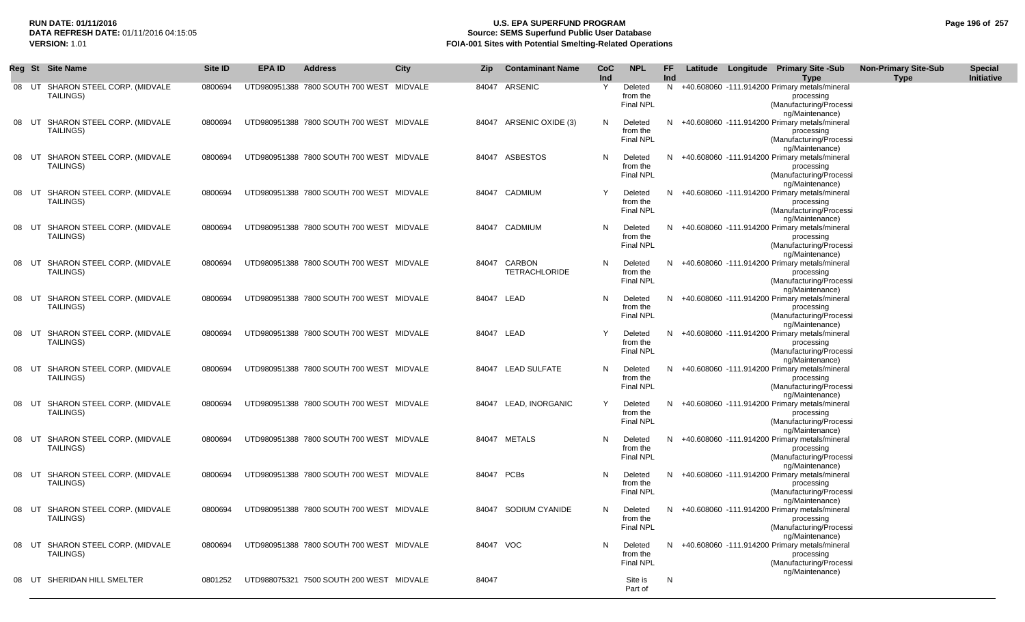## **RUN DATE: 01/11/2016 U.S. EPA SUPERFUND PROGRAM Page 196 of 257 Source: SEMS Superfund Public User Database VERSION:** 1.01 **FOIA-001 Sites with Potential Smelting-Related Operations**

|    | Reg St | <b>Site Name</b>                                      | Site ID | <b>EPA ID</b> | <b>Address</b>                                   | City | Zip        | <b>Contaminant Name</b>        | <b>CoC</b><br>Ind | <b>NPL</b>                              | FF<br>Ind |  | Latitude Longitude Primary Site -Sub<br><b>Type</b>                                                                          | <b>Non-Primary Site-Sub</b><br><b>Type</b> | <b>Special</b><br>Initiative |
|----|--------|-------------------------------------------------------|---------|---------------|--------------------------------------------------|------|------------|--------------------------------|-------------------|-----------------------------------------|-----------|--|------------------------------------------------------------------------------------------------------------------------------|--------------------------------------------|------------------------------|
| 08 | UT     | SHARON STEEL CORP. (MIDVALE<br>TAILINGS)              | 0800694 |               | UTD980951388 7800 SOUTH 700 WEST MIDVALE         |      | 84047      | ARSENIC                        | Y                 | Deleted<br>from the<br>Final NPL        |           |  | N +40.608060 -111.914200 Primary metals/mineral<br>processing<br>(Manufacturing/Processi<br>ng/Maintenance)                  |                                            |                              |
|    | 08 UT  | SHARON STEEL CORP. (MIDVALE<br>TAILINGS)              | 0800694 |               | UTD980951388 7800 SOUTH 700 WEST MIDVALE         |      |            | 84047 ARSENIC OXIDE (3)        | N                 | Deleted<br>from the<br><b>Final NPL</b> |           |  | N +40.608060 -111.914200 Primary metals/mineral<br>processing<br>(Manufacturing/Processi<br>ng/Maintenance)                  |                                            |                              |
|    |        | 08 UT SHARON STEEL CORP. (MIDVALE<br>TAILINGS)        | 0800694 |               | UTD980951388 7800 SOUTH 700 WEST MIDVALE         |      |            | 84047 ASBESTOS                 | N                 | Deleted<br>from the<br><b>Final NPL</b> |           |  | N +40.608060 -111.914200 Primary metals/mineral<br>processing<br>(Manufacturing/Processi<br>ng/Maintenance)                  |                                            |                              |
| 08 | UT     | SHARON STEEL CORP. (MIDVALE<br><b>TAILINGS)</b>       | 0800694 |               | UTD980951388 7800 SOUTH 700 WEST MIDVALE         |      |            | 84047 CADMIUM                  | Y                 | Deleted<br>from the<br><b>Final NPL</b> |           |  | N +40.608060 -111.914200 Primary metals/mineral<br>processing<br>(Manufacturing/Processi<br>ng/Maintenance)                  |                                            |                              |
|    |        | 08 UT SHARON STEEL CORP. (MIDVALE<br>TAILINGS)        | 0800694 |               | UTD980951388 7800 SOUTH 700 WEST MIDVALE         |      | 84047      | CADMIUM                        | N                 | Deleted<br>from the<br><b>Final NPL</b> | N.        |  | +40.608060 -111.914200 Primary metals/mineral<br>processing<br>(Manufacturing/Processi                                       |                                            |                              |
| 08 | UT     | SHARON STEEL CORP. (MIDVALE<br>TAILINGS)              | 0800694 |               | UTD980951388 7800 SOUTH 700 WEST MIDVALE         |      | 84047      | CARBON<br><b>TETRACHLORIDE</b> | N                 | Deleted<br>from the<br><b>Final NPL</b> | N.        |  | ng/Maintenance)<br>+40.608060 -111.914200 Primary metals/mineral<br>processing<br>(Manufacturing/Processi<br>ng/Maintenance) |                                            |                              |
|    | 08 UT  | SHARON STEEL CORP. (MIDVALE<br>TAILINGS)              | 0800694 |               | UTD980951388 7800 SOUTH 700 WEST MIDVALE         |      | 84047 LEAD |                                | N                 | Deleted<br>from the<br><b>Final NPL</b> | N.        |  | +40.608060 -111.914200 Primary metals/mineral<br>processing<br>(Manufacturing/Processi<br>ng/Maintenance)                    |                                            |                              |
|    | 08 UT  | SHARON STEEL CORP. (MIDVALE<br>TAILINGS)              | 0800694 |               | UTD980951388 7800 SOUTH 700 WEST MIDVALE         |      | 84047 LEAD |                                |                   | Deleted<br>from the<br><b>Final NPL</b> |           |  | N +40.608060 -111.914200 Primary metals/mineral<br>processing<br>(Manufacturing/Processi                                     |                                            |                              |
| 08 | UT     | SHARON STEEL CORP. (MIDVALE<br>TAILINGS)              | 0800694 |               | UTD980951388 7800 SOUTH 700 WEST MIDVALE         |      |            | 84047 LEAD SULFATE             | N                 | Deleted<br>from the<br><b>Final NPL</b> |           |  | ng/Maintenance)<br>N +40.608060 -111.914200 Primary metals/mineral<br>processing<br>(Manufacturing/Processi                  |                                            |                              |
|    | 08 UT  | SHARON STEEL CORP. (MIDVALE<br>TAILINGS)              | 0800694 |               | UTD980951388 7800 SOUTH 700 WEST MIDVALE         |      |            | 84047 LEAD, INORGANIC          | Υ                 | Deleted<br>from the<br><b>Final NPL</b> |           |  | ng/Maintenance)<br>N +40.608060 -111.914200 Primary metals/mineral<br>processing<br>(Manufacturing/Processi                  |                                            |                              |
|    | 08 UT  | SHARON STEEL CORP. (MIDVALE<br><b>TAILINGS)</b>       | 0800694 |               | UTD980951388 7800 SOUTH 700 WEST MIDVALE         |      |            | 84047 METALS                   | N                 | Deleted<br>from the<br><b>Final NPL</b> |           |  | ng/Maintenance)<br>N +40.608060 -111.914200 Primary metals/mineral<br>processing<br>(Manufacturing/Processi                  |                                            |                              |
|    |        | 08 UT SHARON STEEL CORP. (MIDVALE<br>TAILINGS)        | 0800694 |               | UTD980951388 7800 SOUTH 700 WEST MIDVALE         |      | 84047 PCBs |                                | N                 | Deleted<br>from the<br><b>Final NPL</b> |           |  | ng/Maintenance)<br>N +40.608060 -111.914200 Primary metals/mineral<br>processing<br>(Manufacturing/Processi                  |                                            |                              |
| 08 | UT     | SHARON STEEL CORP. (MIDVALE<br>TAILINGS)              | 0800694 |               | UTD980951388 7800 SOUTH 700 WEST MIDVALE         |      |            | 84047 SODIUM CYANIDE           | N                 | Deleted<br>from the<br>Final NPL        |           |  | ng/Maintenance)<br>N +40.608060 -111.914200 Primary metals/mineral<br>processing<br>(Manufacturing/Processi                  |                                            |                              |
|    |        | 08 UT SHARON STEEL CORP. (MIDVALE<br><b>TAILINGS)</b> | 0800694 |               | UTD980951388 7800 SOUTH 700 WEST MIDVALE         |      | 84047 VOC  |                                | N.                | Deleted<br>from the<br><b>Final NPL</b> |           |  | ng/Maintenance)<br>N +40.608060 -111.914200 Primary metals/mineral<br>processing<br>(Manufacturing/Processi                  |                                            |                              |
|    |        | 08 UT SHERIDAN HILL SMELTER                           |         |               | 0801252 UTD988075321 7500 SOUTH 200 WEST MIDVALE |      | 84047      |                                |                   | Site is<br>Part of                      | N         |  | ng/Maintenance)                                                                                                              |                                            |                              |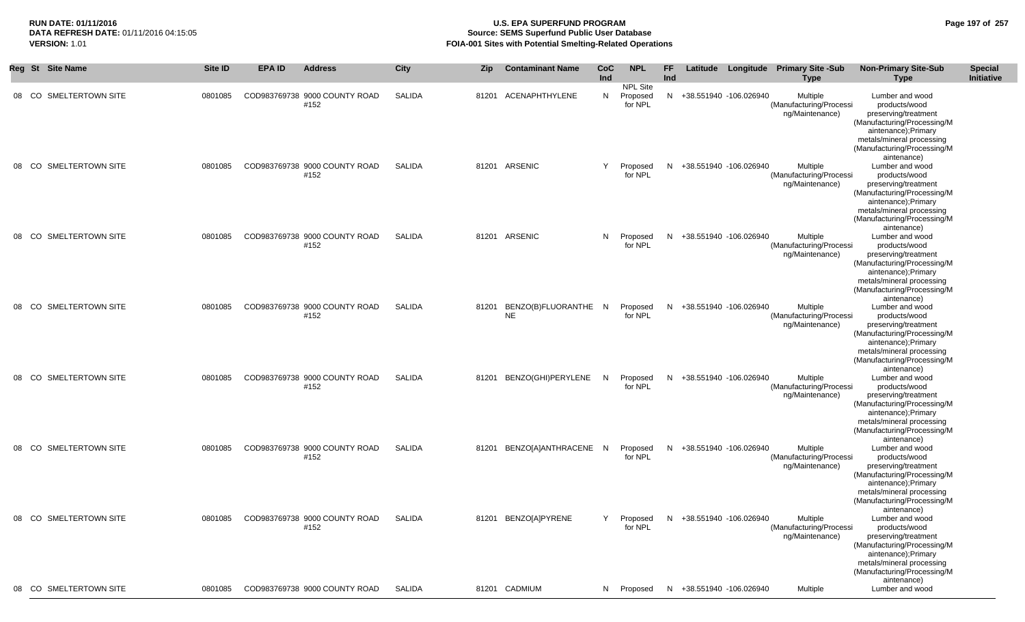## **RUN DATE: 01/11/2016 U.S. EPA SUPERFUND PROGRAM Page 197 of 257 Source: SEMS Superfund Public User Database VERSION:** 1.01 **FOIA-001 Sites with Potential Smelting-Related Operations**

|           | Reg St Site Name       | Site ID | EPA ID | <b>Address</b>                        | <b>City</b>   | Zip | <b>Contaminant Name</b>                 | CoC<br>Ind | <b>NPL</b><br>NPL Site | FF.<br>Ind |                          | Latitude Longitude Primary Site -Sub<br><b>Type</b>    | <b>Non-Primary Site-Sub</b><br>Type                                                                                                                                                        | <b>Special</b><br>Initiative |
|-----------|------------------------|---------|--------|---------------------------------------|---------------|-----|-----------------------------------------|------------|------------------------|------------|--------------------------|--------------------------------------------------------|--------------------------------------------------------------------------------------------------------------------------------------------------------------------------------------------|------------------------------|
|           | 08 CO SMELTERTOWN SITE | 0801085 |        | COD983769738 9000 COUNTY ROAD<br>#152 | <b>SALIDA</b> |     | 81201 ACENAPHTHYLENE                    | N          | Proposed<br>for NPL    |            | N +38.551940 -106.026940 | Multiple<br>(Manufacturing/Processi<br>ng/Maintenance) | Lumber and wood<br>products/wood<br>preserving/treatment<br>(Manufacturing/Processing/M<br>aintenance); Primary<br>metals/mineral processing<br>(Manufacturing/Processing/M<br>aintenance) |                              |
|           | 08 CO SMELTERTOWN SITE | 0801085 |        | COD983769738 9000 COUNTY ROAD<br>#152 | <b>SALIDA</b> |     | 81201 ARSENIC                           | Y          | Proposed<br>for NPL    |            | N +38.551940 -106.026940 | Multiple<br>(Manufacturing/Processi<br>ng/Maintenance) | Lumber and wood<br>products/wood<br>preserving/treatment<br>(Manufacturing/Processing/M<br>aintenance); Primary<br>metals/mineral processing<br>(Manufacturing/Processing/M<br>aintenance) |                              |
|           | 08 CO SMELTERTOWN SITE | 0801085 |        | COD983769738 9000 COUNTY ROAD<br>#152 | <b>SALIDA</b> |     | 81201 ARSENIC                           | N          | Proposed<br>for NPL    |            | N +38.551940 -106.026940 | Multiple<br>(Manufacturing/Processi<br>ng/Maintenance) | Lumber and wood<br>products/wood<br>preserving/treatment<br>(Manufacturing/Processing/M<br>aintenance);Primary<br>metals/mineral processing<br>(Manufacturing/Processing/M<br>aintenance)  |                              |
| 08 CO     | SMELTERTOWN SITE       | 0801085 |        | COD983769738 9000 COUNTY ROAD<br>#152 | <b>SALIDA</b> |     | 81201 BENZO(B)FLUORANTHE N<br><b>NE</b> |            | Proposed<br>for NPL    |            | N +38.551940 -106.026940 | Multiple<br>(Manufacturing/Processi<br>ng/Maintenance) | Lumber and wood<br>products/wood<br>preserving/treatment<br>(Manufacturing/Processing/M<br>aintenance);Primary<br>metals/mineral processing<br>(Manufacturing/Processing/M<br>aintenance)  |                              |
|           | 08 CO SMELTERTOWN SITE | 0801085 |        | COD983769738 9000 COUNTY ROAD<br>#152 | <b>SALIDA</b> |     | 81201 BENZO(GHI)PERYLENE                | N          | Proposed<br>for NPL    | N          | +38.551940 -106.026940   | Multiple<br>(Manufacturing/Processi<br>ng/Maintenance) | Lumber and wood<br>products/wood<br>preserving/treatment<br>(Manufacturing/Processing/M<br>aintenance); Primary<br>metals/mineral processing<br>(Manufacturing/Processing/M<br>aintenance) |                              |
| .co<br>08 | SMELTERTOWN SITE       | 0801085 |        | COD983769738 9000 COUNTY ROAD<br>#152 | SALIDA        |     | 81201 BENZO[A]ANTHRACENE N              |            | Proposed<br>for NPL    | N.         | +38.551940 -106.026940   | Multiple<br>(Manufacturing/Processi<br>ng/Maintenance) | Lumber and wood<br>products/wood<br>preserving/treatment<br>(Manufacturing/Processing/M<br>aintenance); Primary<br>metals/mineral processing<br>(Manufacturing/Processing/M<br>aintenance) |                              |
|           | 08 CO SMELTERTOWN SITE | 0801085 |        | COD983769738 9000 COUNTY ROAD<br>#152 | <b>SALIDA</b> |     | 81201 BENZO[A]PYRENE                    | Y          | Proposed<br>for NPL    | N.         | +38.551940 -106.026940   | Multiple<br>(Manufacturing/Processi<br>ng/Maintenance) | Lumber and wood<br>products/wood<br>preserving/treatment<br>(Manufacturing/Processing/M<br>aintenance);Primary<br>metals/mineral processing<br>(Manufacturing/Processing/M<br>aintenance)  |                              |
|           | 08 CO SMELTERTOWN SITE | 0801085 |        | COD983769738 9000 COUNTY ROAD         | SALIDA        |     | 81201 CADMIUM                           | N          | Proposed               | N.         | +38.551940 -106.026940   | Multiple                                               | Lumber and wood                                                                                                                                                                            |                              |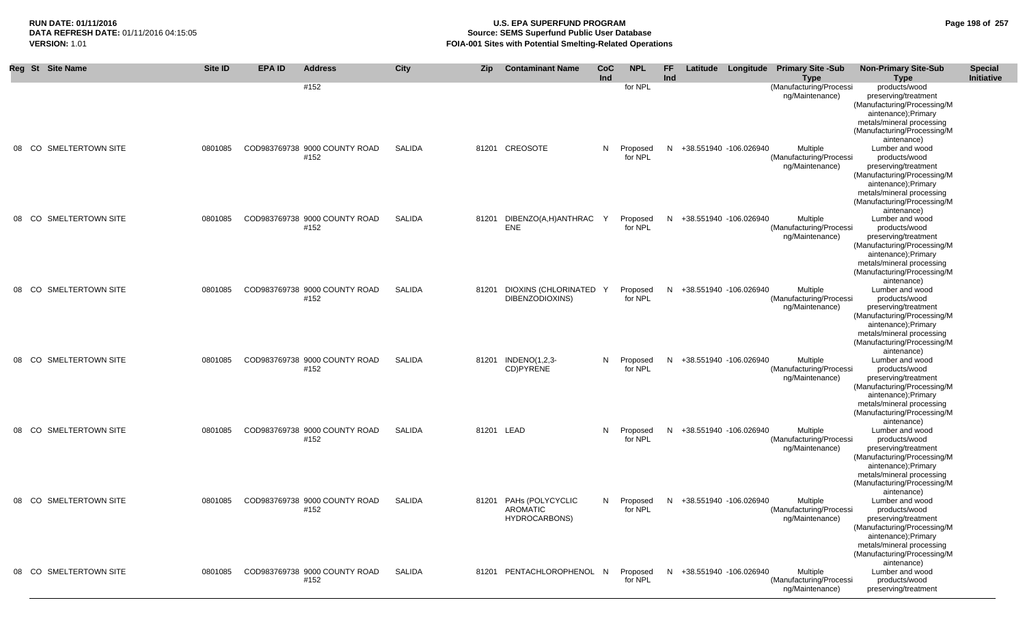## **RUN DATE: 01/11/2016 U.S. EPA SUPERFUND PROGRAM Page 198 of 257 Source: SEMS Superfund Public User Database VERSION:** 1.01 **FOIA-001 Sites with Potential Smelting-Related Operations**

|    |       | Reg St Site Name        | <b>Site ID</b> | <b>EPA ID</b> | <b>Address</b>                        | <b>City</b>   | Zip        | <b>Contaminant Name</b>                             | CoC<br>Ind | <b>NPL</b>            | <b>FF</b><br>Ind |                          | Latitude Longitude Primary Site -Sub<br><b>Type</b>    | <b>Non-Primary Site-Sub</b><br>Type                                                                                                                                                                       | <b>Special</b><br>Initiative |
|----|-------|-------------------------|----------------|---------------|---------------------------------------|---------------|------------|-----------------------------------------------------|------------|-----------------------|------------------|--------------------------|--------------------------------------------------------|-----------------------------------------------------------------------------------------------------------------------------------------------------------------------------------------------------------|------------------------------|
|    |       |                         |                |               | #152                                  |               |            |                                                     |            | for NPL               |                  |                          | (Manufacturing/Processi<br>ng/Maintenance)             | products/wood<br>preserving/treatment<br>(Manufacturing/Processing/M<br>aintenance);Primary<br>metals/mineral processing<br>(Manufacturing/Processing/M                                                   |                              |
| 08 | CO.   | SMELTERTOWN SITE        | 0801085        |               | COD983769738 9000 COUNTY ROAD<br>#152 | SALIDA        |            | 81201 CREOSOTE                                      | N.         | Proposed<br>for NPL   |                  | N +38.551940 -106.026940 | Multiple<br>(Manufacturing/Processi<br>ng/Maintenance) | aintenance)<br>Lumber and wood<br>products/wood<br>preserving/treatment<br>(Manufacturing/Processing/M<br>aintenance); Primary<br>metals/mineral processing<br>(Manufacturing/Processing/M<br>aintenance) |                              |
| 08 | CO.   | SMELTERTOWN SITE        | 0801085        |               | COD983769738 9000 COUNTY ROAD<br>#152 | SALIDA        | 81201      | DIBENZO(A,H)ANTHRAC<br><b>ENE</b>                   | Y          | Proposed<br>for NPL   | N.               | +38.551940 -106.026940   | Multiple<br>(Manufacturing/Processi<br>ng/Maintenance) | Lumber and wood<br>products/wood<br>preserving/treatment<br>(Manufacturing/Processing/M<br>aintenance); Primary<br>metals/mineral processing<br>(Manufacturing/Processing/M<br>aintenance)                |                              |
|    | 08 CO | SMELTERTOWN SITE        | 0801085        |               | COD983769738 9000 COUNTY ROAD<br>#152 | <b>SALIDA</b> | 81201      | DIOXINS (CHLORINATED<br>DIBENZODIOXINS)             | γ.         | Proposed<br>for NPL   |                  | N +38.551940 -106.026940 | Multiple<br>(Manufacturing/Processi<br>ng/Maintenance) | Lumber and wood<br>products/wood<br>preserving/treatment<br>(Manufacturing/Processing/M<br>aintenance);Primary<br>metals/mineral processing<br>(Manufacturing/Processing/M<br>aintenance)                 |                              |
| 08 | CO.   | SMELTERTOWN SITE        | 0801085        |               | COD983769738 9000 COUNTY ROAD<br>#152 | <b>SALIDA</b> |            | 81201 INDENO(1,2,3-<br>CD)PYRENE                    |            | N Proposed<br>for NPL |                  | N +38.551940 -106.026940 | Multiple<br>(Manufacturing/Processi<br>ng/Maintenance) | Lumber and wood<br>products/wood<br>preserving/treatment<br>(Manufacturing/Processing/M<br>aintenance);Primary<br>metals/mineral processing<br>(Manufacturing/Processing/M<br>aintenance)                 |                              |
| 08 | CO.   | <b>SMELTERTOWN SITE</b> | 0801085        |               | COD983769738 9000 COUNTY ROAD<br>#152 | <b>SALIDA</b> | 81201 LEAD |                                                     | N.         | Proposed<br>for NPL   | N                | +38.551940 -106.026940   | Multiple<br>(Manufacturing/Processi<br>ng/Maintenance) | Lumber and wood<br>products/wood<br>preserving/treatment<br>(Manufacturing/Processing/M<br>aintenance);Primary<br>metals/mineral processing<br>(Manufacturing/Processing/M                                |                              |
|    | 08 CO | SMELTERTOWN SITE        | 0801085        |               | COD983769738 9000 COUNTY ROAD<br>#152 | <b>SALIDA</b> |            | 81201 PAHs (POLYCYCLIC<br>AROMATIC<br>HYDROCARBONS) |            | N Proposed<br>for NPL |                  | N +38.551940 -106.026940 | Multiple<br>(Manufacturing/Processi<br>ng/Maintenance) | aintenance)<br>Lumber and wood<br>products/wood<br>preserving/treatment<br>(Manufacturing/Processing/M<br>aintenance);Primary<br>metals/mineral processing<br>(Manufacturing/Processing/M<br>aintenance)  |                              |
| 08 | CO.   | SMELTERTOWN SITE        | 0801085        |               | COD983769738 9000 COUNTY ROAD<br>#152 | SALIDA        |            | 81201 PENTACHLOROPHENOL N                           |            | Proposed<br>for NPL   |                  | N +38.551940 -106.026940 | Multiple<br>(Manufacturing/Processi<br>ng/Maintenance) | Lumber and wood<br>products/wood<br>preserving/treatment                                                                                                                                                  |                              |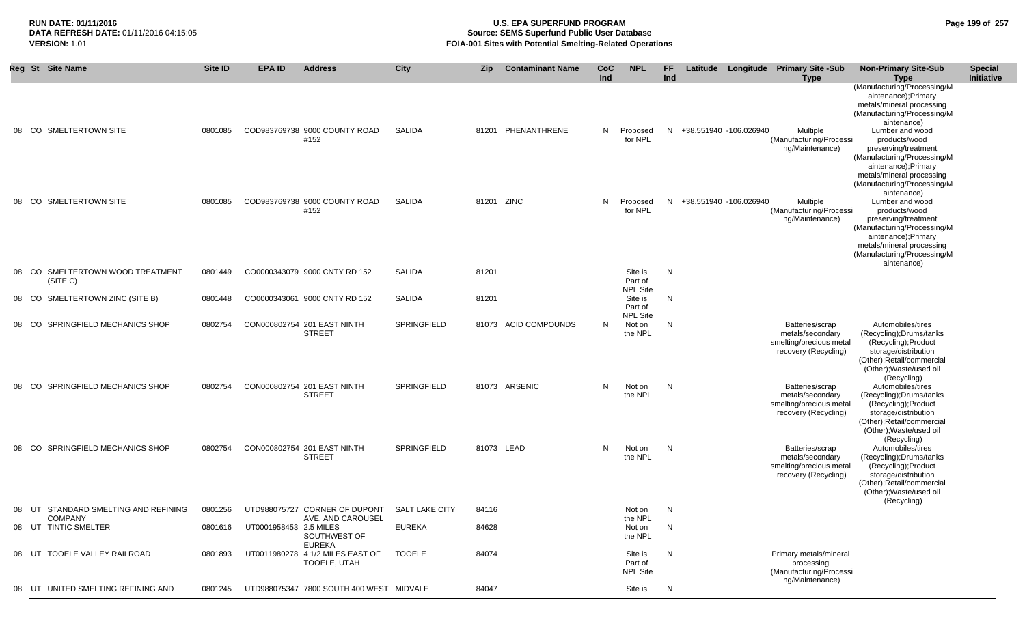## **RUN DATE: 01/11/2016 U.S. EPA SUPERFUND PROGRAM Page 199 of 257 Source: SEMS Superfund Public User Database VERSION:** 1.01 **FOIA-001 Sites with Potential Smelting-Related Operations**

|    | Reg St Site Name                                    | <b>Site ID</b> | <b>EPA ID</b>          | <b>Address</b>                                     | City               | <b>Zip</b> | <b>Contaminant Name</b> | CoC<br>Ind | <b>NPL</b>                            | <b>FF</b><br>Ind |                          | Latitude Longitude Primary Site -Sub<br><b>Type</b>                                    | <b>Non-Primary Site-Sub</b><br><b>Type</b>                                                                                                                                                                                                                                                                  | <b>Special</b><br><b>Initiative</b> |
|----|-----------------------------------------------------|----------------|------------------------|----------------------------------------------------|--------------------|------------|-------------------------|------------|---------------------------------------|------------------|--------------------------|----------------------------------------------------------------------------------------|-------------------------------------------------------------------------------------------------------------------------------------------------------------------------------------------------------------------------------------------------------------------------------------------------------------|-------------------------------------|
|    | 08 CO SMELTERTOWN SITE                              | 0801085        |                        | COD983769738 9000 COUNTY ROAD<br>#152              | <b>SALIDA</b>      |            | 81201 PHENANTHRENE      | N.         | Proposed<br>for NPL                   |                  | N +38.551940 -106.026940 | Multiple<br>(Manufacturing/Processi<br>ng/Maintenance)                                 | (Manufacturing/Processing/M<br>aintenance);Primary<br>metals/mineral processing<br>(Manufacturing/Processing/M<br>aintenance)<br>Lumber and wood<br>products/wood<br>preserving/treatment<br>(Manufacturing/Processing/M<br>aintenance);Primary<br>metals/mineral processing<br>(Manufacturing/Processing/M |                                     |
|    | 08 CO SMELTERTOWN SITE                              | 0801085        |                        | COD983769738 9000 COUNTY ROAD<br>#152              | <b>SALIDA</b>      | 81201 ZINC |                         | N.         | Proposed<br>for NPL                   |                  | N +38.551940 -106.026940 | Multiple<br>(Manufacturing/Processi<br>ng/Maintenance)                                 | aintenance)<br>Lumber and wood<br>products/wood<br>preserving/treatment<br>(Manufacturing/Processing/M<br>aintenance);Primary<br>metals/mineral processing<br>(Manufacturing/Processing/M<br>aintenance)                                                                                                    |                                     |
|    | 08 CO SMELTERTOWN WOOD TREATMENT<br>(SITE C)        | 0801449        |                        | CO0000343079 9000 CNTY RD 152                      | SALIDA             | 81201      |                         |            | Site is<br>Part of<br><b>NPL Site</b> | N                |                          |                                                                                        |                                                                                                                                                                                                                                                                                                             |                                     |
|    | 08 CO<br>SMELTERTOWN ZINC (SITE B)                  | 0801448        |                        | CO0000343061 9000 CNTY RD 152                      | <b>SALIDA</b>      | 81201      |                         |            | Site is<br>Part of                    | N                |                          |                                                                                        |                                                                                                                                                                                                                                                                                                             |                                     |
| 08 | SPRINGFIELD MECHANICS SHOP<br>- CO                  | 0802754        |                        | CON000802754 201 EAST NINTH<br><b>STREET</b>       | SPRINGFIELD        |            | 81073 ACID COMPOUNDS    | N          | <b>NPL Site</b><br>Not on<br>the NPL  | N                |                          | Batteries/scrap<br>metals/secondary<br>smelting/precious metal<br>recovery (Recycling) | Automobiles/tires<br>(Recycling); Drums/tanks<br>(Recycling); Product<br>storage/distribution<br>(Other); Retail/commercial<br>(Other); Waste/used oil<br>(Recycling)                                                                                                                                       |                                     |
|    | SPRINGFIELD MECHANICS SHOP<br>08 CO                 | 0802754        |                        | CON000802754 201 EAST NINTH<br><b>STREET</b>       | SPRINGFIELD        |            | 81073 ARSENIC           | N.         | Not on<br>the NPL                     | N                |                          | Batteries/scrap<br>metals/secondary<br>smelting/precious metal<br>recovery (Recycling) | Automobiles/tires<br>(Recycling); Drums/tanks<br>(Recycling); Product<br>storage/distribution<br>(Other); Retail/commercial<br>(Other); Waste/used oil<br>(Recycling)                                                                                                                                       |                                     |
|    | SPRINGFIELD MECHANICS SHOP<br>08 CO                 | 0802754        |                        | CON000802754 201 EAST NINTH<br><b>STREET</b>       | <b>SPRINGFIELD</b> | 81073 LEAD |                         | N          | Not on<br>the NPL                     | N                |                          | Batteries/scrap<br>metals/secondary<br>smelting/precious metal<br>recovery (Recycling) | Automobiles/tires<br>(Recycling); Drums/tanks<br>(Recycling); Product<br>storage/distribution<br>(Other); Retail/commercial<br>(Other); Waste/used oil                                                                                                                                                      |                                     |
| 08 | UT STANDARD SMELTING AND REFINING<br><b>COMPANY</b> | 0801256        |                        | UTD988075727 CORNER OF DUPONT<br>AVE. AND CAROUSEL | SALT LAKE CITY     | 84116      |                         |            | Not on<br>the NPL                     | N                |                          |                                                                                        | (Recycling)                                                                                                                                                                                                                                                                                                 |                                     |
|    | 08 UT TINTIC SMELTER                                | 0801616        | UT0001958453 2.5 MILES | SOUTHWEST OF<br>EUREKA                             | <b>EUREKA</b>      | 84628      |                         |            | Not on<br>the NPL                     | N                |                          |                                                                                        |                                                                                                                                                                                                                                                                                                             |                                     |
|    | TOOELE VALLEY RAILROAD<br>08 UT                     | 0801893        |                        | UT0011980278 4 1/2 MILES EAST OF<br>TOOELE, UTAH   | <b>TOOELE</b>      | 84074      |                         |            | Site is<br>Part of<br><b>NPL Site</b> | N                |                          | Primary metals/mineral<br>processing<br>(Manufacturing/Processi<br>ng/Maintenance)     |                                                                                                                                                                                                                                                                                                             |                                     |
| 08 | UNITED SMELTING REFINING AND<br>UT                  | 0801245        |                        | UTD988075347 7800 SOUTH 400 WEST MIDVALE           |                    | 84047      |                         |            | Site is                               | N                |                          |                                                                                        |                                                                                                                                                                                                                                                                                                             |                                     |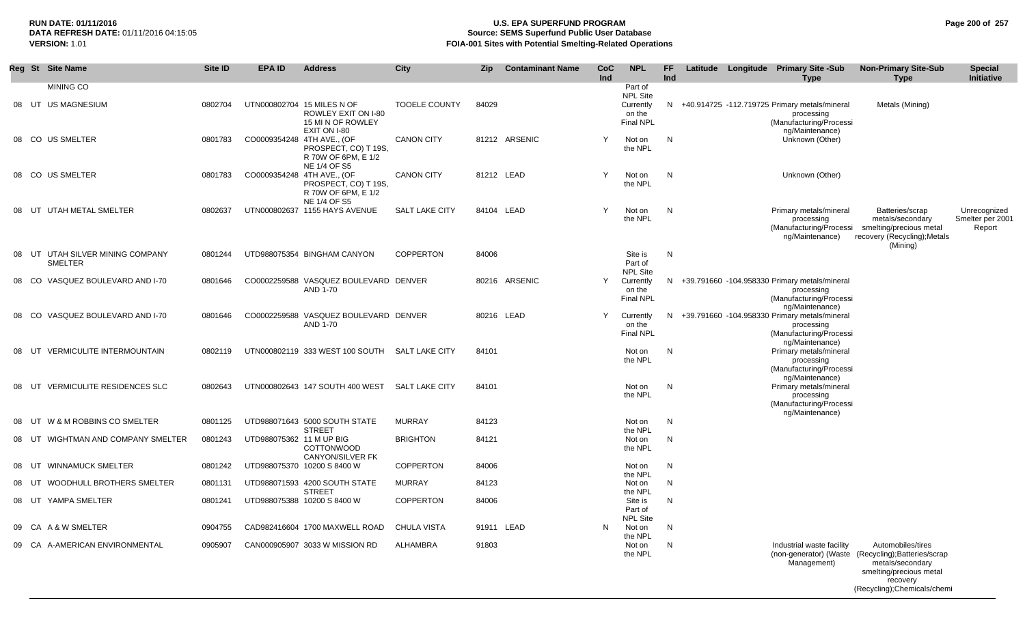## **RUN DATE: 01/11/2016 U.S. EPA SUPERFUND PROGRAM Page 200 of 257 Source: SEMS Superfund Public User Database VERSION:** 1.01 **FOIA-001 Sites with Potential Smelting-Related Operations**

|       | Reg St Site Name                                   | Site ID | <b>EPA ID</b>              | <b>Address</b>                                                                         | <b>City</b>           | <b>Zip</b> | <b>Contaminant Name</b> | CoC<br>Ind | <b>NPL</b>                                                 | FF.<br>Ind   | Latitude Longitude Primary Site -Sub<br><b>Type</b>                                                         | <b>Non-Primary Site-Sub</b><br><b>Type</b>                                                                                                                          | <b>Special</b><br>Initiative               |
|-------|----------------------------------------------------|---------|----------------------------|----------------------------------------------------------------------------------------|-----------------------|------------|-------------------------|------------|------------------------------------------------------------|--------------|-------------------------------------------------------------------------------------------------------------|---------------------------------------------------------------------------------------------------------------------------------------------------------------------|--------------------------------------------|
|       | <b>MINING CO</b>                                   |         |                            |                                                                                        |                       |            |                         |            | Part of                                                    |              |                                                                                                             |                                                                                                                                                                     |                                            |
|       | 08 UT US MAGNESIUM                                 | 0802704 |                            | UTN000802704 15 MILES N OF<br>ROWLEY EXIT ON I-80<br>15 MI N OF ROWLEY<br>EXIT ON I-80 | <b>TOOELE COUNTY</b>  | 84029      |                         |            | <b>NPL Site</b><br>Currently<br>on the<br><b>Final NPL</b> | N.           | +40.914725 -112.719725 Primary metals/mineral<br>processing<br>(Manufacturing/Processi<br>ng/Maintenance)   | Metals (Mining)                                                                                                                                                     |                                            |
|       | 08 CO US SMELTER                                   | 0801783 | CO0009354248 4TH AVE., (OF | PROSPECT, CO) T 19S,<br>R 70W OF 6PM, E 1/2<br>NE 1/4 OF S5                            | <b>CANON CITY</b>     |            | 81212 ARSENIC           | Y          | Not on<br>the NPL                                          | N            | Unknown (Other)                                                                                             |                                                                                                                                                                     |                                            |
|       | 08 CO US SMELTER                                   | 0801783 | CO0009354248 4TH AVE., (OF | PROSPECT, CO) T 19S,<br>R 70W OF 6PM, E 1/2<br>NE 1/4 OF S5                            | <b>CANON CITY</b>     |            | 81212 LEAD              |            | Not on<br>the NPL                                          | N            | Unknown (Other)                                                                                             |                                                                                                                                                                     |                                            |
| 08 UT | UTAH METAL SMELTER                                 | 0802637 |                            | UTN000802637 1155 HAYS AVENUE                                                          | <b>SALT LAKE CITY</b> |            | 84104 LEAD              | Y          | Not on<br>the NPL                                          | N            | Primary metals/mineral<br>processing<br>(Manufacturing/Processi<br>ng/Maintenance)                          | Batteries/scrap<br>metals/secondary<br>smelting/precious metal<br>recovery (Recycling); Metals<br>(Mining)                                                          | Unrecognized<br>Smelter per 2001<br>Report |
|       | 08 UT UTAH SILVER MINING COMPANY<br><b>SMELTER</b> | 0801244 |                            | UTD988075354 BINGHAM CANYON                                                            | <b>COPPERTON</b>      | 84006      |                         |            | Site is<br>Part of<br><b>NPL Site</b>                      | $\mathsf{N}$ |                                                                                                             |                                                                                                                                                                     |                                            |
|       | 08 CO VASQUEZ BOULEVARD AND I-70                   | 0801646 |                            | CO0002259588 VASQUEZ BOULEVARD DENVER<br>AND 1-70                                      |                       |            | 80216 ARSENIC           | Y          | Currently<br>on the<br><b>Final NPL</b>                    |              | N +39.791660 -104.958330 Primary metals/mineral<br>processing<br>(Manufacturing/Processi<br>ng/Maintenance) |                                                                                                                                                                     |                                            |
| 08 CO | VASQUEZ BOULEVARD AND I-70                         | 0801646 |                            | CO0002259588 VASQUEZ BOULEVARD DENVER<br>AND 1-70                                      |                       |            | 80216 LEAD              | Y          | Currently<br>on the<br><b>Final NPL</b>                    | N            | +39.791660 -104.958330 Primary metals/mineral<br>processing<br>(Manufacturing/Processi<br>ng/Maintenance)   |                                                                                                                                                                     |                                            |
| 08 UT | <b>VERMICULITE INTERMOUNTAIN</b>                   | 0802119 |                            | UTN000802119 333 WEST 100 SOUTH                                                        | SALT LAKE CITY        | 84101      |                         |            | Not on<br>the NPL                                          | N            | Primary metals/mineral<br>processing<br>(Manufacturing/Processi<br>ng/Maintenance)                          |                                                                                                                                                                     |                                            |
|       | 08 UT VERMICULITE RESIDENCES SLC                   | 0802643 |                            | UTN000802643 147 SOUTH 400 WEST                                                        | <b>SALT LAKE CITY</b> | 84101      |                         |            | Not on<br>the NPL                                          | N            | Primary metals/mineral<br>processing<br>(Manufacturing/Processi<br>ng/Maintenance)                          |                                                                                                                                                                     |                                            |
| 08 UT | W & M ROBBINS CO SMELTER                           | 0801125 |                            | UTD988071643 5000 SOUTH STATE                                                          | <b>MURRAY</b>         | 84123      |                         |            | Not on                                                     | N            |                                                                                                             |                                                                                                                                                                     |                                            |
| 08 UT | WIGHTMAN AND COMPANY SMELTER                       | 0801243 | UTD988075362 11 M UP BIG   | <b>STREET</b><br><b>COTTONWOOD</b>                                                     | <b>BRIGHTON</b>       | 84121      |                         |            | the NPL<br>Not on<br>the NPL                               | N            |                                                                                                             |                                                                                                                                                                     |                                            |
| 08 UT | <b>WINNAMUCK SMELTER</b>                           | 0801242 |                            | CANYON/SILVER FK<br>UTD988075370 10200 S 8400 W                                        | <b>COPPERTON</b>      | 84006      |                         |            | Not on                                                     | N            |                                                                                                             |                                                                                                                                                                     |                                            |
| 08 UT | WOODHULL BROTHERS SMELTER                          | 0801131 |                            | UTD988071593 4200 SOUTH STATE                                                          | <b>MURRAY</b>         | 84123      |                         |            | the NPL<br>Not on                                          | N            |                                                                                                             |                                                                                                                                                                     |                                            |
|       | 08 UT YAMPA SMELTER                                | 0801241 |                            | <b>STREET</b><br>UTD988075388 10200 S 8400 W                                           | <b>COPPERTON</b>      | 84006      |                         |            | the NPL<br>Site is<br>Part of<br><b>NPL Site</b>           | N            |                                                                                                             |                                                                                                                                                                     |                                            |
|       | 09 CA A & W SMELTER                                | 0904755 |                            | CAD982416604 1700 MAXWELL ROAD                                                         | <b>CHULA VISTA</b>    |            | 91911 LEAD              | N          | Not on                                                     | N            |                                                                                                             |                                                                                                                                                                     |                                            |
|       | 09 CA A-AMERICAN ENVIRONMENTAL                     | 0905907 |                            | CAN000905907 3033 W MISSION RD                                                         | ALHAMBRA              | 91803      |                         |            | the NPL<br>Not on<br>the NPL                               | N            | Industrial waste facility<br>Management)                                                                    | Automobiles/tires<br>(non-generator) (Waste (Recycling); Batteries/scrap<br>metals/secondary<br>smelting/precious metal<br>recovery<br>(Recycling); Chemicals/chemi |                                            |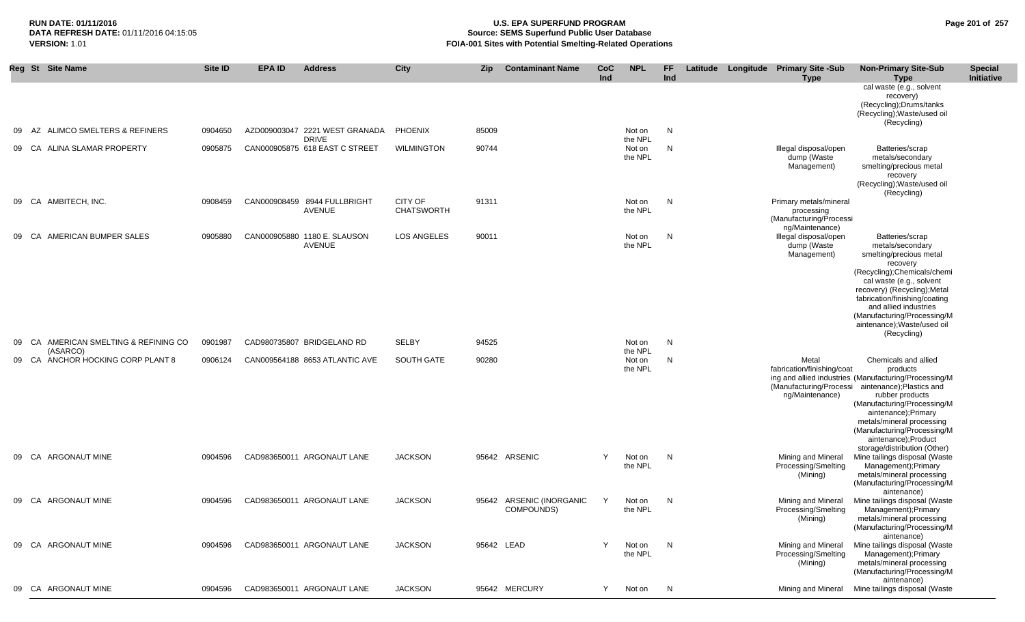## **RUN DATE: 01/11/2016 U.S. EPA SUPERFUND PROGRAM Page 201 of 257 Source: SEMS Superfund Public User Database VERSION:** 1.01 **FOIA-001 Sites with Potential Smelting-Related Operations**

|    |       | Reg St Site Name                              | Site ID | EPA ID | <b>Address</b>                                         | City                                | <b>Zip</b> | <b>Contaminant Name</b>                | <b>CoC</b><br>Ind | <b>NPL</b>                   | FF<br>Ind | Latitude Longitude Primary Site -Sub<br><b>Type</b>                                | <b>Non-Primary Site-Sub</b><br>Type                                                                                                                                                                                                                                                 | <b>Special</b><br>Initiative |
|----|-------|-----------------------------------------------|---------|--------|--------------------------------------------------------|-------------------------------------|------------|----------------------------------------|-------------------|------------------------------|-----------|------------------------------------------------------------------------------------|-------------------------------------------------------------------------------------------------------------------------------------------------------------------------------------------------------------------------------------------------------------------------------------|------------------------------|
|    |       |                                               |         |        |                                                        |                                     |            |                                        |                   |                              |           |                                                                                    | cal waste (e.g., solvent<br>recovery)<br>(Recycling); Drums/tanks<br>(Recycling); Waste/used oil<br>(Recycling)                                                                                                                                                                     |                              |
|    | 09 AZ | ALIMCO SMELTERS & REFINERS                    | 0904650 |        | AZD009003047 2221 WEST GRANADA PHOENIX<br><b>DRIVE</b> |                                     | 85009      |                                        |                   | Not on<br>the NPL            | N         |                                                                                    |                                                                                                                                                                                                                                                                                     |                              |
|    | 09 CA | ALINA SLAMAR PROPERTY                         | 0905875 |        | CAN000905875 618 EAST C STREET                         | <b>WILMINGTON</b>                   | 90744      |                                        |                   | Not on<br>the NPL            | N         | Illegal disposal/open<br>dump (Waste<br>Management)                                | Batteries/scrap<br>metals/secondary<br>smelting/precious metal<br>recovery<br>(Recycling); Waste/used oil                                                                                                                                                                           |                              |
|    |       | 09 CA AMBITECH, INC.                          | 0908459 |        | CAN000908459 8944 FULLBRIGHT<br>AVENUE                 | <b>CITY OF</b><br><b>CHATSWORTH</b> | 91311      |                                        |                   | Not on<br>the NPL            | N         | Primary metals/mineral<br>processing<br>(Manufacturing/Processi<br>ng/Maintenance) | (Recycling)                                                                                                                                                                                                                                                                         |                              |
|    | 09 CA | AMERICAN BUMPER SALES                         | 0905880 |        | CAN000905880 1180 E. SLAUSON<br>AVENUE                 | <b>LOS ANGELES</b>                  | 90011      |                                        |                   | Not on<br>the NPL            | N         | Illegal disposal/open<br>dump (Waste<br>Management)                                | Batteries/scrap<br>metals/secondary<br>smelting/precious metal<br>recovery<br>(Recycling); Chemicals/chemi<br>cal waste (e.g., solvent<br>recovery) (Recycling); Metal<br>fabrication/finishing/coating                                                                             |                              |
| 09 |       | CA AMERICAN SMELTING & REFINING CO            | 0901987 |        | CAD980735807 BRIDGELAND RD                             | <b>SELBY</b>                        | 94525      |                                        |                   | Not on                       | N         |                                                                                    | and allied industries<br>(Manufacturing/Processing/M<br>aintenance); Waste/used oil<br>(Recycling)                                                                                                                                                                                  |                              |
|    |       | (ASARCO)<br>09 CA ANCHOR HOCKING CORP PLANT 8 | 0906124 |        | CAN009564188 8653 ATLANTIC AVE                         | SOUTH GATE                          | 90280      |                                        |                   | the NPL<br>Not on<br>the NPL | N         | Metal<br>fabrication/finishing/coat<br>(Manufacturing/Processi<br>ng/Maintenance)  | Chemicals and allied<br>products<br>ing and allied industries (Manufacturing/Processing/M<br>aintenance); Plastics and<br>rubber products<br>(Manufacturing/Processing/M<br>aintenance); Primary<br>metals/mineral processing<br>(Manufacturing/Processing/M<br>aintenance);Product |                              |
|    |       | 09 CA ARGONAUT MINE                           | 0904596 |        | CAD983650011 ARGONAUT LANE                             | <b>JACKSON</b>                      |            | 95642 ARSENIC                          | Y                 | Not on<br>the NPL            | N         | Mining and Mineral<br>Processing/Smelting<br>(Mining)                              | storage/distribution (Other)<br>Mine tailings disposal (Waste<br>Management); Primary<br>metals/mineral processing<br>(Manufacturing/Processing/M                                                                                                                                   |                              |
|    |       | 09 CA ARGONAUT MINE                           | 0904596 |        | CAD983650011 ARGONAUT LANE                             | <b>JACKSON</b>                      |            | 95642 ARSENIC (INORGANIC<br>COMPOUNDS) | Y                 | Not on<br>the NPL            | N         | Mining and Mineral<br>Processing/Smelting<br>(Mining)                              | aintenance)<br>Mine tailings disposal (Waste<br>Management); Primary<br>metals/mineral processing<br>(Manufacturing/Processing/M<br>aintenance)                                                                                                                                     |                              |
|    |       | 09 CA ARGONAUT MINE                           | 0904596 |        | CAD983650011 ARGONAUT LANE                             | <b>JACKSON</b>                      |            | 95642 LEAD                             | Y                 | Not on<br>the NPL            | N         | Mining and Mineral<br>Processing/Smelting<br>(Mining)                              | Mine tailings disposal (Waste<br>Management); Primary<br>metals/mineral processing<br>(Manufacturing/Processing/M<br>aintenance)                                                                                                                                                    |                              |
|    |       | 09 CA ARGONAUT MINE                           | 0904596 |        | CAD983650011 ARGONAUT LANE                             | <b>JACKSON</b>                      |            | 95642 MERCURY                          | Y                 | Not on                       | N         | Mining and Mineral                                                                 | Mine tailings disposal (Waste                                                                                                                                                                                                                                                       |                              |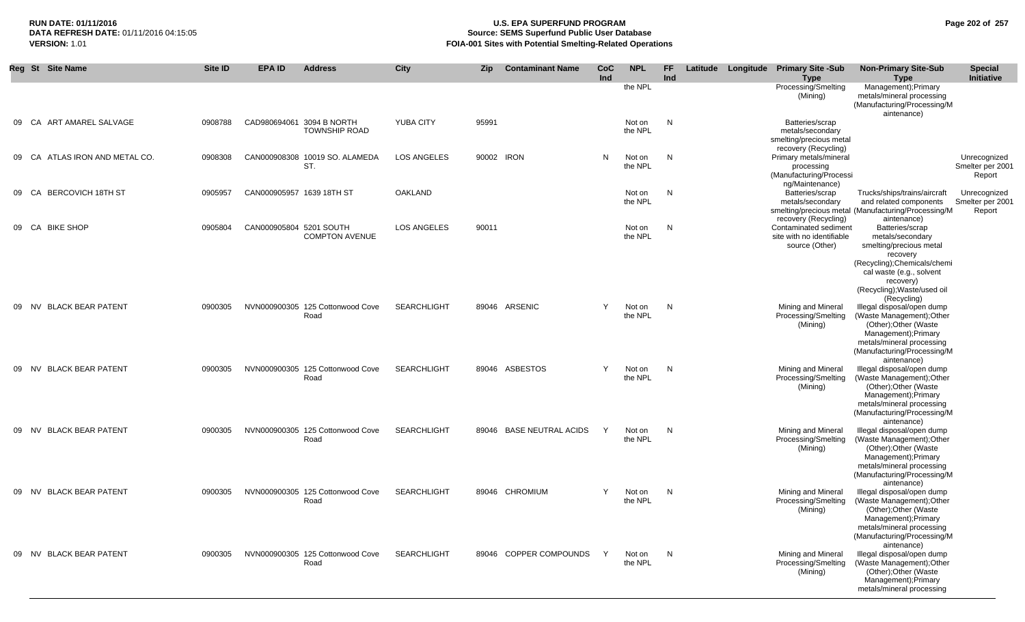## **RUN DATE: 01/11/2016 U.S. EPA SUPERFUND PROGRAM Page 202 of 257 DATA REFRESH DATE:** 01/11/2016 04:15:05 **Source: SEMS Superfund Public User Database VERSION:** 1.01 **FOIA-001 Sites with Potential Smelting-Related Operations**

|    |       | Reg St Site Name            | Site ID | <b>EPA ID</b>             | <b>Address</b>                           | City               | Zip        | <b>Contaminant Name</b>  | CoC<br>Ind | <b>NPL</b>        | FF.<br>Ind | Latitude Longitude | <b>Primary Site -Sub</b><br><b>Type</b>                                                | <b>Non-Primary Site-Sub</b><br><b>Type</b>                                                                                                                                                        | <b>Special</b><br>Initiative               |
|----|-------|-----------------------------|---------|---------------------------|------------------------------------------|--------------------|------------|--------------------------|------------|-------------------|------------|--------------------|----------------------------------------------------------------------------------------|---------------------------------------------------------------------------------------------------------------------------------------------------------------------------------------------------|--------------------------------------------|
|    |       |                             |         |                           |                                          |                    |            |                          |            | the NPL           |            |                    | Processing/Smelting<br>(Mining)                                                        | Management); Primary<br>metals/mineral processing<br>(Manufacturing/Processing/M<br>aintenance)                                                                                                   |                                            |
|    |       | 09 CA ART AMAREL SALVAGE    | 0908788 | CAD980694061 3094 B NORTH | <b>TOWNSHIP ROAD</b>                     | <b>YUBA CITY</b>   | 95991      |                          |            | Not on<br>the NPL | N          |                    | Batteries/scrap<br>metals/secondary<br>smelting/precious metal<br>recovery (Recycling) |                                                                                                                                                                                                   |                                            |
|    |       | CA ATLAS IRON AND METAL CO. | 0908308 |                           | CAN000908308 10019 SO. ALAMEDA<br>ST.    | <b>LOS ANGELES</b> | 90002 IRON |                          | N          | Not on<br>the NPL | N          |                    | Primary metals/mineral<br>processing<br>(Manufacturing/Processi<br>ng/Maintenance)     |                                                                                                                                                                                                   | Unrecognized<br>Smelter per 2001<br>Report |
|    | 09 CA | <b>BERCOVICH 18TH ST</b>    | 0905957 | CAN000905957 1639 18TH ST |                                          | OAKLAND            |            |                          |            | Not on<br>the NPL | N          |                    | Batteries/scrap<br>metals/secondary<br>recovery (Recycling)                            | Trucks/ships/trains/aircraft<br>and related components<br>smelting/precious metal (Manufacturing/Processing/M<br>aintenance)                                                                      | Unrecognized<br>Smelter per 2001<br>Report |
|    | 09 CA | <b>BIKE SHOP</b>            | 0905804 | CAN000905804 5201 SOUTH   | <b>COMPTON AVENUE</b>                    | <b>LOS ANGELES</b> | 90011      |                          |            | Not on<br>the NPL | N          |                    | Contaminated sediment<br>site with no identifiable<br>source (Other)                   | Batteries/scrap<br>metals/secondary<br>smelting/precious metal<br>recovery<br>(Recycling); Chemicals/chemi<br>cal waste (e.g., solvent<br>recovery)<br>(Recycling); Waste/used oil<br>(Recycling) |                                            |
|    | 09 NV | <b>BLACK BEAR PATENT</b>    | 0900305 |                           | NVN000900305 125 Cottonwood Cove<br>Road | <b>SEARCHLIGHT</b> |            | 89046 ARSENIC            | Y          | Not on<br>the NPL | N          |                    | Mining and Mineral<br>Processing/Smelting<br>(Mining)                                  | Illegal disposal/open dump<br>(Waste Management); Other<br>(Other); Other (Waste<br>Management); Primary<br>metals/mineral processing<br>(Manufacturing/Processing/M<br>aintenance)               |                                            |
|    | 09 NV | <b>BLACK BEAR PATENT</b>    | 0900305 |                           | NVN000900305 125 Cottonwood Cove<br>Road | <b>SEARCHLIGHT</b> |            | 89046 ASBESTOS           | Y          | Not on<br>the NPL | N          |                    | Mining and Mineral<br>Processing/Smelting<br>(Mining)                                  | Illegal disposal/open dump<br>(Waste Management); Other<br>(Other); Other (Waste<br>Management); Primary<br>metals/mineral processing<br>(Manufacturing/Processing/M<br>aintenance)               |                                            |
| 09 | NV.   | <b>BLACK BEAR PATENT</b>    | 0900305 |                           | NVN000900305 125 Cottonwood Cove<br>Road | <b>SEARCHLIGHT</b> |            | 89046 BASE NEUTRAL ACIDS | Y          | Not on<br>the NPL | N          |                    | Mining and Mineral<br>Processing/Smelting<br>(Mining)                                  | Illegal disposal/open dump<br>(Waste Management); Other<br>(Other); Other (Waste<br>Management); Primary<br>metals/mineral processing<br>(Manufacturing/Processing/M<br>aintenance)               |                                            |
| 09 | NV.   | <b>BLACK BEAR PATENT</b>    | 0900305 |                           | NVN000900305 125 Cottonwood Cove<br>Road | <b>SEARCHLIGHT</b> |            | 89046 CHROMIUM           | Y          | Not on<br>the NPL | N          |                    | Mining and Mineral<br>Processing/Smelting<br>(Mining)                                  | Illegal disposal/open dump<br>(Waste Management); Other<br>(Other); Other (Waste<br>Management);Primary<br>metals/mineral processing<br>(Manufacturing/Processing/M<br>aintenance)                |                                            |
|    |       | 09 NV BLACK BEAR PATENT     | 0900305 |                           | NVN000900305 125 Cottonwood Cove<br>Road | SEARCHLIGHT        |            | 89046 COPPER COMPOUNDS Y |            | Not on<br>the NPL | N          |                    | Mining and Mineral<br>Processing/Smelting<br>(Mining)                                  | Illegal disposal/open dump<br>(Waste Management); Other<br>(Other); Other (Waste<br>Management); Primary<br>metals/mineral processing                                                             |                                            |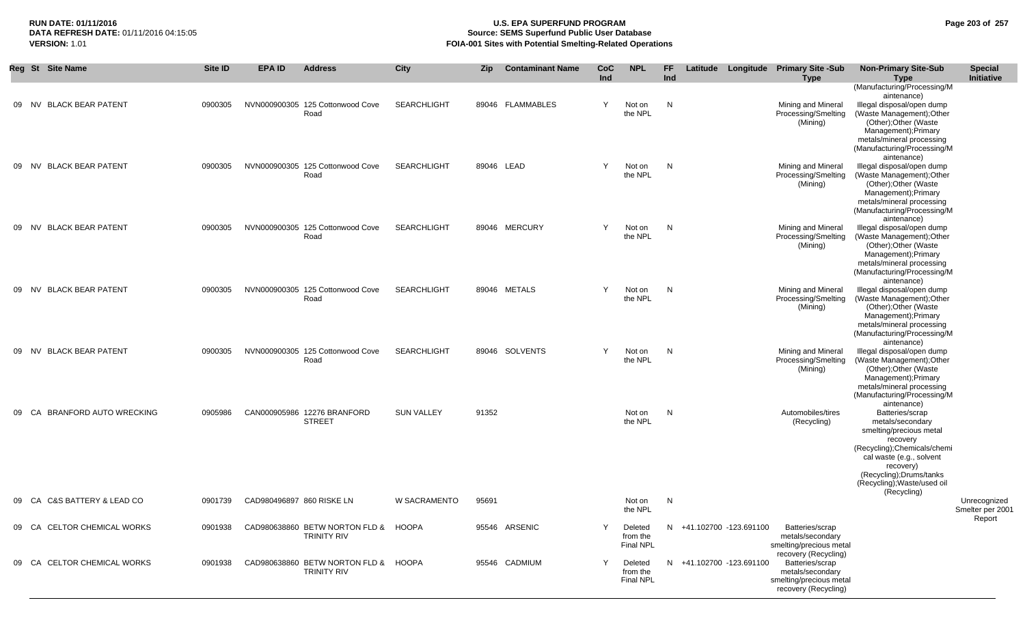# **RUN DATE: 01/11/2016 U.S. EPA SUPERFUND PROGRAM Page 203 of 257 Source: SEMS Superfund Public User Database VERSION:** 1.01 **FOIA-001 Sites with Potential Smelting-Related Operations**

|       | Reg St Site Name                     | <b>Site ID</b> | <b>EPA ID</b>             | <b>Address</b>                                             | City               | <b>Zip</b> | <b>Contaminant Name</b> | CoC<br>Ind | <b>NPL</b>                              | FF.<br>Ind   |                          | Latitude Longitude Primary Site -Sub<br><b>Type</b>                                                            | <b>Non-Primary Site-Sub</b><br><b>Type</b>                                                                                                                                                                                        | <b>Special</b><br><b>Initiative</b> |
|-------|--------------------------------------|----------------|---------------------------|------------------------------------------------------------|--------------------|------------|-------------------------|------------|-----------------------------------------|--------------|--------------------------|----------------------------------------------------------------------------------------------------------------|-----------------------------------------------------------------------------------------------------------------------------------------------------------------------------------------------------------------------------------|-------------------------------------|
| 09 NV | <b>BLACK BEAR PATENT</b>             | 0900305        |                           | NVN000900305 125 Cottonwood Cove<br>Road                   | <b>SEARCHLIGHT</b> |            | 89046 FLAMMABLES        | Y          | Not on<br>the NPL                       | N            |                          | Mining and Mineral<br>Processing/Smelting<br>(Mining)                                                          | (Manufacturing/Processing/M<br>aintenance)<br>Illegal disposal/open dump<br>(Waste Management); Other<br>(Other); Other (Waste<br>Management); Primary<br>metals/mineral processing<br>(Manufacturing/Processing/M<br>aintenance) |                                     |
| 09 NV | <b>BLACK BEAR PATENT</b>             | 0900305        |                           | NVN000900305 125 Cottonwood Cove<br>Road                   | <b>SEARCHLIGHT</b> |            | 89046 LEAD              | Y          | Not on<br>the NPL                       | $\mathsf{N}$ |                          | Mining and Mineral<br>Processing/Smelting<br>(Mining)                                                          | Illegal disposal/open dump<br>(Waste Management); Other<br>(Other); Other (Waste<br>Management); Primary<br>metals/mineral processing<br>(Manufacturing/Processing/M<br>aintenance)                                               |                                     |
| 09 NV | <b>BLACK BEAR PATENT</b>             | 0900305        |                           | NVN000900305 125 Cottonwood Cove<br>Road                   | <b>SEARCHLIGHT</b> |            | 89046 MERCURY           | Y          | Not on<br>the NPL                       | $\mathsf{N}$ |                          | Mining and Mineral<br>Processing/Smelting<br>(Mining)                                                          | Illegal disposal/open dump<br>(Waste Management); Other<br>(Other); Other (Waste<br>Management); Primary<br>metals/mineral processing<br>(Manufacturing/Processing/M<br>aintenance)                                               |                                     |
|       | 09 NV BLACK BEAR PATENT              | 0900305        |                           | NVN000900305 125 Cottonwood Cove<br>Road                   | <b>SEARCHLIGHT</b> |            | 89046 METALS            | Y          | Not on<br>the NPL                       | N            |                          | Mining and Mineral<br>Processing/Smelting<br>(Mining)                                                          | Illegal disposal/open dump<br>(Waste Management);Other<br>(Other); Other (Waste<br>Management); Primary<br>metals/mineral processing<br>(Manufacturing/Processing/M<br>aintenance)                                                |                                     |
|       | 09 NV BLACK BEAR PATENT              | 0900305        |                           | NVN000900305 125 Cottonwood Cove<br>Road                   | <b>SEARCHLIGHT</b> |            | 89046 SOLVENTS          | Y          | Not on<br>the NPL                       | N            |                          | Mining and Mineral<br>Processing/Smelting<br>(Mining)                                                          | Illegal disposal/open dump<br>(Waste Management);Other<br>(Other); Other (Waste<br>Management); Primary<br>metals/mineral processing<br>(Manufacturing/Processing/M<br>aintenance)                                                |                                     |
| 09 CA | BRANFORD AUTO WRECKING               | 0905986        |                           | CAN000905986 12276 BRANFORD<br><b>STREET</b>               | <b>SUN VALLEY</b>  | 91352      |                         |            | Not on<br>the NPL                       | N            |                          | Automobiles/tires<br>(Recycling)                                                                               | Batteries/scrap<br>metals/secondary<br>smelting/precious metal<br>recovery<br>(Recycling);Chemicals/chemi<br>cal waste (e.g., solvent<br>recovery)<br>(Recycling); Drums/tanks<br>(Recycling); Waste/used oil<br>(Recycling)      |                                     |
| 09 CA | <b>C&amp;S BATTERY &amp; LEAD CO</b> | 0901739        | CAD980496897 860 RISKE LN |                                                            | W SACRAMENTO       | 95691      |                         |            | Not on<br>the NPL                       | N            |                          |                                                                                                                |                                                                                                                                                                                                                                   | Unrecognized<br>Smelter per 2001    |
|       | 09 CA CELTOR CHEMICAL WORKS          | 0901938        |                           | CAD980638860 BETW NORTON FLD & HOOPA<br><b>TRINITY RIV</b> |                    |            | 95546 ARSENIC           | Υ          | Deleted<br>from the<br>Final NPL        |              | N +41.102700 -123.691100 | Batteries/scrap<br>metals/secondary<br>smelting/precious metal                                                 |                                                                                                                                                                                                                                   | Report                              |
|       | 09 CA CELTOR CHEMICAL WORKS          | 0901938        |                           | CAD980638860 BETW NORTON FLD & HOOPA<br><b>TRINITY RIV</b> |                    |            | 95546 CADMIUM           | Y          | Deleted<br>from the<br><b>Final NPL</b> |              | N +41.102700 -123.691100 | recovery (Recycling)<br>Batteries/scrap<br>metals/secondary<br>smelting/precious metal<br>recovery (Recycling) |                                                                                                                                                                                                                                   |                                     |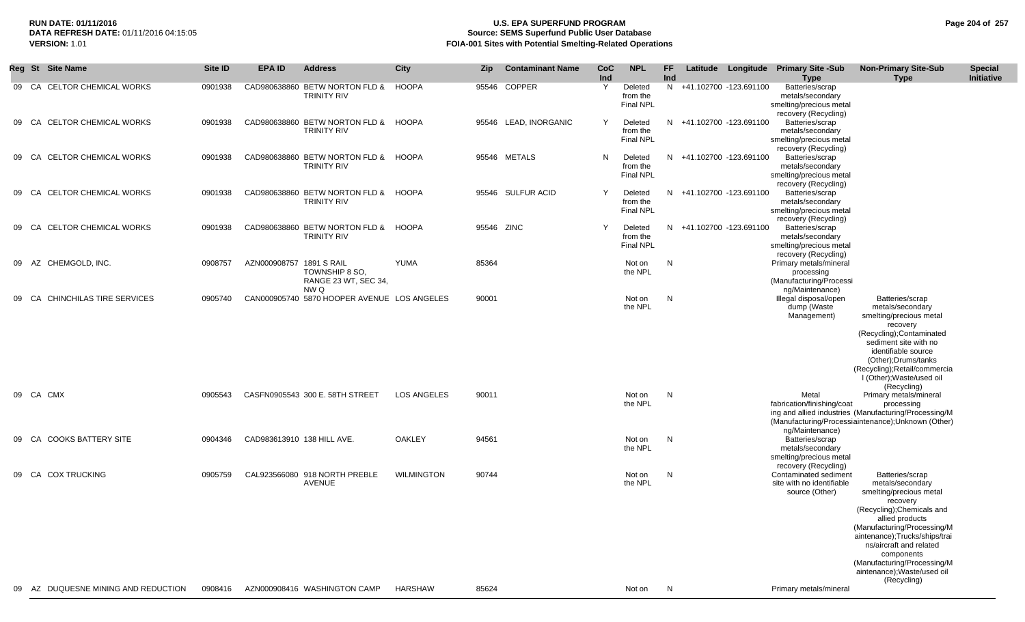## **RUN DATE: 01/11/2016 U.S. EPA SUPERFUND PROGRAM Page 204 of 257** DATA REFRESH DATE: 01/11/2016 04:15:05<br>**VERSION: 1.01** Source: SEMS Superfund Public User Database<br>FOIA-001 Sites with Potential Smelting-Related Operat **FOIA-001 Sites with Potential Smelting-Related Operations**

|       | Reg St Site Name                   | Site ID | EPA ID                     | <b>Address</b>                                             | <b>City</b>       | <b>Zip</b> | <b>Contaminant Name</b> | <b>CoC</b><br>Ind | <b>NPL</b>                              | FF<br>Ind |                          | Latitude Longitude Primary Site -Sub<br><b>Type</b>                                                       | <b>Non-Primary Site-Sub</b><br><b>Type</b>                                                                                                                                                                                                                                                                        | <b>Special</b><br>Initiative |
|-------|------------------------------------|---------|----------------------------|------------------------------------------------------------|-------------------|------------|-------------------------|-------------------|-----------------------------------------|-----------|--------------------------|-----------------------------------------------------------------------------------------------------------|-------------------------------------------------------------------------------------------------------------------------------------------------------------------------------------------------------------------------------------------------------------------------------------------------------------------|------------------------------|
| 09    | <b>CELTOR CHEMICAL WORKS</b><br>CA | 0901938 |                            | CAD980638860 BETW NORTON FLD &<br><b>TRINITY RIV</b>       | <b>HOOPA</b>      | 95546      | <b>COPPER</b>           | Y                 | Deleted<br>from the<br><b>Final NPL</b> | N         | +41.102700 -123.691100   | Batteries/scrap<br>metals/secondary<br>smelting/precious metal<br>recovery (Recycling)                    |                                                                                                                                                                                                                                                                                                                   |                              |
|       | 09 CA CELTOR CHEMICAL WORKS        | 0901938 |                            | CAD980638860 BETW NORTON FLD & HOOPA<br><b>TRINITY RIV</b> |                   |            | 95546 LEAD, INORGANIC   | Y                 | Deleted<br>from the<br><b>Final NPL</b> | N.        | +41.102700 -123.691100   | Batteries/scrap<br>metals/secondary<br>smelting/precious metal                                            |                                                                                                                                                                                                                                                                                                                   |                              |
| 09    | <b>CELTOR CHEMICAL WORKS</b><br>CA | 0901938 |                            | CAD980638860 BETW NORTON FLD &<br><b>TRINITY RIV</b>       | <b>HOOPA</b>      |            | 95546 METALS            | N                 | Deleted<br>from the<br>Final NPL        |           | N +41.102700 -123.691100 | recovery (Recycling)<br>Batteries/scrap<br>metals/secondary<br>smelting/precious metal                    |                                                                                                                                                                                                                                                                                                                   |                              |
| 09    | <b>CELTOR CHEMICAL WORKS</b><br>CA | 0901938 |                            | CAD980638860 BETW NORTON FLD &<br><b>TRINITY RIV</b>       | HOOPA             |            | 95546 SULFUR ACID       | Y                 | Deleted<br>from the<br><b>Final NPL</b> | N.        | +41.102700 -123.691100   | recovery (Recycling)<br>Batteries/scrap<br>metals/secondary<br>smelting/precious metal                    |                                                                                                                                                                                                                                                                                                                   |                              |
| 09    | <b>CELTOR CHEMICAL WORKS</b><br>CA | 0901938 |                            | CAD980638860 BETW NORTON FLD &<br><b>TRINITY RIV</b>       | <b>HOOPA</b>      | 95546 ZINC |                         | Y                 | Deleted<br>from the<br><b>Final NPL</b> | N.        | +41.102700 -123.691100   | recovery (Recycling)<br>Batteries/scrap<br>metals/secondary<br>smelting/precious metal                    |                                                                                                                                                                                                                                                                                                                   |                              |
| 09    | AZ<br>CHEMGOLD, INC.               | 0908757 | AZN000908757 1891 S RAIL   | TOWNSHIP 8 SO.<br>RANGE 23 WT, SEC 34,                     | YUMA              | 85364      |                         |                   | Not on<br>the NPL                       | N         |                          | recovery (Recycling)<br>Primary metals/mineral<br>processing<br>(Manufacturing/Processi                   |                                                                                                                                                                                                                                                                                                                   |                              |
| 09 CA | CHINCHILAS TIRE SERVICES           | 0905740 |                            | NW Q<br>CAN000905740 5870 HOOPER AVENUE LOS ANGELES        |                   | 90001      |                         |                   | Not on<br>the NPL                       | N         |                          | ng/Maintenance)<br>Illegal disposal/open<br>dump (Waste<br>Management)                                    | Batteries/scrap<br>metals/secondary<br>smelting/precious metal<br>recovery<br>(Recycling); Contaminated<br>sediment site with no<br>identifiable source<br>(Other); Drums/tanks<br>(Recycling); Retail/commercia<br>I (Other); Waste/used oil                                                                     |                              |
|       | 09 CA CMX                          | 0905543 |                            | CASFN0905543 300 E. 58TH STREET                            | LOS ANGELES       | 90011      |                         |                   | Not on<br>the NPL                       | N         |                          | Metal<br>fabrication/finishing/coat                                                                       | (Recycling)<br>Primary metals/mineral<br>processing<br>ing and allied industries (Manufacturing/Processing/M<br>(Manufacturing/Processiaintenance); Unknown (Other)                                                                                                                                               |                              |
| 09 CA | <b>COOKS BATTERY SITE</b>          | 0904346 | CAD983613910 138 HILL AVE. |                                                            | <b>OAKLEY</b>     | 94561      |                         |                   | Not on<br>the NPL                       | N         |                          | ng/Maintenance)<br>Batteries/scrap<br>metals/secondary<br>smelting/precious metal<br>recovery (Recycling) |                                                                                                                                                                                                                                                                                                                   |                              |
|       | 09 CA COX TRUCKING                 | 0905759 |                            | CAL923566080 918 NORTH PREBLE<br><b>AVENUE</b>             | <b>WILMINGTON</b> | 90744      |                         |                   | Not on<br>the NPL                       | N         |                          | Contaminated sediment<br>site with no identifiable<br>source (Other)                                      | Batteries/scrap<br>metals/secondary<br>smelting/precious metal<br>recovery<br>(Recycling); Chemicals and<br>allied products<br>(Manufacturing/Processing/M<br>aintenance);Trucks/ships/trai<br>ns/aircraft and related<br>components<br>(Manufacturing/Processing/M<br>aintenance); Waste/used oil<br>(Recycling) |                              |
| 09    | AZ DUQUESNE MINING AND REDUCTION   | 0908416 |                            | AZN000908416 WASHINGTON CAMP                               | <b>HARSHAW</b>    | 85624      |                         |                   | Not on                                  | N         |                          | Primary metals/mineral                                                                                    |                                                                                                                                                                                                                                                                                                                   |                              |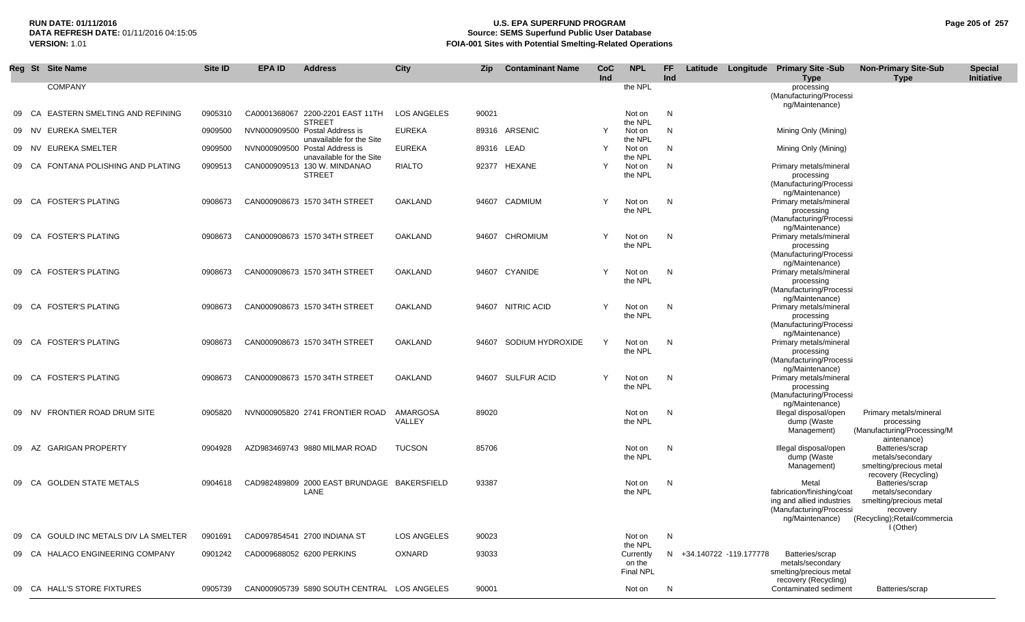#### **RUN DATE: 01/11/2016 U.S. EPA SUPERFUND PROGRAM Page 205 of 257** DATA REFRESH DATE: 01/11/2016 04:15:05<br>**VERSION: 1.01** Source: SEMS Superfund Public User Database<br>FOIA-001 Sites with Potential Smelting-Related Operat **VERSION:** 1.01 **FOIA-001 Sites with Potential Smelting-Related Operations**

|    |       | Reg St Site Name                      | Site ID | <b>EPA ID</b> | <b>Address</b>                                             | City               | Zip.  | <b>Contaminant Name</b> | <b>CoC</b><br>Ind | <b>NPL</b>                              | FF.<br>Ind | Latitude Longitude Primary Site -Sub |                                                                                                                | <b>Non-Primary Site-Sub</b>                                                                                             | <b>Special</b> |
|----|-------|---------------------------------------|---------|---------------|------------------------------------------------------------|--------------------|-------|-------------------------|-------------------|-----------------------------------------|------------|--------------------------------------|----------------------------------------------------------------------------------------------------------------|-------------------------------------------------------------------------------------------------------------------------|----------------|
|    |       | <b>COMPANY</b>                        |         |               |                                                            |                    |       |                         |                   | the NPL                                 |            |                                      | <b>Type</b><br>processing<br>(Manufacturing/Processi<br>ng/Maintenance)                                        | <b>Type</b>                                                                                                             | Initiative     |
| 09 | CA    | EASTERN SMELTING AND REFINING         | 0905310 |               | CA0001368067 2200-2201 EAST 11TH<br><b>STREET</b>          | <b>LOS ANGELES</b> | 90021 |                         |                   | Not on<br>the NPL                       | N          |                                      |                                                                                                                |                                                                                                                         |                |
|    | 09 NV | EUREKA SMELTER                        | 0909500 |               | NVN000909500 Postal Address is<br>unavailable for the Site | <b>EUREKA</b>      |       | 89316 ARSENIC           | Y                 | Not on<br>the NPL                       | N          |                                      | Mining Only (Mining)                                                                                           |                                                                                                                         |                |
|    | 09 NV | EUREKA SMELTER                        | 0909500 |               | NVN000909500 Postal Address is<br>unavailable for the Site | <b>EUREKA</b>      |       | 89316 LEAD              | Y                 | Not on<br>the NPL                       | N          |                                      | Mining Only (Mining)                                                                                           |                                                                                                                         |                |
|    |       | 09 CA FONTANA POLISHING AND PLATING   | 0909513 |               | CAN000909513 130 W. MINDANAO<br><b>STREET</b>              | <b>RIALTO</b>      |       | 92377 HEXANE            | Y                 | Not on<br>the NPL                       | N          |                                      | Primary metals/mineral<br>processing<br>(Manufacturing/Processi                                                |                                                                                                                         |                |
|    | 09 CA | <b>FOSTER'S PLATING</b>               | 0908673 |               | CAN000908673 1570 34TH STREET                              | OAKLAND            |       | 94607 CADMIUM           | Y                 | Not on<br>the NPL                       | N          |                                      | ng/Maintenance)<br>Primary metals/mineral<br>processing<br>(Manufacturing/Processi                             |                                                                                                                         |                |
|    | 09 CA | <b>FOSTER'S PLATING</b>               | 0908673 |               | CAN000908673 1570 34TH STREET                              | OAKLAND            | 94607 | CHROMIUM                |                   | Not on<br>the NPL                       | N          |                                      | ng/Maintenance)<br>Primary metals/mineral<br>processing<br>(Manufacturing/Processi                             |                                                                                                                         |                |
|    | 09 CA | <b>FOSTER'S PLATING</b>               | 0908673 |               | CAN000908673 1570 34TH STREET                              | OAKLAND            | 94607 | CYANIDE                 | Y                 | Not on<br>the NPL                       | N          |                                      | ng/Maintenance)<br>Primary metals/mineral<br>processing<br>(Manufacturing/Processi                             |                                                                                                                         |                |
|    |       | 09 CA FOSTER'S PLATING                | 0908673 |               | CAN000908673 1570 34TH STREET                              | OAKLAND            |       | 94607 NITRIC ACID       | Y                 | Not on<br>the NPL                       | N          |                                      | ng/Maintenance)<br>Primary metals/mineral<br>processing<br>(Manufacturing/Processi                             |                                                                                                                         |                |
|    | 09 CA | <b>FOSTER'S PLATING</b>               | 0908673 |               | CAN000908673 1570 34TH STREET                              | OAKLAND            |       | 94607 SODIUM HYDROXIDE  | Y                 | Not on<br>the NPL                       | N          |                                      | ng/Maintenance)<br>Primary metals/mineral<br>processing<br>(Manufacturing/Processi                             |                                                                                                                         |                |
|    | 09 CA | <b>FOSTER'S PLATING</b>               | 0908673 |               | CAN000908673 1570 34TH STREET                              | OAKLAND            |       | 94607 SULFUR ACID       | Y                 | Not on<br>the NPL                       | N          |                                      | ng/Maintenance)<br>Primary metals/mineral<br>processing<br>(Manufacturing/Processi                             |                                                                                                                         |                |
|    | 09 NV | <b>FRONTIER ROAD DRUM SITE</b>        | 0905820 |               | NVN000905820 2741 FRONTIER ROAD                            | AMARGOSA<br>VALLEY | 89020 |                         |                   | Not on<br>the NPL                       | N          |                                      | ng/Maintenance)<br>Illegal disposal/open<br>dump (Waste<br>Management)                                         | Primary metals/mineral<br>processing<br>(Manufacturing/Processing/M<br>aintenance)                                      |                |
|    | 09 AZ | <b>GARIGAN PROPERTY</b>               | 0904928 |               | AZD983469743 9880 MILMAR ROAD                              | <b>TUCSON</b>      | 85706 |                         |                   | Not on<br>the NPL                       | N          |                                      | Illegal disposal/open<br>dump (Waste<br>Management)                                                            | Batteries/scrap<br>metals/secondary<br>smelting/precious metal<br>recovery (Recycling)                                  |                |
|    |       | 09 CA GOLDEN STATE METALS             | 0904618 |               | CAD982489809 2000 EAST BRUNDAGE BAKERSFIELD<br>LANE        |                    | 93387 |                         |                   | Not on<br>the NPL                       | N          |                                      | Metal<br>fabrication/finishing/coat<br>ing and allied industries<br>(Manufacturing/Processi<br>ng/Maintenance) | Batteries/scrap<br>metals/secondary<br>smelting/precious metal<br>recovery<br>(Recycling);Retail/commercia<br>I (Other) |                |
|    |       | 09 CA GOULD INC METALS DIV LA SMELTER | 0901691 |               | CAD097854541 2700 INDIANA ST                               | LOS ANGELES        | 90023 |                         |                   | Not on<br>the NPL                       | N          |                                      |                                                                                                                |                                                                                                                         |                |
|    |       | 09 CA HALACO ENGINEERING COMPANY      | 0901242 |               | CAD009688052 6200 PERKINS                                  | OXNARD             | 93033 |                         |                   | Currently<br>on the<br><b>Final NPL</b> |            | N +34.140722 -119.177778             | Batteries/scrap<br>metals/secondary<br>smelting/precious metal<br>recovery (Recycling)                         |                                                                                                                         |                |
|    |       | 09 CA HALL'S STORE FIXTURES           | 0905739 |               | CAN000905739 5890 SOUTH CENTRAL LOS ANGELES                |                    | 90001 |                         |                   | Not on                                  | N          |                                      | Contaminated sediment                                                                                          | Batteries/scrap                                                                                                         |                |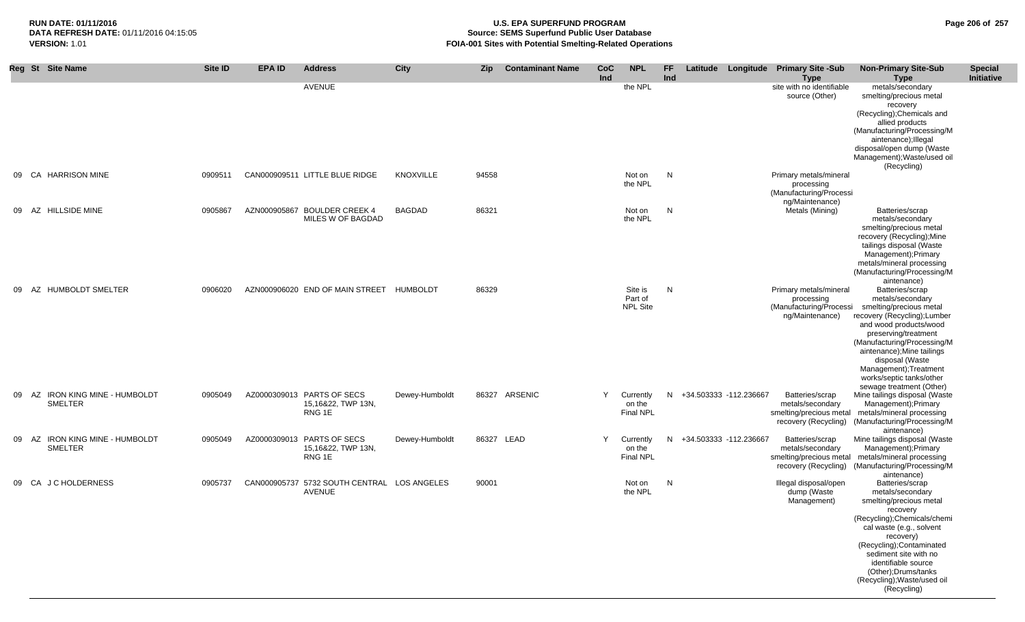# RUN DATE: 01/11/2016<br> **RUN DATE: 01/11/2016** 04:15:05 **Page 206 of 257**<br> **Page 206 of 257** DATA REFRESH DATE: 01/11/2016 04:15:05<br>**VERSION: 1.01** Source: SEMS Superfund Public User Database<br>FOIA-001 Sites with Potential Smelting-Related Operat **VERSION:** 1.01 **FOIA-001 Sites with Potential Smelting-Related Operations**

|    | Reg St Site Name                                         | Site ID | <b>EPA ID</b> | <b>Address</b>                                                        | City             | <b>Zip</b> | <b>Contaminant Name</b> | <b>CoC</b><br>Ind | <b>NPL</b>                              | FF<br>Ind |                        | Latitude Longitude Primary Site -Sub<br><b>Type</b>                                    | <b>Non-Primary Site-Sub</b><br><b>Type</b>                                                                                                                                                                                                                                                                         | <b>Special</b><br>Initiative |
|----|----------------------------------------------------------|---------|---------------|-----------------------------------------------------------------------|------------------|------------|-------------------------|-------------------|-----------------------------------------|-----------|------------------------|----------------------------------------------------------------------------------------|--------------------------------------------------------------------------------------------------------------------------------------------------------------------------------------------------------------------------------------------------------------------------------------------------------------------|------------------------------|
|    |                                                          |         |               | AVENUE                                                                |                  |            |                         |                   | the NPL                                 |           |                        | site with no identifiable<br>source (Other)                                            | metals/secondary<br>smelting/precious metal<br>recovery<br>(Recycling); Chemicals and<br>allied products<br>(Manufacturing/Processing/M<br>aintenance); Illegal<br>disposal/open dump (Waste<br>Management); Waste/used oil                                                                                        |                              |
| 09 | CA HARRISON MINE                                         | 0909511 |               | CAN000909511 LITTLE BLUE RIDGE                                        | <b>KNOXVILLE</b> | 94558      |                         |                   | Not on<br>the NPL                       | N         |                        | Primary metals/mineral<br>processing<br>(Manufacturing/Processi                        | (Recycling)                                                                                                                                                                                                                                                                                                        |                              |
| 09 | AZ HILLSIDE MINE                                         | 0905867 |               | AZN000905867 BOULDER CREEK 4<br>MILES W OF BAGDAD                     | <b>BAGDAD</b>    | 86321      |                         |                   | Not on<br>the NPL                       | N         |                        | ng/Maintenance)<br>Metals (Mining)                                                     | Batteries/scrap<br>metals/secondary<br>smelting/precious metal<br>recovery (Recycling); Mine<br>tailings disposal (Waste<br>Management); Primary<br>metals/mineral processing<br>(Manufacturing/Processing/M<br>aintenance)                                                                                        |                              |
| 09 | AZ HUMBOLDT SMELTER                                      | 0906020 |               | AZN000906020 END OF MAIN STREET HUMBOLDT                              |                  | 86329      |                         |                   | Site is<br>Part of<br><b>NPL Site</b>   | N         |                        | Primary metals/mineral<br>processing<br>(Manufacturing/Processi<br>ng/Maintenance)     | Batteries/scrap<br>metals/secondary<br>smelting/precious metal<br>recovery (Recycling); Lumber<br>and wood products/wood<br>preserving/treatment<br>(Manufacturing/Processing/M<br>aintenance); Mine tailings<br>disposal (Waste<br>Management); Treatment<br>works/septic tanks/other<br>sewage treatment (Other) |                              |
| 09 | <b>IRON KING MINE - HUMBOLDT</b><br>AZ<br><b>SMELTER</b> | 0905049 |               | AZ0000309013 PARTS OF SECS<br>15,16&22, TWP 13N,<br>RNG 1E            | Dewey-Humboldt   |            | 86327 ARSENIC           | Y                 | Currently<br>on the<br>Final NPL        | N.        | +34.503333 -112.236667 | Batteries/scrap<br>metals/secondary<br>smelting/precious metal<br>recovery (Recycling) | Mine tailings disposal (Waste<br>Management); Primary<br>metals/mineral processing<br>(Manufacturing/Processing/M<br>aintenance)                                                                                                                                                                                   |                              |
| 09 | AZ IRON KING MINE - HUMBOLDT<br>SMELTER                  | 0905049 |               | AZ0000309013 PARTS OF SECS<br>15,16&22, TWP 13N,<br>RNG <sub>1E</sub> | Dewey-Humboldt   |            | 86327 LEAD              | Y                 | Currently<br>on the<br><b>Final NPL</b> | N         | +34.503333 -112.236667 | Batteries/scrap<br>metals/secondary<br>smelting/precious metal<br>recovery (Recycling) | Mine tailings disposal (Waste<br>Management); Primary<br>metals/mineral processing<br>(Manufacturing/Processing/M<br>aintenance)                                                                                                                                                                                   |                              |
|    | 09 CA J C HOLDERNESS                                     | 0905737 |               | CAN000905737 5732 SOUTH CENTRAL LOS ANGELES<br><b>AVENUE</b>          |                  | 90001      |                         |                   | Not on<br>the NPL                       | N         |                        | Illegal disposal/open<br>dump (Waste<br>Management)                                    | Batteries/scrap<br>metals/secondary<br>smelting/precious metal<br>recovery<br>(Recycling); Chemicals/chemi<br>cal waste (e.g., solvent<br>recovery)<br>(Recycling); Contaminated<br>sediment site with no<br>identifiable source<br>(Other); Drums/tanks<br>(Recycling); Waste/used oil<br>(Recycling)             |                              |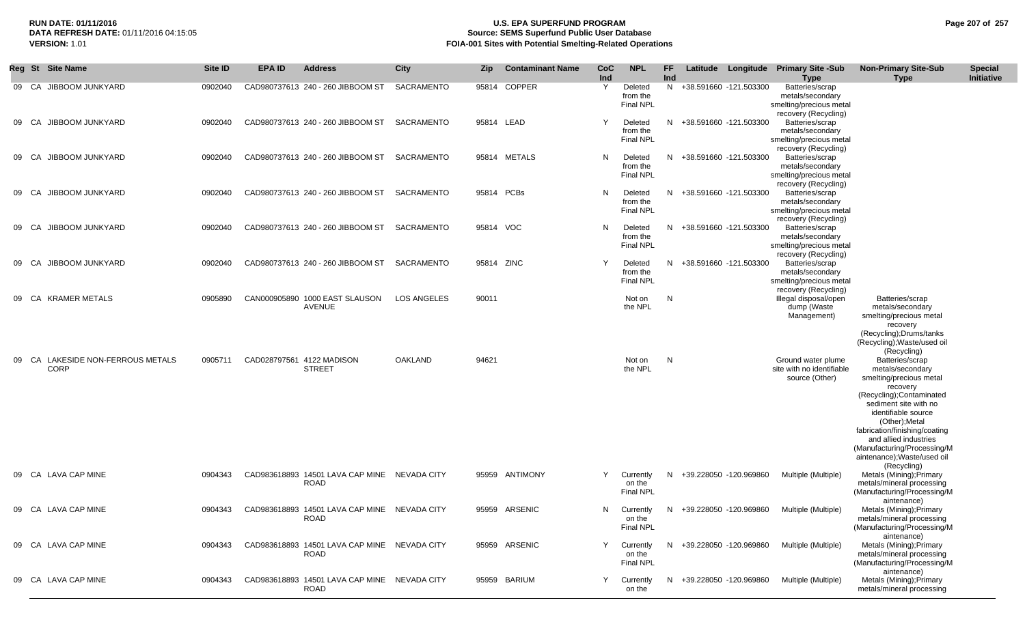## **RUN DATE: 01/11/2016 U.S. EPA SUPERFUND PROGRAM Page 207 of 257 Source: SEMS Superfund Public User Database VERSION:** 1.01 **FOIA-001 Sites with Potential Smelting-Related Operations**

|       |      | Reg St Site Name                                 | <b>Site ID</b> | EPA ID | <b>Address</b>                                              | <b>City</b>        | <b>Zip</b> | <b>Contaminant Name</b> | <b>CoC</b><br>Ind | <b>NPL</b>                              | FF.<br><b>Ind</b> | Latitude                 | Longitude | <b>Primary Site -Sub</b><br><b>Type</b>                                                | <b>Non-Primary Site-Sub</b><br><b>Type</b>                                                                                                                                                                                                                                                                       | <b>Special</b><br>Initiative |
|-------|------|--------------------------------------------------|----------------|--------|-------------------------------------------------------------|--------------------|------------|-------------------------|-------------------|-----------------------------------------|-------------------|--------------------------|-----------|----------------------------------------------------------------------------------------|------------------------------------------------------------------------------------------------------------------------------------------------------------------------------------------------------------------------------------------------------------------------------------------------------------------|------------------------------|
| 09 CA |      | <b>JIBBOOM JUNKYARD</b>                          | 0902040        |        | CAD980737613 240 - 260 JIBBOOM ST                           | SACRAMENTO         | 95814      | <b>COPPER</b>           | Y                 | Deleted<br>from the<br><b>Final NPL</b> |                   | N +38.591660 -121.503300 |           | Batteries/scrap<br>metals/secondary<br>smelting/precious metal<br>recovery (Recycling) |                                                                                                                                                                                                                                                                                                                  |                              |
| 09 CA |      | JIBBOOM JUNKYARD                                 | 0902040        |        | CAD980737613 240 - 260 JIBBOOM ST                           | <b>SACRAMENTO</b>  |            | 95814 LEAD              | Y                 | Deleted<br>from the<br><b>Final NPL</b> |                   | N +38.591660 -121.503300 |           | Batteries/scrap<br>metals/secondary<br>smelting/precious metal<br>recovery (Recycling) |                                                                                                                                                                                                                                                                                                                  |                              |
| 09    | - CA | JIBBOOM JUNKYARD                                 | 0902040        |        | CAD980737613 240 - 260 JIBBOOM ST                           | SACRAMENTO         |            | 95814 METALS            | N                 | Deleted<br>from the<br><b>Final NPL</b> |                   | N +38.591660 -121.503300 |           | Batteries/scrap<br>metals/secondary<br>smelting/precious metal<br>recovery (Recycling) |                                                                                                                                                                                                                                                                                                                  |                              |
| 09    | - CA | <b>JIBBOOM JUNKYARD</b>                          | 0902040        |        | CAD980737613 240 - 260 JIBBOOM ST                           | SACRAMENTO         |            | 95814 PCBs              | N                 | Deleted<br>from the<br><b>Final NPL</b> |                   | N +38.591660 -121.503300 |           | Batteries/scrap<br>metals/secondary<br>smelting/precious metal<br>recovery (Recycling) |                                                                                                                                                                                                                                                                                                                  |                              |
| 09 CA |      | JIBBOOM JUNKYARD                                 | 0902040        |        | CAD980737613 240 - 260 JIBBOOM ST                           | SACRAMENTO         | 95814 VOC  |                         | N                 | Deleted<br>from the<br>Final NPL        |                   | N +38.591660 -121.503300 |           | Batteries/scrap<br>metals/secondary<br>smelting/precious metal<br>recovery (Recycling) |                                                                                                                                                                                                                                                                                                                  |                              |
| 09 CA |      | JIBBOOM JUNKYARD                                 | 0902040        |        | CAD980737613 240 - 260 JIBBOOM ST                           | SACRAMENTO         | 95814 ZINC |                         | Y                 | Deleted<br>from the<br><b>Final NPL</b> |                   | N +38.591660 -121.503300 |           | Batteries/scrap<br>metals/secondary<br>smelting/precious metal<br>recovery (Recycling) |                                                                                                                                                                                                                                                                                                                  |                              |
|       |      | 09 CA KRAMER METALS                              | 0905890        |        | CAN000905890 1000 EAST SLAUSON<br>AVENUE                    | <b>LOS ANGELES</b> | 90011      |                         |                   | Not on<br>the NPL                       | N                 |                          |           | Illegal disposal/open<br>dump (Waste<br>Management)                                    | Batteries/scrap<br>metals/secondary<br>smelting/precious metal<br>recovery<br>(Recycling); Drums/tanks<br>(Recycling); Waste/used oil<br>(Recycling)                                                                                                                                                             |                              |
|       |      | 09 CA LAKESIDE NON-FERROUS METALS<br><b>CORP</b> | 0905711        |        | CAD028797561 4122 MADISON<br><b>STREET</b>                  | <b>OAKLAND</b>     | 94621      |                         |                   | Not on<br>the NPL                       | N                 |                          |           | Ground water plume<br>site with no identifiable<br>source (Other)                      | Batteries/scrap<br>metals/secondary<br>smelting/precious metal<br>recovery<br>(Recycling); Contaminated<br>sediment site with no<br>identifiable source<br>(Other); Metal<br>fabrication/finishing/coating<br>and allied industries<br>(Manufacturing/Processing/M<br>aintenance); Waste/used oil<br>(Recycling) |                              |
|       |      | 09 CA LAVA CAP MINE                              | 0904343        |        | CAD983618893 14501 LAVA CAP MINE NEVADA CITY<br><b>ROAD</b> |                    |            | 95959 ANTIMONY          | Y                 | Currently<br>on the<br><b>Final NPL</b> |                   | N +39.228050 -120.969860 |           | Multiple (Multiple)                                                                    | Metals (Mining); Primary<br>metals/mineral processing<br>(Manufacturing/Processing/M<br>aintenance)                                                                                                                                                                                                              |                              |
|       |      | 09 CA LAVA CAP MINE                              | 0904343        |        | CAD983618893 14501 LAVA CAP MINE NEVADA CITY<br><b>ROAD</b> |                    |            | 95959 ARSENIC           | N                 | Currently<br>on the<br><b>Final NPL</b> | N.                | +39.228050 -120.969860   |           | Multiple (Multiple)                                                                    | Metals (Mining); Primary<br>metals/mineral processing<br>(Manufacturing/Processing/M<br>aintenance)                                                                                                                                                                                                              |                              |
|       |      | 09 CA LAVA CAP MINE                              | 0904343        |        | CAD983618893 14501 LAVA CAP MINE NEVADA CITY<br>ROAD        |                    |            | 95959 ARSENIC           | Y                 | Currently<br>on the<br><b>Final NPL</b> |                   | N +39.228050 -120.969860 |           | Multiple (Multiple)                                                                    | Metals (Mining); Primary<br>metals/mineral processing<br>(Manufacturing/Processing/M<br>aintenance)                                                                                                                                                                                                              |                              |
|       |      | 09 CA LAVA CAP MINE                              | 0904343        |        | CAD983618893 14501 LAVA CAP MINE NEVADA CITY<br>ROAD        |                    |            | 95959 BARIUM            | Y                 | Currently<br>on the                     |                   | N +39.228050 -120.969860 |           | Multiple (Multiple)                                                                    | Metals (Mining); Primary<br>metals/mineral processing                                                                                                                                                                                                                                                            |                              |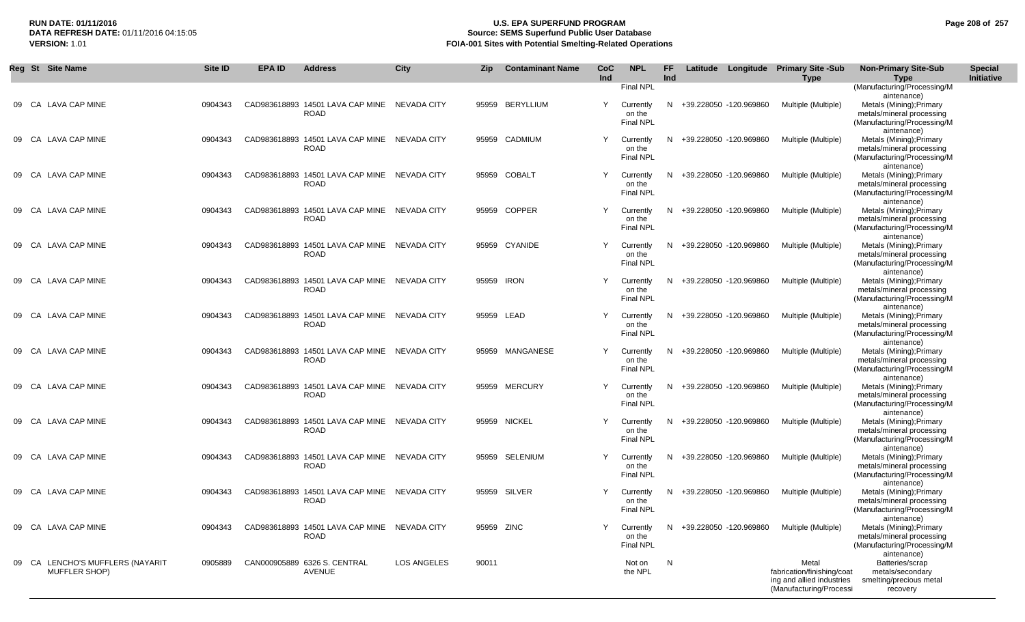#### **RUN DATE: 01/11/2016 U.S. EPA SUPERFUND PROGRAM Page 208 of 257** DATA REFRESH DATE: 01/11/2016 04:15:05<br>**VERSION: 1.01** Source: SEMS Superfund Public User Database<br>FOIA-001 Sites with Potential Smelting-Related Operat **FOIA-001 Sites with Potential Smelting-Related Operations**

| Reg St Site Name                                  | <b>Site ID</b> | <b>EPA ID</b> | <b>Address</b>                                              | City               | Zip        | <b>Contaminant Name</b> | CoC<br>Ind | <b>NPL</b>                                           | FF.<br><b>Ind</b> |                          | Latitude Longitude Primary Site -Sub<br><b>Type</b>                                         | <b>Non-Primary Site-Sub</b><br>Type                                                                                                | <b>Special</b><br>Initiative |
|---------------------------------------------------|----------------|---------------|-------------------------------------------------------------|--------------------|------------|-------------------------|------------|------------------------------------------------------|-------------------|--------------------------|---------------------------------------------------------------------------------------------|------------------------------------------------------------------------------------------------------------------------------------|------------------------------|
| 09 CA LAVA CAP MINE                               | 0904343        |               | CAD983618893 14501 LAVA CAP MINE NEVADA CITY<br><b>ROAD</b> |                    |            | 95959 BERYLLIUM         | Y          | <b>Final NPL</b><br>Currently<br>on the<br>Final NPL |                   | N +39.228050 -120.969860 | Multiple (Multiple)                                                                         | (Manufacturing/Processing/M<br>aintenance)<br>Metals (Mining); Primary<br>metals/mineral processing<br>(Manufacturing/Processing/M |                              |
| 09 CA LAVA CAP MINE                               | 0904343        |               | CAD983618893 14501 LAVA CAP MINE<br>ROAD                    | NEVADA CITY        | 95959      | CADMIUM                 | Y          | Currently<br>on the<br>Final NPL                     |                   | N +39.228050 -120.969860 | Multiple (Multiple)                                                                         | aintenance)<br>Metals (Mining); Primary<br>metals/mineral processing<br>(Manufacturing/Processing/M<br>aintenance)                 |                              |
| 09 CA LAVA CAP MINE                               | 0904343        |               | CAD983618893 14501 LAVA CAP MINE<br>ROAD                    | NEVADA CITY        |            | 95959 COBALT            | Y          | Currently<br>on the<br><b>Final NPL</b>              |                   | N +39.228050 -120.969860 | Multiple (Multiple)                                                                         | Metals (Mining); Primary<br>metals/mineral processing<br>(Manufacturing/Processing/M                                               |                              |
| 09 CA LAVA CAP MINE                               | 0904343        |               | CAD983618893 14501 LAVA CAP MINE NEVADA CITY<br>ROAD        |                    |            | 95959 COPPER            | Y          | Currently<br>on the<br><b>Final NPL</b>              |                   | N +39.228050 -120.969860 | Multiple (Multiple)                                                                         | aintenance)<br>Metals (Mining); Primary<br>metals/mineral processing<br>(Manufacturing/Processing/M                                |                              |
| 09 CA LAVA CAP MINE                               | 0904343        |               | CAD983618893 14501 LAVA CAP MINE NEVADA CITY<br><b>ROAD</b> |                    |            | 95959 CYANIDE           | Y          | Currently<br>on the<br>Final NPL                     |                   | N +39.228050 -120.969860 | Multiple (Multiple)                                                                         | aintenance)<br>Metals (Mining); Primary<br>metals/mineral processing<br>(Manufacturing/Processing/M                                |                              |
| 09 CA LAVA CAP MINE                               | 0904343        |               | CAD983618893 14501 LAVA CAP MINE NEVADA CITY<br><b>ROAD</b> |                    | 95959 IRON |                         | Y          | Currently<br>on the<br><b>Final NPL</b>              |                   | N +39.228050 -120.969860 | Multiple (Multiple)                                                                         | aintenance)<br>Metals (Mining); Primary<br>metals/mineral processing<br>(Manufacturing/Processing/M                                |                              |
| 09 CA LAVA CAP MINE                               | 0904343        |               | CAD983618893 14501 LAVA CAP MINE NEVADA CITY<br>ROAD        |                    |            | 95959 LEAD              | Y          | Currently<br>on the<br>Final NPL                     |                   | N +39.228050 -120.969860 | Multiple (Multiple)                                                                         | aintenance)<br>Metals (Mining); Primary<br>metals/mineral processing<br>(Manufacturing/Processing/M<br>aintenance)                 |                              |
| 09 CA LAVA CAP MINE                               | 0904343        |               | CAD983618893 14501 LAVA CAP MINE NEVADA CITY<br><b>ROAD</b> |                    |            | 95959 MANGANESE         | Y          | Currently<br>on the<br><b>Final NPL</b>              |                   | N +39.228050 -120.969860 | Multiple (Multiple)                                                                         | Metals (Mining); Primary<br>metals/mineral processing<br>(Manufacturing/Processing/M<br>aintenance)                                |                              |
| 09 CA LAVA CAP MINE                               | 0904343        |               | CAD983618893 14501 LAVA CAP MINE NEVADA CITY<br>ROAD        |                    |            | 95959 MERCURY           | Y          | Currently<br>on the<br><b>Final NPL</b>              |                   | N +39.228050 -120.969860 | Multiple (Multiple)                                                                         | Metals (Mining); Primary<br>metals/mineral processing<br>(Manufacturing/Processing/M<br>aintenance)                                |                              |
| 09 CA LAVA CAP MINE                               | 0904343        |               | CAD983618893 14501 LAVA CAP MINE NEVADA CITY<br><b>ROAD</b> |                    |            | 95959 NICKEL            | Y          | Currently<br>on the<br>Final NPL                     |                   | N +39.228050 -120.969860 | Multiple (Multiple)                                                                         | Metals (Mining); Primary<br>metals/mineral processing<br>(Manufacturing/Processing/M<br>aintenance)                                |                              |
| 09 CA LAVA CAP MINE                               | 0904343        |               | CAD983618893 14501 LAVA CAP MINE NEVADA CITY<br><b>ROAD</b> |                    |            | 95959 SELENIUM          | Y          | Currently<br>on the<br><b>Final NPL</b>              |                   | N +39.228050 -120.969860 | Multiple (Multiple)                                                                         | Metals (Mining); Primary<br>metals/mineral processing<br>(Manufacturing/Processing/M<br>aintenance)                                |                              |
| 09 CA LAVA CAP MINE                               | 0904343        |               | CAD983618893 14501 LAVA CAP MINE<br>ROAD                    | NEVADA CITY        |            | 95959 SILVER            | Y          | Currently<br>on the<br><b>Final NPL</b>              |                   | N +39.228050 -120.969860 | Multiple (Multiple)                                                                         | Metals (Mining); Primary<br>metals/mineral processing<br>(Manufacturing/Processing/M<br>aintenance)                                |                              |
| 09 CA LAVA CAP MINE                               | 0904343        |               | CAD983618893 14501 LAVA CAP MINE NEVADA CITY<br><b>ROAD</b> |                    | 95959 ZINC |                         |            | Currently<br>on the<br><b>Final NPL</b>              |                   | N +39.228050 -120.969860 | Multiple (Multiple)                                                                         | Metals (Mining); Primary<br>metals/mineral processing<br>(Manufacturing/Processing/M<br>aintenance)                                |                              |
| 09 CA LENCHO'S MUFFLERS (NAYARIT<br>MUFFLER SHOP) | 0905889        |               | CAN000905889 6326 S. CENTRAL<br><b>AVENUE</b>               | <b>LOS ANGELES</b> | 90011      |                         |            | Not on<br>the NPL                                    | N                 |                          | Metal<br>fabrication/finishing/coat<br>ing and allied industries<br>(Manufacturing/Processi | Batteries/scrap<br>metals/secondary<br>smelting/precious metal<br>recovery                                                         |                              |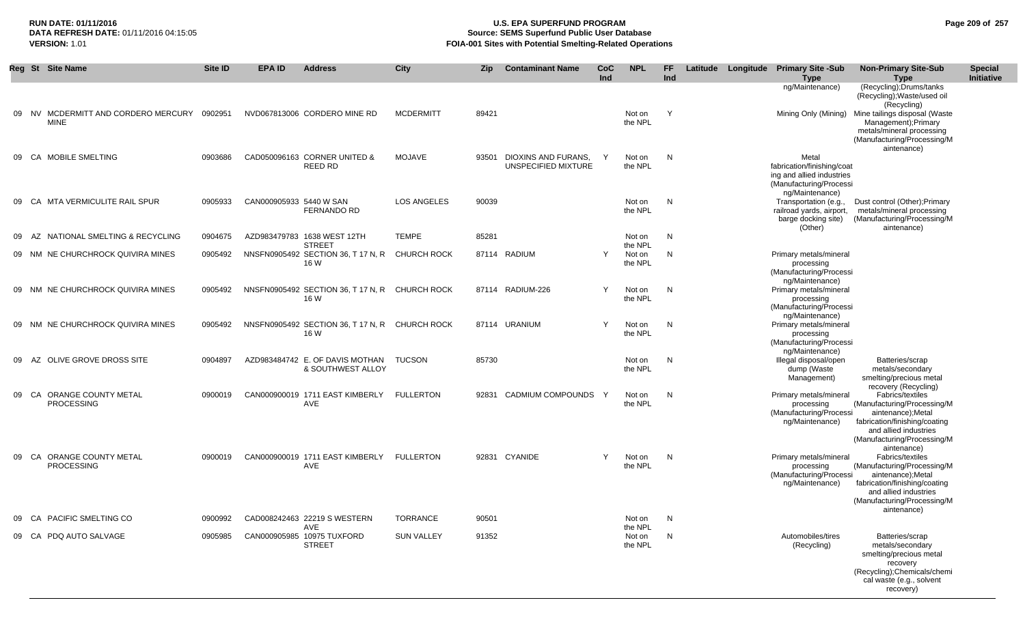## **RUN DATE: 01/11/2016 U.S. EPA SUPERFUND PROGRAM Page 209 of 257 Source: SEMS Superfund Public User Database VERSION:** 1.01 **FOIA-001 Sites with Potential Smelting-Related Operations**

|    | Reg St Site Name                               |                                     | <b>Site ID</b> | EPA ID                  | <b>Address</b>                                                          | <b>City</b>        | <b>Zip</b> | <b>Contaminant Name</b>                    | <b>CoC</b><br>Ind | <b>NPL</b>                   | FF.<br>Ind |  | Latitude Longitude Primary Site -Sub<br><b>Type</b>                                                            | <b>Non-Primary Site-Sub</b><br><b>Type</b>                                                                                                                                   | <b>Special</b><br><b>Initiative</b> |
|----|------------------------------------------------|-------------------------------------|----------------|-------------------------|-------------------------------------------------------------------------|--------------------|------------|--------------------------------------------|-------------------|------------------------------|------------|--|----------------------------------------------------------------------------------------------------------------|------------------------------------------------------------------------------------------------------------------------------------------------------------------------------|-------------------------------------|
|    |                                                |                                     |                |                         |                                                                         |                    |            |                                            |                   |                              |            |  | ng/Maintenance)                                                                                                | (Recycling); Drums/tanks<br>(Recycling); Waste/used oil<br>(Recycling)                                                                                                       |                                     |
|    | <b>MINE</b>                                    | 09 NV MCDERMITT AND CORDERO MERCURY | 0902951        |                         | NVD067813006 CORDERO MINE RD                                            | <b>MCDERMITT</b>   | 89421      |                                            |                   | Not on<br>the NPL            | Y          |  | Mining Only (Mining)                                                                                           | Mine tailings disposal (Waste<br>Management); Primary<br>metals/mineral processing<br>(Manufacturing/Processing/M<br>aintenance)                                             |                                     |
|    | 09 CA MOBILE SMELTING                          |                                     | 0903686        |                         | CAD050096163 CORNER UNITED &<br>REED RD                                 | <b>MOJAVE</b>      | 93501      | DIOXINS AND FURANS.<br>UNSPECIFIED MIXTURE | Y                 | Not on<br>the NPL            | N          |  | Metal<br>fabrication/finishing/coat<br>ing and allied industries<br>(Manufacturing/Processi<br>ng/Maintenance) |                                                                                                                                                                              |                                     |
|    | 09 CA MTA VERMICULITE RAIL SPUR                |                                     | 0905933        | CAN000905933 5440 W SAN | <b>FERNANDO RD</b>                                                      | <b>LOS ANGELES</b> | 90039      |                                            |                   | Not on<br>the NPL            | N          |  | Transportation (e.g.,<br>railroad yards, airport,<br>barge docking site)<br>(Other)                            | Dust control (Other); Primary<br>metals/mineral processing<br>(Manufacturing/Processing/M<br>aintenance)                                                                     |                                     |
| 09 | AZ.                                            | NATIONAL SMELTING & RECYCLING       | 0904675        |                         | AZD983479783 1638 WEST 12TH                                             | <b>TEMPE</b>       | 85281      |                                            |                   | Not on                       | N          |  |                                                                                                                |                                                                                                                                                                              |                                     |
|    |                                                | 09 NM NE CHURCHROCK QUIVIRA MINES   | 0905492        |                         | <b>STREET</b><br>NNSFN0905492 SECTION 36, T 17 N, R CHURCH ROCK<br>16 W |                    |            | 87114 RADIUM                               | Y                 | the NPL<br>Not on<br>the NPL | N          |  | Primary metals/mineral<br>processing<br>(Manufacturing/Processi<br>ng/Maintenance)                             |                                                                                                                                                                              |                                     |
|    |                                                | 09 NM NE CHURCHROCK QUIVIRA MINES   | 0905492        |                         | NNSFN0905492 SECTION 36, T 17 N, R CHURCH ROCK<br>16 W                  |                    |            | 87114 RADIUM-226                           | Y                 | Not on<br>the NPL            | N          |  | Primary metals/mineral<br>processing<br>(Manufacturing/Processi<br>ng/Maintenance)                             |                                                                                                                                                                              |                                     |
| 09 |                                                | NM NE CHURCHROCK QUIVIRA MINES      | 0905492        |                         | NNSFN0905492 SECTION 36, T 17 N, R CHURCH ROCK<br>16 W                  |                    |            | 87114 URANIUM                              | $\mathsf{Y}$      | Not on<br>the NPL            | N          |  | Primary metals/mineral<br>processing<br>(Manufacturing/Processi<br>ng/Maintenance)                             |                                                                                                                                                                              |                                     |
| 09 | AZ                                             | OLIVE GROVE DROSS SITE              | 0904897        |                         | AZD983484742 E. OF DAVIS MOTHAN<br>& SOUTHWEST ALLOY                    | <b>TUCSON</b>      | 85730      |                                            |                   | Not on<br>the NPL            | N          |  | Illegal disposal/open<br>dump (Waste<br>Management)                                                            | Batteries/scrap<br>metals/secondary<br>smelting/precious metal<br>recovery (Recycling)                                                                                       |                                     |
|    | 09 CA ORANGE COUNTY METAL<br><b>PROCESSING</b> |                                     | 0900019        |                         | CAN000900019 1711 EAST KIMBERLY<br>AVE                                  | <b>FULLERTON</b>   | 92831      | CADMIUM COMPOUNDS Y                        |                   | Not on<br>the NPL            | N          |  | Primary metals/mineral<br>processing<br>(Manufacturing/Processi<br>ng/Maintenance)                             | Fabrics/textiles<br>(Manufacturing/Processing/M<br>aintenance);Metal<br>fabrication/finishing/coating<br>and allied industries<br>(Manufacturing/Processing/M<br>aintenance) |                                     |
|    | 09 CA ORANGE COUNTY METAL<br><b>PROCESSING</b> |                                     | 0900019        |                         | CAN000900019 1711 EAST KIMBERLY FULLERTON<br>AVE                        |                    |            | 92831 CYANIDE                              | Y                 | Not on<br>the NPL            | N          |  | Primary metals/mineral<br>processing<br>(Manufacturing/Processi<br>ng/Maintenance)                             | Fabrics/textiles<br>(Manufacturing/Processing/M<br>aintenance);Metal<br>fabrication/finishing/coating<br>and allied industries<br>(Manufacturing/Processing/M<br>aintenance) |                                     |
| 09 | <b>PACIFIC SMELTING CO</b><br>CA               |                                     | 0900992        |                         | CAD008242463 22219 S WESTERN                                            | <b>TORRANCE</b>    | 90501      |                                            |                   | Not on                       | N          |  |                                                                                                                |                                                                                                                                                                              |                                     |
|    | 09 CA PDQ AUTO SALVAGE                         |                                     | 0905985        |                         | <b>AVE</b><br>CAN000905985 10975 TUXFORD<br><b>STREET</b>               | <b>SUN VALLEY</b>  | 91352      |                                            |                   | the NPL<br>Not on<br>the NPL | N          |  | Automobiles/tires<br>(Recycling)                                                                               | Batteries/scrap<br>metals/secondary<br>smelting/precious metal<br>recovery<br>(Recycling); Chemicals/chemi<br>cal waste (e.g., solvent<br>recovery)                          |                                     |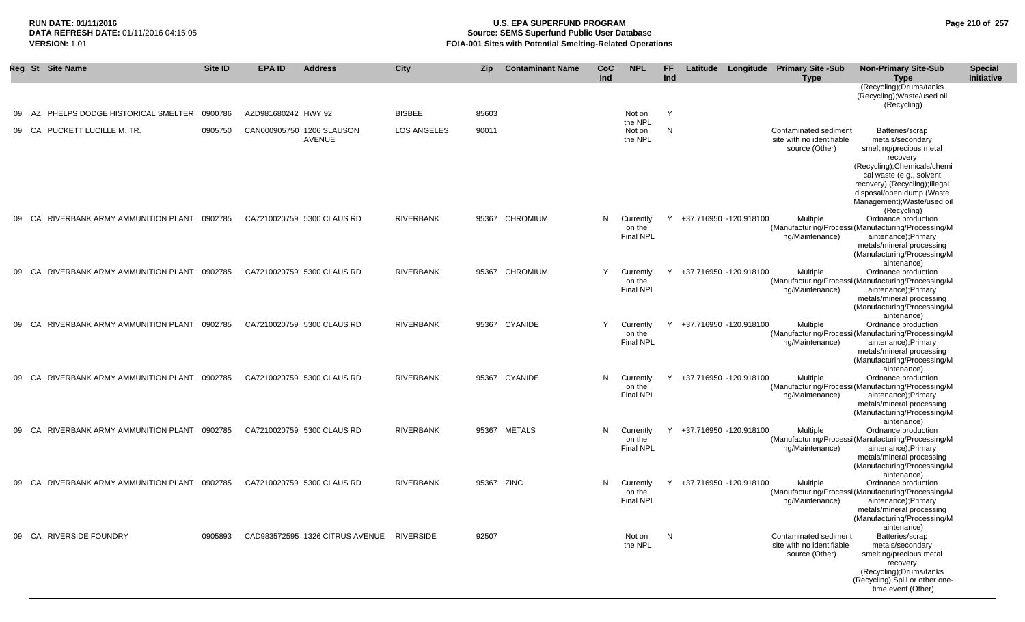## **RUN DATE: 01/11/2016 U.S. EPA SUPERFUND PROGRAM Page 210 of 257 Source: SEMS Superfund Public User Database VERSION:** 1.01 **FOIA-001 Sites with Potential Smelting-Related Operations**

|    | Reg St Site Name                              | Site ID | <b>EPA ID</b>       | <b>Address</b>                            | City               | <b>Zip</b> | <b>Contaminant Name</b> | <b>CoC</b><br>Ind | <b>NPL</b>                              | FF<br>Ind |                          | Latitude Longitude Primary Site -Sub<br><b>Type</b>                  | <b>Non-Primary Site-Sub</b><br><b>Type</b>                                                                                                                                                                   | <b>Special</b><br>Initiative |
|----|-----------------------------------------------|---------|---------------------|-------------------------------------------|--------------------|------------|-------------------------|-------------------|-----------------------------------------|-----------|--------------------------|----------------------------------------------------------------------|--------------------------------------------------------------------------------------------------------------------------------------------------------------------------------------------------------------|------------------------------|
|    |                                               |         |                     |                                           |                    |            |                         |                   |                                         |           |                          |                                                                      | (Recycling); Drums/tanks<br>(Recycling); Waste/used oil<br>(Recycling)                                                                                                                                       |                              |
| 09 | AZ PHELPS DODGE HISTORICAL SMELTER 0900786    |         | AZD981680242 HWY 92 |                                           | <b>BISBEE</b>      | 85603      |                         |                   | Not on                                  | Y         |                          |                                                                      |                                                                                                                                                                                                              |                              |
|    | 09 CA PUCKETT LUCILLE M. TR.                  | 0905750 |                     | CAN000905750 1206 SLAUSON<br>AVENUE       | <b>LOS ANGELES</b> | 90011      |                         |                   | the NPL<br>Not on<br>the NPL            | N         |                          | Contaminated sediment<br>site with no identifiable<br>source (Other) | Batteries/scrap<br>metals/secondary<br>smelting/precious metal<br>recovery<br>(Recycling);Chemicals/chemi<br>cal waste (e.g., solvent<br>recovery) (Recycling); Illegal                                      |                              |
|    |                                               |         |                     |                                           |                    |            |                         |                   |                                         |           |                          |                                                                      | disposal/open dump (Waste<br>Management); Waste/used oil                                                                                                                                                     |                              |
|    | 09 CA RIVERBANK ARMY AMMUNITION PLANT 0902785 |         |                     | CA7210020759 5300 CLAUS RD                | <b>RIVERBANK</b>   | 95367      | <b>CHROMIUM</b>         | N.                | Currently<br>on the<br><b>Final NPL</b> | Y         | +37.716950 -120.918100   | Multiple<br>ng/Maintenance)                                          | (Recycling)<br>Ordnance production<br>(Manufacturing/Processi (Manufacturing/Processing/M<br>aintenance); Primary<br>metals/mineral processing<br>(Manufacturing/Processing/M                                |                              |
|    | 09 CA RIVERBANK ARMY AMMUNITION PLANT 0902785 |         |                     | CA7210020759 5300 CLAUS RD                | RIVERBANK          |            | 95367 CHROMIUM          |                   | Currently<br>on the<br><b>Final NPL</b> |           | Y +37.716950 -120.918100 | Multiple<br>ng/Maintenance)                                          | aintenance)<br>Ordnance production<br>(Manufacturing/Processi (Manufacturing/Processing/M<br>aintenance);Primary<br>metals/mineral processing                                                                |                              |
| 09 | CA RIVERBANK ARMY AMMUNITION PLANT 0902785    |         |                     | CA7210020759 5300 CLAUS RD                | <b>RIVERBANK</b>   | 95367      | CYANIDE                 |                   | Currently<br>on the<br><b>Final NPL</b> | Y         | +37.716950 -120.918100   | Multiple<br>ng/Maintenance)                                          | (Manufacturing/Processing/M<br>aintenance)<br>Ordnance production<br>(Manufacturing/Processi (Manufacturing/Processing/M<br>aintenance); Primary<br>metals/mineral processing                                |                              |
|    | 09 CA RIVERBANK ARMY AMMUNITION PLANT 0902785 |         |                     | CA7210020759 5300 CLAUS RD                | <b>RIVERBANK</b>   |            | 95367 CYANIDE           | N                 | Currently<br>on the<br><b>Final NPL</b> | Y         | +37.716950 -120.918100   | Multiple<br>ng/Maintenance)                                          | (Manufacturing/Processing/M<br>aintenance)<br>Ordnance production<br>(Manufacturing/Processi (Manufacturing/Processing/M<br>aintenance); Primary<br>metals/mineral processing                                |                              |
|    | 09 CA RIVERBANK ARMY AMMUNITION PLANT 0902785 |         |                     | CA7210020759 5300 CLAUS RD                | RIVERBANK          |            | 95367 METALS            | N.                | Currently<br>on the<br>Final NPL        | Y         | +37.716950 -120.918100   | Multiple<br>ng/Maintenance)                                          | (Manufacturing/Processing/M<br>aintenance)<br>Ordnance production<br>(Manufacturing/Processi (Manufacturing/Processing/M<br>aintenance); Primary<br>metals/mineral processing<br>(Manufacturing/Processing/M |                              |
| 09 | CA RIVERBANK ARMY AMMUNITION PLANT 0902785    |         |                     | CA7210020759 5300 CLAUS RD                | <b>RIVERBANK</b>   | 95367 ZINC |                         | N.                | Currently<br>on the<br><b>Final NPL</b> | Y         | +37.716950 -120.918100   | Multiple<br>ng/Maintenance)                                          | aintenance)<br>Ordnance production<br>(Manufacturing/Processi (Manufacturing/Processing/M<br>aintenance);Primary<br>metals/mineral processing<br>(Manufacturing/Processing/M                                 |                              |
|    | 09 CA RIVERSIDE FOUNDRY                       | 0905893 |                     | CAD983572595 1326 CITRUS AVENUE RIVERSIDE |                    | 92507      |                         |                   | Not on<br>the NPL                       | N,        |                          | Contaminated sediment<br>site with no identifiable<br>source (Other) | aintenance)<br>Batteries/scrap<br>metals/secondary<br>smelting/precious metal<br>recovery<br>(Recycling); Drums/tanks<br>(Recycling); Spill or other one-<br>time event (Other)                              |                              |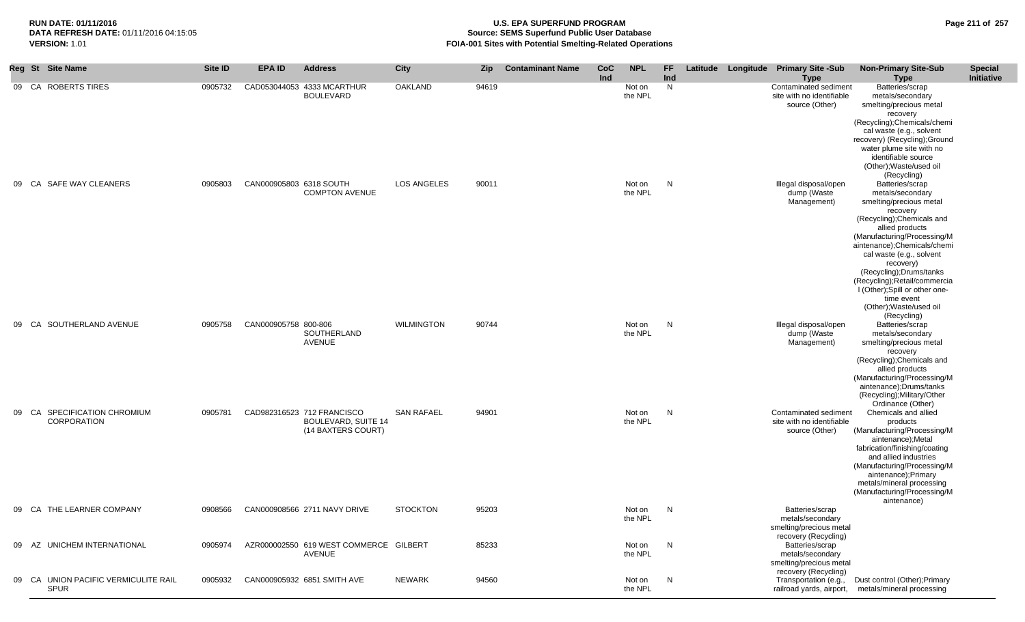## **RUN DATE: 01/11/2016 U.S. EPA SUPERFUND PROGRAM Page 211 of 257 Source: SEMS Superfund Public User Database VERSION:** 1.01 **FOIA-001 Sites with Potential Smelting-Related Operations**

|       | Reg St Site Name                                   | Site ID | <b>EPA ID</b>           | <b>Address</b>                                                                 | City              | Zip   | <b>Contaminant Name</b> | CoC<br>Ind | <b>NPL</b>        | FF<br>Ind | Latitude | Longitude Primary Site -Sub<br><b>Type</b>                                             | <b>Non-Primary Site-Sub</b><br><b>Type</b>                                                                                                                                                                                                                                                                                                                                               | <b>Special</b><br>Initiative |
|-------|----------------------------------------------------|---------|-------------------------|--------------------------------------------------------------------------------|-------------------|-------|-------------------------|------------|-------------------|-----------|----------|----------------------------------------------------------------------------------------|------------------------------------------------------------------------------------------------------------------------------------------------------------------------------------------------------------------------------------------------------------------------------------------------------------------------------------------------------------------------------------------|------------------------------|
|       | 09 CA ROBERTS TIRES                                | 0905732 |                         | CAD053044053 4333 MCARTHUR<br><b>BOULEVARD</b>                                 | <b>OAKLAND</b>    | 94619 |                         |            | Not on<br>the NPL | N         |          | Contaminated sediment<br>site with no identifiable<br>source (Other)                   | Batteries/scrap<br>metals/secondary<br>smelting/precious metal<br>recovery<br>(Recycling); Chemicals/chemi<br>cal waste (e.g., solvent<br>recovery) (Recycling); Ground<br>water plume site with no<br>identifiable source<br>(Other); Waste/used oil                                                                                                                                    |                              |
| 09 CA | SAFE WAY CLEANERS                                  | 0905803 | CAN000905803 6318 SOUTH | <b>COMPTON AVENUE</b>                                                          | LOS ANGELES       | 90011 |                         |            | Not on<br>the NPL | N         |          | Illegal disposal/open<br>dump (Waste<br>Management)                                    | (Recycling)<br>Batteries/scrap<br>metals/secondary<br>smelting/precious metal<br>recovery<br>(Recycling); Chemicals and<br>allied products<br>(Manufacturing/Processing/M<br>aintenance);Chemicals/chemi<br>cal waste (e.g., solvent<br>recovery)<br>(Recycling);Drums/tanks<br>(Recycling); Retail/commercia<br>I (Other); Spill or other one-<br>time event<br>(Other); Waste/used oil |                              |
| 09 CA | SOUTHERLAND AVENUE                                 | 0905758 | CAN000905758 800-806    | SOUTHERLAND<br>AVENUE                                                          | <b>WILMINGTON</b> | 90744 |                         |            | Not on<br>the NPL | N         |          | Illegal disposal/open<br>dump (Waste<br>Management)                                    | (Recycling)<br>Batteries/scrap<br>metals/secondary<br>smelting/precious metal<br>recovery<br>(Recycling); Chemicals and<br>allied products<br>(Manufacturing/Processing/M<br>aintenance);Drums/tanks<br>(Recycling); Military/Other<br>Ordinance (Other)                                                                                                                                 |                              |
|       | 09 CA SPECIFICATION CHROMIUM<br><b>CORPORATION</b> | 0905781 |                         | CAD982316523 712 FRANCISCO<br><b>BOULEVARD, SUITE 14</b><br>(14 BAXTERS COURT) | <b>SAN RAFAEL</b> | 94901 |                         |            | Not on<br>the NPL | N         |          | Contaminated sediment<br>site with no identifiable<br>source (Other)                   | Chemicals and allied<br>products<br>(Manufacturing/Processing/M<br>aintenance);Metal<br>fabrication/finishing/coating<br>and allied industries<br>(Manufacturing/Processing/M<br>aintenance);Primary<br>metals/mineral processing<br>(Manufacturing/Processing/M<br>aintenance)                                                                                                          |                              |
|       | 09 CA THE LEARNER COMPANY                          | 0908566 |                         | CAN000908566 2711 NAVY DRIVE                                                   | <b>STOCKTON</b>   | 95203 |                         |            | Not on<br>the NPL | N         |          | Batteries/scrap<br>metals/secondary<br>smelting/precious metal<br>recovery (Recycling) |                                                                                                                                                                                                                                                                                                                                                                                          |                              |
| 09 AZ | UNICHEM INTERNATIONAL                              | 0905974 |                         | AZR000002550 619 WEST COMMERCE GILBERT<br>AVENUE                               |                   | 85233 |                         |            | Not on<br>the NPL | N         |          | Batteries/scrap<br>metals/secondary<br>smelting/precious metal<br>recovery (Recycling) |                                                                                                                                                                                                                                                                                                                                                                                          |                              |
| 09 CA | UNION PACIFIC VERMICULITE RAIL<br><b>SPUR</b>      | 0905932 |                         | CAN000905932 6851 SMITH AVE                                                    | <b>NEWARK</b>     | 94560 |                         |            | Not on<br>the NPL | N         |          | Transportation (e.g.,                                                                  | Dust control (Other); Primary<br>railroad yards, airport, metals/mineral processing                                                                                                                                                                                                                                                                                                      |                              |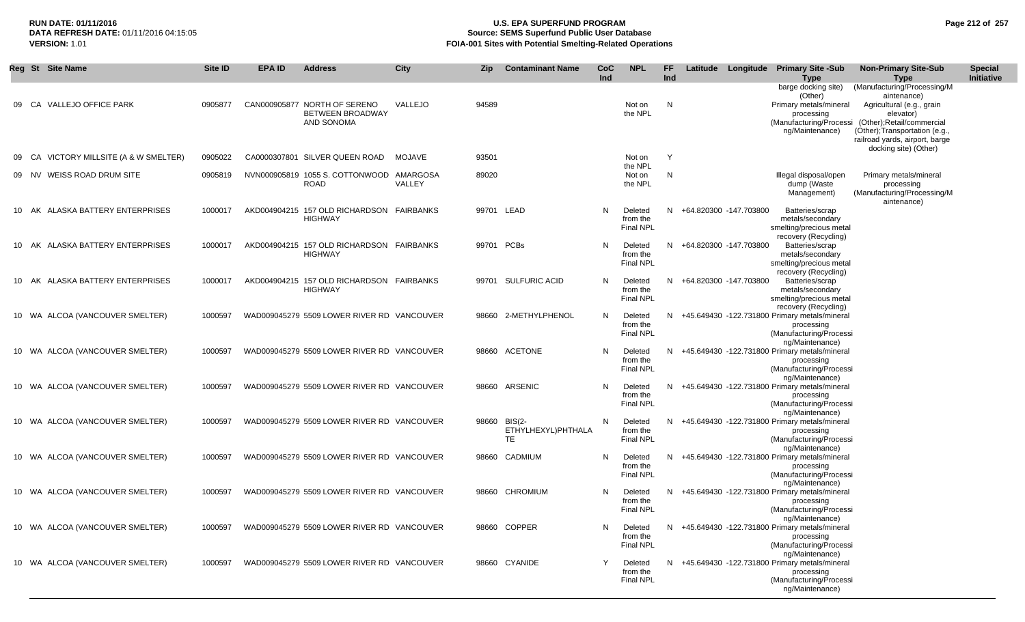## **RUN DATE: 01/11/2016 U.S. EPA SUPERFUND PROGRAM Page 212 of 257 Source: SEMS Superfund Public User Database VERSION:** 1.01 **FOIA-001 Sites with Potential Smelting-Related Operations**

|    | Reg St | <b>Site Name</b>                 | <b>Site ID</b> | <b>EPA ID</b> | <b>Address</b>                                                        | <b>City</b> | Zip        | <b>Contaminant Name</b>             | CoC<br>Ind | <b>NPL</b>                              | FF.<br>Ind |                        | Latitude Longitude Primary Site -Sub<br><b>Type</b>                                                                          | <b>Non-Primary Site-Sub</b><br>Type                                                                                                                    | <b>Special</b><br>Initiative |
|----|--------|----------------------------------|----------------|---------------|-----------------------------------------------------------------------|-------------|------------|-------------------------------------|------------|-----------------------------------------|------------|------------------------|------------------------------------------------------------------------------------------------------------------------------|--------------------------------------------------------------------------------------------------------------------------------------------------------|------------------------------|
|    |        |                                  |                |               |                                                                       |             |            |                                     |            |                                         |            |                        | barge docking site)                                                                                                          | (Manufacturing/Processing/M                                                                                                                            |                              |
|    | 09 CA  | VALLEJO OFFICE PARK              | 0905877        |               | CAN000905877 NORTH OF SERENO<br><b>BETWEEN BROADWAY</b><br>AND SONOMA | VALLEJO     | 94589      |                                     |            | Not on<br>the NPL                       | N          |                        | (Other)<br>Primary metals/mineral<br>processing<br>(Manufacturing/Processi<br>ng/Maintenance)                                | aintenance)<br>Agricultural (e.g., grain<br>elevator)<br>(Other);Retail/commercial<br>(Other); Transportation (e.g.,<br>railroad yards, airport, barge |                              |
|    |        |                                  |                |               |                                                                       |             |            |                                     |            |                                         |            |                        |                                                                                                                              | docking site) (Other)                                                                                                                                  |                              |
| 09 | CA     | VICTORY MILLSITE (A & W SMELTER) | 0905022        |               | CA0000307801 SILVER QUEEN ROAD                                        | MOJAVE      | 93501      |                                     |            | Not on<br>the NPL                       | Y          |                        |                                                                                                                              |                                                                                                                                                        |                              |
|    | 09 NV  | WEISS ROAD DRUM SITE             | 0905819        |               | NVN000905819 1055 S. COTTONWOOD AMARGOSA<br><b>ROAD</b>               | VALLEY      | 89020      |                                     |            | Not on<br>the NPL                       | N          |                        | Illegal disposal/open<br>dump (Waste<br>Management)                                                                          | Primary metals/mineral<br>processing<br>(Manufacturing/Processing/M<br>aintenance)                                                                     |                              |
|    | 10 AK  | ALASKA BATTERY ENTERPRISES       | 1000017        |               | AKD004904215 157 OLD RICHARDSON FAIRBANKS<br><b>HIGHWAY</b>           |             | 99701 LEAD |                                     | N          | Deleted<br>from the<br>Final NPL        | N          | +64.820300 -147.703800 | Batteries/scrap<br>metals/secondary<br>smelting/precious metal<br>recovery (Recycling)                                       |                                                                                                                                                        |                              |
|    |        | 10 AK ALASKA BATTERY ENTERPRISES | 1000017        |               | AKD004904215 157 OLD RICHARDSON FAIRBANKS<br><b>HIGHWAY</b>           |             | 99701 PCBs |                                     | N          | Deleted<br>from the<br><b>Final NPL</b> | N          | +64.820300 -147.703800 | Batteries/scrap<br>metals/secondary<br>smelting/precious metal                                                               |                                                                                                                                                        |                              |
|    |        | 10 AK ALASKA BATTERY ENTERPRISES | 1000017        |               | AKD004904215 157 OLD RICHARDSON FAIRBANKS<br><b>HIGHWAY</b>           |             |            | 99701 SULFURIC ACID                 | N          | Deleted<br>from the<br><b>Final NPL</b> | N          | +64.820300 -147.703800 | recovery (Recycling)<br>Batteries/scrap<br>metals/secondary<br>smelting/precious metal                                       |                                                                                                                                                        |                              |
|    |        | 10 WA ALCOA (VANCOUVER SMELTER)  | 1000597        |               | WAD009045279 5509 LOWER RIVER RD VANCOUVER                            |             | 98660      | 2-METHYLPHENOL                      | N          | Deleted<br>from the<br><b>Final NPL</b> | N.         |                        | recovery (Recycling)<br>+45.649430 -122.731800 Primary metals/mineral<br>processing<br>(Manufacturing/Processi               |                                                                                                                                                        |                              |
|    |        | 10 WA ALCOA (VANCOUVER SMELTER)  | 1000597        |               | WAD009045279 5509 LOWER RIVER RD VANCOUVER                            |             |            | 98660 ACETONE                       | N          | Deleted<br>from the<br><b>Final NPL</b> | N.         |                        | ng/Maintenance)<br>+45.649430 -122.731800 Primary metals/mineral<br>processing<br>(Manufacturing/Processi                    |                                                                                                                                                        |                              |
|    |        | 10 WA ALCOA (VANCOUVER SMELTER)  | 1000597        |               | WAD009045279 5509 LOWER RIVER RD VANCOUVER                            |             |            | 98660 ARSENIC                       | N.         | Deleted<br>from the<br>Final NPL        | N.         |                        | ng/Maintenance)<br>+45.649430 -122.731800 Primary metals/mineral<br>processing<br>(Manufacturing/Processi                    |                                                                                                                                                        |                              |
|    |        | 10 WA ALCOA (VANCOUVER SMELTER)  | 1000597        |               | WAD009045279 5509 LOWER RIVER RD VANCOUVER                            |             | 98660      | BIS(2-<br>ETHYLHEXYL)PHTHALA<br>TE. | N          | Deleted<br>from the<br><b>Final NPL</b> | N.         |                        | ng/Maintenance)<br>+45.649430 -122.731800 Primary metals/mineral<br>processing<br>(Manufacturing/Processi<br>ng/Maintenance) |                                                                                                                                                        |                              |
|    |        | 10 WA ALCOA (VANCOUVER SMELTER)  | 1000597        |               | WAD009045279 5509 LOWER RIVER RD VANCOUVER                            |             |            | 98660 CADMIUM                       | N          | Deleted<br>from the<br><b>Final NPL</b> | N.         |                        | +45.649430 -122.731800 Primary metals/mineral<br>processing<br>(Manufacturing/Processi<br>ng/Maintenance)                    |                                                                                                                                                        |                              |
|    |        | 10 WA ALCOA (VANCOUVER SMELTER)  | 1000597        |               | WAD009045279 5509 LOWER RIVER RD VANCOUVER                            |             |            | 98660 CHROMIUM                      | N          | Deleted<br>from the<br><b>Final NPL</b> | N          |                        | +45.649430 -122.731800 Primary metals/mineral<br>processing<br>(Manufacturing/Processi<br>ng/Maintenance)                    |                                                                                                                                                        |                              |
|    |        | 10 WA ALCOA (VANCOUVER SMELTER)  | 1000597        |               | WAD009045279 5509 LOWER RIVER RD VANCOUVER                            |             |            | 98660 COPPER                        | N          | Deleted<br>from the<br><b>Final NPL</b> | N.         |                        | +45.649430 -122.731800 Primary metals/mineral<br>processing<br>(Manufacturing/Processi<br>ng/Maintenance)                    |                                                                                                                                                        |                              |
|    |        | 10 WA ALCOA (VANCOUVER SMELTER)  | 1000597        |               | WAD009045279 5509 LOWER RIVER RD VANCOUVER                            |             |            | 98660 CYANIDE                       | Y          | Deleted<br>from the<br>Final NPL        | N.         |                        | +45.649430 -122.731800 Primary metals/mineral<br>processing<br>(Manufacturing/Processi<br>ng/Maintenance)                    |                                                                                                                                                        |                              |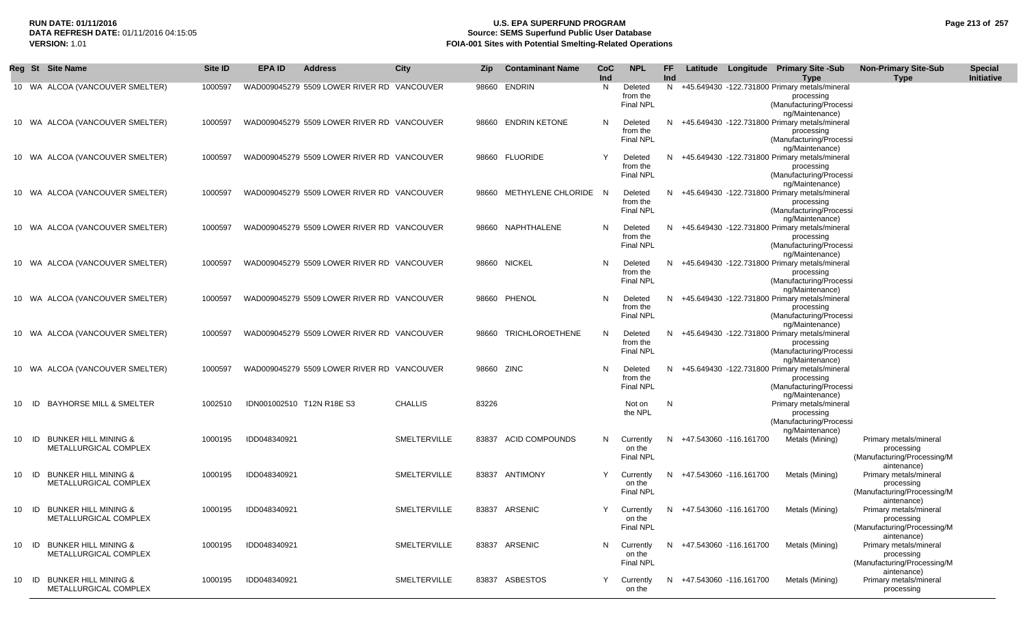## **RUN DATE: 01/11/2016 U.S. EPA SUPERFUND PROGRAM Page 213 of 257 DATA REFRESH DATE:** 01/11/2016 04:15:05 **Source: SEMS Superfund Public User Database**<br>**FOIA-001 Sites with Potential Smelting-Related Operat VERSION:** 1.01 **FOIA-001 Sites with Potential Smelting-Related Operations**

|            | Reg St Site Name                                         | <b>Site ID</b> | <b>EPA ID</b><br><b>Address</b>            | City                | <b>Zip</b> | <b>Contaminant Name</b> | CoC<br>Ind | <b>NPL</b>                              | FF.<br>Ind |                          |                        | Latitude Longitude Primary Site -Sub<br>Type                                                              | <b>Non-Primary Site-Sub</b><br><b>Type</b>                                         | <b>Special</b><br>Initiative |
|------------|----------------------------------------------------------|----------------|--------------------------------------------|---------------------|------------|-------------------------|------------|-----------------------------------------|------------|--------------------------|------------------------|-----------------------------------------------------------------------------------------------------------|------------------------------------------------------------------------------------|------------------------------|
|            | 10 WA ALCOA (VANCOUVER SMELTER)                          | 1000597        | WAD009045279 5509 LOWER RIVER RD VANCOUVER |                     | 98660      | ENDRIN                  | N          | Deleted<br>from the<br><b>Final NPL</b> | N          |                          |                        | +45.649430 -122.731800 Primary metals/mineral<br>processing<br>(Manufacturing/Processi<br>ng/Maintenance) |                                                                                    |                              |
|            | 10 WA ALCOA (VANCOUVER SMELTER)                          | 1000597        | WAD009045279 5509 LOWER RIVER RD VANCOUVER |                     |            | 98660 ENDRIN KETONE     | N.         | Deleted<br>from the<br><b>Final NPL</b> | N          |                          |                        | +45.649430 -122.731800 Primary metals/mineral<br>processing<br>(Manufacturing/Processi<br>ng/Maintenance) |                                                                                    |                              |
|            | 10 WA ALCOA (VANCOUVER SMELTER)                          | 1000597        | WAD009045279 5509 LOWER RIVER RD VANCOUVER |                     |            | 98660 FLUORIDE          | Y          | Deleted<br>from the<br><b>Final NPL</b> | N.         |                          |                        | +45.649430 -122.731800 Primary metals/mineral<br>processing<br>(Manufacturing/Processi<br>ng/Maintenance) |                                                                                    |                              |
|            | 10 WA ALCOA (VANCOUVER SMELTER)                          | 1000597        | WAD009045279 5509 LOWER RIVER RD VANCOUVER |                     | 98660      | METHYLENE CHLORIDE N    |            | Deleted<br>from the<br><b>Final NPL</b> |            |                          |                        | +45.649430 -122.731800 Primary metals/mineral<br>processing<br>(Manufacturing/Processi<br>ng/Maintenance) |                                                                                    |                              |
|            | 10 WA ALCOA (VANCOUVER SMELTER)                          | 1000597        | WAD009045279 5509 LOWER RIVER RD VANCOUVER |                     |            | 98660 NAPHTHALENE       | N          | Deleted<br>from the<br><b>Final NPL</b> | N.         |                          |                        | +45.649430 -122.731800 Primary metals/mineral<br>processing<br>(Manufacturing/Processi                    |                                                                                    |                              |
|            | 10 WA ALCOA (VANCOUVER SMELTER)                          | 1000597        | WAD009045279 5509 LOWER RIVER RD VANCOUVER |                     |            | 98660 NICKEL            | N.         | Deleted<br>from the<br><b>Final NPL</b> | N.         |                          |                        | ng/Maintenance)<br>+45.649430 -122.731800 Primary metals/mineral<br>processing<br>(Manufacturing/Processi |                                                                                    |                              |
|            | 10 WA ALCOA (VANCOUVER SMELTER)                          | 1000597        | WAD009045279 5509 LOWER RIVER RD VANCOUVER |                     |            | 98660 PHENOL            | N          | Deleted<br>from the<br>Final NPL        | N.         |                          |                        | ng/Maintenance)<br>+45.649430 -122.731800 Primary metals/mineral<br>processing<br>(Manufacturing/Processi |                                                                                    |                              |
|            | 10 WA ALCOA (VANCOUVER SMELTER)                          | 1000597        | WAD009045279 5509 LOWER RIVER RD VANCOUVER |                     | 98660      | <b>TRICHLOROETHENE</b>  | N          | Deleted<br>from the<br><b>Final NPL</b> | N          |                          |                        | ng/Maintenance)<br>+45.649430 -122.731800 Primary metals/mineral<br>processing<br>(Manufacturing/Processi |                                                                                    |                              |
|            | 10 WA ALCOA (VANCOUVER SMELTER)                          | 1000597        | WAD009045279 5509 LOWER RIVER RD VANCOUVER |                     |            | 98660 ZINC              | -N         | Deleted<br>from the<br><b>Final NPL</b> | N.         |                          |                        | ng/Maintenance)<br>+45.649430 -122.731800 Primary metals/mineral<br>processing<br>(Manufacturing/Processi |                                                                                    |                              |
| - ID<br>10 | <b>BAYHORSE MILL &amp; SMELTER</b>                       | 1002510        | IDN001002510 T12N R18E S3                  | <b>CHALLIS</b>      | 83226      |                         |            | Not on<br>the NPL                       | N          |                          |                        | ng/Maintenance)<br>Primary metals/mineral<br>processing<br>(Manufacturing/Processi                        |                                                                                    |                              |
| 10<br>- ID | <b>BUNKER HILL MINING &amp;</b><br>METALLURGICAL COMPLEX | 1000195        | IDD048340921                               | SMELTERVILLE        | 83837      | <b>ACID COMPOUNDS</b>   | N          | Currently<br>on the<br><b>Final NPL</b> | N.         |                          | +47.543060 -116.161700 | ng/Maintenance)<br>Metals (Mining)                                                                        | Primary metals/mineral<br>processing<br>(Manufacturing/Processing/M                |                              |
| ID<br>10   | <b>BUNKER HILL MINING &amp;</b><br>METALLURGICAL COMPLEX | 1000195        | IDD048340921                               | <b>SMELTERVILLE</b> | 83837      | ANTIMONY                | Y          | Currently<br>on the<br><b>Final NPL</b> | N.         |                          | +47.543060 -116.161700 | Metals (Mining)                                                                                           | aintenance)<br>Primary metals/mineral<br>processing<br>(Manufacturing/Processing/M |                              |
| ID<br>10   | <b>BUNKER HILL MINING &amp;</b><br>METALLURGICAL COMPLEX | 1000195        | IDD048340921                               | <b>SMELTERVILLE</b> |            | 83837 ARSENIC           |            | Currently<br>on the<br><b>Final NPL</b> |            | N +47.543060 -116.161700 |                        | Metals (Mining)                                                                                           | aintenance)<br>Primary metals/mineral<br>processing<br>(Manufacturing/Processing/M |                              |
|            | 10 ID BUNKER HILL MINING &<br>METALLURGICAL COMPLEX      | 1000195        | IDD048340921                               | <b>SMELTERVILLE</b> |            | 83837 ARSENIC           | N          | Currently<br>on the<br>Final NPL        |            | N +47.543060 -116.161700 |                        | Metals (Mining)                                                                                           | aintenance)<br>Primary metals/mineral<br>processing<br>(Manufacturing/Processing/M |                              |
|            | 10 ID BUNKER HILL MINING &<br>METALLURGICAL COMPLEX      | 1000195        | IDD048340921                               | <b>SMELTERVILLE</b> |            | 83837 ASBESTOS          | Y          | Currently<br>on the                     |            | N +47.543060 -116.161700 |                        | Metals (Mining)                                                                                           | aintenance)<br>Primary metals/mineral<br>processing                                |                              |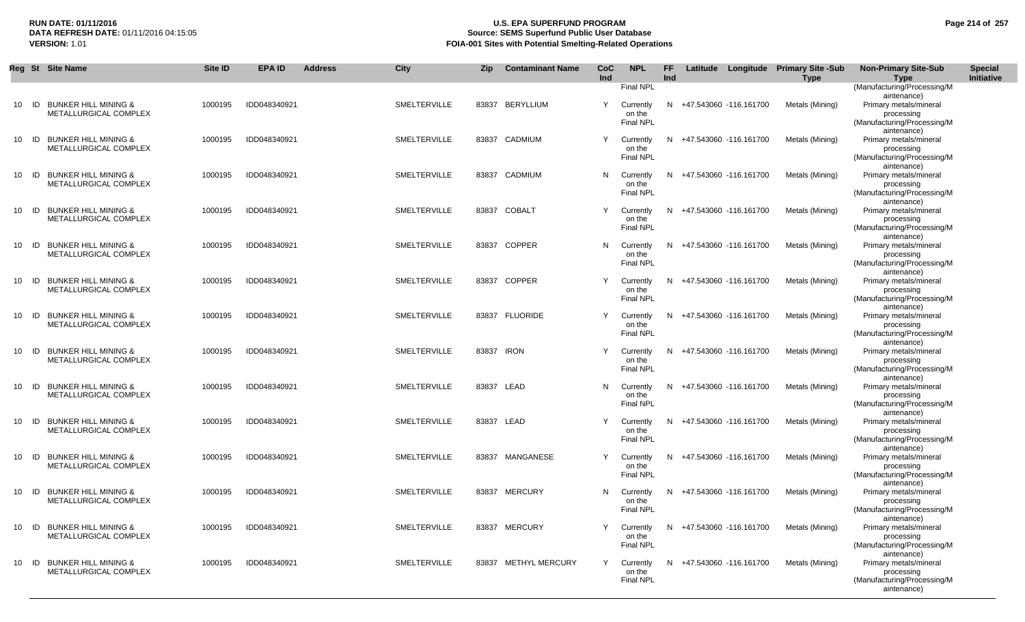## **RUN DATE: 01/11/2016 U.S. EPA SUPERFUND PROGRAM Page 214 of 257 Source: SEMS Superfund Public User Database VERSION:** 1.01 **FOIA-001 Sites with Potential Smelting-Related Operations**

|    | Reg St Site Name                                                      | Site ID | <b>EPA ID</b> | <b>Address</b> | City                | <b>Zip</b> | <b>Contaminant Name</b> | CoC<br>Ind | <b>NPL</b>                              | FF.<br>Ind |                          | Latitude Longitude Primary Site -Sub<br><b>Type</b> | <b>Non-Primary Site-Sub</b><br>Type                                                | <b>Special</b><br>Initiative |
|----|-----------------------------------------------------------------------|---------|---------------|----------------|---------------------|------------|-------------------------|------------|-----------------------------------------|------------|--------------------------|-----------------------------------------------------|------------------------------------------------------------------------------------|------------------------------|
|    |                                                                       |         |               |                |                     |            |                         |            | <b>Final NPL</b>                        |            |                          |                                                     | (Manufacturing/Processing/M<br>aintenance)                                         |                              |
| 10 | <b>BUNKER HILL MINING &amp;</b><br>ID<br><b>METALLURGICAL COMPLEX</b> | 1000195 | IDD048340921  |                | SMELTERVILLE        |            | 83837 BERYLLIUM         | Y          | Currently<br>on the<br>Final NPL        |            | N +47.543060 -116.161700 | Metals (Mining)                                     | Primary metals/mineral<br>processing<br>(Manufacturing/Processing/M<br>aintenance) |                              |
| 10 | <b>BUNKER HILL MINING &amp;</b><br>ID<br>METALLURGICAL COMPLEX        | 1000195 | IDD048340921  |                | <b>SMELTERVILLE</b> | 83837      | CADMIUM                 | Y          | Currently<br>on the<br>Final NPL        |            | N +47.543060 -116.161700 | Metals (Mining)                                     | Primary metals/mineral<br>processing<br>(Manufacturing/Processing/M<br>aintenance) |                              |
| 10 | <b>BUNKER HILL MINING &amp;</b><br>ID<br>METALLURGICAL COMPLEX        | 1000195 | IDD048340921  |                | SMELTERVILLE        | 83837      | CADMIUM                 | N          | Currently<br>on the<br><b>Final NPL</b> |            | N +47.543060 -116.161700 | Metals (Mining)                                     | Primary metals/mineral<br>processing<br>(Manufacturing/Processing/M<br>aintenance) |                              |
| 10 | <b>BUNKER HILL MINING &amp;</b><br>ID<br>METALLURGICAL COMPLEX        | 1000195 | IDD048340921  |                | <b>SMELTERVILLE</b> |            | 83837 COBALT            | Y          | Currently<br>on the<br><b>Final NPL</b> |            | N +47.543060 -116.161700 | Metals (Mining)                                     | Primary metals/mineral<br>processing<br>(Manufacturing/Processing/M<br>aintenance) |                              |
| 10 | <b>BUNKER HILL MINING &amp;</b><br>ID<br>METALLURGICAL COMPLEX        | 1000195 | IDD048340921  |                | <b>SMELTERVILLE</b> |            | 83837 COPPER            | N          | Currently<br>on the<br><b>Final NPL</b> |            | N +47.543060 -116.161700 | Metals (Mining)                                     | Primary metals/mineral<br>processing<br>(Manufacturing/Processing/M<br>aintenance) |                              |
| 10 | <b>BUNKER HILL MINING &amp;</b><br>ID<br>METALLURGICAL COMPLEX        | 1000195 | IDD048340921  |                | <b>SMELTERVILLE</b> | 83837      | <b>COPPER</b>           | Y          | Currently<br>on the<br><b>Final NPL</b> |            | N +47.543060 -116.161700 | Metals (Mining)                                     | Primary metals/mineral<br>processing<br>(Manufacturing/Processing/M<br>aintenance) |                              |
| 10 | <b>BUNKER HILL MINING &amp;</b><br>ID<br>METALLURGICAL COMPLEX        | 1000195 | IDD048340921  |                | <b>SMELTERVILLE</b> | 83837      | <b>FLUORIDE</b>         | Y          | Currently<br>on the<br>Final NPL        |            | N +47.543060 -116.161700 | Metals (Mining)                                     | Primary metals/mineral<br>processing<br>(Manufacturing/Processing/M<br>aintenance) |                              |
| 10 | <b>BUNKER HILL MINING &amp;</b><br>ID<br>METALLURGICAL COMPLEX        | 1000195 | IDD048340921  |                | SMELTERVILLE        | 83837      | IRON                    | Y          | Currently<br>on the<br><b>Final NPL</b> |            | N +47.543060 -116.161700 | Metals (Mining)                                     | Primary metals/mineral<br>processing<br>(Manufacturing/Processing/M<br>aintenance) |                              |
| 10 | ID<br><b>BUNKER HILL MINING &amp;</b><br>METALLURGICAL COMPLEX        | 1000195 | IDD048340921  |                | SMELTERVILLE        |            | 83837 LEAD              | N          | Currently<br>on the<br><b>Final NPL</b> |            | N +47.543060 -116.161700 | Metals (Mining)                                     | Primary metals/mineral<br>processing<br>(Manufacturing/Processing/M<br>aintenance) |                              |
| 10 | <b>BUNKER HILL MINING &amp;</b><br>ID<br>METALLURGICAL COMPLEX        | 1000195 | IDD048340921  |                | SMELTERVILLE        |            | 83837 LEAD              | Y          | Currently<br>on the<br>Final NPL        |            | N +47.543060 -116.161700 | Metals (Mining)                                     | Primary metals/mineral<br>processing<br>(Manufacturing/Processing/M<br>aintenance) |                              |
| 10 | <b>BUNKER HILL MINING &amp;</b><br>ID<br>METALLURGICAL COMPLEX        | 1000195 | IDD048340921  |                | SMELTERVILLE        | 83837      | MANGANESE               | Y          | Currently<br>on the<br><b>Final NPL</b> |            | N +47.543060 -116.161700 | Metals (Mining)                                     | Primary metals/mineral<br>processing<br>(Manufacturing/Processing/M<br>aintenance) |                              |
| 10 | <b>BUNKER HILL MINING &amp;</b><br>ID<br>METALLURGICAL COMPLEX        | 1000195 | IDD048340921  |                | SMELTERVILLE        | 83837      | <b>MERCURY</b>          | N          | Currently<br>on the<br><b>Final NPL</b> |            | N +47.543060 -116.161700 | Metals (Mining)                                     | Primary metals/mineral<br>processing<br>(Manufacturing/Processing/M<br>aintenance) |                              |
|    | 10 ID BUNKER HILL MINING &<br>METALLURGICAL COMPLEX                   | 1000195 | IDD048340921  |                | SMELTERVILLE        |            | 83837 MERCURY           |            | Currently<br>on the<br><b>Final NPL</b> |            | N +47.543060 -116.161700 | Metals (Mining)                                     | Primary metals/mineral<br>processing<br>(Manufacturing/Processing/M<br>aintenance) |                              |
| 10 | ID BUNKER HILL MINING &<br>METALLURGICAL COMPLEX                      | 1000195 | IDD048340921  |                | SMELTERVILLE        |            | 83837 METHYL MERCURY    | Y          | Currently<br>on the<br><b>Final NPL</b> |            | N +47.543060 -116.161700 | Metals (Mining)                                     | Primary metals/mineral<br>processing<br>(Manufacturing/Processing/M<br>aintenance) |                              |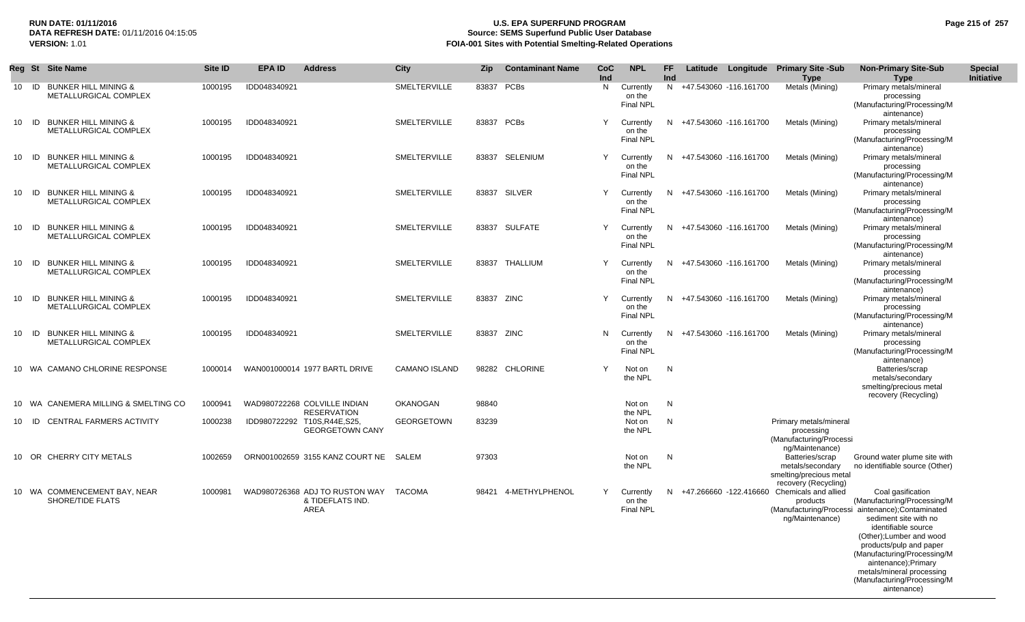# **Source: SEMS Superfund Public User Database VERSION:** 1.01 **FOIA-001 Sites with Potential Smelting-Related Operations**

| Page 215 of 257 |  |  |  |
|-----------------|--|--|--|
|-----------------|--|--|--|

|    | Reg St | <b>Site Name</b>                                         | Site ID | <b>EPA ID</b> | <b>Address</b>                                                              | City                 | <b>Zip</b> | <b>Contaminant Name</b> | CoC<br>Ind | <b>NPL</b>                              | FF.<br>Ind   |                        | Latitude Longitude Primary Site -Sub<br><b>Type</b>                                                | <b>Non-Primary Site-Sub</b><br>Type                                                                                                                                                                                                                                                                                                          | <b>Special</b><br><b>Initiative</b> |
|----|--------|----------------------------------------------------------|---------|---------------|-----------------------------------------------------------------------------|----------------------|------------|-------------------------|------------|-----------------------------------------|--------------|------------------------|----------------------------------------------------------------------------------------------------|----------------------------------------------------------------------------------------------------------------------------------------------------------------------------------------------------------------------------------------------------------------------------------------------------------------------------------------------|-------------------------------------|
|    |        | 10 ID BUNKER HILL MINING &<br>METALLURGICAL COMPLEX      | 1000195 | IDD048340921  |                                                                             | SMELTERVILLE         | 83837 PCBs |                         | N          | Currently<br>on the<br><b>Final NPL</b> | N            | +47.543060 -116.161700 | Metals (Mining)                                                                                    | Primary metals/mineral<br>processing<br>(Manufacturing/Processing/M<br>aintenance)                                                                                                                                                                                                                                                           |                                     |
| 10 | ID     | <b>BUNKER HILL MINING &amp;</b><br>METALLURGICAL COMPLEX | 1000195 | IDD048340921  |                                                                             | <b>SMELTERVILLE</b>  | 83837 PCBs |                         | Y          | Currently<br>on the<br>Final NPL        | N            | +47.543060 -116.161700 | Metals (Mining)                                                                                    | Primary metals/mineral<br>processing<br>(Manufacturing/Processing/M                                                                                                                                                                                                                                                                          |                                     |
| 10 | ID     | <b>BUNKER HILL MINING &amp;</b><br>METALLURGICAL COMPLEX | 1000195 | IDD048340921  |                                                                             | SMELTERVILLE         |            | 83837 SELENIUM          | Y          | Currently<br>on the<br><b>Final NPL</b> | N            | +47.543060 -116.161700 | Metals (Mining)                                                                                    | aintenance)<br>Primary metals/mineral<br>processing<br>(Manufacturing/Processing/M                                                                                                                                                                                                                                                           |                                     |
| 10 | ID     | <b>BUNKER HILL MINING &amp;</b><br>METALLURGICAL COMPLEX | 1000195 | IDD048340921  |                                                                             | <b>SMELTERVILLE</b>  |            | 83837 SILVER            | Y          | Currently<br>on the<br><b>Final NPL</b> | N            | +47.543060 -116.161700 | Metals (Mining)                                                                                    | aintenance)<br>Primary metals/mineral<br>processing<br>(Manufacturing/Processing/M                                                                                                                                                                                                                                                           |                                     |
| 10 | ID     | <b>BUNKER HILL MINING &amp;</b><br>METALLURGICAL COMPLEX | 1000195 | IDD048340921  |                                                                             | SMELTERVILLE         |            | 83837 SULFATE           | Y          | Currently<br>on the<br><b>Final NPL</b> | N            | +47.543060 -116.161700 | Metals (Mining)                                                                                    | aintenance)<br>Primary metals/mineral<br>processing<br>(Manufacturing/Processing/M                                                                                                                                                                                                                                                           |                                     |
| 10 | ID     | <b>BUNKER HILL MINING &amp;</b><br>METALLURGICAL COMPLEX | 1000195 | IDD048340921  |                                                                             | SMELTERVILLE         |            | 83837 THALLIUM          | Y          | Currently<br>on the<br><b>Final NPL</b> | N            | +47.543060 -116.161700 | Metals (Mining)                                                                                    | aintenance)<br>Primary metals/mineral<br>processing<br>(Manufacturing/Processing/M                                                                                                                                                                                                                                                           |                                     |
| 10 | ID     | <b>BUNKER HILL MINING &amp;</b><br>METALLURGICAL COMPLEX | 1000195 | IDD048340921  |                                                                             | SMELTERVILLE         | 83837 ZINC |                         | Y          | Currently<br>on the<br><b>Final NPL</b> | N.           | +47.543060 -116.161700 | Metals (Mining)                                                                                    | aintenance)<br>Primary metals/mineral<br>processing<br>(Manufacturing/Processing/M                                                                                                                                                                                                                                                           |                                     |
| 10 | - ID   | <b>BUNKER HILL MINING &amp;</b><br>METALLURGICAL COMPLEX | 1000195 | IDD048340921  |                                                                             | SMELTERVILLE         | 83837 ZINC |                         | N          | Currently<br>on the<br><b>Final NPL</b> | N            | +47.543060 -116.161700 | Metals (Mining)                                                                                    | aintenance)<br>Primary metals/mineral<br>processing<br>(Manufacturing/Processing/M                                                                                                                                                                                                                                                           |                                     |
|    |        | 10 WA CAMANO CHLORINE RESPONSE                           | 1000014 |               | WAN001000014 1977 BARTL DRIVE                                               | <b>CAMANO ISLAND</b> |            | 98282 CHLORINE          | Y          | Not on<br>the NPL                       | $\mathsf{N}$ |                        |                                                                                                    | aintenance)<br>Batteries/scrap<br>metals/secondary<br>smelting/precious metal                                                                                                                                                                                                                                                                |                                     |
|    | 10 WA  | CANEMERA MILLING & SMELTING CO                           | 1000941 |               | WAD980722268 COLVILLE INDIAN                                                | OKANOGAN             | 98840      |                         |            | Not on                                  | $\mathsf{N}$ |                        |                                                                                                    | recovery (Recycling)                                                                                                                                                                                                                                                                                                                         |                                     |
|    | 10 ID  | <b>CENTRAL FARMERS ACTIVITY</b>                          | 1000238 |               | <b>RESERVATION</b><br>IDD980722292 T10S,R44E,S25,<br><b>GEORGETOWN CANY</b> | <b>GEORGETOWN</b>    | 83239      |                         |            | the NPL<br>Not on<br>the NPL            | $\mathsf{N}$ |                        | Primary metals/mineral<br>processing<br>(Manufacturing/Processi<br>ng/Maintenance)                 |                                                                                                                                                                                                                                                                                                                                              |                                     |
|    |        | 10 OR CHERRY CITY METALS                                 | 1002659 |               | ORN001002659 3155 KANZ COURT NE SALEM                                       |                      | 97303      |                         |            | Not on<br>the NPL                       | N            |                        | Batteries/scrap<br>metals/secondary<br>smelting/precious metal                                     | Ground water plume site with<br>no identifiable source (Other)                                                                                                                                                                                                                                                                               |                                     |
|    |        | 10 WA COMMENCEMENT BAY, NEAR<br>SHORE/TIDE FLATS         | 1000981 |               | WAD980726368 ADJ TO RUSTON WAY<br>& TIDEFLATS IND.<br>AREA                  | TACOMA               | 98421      | 4-METHYLPHENOL          | Y          | Currently<br>on the<br><b>Final NPL</b> | N            |                        | recovery (Recycling)<br>+47.266660 -122.416660 Chemicals and allied<br>products<br>ng/Maintenance) | Coal gasification<br>(Manufacturing/Processing/M<br>(Manufacturing/Processi aintenance);Contaminated<br>sediment site with no<br>identifiable source<br>(Other); Lumber and wood<br>products/pulp and paper<br>(Manufacturing/Processing/M<br>aintenance);Primary<br>metals/mineral processing<br>(Manufacturing/Processing/M<br>aintenance) |                                     |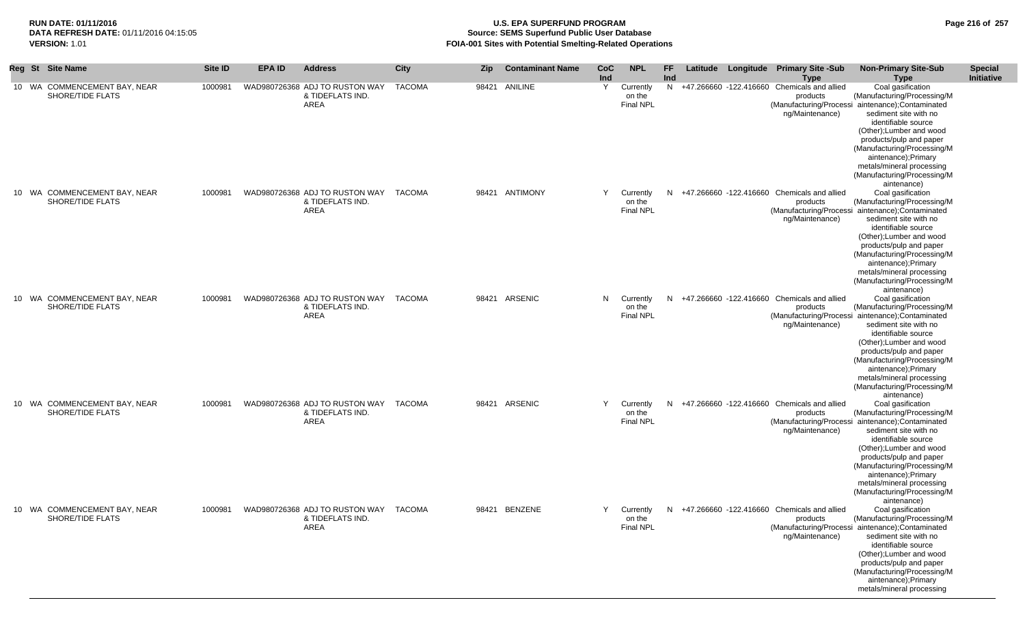## **RUN DATE: 01/11/2016 U.S. EPA SUPERFUND PROGRAM Page 216 of 257 Source: SEMS Superfund Public User Database VERSION:** 1.01 **FOIA-001 Sites with Potential Smelting-Related Operations**

|  | Reg St Site Name                                 | Site ID | <b>EPA ID</b> | <b>Address</b>                                                    | City          | <b>Zip</b> | <b>Contaminant Name</b> | CoC<br>Ind | <b>NPL</b>                              | <b>FF</b><br>Ind |  | Latitude Longitude Primary Site -Sub<br><b>Type</b>                          | <b>Non-Primary Site-Sub</b><br><b>Type</b>                                                                                                                                                                                                                                                                                                    | <b>Special</b><br>Initiative |
|--|--------------------------------------------------|---------|---------------|-------------------------------------------------------------------|---------------|------------|-------------------------|------------|-----------------------------------------|------------------|--|------------------------------------------------------------------------------|-----------------------------------------------------------------------------------------------------------------------------------------------------------------------------------------------------------------------------------------------------------------------------------------------------------------------------------------------|------------------------------|
|  | 10 WA COMMENCEMENT BAY, NEAR<br>SHORE/TIDE FLATS | 1000981 |               | WAD980726368 ADJ TO RUSTON WAY<br>& TIDEFLATS IND.<br>AREA        | <b>TACOMA</b> |            | 98421 ANILINE           | Y          | Currently<br>on the<br><b>Final NPL</b> |                  |  | N +47.266660 -122.416660 Chemicals and allied<br>products<br>ng/Maintenance) | Coal gasification<br>(Manufacturing/Processing/M<br>(Manufacturing/Processi aintenance); Contaminated<br>sediment site with no<br>identifiable source<br>(Other); Lumber and wood<br>products/pulp and paper<br>(Manufacturing/Processing/M<br>aintenance);Primary<br>metals/mineral processing<br>(Manufacturing/Processing/M<br>aintenance) |                              |
|  | 10 WA COMMENCEMENT BAY, NEAR<br>SHORE/TIDE FLATS | 1000981 |               | WAD980726368 ADJ TO RUSTON WAY TACOMA<br>& TIDEFLATS IND.<br>AREA |               |            | 98421 ANTIMONY          | Y          | Currently<br>on the<br><b>Final NPL</b> |                  |  | N +47.266660 -122.416660 Chemicals and allied<br>products<br>ng/Maintenance) | Coal gasification<br>(Manufacturing/Processing/M<br>(Manufacturing/Processi aintenance); Contaminated<br>sediment site with no<br>identifiable source<br>(Other); Lumber and wood<br>products/pulp and paper<br>(Manufacturing/Processing/M<br>aintenance);Primary<br>metals/mineral processing<br>(Manufacturing/Processing/M<br>aintenance) |                              |
|  | 10 WA COMMENCEMENT BAY, NEAR<br>SHORE/TIDE FLATS | 1000981 |               | WAD980726368 ADJ TO RUSTON WAY TACOMA<br>& TIDEFLATS IND.<br>AREA |               |            | 98421 ARSENIC           | N          | Currently<br>on the<br><b>Final NPL</b> |                  |  | N +47.266660 -122.416660 Chemicals and allied<br>products<br>ng/Maintenance) | Coal gasification<br>(Manufacturing/Processing/M<br>(Manufacturing/Processi aintenance); Contaminated<br>sediment site with no<br>identifiable source<br>(Other); Lumber and wood<br>products/pulp and paper<br>(Manufacturing/Processing/M<br>aintenance);Primary<br>metals/mineral processing<br>(Manufacturing/Processing/M<br>aintenance) |                              |
|  | 10 WA COMMENCEMENT BAY, NEAR<br>SHORE/TIDE FLATS | 1000981 |               | WAD980726368 ADJ TO RUSTON WAY TACOMA<br>& TIDEFLATS IND.<br>AREA |               |            | 98421 ARSENIC           | Y          | Currently<br>on the<br><b>Final NPL</b> |                  |  | N +47.266660 -122.416660 Chemicals and allied<br>products<br>ng/Maintenance) | Coal gasification<br>(Manufacturing/Processing/M<br>(Manufacturing/Processi aintenance); Contaminated<br>sediment site with no<br>identifiable source<br>(Other); Lumber and wood<br>products/pulp and paper<br>(Manufacturing/Processing/M<br>aintenance):Primary<br>metals/mineral processing<br>(Manufacturing/Processing/M<br>aintenance) |                              |
|  | 10 WA COMMENCEMENT BAY, NEAR<br>SHORE/TIDE FLATS | 1000981 |               | WAD980726368 ADJ TO RUSTON WAY TACOMA<br>& TIDEFLATS IND.<br>AREA |               |            | 98421 BENZENE           | Y          | Currently<br>on the<br><b>Final NPL</b> |                  |  | N +47.266660 -122.416660 Chemicals and allied<br>products<br>ng/Maintenance) | Coal gasification<br>(Manufacturing/Processing/M<br>(Manufacturing/Processi aintenance); Contaminated<br>sediment site with no<br>identifiable source<br>(Other); Lumber and wood<br>products/pulp and paper<br>(Manufacturing/Processing/M<br>aintenance);Primary<br>metals/mineral processing                                               |                              |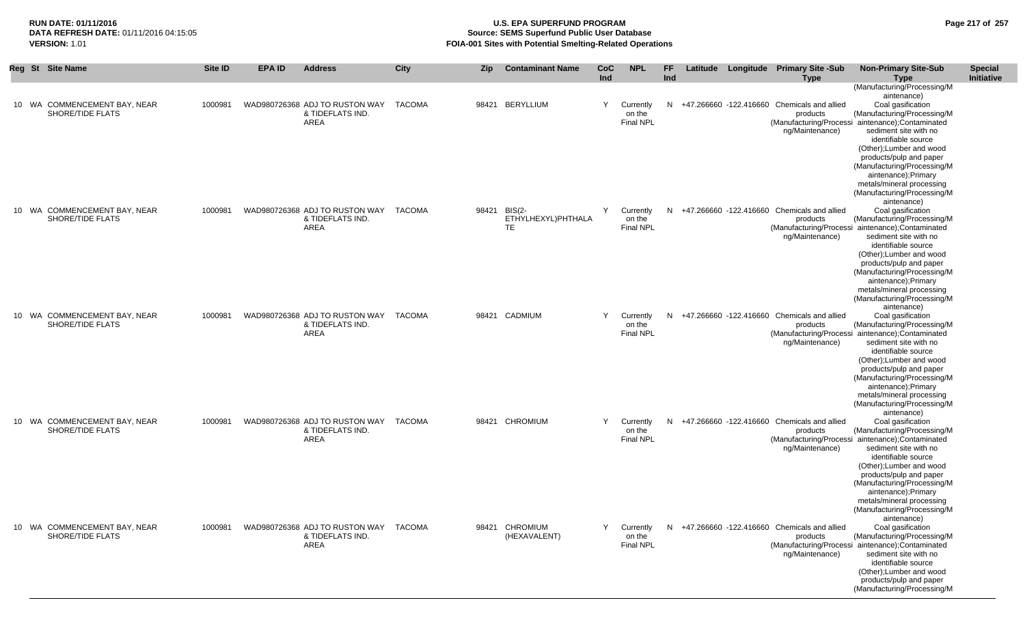## **RUN DATE: 01/11/2016 U.S. EPA SUPERFUND PROGRAM Page 217 of 257 Source: SEMS Superfund Public User Database VERSION:** 1.01 **FOIA-001 Sites with Potential Smelting-Related Operations**

| Reg | <b>St</b> Site Name                                     | Site ID | <b>EPA ID</b> | <b>Address</b>                                                    | City   | <b>Zip</b> | <b>Contaminant Name</b>                         | CoC<br>Ind | <b>NPL</b>                              | FF.<br>Ind |  | Latitude Longitude Primary Site -Sub<br><b>Type</b>                        | <b>Non-Primary Site-Sub</b><br><b>Type</b>                                                                                                                                                                                                                                                                                                                                                  | <b>Special</b><br>Initiative |
|-----|---------------------------------------------------------|---------|---------------|-------------------------------------------------------------------|--------|------------|-------------------------------------------------|------------|-----------------------------------------|------------|--|----------------------------------------------------------------------------|---------------------------------------------------------------------------------------------------------------------------------------------------------------------------------------------------------------------------------------------------------------------------------------------------------------------------------------------------------------------------------------------|------------------------------|
|     | 10 WA COMMENCEMENT BAY, NEAR<br>SHORE/TIDE FLATS        | 1000981 |               | WAD980726368 ADJ TO RUSTON WAY TACOMA<br>& TIDEFLATS IND.<br>AREA |        |            | 98421 BERYLLIUM                                 | Y          | Currently<br>on the<br><b>Final NPL</b> | N          |  | +47.266660 -122.416660 Chemicals and allied<br>products<br>ng/Maintenance) | (Manufacturing/Processing/M<br>aintenance)<br>Coal gasification<br>(Manufacturing/Processing/M<br>(Manufacturing/Processi aintenance); Contaminated<br>sediment site with no<br>identifiable source<br>(Other); Lumber and wood<br>products/pulp and paper<br>(Manufacturing/Processing/M<br>aintenance);Primary<br>metals/mineral processing<br>(Manufacturing/Processing/M<br>aintenance) |                              |
|     | 10 WA COMMENCEMENT BAY, NEAR<br>SHORE/TIDE FLATS        | 1000981 |               | WAD980726368 ADJ TO RUSTON WAY<br>& TIDEFLATS IND.<br>AREA        | TACOMA |            | 98421 BIS(2-<br>ETHYLHEXYL)PHTHALA<br><b>TE</b> | Y          | Currently<br>on the<br><b>Final NPL</b> | N          |  | +47.266660 -122.416660 Chemicals and allied<br>products<br>ng/Maintenance) | Coal gasification<br>(Manufacturing/Processing/M<br>(Manufacturing/Processi aintenance); Contaminated<br>sediment site with no<br>identifiable source<br>(Other); Lumber and wood<br>products/pulp and paper<br>(Manufacturing/Processing/M<br>aintenance);Primary<br>metals/mineral processing<br>(Manufacturing/Processing/M<br>aintenance)                                               |                              |
|     | 10 WA COMMENCEMENT BAY, NEAR<br><b>SHORE/TIDE FLATS</b> | 1000981 |               | WAD980726368 ADJ TO RUSTON WAY TACOMA<br>& TIDEFLATS IND.<br>AREA |        |            | 98421 CADMIUM                                   | Y          | Currently<br>on the<br><b>Final NPL</b> | N          |  | +47.266660 -122.416660 Chemicals and allied<br>products<br>ng/Maintenance) | Coal gasification<br>(Manufacturing/Processing/M<br>(Manufacturing/Processi aintenance); Contaminated<br>sediment site with no<br>identifiable source<br>(Other); Lumber and wood<br>products/pulp and paper<br>(Manufacturing/Processing/M<br>aintenance);Primary<br>metals/mineral processing<br>(Manufacturing/Processing/M<br>aintenance)                                               |                              |
|     | 10 WA COMMENCEMENT BAY, NEAR<br>SHORE/TIDE FLATS        | 1000981 |               | WAD980726368 ADJ TO RUSTON WAY TACOMA<br>& TIDEFLATS IND.<br>AREA |        |            | 98421 CHROMIUM                                  | Y          | Currently<br>on the<br>Final NPL        | N.         |  | +47.266660 -122.416660 Chemicals and allied<br>products<br>ng/Maintenance) | Coal gasification<br>(Manufacturing/Processing/M<br>(Manufacturing/Processi aintenance); Contaminated<br>sediment site with no<br>identifiable source<br>(Other); Lumber and wood<br>products/pulp and paper<br>(Manufacturing/Processing/M<br>aintenance);Primary<br>metals/mineral processing<br>(Manufacturing/Processing/M<br>aintenance)                                               |                              |
|     | 10 WA COMMENCEMENT BAY, NEAR<br>SHORE/TIDE FLATS        | 1000981 |               | WAD980726368 ADJ TO RUSTON WAY TACOMA<br>& TIDEFLATS IND.<br>AREA |        |            | 98421 CHROMIUM<br>(HEXAVALENT)                  | Y          | Currently<br>on the<br><b>Final NPL</b> | N.         |  | +47.266660 -122.416660 Chemicals and allied<br>products<br>ng/Maintenance) | Coal gasification<br>(Manufacturing/Processing/M<br>(Manufacturing/Processi aintenance); Contaminated<br>sediment site with no<br>identifiable source<br>(Other); Lumber and wood<br>products/pulp and paper<br>(Manufacturing/Processing/M                                                                                                                                                 |                              |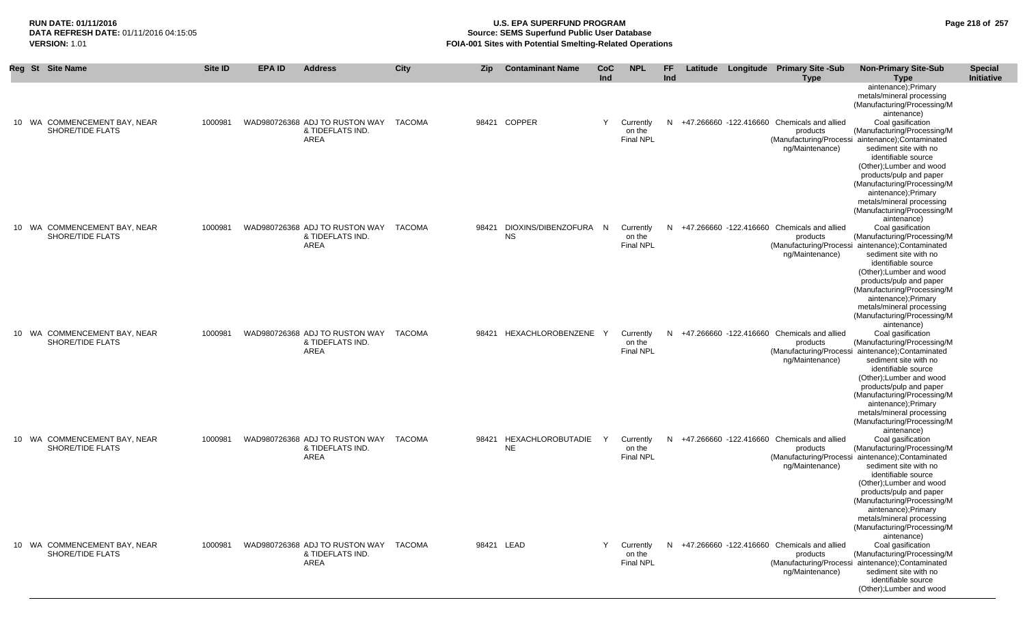#### **RUN DATE: 01/11/2016 U.S. EPA SUPERFUND PROGRAM Page 218 of 257 Source: SEMS Superfund Public User Database VERSION:** 1.01 **FOIA-001 Sites with Potential Smelting-Related Operations**

|  | Reg St Site Name                                 | Site ID | <b>EPA ID</b> | <b>Address</b>                                                    | City   | Zip        | <b>Contaminant Name</b>            | <b>CoC</b>   | <b>NPL</b>                              | <b>FF</b> |  | Latitude Longitude Primary Site -Sub                                         | <b>Non-Primary Site-Sub</b>                                                                                                                                                       | <b>Special</b>    |
|--|--------------------------------------------------|---------|---------------|-------------------------------------------------------------------|--------|------------|------------------------------------|--------------|-----------------------------------------|-----------|--|------------------------------------------------------------------------------|-----------------------------------------------------------------------------------------------------------------------------------------------------------------------------------|-------------------|
|  |                                                  |         |               |                                                                   |        |            |                                    | Ind          |                                         | Ind       |  | <b>Type</b>                                                                  | <b>Type</b>                                                                                                                                                                       | <b>Initiative</b> |
|  |                                                  |         |               |                                                                   |        |            |                                    |              |                                         |           |  |                                                                              | aintenance);Primary<br>metals/mineral processing<br>(Manufacturing/Processing/M<br>aintenance)                                                                                    |                   |
|  | 10 WA COMMENCEMENT BAY, NEAR<br>SHORE/TIDE FLATS | 1000981 |               | WAD980726368 ADJ TO RUSTON WAY TACOMA<br>& TIDEFLATS IND.<br>AREA |        |            | 98421 COPPER                       | Y            | Currently<br>on the<br><b>Final NPL</b> |           |  | N +47.266660 -122.416660 Chemicals and allied<br>products<br>ng/Maintenance) | Coal gasification<br>(Manufacturing/Processing/M<br>(Manufacturing/Processi aintenance); Contaminated<br>sediment site with no                                                    |                   |
|  |                                                  |         |               |                                                                   |        |            |                                    |              |                                         |           |  |                                                                              | identifiable source<br>(Other); Lumber and wood<br>products/pulp and paper<br>(Manufacturing/Processing/M                                                                         |                   |
|  |                                                  |         |               |                                                                   |        |            |                                    |              |                                         |           |  |                                                                              | aintenance);Primary<br>metals/mineral processing<br>(Manufacturing/Processing/M<br>aintenance)                                                                                    |                   |
|  | 10 WA COMMENCEMENT BAY, NEAR<br>SHORE/TIDE FLATS | 1000981 |               | WAD980726368 ADJ TO RUSTON WAY TACOMA<br>& TIDEFLATS IND.<br>AREA |        | 98421      | DIOXINS/DIBENZOFURA N<br><b>NS</b> |              | Currently<br>on the<br><b>Final NPL</b> |           |  | N +47.266660 -122.416660 Chemicals and allied<br>products                    | Coal gasification<br>(Manufacturing/Processing/M<br>(Manufacturing/Processi aintenance); Contaminated                                                                             |                   |
|  |                                                  |         |               |                                                                   |        |            |                                    |              |                                         |           |  | ng/Maintenance)                                                              | sediment site with no<br>identifiable source<br>(Other); Lumber and wood                                                                                                          |                   |
|  |                                                  |         |               |                                                                   |        |            |                                    |              |                                         |           |  |                                                                              | products/pulp and paper<br>(Manufacturing/Processing/M<br>aintenance);Primary<br>metals/mineral processing<br>(Manufacturing/Processing/M                                         |                   |
|  | 10 WA COMMENCEMENT BAY, NEAR<br>SHORE/TIDE FLATS | 1000981 |               | WAD980726368 ADJ TO RUSTON WAY TACOMA<br>& TIDEFLATS IND.<br>AREA |        | 98421      | HEXACHLOROBENZENE                  | <sup>Y</sup> | Currently<br>on the<br><b>Final NPL</b> |           |  | N +47.266660 -122.416660 Chemicals and allied<br>products<br>ng/Maintenance) | aintenance)<br>Coal gasification<br>(Manufacturing/Processing/M<br>(Manufacturing/Processi aintenance); Contaminated<br>sediment site with no                                     |                   |
|  |                                                  |         |               |                                                                   |        |            |                                    |              |                                         |           |  |                                                                              | identifiable source<br>(Other); Lumber and wood<br>products/pulp and paper<br>(Manufacturing/Processing/M<br>aintenance);Primary                                                  |                   |
|  |                                                  |         |               |                                                                   |        |            |                                    |              |                                         |           |  |                                                                              | metals/mineral processing<br>(Manufacturing/Processing/M<br>aintenance)                                                                                                           |                   |
|  | 10 WA COMMENCEMENT BAY, NEAR<br>SHORE/TIDE FLATS | 1000981 |               | WAD980726368 ADJ TO RUSTON WAY<br>& TIDEFLATS IND.<br>AREA        | TACOMA | 98421      | HEXACHLOROBUTADIE<br><b>NE</b>     | Y            | Currently<br>on the<br><b>Final NPL</b> | N         |  | +47.266660 -122.416660 Chemicals and allied<br>products<br>ng/Maintenance)   | Coal gasification<br>(Manufacturing/Processing/M<br>(Manufacturing/Processi aintenance); Contaminated<br>sediment site with no                                                    |                   |
|  |                                                  |         |               |                                                                   |        |            |                                    |              |                                         |           |  |                                                                              | identifiable source<br>(Other); Lumber and wood<br>products/pulp and paper<br>(Manufacturing/Processing/M<br>aintenance);Primary                                                  |                   |
|  |                                                  |         |               |                                                                   |        |            |                                    |              |                                         |           |  |                                                                              | metals/mineral processing<br>(Manufacturing/Processing/M<br>aintenance)                                                                                                           |                   |
|  | 10 WA COMMENCEMENT BAY, NEAR<br>SHORE/TIDE FLATS | 1000981 |               | WAD980726368 ADJ TO RUSTON WAY<br>& TIDEFLATS IND.<br>AREA        | TACOMA | 98421 LEAD |                                    | Y            | Currently<br>on the<br><b>Final NPL</b> | N         |  | +47.266660 -122.416660 Chemicals and allied<br>products<br>ng/Maintenance)   | Coal gasification<br>(Manufacturing/Processing/M<br>(Manufacturing/Processi aintenance); Contaminated<br>sediment site with no<br>identifiable source<br>(Other); Lumber and wood |                   |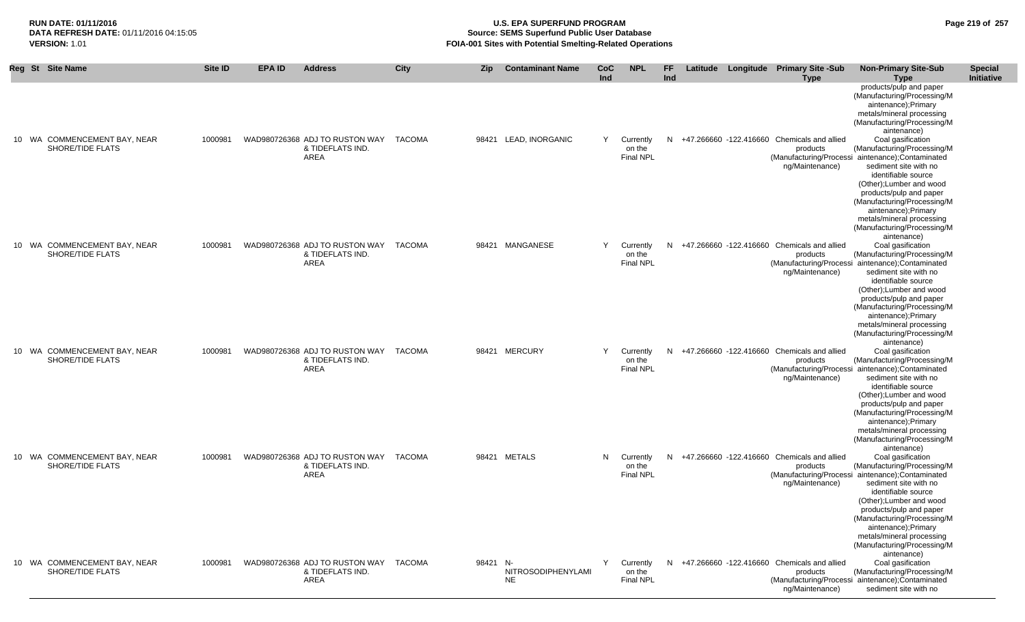## **RUN DATE: 01/11/2016 U.S. EPA SUPERFUND PROGRAM Page 219 of 257 Source: SEMS Superfund Public User Database VERSION:** 1.01 **FOIA-001 Sites with Potential Smelting-Related Operations**

|                 | Reg St Site Name                                        | Site ID | <b>EPA ID</b> | <b>Address</b>                                                    | City          | <b>Zip</b> | <b>Contaminant Name</b>         | CoC<br>Ind | <b>NPL</b>                              | FF<br>Ind |  | Latitude Longitude Primary Site -Sub<br><b>Type</b>                        | <b>Non-Primary Site-Sub</b><br><b>Type</b>                                                                                                                                                                                                                                                                                                                  | <b>Special</b><br>Initiative |
|-----------------|---------------------------------------------------------|---------|---------------|-------------------------------------------------------------------|---------------|------------|---------------------------------|------------|-----------------------------------------|-----------|--|----------------------------------------------------------------------------|-------------------------------------------------------------------------------------------------------------------------------------------------------------------------------------------------------------------------------------------------------------------------------------------------------------------------------------------------------------|------------------------------|
|                 |                                                         |         |               |                                                                   |               |            |                                 |            |                                         |           |  |                                                                            | products/pulp and paper<br>(Manufacturing/Processing/M<br>aintenance);Primary<br>metals/mineral processing<br>(Manufacturing/Processing/M<br>aintenance)                                                                                                                                                                                                    |                              |
| 10              | WA COMMENCEMENT BAY, NEAR<br>SHORE/TIDE FLATS           | 1000981 |               | WAD980726368 ADJ TO RUSTON WAY<br>& TIDEFLATS IND.<br>AREA        | <b>TACOMA</b> |            | 98421 LEAD, INORGANIC           | Y          | Currently<br>on the<br><b>Final NPL</b> | N         |  | +47.266660 -122.416660 Chemicals and allied<br>products<br>ng/Maintenance) | Coal gasification<br>(Manufacturing/Processing/M<br>(Manufacturing/Processi aintenance);Contaminated<br>sediment site with no<br>identifiable source<br>(Other); Lumber and wood<br>products/pulp and paper<br>(Manufacturing/Processing/M<br>aintenance); Primary<br>metals/mineral processing<br>(Manufacturing/Processing/M                              |                              |
|                 | 10 WA COMMENCEMENT BAY, NEAR<br><b>SHORE/TIDE FLATS</b> | 1000981 |               | WAD980726368 ADJ TO RUSTON WAY<br>& TIDEFLATS IND.<br>AREA        | TACOMA        |            | 98421 MANGANESE                 | Y          | Currently<br>on the<br><b>Final NPL</b> | N         |  | +47.266660 -122.416660 Chemicals and allied<br>products<br>ng/Maintenance) | aintenance)<br>Coal gasification<br>(Manufacturing/Processing/M<br>(Manufacturing/Processi aintenance);Contaminated<br>sediment site with no<br>identifiable source<br>(Other); Lumber and wood<br>products/pulp and paper<br>(Manufacturing/Processing/M<br>aintenance); Primary<br>metals/mineral processing<br>(Manufacturing/Processing/M               |                              |
| 10              | WA COMMENCEMENT BAY, NEAR<br>SHORE/TIDE FLATS           | 1000981 |               | WAD980726368 ADJ TO RUSTON WAY<br>& TIDEFLATS IND.<br>AREA        | TACOMA        |            | 98421 MERCURY                   | Y          | Currently<br>on the<br><b>Final NPL</b> | N         |  | +47.266660 -122.416660 Chemicals and allied<br>products<br>ng/Maintenance) | aintenance)<br>Coal gasification<br>(Manufacturing/Processing/M<br>(Manufacturing/Processi aintenance);Contaminated<br>sediment site with no<br>identifiable source<br>(Other); Lumber and wood<br>products/pulp and paper<br>(Manufacturing/Processing/M<br>aintenance);Primary<br>metals/mineral processing<br>(Manufacturing/Processing/M                |                              |
| 10 <sup>°</sup> | WA COMMENCEMENT BAY, NEAR<br>SHORE/TIDE FLATS           | 1000981 |               | WAD980726368 ADJ TO RUSTON WAY TACOMA<br>& TIDEFLATS IND.<br>AREA |               |            | 98421 METALS                    | N          | Currently<br>on the<br><b>Final NPL</b> | N.        |  | +47.266660 -122.416660 Chemicals and allied<br>products<br>ng/Maintenance) | aintenance)<br>Coal gasification<br>(Manufacturing/Processing/M<br>(Manufacturing/Processi aintenance);Contaminated<br>sediment site with no<br>identifiable source<br>(Other); Lumber and wood<br>products/pulp and paper<br>(Manufacturing/Processing/M<br>aintenance);Primary<br>metals/mineral processing<br>(Manufacturing/Processing/M<br>aintenance) |                              |
|                 | 10 WA COMMENCEMENT BAY, NEAR<br>SHORE/TIDE FLATS        | 1000981 |               | WAD980726368 ADJ TO RUSTON WAY<br>& TIDEFLATS IND.<br>AREA        | TACOMA        | 98421 N-   | NITROSODIPHENYLAMI<br><b>NE</b> | Y          | Currently<br>on the<br><b>Final NPL</b> | N         |  | +47,266660 -122,416660 Chemicals and allied<br>products<br>ng/Maintenance) | Coal gasification<br>(Manufacturing/Processing/M<br>(Manufacturing/Processi aintenance);Contaminated<br>sediment site with no                                                                                                                                                                                                                               |                              |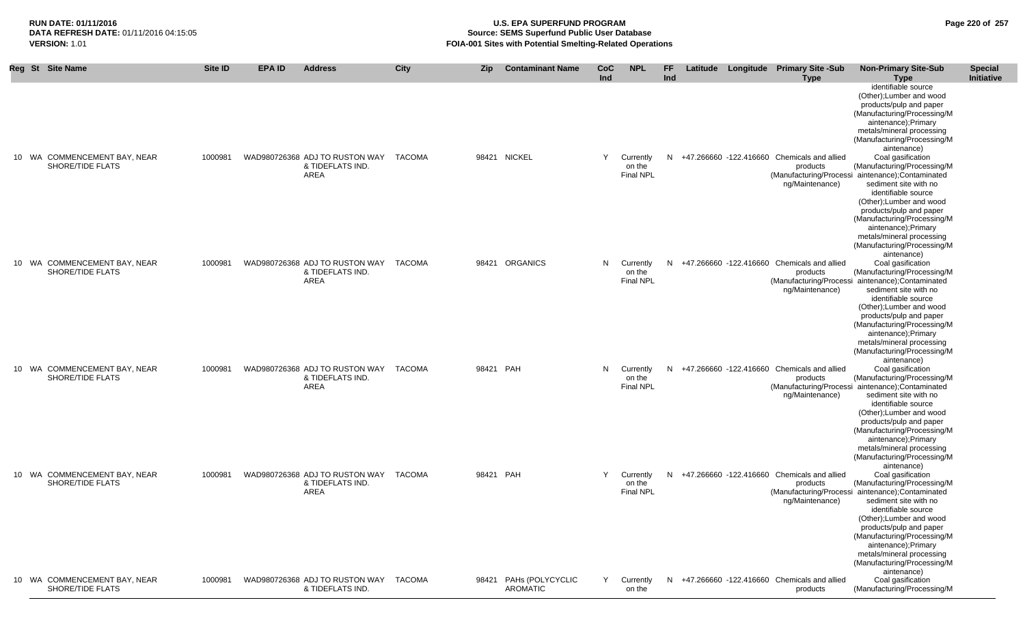**Special** 

**RUN DATE: 01/11/2016 U.S. EPA SUPERFUND PROGRAM Page 220 of 257 Source: SEMS Superfund Public User Database VERSION:** 1.01 **FOIA-001 Sites with Potential Smelting-Related Operations**

|                                                  |         |                                                                   |               |           |                                           | Ind |                                         | Ind |                                               | <b>Type</b>                 | <b>Type</b>                                                                                                                                                                                                                                                                                                                                   | <b>Initiative</b> |
|--------------------------------------------------|---------|-------------------------------------------------------------------|---------------|-----------|-------------------------------------------|-----|-----------------------------------------|-----|-----------------------------------------------|-----------------------------|-----------------------------------------------------------------------------------------------------------------------------------------------------------------------------------------------------------------------------------------------------------------------------------------------------------------------------------------------|-------------------|
|                                                  |         |                                                                   |               |           |                                           |     |                                         |     |                                               |                             | identifiable source<br>(Other); Lumber and wood<br>products/pulp and paper<br>(Manufacturing/Processing/M<br>aintenance);Primary<br>metals/mineral processing<br>(Manufacturing/Processing/M<br>aintenance)                                                                                                                                   |                   |
| 10 WA COMMENCEMENT BAY, NEAR<br>SHORE/TIDE FLATS | 1000981 | WAD980726368 ADJ TO RUSTON WAY<br>& TIDEFLATS IND.<br>AREA        | TACOMA        |           | 98421 NICKEL                              | Y   | Currently<br>on the<br><b>Final NPL</b> | N   | +47.266660 -122.416660 Chemicals and allied   | products<br>ng/Maintenance) | Coal gasification<br>(Manufacturing/Processing/M<br>(Manufacturing/Processi aintenance); Contaminated<br>sediment site with no<br>identifiable source<br>(Other); Lumber and wood<br>products/pulp and paper<br>(Manufacturing/Processing/M<br>aintenance);Primary<br>metals/mineral processing<br>(Manufacturing/Processing/M<br>aintenance) |                   |
| 10 WA COMMENCEMENT BAY, NEAR<br>SHORE/TIDE FLATS | 1000981 | WAD980726368 ADJ TO RUSTON WAY<br>& TIDEFLATS IND.<br>AREA        | <b>TACOMA</b> |           | 98421 ORGANICS                            | N   | Currently<br>on the<br><b>Final NPL</b> | N   | +47.266660 -122.416660 Chemicals and allied   | products<br>ng/Maintenance) | Coal gasification<br>(Manufacturing/Processing/M<br>(Manufacturing/Processi aintenance); Contaminated<br>sediment site with no<br>identifiable source<br>(Other); Lumber and wood<br>products/pulp and paper<br>(Manufacturing/Processing/M<br>aintenance);Primary<br>metals/mineral processing<br>(Manufacturing/Processing/M<br>aintenance) |                   |
| 10 WA COMMENCEMENT BAY, NEAR<br>SHORE/TIDE FLATS | 1000981 | WAD980726368 ADJ TO RUSTON WAY TACOMA<br>& TIDEFLATS IND.<br>AREA |               | 98421 PAH |                                           | N   | Currently<br>on the<br><b>Final NPL</b> | N   | +47.266660 -122.416660 Chemicals and allied   | products<br>ng/Maintenance) | Coal gasification<br>(Manufacturing/Processing/M<br>(Manufacturing/Processi aintenance); Contaminated<br>sediment site with no<br>identifiable source<br>(Other); Lumber and wood<br>products/pulp and paper<br>(Manufacturing/Processing/M<br>aintenance);Primary<br>metals/mineral processing<br>(Manufacturing/Processing/M<br>aintenance) |                   |
| 10 WA COMMENCEMENT BAY, NEAR<br>SHORE/TIDE FLATS | 1000981 | WAD980726368 ADJ TO RUSTON WAY TACOMA<br>& TIDEFLATS IND.<br>AREA |               | 98421 PAH |                                           | Y   | Currently<br>on the<br><b>Final NPL</b> |     | N +47.266660 -122.416660 Chemicals and allied | products<br>ng/Maintenance) | Coal gasification<br>(Manufacturing/Processing/M<br>(Manufacturing/Processi aintenance);Contaminated<br>sediment site with no<br>identifiable source<br>(Other); Lumber and wood<br>products/pulp and paper<br>(Manufacturing/Processing/M<br>aintenance): Primary<br>metals/mineral processing<br>(Manufacturing/Processing/M<br>aintenance) |                   |
| 10 WA COMMENCEMENT BAY, NEAR<br>SHORE/TIDE FLATS | 1000981 | WAD980726368 ADJ TO RUSTON WAY TACOMA<br>& TIDEFLATS IND.         |               |           | 98421 PAHs (POLYCYCLIC<br><b>AROMATIC</b> | Y   | Currently<br>on the                     |     | N +47.266660 -122.416660 Chemicals and allied | products                    | Coal gasification<br>(Manufacturing/Processing/M                                                                                                                                                                                                                                                                                              |                   |

Reg St Site Name Site ID EPA ID Address City Zip Contaminant Name CoC NPL FF Latitude Longitude Primary Site -Sub Non-Primary Site-Sub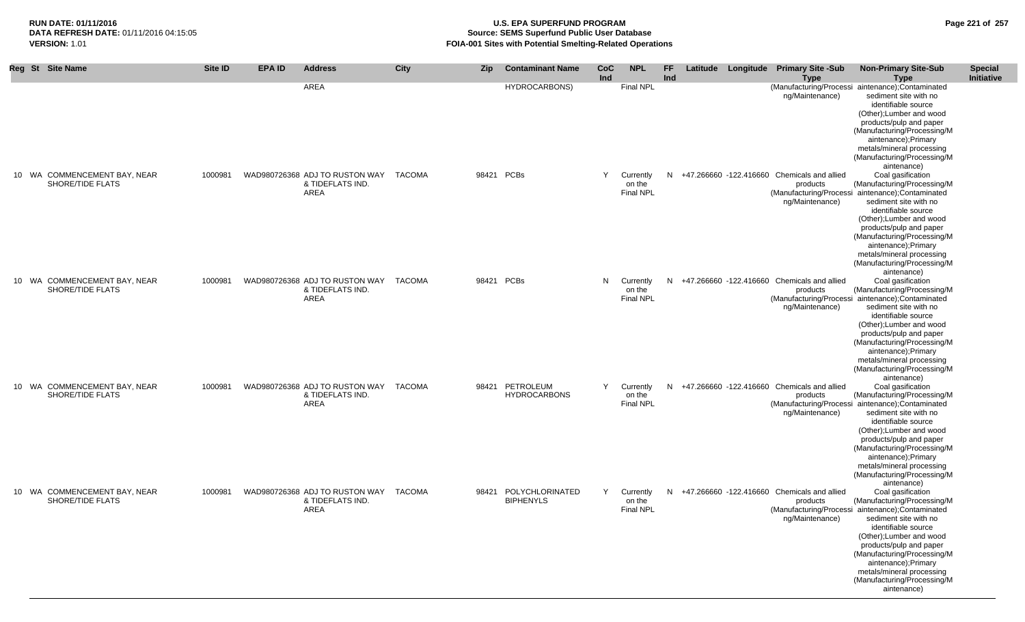#### **RUN DATE: 01/11/2016 U.S. EPA SUPERFUND PROGRAM Page 221 of 257 Source: SEMS Superfund Public User Database VERSION:** 1.01 **FOIA-001 Sites with Potential Smelting-Related Operations**

| Reg St Site Name                                 | Site ID | <b>EPA ID</b> | <b>Address</b>                                                    | City          | <b>Zip</b> | <b>Contaminant Name</b>                   | <b>CoC</b><br>Ind | <b>NPL</b>                              | <b>FF</b><br>Ind |  | Latitude Longitude Primary Site -Sub<br><b>Type</b>                        | <b>Non-Primary Site-Sub</b><br><b>Type</b>                                                                                                                                                                                                                                                                                                    | <b>Special</b><br>Initiative |
|--------------------------------------------------|---------|---------------|-------------------------------------------------------------------|---------------|------------|-------------------------------------------|-------------------|-----------------------------------------|------------------|--|----------------------------------------------------------------------------|-----------------------------------------------------------------------------------------------------------------------------------------------------------------------------------------------------------------------------------------------------------------------------------------------------------------------------------------------|------------------------------|
|                                                  |         |               | AREA                                                              |               |            | <b>HYDROCARBONS)</b>                      |                   | Final NPL                               |                  |  | ng/Maintenance)                                                            | (Manufacturing/Processi aintenance);Contaminated<br>sediment site with no<br>identifiable source<br>(Other); Lumber and wood<br>products/pulp and paper<br>(Manufacturing/Processing/M<br>aintenance);Primary<br>metals/mineral processing<br>(Manufacturing/Processing/M<br>aintenance)                                                      |                              |
| 10 WA COMMENCEMENT BAY, NEAR<br>SHORE/TIDE FLATS | 1000981 |               | WAD980726368 ADJ TO RUSTON WAY<br>& TIDEFLATS IND.<br>AREA        | <b>TACOMA</b> | 98421 PCBs |                                           | Y                 | Currently<br>on the<br>Final NPL        | N                |  | +47.266660 -122.416660 Chemicals and allied<br>products<br>ng/Maintenance) | Coal gasification<br>(Manufacturing/Processing/M<br>(Manufacturing/Processi aintenance);Contaminated<br>sediment site with no<br>identifiable source<br>(Other); Lumber and wood<br>products/pulp and paper<br>(Manufacturing/Processing/M<br>aintenance);Primary<br>metals/mineral processing<br>(Manufacturing/Processing/M<br>aintenance)  |                              |
| 10 WA COMMENCEMENT BAY, NEAR<br>SHORE/TIDE FLATS | 1000981 |               | WAD980726368 ADJ TO RUSTON WAY<br>& TIDEFLATS IND.<br>AREA        | <b>TACOMA</b> | 98421 PCBs |                                           | N                 | Currently<br>on the<br><b>Final NPL</b> | N                |  | +47.266660 -122.416660 Chemicals and allied<br>products<br>ng/Maintenance) | Coal gasification<br>(Manufacturing/Processing/M<br>(Manufacturing/Processi aintenance); Contaminated<br>sediment site with no<br>identifiable source<br>(Other); Lumber and wood<br>products/pulp and paper<br>(Manufacturing/Processing/M<br>aintenance);Primary<br>metals/mineral processing<br>(Manufacturing/Processing/M<br>aintenance) |                              |
| 10 WA COMMENCEMENT BAY, NEAR<br>SHORE/TIDE FLATS | 1000981 |               | WAD980726368 ADJ TO RUSTON WAY<br>& TIDEFLATS IND.<br>AREA        | <b>TACOMA</b> |            | 98421 PETROLEUM<br><b>HYDROCARBONS</b>    | Y                 | Currently<br>on the<br>Final NPL        | N.               |  | +47.266660 -122.416660 Chemicals and allied<br>products<br>ng/Maintenance) | Coal gasification<br>(Manufacturing/Processing/M<br>(Manufacturing/Processi aintenance);Contaminated<br>sediment site with no<br>identifiable source<br>(Other); Lumber and wood<br>products/pulp and paper<br>(Manufacturing/Processing/M<br>aintenance);Primary<br>metals/mineral processing<br>(Manufacturing/Processing/M<br>aintenance)  |                              |
| 10 WA COMMENCEMENT BAY, NEAR<br>SHORE/TIDE FLATS | 1000981 |               | WAD980726368 ADJ TO RUSTON WAY<br>& TIDEFLATS IND.<br><b>AREA</b> | <b>TACOMA</b> |            | 98421 POLYCHLORINATED<br><b>BIPHENYLS</b> | Y                 | Currently<br>on the<br>Final NPL        | N                |  | +47.266660 -122.416660 Chemicals and allied<br>products<br>ng/Maintenance) | Coal gasification<br>(Manufacturing/Processing/M<br>(Manufacturing/Processi aintenance);Contaminated<br>sediment site with no<br>identifiable source<br>(Other); Lumber and wood<br>products/pulp and paper<br>(Manufacturing/Processing/M<br>aintenance); Primary<br>metals/mineral processing<br>(Manufacturing/Processing/M<br>aintenance) |                              |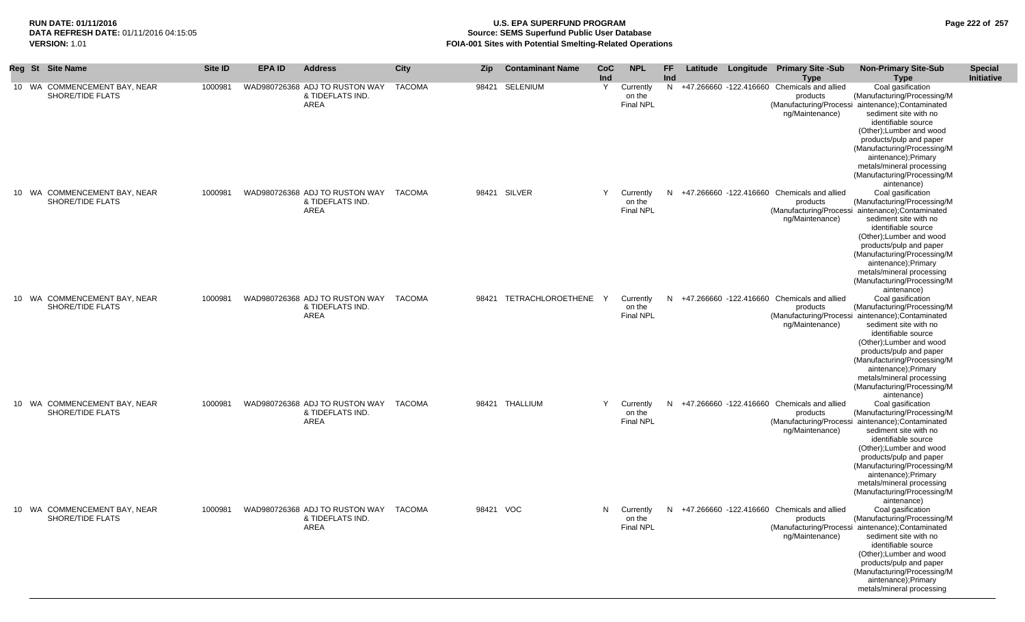## **RUN DATE: 01/11/2016 U.S. EPA SUPERFUND PROGRAM Page 222 of 257 Source: SEMS Superfund Public User Database VERSION:** 1.01 **FOIA-001 Sites with Potential Smelting-Related Operations**

|  | Reg St Site Name                                 | Site ID | <b>EPA ID</b> | <b>Address</b>                                                           | <b>City</b>   | <b>Zip</b> | <b>Contaminant Name</b>   | CoC | <b>NPL</b>                              | FF. |  | Latitude Longitude Primary Site -Sub                                         | <b>Non-Primary Site-Sub</b>                                                                                                                                                                                                                                                                                                                  | <b>Special</b>    |
|--|--------------------------------------------------|---------|---------------|--------------------------------------------------------------------------|---------------|------------|---------------------------|-----|-----------------------------------------|-----|--|------------------------------------------------------------------------------|----------------------------------------------------------------------------------------------------------------------------------------------------------------------------------------------------------------------------------------------------------------------------------------------------------------------------------------------|-------------------|
|  |                                                  |         |               |                                                                          |               |            |                           | Ind |                                         | Ind |  | <b>Type</b>                                                                  | <b>Type</b>                                                                                                                                                                                                                                                                                                                                  | <b>Initiative</b> |
|  | 10 WA COMMENCEMENT BAY, NEAR<br>SHORE/TIDE FLATS | 1000981 |               | WAD980726368 ADJ TO RUSTON WAY<br>& TIDEFLATS IND.<br><b>AREA</b>        | <b>TACOMA</b> |            | 98421 SELENIUM            | Y   | Currently<br>on the<br>Final NPL        |     |  | N +47.266660 -122.416660 Chemicals and allied<br>products<br>ng/Maintenance) | Coal gasification<br>(Manufacturing/Processing/M<br>(Manufacturing/Processi aintenance); Contaminated<br>sediment site with no<br>identifiable source<br>(Other); Lumber and wood<br>products/pulp and paper<br>(Manufacturing/Processing/M<br>aintenance);Primary<br>metals/mineral processing                                              |                   |
|  | 10 WA COMMENCEMENT BAY, NEAR<br>SHORE/TIDE FLATS | 1000981 |               | WAD980726368 ADJ TO RUSTON WAY TACOMA<br>& TIDEFLATS IND.<br>AREA        |               |            | 98421 SILVER              | Y   | Currently<br>on the<br><b>Final NPL</b> |     |  | N +47.266660 -122.416660 Chemicals and allied<br>products<br>ng/Maintenance) | (Manufacturing/Processing/M<br>aintenance)<br>Coal gasification<br>(Manufacturing/Processing/M<br>(Manufacturing/Processi aintenance);Contaminated<br>sediment site with no<br>identifiable source                                                                                                                                           |                   |
|  |                                                  |         |               |                                                                          |               |            |                           |     |                                         |     |  |                                                                              | (Other); Lumber and wood<br>products/pulp and paper<br>(Manufacturing/Processing/M<br>aintenance);Primary<br>metals/mineral processing<br>(Manufacturing/Processing/M<br>aintenance)                                                                                                                                                         |                   |
|  | 10 WA COMMENCEMENT BAY, NEAR<br>SHORE/TIDE FLATS | 1000981 |               | WAD980726368 ADJ TO RUSTON WAY TACOMA<br>& TIDEFLATS IND.<br>AREA        |               |            | 98421 TETRACHLOROETHENE Y |     | Currently<br>on the<br>Final NPL        |     |  | N +47.266660 -122.416660 Chemicals and allied<br>products<br>ng/Maintenance) | Coal gasification<br>(Manufacturing/Processing/M<br>(Manufacturing/Processi aintenance);Contaminated<br>sediment site with no<br>identifiable source<br>(Other); Lumber and wood<br>products/pulp and paper<br>(Manufacturing/Processing/M<br>aintenance);Primary<br>metals/mineral processing<br>(Manufacturing/Processing/M                |                   |
|  | 10 WA COMMENCEMENT BAY, NEAR<br>SHORE/TIDE FLATS | 1000981 |               | WAD980726368 ADJ TO RUSTON WAY TACOMA<br>& TIDEFLATS IND.<br>AREA        |               |            | 98421 THALLIUM            | Y   | Currently<br>on the<br><b>Final NPL</b> |     |  | N +47.266660 -122.416660 Chemicals and allied<br>products<br>ng/Maintenance) | aintenance)<br>Coal gasification<br>(Manufacturing/Processing/M<br>(Manufacturing/Processi aintenance);Contaminated<br>sediment site with no<br>identifiable source<br>(Other); Lumber and wood<br>products/pulp and paper<br>(Manufacturing/Processing/M<br>aintenance);Primary<br>metals/mineral processing<br>(Manufacturing/Processing/M |                   |
|  | 10 WA COMMENCEMENT BAY, NEAR<br>SHORE/TIDE FLATS | 1000981 |               | WAD980726368 ADJ TO RUSTON WAY TACOMA<br>& TIDEFLATS IND.<br><b>AREA</b> |               | 98421 VOC  |                           | N.  | Currently<br>on the<br><b>Final NPL</b> | N.  |  | +47.266660 -122.416660 Chemicals and allied<br>products<br>ng/Maintenance)   | aintenance)<br>Coal gasification<br>(Manufacturing/Processing/M<br>(Manufacturing/Processi aintenance); Contaminated<br>sediment site with no<br>identifiable source<br>(Other); Lumber and wood<br>products/pulp and paper<br>(Manufacturing/Processing/M<br>aintenance);Primary<br>metals/mineral processing                               |                   |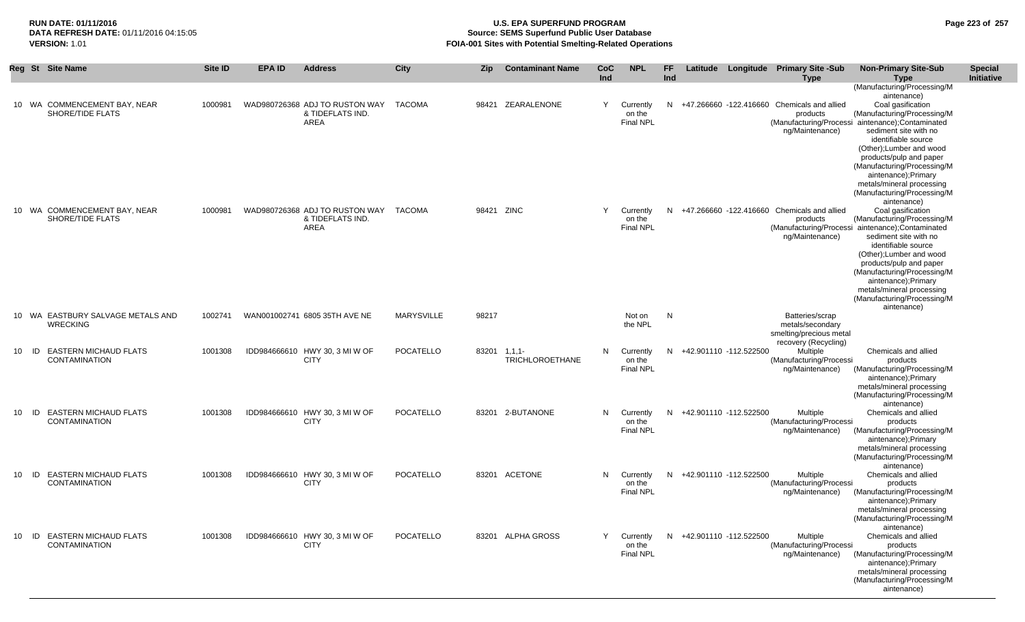|       | Reg St Site Name                                           | <b>Site ID</b> | <b>EPA ID</b> | <b>Address</b>                                             | City              | Zip   | <b>Contaminant Name</b>                | <b>CoC</b><br>Ind | <b>NPL</b>                                | <b>FF</b><br>Ind |                          | Latitude Longitude Primary Site -Sub<br><b>Type</b>                            | <b>Non-Primary Site-Sub</b><br><b>Type</b>                                                                                                                                                                                                                                                                                                                                                                                       | <b>Special</b><br>Initiative |
|-------|------------------------------------------------------------|----------------|---------------|------------------------------------------------------------|-------------------|-------|----------------------------------------|-------------------|-------------------------------------------|------------------|--------------------------|--------------------------------------------------------------------------------|----------------------------------------------------------------------------------------------------------------------------------------------------------------------------------------------------------------------------------------------------------------------------------------------------------------------------------------------------------------------------------------------------------------------------------|------------------------------|
|       | 10 WA COMMENCEMENT BAY, NEAR<br>SHORE/TIDE FLATS           | 1000981        |               | WAD980726368 ADJ TO RUSTON WAY<br>& TIDEFLATS IND.<br>AREA | TACOMA            |       | 98421 ZEARALENONE                      | Y                 | Currently<br>on the<br><b>Final NPL</b>   | N                |                          | +47.266660 -122.416660 Chemicals and allied<br>products<br>ng/Maintenance)     | (Manufacturing/Processing/M<br>aintenance)<br>Coal gasification<br>(Manufacturing/Processing/M<br>(Manufacturing/Processi aintenance); Contaminated<br>sediment site with no<br>identifiable source<br>(Other); Lumber and wood<br>products/pulp and paper<br>(Manufacturing/Processing/M                                                                                                                                        |                              |
|       | 10 WA COMMENCEMENT BAY, NEAR<br>SHORE/TIDE FLATS           | 1000981        |               | WAD980726368 ADJ TO RUSTON WAY<br>& TIDEFLATS IND.<br>AREA | <b>TACOMA</b>     |       | 98421 ZINC                             | Y                 | Currently<br>on the<br><b>Final NPL</b>   | N                |                          | +47.266660 -122.416660 Chemicals and allied<br>products<br>ng/Maintenance)     | aintenance);Primary<br>metals/mineral processing<br>(Manufacturing/Processing/M<br>aintenance)<br>Coal gasification<br>(Manufacturing/Processing/M<br>(Manufacturing/Processi aintenance); Contaminated<br>sediment site with no<br>identifiable source<br>(Other); Lumber and wood<br>products/pulp and paper<br>(Manufacturing/Processing/M<br>aintenance);Primary<br>metals/mineral processing<br>(Manufacturing/Processing/M |                              |
|       | 10 WA EASTBURY SALVAGE METALS AND<br><b>WRECKING</b>       | 1002741        |               | WAN001002741 6805 35TH AVE NE                              | <b>MARYSVILLE</b> | 98217 |                                        |                   | Not on<br>the NPL                         | $\mathsf{N}$     |                          | Batteries/scrap<br>metals/secondary<br>smelting/precious metal                 | aintenance)                                                                                                                                                                                                                                                                                                                                                                                                                      |                              |
| 10    | <b>EASTERN MICHAUD FLATS</b><br>ID<br><b>CONTAMINATION</b> | 1001308        |               | IDD984666610 HWY 30, 3 MI W OF<br><b>CITY</b>              | POCATELLO         |       | 83201 1.1.1-<br><b>TRICHLOROETHANE</b> | N                 | Currently<br>on the<br><b>Final NPL</b>   | N                | +42.901110 -112.522500   | recovery (Recycling)<br>Multiple<br>(Manufacturing/Processi<br>ng/Maintenance) | Chemicals and allied<br>products<br>(Manufacturing/Processing/M<br>aintenance);Primary<br>metals/mineral processing<br>(Manufacturing/Processing/M                                                                                                                                                                                                                                                                               |                              |
| 10 ID | <b>EASTERN MICHAUD FLATS</b><br><b>CONTAMINATION</b>       | 1001308        |               | IDD984666610 HWY 30, 3 MI W OF<br><b>CITY</b>              | POCATELLO         |       | 83201 2-BUTANONE                       |                   | N Currently<br>on the<br><b>Final NPL</b> |                  | N +42.901110 -112.522500 | Multiple<br>(Manufacturing/Processi<br>ng/Maintenance)                         | aintenance)<br>Chemicals and allied<br>products<br>(Manufacturing/Processing/M<br>aintenance);Primary<br>metals/mineral processing<br>(Manufacturing/Processing/M                                                                                                                                                                                                                                                                |                              |
| 10    | ID EASTERN MICHAUD FLATS<br><b>CONTAMINATION</b>           | 1001308        |               | IDD984666610 HWY 30, 3 MI W OF<br><b>CITY</b>              | POCATELLO         |       | 83201 ACETONE                          | N.                | Currently<br>on the<br><b>Final NPL</b>   | N                | +42.901110 -112.522500   | Multiple<br>(Manufacturing/Processi<br>ng/Maintenance)                         | aintenance)<br>Chemicals and allied<br>products<br>(Manufacturing/Processing/M<br>aintenance);Primary<br>metals/mineral processing<br>(Manufacturing/Processing/M                                                                                                                                                                                                                                                                |                              |
| 10    | <b>EASTERN MICHAUD FLATS</b><br>ID<br><b>CONTAMINATION</b> | 1001308        |               | IDD984666610 HWY 30, 3 MI W OF<br><b>CITY</b>              | POCATELLO         |       | 83201 ALPHA GROSS                      | Y                 | Currently<br>on the<br><b>Final NPL</b>   | N                | +42.901110 -112.522500   | Multiple<br>(Manufacturing/Processi<br>ng/Maintenance)                         | aintenance)<br>Chemicals and allied<br>products<br>(Manufacturing/Processing/M<br>aintenance);Primary<br>metals/mineral processing<br>(Manufacturing/Processing/M<br>aintenance)                                                                                                                                                                                                                                                 |                              |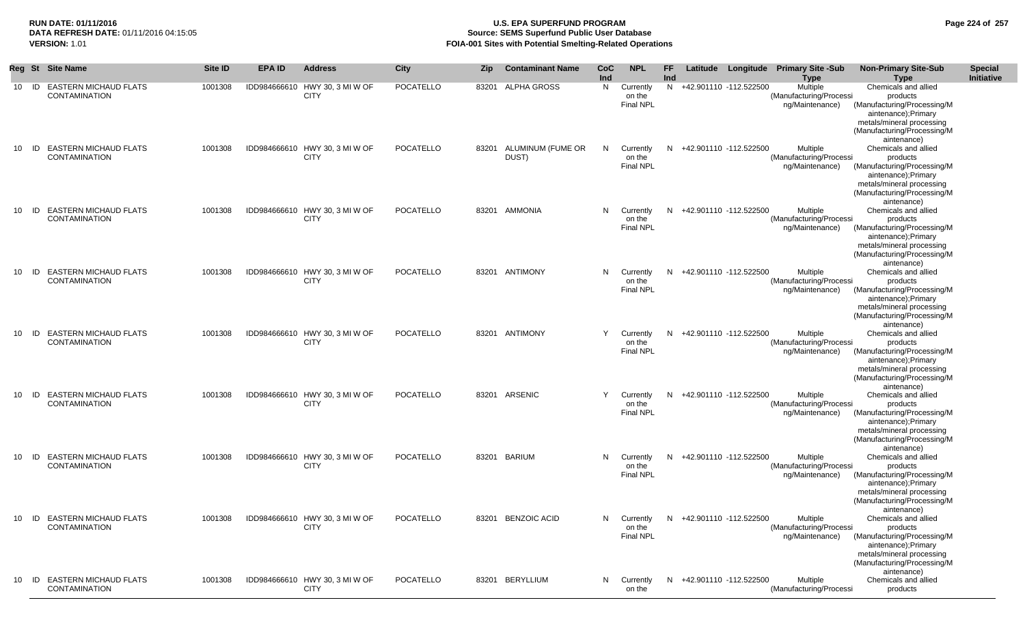## **RUN DATE: 01/11/2016 U.S. EPA SUPERFUND PROGRAM Page 224 of 257 Source: SEMS Superfund Public User Database VERSION:** 1.01 **FOIA-001 Sites with Potential Smelting-Related Operations**

|    | <b>Reg St</b> | <b>Site Name</b>                                     | <b>Site ID</b> | <b>EPA ID</b> | <b>Address</b>                                | <b>City</b>      | <b>Zip</b> | <b>Contaminant Name</b>    | <b>CoC</b><br>Ind | <b>NPL</b>                              | FF<br>Ind |                                      | Latitude Longitude Primary Site -Sub<br><b>Type</b>    | <b>Non-Primary Site-Sub</b><br><b>Type</b>                                                                                                                                       | <b>Special</b><br>Initiative |
|----|---------------|------------------------------------------------------|----------------|---------------|-----------------------------------------------|------------------|------------|----------------------------|-------------------|-----------------------------------------|-----------|--------------------------------------|--------------------------------------------------------|----------------------------------------------------------------------------------------------------------------------------------------------------------------------------------|------------------------------|
| 10 | ID            | <b>EASTERN MICHAUD FLATS</b><br><b>CONTAMINATION</b> | 1001308        |               | IDD984666610 HWY 30, 3 MI W OF<br><b>CITY</b> | POCATELLO        |            | 83201 ALPHA GROSS          | N                 | Currently<br>on the<br><b>Final NPL</b> | N         | +42.901110 -112.522500               | Multiple<br>(Manufacturing/Processi<br>ng/Maintenance) | Chemicals and allied<br>products<br>(Manufacturing/Processing/M<br>aintenance);Primary<br>metals/mineral processing<br>(Manufacturing/Processing/M<br>aintenance)                |                              |
| 10 | ID            | <b>EASTERN MICHAUD FLATS</b><br><b>CONTAMINATION</b> | 1001308        |               | IDD984666610 HWY 30, 3 MI W OF<br><b>CITY</b> | <b>POCATELLO</b> | 83201      | ALUMINUM (FUME OR<br>DUST) | N.                | Currently<br>on the<br><b>Final NPL</b> |           | N +42.901110 -112.522500             | Multiple<br>(Manufacturing/Processi<br>ng/Maintenance) | Chemicals and allied<br>products<br>(Manufacturing/Processing/M<br>aintenance);Primary<br>metals/mineral processing<br>(Manufacturing/Processing/M<br>aintenance)                |                              |
| 10 | ID            | <b>EASTERN MICHAUD FLATS</b><br><b>CONTAMINATION</b> | 1001308        |               | IDD984666610 HWY 30, 3 MI W OF<br><b>CITY</b> | <b>POCATELLO</b> |            | 83201 AMMONIA              | N.                | Currently<br>on the<br><b>Final NPL</b> |           | N +42.901110 -112.522500             | Multiple<br>(Manufacturing/Processi<br>ng/Maintenance) | Chemicals and allied<br>products<br>(Manufacturing/Processing/M<br>aintenance);Primary<br>metals/mineral processing<br>(Manufacturing/Processing/M<br>aintenance)                |                              |
| 10 | ID            | <b>EASTERN MICHAUD FLATS</b><br><b>CONTAMINATION</b> | 1001308        |               | IDD984666610 HWY 30, 3 MI W OF<br><b>CITY</b> | <b>POCATELLO</b> |            | 83201 ANTIMONY             | N.                | Currently<br>on the<br><b>Final NPL</b> | N.        | +42.901110 -112.522500               | Multiple<br>(Manufacturing/Processi<br>ng/Maintenance) | Chemicals and allied<br>products<br>(Manufacturing/Processing/M<br>aintenance);Primary<br>metals/mineral processing<br>(Manufacturing/Processing/M<br>aintenance)                |                              |
| 10 | ID            | <b>EASTERN MICHAUD FLATS</b><br><b>CONTAMINATION</b> | 1001308        |               | IDD984666610 HWY 30, 3 MI W OF<br><b>CITY</b> | POCATELLO        |            | 83201 ANTIMONY             | Y                 | Currently<br>on the<br><b>Final NPL</b> | N.        | +42.901110 -112.522500               | Multiple<br>(Manufacturing/Processi<br>ng/Maintenance) | Chemicals and allied<br>products<br>(Manufacturing/Processing/M<br>aintenance);Primary<br>metals/mineral processing<br>(Manufacturing/Processing/M<br>aintenance)                |                              |
| 10 | ID            | <b>EASTERN MICHAUD FLATS</b><br><b>CONTAMINATION</b> | 1001308        |               | IDD984666610 HWY 30, 3 MI W OF<br><b>CITY</b> | <b>POCATELLO</b> |            | 83201 ARSENIC              | Y                 | Currently<br>on the<br><b>Final NPL</b> | N.        | +42.901110 -112.522500               | Multiple<br>(Manufacturing/Processi<br>ng/Maintenance) | Chemicals and allied<br>products<br>(Manufacturing/Processing/M<br>aintenance); Primary<br>metals/mineral processing<br>(Manufacturing/Processing/M<br>aintenance)               |                              |
| 10 | ID            | <b>EASTERN MICHAUD FLATS</b><br><b>CONTAMINATION</b> | 1001308        |               | IDD984666610 HWY 30, 3 MI W OF<br><b>CITY</b> | POCATELLO        |            | 83201 BARIUM               | N.                | Currently<br>on the<br><b>Final NPL</b> | N.        | +42.901110 -112.522500               | Multiple<br>(Manufacturing/Processi<br>ng/Maintenance) | Chemicals and allied<br>products<br>(Manufacturing/Processing/M<br>aintenance); Primary<br>metals/mineral processing<br>(Manufacturing/Processing/M                              |                              |
|    |               | 10 ID EASTERN MICHAUD FLATS<br><b>CONTAMINATION</b>  | 1001308        |               | IDD984666610 HWY 30, 3 MI W OF<br><b>CITY</b> | POCATELLO        |            | 83201 BENZOIC ACID         |                   | on the<br>Final NPL                     |           | N Currently N +42.901110 -112.522500 | Multiple<br>(Manufacturing/Processi<br>ng/Maintenance) | aintenance)<br>Chemicals and allied<br>products<br>(Manufacturing/Processing/M<br>aintenance);Primary<br>metals/mineral processing<br>(Manufacturing/Processing/M<br>aintenance) |                              |
|    |               | 10 ID EASTERN MICHAUD FLATS<br><b>CONTAMINATION</b>  | 1001308        |               | IDD984666610 HWY 30, 3 MI W OF<br><b>CITY</b> | POCATELLO        |            | 83201 BERYLLIUM            |                   | N Currently<br>on the                   |           | N +42.901110 -112.522500             | Multiple<br>(Manufacturing/Processi                    | Chemicals and allied<br>products                                                                                                                                                 |                              |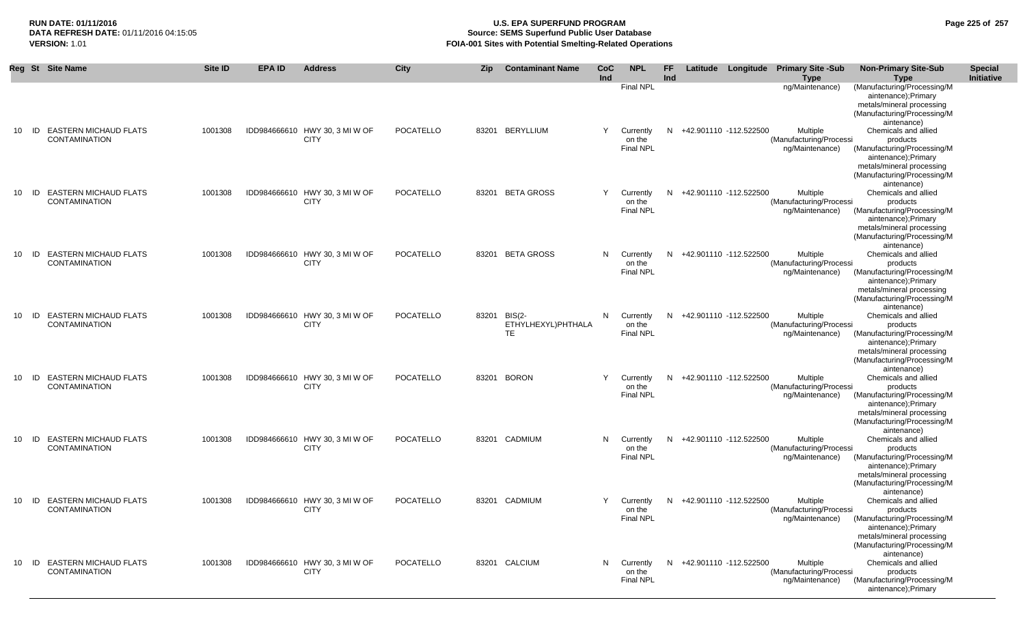## **RUN DATE: 01/11/2016 U.S. EPA SUPERFUND PROGRAM Page 225 of 257 Source: SEMS Superfund Public User Database VERSION:** 1.01 **FOIA-001 Sites with Potential Smelting-Related Operations**

|     |       | Reg St Site Name                                        | <b>Site ID</b> | <b>EPA ID</b> | <b>Address</b>                                | City             | <b>Zip</b> | <b>Contaminant Name</b>                         | CoC<br>Ind | <b>NPL</b>                              | FF.<br>Ind |                          | Latitude Longitude Primary Site -Sub<br><b>Type</b>    | <b>Non-Primary Site-Sub</b><br><b>Type</b>                                                                                                                         | <b>Special</b><br><b>Initiative</b> |
|-----|-------|---------------------------------------------------------|----------------|---------------|-----------------------------------------------|------------------|------------|-------------------------------------------------|------------|-----------------------------------------|------------|--------------------------|--------------------------------------------------------|--------------------------------------------------------------------------------------------------------------------------------------------------------------------|-------------------------------------|
|     |       |                                                         |                |               |                                               |                  |            |                                                 |            | <b>Final NPL</b>                        |            |                          | ng/Maintenance)                                        | (Manufacturing/Processing/M<br>aintenance);Primary<br>metals/mineral processing<br>(Manufacturing/Processing/M<br>aintenance)                                      |                                     |
|     | 10 ID | <b>EASTERN MICHAUD FLATS</b><br><b>CONTAMINATION</b>    | 1001308        |               | IDD984666610 HWY 30, 3 MI W OF<br><b>CITY</b> | POCATELLO        |            | 83201 BERYLLIUM                                 | Y          | Currently<br>on the<br><b>Final NPL</b> |            | N +42.901110 -112.522500 | Multiple<br>(Manufacturing/Processi<br>ng/Maintenance) | Chemicals and allied<br>products<br>(Manufacturing/Processing/M<br>aintenance);Primary<br>metals/mineral processing<br>(Manufacturing/Processing/M<br>aintenance)  |                                     |
|     |       | 10 ID EASTERN MICHAUD FLATS<br><b>CONTAMINATION</b>     | 1001308        |               | IDD984666610 HWY 30, 3 MI W OF<br><b>CITY</b> | <b>POCATELLO</b> |            | 83201 BETA GROSS                                | Y          | Currently<br>on the<br><b>Final NPL</b> |            | N +42.901110 -112.522500 | Multiple<br>(Manufacturing/Processi<br>ng/Maintenance) | Chemicals and allied<br>products<br>(Manufacturing/Processing/M<br>aintenance); Primary<br>metals/mineral processing<br>(Manufacturing/Processing/M<br>aintenance) |                                     |
| 10  | ID    | <b>EASTERN MICHAUD FLATS</b><br><b>CONTAMINATION</b>    | 1001308        |               | IDD984666610 HWY 30, 3 MI W OF<br><b>CITY</b> | POCATELLO        |            | 83201 BETA GROSS                                | N.         | Currently<br>on the<br>Final NPL        |            | N +42.901110 -112.522500 | Multiple<br>(Manufacturing/Processi<br>ng/Maintenance) | Chemicals and allied<br>products<br>(Manufacturing/Processing/M<br>aintenance);Primary<br>metals/mineral processing<br>(Manufacturing/Processing/M<br>aintenance)  |                                     |
| 10  | ID    | <b>EASTERN MICHAUD FLATS</b><br><b>CONTAMINATION</b>    | 1001308        |               | IDD984666610 HWY 30, 3 MI W OF<br><b>CITY</b> | POCATELLO        |            | 83201 BIS(2-<br>ETHYLHEXYL)PHTHALA<br><b>TE</b> | N.         | Currently<br>on the<br><b>Final NPL</b> |            | N +42.901110 -112.522500 | Multiple<br>(Manufacturing/Processi<br>ng/Maintenance) | Chemicals and allied<br>products<br>(Manufacturing/Processing/M<br>aintenance);Primary<br>metals/mineral processing<br>(Manufacturing/Processing/M<br>aintenance)  |                                     |
| 10  | - ID  | <b>EASTERN MICHAUD FLATS</b><br><b>CONTAMINATION</b>    | 1001308        |               | IDD984666610 HWY 30, 3 MI W OF<br><b>CITY</b> | POCATELLO        |            | 83201 BORON                                     |            | Currently<br>on the<br><b>Final NPL</b> |            | N +42.901110 -112.522500 | Multiple<br>(Manufacturing/Processi<br>ng/Maintenance) | Chemicals and allied<br>products<br>(Manufacturing/Processing/M<br>aintenance);Primary<br>metals/mineral processing<br>(Manufacturing/Processing/M<br>aintenance)  |                                     |
| 10  | ID    | <b>EASTERN MICHAUD FLATS</b><br><b>CONTAMINATION</b>    | 1001308        |               | IDD984666610 HWY 30, 3 MI W OF<br><b>CITY</b> | POCATELLO        |            | 83201 CADMIUM                                   | N.         | Currently<br>on the<br><b>Final NPL</b> | N.         | +42.901110 -112.522500   | Multiple<br>(Manufacturing/Processi<br>ng/Maintenance) | Chemicals and allied<br>products<br>(Manufacturing/Processing/M<br>aintenance); Primary<br>metals/mineral processing<br>(Manufacturing/Processing/M<br>aintenance) |                                     |
| 10. |       | <b>ID EASTERN MICHAUD FLATS</b><br><b>CONTAMINATION</b> | 1001308        |               | IDD984666610 HWY 30, 3 MI W OF<br><b>CITY</b> | POCATELLO        |            | 83201 CADMIUM                                   |            | Currently<br>on the<br><b>Final NPL</b> |            | N +42.901110 -112.522500 | Multiple<br>(Manufacturing/Processi<br>ng/Maintenance) | Chemicals and allied<br>products<br>(Manufacturing/Processing/M<br>aintenance);Primary<br>metals/mineral processing<br>(Manufacturing/Processing/M<br>aintenance)  |                                     |
| 10  |       | ID EASTERN MICHAUD FLATS<br><b>CONTAMINATION</b>        | 1001308        |               | IDD984666610 HWY 30, 3 MI W OF<br><b>CITY</b> | POCATELLO        |            | 83201 CALCIUM                                   | N.         | Currently<br>on the<br><b>Final NPL</b> |            | N +42.901110 -112.522500 | Multiple<br>(Manufacturing/Processi<br>ng/Maintenance) | Chemicals and allied<br>products<br>(Manufacturing/Processing/M<br>aintenance);Primary                                                                             |                                     |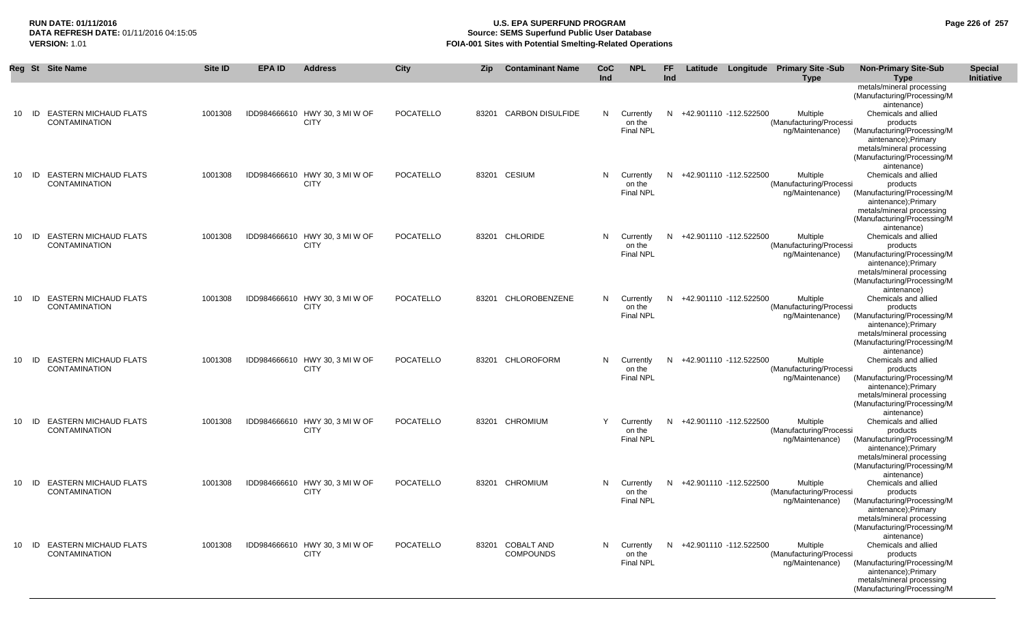## **RUN DATE: 01/11/2016 U.S. EPA SUPERFUND PROGRAM Page 226 of 257 Source: SEMS Superfund Public User Database VERSION:** 1.01 **FOIA-001 Sites with Potential Smelting-Related Operations**

|    |       | Reg St Site Name                                     | <b>Site ID</b> | <b>EPA ID</b> | <b>Address</b>                                | <b>City</b>      | <b>Zip</b> | <b>Contaminant Name</b>              | <b>CoC</b><br>Ind | <b>NPL</b>                              | FF.<br>Ind |                          |                          | Latitude Longitude Primary Site -Sub<br><b>Type</b>    | <b>Non-Primary Site-Sub</b><br><b>Type</b>                                                                                     | <b>Special</b><br><b>Initiative</b> |
|----|-------|------------------------------------------------------|----------------|---------------|-----------------------------------------------|------------------|------------|--------------------------------------|-------------------|-----------------------------------------|------------|--------------------------|--------------------------|--------------------------------------------------------|--------------------------------------------------------------------------------------------------------------------------------|-------------------------------------|
|    |       |                                                      |                |               |                                               |                  |            |                                      |                   |                                         |            |                          |                          |                                                        | metals/mineral processing<br>(Manufacturing/Processing/M<br>aintenance)                                                        |                                     |
| 10 | ID    | <b>EASTERN MICHAUD FLATS</b><br><b>CONTAMINATION</b> | 1001308        |               | IDD984666610 HWY 30, 3 MI W OF<br><b>CITY</b> | <b>POCATELLO</b> | 83201      | <b>CARBON DISULFIDE</b>              | N                 | Currently<br>on the                     | N          | +42.901110 -112.522500   |                          | Multiple<br>(Manufacturing/Processi                    | Chemicals and allied<br>products                                                                                               |                                     |
|    |       |                                                      |                |               |                                               |                  |            |                                      |                   | <b>Final NPL</b>                        |            |                          |                          | ng/Maintenance)                                        | (Manufacturing/Processing/M<br>aintenance); Primary<br>metals/mineral processing<br>(Manufacturing/Processing/M<br>aintenance) |                                     |
| 10 | ID    | <b>EASTERN MICHAUD FLATS</b><br><b>CONTAMINATION</b> | 1001308        |               | IDD984666610 HWY 30, 3 MI W OF<br><b>CITY</b> | <b>POCATELLO</b> |            | 83201 CESIUM                         | N                 | Currently<br>on the                     | N.         | +42.901110 -112.522500   |                          | Multiple<br>(Manufacturing/Processi                    | Chemicals and allied<br>products                                                                                               |                                     |
|    |       |                                                      |                |               |                                               |                  |            |                                      |                   | <b>Final NPL</b>                        |            |                          |                          | ng/Maintenance)                                        | (Manufacturing/Processing/M<br>aintenance):Primary<br>metals/mineral processing<br>(Manufacturing/Processing/M<br>aintenance)  |                                     |
| 10 | ID    | <b>EASTERN MICHAUD FLATS</b><br><b>CONTAMINATION</b> | 1001308        |               | IDD984666610 HWY 30, 3 MI W OF<br><b>CITY</b> | POCATELLO        |            | 83201 CHLORIDE                       | N.                | Currently<br>on the<br><b>Final NPL</b> | N.         | +42.901110 -112.522500   |                          | Multiple<br>(Manufacturing/Processi<br>ng/Maintenance) | Chemicals and allied<br>products<br>(Manufacturing/Processing/M<br>aintenance);Primary<br>metals/mineral processing            |                                     |
|    |       |                                                      |                |               |                                               |                  |            |                                      |                   |                                         |            |                          |                          |                                                        | (Manufacturing/Processing/M<br>aintenance)                                                                                     |                                     |
| 10 | ID    | <b>EASTERN MICHAUD FLATS</b><br><b>CONTAMINATION</b> | 1001308        |               | IDD984666610 HWY 30, 3 MI W OF<br><b>CITY</b> | <b>POCATELLO</b> | 83201      | CHLOROBENZENE                        | N                 | Currently<br>on the<br>Final NPL        | N          | +42.901110 -112.522500   |                          | Multiple<br>(Manufacturing/Processi<br>ng/Maintenance) | Chemicals and allied<br>products<br>(Manufacturing/Processing/M<br>aintenance);Primary                                         |                                     |
|    |       |                                                      |                |               |                                               |                  |            |                                      |                   |                                         |            |                          |                          |                                                        | metals/mineral processing<br>(Manufacturing/Processing/M<br>aintenance)                                                        |                                     |
| 10 | ID    | <b>EASTERN MICHAUD FLATS</b><br><b>CONTAMINATION</b> | 1001308        |               | IDD984666610 HWY 30, 3 MI W OF<br><b>CITY</b> | <b>POCATELLO</b> | 83201      | CHLOROFORM                           | N                 | Currently<br>on the<br>Final NPL        | N          | +42.901110 -112.522500   |                          | Multiple<br>(Manufacturing/Processi<br>ng/Maintenance) | Chemicals and allied<br>products<br>(Manufacturing/Processing/M                                                                |                                     |
|    |       |                                                      |                |               |                                               |                  |            |                                      |                   |                                         |            |                          |                          |                                                        | aintenance);Primary<br>metals/mineral processing<br>(Manufacturing/Processing/M<br>aintenance)                                 |                                     |
| 10 | ID    | <b>EASTERN MICHAUD FLATS</b><br><b>CONTAMINATION</b> | 1001308        |               | IDD984666610 HWY 30, 3 MI W OF<br><b>CITY</b> | POCATELLO        |            | 83201 CHROMIUM                       | Y                 | Currently<br>on the<br><b>Final NPL</b> |            | N +42.901110 -112.522500 |                          | Multiple<br>(Manufacturing/Processi<br>ng/Maintenance) | Chemicals and allied<br>products<br>(Manufacturing/Processing/M                                                                |                                     |
|    |       |                                                      |                |               |                                               |                  |            |                                      |                   |                                         |            |                          |                          |                                                        | aintenance);Primary<br>metals/mineral processing<br>(Manufacturing/Processing/M<br>aintenance)                                 |                                     |
|    | 10 ID | <b>EASTERN MICHAUD FLATS</b><br><b>CONTAMINATION</b> | 1001308        |               | IDD984666610 HWY 30, 3 MI W OF<br><b>CITY</b> | <b>POCATELLO</b> |            | 83201 CHROMIUM                       | N                 | Currently<br>on the<br><b>Final NPL</b> | N          |                          | +42.901110 -112.522500   | Multiple<br>(Manufacturing/Processi<br>ng/Maintenance) | Chemicals and allied<br>products<br>(Manufacturing/Processing/M                                                                |                                     |
|    |       |                                                      |                |               |                                               |                  |            |                                      |                   |                                         |            |                          |                          |                                                        | aintenance); Primary<br>metals/mineral processing<br>(Manufacturing/Processing/M<br>aintenance)                                |                                     |
| 10 | - ID  | <b>EASTERN MICHAUD FLATS</b><br><b>CONTAMINATION</b> | 1001308        |               | IDD984666610 HWY 30, 3 MI W OF<br><b>CITY</b> | <b>POCATELLO</b> |            | 83201 COBALT AND<br><b>COMPOUNDS</b> |                   | N Currently<br>on the<br>Final NPL      |            |                          | N +42.901110 -112.522500 | Multiple<br>(Manufacturing/Processi<br>ng/Maintenance) | Chemicals and allied<br>products<br>(Manufacturing/Processing/M<br>aintenance);Primary<br>metals/mineral processing            |                                     |
|    |       |                                                      |                |               |                                               |                  |            |                                      |                   |                                         |            |                          |                          |                                                        | (Manufacturing/Processing/M                                                                                                    |                                     |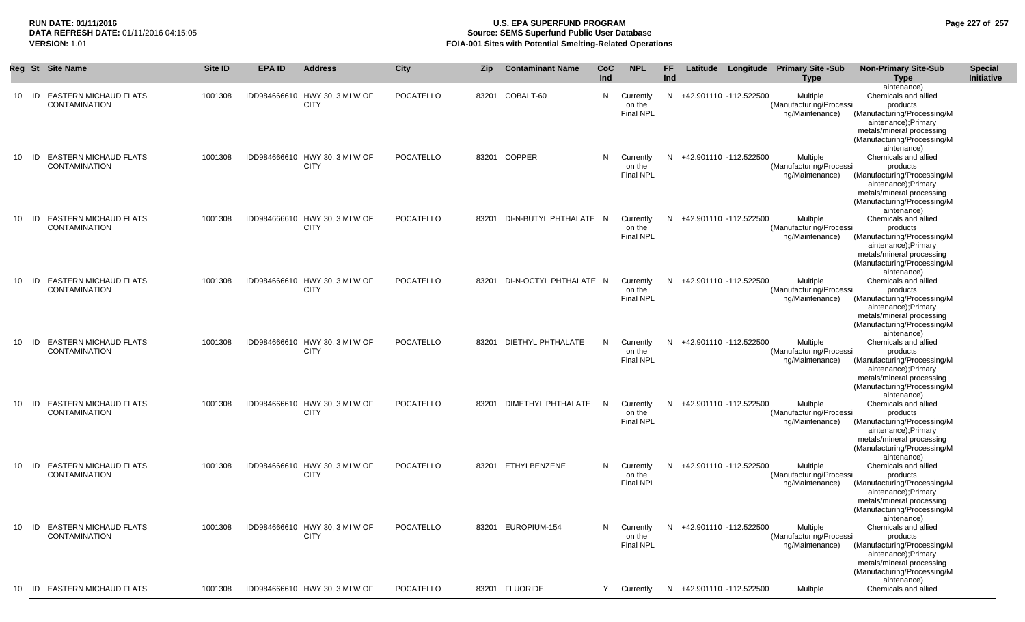## **RUN DATE: 01/11/2016 U.S. EPA SUPERFUND PROGRAM Page 227 of 257 Source: SEMS Superfund Public User Database VERSION:** 1.01 **FOIA-001 Sites with Potential Smelting-Related Operations**

|    |       | Reg St Site Name                                     | Site ID | <b>EPA ID</b> | <b>Address</b>                                | <b>City</b>      | <b>Zip</b> | <b>Contaminant Name</b>      | CoC<br>Ind     | <b>NPL</b>                              | FF<br>Ind |                          | Latitude Longitude Primary Site -Sub<br>Type           | <b>Non-Primary Site-Sub</b><br><b>Type</b>                                                                                                                                       | <b>Special</b><br>Initiative |
|----|-------|------------------------------------------------------|---------|---------------|-----------------------------------------------|------------------|------------|------------------------------|----------------|-----------------------------------------|-----------|--------------------------|--------------------------------------------------------|----------------------------------------------------------------------------------------------------------------------------------------------------------------------------------|------------------------------|
|    | 10 ID | <b>EASTERN MICHAUD FLATS</b><br><b>CONTAMINATION</b> | 1001308 |               | IDD984666610 HWY 30, 3 MI W OF<br><b>CITY</b> | POCATELLO        |            | 83201 COBALT-60              | N              | Currently<br>on the<br><b>Final NPL</b> |           | N +42.901110 -112.522500 | Multiple<br>(Manufacturing/Processi<br>ng/Maintenance) | aintenance)<br>Chemicals and allied<br>products<br>(Manufacturing/Processing/M<br>aintenance);Primary<br>metals/mineral processing<br>(Manufacturing/Processing/M                |                              |
| 10 | ID    | <b>EASTERN MICHAUD FLATS</b><br><b>CONTAMINATION</b> | 1001308 |               | IDD984666610 HWY 30, 3 MI W OF<br><b>CITY</b> | <b>POCATELLO</b> |            | 83201 COPPER                 | N.             | Currently<br>on the<br><b>Final NPL</b> |           | N +42.901110 -112.522500 | Multiple<br>(Manufacturing/Processi<br>ng/Maintenance) | aintenance)<br>Chemicals and allied<br>products<br>(Manufacturing/Processing/M<br>aintenance);Primary<br>metals/mineral processing<br>(Manufacturing/Processing/M<br>aintenance) |                              |
| 10 | - ID  | <b>EASTERN MICHAUD FLATS</b><br><b>CONTAMINATION</b> | 1001308 |               | IDD984666610 HWY 30, 3 MI W OF<br><b>CITY</b> | <b>POCATELLO</b> |            | 83201 DI-N-BUTYL PHTHALATE N |                | Currently<br>on the<br><b>Final NPL</b> | N.        | +42.901110 -112.522500   | Multiple<br>(Manufacturing/Processi<br>ng/Maintenance) | Chemicals and allied<br>products<br>(Manufacturing/Processing/M<br>aintenance); Primary<br>metals/mineral processing<br>(Manufacturing/Processing/M<br>aintenance)               |                              |
|    | 10 ID | <b>EASTERN MICHAUD FLATS</b><br><b>CONTAMINATION</b> | 1001308 |               | IDD984666610 HWY 30, 3 MI W OF<br><b>CITY</b> | POCATELLO        |            | 83201 DI-N-OCTYL PHTHALATE N |                | Currently<br>on the<br><b>Final NPL</b> |           | N +42.901110 -112.522500 | Multiple<br>(Manufacturing/Processi<br>ng/Maintenance) | Chemicals and allied<br>products<br>(Manufacturing/Processing/M<br>aintenance);Primary<br>metals/mineral processing<br>(Manufacturing/Processing/M<br>aintenance)                |                              |
|    | 10 ID | <b>EASTERN MICHAUD FLATS</b><br><b>CONTAMINATION</b> | 1001308 |               | IDD984666610 HWY 30, 3 MI W OF<br><b>CITY</b> | POCATELLO        |            | 83201 DIETHYL PHTHALATE      | N              | Currently<br>on the<br><b>Final NPL</b> |           | N +42.901110 -112.522500 | Multiple<br>(Manufacturing/Processi<br>ng/Maintenance) | Chemicals and allied<br>products<br>(Manufacturing/Processing/M<br>aintenance);Primary<br>metals/mineral processing<br>(Manufacturing/Processing/M<br>aintenance)                |                              |
| 10 | - ID  | <b>EASTERN MICHAUD FLATS</b><br><b>CONTAMINATION</b> | 1001308 |               | IDD984666610 HWY 30, 3 MI W OF<br><b>CITY</b> | POCATELLO        |            | 83201 DIMETHYL PHTHALATE     | N <sub>N</sub> | Currently<br>on the<br>Final NPL        | N         | +42.901110 -112.522500   | Multiple<br>(Manufacturing/Processi<br>ng/Maintenance) | Chemicals and allied<br>products<br>(Manufacturing/Processing/M<br>aintenance);Primary<br>metals/mineral processing<br>(Manufacturing/Processing/M                               |                              |
| 10 | - ID  | <b>EASTERN MICHAUD FLATS</b><br><b>CONTAMINATION</b> | 1001308 |               | IDD984666610 HWY 30, 3 MI W OF<br><b>CITY</b> | POCATELLO        |            | 83201 ETHYLBENZENE           | N.             | Currently<br>on the<br>Final NPL        | N         | +42.901110 -112.522500   | Multiple<br>(Manufacturing/Processi<br>ng/Maintenance) | aintenance)<br>Chemicals and allied<br>products<br>(Manufacturing/Processing/M<br>aintenance);Primary<br>metals/mineral processing<br>(Manufacturing/Processing/M                |                              |
|    | 10 ID | <b>EASTERN MICHAUD FLATS</b><br><b>CONTAMINATION</b> | 1001308 |               | IDD984666610 HWY 30, 3 MI W OF<br><b>CITY</b> | <b>POCATELLO</b> |            | 83201 EUROPIUM-154           | N.             | Currently<br>on the<br><b>Final NPL</b> |           | N +42.901110 -112.522500 | Multiple<br>(Manufacturing/Processi<br>ng/Maintenance) | aintenance)<br>Chemicals and allied<br>products<br>(Manufacturing/Processing/M<br>aintenance);Primary<br>metals/mineral processing<br>(Manufacturing/Processing/M                |                              |
|    |       | 10 ID EASTERN MICHAUD FLATS                          | 1001308 |               | IDD984666610 HWY 30, 3 MI W OF                | <b>POCATELLO</b> |            | 83201 FLUORIDE               | Y              | Currently                               | N         | +42.901110 -112.522500   | Multiple                                               | aintenance)<br>Chemicals and allied                                                                                                                                              |                              |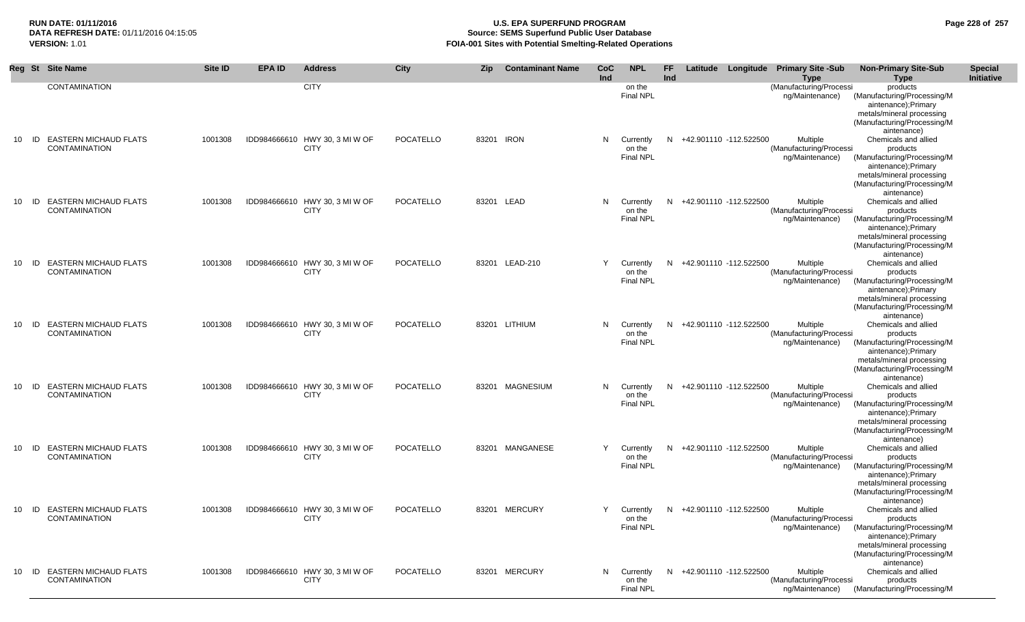## **RUN DATE: 01/11/2016 U.S. EPA SUPERFUND PROGRAM Page 228 of 257 DATA REFRESH DATE:** 01/11/2016 04:15:05 **Source: SEMS Superfund Public User Database**<br>**FOIA-001 Sites with Potential Smelting-Related Operat VERSION:** 1.01 **FOIA-001 Sites with Potential Smelting-Related Operations**

|         | Reg St Site Name                                     | Site ID | <b>EPA ID</b> | <b>Address</b>                                | City      | <b>Zip</b> | <b>Contaminant Name</b> | <b>CoC</b><br>Ind | <b>NPL</b>                              | FF.<br>Ind |                          | Latitude Longitude Primary Site -Sub<br><b>Type</b>    | <b>Non-Primary Site-Sub</b><br>Type                                                                                                                                | <b>Special</b><br>Initiative |
|---------|------------------------------------------------------|---------|---------------|-----------------------------------------------|-----------|------------|-------------------------|-------------------|-----------------------------------------|------------|--------------------------|--------------------------------------------------------|--------------------------------------------------------------------------------------------------------------------------------------------------------------------|------------------------------|
|         | <b>CONTAMINATION</b>                                 |         |               | <b>CITY</b>                                   |           |            |                         |                   | on the<br><b>Final NPL</b>              |            |                          | (Manufacturing/Processi<br>ng/Maintenance)             | products<br>(Manufacturing/Processing/M<br>aintenance);Primary<br>metals/mineral processing<br>(Manufacturing/Processing/M<br>aintenance)                          |                              |
| $10$ ID | <b>EASTERN MICHAUD FLATS</b><br><b>CONTAMINATION</b> | 1001308 |               | IDD984666610 HWY 30, 3 MI W OF<br><b>CITY</b> | POCATELLO | 83201 IRON |                         | N                 | Currently<br>on the<br><b>Final NPL</b> |            | N +42.901110 -112.522500 | Multiple<br>(Manufacturing/Processi<br>ng/Maintenance) | Chemicals and allied<br>products<br>(Manufacturing/Processing/M<br>aintenance);Primary<br>metals/mineral processing<br>(Manufacturing/Processing/M<br>aintenance)  |                              |
| $10$ ID | <b>EASTERN MICHAUD FLATS</b><br><b>CONTAMINATION</b> | 1001308 |               | IDD984666610 HWY 30, 3 MI W OF<br><b>CITY</b> | POCATELLO | 83201 LEAD |                         | N.                | Currently<br>on the<br><b>Final NPL</b> |            | N +42.901110 -112.522500 | Multiple<br>(Manufacturing/Processi<br>ng/Maintenance) | Chemicals and allied<br>products<br>(Manufacturing/Processing/M<br>aintenance);Primary<br>metals/mineral processing<br>(Manufacturing/Processing/M<br>aintenance)  |                              |
| $10$ ID | <b>EASTERN MICHAUD FLATS</b><br><b>CONTAMINATION</b> | 1001308 |               | IDD984666610 HWY 30, 3 MI W OF<br><b>CITY</b> | POCATELLO |            | 83201 LEAD-210          | Y                 | Currently<br>on the<br><b>Final NPL</b> |            | N +42.901110 -112.522500 | Multiple<br>(Manufacturing/Processi<br>ng/Maintenance) | Chemicals and allied<br>products<br>(Manufacturing/Processing/M<br>aintenance);Primary<br>metals/mineral processing<br>(Manufacturing/Processing/M<br>aintenance)  |                              |
| 10 ID   | <b>EASTERN MICHAUD FLATS</b><br><b>CONTAMINATION</b> | 1001308 |               | IDD984666610 HWY 30, 3 MI W OF<br><b>CITY</b> | POCATELLO |            | 83201 LITHIUM           | N.                | Currently<br>on the<br><b>Final NPL</b> |            | N +42.901110 -112.522500 | Multiple<br>(Manufacturing/Processi<br>ng/Maintenance) | Chemicals and allied<br>products<br>(Manufacturing/Processing/M<br>aintenance);Primary<br>metals/mineral processing<br>(Manufacturing/Processing/M<br>aintenance)  |                              |
| $10$ ID | <b>EASTERN MICHAUD FLATS</b><br><b>CONTAMINATION</b> | 1001308 |               | IDD984666610 HWY 30, 3 MI W OF<br><b>CITY</b> | POCATELLO |            | 83201 MAGNESIUM         | N.                | Currently<br>on the<br><b>Final NPL</b> |            | N +42.901110 -112.522500 | Multiple<br>(Manufacturing/Processi<br>ng/Maintenance) | Chemicals and allied<br>products<br>(Manufacturing/Processing/M<br>aintenance);Primary<br>metals/mineral processing<br>(Manufacturing/Processing/M<br>aintenance)  |                              |
| $10$ ID | <b>EASTERN MICHAUD FLATS</b><br><b>CONTAMINATION</b> | 1001308 |               | IDD984666610 HWY 30, 3 MI W OF<br><b>CITY</b> | POCATELLO |            | 83201 MANGANESE         | Y                 | Currently<br>on the<br><b>Final NPL</b> |            | N +42.901110 -112.522500 | Multiple<br>(Manufacturing/Processi<br>ng/Maintenance) | Chemicals and allied<br>products<br>(Manufacturing/Processing/M<br>aintenance);Primary<br>metals/mineral processing<br>(Manufacturing/Processing/M<br>aintenance)  |                              |
| $10$ ID | <b>EASTERN MICHAUD FLATS</b><br><b>CONTAMINATION</b> | 1001308 |               | IDD984666610 HWY 30, 3 MI W OF<br><b>CITY</b> | POCATELLO |            | 83201 MERCURY           | Y                 | Currently<br>on the<br><b>Final NPL</b> |            | N +42.901110 -112.522500 | Multiple<br>(Manufacturing/Processi<br>ng/Maintenance) | Chemicals and allied<br>products<br>(Manufacturing/Processing/M<br>aintenance); Primary<br>metals/mineral processing<br>(Manufacturing/Processing/M<br>aintenance) |                              |
| $10$ ID | <b>EASTERN MICHAUD FLATS</b><br><b>CONTAMINATION</b> | 1001308 |               | IDD984666610 HWY 30, 3 MI W OF<br><b>CITY</b> | POCATELLO |            | 83201 MERCURY           | N.                | Currently<br>on the<br><b>Final NPL</b> |            | N +42.901110 -112.522500 | Multiple<br>(Manufacturing/Processi<br>ng/Maintenance) | Chemicals and allied<br>products<br>(Manufacturing/Processing/M                                                                                                    |                              |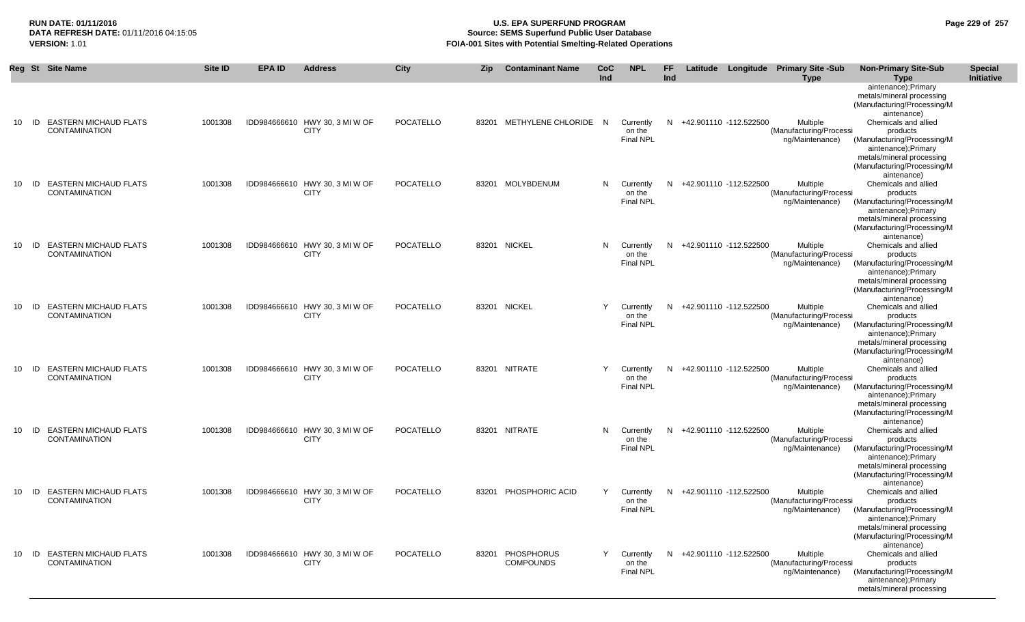## **RUN DATE: 01/11/2016 U.S. EPA SUPERFUND PROGRAM Page 229 of 257 Source: SEMS Superfund Public User Database VERSION:** 1.01 **FOIA-001 Sites with Potential Smelting-Related Operations**

|    |       | Reg St Site Name                                        | <b>Site ID</b> | <b>EPA ID</b> | <b>Address</b>                                | City             | <b>Zip</b> | <b>Contaminant Name</b>              | CoC<br>Ind | <b>NPL</b>                              | FF<br>Ind |                          | Latitude Longitude Primary Site -Sub<br><b>Type</b>    | <b>Non-Primary Site-Sub</b><br><b>Type</b>                                                                                                                         | <b>Special</b><br>Initiative |
|----|-------|---------------------------------------------------------|----------------|---------------|-----------------------------------------------|------------------|------------|--------------------------------------|------------|-----------------------------------------|-----------|--------------------------|--------------------------------------------------------|--------------------------------------------------------------------------------------------------------------------------------------------------------------------|------------------------------|
|    |       |                                                         |                |               |                                               |                  |            |                                      |            |                                         |           |                          |                                                        | aintenance); Primary<br>metals/mineral processing<br>(Manufacturing/Processing/M<br>aintenance)                                                                    |                              |
| 10 | ID    | <b>EASTERN MICHAUD FLATS</b><br><b>CONTAMINATION</b>    | 1001308        |               | IDD984666610 HWY 30, 3 MI W OF<br><b>CITY</b> | <b>POCATELLO</b> |            | 83201 METHYLENE CHLORIDE N           |            | Currently<br>on the<br>Final NPL        | N         | +42.901110 -112.522500   | Multiple<br>(Manufacturing/Processi<br>ng/Maintenance) | Chemicals and allied<br>products<br>(Manufacturing/Processing/M<br>aintenance); Primary<br>metals/mineral processing<br>(Manufacturing/Processing/M<br>aintenance) |                              |
| 10 | ID    | <b>EASTERN MICHAUD FLATS</b><br><b>CONTAMINATION</b>    | 1001308        |               | IDD984666610 HWY 30, 3 MI W OF<br><b>CITY</b> | <b>POCATELLO</b> |            | 83201 MOLYBDENUM                     | N          | Currently<br>on the<br><b>Final NPL</b> |           | N +42.901110 -112.522500 | Multiple<br>(Manufacturing/Processi<br>ng/Maintenance) | Chemicals and allied<br>products<br>(Manufacturing/Processing/M<br>aintenance); Primary<br>metals/mineral processing<br>(Manufacturing/Processing/M<br>aintenance) |                              |
|    | 10 ID | <b>EASTERN MICHAUD FLATS</b><br><b>CONTAMINATION</b>    | 1001308        |               | IDD984666610 HWY 30, 3 MI W OF<br><b>CITY</b> | <b>POCATELLO</b> |            | 83201 NICKEL                         | N.         | Currently<br>on the<br><b>Final NPL</b> |           | N +42.901110 -112.522500 | Multiple<br>(Manufacturing/Processi<br>ng/Maintenance) | Chemicals and allied<br>products<br>(Manufacturing/Processing/M<br>aintenance);Primary<br>metals/mineral processing<br>(Manufacturing/Processing/M<br>aintenance)  |                              |
| 10 | - ID  | <b>EASTERN MICHAUD FLATS</b><br><b>CONTAMINATION</b>    | 1001308        |               | IDD984666610 HWY 30, 3 MI W OF<br><b>CITY</b> | <b>POCATELLO</b> |            | 83201 NICKEL                         |            | Currently<br>on the<br><b>Final NPL</b> | N.        | +42.901110 -112.522500   | Multiple<br>(Manufacturing/Processi<br>ng/Maintenance) | Chemicals and allied<br>products<br>(Manufacturing/Processing/M<br>aintenance); Primary<br>metals/mineral processing<br>(Manufacturing/Processing/M<br>aintenance) |                              |
| 10 | ID    | <b>EASTERN MICHAUD FLATS</b><br><b>CONTAMINATION</b>    | 1001308        |               | IDD984666610 HWY 30, 3 MI W OF<br><b>CITY</b> | <b>POCATELLO</b> |            | 83201 NITRATE                        | Y          | Currently<br>on the<br><b>Final NPL</b> | N.        | +42.901110 -112.522500   | Multiple<br>(Manufacturing/Processi<br>ng/Maintenance) | Chemicals and allied<br>products<br>(Manufacturing/Processing/M<br>aintenance); Primary<br>metals/mineral processing<br>(Manufacturing/Processing/M<br>aintenance) |                              |
| 10 | ID    | <b>EASTERN MICHAUD FLATS</b><br><b>CONTAMINATION</b>    | 1001308        |               | IDD984666610 HWY 30, 3 MI W OF<br><b>CITY</b> | <b>POCATELLO</b> |            | 83201 NITRATE                        | N          | Currently<br>on the<br><b>Final NPL</b> | N         | +42.901110 -112.522500   | Multiple<br>(Manufacturing/Processi<br>ng/Maintenance) | Chemicals and allied<br>products<br>(Manufacturing/Processing/M<br>aintenance); Primary<br>metals/mineral processing<br>(Manufacturing/Processing/M<br>aintenance) |                              |
| 10 |       | <b>ID EASTERN MICHAUD FLATS</b><br><b>CONTAMINATION</b> | 1001308        |               | IDD984666610 HWY 30, 3 MI W OF<br><b>CITY</b> | POCATELLO        |            | 83201 PHOSPHORIC ACID                | Y          | Currently<br>on the<br><b>Final NPL</b> |           | N +42.901110 -112.522500 | Multiple<br>(Manufacturing/Processi<br>ng/Maintenance) | Chemicals and allied<br>products<br>(Manufacturing/Processing/M<br>aintenance);Primary<br>metals/mineral processing<br>(Manufacturing/Processing/M<br>aintenance)  |                              |
|    |       | 10 ID EASTERN MICHAUD FLATS<br>CONTAMINATION            | 1001308        |               | IDD984666610 HWY 30, 3 MI W OF<br><b>CITY</b> | <b>POCATELLO</b> |            | 83201 PHOSPHORUS<br><b>COMPOUNDS</b> |            | Currently<br>on the<br>Final NPL        |           | N +42.901110 -112.522500 | Multiple<br>(Manufacturing/Processi<br>ng/Maintenance) | Chemicals and allied<br>products<br>(Manufacturing/Processing/M<br>aintenance); Primary<br>metals/mineral processing                                               |                              |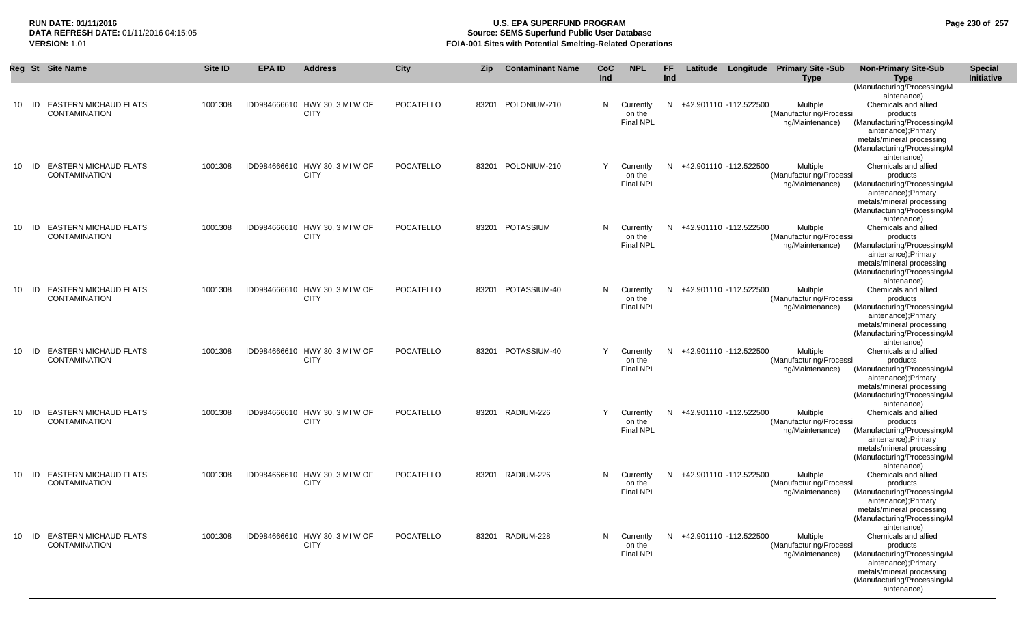## **RUN DATE: 01/11/2016 U.S. EPA SUPERFUND PROGRAM Page 230 of 257 Source: SEMS Superfund Public User Database VERSION:** 1.01 **FOIA-001 Sites with Potential Smelting-Related Operations**

|    |    | Reg St Site Name                                     | Site ID | <b>EPA ID</b> | <b>Address</b>                                | <b>City</b> | Zip | <b>Contaminant Name</b> | <b>CoC</b> | <b>NPL</b>                                | FF. |                          | Latitude Longitude Primary Site -Sub                   | <b>Non-Primary Site-Sub</b>                                                                                                                                       | <b>Special</b> |
|----|----|------------------------------------------------------|---------|---------------|-----------------------------------------------|-------------|-----|-------------------------|------------|-------------------------------------------|-----|--------------------------|--------------------------------------------------------|-------------------------------------------------------------------------------------------------------------------------------------------------------------------|----------------|
|    |    |                                                      |         |               |                                               |             |     |                         | Ind        |                                           | Ind |                          | <b>Type</b>                                            | <b>Type</b>                                                                                                                                                       | Initiative     |
| 10 | ID | <b>EASTERN MICHAUD FLATS</b><br><b>CONTAMINATION</b> | 1001308 |               | IDD984666610 HWY 30, 3 MI W OF<br><b>CITY</b> | POCATELLO   |     | 83201 POLONIUM-210      |            | N Currently<br>on the<br><b>Final NPL</b> |     | N +42.901110 -112.522500 | Multiple<br>(Manufacturing/Processi                    | (Manufacturing/Processing/M<br>aintenance)<br>Chemicals and allied<br>products                                                                                    |                |
|    |    |                                                      |         |               |                                               |             |     |                         |            |                                           |     |                          | ng/Maintenance)                                        | (Manufacturing/Processing/M<br>aintenance);Primary<br>metals/mineral processing<br>(Manufacturing/Processing/M<br>aintenance)                                     |                |
| 10 |    | ID EASTERN MICHAUD FLATS<br><b>CONTAMINATION</b>     | 1001308 |               | IDD984666610 HWY 30, 3 MI W OF<br><b>CITY</b> | POCATELLO   |     | 83201 POLONIUM-210      | Y          | Currently<br>on the<br><b>Final NPL</b>   |     | N +42.901110 -112.522500 | Multiple<br>(Manufacturing/Processi<br>ng/Maintenance) | Chemicals and allied<br>products<br>(Manufacturing/Processing/M<br>aintenance);Primary<br>metals/mineral processing<br>(Manufacturing/Processing/M<br>aintenance) |                |
| 10 |    | ID EASTERN MICHAUD FLATS<br><b>CONTAMINATION</b>     | 1001308 |               | IDD984666610 HWY 30, 3 MI W OF<br><b>CITY</b> | POCATELLO   |     | 83201 POTASSIUM         | N.         | Currently<br>on the<br><b>Final NPL</b>   |     | N +42.901110 -112.522500 | Multiple<br>(Manufacturing/Processi<br>ng/Maintenance) | Chemicals and allied<br>products<br>(Manufacturing/Processing/M<br>aintenance);Primary<br>metals/mineral processing<br>(Manufacturing/Processing/M<br>aintenance) |                |
| 10 |    | ID EASTERN MICHAUD FLATS<br><b>CONTAMINATION</b>     | 1001308 |               | IDD984666610 HWY 30, 3 MI W OF<br><b>CITY</b> | POCATELLO   |     | 83201 POTASSIUM-40      |            | N Currently<br>on the<br><b>Final NPL</b> |     | N +42.901110 -112.522500 | Multiple<br>(Manufacturing/Processi<br>ng/Maintenance) | Chemicals and allied<br>products<br>(Manufacturing/Processing/M<br>aintenance);Primary<br>metals/mineral processing<br>(Manufacturing/Processing/M<br>aintenance) |                |
| 10 | ID | <b>EASTERN MICHAUD FLATS</b><br><b>CONTAMINATION</b> | 1001308 |               | IDD984666610 HWY 30, 3 MI W OF<br><b>CITY</b> | POCATELLO   |     | 83201 POTASSIUM-40      | Y          | Currently<br>on the<br><b>Final NPL</b>   |     | N +42.901110 -112.522500 | Multiple<br>(Manufacturing/Processi<br>ng/Maintenance) | Chemicals and allied<br>products<br>(Manufacturing/Processing/M<br>aintenance);Primary<br>metals/mineral processing<br>(Manufacturing/Processing/M<br>aintenance) |                |
|    |    | 10 ID EASTERN MICHAUD FLATS<br><b>CONTAMINATION</b>  | 1001308 |               | IDD984666610 HWY 30, 3 MI W OF<br><b>CITY</b> | POCATELLO   |     | 83201 RADIUM-226        | Y          | Currently<br>on the<br><b>Final NPL</b>   |     | N +42.901110 -112.522500 | Multiple<br>(Manufacturing/Processi<br>ng/Maintenance) | Chemicals and allied<br>products<br>(Manufacturing/Processing/M<br>aintenance);Primary<br>metals/mineral processing<br>(Manufacturing/Processing/M<br>aintenance) |                |
| 10 |    | ID EASTERN MICHAUD FLATS<br><b>CONTAMINATION</b>     | 1001308 |               | IDD984666610 HWY 30, 3 MI W OF<br><b>CITY</b> | POCATELLO   |     | 83201 RADIUM-226        | N.         | Currently<br>on the<br><b>Final NPL</b>   | N   | +42.901110 -112.522500   | Multiple<br>(Manufacturing/Processi<br>ng/Maintenance) | Chemicals and allied<br>products<br>(Manufacturing/Processing/M<br>aintenance);Primary<br>metals/mineral processing<br>(Manufacturing/Processing/M<br>aintenance) |                |
| 10 |    | ID EASTERN MICHAUD FLATS<br><b>CONTAMINATION</b>     | 1001308 |               | IDD984666610 HWY 30, 3 MI W OF<br><b>CITY</b> | POCATELLO   |     | 83201 RADIUM-228        |            | N Currently<br>on the<br><b>Final NPL</b> |     | N +42.901110 -112.522500 | Multiple<br>(Manufacturing/Processi<br>ng/Maintenance) | Chemicals and allied<br>products<br>(Manufacturing/Processing/M<br>aintenance);Primary<br>metals/mineral processing<br>(Manufacturing/Processing/M<br>aintenance) |                |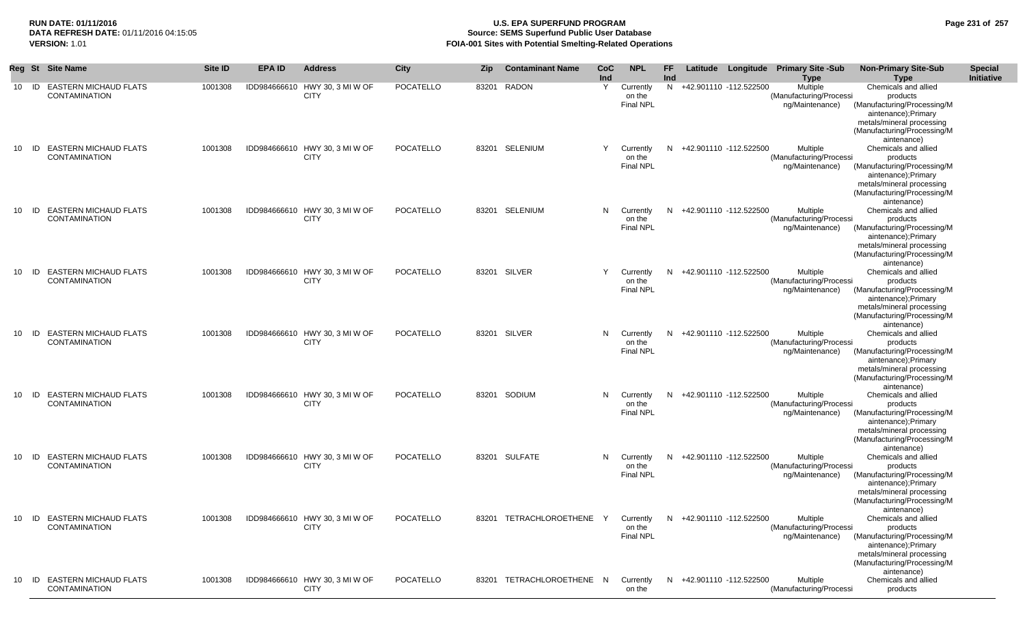### **RUN DATE: 01/11/2016 U.S. EPA SUPERFUND PROGRAM Page 231 of 257 Source: SEMS Superfund Public User Database VERSION:** 1.01 **FOIA-001 Sites with Potential Smelting-Related Operations**

|    |       | Reg St Site Name                                    | Site ID | <b>EPA ID</b> | <b>Address</b>                                | City      | Zip | <b>Contaminant Name</b>   | CoC | <b>NPL</b>       | FF  |                                    | Latitude Longitude Primary Site -Sub | <b>Non-Primary Site-Sub</b>                      | <b>Special</b> |
|----|-------|-----------------------------------------------------|---------|---------------|-----------------------------------------------|-----------|-----|---------------------------|-----|------------------|-----|------------------------------------|--------------------------------------|--------------------------------------------------|----------------|
|    |       |                                                     |         |               |                                               |           |     |                           | Ind |                  | Ind |                                    | <b>Type</b>                          | <b>Type</b>                                      | Initiative     |
|    |       | 10 ID EASTERN MICHAUD FLATS                         | 1001308 |               | IDD984666610 HWY 30, 3 MI W OF                | POCATELLO |     | 83201 RADON               | Y   | Currently        |     | N +42.901110 -112.522500           | Multiple                             | Chemicals and allied                             |                |
|    |       | <b>CONTAMINATION</b>                                |         |               | <b>CITY</b>                                   |           |     |                           |     | on the           |     |                                    | (Manufacturing/Processi              | products                                         |                |
|    |       |                                                     |         |               |                                               |           |     |                           |     | Final NPL        |     |                                    | ng/Maintenance)                      | (Manufacturing/Processing/M                      |                |
|    |       |                                                     |         |               |                                               |           |     |                           |     |                  |     |                                    |                                      | aintenance);Primary                              |                |
|    |       |                                                     |         |               |                                               |           |     |                           |     |                  |     |                                    |                                      | metals/mineral processing                        |                |
|    |       |                                                     |         |               |                                               |           |     |                           |     |                  |     |                                    |                                      | (Manufacturing/Processing/M                      |                |
|    |       |                                                     |         |               |                                               |           |     |                           |     |                  |     |                                    |                                      | aintenance)                                      |                |
| 10 | ID    | <b>EASTERN MICHAUD FLATS</b>                        | 1001308 |               | IDD984666610 HWY 30, 3 MI W OF                | POCATELLO |     | 83201 SELENIUM            | Y   | Currently        |     | N +42.901110 -112.522500           | Multiple                             | Chemicals and allied                             |                |
|    |       | <b>CONTAMINATION</b>                                |         |               | <b>CITY</b>                                   |           |     |                           |     | on the           |     |                                    | (Manufacturing/Processi              | products                                         |                |
|    |       |                                                     |         |               |                                               |           |     |                           |     | <b>Final NPL</b> |     |                                    | ng/Maintenance)                      | (Manufacturing/Processing/M                      |                |
|    |       |                                                     |         |               |                                               |           |     |                           |     |                  |     |                                    |                                      | aintenance);Primary<br>metals/mineral processing |                |
|    |       |                                                     |         |               |                                               |           |     |                           |     |                  |     |                                    |                                      | (Manufacturing/Processing/M                      |                |
|    |       |                                                     |         |               |                                               |           |     |                           |     |                  |     |                                    |                                      | aintenance)                                      |                |
|    | 10 ID | EASTERN MICHAUD FLATS                               | 1001308 |               | IDD984666610 HWY 30, 3 MI W OF                | POCATELLO |     | 83201 SELENIUM            | N.  | Currently        |     | N +42.901110 -112.522500           | Multiple                             | Chemicals and allied                             |                |
|    |       | <b>CONTAMINATION</b>                                |         |               | <b>CITY</b>                                   |           |     |                           |     | on the           |     |                                    | (Manufacturing/Processi              | products                                         |                |
|    |       |                                                     |         |               |                                               |           |     |                           |     | <b>Final NPL</b> |     |                                    | ng/Maintenance)                      | (Manufacturing/Processing/M                      |                |
|    |       |                                                     |         |               |                                               |           |     |                           |     |                  |     |                                    |                                      | aintenance);Primary                              |                |
|    |       |                                                     |         |               |                                               |           |     |                           |     |                  |     |                                    |                                      | metals/mineral processing                        |                |
|    |       |                                                     |         |               |                                               |           |     |                           |     |                  |     |                                    |                                      | (Manufacturing/Processing/M                      |                |
|    |       |                                                     |         |               |                                               |           |     |                           |     |                  |     |                                    |                                      | aintenance)                                      |                |
|    | 10 ID | <b>EASTERN MICHAUD FLATS</b>                        | 1001308 |               | IDD984666610 HWY 30, 3 MI W OF                | POCATELLO |     | 83201 SILVER              | Y   | Currently        |     | N +42.901110 -112.522500           | Multiple                             | Chemicals and allied                             |                |
|    |       | <b>CONTAMINATION</b>                                |         |               | <b>CITY</b>                                   |           |     |                           |     | on the           |     |                                    | (Manufacturing/Processi              | products                                         |                |
|    |       |                                                     |         |               |                                               |           |     |                           |     | <b>Final NPL</b> |     |                                    | ng/Maintenance)                      | (Manufacturing/Processing/M                      |                |
|    |       |                                                     |         |               |                                               |           |     |                           |     |                  |     |                                    |                                      | aintenance); Primary                             |                |
|    |       |                                                     |         |               |                                               |           |     |                           |     |                  |     |                                    |                                      | metals/mineral processing                        |                |
|    |       |                                                     |         |               |                                               |           |     |                           |     |                  |     |                                    |                                      | (Manufacturing/Processing/M                      |                |
|    |       |                                                     |         |               |                                               |           |     |                           |     |                  |     |                                    |                                      | aintenance)                                      |                |
|    |       | 10 ID EASTERN MICHAUD FLATS                         | 1001308 |               | IDD984666610 HWY 30, 3 MI W OF                | POCATELLO |     | 83201 SILVER              | N.  | Currently        |     | N +42.901110 -112.522500           | Multiple                             | Chemicals and allied                             |                |
|    |       | <b>CONTAMINATION</b>                                |         |               | <b>CITY</b>                                   |           |     |                           |     | on the           |     |                                    | (Manufacturing/Processi              | products                                         |                |
|    |       |                                                     |         |               |                                               |           |     |                           |     | <b>Final NPL</b> |     |                                    | ng/Maintenance)                      | (Manufacturing/Processing/M                      |                |
|    |       |                                                     |         |               |                                               |           |     |                           |     |                  |     |                                    |                                      | aintenance); Primary                             |                |
|    |       |                                                     |         |               |                                               |           |     |                           |     |                  |     |                                    |                                      | metals/mineral processing                        |                |
|    |       |                                                     |         |               |                                               |           |     |                           |     |                  |     |                                    |                                      | (Manufacturing/Processing/M                      |                |
| 10 | - ID  | <b>EASTERN MICHAUD FLATS</b>                        | 1001308 |               | IDD984666610 HWY 30, 3 MI W OF                | POCATELLO |     | 83201 SODIUM              | N.  | Currently        |     | N +42.901110 -112.522500           | Multiple                             | aintenance)<br>Chemicals and allied              |                |
|    |       | <b>CONTAMINATION</b>                                |         |               | <b>CITY</b>                                   |           |     |                           |     | on the           |     |                                    | (Manufacturing/Processi              | products                                         |                |
|    |       |                                                     |         |               |                                               |           |     |                           |     | <b>Final NPL</b> |     |                                    | ng/Maintenance)                      | (Manufacturing/Processing/M                      |                |
|    |       |                                                     |         |               |                                               |           |     |                           |     |                  |     |                                    |                                      | aintenance);Primary                              |                |
|    |       |                                                     |         |               |                                               |           |     |                           |     |                  |     |                                    |                                      | metals/mineral processing                        |                |
|    |       |                                                     |         |               |                                               |           |     |                           |     |                  |     |                                    |                                      | (Manufacturing/Processing/M                      |                |
|    |       |                                                     |         |               |                                               |           |     |                           |     |                  |     |                                    |                                      | aintenance)                                      |                |
|    | 10 ID | <b>EASTERN MICHAUD FLATS</b>                        | 1001308 |               | IDD984666610 HWY 30, 3 MI W OF                | POCATELLO |     | 83201 SULFATE             | N.  | Currently        |     | N +42.901110 -112.522500           | Multiple                             | Chemicals and allied                             |                |
|    |       | <b>CONTAMINATION</b>                                |         |               | <b>CITY</b>                                   |           |     |                           |     | on the           |     |                                    | (Manufacturing/Processi              | products                                         |                |
|    |       |                                                     |         |               |                                               |           |     |                           |     | <b>Final NPL</b> |     |                                    | ng/Maintenance)                      | (Manufacturing/Processing/M                      |                |
|    |       |                                                     |         |               |                                               |           |     |                           |     |                  |     |                                    |                                      | aintenance); Primary                             |                |
|    |       |                                                     |         |               |                                               |           |     |                           |     |                  |     |                                    |                                      | metals/mineral processing                        |                |
|    |       |                                                     |         |               |                                               |           |     |                           |     |                  |     |                                    |                                      | (Manufacturing/Processing/M                      |                |
|    |       |                                                     |         |               |                                               |           |     |                           |     |                  |     |                                    |                                      | aintenance)                                      |                |
|    |       | 10 ID EASTERN MICHAUD FLATS                         | 1001308 |               | IDD984666610 HWY 30, 3 MI W OF                | POCATELLO |     | 83201 TETRACHLOROETHENE Y |     |                  |     | Currently N +42.901110 -112.522500 | Multiple                             | Chemicals and allied                             |                |
|    |       | <b>CONTAMINATION</b>                                |         |               | <b>CITY</b>                                   |           |     |                           |     | on the           |     |                                    | (Manufacturing/Processi              | products                                         |                |
|    |       |                                                     |         |               |                                               |           |     |                           |     | Final NPL        |     |                                    | ng/Maintenance)                      | (Manufacturing/Processing/M                      |                |
|    |       |                                                     |         |               |                                               |           |     |                           |     |                  |     |                                    |                                      | aintenance);Primary                              |                |
|    |       |                                                     |         |               |                                               |           |     |                           |     |                  |     |                                    |                                      | metals/mineral processing                        |                |
|    |       |                                                     |         |               |                                               |           |     |                           |     |                  |     |                                    |                                      | (Manufacturing/Processing/M                      |                |
|    |       |                                                     |         |               |                                               |           |     |                           |     |                  |     |                                    |                                      | aintenance)                                      |                |
|    |       | 10 ID EASTERN MICHAUD FLATS<br><b>CONTAMINATION</b> | 1001308 |               | IDD984666610 HWY 30, 3 MI W OF<br><b>CITY</b> | POCATELLO |     | 83201 TETRACHLOROETHENE N |     | Currently        |     | N +42.901110 -112.522500           | Multiple                             | Chemicals and allied                             |                |
|    |       |                                                     |         |               |                                               |           |     |                           |     | on the           |     |                                    | (Manufacturing/Processi              | products                                         |                |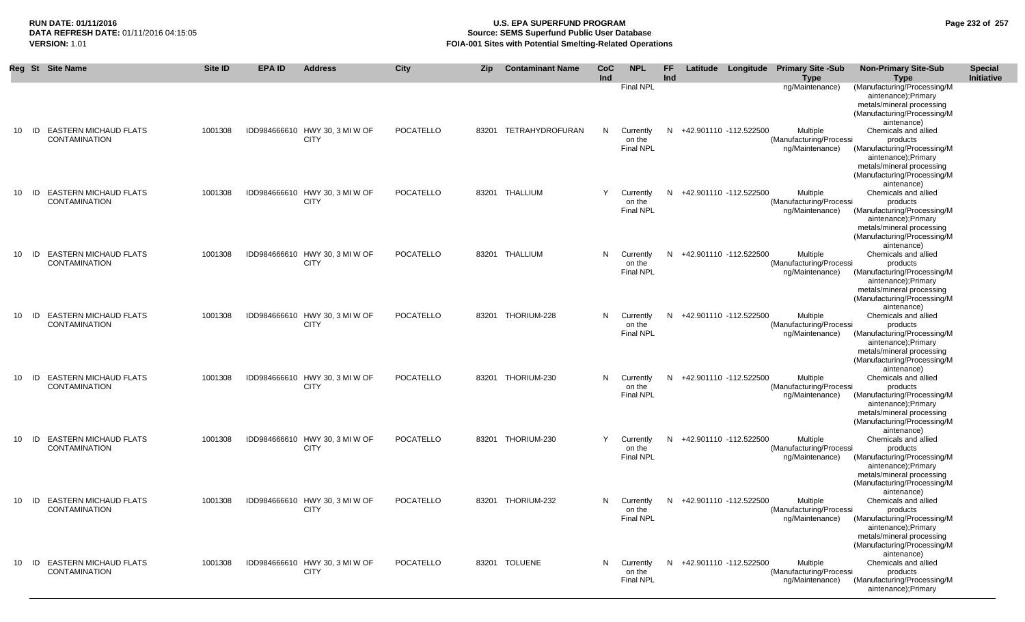## **RUN DATE: 01/11/2016 U.S. EPA SUPERFUND PROGRAM Page 232 of 257 Source: SEMS Superfund Public User Database VERSION:** 1.01 **FOIA-001 Sites with Potential Smelting-Related Operations**

|                 |    | Reg St Site Name                                        | Site ID | <b>EPA ID</b> | <b>Address</b>                                | City             | <b>Zip</b> | <b>Contaminant Name</b> | CoC<br>Ind | <b>NPL</b>                              | <b>FF</b><br>Ind |                          | Latitude Longitude Primary Site -Sub<br><b>Type</b>    | <b>Non-Primary Site-Sub</b><br><b>Type</b>                                                                                                                        | <b>Special</b><br>Initiative |
|-----------------|----|---------------------------------------------------------|---------|---------------|-----------------------------------------------|------------------|------------|-------------------------|------------|-----------------------------------------|------------------|--------------------------|--------------------------------------------------------|-------------------------------------------------------------------------------------------------------------------------------------------------------------------|------------------------------|
| 10              | ID | <b>EASTERN MICHAUD FLATS</b>                            | 1001308 |               | IDD984666610 HWY 30, 3 MI W OF                | <b>POCATELLO</b> |            | 83201 TETRAHYDROFURAN   | N          | <b>Final NPL</b><br>Currently           |                  | N +42.901110 -112.522500 | ng/Maintenance)<br>Multiple                            | (Manufacturing/Processing/M<br>aintenance);Primary<br>metals/mineral processing<br>(Manufacturing/Processing/M<br>aintenance)<br>Chemicals and allied             |                              |
|                 |    | <b>CONTAMINATION</b>                                    |         |               | <b>CITY</b>                                   |                  |            |                         |            | on the<br><b>Final NPL</b>              |                  |                          | (Manufacturing/Processi<br>ng/Maintenance)             | products<br>(Manufacturing/Processing/M<br>aintenance);Primary<br>metals/mineral processing<br>(Manufacturing/Processing/M<br>aintenance)                         |                              |
| 10 <sup>1</sup> |    | <b>ID EASTERN MICHAUD FLATS</b><br><b>CONTAMINATION</b> | 1001308 |               | IDD984666610 HWY 30, 3 MI W OF<br><b>CITY</b> | <b>POCATELLO</b> |            | 83201 THALLIUM          | Y          | Currently<br>on the<br>Final NPL        |                  | N +42.901110 -112.522500 | Multiple<br>(Manufacturing/Processi<br>ng/Maintenance) | Chemicals and allied<br>products<br>(Manufacturing/Processing/M<br>aintenance);Primary<br>metals/mineral processing<br>(Manufacturing/Processing/M<br>aintenance) |                              |
| 10              | ID | <b>EASTERN MICHAUD FLATS</b><br><b>CONTAMINATION</b>    | 1001308 |               | IDD984666610 HWY 30, 3 MI W OF<br><b>CITY</b> | <b>POCATELLO</b> |            | 83201 THALLIUM          | N          | Currently<br>on the<br><b>Final NPL</b> | N                | +42.901110 -112.522500   | Multiple<br>(Manufacturing/Processi<br>ng/Maintenance) | Chemicals and allied<br>products<br>(Manufacturing/Processing/M<br>aintenance);Primary<br>metals/mineral processing<br>(Manufacturing/Processing/M<br>aintenance) |                              |
| 10              | ID | <b>EASTERN MICHAUD FLATS</b><br><b>CONTAMINATION</b>    | 1001308 |               | IDD984666610 HWY 30, 3 MI W OF<br><b>CITY</b> | POCATELLO        |            | 83201 THORIUM-228       | N.         | Currently<br>on the<br>Final NPL        | N.               | +42.901110 -112.522500   | Multiple<br>(Manufacturing/Processi<br>ng/Maintenance) | Chemicals and allied<br>products<br>(Manufacturing/Processing/M<br>aintenance);Primary<br>metals/mineral processing<br>(Manufacturing/Processing/M<br>aintenance) |                              |
|                 |    | 10 ID EASTERN MICHAUD FLATS<br><b>CONTAMINATION</b>     | 1001308 |               | IDD984666610 HWY 30, 3 MI W OF<br><b>CITY</b> | <b>POCATELLO</b> |            | 83201 THORIUM-230       | N          | Currently<br>on the<br><b>Final NPL</b> |                  | N +42.901110 -112.522500 | Multiple<br>(Manufacturing/Processi<br>ng/Maintenance) | Chemicals and allied<br>products<br>(Manufacturing/Processing/M<br>aintenance);Primary<br>metals/mineral processing<br>(Manufacturing/Processing/M<br>aintenance) |                              |
| 10              |    | ID EASTERN MICHAUD FLATS<br><b>CONTAMINATION</b>        | 1001308 |               | IDD984666610 HWY 30, 3 MI W OF<br><b>CITY</b> | <b>POCATELLO</b> |            | 83201 THORIUM-230       | Y          | Currently<br>on the<br><b>Final NPL</b> |                  | N +42.901110 -112.522500 | Multiple<br>(Manufacturing/Processi<br>ng/Maintenance) | Chemicals and allied<br>products<br>(Manufacturing/Processing/M<br>aintenance);Primary<br>metals/mineral processing<br>(Manufacturing/Processing/M<br>aintenance) |                              |
| 10              | ID | <b>EASTERN MICHAUD FLATS</b><br><b>CONTAMINATION</b>    | 1001308 |               | IDD984666610 HWY 30, 3 MI W OF<br><b>CITY</b> | POCATELLO        |            | 83201 THORIUM-232       | N.         | Currently<br>on the<br><b>Final NPL</b> | N                | +42.901110 -112.522500   | Multiple<br>(Manufacturing/Processi<br>ng/Maintenance) | Chemicals and allied<br>products<br>(Manufacturing/Processing/M<br>aintenance);Primary<br>metals/mineral processing<br>(Manufacturing/Processing/M<br>aintenance) |                              |
| 10              |    | <b>ID EASTERN MICHAUD FLATS</b><br><b>CONTAMINATION</b> | 1001308 |               | IDD984666610 HWY 30, 3 MI W OF<br><b>CITY</b> | POCATELLO        |            | 83201 TOLUENE           | N          | Currently<br>on the<br><b>Final NPL</b> |                  | N +42.901110 -112.522500 | Multiple<br>(Manufacturing/Processi<br>ng/Maintenance) | Chemicals and allied<br>products<br>(Manufacturing/Processing/M<br>aintenance);Primary                                                                            |                              |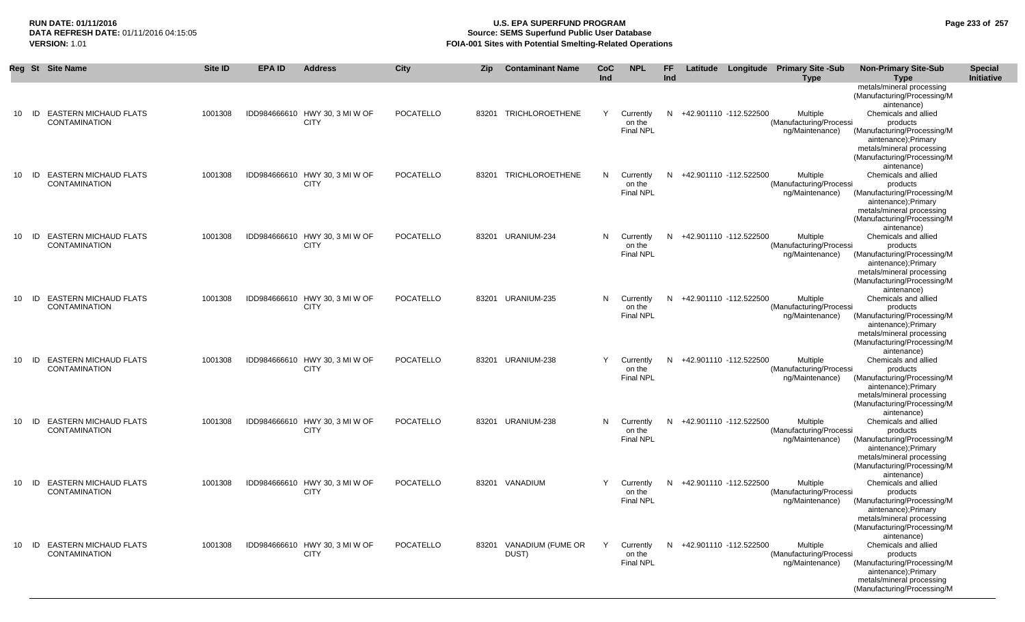## **RUN DATE: 01/11/2016 U.S. EPA SUPERFUND PROGRAM Page 233 of 257 Source: SEMS Superfund Public User Database VERSION:** 1.01 **FOIA-001 Sites with Potential Smelting-Related Operations**

|                 |    | Reg St Site Name                                        | <b>Site ID</b> | <b>EPA ID</b> | <b>Address</b>                                | City      | <b>Zip</b> | <b>Contaminant Name</b>    | <b>CoC</b><br>Ind | <b>NPL</b>                                | <b>FF</b><br>Ind |                          | Latitude Longitude Primary Site -Sub<br><b>Type</b>    | <b>Non-Primary Site-Sub</b><br><b>Type</b>                                                                                                         | <b>Special</b><br>Initiative |
|-----------------|----|---------------------------------------------------------|----------------|---------------|-----------------------------------------------|-----------|------------|----------------------------|-------------------|-------------------------------------------|------------------|--------------------------|--------------------------------------------------------|----------------------------------------------------------------------------------------------------------------------------------------------------|------------------------------|
|                 |    |                                                         |                |               |                                               |           |            |                            |                   |                                           |                  |                          |                                                        | metals/mineral processing<br>(Manufacturing/Processing/M<br>aintenance)                                                                            |                              |
| 10              |    | ID EASTERN MICHAUD FLATS<br><b>CONTAMINATION</b>        | 1001308        |               | IDD984666610 HWY 30, 3 MI W OF<br><b>CITY</b> | POCATELLO |            | 83201 TRICHLOROETHENE      | Y                 | Currently<br>on the<br>Final NPL          |                  | N +42.901110 -112.522500 | Multiple<br>(Manufacturing/Processi<br>ng/Maintenance) | Chemicals and allied<br>products<br>(Manufacturing/Processing/M                                                                                    |                              |
|                 |    |                                                         |                |               |                                               |           |            |                            |                   |                                           |                  |                          |                                                        | aintenance);Primary<br>metals/mineral processing<br>(Manufacturing/Processing/M<br>aintenance)                                                     |                              |
| 10              |    | ID EASTERN MICHAUD FLATS<br><b>CONTAMINATION</b>        | 1001308        |               | IDD984666610 HWY 30, 3 MI W OF<br><b>CITY</b> | POCATELLO |            | 83201 TRICHLOROETHENE      |                   | N Currently<br>on the<br><b>Final NPL</b> | N                | +42.901110 -112.522500   | Multiple<br>(Manufacturing/Processi<br>ng/Maintenance) | Chemicals and allied<br>products<br>(Manufacturing/Processing/M<br>aintenance);Primary<br>metals/mineral processing                                |                              |
|                 |    |                                                         |                |               |                                               |           |            |                            |                   |                                           |                  |                          |                                                        | (Manufacturing/Processing/M<br>aintenance)                                                                                                         |                              |
| 10              | ID | <b>EASTERN MICHAUD FLATS</b><br><b>CONTAMINATION</b>    | 1001308        |               | IDD984666610 HWY 30, 3 MI W OF<br><b>CITY</b> | POCATELLO |            | 83201 URANIUM-234          | N.                | Currently<br>on the<br><b>Final NPL</b>   | N                | +42.901110 -112.522500   | Multiple<br>(Manufacturing/Processi<br>ng/Maintenance) | Chemicals and allied<br>products<br>(Manufacturing/Processing/M<br>aintenance);Primary<br>metals/mineral processing<br>(Manufacturing/Processing/M |                              |
| 10 <sup>1</sup> |    | <b>ID EASTERN MICHAUD FLATS</b><br><b>CONTAMINATION</b> | 1001308        |               | IDD984666610 HWY 30, 3 MI W OF<br><b>CITY</b> | POCATELLO |            | 83201 URANIUM-235          |                   | N Currently<br>on the                     |                  | N +42.901110 -112.522500 | Multiple<br>(Manufacturing/Processi                    | aintenance)<br>Chemicals and allied<br>products                                                                                                    |                              |
|                 |    |                                                         |                |               |                                               |           |            |                            |                   | <b>Final NPL</b>                          |                  |                          | ng/Maintenance)                                        | (Manufacturing/Processing/M<br>aintenance);Primary<br>metals/mineral processing<br>(Manufacturing/Processing/M<br>aintenance)                      |                              |
| 10 <sup>1</sup> |    | <b>ID EASTERN MICHAUD FLATS</b><br><b>CONTAMINATION</b> | 1001308        |               | IDD984666610 HWY 30, 3 MI W OF<br><b>CITY</b> | POCATELLO |            | 83201 URANIUM-238          | Y                 | Currently<br>on the<br><b>Final NPL</b>   | N                | +42.901110 -112.522500   | Multiple<br>(Manufacturing/Processi<br>ng/Maintenance) | Chemicals and allied<br>products<br>(Manufacturing/Processing/M                                                                                    |                              |
|                 |    |                                                         |                |               |                                               |           |            |                            |                   |                                           |                  |                          |                                                        | aintenance);Primary<br>metals/mineral processing<br>(Manufacturing/Processing/M<br>aintenance)                                                     |                              |
| 10              |    | <b>ID EASTERN MICHAUD FLATS</b><br><b>CONTAMINATION</b> | 1001308        |               | IDD984666610 HWY 30, 3 MI W OF<br><b>CITY</b> | POCATELLO |            | 83201 URANIUM-238          | N.                | Currently<br>on the<br><b>Final NPL</b>   | N                | +42.901110 -112.522500   | Multiple<br>(Manufacturing/Processi<br>ng/Maintenance) | Chemicals and allied<br>products<br>(Manufacturing/Processing/M<br>aintenance); Primary                                                            |                              |
|                 |    |                                                         |                |               |                                               |           |            |                            |                   |                                           |                  |                          |                                                        | metals/mineral processing<br>(Manufacturing/Processing/M<br>aintenance)                                                                            |                              |
| 10              |    | <b>ID EASTERN MICHAUD FLATS</b><br><b>CONTAMINATION</b> | 1001308        |               | IDD984666610 HWY 30, 3 MI W OF<br><b>CITY</b> | POCATELLO |            | 83201 VANADIUM             | Y                 | Currently<br>on the<br><b>Final NPL</b>   |                  | N +42.901110 -112.522500 | Multiple<br>(Manufacturing/Processi<br>ng/Maintenance) | Chemicals and allied<br>products<br>(Manufacturing/Processing/M<br>aintenance);Primary                                                             |                              |
|                 |    |                                                         |                |               |                                               |           |            |                            |                   |                                           |                  |                          |                                                        | metals/mineral processing<br>(Manufacturing/Processing/M<br>aintenance)                                                                            |                              |
| 10              |    | ID EASTERN MICHAUD FLATS<br><b>CONTAMINATION</b>        | 1001308        |               | IDD984666610 HWY 30, 3 MI W OF<br><b>CITY</b> | POCATELLO | 83201      | VANADIUM (FUME OR<br>DUST) | Y                 | Currently<br>on the<br>Final NPL          | N                | +42.901110 -112.522500   | Multiple<br>(Manufacturing/Processi<br>ng/Maintenance) | Chemicals and allied<br>products<br>(Manufacturing/Processing/M                                                                                    |                              |
|                 |    |                                                         |                |               |                                               |           |            |                            |                   |                                           |                  |                          |                                                        | aintenance);Primary<br>metals/mineral processing<br>(Manufacturing/Processing/M                                                                    |                              |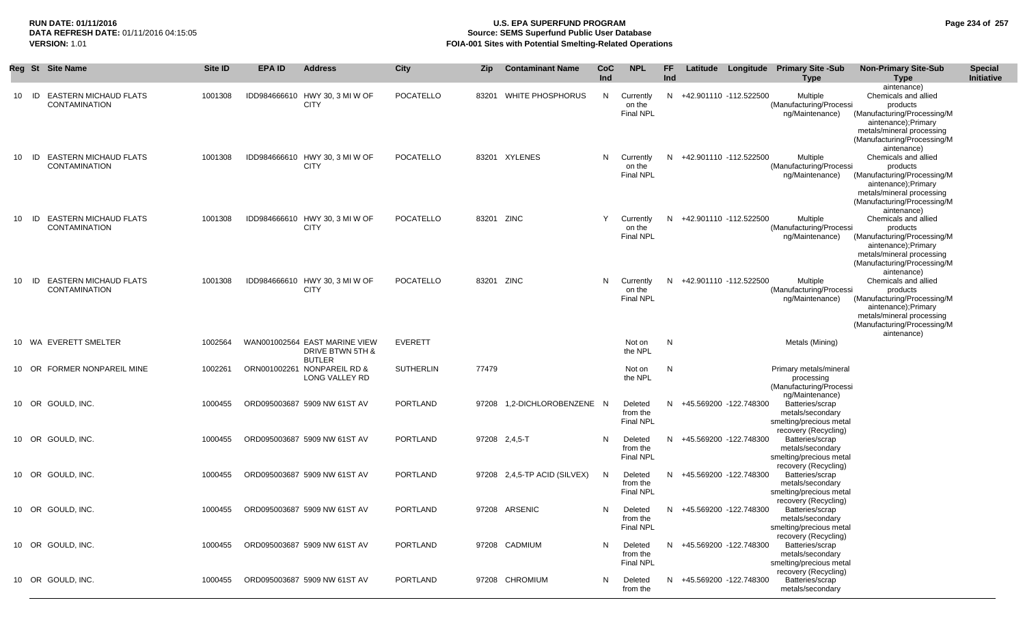## **RUN DATE: 01/11/2016 U.S. EPA SUPERFUND PROGRAM Page 234 of 257 Source: SEMS Superfund Public User Database VERSION:** 1.01 **FOIA-001 Sites with Potential Smelting-Related Operations**

|         | Reg St Site Name                                     | Site ID | <b>EPA ID</b> | <b>Address</b>                                                     | City             | <b>Zip</b> | <b>Contaminant Name</b>      | CoC<br>Ind | <b>NPL</b>                              | FF<br>Ind |                          | Latitude Longitude Primary Site -Sub<br><b>Type</b>                                    | <b>Non-Primary Site-Sub</b><br>Type                                                                                                                                              | <b>Special</b><br><b>Initiative</b> |
|---------|------------------------------------------------------|---------|---------------|--------------------------------------------------------------------|------------------|------------|------------------------------|------------|-----------------------------------------|-----------|--------------------------|----------------------------------------------------------------------------------------|----------------------------------------------------------------------------------------------------------------------------------------------------------------------------------|-------------------------------------|
| 10 ID   | <b>EASTERN MICHAUD FLATS</b><br><b>CONTAMINATION</b> | 1001308 |               | IDD984666610 HWY 30, 3 MI W OF<br><b>CITY</b>                      | POCATELLO        |            | 83201 WHITE PHOSPHORUS       | N.         | Currently<br>on the<br>Final NPL        |           | N +42.901110 -112.522500 | Multiple<br>(Manufacturing/Processi<br>ng/Maintenance)                                 | aintenance)<br>Chemicals and allied<br>products<br>(Manufacturing/Processing/M<br>aintenance);Primary<br>metals/mineral processing<br>(Manufacturing/Processing/M<br>aintenance) |                                     |
| 10 ID   | <b>EASTERN MICHAUD FLATS</b><br><b>CONTAMINATION</b> | 1001308 |               | IDD984666610 HWY 30, 3 MI W OF<br><b>CITY</b>                      | POCATELLO        |            | 83201 XYLENES                | N.         | Currently<br>on the<br>Final NPL        |           | N +42.901110 -112.522500 | Multiple<br>(Manufacturing/Processi<br>ng/Maintenance)                                 | Chemicals and allied<br>products<br>(Manufacturing/Processing/M<br>aintenance);Primary<br>metals/mineral processing<br>(Manufacturing/Processing/M<br>aintenance)                |                                     |
| $10$ ID | <b>EASTERN MICHAUD FLATS</b><br><b>CONTAMINATION</b> | 1001308 |               | IDD984666610 HWY 30, 3 MI W OF<br><b>CITY</b>                      | POCATELLO        | 83201 ZINC |                              | Y          | Currently<br>on the<br>Final NPL        |           | N +42.901110 -112.522500 | Multiple<br>(Manufacturing/Processi<br>ng/Maintenance)                                 | Chemicals and allied<br>products<br>(Manufacturing/Processing/M<br>aintenance);Primary<br>metals/mineral processing<br>(Manufacturing/Processing/M<br>aintenance)                |                                     |
| 10 ID   | <b>EASTERN MICHAUD FLATS</b><br><b>CONTAMINATION</b> | 1001308 |               | IDD984666610 HWY 30, 3 MI W OF<br><b>CITY</b>                      | POCATELLO        | 83201 ZINC |                              | N.         | Currently<br>on the<br><b>Final NPL</b> |           | N +42.901110 -112.522500 | Multiple<br>(Manufacturing/Processi<br>ng/Maintenance)                                 | Chemicals and allied<br>products<br>(Manufacturing/Processing/M<br>aintenance);Primary<br>metals/mineral processing<br>(Manufacturing/Processing/M<br>aintenance)                |                                     |
|         | 10 WA EVERETT SMELTER                                | 1002564 |               | WAN001002564 EAST MARINE VIEW<br>DRIVE BTWN 5TH &<br><b>BUTLER</b> | <b>EVERETT</b>   |            |                              |            | Not on<br>the NPL                       | N         |                          | Metals (Mining)                                                                        |                                                                                                                                                                                  |                                     |
|         | 10 OR FORMER NONPAREIL MINE                          | 1002261 |               | ORN001002261 NONPAREIL RD &<br>LONG VALLEY RD                      | <b>SUTHERLIN</b> | 77479      |                              |            | Not on<br>the NPL                       | N         |                          | Primary metals/mineral<br>processing<br>(Manufacturing/Processi<br>ng/Maintenance)     |                                                                                                                                                                                  |                                     |
|         | 10 OR GOULD, INC.                                    | 1000455 |               | ORD095003687 5909 NW 61ST AV                                       | PORTLAND         |            | 97208 1,2-DICHLOROBENZENE N  |            | Deleted<br>from the<br><b>Final NPL</b> |           | N +45.569200 -122.748300 | Batteries/scrap<br>metals/secondary<br>smelting/precious metal<br>recovery (Recycling) |                                                                                                                                                                                  |                                     |
|         | 10 OR GOULD, INC.                                    | 1000455 |               | ORD095003687 5909 NW 61ST AV                                       | <b>PORTLAND</b>  |            | 97208 2,4,5-T                | N          | Deleted<br>from the<br><b>Final NPL</b> |           | N +45.569200 -122.748300 | Batteries/scrap<br>metals/secondary<br>smelting/precious metal<br>recovery (Recycling) |                                                                                                                                                                                  |                                     |
|         | 10 OR GOULD, INC.                                    | 1000455 |               | ORD095003687 5909 NW 61ST AV                                       | PORTLAND         |            | 97208 2,4,5-TP ACID (SILVEX) | N          | Deleted<br>from the<br><b>Final NPL</b> |           | N +45.569200 -122.748300 | Batteries/scrap<br>metals/secondary<br>smelting/precious metal<br>recovery (Recycling) |                                                                                                                                                                                  |                                     |
|         | 10 OR GOULD, INC.                                    | 1000455 |               | ORD095003687 5909 NW 61ST AV                                       | PORTLAND         |            | 97208 ARSENIC                | N          | Deleted<br>from the<br>Final NPL        |           | N +45.569200 -122.748300 | Batteries/scrap<br>metals/secondary<br>smelting/precious metal<br>recovery (Recycling) |                                                                                                                                                                                  |                                     |
|         | 10 OR GOULD, INC.                                    | 1000455 |               | ORD095003687 5909 NW 61ST AV                                       | PORTLAND         |            | 97208 CADMIUM                | N          | Deleted<br>from the<br>Final NPL        |           | N +45.569200 -122.748300 | Batteries/scrap<br>metals/secondary<br>smelting/precious metal<br>recovery (Recycling) |                                                                                                                                                                                  |                                     |
|         | 10 OR GOULD, INC.                                    | 1000455 |               | ORD095003687 5909 NW 61ST AV                                       | PORTLAND         |            | 97208 CHROMIUM               | N          | Deleted<br>from the                     |           | N +45.569200 -122.748300 | Batteries/scrap<br>metals/secondary                                                    |                                                                                                                                                                                  |                                     |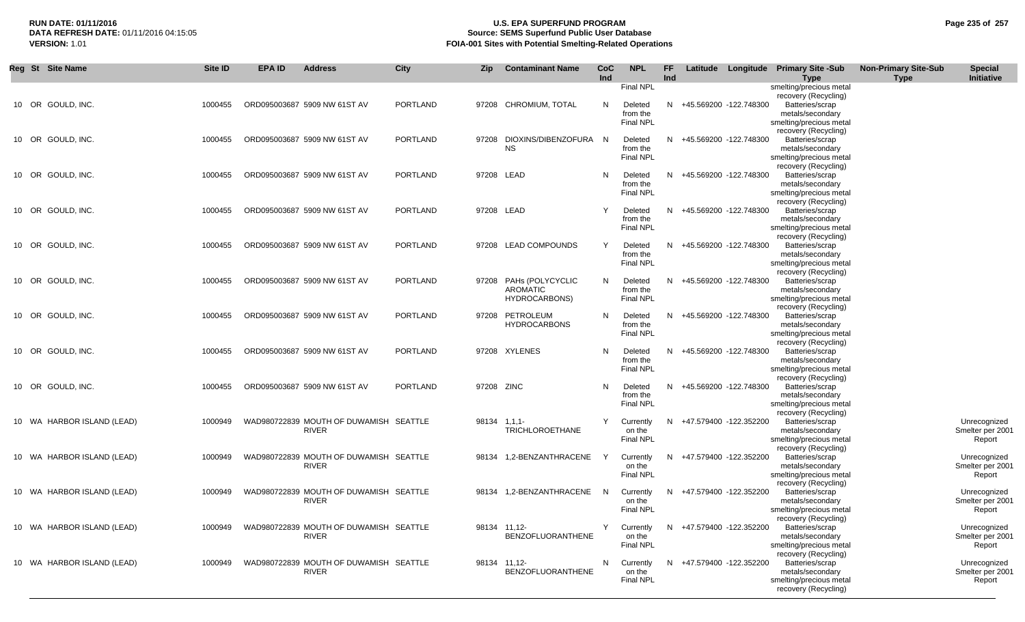## **RUN DATE: 01/11/2016 U.S. EPA SUPERFUND PROGRAM Page 235 of 257** DATA REFRESH DATE: 01/11/2016 04:15:05<br>**VERSION: 1.01** Source: SEMS Superfund Public User Database<br>FOIA-001 Sites with Potential Smelting-Related Operat **FOIA-001 Sites with Potential Smelting-Related Operations**

| Reg St Site Name           | Site ID | <b>EPA ID</b> | <b>Address</b>                                         | <b>City</b>     | Zip          | <b>Contaminant Name</b>                              | CoC<br>Ind | <b>NPL</b>                                           | FF<br>Ind | Latitude | Longitude                | <b>Primary Site -Sub</b><br><b>Type</b>                                                                           | <b>Non-Primary Site-Sub</b><br>Type | <b>Special</b><br>Initiative               |
|----------------------------|---------|---------------|--------------------------------------------------------|-----------------|--------------|------------------------------------------------------|------------|------------------------------------------------------|-----------|----------|--------------------------|-------------------------------------------------------------------------------------------------------------------|-------------------------------------|--------------------------------------------|
| 10 OR GOULD, INC.          | 1000455 |               | ORD095003687 5909 NW 61ST AV                           | <b>PORTLAND</b> | 97208        | <b>CHROMIUM, TOTAL</b>                               | N          | Final NPL<br>Deleted<br>from the<br><b>Final NPL</b> |           |          | N +45.569200 -122.748300 | smelting/precious metal<br>recovery (Recycling)<br>Batteries/scrap<br>metals/secondary<br>smelting/precious metal |                                     |                                            |
| 10 OR GOULD, INC.          | 1000455 |               | ORD095003687 5909 NW 61ST AV                           | <b>PORTLAND</b> | 97208        | DIOXINS/DIBENZOFURA N<br>ΝS                          |            | Deleted<br>from the<br><b>Final NPL</b>              |           |          | N +45.569200 -122.748300 | recovery (Recycling)<br>Batteries/scrap<br>metals/secondary<br>smelting/precious metal                            |                                     |                                            |
| 10 OR GOULD. INC.          | 1000455 |               | ORD095003687 5909 NW 61ST AV                           | <b>PORTLAND</b> | 97208 LEAD   |                                                      | N          | Deleted<br>from the<br><b>Final NPL</b>              |           |          | N +45.569200 -122.748300 | recovery (Recycling)<br>Batteries/scrap<br>metals/secondary<br>smelting/precious metal                            |                                     |                                            |
| 10 OR GOULD, INC.          | 1000455 |               | ORD095003687 5909 NW 61ST AV                           | <b>PORTLAND</b> | 97208 LEAD   |                                                      | Y          | Deleted<br>from the<br><b>Final NPL</b>              | N         |          | +45.569200 -122.748300   | recovery (Recycling)<br>Batteries/scrap<br>metals/secondary<br>smelting/precious metal<br>recovery (Recycling)    |                                     |                                            |
| 10 OR GOULD, INC.          | 1000455 |               | ORD095003687 5909 NW 61ST AV                           | <b>PORTLAND</b> |              | 97208 LEAD COMPOUNDS                                 | Y          | Deleted<br>from the<br><b>Final NPL</b>              |           |          | N +45.569200 -122.748300 | Batteries/scrap<br>metals/secondary<br>smelting/precious metal<br>recovery (Recycling)                            |                                     |                                            |
| 10 OR GOULD, INC.          | 1000455 |               | ORD095003687 5909 NW 61ST AV                           | <b>PORTLAND</b> | 97208        | PAHs (POLYCYCLIC<br><b>AROMATIC</b><br>HYDROCARBONS) | N          | Deleted<br>from the<br><b>Final NPL</b>              | N.        |          | +45.569200 -122.748300   | Batteries/scrap<br>metals/secondary<br>smelting/precious metal<br>recovery (Recycling)                            |                                     |                                            |
| 10 OR GOULD, INC.          | 1000455 |               | ORD095003687 5909 NW 61ST AV                           | <b>PORTLAND</b> | 97208        | PETROLEUM<br><b>HYDROCARBONS</b>                     | N          | Deleted<br>from the<br><b>Final NPL</b>              |           |          | N +45.569200 -122.748300 | Batteries/scrap<br>metals/secondary<br>smelting/precious metal<br>recovery (Recycling)                            |                                     |                                            |
| 10 OR GOULD, INC.          | 1000455 |               | ORD095003687 5909 NW 61ST AV                           | <b>PORTLAND</b> |              | 97208 XYLENES                                        | N          | Deleted<br>from the<br><b>Final NPL</b>              |           |          | N +45.569200 -122.748300 | Batteries/scrap<br>metals/secondary<br>smelting/precious metal<br>recovery (Recycling)                            |                                     |                                            |
| 10 OR GOULD, INC.          | 1000455 |               | ORD095003687 5909 NW 61ST AV                           | <b>PORTLAND</b> | 97208 ZINC   |                                                      | N          | Deleted<br>from the<br><b>Final NPL</b>              |           |          | N +45.569200 -122.748300 | Batteries/scrap<br>metals/secondary<br>smelting/precious metal<br>recovery (Recycling)                            |                                     |                                            |
| 10 WA HARBOR ISLAND (LEAD) | 1000949 |               | WAD980722839 MOUTH OF DUWAMISH SEATTLE<br>RIVER        |                 | 98134 1,1,1- | <b>TRICHLOROETHANE</b>                               | Y          | Currently<br>on the<br>Final NPL                     |           |          | N +47.579400 -122.352200 | Batteries/scrap<br>metals/secondary<br>smelting/precious metal<br>recovery (Recycling)                            |                                     | Unrecognized<br>Smelter per 2001<br>Report |
| 10 WA HARBOR ISLAND (LEAD) | 1000949 |               | WAD980722839 MOUTH OF DUWAMISH SEATTLE<br><b>RIVER</b> |                 | 98134        | 1,2-BENZANTHRACENE                                   |            | Currently<br>on the<br>Final NPL                     | N         |          | +47.579400 -122.352200   | Batteries/scrap<br>metals/secondary<br>smelting/precious metal<br>recovery (Recycling)                            |                                     | Unrecognized<br>Smelter per 2001<br>Report |
| 10 WA HARBOR ISLAND (LEAD) | 1000949 |               | WAD980722839 MOUTH OF DUWAMISH SEATTLE<br>RIVER        |                 | 98134        | 1,2-BENZANTHRACENE                                   | N          | Currently<br>on the<br><b>Final NPL</b>              | N         |          | +47.579400 -122.352200   | Batteries/scrap<br>metals/secondary<br>smelting/precious metal<br>recovery (Recycling)                            |                                     | Unrecognized<br>Smelter per 2001<br>Report |
| 10 WA HARBOR ISLAND (LEAD) | 1000949 |               | WAD980722839 MOUTH OF DUWAMISH SEATTLE<br><b>RIVER</b> |                 |              | 98134 11,12-<br>BENZOFLUORANTHENE                    | Y          | Currently<br>on the<br><b>Final NPL</b>              |           |          | N +47.579400 -122.352200 | Batteries/scrap<br>metals/secondary<br>smelting/precious metal<br>recovery (Recycling)                            |                                     | Unrecognized<br>Smelter per 2001<br>Report |
| 10 WA HARBOR ISLAND (LEAD) | 1000949 |               | WAD980722839 MOUTH OF DUWAMISH SEATTLE<br>RIVER        |                 |              | 98134 11,12-<br>BENZOFLUORANTHENE                    | N          | Currently<br>on the<br>Final NPL                     |           |          | N +47.579400 -122.352200 | Batteries/scrap<br>metals/secondary<br>smelting/precious metal<br>recovery (Recycling)                            |                                     | Unrecognized<br>Smelter per 2001<br>Report |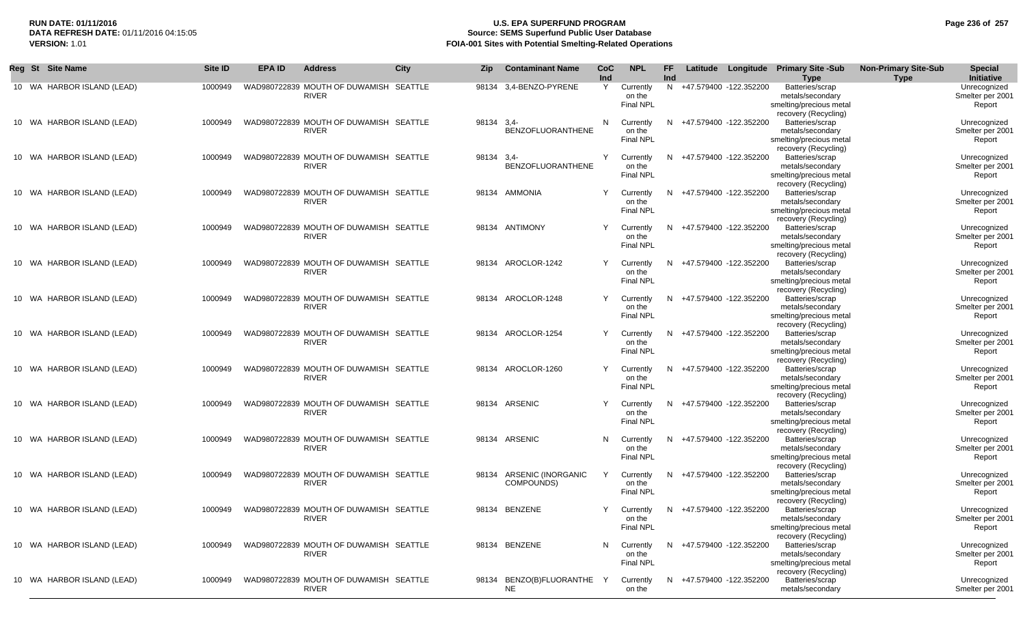# **RUN DATE: 01/11/2016 U.S. EPA SUPERFUND PROGRAM Page 236 of 257 DATA REFRESH DATE:** 01/11/2016 04:15:05 **Source: SEMS Superfund Public User Database VERSION:** 1.01 **FOIA-001 Sites with Potential Smelting-Related Operations**

| Reg St Site Name           | Site ID | <b>EPA ID</b> | <b>Address</b>                                         | <b>City</b> | Zip   | <b>Contaminant Name</b>            | CoC<br>Ind | <b>NPL</b>                              | FF<br>Ind |                          | Latitude Longitude | <b>Primary Site -Sub</b><br><b>Type</b>                                                | <b>Non-Primary Site-Sub</b><br><b>Type</b> | <b>Special</b><br>Initiative               |
|----------------------------|---------|---------------|--------------------------------------------------------|-------------|-------|------------------------------------|------------|-----------------------------------------|-----------|--------------------------|--------------------|----------------------------------------------------------------------------------------|--------------------------------------------|--------------------------------------------|
| 10 WA HARBOR ISLAND (LEAD) | 1000949 |               | WAD980722839 MOUTH OF DUWAMISH SEATTLE<br><b>RIVER</b> |             | 98134 | 3,4-BENZO-PYRENE                   | Y          | Currently<br>on the<br><b>Final NPL</b> |           | N +47.579400 -122.352200 |                    | Batteries/scrap<br>metals/secondary<br>smelting/precious metal<br>recovery (Recycling) |                                            | Unrecognized<br>Smelter per 2001<br>Report |
| 10 WA HARBOR ISLAND (LEAD) | 1000949 |               | WAD980722839 MOUTH OF DUWAMISH SEATTLE<br><b>RIVER</b> |             | 98134 | $3,4-$<br><b>BENZOFLUORANTHENE</b> | N          | Currently<br>on the<br>Final NPL        |           | N +47.579400 -122.352200 |                    | Batteries/scrap<br>metals/secondary<br>smelting/precious metal<br>recovery (Recycling) |                                            | Unrecognized<br>Smelter per 2001<br>Report |
| 10 WA HARBOR ISLAND (LEAD) | 1000949 |               | WAD980722839 MOUTH OF DUWAMISH SEATTLE<br><b>RIVER</b> |             | 98134 | $3,4-$<br><b>BENZOFLUORANTHENE</b> | Y          | Currently<br>on the<br><b>Final NPL</b> |           | N +47.579400 -122.352200 |                    | Batteries/scrap<br>metals/secondary<br>smelting/precious metal<br>recovery (Recycling) |                                            | Unrecognized<br>Smelter per 2001<br>Report |
| 10 WA HARBOR ISLAND (LEAD) | 1000949 |               | WAD980722839 MOUTH OF DUWAMISH SEATTLE<br><b>RIVER</b> |             |       | 98134 AMMONIA                      | Y          | Currently<br>on the<br><b>Final NPL</b> |           | N +47.579400 -122.352200 |                    | Batteries/scrap<br>metals/secondary<br>smelting/precious metal<br>recovery (Recycling) |                                            | Unrecognized<br>Smelter per 2001<br>Report |
| 10 WA HARBOR ISLAND (LEAD) | 1000949 |               | WAD980722839 MOUTH OF DUWAMISH SEATTLE<br><b>RIVER</b> |             |       | 98134 ANTIMONY                     | Y          | Currently<br>on the<br><b>Final NPL</b> |           | N +47.579400 -122.352200 |                    | Batteries/scrap<br>metals/secondary<br>smelting/precious metal                         |                                            | Unrecognized<br>Smelter per 2001<br>Report |
| 10 WA HARBOR ISLAND (LEAD) | 1000949 |               | WAD980722839 MOUTH OF DUWAMISH SEATTLE<br><b>RIVER</b> |             |       | 98134 AROCLOR-1242                 | Y          | Currently<br>on the<br><b>Final NPL</b> |           | N +47.579400 -122.352200 |                    | recovery (Recycling)<br>Batteries/scrap<br>metals/secondary<br>smelting/precious metal |                                            | Unrecognized<br>Smelter per 2001<br>Report |
| 10 WA HARBOR ISLAND (LEAD) | 1000949 |               | WAD980722839 MOUTH OF DUWAMISH SEATTLE<br><b>RIVER</b> |             | 98134 | AROCLOR-1248                       | Y          | Currently<br>on the<br><b>Final NPL</b> |           | N +47.579400 -122.352200 |                    | recovery (Recycling)<br>Batteries/scrap<br>metals/secondary<br>smelting/precious metal |                                            | Unrecognized<br>Smelter per 2001<br>Report |
| 10 WA HARBOR ISLAND (LEAD) | 1000949 |               | WAD980722839 MOUTH OF DUWAMISH<br><b>RIVER</b>         | SEATTLE     | 98134 | AROCLOR-1254                       | Υ          | Currently<br>on the<br><b>Final NPL</b> |           | N +47.579400 -122.352200 |                    | recovery (Recycling)<br>Batteries/scrap<br>metals/secondary<br>smelting/precious metal |                                            | Unrecognized<br>Smelter per 2001<br>Report |
| 10 WA HARBOR ISLAND (LEAD) | 1000949 |               | WAD980722839 MOUTH OF DUWAMISH SEATTLE<br><b>RIVER</b> |             | 98134 | AROCLOR-1260                       | Y          | Currently<br>on the<br><b>Final NPL</b> | N.        | +47.579400 -122.352200   |                    | recovery (Recycling)<br>Batteries/scrap<br>metals/secondary<br>smelting/precious metal |                                            | Unrecognized<br>Smelter per 2001<br>Report |
| 10 WA HARBOR ISLAND (LEAD) | 1000949 |               | WAD980722839 MOUTH OF DUWAMISH SEATTLE<br><b>RIVER</b> |             |       | 98134 ARSENIC                      | Υ          | Currently<br>on the<br><b>Final NPL</b> |           | N +47.579400 -122.352200 |                    | recovery (Recycling)<br>Batteries/scrap<br>metals/secondary<br>smelting/precious metal |                                            | Unrecognized<br>Smelter per 2001<br>Report |
| 10 WA HARBOR ISLAND (LEAD) | 1000949 |               | WAD980722839 MOUTH OF DUWAMISH SEATTLE<br><b>RIVER</b> |             |       | 98134 ARSENIC                      | N          | Currently<br>on the<br><b>Final NPL</b> |           | N +47.579400 -122.352200 |                    | recovery (Recycling)<br>Batteries/scrap<br>metals/secondary<br>smelting/precious metal |                                            | Unrecognized<br>Smelter per 2001<br>Report |
| 10 WA HARBOR ISLAND (LEAD) | 1000949 |               | WAD980722839 MOUTH OF DUWAMISH SEATTLE<br><b>RIVER</b> |             | 98134 | ARSENIC (INORGANIC<br>COMPOUNDS)   | Y          | Currently<br>on the<br><b>Final NPL</b> | N.        | +47.579400 -122.352200   |                    | recovery (Recycling)<br>Batteries/scrap<br>metals/secondary<br>smelting/precious metal |                                            | Unrecognized<br>Smelter per 2001<br>Report |
| 10 WA HARBOR ISLAND (LEAD) | 1000949 |               | WAD980722839 MOUTH OF DUWAMISH SEATTLE<br><b>RIVER</b> |             |       | 98134 BENZENE                      | Y          | Currently<br>on the<br>Final NPL        |           | N +47.579400 -122.352200 |                    | recovery (Recycling)<br>Batteries/scrap<br>metals/secondary<br>smelting/precious metal |                                            | Unrecognized<br>Smelter per 2001<br>Report |
| 10 WA HARBOR ISLAND (LEAD) | 1000949 |               | WAD980722839 MOUTH OF DUWAMISH SEATTLE<br><b>RIVER</b> |             |       | 98134 BENZENE                      | N          | Currently<br>on the<br><b>Final NPL</b> |           | N +47.579400 -122.352200 |                    | recovery (Recycling)<br>Batteries/scrap<br>metals/secondary<br>smelting/precious metal |                                            | Unrecognized<br>Smelter per 2001<br>Report |
| 10 WA HARBOR ISLAND (LEAD) | 1000949 |               | WAD980722839 MOUTH OF DUWAMISH SEATTLE<br><b>RIVER</b> |             | 98134 | BENZO(B)FLUORANTHE Y<br>NE         |            | Currently<br>on the                     |           | N +47.579400 -122.352200 |                    | recovery (Recycling)<br>Batteries/scrap<br>metals/secondary                            |                                            | Unrecognized<br>Smelter per 2001           |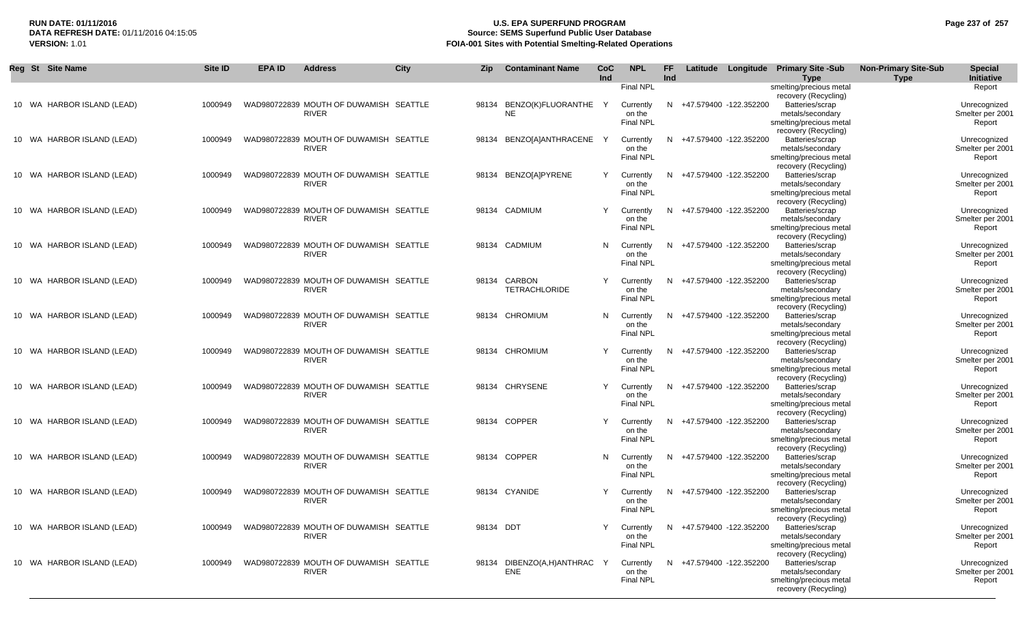# **RUN DATE: 01/11/2016 U.S. EPA SUPERFUND PROGRAM Page 237 of 257** DATA REFRESH DATE: 01/11/2016 04:15:05<br>**VERSION: 1.01** Source: SEMS Superfund Public User Database<br>FOIA-001 Sites with Potential Smelting-Related Operat **VERSION:** 1.01 **FOIA-001 Sites with Potential Smelting-Related Operations**

| Reg St Site Name           | Site ID | <b>EPA ID</b> | <b>Address</b>                                         | <b>City</b> | <b>Zip</b> | <b>Contaminant Name</b>           | <b>CoC</b><br>Ind | <b>NPL</b>                                                  | FF.<br>Ind |                          | Latitude Longitude Primary Site -Sub<br><b>Type</b>                                                               | <b>Non-Primary Site-Sub</b><br><b>Type</b> | <b>Special</b><br>Initiative                         |
|----------------------------|---------|---------------|--------------------------------------------------------|-------------|------------|-----------------------------------|-------------------|-------------------------------------------------------------|------------|--------------------------|-------------------------------------------------------------------------------------------------------------------|--------------------------------------------|------------------------------------------------------|
| 10 WA HARBOR ISLAND (LEAD) | 1000949 |               | WAD980722839 MOUTH OF DUWAMISH SEATTLE<br><b>RIVER</b> |             | 98134      | BENZO(K)FLUORANTHE Y<br><b>NE</b> |                   | <b>Final NPL</b><br>Currently<br>on the<br><b>Final NPL</b> |            | N +47.579400 -122.352200 | smelting/precious metal<br>recovery (Recycling)<br>Batteries/scrap<br>metals/secondary<br>smelting/precious metal |                                            | Report<br>Unrecognized<br>Smelter per 2001<br>Report |
| 10 WA HARBOR ISLAND (LEAD) | 1000949 |               | WAD980722839 MOUTH OF DUWAMISH SEATTLE<br><b>RIVER</b> |             |            | 98134 BENZO[A]ANTHRACENE          | Y                 | Currently<br>on the<br><b>Final NPL</b>                     |            | N +47.579400 -122.352200 | recovery (Recycling)<br>Batteries/scrap<br>metals/secondary<br>smelting/precious metal                            |                                            | Unrecognized<br>Smelter per 2001<br>Report           |
| 10 WA HARBOR ISLAND (LEAD) | 1000949 |               | WAD980722839 MOUTH OF DUWAMISH SEATTLE<br><b>RIVER</b> |             |            | 98134 BENZO[A]PYRENE              | Y                 | Currently<br>on the<br><b>Final NPL</b>                     | N          | +47.579400 -122.352200   | recovery (Recycling)<br>Batteries/scrap<br>metals/secondary<br>smelting/precious metal                            |                                            | Unrecognized<br>Smelter per 2001<br>Report           |
| 10 WA HARBOR ISLAND (LEAD) | 1000949 |               | WAD980722839 MOUTH OF DUWAMISH SEATTLE<br><b>RIVER</b> |             |            | 98134 CADMIUM                     | Y                 | Currently<br>on the<br>Final NPL                            | N.         | +47.579400 -122.352200   | recovery (Recycling)<br>Batteries/scrap<br>metals/secondary<br>smelting/precious metal                            |                                            | Unrecognized<br>Smelter per 2001<br>Report           |
| 10 WA HARBOR ISLAND (LEAD) | 1000949 |               | WAD980722839 MOUTH OF DUWAMISH SEATTLE<br><b>RIVER</b> |             |            | 98134 CADMIUM                     | N                 | Currently<br>on the<br><b>Final NPL</b>                     | N          | +47.579400 -122.352200   | recovery (Recycling)<br>Batteries/scrap<br>metals/secondary<br>smelting/precious metal                            |                                            | Unrecognized<br>Smelter per 2001<br>Report           |
| 10 WA HARBOR ISLAND (LEAD) | 1000949 |               | WAD980722839 MOUTH OF DUWAMISH SEATTLE<br><b>RIVER</b> |             | 98134      | CARBON<br><b>TETRACHLORIDE</b>    | Y                 | Currently<br>on the<br><b>Final NPL</b>                     | N          | +47.579400 -122.352200   | recovery (Recycling)<br>Batteries/scrap<br>metals/secondary<br>smelting/precious metal                            |                                            | Unrecognized<br>Smelter per 2001<br>Report           |
| 10 WA HARBOR ISLAND (LEAD) | 1000949 |               | WAD980722839 MOUTH OF DUWAMISH SEATTLE<br><b>RIVER</b> |             | 98134      | CHROMIUM                          | N                 | Currently<br>on the<br><b>Final NPL</b>                     | N.         | +47.579400 -122.352200   | recovery (Recycling)<br>Batteries/scrap<br>metals/secondary<br>smelting/precious metal                            |                                            | Unrecognized<br>Smelter per 2001<br>Report           |
| 10 WA HARBOR ISLAND (LEAD) | 1000949 |               | WAD980722839 MOUTH OF DUWAMISH SEATTLE<br><b>RIVER</b> |             | 98134      | CHROMIUM                          | Y                 | Currently<br>on the<br><b>Final NPL</b>                     | N.         | +47.579400 -122.352200   | recovery (Recycling)<br>Batteries/scrap<br>metals/secondary<br>smelting/precious metal                            |                                            | Unrecognized<br>Smelter per 2001<br>Report           |
| 10 WA HARBOR ISLAND (LEAD) | 1000949 |               | WAD980722839 MOUTH OF DUWAMISH SEATTLE<br><b>RIVER</b> |             | 98134      | <b>CHRYSENE</b>                   | Y                 | Currently<br>on the<br><b>Final NPL</b>                     | N.         | +47.579400 -122.352200   | recovery (Recycling)<br>Batteries/scrap<br>metals/secondary<br>smelting/precious metal                            |                                            | Unrecognized<br>Smelter per 2001<br>Report           |
| 10 WA HARBOR ISLAND (LEAD) | 1000949 |               | WAD980722839 MOUTH OF DUWAMISH SEATTLE<br><b>RIVER</b> |             |            | 98134 COPPER                      | Y                 | Currently<br>on the<br><b>Final NPL</b>                     |            | N +47.579400 -122.352200 | recovery (Recycling)<br>Batteries/scrap<br>metals/secondary<br>smelting/precious metal                            |                                            | Unrecognized<br>Smelter per 2001<br>Report           |
| 10 WA HARBOR ISLAND (LEAD) | 1000949 |               | WAD980722839 MOUTH OF DUWAMISH SEATTLE<br><b>RIVER</b> |             |            | 98134 COPPER                      | N                 | Currently<br>on the<br><b>Final NPL</b>                     |            | N +47.579400 -122.352200 | recovery (Recycling)<br>Batteries/scrap<br>metals/secondary<br>smelting/precious metal                            |                                            | Unrecognized<br>Smelter per 2001<br>Report           |
| 10 WA HARBOR ISLAND (LEAD) | 1000949 |               | WAD980722839 MOUTH OF DUWAMISH SEATTLE<br><b>RIVER</b> |             |            | 98134 CYANIDE                     | Y                 | Currently<br>on the<br><b>Final NPL</b>                     |            | N +47.579400 -122.352200 | recovery (Recycling)<br>Batteries/scrap<br>metals/secondary<br>smelting/precious metal                            |                                            | Unrecognized<br>Smelter per 2001<br>Report           |
| 10 WA HARBOR ISLAND (LEAD) | 1000949 |               | WAD980722839 MOUTH OF DUWAMISH SEATTLE<br><b>RIVER</b> |             | 98134 DDT  |                                   | Y                 | Currently<br>on the<br>Final NPL                            | N.         | +47.579400 -122.352200   | recovery (Recycling)<br>Batteries/scrap<br>metals/secondary<br>smelting/precious metal                            |                                            | Unrecognized<br>Smelter per 2001<br>Report           |
| 10 WA HARBOR ISLAND (LEAD) | 1000949 |               | WAD980722839 MOUTH OF DUWAMISH SEATTLE<br><b>RIVER</b> |             | 98134      | DIBENZO(A,H)ANTHRAC<br><b>ENE</b> | Y                 | Currently<br>on the<br><b>Final NPL</b>                     | N.         | +47.579400 -122.352200   | recovery (Recycling)<br>Batteries/scrap<br>metals/secondary<br>smelting/precious metal<br>recovery (Recycling)    |                                            | Unrecognized<br>Smelter per 2001<br>Report           |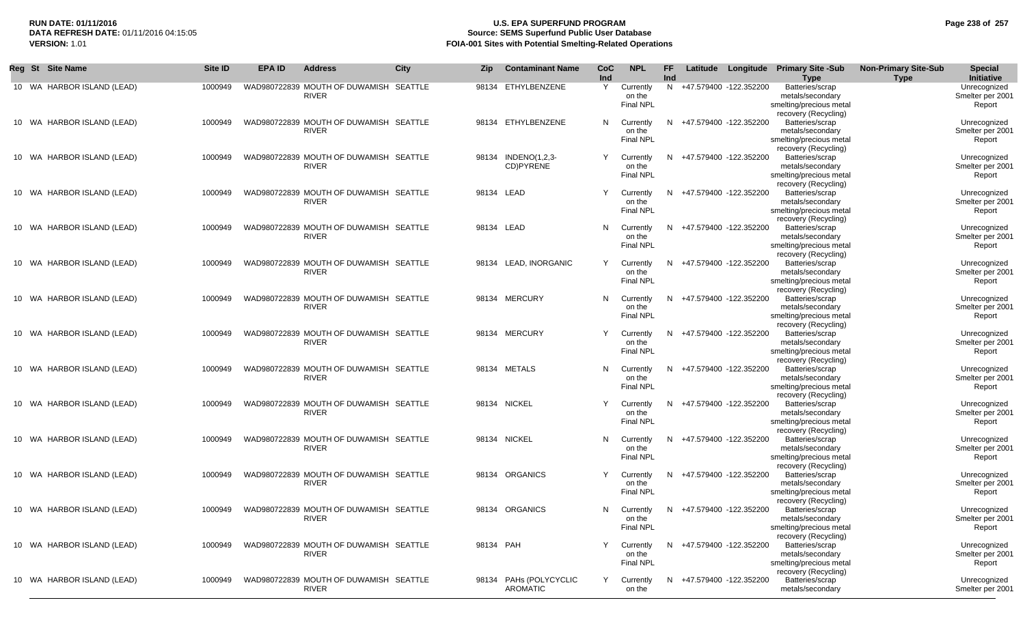## **RUN DATE: 01/11/2016 U.S. EPA SUPERFUND PROGRAM Page 238 of 257 Source: SEMS Superfund Public User Database VERSION:** 1.01 **FOIA-001 Sites with Potential Smelting-Related Operations**

| Reg St Site Name           | Site ID | EPA ID | <b>Address</b>                                         | City    | Zip        | <b>Contaminant Name</b>                   | <b>CoC</b><br>Ind | <b>NPL</b>                              | FF<br>Ind |                          | Latitude Longitude | <b>Primary Site -Sub</b><br><b>Type</b>                                                | <b>Non-Primary Site-Sub</b><br><b>Type</b> | Special<br><b>Initiative</b>               |
|----------------------------|---------|--------|--------------------------------------------------------|---------|------------|-------------------------------------------|-------------------|-----------------------------------------|-----------|--------------------------|--------------------|----------------------------------------------------------------------------------------|--------------------------------------------|--------------------------------------------|
| 10 WA HARBOR ISLAND (LEAD) | 1000949 |        | WAD980722839 MOUTH OF DUWAMISH SEATTLE<br><b>RIVER</b> |         |            | 98134 ETHYLBENZENE                        | Y                 | Currently<br>on the<br><b>Final NPL</b> |           | N +47.579400 -122.352200 |                    | Batteries/scrap<br>metals/secondary<br>smelting/precious metal<br>recovery (Recycling) |                                            | Unrecognized<br>Smelter per 2001<br>Report |
| 10 WA HARBOR ISLAND (LEAD) | 1000949 |        | WAD980722839 MOUTH OF DUWAMISH SEATTLE<br><b>RIVER</b> |         |            | 98134 ETHYLBENZENE                        | N                 | Currently<br>on the<br><b>Final NPL</b> | N         | +47.579400 -122.352200   |                    | Batteries/scrap<br>metals/secondary<br>smelting/precious metal<br>recovery (Recycling) |                                            | Unrecognized<br>Smelter per 2001<br>Report |
| 10 WA HARBOR ISLAND (LEAD) | 1000949 |        | WAD980722839 MOUTH OF DUWAMISH SEATTLE<br><b>RIVER</b> |         | 98134      | INDENO(1,2,3-<br>CD)PYRENE                | Y                 | Currently<br>on the<br><b>Final NPL</b> | N.        | +47.579400 -122.352200   |                    | Batteries/scrap<br>metals/secondary<br>smelting/precious metal<br>recovery (Recycling) |                                            | Unrecognized<br>Smelter per 2001<br>Report |
| 10 WA HARBOR ISLAND (LEAD) | 1000949 |        | WAD980722839 MOUTH OF DUWAMISH SEATTLE<br><b>RIVER</b> |         | 98134 LEAD |                                           | Υ                 | Currently<br>on the<br><b>Final NPL</b> |           | N +47.579400 -122.352200 |                    | Batteries/scrap<br>metals/secondary<br>smelting/precious metal<br>recovery (Recycling) |                                            | Unrecognized<br>Smelter per 2001<br>Report |
| 10 WA HARBOR ISLAND (LEAD) | 1000949 |        | WAD980722839 MOUTH OF DUWAMISH SEATTLE<br><b>RIVER</b> |         | 98134 LEAD |                                           | N                 | Currently<br>on the<br><b>Final NPL</b> |           | N +47.579400 -122.352200 |                    | Batteries/scrap<br>metals/secondary<br>smelting/precious metal<br>recovery (Recycling) |                                            | Unrecognized<br>Smelter per 2001<br>Report |
| 10 WA HARBOR ISLAND (LEAD) | 1000949 |        | WAD980722839 MOUTH OF DUWAMISH SEATTLE<br><b>RIVER</b> |         |            | 98134 LEAD, INORGANIC                     | Y                 | Currently<br>on the<br><b>Final NPL</b> |           | N +47.579400 -122.352200 |                    | Batteries/scrap<br>metals/secondary<br>smelting/precious metal<br>recovery (Recycling) |                                            | Unrecognized<br>Smelter per 2001<br>Report |
| 10 WA HARBOR ISLAND (LEAD) | 1000949 |        | WAD980722839 MOUTH OF DUWAMISH SEATTLE<br><b>RIVER</b> |         | 98134      | <b>MERCURY</b>                            | N                 | Currently<br>on the<br><b>Final NPL</b> | N         | +47.579400 -122.352200   |                    | Batteries/scrap<br>metals/secondary<br>smelting/precious metal                         |                                            | Unrecognized<br>Smelter per 2001<br>Report |
| 10 WA HARBOR ISLAND (LEAD) | 1000949 |        | WAD980722839 MOUTH OF DUWAMISH SEATTLE<br><b>RIVER</b> |         |            | 98134 MERCURY                             | Υ                 | Currently<br>on the<br>Final NPL        | N         | +47.579400 -122.352200   |                    | recovery (Recycling)<br>Batteries/scrap<br>metals/secondary<br>smelting/precious metal |                                            | Unrecognized<br>Smelter per 2001<br>Report |
| 10 WA HARBOR ISLAND (LEAD) | 1000949 |        | WAD980722839 MOUTH OF DUWAMISH SEATTLE<br><b>RIVER</b> |         |            | 98134 METALS                              | N                 | Currently<br>on the<br><b>Final NPL</b> | N         | +47.579400 -122.352200   |                    | recovery (Recycling)<br>Batteries/scrap<br>metals/secondary<br>smelting/precious metal |                                            | Unrecognized<br>Smelter per 2001<br>Report |
| 10 WA HARBOR ISLAND (LEAD) | 1000949 |        | WAD980722839 MOUTH OF DUWAMISH SEATTLE<br><b>RIVER</b> |         |            | 98134 NICKEL                              | Υ                 | Currently<br>on the<br><b>Final NPL</b> |           | N +47.579400 -122.352200 |                    | recovery (Recycling)<br>Batteries/scrap<br>metals/secondary<br>smelting/precious metal |                                            | Unrecognized<br>Smelter per 2001<br>Report |
| 10 WA HARBOR ISLAND (LEAD) | 1000949 |        | WAD980722839 MOUTH OF DUWAMISH SEATTLE<br><b>RIVER</b> |         |            | 98134 NICKEL                              | N                 | Currently<br>on the<br><b>Final NPL</b> | N         | +47.579400 -122.352200   |                    | recovery (Recycling)<br>Batteries/scrap<br>metals/secondary<br>smelting/precious metal |                                            | Unrecognized<br>Smelter per 2001<br>Report |
| 10 WA HARBOR ISLAND (LEAD) | 1000949 |        | WAD980722839 MOUTH OF DUWAMISH<br><b>RIVER</b>         | SEATTLE | 98134      | <b>ORGANICS</b>                           |                   | Currently<br>on the<br><b>Final NPL</b> | N.        | +47.579400 -122.352200   |                    | recovery (Recycling)<br>Batteries/scrap<br>metals/secondary<br>smelting/precious metal |                                            | Unrecognized<br>Smelter per 2001<br>Report |
| 10 WA HARBOR ISLAND (LEAD) | 1000949 |        | WAD980722839 MOUTH OF DUWAMISH SEATTLE<br><b>KIVER</b> |         |            | 98134 ORGANICS                            | N                 | Currently<br>on the<br><b>Final NPL</b> | N.        | +47.579400 -122.352200   |                    | recovery (Recycling)<br>Batteries/scrap<br>metals/secondary<br>smelting/precious metal |                                            | Unrecognized<br>Smelter per 2001<br>Report |
| 10 WA HARBOR ISLAND (LEAD) | 1000949 |        | WAD980722839 MOUTH OF DUWAMISH SEATTLE<br><b>RIVER</b> |         | 98134 PAH  |                                           |                   | Currently<br>on the<br><b>Final NPL</b> |           | N +47.579400 -122.352200 |                    | recovery (Recycling)<br>Batteries/scrap<br>metals/secondary<br>smelting/precious metal |                                            | Unrecognized<br>Smelter per 2001<br>Report |
| 10 WA HARBOR ISLAND (LEAD) | 1000949 |        | WAD980722839 MOUTH OF DUWAMISH SEATTLE<br><b>RIVER</b> |         |            | 98134 PAHs (POLYCYCLIC<br><b>AROMATIC</b> | Y                 | Currently<br>on the                     |           | N +47.579400 -122.352200 |                    | recovery (Recycling)<br>Batteries/scrap<br>metals/secondary                            |                                            | Unrecognized<br>Smelter per 2001           |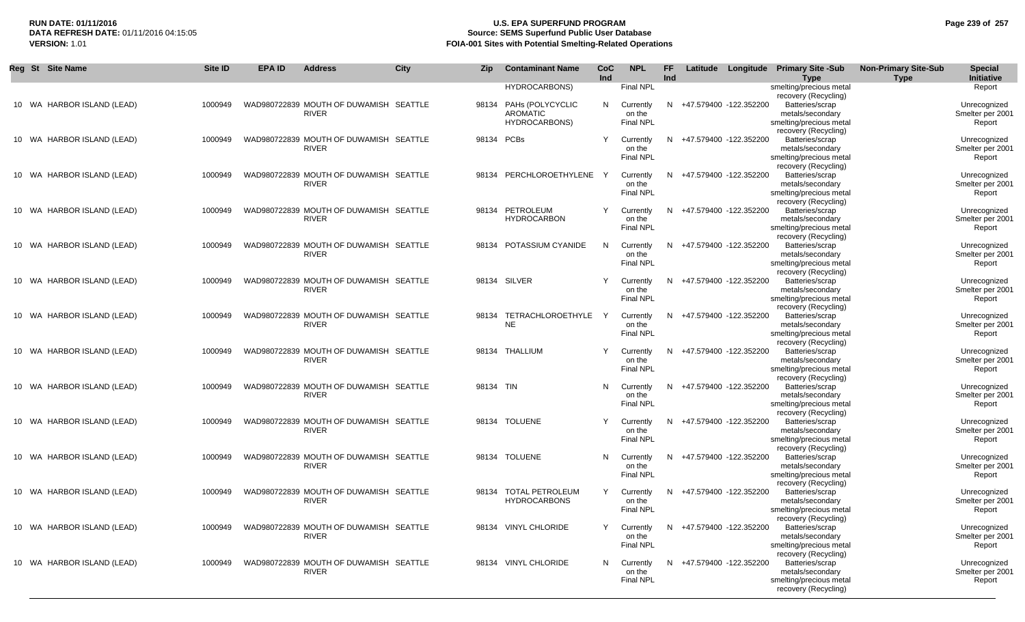## **RUN DATE: 01/11/2016 U.S. EPA SUPERFUND PROGRAM Page 239 of 257 DATA REFRESH DATE:** 01/11/2016 04:15:05 **Source: SEMS Superfund Public User Database FOIA-001 Sites with Potential Smelting-Related Operations**

٠

| Reg St Site Name           | Site ID | <b>EPA ID</b> | <b>Address</b>                                         | <b>City</b> | <b>Zip</b> | <b>Contaminant Name</b> | CoC<br>Ind | <b>NPL</b>                 | <b>FF</b><br>Ind |                          | Latitude Longitude Primary Site -Sub<br><b>Type</b> | <b>Non-Primary Site-Sub</b><br><b>Type</b> | <b>Special</b><br>Initiative     |
|----------------------------|---------|---------------|--------------------------------------------------------|-------------|------------|-------------------------|------------|----------------------------|------------------|--------------------------|-----------------------------------------------------|--------------------------------------------|----------------------------------|
|                            |         |               |                                                        |             |            | <b>HYDROCARBONS)</b>    |            | <b>Final NPL</b>           |                  |                          | smelting/precious metal                             |                                            | Report                           |
| 10 WA HARBOR ISLAND (LEAD) | 1000949 |               | WAD980722839 MOUTH OF DUWAMISH SEATTLE                 |             | 98134      | PAHs (POLYCYCLIC        | N          | Currently                  |                  | N +47.579400 -122.352200 | recovery (Recycling)<br>Batteries/scrap             |                                            | Unrecognized                     |
|                            |         |               | <b>RIVER</b>                                           |             |            | <b>AROMATIC</b>         |            | on the                     |                  |                          | metals/secondary                                    |                                            | Smelter per 2001                 |
|                            |         |               |                                                        |             |            | <b>HYDROCARBONS)</b>    |            | <b>Final NPL</b>           |                  |                          | smelting/precious metal                             |                                            | Report                           |
|                            |         |               |                                                        |             |            |                         |            |                            |                  |                          | recovery (Recycling)                                |                                            |                                  |
| 10 WA HARBOR ISLAND (LEAD) | 1000949 |               | WAD980722839 MOUTH OF DUWAMISH SEATTLE<br><b>RIVER</b> |             |            | 98134 PCBs              | Y          | Currently<br>on the        |                  | N +47.579400 -122.352200 | Batteries/scrap<br>metals/secondary                 |                                            | Unrecognized<br>Smelter per 2001 |
|                            |         |               |                                                        |             |            |                         |            | <b>Final NPL</b>           |                  |                          | smelting/precious metal                             |                                            | Report                           |
|                            |         |               |                                                        |             |            |                         |            |                            |                  |                          | recovery (Recycling)                                |                                            |                                  |
| 10 WA HARBOR ISLAND (LEAD) | 1000949 |               | WAD980722839 MOUTH OF DUWAMISH SEATTLE<br><b>RIVER</b> |             | 98134      | PERCHLOROETHYLENE       |            | Currently<br>on the        | N.               | +47.579400 -122.352200   | Batteries/scrap<br>metals/secondary                 |                                            | Unrecognized<br>Smelter per 2001 |
|                            |         |               |                                                        |             |            |                         |            | <b>Final NPL</b>           |                  |                          | smelting/precious metal                             |                                            | Report                           |
|                            |         |               |                                                        |             |            |                         |            |                            |                  |                          | recovery (Recycling)                                |                                            |                                  |
| 10 WA HARBOR ISLAND (LEAD) | 1000949 |               | WAD980722839 MOUTH OF DUWAMISH SEATTLE                 |             | 98134      | PETROLEUM               | Y          | Currently                  |                  | N +47.579400 -122.352200 | Batteries/scrap                                     |                                            | Unrecognized                     |
|                            |         |               | <b>RIVER</b>                                           |             |            | <b>HYDROCARBON</b>      |            | on the<br>Final NPL        |                  |                          | metals/secondary<br>smelting/precious metal         |                                            | Smelter per 2001<br>Report       |
|                            |         |               |                                                        |             |            |                         |            |                            |                  |                          | recovery (Recycling)                                |                                            |                                  |
| 10 WA HARBOR ISLAND (LEAD) | 1000949 |               | WAD980722839 MOUTH OF DUWAMISH SEATTLE                 |             | 98134      | POTASSIUM CYANIDE       | N          | Currently                  | N.               | +47.579400 -122.352200   | Batteries/scrap                                     |                                            | Unrecognized                     |
|                            |         |               | <b>RIVER</b>                                           |             |            |                         |            | on the                     |                  |                          | metals/secondary                                    |                                            | Smelter per 2001                 |
|                            |         |               |                                                        |             |            |                         |            | <b>Final NPL</b>           |                  |                          | smelting/precious metal<br>recovery (Recycling)     |                                            | Report                           |
| 10 WA HARBOR ISLAND (LEAD) | 1000949 |               | WAD980722839 MOUTH OF DUWAMISH SEATTLE                 |             |            | 98134 SILVER            | Y          | Currently                  |                  | N +47.579400 -122.352200 | Batteries/scrap                                     |                                            | Unrecognized                     |
|                            |         |               | <b>RIVER</b>                                           |             |            |                         |            | on the                     |                  |                          | metals/secondary                                    |                                            | Smelter per 2001                 |
|                            |         |               |                                                        |             |            |                         |            | <b>Final NPL</b>           |                  |                          | smelting/precious metal                             |                                            | Report                           |
| 10 WA HARBOR ISLAND (LEAD) | 1000949 |               | WAD980722839 MOUTH OF DUWAMISH SEATTLE                 |             | 98134      | TETRACHLOROETHYLE       | - Y        | Currently                  | N.               | +47.579400 -122.352200   | recovery (Recycling)<br>Batteries/scrap             |                                            | Unrecognized                     |
|                            |         |               | <b>RIVER</b>                                           |             |            | NE.                     |            | on the                     |                  |                          | metals/secondary                                    |                                            | Smelter per 2001                 |
|                            |         |               |                                                        |             |            |                         |            | <b>Final NPL</b>           |                  |                          | smelting/precious metal                             |                                            | Report                           |
| 10 WA HARBOR ISLAND (LEAD) | 1000949 |               | WAD980722839 MOUTH OF DUWAMISH SEATTLE                 |             |            | 98134 THALLIUM          | Y          |                            | N.               | +47.579400 -122.352200   | recovery (Recycling)                                |                                            |                                  |
|                            |         |               | <b>RIVER</b>                                           |             |            |                         |            | Currently<br>on the        |                  |                          | Batteries/scrap<br>metals/secondary                 |                                            | Unrecognized<br>Smelter per 2001 |
|                            |         |               |                                                        |             |            |                         |            | <b>Final NPL</b>           |                  |                          | smelting/precious metal                             |                                            | Report                           |
|                            |         |               |                                                        |             |            |                         |            |                            |                  |                          | recovery (Recycling)                                |                                            |                                  |
| 10 WA HARBOR ISLAND (LEAD) | 1000949 |               | WAD980722839 MOUTH OF DUWAMISH SEATTLE<br><b>RIVER</b> |             | 98134 TIN  |                         | N          | Currently<br>on the        |                  | N +47.579400 -122.352200 | Batteries/scrap<br>metals/secondary                 |                                            | Unrecognized<br>Smelter per 2001 |
|                            |         |               |                                                        |             |            |                         |            | <b>Final NPL</b>           |                  |                          | smelting/precious metal                             |                                            | Report                           |
|                            |         |               |                                                        |             |            |                         |            |                            |                  |                          | recovery (Recycling)                                |                                            |                                  |
| 10 WA HARBOR ISLAND (LEAD) | 1000949 |               | WAD980722839 MOUTH OF DUWAMISH SEATTLE                 |             |            | 98134 TOLUENE           | Y          | Currently                  |                  | N +47.579400 -122.352200 | Batteries/scrap                                     |                                            | Unrecognized                     |
|                            |         |               | <b>RIVER</b>                                           |             |            |                         |            | on the<br><b>Final NPL</b> |                  |                          | metals/secondary<br>smelting/precious metal         |                                            | Smelter per 2001<br>Report       |
|                            |         |               |                                                        |             |            |                         |            |                            |                  |                          | recovery (Recycling)                                |                                            |                                  |
| 10 WA HARBOR ISLAND (LEAD) | 1000949 |               | WAD980722839 MOUTH OF DUWAMISH SEATTLE                 |             |            | 98134 TOLUENE           | N          | Currently                  |                  | N +47.579400 -122.352200 | Batteries/scrap                                     |                                            | Unrecognized                     |
|                            |         |               | <b>RIVER</b>                                           |             |            |                         |            | on the                     |                  |                          | metals/secondary                                    |                                            | Smelter per 2001                 |
|                            |         |               |                                                        |             |            |                         |            | <b>Final NPL</b>           |                  |                          | smelting/precious metal<br>recovery (Recycling)     |                                            | Report                           |
| 10 WA HARBOR ISLAND (LEAD) | 1000949 |               | WAD980722839 MOUTH OF DUWAMISH SEATTLE                 |             | 98134      | <b>TOTAL PETROLEUM</b>  | Y          | Currently                  |                  | N +47.579400 -122.352200 | Batteries/scrap                                     |                                            | Unrecognized                     |
|                            |         |               | <b>RIVER</b>                                           |             |            | <b>HYDROCARBONS</b>     |            | on the                     |                  |                          | metals/secondary                                    |                                            | Smelter per 2001                 |
|                            |         |               |                                                        |             |            |                         |            | <b>Final NPL</b>           |                  |                          | smelting/precious metal                             |                                            | Report                           |
| 10 WA HARBOR ISLAND (LEAD) | 1000949 |               | WAD980722839 MOUTH OF DUWAMISH SEATTLE                 |             |            | 98134 VINYL CHLORIDE    | Y          | Currently                  |                  | N +47.579400 -122.352200 | recovery (Recycling)<br>Batteries/scrap             |                                            | Unrecognized                     |
|                            |         |               | <b>RIVER</b>                                           |             |            |                         |            | on the                     |                  |                          | metals/secondary                                    |                                            | Smelter per 2001                 |
|                            |         |               |                                                        |             |            |                         |            | <b>Final NPL</b>           |                  |                          | smelting/precious metal                             |                                            | Report                           |
|                            |         |               |                                                        |             |            |                         |            |                            |                  |                          | recovery (Recycling)                                |                                            |                                  |
| 10 WA HARBOR ISLAND (LEAD) | 1000949 |               | WAD980722839 MOUTH OF DUWAMISH SEATTLE<br><b>RIVER</b> |             |            | 98134 VINYL CHLORIDE    | N          | Currently<br>on the        |                  | N +47.579400 -122.352200 | Batteries/scrap<br>metals/secondary                 |                                            | Unrecognized<br>Smelter per 2001 |
|                            |         |               |                                                        |             |            |                         |            | <b>Final NPL</b>           |                  |                          | smelting/precious metal                             |                                            | Report                           |
|                            |         |               |                                                        |             |            |                         |            |                            |                  |                          | recovery (Recycling)                                |                                            |                                  |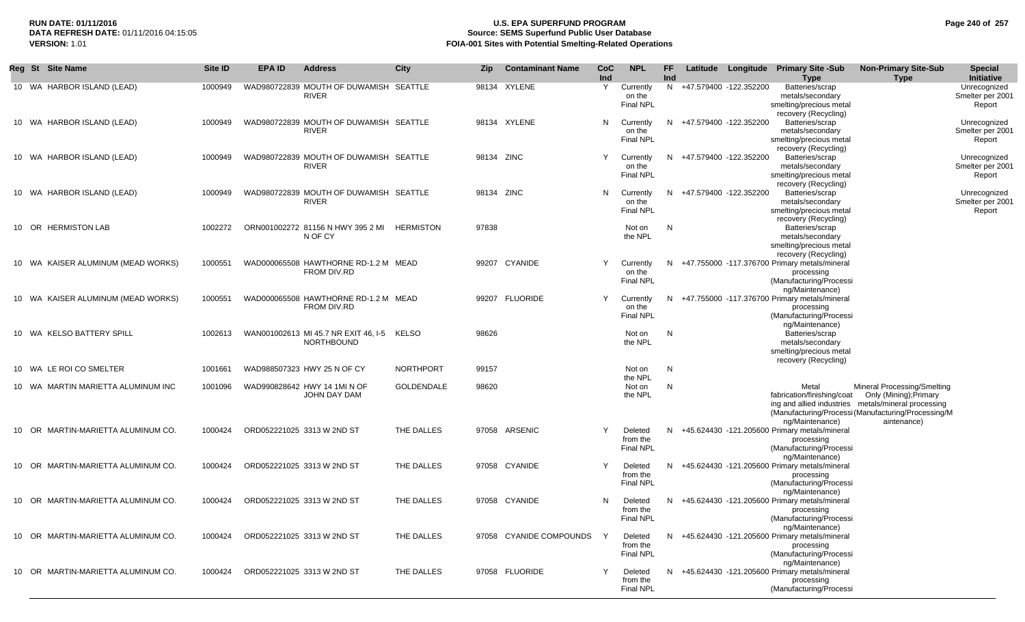## **RUN DATE: 01/11/2016 U.S. EPA SUPERFUND PROGRAM Page 240 of 257 Source: SEMS Superfund Public User Database VERSION:** 1.01 **FOIA-001 Sites with Potential Smelting-Related Operations**

| Reg St Site Name                   | Site ID | <b>EPA ID</b> | <b>Address</b>                                         | <b>City</b>       | Zip.       | <b>Contaminant Name</b> | CoC.<br>Ind | <b>NPL</b>                              | <b>FF</b><br>Ind |                          | Latitude Longitude | <b>Primary Site -Sub</b><br><b>Type</b>                                                                     | <b>Non-Primary Site-Sub</b><br><b>Type</b>                                                                                                                                         | <b>Special</b><br>Initiative               |
|------------------------------------|---------|---------------|--------------------------------------------------------|-------------------|------------|-------------------------|-------------|-----------------------------------------|------------------|--------------------------|--------------------|-------------------------------------------------------------------------------------------------------------|------------------------------------------------------------------------------------------------------------------------------------------------------------------------------------|--------------------------------------------|
| 10 WA HARBOR ISLAND (LEAD)         | 1000949 |               | WAD980722839 MOUTH OF DUWAMISH SEATTLE<br><b>RIVER</b> |                   |            | 98134 XYLENE            | Y           | Currently<br>on the<br><b>Final NPL</b> |                  | N +47.579400 -122.352200 |                    | Batteries/scrap<br>metals/secondary<br>smelting/precious metal<br>recovery (Recycling)                      |                                                                                                                                                                                    | Unrecognized<br>Smelter per 2001<br>Report |
| 10 WA HARBOR ISLAND (LEAD)         | 1000949 |               | WAD980722839 MOUTH OF DUWAMISH SEATTLE<br><b>RIVER</b> |                   |            | 98134 XYLENE            | N           | Currently<br>on the<br><b>Final NPL</b> |                  | N +47.579400 -122.352200 |                    | Batteries/scrap<br>metals/secondary<br>smelting/precious metal<br>recovery (Recycling)                      |                                                                                                                                                                                    | Unrecognized<br>Smelter per 2001<br>Report |
| 10 WA HARBOR ISLAND (LEAD)         | 1000949 |               | WAD980722839 MOUTH OF DUWAMISH SEATTLE<br><b>RIVER</b> |                   | 98134 ZINC |                         | Y           | Currently<br>on the<br>Final NPL        |                  | N +47.579400 -122.352200 |                    | Batteries/scrap<br>metals/secondary<br>smelting/precious metal<br>recovery (Recycling)                      |                                                                                                                                                                                    | Unrecognized<br>Smelter per 2001<br>Report |
| 10 WA HARBOR ISLAND (LEAD)         | 1000949 |               | WAD980722839 MOUTH OF DUWAMISH SEATTLE<br><b>RIVER</b> |                   | 98134 ZINC |                         | N           | Currently<br>on the<br><b>Final NPL</b> |                  | N +47.579400 -122.352200 |                    | Batteries/scrap<br>metals/secondary<br>smelting/precious metal<br>recovery (Recycling)                      |                                                                                                                                                                                    | Unrecognized<br>Smelter per 2001<br>Report |
| 10 OR HERMISTON LAB                | 1002272 |               | ORN001002272 81156 N HWY 395 2 MI<br>N OF CY           | <b>HERMISTON</b>  | 97838      |                         |             | Not on<br>the NPL                       | N                |                          |                    | Batteries/scrap<br>metals/secondary<br>smelting/precious metal<br>recovery (Recycling)                      |                                                                                                                                                                                    |                                            |
| 10 WA KAISER ALUMINUM (MEAD WORKS) | 1000551 |               | WAD000065508 HAWTHORNE RD-1.2 M MEAD<br>FROM DIV.RD    |                   |            | 99207 CYANIDE           | Y           | Currently<br>on the<br>Final NPL        |                  |                          |                    | N +47.755000 -117.376700 Primary metals/mineral<br>processing<br>(Manufacturing/Processi<br>ng/Maintenance) |                                                                                                                                                                                    |                                            |
| 10 WA KAISER ALUMINUM (MEAD WORKS) | 1000551 |               | WAD000065508 HAWTHORNE RD-1.2 M MEAD<br>FROM DIV.RD    |                   |            | 99207 FLUORIDE          | Y           | Currently<br>on the<br>Final NPL        |                  |                          |                    | N +47.755000 -117.376700 Primary metals/mineral<br>processing<br>(Manufacturing/Processi                    |                                                                                                                                                                                    |                                            |
| 10 WA KELSO BATTERY SPILL          | 1002613 |               | WAN001002613 MI 45.7 NR EXIT 46, I-5<br>NORTHBOUND     | KELSO             | 98626      |                         |             | Not on<br>the NPL                       | N                |                          |                    | ng/Maintenance)<br>Batteries/scrap<br>metals/secondary<br>smelting/precious metal<br>recovery (Recycling)   |                                                                                                                                                                                    |                                            |
| 10 WA LE ROI CO SMELTER            | 1001661 |               | WAD988507323 HWY 25 N OF CY                            | <b>NORTHPORT</b>  | 99157      |                         |             | Not on<br>the NPL                       | N                |                          |                    |                                                                                                             |                                                                                                                                                                                    |                                            |
| 10 WA MARTIN MARIETTA ALUMINUM INC | 1001096 |               | WAD990828642 HWY 14 1MI N OF<br>JOHN DAY DAM           | <b>GOLDENDALE</b> | 98620      |                         |             | Not on<br>the NPL                       | N                |                          |                    | Metal<br>fabrication/finishing/coat<br>ng/Maintenance)                                                      | Mineral Processing/Smelting<br>Only (Mining); Primary<br>ing and allied industries metals/mineral processing<br>(Manufacturing/Processi (Manufacturing/Processing/M<br>aintenance) |                                            |
| 10 OR MARTIN-MARIETTA ALUMINUM CO. | 1000424 |               | ORD052221025 3313 W 2ND ST                             | THE DALLES        |            | 97058 ARSENIC           | Y           | Deleted<br>from the<br><b>Final NPL</b> |                  |                          |                    | N +45.624430 -121.205600 Primary metals/mineral<br>processing<br>(Manufacturing/Processi<br>ng/Maintenance) |                                                                                                                                                                                    |                                            |
| 10 OR MARTIN-MARIETTA ALUMINUM CO. | 1000424 |               | ORD052221025 3313 W 2ND ST                             | THE DALLES        |            | 97058 CYANIDE           | Y           | Deleted<br>from the<br>Final NPL        |                  |                          |                    | N +45.624430 -121.205600 Primary metals/mineral<br>processing<br>(Manufacturing/Processi<br>ng/Maintenance) |                                                                                                                                                                                    |                                            |
| 10 OR MARTIN-MARIETTA ALUMINUM CO. | 1000424 |               | ORD052221025 3313 W 2ND ST                             | THE DALLES        |            | 97058 CYANIDE           | N           | Deleted<br>from the<br>Final NPL        |                  |                          |                    | N +45.624430 -121.205600 Primary metals/mineral<br>processing<br>(Manufacturing/Processi<br>ng/Maintenance) |                                                                                                                                                                                    |                                            |
| 10 OR MARTIN-MARIETTA ALUMINUM CO. | 1000424 |               | ORD052221025 3313 W 2ND ST                             | THE DALLES        |            | 97058 CYANIDE COMPOUNDS |             | Deleted<br>from the<br><b>Final NPL</b> |                  |                          |                    | N +45.624430 -121.205600 Primary metals/mineral<br>processing<br>(Manufacturing/Processi<br>ng/Maintenance) |                                                                                                                                                                                    |                                            |
| 10 OR MARTIN-MARIETTA ALUMINUM CO. | 1000424 |               | ORD052221025 3313 W 2ND ST                             | THE DALLES        |            | 97058 FLUORIDE          | Y           | Deleted<br>from the<br><b>Final NPL</b> |                  |                          |                    | N +45.624430 -121.205600 Primary metals/mineral<br>processing<br>(Manufacturing/Processi                    |                                                                                                                                                                                    |                                            |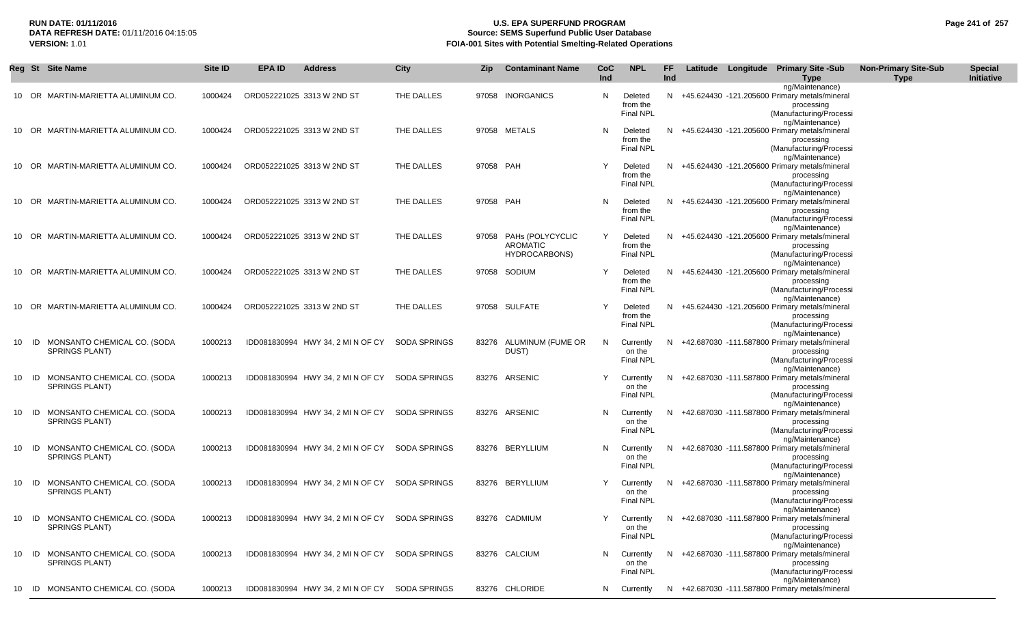### **RUN DATE: 01/11/2016 U.S. EPA SUPERFUND PROGRAM Page 241 of 257 Source: SEMS Superfund Public User Database VERSION:** 1.01 **FOIA-001 Sites with Potential Smelting-Related Operations**

|    |       | Reg St Site Name                                     | <b>Site ID</b> | <b>EPA ID</b>              | <b>Address</b>                                         | <b>City</b>         | Zip       | <b>Contaminant Name</b>                             | CoC<br>Ind | <b>NPL</b>                              | FF<br>Ind |  | Latitude Longitude Primary Site -Sub<br>Type                                                                                   | <b>Non-Primary Site-Sub</b><br><b>Type</b> | <b>Special</b><br>Initiative |
|----|-------|------------------------------------------------------|----------------|----------------------------|--------------------------------------------------------|---------------------|-----------|-----------------------------------------------------|------------|-----------------------------------------|-----------|--|--------------------------------------------------------------------------------------------------------------------------------|--------------------------------------------|------------------------------|
|    |       | 10 OR MARTIN-MARIETTA ALUMINUM CO.                   | 1000424        | ORD052221025 3313 W 2ND ST |                                                        | THE DALLES          |           | 97058 INORGANICS                                    | N          | Deleted<br>from the<br><b>Final NPL</b> |           |  | ng/Maintenance)<br>N +45.624430 -121.205600 Primary metals/mineral<br>processing<br>(Manufacturing/Processi<br>ng/Maintenance) |                                            |                              |
|    |       | 10 OR MARTIN-MARIETTA ALUMINUM CO.                   | 1000424        | ORD052221025 3313 W 2ND ST |                                                        | THE DALLES          |           | 97058 METALS                                        | N          | Deleted<br>from the<br><b>Final NPL</b> |           |  | N +45.624430 -121.205600 Primary metals/mineral<br>processing<br>(Manufacturing/Processi<br>ng/Maintenance)                    |                                            |                              |
|    |       | 10 OR MARTIN-MARIETTA ALUMINUM CO.                   | 1000424        | ORD052221025 3313 W 2ND ST |                                                        | THE DALLES          | 97058 PAH |                                                     |            | Deleted<br>from the<br><b>Final NPL</b> |           |  | N +45.624430 -121.205600 Primary metals/mineral<br>processing<br>(Manufacturing/Processi<br>ng/Maintenance)                    |                                            |                              |
|    |       | 10 OR MARTIN-MARIETTA ALUMINUM CO.                   | 1000424        | ORD052221025 3313 W 2ND ST |                                                        | THE DALLES          | 97058 PAH |                                                     | N          | Deleted<br>from the<br>Final NPL        | N.        |  | +45.624430 -121.205600 Primary metals/mineral<br>processing<br>(Manufacturing/Processi<br>ng/Maintenance)                      |                                            |                              |
|    | 10 OR | MARTIN-MARIETTA ALUMINUM CO.                         | 1000424        | ORD052221025 3313 W 2ND ST |                                                        | THE DALLES          |           | 97058 PAHs (POLYCYCLIC<br>AROMATIC<br>HYDROCARBONS) | Y          | Deleted<br>from the<br>Final NPL        | N.        |  | +45.624430 -121.205600 Primary metals/mineral<br>processing<br>(Manufacturing/Processi<br>ng/Maintenance)                      |                                            |                              |
|    |       | 10 OR MARTIN-MARIETTA ALUMINUM CO.                   | 1000424        | ORD052221025 3313 W 2ND ST |                                                        | THE DALLES          |           | 97058 SODIUM                                        | Y          | Deleted<br>from the<br>Final NPL        |           |  | N +45.624430 -121.205600 Primary metals/mineral<br>processing<br>(Manufacturing/Processi<br>ng/Maintenance)                    |                                            |                              |
|    |       | 10 OR MARTIN-MARIETTA ALUMINUM CO.                   | 1000424        | ORD052221025 3313 W 2ND ST |                                                        | THE DALLES          |           | 97058 SULFATE                                       |            | Deleted<br>from the<br><b>Final NPL</b> |           |  | N +45.624430 -121.205600 Primary metals/mineral<br>processing<br>(Manufacturing/Processi<br>ng/Maintenance)                    |                                            |                              |
| 10 | ID    | MONSANTO CHEMICAL CO. (SODA<br><b>SPRINGS PLANT)</b> | 1000213        |                            | IDD081830994 HWY 34, 2 MI N OF CY                      | <b>SODA SPRINGS</b> |           | 83276 ALUMINUM (FUME OR<br>DUST)                    | N.         | Currently<br>on the<br><b>Final NPL</b> | N.        |  | +42.687030 -111.587800 Primary metals/mineral<br>processing<br>(Manufacturing/Processi<br>ng/Maintenance)                      |                                            |                              |
| 10 | ID    | MONSANTO CHEMICAL CO. (SODA<br>SPRINGS PLANT)        | 1000213        |                            | IDD081830994 HWY 34, 2 MI N OF CY                      | <b>SODA SPRINGS</b> |           | 83276 ARSENIC                                       |            | Currently<br>on the<br><b>Final NPL</b> | N.        |  | +42.687030 -111.587800 Primary metals/mineral<br>processing<br>(Manufacturing/Processi<br>ng/Maintenance)                      |                                            |                              |
| 10 | ID    | MONSANTO CHEMICAL CO. (SODA<br><b>SPRINGS PLANT)</b> | 1000213        |                            | IDD081830994 HWY 34, 2 MI N OF CY                      | <b>SODA SPRINGS</b> |           | 83276 ARSENIC                                       | N.         | Currently<br>on the<br><b>Final NPL</b> | N.        |  | +42.687030 -111.587800 Primary metals/mineral<br>processing<br>(Manufacturing/Processi<br>ng/Maintenance)                      |                                            |                              |
| 10 | - ID  | MONSANTO CHEMICAL CO. (SODA<br><b>SPRINGS PLANT)</b> | 1000213        |                            | IDD081830994 HWY 34, 2 MI N OF CY                      | <b>SODA SPRINGS</b> |           | 83276 BERYLLIUM                                     | N.         | Currently<br>on the<br>Final NPL        | N.        |  | +42.687030 -111.587800 Primary metals/mineral<br>processing<br>(Manufacturing/Processi<br>ng/Maintenance)                      |                                            |                              |
|    | 10 ID | MONSANTO CHEMICAL CO. (SODA<br>SPRINGS PLANT)        | 1000213        |                            | IDD081830994 HWY 34, 2 MI N OF CY                      | <b>SODA SPRINGS</b> |           | 83276 BERYLLIUM                                     |            | Currently<br>on the<br><b>Final NPL</b> |           |  | N +42.687030 -111.587800 Primary metals/mineral<br>processing<br>(Manufacturing/Processi<br>ng/Maintenance)                    |                                            |                              |
|    |       | ID MONSANTO CHEMICAL CO. (SODA<br>SPRINGS PLANT)     |                |                            | 1000213 IDD081830994 HWY 34, 2 MI N OF CY SODA SPRINGS |                     |           | 83276 CADMIUM                                       | Y -        | on the<br>Final NPL                     |           |  | Currently N +42.687030 -111.587800 Primary metals/mineral<br>processing<br>(Manufacturing/Processi<br>ng/Maintenance)          |                                            |                              |
|    |       | 10 ID MONSANTO CHEMICAL CO. (SODA<br>SPRINGS PLANT)  | 1000213        |                            | IDD081830994 HWY 34, 2 MI N OF CY SODA SPRINGS         |                     |           | 83276 CALCIUM                                       |            | N Currently<br>on the<br>Final NPL      |           |  | N +42.687030 -111.587800 Primary metals/mineral<br>processing<br>(Manufacturing/Processi<br>ng/Maintenance)                    |                                            |                              |
|    |       | 10 ID MONSANTO CHEMICAL CO. (SODA                    | 1000213        |                            | IDD081830994 HWY 34, 2 MI N OF CY SODA SPRINGS         |                     |           | 83276 CHLORIDE                                      |            | N Currently                             |           |  | N +42.687030 -111.587800 Primary metals/mineral                                                                                |                                            |                              |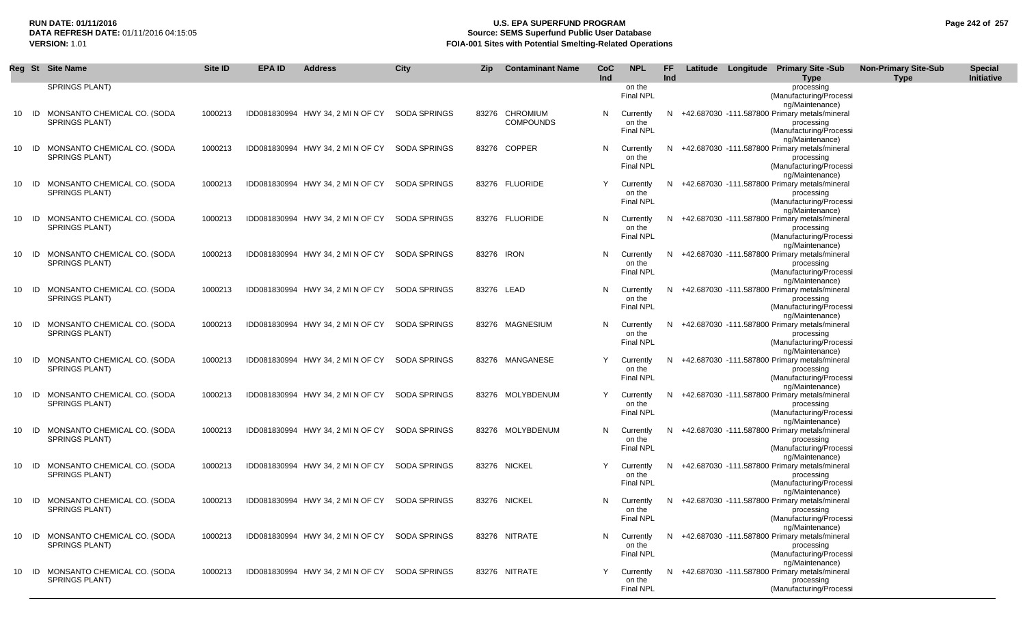## **RUN DATE: 01/11/2016 U.S. EPA SUPERFUND PROGRAM Page 242 of 257 Source: SEMS Superfund Public User Database VERSION:** 1.01 **FOIA-001 Sites with Potential Smelting-Related Operations**

| Reg St |    | <b>Site Name</b>                                     | Site ID | <b>EPA ID</b> | <b>Address</b>                    | City                | Zip | <b>Contaminant Name</b> | <b>CoC</b><br>Ind | <b>NPL</b>                 | FF.<br>Ind |  | Latitude Longitude Primary Site -Sub<br><b>Type</b>                | <b>Non-Primary Site-Sub</b><br><b>Type</b> | <b>Special</b><br><b>Initiative</b> |
|--------|----|------------------------------------------------------|---------|---------------|-----------------------------------|---------------------|-----|-------------------------|-------------------|----------------------------|------------|--|--------------------------------------------------------------------|--------------------------------------------|-------------------------------------|
|        |    | <b>SPRINGS PLANT)</b>                                |         |               |                                   |                     |     |                         |                   | on the                     |            |  | processing                                                         |                                            |                                     |
|        |    |                                                      |         |               |                                   |                     |     |                         |                   | <b>Final NPL</b>           |            |  | (Manufacturing/Processi                                            |                                            |                                     |
|        |    |                                                      |         |               |                                   |                     |     |                         |                   |                            |            |  | ng/Maintenance)                                                    |                                            |                                     |
| 10     | ID | MONSANTO CHEMICAL CO. (SODA                          | 1000213 |               | IDD081830994 HWY 34, 2 MI N OF CY | SODA SPRINGS        |     | 83276 CHROMIUM          | N                 | Currently                  |            |  | N +42.687030 -111.587800 Primary metals/mineral                    |                                            |                                     |
|        |    | <b>SPRINGS PLANT)</b>                                |         |               |                                   |                     |     | <b>COMPOUNDS</b>        |                   | on the                     |            |  | processing                                                         |                                            |                                     |
|        |    |                                                      |         |               |                                   |                     |     |                         |                   | <b>Final NPL</b>           |            |  | (Manufacturing/Processi                                            |                                            |                                     |
|        |    |                                                      |         |               |                                   |                     |     |                         |                   |                            |            |  | ng/Maintenance)                                                    |                                            |                                     |
| 10     | ID | MONSANTO CHEMICAL CO. (SODA                          | 1000213 |               | IDD081830994 HWY 34, 2 MI N OF CY | <b>SODA SPRINGS</b> |     | 83276 COPPER            | N                 | Currently                  | N          |  | +42.687030 -111.587800 Primary metals/mineral                      |                                            |                                     |
|        |    | SPRINGS PLANT)                                       |         |               |                                   |                     |     |                         |                   | on the                     |            |  | processing                                                         |                                            |                                     |
|        |    |                                                      |         |               |                                   |                     |     |                         |                   | <b>Final NPL</b>           |            |  | (Manufacturing/Processi<br>ng/Maintenance)                         |                                            |                                     |
| 10     | ID | MONSANTO CHEMICAL CO. (SODA                          | 1000213 |               | IDD081830994 HWY 34, 2 MI N OF CY | <b>SODA SPRINGS</b> |     | 83276 FLUORIDE          | Y                 | Currently                  |            |  | N +42.687030 -111.587800 Primary metals/mineral                    |                                            |                                     |
|        |    | <b>SPRINGS PLANT)</b>                                |         |               |                                   |                     |     |                         |                   | on the                     |            |  | processing                                                         |                                            |                                     |
|        |    |                                                      |         |               |                                   |                     |     |                         |                   | <b>Final NPL</b>           |            |  | (Manufacturing/Processi                                            |                                            |                                     |
|        |    |                                                      |         |               |                                   |                     |     |                         |                   |                            |            |  | ng/Maintenance)                                                    |                                            |                                     |
| 10     | ID | MONSANTO CHEMICAL CO. (SODA                          | 1000213 |               | IDD081830994 HWY 34, 2 MI N OF CY | <b>SODA SPRINGS</b> |     | 83276 FLUORIDE          | N                 | Currently                  | N          |  | +42.687030 -111.587800 Primary metals/mineral                      |                                            |                                     |
|        |    | <b>SPRINGS PLANT)</b>                                |         |               |                                   |                     |     |                         |                   | on the                     |            |  | processing                                                         |                                            |                                     |
|        |    |                                                      |         |               |                                   |                     |     |                         |                   | <b>Final NPL</b>           |            |  | (Manufacturing/Processi                                            |                                            |                                     |
|        |    |                                                      |         |               |                                   |                     |     |                         |                   |                            |            |  | ng/Maintenance)                                                    |                                            |                                     |
| 10     | ID | MONSANTO CHEMICAL CO. (SODA<br><b>SPRINGS PLANT)</b> | 1000213 |               | IDD081830994 HWY 34, 2 MI N OF CY | <b>SODA SPRINGS</b> |     | 83276 IRON              | N                 | Currently<br>on the        |            |  | N +42.687030 -111.587800 Primary metals/mineral<br>processing      |                                            |                                     |
|        |    |                                                      |         |               |                                   |                     |     |                         |                   | <b>Final NPL</b>           |            |  | (Manufacturing/Processi                                            |                                            |                                     |
|        |    |                                                      |         |               |                                   |                     |     |                         |                   |                            |            |  | ng/Maintenance)                                                    |                                            |                                     |
| 10     | ID | MONSANTO CHEMICAL CO. (SODA                          | 1000213 |               | IDD081830994 HWY 34, 2 MI N OF CY | <b>SODA SPRINGS</b> |     | 83276 LEAD              | N                 | Currently                  | N.         |  | +42.687030 -111.587800 Primary metals/mineral                      |                                            |                                     |
|        |    | <b>SPRINGS PLANT)</b>                                |         |               |                                   |                     |     |                         |                   | on the                     |            |  | processing                                                         |                                            |                                     |
|        |    |                                                      |         |               |                                   |                     |     |                         |                   | <b>Final NPL</b>           |            |  | (Manufacturing/Processi                                            |                                            |                                     |
|        |    |                                                      |         |               |                                   |                     |     |                         |                   |                            |            |  | ng/Maintenance)                                                    |                                            |                                     |
| 10     | ID | MONSANTO CHEMICAL CO. (SODA                          | 1000213 |               | IDD081830994 HWY 34, 2 MI N OF CY | <b>SODA SPRINGS</b> |     | 83276 MAGNESIUM         | N                 | Currently                  |            |  | N +42.687030 -111.587800 Primary metals/mineral                    |                                            |                                     |
|        |    | <b>SPRINGS PLANT)</b>                                |         |               |                                   |                     |     |                         |                   | on the                     |            |  | processing                                                         |                                            |                                     |
|        |    |                                                      |         |               |                                   |                     |     |                         |                   | <b>Final NPL</b>           |            |  | (Manufacturing/Processi<br>ng/Maintenance)                         |                                            |                                     |
| 10     | ID | MONSANTO CHEMICAL CO. (SODA                          | 1000213 |               | IDD081830994 HWY 34, 2 MI N OF CY | <b>SODA SPRINGS</b> |     | 83276 MANGANESE         | Υ                 | Currently                  |            |  | N +42.687030 -111.587800 Primary metals/mineral                    |                                            |                                     |
|        |    | <b>SPRINGS PLANT)</b>                                |         |               |                                   |                     |     |                         |                   | on the                     |            |  | processing                                                         |                                            |                                     |
|        |    |                                                      |         |               |                                   |                     |     |                         |                   | <b>Final NPL</b>           |            |  | (Manufacturing/Processi                                            |                                            |                                     |
|        |    |                                                      |         |               |                                   |                     |     |                         |                   |                            |            |  | ng/Maintenance)                                                    |                                            |                                     |
| 10     | ID | MONSANTO CHEMICAL CO. (SODA                          | 1000213 |               | IDD081830994 HWY 34, 2 MI N OF CY | <b>SODA SPRINGS</b> |     | 83276 MOLYBDENUM        | Y                 | Currently                  |            |  | N +42.687030 -111.587800 Primary metals/mineral                    |                                            |                                     |
|        |    | <b>SPRINGS PLANT)</b>                                |         |               |                                   |                     |     |                         |                   | on the                     |            |  | processing                                                         |                                            |                                     |
|        |    |                                                      |         |               |                                   |                     |     |                         |                   | <b>Final NPL</b>           |            |  | (Manufacturing/Processi                                            |                                            |                                     |
|        | ID | MONSANTO CHEMICAL CO. (SODA                          |         |               |                                   | <b>SODA SPRINGS</b> |     | 83276 MOLYBDENUM        |                   |                            |            |  | ng/Maintenance)<br>N +42.687030 -111.587800 Primary metals/mineral |                                            |                                     |
| 10     |    | SPRINGS PLANT)                                       | 1000213 |               | IDD081830994 HWY 34, 2 MI N OF CY |                     |     |                         | N                 | Currently<br>on the        |            |  | processing                                                         |                                            |                                     |
|        |    |                                                      |         |               |                                   |                     |     |                         |                   | <b>Final NPL</b>           |            |  | (Manufacturing/Processi                                            |                                            |                                     |
|        |    |                                                      |         |               |                                   |                     |     |                         |                   |                            |            |  | ng/Maintenance)                                                    |                                            |                                     |
| 10     | ID | MONSANTO CHEMICAL CO. (SODA                          | 1000213 |               | IDD081830994 HWY 34, 2 MIN OF CY  | <b>SODA SPRINGS</b> |     | 83276 NICKEL            | Y                 | Currently                  |            |  | N +42.687030 -111.587800 Primary metals/mineral                    |                                            |                                     |
|        |    | <b>SPRINGS PLANT)</b>                                |         |               |                                   |                     |     |                         |                   | on the                     |            |  | processing                                                         |                                            |                                     |
|        |    |                                                      |         |               |                                   |                     |     |                         |                   | <b>Final NPL</b>           |            |  | (Manufacturing/Processi                                            |                                            |                                     |
|        |    |                                                      |         |               |                                   |                     |     |                         |                   |                            |            |  | ng/Maintenance)                                                    |                                            |                                     |
| 10     | ID | MONSANTO CHEMICAL CO. (SODA                          | 1000213 |               | IDD081830994 HWY 34, 2 MI N OF CY | <b>SODA SPRINGS</b> |     | 83276 NICKEL            | N                 | Currently                  |            |  | N +42.687030 -111.587800 Primary metals/mineral                    |                                            |                                     |
|        |    | SPRINGS PLANT)                                       |         |               |                                   |                     |     |                         |                   | on the<br><b>Final NPL</b> |            |  | processing<br>(Manufacturing/Processi                              |                                            |                                     |
|        |    |                                                      |         |               |                                   |                     |     |                         |                   |                            |            |  | ng/Maintenance)                                                    |                                            |                                     |
| 10     | ID | MONSANTO CHEMICAL CO. (SODA                          | 1000213 |               | IDD081830994 HWY 34, 2 MI N OF CY | <b>SODA SPRINGS</b> |     | 83276 NITRATE           | N                 | Currently                  |            |  | N +42.687030 -111.587800 Primary metals/mineral                    |                                            |                                     |
|        |    | SPRINGS PLANT)                                       |         |               |                                   |                     |     |                         |                   | on the                     |            |  | processing                                                         |                                            |                                     |
|        |    |                                                      |         |               |                                   |                     |     |                         |                   | <b>Final NPL</b>           |            |  | (Manufacturing/Processi                                            |                                            |                                     |
|        |    |                                                      |         |               |                                   |                     |     |                         |                   |                            |            |  | ng/Maintenance)                                                    |                                            |                                     |
| 10     | ID | MONSANTO CHEMICAL CO. (SODA                          | 1000213 |               | IDD081830994 HWY 34, 2 MI N OF CY | SODA SPRINGS        |     | 83276 NITRATE           | Y                 | Currently                  |            |  | N +42.687030 -111.587800 Primary metals/mineral                    |                                            |                                     |
|        |    | SPRINGS PLANT)                                       |         |               |                                   |                     |     |                         |                   | on the                     |            |  | processing                                                         |                                            |                                     |
|        |    |                                                      |         |               |                                   |                     |     |                         |                   | <b>Final NPL</b>           |            |  | (Manufacturing/Processi                                            |                                            |                                     |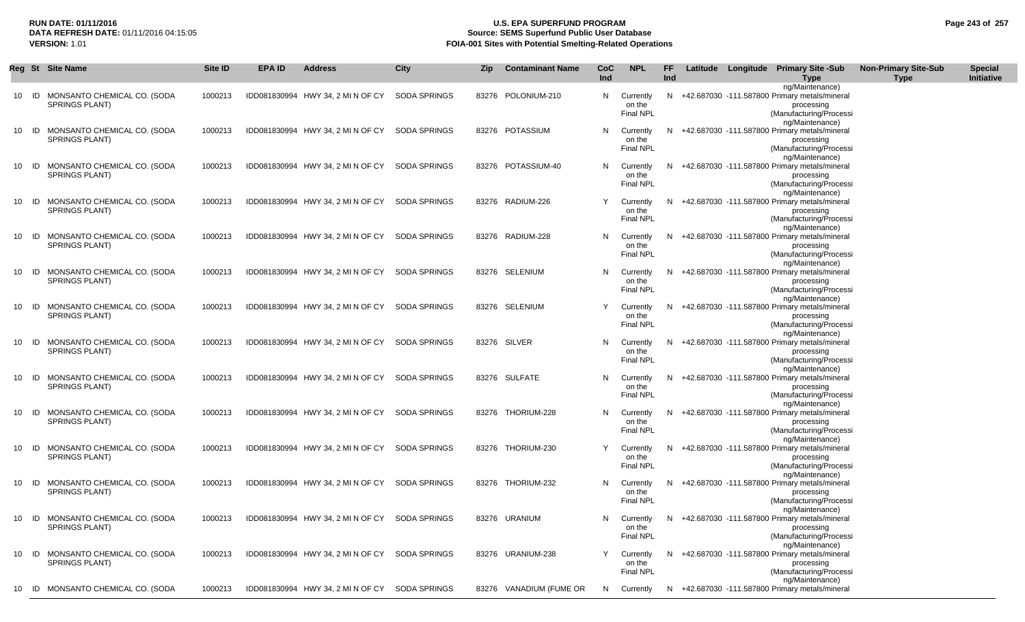## **RUN DATE: 01/11/2016 U.S. EPA SUPERFUND PROGRAM Page 243 of 257 Source: SEMS Superfund Public User Database VERSION:** 1.01 **FOIA-001 Sites with Potential Smelting-Related Operations**

|    |       | Reg St Site Name                                     | Site ID | EPA ID | <b>Address</b>                    | City                | <b>Zip</b> | <b>Contaminant Name</b> | CoC<br>Ind | <b>NPL</b>                                | FF.<br><b>Ind</b> |  | Latitude Longitude Primary Site -Sub<br><b>Type</b>                                                                            | <b>Non-Primary Site-Sub</b><br><b>Type</b> | <b>Special</b><br>Initiative |
|----|-------|------------------------------------------------------|---------|--------|-----------------------------------|---------------------|------------|-------------------------|------------|-------------------------------------------|-------------------|--|--------------------------------------------------------------------------------------------------------------------------------|--------------------------------------------|------------------------------|
|    | 10 ID | MONSANTO CHEMICAL CO. (SODA<br><b>SPRINGS PLANT)</b> | 1000213 |        | IDD081830994 HWY 34, 2 MI N OF CY | <b>SODA SPRINGS</b> |            | 83276 POLONIUM-210      |            | N Currently<br>on the<br><b>Final NPL</b> |                   |  | ng/Maintenance)<br>N +42.687030 -111.587800 Primary metals/mineral<br>processing<br>(Manufacturing/Processi<br>ng/Maintenance) |                                            |                              |
|    | 10 ID | MONSANTO CHEMICAL CO. (SODA<br><b>SPRINGS PLANT)</b> | 1000213 |        | IDD081830994 HWY 34, 2 MI N OF CY | <b>SODA SPRINGS</b> |            | 83276 POTASSIUM         | N          | Currently<br>on the<br><b>Final NPL</b>   |                   |  | N +42.687030 -111.587800 Primary metals/mineral<br>processing<br>(Manufacturing/Processi<br>ng/Maintenance)                    |                                            |                              |
| 10 | ID    | MONSANTO CHEMICAL CO. (SODA<br><b>SPRINGS PLANT)</b> | 1000213 |        | IDD081830994 HWY 34, 2 MI N OF CY | SODA SPRINGS        |            | 83276 POTASSIUM-40      | N          | Currently<br>on the<br><b>Final NPL</b>   | N                 |  | +42.687030 -111.587800 Primary metals/mineral<br>processing<br>(Manufacturing/Processi<br>ng/Maintenance)                      |                                            |                              |
| 10 | ID    | MONSANTO CHEMICAL CO. (SODA<br><b>SPRINGS PLANT)</b> | 1000213 |        | IDD081830994 HWY 34, 2 MI N OF CY | SODA SPRINGS        |            | 83276 RADIUM-226        | Y          | Currently<br>on the<br>Final NPL          | N.                |  | +42.687030 -111.587800 Primary metals/mineral<br>processing<br>(Manufacturing/Processi<br>ng/Maintenance)                      |                                            |                              |
| 10 | ID    | MONSANTO CHEMICAL CO. (SODA<br>SPRINGS PLANT)        | 1000213 |        | IDD081830994 HWY 34, 2 MI N OF CY | SODA SPRINGS        |            | 83276 RADIUM-228        | N          | Currently<br>on the<br><b>Final NPL</b>   | N                 |  | +42.687030 -111.587800 Primary metals/mineral<br>processing<br>(Manufacturing/Processi<br>ng/Maintenance)                      |                                            |                              |
| 10 | ID    | MONSANTO CHEMICAL CO. (SODA<br><b>SPRINGS PLANT)</b> | 1000213 |        | IDD081830994 HWY 34, 2 MI N OF CY | <b>SODA SPRINGS</b> |            | 83276 SELENIUM          | N          | Currently<br>on the<br><b>Final NPL</b>   | N.                |  | +42.687030 -111.587800 Primary metals/mineral<br>processing<br>(Manufacturing/Processi<br>ng/Maintenance)                      |                                            |                              |
| 10 | ID    | MONSANTO CHEMICAL CO. (SODA<br><b>SPRINGS PLANT)</b> | 1000213 |        | IDD081830994 HWY 34, 2 MI N OF CY | <b>SODA SPRINGS</b> |            | 83276 SELENIUM          | Y          | Currently<br>on the<br><b>Final NPL</b>   | N                 |  | +42.687030 -111.587800 Primary metals/mineral<br>processing<br>(Manufacturing/Processi<br>ng/Maintenance)                      |                                            |                              |
| 10 | ID    | MONSANTO CHEMICAL CO. (SODA<br><b>SPRINGS PLANT)</b> | 1000213 |        | IDD081830994 HWY 34, 2 MI N OF CY | <b>SODA SPRINGS</b> |            | 83276 SILVER            | N          | Currently<br>on the<br><b>Final NPL</b>   | N.                |  | +42.687030 -111.587800 Primary metals/mineral<br>processing<br>(Manufacturing/Processi<br>ng/Maintenance)                      |                                            |                              |
| 10 | ID    | MONSANTO CHEMICAL CO. (SODA<br>SPRINGS PLANT)        | 1000213 |        | IDD081830994 HWY 34, 2 MI N OF CY | SODA SPRINGS        |            | 83276 SULFATE           | N          | Currently<br>on the<br><b>Final NPL</b>   | N.                |  | +42.687030 -111.587800 Primary metals/mineral<br>processing<br>(Manufacturing/Processi<br>ng/Maintenance)                      |                                            |                              |
| 10 | - ID  | MONSANTO CHEMICAL CO. (SODA<br>SPRINGS PLANT)        | 1000213 |        | IDD081830994 HWY 34, 2 MI N OF CY | <b>SODA SPRINGS</b> |            | 83276 THORIUM-228       | N.         | Currently<br>on the<br><b>Final NPL</b>   | N.                |  | +42.687030 -111.587800 Primary metals/mineral<br>processing<br>(Manufacturing/Processi<br>ng/Maintenance)                      |                                            |                              |
| 10 | ID    | MONSANTO CHEMICAL CO. (SODA<br><b>SPRINGS PLANT)</b> | 1000213 |        | IDD081830994 HWY 34, 2 MI N OF CY | SODA SPRINGS        |            | 83276 THORIUM-230       | Y          | Currently<br>on the<br><b>Final NPL</b>   | N                 |  | +42.687030 -111.587800 Primary metals/mineral<br>processing<br>(Manufacturing/Processi<br>ng/Maintenance)                      |                                            |                              |
| 10 | - ID  | MONSANTO CHEMICAL CO. (SODA<br><b>SPRINGS PLANT)</b> | 1000213 |        | IDD081830994 HWY 34, 2 MI N OF CY | <b>SODA SPRINGS</b> |            | 83276 THORIUM-232       | N          | Currently<br>on the<br><b>Final NPL</b>   | N.                |  | +42.687030 -111.587800 Primary metals/mineral<br>processing<br>(Manufacturing/Processi<br>ng/Maintenance)                      |                                            |                              |
| 10 | ID    | MONSANTO CHEMICAL CO. (SODA<br><b>SPRINGS PLANT)</b> | 1000213 |        | IDD081830994 HWY 34, 2 MI N OF CY | SODA SPRINGS        |            | 83276 URANIUM           | N          | Currently<br>on the<br><b>Final NPL</b>   | N                 |  | +42.687030 -111.587800 Primary metals/mineral<br>processing<br>(Manufacturing/Processi<br>ng/Maintenance)                      |                                            |                              |
|    | 10 ID | MONSANTO CHEMICAL CO. (SODA<br>SPRINGS PLANT)        | 1000213 |        | IDD081830994 HWY 34, 2 MI N OF CY | SODA SPRINGS        |            | 83276 URANIUM-238       | Y          | Currently<br>on the<br><b>Final NPL</b>   | N.                |  | +42.687030 -111.587800 Primary metals/mineral<br>processing<br>(Manufacturing/Processi<br>ng/Maintenance)                      |                                            |                              |
|    |       | 10 ID MONSANTO CHEMICAL CO. (SODA                    | 1000213 |        | IDD081830994 HWY 34, 2 MI N OF CY | SODA SPRINGS        |            | 83276 VANADIUM (FUME OR | N          | Currently                                 |                   |  | N +42.687030 -111.587800 Primary metals/mineral                                                                                |                                            |                              |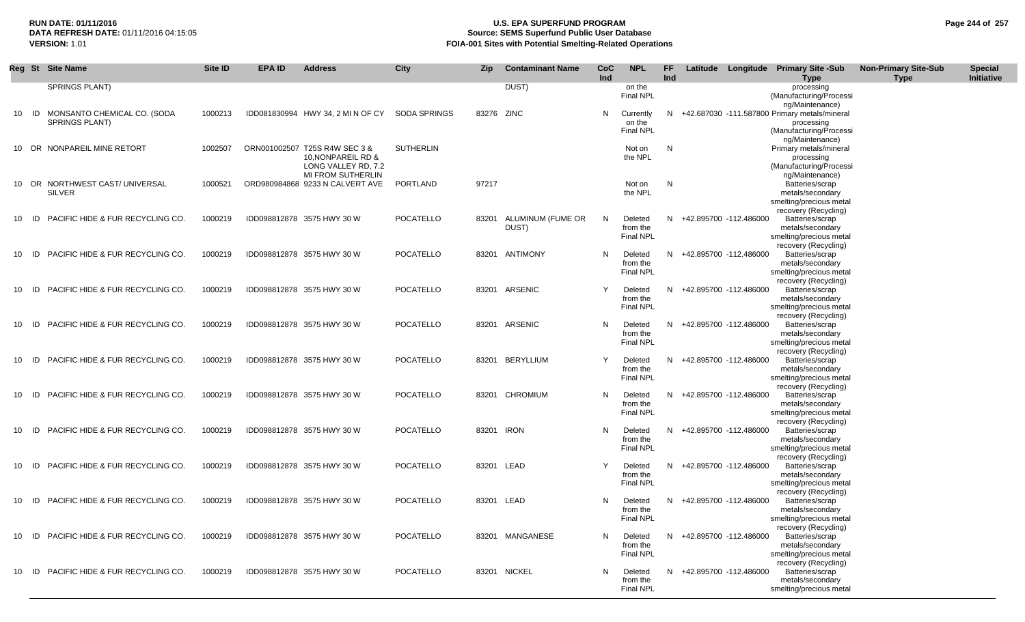## **RUN DATE: 01/11/2016 U.S. EPA SUPERFUND PROGRAM Page 244 of 257 Source: SEMS Superfund Public User Database VERSION:** 1.01 **FOIA-001 Sites with Potential Smelting-Related Operations**

|       | Reg St Site Name                                 | <b>Site ID</b> | <b>EPA ID</b> | <b>Address</b>                                                             | <b>City</b>      | <b>Zip</b> | <b>Contaminant Name</b>    | CoC<br>Ind | <b>NPL</b>                              | <b>FF</b><br>Ind |                          | Latitude Longitude Primary Site -Sub<br><b>Type</b>                                                            | <b>Non-Primary Site-Sub</b><br>Type | <b>Special</b><br>Initiative |
|-------|--------------------------------------------------|----------------|---------------|----------------------------------------------------------------------------|------------------|------------|----------------------------|------------|-----------------------------------------|------------------|--------------------------|----------------------------------------------------------------------------------------------------------------|-------------------------------------|------------------------------|
|       | SPRINGS PLANT)                                   |                |               |                                                                            |                  |            | DUST)                      |            | on the<br><b>Final NPL</b>              |                  |                          | processing<br>(Manufacturing/Processi<br>ng/Maintenance)                                                       |                                     |                              |
| 10 ID | MONSANTO CHEMICAL CO. (SODA<br>SPRINGS PLANT)    | 1000213        |               | IDD081830994 HWY 34, 2 MI N OF CY                                          | SODA SPRINGS     | 83276 ZINC |                            | N          | Currently<br>on the<br><b>Final NPL</b> | N                |                          | +42.687030 -111.587800 Primary metals/mineral<br>processing<br>(Manufacturing/Processi                         |                                     |                              |
|       | 10 OR NONPAREIL MINE RETORT                      | 1002507        |               | ORN001002507 T25S R4W SEC 3 &<br>10, NONPAREIL RD &<br>LONG VALLEY RD, 7.2 | <b>SUTHERLIN</b> |            |                            |            | Not on<br>the NPL                       | N                |                          | ng/Maintenance)<br>Primary metals/mineral<br>processing<br>(Manufacturing/Processi                             |                                     |                              |
|       | 10 OR NORTHWEST CAST/ UNIVERSAL<br><b>SILVER</b> | 1000521        |               | <b>MI FROM SUTHERLIN</b><br>ORD980984868 9233 N CALVERT AVE                | PORTLAND         | 97217      |                            |            | Not on<br>the NPL                       | N                |                          | ng/Maintenance)<br>Batteries/scrap<br>metals/secondary<br>smelting/precious metal<br>recovery (Recycling)      |                                     |                              |
| 10 ID | PACIFIC HIDE & FUR RECYCLING CO.                 | 1000219        |               | IDD098812878 3575 HWY 30 W                                                 | <b>POCATELLO</b> | 83201      | ALUMINUM (FUME OR<br>DUST) | N          | Deleted<br>from the<br><b>Final NPL</b> |                  | N +42.895700 -112.486000 | Batteries/scrap<br>metals/secondary<br>smelting/precious metal                                                 |                                     |                              |
| 10 ID | PACIFIC HIDE & FUR RECYCLING CO.                 | 1000219        |               | IDD098812878 3575 HWY 30 W                                                 | <b>POCATELLO</b> |            | 83201 ANTIMONY             | N          | Deleted<br>from the<br><b>Final NPL</b> |                  | N +42.895700 -112.486000 | recovery (Recycling)<br>Batteries/scrap<br>metals/secondary<br>smelting/precious metal                         |                                     |                              |
| 10 ID | <b>PACIFIC HIDE &amp; FUR RECYCLING CO.</b>      | 1000219        |               | IDD098812878 3575 HWY 30 W                                                 | POCATELLO        |            | 83201 ARSENIC              | Y          | Deleted<br>from the<br><b>Final NPL</b> |                  | N +42.895700 -112.486000 | recovery (Recycling)<br>Batteries/scrap<br>metals/secondary<br>smelting/precious metal<br>recovery (Recycling) |                                     |                              |
| 10 ID | PACIFIC HIDE & FUR RECYCLING CO.                 | 1000219        |               | IDD098812878 3575 HWY 30 W                                                 | POCATELLO        |            | 83201 ARSENIC              | N          | Deleted<br>from the<br><b>Final NPL</b> |                  | N +42.895700 -112.486000 | Batteries/scrap<br>metals/secondary<br>smelting/precious metal<br>recovery (Recycling)                         |                                     |                              |
| 10 ID | PACIFIC HIDE & FUR RECYCLING CO.                 | 1000219        |               | IDD098812878 3575 HWY 30 W                                                 | <b>POCATELLO</b> |            | 83201 BERYLLIUM            | Y          | Deleted<br>from the<br><b>Final NPL</b> |                  | N +42.895700 -112.486000 | Batteries/scrap<br>metals/secondary<br>smelting/precious metal<br>recovery (Recycling)                         |                                     |                              |
| 10 ID | PACIFIC HIDE & FUR RECYCLING CO.                 | 1000219        |               | IDD098812878 3575 HWY 30 W                                                 | POCATELLO        |            | 83201 CHROMIUM             | N          | Deleted<br>from the<br><b>Final NPL</b> |                  | N +42.895700 -112.486000 | Batteries/scrap<br>metals/secondary<br>smelting/precious metal<br>recovery (Recycling)                         |                                     |                              |
| 10 ID | PACIFIC HIDE & FUR RECYCLING CO.                 | 1000219        |               | IDD098812878 3575 HWY 30 W                                                 | POCATELLO        |            | 83201 IRON                 | N          | Deleted<br>from the<br><b>Final NPL</b> |                  | N +42.895700 -112.486000 | Batteries/scrap<br>metals/secondary<br>smelting/precious metal<br>recovery (Recycling)                         |                                     |                              |
| 10 ID | PACIFIC HIDE & FUR RECYCLING CO.                 | 1000219        |               | IDD098812878 3575 HWY 30 W                                                 | POCATELLO        |            | 83201 LEAD                 | Y          | Deleted<br>from the<br><b>Final NPL</b> |                  | N +42.895700 -112.486000 | Batteries/scrap<br>metals/secondary<br>smelting/precious metal<br>recovery (Recycling)                         |                                     |                              |
| 10 ID | PACIFIC HIDE & FUR RECYCLING CO.                 | 1000219        |               | IDD098812878 3575 HWY 30 W                                                 | POCATELLO        |            | 83201 LEAD                 | N          | Deleted<br>from the<br>Final NPL        |                  | N +42.895700 -112.486000 | Batteries/scrap<br>metals/secondary<br>smelting/precious metal<br>recovery (Recycling)                         |                                     |                              |
| 10 ID | <b>PACIFIC HIDE &amp; FUR RECYCLING CO.</b>      | 1000219        |               | IDD098812878 3575 HWY 30 W                                                 | <b>POCATELLO</b> |            | 83201 MANGANESE            | N          | Deleted<br>from the<br><b>Final NPL</b> |                  | N +42.895700 -112.486000 | Batteries/scrap<br>metals/secondary<br>smelting/precious metal<br>recovery (Recycling)                         |                                     |                              |
| 10 ID | PACIFIC HIDE & FUR RECYCLING CO.                 | 1000219        |               | IDD098812878 3575 HWY 30 W                                                 | POCATELLO        |            | 83201 NICKEL               | N          | Deleted<br>from the<br><b>Final NPL</b> |                  | N +42.895700 -112.486000 | Batteries/scrap<br>metals/secondary<br>smelting/precious metal                                                 |                                     |                              |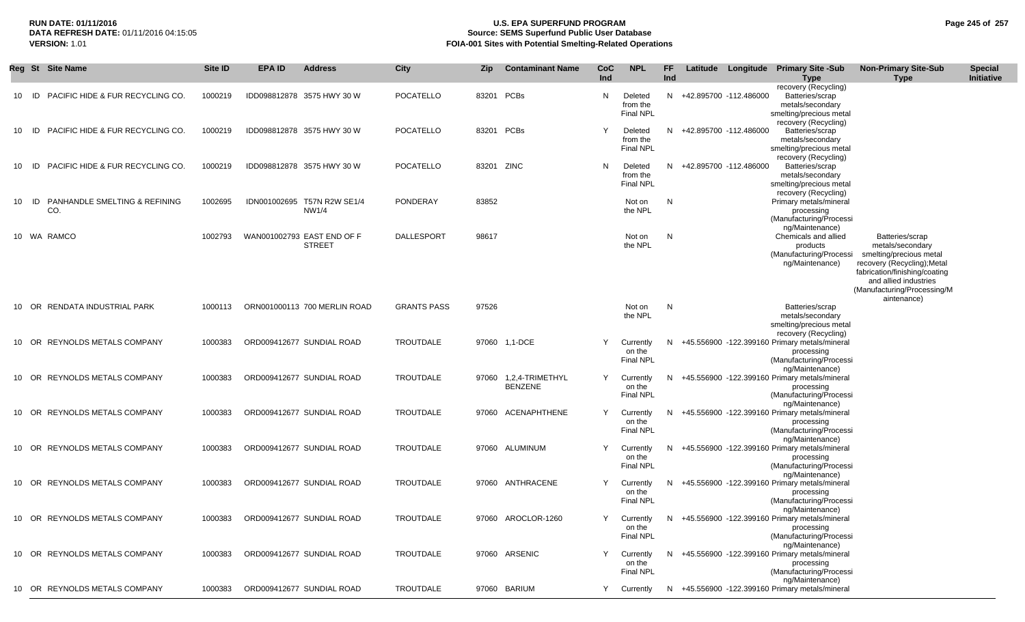### **RUN DATE: 01/11/2016 U.S. EPA SUPERFUND PROGRAM Page 245 of 257 Source: SEMS Superfund Public User Database VERSION:** 1.01 **FOIA-001 Sites with Potential Smelting-Related Operations**

|       | Reg St Site Name                            | <b>Site ID</b> | <b>EPA ID</b> | <b>Address</b>                              | City               | Zip        | <b>Contaminant Name</b>                 | CoC<br>Ind | <b>NPL</b>                              | <b>FF</b><br>Ind | Latitude Longitude     | <b>Primary Site -Sub</b><br><b>Type</b>                                                                        | <b>Non-Primary Site-Sub</b><br><b>Type</b>                                                                                                                                                            | <b>Special</b><br>Initiative |
|-------|---------------------------------------------|----------------|---------------|---------------------------------------------|--------------------|------------|-----------------------------------------|------------|-----------------------------------------|------------------|------------------------|----------------------------------------------------------------------------------------------------------------|-------------------------------------------------------------------------------------------------------------------------------------------------------------------------------------------------------|------------------------------|
| 10    | PACIFIC HIDE & FUR RECYCLING CO.<br>- ID -  | 1000219        |               | IDD098812878 3575 HWY 30 W                  | <b>POCATELLO</b>   |            | 83201 PCBs                              | N          | Deleted<br>from the<br><b>Final NPL</b> | N                | +42.895700 -112.486000 | recovery (Recycling)<br>Batteries/scrap<br>metals/secondary<br>smelting/precious metal<br>recovery (Recycling) |                                                                                                                                                                                                       |                              |
| 10 ID | <b>PACIFIC HIDE &amp; FUR RECYCLING CO.</b> | 1000219        |               | IDD098812878 3575 HWY 30 W                  | <b>POCATELLO</b>   |            | 83201 PCBs                              |            | Deleted<br>from the<br><b>Final NPL</b> | N.               | +42.895700 -112.486000 | Batteries/scrap<br>metals/secondary<br>smelting/precious metal<br>recovery (Recycling)                         |                                                                                                                                                                                                       |                              |
| 10    | PACIFIC HIDE & FUR RECYCLING CO.<br>- ID -  | 1000219        |               | IDD098812878 3575 HWY 30 W                  | <b>POCATELLO</b>   | 83201 ZINC |                                         | N          | Deleted<br>from the<br><b>Final NPL</b> | N.               | +42.895700 -112.486000 | Batteries/scrap<br>metals/secondary<br>smelting/precious metal<br>recovery (Recycling)                         |                                                                                                                                                                                                       |                              |
| 10    | PANHANDLE SMELTING & REFINING<br>ID<br>CO.  | 1002695        |               | IDN001002695 T57N R2W SE1/4<br>NW1/4        | PONDERAY           | 83852      |                                         |            | Not on<br>the NPL                       | N                |                        | Primary metals/mineral<br>processing<br>(Manufacturing/Processi<br>ng/Maintenance)                             |                                                                                                                                                                                                       |                              |
|       | 10 WA RAMCO                                 | 1002793        |               | WAN001002793 EAST END OF F<br><b>STREET</b> | DALLESPORT         | 98617      |                                         |            | Not on<br>the NPL                       | N                |                        | Chemicals and allied<br>products<br>(Manufacturing/Processi<br>ng/Maintenance)                                 | Batteries/scrap<br>metals/secondary<br>smelting/precious metal<br>recovery (Recycling); Metal<br>fabrication/finishing/coating<br>and allied industries<br>(Manufacturing/Processing/M<br>aintenance) |                              |
|       | 10 OR RENDATA INDUSTRIAL PARK               | 1000113        |               | ORN001000113 700 MERLIN ROAD                | <b>GRANTS PASS</b> | 97526      |                                         |            | Not on<br>the NPL                       | N                |                        | Batteries/scrap<br>metals/secondary<br>smelting/precious metal<br>recovery (Recycling)                         |                                                                                                                                                                                                       |                              |
|       | 10 OR REYNOLDS METALS COMPANY               | 1000383        |               | ORD009412677 SUNDIAL ROAD                   | TROUTDALE          |            | 97060 1,1-DCE                           | Y          | Currently<br>on the<br>Final NPL        | N.               |                        | +45.556900 -122.399160 Primary metals/mineral<br>processing<br>(Manufacturing/Processi<br>ng/Maintenance)      |                                                                                                                                                                                                       |                              |
| 10    | OR REYNOLDS METALS COMPANY                  | 1000383        |               | ORD009412677 SUNDIAL ROAD                   | TROUTDALE          |            | 97060 1,2,4-TRIMETHYL<br><b>BENZENE</b> | Y          | Currently<br>on the<br><b>Final NPL</b> |                  |                        | +45.556900 -122.399160 Primary metals/mineral<br>processing<br>(Manufacturing/Processi<br>ng/Maintenance)      |                                                                                                                                                                                                       |                              |
|       | 10 OR REYNOLDS METALS COMPANY               | 1000383        |               | ORD009412677 SUNDIAL ROAD                   | <b>TROUTDALE</b>   | 97060      | ACENAPHTHENE                            | Y          | Currently<br>on the<br><b>Final NPL</b> | N.               |                        | +45.556900 -122.399160 Primary metals/mineral<br>processing<br>(Manufacturing/Processi<br>ng/Maintenance)      |                                                                                                                                                                                                       |                              |
|       | 10 OR REYNOLDS METALS COMPANY               | 1000383        |               | ORD009412677 SUNDIAL ROAD                   | TROUTDALE          |            | 97060 ALUMINUM                          | Υ          | Currently<br>on the<br><b>Final NPL</b> |                  |                        | +45.556900 -122.399160 Primary metals/mineral<br>processing<br>(Manufacturing/Processi<br>ng/Maintenance)      |                                                                                                                                                                                                       |                              |
|       | 10 OR REYNOLDS METALS COMPANY               | 1000383        |               | ORD009412677 SUNDIAL ROAD                   | TROUTDALE          |            | 97060 ANTHRACENE                        | Y          | Currently<br>on the<br>Final NPL        | N.               |                        | +45.556900 -122.399160 Primary metals/mineral<br>processing<br>(Manufacturing/Processi<br>ng/Maintenance)      |                                                                                                                                                                                                       |                              |
|       | 10 OR REYNOLDS METALS COMPANY               | 1000383        |               | ORD009412677 SUNDIAL ROAD                   | TROUTDALE          |            | 97060 AROCLOR-1260                      |            | Currently<br>on the<br><b>Final NPL</b> |                  |                        | N +45.556900 -122.399160 Primary metals/mineral<br>processing<br>(Manufacturing/Processi                       |                                                                                                                                                                                                       |                              |
|       | 10 OR REYNOLDS METALS COMPANY               | 1000383        |               | ORD009412677 SUNDIAL ROAD                   | TROUTDALE          |            | 97060 ARSENIC                           | Y          | Currently<br>on the<br><b>Final NPL</b> | N.               |                        | ng/Maintenance)<br>+45.556900 -122.399160 Primary metals/mineral<br>processing<br>(Manufacturing/Processi      |                                                                                                                                                                                                       |                              |
|       | 10 OR REYNOLDS METALS COMPANY               | 1000383        |               | ORD009412677 SUNDIAL ROAD                   | <b>TROUTDALE</b>   |            | 97060 BARIUM                            | Y          | Currently                               |                  |                        | ng/Maintenance)<br>N +45.556900 -122.399160 Primary metals/mineral                                             |                                                                                                                                                                                                       |                              |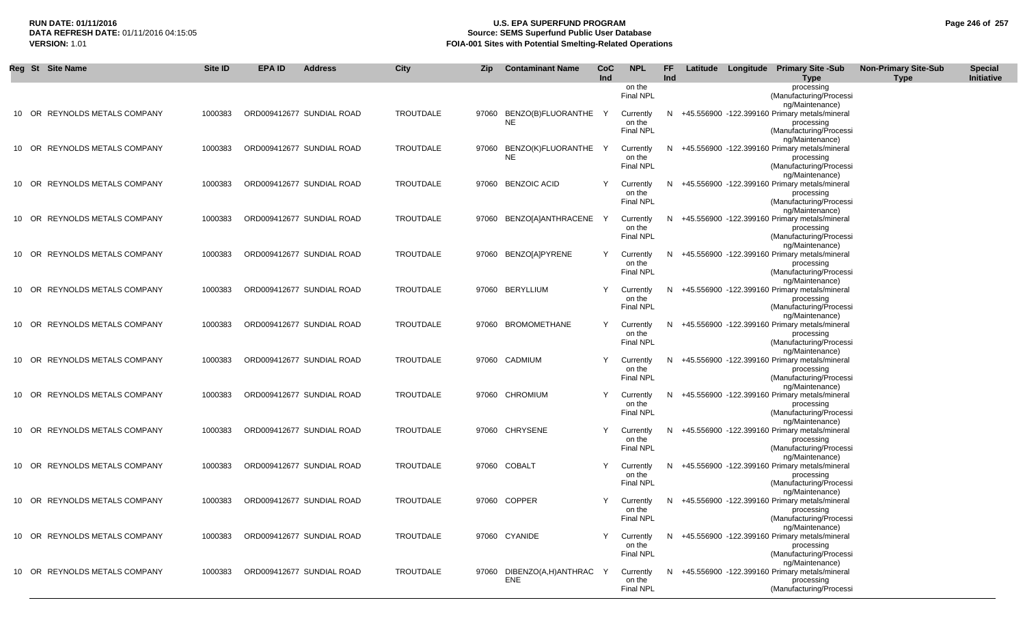## **RUN DATE: 01/11/2016 U.S. EPA SUPERFUND PROGRAM Page 246 of 257 Source: SEMS Superfund Public User Database VERSION:** 1.01 **FOIA-001 Sites with Potential Smelting-Related Operations**

| Reg St Site Name              | Site ID | <b>EPA ID</b> | <b>Address</b>            | <b>City</b>      | Zip | <b>Contaminant Name</b>   | CoC        | <b>NPL</b>                 | FF  |  | Latitude Longitude Primary Site -Sub                               | <b>Non-Primary Site-Sub</b> | <b>Special</b> |
|-------------------------------|---------|---------------|---------------------------|------------------|-----|---------------------------|------------|----------------------------|-----|--|--------------------------------------------------------------------|-----------------------------|----------------|
|                               |         |               |                           |                  |     |                           | <b>Ind</b> | on the                     | Ind |  | <b>Type</b><br>processing                                          | <b>Type</b>                 | Initiative     |
|                               |         |               |                           |                  |     |                           |            | Final NPL                  |     |  | (Manufacturing/Processi                                            |                             |                |
| 10 OR REYNOLDS METALS COMPANY | 1000383 |               | ORD009412677 SUNDIAL ROAD | <b>TROUTDALE</b> |     | 97060 BENZO(B)FLUORANTHE  | Y          | Currently                  | N.  |  | ng/Maintenance)<br>+45.556900 -122.399160 Primary metals/mineral   |                             |                |
|                               |         |               |                           |                  |     | <b>NE</b>                 |            | on the                     |     |  | processing                                                         |                             |                |
|                               |         |               |                           |                  |     |                           |            | Final NPL                  |     |  | (Manufacturing/Processi<br>ng/Maintenance)                         |                             |                |
| 10 OR REYNOLDS METALS COMPANY | 1000383 |               | ORD009412677 SUNDIAL ROAD | <b>TROUTDALE</b> |     | 97060 BENZO(K)FLUORANTHE  | Y          | Currently                  | N   |  | +45.556900 -122.399160 Primary metals/mineral                      |                             |                |
|                               |         |               |                           |                  |     | <b>NE</b>                 |            | on the                     |     |  | processing                                                         |                             |                |
|                               |         |               |                           |                  |     |                           |            | Final NPL                  |     |  | (Manufacturing/Processi<br>ng/Maintenance)                         |                             |                |
| 10 OR REYNOLDS METALS COMPANY | 1000383 |               | ORD009412677 SUNDIAL ROAD | <b>TROUTDALE</b> |     | 97060 BENZOIC ACID        |            | Currently                  | N.  |  | +45.556900 -122.399160 Primary metals/mineral                      |                             |                |
|                               |         |               |                           |                  |     |                           |            | on the<br>Final NPL        |     |  | processing<br>(Manufacturing/Processi                              |                             |                |
|                               |         |               |                           |                  |     |                           |            |                            |     |  | ng/Maintenance)                                                    |                             |                |
| 10 OR REYNOLDS METALS COMPANY | 1000383 |               | ORD009412677 SUNDIAL ROAD | <b>TROUTDALE</b> |     | 97060 BENZO[A]ANTHRACENE  |            | Currently                  | N.  |  | +45.556900 -122.399160 Primary metals/mineral                      |                             |                |
|                               |         |               |                           |                  |     |                           |            | on the<br>Final NPL        |     |  | processing<br>(Manufacturing/Processi                              |                             |                |
|                               |         |               |                           |                  |     |                           |            |                            |     |  | ng/Maintenance)                                                    |                             |                |
| 10 OR REYNOLDS METALS COMPANY | 1000383 |               | ORD009412677 SUNDIAL ROAD | <b>TROUTDALE</b> |     | 97060 BENZO[A]PYRENE      | Y          | Currently<br>on the        | N.  |  | +45.556900 -122.399160 Primary metals/mineral<br>processing        |                             |                |
|                               |         |               |                           |                  |     |                           |            | Final NPL                  |     |  | (Manufacturing/Processi                                            |                             |                |
| 10 OR REYNOLDS METALS COMPANY | 1000383 |               | ORD009412677 SUNDIAL ROAD | <b>TROUTDALE</b> |     | 97060 BERYLLIUM           | Y          |                            | N.  |  | ng/Maintenance)<br>+45.556900 -122.399160 Primary metals/mineral   |                             |                |
|                               |         |               |                           |                  |     |                           |            | Currently<br>on the        |     |  | processing                                                         |                             |                |
|                               |         |               |                           |                  |     |                           |            | Final NPL                  |     |  | (Manufacturing/Processi                                            |                             |                |
| 10 OR REYNOLDS METALS COMPANY | 1000383 |               | ORD009412677 SUNDIAL ROAD | <b>TROUTDALE</b> |     | 97060 BROMOMETHANE        | Y          | Currently                  | N.  |  | ng/Maintenance)<br>+45.556900 -122.399160 Primary metals/mineral   |                             |                |
|                               |         |               |                           |                  |     |                           |            | on the                     |     |  | processing                                                         |                             |                |
|                               |         |               |                           |                  |     |                           |            | Final NPL                  |     |  | (Manufacturing/Processi<br>ng/Maintenance)                         |                             |                |
| 10 OR REYNOLDS METALS COMPANY | 1000383 |               | ORD009412677 SUNDIAL ROAD | TROUTDALE        |     | 97060 CADMIUM             |            | Currently                  | N.  |  | +45.556900 -122.399160 Primary metals/mineral                      |                             |                |
|                               |         |               |                           |                  |     |                           |            | on the                     |     |  | processing                                                         |                             |                |
|                               |         |               |                           |                  |     |                           |            | <b>Final NPL</b>           |     |  | (Manufacturing/Processi<br>ng/Maintenance)                         |                             |                |
| 10 OR REYNOLDS METALS COMPANY | 1000383 |               | ORD009412677 SUNDIAL ROAD | <b>TROUTDALE</b> |     | 97060 CHROMIUM            | Y          | Currently                  | N.  |  | +45.556900 -122.399160 Primary metals/mineral                      |                             |                |
|                               |         |               |                           |                  |     |                           |            | on the<br><b>Final NPL</b> |     |  | processing<br>(Manufacturing/Processi                              |                             |                |
|                               |         |               |                           |                  |     |                           |            |                            |     |  | ng/Maintenance)                                                    |                             |                |
| 10 OR REYNOLDS METALS COMPANY | 1000383 |               | ORD009412677 SUNDIAL ROAD | <b>TROUTDALE</b> |     | 97060 CHRYSENE            |            | Currently                  | N.  |  | +45.556900 -122.399160 Primary metals/mineral                      |                             |                |
|                               |         |               |                           |                  |     |                           |            | on the<br><b>Final NPL</b> |     |  | processing<br>(Manufacturing/Processi                              |                             |                |
|                               |         |               |                           |                  |     |                           |            |                            |     |  | ng/Maintenance)                                                    |                             |                |
| 10 OR REYNOLDS METALS COMPANY | 1000383 |               | ORD009412677 SUNDIAL ROAD | <b>TROUTDALE</b> |     | 97060 COBALT              | Y          | Currently<br>on the        | N.  |  | +45.556900 -122.399160 Primary metals/mineral<br>processing        |                             |                |
|                               |         |               |                           |                  |     |                           |            | Final NPL                  |     |  | (Manufacturing/Processi                                            |                             |                |
| 10 OR REYNOLDS METALS COMPANY | 1000383 |               | ORD009412677 SUNDIAL ROAD | <b>TROUTDALE</b> |     | 97060 COPPER              |            |                            |     |  | ng/Maintenance)<br>+45.556900 -122.399160 Primary metals/mineral   |                             |                |
|                               |         |               |                           |                  |     |                           |            | Currently<br>on the        | N.  |  | processing                                                         |                             |                |
|                               |         |               |                           |                  |     |                           |            | Final NPL                  |     |  | (Manufacturing/Processi                                            |                             |                |
| 10 OR REYNOLDS METALS COMPANY | 1000383 |               | ORD009412677 SUNDIAL ROAD | <b>TROUTDALE</b> |     | 97060 CYANIDE             |            | Currently                  |     |  | ng/Maintenance)<br>N +45.556900 -122.399160 Primary metals/mineral |                             |                |
|                               |         |               |                           |                  |     |                           |            | on the                     |     |  | processing                                                         |                             |                |
|                               |         |               |                           |                  |     |                           |            | Final NPL                  |     |  | (Manufacturing/Processi<br>ng/Maintenance)                         |                             |                |
| 10 OR REYNOLDS METALS COMPANY | 1000383 |               | ORD009412677 SUNDIAL ROAD | TROUTDALE        |     | 97060 DIBENZO(A,H)ANTHRAC | Y          | Currently                  |     |  | N +45.556900 -122.399160 Primary metals/mineral                    |                             |                |
|                               |         |               |                           |                  |     | ENE                       |            | on the                     |     |  | processing                                                         |                             |                |
|                               |         |               |                           |                  |     |                           |            | Final NPL                  |     |  | (Manufacturing/Processi                                            |                             |                |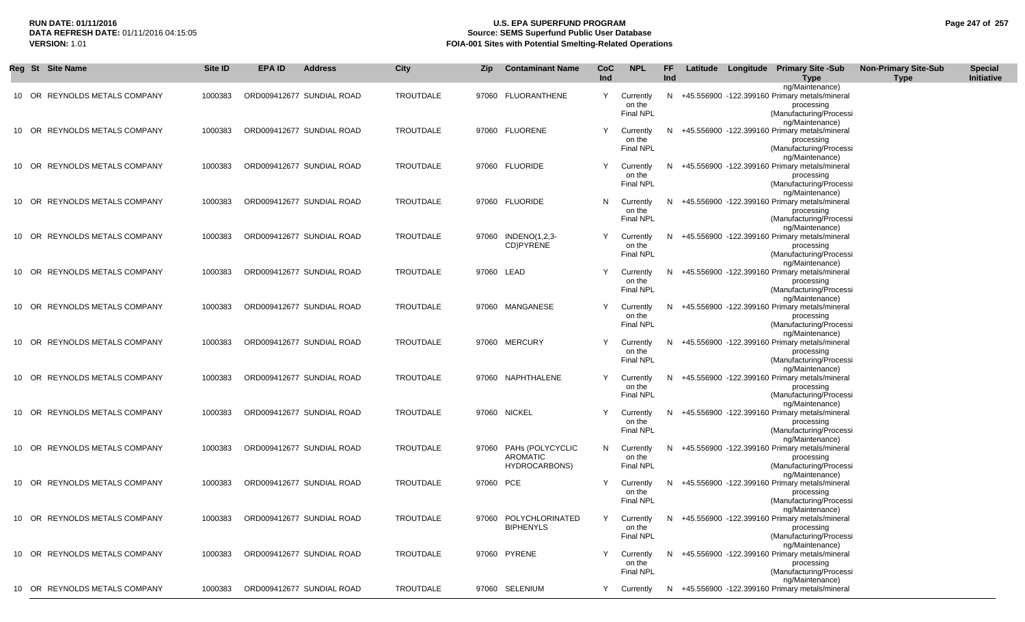## **RUN DATE: 01/11/2016 U.S. EPA SUPERFUND PROGRAM Page 247 of 257 Source: SEMS Superfund Public User Database VERSION:** 1.01 **FOIA-001 Sites with Potential Smelting-Related Operations**

| Initiative<br>Ind<br>Ind<br><b>Type</b><br>Type<br>ng/Maintenance)<br>TROUTDALE<br>10 OR REYNOLDS METALS COMPANY<br>ORD009412677 SUNDIAL ROAD<br>97060 FLUORANTHENE<br>Y<br>Currently<br>N<br>+45.556900 -122.399160 Primary metals/mineral<br>1000383<br>on the<br>processing<br>Final NPL<br>(Manufacturing/Processi<br>ng/Maintenance)<br>TROUTDALE<br>Y<br>+45.556900 -122.399160 Primary metals/mineral<br>10 OR REYNOLDS METALS COMPANY<br>1000383<br>ORD009412677 SUNDIAL ROAD<br>97060 FLUORENE<br>Currently<br>N.<br>on the<br>processing<br><b>Final NPL</b><br>(Manufacturing/Processi<br>ng/Maintenance)<br>10 OR REYNOLDS METALS COMPANY<br>ORD009412677 SUNDIAL ROAD<br>TROUTDALE<br>97060 FLUORIDE<br>+45.556900 -122.399160 Primary metals/mineral<br>1000383<br>Y<br>Currently<br>N.<br>on the<br>processing<br>Final NPL<br>(Manufacturing/Processi<br>ng/Maintenance)<br><b>REYNOLDS METALS COMPANY</b><br>ORD009412677 SUNDIAL ROAD<br>TROUTDALE<br>97060 FLUORIDE<br>+45.556900 -122.399160 Primary metals/mineral<br>10 OR<br>1000383<br>N<br>Currently<br>N<br>on the<br>processing<br><b>Final NPL</b><br>(Manufacturing/Processi<br>ng/Maintenance)<br>97060 INDENO(1,2,3-<br><b>REYNOLDS METALS COMPANY</b><br>1000383<br>ORD009412677 SUNDIAL ROAD<br>TROUTDALE<br>Υ<br>Currently<br>+45.556900 -122.399160 Primary metals/mineral<br>10 OR<br>N<br>CD)PYRENE<br>on the<br>processing<br><b>Final NPL</b><br>(Manufacturing/Processi<br>ng/Maintenance)<br><b>TROUTDALE</b><br>10 OR REYNOLDS METALS COMPANY<br>1000383<br>ORD009412677 SUNDIAL ROAD<br>97060 LEAD<br>Υ<br>Currently<br>+45.556900 -122.399160 Primary metals/mineral<br>N<br>on the<br>processing<br><b>Final NPL</b><br>(Manufacturing/Processi<br>ng/Maintenance)<br>10 OR REYNOLDS METALS COMPANY<br>ORD009412677 SUNDIAL ROAD<br>TROUTDALE<br>97060 MANGANESE<br>Υ<br>Currently<br>+45.556900 -122.399160 Primary metals/mineral<br>1000383<br>N<br>on the<br>processing<br><b>Final NPL</b><br>(Manufacturing/Processi<br>ng/Maintenance)<br><b>TROUTDALE</b><br>10 OR REYNOLDS METALS COMPANY<br>ORD009412677 SUNDIAL ROAD<br>97060 MERCURY<br>Υ<br>+45.556900 -122.399160 Primary metals/mineral<br>1000383<br>Currently<br>N<br>on the<br>processing<br><b>Final NPL</b><br>(Manufacturing/Processi<br>ng/Maintenance)<br><b>TROUTDALE</b><br>97060 NAPHTHALENE<br>10 OR REYNOLDS METALS COMPANY<br>1000383<br>ORD009412677 SUNDIAL ROAD<br>Υ<br>+45.556900 -122.399160 Primary metals/mineral<br>Currently<br>N<br>on the<br>processing<br><b>Final NPL</b><br>(Manufacturing/Processi<br>ng/Maintenance)<br>TROUTDALE<br>10 OR REYNOLDS METALS COMPANY<br>ORD009412677 SUNDIAL ROAD<br>97060 NICKEL<br>Υ<br>+45.556900 -122.399160 Primary metals/mineral<br>1000383<br>Currently<br>N<br>on the<br>processing<br><b>Final NPL</b><br>(Manufacturing/Processi<br>ng/Maintenance)<br>10 OR REYNOLDS METALS COMPANY<br>ORD009412677 SUNDIAL ROAD<br>TROUTDALE<br>97060 PAHs (POLYCYCLIC<br>N<br>+45.556900 -122.399160 Primary metals/mineral<br>1000383<br>Currently<br>N.<br><b>AROMATIC</b><br>on the<br>processing<br><b>Final NPL</b><br>(Manufacturing/Processi<br>HYDROCARBONS)<br>ng/Maintenance)<br>10 OR REYNOLDS METALS COMPANY<br>ORD009412677 SUNDIAL ROAD<br>TROUTDALE<br>97060 PCE<br>Υ<br>+45.556900 -122.399160 Primary metals/mineral<br>1000383<br>Currently<br>N.<br>on the<br>processing<br><b>Final NPL</b><br>(Manufacturing/Processi<br>ng/Maintenance)<br>10 OR REYNOLDS METALS COMPANY<br>TROUTDALE<br>97060 POLYCHLORINATED<br>1000383<br>ORD009412677 SUNDIAL ROAD<br>Y<br>Currently<br>N +45.556900 -122.399160 Primary metals/mineral<br><b>BIPHENYLS</b><br>processing<br>on the<br><b>Final NPL</b><br>(Manufacturing/Processi<br>ng/Maintenance)<br>TROUTDALE<br>97060 PYRENE<br>+45.556900 -122.399160 Primary metals/mineral<br>10 OR REYNOLDS METALS COMPANY<br>1000383<br>ORD009412677 SUNDIAL ROAD<br>Y<br>Currently<br>N.<br>on the<br>processing<br><b>Final NPL</b><br>(Manufacturing/Processi<br>ng/Maintenance)<br>10 OR REYNOLDS METALS COMPANY<br>TROUTDALE<br>97060 SELENIUM<br>Y<br>N +45.556900 -122.399160 Primary metals/mineral<br>1000383<br>ORD009412677 SUNDIAL ROAD<br>Currently | Reg St Site Name | Site ID | <b>EPA ID</b> | <b>Address</b> | City | <b>Zip</b> | <b>Contaminant Name</b> | CoC | <b>NPL</b> | FF |  | Latitude Longitude Primary Site -Sub | <b>Non-Primary Site-Sub</b> | <b>Special</b> |
|---------------------------------------------------------------------------------------------------------------------------------------------------------------------------------------------------------------------------------------------------------------------------------------------------------------------------------------------------------------------------------------------------------------------------------------------------------------------------------------------------------------------------------------------------------------------------------------------------------------------------------------------------------------------------------------------------------------------------------------------------------------------------------------------------------------------------------------------------------------------------------------------------------------------------------------------------------------------------------------------------------------------------------------------------------------------------------------------------------------------------------------------------------------------------------------------------------------------------------------------------------------------------------------------------------------------------------------------------------------------------------------------------------------------------------------------------------------------------------------------------------------------------------------------------------------------------------------------------------------------------------------------------------------------------------------------------------------------------------------------------------------------------------------------------------------------------------------------------------------------------------------------------------------------------------------------------------------------------------------------------------------------------------------------------------------------------------------------------------------------------------------------------------------------------------------------------------------------------------------------------------------------------------------------------------------------------------------------------------------------------------------------------------------------------------------------------------------------------------------------------------------------------------------------------------------------------------------------------------------------------------------------------------------------------------------------------------------------------------------------------------------------------------------------------------------------------------------------------------------------------------------------------------------------------------------------------------------------------------------------------------------------------------------------------------------------------------------------------------------------------------------------------------------------------------------------------------------------------------------------------------------------------------------------------------------------------------------------------------------------------------------------------------------------------------------------------------------------------------------------------------------------------------------------------------------------------------------------------------------------------------------------------------------------------------------------------------------------------------------------------------------------------------------------------------------------------------------------------------------------------------------------------------------------------------------------------------------------------------------------------------------------------------------------------------------------------------------------------------------------------------------------------------------------------------------------------------------------------------------------|------------------|---------|---------------|----------------|------|------------|-------------------------|-----|------------|----|--|--------------------------------------|-----------------------------|----------------|
|                                                                                                                                                                                                                                                                                                                                                                                                                                                                                                                                                                                                                                                                                                                                                                                                                                                                                                                                                                                                                                                                                                                                                                                                                                                                                                                                                                                                                                                                                                                                                                                                                                                                                                                                                                                                                                                                                                                                                                                                                                                                                                                                                                                                                                                                                                                                                                                                                                                                                                                                                                                                                                                                                                                                                                                                                                                                                                                                                                                                                                                                                                                                                                                                                                                                                                                                                                                                                                                                                                                                                                                                                                                                                                                                                                                                                                                                                                                                                                                                                                                                                                                                                                                                                                             |                  |         |               |                |      |            |                         |     |            |    |  |                                      |                             |                |
|                                                                                                                                                                                                                                                                                                                                                                                                                                                                                                                                                                                                                                                                                                                                                                                                                                                                                                                                                                                                                                                                                                                                                                                                                                                                                                                                                                                                                                                                                                                                                                                                                                                                                                                                                                                                                                                                                                                                                                                                                                                                                                                                                                                                                                                                                                                                                                                                                                                                                                                                                                                                                                                                                                                                                                                                                                                                                                                                                                                                                                                                                                                                                                                                                                                                                                                                                                                                                                                                                                                                                                                                                                                                                                                                                                                                                                                                                                                                                                                                                                                                                                                                                                                                                                             |                  |         |               |                |      |            |                         |     |            |    |  |                                      |                             |                |
|                                                                                                                                                                                                                                                                                                                                                                                                                                                                                                                                                                                                                                                                                                                                                                                                                                                                                                                                                                                                                                                                                                                                                                                                                                                                                                                                                                                                                                                                                                                                                                                                                                                                                                                                                                                                                                                                                                                                                                                                                                                                                                                                                                                                                                                                                                                                                                                                                                                                                                                                                                                                                                                                                                                                                                                                                                                                                                                                                                                                                                                                                                                                                                                                                                                                                                                                                                                                                                                                                                                                                                                                                                                                                                                                                                                                                                                                                                                                                                                                                                                                                                                                                                                                                                             |                  |         |               |                |      |            |                         |     |            |    |  |                                      |                             |                |
|                                                                                                                                                                                                                                                                                                                                                                                                                                                                                                                                                                                                                                                                                                                                                                                                                                                                                                                                                                                                                                                                                                                                                                                                                                                                                                                                                                                                                                                                                                                                                                                                                                                                                                                                                                                                                                                                                                                                                                                                                                                                                                                                                                                                                                                                                                                                                                                                                                                                                                                                                                                                                                                                                                                                                                                                                                                                                                                                                                                                                                                                                                                                                                                                                                                                                                                                                                                                                                                                                                                                                                                                                                                                                                                                                                                                                                                                                                                                                                                                                                                                                                                                                                                                                                             |                  |         |               |                |      |            |                         |     |            |    |  |                                      |                             |                |
|                                                                                                                                                                                                                                                                                                                                                                                                                                                                                                                                                                                                                                                                                                                                                                                                                                                                                                                                                                                                                                                                                                                                                                                                                                                                                                                                                                                                                                                                                                                                                                                                                                                                                                                                                                                                                                                                                                                                                                                                                                                                                                                                                                                                                                                                                                                                                                                                                                                                                                                                                                                                                                                                                                                                                                                                                                                                                                                                                                                                                                                                                                                                                                                                                                                                                                                                                                                                                                                                                                                                                                                                                                                                                                                                                                                                                                                                                                                                                                                                                                                                                                                                                                                                                                             |                  |         |               |                |      |            |                         |     |            |    |  |                                      |                             |                |
|                                                                                                                                                                                                                                                                                                                                                                                                                                                                                                                                                                                                                                                                                                                                                                                                                                                                                                                                                                                                                                                                                                                                                                                                                                                                                                                                                                                                                                                                                                                                                                                                                                                                                                                                                                                                                                                                                                                                                                                                                                                                                                                                                                                                                                                                                                                                                                                                                                                                                                                                                                                                                                                                                                                                                                                                                                                                                                                                                                                                                                                                                                                                                                                                                                                                                                                                                                                                                                                                                                                                                                                                                                                                                                                                                                                                                                                                                                                                                                                                                                                                                                                                                                                                                                             |                  |         |               |                |      |            |                         |     |            |    |  |                                      |                             |                |
|                                                                                                                                                                                                                                                                                                                                                                                                                                                                                                                                                                                                                                                                                                                                                                                                                                                                                                                                                                                                                                                                                                                                                                                                                                                                                                                                                                                                                                                                                                                                                                                                                                                                                                                                                                                                                                                                                                                                                                                                                                                                                                                                                                                                                                                                                                                                                                                                                                                                                                                                                                                                                                                                                                                                                                                                                                                                                                                                                                                                                                                                                                                                                                                                                                                                                                                                                                                                                                                                                                                                                                                                                                                                                                                                                                                                                                                                                                                                                                                                                                                                                                                                                                                                                                             |                  |         |               |                |      |            |                         |     |            |    |  |                                      |                             |                |
|                                                                                                                                                                                                                                                                                                                                                                                                                                                                                                                                                                                                                                                                                                                                                                                                                                                                                                                                                                                                                                                                                                                                                                                                                                                                                                                                                                                                                                                                                                                                                                                                                                                                                                                                                                                                                                                                                                                                                                                                                                                                                                                                                                                                                                                                                                                                                                                                                                                                                                                                                                                                                                                                                                                                                                                                                                                                                                                                                                                                                                                                                                                                                                                                                                                                                                                                                                                                                                                                                                                                                                                                                                                                                                                                                                                                                                                                                                                                                                                                                                                                                                                                                                                                                                             |                  |         |               |                |      |            |                         |     |            |    |  |                                      |                             |                |
|                                                                                                                                                                                                                                                                                                                                                                                                                                                                                                                                                                                                                                                                                                                                                                                                                                                                                                                                                                                                                                                                                                                                                                                                                                                                                                                                                                                                                                                                                                                                                                                                                                                                                                                                                                                                                                                                                                                                                                                                                                                                                                                                                                                                                                                                                                                                                                                                                                                                                                                                                                                                                                                                                                                                                                                                                                                                                                                                                                                                                                                                                                                                                                                                                                                                                                                                                                                                                                                                                                                                                                                                                                                                                                                                                                                                                                                                                                                                                                                                                                                                                                                                                                                                                                             |                  |         |               |                |      |            |                         |     |            |    |  |                                      |                             |                |
|                                                                                                                                                                                                                                                                                                                                                                                                                                                                                                                                                                                                                                                                                                                                                                                                                                                                                                                                                                                                                                                                                                                                                                                                                                                                                                                                                                                                                                                                                                                                                                                                                                                                                                                                                                                                                                                                                                                                                                                                                                                                                                                                                                                                                                                                                                                                                                                                                                                                                                                                                                                                                                                                                                                                                                                                                                                                                                                                                                                                                                                                                                                                                                                                                                                                                                                                                                                                                                                                                                                                                                                                                                                                                                                                                                                                                                                                                                                                                                                                                                                                                                                                                                                                                                             |                  |         |               |                |      |            |                         |     |            |    |  |                                      |                             |                |
|                                                                                                                                                                                                                                                                                                                                                                                                                                                                                                                                                                                                                                                                                                                                                                                                                                                                                                                                                                                                                                                                                                                                                                                                                                                                                                                                                                                                                                                                                                                                                                                                                                                                                                                                                                                                                                                                                                                                                                                                                                                                                                                                                                                                                                                                                                                                                                                                                                                                                                                                                                                                                                                                                                                                                                                                                                                                                                                                                                                                                                                                                                                                                                                                                                                                                                                                                                                                                                                                                                                                                                                                                                                                                                                                                                                                                                                                                                                                                                                                                                                                                                                                                                                                                                             |                  |         |               |                |      |            |                         |     |            |    |  |                                      |                             |                |
|                                                                                                                                                                                                                                                                                                                                                                                                                                                                                                                                                                                                                                                                                                                                                                                                                                                                                                                                                                                                                                                                                                                                                                                                                                                                                                                                                                                                                                                                                                                                                                                                                                                                                                                                                                                                                                                                                                                                                                                                                                                                                                                                                                                                                                                                                                                                                                                                                                                                                                                                                                                                                                                                                                                                                                                                                                                                                                                                                                                                                                                                                                                                                                                                                                                                                                                                                                                                                                                                                                                                                                                                                                                                                                                                                                                                                                                                                                                                                                                                                                                                                                                                                                                                                                             |                  |         |               |                |      |            |                         |     |            |    |  |                                      |                             |                |
|                                                                                                                                                                                                                                                                                                                                                                                                                                                                                                                                                                                                                                                                                                                                                                                                                                                                                                                                                                                                                                                                                                                                                                                                                                                                                                                                                                                                                                                                                                                                                                                                                                                                                                                                                                                                                                                                                                                                                                                                                                                                                                                                                                                                                                                                                                                                                                                                                                                                                                                                                                                                                                                                                                                                                                                                                                                                                                                                                                                                                                                                                                                                                                                                                                                                                                                                                                                                                                                                                                                                                                                                                                                                                                                                                                                                                                                                                                                                                                                                                                                                                                                                                                                                                                             |                  |         |               |                |      |            |                         |     |            |    |  |                                      |                             |                |
|                                                                                                                                                                                                                                                                                                                                                                                                                                                                                                                                                                                                                                                                                                                                                                                                                                                                                                                                                                                                                                                                                                                                                                                                                                                                                                                                                                                                                                                                                                                                                                                                                                                                                                                                                                                                                                                                                                                                                                                                                                                                                                                                                                                                                                                                                                                                                                                                                                                                                                                                                                                                                                                                                                                                                                                                                                                                                                                                                                                                                                                                                                                                                                                                                                                                                                                                                                                                                                                                                                                                                                                                                                                                                                                                                                                                                                                                                                                                                                                                                                                                                                                                                                                                                                             |                  |         |               |                |      |            |                         |     |            |    |  |                                      |                             |                |
|                                                                                                                                                                                                                                                                                                                                                                                                                                                                                                                                                                                                                                                                                                                                                                                                                                                                                                                                                                                                                                                                                                                                                                                                                                                                                                                                                                                                                                                                                                                                                                                                                                                                                                                                                                                                                                                                                                                                                                                                                                                                                                                                                                                                                                                                                                                                                                                                                                                                                                                                                                                                                                                                                                                                                                                                                                                                                                                                                                                                                                                                                                                                                                                                                                                                                                                                                                                                                                                                                                                                                                                                                                                                                                                                                                                                                                                                                                                                                                                                                                                                                                                                                                                                                                             |                  |         |               |                |      |            |                         |     |            |    |  |                                      |                             |                |
|                                                                                                                                                                                                                                                                                                                                                                                                                                                                                                                                                                                                                                                                                                                                                                                                                                                                                                                                                                                                                                                                                                                                                                                                                                                                                                                                                                                                                                                                                                                                                                                                                                                                                                                                                                                                                                                                                                                                                                                                                                                                                                                                                                                                                                                                                                                                                                                                                                                                                                                                                                                                                                                                                                                                                                                                                                                                                                                                                                                                                                                                                                                                                                                                                                                                                                                                                                                                                                                                                                                                                                                                                                                                                                                                                                                                                                                                                                                                                                                                                                                                                                                                                                                                                                             |                  |         |               |                |      |            |                         |     |            |    |  |                                      |                             |                |
|                                                                                                                                                                                                                                                                                                                                                                                                                                                                                                                                                                                                                                                                                                                                                                                                                                                                                                                                                                                                                                                                                                                                                                                                                                                                                                                                                                                                                                                                                                                                                                                                                                                                                                                                                                                                                                                                                                                                                                                                                                                                                                                                                                                                                                                                                                                                                                                                                                                                                                                                                                                                                                                                                                                                                                                                                                                                                                                                                                                                                                                                                                                                                                                                                                                                                                                                                                                                                                                                                                                                                                                                                                                                                                                                                                                                                                                                                                                                                                                                                                                                                                                                                                                                                                             |                  |         |               |                |      |            |                         |     |            |    |  |                                      |                             |                |
|                                                                                                                                                                                                                                                                                                                                                                                                                                                                                                                                                                                                                                                                                                                                                                                                                                                                                                                                                                                                                                                                                                                                                                                                                                                                                                                                                                                                                                                                                                                                                                                                                                                                                                                                                                                                                                                                                                                                                                                                                                                                                                                                                                                                                                                                                                                                                                                                                                                                                                                                                                                                                                                                                                                                                                                                                                                                                                                                                                                                                                                                                                                                                                                                                                                                                                                                                                                                                                                                                                                                                                                                                                                                                                                                                                                                                                                                                                                                                                                                                                                                                                                                                                                                                                             |                  |         |               |                |      |            |                         |     |            |    |  |                                      |                             |                |
|                                                                                                                                                                                                                                                                                                                                                                                                                                                                                                                                                                                                                                                                                                                                                                                                                                                                                                                                                                                                                                                                                                                                                                                                                                                                                                                                                                                                                                                                                                                                                                                                                                                                                                                                                                                                                                                                                                                                                                                                                                                                                                                                                                                                                                                                                                                                                                                                                                                                                                                                                                                                                                                                                                                                                                                                                                                                                                                                                                                                                                                                                                                                                                                                                                                                                                                                                                                                                                                                                                                                                                                                                                                                                                                                                                                                                                                                                                                                                                                                                                                                                                                                                                                                                                             |                  |         |               |                |      |            |                         |     |            |    |  |                                      |                             |                |
|                                                                                                                                                                                                                                                                                                                                                                                                                                                                                                                                                                                                                                                                                                                                                                                                                                                                                                                                                                                                                                                                                                                                                                                                                                                                                                                                                                                                                                                                                                                                                                                                                                                                                                                                                                                                                                                                                                                                                                                                                                                                                                                                                                                                                                                                                                                                                                                                                                                                                                                                                                                                                                                                                                                                                                                                                                                                                                                                                                                                                                                                                                                                                                                                                                                                                                                                                                                                                                                                                                                                                                                                                                                                                                                                                                                                                                                                                                                                                                                                                                                                                                                                                                                                                                             |                  |         |               |                |      |            |                         |     |            |    |  |                                      |                             |                |
|                                                                                                                                                                                                                                                                                                                                                                                                                                                                                                                                                                                                                                                                                                                                                                                                                                                                                                                                                                                                                                                                                                                                                                                                                                                                                                                                                                                                                                                                                                                                                                                                                                                                                                                                                                                                                                                                                                                                                                                                                                                                                                                                                                                                                                                                                                                                                                                                                                                                                                                                                                                                                                                                                                                                                                                                                                                                                                                                                                                                                                                                                                                                                                                                                                                                                                                                                                                                                                                                                                                                                                                                                                                                                                                                                                                                                                                                                                                                                                                                                                                                                                                                                                                                                                             |                  |         |               |                |      |            |                         |     |            |    |  |                                      |                             |                |
|                                                                                                                                                                                                                                                                                                                                                                                                                                                                                                                                                                                                                                                                                                                                                                                                                                                                                                                                                                                                                                                                                                                                                                                                                                                                                                                                                                                                                                                                                                                                                                                                                                                                                                                                                                                                                                                                                                                                                                                                                                                                                                                                                                                                                                                                                                                                                                                                                                                                                                                                                                                                                                                                                                                                                                                                                                                                                                                                                                                                                                                                                                                                                                                                                                                                                                                                                                                                                                                                                                                                                                                                                                                                                                                                                                                                                                                                                                                                                                                                                                                                                                                                                                                                                                             |                  |         |               |                |      |            |                         |     |            |    |  |                                      |                             |                |
|                                                                                                                                                                                                                                                                                                                                                                                                                                                                                                                                                                                                                                                                                                                                                                                                                                                                                                                                                                                                                                                                                                                                                                                                                                                                                                                                                                                                                                                                                                                                                                                                                                                                                                                                                                                                                                                                                                                                                                                                                                                                                                                                                                                                                                                                                                                                                                                                                                                                                                                                                                                                                                                                                                                                                                                                                                                                                                                                                                                                                                                                                                                                                                                                                                                                                                                                                                                                                                                                                                                                                                                                                                                                                                                                                                                                                                                                                                                                                                                                                                                                                                                                                                                                                                             |                  |         |               |                |      |            |                         |     |            |    |  |                                      |                             |                |
|                                                                                                                                                                                                                                                                                                                                                                                                                                                                                                                                                                                                                                                                                                                                                                                                                                                                                                                                                                                                                                                                                                                                                                                                                                                                                                                                                                                                                                                                                                                                                                                                                                                                                                                                                                                                                                                                                                                                                                                                                                                                                                                                                                                                                                                                                                                                                                                                                                                                                                                                                                                                                                                                                                                                                                                                                                                                                                                                                                                                                                                                                                                                                                                                                                                                                                                                                                                                                                                                                                                                                                                                                                                                                                                                                                                                                                                                                                                                                                                                                                                                                                                                                                                                                                             |                  |         |               |                |      |            |                         |     |            |    |  |                                      |                             |                |
|                                                                                                                                                                                                                                                                                                                                                                                                                                                                                                                                                                                                                                                                                                                                                                                                                                                                                                                                                                                                                                                                                                                                                                                                                                                                                                                                                                                                                                                                                                                                                                                                                                                                                                                                                                                                                                                                                                                                                                                                                                                                                                                                                                                                                                                                                                                                                                                                                                                                                                                                                                                                                                                                                                                                                                                                                                                                                                                                                                                                                                                                                                                                                                                                                                                                                                                                                                                                                                                                                                                                                                                                                                                                                                                                                                                                                                                                                                                                                                                                                                                                                                                                                                                                                                             |                  |         |               |                |      |            |                         |     |            |    |  |                                      |                             |                |
|                                                                                                                                                                                                                                                                                                                                                                                                                                                                                                                                                                                                                                                                                                                                                                                                                                                                                                                                                                                                                                                                                                                                                                                                                                                                                                                                                                                                                                                                                                                                                                                                                                                                                                                                                                                                                                                                                                                                                                                                                                                                                                                                                                                                                                                                                                                                                                                                                                                                                                                                                                                                                                                                                                                                                                                                                                                                                                                                                                                                                                                                                                                                                                                                                                                                                                                                                                                                                                                                                                                                                                                                                                                                                                                                                                                                                                                                                                                                                                                                                                                                                                                                                                                                                                             |                  |         |               |                |      |            |                         |     |            |    |  |                                      |                             |                |
|                                                                                                                                                                                                                                                                                                                                                                                                                                                                                                                                                                                                                                                                                                                                                                                                                                                                                                                                                                                                                                                                                                                                                                                                                                                                                                                                                                                                                                                                                                                                                                                                                                                                                                                                                                                                                                                                                                                                                                                                                                                                                                                                                                                                                                                                                                                                                                                                                                                                                                                                                                                                                                                                                                                                                                                                                                                                                                                                                                                                                                                                                                                                                                                                                                                                                                                                                                                                                                                                                                                                                                                                                                                                                                                                                                                                                                                                                                                                                                                                                                                                                                                                                                                                                                             |                  |         |               |                |      |            |                         |     |            |    |  |                                      |                             |                |
|                                                                                                                                                                                                                                                                                                                                                                                                                                                                                                                                                                                                                                                                                                                                                                                                                                                                                                                                                                                                                                                                                                                                                                                                                                                                                                                                                                                                                                                                                                                                                                                                                                                                                                                                                                                                                                                                                                                                                                                                                                                                                                                                                                                                                                                                                                                                                                                                                                                                                                                                                                                                                                                                                                                                                                                                                                                                                                                                                                                                                                                                                                                                                                                                                                                                                                                                                                                                                                                                                                                                                                                                                                                                                                                                                                                                                                                                                                                                                                                                                                                                                                                                                                                                                                             |                  |         |               |                |      |            |                         |     |            |    |  |                                      |                             |                |
|                                                                                                                                                                                                                                                                                                                                                                                                                                                                                                                                                                                                                                                                                                                                                                                                                                                                                                                                                                                                                                                                                                                                                                                                                                                                                                                                                                                                                                                                                                                                                                                                                                                                                                                                                                                                                                                                                                                                                                                                                                                                                                                                                                                                                                                                                                                                                                                                                                                                                                                                                                                                                                                                                                                                                                                                                                                                                                                                                                                                                                                                                                                                                                                                                                                                                                                                                                                                                                                                                                                                                                                                                                                                                                                                                                                                                                                                                                                                                                                                                                                                                                                                                                                                                                             |                  |         |               |                |      |            |                         |     |            |    |  |                                      |                             |                |
|                                                                                                                                                                                                                                                                                                                                                                                                                                                                                                                                                                                                                                                                                                                                                                                                                                                                                                                                                                                                                                                                                                                                                                                                                                                                                                                                                                                                                                                                                                                                                                                                                                                                                                                                                                                                                                                                                                                                                                                                                                                                                                                                                                                                                                                                                                                                                                                                                                                                                                                                                                                                                                                                                                                                                                                                                                                                                                                                                                                                                                                                                                                                                                                                                                                                                                                                                                                                                                                                                                                                                                                                                                                                                                                                                                                                                                                                                                                                                                                                                                                                                                                                                                                                                                             |                  |         |               |                |      |            |                         |     |            |    |  |                                      |                             |                |
|                                                                                                                                                                                                                                                                                                                                                                                                                                                                                                                                                                                                                                                                                                                                                                                                                                                                                                                                                                                                                                                                                                                                                                                                                                                                                                                                                                                                                                                                                                                                                                                                                                                                                                                                                                                                                                                                                                                                                                                                                                                                                                                                                                                                                                                                                                                                                                                                                                                                                                                                                                                                                                                                                                                                                                                                                                                                                                                                                                                                                                                                                                                                                                                                                                                                                                                                                                                                                                                                                                                                                                                                                                                                                                                                                                                                                                                                                                                                                                                                                                                                                                                                                                                                                                             |                  |         |               |                |      |            |                         |     |            |    |  |                                      |                             |                |
|                                                                                                                                                                                                                                                                                                                                                                                                                                                                                                                                                                                                                                                                                                                                                                                                                                                                                                                                                                                                                                                                                                                                                                                                                                                                                                                                                                                                                                                                                                                                                                                                                                                                                                                                                                                                                                                                                                                                                                                                                                                                                                                                                                                                                                                                                                                                                                                                                                                                                                                                                                                                                                                                                                                                                                                                                                                                                                                                                                                                                                                                                                                                                                                                                                                                                                                                                                                                                                                                                                                                                                                                                                                                                                                                                                                                                                                                                                                                                                                                                                                                                                                                                                                                                                             |                  |         |               |                |      |            |                         |     |            |    |  |                                      |                             |                |
|                                                                                                                                                                                                                                                                                                                                                                                                                                                                                                                                                                                                                                                                                                                                                                                                                                                                                                                                                                                                                                                                                                                                                                                                                                                                                                                                                                                                                                                                                                                                                                                                                                                                                                                                                                                                                                                                                                                                                                                                                                                                                                                                                                                                                                                                                                                                                                                                                                                                                                                                                                                                                                                                                                                                                                                                                                                                                                                                                                                                                                                                                                                                                                                                                                                                                                                                                                                                                                                                                                                                                                                                                                                                                                                                                                                                                                                                                                                                                                                                                                                                                                                                                                                                                                             |                  |         |               |                |      |            |                         |     |            |    |  |                                      |                             |                |
|                                                                                                                                                                                                                                                                                                                                                                                                                                                                                                                                                                                                                                                                                                                                                                                                                                                                                                                                                                                                                                                                                                                                                                                                                                                                                                                                                                                                                                                                                                                                                                                                                                                                                                                                                                                                                                                                                                                                                                                                                                                                                                                                                                                                                                                                                                                                                                                                                                                                                                                                                                                                                                                                                                                                                                                                                                                                                                                                                                                                                                                                                                                                                                                                                                                                                                                                                                                                                                                                                                                                                                                                                                                                                                                                                                                                                                                                                                                                                                                                                                                                                                                                                                                                                                             |                  |         |               |                |      |            |                         |     |            |    |  |                                      |                             |                |
|                                                                                                                                                                                                                                                                                                                                                                                                                                                                                                                                                                                                                                                                                                                                                                                                                                                                                                                                                                                                                                                                                                                                                                                                                                                                                                                                                                                                                                                                                                                                                                                                                                                                                                                                                                                                                                                                                                                                                                                                                                                                                                                                                                                                                                                                                                                                                                                                                                                                                                                                                                                                                                                                                                                                                                                                                                                                                                                                                                                                                                                                                                                                                                                                                                                                                                                                                                                                                                                                                                                                                                                                                                                                                                                                                                                                                                                                                                                                                                                                                                                                                                                                                                                                                                             |                  |         |               |                |      |            |                         |     |            |    |  |                                      |                             |                |
|                                                                                                                                                                                                                                                                                                                                                                                                                                                                                                                                                                                                                                                                                                                                                                                                                                                                                                                                                                                                                                                                                                                                                                                                                                                                                                                                                                                                                                                                                                                                                                                                                                                                                                                                                                                                                                                                                                                                                                                                                                                                                                                                                                                                                                                                                                                                                                                                                                                                                                                                                                                                                                                                                                                                                                                                                                                                                                                                                                                                                                                                                                                                                                                                                                                                                                                                                                                                                                                                                                                                                                                                                                                                                                                                                                                                                                                                                                                                                                                                                                                                                                                                                                                                                                             |                  |         |               |                |      |            |                         |     |            |    |  |                                      |                             |                |
|                                                                                                                                                                                                                                                                                                                                                                                                                                                                                                                                                                                                                                                                                                                                                                                                                                                                                                                                                                                                                                                                                                                                                                                                                                                                                                                                                                                                                                                                                                                                                                                                                                                                                                                                                                                                                                                                                                                                                                                                                                                                                                                                                                                                                                                                                                                                                                                                                                                                                                                                                                                                                                                                                                                                                                                                                                                                                                                                                                                                                                                                                                                                                                                                                                                                                                                                                                                                                                                                                                                                                                                                                                                                                                                                                                                                                                                                                                                                                                                                                                                                                                                                                                                                                                             |                  |         |               |                |      |            |                         |     |            |    |  |                                      |                             |                |
|                                                                                                                                                                                                                                                                                                                                                                                                                                                                                                                                                                                                                                                                                                                                                                                                                                                                                                                                                                                                                                                                                                                                                                                                                                                                                                                                                                                                                                                                                                                                                                                                                                                                                                                                                                                                                                                                                                                                                                                                                                                                                                                                                                                                                                                                                                                                                                                                                                                                                                                                                                                                                                                                                                                                                                                                                                                                                                                                                                                                                                                                                                                                                                                                                                                                                                                                                                                                                                                                                                                                                                                                                                                                                                                                                                                                                                                                                                                                                                                                                                                                                                                                                                                                                                             |                  |         |               |                |      |            |                         |     |            |    |  |                                      |                             |                |
|                                                                                                                                                                                                                                                                                                                                                                                                                                                                                                                                                                                                                                                                                                                                                                                                                                                                                                                                                                                                                                                                                                                                                                                                                                                                                                                                                                                                                                                                                                                                                                                                                                                                                                                                                                                                                                                                                                                                                                                                                                                                                                                                                                                                                                                                                                                                                                                                                                                                                                                                                                                                                                                                                                                                                                                                                                                                                                                                                                                                                                                                                                                                                                                                                                                                                                                                                                                                                                                                                                                                                                                                                                                                                                                                                                                                                                                                                                                                                                                                                                                                                                                                                                                                                                             |                  |         |               |                |      |            |                         |     |            |    |  |                                      |                             |                |
|                                                                                                                                                                                                                                                                                                                                                                                                                                                                                                                                                                                                                                                                                                                                                                                                                                                                                                                                                                                                                                                                                                                                                                                                                                                                                                                                                                                                                                                                                                                                                                                                                                                                                                                                                                                                                                                                                                                                                                                                                                                                                                                                                                                                                                                                                                                                                                                                                                                                                                                                                                                                                                                                                                                                                                                                                                                                                                                                                                                                                                                                                                                                                                                                                                                                                                                                                                                                                                                                                                                                                                                                                                                                                                                                                                                                                                                                                                                                                                                                                                                                                                                                                                                                                                             |                  |         |               |                |      |            |                         |     |            |    |  |                                      |                             |                |
|                                                                                                                                                                                                                                                                                                                                                                                                                                                                                                                                                                                                                                                                                                                                                                                                                                                                                                                                                                                                                                                                                                                                                                                                                                                                                                                                                                                                                                                                                                                                                                                                                                                                                                                                                                                                                                                                                                                                                                                                                                                                                                                                                                                                                                                                                                                                                                                                                                                                                                                                                                                                                                                                                                                                                                                                                                                                                                                                                                                                                                                                                                                                                                                                                                                                                                                                                                                                                                                                                                                                                                                                                                                                                                                                                                                                                                                                                                                                                                                                                                                                                                                                                                                                                                             |                  |         |               |                |      |            |                         |     |            |    |  |                                      |                             |                |
|                                                                                                                                                                                                                                                                                                                                                                                                                                                                                                                                                                                                                                                                                                                                                                                                                                                                                                                                                                                                                                                                                                                                                                                                                                                                                                                                                                                                                                                                                                                                                                                                                                                                                                                                                                                                                                                                                                                                                                                                                                                                                                                                                                                                                                                                                                                                                                                                                                                                                                                                                                                                                                                                                                                                                                                                                                                                                                                                                                                                                                                                                                                                                                                                                                                                                                                                                                                                                                                                                                                                                                                                                                                                                                                                                                                                                                                                                                                                                                                                                                                                                                                                                                                                                                             |                  |         |               |                |      |            |                         |     |            |    |  |                                      |                             |                |
|                                                                                                                                                                                                                                                                                                                                                                                                                                                                                                                                                                                                                                                                                                                                                                                                                                                                                                                                                                                                                                                                                                                                                                                                                                                                                                                                                                                                                                                                                                                                                                                                                                                                                                                                                                                                                                                                                                                                                                                                                                                                                                                                                                                                                                                                                                                                                                                                                                                                                                                                                                                                                                                                                                                                                                                                                                                                                                                                                                                                                                                                                                                                                                                                                                                                                                                                                                                                                                                                                                                                                                                                                                                                                                                                                                                                                                                                                                                                                                                                                                                                                                                                                                                                                                             |                  |         |               |                |      |            |                         |     |            |    |  |                                      |                             |                |
|                                                                                                                                                                                                                                                                                                                                                                                                                                                                                                                                                                                                                                                                                                                                                                                                                                                                                                                                                                                                                                                                                                                                                                                                                                                                                                                                                                                                                                                                                                                                                                                                                                                                                                                                                                                                                                                                                                                                                                                                                                                                                                                                                                                                                                                                                                                                                                                                                                                                                                                                                                                                                                                                                                                                                                                                                                                                                                                                                                                                                                                                                                                                                                                                                                                                                                                                                                                                                                                                                                                                                                                                                                                                                                                                                                                                                                                                                                                                                                                                                                                                                                                                                                                                                                             |                  |         |               |                |      |            |                         |     |            |    |  |                                      |                             |                |
|                                                                                                                                                                                                                                                                                                                                                                                                                                                                                                                                                                                                                                                                                                                                                                                                                                                                                                                                                                                                                                                                                                                                                                                                                                                                                                                                                                                                                                                                                                                                                                                                                                                                                                                                                                                                                                                                                                                                                                                                                                                                                                                                                                                                                                                                                                                                                                                                                                                                                                                                                                                                                                                                                                                                                                                                                                                                                                                                                                                                                                                                                                                                                                                                                                                                                                                                                                                                                                                                                                                                                                                                                                                                                                                                                                                                                                                                                                                                                                                                                                                                                                                                                                                                                                             |                  |         |               |                |      |            |                         |     |            |    |  |                                      |                             |                |
|                                                                                                                                                                                                                                                                                                                                                                                                                                                                                                                                                                                                                                                                                                                                                                                                                                                                                                                                                                                                                                                                                                                                                                                                                                                                                                                                                                                                                                                                                                                                                                                                                                                                                                                                                                                                                                                                                                                                                                                                                                                                                                                                                                                                                                                                                                                                                                                                                                                                                                                                                                                                                                                                                                                                                                                                                                                                                                                                                                                                                                                                                                                                                                                                                                                                                                                                                                                                                                                                                                                                                                                                                                                                                                                                                                                                                                                                                                                                                                                                                                                                                                                                                                                                                                             |                  |         |               |                |      |            |                         |     |            |    |  |                                      |                             |                |
|                                                                                                                                                                                                                                                                                                                                                                                                                                                                                                                                                                                                                                                                                                                                                                                                                                                                                                                                                                                                                                                                                                                                                                                                                                                                                                                                                                                                                                                                                                                                                                                                                                                                                                                                                                                                                                                                                                                                                                                                                                                                                                                                                                                                                                                                                                                                                                                                                                                                                                                                                                                                                                                                                                                                                                                                                                                                                                                                                                                                                                                                                                                                                                                                                                                                                                                                                                                                                                                                                                                                                                                                                                                                                                                                                                                                                                                                                                                                                                                                                                                                                                                                                                                                                                             |                  |         |               |                |      |            |                         |     |            |    |  |                                      |                             |                |
|                                                                                                                                                                                                                                                                                                                                                                                                                                                                                                                                                                                                                                                                                                                                                                                                                                                                                                                                                                                                                                                                                                                                                                                                                                                                                                                                                                                                                                                                                                                                                                                                                                                                                                                                                                                                                                                                                                                                                                                                                                                                                                                                                                                                                                                                                                                                                                                                                                                                                                                                                                                                                                                                                                                                                                                                                                                                                                                                                                                                                                                                                                                                                                                                                                                                                                                                                                                                                                                                                                                                                                                                                                                                                                                                                                                                                                                                                                                                                                                                                                                                                                                                                                                                                                             |                  |         |               |                |      |            |                         |     |            |    |  |                                      |                             |                |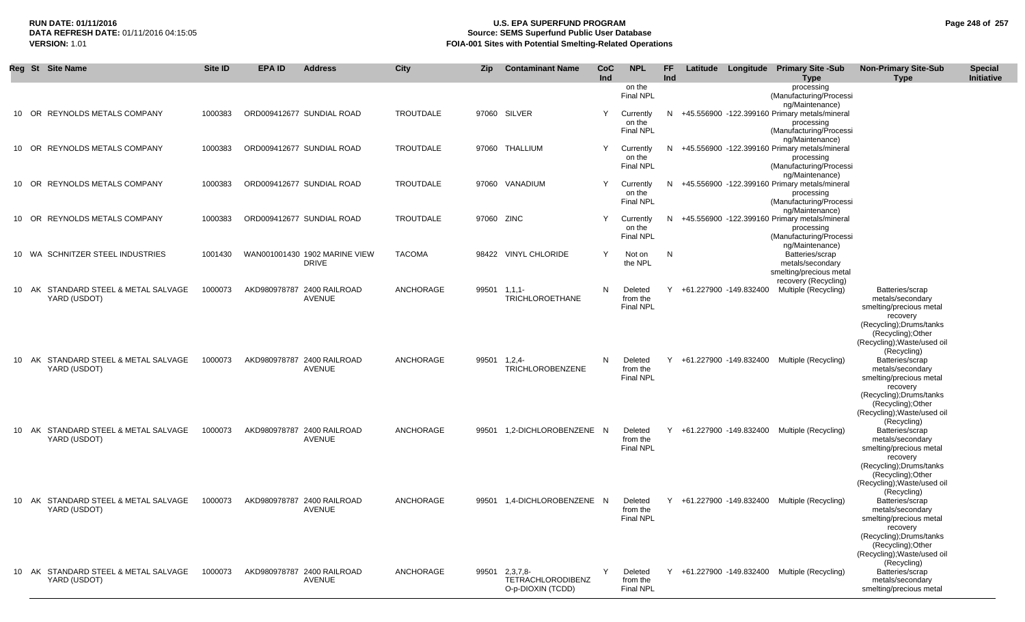## **RUN DATE: 01/11/2016 U.S. EPA SUPERFUND PROGRAM Page 248 of 257** DATA REFRESH DATE: 01/11/2016 04:15:05<br>**VERSION: 1.01** Source: SEMS Superfund Public User Database<br>FOIA-001 Sites with Potential Smelting-Related Operat **VERSION:** 1.01 **FOIA-001 Sites with Potential Smelting-Related Operations**

|     | Reg St Site Name                                     | Site ID | <b>EPA ID</b> | <b>Address</b>                                | City             | Zip        | <b>Contaminant Name</b>                                     | CoC<br>Ind | <b>NPL</b>                              | <b>FF</b><br>Ind |                          | Latitude Longitude Primary Site -Sub<br><b>Type</b>                                                         | <b>Non-Primary Site-Sub</b><br><b>Type</b>                                                                                                                                 | <b>Special</b><br>Initiative |
|-----|------------------------------------------------------|---------|---------------|-----------------------------------------------|------------------|------------|-------------------------------------------------------------|------------|-----------------------------------------|------------------|--------------------------|-------------------------------------------------------------------------------------------------------------|----------------------------------------------------------------------------------------------------------------------------------------------------------------------------|------------------------------|
|     |                                                      |         |               |                                               |                  |            |                                                             |            | on the<br><b>Final NPL</b>              |                  |                          | processing<br>(Manufacturing/Processi<br>ng/Maintenance)                                                    |                                                                                                                                                                            |                              |
| 10  | OR REYNOLDS METALS COMPANY                           | 1000383 |               | ORD009412677 SUNDIAL ROAD                     | <b>TROUTDALE</b> | 97060      | SILVER                                                      | Y          | Currently<br>on the<br><b>Final NPL</b> |                  |                          | N +45.556900 -122.399160 Primary metals/mineral<br>processing<br>(Manufacturing/Processi                    |                                                                                                                                                                            |                              |
|     | 10 OR REYNOLDS METALS COMPANY                        | 1000383 |               | ORD009412677 SUNDIAL ROAD                     | <b>TROUTDALE</b> | 97060      | THALLIUM                                                    | Y          | Currently<br>on the<br>Final NPL        |                  |                          | ng/Maintenance)<br>N +45.556900 -122.399160 Primary metals/mineral<br>processing<br>(Manufacturing/Processi |                                                                                                                                                                            |                              |
|     | 10 OR REYNOLDS METALS COMPANY                        | 1000383 |               | ORD009412677 SUNDIAL ROAD                     | <b>TROUTDALE</b> |            | 97060 VANADIUM                                              | Y          | Currently<br>on the<br><b>Final NPL</b> |                  |                          | ng/Maintenance)<br>N +45.556900 -122.399160 Primary metals/mineral<br>processing<br>(Manufacturing/Processi |                                                                                                                                                                            |                              |
| 10. | OR REYNOLDS METALS COMPANY                           | 1000383 |               | ORD009412677 SUNDIAL ROAD                     | TROUTDALE        | 97060 ZINC |                                                             | Y          | Currently<br>on the<br><b>Final NPL</b> | N.               |                          | ng/Maintenance)<br>+45.556900 -122.399160 Primary metals/mineral<br>processing<br>(Manufacturing/Processi   |                                                                                                                                                                            |                              |
|     | 10 WA SCHNITZER STEEL INDUSTRIES                     | 1001430 |               | WAN001001430 1902 MARINE VIEW<br><b>DRIVE</b> | <b>TACOMA</b>    |            | 98422 VINYL CHLORIDE                                        | Y          | Not on<br>the NPL                       | N                |                          | ng/Maintenance)<br>Batteries/scrap<br>metals/secondary<br>smelting/precious metal                           |                                                                                                                                                                            |                              |
|     | 10 AK STANDARD STEEL & METAL SALVAGE<br>YARD (USDOT) | 1000073 |               | AKD980978787 2400 RAILROAD<br><b>AVENUE</b>   | ANCHORAGE        | 99501      | $1,1,1-$<br><b>TRICHLOROETHANE</b>                          | N          | Deleted<br>from the<br><b>Final NPL</b> |                  | Y +61.227900 -149.832400 | recovery (Recycling)<br>Multiple (Recycling)                                                                | Batteries/scrap<br>metals/secondary<br>smelting/precious metal<br>recovery<br>(Recycling); Drums/tanks<br>(Recycling); Other<br>(Recycling); Waste/used oil                |                              |
|     | 10 AK STANDARD STEEL & METAL SALVAGE<br>YARD (USDOT) | 1000073 |               | AKD980978787 2400 RAILROAD<br><b>AVENUE</b>   | ANCHORAGE        | 99501      | 1,2,4<br><b>TRICHLOROBENZENE</b>                            | N          | Deleted<br>from the<br><b>Final NPL</b> |                  | Y +61.227900 -149.832400 | Multiple (Recycling)                                                                                        | (Recycling)<br>Batteries/scrap<br>metals/secondary<br>smelting/precious metal<br>recovery<br>(Recycling); Drums/tanks<br>(Recycling); Other                                |                              |
| 10  | AK STANDARD STEEL & METAL SALVAGE<br>YARD (USDOT)    | 1000073 |               | AKD980978787 2400 RAILROAD<br>AVENUE          | ANCHORAGE        | 99501      | 1,2-DICHLOROBENZENE N                                       |            | Deleted<br>from the<br><b>Final NPL</b> |                  |                          | Y +61.227900 -149.832400 Multiple (Recycling)                                                               | (Recycling); Waste/used oil<br>(Recycling)<br>Batteries/scrap<br>metals/secondary<br>smelting/precious metal<br>recovery<br>(Recycling); Drums/tanks<br>(Recycling); Other |                              |
|     | 10 AK STANDARD STEEL & METAL SALVAGE<br>YARD (USDOT) | 1000073 |               | AKD980978787 2400 RAILROAD<br>AVENUE          | ANCHORAGE        | 99501      | 1,4-DICHLOROBENZENE N                                       |            | Deleted<br>from the<br>Final NPL        |                  | Y +61.227900 -149.832400 | Multiple (Recycling)                                                                                        | (Recycling); Waste/used oil<br>(Recycling)<br>Batteries/scrap<br>metals/secondary<br>smelting/precious metal<br>recovery<br>(Recycling); Drums/tanks<br>(Recycling); Other |                              |
|     | 10 AK STANDARD STEEL & METAL SALVAGE<br>YARD (USDOT) | 1000073 |               | AKD980978787 2400 RAILROAD<br><b>AVENUE</b>   | ANCHORAGE        | 99501      | $2,3,7,8-$<br><b>TETRACHLORODIBENZ</b><br>O-p-DIOXIN (TCDD) | Y          | Deleted<br>from the<br>Final NPL        |                  |                          | Y +61.227900 -149.832400 Multiple (Recycling)                                                               | (Recycling); Waste/used oil<br>(Recycling)<br>Batteries/scrap<br>metals/secondary<br>smelting/precious metal                                                               |                              |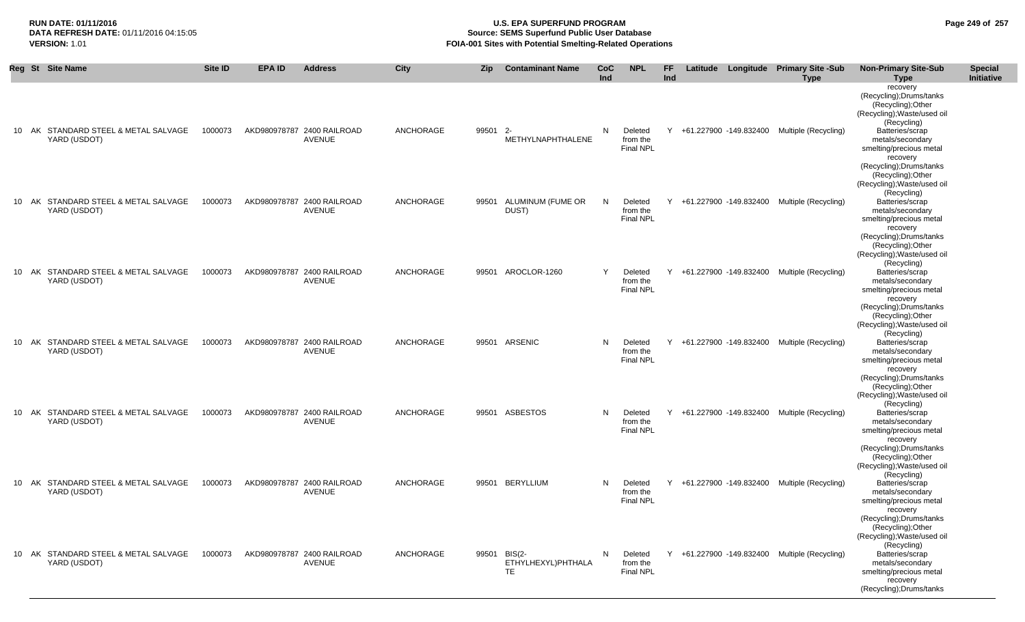(Recycling);Drums/tanks

## **RUN DATE: 01/11/2016 U.S. EPA SUPERFUND PROGRAM Page 249 of 257 Source: SEMS Superfund Public User Database VERSION:** 1.01 **FOIA-001 Sites with Potential Smelting-Related Operations**

|  | Reg St Site Name                                     | Site ID | <b>EPA ID</b> | <b>Address</b>                       | City             | <b>Zip</b> | <b>Contaminant Name</b>         | <b>CoC</b> | <b>NPL</b>                              | FF  |                          | Latitude Longitude Primary Site -Sub          | <b>Non-Primary Site-Sub</b>                                                                              | <b>Special</b> |
|--|------------------------------------------------------|---------|---------------|--------------------------------------|------------------|------------|---------------------------------|------------|-----------------------------------------|-----|--------------------------|-----------------------------------------------|----------------------------------------------------------------------------------------------------------|----------------|
|  |                                                      |         |               |                                      |                  |            |                                 | Ind        |                                         | Ind |                          | <b>Type</b>                                   | <b>Type</b>                                                                                              | Initiative     |
|  |                                                      |         |               |                                      |                  |            |                                 |            |                                         |     |                          |                                               | recovery<br>(Recycling); Drums/tanks<br>(Recycling); Other<br>(Recycling); Waste/used oil<br>(Recycling) |                |
|  | 10 AK STANDARD STEEL & METAL SALVAGE<br>YARD (USDOT) | 1000073 |               | AKD980978787 2400 RAILROAD<br>AVENUE | ANCHORAGE        | 99501 2-   | METHYLNAPHTHALENE               | N          | Deleted<br>from the<br><b>Final NPL</b> |     |                          | Y +61.227900 -149.832400 Multiple (Recycling) | Batteries/scrap<br>metals/secondary<br>smelting/precious metal<br>recovery                               |                |
|  |                                                      |         |               |                                      |                  |            |                                 |            |                                         |     |                          |                                               | (Recycling); Drums/tanks<br>(Recycling); Other<br>(Recycling); Waste/used oil<br>(Recycling)             |                |
|  | 10 AK STANDARD STEEL & METAL SALVAGE<br>YARD (USDOT) | 1000073 |               | AKD980978787 2400 RAILROAD<br>AVENUE | ANCHORAGE        | 99501      | ALUMINUM (FUME OR<br>DUST)      | N          | Deleted<br>from the<br><b>Final NPL</b> |     | Y +61.227900 -149.832400 | Multiple (Recycling)                          | Batteries/scrap<br>metals/secondary<br>smelting/precious metal<br>recovery<br>(Recycling); Drums/tanks   |                |
|  | 10 AK STANDARD STEEL & METAL SALVAGE                 | 1000073 |               | AKD980978787 2400 RAILROAD           | <b>ANCHORAGE</b> | 99501      | AROCLOR-1260                    | Y          | Deleted                                 |     | Y +61.227900 -149.832400 | Multiple (Recycling)                          | (Recycling); Other<br>(Recycling); Waste/used oil<br>(Recycling)<br>Batteries/scrap                      |                |
|  | YARD (USDOT)                                         |         |               | AVENUE                               |                  |            |                                 |            | from the<br><b>Final NPL</b>            |     |                          |                                               | metals/secondary<br>smelting/precious metal<br>recovery<br>(Recycling); Drums/tanks                      |                |
|  | 10 AK STANDARD STEEL & METAL SALVAGE                 | 1000073 |               | AKD980978787 2400 RAILROAD           | ANCHORAGE        | 99501      | ARSENIC                         | N          | Deleted                                 | Y   | +61.227900 -149.832400   | Multiple (Recycling)                          | (Recycling);Other<br>(Recycling); Waste/used oil<br>(Recycling)<br>Batteries/scrap                       |                |
|  | YARD (USDOT)                                         |         |               | AVENUE                               |                  |            |                                 |            | from the<br><b>Final NPL</b>            |     |                          |                                               | metals/secondary<br>smelting/precious metal<br>recovery<br>(Recycling); Drums/tanks                      |                |
|  | 10 AK STANDARD STEEL & METAL SALVAGE                 | 1000073 |               | AKD980978787 2400 RAILROAD           | ANCHORAGE        |            | 99501 ASBESTOS                  | N          | Deleted                                 |     | Y +61.227900 -149.832400 | Multiple (Recycling)                          | (Recycling); Other<br>(Recycling); Waste/used oil<br>(Recycling)<br>Batteries/scrap                      |                |
|  | YARD (USDOT)                                         |         |               | AVENUE                               |                  |            |                                 |            | from the<br><b>Final NPL</b>            |     |                          |                                               | metals/secondary<br>smelting/precious metal<br>recovery<br>(Recycling); Drums/tanks                      |                |
|  | 10 AK STANDARD STEEL & METAL SALVAGE                 | 1000073 |               | AKD980978787 2400 RAILROAD           | <b>ANCHORAGE</b> |            | 99501 BERYLLIUM                 | N          | Deleted                                 |     | Y +61.227900 -149.832400 | Multiple (Recycling)                          | (Recycling); Other<br>(Recycling); Waste/used oil<br>(Recycling)<br>Batteries/scrap                      |                |
|  | YARD (USDOT)                                         |         |               | AVENUE                               |                  |            |                                 |            | from the<br><b>Final NPL</b>            |     |                          |                                               | metals/secondary<br>smelting/precious metal<br>recovery<br>(Recycling); Drums/tanks                      |                |
|  | 10 AK STANDARD STEEL & METAL SALVAGE                 | 1000073 |               | AKD980978787 2400 RAILROAD           | ANCHORAGE        |            | 99501 BIS(2-                    | N          | Deleted                                 | Y   |                          | +61.227900 -149.832400 Multiple (Recycling)   | (Recycling); Other<br>(Recycling); Waste/used oil<br>(Recycling)<br>Batteries/scrap                      |                |
|  | YARD (USDOT)                                         |         |               | AVENUE                               |                  |            | ETHYLHEXYL)PHTHALA<br><b>TE</b> |            | from the<br>Final NPL                   |     |                          |                                               | metals/secondary<br>smelting/precious metal<br>recovery                                                  |                |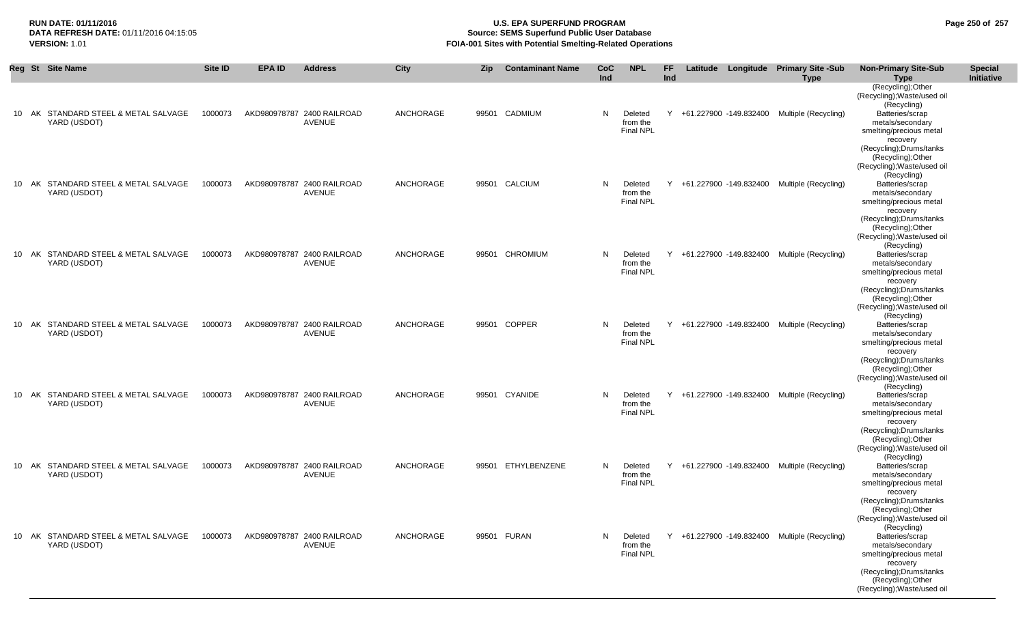## **RUN DATE: 01/11/2016 U.S. EPA SUPERFUND PROGRAM Page 250 of 257 DATA REFRESH DATE:** 01/11/2016 04:15:05 **Source: SEMS Superfund Public User Database**<br>**FOIA-001 Sites with Potential Smelting-Related Operat VERSION:** 1.01 **FOIA-001 Sites with Potential Smelting-Related Operations**

|     |    | Reg St Site Name                                     | Site ID | <b>EPA ID</b> | <b>Address</b>                              | City      | <b>Zip</b> | <b>Contaminant Name</b> | <b>CoC</b><br>Ind | <b>NPL</b>                              | FF.<br>Ind |                          | Latitude Longitude Primary Site -Sub<br><b>Type</b> | <b>Non-Primary Site-Sub</b><br><b>Type</b>                                                                                                                     | <b>Special</b><br>Initiative |
|-----|----|------------------------------------------------------|---------|---------------|---------------------------------------------|-----------|------------|-------------------------|-------------------|-----------------------------------------|------------|--------------------------|-----------------------------------------------------|----------------------------------------------------------------------------------------------------------------------------------------------------------------|------------------------------|
| 10  | AK | STANDARD STEEL & METAL SALVAGE<br>YARD (USDOT)       | 1000073 |               | AKD980978787 2400 RAILROAD<br>AVENUE        | ANCHORAGE | 99501      | CADMIUM                 | N                 | Deleted<br>from the                     | Y          | +61.227900 -149.832400   | Multiple (Recycling)                                | (Recycling); Other<br>(Recycling); Waste/used oil<br>(Recycling)<br>Batteries/scrap<br>metals/secondary                                                        |                              |
|     |    |                                                      |         |               |                                             |           |            |                         |                   | <b>Final NPL</b>                        |            |                          |                                                     | smelting/precious metal<br>recovery<br>(Recycling); Drums/tanks<br>(Recycling); Other<br>(Recycling); Waste/used oil                                           |                              |
|     |    | 10 AK STANDARD STEEL & METAL SALVAGE<br>YARD (USDOT) | 1000073 |               | AKD980978787 2400 RAILROAD<br>AVENUE        | ANCHORAGE | 99501      | CALCIUM                 | N.                | Deleted<br>from the<br>Final NPL        |            | Y +61.227900 -149.832400 | Multiple (Recycling)                                | (Recycling)<br>Batteries/scrap<br>metals/secondary<br>smelting/precious metal<br>recovery<br>(Recycling); Drums/tanks                                          |                              |
|     |    | 10 AK STANDARD STEEL & METAL SALVAGE<br>YARD (USDOT) | 1000073 |               | AKD980978787 2400 RAILROAD<br><b>AVENUE</b> | ANCHORAGE | 99501      | <b>CHROMIUM</b>         | N.                | Deleted<br>from the                     | Y          | +61.227900 -149.832400   | Multiple (Recycling)                                | (Recycling); Other<br>(Recycling); Waste/used oil<br>(Recycling)<br>Batteries/scrap<br>metals/secondary                                                        |                              |
|     |    |                                                      |         |               |                                             |           |            |                         |                   | <b>Final NPL</b>                        |            |                          |                                                     | smelting/precious metal<br>recovery<br>(Recycling); Drums/tanks<br>(Recycling); Other<br>(Recycling); Waste/used oil<br>(Recycling)                            |                              |
|     |    | 10 AK STANDARD STEEL & METAL SALVAGE<br>YARD (USDOT) | 1000073 |               | AKD980978787 2400 RAILROAD<br>AVENUE        | ANCHORAGE | 99501      | <b>COPPER</b>           | N                 | Deleted<br>from the<br><b>Final NPL</b> | Y          | +61.227900 -149.832400   | Multiple (Recycling)                                | Batteries/scrap<br>metals/secondary<br>smelting/precious metal<br>recovery<br>(Recycling); Drums/tanks<br>(Recycling); Other<br>(Recycling); Waste/used oil    |                              |
| 10. |    | AK STANDARD STEEL & METAL SALVAGE<br>YARD (USDOT)    | 1000073 |               | AKD980978787 2400 RAILROAD<br>AVENUE        | ANCHORAGE | 99501      | CYANIDE                 | N                 | Deleted<br>from the<br><b>Final NPL</b> | Y          | +61.227900 -149.832400   | Multiple (Recycling)                                | (Recycling)<br>Batteries/scrap<br>metals/secondary<br>smelting/precious metal<br>recovery<br>(Recycling);Drums/tanks<br>(Recycling); Other                     |                              |
|     |    | 10 AK STANDARD STEEL & METAL SALVAGE<br>YARD (USDOT) | 1000073 |               | AKD980978787 2400 RAILROAD<br>AVENUE        | ANCHORAGE | 99501      | ETHYLBENZENE            | N                 | Deleted<br>from the<br><b>Final NPL</b> | Y          | +61.227900 -149.832400   | Multiple (Recycling)                                | (Recycling); Waste/used oil<br>(Recycling)<br>Batteries/scrap<br>metals/secondary<br>smelting/precious metal<br>recovery                                       |                              |
| 10  |    | AK STANDARD STEEL & METAL SALVAGE<br>YARD (USDOT)    | 1000073 |               | AKD980978787 2400 RAILROAD<br>AVENUE        | ANCHORAGE |            | 99501 FURAN             | N                 | Deleted<br>from the<br><b>Final NPL</b> |            |                          | Y +61.227900 -149.832400 Multiple (Recycling)       | (Recycling); Drums/tanks<br>(Recycling); Other<br>(Recycling); Waste/used oil<br>(Recycling)<br>Batteries/scrap<br>metals/secondary<br>smelting/precious metal |                              |
|     |    |                                                      |         |               |                                             |           |            |                         |                   |                                         |            |                          |                                                     | recovery<br>(Recycling); Drums/tanks<br>(Recycling);Other<br>(Recycling); Waste/used oil                                                                       |                              |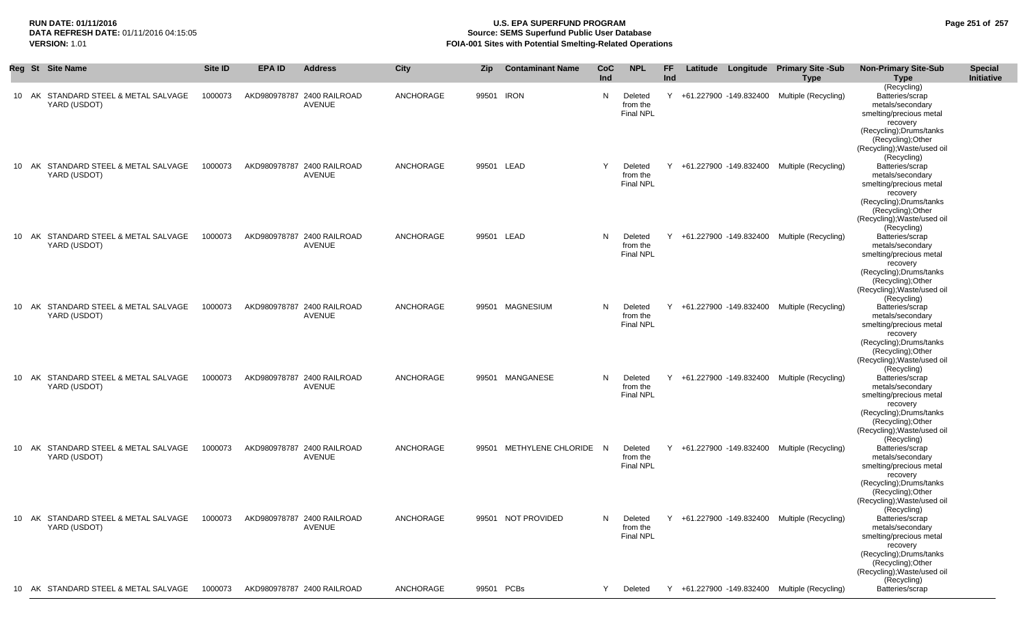## **RUN DATE: 01/11/2016 U.S. EPA SUPERFUND PROGRAM Page 251 of 257** DATA REFRESH DATE: 01/11/2016 04:15:05<br>**VERSION: 1.01** Source: SEMS Superfund Public User Database<br>FOIA-001 Sites with Potential Smelting-Related Operat **VERSION:** 1.01 **FOIA-001 Sites with Potential Smelting-Related Operations**

|       | Reg St Site Name                                     | Site ID | <b>EPA ID</b> | <b>Address</b>                               | City      | Zip   | <b>Contaminant Name</b> | CoC<br><b>Ind</b> | <b>NPL</b>                              | <b>FF</b><br><b>Ind</b> |                          | Latitude Longitude Primary Site -Sub<br><b>Type</b> | <b>Non-Primary Site-Sub</b><br><b>Type</b>                                                                                                                                                               | <b>Special</b><br>Initiative |
|-------|------------------------------------------------------|---------|---------------|----------------------------------------------|-----------|-------|-------------------------|-------------------|-----------------------------------------|-------------------------|--------------------------|-----------------------------------------------------|----------------------------------------------------------------------------------------------------------------------------------------------------------------------------------------------------------|------------------------------|
|       | 10 AK STANDARD STEEL & METAL SALVAGE<br>YARD (USDOT) | 1000073 |               | AKD980978787 2400 RAILROAD<br>AVENUE         | ANCHORAGE | 99501 | <b>IRON</b>             | N                 | Deleted<br>from the<br><b>Final NPL</b> | Y                       | +61.227900 -149.832400   | Multiple (Recycling)                                | (Recycling)<br>Batteries/scrap<br>metals/secondary<br>smelting/precious metal<br>recovery<br>(Recycling); Drums/tanks<br>(Recycling);Other<br>(Recycling); Waste/used oil                                |                              |
|       | 10 AK STANDARD STEEL & METAL SALVAGE<br>YARD (USDOT) | 1000073 |               | AKD980978787 2400 RAILROAD<br>AVENUE         | ANCHORAGE |       | 99501 LEAD              | Y                 | Deleted<br>from the<br><b>Final NPL</b> |                         |                          | Y +61.227900 -149.832400 Multiple (Recycling)       | (Recycling)<br>Batteries/scrap<br>metals/secondary<br>smelting/precious metal<br>recovery<br>(Recycling);Drums/tanks<br>(Recycling);Other<br>(Recycling); Waste/used oil                                 |                              |
| 10 AK | STANDARD STEEL & METAL SALVAGE<br>YARD (USDOT)       | 1000073 |               | AKD980978787 2400 RAILROAD<br>AVENUE         | ANCHORAGE | 99501 | LEAD                    | N                 | Deleted<br>from the<br>Final NPL        |                         |                          | +61.227900 -149.832400 Multiple (Recycling)         | (Recycling)<br>Batteries/scrap<br>metals/secondary<br>smelting/precious metal<br>recovery<br>(Recycling); Drums/tanks<br>(Recycling);Other                                                               |                              |
|       | 10 AK STANDARD STEEL & METAL SALVAGE<br>YARD (USDOT) | 1000073 |               | AKD980978787 2400 RAILROAD<br>AVENUE         | ANCHORAGE | 99501 | MAGNESIUM               | N                 | Deleted<br>from the<br>Final NPL        |                         | Y +61.227900 -149.832400 | Multiple (Recycling)                                | (Recycling); Waste/used oil<br>(Recycling)<br>Batteries/scrap<br>metals/secondary<br>smelting/precious metal<br>recovery<br>(Recycling); Drums/tanks<br>(Recycling); Other                               |                              |
|       | 10 AK STANDARD STEEL & METAL SALVAGE<br>YARD (USDOT) | 1000073 |               | AKD980978787 2400 RAILROAD<br>AVENUE         | ANCHORAGE | 99501 | MANGANESE               | N                 | Deleted<br>from the<br><b>Final NPL</b> |                         | Y +61.227900 -149.832400 | Multiple (Recycling)                                | (Recycling); Waste/used oil<br>(Recycling)<br>Batteries/scrap<br>metals/secondary<br>smelting/precious metal<br>recovery<br>(Recycling);Drums/tanks<br>(Recycling); Other<br>(Recycling); Waste/used oil |                              |
|       | 10 AK STANDARD STEEL & METAL SALVAGE<br>YARD (USDOT) | 1000073 |               | AKD980978787 2400 RAILROAD<br>AVENUE         | ANCHORAGE | 99501 | METHYLENE CHLORIDE N    |                   | Deleted<br>from the<br><b>Final NPL</b> |                         | Y +61.227900 -149.832400 | Multiple (Recycling)                                | (Recycling)<br>Batteries/scrap<br>metals/secondary<br>smelting/precious metal<br>recovery<br>(Recycling); Drums/tanks<br>(Recycling); Other<br>(Recycling); Waste/used oil                               |                              |
|       | 10 AK STANDARD STEEL & METAL SALVAGE<br>YARD (USDOT) |         |               | 1000073 AKD980978787 2400 RAILROAD<br>AVENUE | ANCHORAGE |       | 99501 NOT PROVIDED      |                   | Deleted<br>from the<br><b>Final NPL</b> |                         |                          | Y +61.227900 -149.832400 Multiple (Recycling)       | (Recycling)<br>Batteries/scrap<br>metals/secondary<br>smelting/precious metal<br>recovery<br>(Recycling); Drums/tanks<br>(Recycling); Other<br>(Recycling); Waste/used oil<br>(Recycling)                |                              |
|       | 10 AK STANDARD STEEL & METAL SALVAGE                 | 1000073 |               | AKD980978787 2400 RAILROAD                   | ANCHORAGE |       | 99501 PCBs              | Y                 | Deleted                                 |                         |                          | Y +61.227900 -149.832400 Multiple (Recycling)       | Batteries/scrap                                                                                                                                                                                          |                              |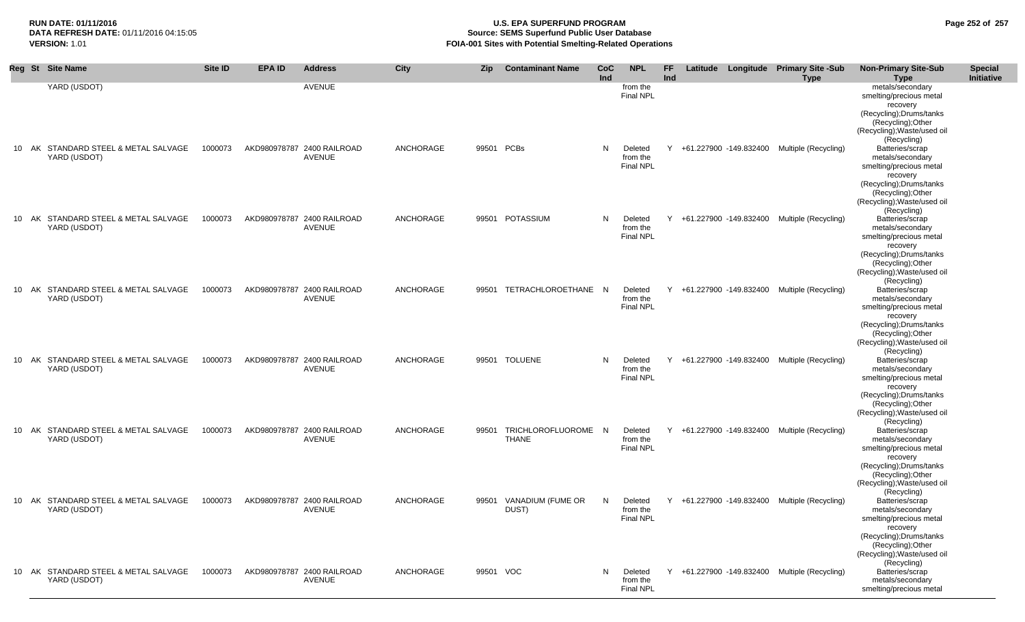# **RUN DATE: 01/11/2016 U.S. EPA SUPERFUND PROGRAM Page 252 of 257 Source: SEMS Superfund Public User Database VERSION:** 1.01 **FOIA-001 Sites with Potential Smelting-Related Operations**

| Reg St Site Name                                     | Site ID | <b>EPA ID</b> | <b>Address</b>                              | <b>City</b>      | Zip        | <b>Contaminant Name</b>             | CoC | <b>NPL</b>                              | FF  |                          | Latitude Longitude Primary Site -Sub          | <b>Non-Primary Site-Sub</b>                                                           | <b>Special</b> |
|------------------------------------------------------|---------|---------------|---------------------------------------------|------------------|------------|-------------------------------------|-----|-----------------------------------------|-----|--------------------------|-----------------------------------------------|---------------------------------------------------------------------------------------|----------------|
|                                                      |         |               |                                             |                  |            |                                     | Ind |                                         | Ind |                          | <b>Type</b>                                   | <b>Type</b>                                                                           | Initiative     |
| YARD (USDOT)                                         |         |               | <b>AVENUE</b>                               |                  |            |                                     |     | from the<br><b>Final NPL</b>            |     |                          |                                               | metals/secondary<br>smelting/precious metal<br>recovery                               |                |
|                                                      |         |               |                                             |                  |            |                                     |     |                                         |     |                          |                                               | (Recycling): Drums/tanks<br>(Recycling); Other<br>(Recycling); Waste/used oil         |                |
| 10 AK STANDARD STEEL & METAL SALVAGE<br>YARD (USDOT) | 1000073 |               | AKD980978787 2400 RAILROAD<br>AVENUE        | ANCHORAGE        | 99501 PCBs |                                     | N   | Deleted<br>from the                     |     |                          | Y +61.227900 -149.832400 Multiple (Recycling) | (Recycling)<br>Batteries/scrap<br>metals/secondary                                    |                |
|                                                      |         |               |                                             |                  |            |                                     |     | <b>Final NPL</b>                        |     |                          |                                               | smelting/precious metal<br>recovery<br>(Recycling): Drums/tanks<br>(Recycling); Other |                |
| 10 AK STANDARD STEEL & METAL SALVAGE                 | 1000073 |               | AKD980978787 2400 RAILROAD                  | ANCHORAGE        |            | 99501 POTASSIUM                     | N   | Deleted                                 | Y   |                          | +61.227900 -149.832400 Multiple (Recycling)   | (Recycling); Waste/used oil<br>(Recycling)<br>Batteries/scrap                         |                |
| YARD (USDOT)                                         |         |               | AVENUE                                      |                  |            |                                     |     | from the<br><b>Final NPL</b>            |     |                          |                                               | metals/secondary<br>smelting/precious metal<br>recovery                               |                |
|                                                      |         |               |                                             |                  |            |                                     |     |                                         |     |                          |                                               | (Recycling); Drums/tanks<br>(Recycling); Other<br>(Recycling); Waste/used oil         |                |
| 10 AK STANDARD STEEL & METAL SALVAGE<br>YARD (USDOT) | 1000073 |               | AKD980978787 2400 RAILROAD<br>AVENUE        | ANCHORAGE        | 99501      | TETRACHLOROETHANE N                 |     | Deleted<br>from the                     |     | Y +61.227900 -149.832400 | Multiple (Recycling)                          | (Recycling)<br>Batteries/scrap<br>metals/secondary                                    |                |
|                                                      |         |               |                                             |                  |            |                                     |     | <b>Final NPL</b>                        |     |                          |                                               | smelting/precious metal<br>recovery<br>(Recycling); Drums/tanks                       |                |
|                                                      |         |               |                                             |                  |            |                                     |     |                                         |     |                          |                                               | (Recycling); Other<br>(Recycling); Waste/used oil                                     |                |
| 10 AK STANDARD STEEL & METAL SALVAGE<br>YARD (USDOT) | 1000073 |               | AKD980978787 2400 RAILROAD<br><b>AVENUE</b> | <b>ANCHORAGE</b> |            | 99501 TOLUENE                       | N   | Deleted<br>from the                     |     | Y +61.227900 -149.832400 | Multiple (Recycling)                          | (Recycling)<br>Batteries/scrap<br>metals/secondary                                    |                |
|                                                      |         |               |                                             |                  |            |                                     |     | <b>Final NPL</b>                        |     |                          |                                               | smelting/precious metal<br>recovery<br>(Recycling); Drums/tanks                       |                |
|                                                      |         |               |                                             |                  |            |                                     |     |                                         |     |                          |                                               | (Recycling); Other<br>(Recycling); Waste/used oil<br>(Recycling)                      |                |
| 10 AK STANDARD STEEL & METAL SALVAGE<br>YARD (USDOT) | 1000073 |               | AKD980978787 2400 RAILROAD<br>AVENUE        | <b>ANCHORAGE</b> | 99501      | TRICHLOROFLUOROME N<br><b>THANE</b> |     | Deleted<br>from the<br><b>Final NPL</b> |     | Y +61.227900 -149.832400 | Multiple (Recycling)                          | Batteries/scrap<br>metals/secondary<br>smelting/precious metal                        |                |
|                                                      |         |               |                                             |                  |            |                                     |     |                                         |     |                          |                                               | recovery<br>(Recycling); Drums/tanks<br>(Recycling): Other                            |                |
| 10 AK STANDARD STEEL & METAL SALVAGE                 | 1000073 |               | AKD980978787 2400 RAILROAD                  | ANCHORAGE        | 99501      | VANADIUM (FUME OR                   | N   | Deleted                                 |     | Y +61.227900 -149.832400 | Multiple (Recycling)                          | (Recycling); Waste/used oil<br>(Recycling)<br>Batteries/scrap                         |                |
| YARD (USDOT)                                         |         |               | AVENUE                                      |                  |            | DUST)                               |     | from the<br><b>Final NPL</b>            |     |                          |                                               | metals/secondary<br>smelting/precious metal<br>recovery                               |                |
|                                                      |         |               |                                             |                  |            |                                     |     |                                         |     |                          |                                               | (Recycling); Drums/tanks<br>(Recycling); Other<br>(Recycling); Waste/used oil         |                |
| 10 AK STANDARD STEEL & METAL SALVAGE<br>YARD (USDOT) | 1000073 |               | AKD980978787 2400 RAILROAD<br>AVENUE        | ANCHORAGE        | 99501 VOC  |                                     | N   | Deleted<br>from the                     |     |                          | Y +61.227900 -149.832400 Multiple (Recycling) | (Recycling)<br>Batteries/scrap<br>metals/secondary                                    |                |
|                                                      |         |               |                                             |                  |            |                                     |     | <b>Final NPL</b>                        |     |                          |                                               | smelting/precious metal                                                               |                |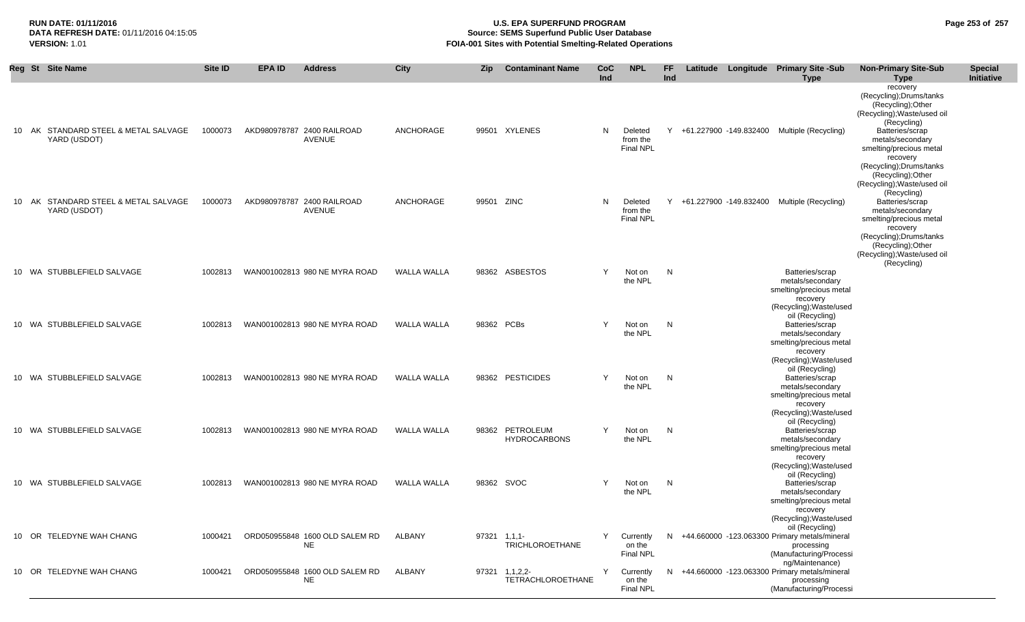## **RUN DATE: 01/11/2016 U.S. EPA SUPERFUND PROGRAM Page 253 of 257 Source: SEMS Superfund Public User Database VERSION:** 1.01 **FOIA-001 Sites with Potential Smelting-Related Operations**

|  | Reg St Site Name                                     | <b>Site ID</b> | EPA ID | <b>Address</b>                              | <b>City</b>        | <b>Zip</b>   | <b>Contaminant Name</b>                    | CoC<br>Ind | <b>NPL</b>                              | <b>FF</b><br>Ind |  | Latitude Longitude Primary Site -Sub<br><b>Type</b>                                                                                                             | <b>Non-Primary Site-Sub</b><br>Type                                                                                                      | <b>Special</b><br>Initiative |
|--|------------------------------------------------------|----------------|--------|---------------------------------------------|--------------------|--------------|--------------------------------------------|------------|-----------------------------------------|------------------|--|-----------------------------------------------------------------------------------------------------------------------------------------------------------------|------------------------------------------------------------------------------------------------------------------------------------------|------------------------------|
|  | 10 AK STANDARD STEEL & METAL SALVAGE                 | 1000073        |        | AKD980978787 2400 RAILROAD                  | ANCHORAGE          |              | 99501 XYLENES                              | N          | Deleted                                 |                  |  | Y +61.227900 -149.832400 Multiple (Recycling)                                                                                                                   | recovery<br>(Recycling); Drums/tanks<br>(Recycling); Other<br>(Recycling); Waste/used oil<br>(Recycling)<br>Batteries/scrap              |                              |
|  | YARD (USDOT)                                         |                |        | AVENUE                                      |                    |              |                                            |            | from the<br><b>Final NPL</b>            |                  |  |                                                                                                                                                                 | metals/secondary<br>smelting/precious metal<br>recovery<br>(Recycling); Drums/tanks<br>(Recycling); Other<br>(Recycling); Waste/used oil |                              |
|  | 10 AK STANDARD STEEL & METAL SALVAGE<br>YARD (USDOT) | 1000073        |        | AKD980978787 2400 RAILROAD<br><b>AVENUE</b> | ANCHORAGE          | 99501 ZINC   |                                            | N          | Deleted<br>from the<br><b>Final NPL</b> |                  |  | Y +61.227900 -149.832400 Multiple (Recycling)                                                                                                                   | (Recycling)<br>Batteries/scrap<br>metals/secondary<br>smelting/precious metal<br>recovery<br>(Recycling); Drums/tanks                    |                              |
|  |                                                      |                |        |                                             |                    |              |                                            | Y          |                                         |                  |  |                                                                                                                                                                 | (Recycling); Other<br>(Recycling); Waste/used oil<br>(Recycling)                                                                         |                              |
|  | 10 WA STUBBLEFIELD SALVAGE                           | 1002813        |        | WAN001002813 980 NE MYRA ROAD               | WALLA WALLA        |              | 98362 ASBESTOS                             |            | Not on<br>the NPL                       | $\mathsf{N}$     |  | Batteries/scrap<br>metals/secondary<br>smelting/precious metal<br>recovery<br>(Recycling); Waste/used                                                           |                                                                                                                                          |                              |
|  | 10 WA STUBBLEFIELD SALVAGE                           | 1002813        |        | WAN001002813 980 NE MYRA ROAD               | WALLA WALLA        | 98362 PCBs   |                                            | Y          | Not on<br>the NPL                       | N                |  | oil (Recycling)<br>Batteries/scrap<br>metals/secondary<br>smelting/precious metal<br>recovery                                                                   |                                                                                                                                          |                              |
|  | 10 WA STUBBLEFIELD SALVAGE                           | 1002813        |        | WAN001002813 980 NE MYRA ROAD               | <b>WALLA WALLA</b> |              | 98362 PESTICIDES                           | Y          | Not on<br>the NPL                       | N                |  | (Recycling); Waste/used<br>oil (Recycling)<br>Batteries/scrap<br>metals/secondary<br>smelting/precious metal<br>recovery                                        |                                                                                                                                          |                              |
|  | 10 WA STUBBLEFIELD SALVAGE                           | 1002813        |        | WAN001002813 980 NE MYRA ROAD               | <b>WALLA WALLA</b> |              | 98362 PETROLEUM<br><b>HYDROCARBONS</b>     | Y          | Not on<br>the NPL                       | $\mathsf{N}$     |  | (Recycling); Waste/used<br>oil (Recycling)<br>Batteries/scrap<br>metals/secondary<br>smelting/precious metal                                                    |                                                                                                                                          |                              |
|  | 10 WA STUBBLEFIELD SALVAGE                           | 1002813        |        | WAN001002813 980 NE MYRA ROAD               | <b>WALLA WALLA</b> | 98362 SVOC   |                                            | Y          | Not on<br>the NPL                       | N                |  | recovery<br>(Recycling); Waste/used<br>oil (Recycling)<br>Batteries/scrap<br>metals/secondary<br>smelting/precious metal<br>recovery<br>(Recycling); Waste/used |                                                                                                                                          |                              |
|  | 10 OR TELEDYNE WAH CHANG                             | 1000421        |        | ORD050955848 1600 OLD SALEM RD<br><b>NE</b> | ALBANY             | 97321 1,1,1- | <b>TRICHLOROETHANE</b>                     | Y          | Currently<br>on the<br><b>Final NPL</b> | N                |  | oil (Recycling)<br>+44.660000 -123.063300 Primary metals/mineral<br>processing<br>(Manufacturing/Processi                                                       |                                                                                                                                          |                              |
|  | 10 OR TELEDYNE WAH CHANG                             | 1000421        |        | ORD050955848 1600 OLD SALEM RD<br>NE        | ALBANY             |              | 97321 1,1,2,2-<br><b>TETRACHLOROETHANE</b> | Y          | Currently<br>on the<br><b>Final NPL</b> | N.               |  | ng/Maintenance)<br>+44.660000 -123.063300 Primary metals/mineral<br>processing<br>(Manufacturing/Processi                                                       |                                                                                                                                          |                              |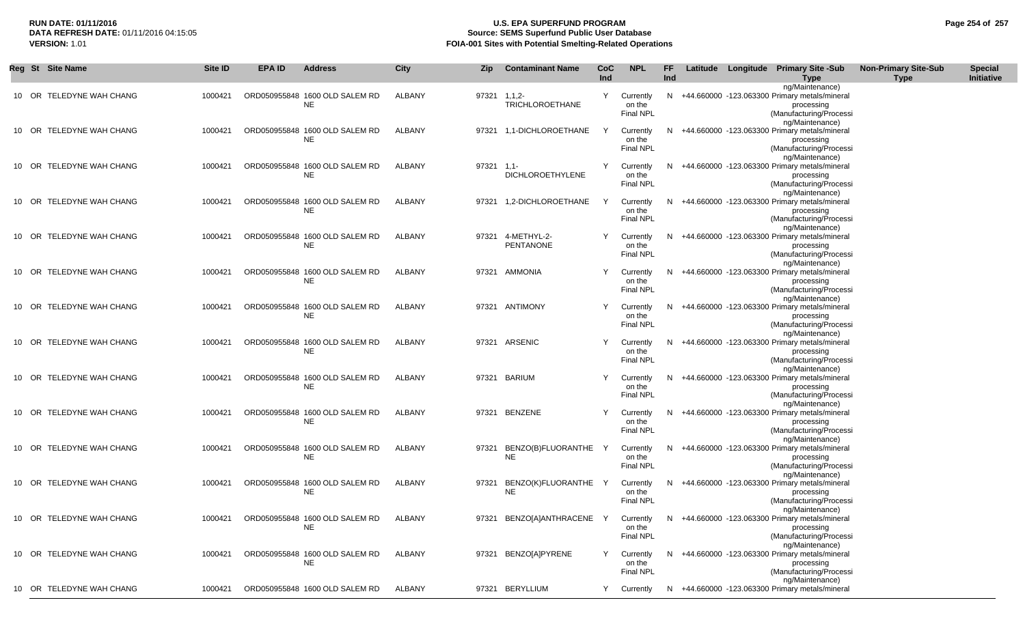# **RUN DATE: 01/11/2016 U.S. EPA SUPERFUND PROGRAM Page 254 of 257 Source: SEMS Superfund Public User Database VERSION:** 1.01 **FOIA-001 Sites with Potential Smelting-Related Operations**

|  | Reg St Site Name         | Site ID | <b>EPA ID</b> | <b>Address</b>                              | <b>City</b>   | Zip          | <b>Contaminant Name</b>                 | CoC<br>Ind | <b>NPL</b>                              | FF.<br>Ind |  | Latitude Longitude Primary Site -Sub<br>Type                                                                                 | <b>Non-Primary Site-Sub</b><br><b>Type</b> | <b>Special</b><br>Initiative |
|--|--------------------------|---------|---------------|---------------------------------------------|---------------|--------------|-----------------------------------------|------------|-----------------------------------------|------------|--|------------------------------------------------------------------------------------------------------------------------------|--------------------------------------------|------------------------------|
|  | 10 OR TELEDYNE WAH CHANG | 1000421 |               | ORD050955848 1600 OLD SALEM RD<br>NE        | <b>ALBANY</b> | 97321 1,1,2- | <b>TRICHLOROETHANE</b>                  | Y          | Currently<br>on the<br><b>Final NPL</b> | N          |  | ng/Maintenance)<br>+44.660000 -123.063300 Primary metals/mineral<br>processing<br>(Manufacturing/Processi                    |                                            |                              |
|  | 10 OR TELEDYNE WAH CHANG | 1000421 |               | ORD050955848 1600 OLD SALEM RD<br>NE        | ALBANY        |              | 97321 1,1-DICHLOROETHANE                | Y          | Currently<br>on the<br><b>Final NPL</b> | N          |  | ng/Maintenance)<br>+44.660000 -123.063300 Primary metals/mineral<br>processing<br>(Manufacturing/Processi<br>ng/Maintenance) |                                            |                              |
|  | 10 OR TELEDYNE WAH CHANG | 1000421 |               | ORD050955848 1600 OLD SALEM RD<br>NE        | ALBANY        | $97321$ 1.1- | <b>DICHLOROETHYLENE</b>                 | Y          | Currently<br>on the<br><b>Final NPL</b> | N          |  | +44.660000 -123.063300 Primary metals/mineral<br>processing<br>(Manufacturing/Processi<br>ng/Maintenance)                    |                                            |                              |
|  | 10 OR TELEDYNE WAH CHANG | 1000421 |               | ORD050955848 1600 OLD SALEM RD<br><b>NE</b> | ALBANY        |              | 97321 1,2-DICHLOROETHANE                | Y          | Currently<br>on the<br>Final NPL        | N          |  | +44.660000 -123.063300 Primary metals/mineral<br>processing<br>(Manufacturing/Processi<br>ng/Maintenance)                    |                                            |                              |
|  | 10 OR TELEDYNE WAH CHANG | 1000421 |               | ORD050955848 1600 OLD SALEM RD<br>NE        | <b>ALBANY</b> | 97321        | 4-METHYL-2-<br><b>PENTANONE</b>         | Y          | Currently<br>on the<br><b>Final NPL</b> | N          |  | +44.660000 -123.063300 Primary metals/mineral<br>processing<br>(Manufacturing/Processi<br>ng/Maintenance)                    |                                            |                              |
|  | 10 OR TELEDYNE WAH CHANG | 1000421 |               | ORD050955848 1600 OLD SALEM RD<br><b>NE</b> | <b>ALBANY</b> |              | 97321 AMMONIA                           | Y          | Currently<br>on the<br><b>Final NPL</b> | N          |  | +44.660000 -123.063300 Primary metals/mineral<br>processing<br>(Manufacturing/Processi<br>ng/Maintenance)                    |                                            |                              |
|  | 10 OR TELEDYNE WAH CHANG | 1000421 |               | ORD050955848 1600 OLD SALEM RD<br>NE        | <b>ALBANY</b> |              | 97321 ANTIMONY                          | Y          | Currently<br>on the<br><b>Final NPL</b> | N          |  | +44.660000 -123.063300 Primary metals/mineral<br>processing<br>(Manufacturing/Processi<br>ng/Maintenance)                    |                                            |                              |
|  | 10 OR TELEDYNE WAH CHANG | 1000421 |               | ORD050955848 1600 OLD SALEM RD<br>NE        | <b>ALBANY</b> |              | 97321 ARSENIC                           | Y          | Currently<br>on the<br><b>Final NPL</b> | N.         |  | +44.660000 -123.063300 Primary metals/mineral<br>processing<br>(Manufacturing/Processi<br>ng/Maintenance)                    |                                            |                              |
|  | 10 OR TELEDYNE WAH CHANG | 1000421 |               | ORD050955848 1600 OLD SALEM RD<br>NE        | <b>ALBANY</b> |              | 97321 BARIUM                            | Y          | Currently<br>on the<br><b>Final NPL</b> |            |  | N +44.660000 -123.063300 Primary metals/mineral<br>processing<br>(Manufacturing/Processi<br>ng/Maintenance)                  |                                            |                              |
|  | 10 OR TELEDYNE WAH CHANG | 1000421 |               | ORD050955848 1600 OLD SALEM RD<br><b>NE</b> | ALBANY        |              | 97321 BENZENE                           | Y          | Currently<br>on the<br><b>Final NPL</b> |            |  | N +44.660000 -123.063300 Primary metals/mineral<br>processing<br>(Manufacturing/Processi<br>ng/Maintenance)                  |                                            |                              |
|  | 10 OR TELEDYNE WAH CHANG | 1000421 |               | ORD050955848 1600 OLD SALEM RD<br><b>NE</b> | ALBANY        | 97321        | BENZO(B)FLUORANTHE<br><b>NE</b>         | Y          | Currently<br>on the<br>Final NPL        | N          |  | +44.660000 -123.063300 Primary metals/mineral<br>processing<br>(Manufacturing/Processi<br>ng/Maintenance)                    |                                            |                              |
|  | 10 OR TELEDYNE WAH CHANG | 1000421 |               | ORD050955848 1600 OLD SALEM RD<br><b>NE</b> | ALBANY        |              | 97321 BENZO(K)FLUORANTHE Y<br><b>NE</b> |            | Currently<br>on the<br><b>Final NPL</b> |            |  | N +44.660000 -123.063300 Primary metals/mineral<br>processing<br>(Manufacturing/Processi<br>ng/Maintenance)                  |                                            |                              |
|  | 10 OR TELEDYNE WAH CHANG | 1000421 |               | ORD050955848 1600 OLD SALEM RD<br><b>NE</b> | ALBANY        |              | 97321 BENZO[A]ANTHRACENE Y              |            | Currently<br>on the<br><b>Final NPL</b> | N.         |  | +44.660000 -123.063300 Primary metals/mineral<br>processing<br>(Manufacturing/Processi<br>ng/Maintenance)                    |                                            |                              |
|  | 10 OR TELEDYNE WAH CHANG | 1000421 |               | ORD050955848 1600 OLD SALEM RD<br>NE        | ALBANY        |              | 97321 BENZO[A]PYRENE                    | Y          | Currently<br>on the<br><b>Final NPL</b> |            |  | N +44.660000 -123.063300 Primary metals/mineral<br>processing<br>(Manufacturing/Processi<br>ng/Maintenance)                  |                                            |                              |
|  | 10 OR TELEDYNE WAH CHANG | 1000421 |               | ORD050955848 1600 OLD SALEM RD              | <b>ALBANY</b> |              | 97321 BERYLLIUM                         | Y          | Currently                               |            |  | N +44.660000 -123.063300 Primary metals/mineral                                                                              |                                            |                              |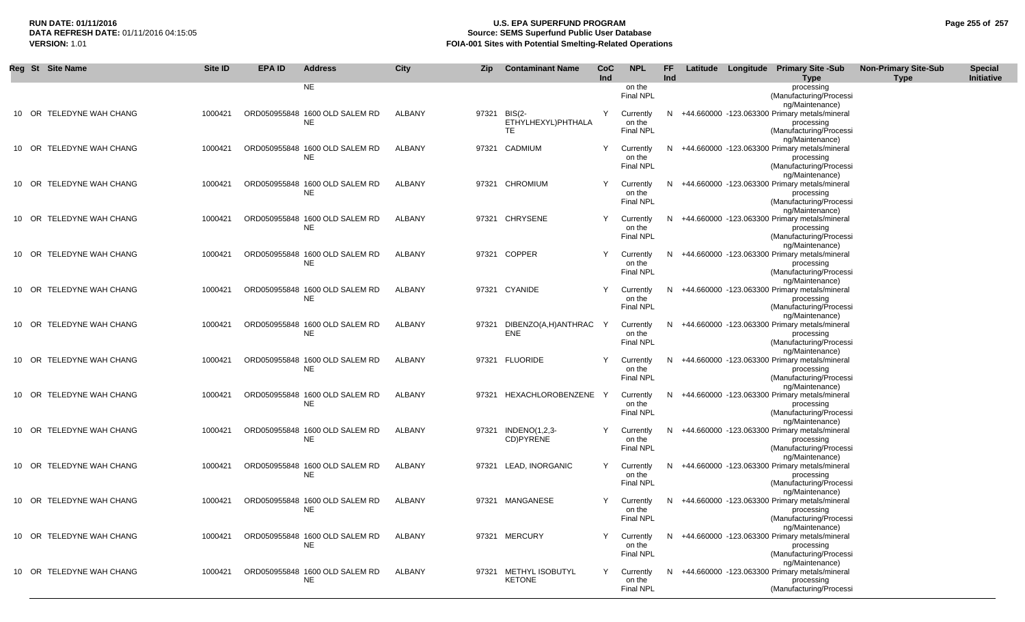# **RUN DATE: 01/11/2016 U.S. EPA SUPERFUND PROGRAM Page 255 of 257 Source: SEMS Superfund Public User Database VERSION:** 1.01 **FOIA-001 Sites with Potential Smelting-Related Operations**

| Reg St Site Name         | Site ID | <b>EPA ID</b> | <b>Address</b>                              | <b>City</b>   | <b>Zip</b> | <b>Contaminant Name</b>                         | CoC | <b>NPL</b>                              | <b>FF</b> |  | Latitude Longitude Primary Site -Sub                                                                                         | <b>Non-Primary Site-Sub</b> | <b>Special</b> |
|--------------------------|---------|---------------|---------------------------------------------|---------------|------------|-------------------------------------------------|-----|-----------------------------------------|-----------|--|------------------------------------------------------------------------------------------------------------------------------|-----------------------------|----------------|
|                          |         |               | <b>NE</b>                                   |               |            |                                                 | Ind | on the<br><b>Final NPL</b>              | Ind       |  | <b>Type</b><br>processing<br>(Manufacturing/Processi                                                                         | <b>Type</b>                 | Initiative     |
| 10 OR TELEDYNE WAH CHANG | 1000421 |               | ORD050955848 1600 OLD SALEM RD<br><b>NE</b> | <b>ALBANY</b> |            | 97321 BIS(2-<br>ETHYLHEXYL)PHTHALA<br><b>TE</b> | Y   | Currently<br>on the<br><b>Final NPL</b> | N         |  | ng/Maintenance)<br>+44.660000 -123.063300 Primary metals/mineral<br>processing<br>(Manufacturing/Processi                    |                             |                |
| 10 OR TELEDYNE WAH CHANG | 1000421 |               | ORD050955848 1600 OLD SALEM RD<br><b>NE</b> | ALBANY        |            | 97321 CADMIUM                                   | Y   | Currently<br>on the<br><b>Final NPL</b> | N         |  | ng/Maintenance)<br>+44.660000 -123.063300 Primary metals/mineral<br>processing<br>(Manufacturing/Processi                    |                             |                |
| 10 OR TELEDYNE WAH CHANG | 1000421 |               | ORD050955848 1600 OLD SALEM RD<br><b>NE</b> | <b>ALBANY</b> |            | 97321 CHROMIUM                                  | Y   | Currently<br>on the<br><b>Final NPL</b> | N         |  | ng/Maintenance)<br>+44.660000 -123.063300 Primary metals/mineral<br>processing<br>(Manufacturing/Processi<br>ng/Maintenance) |                             |                |
| 10 OR TELEDYNE WAH CHANG | 1000421 |               | ORD050955848 1600 OLD SALEM RD<br><b>NE</b> | ALBANY        |            | 97321 CHRYSENE                                  | Y   | Currently<br>on the<br><b>Final NPL</b> | N         |  | +44.660000 -123.063300 Primary metals/mineral<br>processing<br>(Manufacturing/Processi                                       |                             |                |
| 10 OR TELEDYNE WAH CHANG | 1000421 |               | ORD050955848 1600 OLD SALEM RD<br>NE        | ALBANY        |            | 97321 COPPER                                    | Y   | Currently<br>on the<br>Final NPL        | N.        |  | ng/Maintenance)<br>+44.660000 -123.063300 Primary metals/mineral<br>processing<br>(Manufacturing/Processi                    |                             |                |
| 10 OR TELEDYNE WAH CHANG | 1000421 |               | ORD050955848 1600 OLD SALEM RD<br><b>NE</b> | ALBANY        |            | 97321 CYANIDE                                   | Y   | Currently<br>on the<br><b>Final NPL</b> | N         |  | ng/Maintenance)<br>+44.660000 -123.063300 Primary metals/mineral<br>processing<br>(Manufacturing/Processi                    |                             |                |
| 10 OR TELEDYNE WAH CHANG | 1000421 |               | ORD050955848 1600 OLD SALEM RD<br>NE        | ALBANY        | 97321      | DIBENZO(A,H)ANTHRAC Y<br><b>ENE</b>             |     | Currently<br>on the<br><b>Final NPL</b> | N         |  | ng/Maintenance)<br>+44.660000 -123.063300 Primary metals/mineral<br>processing<br>(Manufacturing/Processi<br>ng/Maintenance) |                             |                |
| 10 OR TELEDYNE WAH CHANG | 1000421 |               | ORD050955848 1600 OLD SALEM RD<br><b>NE</b> | ALBANY        |            | 97321 FLUORIDE                                  | Y   | Currently<br>on the<br><b>Final NPL</b> | N         |  | +44.660000 -123.063300 Primary metals/mineral<br>processing<br>(Manufacturing/Processi<br>ng/Maintenance)                    |                             |                |
| 10 OR TELEDYNE WAH CHANG | 1000421 |               | ORD050955848 1600 OLD SALEM RD<br>NE        | ALBANY        |            | 97321 HEXACHLOROBENZENE Y                       |     | Currently<br>on the<br><b>Final NPL</b> | N         |  | +44.660000 -123.063300 Primary metals/mineral<br>processing<br>(Manufacturing/Processi<br>ng/Maintenance)                    |                             |                |
| 10 OR TELEDYNE WAH CHANG | 1000421 |               | ORD050955848 1600 OLD SALEM RD<br><b>NE</b> | ALBANY        |            | 97321 INDENO(1,2,3-<br>CD)PYRENE                | Y   | Currently<br>on the<br><b>Final NPL</b> | N         |  | +44.660000 -123.063300 Primary metals/mineral<br>processing<br>(Manufacturing/Processi                                       |                             |                |
| 10 OR TELEDYNE WAH CHANG | 1000421 |               | ORD050955848 1600 OLD SALEM RD<br><b>NE</b> | ALBANY        | 97321      | LEAD, INORGANIC                                 | Y.  | Currently<br>on the<br><b>Final NPL</b> | N         |  | ng/Maintenance)<br>+44.660000 -123.063300 Primary metals/mineral<br>processing<br>(Manufacturing/Processi<br>ng/Maintenance) |                             |                |
| 10 OR TELEDYNE WAH CHANG | 1000421 |               | ORD050955848 1600 OLD SALEM RD<br><b>NE</b> | ALBANY        |            | 97321 MANGANESE                                 | Y   | Currently<br>on the<br><b>Final NPL</b> |           |  | N +44.660000 -123.063300 Primary metals/mineral<br>processing<br>(Manufacturing/Processi<br>ng/Maintenance)                  |                             |                |
| 10 OR TELEDYNE WAH CHANG | 1000421 |               | ORD050955848 1600 OLD SALEM RD<br><b>NE</b> | ALBANY        |            | 97321 MERCURY                                   | Y   | Currently<br>on the<br><b>Final NPL</b> | N.        |  | +44.660000 -123.063300 Primary metals/mineral<br>processing<br>(Manufacturing/Processi<br>ng/Maintenance)                    |                             |                |
| 10 OR TELEDYNE WAH CHANG | 1000421 |               | ORD050955848 1600 OLD SALEM RD<br><b>NE</b> | ALBANY        |            | 97321 METHYL ISOBUTYL<br><b>KETONE</b>          | Y   | Currently<br>on the<br>Final NPL        | N         |  | +44.660000 -123.063300 Primary metals/mineral<br>processing<br>(Manufacturing/Processi                                       |                             |                |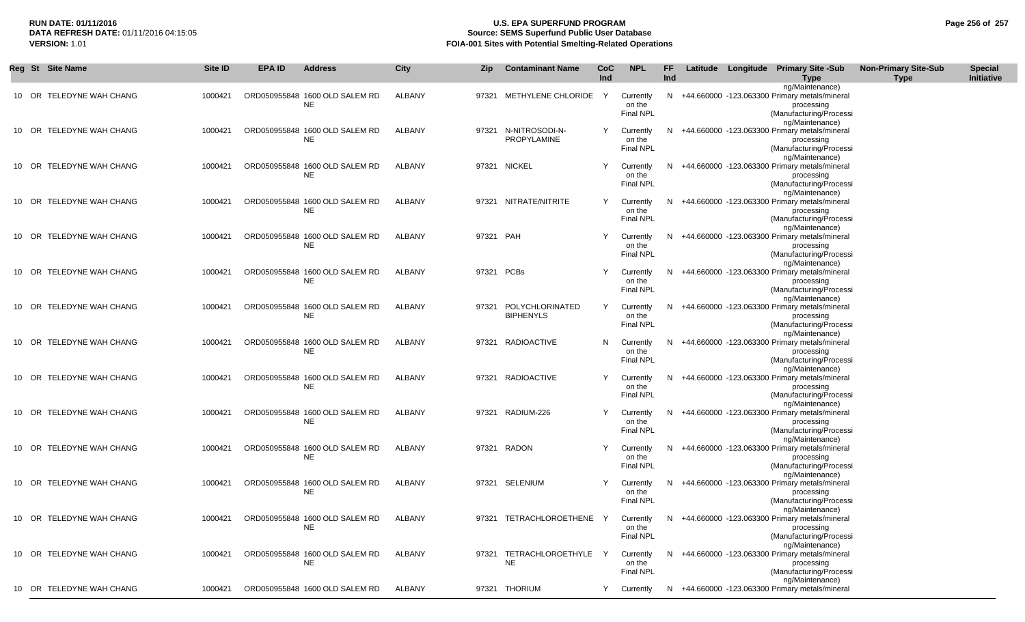# **RUN DATE: 01/11/2016 U.S. EPA SUPERFUND PROGRAM Page 256 of 257 Source: SEMS Superfund Public User Database VERSION:** 1.01 **FOIA-001 Sites with Potential Smelting-Related Operations**

| Reg St Site Name         | Site ID | <b>EPA ID</b> | <b>Address</b>                              | City   | <b>Zip</b> | <b>Contaminant Name</b>             | CoC<br><b>Ind</b> | <b>NPL</b>                              | FF<br>Ind |  | Latitude Longitude Primary Site -Sub<br><b>Type</b>                                                         | <b>Non-Primary Site-Sub</b><br><b>Type</b> | <b>Special</b><br>Initiative |
|--------------------------|---------|---------------|---------------------------------------------|--------|------------|-------------------------------------|-------------------|-----------------------------------------|-----------|--|-------------------------------------------------------------------------------------------------------------|--------------------------------------------|------------------------------|
| 10 OR TELEDYNE WAH CHANG | 1000421 |               | ORD050955848 1600 OLD SALEM RD<br>NE.       | ALBANY |            | 97321 METHYLENE CHLORIDE            | Y                 | Currently<br>on the<br>Final NPL        | N         |  | ng/Maintenance)<br>+44.660000 -123.063300 Primary metals/mineral<br>processing<br>(Manufacturing/Processi   |                                            |                              |
| 10 OR TELEDYNE WAH CHANG | 1000421 |               | ORD050955848 1600 OLD SALEM RD<br>NE        | ALBANY |            | 97321 N-NITROSODI-N-<br>PROPYLAMINE | Y                 | Currently<br>on the<br>Final NPL        | N         |  | ng/Maintenance)<br>+44.660000 -123.063300 Primary metals/mineral<br>processing<br>(Manufacturing/Processi   |                                            |                              |
| 10 OR TELEDYNE WAH CHANG | 1000421 |               | ORD050955848 1600 OLD SALEM RD<br><b>NE</b> | ALBANY |            | 97321 NICKEL                        | Y                 | Currently<br>on the<br>Final NPL        | N.        |  | ng/Maintenance)<br>+44.660000 -123.063300 Primary metals/mineral<br>processing<br>(Manufacturing/Processi   |                                            |                              |
| 10 OR TELEDYNE WAH CHANG | 1000421 |               | ORD050955848 1600 OLD SALEM RD<br>NE        | ALBANY |            | 97321 NITRATE/NITRITE               | Y                 | Currently<br>on the<br>Final NPL        | N.        |  | ng/Maintenance)<br>+44.660000 -123.063300 Primary metals/mineral<br>processing<br>(Manufacturing/Processi   |                                            |                              |
| 10 OR TELEDYNE WAH CHANG | 1000421 |               | ORD050955848 1600 OLD SALEM RD<br>NE        | ALBANY | 97321 PAH  |                                     | Y                 | Currently<br>on the<br><b>Final NPL</b> | N         |  | ng/Maintenance)<br>+44.660000 -123.063300 Primary metals/mineral<br>processing<br>(Manufacturing/Processi   |                                            |                              |
| 10 OR TELEDYNE WAH CHANG | 1000421 |               | ORD050955848 1600 OLD SALEM RD<br>NE        | ALBANY | 97321 PCBs |                                     |                   | Currently<br>on the<br>Final NPL        |           |  | ng/Maintenance)<br>+44.660000 -123.063300 Primary metals/mineral<br>processing<br>(Manufacturing/Processi   |                                            |                              |
| 10 OR TELEDYNE WAH CHANG | 1000421 |               | ORD050955848 1600 OLD SALEM RD<br><b>NE</b> | ALBANY | 97321      | POLYCHLORINATED<br><b>BIPHENYLS</b> | Y                 | Currently<br>on the<br>Final NPL        | N.        |  | ng/Maintenance)<br>+44.660000 -123.063300 Primary metals/mineral<br>processing<br>(Manufacturing/Processi   |                                            |                              |
| 10 OR TELEDYNE WAH CHANG | 1000421 |               | ORD050955848 1600 OLD SALEM RD<br><b>NE</b> | ALBANY |            | 97321 RADIOACTIVE                   | N                 | Currently<br>on the<br>Final NPL        | N         |  | ng/Maintenance)<br>+44.660000 -123.063300 Primary metals/mineral<br>processing<br>(Manufacturing/Processi   |                                            |                              |
| 10 OR TELEDYNE WAH CHANG | 1000421 |               | ORD050955848 1600 OLD SALEM RD<br>NE        | ALBANY |            | 97321 RADIOACTIVE                   | Y                 | Currently<br>on the<br><b>Final NPL</b> | N         |  | ng/Maintenance)<br>+44.660000 -123.063300 Primary metals/mineral<br>processing<br>(Manufacturing/Processi   |                                            |                              |
| 10 OR TELEDYNE WAH CHANG | 1000421 |               | ORD050955848 1600 OLD SALEM RD<br>NE        | ALBANY |            | 97321 RADIUM-226                    | Y                 | Currently<br>on the<br>Final NPL        | N         |  | ng/Maintenance)<br>+44.660000 -123.063300 Primary metals/mineral<br>processing<br>(Manufacturing/Processi   |                                            |                              |
| 10 OR TELEDYNE WAH CHANG | 1000421 |               | ORD050955848 1600 OLD SALEM RD<br>NE.       | ALBANY |            | 97321 RADON                         | Y                 | Currently<br>on the<br><b>Final NPL</b> | N.        |  | ng/Maintenance)<br>+44.660000 -123.063300 Primary metals/mineral<br>processing<br>(Manufacturing/Processi   |                                            |                              |
| 10 OR TELEDYNE WAH CHANG | 1000421 |               | ORD050955848 1600 OLD SALEM RD<br><b>NE</b> | ALBANY |            | 97321 SELENIUM                      | Y                 | Currently<br>on the<br><b>Final NPL</b> | N         |  | ng/Maintenance)<br>+44.660000 -123.063300 Primary metals/mineral<br>processing<br>(Manufacturing/Processi   |                                            |                              |
| 10 OR TELEDYNE WAH CHANG | 1000421 |               | ORD050955848 1600 OLD SALEM RD<br>NE.       | ALBANY |            | 97321 TETRACHLOROETHENE Y           |                   | Currently<br>on the<br><b>Final NPL</b> |           |  | ng/Maintenance)<br>N +44.660000 -123.063300 Primary metals/mineral<br>processing<br>(Manufacturing/Processi |                                            |                              |
| 10 OR TELEDYNE WAH CHANG | 1000421 |               | ORD050955848 1600 OLD SALEM RD<br>NE        | ALBANY |            | 97321 TETRACHLOROETHYLE<br>NE       |                   | Currently<br>on the<br>Final NPL        |           |  | ng/Maintenance)<br>N +44.660000 -123.063300 Primary metals/mineral<br>processing<br>(Manufacturing/Processi |                                            |                              |
| 10 OR TELEDYNE WAH CHANG | 1000421 |               | ORD050955848 1600 OLD SALEM RD              | ALBANY |            | 97321 THORIUM                       | Y                 | Currently                               |           |  | ng/Maintenance)<br>N +44.660000 -123.063300 Primary metals/mineral                                          |                                            |                              |